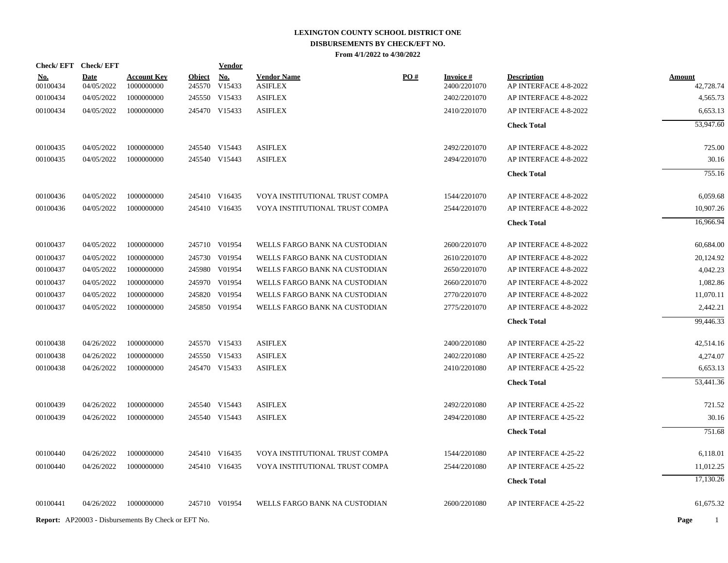| Check/EFT Check/EFT |             |                                                            |               | <u>Vendor</u> |                                |     |                 |                       |               |
|---------------------|-------------|------------------------------------------------------------|---------------|---------------|--------------------------------|-----|-----------------|-----------------------|---------------|
| <u>No.</u>          | <b>Date</b> | <b>Account Key</b>                                         | <b>Object</b> | <b>No.</b>    | <b>Vendor Name</b>             | PO# | <b>Invoice#</b> | <b>Description</b>    | <b>Amount</b> |
| 00100434            | 04/05/2022  | 1000000000                                                 |               | 245570 V15433 | <b>ASIFLEX</b>                 |     | 2400/2201070    | AP INTERFACE 4-8-2022 | 42,728.74     |
| 00100434            | 04/05/2022  | 1000000000                                                 |               | 245550 V15433 | <b>ASIFLEX</b>                 |     | 2402/2201070    | AP INTERFACE 4-8-2022 | 4,565.73      |
| 00100434            | 04/05/2022  | 1000000000                                                 |               | 245470 V15433 | <b>ASIFLEX</b>                 |     | 2410/2201070    | AP INTERFACE 4-8-2022 | 6,653.13      |
|                     |             |                                                            |               |               |                                |     |                 | <b>Check Total</b>    | 53,947.60     |
| 00100435            | 04/05/2022  | 1000000000                                                 |               | 245540 V15443 | <b>ASIFLEX</b>                 |     | 2492/2201070    | AP INTERFACE 4-8-2022 | 725.00        |
| 00100435            | 04/05/2022  | 1000000000                                                 |               | 245540 V15443 | <b>ASIFLEX</b>                 |     | 2494/2201070    | AP INTERFACE 4-8-2022 | 30.16         |
|                     |             |                                                            |               |               |                                |     |                 | <b>Check Total</b>    | 755.16        |
| 00100436            | 04/05/2022  | 1000000000                                                 |               | 245410 V16435 | VOYA INSTITUTIONAL TRUST COMPA |     | 1544/2201070    | AP INTERFACE 4-8-2022 | 6,059.68      |
| 00100436            | 04/05/2022  | 1000000000                                                 |               | 245410 V16435 | VOYA INSTITUTIONAL TRUST COMPA |     | 2544/2201070    | AP INTERFACE 4-8-2022 | 10,907.26     |
|                     |             |                                                            |               |               |                                |     |                 | <b>Check Total</b>    | 16,966.94     |
| 00100437            | 04/05/2022  | 1000000000                                                 |               | 245710 V01954 | WELLS FARGO BANK NA CUSTODIAN  |     | 2600/2201070    | AP INTERFACE 4-8-2022 | 60,684.00     |
| 00100437            | 04/05/2022  | 1000000000                                                 |               | 245730 V01954 | WELLS FARGO BANK NA CUSTODIAN  |     | 2610/2201070    | AP INTERFACE 4-8-2022 | 20,124.92     |
| 00100437            | 04/05/2022  | 1000000000                                                 |               | 245980 V01954 | WELLS FARGO BANK NA CUSTODIAN  |     | 2650/2201070    | AP INTERFACE 4-8-2022 | 4,042.23      |
| 00100437            | 04/05/2022  | 1000000000                                                 |               | 245970 V01954 | WELLS FARGO BANK NA CUSTODIAN  |     | 2660/2201070    | AP INTERFACE 4-8-2022 | 1,082.86      |
| 00100437            | 04/05/2022  | 1000000000                                                 |               | 245820 V01954 | WELLS FARGO BANK NA CUSTODIAN  |     | 2770/2201070    | AP INTERFACE 4-8-2022 | 11,070.11     |
| 00100437            | 04/05/2022  | 1000000000                                                 |               | 245850 V01954 | WELLS FARGO BANK NA CUSTODIAN  |     | 2775/2201070    | AP INTERFACE 4-8-2022 | 2,442.21      |
|                     |             |                                                            |               |               |                                |     |                 | <b>Check Total</b>    | 99,446.33     |
| 00100438            | 04/26/2022  | 1000000000                                                 |               | 245570 V15433 | <b>ASIFLEX</b>                 |     | 2400/2201080    | AP INTERFACE 4-25-22  | 42,514.16     |
| 00100438            | 04/26/2022  | 1000000000                                                 |               | 245550 V15433 | <b>ASIFLEX</b>                 |     | 2402/2201080    | AP INTERFACE 4-25-22  | 4,274.07      |
| 00100438            | 04/26/2022  | 1000000000                                                 |               | 245470 V15433 | <b>ASIFLEX</b>                 |     | 2410/2201080    | AP INTERFACE 4-25-22  | 6,653.13      |
|                     |             |                                                            |               |               |                                |     |                 | <b>Check Total</b>    | 53,441.36     |
| 00100439            | 04/26/2022  | 1000000000                                                 |               | 245540 V15443 | <b>ASIFLEX</b>                 |     | 2492/2201080    | AP INTERFACE 4-25-22  | 721.52        |
| 00100439            | 04/26/2022  | 1000000000                                                 |               | 245540 V15443 | <b>ASIFLEX</b>                 |     | 2494/2201080    | AP INTERFACE 4-25-22  | 30.16         |
|                     |             |                                                            |               |               |                                |     |                 | <b>Check Total</b>    | 751.68        |
| 00100440            | 04/26/2022  | 1000000000                                                 |               | 245410 V16435 | VOYA INSTITUTIONAL TRUST COMPA |     | 1544/2201080    | AP INTERFACE 4-25-22  | 6,118.01      |
| 00100440            | 04/26/2022  | 1000000000                                                 |               | 245410 V16435 | VOYA INSTITUTIONAL TRUST COMPA |     | 2544/2201080    | AP INTERFACE 4-25-22  | 11,012.25     |
|                     |             |                                                            |               |               |                                |     |                 |                       | 17,130.26     |
|                     |             |                                                            |               |               |                                |     |                 | <b>Check Total</b>    |               |
| 00100441            | 04/26/2022  | 1000000000                                                 |               | 245710 V01954 | WELLS FARGO BANK NA CUSTODIAN  |     | 2600/2201080    | AP INTERFACE 4-25-22  | 61,675.32     |
|                     |             | <b>Report:</b> AP20003 - Disbursements By Check or EFT No. |               |               |                                |     |                 |                       | Page<br>1     |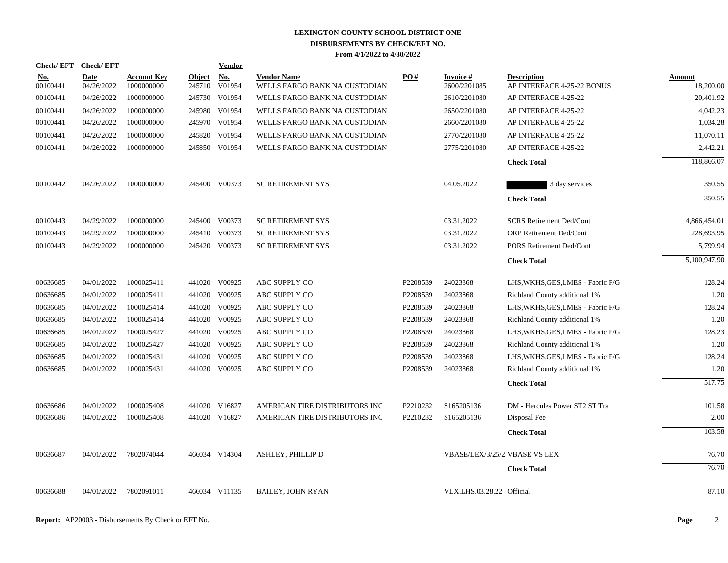|                        |                           |                                  |                  | <b>Vendor</b> |                                                                                                                                                                                                                                                                                                                          |                   |                           |                                                  |                                                            |
|------------------------|---------------------------|----------------------------------|------------------|---------------|--------------------------------------------------------------------------------------------------------------------------------------------------------------------------------------------------------------------------------------------------------------------------------------------------------------------------|-------------------|---------------------------|--------------------------------------------------|------------------------------------------------------------|
| <u>No.</u><br>00100441 | <b>Date</b><br>04/26/2022 | <b>Account Key</b><br>1000000000 | Object<br>245710 | No.<br>V01954 | <b>Vendor Name</b><br>WELLS FARGO BANK NA CUSTODIAN                                                                                                                                                                                                                                                                      | $\underline{PO#}$ | Invoice #<br>2600/2201085 | <b>Description</b><br>AP INTERFACE 4-25-22 BONUS | Amount<br>18,200.00                                        |
| 00100441               | 04/26/2022                | 1000000000                       |                  |               | WELLS FARGO BANK NA CUSTODIAN                                                                                                                                                                                                                                                                                            |                   | 2610/2201080              | AP INTERFACE 4-25-22                             | 20,401.92                                                  |
| 00100441               | 04/26/2022                | 1000000000                       |                  |               | WELLS FARGO BANK NA CUSTODIAN                                                                                                                                                                                                                                                                                            |                   | 2650/2201080              | AP INTERFACE 4-25-22                             | 4,042.23                                                   |
| 00100441               | 04/26/2022                | 1000000000                       |                  |               | WELLS FARGO BANK NA CUSTODIAN                                                                                                                                                                                                                                                                                            |                   | 2660/2201080              | AP INTERFACE 4-25-22                             | 1,034.28                                                   |
| 00100441               | 04/26/2022                | 1000000000                       | 245820           | V01954        | WELLS FARGO BANK NA CUSTODIAN                                                                                                                                                                                                                                                                                            |                   | 2770/2201080              | AP INTERFACE 4-25-22                             | 11,070.11                                                  |
| 00100441               | 04/26/2022                | 1000000000                       |                  |               | WELLS FARGO BANK NA CUSTODIAN                                                                                                                                                                                                                                                                                            |                   | 2775/2201080              | AP INTERFACE 4-25-22                             | 2,442.21                                                   |
|                        |                           |                                  |                  |               |                                                                                                                                                                                                                                                                                                                          |                   |                           | <b>Check Total</b>                               | 118,866.07                                                 |
| 00100442               | 04/26/2022                | 1000000000                       |                  |               | <b>SC RETIREMENT SYS</b>                                                                                                                                                                                                                                                                                                 |                   | 04.05.2022                | 3 day services                                   | 350.55                                                     |
|                        |                           |                                  |                  |               |                                                                                                                                                                                                                                                                                                                          |                   |                           | <b>Check Total</b>                               | 350.55                                                     |
| 00100443               | 04/29/2022                | 1000000000                       |                  |               | <b>SC RETIREMENT SYS</b>                                                                                                                                                                                                                                                                                                 |                   | 03.31.2022                | <b>SCRS Retirement Ded/Cont</b>                  | 4,866,454.01                                               |
| 00100443               | 04/29/2022                | 1000000000                       |                  |               | <b>SC RETIREMENT SYS</b>                                                                                                                                                                                                                                                                                                 |                   | 03.31.2022                | ORP Retirement Ded/Cont                          | 228,693.95                                                 |
| 00100443               | 04/29/2022                | 1000000000                       |                  |               | <b>SC RETIREMENT SYS</b>                                                                                                                                                                                                                                                                                                 |                   | 03.31.2022                | PORS Retirement Ded/Cont                         | 5,799.94                                                   |
|                        |                           |                                  |                  |               |                                                                                                                                                                                                                                                                                                                          |                   |                           | <b>Check Total</b>                               | 5,100,947.90                                               |
| 00636685               | 04/01/2022                | 1000025411                       |                  |               | ABC SUPPLY CO                                                                                                                                                                                                                                                                                                            | P2208539          | 24023868                  | LHS, WKHS, GES, LMES - Fabric F/G                | 128.24                                                     |
| 00636685               | 04/01/2022                | 1000025411                       |                  |               | ABC SUPPLY CO                                                                                                                                                                                                                                                                                                            | P2208539          | 24023868                  | Richland County additional 1%                    | 1.20                                                       |
| 00636685               | 04/01/2022                | 1000025414                       |                  |               | ABC SUPPLY CO                                                                                                                                                                                                                                                                                                            | P2208539          | 24023868                  | LHS, WKHS, GES, LMES - Fabric F/G                | 128.24                                                     |
| 00636685               | 04/01/2022                | 1000025414                       |                  |               | ABC SUPPLY CO                                                                                                                                                                                                                                                                                                            | P2208539          | 24023868                  | Richland County additional 1%                    | 1.20                                                       |
| 00636685               | 04/01/2022                | 1000025427                       |                  | V00925        | ABC SUPPLY CO                                                                                                                                                                                                                                                                                                            | P2208539          | 24023868                  | LHS, WKHS, GES, LMES - Fabric F/G                | 128.23                                                     |
| 00636685               | 04/01/2022                | 1000025427                       |                  |               | ABC SUPPLY CO                                                                                                                                                                                                                                                                                                            | P2208539          | 24023868                  | Richland County additional 1%                    | 1.20                                                       |
| 00636685               | 04/01/2022                | 1000025431                       | 441020           | V00925        | ABC SUPPLY CO                                                                                                                                                                                                                                                                                                            | P2208539          | 24023868                  | LHS, WKHS, GES, LMES - Fabric F/G                | 128.24                                                     |
| 00636685               | 04/01/2022                | 1000025431                       |                  |               | ABC SUPPLY CO                                                                                                                                                                                                                                                                                                            | P2208539          | 24023868                  | Richland County additional 1%                    | 1.20                                                       |
|                        |                           |                                  |                  |               |                                                                                                                                                                                                                                                                                                                          |                   |                           | <b>Check Total</b>                               | 517.75                                                     |
| 00636686               | 04/01/2022                | 1000025408                       |                  |               | AMERICAN TIRE DISTRIBUTORS INC                                                                                                                                                                                                                                                                                           | P2210232          | S165205136                | DM - Hercules Power ST2 ST Tra                   | 101.58                                                     |
| 00636686               | 04/01/2022                | 1000025408                       |                  |               | AMERICAN TIRE DISTRIBUTORS INC                                                                                                                                                                                                                                                                                           | P2210232          | S165205136                | Disposal Fee                                     | 2.00                                                       |
|                        |                           |                                  |                  |               |                                                                                                                                                                                                                                                                                                                          |                   |                           | <b>Check Total</b>                               | 103.58                                                     |
| 00636687               | 04/01/2022                | 7802074044                       |                  |               | ASHLEY, PHILLIP D                                                                                                                                                                                                                                                                                                        |                   |                           |                                                  | 76.70                                                      |
|                        |                           |                                  |                  |               |                                                                                                                                                                                                                                                                                                                          |                   |                           | <b>Check Total</b>                               | 76.70                                                      |
| 00636688               | 04/01/2022                | 7802091011                       |                  |               | <b>BAILEY, JOHN RYAN</b>                                                                                                                                                                                                                                                                                                 |                   |                           |                                                  | 87.10                                                      |
|                        |                           | Check/EFT Check/EFT              |                  |               | 245730 V01954<br>245980 V01954<br>245970 V01954<br>245850 V01954<br>245400 V00373<br>245400 V00373<br>245410 V00373<br>245420 V00373<br>441020 V00925<br>441020 V00925<br>441020 V00925<br>441020 V00925<br>441020<br>441020 V00925<br>441020 V00925<br>441020 V16827<br>441020 V16827<br>466034 V14304<br>466034 V11135 |                   |                           |                                                  | VBASE/LEX/3/25/2 VBASE VS LEX<br>VLX.LHS.03.28.22 Official |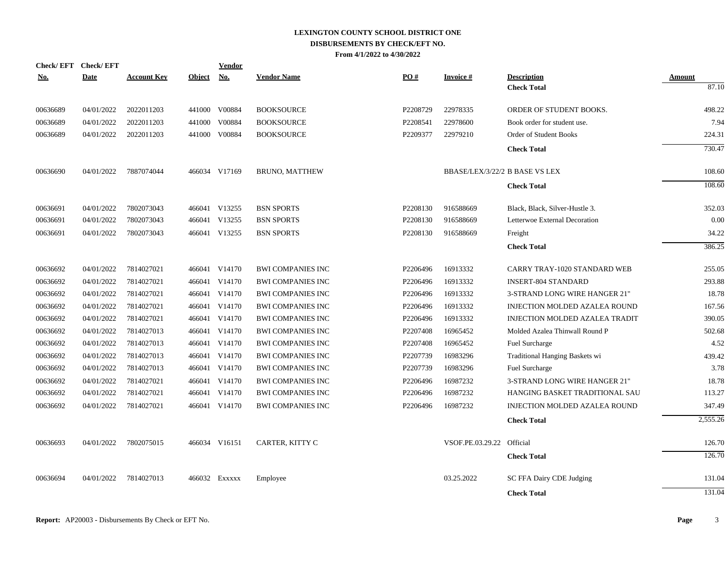| <b>Check/EFT</b> | <b>Check/EFT</b> |                    |               | Vendor        |                          |          |                                |                                       |          |
|------------------|------------------|--------------------|---------------|---------------|--------------------------|----------|--------------------------------|---------------------------------------|----------|
| <u>No.</u>       | <b>Date</b>      | <b>Account Key</b> | <b>Object</b> | <b>No.</b>    | <b>Vendor Name</b>       | PO#      | <b>Invoice#</b>                | <b>Description</b>                    | Amount   |
|                  |                  |                    |               |               |                          |          |                                | <b>Check Total</b>                    | 87.10    |
| 00636689         | 04/01/2022       | 2022011203         |               | 441000 V00884 | <b>BOOKSOURCE</b>        | P2208729 | 22978335                       | ORDER OF STUDENT BOOKS.               | 498.22   |
| 00636689         | 04/01/2022       | 2022011203         | 441000        | V00884        | <b>BOOKSOURCE</b>        | P2208541 | 22978600                       | Book order for student use.           | 7.94     |
| 00636689         | 04/01/2022       | 2022011203         |               | 441000 V00884 | <b>BOOKSOURCE</b>        | P2209377 | 22979210                       | <b>Order of Student Books</b>         | 224.31   |
|                  |                  |                    |               |               |                          |          |                                | <b>Check Total</b>                    | 730.47   |
| 00636690         | 04/01/2022       | 7887074044         |               | 466034 V17169 | <b>BRUNO, MATTHEW</b>    |          | BBASE/LEX/3/22/2 B BASE VS LEX |                                       | 108.60   |
|                  |                  |                    |               |               |                          |          |                                | <b>Check Total</b>                    | 108.60   |
| 00636691         | 04/01/2022       | 7802073043         |               | 466041 V13255 | <b>BSN SPORTS</b>        | P2208130 | 916588669                      | Black, Black, Silver-Hustle 3.        | 352.03   |
| 00636691         | 04/01/2022       | 7802073043         |               | 466041 V13255 | <b>BSN SPORTS</b>        | P2208130 | 916588669                      | Letterwoe External Decoration         | 0.00     |
| 00636691         | 04/01/2022       | 7802073043         |               | 466041 V13255 | <b>BSN SPORTS</b>        | P2208130 | 916588669                      | Freight                               | 34.22    |
|                  |                  |                    |               |               |                          |          |                                | <b>Check Total</b>                    | 386.25   |
| 00636692         | 04/01/2022       | 7814027021         |               | 466041 V14170 | <b>BWI COMPANIES INC</b> | P2206496 | 16913332                       | <b>CARRY TRAY-1020 STANDARD WEB</b>   | 255.05   |
| 00636692         | 04/01/2022       | 7814027021         |               | 466041 V14170 | <b>BWI COMPANIES INC</b> | P2206496 | 16913332                       | <b>INSERT-804 STANDARD</b>            | 293.88   |
| 00636692         | 04/01/2022       | 7814027021         |               | 466041 V14170 | <b>BWI COMPANIES INC</b> | P2206496 | 16913332                       | 3-STRAND LONG WIRE HANGER 21"         | 18.78    |
| 00636692         | 04/01/2022       | 7814027021         |               | 466041 V14170 | <b>BWI COMPANIES INC</b> | P2206496 | 16913332                       | INJECTION MOLDED AZALEA ROUND         | 167.56   |
| 00636692         | 04/01/2022       | 7814027021         |               | 466041 V14170 | <b>BWI COMPANIES INC</b> | P2206496 | 16913332                       | <b>INJECTION MOLDED AZALEA TRADIT</b> | 390.05   |
| 00636692         | 04/01/2022       | 7814027013         |               | 466041 V14170 | <b>BWI COMPANIES INC</b> | P2207408 | 16965452                       | Molded Azalea Thinwall Round P        | 502.68   |
| 00636692         | 04/01/2022       | 7814027013         |               | 466041 V14170 | <b>BWI COMPANIES INC</b> | P2207408 | 16965452                       | Fuel Surcharge                        | 4.52     |
| 00636692         | 04/01/2022       | 7814027013         |               | 466041 V14170 | <b>BWI COMPANIES INC</b> | P2207739 | 16983296                       | Traditional Hanging Baskets wi        | 439.42   |
| 00636692         | 04/01/2022       | 7814027013         |               | 466041 V14170 | <b>BWI COMPANIES INC</b> | P2207739 | 16983296                       | Fuel Surcharge                        | 3.78     |
| 00636692         | 04/01/2022       | 7814027021         |               | 466041 V14170 | <b>BWI COMPANIES INC</b> | P2206496 | 16987232                       | 3-STRAND LONG WIRE HANGER 21"         | 18.78    |
| 00636692         | 04/01/2022       | 7814027021         |               | 466041 V14170 | <b>BWI COMPANIES INC</b> | P2206496 | 16987232                       | HANGING BASKET TRADITIONAL SAU        | 113.27   |
| 00636692         | 04/01/2022       | 7814027021         |               | 466041 V14170 | <b>BWI COMPANIES INC</b> | P2206496 | 16987232                       | <b>INJECTION MOLDED AZALEA ROUND</b>  | 347.49   |
|                  |                  |                    |               |               |                          |          |                                | <b>Check Total</b>                    | 2,555.26 |
| 00636693         | 04/01/2022       | 7802075015         |               | 466034 V16151 | CARTER, KITTY C          |          | VSOF.PE.03.29.22 Official      |                                       | 126.70   |
|                  |                  |                    |               |               |                          |          |                                | <b>Check Total</b>                    | 126.70   |
| 00636694         | 04/01/2022       | 7814027013         |               | 466032 Exxxxx | Employee                 |          | 03.25.2022                     | SC FFA Dairy CDE Judging              | 131.04   |
|                  |                  |                    |               |               |                          |          |                                | <b>Check Total</b>                    | 131.04   |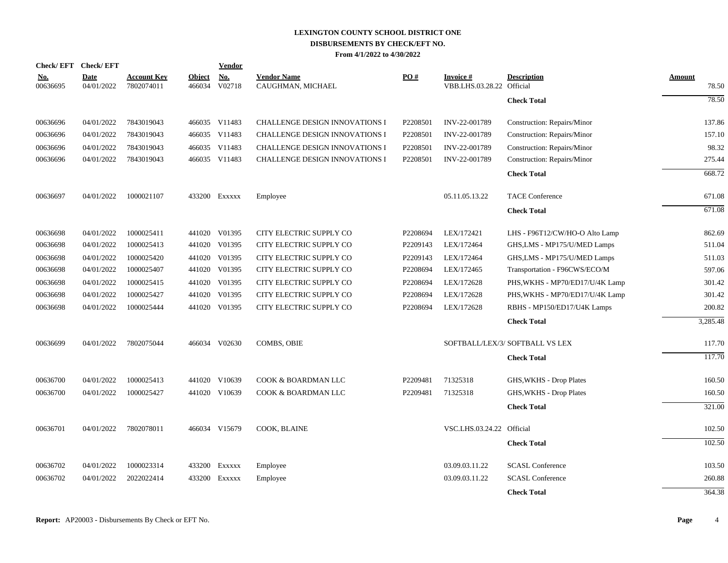|                        | Check/EFT Check/EFT |                                  |                         | <b>Vendor</b> |                                         |          |                                               |                                 |                 |
|------------------------|---------------------|----------------------------------|-------------------------|---------------|-----------------------------------------|----------|-----------------------------------------------|---------------------------------|-----------------|
| <u>No.</u><br>00636695 | Date<br>04/01/2022  | <b>Account Key</b><br>7802074011 | <b>Object</b><br>466034 | No.<br>V02718 | <b>Vendor Name</b><br>CAUGHMAN, MICHAEL | PO#      | <b>Invoice #</b><br>VBB.LHS.03.28.22 Official | <b>Description</b>              | Amount<br>78.50 |
|                        |                     |                                  |                         |               |                                         |          |                                               | <b>Check Total</b>              | 78.50           |
| 00636696               | 04/01/2022          | 7843019043                       |                         | 466035 V11483 | <b>CHALLENGE DESIGN INNOVATIONS I</b>   | P2208501 | INV-22-001789                                 | Construction: Repairs/Minor     | 137.86          |
| 00636696               | 04/01/2022          | 7843019043                       |                         | 466035 V11483 | <b>CHALLENGE DESIGN INNOVATIONS I</b>   | P2208501 | INV-22-001789                                 | Construction: Repairs/Minor     | 157.10          |
| 00636696               | 04/01/2022          | 7843019043                       |                         | 466035 V11483 | <b>CHALLENGE DESIGN INNOVATIONS I</b>   | P2208501 | INV-22-001789                                 | Construction: Repairs/Minor     | 98.32           |
| 00636696               | 04/01/2022          | 7843019043                       |                         | 466035 V11483 | <b>CHALLENGE DESIGN INNOVATIONS I</b>   | P2208501 | INV-22-001789                                 | Construction: Repairs/Minor     | 275.44          |
|                        |                     |                                  |                         |               |                                         |          |                                               | <b>Check Total</b>              | 668.72          |
| 00636697               | 04/01/2022          | 1000021107                       |                         | 433200 EXXXXX | Employee                                |          | 05.11.05.13.22                                | <b>TACE Conference</b>          | 671.08          |
|                        |                     |                                  |                         |               |                                         |          |                                               | <b>Check Total</b>              | 671.08          |
| 00636698               | 04/01/2022          | 1000025411                       |                         | 441020 V01395 | CITY ELECTRIC SUPPLY CO                 | P2208694 | LEX/172421                                    | LHS - F96T12/CW/HO-O Alto Lamp  | 862.69          |
| 00636698               | 04/01/2022          | 1000025413                       |                         | 441020 V01395 | CITY ELECTRIC SUPPLY CO                 | P2209143 | LEX/172464                                    | GHS, LMS - MP175/U/MED Lamps    | 511.04          |
| 00636698               | 04/01/2022          | 1000025420                       |                         | 441020 V01395 | CITY ELECTRIC SUPPLY CO                 | P2209143 | LEX/172464                                    | GHS, LMS - MP175/U/MED Lamps    | 511.03          |
| 00636698               | 04/01/2022          | 1000025407                       |                         | 441020 V01395 | CITY ELECTRIC SUPPLY CO                 | P2208694 | LEX/172465                                    | Transportation - F96CWS/ECO/M   | 597.06          |
| 00636698               | 04/01/2022          | 1000025415                       |                         | 441020 V01395 | CITY ELECTRIC SUPPLY CO                 | P2208694 | LEX/172628                                    | PHS, WKHS - MP70/ED17/U/4K Lamp | 301.42          |
| 00636698               | 04/01/2022          | 1000025427                       |                         | 441020 V01395 | CITY ELECTRIC SUPPLY CO                 | P2208694 | LEX/172628                                    | PHS, WKHS - MP70/ED17/U/4K Lamp | 301.42          |
| 00636698               | 04/01/2022          | 1000025444                       |                         | 441020 V01395 | CITY ELECTRIC SUPPLY CO                 | P2208694 | LEX/172628                                    | RBHS - MP150/ED17/U4K Lamps     | 200.82          |
|                        |                     |                                  |                         |               |                                         |          |                                               | <b>Check Total</b>              | 3,285.48        |
| 00636699               | 04/01/2022          | 7802075044                       |                         | 466034 V02630 | <b>COMBS, OBIE</b>                      |          |                                               | SOFTBALL/LEX/3/ SOFTBALL VS LEX | 117.70          |
|                        |                     |                                  |                         |               |                                         |          |                                               | <b>Check Total</b>              | 117.70          |
| 00636700               | 04/01/2022          | 1000025413                       |                         | 441020 V10639 | COOK & BOARDMAN LLC                     | P2209481 | 71325318                                      | GHS, WKHS - Drop Plates         | 160.50          |
| 00636700               | 04/01/2022          | 1000025427                       |                         | 441020 V10639 | COOK & BOARDMAN LLC                     | P2209481 | 71325318                                      | GHS, WKHS - Drop Plates         | 160.50          |
|                        |                     |                                  |                         |               |                                         |          |                                               | <b>Check Total</b>              | 321.00          |
| 00636701               | 04/01/2022          | 7802078011                       |                         | 466034 V15679 | COOK, BLAINE                            |          | VSC.LHS.03.24.22 Official                     |                                 | 102.50          |
|                        |                     |                                  |                         |               |                                         |          |                                               | <b>Check Total</b>              | 102.50          |
| 00636702               | 04/01/2022          | 1000023314                       |                         | 433200 Exxxxx | Employee                                |          | 03.09.03.11.22                                | <b>SCASL Conference</b>         | 103.50          |
| 00636702               | 04/01/2022          | 2022022414                       | 433200                  | Exxxxx        | Employee                                |          | 03.09.03.11.22                                | <b>SCASL Conference</b>         | 260.88          |
|                        |                     |                                  |                         |               |                                         |          |                                               | <b>Check Total</b>              | 364.38          |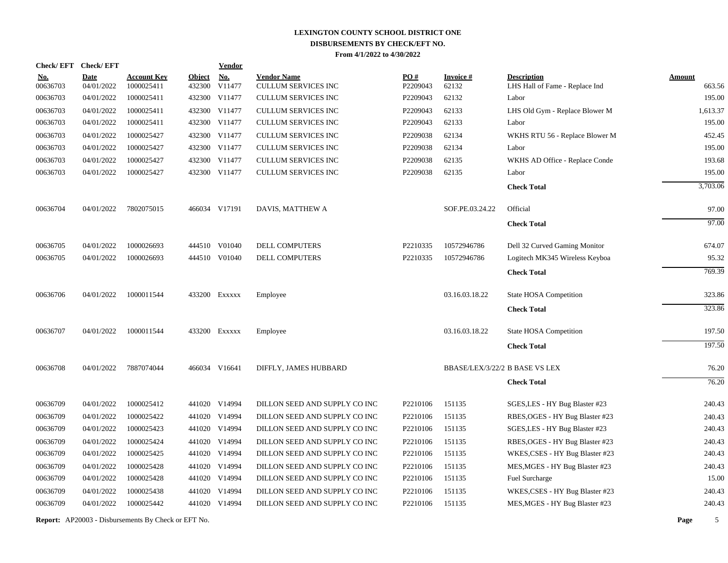| <b>Check/EFT</b>       | <b>Check/EFT</b>          |                                  |                         | <b>Vendor</b>        |                                                  |                 |                                |                                                      |                         |
|------------------------|---------------------------|----------------------------------|-------------------------|----------------------|--------------------------------------------------|-----------------|--------------------------------|------------------------------------------------------|-------------------------|
| <u>No.</u><br>00636703 | <b>Date</b><br>04/01/2022 | <b>Account Key</b><br>1000025411 | <b>Object</b><br>432300 | <b>No.</b><br>V11477 | <b>Vendor Name</b><br><b>CULLUM SERVICES INC</b> | PO#<br>P2209043 | <b>Invoice#</b><br>62132       | <b>Description</b><br>LHS Hall of Fame - Replace Ind | <b>Amount</b><br>663.56 |
| 00636703               | 04/01/2022                | 1000025411                       | 432300                  | V11477               | <b>CULLUM SERVICES INC</b>                       | P2209043        | 62132                          | Labor                                                | 195.00                  |
| 00636703               | 04/01/2022                | 1000025411                       |                         | 432300 V11477        | <b>CULLUM SERVICES INC</b>                       | P2209043        | 62133                          | LHS Old Gym - Replace Blower M                       | 1,613.37                |
| 00636703               | 04/01/2022                | 1000025411                       | 432300                  | V11477               | <b>CULLUM SERVICES INC</b>                       | P2209043        | 62133                          | Labor                                                | 195.00                  |
| 00636703               | 04/01/2022                | 1000025427                       |                         | 432300 V11477        | <b>CULLUM SERVICES INC</b>                       | P2209038        | 62134                          | WKHS RTU 56 - Replace Blower M                       | 452.45                  |
| 00636703               | 04/01/2022                | 1000025427                       |                         | 432300 V11477        | <b>CULLUM SERVICES INC</b>                       | P2209038        | 62134                          | Labor                                                | 195.00                  |
| 00636703               | 04/01/2022                | 1000025427                       |                         | 432300 V11477        | <b>CULLUM SERVICES INC</b>                       | P2209038        | 62135                          | WKHS AD Office - Replace Conde                       | 193.68                  |
| 00636703               | 04/01/2022                | 1000025427                       |                         | 432300 V11477        | <b>CULLUM SERVICES INC</b>                       | P2209038        | 62135                          | Labor                                                | 195.00                  |
|                        |                           |                                  |                         |                      |                                                  |                 |                                | <b>Check Total</b>                                   | 3,703.06                |
| 00636704               | 04/01/2022                | 7802075015                       |                         | 466034 V17191        | DAVIS, MATTHEW A                                 |                 | SOF.PE.03.24.22                | Official                                             | 97.00                   |
|                        |                           |                                  |                         |                      |                                                  |                 |                                | <b>Check Total</b>                                   | 97.00                   |
| 00636705               | 04/01/2022                | 1000026693                       |                         | 444510 V01040        | DELL COMPUTERS                                   | P2210335        | 10572946786                    | Dell 32 Curved Gaming Monitor                        | 674.07                  |
| 00636705               | 04/01/2022                | 1000026693                       |                         | 444510 V01040        | <b>DELL COMPUTERS</b>                            | P2210335        | 10572946786                    | Logitech MK345 Wireless Keyboa                       | 95.32                   |
|                        |                           |                                  |                         |                      |                                                  |                 |                                | <b>Check Total</b>                                   | 769.39                  |
| 00636706               | 04/01/2022                | 1000011544                       |                         | 433200 Exxxxx        | Employee                                         |                 | 03.16.03.18.22                 | <b>State HOSA Competition</b>                        | 323.86                  |
|                        |                           |                                  |                         |                      |                                                  |                 |                                | <b>Check Total</b>                                   | 323.86                  |
| 00636707               | 04/01/2022                | 1000011544                       |                         | 433200 EXXXXX        | Employee                                         |                 | 03.16.03.18.22                 | <b>State HOSA Competition</b>                        | 197.50                  |
|                        |                           |                                  |                         |                      |                                                  |                 |                                | <b>Check Total</b>                                   | 197.50                  |
| 00636708               | 04/01/2022                | 7887074044                       |                         | 466034 V16641        | DIFFLY, JAMES HUBBARD                            |                 | BBASE/LEX/3/22/2 B BASE VS LEX |                                                      | 76.20                   |
|                        |                           |                                  |                         |                      |                                                  |                 |                                | <b>Check Total</b>                                   | 76.20                   |
| 00636709               | 04/01/2022                | 1000025412                       |                         | 441020 V14994        | DILLON SEED AND SUPPLY CO INC                    | P2210106        | 151135                         | SGES, LES - HY Bug Blaster #23                       | 240.43                  |
| 00636709               | 04/01/2022                | 1000025422                       |                         | 441020 V14994        | DILLON SEED AND SUPPLY CO INC                    | P2210106        | 151135                         | RBES, OGES - HY Bug Blaster #23                      | 240.43                  |
| 00636709               | 04/01/2022                | 1000025423                       |                         | 441020 V14994        | DILLON SEED AND SUPPLY CO INC                    | P2210106        | 151135                         | SGES, LES - HY Bug Blaster #23                       | 240.43                  |
| 00636709               | 04/01/2022                | 1000025424                       |                         | 441020 V14994        | DILLON SEED AND SUPPLY CO INC                    | P2210106        | 151135                         | RBES, OGES - HY Bug Blaster #23                      | 240.43                  |
| 00636709               | 04/01/2022                | 1000025425                       |                         | 441020 V14994        | DILLON SEED AND SUPPLY CO INC                    | P2210106        | 151135                         | WKES, CSES - HY Bug Blaster #23                      | 240.43                  |
| 00636709               | 04/01/2022                | 1000025428                       |                         | 441020 V14994        | DILLON SEED AND SUPPLY CO INC                    | P2210106        | 151135                         | MES, MGES - HY Bug Blaster #23                       | 240.43                  |
| 00636709               | 04/01/2022                | 1000025428                       |                         | 441020 V14994        | DILLON SEED AND SUPPLY CO INC                    | P2210106        | 151135                         | <b>Fuel Surcharge</b>                                | 15.00                   |
| 00636709               | 04/01/2022                | 1000025438                       |                         | 441020 V14994        | DILLON SEED AND SUPPLY CO INC                    | P2210106        | 151135                         | WKES, CSES - HY Bug Blaster #23                      | 240.43                  |
| 00636709               | 04/01/2022                | 1000025442                       |                         | 441020 V14994        | DILLON SEED AND SUPPLY CO INC                    | P2210106        | 151135                         | MES, MGES - HY Bug Blaster #23                       | 240.43                  |
|                        |                           |                                  |                         |                      |                                                  |                 |                                |                                                      |                         |

**Report:** AP20003 - Disbursements By Check or EFT No. **Page** 5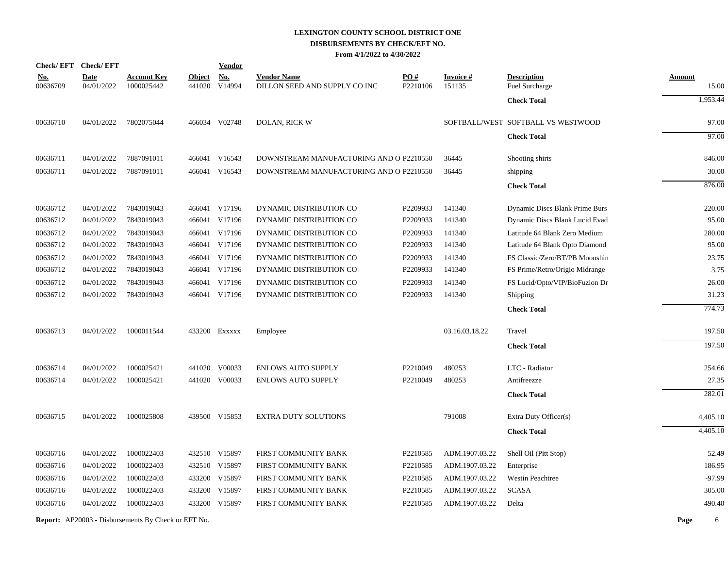|            | Check/EFT Check/EFT |                                                            |               | <b>Vendor</b> |                                         |          |                |                                    |           |
|------------|---------------------|------------------------------------------------------------|---------------|---------------|-----------------------------------------|----------|----------------|------------------------------------|-----------|
| <u>No.</u> | <b>Date</b>         | <u>Account Kev</u>                                         | <b>Object</b> | <u>No.</u>    | <b>Vendor Name</b>                      | PO#      | Invoice #      | <b>Description</b>                 | Amount    |
| 00636709   | 04/01/2022          | 1000025442                                                 |               | 441020 V14994 | DILLON SEED AND SUPPLY CO INC           | P2210106 | 151135         | Fuel Surcharge                     | 15.00     |
|            |                     |                                                            |               |               |                                         |          |                | <b>Check Total</b>                 | 1,953.44  |
| 00636710   | 04/01/2022          | 7802075044                                                 |               | 466034 V02748 | DOLAN, RICK W                           |          |                | SOFTBALL/WEST SOFTBALL VS WESTWOOD | 97.00     |
|            |                     |                                                            |               |               |                                         |          |                | <b>Check Total</b>                 | 97.00     |
| 00636711   | 04/01/2022          | 7887091011                                                 |               | 466041 V16543 | DOWNSTREAM MANUFACTURING AND O P2210550 |          | 36445          | Shooting shirts                    | 846.00    |
| 00636711   | 04/01/2022          | 7887091011                                                 |               | 466041 V16543 | DOWNSTREAM MANUFACTURING AND O P2210550 |          | 36445          | shipping                           | 30.00     |
|            |                     |                                                            |               |               |                                         |          |                | <b>Check Total</b>                 | 876.00    |
| 00636712   | 04/01/2022          | 7843019043                                                 |               | 466041 V17196 | DYNAMIC DISTRIBUTION CO                 | P2209933 | 141340         | Dynamic Discs Blank Prime Burs     | 220.00    |
| 00636712   | 04/01/2022          | 7843019043                                                 |               | 466041 V17196 | DYNAMIC DISTRIBUTION CO                 | P2209933 | 141340         | Dynamic Discs Blank Lucid Evad     | 95.00     |
| 00636712   | 04/01/2022          | 7843019043                                                 |               | 466041 V17196 | DYNAMIC DISTRIBUTION CO                 | P2209933 | 141340         | Latitude 64 Blank Zero Medium      | 280.00    |
| 00636712   | 04/01/2022          | 7843019043                                                 |               | 466041 V17196 | DYNAMIC DISTRIBUTION CO                 | P2209933 | 141340         | Latitude 64 Blank Opto Diamond     | 95.00     |
| 00636712   | 04/01/2022          | 7843019043                                                 |               | 466041 V17196 | DYNAMIC DISTRIBUTION CO                 | P2209933 | 141340         | FS Classic/Zero/BT/PB Moonshin     | 23.75     |
| 00636712   | 04/01/2022          | 7843019043                                                 |               | 466041 V17196 | DYNAMIC DISTRIBUTION CO                 | P2209933 | 141340         | FS Prime/Retro/Origio Midrange     | 3.75      |
| 00636712   | 04/01/2022          | 7843019043                                                 |               | 466041 V17196 | DYNAMIC DISTRIBUTION CO                 | P2209933 | 141340         | FS Lucid/Opto/VIP/BioFuzion Dr     | 26.00     |
| 00636712   | 04/01/2022          | 7843019043                                                 |               | 466041 V17196 | DYNAMIC DISTRIBUTION CO                 | P2209933 | 141340         | Shipping                           | 31.23     |
|            |                     |                                                            |               |               |                                         |          |                | <b>Check Total</b>                 | 774.73    |
| 00636713   | 04/01/2022          | 1000011544                                                 |               | 433200 Exxxxx | Employee                                |          | 03.16.03.18.22 | Travel                             | 197.50    |
|            |                     |                                                            |               |               |                                         |          |                | <b>Check Total</b>                 | 197.50    |
| 00636714   | 04/01/2022          | 1000025421                                                 |               | 441020 V00033 | <b>ENLOWS AUTO SUPPLY</b>               | P2210049 | 480253         | LTC - Radiator                     | 254.66    |
| 00636714   | 04/01/2022          | 1000025421                                                 |               | 441020 V00033 | <b>ENLOWS AUTO SUPPLY</b>               | P2210049 | 480253         | Antifreezze                        | 27.35     |
|            |                     |                                                            |               |               |                                         |          |                | <b>Check Total</b>                 | 282.01    |
| 00636715   | 04/01/2022          | 1000025808                                                 |               | 439500 V15853 | <b>EXTRA DUTY SOLUTIONS</b>             |          | 791008         | Extra Duty Officer(s)              | 4,405.10  |
|            |                     |                                                            |               |               |                                         |          |                | <b>Check Total</b>                 | 4,405.10  |
| 00636716   | 04/01/2022          | 1000022403                                                 |               | 432510 V15897 | FIRST COMMUNITY BANK                    | P2210585 | ADM.1907.03.22 | Shell Oil (Pitt Stop)              | 52.49     |
| 00636716   | 04/01/2022          | 1000022403                                                 |               | 432510 V15897 | FIRST COMMUNITY BANK                    | P2210585 | ADM.1907.03.22 | Enterprise                         | 186.95    |
| 00636716   | 04/01/2022          | 1000022403                                                 |               | 433200 V15897 | FIRST COMMUNITY BANK                    | P2210585 | ADM.1907.03.22 | <b>Westin Peachtree</b>            | $-97.99$  |
| 00636716   | 04/01/2022          | 1000022403                                                 |               | 433200 V15897 | FIRST COMMUNITY BANK                    | P2210585 | ADM.1907.03.22 | <b>SCASA</b>                       | 305.00    |
| 00636716   | 04/01/2022          | 1000022403                                                 |               | 433200 V15897 | FIRST COMMUNITY BANK                    | P2210585 | ADM.1907.03.22 | Delta                              | 490.40    |
|            |                     | <b>Report:</b> AP20003 - Disbursements By Check or EFT No. |               |               |                                         |          |                |                                    | Page<br>6 |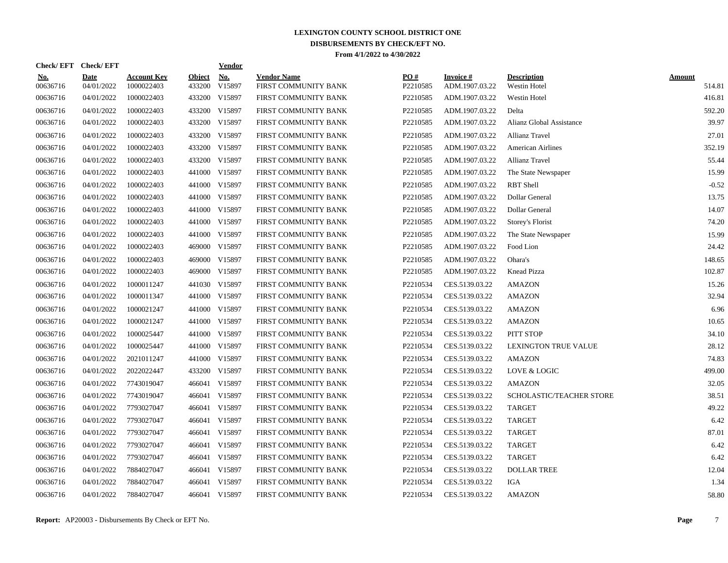| Check/EFT Check/EFT    |                           |                                  |                  | <u>Vendor</u> |                                            |                 |                             |                                    |                  |
|------------------------|---------------------------|----------------------------------|------------------|---------------|--------------------------------------------|-----------------|-----------------------------|------------------------------------|------------------|
| <u>No.</u><br>00636716 | <b>Date</b><br>04/01/2022 | <b>Account Key</b><br>1000022403 | Object<br>433200 | No.<br>V15897 | <b>Vendor Name</b><br>FIRST COMMUNITY BANK | PO#<br>P2210585 | Invoice #<br>ADM.1907.03.22 | <b>Description</b><br>Westin Hotel | Amount<br>514.81 |
| 00636716               | 04/01/2022                | 1000022403                       |                  | 433200 V15897 | FIRST COMMUNITY BANK                       | P2210585        | ADM.1907.03.22              | Westin Hotel                       | 416.81           |
| 00636716               | 04/01/2022                | 1000022403                       |                  | 433200 V15897 | FIRST COMMUNITY BANK                       | P2210585        | ADM.1907.03.22              | Delta                              | 592.20           |
| 00636716               | 04/01/2022                | 1000022403                       |                  | 433200 V15897 | FIRST COMMUNITY BANK                       | P2210585        | ADM.1907.03.22              | Alianz Global Assistance           | 39.97            |
| 00636716               | 04/01/2022                | 1000022403                       |                  | 433200 V15897 | FIRST COMMUNITY BANK                       | P2210585        | ADM.1907.03.22              | <b>Allianz Travel</b>              | 27.01            |
| 00636716               | 04/01/2022                | 1000022403                       |                  | 433200 V15897 | FIRST COMMUNITY BANK                       | P2210585        | ADM.1907.03.22              | <b>American Airlines</b>           | 352.19           |
| 00636716               | 04/01/2022                | 1000022403                       |                  | 433200 V15897 | FIRST COMMUNITY BANK                       | P2210585        | ADM.1907.03.22              | Allianz Travel                     | 55.44            |
| 00636716               | 04/01/2022                | 1000022403                       |                  | 441000 V15897 | FIRST COMMUNITY BANK                       | P2210585        | ADM.1907.03.22              | The State Newspaper                | 15.99            |
| 00636716               | 04/01/2022                | 1000022403                       |                  | 441000 V15897 | FIRST COMMUNITY BANK                       | P2210585        | ADM.1907.03.22              | <b>RBT</b> Shell                   | $-0.52$          |
| 00636716               | 04/01/2022                | 1000022403                       |                  | 441000 V15897 | FIRST COMMUNITY BANK                       | P2210585        | ADM.1907.03.22              | Dollar General                     | 13.75            |
| 00636716               | 04/01/2022                | 1000022403                       |                  | 441000 V15897 | FIRST COMMUNITY BANK                       | P2210585        | ADM.1907.03.22              | Dollar General                     | 14.07            |
| 00636716               | 04/01/2022                | 1000022403                       |                  | 441000 V15897 | FIRST COMMUNITY BANK                       | P2210585        | ADM.1907.03.22              | Storey's Florist                   | 74.20            |
| 00636716               | 04/01/2022                | 1000022403                       |                  | 441000 V15897 | FIRST COMMUNITY BANK                       | P2210585        | ADM.1907.03.22              | The State Newspaper                | 15.99            |
| 00636716               | 04/01/2022                | 1000022403                       |                  | 469000 V15897 | FIRST COMMUNITY BANK                       | P2210585        | ADM.1907.03.22              | Food Lion                          | 24.42            |
| 00636716               | 04/01/2022                | 1000022403                       | 469000           | V15897        | FIRST COMMUNITY BANK                       | P2210585        | ADM.1907.03.22              | Ohara's                            | 148.65           |
| 00636716               | 04/01/2022                | 1000022403                       |                  | 469000 V15897 | FIRST COMMUNITY BANK                       | P2210585        | ADM.1907.03.22              | Knead Pizza                        | 102.87           |
| 00636716               | 04/01/2022                | 1000011247                       |                  | 441030 V15897 | FIRST COMMUNITY BANK                       | P2210534        | CES.5139.03.22              | <b>AMAZON</b>                      | 15.26            |
| 00636716               | 04/01/2022                | 1000011347                       |                  | 441000 V15897 | FIRST COMMUNITY BANK                       | P2210534        | CES.5139.03.22              | <b>AMAZON</b>                      | 32.94            |
| 00636716               | 04/01/2022                | 1000021247                       |                  | 441000 V15897 | FIRST COMMUNITY BANK                       | P2210534        | CES.5139.03.22              | <b>AMAZON</b>                      | 6.96             |
| 00636716               | 04/01/2022                | 1000021247                       |                  | 441000 V15897 | FIRST COMMUNITY BANK                       | P2210534        | CES.5139.03.22              | <b>AMAZON</b>                      | 10.65            |
| 00636716               | 04/01/2022                | 1000025447                       |                  | 441000 V15897 | FIRST COMMUNITY BANK                       | P2210534        | CES.5139.03.22              | PITT STOP                          | 34.10            |
| 00636716               | 04/01/2022                | 1000025447                       |                  | 441000 V15897 | FIRST COMMUNITY BANK                       | P2210534        | CES.5139.03.22              | <b>LEXINGTON TRUE VALUE</b>        | 28.12            |
| 00636716               | 04/01/2022                | 2021011247                       |                  | 441000 V15897 | FIRST COMMUNITY BANK                       | P2210534        | CES.5139.03.22              | <b>AMAZON</b>                      | 74.83            |
| 00636716               | 04/01/2022                | 2022022447                       |                  | 433200 V15897 | FIRST COMMUNITY BANK                       | P2210534        | CES.5139.03.22              | LOVE & LOGIC                       | 499.00           |
| 00636716               | 04/01/2022                | 7743019047                       |                  | 466041 V15897 | FIRST COMMUNITY BANK                       | P2210534        | CES.5139.03.22              | <b>AMAZON</b>                      | 32.05            |
| 00636716               | 04/01/2022                | 7743019047                       |                  | 466041 V15897 | FIRST COMMUNITY BANK                       | P2210534        | CES.5139.03.22              | SCHOLASTIC/TEACHER STORE           | 38.51            |
| 00636716               | 04/01/2022                | 7793027047                       |                  | 466041 V15897 | FIRST COMMUNITY BANK                       | P2210534        | CES.5139.03.22              | <b>TARGET</b>                      | 49.22            |
| 00636716               | 04/01/2022                | 7793027047                       |                  | 466041 V15897 | FIRST COMMUNITY BANK                       | P2210534        | CES.5139.03.22              | <b>TARGET</b>                      | 6.42             |
| 00636716               | 04/01/2022                | 7793027047                       |                  | 466041 V15897 | FIRST COMMUNITY BANK                       | P2210534        | CES.5139.03.22              | <b>TARGET</b>                      | 87.01            |
| 00636716               | 04/01/2022                | 7793027047                       |                  | 466041 V15897 | FIRST COMMUNITY BANK                       | P2210534        | CES.5139.03.22              | <b>TARGET</b>                      | 6.42             |
| 00636716               | 04/01/2022                | 7793027047                       |                  | 466041 V15897 | FIRST COMMUNITY BANK                       | P2210534        | CES.5139.03.22              | <b>TARGET</b>                      | 6.42             |
| 00636716               | 04/01/2022                | 7884027047                       | 466041           | V15897        | FIRST COMMUNITY BANK                       | P2210534        | CES.5139.03.22              | <b>DOLLAR TREE</b>                 | 12.04            |
| 00636716               | 04/01/2022                | 7884027047                       | 466041           | V15897        | FIRST COMMUNITY BANK                       | P2210534        | CES.5139.03.22              | IGA                                | 1.34             |
| 00636716               | 04/01/2022                | 7884027047                       |                  | 466041 V15897 | FIRST COMMUNITY BANK                       | P2210534        | CES.5139.03.22              | <b>AMAZON</b>                      | 58.80            |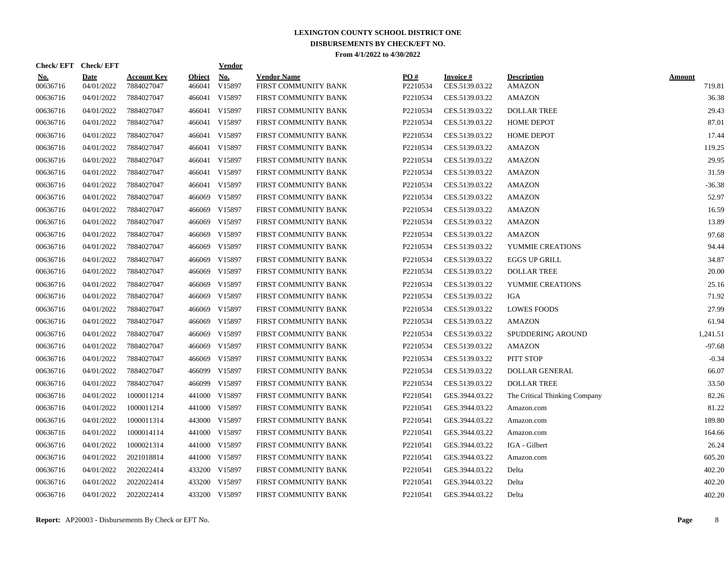| Check/EFT Check/EFT    |                           |                                  |                         | <b>Vendor</b> |                                            |                 |                             |                                     |                         |
|------------------------|---------------------------|----------------------------------|-------------------------|---------------|--------------------------------------------|-----------------|-----------------------------|-------------------------------------|-------------------------|
| <u>No.</u><br>00636716 | <b>Date</b><br>04/01/2022 | <b>Account Key</b><br>7884027047 | <b>Object</b><br>466041 | No.<br>V15897 | <b>Vendor Name</b><br>FIRST COMMUNITY BANK | PO#<br>P2210534 | Invoice #<br>CES.5139.03.22 | <b>Description</b><br><b>AMAZON</b> | <b>Amount</b><br>719.81 |
| 00636716               | 04/01/2022                | 7884027047                       |                         | 466041 V15897 | FIRST COMMUNITY BANK                       | P2210534        | CES.5139.03.22              | <b>AMAZON</b>                       | 36.38                   |
| 00636716               | 04/01/2022                | 7884027047                       |                         | 466041 V15897 | FIRST COMMUNITY BANK                       | P2210534        | CES.5139.03.22              | <b>DOLLAR TREE</b>                  | 29.43                   |
| 00636716               | 04/01/2022                | 7884027047                       |                         | 466041 V15897 | FIRST COMMUNITY BANK                       | P2210534        | CES.5139.03.22              | <b>HOME DEPOT</b>                   | 87.01                   |
| 00636716               | 04/01/2022                | 7884027047                       |                         | 466041 V15897 | FIRST COMMUNITY BANK                       | P2210534        | CES.5139.03.22              | <b>HOME DEPOT</b>                   | 17.44                   |
| 00636716               | 04/01/2022                | 7884027047                       |                         | 466041 V15897 | FIRST COMMUNITY BANK                       | P2210534        | CES.5139.03.22              | <b>AMAZON</b>                       | 119.25                  |
| 00636716               | 04/01/2022                | 7884027047                       |                         | 466041 V15897 | FIRST COMMUNITY BANK                       | P2210534        | CES.5139.03.22              | <b>AMAZON</b>                       | 29.95                   |
| 00636716               | 04/01/2022                | 7884027047                       |                         | 466041 V15897 | FIRST COMMUNITY BANK                       | P2210534        | CES.5139.03.22              | <b>AMAZON</b>                       | 31.59                   |
| 00636716               | 04/01/2022                | 7884027047                       |                         | 466041 V15897 | FIRST COMMUNITY BANK                       | P2210534        | CES.5139.03.22              | <b>AMAZON</b>                       | $-36.38$                |
| 00636716               | 04/01/2022                | 7884027047                       |                         | 466069 V15897 | FIRST COMMUNITY BANK                       | P2210534        | CES.5139.03.22              | <b>AMAZON</b>                       | 52.97                   |
| 00636716               | 04/01/2022                | 7884027047                       |                         | 466069 V15897 | FIRST COMMUNITY BANK                       | P2210534        | CES.5139.03.22              | <b>AMAZON</b>                       | 16.59                   |
| 00636716               | 04/01/2022                | 7884027047                       |                         | 466069 V15897 | FIRST COMMUNITY BANK                       | P2210534        | CES.5139.03.22              | <b>AMAZON</b>                       | 13.89                   |
| 00636716               | 04/01/2022                | 7884027047                       |                         | 466069 V15897 | FIRST COMMUNITY BANK                       | P2210534        | CES.5139.03.22              | <b>AMAZON</b>                       | 97.68                   |
| 00636716               | 04/01/2022                | 7884027047                       |                         | 466069 V15897 | FIRST COMMUNITY BANK                       | P2210534        | CES.5139.03.22              | YUMMIE CREATIONS                    | 94.44                   |
| 00636716               | 04/01/2022                | 7884027047                       | 466069                  | V15897        | FIRST COMMUNITY BANK                       | P2210534        | CES.5139.03.22              | <b>EGGS UP GRILL</b>                | 34.87                   |
| 00636716               | 04/01/2022                | 7884027047                       | 466069                  | V15897        | FIRST COMMUNITY BANK                       | P2210534        | CES.5139.03.22              | <b>DOLLAR TREE</b>                  | 20.00                   |
| 00636716               | 04/01/2022                | 7884027047                       | 466069                  | V15897        | FIRST COMMUNITY BANK                       | P2210534        | CES.5139.03.22              | YUMMIE CREATIONS                    | 25.16                   |
| 00636716               | 04/01/2022                | 7884027047                       |                         | 466069 V15897 | FIRST COMMUNITY BANK                       | P2210534        | CES.5139.03.22              | IGA                                 | 71.92                   |
| 00636716               | 04/01/2022                | 7884027047                       | 466069                  | V15897        | FIRST COMMUNITY BANK                       | P2210534        | CES.5139.03.22              | <b>LOWES FOODS</b>                  | 27.99                   |
| 00636716               | 04/01/2022                | 7884027047                       |                         | 466069 V15897 | FIRST COMMUNITY BANK                       | P2210534        | CES.5139.03.22              | <b>AMAZON</b>                       | 61.94                   |
| 00636716               | 04/01/2022                | 7884027047                       |                         | 466069 V15897 | FIRST COMMUNITY BANK                       | P2210534        | CES.5139.03.22              | SPUDDERING AROUND                   | 1,241.51                |
| 00636716               | 04/01/2022                | 7884027047                       |                         | 466069 V15897 | FIRST COMMUNITY BANK                       | P2210534        | CES.5139.03.22              | <b>AMAZON</b>                       | $-97.68$                |
| 00636716               | 04/01/2022                | 7884027047                       | 466069                  | V15897        | FIRST COMMUNITY BANK                       | P2210534        | CES.5139.03.22              | PITT STOP                           | $-0.34$                 |
| 00636716               | 04/01/2022                | 7884027047                       |                         | 466099 V15897 | FIRST COMMUNITY BANK                       | P2210534        | CES.5139.03.22              | DOLLAR GENERAL                      | 66.07                   |
| 00636716               | 04/01/2022                | 7884027047                       |                         | 466099 V15897 | FIRST COMMUNITY BANK                       | P2210534        | CES.5139.03.22              | <b>DOLLAR TREE</b>                  | 33.50                   |
| 00636716               | 04/01/2022                | 1000011214                       |                         | 441000 V15897 | FIRST COMMUNITY BANK                       | P2210541        | GES.3944.03.22              | The Critical Thinking Company       | 82.26                   |
| 00636716               | 04/01/2022                | 1000011214                       |                         | 441000 V15897 | FIRST COMMUNITY BANK                       | P2210541        | GES.3944.03.22              | Amazon.com                          | 81.22                   |
| 00636716               | 04/01/2022                | 1000011314                       |                         | 443000 V15897 | FIRST COMMUNITY BANK                       | P2210541        | GES.3944.03.22              | Amazon.com                          | 189.80                  |
| 00636716               | 04/01/2022                | 1000014114                       |                         | 441000 V15897 | FIRST COMMUNITY BANK                       | P2210541        | GES.3944.03.22              | Amazon.com                          | 164.66                  |
| 00636716               | 04/01/2022                | 1000021314                       |                         | 441000 V15897 | FIRST COMMUNITY BANK                       | P2210541        | GES.3944.03.22              | IGA - Gilbert                       | 26.24                   |
| 00636716               | 04/01/2022                | 2021018814                       |                         | 441000 V15897 | FIRST COMMUNITY BANK                       | P2210541        | GES.3944.03.22              | Amazon.com                          | 605.20                  |
| 00636716               | 04/01/2022                | 2022022414                       |                         | 433200 V15897 | FIRST COMMUNITY BANK                       | P2210541        | GES.3944.03.22              | Delta                               | 402.20                  |
| 00636716               | 04/01/2022                | 2022022414                       |                         | 433200 V15897 | FIRST COMMUNITY BANK                       | P2210541        | GES.3944.03.22              | Delta                               | 402.20                  |
| 00636716               | 04/01/2022                | 2022022414                       |                         | 433200 V15897 | FIRST COMMUNITY BANK                       | P2210541        | GES.3944.03.22              | Delta                               | 402.20                  |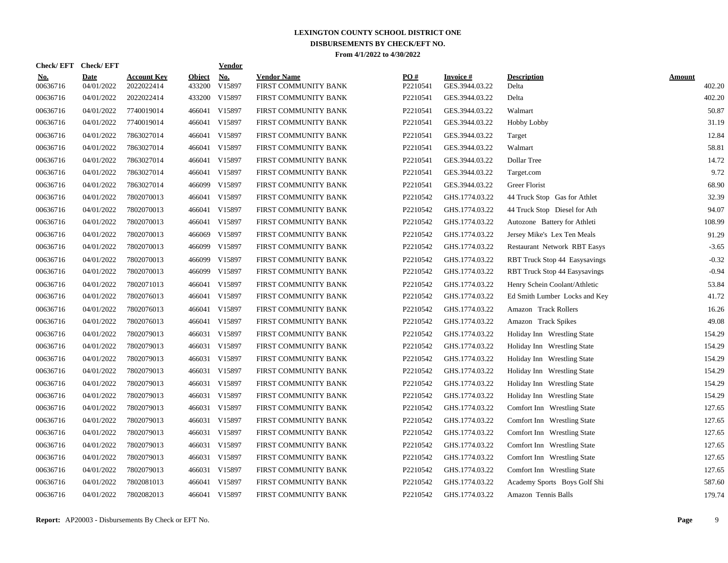| Check/ EFT             | <b>Check/EFT</b>          |                                  |                         | <b>Vendor</b> |                                            |                 |                             |                               |                         |
|------------------------|---------------------------|----------------------------------|-------------------------|---------------|--------------------------------------------|-----------------|-----------------------------|-------------------------------|-------------------------|
| <u>No.</u><br>00636716 | <b>Date</b><br>04/01/2022 | <b>Account Key</b><br>2022022414 | <b>Object</b><br>433200 | No.<br>V15897 | <b>Vendor Name</b><br>FIRST COMMUNITY BANK | PO#<br>P2210541 | Invoice #<br>GES.3944.03.22 | <b>Description</b><br>Delta   | <b>Amount</b><br>402.20 |
| 00636716               | 04/01/2022                | 2022022414                       | 433200                  | V15897        | FIRST COMMUNITY BANK                       | P2210541        | GES.3944.03.22              | Delta                         | 402.20                  |
| 00636716               | 04/01/2022                | 7740019014                       |                         | 466041 V15897 | FIRST COMMUNITY BANK                       | P2210541        | GES.3944.03.22              | Walmart                       | 50.87                   |
| 00636716               | 04/01/2022                | 7740019014                       |                         | 466041 V15897 | FIRST COMMUNITY BANK                       | P2210541        | GES.3944.03.22              | <b>Hobby Lobby</b>            | 31.19                   |
| 00636716               | 04/01/2022                | 7863027014                       |                         | 466041 V15897 | FIRST COMMUNITY BANK                       | P2210541        | GES.3944.03.22              | Target                        | 12.84                   |
| 00636716               | 04/01/2022                | 7863027014                       |                         | 466041 V15897 | FIRST COMMUNITY BANK                       | P2210541        | GES.3944.03.22              | Walmart                       | 58.81                   |
| 00636716               | 04/01/2022                | 7863027014                       |                         | 466041 V15897 | FIRST COMMUNITY BANK                       | P2210541        | GES.3944.03.22              | Dollar Tree                   | 14.72                   |
| 00636716               | 04/01/2022                | 7863027014                       |                         | 466041 V15897 | FIRST COMMUNITY BANK                       | P2210541        | GES.3944.03.22              | Target.com                    | 9.72                    |
| 00636716               | 04/01/2022                | 7863027014                       |                         | 466099 V15897 | FIRST COMMUNITY BANK                       | P2210541        | GES.3944.03.22              | Greer Florist                 | 68.90                   |
| 00636716               | 04/01/2022                | 7802070013                       |                         | 466041 V15897 | FIRST COMMUNITY BANK                       | P2210542        | GHS.1774.03.22              | 44 Truck Stop Gas for Athlet  | 32.39                   |
| 00636716               | 04/01/2022                | 7802070013                       |                         | 466041 V15897 | FIRST COMMUNITY BANK                       | P2210542        | GHS.1774.03.22              | 44 Truck Stop Diesel for Ath  | 94.07                   |
| 00636716               | 04/01/2022                | 7802070013                       |                         | 466041 V15897 | FIRST COMMUNITY BANK                       | P2210542        | GHS.1774.03.22              | Autozone Battery for Athleti  | 108.99                  |
| 00636716               | 04/01/2022                | 7802070013                       |                         | 466069 V15897 | FIRST COMMUNITY BANK                       | P2210542        | GHS.1774.03.22              | Jersey Mike's Lex Ten Meals   | 91.29                   |
| 00636716               | 04/01/2022                | 7802070013                       |                         | 466099 V15897 | FIRST COMMUNITY BANK                       | P2210542        | GHS.1774.03.22              | Restaurant Network RBT Easys  | $-3.65$                 |
| 00636716               | 04/01/2022                | 7802070013                       | 466099                  | V15897        | FIRST COMMUNITY BANK                       | P2210542        | GHS.1774.03.22              | RBT Truck Stop 44 Easysavings | $-0.32$                 |
| 00636716               | 04/01/2022                | 7802070013                       | 466099                  | V15897        | FIRST COMMUNITY BANK                       | P2210542        | GHS.1774.03.22              | RBT Truck Stop 44 Easysavings | $-0.94$                 |
| 00636716               | 04/01/2022                | 7802071013                       |                         | 466041 V15897 | FIRST COMMUNITY BANK                       | P2210542        | GHS.1774.03.22              | Henry Schein Coolant/Athletic | 53.84                   |
| 00636716               | 04/01/2022                | 7802076013                       |                         | 466041 V15897 | FIRST COMMUNITY BANK                       | P2210542        | GHS.1774.03.22              | Ed Smith Lumber Locks and Key | 41.72                   |
| 00636716               | 04/01/2022                | 7802076013                       |                         | 466041 V15897 | FIRST COMMUNITY BANK                       | P2210542        | GHS.1774.03.22              | Amazon Track Rollers          | 16.26                   |
| 00636716               | 04/01/2022                | 7802076013                       |                         | 466041 V15897 | FIRST COMMUNITY BANK                       | P2210542        | GHS.1774.03.22              | Amazon Track Spikes           | 49.08                   |
| 00636716               | 04/01/2022                | 7802079013                       |                         | 466031 V15897 | FIRST COMMUNITY BANK                       | P2210542        | GHS.1774.03.22              | Holiday Inn Wrestling State   | 154.29                  |
| 00636716               | 04/01/2022                | 7802079013                       |                         | 466031 V15897 | FIRST COMMUNITY BANK                       | P2210542        | GHS.1774.03.22              | Holiday Inn Wrestling State   | 154.29                  |
| 00636716               | 04/01/2022                | 7802079013                       |                         | 466031 V15897 | FIRST COMMUNITY BANK                       | P2210542        | GHS.1774.03.22              | Holiday Inn Wrestling State   | 154.29                  |
| 00636716               | 04/01/2022                | 7802079013                       |                         | 466031 V15897 | FIRST COMMUNITY BANK                       | P2210542        | GHS.1774.03.22              | Holiday Inn Wrestling State   | 154.29                  |
| 00636716               | 04/01/2022                | 7802079013                       |                         | 466031 V15897 | FIRST COMMUNITY BANK                       | P2210542        | GHS.1774.03.22              | Holiday Inn Wrestling State   | 154.29                  |
| 00636716               | 04/01/2022                | 7802079013                       |                         | 466031 V15897 | FIRST COMMUNITY BANK                       | P2210542        | GHS.1774.03.22              | Holiday Inn Wrestling State   | 154.29                  |
| 00636716               | 04/01/2022                | 7802079013                       |                         | 466031 V15897 | FIRST COMMUNITY BANK                       | P2210542        | GHS.1774.03.22              | Comfort Inn Wrestling State   | 127.65                  |
| 00636716               | 04/01/2022                | 7802079013                       |                         | 466031 V15897 | FIRST COMMUNITY BANK                       | P2210542        | GHS.1774.03.22              | Comfort Inn Wrestling State   | 127.65                  |
| 00636716               | 04/01/2022                | 7802079013                       |                         | 466031 V15897 | FIRST COMMUNITY BANK                       | P2210542        | GHS.1774.03.22              | Comfort Inn Wrestling State   | 127.65                  |
| 00636716               | 04/01/2022                | 7802079013                       |                         | 466031 V15897 | FIRST COMMUNITY BANK                       | P2210542        | GHS.1774.03.22              | Comfort Inn Wrestling State   | 127.65                  |
| 00636716               | 04/01/2022                | 7802079013                       |                         | 466031 V15897 | FIRST COMMUNITY BANK                       | P2210542        | GHS.1774.03.22              | Comfort Inn Wrestling State   | 127.65                  |
| 00636716               | 04/01/2022                | 7802079013                       |                         | 466031 V15897 | FIRST COMMUNITY BANK                       | P2210542        | GHS.1774.03.22              | Comfort Inn Wrestling State   | 127.65                  |
| 00636716               | 04/01/2022                | 7802081013                       |                         | 466041 V15897 | FIRST COMMUNITY BANK                       | P2210542        | GHS.1774.03.22              | Academy Sports Boys Golf Shi  | 587.60                  |
| 00636716               | 04/01/2022                | 7802082013                       |                         | 466041 V15897 | FIRST COMMUNITY BANK                       | P2210542        | GHS.1774.03.22              | Amazon Tennis Balls           | 179.74                  |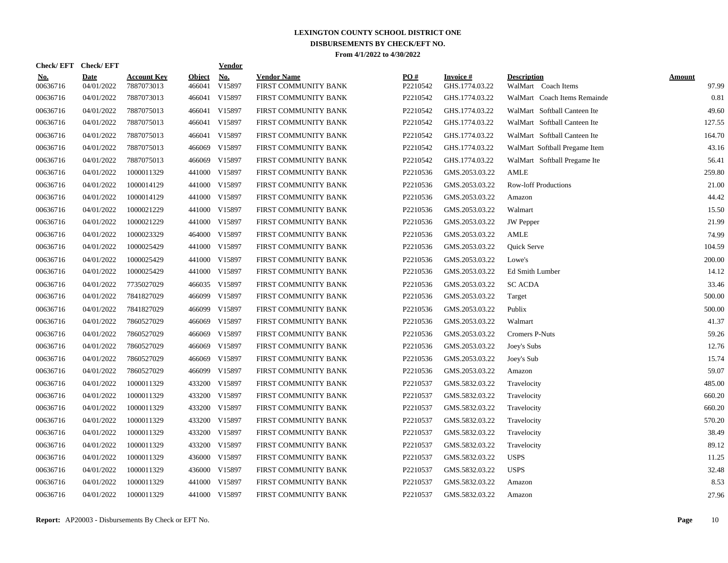| No.<br><b>Vendor Name</b><br>PO#<br><b>Date</b><br><b>Account Key</b><br><b>Object</b><br>Invoice #<br><b>Description</b><br><u>No.</u><br><b>Amount</b><br>V15897<br>00636716<br>04/01/2022<br>7887073013<br>466041<br>FIRST COMMUNITY BANK<br>P2210542<br>GHS.1774.03.22<br>WalMart Coach Items<br>00636716<br>7887073013<br>V15897<br>04/01/2022<br>466041<br>FIRST COMMUNITY BANK<br>P2210542<br>GHS.1774.03.22<br>WalMart Coach Items Remainde<br>00636716<br>04/01/2022<br>7887075013<br>466041 V15897<br>FIRST COMMUNITY BANK<br>P2210542<br>GHS.1774.03.22<br>WalMart Softball Canteen Ite<br>00636716<br>04/01/2022<br>7887075013<br>466041 V15897<br>P2210542<br>GHS.1774.03.22<br>WalMart Softball Canteen Ite<br>FIRST COMMUNITY BANK<br>00636716<br>04/01/2022<br>7887075013<br>466041 V15897<br>FIRST COMMUNITY BANK<br>P2210542<br>GHS.1774.03.22<br>WalMart Softball Canteen Ite<br>7887075013<br>00636716<br>04/01/2022<br>466069 V15897<br>FIRST COMMUNITY BANK<br>P2210542<br>GHS.1774.03.22<br>WalMart Softball Pregame Item<br>7887075013<br>V15897<br>P2210542<br>00636716<br>04/01/2022<br>466069<br>FIRST COMMUNITY BANK<br>GHS.1774.03.22<br>WalMart Softball Pregame Ite<br>00636716<br>04/01/2022<br>1000011329<br>441000<br>V15897<br>FIRST COMMUNITY BANK<br>P2210536<br>GMS.2053.03.22<br><b>AMLE</b><br>00636716<br>441000 V15897<br>04/01/2022<br>1000014129<br>FIRST COMMUNITY BANK<br>P2210536<br>GMS.2053.03.22<br><b>Row-loff Productions</b><br>V15897<br>00636716<br>04/01/2022<br>1000014129<br>441000<br>FIRST COMMUNITY BANK<br>P2210536<br>GMS.2053.03.22<br>Amazon<br>00636716<br>04/01/2022<br>1000021229<br>441000 V15897<br>P2210536<br>FIRST COMMUNITY BANK<br>GMS.2053.03.22<br>Walmart<br>1000021229<br>441000 V15897<br>P2210536<br>00636716<br>04/01/2022<br>FIRST COMMUNITY BANK<br>GMS.2053.03.22<br><b>JW</b> Pepper<br>464000 V15897<br>00636716<br>04/01/2022<br>1000023329<br>FIRST COMMUNITY BANK<br>P2210536<br>GMS.2053.03.22<br>AMLE<br>00636716<br>04/01/2022<br>1000025429<br>441000 V15897<br>P2210536<br>GMS.2053.03.22<br>FIRST COMMUNITY BANK<br>Quick Serve<br>V15897<br>00636716<br>04/01/2022<br>1000025429<br>441000<br>FIRST COMMUNITY BANK<br>P2210536<br>GMS.2053.03.22<br>Lowe's<br>00636716<br>04/01/2022<br>1000025429<br>441000 V15897<br>FIRST COMMUNITY BANK<br>P2210536<br>GMS.2053.03.22<br>Ed Smith Lumber<br>466035 V15897<br>00636716<br>04/01/2022<br>7735027029<br>FIRST COMMUNITY BANK<br>P2210536<br>GMS.2053.03.22<br><b>SC ACDA</b><br>466099 V15897<br>00636716<br>04/01/2022<br>7841827029<br>FIRST COMMUNITY BANK<br>P2210536<br>GMS.2053.03.22<br>Target<br>V15897<br>00636716<br>04/01/2022<br>7841827029<br>466099<br>FIRST COMMUNITY BANK<br>P2210536<br>GMS.2053.03.22<br>Publix<br>466069 V15897<br>00636716<br>04/01/2022<br>7860527029<br>FIRST COMMUNITY BANK<br>P2210536<br>GMS.2053.03.22<br>Walmart<br>00636716<br>04/01/2022<br>7860527029<br>V15897<br>P2210536<br>466069<br>FIRST COMMUNITY BANK<br>GMS.2053.03.22<br><b>Cromers P-Nuts</b><br>04/01/2022<br>V15897<br>P2210536<br>00636716<br>7860527029<br>466069<br>FIRST COMMUNITY BANK<br>GMS.2053.03.22<br>Joey's Subs<br>00636716<br>04/01/2022<br>7860527029<br>466069<br>V15897<br>FIRST COMMUNITY BANK<br>P2210536<br>GMS.2053.03.22<br>Joey's Sub<br>04/01/2022<br>466099<br>V15897<br>00636716<br>7860527029<br>FIRST COMMUNITY BANK<br>P2210536<br>GMS.2053.03.22<br>Amazon<br>00636716<br>04/01/2022<br>1000011329<br>433200<br>V15897<br>FIRST COMMUNITY BANK<br>P2210537<br>GMS.5832.03.22<br>Travelocity<br>1000011329<br>V15897<br>00636716<br>04/01/2022<br>433200<br>FIRST COMMUNITY BANK<br>P2210537<br>GMS.5832.03.22<br>Travelocity<br>433200 V15897<br>00636716<br>04/01/2022<br>1000011329<br>FIRST COMMUNITY BANK<br>P2210537<br>GMS.5832.03.22<br>Travelocity<br>04/01/2022<br>1000011329<br>433200 V15897<br>P2210537<br>00636716<br>FIRST COMMUNITY BANK<br>GMS.5832.03.22<br>Travelocity<br>04/01/2022<br>1000011329<br>433200 V15897<br>P2210537<br>00636716<br>FIRST COMMUNITY BANK<br>GMS.5832.03.22<br>Travelocity<br>00636716<br>04/01/2022<br>1000011329<br>433200 V15897<br>P2210537<br>FIRST COMMUNITY BANK<br>GMS.5832.03.22<br>Travelocity<br>00636716<br>04/01/2022<br>1000011329<br>436000 V15897<br>P2210537<br><b>USPS</b><br>FIRST COMMUNITY BANK<br>GMS.5832.03.22<br>00636716<br>04/01/2022<br>1000011329<br>436000<br>V15897<br>P2210537<br>GMS.5832.03.22<br><b>USPS</b><br>FIRST COMMUNITY BANK<br>00636716<br>04/01/2022<br>1000011329<br>441000<br>V15897<br>P2210537<br>FIRST COMMUNITY BANK<br>GMS.5832.03.22<br>Amazon<br>00636716<br>04/01/2022<br>1000011329<br>441000 V15897<br>FIRST COMMUNITY BANK<br>P2210537<br>GMS.5832.03.22<br>Amazon | Check/EFT Check/EFT |  | <b>Vendor</b> |  |  |                |
|---------------------------------------------------------------------------------------------------------------------------------------------------------------------------------------------------------------------------------------------------------------------------------------------------------------------------------------------------------------------------------------------------------------------------------------------------------------------------------------------------------------------------------------------------------------------------------------------------------------------------------------------------------------------------------------------------------------------------------------------------------------------------------------------------------------------------------------------------------------------------------------------------------------------------------------------------------------------------------------------------------------------------------------------------------------------------------------------------------------------------------------------------------------------------------------------------------------------------------------------------------------------------------------------------------------------------------------------------------------------------------------------------------------------------------------------------------------------------------------------------------------------------------------------------------------------------------------------------------------------------------------------------------------------------------------------------------------------------------------------------------------------------------------------------------------------------------------------------------------------------------------------------------------------------------------------------------------------------------------------------------------------------------------------------------------------------------------------------------------------------------------------------------------------------------------------------------------------------------------------------------------------------------------------------------------------------------------------------------------------------------------------------------------------------------------------------------------------------------------------------------------------------------------------------------------------------------------------------------------------------------------------------------------------------------------------------------------------------------------------------------------------------------------------------------------------------------------------------------------------------------------------------------------------------------------------------------------------------------------------------------------------------------------------------------------------------------------------------------------------------------------------------------------------------------------------------------------------------------------------------------------------------------------------------------------------------------------------------------------------------------------------------------------------------------------------------------------------------------------------------------------------------------------------------------------------------------------------------------------------------------------------------------------------------------------------------------------------------------------------------------------------------------------------------------------------------------------------------------------------------------------------------------------------------------------------------------------------------------------------------------------------------------------------------------------------------------------------------------------------------------------------------------------------------------------------------------------------------------------------------------------------------------------------------------------------------------------------------------------------------------------------------------------------------------------------------------------------------------------------------------------------------------------------------------------------------------------------------------------------------------------------------------------------------------------------------------------------------------------------------------------------|---------------------|--|---------------|--|--|----------------|
|                                                                                                                                                                                                                                                                                                                                                                                                                                                                                                                                                                                                                                                                                                                                                                                                                                                                                                                                                                                                                                                                                                                                                                                                                                                                                                                                                                                                                                                                                                                                                                                                                                                                                                                                                                                                                                                                                                                                                                                                                                                                                                                                                                                                                                                                                                                                                                                                                                                                                                                                                                                                                                                                                                                                                                                                                                                                                                                                                                                                                                                                                                                                                                                                                                                                                                                                                                                                                                                                                                                                                                                                                                                                                                                                                                                                                                                                                                                                                                                                                                                                                                                                                                                                                                                                                                                                                                                                                                                                                                                                                                                                                                                                                                                                                                     |                     |  |               |  |  | 97.99          |
|                                                                                                                                                                                                                                                                                                                                                                                                                                                                                                                                                                                                                                                                                                                                                                                                                                                                                                                                                                                                                                                                                                                                                                                                                                                                                                                                                                                                                                                                                                                                                                                                                                                                                                                                                                                                                                                                                                                                                                                                                                                                                                                                                                                                                                                                                                                                                                                                                                                                                                                                                                                                                                                                                                                                                                                                                                                                                                                                                                                                                                                                                                                                                                                                                                                                                                                                                                                                                                                                                                                                                                                                                                                                                                                                                                                                                                                                                                                                                                                                                                                                                                                                                                                                                                                                                                                                                                                                                                                                                                                                                                                                                                                                                                                                                                     |                     |  |               |  |  | 0.81           |
|                                                                                                                                                                                                                                                                                                                                                                                                                                                                                                                                                                                                                                                                                                                                                                                                                                                                                                                                                                                                                                                                                                                                                                                                                                                                                                                                                                                                                                                                                                                                                                                                                                                                                                                                                                                                                                                                                                                                                                                                                                                                                                                                                                                                                                                                                                                                                                                                                                                                                                                                                                                                                                                                                                                                                                                                                                                                                                                                                                                                                                                                                                                                                                                                                                                                                                                                                                                                                                                                                                                                                                                                                                                                                                                                                                                                                                                                                                                                                                                                                                                                                                                                                                                                                                                                                                                                                                                                                                                                                                                                                                                                                                                                                                                                                                     |                     |  |               |  |  | 49.60          |
|                                                                                                                                                                                                                                                                                                                                                                                                                                                                                                                                                                                                                                                                                                                                                                                                                                                                                                                                                                                                                                                                                                                                                                                                                                                                                                                                                                                                                                                                                                                                                                                                                                                                                                                                                                                                                                                                                                                                                                                                                                                                                                                                                                                                                                                                                                                                                                                                                                                                                                                                                                                                                                                                                                                                                                                                                                                                                                                                                                                                                                                                                                                                                                                                                                                                                                                                                                                                                                                                                                                                                                                                                                                                                                                                                                                                                                                                                                                                                                                                                                                                                                                                                                                                                                                                                                                                                                                                                                                                                                                                                                                                                                                                                                                                                                     |                     |  |               |  |  | 127.55         |
|                                                                                                                                                                                                                                                                                                                                                                                                                                                                                                                                                                                                                                                                                                                                                                                                                                                                                                                                                                                                                                                                                                                                                                                                                                                                                                                                                                                                                                                                                                                                                                                                                                                                                                                                                                                                                                                                                                                                                                                                                                                                                                                                                                                                                                                                                                                                                                                                                                                                                                                                                                                                                                                                                                                                                                                                                                                                                                                                                                                                                                                                                                                                                                                                                                                                                                                                                                                                                                                                                                                                                                                                                                                                                                                                                                                                                                                                                                                                                                                                                                                                                                                                                                                                                                                                                                                                                                                                                                                                                                                                                                                                                                                                                                                                                                     |                     |  |               |  |  | 164.70         |
|                                                                                                                                                                                                                                                                                                                                                                                                                                                                                                                                                                                                                                                                                                                                                                                                                                                                                                                                                                                                                                                                                                                                                                                                                                                                                                                                                                                                                                                                                                                                                                                                                                                                                                                                                                                                                                                                                                                                                                                                                                                                                                                                                                                                                                                                                                                                                                                                                                                                                                                                                                                                                                                                                                                                                                                                                                                                                                                                                                                                                                                                                                                                                                                                                                                                                                                                                                                                                                                                                                                                                                                                                                                                                                                                                                                                                                                                                                                                                                                                                                                                                                                                                                                                                                                                                                                                                                                                                                                                                                                                                                                                                                                                                                                                                                     |                     |  |               |  |  | 43.16          |
|                                                                                                                                                                                                                                                                                                                                                                                                                                                                                                                                                                                                                                                                                                                                                                                                                                                                                                                                                                                                                                                                                                                                                                                                                                                                                                                                                                                                                                                                                                                                                                                                                                                                                                                                                                                                                                                                                                                                                                                                                                                                                                                                                                                                                                                                                                                                                                                                                                                                                                                                                                                                                                                                                                                                                                                                                                                                                                                                                                                                                                                                                                                                                                                                                                                                                                                                                                                                                                                                                                                                                                                                                                                                                                                                                                                                                                                                                                                                                                                                                                                                                                                                                                                                                                                                                                                                                                                                                                                                                                                                                                                                                                                                                                                                                                     |                     |  |               |  |  | 56.41          |
|                                                                                                                                                                                                                                                                                                                                                                                                                                                                                                                                                                                                                                                                                                                                                                                                                                                                                                                                                                                                                                                                                                                                                                                                                                                                                                                                                                                                                                                                                                                                                                                                                                                                                                                                                                                                                                                                                                                                                                                                                                                                                                                                                                                                                                                                                                                                                                                                                                                                                                                                                                                                                                                                                                                                                                                                                                                                                                                                                                                                                                                                                                                                                                                                                                                                                                                                                                                                                                                                                                                                                                                                                                                                                                                                                                                                                                                                                                                                                                                                                                                                                                                                                                                                                                                                                                                                                                                                                                                                                                                                                                                                                                                                                                                                                                     |                     |  |               |  |  | 259.80         |
|                                                                                                                                                                                                                                                                                                                                                                                                                                                                                                                                                                                                                                                                                                                                                                                                                                                                                                                                                                                                                                                                                                                                                                                                                                                                                                                                                                                                                                                                                                                                                                                                                                                                                                                                                                                                                                                                                                                                                                                                                                                                                                                                                                                                                                                                                                                                                                                                                                                                                                                                                                                                                                                                                                                                                                                                                                                                                                                                                                                                                                                                                                                                                                                                                                                                                                                                                                                                                                                                                                                                                                                                                                                                                                                                                                                                                                                                                                                                                                                                                                                                                                                                                                                                                                                                                                                                                                                                                                                                                                                                                                                                                                                                                                                                                                     |                     |  |               |  |  |                |
|                                                                                                                                                                                                                                                                                                                                                                                                                                                                                                                                                                                                                                                                                                                                                                                                                                                                                                                                                                                                                                                                                                                                                                                                                                                                                                                                                                                                                                                                                                                                                                                                                                                                                                                                                                                                                                                                                                                                                                                                                                                                                                                                                                                                                                                                                                                                                                                                                                                                                                                                                                                                                                                                                                                                                                                                                                                                                                                                                                                                                                                                                                                                                                                                                                                                                                                                                                                                                                                                                                                                                                                                                                                                                                                                                                                                                                                                                                                                                                                                                                                                                                                                                                                                                                                                                                                                                                                                                                                                                                                                                                                                                                                                                                                                                                     |                     |  |               |  |  | 21.00<br>44.42 |
|                                                                                                                                                                                                                                                                                                                                                                                                                                                                                                                                                                                                                                                                                                                                                                                                                                                                                                                                                                                                                                                                                                                                                                                                                                                                                                                                                                                                                                                                                                                                                                                                                                                                                                                                                                                                                                                                                                                                                                                                                                                                                                                                                                                                                                                                                                                                                                                                                                                                                                                                                                                                                                                                                                                                                                                                                                                                                                                                                                                                                                                                                                                                                                                                                                                                                                                                                                                                                                                                                                                                                                                                                                                                                                                                                                                                                                                                                                                                                                                                                                                                                                                                                                                                                                                                                                                                                                                                                                                                                                                                                                                                                                                                                                                                                                     |                     |  |               |  |  |                |
|                                                                                                                                                                                                                                                                                                                                                                                                                                                                                                                                                                                                                                                                                                                                                                                                                                                                                                                                                                                                                                                                                                                                                                                                                                                                                                                                                                                                                                                                                                                                                                                                                                                                                                                                                                                                                                                                                                                                                                                                                                                                                                                                                                                                                                                                                                                                                                                                                                                                                                                                                                                                                                                                                                                                                                                                                                                                                                                                                                                                                                                                                                                                                                                                                                                                                                                                                                                                                                                                                                                                                                                                                                                                                                                                                                                                                                                                                                                                                                                                                                                                                                                                                                                                                                                                                                                                                                                                                                                                                                                                                                                                                                                                                                                                                                     |                     |  |               |  |  | 15.50          |
|                                                                                                                                                                                                                                                                                                                                                                                                                                                                                                                                                                                                                                                                                                                                                                                                                                                                                                                                                                                                                                                                                                                                                                                                                                                                                                                                                                                                                                                                                                                                                                                                                                                                                                                                                                                                                                                                                                                                                                                                                                                                                                                                                                                                                                                                                                                                                                                                                                                                                                                                                                                                                                                                                                                                                                                                                                                                                                                                                                                                                                                                                                                                                                                                                                                                                                                                                                                                                                                                                                                                                                                                                                                                                                                                                                                                                                                                                                                                                                                                                                                                                                                                                                                                                                                                                                                                                                                                                                                                                                                                                                                                                                                                                                                                                                     |                     |  |               |  |  | 21.99          |
|                                                                                                                                                                                                                                                                                                                                                                                                                                                                                                                                                                                                                                                                                                                                                                                                                                                                                                                                                                                                                                                                                                                                                                                                                                                                                                                                                                                                                                                                                                                                                                                                                                                                                                                                                                                                                                                                                                                                                                                                                                                                                                                                                                                                                                                                                                                                                                                                                                                                                                                                                                                                                                                                                                                                                                                                                                                                                                                                                                                                                                                                                                                                                                                                                                                                                                                                                                                                                                                                                                                                                                                                                                                                                                                                                                                                                                                                                                                                                                                                                                                                                                                                                                                                                                                                                                                                                                                                                                                                                                                                                                                                                                                                                                                                                                     |                     |  |               |  |  | 74.99          |
|                                                                                                                                                                                                                                                                                                                                                                                                                                                                                                                                                                                                                                                                                                                                                                                                                                                                                                                                                                                                                                                                                                                                                                                                                                                                                                                                                                                                                                                                                                                                                                                                                                                                                                                                                                                                                                                                                                                                                                                                                                                                                                                                                                                                                                                                                                                                                                                                                                                                                                                                                                                                                                                                                                                                                                                                                                                                                                                                                                                                                                                                                                                                                                                                                                                                                                                                                                                                                                                                                                                                                                                                                                                                                                                                                                                                                                                                                                                                                                                                                                                                                                                                                                                                                                                                                                                                                                                                                                                                                                                                                                                                                                                                                                                                                                     |                     |  |               |  |  | 104.59         |
|                                                                                                                                                                                                                                                                                                                                                                                                                                                                                                                                                                                                                                                                                                                                                                                                                                                                                                                                                                                                                                                                                                                                                                                                                                                                                                                                                                                                                                                                                                                                                                                                                                                                                                                                                                                                                                                                                                                                                                                                                                                                                                                                                                                                                                                                                                                                                                                                                                                                                                                                                                                                                                                                                                                                                                                                                                                                                                                                                                                                                                                                                                                                                                                                                                                                                                                                                                                                                                                                                                                                                                                                                                                                                                                                                                                                                                                                                                                                                                                                                                                                                                                                                                                                                                                                                                                                                                                                                                                                                                                                                                                                                                                                                                                                                                     |                     |  |               |  |  | 200.00         |
|                                                                                                                                                                                                                                                                                                                                                                                                                                                                                                                                                                                                                                                                                                                                                                                                                                                                                                                                                                                                                                                                                                                                                                                                                                                                                                                                                                                                                                                                                                                                                                                                                                                                                                                                                                                                                                                                                                                                                                                                                                                                                                                                                                                                                                                                                                                                                                                                                                                                                                                                                                                                                                                                                                                                                                                                                                                                                                                                                                                                                                                                                                                                                                                                                                                                                                                                                                                                                                                                                                                                                                                                                                                                                                                                                                                                                                                                                                                                                                                                                                                                                                                                                                                                                                                                                                                                                                                                                                                                                                                                                                                                                                                                                                                                                                     |                     |  |               |  |  | 14.12          |
|                                                                                                                                                                                                                                                                                                                                                                                                                                                                                                                                                                                                                                                                                                                                                                                                                                                                                                                                                                                                                                                                                                                                                                                                                                                                                                                                                                                                                                                                                                                                                                                                                                                                                                                                                                                                                                                                                                                                                                                                                                                                                                                                                                                                                                                                                                                                                                                                                                                                                                                                                                                                                                                                                                                                                                                                                                                                                                                                                                                                                                                                                                                                                                                                                                                                                                                                                                                                                                                                                                                                                                                                                                                                                                                                                                                                                                                                                                                                                                                                                                                                                                                                                                                                                                                                                                                                                                                                                                                                                                                                                                                                                                                                                                                                                                     |                     |  |               |  |  | 33.46          |
|                                                                                                                                                                                                                                                                                                                                                                                                                                                                                                                                                                                                                                                                                                                                                                                                                                                                                                                                                                                                                                                                                                                                                                                                                                                                                                                                                                                                                                                                                                                                                                                                                                                                                                                                                                                                                                                                                                                                                                                                                                                                                                                                                                                                                                                                                                                                                                                                                                                                                                                                                                                                                                                                                                                                                                                                                                                                                                                                                                                                                                                                                                                                                                                                                                                                                                                                                                                                                                                                                                                                                                                                                                                                                                                                                                                                                                                                                                                                                                                                                                                                                                                                                                                                                                                                                                                                                                                                                                                                                                                                                                                                                                                                                                                                                                     |                     |  |               |  |  | 500.00         |
|                                                                                                                                                                                                                                                                                                                                                                                                                                                                                                                                                                                                                                                                                                                                                                                                                                                                                                                                                                                                                                                                                                                                                                                                                                                                                                                                                                                                                                                                                                                                                                                                                                                                                                                                                                                                                                                                                                                                                                                                                                                                                                                                                                                                                                                                                                                                                                                                                                                                                                                                                                                                                                                                                                                                                                                                                                                                                                                                                                                                                                                                                                                                                                                                                                                                                                                                                                                                                                                                                                                                                                                                                                                                                                                                                                                                                                                                                                                                                                                                                                                                                                                                                                                                                                                                                                                                                                                                                                                                                                                                                                                                                                                                                                                                                                     |                     |  |               |  |  | 500.00         |
|                                                                                                                                                                                                                                                                                                                                                                                                                                                                                                                                                                                                                                                                                                                                                                                                                                                                                                                                                                                                                                                                                                                                                                                                                                                                                                                                                                                                                                                                                                                                                                                                                                                                                                                                                                                                                                                                                                                                                                                                                                                                                                                                                                                                                                                                                                                                                                                                                                                                                                                                                                                                                                                                                                                                                                                                                                                                                                                                                                                                                                                                                                                                                                                                                                                                                                                                                                                                                                                                                                                                                                                                                                                                                                                                                                                                                                                                                                                                                                                                                                                                                                                                                                                                                                                                                                                                                                                                                                                                                                                                                                                                                                                                                                                                                                     |                     |  |               |  |  | 41.37          |
|                                                                                                                                                                                                                                                                                                                                                                                                                                                                                                                                                                                                                                                                                                                                                                                                                                                                                                                                                                                                                                                                                                                                                                                                                                                                                                                                                                                                                                                                                                                                                                                                                                                                                                                                                                                                                                                                                                                                                                                                                                                                                                                                                                                                                                                                                                                                                                                                                                                                                                                                                                                                                                                                                                                                                                                                                                                                                                                                                                                                                                                                                                                                                                                                                                                                                                                                                                                                                                                                                                                                                                                                                                                                                                                                                                                                                                                                                                                                                                                                                                                                                                                                                                                                                                                                                                                                                                                                                                                                                                                                                                                                                                                                                                                                                                     |                     |  |               |  |  | 59.26          |
|                                                                                                                                                                                                                                                                                                                                                                                                                                                                                                                                                                                                                                                                                                                                                                                                                                                                                                                                                                                                                                                                                                                                                                                                                                                                                                                                                                                                                                                                                                                                                                                                                                                                                                                                                                                                                                                                                                                                                                                                                                                                                                                                                                                                                                                                                                                                                                                                                                                                                                                                                                                                                                                                                                                                                                                                                                                                                                                                                                                                                                                                                                                                                                                                                                                                                                                                                                                                                                                                                                                                                                                                                                                                                                                                                                                                                                                                                                                                                                                                                                                                                                                                                                                                                                                                                                                                                                                                                                                                                                                                                                                                                                                                                                                                                                     |                     |  |               |  |  | 12.76          |
|                                                                                                                                                                                                                                                                                                                                                                                                                                                                                                                                                                                                                                                                                                                                                                                                                                                                                                                                                                                                                                                                                                                                                                                                                                                                                                                                                                                                                                                                                                                                                                                                                                                                                                                                                                                                                                                                                                                                                                                                                                                                                                                                                                                                                                                                                                                                                                                                                                                                                                                                                                                                                                                                                                                                                                                                                                                                                                                                                                                                                                                                                                                                                                                                                                                                                                                                                                                                                                                                                                                                                                                                                                                                                                                                                                                                                                                                                                                                                                                                                                                                                                                                                                                                                                                                                                                                                                                                                                                                                                                                                                                                                                                                                                                                                                     |                     |  |               |  |  | 15.74          |
|                                                                                                                                                                                                                                                                                                                                                                                                                                                                                                                                                                                                                                                                                                                                                                                                                                                                                                                                                                                                                                                                                                                                                                                                                                                                                                                                                                                                                                                                                                                                                                                                                                                                                                                                                                                                                                                                                                                                                                                                                                                                                                                                                                                                                                                                                                                                                                                                                                                                                                                                                                                                                                                                                                                                                                                                                                                                                                                                                                                                                                                                                                                                                                                                                                                                                                                                                                                                                                                                                                                                                                                                                                                                                                                                                                                                                                                                                                                                                                                                                                                                                                                                                                                                                                                                                                                                                                                                                                                                                                                                                                                                                                                                                                                                                                     |                     |  |               |  |  | 59.07          |
|                                                                                                                                                                                                                                                                                                                                                                                                                                                                                                                                                                                                                                                                                                                                                                                                                                                                                                                                                                                                                                                                                                                                                                                                                                                                                                                                                                                                                                                                                                                                                                                                                                                                                                                                                                                                                                                                                                                                                                                                                                                                                                                                                                                                                                                                                                                                                                                                                                                                                                                                                                                                                                                                                                                                                                                                                                                                                                                                                                                                                                                                                                                                                                                                                                                                                                                                                                                                                                                                                                                                                                                                                                                                                                                                                                                                                                                                                                                                                                                                                                                                                                                                                                                                                                                                                                                                                                                                                                                                                                                                                                                                                                                                                                                                                                     |                     |  |               |  |  | 485.00         |
|                                                                                                                                                                                                                                                                                                                                                                                                                                                                                                                                                                                                                                                                                                                                                                                                                                                                                                                                                                                                                                                                                                                                                                                                                                                                                                                                                                                                                                                                                                                                                                                                                                                                                                                                                                                                                                                                                                                                                                                                                                                                                                                                                                                                                                                                                                                                                                                                                                                                                                                                                                                                                                                                                                                                                                                                                                                                                                                                                                                                                                                                                                                                                                                                                                                                                                                                                                                                                                                                                                                                                                                                                                                                                                                                                                                                                                                                                                                                                                                                                                                                                                                                                                                                                                                                                                                                                                                                                                                                                                                                                                                                                                                                                                                                                                     |                     |  |               |  |  | 660.20         |
|                                                                                                                                                                                                                                                                                                                                                                                                                                                                                                                                                                                                                                                                                                                                                                                                                                                                                                                                                                                                                                                                                                                                                                                                                                                                                                                                                                                                                                                                                                                                                                                                                                                                                                                                                                                                                                                                                                                                                                                                                                                                                                                                                                                                                                                                                                                                                                                                                                                                                                                                                                                                                                                                                                                                                                                                                                                                                                                                                                                                                                                                                                                                                                                                                                                                                                                                                                                                                                                                                                                                                                                                                                                                                                                                                                                                                                                                                                                                                                                                                                                                                                                                                                                                                                                                                                                                                                                                                                                                                                                                                                                                                                                                                                                                                                     |                     |  |               |  |  | 660.20         |
|                                                                                                                                                                                                                                                                                                                                                                                                                                                                                                                                                                                                                                                                                                                                                                                                                                                                                                                                                                                                                                                                                                                                                                                                                                                                                                                                                                                                                                                                                                                                                                                                                                                                                                                                                                                                                                                                                                                                                                                                                                                                                                                                                                                                                                                                                                                                                                                                                                                                                                                                                                                                                                                                                                                                                                                                                                                                                                                                                                                                                                                                                                                                                                                                                                                                                                                                                                                                                                                                                                                                                                                                                                                                                                                                                                                                                                                                                                                                                                                                                                                                                                                                                                                                                                                                                                                                                                                                                                                                                                                                                                                                                                                                                                                                                                     |                     |  |               |  |  | 570.20         |
|                                                                                                                                                                                                                                                                                                                                                                                                                                                                                                                                                                                                                                                                                                                                                                                                                                                                                                                                                                                                                                                                                                                                                                                                                                                                                                                                                                                                                                                                                                                                                                                                                                                                                                                                                                                                                                                                                                                                                                                                                                                                                                                                                                                                                                                                                                                                                                                                                                                                                                                                                                                                                                                                                                                                                                                                                                                                                                                                                                                                                                                                                                                                                                                                                                                                                                                                                                                                                                                                                                                                                                                                                                                                                                                                                                                                                                                                                                                                                                                                                                                                                                                                                                                                                                                                                                                                                                                                                                                                                                                                                                                                                                                                                                                                                                     |                     |  |               |  |  | 38.49          |
|                                                                                                                                                                                                                                                                                                                                                                                                                                                                                                                                                                                                                                                                                                                                                                                                                                                                                                                                                                                                                                                                                                                                                                                                                                                                                                                                                                                                                                                                                                                                                                                                                                                                                                                                                                                                                                                                                                                                                                                                                                                                                                                                                                                                                                                                                                                                                                                                                                                                                                                                                                                                                                                                                                                                                                                                                                                                                                                                                                                                                                                                                                                                                                                                                                                                                                                                                                                                                                                                                                                                                                                                                                                                                                                                                                                                                                                                                                                                                                                                                                                                                                                                                                                                                                                                                                                                                                                                                                                                                                                                                                                                                                                                                                                                                                     |                     |  |               |  |  | 89.12          |
|                                                                                                                                                                                                                                                                                                                                                                                                                                                                                                                                                                                                                                                                                                                                                                                                                                                                                                                                                                                                                                                                                                                                                                                                                                                                                                                                                                                                                                                                                                                                                                                                                                                                                                                                                                                                                                                                                                                                                                                                                                                                                                                                                                                                                                                                                                                                                                                                                                                                                                                                                                                                                                                                                                                                                                                                                                                                                                                                                                                                                                                                                                                                                                                                                                                                                                                                                                                                                                                                                                                                                                                                                                                                                                                                                                                                                                                                                                                                                                                                                                                                                                                                                                                                                                                                                                                                                                                                                                                                                                                                                                                                                                                                                                                                                                     |                     |  |               |  |  | 11.25          |
|                                                                                                                                                                                                                                                                                                                                                                                                                                                                                                                                                                                                                                                                                                                                                                                                                                                                                                                                                                                                                                                                                                                                                                                                                                                                                                                                                                                                                                                                                                                                                                                                                                                                                                                                                                                                                                                                                                                                                                                                                                                                                                                                                                                                                                                                                                                                                                                                                                                                                                                                                                                                                                                                                                                                                                                                                                                                                                                                                                                                                                                                                                                                                                                                                                                                                                                                                                                                                                                                                                                                                                                                                                                                                                                                                                                                                                                                                                                                                                                                                                                                                                                                                                                                                                                                                                                                                                                                                                                                                                                                                                                                                                                                                                                                                                     |                     |  |               |  |  | 32.48          |
|                                                                                                                                                                                                                                                                                                                                                                                                                                                                                                                                                                                                                                                                                                                                                                                                                                                                                                                                                                                                                                                                                                                                                                                                                                                                                                                                                                                                                                                                                                                                                                                                                                                                                                                                                                                                                                                                                                                                                                                                                                                                                                                                                                                                                                                                                                                                                                                                                                                                                                                                                                                                                                                                                                                                                                                                                                                                                                                                                                                                                                                                                                                                                                                                                                                                                                                                                                                                                                                                                                                                                                                                                                                                                                                                                                                                                                                                                                                                                                                                                                                                                                                                                                                                                                                                                                                                                                                                                                                                                                                                                                                                                                                                                                                                                                     |                     |  |               |  |  | 8.53           |
|                                                                                                                                                                                                                                                                                                                                                                                                                                                                                                                                                                                                                                                                                                                                                                                                                                                                                                                                                                                                                                                                                                                                                                                                                                                                                                                                                                                                                                                                                                                                                                                                                                                                                                                                                                                                                                                                                                                                                                                                                                                                                                                                                                                                                                                                                                                                                                                                                                                                                                                                                                                                                                                                                                                                                                                                                                                                                                                                                                                                                                                                                                                                                                                                                                                                                                                                                                                                                                                                                                                                                                                                                                                                                                                                                                                                                                                                                                                                                                                                                                                                                                                                                                                                                                                                                                                                                                                                                                                                                                                                                                                                                                                                                                                                                                     |                     |  |               |  |  | 27.96          |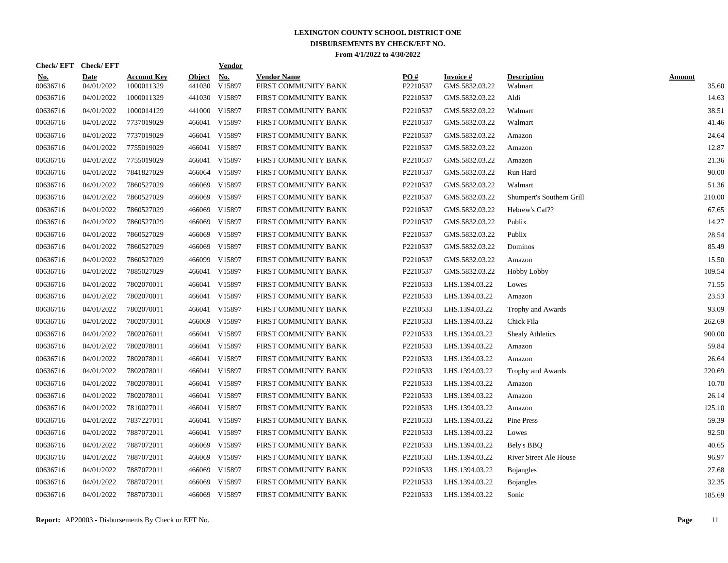| Check/EFT Check/EFT    |                           |                                  |                         | <b>Vendor</b> |                                            |                 |                             |                               |                        |
|------------------------|---------------------------|----------------------------------|-------------------------|---------------|--------------------------------------------|-----------------|-----------------------------|-------------------------------|------------------------|
| <u>No.</u><br>00636716 | <b>Date</b><br>04/01/2022 | <b>Account Key</b><br>1000011329 | <b>Object</b><br>441030 | No.<br>V15897 | <b>Vendor Name</b><br>FIRST COMMUNITY BANK | PO#<br>P2210537 | Invoice #<br>GMS.5832.03.22 | <b>Description</b><br>Walmart | <b>Amount</b><br>35.60 |
| 00636716               | 04/01/2022                | 1000011329                       |                         | 441030 V15897 | FIRST COMMUNITY BANK                       | P2210537        | GMS.5832.03.22              | Aldi                          | 14.63                  |
| 00636716               | 04/01/2022                | 1000014129                       |                         | 441000 V15897 | FIRST COMMUNITY BANK                       | P2210537        | GMS.5832.03.22              | Walmart                       | 38.51                  |
| 00636716               | 04/01/2022                | 7737019029                       |                         | 466041 V15897 | FIRST COMMUNITY BANK                       | P2210537        | GMS.5832.03.22              | Walmart                       | 41.46                  |
| 00636716               | 04/01/2022                | 7737019029                       |                         | 466041 V15897 | FIRST COMMUNITY BANK                       | P2210537        | GMS.5832.03.22              | Amazon                        | 24.64                  |
| 00636716               | 04/01/2022                | 7755019029                       |                         | 466041 V15897 | FIRST COMMUNITY BANK                       | P2210537        | GMS.5832.03.22              | Amazon                        | 12.87                  |
| 00636716               | 04/01/2022                | 7755019029                       |                         | 466041 V15897 | FIRST COMMUNITY BANK                       | P2210537        | GMS.5832.03.22              | Amazon                        | 21.36                  |
| 00636716               | 04/01/2022                | 7841827029                       | 466064                  | V15897        | FIRST COMMUNITY BANK                       | P2210537        | GMS.5832.03.22              | Run Hard                      | 90.00                  |
| 00636716               | 04/01/2022                | 7860527029                       | 466069                  | V15897        | FIRST COMMUNITY BANK                       | P2210537        | GMS.5832.03.22              | Walmart                       | 51.36                  |
| 00636716               | 04/01/2022                | 7860527029                       | 466069                  | V15897        | FIRST COMMUNITY BANK                       | P2210537        | GMS.5832.03.22              | Shumpert's Southern Grill     | 210.00                 |
| 00636716               | 04/01/2022                | 7860527029                       |                         | 466069 V15897 | FIRST COMMUNITY BANK                       | P2210537        | GMS.5832.03.22              | Hebrew's Caf??                | 67.65                  |
| 00636716               | 04/01/2022                | 7860527029                       |                         | 466069 V15897 | FIRST COMMUNITY BANK                       | P2210537        | GMS.5832.03.22              | Publix                        | 14.27                  |
| 00636716               | 04/01/2022                | 7860527029                       | 466069                  | V15897        | FIRST COMMUNITY BANK                       | P2210537        | GMS.5832.03.22              | Publix                        | 28.54                  |
| 00636716               | 04/01/2022                | 7860527029                       | 466069                  | V15897        | FIRST COMMUNITY BANK                       | P2210537        | GMS.5832.03.22              | Dominos                       | 85.49                  |
| 00636716               | 04/01/2022                | 7860527029                       | 466099                  | V15897        | FIRST COMMUNITY BANK                       | P2210537        | GMS.5832.03.22              | Amazon                        | 15.50                  |
| 00636716               | 04/01/2022                | 7885027029                       |                         | 466041 V15897 | FIRST COMMUNITY BANK                       | P2210537        | GMS.5832.03.22              | <b>Hobby Lobby</b>            | 109.54                 |
| 00636716               | 04/01/2022                | 7802070011                       |                         | 466041 V15897 | FIRST COMMUNITY BANK                       | P2210533        | LHS.1394.03.22              | Lowes                         | 71.55                  |
| 00636716               | 04/01/2022                | 7802070011                       |                         | 466041 V15897 | FIRST COMMUNITY BANK                       | P2210533        | LHS.1394.03.22              | Amazon                        | 23.53                  |
| 00636716               | 04/01/2022                | 7802070011                       |                         | 466041 V15897 | FIRST COMMUNITY BANK                       | P2210533        | LHS.1394.03.22              | Trophy and Awards             | 93.09                  |
| 00636716               | 04/01/2022                | 7802073011                       |                         | 466069 V15897 | FIRST COMMUNITY BANK                       | P2210533        | LHS.1394.03.22              | Chick Fila                    | 262.69                 |
| 00636716               | 04/01/2022                | 7802076011                       |                         | 466041 V15897 | FIRST COMMUNITY BANK                       | P2210533        | LHS.1394.03.22              | <b>Shealy Athletics</b>       | 900.00                 |
| 00636716               | 04/01/2022                | 7802078011                       |                         | 466041 V15897 | FIRST COMMUNITY BANK                       | P2210533        | LHS.1394.03.22              | Amazon                        | 59.84                  |
| 00636716               | 04/01/2022                | 7802078011                       |                         | 466041 V15897 | FIRST COMMUNITY BANK                       | P2210533        | LHS.1394.03.22              | Amazon                        | 26.64                  |
| 00636716               | 04/01/2022                | 7802078011                       |                         | 466041 V15897 | FIRST COMMUNITY BANK                       | P2210533        | LHS.1394.03.22              | Trophy and Awards             | 220.69                 |
| 00636716               | 04/01/2022                | 7802078011                       |                         | 466041 V15897 | FIRST COMMUNITY BANK                       | P2210533        | LHS.1394.03.22              | Amazon                        | 10.70                  |
| 00636716               | 04/01/2022                | 7802078011                       |                         | 466041 V15897 | FIRST COMMUNITY BANK                       | P2210533        | LHS.1394.03.22              | Amazon                        | 26.14                  |
| 00636716               | 04/01/2022                | 7810027011                       |                         | 466041 V15897 | FIRST COMMUNITY BANK                       | P2210533        | LHS.1394.03.22              | Amazon                        | 125.10                 |
| 00636716               | 04/01/2022                | 7837227011                       |                         | 466041 V15897 | FIRST COMMUNITY BANK                       | P2210533        | LHS.1394.03.22              | Pine Press                    | 59.39                  |
| 00636716               | 04/01/2022                | 7887072011                       |                         | 466041 V15897 | FIRST COMMUNITY BANK                       | P2210533        | LHS.1394.03.22              | Lowes                         | 92.50                  |
| 00636716               | 04/01/2022                | 7887072011                       | 466069                  | V15897        | FIRST COMMUNITY BANK                       | P2210533        | LHS.1394.03.22              | Bely's BBQ                    | 40.65                  |
| 00636716               | 04/01/2022                | 7887072011                       | 466069                  | V15897        | FIRST COMMUNITY BANK                       | P2210533        | LHS.1394.03.22              | <b>River Street Ale House</b> | 96.97                  |
| 00636716               | 04/01/2022                | 7887072011                       | 466069                  | V15897        | FIRST COMMUNITY BANK                       | P2210533        | LHS.1394.03.22              | <b>Bojangles</b>              | 27.68                  |
| 00636716               | 04/01/2022                | 7887072011                       | 466069                  | V15897        | FIRST COMMUNITY BANK                       | P2210533        | LHS.1394.03.22              | <b>Bojangles</b>              | 32.35                  |
| 00636716               | 04/01/2022                | 7887073011                       |                         | 466069 V15897 | FIRST COMMUNITY BANK                       | P2210533        | LHS.1394.03.22              | Sonic                         | 185.69                 |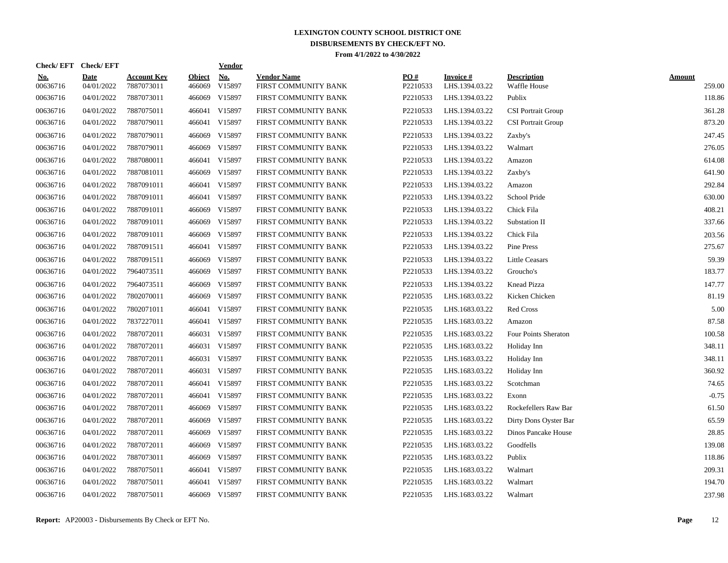| Check/EFT Check/EFT    |                           |                                  |                  | <u>Vendor</u> |                                            |                 |                             |                                    |                  |
|------------------------|---------------------------|----------------------------------|------------------|---------------|--------------------------------------------|-----------------|-----------------------------|------------------------------------|------------------|
| <u>No.</u><br>00636716 | <b>Date</b><br>04/01/2022 | <b>Account Key</b><br>7887073011 | Object<br>466069 | No.<br>V15897 | <b>Vendor Name</b><br>FIRST COMMUNITY BANK | PO#<br>P2210533 | Invoice #<br>LHS.1394.03.22 | <b>Description</b><br>Waffle House | Amount<br>259.00 |
| 00636716               | 04/01/2022                | 7887073011                       | 466069           | V15897        | FIRST COMMUNITY BANK                       | P2210533        | LHS.1394.03.22              | Publix                             | 118.86           |
| 00636716               | 04/01/2022                | 7887075011                       |                  | 466041 V15897 | FIRST COMMUNITY BANK                       | P2210533        | LHS.1394.03.22              | <b>CSI</b> Portrait Group          | 361.28           |
| 00636716               | 04/01/2022                | 7887079011                       |                  | 466041 V15897 | FIRST COMMUNITY BANK                       | P2210533        | LHS.1394.03.22              | <b>CSI Portrait Group</b>          | 873.20           |
| 00636716               | 04/01/2022                | 7887079011                       |                  | 466069 V15897 | FIRST COMMUNITY BANK                       | P2210533        | LHS.1394.03.22              | Zaxby's                            | 247.45           |
| 00636716               | 04/01/2022                | 7887079011                       |                  | 466069 V15897 | FIRST COMMUNITY BANK                       | P2210533        | LHS.1394.03.22              | Walmart                            | 276.05           |
| 00636716               | 04/01/2022                | 7887080011                       | 466041           | V15897        | FIRST COMMUNITY BANK                       | P2210533        | LHS.1394.03.22              | Amazon                             | 614.08           |
| 00636716               | 04/01/2022                | 7887081011                       | 466069           | V15897        | FIRST COMMUNITY BANK                       | P2210533        | LHS.1394.03.22              | Zaxby's                            | 641.90           |
| 00636716               | 04/01/2022                | 7887091011                       |                  | 466041 V15897 | FIRST COMMUNITY BANK                       | P2210533        | LHS.1394.03.22              | Amazon                             | 292.84           |
| 00636716               | 04/01/2022                | 7887091011                       |                  | 466041 V15897 | FIRST COMMUNITY BANK                       | P2210533        | LHS.1394.03.22              | School Pride                       | 630.00           |
| 00636716               | 04/01/2022                | 7887091011                       |                  | 466069 V15897 | FIRST COMMUNITY BANK                       | P2210533        | LHS.1394.03.22              | Chick Fila                         | 408.21           |
| 00636716               | 04/01/2022                | 7887091011                       |                  | 466069 V15897 | FIRST COMMUNITY BANK                       | P2210533        | LHS.1394.03.22              | Substation II                      | 337.66           |
| 00636716               | 04/01/2022                | 7887091011                       |                  | 466069 V15897 | FIRST COMMUNITY BANK                       | P2210533        | LHS.1394.03.22              | Chick Fila                         | 203.56           |
| 00636716               | 04/01/2022                | 7887091511                       |                  | 466041 V15897 | FIRST COMMUNITY BANK                       | P2210533        | LHS.1394.03.22              | Pine Press                         | 275.67           |
| 00636716               | 04/01/2022                | 7887091511                       | 466069           | V15897        | FIRST COMMUNITY BANK                       | P2210533        | LHS.1394.03.22              | <b>Little Ceasars</b>              | 59.39            |
| 00636716               | 04/01/2022                | 7964073511                       | 466069           | V15897        | FIRST COMMUNITY BANK                       | P2210533        | LHS.1394.03.22              | Groucho's                          | 183.77           |
| 00636716               | 04/01/2022                | 7964073511                       | 466069           | V15897        | FIRST COMMUNITY BANK                       | P2210533        | LHS.1394.03.22              | Knead Pizza                        | 147.77           |
| 00636716               | 04/01/2022                | 7802070011                       | 466069           | V15897        | FIRST COMMUNITY BANK                       | P2210535        | LHS.1683.03.22              | Kicken Chicken                     | 81.19            |
| 00636716               | 04/01/2022                | 7802071011                       |                  | 466041 V15897 | FIRST COMMUNITY BANK                       | P2210535        | LHS.1683.03.22              | <b>Red Cross</b>                   | 5.00             |
| 00636716               | 04/01/2022                | 7837227011                       |                  | 466041 V15897 | FIRST COMMUNITY BANK                       | P2210535        | LHS.1683.03.22              | Amazon                             | 87.58            |
| 00636716               | 04/01/2022                | 7887072011                       |                  | 466031 V15897 | FIRST COMMUNITY BANK                       | P2210535        | LHS.1683.03.22              | Four Points Sheraton               | 100.58           |
| 00636716               | 04/01/2022                | 7887072011                       |                  | 466031 V15897 | FIRST COMMUNITY BANK                       | P2210535        | LHS.1683.03.22              | Holiday Inn                        | 348.11           |
| 00636716               | 04/01/2022                | 7887072011                       | 466031           | V15897        | FIRST COMMUNITY BANK                       | P2210535        | LHS.1683.03.22              | Holiday Inn                        | 348.11           |
| 00636716               | 04/01/2022                | 7887072011                       |                  | 466031 V15897 | FIRST COMMUNITY BANK                       | P2210535        | LHS.1683.03.22              | Holiday Inn                        | 360.92           |
| 00636716               | 04/01/2022                | 7887072011                       |                  | 466041 V15897 | FIRST COMMUNITY BANK                       | P2210535        | LHS.1683.03.22              | Scotchman                          | 74.65            |
| 00636716               | 04/01/2022                | 7887072011                       |                  | 466041 V15897 | FIRST COMMUNITY BANK                       | P2210535        | LHS.1683.03.22              | Exonn                              | $-0.75$          |
| 00636716               | 04/01/2022                | 7887072011                       |                  | 466069 V15897 | FIRST COMMUNITY BANK                       | P2210535        | LHS.1683.03.22              | Rockefellers Raw Bar               | 61.50            |
| 00636716               | 04/01/2022                | 7887072011                       |                  | 466069 V15897 | FIRST COMMUNITY BANK                       | P2210535        | LHS.1683.03.22              | Dirty Dons Oyster Bar              | 65.59            |
| 00636716               | 04/01/2022                | 7887072011                       |                  | 466069 V15897 | FIRST COMMUNITY BANK                       | P2210535        | LHS.1683.03.22              | Dinos Pancake House                | 28.85            |
| 00636716               | 04/01/2022                | 7887072011                       |                  | 466069 V15897 | FIRST COMMUNITY BANK                       | P2210535        | LHS.1683.03.22              | Goodfells                          | 139.08           |
| 00636716               | 04/01/2022                | 7887073011                       | 466069           | V15897        | FIRST COMMUNITY BANK                       | P2210535        | LHS.1683.03.22              | Publix                             | 118.86           |
| 00636716               | 04/01/2022                | 7887075011                       | 466041           | V15897        | FIRST COMMUNITY BANK                       | P2210535        | LHS.1683.03.22              | Walmart                            | 209.31           |
| 00636716               | 04/01/2022                | 7887075011                       | 466041           | V15897        | FIRST COMMUNITY BANK                       | P2210535        | LHS.1683.03.22              | Walmart                            | 194.70           |
| 00636716               | 04/01/2022                | 7887075011                       |                  | 466069 V15897 | FIRST COMMUNITY BANK                       | P2210535        | LHS.1683.03.22              | Walmart                            | 237.98           |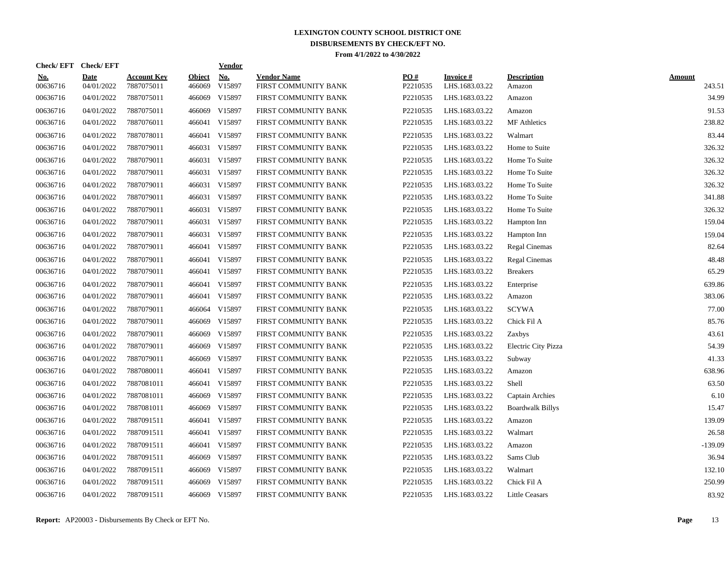| Check/EFT Check/EFT    |                           |                                  |                  | <u>Vendor</u> |                                            |                 |                             |                              |                         |
|------------------------|---------------------------|----------------------------------|------------------|---------------|--------------------------------------------|-----------------|-----------------------------|------------------------------|-------------------------|
| <u>No.</u><br>00636716 | <b>Date</b><br>04/01/2022 | <b>Account Key</b><br>7887075011 | Object<br>466069 | No.<br>V15897 | <b>Vendor Name</b><br>FIRST COMMUNITY BANK | PO#<br>P2210535 | Invoice #<br>LHS.1683.03.22 | <b>Description</b><br>Amazon | <b>Amount</b><br>243.51 |
| 00636716               | 04/01/2022                | 7887075011                       | 466069           | V15897        | FIRST COMMUNITY BANK                       | P2210535        | LHS.1683.03.22              | Amazon                       | 34.99                   |
| 00636716               | 04/01/2022                | 7887075011                       | 466069           | V15897        | FIRST COMMUNITY BANK                       | P2210535        | LHS.1683.03.22              | Amazon                       | 91.53                   |
| 00636716               | 04/01/2022                | 7887076011                       |                  | 466041 V15897 | FIRST COMMUNITY BANK                       | P2210535        | LHS.1683.03.22              | <b>MF</b> Athletics          | 238.82                  |
| 00636716               | 04/01/2022                | 7887078011                       |                  | 466041 V15897 | FIRST COMMUNITY BANK                       | P2210535        | LHS.1683.03.22              | Walmart                      | 83.44                   |
| 00636716               | 04/01/2022                | 7887079011                       |                  | 466031 V15897 | FIRST COMMUNITY BANK                       | P2210535        | LHS.1683.03.22              | Home to Suite                | 326.32                  |
| 00636716               | 04/01/2022                | 7887079011                       | 466031           | V15897        | FIRST COMMUNITY BANK                       | P2210535        | LHS.1683.03.22              | Home To Suite                | 326.32                  |
| 00636716               | 04/01/2022                | 7887079011                       | 466031           | V15897        | FIRST COMMUNITY BANK                       | P2210535        | LHS.1683.03.22              | Home To Suite                | 326.32                  |
| 00636716               | 04/01/2022                | 7887079011                       |                  | 466031 V15897 | FIRST COMMUNITY BANK                       | P2210535        | LHS.1683.03.22              | Home To Suite                | 326.32                  |
| 00636716               | 04/01/2022                | 7887079011                       |                  | 466031 V15897 | FIRST COMMUNITY BANK                       | P2210535        | LHS.1683.03.22              | Home To Suite                | 341.88                  |
| 00636716               | 04/01/2022                | 7887079011                       |                  | 466031 V15897 | FIRST COMMUNITY BANK                       | P2210535        | LHS.1683.03.22              | Home To Suite                | 326.32                  |
| 00636716               | 04/01/2022                | 7887079011                       |                  | 466031 V15897 | FIRST COMMUNITY BANK                       | P2210535        | LHS.1683.03.22              | Hampton Inn                  | 159.04                  |
| 00636716               | 04/01/2022                | 7887079011                       |                  | 466031 V15897 | FIRST COMMUNITY BANK                       | P2210535        | LHS.1683.03.22              | Hampton Inn                  | 159.04                  |
| 00636716               | 04/01/2022                | 7887079011                       |                  | 466041 V15897 | FIRST COMMUNITY BANK                       | P2210535        | LHS.1683.03.22              | Regal Cinemas                | 82.64                   |
| 00636716               | 04/01/2022                | 7887079011                       | 466041           | V15897        | FIRST COMMUNITY BANK                       | P2210535        | LHS.1683.03.22              | Regal Cinemas                | 48.48                   |
| 00636716               | 04/01/2022                | 7887079011                       | 466041           | V15897        | FIRST COMMUNITY BANK                       | P2210535        | LHS.1683.03.22              | <b>Breakers</b>              | 65.29                   |
| 00636716               | 04/01/2022                | 7887079011                       |                  | 466041 V15897 | FIRST COMMUNITY BANK                       | P2210535        | LHS.1683.03.22              | Enterprise                   | 639.86                  |
| 00636716               | 04/01/2022                | 7887079011                       |                  | 466041 V15897 | FIRST COMMUNITY BANK                       | P2210535        | LHS.1683.03.22              | Amazon                       | 383.06                  |
| 00636716               | 04/01/2022                | 7887079011                       | 466064           | V15897        | FIRST COMMUNITY BANK                       | P2210535        | LHS.1683.03.22              | <b>SCYWA</b>                 | 77.00                   |
| 00636716               | 04/01/2022                | 7887079011                       |                  | 466069 V15897 | FIRST COMMUNITY BANK                       | P2210535        | LHS.1683.03.22              | Chick Fil A                  | 85.76                   |
| 00636716               | 04/01/2022                | 7887079011                       | 466069           | V15897        | FIRST COMMUNITY BANK                       | P2210535        | LHS.1683.03.22              | Zaxbys                       | 43.61                   |
| 00636716               | 04/01/2022                | 7887079011                       |                  | 466069 V15897 | FIRST COMMUNITY BANK                       | P2210535        | LHS.1683.03.22              | Electric City Pizza          | 54.39                   |
| 00636716               | 04/01/2022                | 7887079011                       | 466069           | V15897        | FIRST COMMUNITY BANK                       | P2210535        | LHS.1683.03.22              | Subway                       | 41.33                   |
| 00636716               | 04/01/2022                | 7887080011                       | 466041           | V15897        | FIRST COMMUNITY BANK                       | P2210535        | LHS.1683.03.22              | Amazon                       | 638.96                  |
| 00636716               | 04/01/2022                | 7887081011                       |                  | 466041 V15897 | FIRST COMMUNITY BANK                       | P2210535        | LHS.1683.03.22              | Shell                        | 63.50                   |
| 00636716               | 04/01/2022                | 7887081011                       |                  | 466069 V15897 | FIRST COMMUNITY BANK                       | P2210535        | LHS.1683.03.22              | Captain Archies              | 6.10                    |
| 00636716               | 04/01/2022                | 7887081011                       |                  | 466069 V15897 | FIRST COMMUNITY BANK                       | P2210535        | LHS.1683.03.22              | <b>Boardwalk Billys</b>      | 15.47                   |
| 00636716               | 04/01/2022                | 7887091511                       |                  | 466041 V15897 | FIRST COMMUNITY BANK                       | P2210535        | LHS.1683.03.22              | Amazon                       | 139.09                  |
| 00636716               | 04/01/2022                | 7887091511                       |                  | 466041 V15897 | FIRST COMMUNITY BANK                       | P2210535        | LHS.1683.03.22              | Walmart                      | 26.58                   |
| 00636716               | 04/01/2022                | 7887091511                       |                  | 466041 V15897 | FIRST COMMUNITY BANK                       | P2210535        | LHS.1683.03.22              | Amazon                       | $-139.09$               |
| 00636716               | 04/01/2022                | 7887091511                       |                  | 466069 V15897 | FIRST COMMUNITY BANK                       | P2210535        | LHS.1683.03.22              | Sams Club                    | 36.94                   |
| 00636716               | 04/01/2022                | 7887091511                       | 466069           | V15897        | FIRST COMMUNITY BANK                       | P2210535        | LHS.1683.03.22              | Walmart                      | 132.10                  |
| 00636716               | 04/01/2022                | 7887091511                       | 466069           | V15897        | FIRST COMMUNITY BANK                       | P2210535        | LHS.1683.03.22              | Chick Fil A                  | 250.99                  |
| 00636716               | 04/01/2022                | 7887091511                       |                  | 466069 V15897 | FIRST COMMUNITY BANK                       | P2210535        | LHS.1683.03.22              | <b>Little Ceasars</b>        | 83.92                   |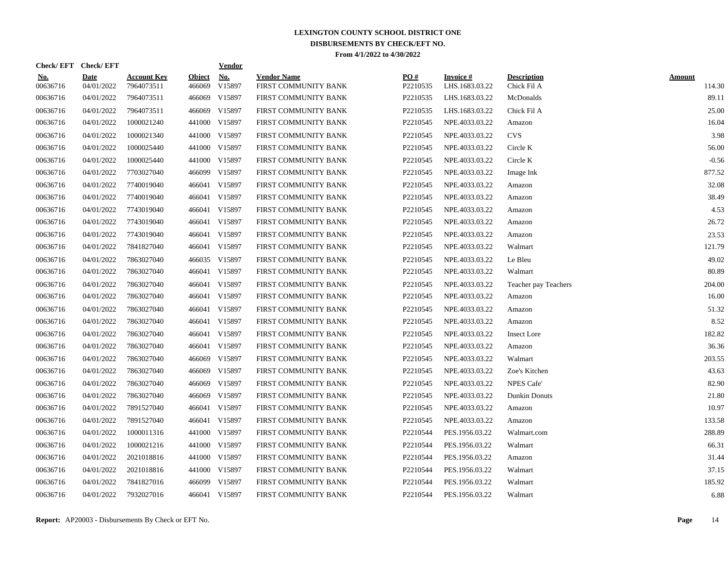|                        | Check/EFT Check/EFT       |                                  |                  | <b>Vendor</b> |                                            |                 |                             |                                   |                  |
|------------------------|---------------------------|----------------------------------|------------------|---------------|--------------------------------------------|-----------------|-----------------------------|-----------------------------------|------------------|
| <u>No.</u><br>00636716 | <b>Date</b><br>04/01/2022 | <b>Account Key</b><br>7964073511 | Object<br>466069 | No.<br>V15897 | <b>Vendor Name</b><br>FIRST COMMUNITY BANK | PO#<br>P2210535 | Invoice #<br>LHS.1683.03.22 | <b>Description</b><br>Chick Fil A | Amount<br>114.30 |
| 00636716               | 04/01/2022                | 7964073511                       | 466069           | V15897        | FIRST COMMUNITY BANK                       | P2210535        | LHS.1683.03.22              | McDonalds                         | 89.11            |
| 00636716               | 04/01/2022                | 7964073511                       | 466069           | V15897        | FIRST COMMUNITY BANK                       | P2210535        | LHS.1683.03.22              | Chick Fil A                       | 25.00            |
| 00636716               | 04/01/2022                | 1000021240                       |                  | 441000 V15897 | FIRST COMMUNITY BANK                       | P2210545        | NPE.4033.03.22              | Amazon                            | 16.04            |
| 00636716               | 04/01/2022                | 1000021340                       |                  | 441000 V15897 | FIRST COMMUNITY BANK                       | P2210545        | NPE.4033.03.22              | <b>CVS</b>                        | 3.98             |
| 00636716               | 04/01/2022                | 1000025440                       |                  | 441000 V15897 | FIRST COMMUNITY BANK                       | P2210545        | NPE.4033.03.22              | Circle K                          | 56.00            |
| 00636716               | 04/01/2022                | 1000025440                       | 441000           | V15897        | FIRST COMMUNITY BANK                       | P2210545        | NPE.4033.03.22              | Circle K                          | $-0.56$          |
| 00636716               | 04/01/2022                | 7703027040                       | 466099           | V15897        | FIRST COMMUNITY BANK                       | P2210545        | NPE.4033.03.22              | Image Ink                         | 877.52           |
| 00636716               | 04/01/2022                | 7740019040                       |                  | 466041 V15897 | FIRST COMMUNITY BANK                       | P2210545        | NPE.4033.03.22              | Amazon                            | 32.08            |
| 00636716               | 04/01/2022                | 7740019040                       |                  | 466041 V15897 | FIRST COMMUNITY BANK                       | P2210545        | NPE.4033.03.22              | Amazon                            | 38.49            |
| 00636716               | 04/01/2022                | 7743019040                       |                  | 466041 V15897 | FIRST COMMUNITY BANK                       | P2210545        | NPE.4033.03.22              | Amazon                            | 4.53             |
| 00636716               | 04/01/2022                | 7743019040                       |                  | 466041 V15897 | FIRST COMMUNITY BANK                       | P2210545        | NPE.4033.03.22              | Amazon                            | 26.72            |
| 00636716               | 04/01/2022                | 7743019040                       |                  | 466041 V15897 | FIRST COMMUNITY BANK                       | P2210545        | NPE.4033.03.22              | Amazon                            | 23.53            |
| 00636716               | 04/01/2022                | 7841827040                       |                  | 466041 V15897 | FIRST COMMUNITY BANK                       | P2210545        | NPE.4033.03.22              | Walmart                           | 121.79           |
| 00636716               | 04/01/2022                | 7863027040                       | 466035           | V15897        | FIRST COMMUNITY BANK                       | P2210545        | NPE.4033.03.22              | Le Bleu                           | 49.02            |
| 00636716               | 04/01/2022                | 7863027040                       |                  | 466041 V15897 | FIRST COMMUNITY BANK                       | P2210545        | NPE.4033.03.22              | Walmart                           | 80.89            |
| 00636716               | 04/01/2022                | 7863027040                       | 466041           | V15897        | FIRST COMMUNITY BANK                       | P2210545        | NPE.4033.03.22              | Teacher pay Teachers              | 204.00           |
| 00636716               | 04/01/2022                | 7863027040                       |                  | 466041 V15897 | FIRST COMMUNITY BANK                       | P2210545        | NPE.4033.03.22              | Amazon                            | 16.00            |
| 00636716               | 04/01/2022                | 7863027040                       |                  | 466041 V15897 | FIRST COMMUNITY BANK                       | P2210545        | NPE.4033.03.22              | Amazon                            | 51.32            |
| 00636716               | 04/01/2022                | 7863027040                       |                  | 466041 V15897 | FIRST COMMUNITY BANK                       | P2210545        | NPE.4033.03.22              | Amazon                            | 8.52             |
| 00636716               | 04/01/2022                | 7863027040                       |                  | 466041 V15897 | FIRST COMMUNITY BANK                       | P2210545        | NPE.4033.03.22              | <b>Insect Lore</b>                | 182.82           |
| 00636716               | 04/01/2022                | 7863027040                       |                  | 466041 V15897 | FIRST COMMUNITY BANK                       | P2210545        | NPE.4033.03.22              | Amazon                            | 36.36            |
| 00636716               | 04/01/2022                | 7863027040                       | 466069           | V15897        | FIRST COMMUNITY BANK                       | P2210545        | NPE.4033.03.22              | Walmart                           | 203.55           |
| 00636716               | 04/01/2022                | 7863027040                       | 466069           | V15897        | FIRST COMMUNITY BANK                       | P2210545        | NPE.4033.03.22              | Zoe's Kitchen                     | 43.63            |
| 00636716               | 04/01/2022                | 7863027040                       | 466069           | V15897        | FIRST COMMUNITY BANK                       | P2210545        | NPE.4033.03.22              | <b>NPES Cafe'</b>                 | 82.90            |
| 00636716               | 04/01/2022                | 7863027040                       | 466069           | V15897        | FIRST COMMUNITY BANK                       | P2210545        | NPE.4033.03.22              | Dunkin Donuts                     | 21.80            |
| 00636716               | 04/01/2022                | 7891527040                       |                  | 466041 V15897 | FIRST COMMUNITY BANK                       | P2210545        | NPE.4033.03.22              | Amazon                            | 10.97            |
| 00636716               | 04/01/2022                | 7891527040                       |                  | 466041 V15897 | FIRST COMMUNITY BANK                       | P2210545        | NPE.4033.03.22              | Amazon                            | 133.58           |
| 00636716               | 04/01/2022                | 1000011316                       |                  | 441000 V15897 | FIRST COMMUNITY BANK                       | P2210544        | PES.1956.03.22              | Walmart.com                       | 288.89           |
| 00636716               | 04/01/2022                | 1000021216                       |                  | 441000 V15897 | FIRST COMMUNITY BANK                       | P2210544        | PES.1956.03.22              | Walmart                           | 66.31            |
| 00636716               | 04/01/2022                | 2021018816                       |                  | 441000 V15897 | FIRST COMMUNITY BANK                       | P2210544        | PES.1956.03.22              | Amazon                            | 31.44            |
| 00636716               | 04/01/2022                | 2021018816                       | 441000           | V15897        | FIRST COMMUNITY BANK                       | P2210544        | PES.1956.03.22              | Walmart                           | 37.15            |
| 00636716               | 04/01/2022                | 7841827016                       | 466099           | V15897        | FIRST COMMUNITY BANK                       | P2210544        | PES.1956.03.22              | Walmart                           | 185.92           |
| 00636716               | 04/01/2022                | 7932027016                       |                  | 466041 V15897 | FIRST COMMUNITY BANK                       | P2210544        | PES.1956.03.22              | Walmart                           | 6.88             |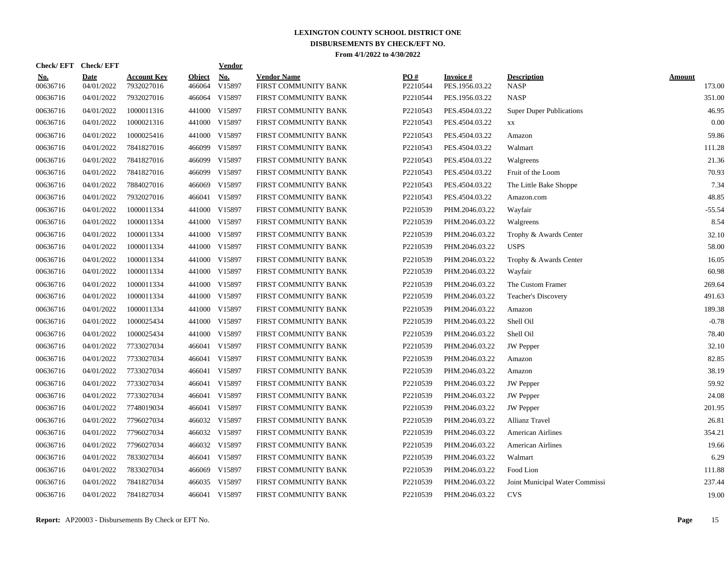| Check/EFT Check/EFT    |                           |                                  |                         | <b>Vendor</b> |                                            |                 |                             |                                   |                         |
|------------------------|---------------------------|----------------------------------|-------------------------|---------------|--------------------------------------------|-----------------|-----------------------------|-----------------------------------|-------------------------|
| <u>No.</u><br>00636716 | <b>Date</b><br>04/01/2022 | <b>Account Key</b><br>7932027016 | <b>Object</b><br>466064 | No.<br>V15897 | <b>Vendor Name</b><br>FIRST COMMUNITY BANK | PO#<br>P2210544 | Invoice #<br>PES.1956.03.22 | <b>Description</b><br><b>NASP</b> | <b>Amount</b><br>173.00 |
| 00636716               | 04/01/2022                | 7932027016                       |                         | 466064 V15897 | FIRST COMMUNITY BANK                       | P2210544        | PES.1956.03.22              | <b>NASP</b>                       | 351.00                  |
| 00636716               | 04/01/2022                | 1000011316                       |                         | 441000 V15897 | FIRST COMMUNITY BANK                       | P2210543        | PES.4504.03.22              | <b>Super Duper Publications</b>   | 46.95                   |
| 00636716               | 04/01/2022                | 1000021316                       |                         | 441000 V15897 | FIRST COMMUNITY BANK                       | P2210543        | PES.4504.03.22              | $\mathbf{X}\mathbf{X}$            | 0.00                    |
| 00636716               | 04/01/2022                | 1000025416                       |                         | 441000 V15897 | FIRST COMMUNITY BANK                       | P2210543        | PES.4504.03.22              | Amazon                            | 59.86                   |
| 00636716               | 04/01/2022                | 7841827016                       |                         | 466099 V15897 | FIRST COMMUNITY BANK                       | P2210543        | PES.4504.03.22              | Walmart                           | 111.28                  |
| 00636716               | 04/01/2022                | 7841827016                       | 466099                  | V15897        | FIRST COMMUNITY BANK                       | P2210543        | PES.4504.03.22              | Walgreens                         | 21.36                   |
| 00636716               | 04/01/2022                | 7841827016                       | 466099                  | V15897        | FIRST COMMUNITY BANK                       | P2210543        | PES.4504.03.22              | Fruit of the Loom                 | 70.93                   |
| 00636716               | 04/01/2022                | 7884027016                       |                         | 466069 V15897 | FIRST COMMUNITY BANK                       | P2210543        | PES.4504.03.22              | The Little Bake Shoppe            | 7.34                    |
| 00636716               | 04/01/2022                | 7932027016                       |                         | 466041 V15897 | FIRST COMMUNITY BANK                       | P2210543        | PES.4504.03.22              | Amazon.com                        | 48.85                   |
| 00636716               | 04/01/2022                | 1000011334                       |                         | 441000 V15897 | FIRST COMMUNITY BANK                       | P2210539        | PHM.2046.03.22              | Wayfair                           | $-55.54$                |
| 00636716               | 04/01/2022                | 1000011334                       |                         | 441000 V15897 | FIRST COMMUNITY BANK                       | P2210539        | PHM.2046.03.22              | Walgreens                         | 8.54                    |
| 00636716               | 04/01/2022                | 1000011334                       |                         | 441000 V15897 | FIRST COMMUNITY BANK                       | P2210539        | PHM.2046.03.22              | Trophy & Awards Center            | 32.10                   |
| 00636716               | 04/01/2022                | 1000011334                       |                         | 441000 V15897 | FIRST COMMUNITY BANK                       | P2210539        | PHM.2046.03.22              | <b>USPS</b>                       | 58.00                   |
| 00636716               | 04/01/2022                | 1000011334                       | 441000                  | V15897        | FIRST COMMUNITY BANK                       | P2210539        | PHM.2046.03.22              | Trophy & Awards Center            | 16.05                   |
| 00636716               | 04/01/2022                | 1000011334                       |                         | 441000 V15897 | FIRST COMMUNITY BANK                       | P2210539        | PHM.2046.03.22              | Wayfair                           | 60.98                   |
| 00636716               | 04/01/2022                | 1000011334                       | 441000                  | V15897        | FIRST COMMUNITY BANK                       | P2210539        | PHM.2046.03.22              | The Custom Framer                 | 269.64                  |
| 00636716               | 04/01/2022                | 1000011334                       | 441000                  | V15897        | FIRST COMMUNITY BANK                       | P2210539        | PHM.2046.03.22              | Teacher's Discovery               | 491.63                  |
| 00636716               | 04/01/2022                | 1000011334                       | 441000                  | V15897        | FIRST COMMUNITY BANK                       | P2210539        | PHM.2046.03.22              | Amazon                            | 189.38                  |
| 00636716               | 04/01/2022                | 1000025434                       |                         | 441000 V15897 | FIRST COMMUNITY BANK                       | P2210539        | PHM.2046.03.22              | Shell Oil                         | $-0.78$                 |
| 00636716               | 04/01/2022                | 1000025434                       |                         | 441000 V15897 | FIRST COMMUNITY BANK                       | P2210539        | PHM.2046.03.22              | Shell Oil                         | 78.40                   |
| 00636716               | 04/01/2022                | 7733027034                       |                         | 466041 V15897 | FIRST COMMUNITY BANK                       | P2210539        | PHM.2046.03.22              | JW Pepper                         | 32.10                   |
| 00636716               | 04/01/2022                | 7733027034                       |                         | 466041 V15897 | FIRST COMMUNITY BANK                       | P2210539        | PHM.2046.03.22              | Amazon                            | 82.85                   |
| 00636716               | 04/01/2022                | 7733027034                       |                         | 466041 V15897 | FIRST COMMUNITY BANK                       | P2210539        | PHM.2046.03.22              | Amazon                            | 38.19                   |
| 00636716               | 04/01/2022                | 7733027034                       |                         | 466041 V15897 | FIRST COMMUNITY BANK                       | P2210539        | PHM.2046.03.22              | <b>JW</b> Pepper                  | 59.92                   |
| 00636716               | 04/01/2022                | 7733027034                       |                         | 466041 V15897 | FIRST COMMUNITY BANK                       | P2210539        | PHM.2046.03.22              | <b>JW</b> Pepper                  | 24.08                   |
| 00636716               | 04/01/2022                | 7748019034                       |                         | 466041 V15897 | FIRST COMMUNITY BANK                       | P2210539        | PHM.2046.03.22              | <b>JW</b> Pepper                  | 201.95                  |
| 00636716               | 04/01/2022                | 7796027034                       |                         | 466032 V15897 | FIRST COMMUNITY BANK                       | P2210539        | PHM.2046.03.22              | <b>Allianz Travel</b>             | 26.81                   |
| 00636716               | 04/01/2022                | 7796027034                       |                         | 466032 V15897 | FIRST COMMUNITY BANK                       | P2210539        | PHM.2046.03.22              | <b>American Airlines</b>          | 354.21                  |
| 00636716               | 04/01/2022                | 7796027034                       |                         | 466032 V15897 | FIRST COMMUNITY BANK                       | P2210539        | PHM.2046.03.22              | <b>American Airlines</b>          | 19.66                   |
| 00636716               | 04/01/2022                | 7833027034                       |                         | 466041 V15897 | FIRST COMMUNITY BANK                       | P2210539        | PHM.2046.03.22              | Walmart                           | 6.29                    |
| 00636716               | 04/01/2022                | 7833027034                       | 466069                  | V15897        | FIRST COMMUNITY BANK                       | P2210539        | PHM.2046.03.22              | Food Lion                         | 111.88                  |
| 00636716               | 04/01/2022                | 7841827034                       |                         | 466035 V15897 | FIRST COMMUNITY BANK                       | P2210539        | PHM.2046.03.22              | Joint Municipal Water Commissi    | 237.44                  |
| 00636716               | 04/01/2022                | 7841827034                       |                         | 466041 V15897 | FIRST COMMUNITY BANK                       | P2210539        | PHM.2046.03.22              | <b>CVS</b>                        | 19.00                   |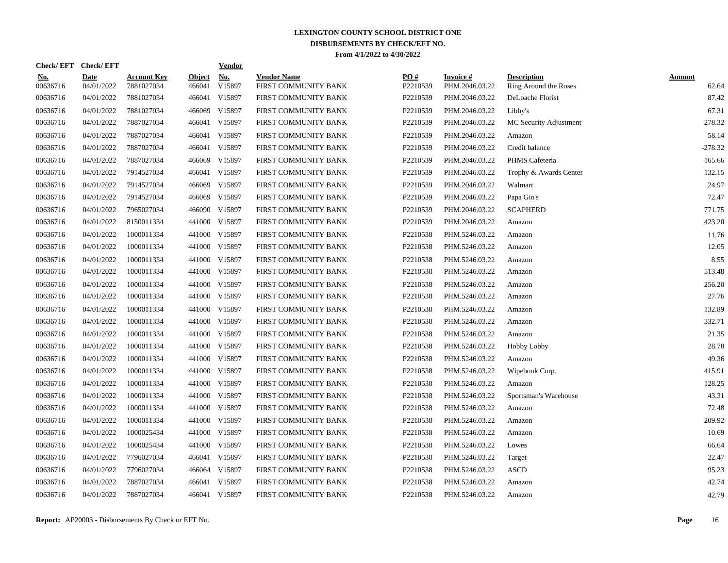| Check/EFT Check/EFT    |                           |                                  |                         | <b>Vendor</b> |                                            |                 |                             |                                             |                        |
|------------------------|---------------------------|----------------------------------|-------------------------|---------------|--------------------------------------------|-----------------|-----------------------------|---------------------------------------------|------------------------|
| <u>No.</u><br>00636716 | <b>Date</b><br>04/01/2022 | <b>Account Key</b><br>7881027034 | <b>Object</b><br>466041 | No.<br>V15897 | <b>Vendor Name</b><br>FIRST COMMUNITY BANK | PO#<br>P2210539 | Invoice #<br>PHM.2046.03.22 | <b>Description</b><br>Ring Around the Roses | <b>Amount</b><br>62.64 |
| 00636716               | 04/01/2022                | 7881027034                       |                         | 466041 V15897 | FIRST COMMUNITY BANK                       | P2210539        | PHM.2046.03.22              | DeLoache Florist                            | 87.42                  |
| 00636716               | 04/01/2022                | 7881027034                       |                         | 466069 V15897 | FIRST COMMUNITY BANK                       | P2210539        | PHM.2046.03.22              | Libby's                                     | 67.31                  |
| 00636716               | 04/01/2022                | 7887027034                       |                         | 466041 V15897 | FIRST COMMUNITY BANK                       | P2210539        | PHM.2046.03.22              | MC Security Adjustment                      | 278.32                 |
| 00636716               | 04/01/2022                | 7887027034                       |                         | 466041 V15897 | FIRST COMMUNITY BANK                       | P2210539        | PHM.2046.03.22              | Amazon                                      | 58.14                  |
| 00636716               | 04/01/2022                | 7887027034                       |                         | 466041 V15897 | FIRST COMMUNITY BANK                       | P2210539        | PHM.2046.03.22              | Credit balance                              | $-278.32$              |
| 00636716               | 04/01/2022                | 7887027034                       | 466069                  | V15897        | FIRST COMMUNITY BANK                       | P2210539        | PHM.2046.03.22              | PHMS Cafeteria                              | 165.66                 |
| 00636716               | 04/01/2022                | 7914527034                       |                         | 466041 V15897 | FIRST COMMUNITY BANK                       | P2210539        | PHM.2046.03.22              | Trophy & Awards Center                      | 132.15                 |
| 00636716               | 04/01/2022                | 7914527034                       | 466069                  | V15897        | FIRST COMMUNITY BANK                       | P2210539        | PHM.2046.03.22              | Walmart                                     | 24.97                  |
| 00636716               | 04/01/2022                | 7914527034                       | 466069                  | V15897        | FIRST COMMUNITY BANK                       | P2210539        | PHM.2046.03.22              | Papa Gio's                                  | 72.47                  |
| 00636716               | 04/01/2022                | 7965027034                       |                         | 466090 V15897 | FIRST COMMUNITY BANK                       | P2210539        | PHM.2046.03.22              | <b>SCAPHERD</b>                             | 771.75                 |
| 00636716               | 04/01/2022                | 8150011334                       |                         | 441000 V15897 | FIRST COMMUNITY BANK                       | P2210539        | PHM.2046.03.22              | Amazon                                      | 423.20                 |
| 00636716               | 04/01/2022                | 1000011334                       |                         | 441000 V15897 | FIRST COMMUNITY BANK                       | P2210538        | PHM.5246.03.22              | Amazon                                      | 11.76                  |
| 00636716               | 04/01/2022                | 1000011334                       |                         | 441000 V15897 | FIRST COMMUNITY BANK                       | P2210538        | PHM.5246.03.22              | Amazon                                      | 12.05                  |
| 00636716               | 04/01/2022                | 1000011334                       | 441000                  | V15897        | FIRST COMMUNITY BANK                       | P2210538        | PHM.5246.03.22              | Amazon                                      | 8.55                   |
| 00636716               | 04/01/2022                | 1000011334                       |                         | 441000 V15897 | FIRST COMMUNITY BANK                       | P2210538        | PHM.5246.03.22              | Amazon                                      | 513.48                 |
| 00636716               | 04/01/2022                | 1000011334                       | 441000                  | V15897        | FIRST COMMUNITY BANK                       | P2210538        | PHM.5246.03.22              | Amazon                                      | 256.20                 |
| 00636716               | 04/01/2022                | 1000011334                       |                         | 441000 V15897 | FIRST COMMUNITY BANK                       | P2210538        | PHM.5246.03.22              | Amazon                                      | 27.76                  |
| 00636716               | 04/01/2022                | 1000011334                       | 441000                  | V15897        | FIRST COMMUNITY BANK                       | P2210538        | PHM.5246.03.22              | Amazon                                      | 132.89                 |
| 00636716               | 04/01/2022                | 1000011334                       |                         | 441000 V15897 | FIRST COMMUNITY BANK                       | P2210538        | PHM.5246.03.22              | Amazon                                      | 332.71                 |
| 00636716               | 04/01/2022                | 1000011334                       |                         | 441000 V15897 | FIRST COMMUNITY BANK                       | P2210538        | PHM.5246.03.22              | Amazon                                      | 21.35                  |
| 00636716               | 04/01/2022                | 1000011334                       |                         | 441000 V15897 | FIRST COMMUNITY BANK                       | P2210538        | PHM.5246.03.22              | <b>Hobby Lobby</b>                          | 28.78                  |
| 00636716               | 04/01/2022                | 1000011334                       |                         | 441000 V15897 | FIRST COMMUNITY BANK                       | P2210538        | PHM.5246.03.22              | Amazon                                      | 49.36                  |
| 00636716               | 04/01/2022                | 1000011334                       |                         | 441000 V15897 | FIRST COMMUNITY BANK                       | P2210538        | PHM.5246.03.22              | Wipebook Corp.                              | 415.91                 |
| 00636716               | 04/01/2022                | 1000011334                       |                         | 441000 V15897 | FIRST COMMUNITY BANK                       | P2210538        | PHM.5246.03.22              | Amazon                                      | 128.25                 |
| 00636716               | 04/01/2022                | 1000011334                       | 441000                  | V15897        | FIRST COMMUNITY BANK                       | P2210538        | PHM.5246.03.22              | Sportsman's Warehouse                       | 43.31                  |
| 00636716               | 04/01/2022                | 1000011334                       |                         | 441000 V15897 | FIRST COMMUNITY BANK                       | P2210538        | PHM.5246.03.22              | Amazon                                      | 72.48                  |
| 00636716               | 04/01/2022                | 1000011334                       |                         | 441000 V15897 | FIRST COMMUNITY BANK                       | P2210538        | PHM.5246.03.22              | Amazon                                      | 209.92                 |
| 00636716               | 04/01/2022                | 1000025434                       |                         | 441000 V15897 | FIRST COMMUNITY BANK                       | P2210538        | PHM.5246.03.22              | Amazon                                      | 10.69                  |
| 00636716               | 04/01/2022                | 1000025434                       |                         | 441000 V15897 | FIRST COMMUNITY BANK                       | P2210538        | PHM.5246.03.22              | Lowes                                       | 66.64                  |
| 00636716               | 04/01/2022                | 7796027034                       |                         | 466041 V15897 | FIRST COMMUNITY BANK                       | P2210538        | PHM.5246.03.22              | Target                                      | 22.47                  |
| 00636716               | 04/01/2022                | 7796027034                       | 466064                  | V15897        | FIRST COMMUNITY BANK                       | P2210538        | PHM.5246.03.22              | <b>ASCD</b>                                 | 95.23                  |
| 00636716               | 04/01/2022                | 7887027034                       | 466041                  | V15897        | FIRST COMMUNITY BANK                       | P2210538        | PHM.5246.03.22              | Amazon                                      | 42.74                  |
| 00636716               | 04/01/2022                | 7887027034                       |                         | 466041 V15897 | FIRST COMMUNITY BANK                       | P2210538        | PHM.5246.03.22              | Amazon                                      | 42.79                  |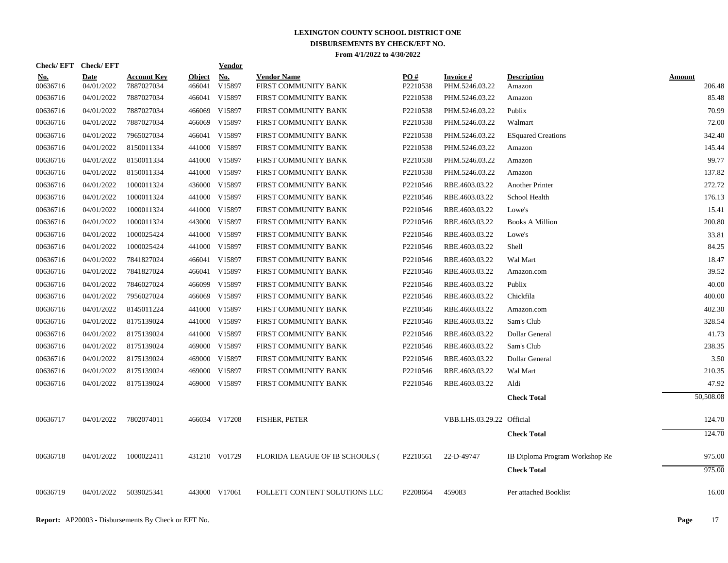| Check/EFT Check/EFT    |                           |                                  |                         | <b>Vendor</b> |                                            |                 |                             |                                |                  |
|------------------------|---------------------------|----------------------------------|-------------------------|---------------|--------------------------------------------|-----------------|-----------------------------|--------------------------------|------------------|
| <u>No.</u><br>00636716 | <b>Date</b><br>04/01/2022 | <b>Account Key</b><br>7887027034 | <b>Object</b><br>466041 | No.<br>V15897 | <b>Vendor Name</b><br>FIRST COMMUNITY BANK | PO#<br>P2210538 | Invoice #<br>PHM.5246.03.22 | <b>Description</b><br>Amazon   | Amount<br>206.48 |
| 00636716               | 04/01/2022                | 7887027034                       |                         | 466041 V15897 | FIRST COMMUNITY BANK                       | P2210538        | PHM.5246.03.22              | Amazon                         | 85.48            |
| 00636716               | 04/01/2022                | 7887027034                       |                         | 466069 V15897 | FIRST COMMUNITY BANK                       | P2210538        | PHM.5246.03.22              | Publix                         | 70.99            |
| 00636716               | 04/01/2022                | 7887027034                       |                         | 466069 V15897 | FIRST COMMUNITY BANK                       | P2210538        | PHM.5246.03.22              | Walmart                        | 72.00            |
| 00636716               | 04/01/2022                | 7965027034                       |                         | 466041 V15897 | FIRST COMMUNITY BANK                       | P2210538        | PHM.5246.03.22              | <b>ESquared Creations</b>      | 342.40           |
| 00636716               | 04/01/2022                | 8150011334                       |                         | 441000 V15897 | FIRST COMMUNITY BANK                       | P2210538        | PHM.5246.03.22              | Amazon                         | 145.44           |
| 00636716               | 04/01/2022                | 8150011334                       |                         | 441000 V15897 | FIRST COMMUNITY BANK                       | P2210538        | PHM.5246.03.22              | Amazon                         | 99.77            |
| 00636716               | 04/01/2022                | 8150011334                       |                         | 441000 V15897 | FIRST COMMUNITY BANK                       | P2210538        | PHM.5246.03.22              | Amazon                         | 137.82           |
| 00636716               | 04/01/2022                | 1000011324                       |                         | 436000 V15897 | FIRST COMMUNITY BANK                       | P2210546        | RBE.4603.03.22              | Another Printer                | 272.72           |
| 00636716               | 04/01/2022                | 1000011324                       |                         | 441000 V15897 | FIRST COMMUNITY BANK                       | P2210546        | RBE.4603.03.22              | School Health                  | 176.13           |
| 00636716               | 04/01/2022                | 1000011324                       |                         | 441000 V15897 | FIRST COMMUNITY BANK                       | P2210546        | RBE.4603.03.22              | Lowe's                         | 15.41            |
| 00636716               | 04/01/2022                | 1000011324                       |                         | 443000 V15897 | FIRST COMMUNITY BANK                       | P2210546        | RBE.4603.03.22              | <b>Books A Million</b>         | 200.80           |
| 00636716               | 04/01/2022                | 1000025424                       |                         | 441000 V15897 | FIRST COMMUNITY BANK                       | P2210546        | RBE.4603.03.22              | Lowe's                         | 33.81            |
| 00636716               | 04/01/2022                | 1000025424                       |                         | 441000 V15897 | FIRST COMMUNITY BANK                       | P2210546        | RBE.4603.03.22              | Shell                          | 84.25            |
| 00636716               | 04/01/2022                | 7841827024                       |                         | 466041 V15897 | FIRST COMMUNITY BANK                       | P2210546        | RBE.4603.03.22              | Wal Mart                       | 18.47            |
| 00636716               | 04/01/2022                | 7841827024                       |                         | 466041 V15897 | FIRST COMMUNITY BANK                       | P2210546        | RBE.4603.03.22              | Amazon.com                     | 39.52            |
| 00636716               | 04/01/2022                | 7846027024                       |                         | 466099 V15897 | FIRST COMMUNITY BANK                       | P2210546        | RBE.4603.03.22              | Publix                         | 40.00            |
| 00636716               | 04/01/2022                | 7956027024                       |                         | 466069 V15897 | FIRST COMMUNITY BANK                       | P2210546        | RBE.4603.03.22              | Chickfila                      | 400.00           |
| 00636716               | 04/01/2022                | 8145011224                       |                         | 441000 V15897 | FIRST COMMUNITY BANK                       | P2210546        | RBE.4603.03.22              | Amazon.com                     | 402.30           |
| 00636716               | 04/01/2022                | 8175139024                       |                         | 441000 V15897 | FIRST COMMUNITY BANK                       | P2210546        | RBE.4603.03.22              | Sam's Club                     | 328.54           |
| 00636716               | 04/01/2022                | 8175139024                       |                         | 441000 V15897 | FIRST COMMUNITY BANK                       | P2210546        | RBE.4603.03.22              | Dollar General                 | 41.73            |
| 00636716               | 04/01/2022                | 8175139024                       |                         | 469000 V15897 | FIRST COMMUNITY BANK                       | P2210546        | RBE.4603.03.22              | Sam's Club                     | 238.35           |
| 00636716               | 04/01/2022                | 8175139024                       |                         | 469000 V15897 | FIRST COMMUNITY BANK                       | P2210546        | RBE.4603.03.22              | Dollar General                 | 3.50             |
| 00636716               | 04/01/2022                | 8175139024                       |                         | 469000 V15897 | FIRST COMMUNITY BANK                       | P2210546        | RBE.4603.03.22              | Wal Mart                       | 210.35           |
| 00636716               | 04/01/2022                | 8175139024                       |                         | 469000 V15897 | FIRST COMMUNITY BANK                       | P2210546        | RBE.4603.03.22              | Aldi                           | 47.92            |
|                        |                           |                                  |                         |               |                                            |                 |                             | <b>Check Total</b>             | 50,508.08        |
| 00636717               | 04/01/2022                | 7802074011                       |                         | 466034 V17208 | <b>FISHER, PETER</b>                       |                 | VBB.LHS.03.29.22 Official   |                                | 124.70           |
|                        |                           |                                  |                         |               |                                            |                 |                             | <b>Check Total</b>             | 124.70           |
| 00636718               | 04/01/2022                | 1000022411                       |                         | 431210 V01729 | FLORIDA LEAGUE OF IB SCHOOLS (             | P2210561        | 22-D-49747                  | IB Diploma Program Workshop Re | 975.00           |
|                        |                           |                                  |                         |               |                                            |                 |                             | <b>Check Total</b>             | 975.00           |
| 00636719               | 04/01/2022                | 5039025341                       |                         | 443000 V17061 | FOLLETT CONTENT SOLUTIONS LLC              | P2208664        | 459083                      | Per attached Booklist          | 16.00            |
|                        |                           |                                  |                         |               |                                            |                 |                             |                                |                  |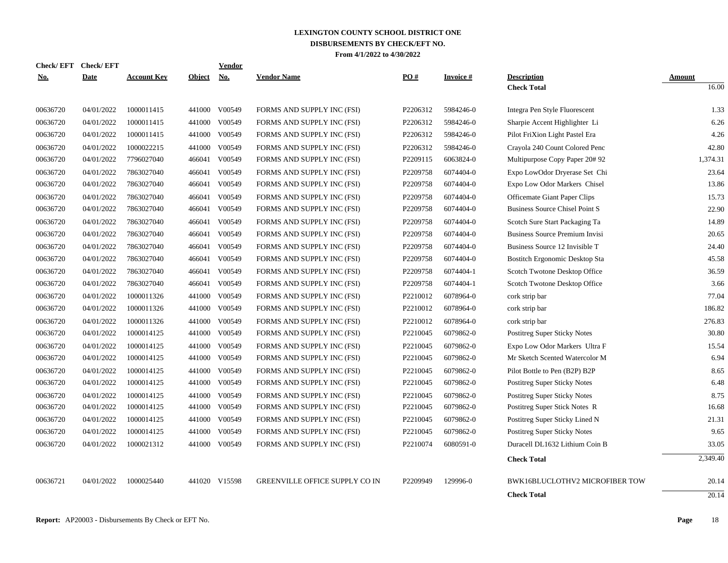| <b>Check/EFT</b> | <b>Check/EFT</b> |                    |               | <b>Vendor</b> |                                       |          |                 |                                       |               |
|------------------|------------------|--------------------|---------------|---------------|---------------------------------------|----------|-----------------|---------------------------------------|---------------|
| <u>No.</u>       | <b>Date</b>      | <b>Account Key</b> | <b>Object</b> | <b>No.</b>    | <b>Vendor Name</b>                    | PO#      | <b>Invoice#</b> | <b>Description</b>                    | <b>Amount</b> |
|                  |                  |                    |               |               |                                       |          |                 | <b>Check Total</b>                    | 16.00         |
| 00636720         | 04/01/2022       | 1000011415         | 441000        | V00549        | FORMS AND SUPPLY INC (FSI)            | P2206312 | 5984246-0       | Integra Pen Style Fluorescent         | 1.33          |
| 00636720         | 04/01/2022       | 1000011415         | 441000        | V00549        | FORMS AND SUPPLY INC (FSI)            | P2206312 | 5984246-0       | Sharpie Accent Highlighter Li         | 6.26          |
| 00636720         | 04/01/2022       | 1000011415         | 441000        | V00549        | FORMS AND SUPPLY INC (FSI)            | P2206312 | 5984246-0       | Pilot FriXion Light Pastel Era        | 4.26          |
| 00636720         | 04/01/2022       | 1000022215         | 441000        | V00549        | FORMS AND SUPPLY INC (FSI)            | P2206312 | 5984246-0       | Crayola 240 Count Colored Penc        | 42.80         |
| 00636720         | 04/01/2022       | 7796027040         |               | 466041 V00549 | FORMS AND SUPPLY INC (FSI)            | P2209115 | 6063824-0       | Multipurpose Copy Paper 20# 92        | 1,374.31      |
| 00636720         | 04/01/2022       | 7863027040         | 466041        | V00549        | FORMS AND SUPPLY INC (FSI)            | P2209758 | 6074404-0       | Expo LowOdor Dryerase Set Chi         | 23.64         |
| 00636720         | 04/01/2022       | 7863027040         | 466041        | V00549        | FORMS AND SUPPLY INC (FSI)            | P2209758 | 6074404-0       | Expo Low Odor Markers Chisel          | 13.86         |
| 00636720         | 04/01/2022       | 7863027040         | 466041        | V00549        | FORMS AND SUPPLY INC (FSI)            | P2209758 | 6074404-0       | Officemate Giant Paper Clips          | 15.73         |
| 00636720         | 04/01/2022       | 7863027040         | 466041        | V00549        | FORMS AND SUPPLY INC (FSI)            | P2209758 | 6074404-0       | <b>Business Source Chisel Point S</b> | 22.90         |
| 00636720         | 04/01/2022       | 7863027040         | 466041        | V00549        | FORMS AND SUPPLY INC (FSI)            | P2209758 | 6074404-0       | Scotch Sure Start Packaging Ta        | 14.89         |
| 00636720         | 04/01/2022       | 7863027040         | 466041        | V00549        | FORMS AND SUPPLY INC (FSI)            | P2209758 | 6074404-0       | Business Source Premium Invisi        | 20.65         |
| 00636720         | 04/01/2022       | 7863027040         |               | 466041 V00549 | FORMS AND SUPPLY INC (FSI)            | P2209758 | 6074404-0       | Business Source 12 Invisible T        | 24.40         |
| 00636720         | 04/01/2022       | 7863027040         | 466041        | V00549        | FORMS AND SUPPLY INC (FSI)            | P2209758 | 6074404-0       | Bostitch Ergonomic Desktop Sta        | 45.58         |
| 00636720         | 04/01/2022       | 7863027040         |               | 466041 V00549 | FORMS AND SUPPLY INC (FSI)            | P2209758 | 6074404-1       | Scotch Twotone Desktop Office         | 36.59         |
| 00636720         | 04/01/2022       | 7863027040         |               | 466041 V00549 | FORMS AND SUPPLY INC (FSI)            | P2209758 | 6074404-1       | Scotch Twotone Desktop Office         | 3.66          |
| 00636720         | 04/01/2022       | 1000011326         | 441000        | V00549        | FORMS AND SUPPLY INC (FSI)            | P2210012 | 6078964-0       | cork strip bar                        | 77.04         |
| 00636720         | 04/01/2022       | 1000011326         | 441000        | V00549        | FORMS AND SUPPLY INC (FSI)            | P2210012 | 6078964-0       | cork strip bar                        | 186.82        |
| 00636720         | 04/01/2022       | 1000011326         | 441000        | V00549        | FORMS AND SUPPLY INC (FSI)            | P2210012 | 6078964-0       | cork strip bar                        | 276.83        |
| 00636720         | 04/01/2022       | 1000014125         | 441000        | V00549        | FORMS AND SUPPLY INC (FSI)            | P2210045 | 6079862-0       | <b>Postitreg Super Sticky Notes</b>   | 30.80         |
| 00636720         | 04/01/2022       | 1000014125         | 441000        | V00549        | FORMS AND SUPPLY INC (FSI)            | P2210045 | 6079862-0       | Expo Low Odor Markers Ultra F         | 15.54         |
| 00636720         | 04/01/2022       | 1000014125         | 441000        | V00549        | FORMS AND SUPPLY INC (FSI)            | P2210045 | 6079862-0       | Mr Sketch Scented Watercolor M        | 6.94          |
| 00636720         | 04/01/2022       | 1000014125         | 441000        | V00549        | FORMS AND SUPPLY INC (FSI)            | P2210045 | 6079862-0       | Pilot Bottle to Pen (B2P) B2P         | 8.65          |
| 00636720         | 04/01/2022       | 1000014125         | 441000        | V00549        | FORMS AND SUPPLY INC (FSI)            | P2210045 | 6079862-0       | <b>Postitreg Super Sticky Notes</b>   | 6.48          |
| 00636720         | 04/01/2022       | 1000014125         | 441000        | V00549        | FORMS AND SUPPLY INC (FSI)            | P2210045 | 6079862-0       | Postitreg Super Sticky Notes          | 8.75          |
| 00636720         | 04/01/2022       | 1000014125         | 441000        | V00549        | FORMS AND SUPPLY INC (FSI)            | P2210045 | 6079862-0       | Postitreg Super Stick Notes R         | 16.68         |
| 00636720         | 04/01/2022       | 1000014125         | 441000        | V00549        | FORMS AND SUPPLY INC (FSI)            | P2210045 | 6079862-0       | Postitreg Super Sticky Lined N        | 21.31         |
| 00636720         | 04/01/2022       | 1000014125         | 441000        | V00549        | FORMS AND SUPPLY INC (FSI)            | P2210045 | 6079862-0       | Postitreg Super Sticky Notes          | 9.65          |
| 00636720         | 04/01/2022       | 1000021312         |               | 441000 V00549 | FORMS AND SUPPLY INC (FSI)            | P2210074 | 6080591-0       | Duracell DL1632 Lithium Coin B        | 33.05         |
|                  |                  |                    |               |               |                                       |          |                 | <b>Check Total</b>                    | 2,349.40      |
| 00636721         | 04/01/2022       | 1000025440         |               | 441020 V15598 | <b>GREENVILLE OFFICE SUPPLY CO IN</b> | P2209949 | 129996-0        | BWK16BLUCLOTHV2 MICROFIBER TOW        | 20.14         |
|                  |                  |                    |               |               |                                       |          |                 | <b>Check Total</b>                    | 20.14         |
|                  |                  |                    |               |               |                                       |          |                 |                                       |               |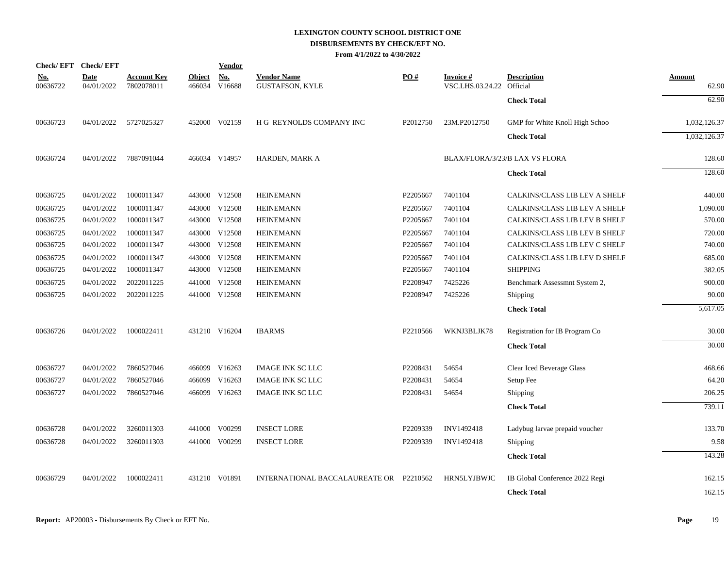## **LEXINGTON COUNTY SCHOOL DISTRICT ONE DISBURSEMENTS BY CHECK/EFT NO.**

**From 4/1/2022 to 4/30/2022**

| Check/EFT Check/EFT    |                           |                                  |                         | Vendor        |                                              |          |                                              |                                |                        |
|------------------------|---------------------------|----------------------------------|-------------------------|---------------|----------------------------------------------|----------|----------------------------------------------|--------------------------------|------------------------|
| <u>No.</u><br>00636722 | <b>Date</b><br>04/01/2022 | <b>Account Key</b><br>7802078011 | <b>Object</b><br>466034 | No.<br>V16688 | <b>Vendor Name</b><br><b>GUSTAFSON, KYLE</b> | PO#      | <b>Invoice#</b><br>VSC.LHS.03.24.22 Official | <b>Description</b>             | <u>Amount</u><br>62.90 |
|                        |                           |                                  |                         |               |                                              |          |                                              | <b>Check Total</b>             | 62.90                  |
| 00636723               | 04/01/2022                | 5727025327                       |                         | 452000 V02159 | H G REYNOLDS COMPANY INC                     | P2012750 | 23M.P2012750                                 | GMP for White Knoll High Schoo | 1,032,126.37           |
|                        |                           |                                  |                         |               |                                              |          |                                              | <b>Check Total</b>             | 1,032,126.37           |
| 00636724               | 04/01/2022                | 7887091044                       |                         | 466034 V14957 | HARDEN, MARK A                               |          |                                              | BLAX/FLORA/3/23/B LAX VS FLORA | 128.60                 |
|                        |                           |                                  |                         |               |                                              |          |                                              | <b>Check Total</b>             | 128.60                 |
| 00636725               | 04/01/2022                | 1000011347                       |                         | 443000 V12508 | <b>HEINEMANN</b>                             | P2205667 | 7401104                                      | CALKINS/CLASS LIB LEV A SHELF  | 440.00                 |
| 00636725               | 04/01/2022                | 1000011347                       |                         | 443000 V12508 | <b>HEINEMANN</b>                             | P2205667 | 7401104                                      | CALKINS/CLASS LIB LEV A SHELF  | 1,090.00               |
| 00636725               | 04/01/2022                | 1000011347                       |                         | 443000 V12508 | <b>HEINEMANN</b>                             | P2205667 | 7401104                                      | CALKINS/CLASS LIB LEV B SHELF  | 570.00                 |
| 00636725               | 04/01/2022                | 1000011347                       |                         | 443000 V12508 | <b>HEINEMANN</b>                             | P2205667 | 7401104                                      | CALKINS/CLASS LIB LEV B SHELF  | 720.00                 |
| 00636725               | 04/01/2022                | 1000011347                       |                         | 443000 V12508 | <b>HEINEMANN</b>                             | P2205667 | 7401104                                      | CALKINS/CLASS LIB LEV C SHELF  | 740.00                 |
| 00636725               | 04/01/2022                | 1000011347                       |                         | 443000 V12508 | <b>HEINEMANN</b>                             | P2205667 | 7401104                                      | CALKINS/CLASS LIB LEV D SHELF  | 685.00                 |
| 00636725               | 04/01/2022                | 1000011347                       |                         | 443000 V12508 | <b>HEINEMANN</b>                             | P2205667 | 7401104                                      | <b>SHIPPING</b>                | 382.05                 |
| 00636725               | 04/01/2022                | 2022011225                       |                         | 441000 V12508 | <b>HEINEMANN</b>                             | P2208947 | 7425226                                      | Benchmark Assessmnt System 2,  | 900.00                 |
| 00636725               | 04/01/2022                | 2022011225                       |                         | 441000 V12508 | <b>HEINEMANN</b>                             | P2208947 | 7425226                                      | Shipping                       | 90.00                  |
|                        |                           |                                  |                         |               |                                              |          |                                              | <b>Check Total</b>             | 5,617.05               |
| 00636726               | 04/01/2022                | 1000022411                       |                         | 431210 V16204 | <b>IBARMS</b>                                | P2210566 | WKNJ3BLJK78                                  | Registration for IB Program Co | 30.00                  |
|                        |                           |                                  |                         |               |                                              |          |                                              | <b>Check Total</b>             | 30.00                  |
| 00636727               | 04/01/2022                | 7860527046                       |                         | 466099 V16263 | <b>IMAGE INK SC LLC</b>                      | P2208431 | 54654                                        | Clear Iced Beverage Glass      | 468.66                 |
| 00636727               | 04/01/2022                | 7860527046                       | 466099                  | V16263        | <b>IMAGE INK SC LLC</b>                      | P2208431 | 54654                                        | Setup Fee                      | 64.20                  |
| 00636727               | 04/01/2022                | 7860527046                       |                         | 466099 V16263 | <b>IMAGE INK SC LLC</b>                      | P2208431 | 54654                                        | <b>Shipping</b>                | 206.25                 |
|                        |                           |                                  |                         |               |                                              |          |                                              | <b>Check Total</b>             | 739.11                 |
| 00636728               | 04/01/2022                | 3260011303                       |                         | 441000 V00299 | <b>INSECT LORE</b>                           | P2209339 | INV1492418                                   | Ladybug larvae prepaid voucher | 133.70                 |
| 00636728               | 04/01/2022                | 3260011303                       |                         | 441000 V00299 | <b>INSECT LORE</b>                           | P2209339 | INV1492418                                   | <b>Shipping</b>                | 9.58                   |
|                        |                           |                                  |                         |               |                                              |          |                                              | <b>Check Total</b>             | 143.28                 |
| 00636729               | 04/01/2022                | 1000022411                       |                         | 431210 V01891 | INTERNATIONAL BACCALAUREATE OR P2210562      |          | HRN5LYJBWJC                                  | IB Global Conference 2022 Regi | 162.15                 |
|                        |                           |                                  |                         |               |                                              |          |                                              | <b>Check Total</b>             | 162.15                 |
|                        |                           |                                  |                         |               |                                              |          |                                              |                                |                        |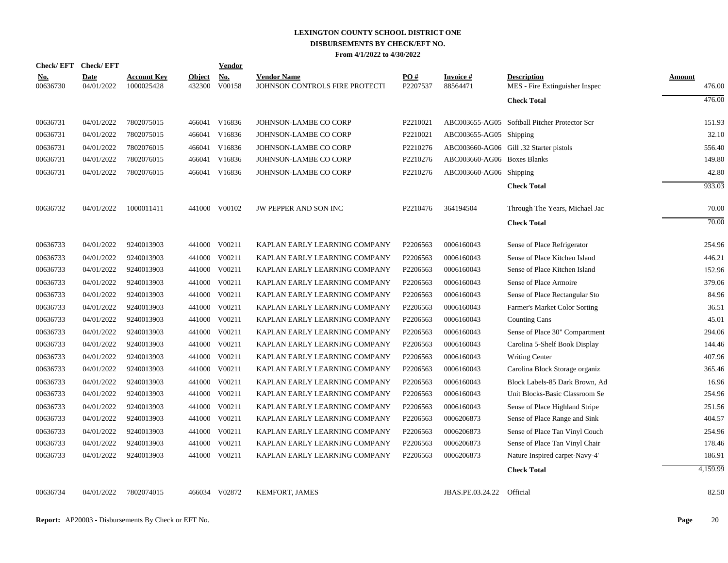| Check/EFT Check/EFT    |                           |                                  |                         | <b>Vendor</b>        |                                                      |                 |                             |                                                      |                  |
|------------------------|---------------------------|----------------------------------|-------------------------|----------------------|------------------------------------------------------|-----------------|-----------------------------|------------------------------------------------------|------------------|
| <u>No.</u><br>00636730 | <b>Date</b><br>04/01/2022 | <b>Account Key</b><br>1000025428 | <b>Object</b><br>432300 | <b>No.</b><br>V00158 | <b>Vendor Name</b><br>JOHNSON CONTROLS FIRE PROTECTI | PO#<br>P2207537 | Invoice #<br>88564471       | <b>Description</b><br>MES - Fire Extinguisher Inspec | Amount<br>476.00 |
|                        |                           |                                  |                         |                      |                                                      |                 |                             | <b>Check Total</b>                                   | 476.00           |
| 00636731               | 04/01/2022                | 7802075015                       |                         | 466041 V16836        | JOHNSON-LAMBE CO CORP                                | P2210021        |                             | ABC003655-AG05 Softball Pitcher Protector Scr        | 151.93           |
| 00636731               | 04/01/2022                | 7802075015                       |                         | 466041 V16836        | JOHNSON-LAMBE CO CORP                                | P2210021        | ABC003655-AG05 Shipping     |                                                      | 32.10            |
| 00636731               | 04/01/2022                | 7802076015                       |                         | 466041 V16836        | JOHNSON-LAMBE CO CORP                                | P2210276        |                             | ABC003660-AG06 Gill .32 Starter pistols              | 556.40           |
| 00636731               | 04/01/2022                | 7802076015                       | 466041                  | V16836               | JOHNSON-LAMBE CO CORP                                | P2210276        | ABC003660-AG06 Boxes Blanks |                                                      | 149.80           |
| 00636731               | 04/01/2022                | 7802076015                       |                         | 466041 V16836        | JOHNSON-LAMBE CO CORP                                | P2210276        | ABC003660-AG06 Shipping     |                                                      | 42.80            |
|                        |                           |                                  |                         |                      |                                                      |                 |                             | <b>Check Total</b>                                   | 933.03           |
| 00636732               | 04/01/2022                | 1000011411                       |                         | 441000 V00102        | JW PEPPER AND SON INC                                | P2210476        | 364194504                   | Through The Years, Michael Jac                       | 70.00            |
|                        |                           |                                  |                         |                      |                                                      |                 |                             | <b>Check Total</b>                                   | 70.00            |
| 00636733               | 04/01/2022                | 9240013903                       |                         | 441000 V00211        | KAPLAN EARLY LEARNING COMPANY                        | P2206563        | 0006160043                  | Sense of Place Refrigerator                          | 254.96           |
| 00636733               | 04/01/2022                | 9240013903                       |                         | 441000 V00211        | KAPLAN EARLY LEARNING COMPANY                        | P2206563        | 0006160043                  | Sense of Place Kitchen Island                        | 446.21           |
| 00636733               | 04/01/2022                | 9240013903                       |                         | 441000 V00211        | KAPLAN EARLY LEARNING COMPANY                        | P2206563        | 0006160043                  | Sense of Place Kitchen Island                        | 152.96           |
| 00636733               | 04/01/2022                | 9240013903                       | 441000                  | V00211               | KAPLAN EARLY LEARNING COMPANY                        | P2206563        | 0006160043                  | Sense of Place Armoire                               | 379.06           |
| 00636733               | 04/01/2022                | 9240013903                       |                         | 441000 V00211        | KAPLAN EARLY LEARNING COMPANY                        | P2206563        | 0006160043                  | Sense of Place Rectangular Sto                       | 84.96            |
| 00636733               | 04/01/2022                | 9240013903                       | 441000                  | V00211               | KAPLAN EARLY LEARNING COMPANY                        | P2206563        | 0006160043                  | Farmer's Market Color Sorting                        | 36.51            |
| 00636733               | 04/01/2022                | 9240013903                       | 441000                  | V00211               | KAPLAN EARLY LEARNING COMPANY                        | P2206563        | 0006160043                  | Counting Cans                                        | 45.01            |
| 00636733               | 04/01/2022                | 9240013903                       | 441000                  | V00211               | KAPLAN EARLY LEARNING COMPANY                        | P2206563        | 0006160043                  | Sense of Place 30" Compartment                       | 294.06           |
| 00636733               | 04/01/2022                | 9240013903                       |                         | 441000 V00211        | KAPLAN EARLY LEARNING COMPANY                        | P2206563        | 0006160043                  | Carolina 5-Shelf Book Display                        | 144.46           |
| 00636733               | 04/01/2022                | 9240013903                       | 441000                  | V00211               | KAPLAN EARLY LEARNING COMPANY                        | P2206563        | 0006160043                  | Writing Center                                       | 407.96           |
| 00636733               | 04/01/2022                | 9240013903                       | 441000                  | V00211               | KAPLAN EARLY LEARNING COMPANY                        | P2206563        | 0006160043                  | Carolina Block Storage organiz                       | 365.46           |
| 00636733               | 04/01/2022                | 9240013903                       | 441000                  | V00211               | KAPLAN EARLY LEARNING COMPANY                        | P2206563        | 0006160043                  | Block Labels-85 Dark Brown, Ad                       | 16.96            |
| 00636733               | 04/01/2022                | 9240013903                       |                         | 441000 V00211        | KAPLAN EARLY LEARNING COMPANY                        | P2206563        | 0006160043                  | Unit Blocks-Basic Classroom Se                       | 254.96           |
| 00636733               | 04/01/2022                | 9240013903                       | 441000                  | V00211               | KAPLAN EARLY LEARNING COMPANY                        | P2206563        | 0006160043                  | Sense of Place Highland Stripe                       | 251.56           |
| 00636733               | 04/01/2022                | 9240013903                       | 441000                  | V00211               | KAPLAN EARLY LEARNING COMPANY                        | P2206563        | 0006206873                  | Sense of Place Range and Sink                        | 404.57           |
| 00636733               | 04/01/2022                | 9240013903                       | 441000                  | V00211               | KAPLAN EARLY LEARNING COMPANY                        | P2206563        | 0006206873                  | Sense of Place Tan Vinyl Couch                       | 254.96           |
| 00636733               | 04/01/2022                | 9240013903                       |                         | 441000 V00211        | KAPLAN EARLY LEARNING COMPANY                        | P2206563        | 0006206873                  | Sense of Place Tan Vinyl Chair                       | 178.46           |
| 00636733               | 04/01/2022                | 9240013903                       |                         | 441000 V00211        | KAPLAN EARLY LEARNING COMPANY                        | P2206563        | 0006206873                  | Nature Inspired carpet-Navy-4'                       | 186.91           |
|                        |                           |                                  |                         |                      |                                                      |                 |                             | <b>Check Total</b>                                   | 4,159.99         |
| 00636734               | 04/01/2022                | 7802074015                       |                         | 466034 V02872        | <b>KEMFORT, JAMES</b>                                |                 | JBAS.PE.03.24.22            | Official                                             | 82.50            |
|                        |                           |                                  |                         |                      |                                                      |                 |                             |                                                      |                  |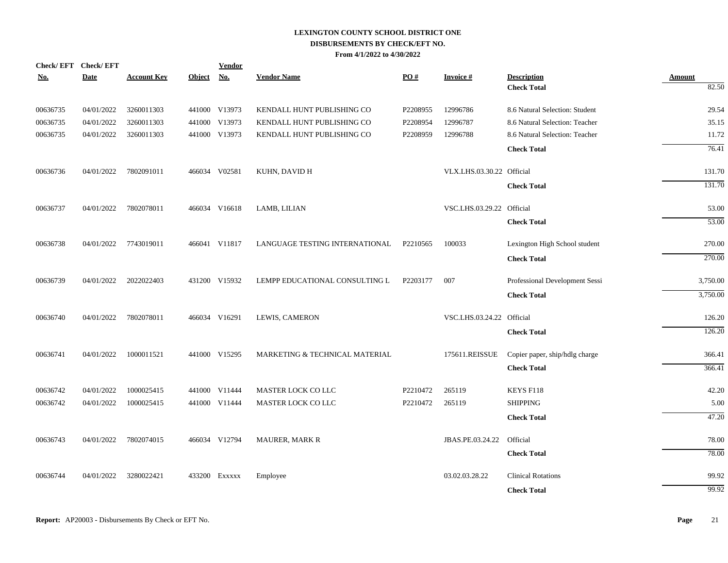| Check/EFT Check/EFT |             |                    |               | <b>Vendor</b> |                                |          |                           |                                |               |
|---------------------|-------------|--------------------|---------------|---------------|--------------------------------|----------|---------------------------|--------------------------------|---------------|
| <u>No.</u>          | <b>Date</b> | <b>Account Key</b> | <b>Object</b> | <u>No.</u>    | <b>Vendor Name</b>             | PO#      | <b>Invoice#</b>           | <b>Description</b>             | <b>Amount</b> |
|                     |             |                    |               |               |                                |          |                           | <b>Check Total</b>             | 82.50         |
| 00636735            | 04/01/2022  | 3260011303         |               | 441000 V13973 | KENDALL HUNT PUBLISHING CO     | P2208955 | 12996786                  | 8.6 Natural Selection: Student | 29.54         |
| 00636735            | 04/01/2022  | 3260011303         | 441000 V13973 |               | KENDALL HUNT PUBLISHING CO     | P2208954 | 12996787                  | 8.6 Natural Selection: Teacher | 35.15         |
| 00636735            | 04/01/2022  | 3260011303         |               | 441000 V13973 | KENDALL HUNT PUBLISHING CO     | P2208959 | 12996788                  | 8.6 Natural Selection: Teacher | 11.72         |
|                     |             |                    |               |               |                                |          |                           | <b>Check Total</b>             | 76.41         |
| 00636736            | 04/01/2022  | 7802091011         |               | 466034 V02581 | KUHN, DAVID H                  |          | VLX.LHS.03.30.22 Official |                                | 131.70        |
|                     |             |                    |               |               |                                |          |                           | <b>Check Total</b>             | 131.70        |
| 00636737            | 04/01/2022  | 7802078011         |               | 466034 V16618 | LAMB, LILIAN                   |          | VSC.LHS.03.29.22 Official |                                | 53.00         |
|                     |             |                    |               |               |                                |          |                           | <b>Check Total</b>             | 53.00         |
| 00636738            | 04/01/2022  | 7743019011         |               | 466041 V11817 | LANGUAGE TESTING INTERNATIONAL | P2210565 | 100033                    | Lexington High School student  | 270.00        |
|                     |             |                    |               |               |                                |          |                           | <b>Check Total</b>             | 270.00        |
| 00636739            | 04/01/2022  | 2022022403         |               | 431200 V15932 | LEMPP EDUCATIONAL CONSULTING L | P2203177 | 007                       | Professional Development Sessi | 3,750.00      |
|                     |             |                    |               |               |                                |          |                           | <b>Check Total</b>             | 3,750.00      |
| 00636740            | 04/01/2022  | 7802078011         |               | 466034 V16291 | LEWIS, CAMERON                 |          | VSC.LHS.03.24.22 Official |                                | 126.20        |
|                     |             |                    |               |               |                                |          |                           | <b>Check Total</b>             | 126.20        |
| 00636741            | 04/01/2022  | 1000011521         |               | 441000 V15295 | MARKETING & TECHNICAL MATERIAL |          | 175611.REISSUE            | Copier paper, ship/hdlg charge | 366.41        |
|                     |             |                    |               |               |                                |          |                           | <b>Check Total</b>             | 366.41        |
| 00636742            | 04/01/2022  | 1000025415         |               | 441000 V11444 | MASTER LOCK CO LLC             | P2210472 | 265119                    | KEYS F118                      | 42.20         |
| 00636742            | 04/01/2022  | 1000025415         |               | 441000 V11444 | <b>MASTER LOCK CO LLC</b>      | P2210472 | 265119                    | <b>SHIPPING</b>                | 5.00          |
|                     |             |                    |               |               |                                |          |                           | <b>Check Total</b>             | 47.20         |
| 00636743            | 04/01/2022  | 7802074015         |               | 466034 V12794 | <b>MAURER, MARK R</b>          |          | JBAS.PE.03.24.22          | Official                       | 78.00         |
|                     |             |                    |               |               |                                |          |                           | <b>Check Total</b>             | 78.00         |
| 00636744            | 04/01/2022  | 3280022421         |               | 433200 EXXXXX | Employee                       |          | 03.02.03.28.22            | <b>Clinical Rotations</b>      | 99.92         |
|                     |             |                    |               |               |                                |          |                           | <b>Check Total</b>             | 99.92         |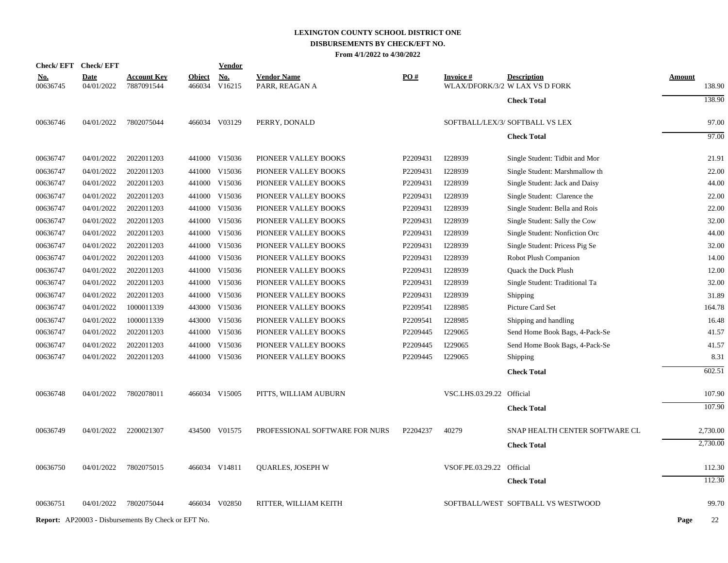# **LEXINGTON COUNTY SCHOOL DISTRICT ONE DISBURSEMENTS BY CHECK/EFT NO.**

**From 4/1/2022 to 4/30/2022**

|                        | Check/EFT Check/EFT       |                                                            |                         | <b>Vendor</b>        |                                      |          |                           |                                                      |               |          |
|------------------------|---------------------------|------------------------------------------------------------|-------------------------|----------------------|--------------------------------------|----------|---------------------------|------------------------------------------------------|---------------|----------|
| <u>No.</u><br>00636745 | <b>Date</b><br>04/01/2022 | <u>Account Key</u><br>7887091544                           | <b>Object</b><br>466034 | <b>No.</b><br>V16215 | <b>Vendor Name</b><br>PARR, REAGAN A | PO#      | <b>Invoice#</b>           | <b>Description</b><br>WLAX/DFORK/3/2 W LAX VS D FORK | <b>Amount</b> | 138.90   |
|                        |                           |                                                            |                         |                      |                                      |          |                           | <b>Check Total</b>                                   |               | 138.90   |
| 00636746               | 04/01/2022                | 7802075044                                                 |                         | 466034 V03129        | PERRY, DONALD                        |          |                           | SOFTBALL/LEX/3/ SOFTBALL VS LEX                      |               | 97.00    |
|                        |                           |                                                            |                         |                      |                                      |          |                           | <b>Check Total</b>                                   |               | 97.00    |
| 00636747               | 04/01/2022                | 2022011203                                                 |                         | 441000 V15036        | PIONEER VALLEY BOOKS                 | P2209431 | I228939                   | Single Student: Tidbit and Mor                       |               | 21.91    |
| 00636747               | 04/01/2022                | 2022011203                                                 |                         | 441000 V15036        | PIONEER VALLEY BOOKS                 | P2209431 | I228939                   | Single Student: Marshmallow th                       |               | 22.00    |
| 00636747               | 04/01/2022                | 2022011203                                                 |                         | 441000 V15036        | PIONEER VALLEY BOOKS                 | P2209431 | I228939                   | Single Student: Jack and Daisy                       |               | 44.00    |
| 00636747               | 04/01/2022                | 2022011203                                                 |                         | 441000 V15036        | PIONEER VALLEY BOOKS                 | P2209431 | I228939                   | Single Student: Clarence the                         |               | 22.00    |
| 00636747               | 04/01/2022                | 2022011203                                                 |                         | 441000 V15036        | PIONEER VALLEY BOOKS                 | P2209431 | I228939                   | Single Student: Bella and Rois                       |               | 22.00    |
| 00636747               | 04/01/2022                | 2022011203                                                 |                         | 441000 V15036        | PIONEER VALLEY BOOKS                 | P2209431 | I228939                   | Single Student: Sally the Cow                        |               | 32.00    |
| 00636747               | 04/01/2022                | 2022011203                                                 |                         | 441000 V15036        | PIONEER VALLEY BOOKS                 | P2209431 | I228939                   | Single Student: Nonfiction Orc                       |               | 44.00    |
| 00636747               | 04/01/2022                | 2022011203                                                 |                         | 441000 V15036        | PIONEER VALLEY BOOKS                 | P2209431 | I228939                   | Single Student: Pricess Pig Se                       |               | 32.00    |
| 00636747               | 04/01/2022                | 2022011203                                                 |                         | 441000 V15036        | PIONEER VALLEY BOOKS                 | P2209431 | I228939                   | Robot Plush Companion                                |               | 14.00    |
| 00636747               | 04/01/2022                | 2022011203                                                 |                         | 441000 V15036        | PIONEER VALLEY BOOKS                 | P2209431 | I228939                   | Quack the Duck Plush                                 |               | 12.00    |
| 00636747               | 04/01/2022                | 2022011203                                                 |                         | 441000 V15036        | PIONEER VALLEY BOOKS                 | P2209431 | I228939                   | Single Student: Traditional Ta                       |               | 32.00    |
| 00636747               | 04/01/2022                | 2022011203                                                 |                         | 441000 V15036        | PIONEER VALLEY BOOKS                 | P2209431 | I228939                   | Shipping                                             |               | 31.89    |
| 00636747               | 04/01/2022                | 1000011339                                                 |                         | 443000 V15036        | PIONEER VALLEY BOOKS                 | P2209541 | I228985                   | Picture Card Set                                     |               | 164.78   |
| 00636747               | 04/01/2022                | 1000011339                                                 |                         | 443000 V15036        | PIONEER VALLEY BOOKS                 | P2209541 | I228985                   | Shipping and handling                                |               | 16.48    |
| 00636747               | 04/01/2022                | 2022011203                                                 |                         | 441000 V15036        | PIONEER VALLEY BOOKS                 | P2209445 | I229065                   | Send Home Book Bags, 4-Pack-Se                       |               | 41.57    |
| 00636747               | 04/01/2022                | 2022011203                                                 | 441000                  | V15036               | PIONEER VALLEY BOOKS                 | P2209445 | I229065                   | Send Home Book Bags, 4-Pack-Se                       |               | 41.57    |
| 00636747               | 04/01/2022                | 2022011203                                                 |                         | 441000 V15036        | PIONEER VALLEY BOOKS                 | P2209445 | I229065                   | Shipping                                             |               | 8.31     |
|                        |                           |                                                            |                         |                      |                                      |          |                           | <b>Check Total</b>                                   |               | 602.51   |
| 00636748               | 04/01/2022                | 7802078011                                                 |                         | 466034 V15005        | PITTS, WILLIAM AUBURN                |          | VSC.LHS.03.29.22 Official |                                                      |               | 107.90   |
|                        |                           |                                                            |                         |                      |                                      |          |                           | <b>Check Total</b>                                   |               | 107.90   |
| 00636749               | 04/01/2022                | 2200021307                                                 |                         | 434500 V01575        | PROFESSIONAL SOFTWARE FOR NURS       | P2204237 | 40279                     | SNAP HEALTH CENTER SOFTWARE CL                       |               | 2,730.00 |
|                        |                           |                                                            |                         |                      |                                      |          |                           |                                                      |               | 2,730.00 |
|                        |                           |                                                            |                         |                      |                                      |          |                           | <b>Check Total</b>                                   |               |          |
| 00636750               | 04/01/2022                | 7802075015                                                 |                         | 466034 V14811        | <b>OUARLES, JOSEPH W</b>             |          | VSOF.PE.03.29.22 Official |                                                      |               | 112.30   |
|                        |                           |                                                            |                         |                      |                                      |          |                           | <b>Check Total</b>                                   |               | 112.30   |
| 00636751               | 04/01/2022                | 7802075044                                                 |                         | 466034 V02850        | RITTER, WILLIAM KEITH                |          |                           | SOFTBALL/WEST SOFTBALL VS WESTWOOD                   |               | 99.70    |
|                        |                           | <b>Report:</b> AP20003 - Disbursements By Check or EFT No. |                         |                      |                                      |          |                           |                                                      | Page          | 22       |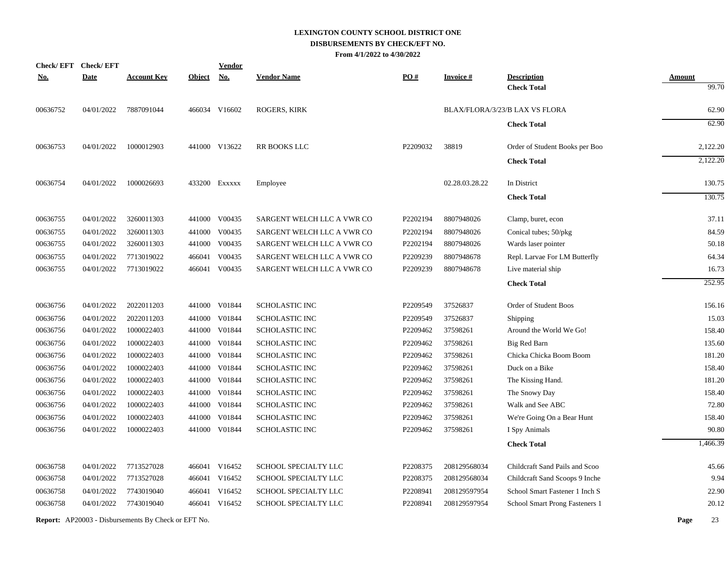| <b>Check/EFT</b> | <b>Check/EFT</b> |                                                            |               | <u>Vendor</u> |                            |          |                 |                                |               |          |
|------------------|------------------|------------------------------------------------------------|---------------|---------------|----------------------------|----------|-----------------|--------------------------------|---------------|----------|
| <u>No.</u>       | <b>Date</b>      | <u>Account Key</u>                                         | <b>Object</b> | <u>No.</u>    | <b>Vendor Name</b>         | PO#      | <b>Invoice#</b> | <b>Description</b>             | <b>Amount</b> |          |
|                  |                  |                                                            |               |               |                            |          |                 | <b>Check Total</b>             |               | 99.70    |
| 00636752         | 04/01/2022       | 7887091044                                                 |               | 466034 V16602 | <b>ROGERS, KIRK</b>        |          |                 | BLAX/FLORA/3/23/B LAX VS FLORA |               | 62.90    |
|                  |                  |                                                            |               |               |                            |          |                 | <b>Check Total</b>             |               | 62.90    |
| 00636753         | 04/01/2022       | 1000012903                                                 |               | 441000 V13622 | RR BOOKS LLC               | P2209032 | 38819           | Order of Student Books per Boo |               | 2,122.20 |
|                  |                  |                                                            |               |               |                            |          |                 | <b>Check Total</b>             |               | 2,122.20 |
| 00636754         | 04/01/2022       | 1000026693                                                 |               | 433200 EXXXXX | Employee                   |          | 02.28.03.28.22  | In District                    |               | 130.75   |
|                  |                  |                                                            |               |               |                            |          |                 | <b>Check Total</b>             |               | 130.75   |
| 00636755         | 04/01/2022       | 3260011303                                                 |               | 441000 V00435 | SARGENT WELCH LLC A VWR CO | P2202194 | 8807948026      | Clamp, buret, econ             |               | 37.11    |
| 00636755         | 04/01/2022       | 3260011303                                                 |               | 441000 V00435 | SARGENT WELCH LLC A VWR CO | P2202194 | 8807948026      | Conical tubes; 50/pkg          |               | 84.59    |
| 00636755         | 04/01/2022       | 3260011303                                                 |               | 441000 V00435 | SARGENT WELCH LLC A VWR CO | P2202194 | 8807948026      | Wards laser pointer            |               | 50.18    |
| 00636755         | 04/01/2022       | 7713019022                                                 | 466041        | V00435        | SARGENT WELCH LLC A VWR CO | P2209239 | 8807948678      | Repl. Larvae For LM Butterfly  |               | 64.34    |
| 00636755         | 04/01/2022       | 7713019022                                                 |               | 466041 V00435 | SARGENT WELCH LLC A VWR CO | P2209239 | 8807948678      | Live material ship             |               | 16.73    |
|                  |                  |                                                            |               |               |                            |          |                 | <b>Check Total</b>             |               | 252.95   |
| 00636756         | 04/01/2022       | 2022011203                                                 |               | 441000 V01844 | <b>SCHOLASTIC INC</b>      | P2209549 | 37526837        | Order of Student Boos          |               | 156.16   |
| 00636756         | 04/01/2022       | 2022011203                                                 |               | 441000 V01844 | <b>SCHOLASTIC INC</b>      | P2209549 | 37526837        | Shipping                       |               | 15.03    |
| 00636756         | 04/01/2022       | 1000022403                                                 |               | 441000 V01844 | <b>SCHOLASTIC INC</b>      | P2209462 | 37598261        | Around the World We Go!        |               | 158.40   |
| 00636756         | 04/01/2022       | 1000022403                                                 |               | 441000 V01844 | <b>SCHOLASTIC INC</b>      | P2209462 | 37598261        | Big Red Barn                   |               | 135.60   |
| 00636756         | 04/01/2022       | 1000022403                                                 |               | 441000 V01844 | SCHOLASTIC INC             | P2209462 | 37598261        | Chicka Chicka Boom Boom        |               | 181.20   |
| 00636756         | 04/01/2022       | 1000022403                                                 | 441000        | V01844        | SCHOLASTIC INC             | P2209462 | 37598261        | Duck on a Bike                 |               | 158.40   |
| 00636756         | 04/01/2022       | 1000022403                                                 |               | 441000 V01844 | <b>SCHOLASTIC INC</b>      | P2209462 | 37598261        | The Kissing Hand.              |               | 181.20   |
| 00636756         | 04/01/2022       | 1000022403                                                 |               | 441000 V01844 | <b>SCHOLASTIC INC</b>      | P2209462 | 37598261        | The Snowy Day                  |               | 158.40   |
| 00636756         | 04/01/2022       | 1000022403                                                 |               | 441000 V01844 | <b>SCHOLASTIC INC</b>      | P2209462 | 37598261        | Walk and See ABC               |               | 72.80    |
| 00636756         | 04/01/2022       | 1000022403                                                 | 441000        | V01844        | <b>SCHOLASTIC INC</b>      | P2209462 | 37598261        | We're Going On a Bear Hunt     |               | 158.40   |
| 00636756         | 04/01/2022       | 1000022403                                                 |               | 441000 V01844 | <b>SCHOLASTIC INC</b>      | P2209462 | 37598261        | I Spy Animals                  |               | 90.80    |
|                  |                  |                                                            |               |               |                            |          |                 | <b>Check Total</b>             |               | 1,466.39 |
| 00636758         | 04/01/2022       | 7713527028                                                 |               | 466041 V16452 | SCHOOL SPECIALTY LLC       | P2208375 | 208129568034    | Childcraft Sand Pails and Scoo |               | 45.66    |
| 00636758         | 04/01/2022       | 7713527028                                                 |               | 466041 V16452 | SCHOOL SPECIALTY LLC       | P2208375 | 208129568034    | Childcraft Sand Scoops 9 Inche |               | 9.94     |
| 00636758         | 04/01/2022       | 7743019040                                                 | 466041        | V16452        | SCHOOL SPECIALTY LLC       | P2208941 | 208129597954    | School Smart Fastener 1 Inch S |               | 22.90    |
| 00636758         | 04/01/2022       | 7743019040                                                 |               | 466041 V16452 | SCHOOL SPECIALTY LLC       | P2208941 | 208129597954    | School Smart Prong Fasteners 1 |               | 20.12    |
|                  |                  | <b>Report:</b> AP20003 - Disbursements By Check or EFT No. |               |               |                            |          |                 |                                | Page          | 23       |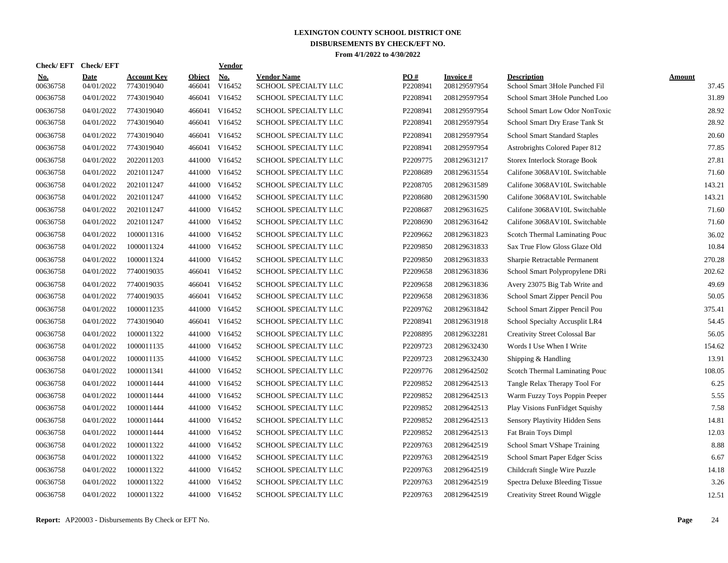| <b>Check/EFT</b>       | <b>Check/EFT</b>          |                                  |                         | <b>Vendor</b> |                                            |                 |                                  |                                                      |                        |
|------------------------|---------------------------|----------------------------------|-------------------------|---------------|--------------------------------------------|-----------------|----------------------------------|------------------------------------------------------|------------------------|
| <u>No.</u><br>00636758 | <b>Date</b><br>04/01/2022 | <b>Account Kev</b><br>7743019040 | <b>Object</b><br>466041 | No.<br>V16452 | <b>Vendor Name</b><br>SCHOOL SPECIALTY LLC | PO#<br>P2208941 | <b>Invoice</b> #<br>208129597954 | <b>Description</b><br>School Smart 3Hole Punched Fil | <b>Amount</b><br>37.45 |
| 00636758               | 04/01/2022                | 7743019040                       | 466041                  | V16452        | SCHOOL SPECIALTY LLC                       | P2208941        | 208129597954                     | School Smart 3Hole Punched Loo                       | 31.89                  |
| 00636758               | 04/01/2022                | 7743019040                       | 466041                  | V16452        | SCHOOL SPECIALTY LLC                       | P2208941        | 208129597954                     | School Smart Low Odor NonToxic                       | 28.92                  |
| 00636758               | 04/01/2022                | 7743019040                       | 466041                  | V16452        | SCHOOL SPECIALTY LLC                       | P2208941        | 208129597954                     | School Smart Dry Erase Tank St                       | 28.92                  |
| 00636758               | 04/01/2022                | 7743019040                       | 466041                  | V16452        | SCHOOL SPECIALTY LLC                       | P2208941        | 208129597954                     | <b>School Smart Standard Staples</b>                 | 20.60                  |
| 00636758               | 04/01/2022                | 7743019040                       | 466041                  | V16452        | SCHOOL SPECIALTY LLC                       | P2208941        | 208129597954                     | Astrobrights Colored Paper 812                       | 77.85                  |
| 00636758               | 04/01/2022                | 2022011203                       | 441000                  | V16452        | SCHOOL SPECIALTY LLC                       | P2209775        | 208129631217                     | <b>Storex Interlock Storage Book</b>                 | 27.81                  |
| 00636758               | 04/01/2022                | 2021011247                       | 441000                  | V16452        | SCHOOL SPECIALTY LLC                       | P2208689        | 208129631554                     | Califone 3068AV10L Switchable                        | 71.60                  |
| 00636758               | 04/01/2022                | 2021011247                       | 441000                  | V16452        | SCHOOL SPECIALTY LLC                       | P2208705        | 208129631589                     | Califone 3068AV10L Switchable                        | 143.21                 |
| 00636758               | 04/01/2022                | 2021011247                       | 441000                  | V16452        | SCHOOL SPECIALTY LLC                       | P2208680        | 208129631590                     | Califone 3068AV10L Switchable                        | 143.21                 |
| 00636758               | 04/01/2022                | 2021011247                       | 441000                  | V16452        | SCHOOL SPECIALTY LLC                       | P2208687        | 208129631625                     | Califone 3068AV10L Switchable                        | 71.60                  |
| 00636758               | 04/01/2022                | 2021011247                       |                         | 441000 V16452 | SCHOOL SPECIALTY LLC                       | P2208690        | 208129631642                     | Califone 3068AV10L Switchable                        | 71.60                  |
| 00636758               | 04/01/2022                | 1000011316                       |                         | 441000 V16452 | SCHOOL SPECIALTY LLC                       | P2209662        | 208129631823                     | Scotch Thermal Laminating Pouc                       | 36.02                  |
| 00636758               | 04/01/2022                | 1000011324                       |                         | 441000 V16452 | SCHOOL SPECIALTY LLC                       | P2209850        | 208129631833                     | Sax True Flow Gloss Glaze Old                        | 10.84                  |
| 00636758               | 04/01/2022                | 1000011324                       | 441000                  | V16452        | SCHOOL SPECIALTY LLC                       | P2209850        | 208129631833                     | Sharpie Retractable Permanent                        | 270.28                 |
| 00636758               | 04/01/2022                | 7740019035                       | 466041                  | V16452        | SCHOOL SPECIALTY LLC                       | P2209658        | 208129631836                     | School Smart Polypropylene DRi                       | 202.62                 |
| 00636758               | 04/01/2022                | 7740019035                       | 466041                  | V16452        | SCHOOL SPECIALTY LLC                       | P2209658        | 208129631836                     | Avery 23075 Big Tab Write and                        | 49.69                  |
| 00636758               | 04/01/2022                | 7740019035                       | 466041                  | V16452        | SCHOOL SPECIALTY LLC                       | P2209658        | 208129631836                     | School Smart Zipper Pencil Pou                       | 50.05                  |
| 00636758               | 04/01/2022                | 1000011235                       | 441000                  | V16452        | SCHOOL SPECIALTY LLC                       | P2209762        | 208129631842                     | School Smart Zipper Pencil Pou                       | 375.41                 |
| 00636758               | 04/01/2022                | 7743019040                       |                         | 466041 V16452 | SCHOOL SPECIALTY LLC                       | P2208941        | 208129631918                     | School Specialty Accusplit LR4                       | 54.45                  |
| 00636758               | 04/01/2022                | 1000011322                       |                         | 441000 V16452 | SCHOOL SPECIALTY LLC                       | P2208895        | 208129632281                     | <b>Creativity Street Colossal Bar</b>                | 56.05                  |
| 00636758               | 04/01/2022                | 1000011135                       |                         | 441000 V16452 | SCHOOL SPECIALTY LLC                       | P2209723        | 208129632430                     | Words I Use When I Write                             | 154.62                 |
| 00636758               | 04/01/2022                | 1000011135                       |                         | 441000 V16452 | SCHOOL SPECIALTY LLC                       | P2209723        | 208129632430                     | Shipping & Handling                                  | 13.91                  |
| 00636758               | 04/01/2022                | 1000011341                       | 441000                  | V16452        | SCHOOL SPECIALTY LLC                       | P2209776        | 208129642502                     | Scotch Thermal Laminating Pouc                       | 108.05                 |
| 00636758               | 04/01/2022                | 1000011444                       |                         | 441000 V16452 | SCHOOL SPECIALTY LLC                       | P2209852        | 208129642513                     | Tangle Relax Therapy Tool For                        | 6.25                   |
| 00636758               | 04/01/2022                | 1000011444                       | 441000                  | V16452        | SCHOOL SPECIALTY LLC                       | P2209852        | 208129642513                     | Warm Fuzzy Toys Poppin Peeper                        | 5.55                   |
| 00636758               | 04/01/2022                | 1000011444                       | 441000                  | V16452        | <b>SCHOOL SPECIALTY LLC</b>                | P2209852        | 208129642513                     | Play Visions FunFidget Squishy                       | 7.58                   |
| 00636758               | 04/01/2022                | 1000011444                       |                         | 441000 V16452 | SCHOOL SPECIALTY LLC                       | P2209852        | 208129642513                     | Sensory Playtivity Hidden Sens                       | 14.81                  |
| 00636758               | 04/01/2022                | 1000011444                       |                         | 441000 V16452 | SCHOOL SPECIALTY LLC                       | P2209852        | 208129642513                     | Fat Brain Toys Dimpl                                 | 12.03                  |
| 00636758               | 04/01/2022                | 1000011322                       |                         | 441000 V16452 | SCHOOL SPECIALTY LLC                       | P2209763        | 208129642519                     | School Smart VShape Training                         | 8.88                   |
| 00636758               | 04/01/2022                | 1000011322                       |                         | 441000 V16452 | SCHOOL SPECIALTY LLC                       | P2209763        | 208129642519                     | School Smart Paper Edger Sciss                       | 6.67                   |
| 00636758               | 04/01/2022                | 1000011322                       |                         | 441000 V16452 | SCHOOL SPECIALTY LLC                       | P2209763        | 208129642519                     | Childcraft Single Wire Puzzle                        | 14.18                  |
| 00636758               | 04/01/2022                | 1000011322                       | 441000                  | V16452        | SCHOOL SPECIALTY LLC                       | P2209763        | 208129642519                     | Spectra Deluxe Bleeding Tissue                       | 3.26                   |
| 00636758               | 04/01/2022                | 1000011322                       |                         | 441000 V16452 | SCHOOL SPECIALTY LLC                       | P2209763        | 208129642519                     | Creativity Street Round Wiggle                       | 12.51                  |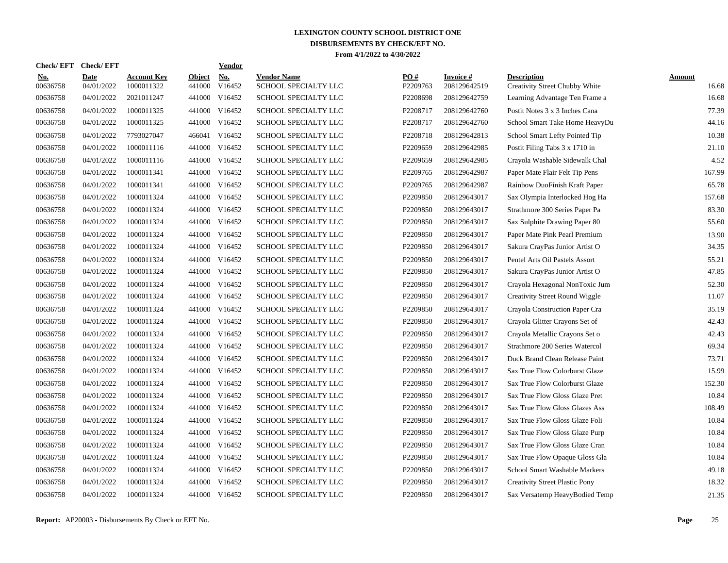| Check/ EFT             | <b>Check/EFT</b>          |                                  |                         | <b>Vendor</b>                       |                                            |                 |                           |                                                      |                        |
|------------------------|---------------------------|----------------------------------|-------------------------|-------------------------------------|--------------------------------------------|-----------------|---------------------------|------------------------------------------------------|------------------------|
| <u>No.</u><br>00636758 | <b>Date</b><br>04/01/2022 | <b>Account Key</b><br>1000011322 | <b>Object</b><br>441000 | $\underline{\text{No}}$ .<br>V16452 | <b>Vendor Name</b><br>SCHOOL SPECIALTY LLC | PO#<br>P2209763 | Invoice #<br>208129642519 | <b>Description</b><br>Creativity Street Chubby White | <b>Amount</b><br>16.68 |
| 00636758               | 04/01/2022                | 2021011247                       | 441000                  | V16452                              | SCHOOL SPECIALTY LLC                       | P2208698        | 208129642759              | Learning Advantage Ten Frame a                       | 16.68                  |
| 00636758               | 04/01/2022                | 1000011325                       | 441000                  | V16452                              | SCHOOL SPECIALTY LLC                       | P2208717        | 208129642760              | Postit Notes 3 x 3 Inches Cana                       | 77.39                  |
| 00636758               | 04/01/2022                | 1000011325                       |                         | 441000 V16452                       | SCHOOL SPECIALTY LLC                       | P2208717        | 208129642760              | School Smart Take Home HeavyDu                       | 44.16                  |
| 00636758               | 04/01/2022                | 7793027047                       |                         | 466041 V16452                       | SCHOOL SPECIALTY LLC                       | P2208718        | 208129642813              | School Smart Lefty Pointed Tip                       | 10.38                  |
| 00636758               | 04/01/2022                | 1000011116                       |                         | 441000 V16452                       | SCHOOL SPECIALTY LLC                       | P2209659        | 208129642985              | Postit Filing Tabs 3 x 1710 in                       | 21.10                  |
| 00636758               | 04/01/2022                | 1000011116                       | 441000                  | V16452                              | SCHOOL SPECIALTY LLC                       | P2209659        | 208129642985              | Crayola Washable Sidewalk Chal                       | 4.52                   |
| 00636758               | 04/01/2022                | 1000011341                       | 441000                  | V16452                              | SCHOOL SPECIALTY LLC                       | P2209765        | 208129642987              | Paper Mate Flair Felt Tip Pens                       | 167.99                 |
| 00636758               | 04/01/2022                | 1000011341                       | 441000                  | V16452                              | SCHOOL SPECIALTY LLC                       | P2209765        | 208129642987              | Rainbow DuoFinish Kraft Paper                        | 65.78                  |
| 00636758               | 04/01/2022                | 1000011324                       | 441000                  | V16452                              | SCHOOL SPECIALTY LLC                       | P2209850        | 208129643017              | Sax Olympia Interlocked Hog Ha                       | 157.68                 |
| 00636758               | 04/01/2022                | 1000011324                       |                         | 441000 V16452                       | SCHOOL SPECIALTY LLC                       | P2209850        | 208129643017              | Strathmore 300 Series Paper Pa                       | 83.30                  |
| 00636758               | 04/01/2022                | 1000011324                       |                         | 441000 V16452                       | SCHOOL SPECIALTY LLC                       | P2209850        | 208129643017              | Sax Sulphite Drawing Paper 80                        | 55.60                  |
| 00636758               | 04/01/2022                | 1000011324                       |                         | 441000 V16452                       | SCHOOL SPECIALTY LLC                       | P2209850        | 208129643017              | Paper Mate Pink Pearl Premium                        | 13.90                  |
| 00636758               | 04/01/2022                | 1000011324                       |                         | 441000 V16452                       | SCHOOL SPECIALTY LLC                       | P2209850        | 208129643017              | Sakura CrayPas Junior Artist O                       | 34.35                  |
| 00636758               | 04/01/2022                | 1000011324                       |                         | 441000 V16452                       | SCHOOL SPECIALTY LLC                       | P2209850        | 208129643017              | Pentel Arts Oil Pastels Assort                       | 55.21                  |
| 00636758               | 04/01/2022                | 1000011324                       | 441000                  | V16452                              | SCHOOL SPECIALTY LLC                       | P2209850        | 208129643017              | Sakura CrayPas Junior Artist O                       | 47.85                  |
| 00636758               | 04/01/2022                | 1000011324                       | 441000                  | V16452                              | <b>SCHOOL SPECIALTY LLC</b>                | P2209850        | 208129643017              | Crayola Hexagonal NonToxic Jum                       | 52.30                  |
| 00636758               | 04/01/2022                | 1000011324                       | 441000                  | V16452                              | SCHOOL SPECIALTY LLC                       | P2209850        | 208129643017              | <b>Creativity Street Round Wiggle</b>                | 11.07                  |
| 00636758               | 04/01/2022                | 1000011324                       | 441000                  | V16452                              | SCHOOL SPECIALTY LLC                       | P2209850        | 208129643017              | Crayola Construction Paper Cra                       | 35.19                  |
| 00636758               | 04/01/2022                | 1000011324                       |                         | 441000 V16452                       | SCHOOL SPECIALTY LLC                       | P2209850        | 208129643017              | Crayola Glitter Crayons Set of                       | 42.43                  |
| 00636758               | 04/01/2022                | 1000011324                       |                         | 441000 V16452                       | SCHOOL SPECIALTY LLC                       | P2209850        | 208129643017              | Crayola Metallic Crayons Set o                       | 42.43                  |
| 00636758               | 04/01/2022                | 1000011324                       |                         | 441000 V16452                       | SCHOOL SPECIALTY LLC                       | P2209850        | 208129643017              | Strathmore 200 Series Watercol                       | 69.34                  |
| 00636758               | 04/01/2022                | 1000011324                       |                         | 441000 V16452                       | SCHOOL SPECIALTY LLC                       | P2209850        | 208129643017              | Duck Brand Clean Release Paint                       | 73.71                  |
| 00636758               | 04/01/2022                | 1000011324                       |                         | 441000 V16452                       | <b>SCHOOL SPECIALTY LLC</b>                | P2209850        | 208129643017              | Sax True Flow Colorburst Glaze                       | 15.99                  |
| 00636758               | 04/01/2022                | 1000011324                       | 441000                  | V16452                              | SCHOOL SPECIALTY LLC                       | P2209850        | 208129643017              | Sax True Flow Colorburst Glaze                       | 152.30                 |
| 00636758               | 04/01/2022                | 1000011324                       | 441000                  | V16452                              | SCHOOL SPECIALTY LLC                       | P2209850        | 208129643017              | Sax True Flow Gloss Glaze Pret                       | 10.84                  |
| 00636758               | 04/01/2022                | 1000011324                       | 441000                  | V16452                              | SCHOOL SPECIALTY LLC                       | P2209850        | 208129643017              | Sax True Flow Gloss Glazes Ass                       | 108.49                 |
| 00636758               | 04/01/2022                | 1000011324                       |                         | 441000 V16452                       | SCHOOL SPECIALTY LLC                       | P2209850        | 208129643017              | Sax True Flow Gloss Glaze Foli                       | 10.84                  |
| 00636758               | 04/01/2022                | 1000011324                       |                         | 441000 V16452                       | SCHOOL SPECIALTY LLC                       | P2209850        | 208129643017              | Sax True Flow Gloss Glaze Purp                       | 10.84                  |
| 00636758               | 04/01/2022                | 1000011324                       |                         | 441000 V16452                       | SCHOOL SPECIALTY LLC                       | P2209850        | 208129643017              | Sax True Flow Gloss Glaze Cran                       | 10.84                  |
| 00636758               | 04/01/2022                | 1000011324                       |                         | 441000 V16452                       | SCHOOL SPECIALTY LLC                       | P2209850        | 208129643017              | Sax True Flow Opaque Gloss Gla                       | 10.84                  |
| 00636758               | 04/01/2022                | 1000011324                       |                         | 441000 V16452                       | SCHOOL SPECIALTY LLC                       | P2209850        | 208129643017              | School Smart Washable Markers                        | 49.18                  |
| 00636758               | 04/01/2022                | 1000011324                       |                         | 441000 V16452                       | SCHOOL SPECIALTY LLC                       | P2209850        | 208129643017              | <b>Creativity Street Plastic Pony</b>                | 18.32                  |
| 00636758               | 04/01/2022                | 1000011324                       |                         | 441000 V16452                       | SCHOOL SPECIALTY LLC                       | P2209850        | 208129643017              | Sax Versatemp HeavyBodied Temp                       | 21.35                  |
|                        |                           |                                  |                         |                                     |                                            |                 |                           |                                                      |                        |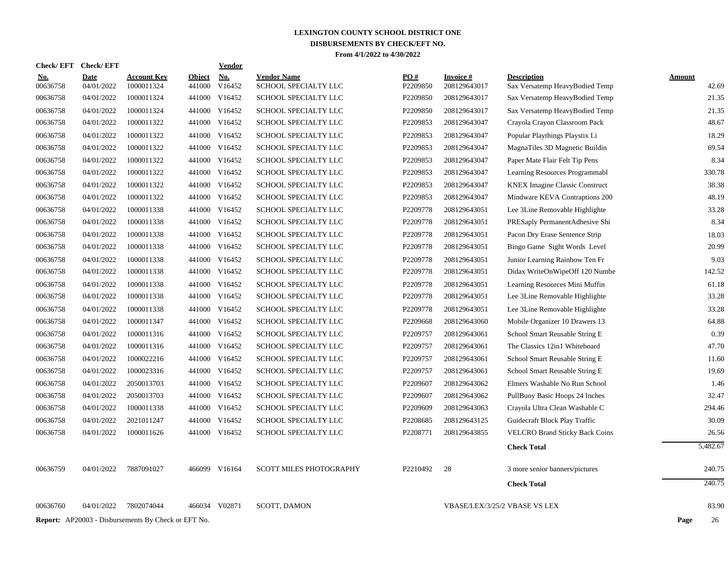| <b>Check/EFT</b>       | <b>Check/EFT</b>          |                                                            |                         | Vendor               |                                            |                               |                                 |                                                      |                        |
|------------------------|---------------------------|------------------------------------------------------------|-------------------------|----------------------|--------------------------------------------|-------------------------------|---------------------------------|------------------------------------------------------|------------------------|
| <u>No.</u><br>00636758 | <b>Date</b><br>04/01/2022 | <b>Account Key</b><br>1000011324                           | <b>Object</b><br>441000 | <u>No.</u><br>V16452 | <b>Vendor Name</b><br>SCHOOL SPECIALTY LLC | $\underline{PO#}$<br>P2209850 | <b>Invoice#</b><br>208129643017 | <b>Description</b><br>Sax Versatemp HeavyBodied Temp | <b>Amount</b><br>42.69 |
| 00636758               | 04/01/2022                | 1000011324                                                 | 441000                  | V16452               | SCHOOL SPECIALTY LLC                       | P2209850                      | 208129643017                    | Sax Versatemp HeavyBodied Temp                       | 21.35                  |
| 00636758               | 04/01/2022                | 1000011324                                                 | 441000                  | V16452               | SCHOOL SPECIALTY LLC                       | P2209850                      | 208129643017                    | Sax Versatemp HeavyBodied Temp                       | 21.35                  |
| 00636758               | 04/01/2022                | 1000011322                                                 | 441000                  | V16452               | SCHOOL SPECIALTY LLC                       | P2209853                      | 208129643047                    | Crayola Crayon Classroom Pack                        | 48.67                  |
| 00636758               | 04/01/2022                | 1000011322                                                 | 441000                  | V16452               | SCHOOL SPECIALTY LLC                       | P2209853                      | 208129643047                    | Popular Playthings Playstix Li                       | 18.29                  |
| 00636758               | 04/01/2022                | 1000011322                                                 |                         | 441000 V16452        | SCHOOL SPECIALTY LLC                       | P2209853                      | 208129643047                    | MagnaTiles 3D Magnetic Buildin                       | 69.54                  |
| 00636758               | 04/01/2022                | 1000011322                                                 | 441000                  | V16452               | SCHOOL SPECIALTY LLC                       | P2209853                      | 208129643047                    | Paper Mate Flair Felt Tip Pens                       | 8.34                   |
| 00636758               | 04/01/2022                | 1000011322                                                 |                         | 441000 V16452        | SCHOOL SPECIALTY LLC                       | P2209853                      | 208129643047                    | Learning Resources Programmabl                       | 330.78                 |
| 00636758               | 04/01/2022                | 1000011322                                                 | 441000                  | V16452               | <b>SCHOOL SPECIALTY LLC</b>                | P2209853                      | 208129643047                    | <b>KNEX Imagine Classic Construct</b>                | 38.38                  |
| 00636758               | 04/01/2022                | 1000011322                                                 | 441000                  | V16452               | SCHOOL SPECIALTY LLC                       | P2209853                      | 208129643047                    | Mindware KEVA Contraptions 200                       | 48.19                  |
| 00636758               | 04/01/2022                | 1000011338                                                 | 441000                  | V16452               | SCHOOL SPECIALTY LLC                       | P2209778                      | 208129643051                    | Lee 3Line Removable Highlighte                       | 33.28                  |
| 00636758               | 04/01/2022                | 1000011338                                                 | 441000                  | V16452               | SCHOOL SPECIALTY LLC                       | P2209778                      | 208129643051                    | PRESaply PermanentAdhesive Shi                       | 8.34                   |
| 00636758               | 04/01/2022                | 1000011338                                                 |                         | 441000 V16452        | <b>SCHOOL SPECIALTY LLC</b>                | P2209778                      | 208129643051                    | Pacon Dry Erase Sentence Strip                       | 18.03                  |
| 00636758               | 04/01/2022                | 1000011338                                                 | 441000                  | V16452               | SCHOOL SPECIALTY LLC                       | P2209778                      | 208129643051                    | Bingo Game Sight Words Level                         | 20.99                  |
| 00636758               | 04/01/2022                | 1000011338                                                 |                         | 441000 V16452        | SCHOOL SPECIALTY LLC                       | P2209778                      | 208129643051                    | Junior Learning Rainbow Ten Fr                       | 9.03                   |
| 00636758               | 04/01/2022                | 1000011338                                                 |                         | 441000 V16452        | SCHOOL SPECIALTY LLC                       | P2209778                      | 208129643051                    | Didax WriteOnWipeOff 120 Numbe                       | 142.52                 |
| 00636758               | 04/01/2022                | 1000011338                                                 |                         | 441000 V16452        | <b>SCHOOL SPECIALTY LLC</b>                | P2209778                      | 208129643051                    | Learning Resources Mini Muffin                       | 61.18                  |
| 00636758               | 04/01/2022                | 1000011338                                                 |                         | 441000 V16452        | SCHOOL SPECIALTY LLC                       | P2209778                      | 208129643051                    | Lee 3Line Removable Highlighte                       | 33.28                  |
| 00636758               | 04/01/2022                | 1000011338                                                 |                         | 441000 V16452        | SCHOOL SPECIALTY LLC                       | P2209778                      | 208129643051                    | Lee 3Line Removable Highlighte                       | 33.28                  |
| 00636758               | 04/01/2022                | 1000011347                                                 |                         | 441000 V16452        | SCHOOL SPECIALTY LLC                       | P2209668                      | 208129643060                    | Mobile Organizer 10 Drawers 13                       | 64.88                  |
| 00636758               | 04/01/2022                | 1000011316                                                 |                         | 441000 V16452        | SCHOOL SPECIALTY LLC                       | P2209757                      | 208129643061                    | School Smart Reusable String E                       | 0.39                   |
| 00636758               | 04/01/2022                | 1000011316                                                 |                         | 441000 V16452        | SCHOOL SPECIALTY LLC                       | P2209757                      | 208129643061                    | The Classics 12in1 Whiteboard                        | 47.70                  |
| 00636758               | 04/01/2022                | 1000022216                                                 | 441000                  | V16452               | SCHOOL SPECIALTY LLC                       | P2209757                      | 208129643061                    | School Smart Reusable String E                       | 11.60                  |
| 00636758               | 04/01/2022                | 1000023316                                                 |                         | 441000 V16452        | SCHOOL SPECIALTY LLC                       | P2209757                      | 208129643061                    | School Smart Reusable String E                       | 19.69                  |
| 00636758               | 04/01/2022                | 2050013703                                                 |                         | 441000 V16452        | SCHOOL SPECIALTY LLC                       | P2209607                      | 208129643062                    | Elmers Washable No Run School                        | 1.46                   |
| 00636758               | 04/01/2022                | 2050013703                                                 |                         | 441000 V16452        | SCHOOL SPECIALTY LLC                       | P2209607                      | 208129643062                    | PullBuoy Basic Hoops 24 Inches                       | 32.47                  |
| 00636758               | 04/01/2022                | 1000011338                                                 |                         | 441000 V16452        | SCHOOL SPECIALTY LLC                       | P2209609                      | 208129643063                    | Crayola Ultra Clean Washable C                       | 294.46                 |
| 00636758               | 04/01/2022                | 2021011247                                                 |                         | 441000 V16452        | SCHOOL SPECIALTY LLC                       | P2208685                      | 208129643125                    | Guidecraft Block Play Traffic                        | 30.09                  |
| 00636758               | 04/01/2022                | 1000011626                                                 |                         | 441000 V16452        | SCHOOL SPECIALTY LLC                       | P2208771                      | 208129643855                    | <b>VELCRO Brand Sticky Back Coins</b>                | 26.56                  |
|                        |                           |                                                            |                         |                      |                                            |                               |                                 | <b>Check Total</b>                                   | 5,482.67               |
| 00636759               | 04/01/2022                | 7887091027                                                 |                         | 466099 V16164        | <b>SCOTT MILES PHOTOGRAPHY</b>             | P2210492                      | 28                              | 3 more senior banners/pictures                       | 240.75                 |
|                        |                           |                                                            |                         |                      |                                            |                               |                                 | <b>Check Total</b>                                   | 240.75                 |
| 00636760               | 04/01/2022                | 7802074044                                                 |                         | 466034 V02871        | <b>SCOTT, DAMON</b>                        |                               |                                 | VBASE/LEX/3/25/2 VBASE VS LEX                        | 83.90                  |
|                        |                           | <b>Report:</b> AP20003 - Disbursements By Check or EFT No. |                         |                      |                                            |                               |                                 |                                                      | Page<br>26             |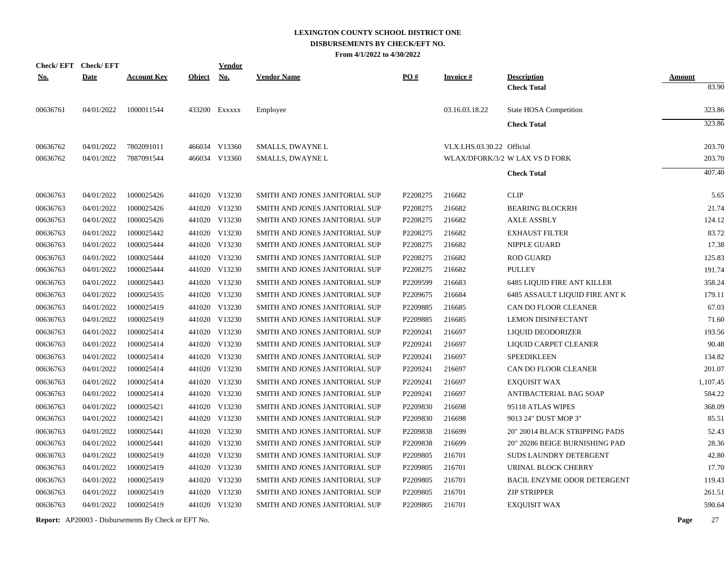|            | Check/EFT Check/EFT |                    |               | <b>Vendor</b> |                                |          |                           |                                          |                        |
|------------|---------------------|--------------------|---------------|---------------|--------------------------------|----------|---------------------------|------------------------------------------|------------------------|
| <u>No.</u> | <b>Date</b>         | <b>Account Key</b> | <b>Object</b> | <u>No.</u>    | <b>Vendor Name</b>             | PO#      | <b>Invoice#</b>           | <b>Description</b><br><b>Check Total</b> | <b>Amount</b><br>83.90 |
| 00636761   | 04/01/2022          | 1000011544         |               | 433200 Exxxxx | Employee                       |          | 03.16.03.18.22            | State HOSA Competition                   | 323.86                 |
|            |                     |                    |               |               |                                |          |                           |                                          | 323.86                 |
|            |                     |                    |               |               |                                |          |                           | <b>Check Total</b>                       |                        |
| 00636762   | 04/01/2022          | 7802091011         |               | 466034 V13360 | SMALLS, DWAYNE L               |          | VLX.LHS.03.30.22 Official |                                          | 203.70                 |
| 00636762   | 04/01/2022          | 7887091544         |               | 466034 V13360 | SMALLS, DWAYNE L               |          |                           | WLAX/DFORK/3/2 W LAX VS D FORK           | 203.70                 |
|            |                     |                    |               |               |                                |          |                           | <b>Check Total</b>                       | 407.40                 |
| 00636763   | 04/01/2022          | 1000025426         |               | 441020 V13230 | SMITH AND JONES JANITORIAL SUP | P2208275 | 216682                    | <b>CLIP</b>                              | 5.65                   |
| 00636763   | 04/01/2022          | 1000025426         |               | 441020 V13230 | SMITH AND JONES JANITORIAL SUP | P2208275 | 216682                    | <b>BEARING BLOCKRH</b>                   | 21.74                  |
| 00636763   | 04/01/2022          | 1000025426         |               | 441020 V13230 | SMITH AND JONES JANITORIAL SUP | P2208275 | 216682                    | <b>AXLE ASSBLY</b>                       | 124.12                 |
| 00636763   | 04/01/2022          | 1000025442         |               | 441020 V13230 | SMITH AND JONES JANITORIAL SUP | P2208275 | 216682                    | <b>EXHAUST FILTER</b>                    | 83.72                  |
| 00636763   | 04/01/2022          | 1000025444         |               | 441020 V13230 | SMITH AND JONES JANITORIAL SUP | P2208275 | 216682                    | NIPPLE GUARD                             | 17.38                  |
| 00636763   | 04/01/2022          | 1000025444         |               | 441020 V13230 | SMITH AND JONES JANITORIAL SUP | P2208275 | 216682                    | <b>ROD GUARD</b>                         | 125.83                 |
| 00636763   | 04/01/2022          | 1000025444         |               | 441020 V13230 | SMITH AND JONES JANITORIAL SUP | P2208275 | 216682                    | <b>PULLEY</b>                            | 191.74                 |
| 00636763   | 04/01/2022          | 1000025443         |               | 441020 V13230 | SMITH AND JONES JANITORIAL SUP | P2209599 | 216683                    | <b>6485 LIQUID FIRE ANT KILLER</b>       | 358.24                 |
| 00636763   | 04/01/2022          | 1000025435         |               | 441020 V13230 | SMITH AND JONES JANITORIAL SUP | P2209675 | 216684                    | 6485 ASSAULT LIQUID FIRE ANT K           | 179.11                 |
| 00636763   | 04/01/2022          | 1000025419         |               | 441020 V13230 | SMITH AND JONES JANITORIAL SUP | P2209885 | 216685                    | CAN DO FLOOR CLEANER                     | 67.03                  |
| 00636763   | 04/01/2022          | 1000025419         |               | 441020 V13230 | SMITH AND JONES JANITORIAL SUP | P2209885 | 216685                    | <b>LEMON DISINFECTANT</b>                | 71.60                  |
| 00636763   | 04/01/2022          | 1000025414         |               | 441020 V13230 | SMITH AND JONES JANITORIAL SUP | P2209241 | 216697                    | LIQUID DEODORIZER                        | 193.56                 |
| 00636763   | 04/01/2022          | 1000025414         |               | 441020 V13230 | SMITH AND JONES JANITORIAL SUP | P2209241 | 216697                    | LIQUID CARPET CLEANER                    | 90.48                  |
| 00636763   | 04/01/2022          | 1000025414         |               | 441020 V13230 | SMITH AND JONES JANITORIAL SUP | P2209241 | 216697                    | <b>SPEEDIKLEEN</b>                       | 134.82                 |
| 00636763   | 04/01/2022          | 1000025414         |               | 441020 V13230 | SMITH AND JONES JANITORIAL SUP | P2209241 | 216697                    | CAN DO FLOOR CLEANER                     | 201.07                 |
| 00636763   | 04/01/2022          | 1000025414         |               | 441020 V13230 | SMITH AND JONES JANITORIAL SUP | P2209241 | 216697                    | <b>EXQUISIT WAX</b>                      | 1,107.45               |
| 00636763   | 04/01/2022          | 1000025414         |               | 441020 V13230 | SMITH AND JONES JANITORIAL SUP | P2209241 | 216697                    | ANTIBACTERIAL BAG SOAP                   | 584.22                 |
| 00636763   | 04/01/2022          | 1000025421         |               | 441020 V13230 | SMITH AND JONES JANITORIAL SUP | P2209830 | 216698                    | 95118 ATLAS WIPES                        | 368.09                 |
| 00636763   | 04/01/2022          | 1000025421         |               | 441020 V13230 | SMITH AND JONES JANITORIAL SUP | P2209830 | 216698                    | 9013 24" DUST MOP 3"                     | 85.51                  |
| 00636763   | 04/01/2022          | 1000025441         |               | 441020 V13230 | SMITH AND JONES JANITORIAL SUP | P2209838 | 216699                    | 20" 20014 BLACK STRIPPING PADS           | 52.43                  |
| 00636763   | 04/01/2022          | 1000025441         |               | 441020 V13230 | SMITH AND JONES JANITORIAL SUP | P2209838 | 216699                    | 20" 20286 BEIGE BURNISHING PAD           | 28.36                  |
| 00636763   | 04/01/2022          | 1000025419         |               | 441020 V13230 | SMITH AND JONES JANITORIAL SUP | P2209805 | 216701                    | <b>SUDS LAUNDRY DETERGENT</b>            | 42.80                  |
| 00636763   | 04/01/2022          | 1000025419         |               | 441020 V13230 | SMITH AND JONES JANITORIAL SUP | P2209805 | 216701                    | URINAL BLOCK CHERRY                      | 17.70                  |
| 00636763   | 04/01/2022          | 1000025419         |               | 441020 V13230 | SMITH AND JONES JANITORIAL SUP | P2209805 | 216701                    | BACIL ENZYME ODOR DETERGENT              | 119.43                 |
| 00636763   | 04/01/2022          | 1000025419         |               | 441020 V13230 | SMITH AND JONES JANITORIAL SUP | P2209805 | 216701                    | <b>ZIP STRIPPER</b>                      | 261.51                 |
| 00636763   | 04/01/2022          | 1000025419         |               | 441020 V13230 | SMITH AND JONES JANITORIAL SUP | P2209805 | 216701                    | <b>EXOUISIT WAX</b>                      | 590.64                 |
|            |                     |                    |               |               |                                |          |                           |                                          |                        |

**Report:** AP20003 - Disbursements By Check or EFT No. **Page** 27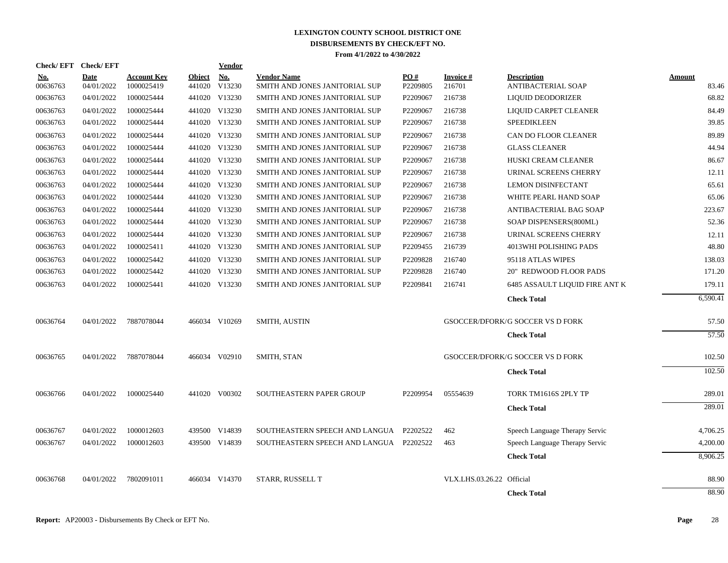| <b>Check/EFT</b>       | <b>Check/EFT</b>          |                                  |                         | <b>Vendor</b> |                                                      |                 |                           |                                          |                 |
|------------------------|---------------------------|----------------------------------|-------------------------|---------------|------------------------------------------------------|-----------------|---------------------------|------------------------------------------|-----------------|
| <u>No.</u><br>00636763 | <b>Date</b><br>04/01/2022 | <b>Account Kev</b><br>1000025419 | <b>Object</b><br>441020 | No.<br>V13230 | <b>Vendor Name</b><br>SMITH AND JONES JANITORIAL SUP | PO#<br>P2209805 | Invoice #<br>216701       | <b>Description</b><br>ANTIBACTERIAL SOAP | Amount<br>83.46 |
| 00636763               | 04/01/2022                | 1000025444                       |                         | 441020 V13230 | SMITH AND JONES JANITORIAL SUP                       | P2209067        | 216738                    | LIQUID DEODORIZER                        | 68.82           |
| 00636763               | 04/01/2022                | 1000025444                       |                         | 441020 V13230 | SMITH AND JONES JANITORIAL SUP                       | P2209067        | 216738                    | LIQUID CARPET CLEANER                    | 84.49           |
| 00636763               | 04/01/2022                | 1000025444                       |                         | 441020 V13230 | SMITH AND JONES JANITORIAL SUP                       | P2209067        | 216738                    | <b>SPEEDIKLEEN</b>                       | 39.85           |
| 00636763               | 04/01/2022                | 1000025444                       |                         | 441020 V13230 | SMITH AND JONES JANITORIAL SUP                       | P2209067        | 216738                    | CAN DO FLOOR CLEANER                     | 89.89           |
| 00636763               | 04/01/2022                | 1000025444                       |                         | 441020 V13230 | SMITH AND JONES JANITORIAL SUP                       | P2209067        | 216738                    | <b>GLASS CLEANER</b>                     | 44.94           |
| 00636763               | 04/01/2022                | 1000025444                       |                         | 441020 V13230 | SMITH AND JONES JANITORIAL SUP                       | P2209067        | 216738                    | HUSKI CREAM CLEANER                      | 86.67           |
| 00636763               | 04/01/2022                | 1000025444                       |                         | 441020 V13230 | SMITH AND JONES JANITORIAL SUP                       | P2209067        | 216738                    | URINAL SCREENS CHERRY                    | 12.11           |
| 00636763               | 04/01/2022                | 1000025444                       |                         | 441020 V13230 | SMITH AND JONES JANITORIAL SUP                       | P2209067        | 216738                    | <b>LEMON DISINFECTANT</b>                | 65.61           |
| 00636763               | 04/01/2022                | 1000025444                       |                         | 441020 V13230 | SMITH AND JONES JANITORIAL SUP                       | P2209067        | 216738                    | WHITE PEARL HAND SOAP                    | 65.06           |
| 00636763               | 04/01/2022                | 1000025444                       |                         | 441020 V13230 | SMITH AND JONES JANITORIAL SUP                       | P2209067        | 216738                    | ANTIBACTERIAL BAG SOAP                   | 223.67          |
| 00636763               | 04/01/2022                | 1000025444                       |                         | 441020 V13230 | SMITH AND JONES JANITORIAL SUP                       | P2209067        | 216738                    | SOAP DISPENSERS(800ML)                   | 52.36           |
| 00636763               | 04/01/2022                | 1000025444                       |                         | 441020 V13230 | SMITH AND JONES JANITORIAL SUP                       | P2209067        | 216738                    | URINAL SCREENS CHERRY                    | 12.11           |
| 00636763               | 04/01/2022                | 1000025411                       |                         | 441020 V13230 | SMITH AND JONES JANITORIAL SUP                       | P2209455        | 216739                    | 4013WHI POLISHING PADS                   | 48.80           |
| 00636763               | 04/01/2022                | 1000025442                       |                         | 441020 V13230 | SMITH AND JONES JANITORIAL SUP                       | P2209828        | 216740                    | 95118 ATLAS WIPES                        | 138.03          |
| 00636763               | 04/01/2022                | 1000025442                       |                         | 441020 V13230 | SMITH AND JONES JANITORIAL SUP                       | P2209828        | 216740                    | <b>20" REDWOOD FLOOR PADS</b>            | 171.20          |
| 00636763               | 04/01/2022                | 1000025441                       |                         | 441020 V13230 | SMITH AND JONES JANITORIAL SUP                       | P2209841        | 216741                    | <b>6485 ASSAULT LIQUID FIRE ANT K</b>    | 179.11          |
|                        |                           |                                  |                         |               |                                                      |                 |                           | <b>Check Total</b>                       | 6,590.41        |
| 00636764               | 04/01/2022                | 7887078044                       |                         | 466034 V10269 | <b>SMITH, AUSTIN</b>                                 |                 |                           | GSOCCER/DFORK/G SOCCER VS D FORK         | 57.50           |
|                        |                           |                                  |                         |               |                                                      |                 |                           | <b>Check Total</b>                       | 57.50           |
| 00636765               | 04/01/2022                | 7887078044                       |                         | 466034 V02910 | SMITH, STAN                                          |                 |                           | GSOCCER/DFORK/G SOCCER VS D FORK         | 102.50          |
|                        |                           |                                  |                         |               |                                                      |                 |                           | <b>Check Total</b>                       | 102.50          |
| 00636766               | 04/01/2022                | 1000025440                       |                         | 441020 V00302 | SOUTHEASTERN PAPER GROUP                             | P2209954        | 05554639                  | TORK TM1616S 2PLY TP                     | 289.01          |
|                        |                           |                                  |                         |               |                                                      |                 |                           | <b>Check Total</b>                       | 289.01          |
| 00636767               | 04/01/2022                | 1000012603                       |                         | 439500 V14839 | SOUTHEASTERN SPEECH AND LANGUA                       | P2202522        | 462                       | Speech Language Therapy Servic           | 4,706.25        |
| 00636767               | 04/01/2022                | 1000012603                       |                         | 439500 V14839 | SOUTHEASTERN SPEECH AND LANGUA P2202522              |                 | 463                       | Speech Language Therapy Servic           | 4,200.00        |
|                        |                           |                                  |                         |               |                                                      |                 |                           | <b>Check Total</b>                       | 8,906.25        |
| 00636768               | 04/01/2022                | 7802091011                       |                         | 466034 V14370 | STARR, RUSSELL T                                     |                 | VLX.LHS.03.26.22 Official |                                          | 88.90           |
|                        |                           |                                  |                         |               |                                                      |                 |                           | <b>Check Total</b>                       | 88.90           |
|                        |                           |                                  |                         |               |                                                      |                 |                           |                                          |                 |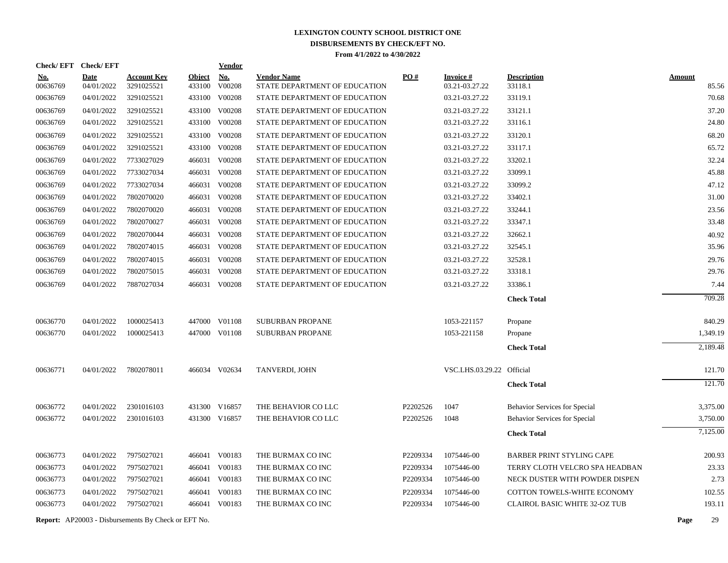| Check/EFT Check/EFT |             |                                                            |               | Vendor        |                               |          |                           |                                      |               |          |
|---------------------|-------------|------------------------------------------------------------|---------------|---------------|-------------------------------|----------|---------------------------|--------------------------------------|---------------|----------|
| <u>No.</u>          | <b>Date</b> | <b>Account Key</b>                                         | <b>Object</b> | <b>No.</b>    | <b>Vendor Name</b>            | PO#      | <b>Invoice#</b>           | <b>Description</b>                   | <b>Amount</b> |          |
| 00636769            | 04/01/2022  | 3291025521                                                 | 433100        | V00208        | STATE DEPARTMENT OF EDUCATION |          | 03.21-03.27.22            | 33118.1                              |               | 85.56    |
| 00636769            | 04/01/2022  | 3291025521                                                 | 433100        | V00208        | STATE DEPARTMENT OF EDUCATION |          | 03.21-03.27.22            | 33119.1                              |               | 70.68    |
| 00636769            | 04/01/2022  | 3291025521                                                 |               | 433100 V00208 | STATE DEPARTMENT OF EDUCATION |          | 03.21-03.27.22            | 33121.1                              |               | 37.20    |
| 00636769            | 04/01/2022  | 3291025521                                                 | 433100        | V00208        | STATE DEPARTMENT OF EDUCATION |          | 03.21-03.27.22            | 33116.1                              |               | 24.80    |
| 00636769            | 04/01/2022  | 3291025521                                                 |               | 433100 V00208 | STATE DEPARTMENT OF EDUCATION |          | 03.21-03.27.22            | 33120.1                              |               | 68.20    |
| 00636769            | 04/01/2022  | 3291025521                                                 |               | 433100 V00208 | STATE DEPARTMENT OF EDUCATION |          | 03.21-03.27.22            | 33117.1                              |               | 65.72    |
| 00636769            | 04/01/2022  | 7733027029                                                 |               | 466031 V00208 | STATE DEPARTMENT OF EDUCATION |          | 03.21-03.27.22            | 33202.1                              |               | 32.24    |
| 00636769            | 04/01/2022  | 7733027034                                                 |               | 466031 V00208 | STATE DEPARTMENT OF EDUCATION |          | 03.21-03.27.22            | 33099.1                              |               | 45.88    |
| 00636769            | 04/01/2022  | 7733027034                                                 |               | 466031 V00208 | STATE DEPARTMENT OF EDUCATION |          | 03.21-03.27.22            | 33099.2                              |               | 47.12    |
| 00636769            | 04/01/2022  | 7802070020                                                 |               | 466031 V00208 | STATE DEPARTMENT OF EDUCATION |          | 03.21-03.27.22            | 33402.1                              |               | 31.00    |
| 00636769            | 04/01/2022  | 7802070020                                                 | 466031        | V00208        | STATE DEPARTMENT OF EDUCATION |          | 03.21-03.27.22            | 33244.1                              |               | 23.56    |
| 00636769            | 04/01/2022  | 7802070027                                                 |               | 466031 V00208 | STATE DEPARTMENT OF EDUCATION |          | 03.21-03.27.22            | 33347.1                              |               | 33.48    |
| 00636769            | 04/01/2022  | 7802070044                                                 |               | 466031 V00208 | STATE DEPARTMENT OF EDUCATION |          | 03.21-03.27.22            | 32662.1                              |               | 40.92    |
| 00636769            | 04/01/2022  | 7802074015                                                 |               | 466031 V00208 | STATE DEPARTMENT OF EDUCATION |          | 03.21-03.27.22            | 32545.1                              |               | 35.96    |
| 00636769            | 04/01/2022  | 7802074015                                                 |               | 466031 V00208 | STATE DEPARTMENT OF EDUCATION |          | 03.21-03.27.22            | 32528.1                              |               | 29.76    |
| 00636769            | 04/01/2022  | 7802075015                                                 |               | 466031 V00208 | STATE DEPARTMENT OF EDUCATION |          | 03.21-03.27.22            | 33318.1                              |               | 29.76    |
| 00636769            | 04/01/2022  | 7887027034                                                 |               | 466031 V00208 | STATE DEPARTMENT OF EDUCATION |          | 03.21-03.27.22            | 33386.1                              |               | 7.44     |
|                     |             |                                                            |               |               |                               |          |                           | <b>Check Total</b>                   |               | 709.28   |
| 00636770            | 04/01/2022  | 1000025413                                                 |               | 447000 V01108 | <b>SUBURBAN PROPANE</b>       |          | 1053-221157               | Propane                              |               | 840.29   |
| 00636770            | 04/01/2022  | 1000025413                                                 |               | 447000 V01108 | <b>SUBURBAN PROPANE</b>       |          | 1053-221158               | Propane                              |               | 1,349.19 |
|                     |             |                                                            |               |               |                               |          |                           | <b>Check Total</b>                   |               | 2,189.48 |
| 00636771            | 04/01/2022  | 7802078011                                                 |               | 466034 V02634 | TANVERDI, JOHN                |          | VSC.LHS.03.29.22 Official |                                      |               | 121.70   |
|                     |             |                                                            |               |               |                               |          |                           | <b>Check Total</b>                   |               | 121.70   |
| 00636772            | 04/01/2022  | 2301016103                                                 |               | 431300 V16857 | THE BEHAVIOR CO LLC           | P2202526 | 1047                      | <b>Behavior Services for Special</b> |               | 3,375.00 |
| 00636772            | 04/01/2022  | 2301016103                                                 |               | 431300 V16857 | THE BEHAVIOR CO LLC           | P2202526 | 1048                      | Behavior Services for Special        |               | 3,750.00 |
|                     |             |                                                            |               |               |                               |          |                           | <b>Check Total</b>                   |               | 7,125.00 |
| 00636773            | 04/01/2022  | 7975027021                                                 |               | 466041 V00183 | THE BURMAX CO INC             | P2209334 | 1075446-00                | <b>BARBER PRINT STYLING CAPE</b>     |               | 200.93   |
| 00636773            | 04/01/2022  | 7975027021                                                 |               | 466041 V00183 | THE BURMAX CO INC             | P2209334 | 1075446-00                | TERRY CLOTH VELCRO SPA HEADBAN       |               | 23.33    |
| 00636773            | 04/01/2022  | 7975027021                                                 |               | 466041 V00183 | THE BURMAX CO INC             | P2209334 | 1075446-00                | NECK DUSTER WITH POWDER DISPEN       |               | 2.73     |
| 00636773            | 04/01/2022  | 7975027021                                                 |               | 466041 V00183 | THE BURMAX CO INC             | P2209334 | 1075446-00                | COTTON TOWELS-WHITE ECONOMY          |               | 102.55   |
| 00636773            | 04/01/2022  | 7975027021                                                 |               | 466041 V00183 | THE BURMAX CO INC             | P2209334 | 1075446-00                | CLAIROL BASIC WHITE 32-OZ TUB        |               | 193.11   |
|                     |             | <b>Report:</b> AP20003 - Disbursements By Check or EFT No. |               |               |                               |          |                           |                                      | Page          | 29       |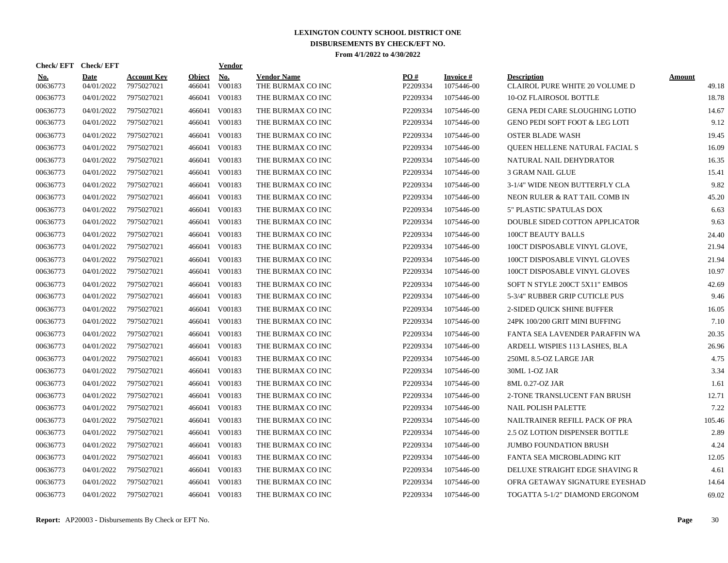| Check/EFT Check/EFT    |                    |                                  |                         | <u>Vendor</u>        |                                         |                 |                         |                                                      |                 |
|------------------------|--------------------|----------------------------------|-------------------------|----------------------|-----------------------------------------|-----------------|-------------------------|------------------------------------------------------|-----------------|
| <u>No.</u><br>00636773 | Date<br>04/01/2022 | <b>Account Key</b><br>7975027021 | <b>Object</b><br>466041 | <b>No.</b><br>V00183 | <b>Vendor Name</b><br>THE BURMAX CO INC | PO#<br>P2209334 | Invoice #<br>1075446-00 | <b>Description</b><br>CLAIROL PURE WHITE 20 VOLUME D | Amount<br>49.18 |
| 00636773               | 04/01/2022         | 7975027021                       | 466041                  | V00183               | THE BURMAX CO INC                       | P2209334        | 1075446-00              | <b>10-OZ FLAIROSOL BOTTLE</b>                        | 18.78           |
| 00636773               | 04/01/2022         | 7975027021                       | 466041                  | V00183               | THE BURMAX CO INC                       | P2209334        | 1075446-00              | GENA PEDI CARE SLOUGHING LOTIO                       | 14.67           |
| 00636773               | 04/01/2022         | 7975027021                       | 466041                  | V00183               | THE BURMAX CO INC                       | P2209334        | 1075446-00              | GENO PEDI SOFT FOOT & LEG LOTI                       | 9.12            |
| 00636773               | 04/01/2022         | 7975027021                       | 466041                  | V00183               | THE BURMAX CO INC                       | P2209334        | 1075446-00              | <b>OSTER BLADE WASH</b>                              | 19.45           |
| 00636773               | 04/01/2022         | 7975027021                       | 466041                  | V00183               | THE BURMAX CO INC                       | P2209334        | 1075446-00              | <b>OUEEN HELLENE NATURAL FACIAL S</b>                | 16.09           |
| 00636773               | 04/01/2022         | 7975027021                       | 466041                  | V00183               | THE BURMAX CO INC                       | P2209334        | 1075446-00              | NATURAL NAIL DEHYDRATOR                              | 16.35           |
| 00636773               | 04/01/2022         | 7975027021                       | 466041                  | V00183               | THE BURMAX CO INC                       | P2209334        | 1075446-00              | <b>3 GRAM NAIL GLUE</b>                              | 15.41           |
| 00636773               | 04/01/2022         | 7975027021                       | 466041                  | V00183               | THE BURMAX CO INC                       | P2209334        | 1075446-00              | 3-1/4" WIDE NEON BUTTERFLY CLA                       | 9.82            |
| 00636773               | 04/01/2022         | 7975027021                       | 466041                  | V00183               | THE BURMAX CO INC                       | P2209334        | 1075446-00              | NEON RULER & RAT TAIL COMB IN                        | 45.20           |
| 00636773               | 04/01/2022         | 7975027021                       | 466041                  | V00183               | THE BURMAX CO INC                       | P2209334        | 1075446-00              | 5" PLASTIC SPATULAS DOX                              | 6.63            |
| 00636773               | 04/01/2022         | 7975027021                       | 466041                  | V00183               | THE BURMAX CO INC                       | P2209334        | 1075446-00              | DOUBLE SIDED COTTON APPLICATOR                       | 9.63            |
| 00636773               | 04/01/2022         | 7975027021                       | 466041                  | V00183               | THE BURMAX CO INC                       | P2209334        | 1075446-00              | <b>100CT BEAUTY BALLS</b>                            | 24.40           |
| 00636773               | 04/01/2022         | 7975027021                       | 466041                  | V00183               | THE BURMAX CO INC                       | P2209334        | 1075446-00              | 100CT DISPOSABLE VINYL GLOVE,                        | 21.94           |
| 00636773               | 04/01/2022         | 7975027021                       | 466041                  | V00183               | THE BURMAX CO INC                       | P2209334        | 1075446-00              | 100CT DISPOSABLE VINYL GLOVES                        | 21.94           |
| 00636773               | 04/01/2022         | 7975027021                       | 466041                  | V00183               | THE BURMAX CO INC                       | P2209334        | 1075446-00              | 100CT DISPOSABLE VINYL GLOVES                        | 10.97           |
| 00636773               | 04/01/2022         | 7975027021                       | 466041                  | V00183               | THE BURMAX CO INC                       | P2209334        | 1075446-00              | SOFT N STYLE 200CT 5X11" EMBOS                       | 42.69           |
| 00636773               | 04/01/2022         | 7975027021                       | 466041                  | V00183               | THE BURMAX CO INC                       | P2209334        | 1075446-00              | 5-3/4" RUBBER GRIP CUTICLE PUS                       | 9.46            |
| 00636773               | 04/01/2022         | 7975027021                       | 466041                  | V00183               | THE BURMAX CO INC                       | P2209334        | 1075446-00              | <b>2-SIDED QUICK SHINE BUFFER</b>                    | 16.05           |
| 00636773               | 04/01/2022         | 7975027021                       | 466041                  | V00183               | THE BURMAX CO INC                       | P2209334        | 1075446-00              | 24PK 100/200 GRIT MINI BUFFING                       | 7.10            |
| 00636773               | 04/01/2022         | 7975027021                       | 466041                  | V00183               | THE BURMAX CO INC                       | P2209334        | 1075446-00              | FANTA SEA LAVENDER PARAFFIN WA                       | 20.35           |
| 00636773               | 04/01/2022         | 7975027021                       | 466041                  | V00183               | THE BURMAX CO INC                       | P2209334        | 1075446-00              | ARDELL WISPIES 113 LASHES, BLA                       | 26.96           |
| 00636773               | 04/01/2022         | 7975027021                       | 466041                  | V00183               | THE BURMAX CO INC                       | P2209334        | 1075446-00              | 250ML 8.5-OZ LARGE JAR                               | 4.75            |
| 00636773               | 04/01/2022         | 7975027021                       | 466041                  | V00183               | THE BURMAX CO INC                       | P2209334        | 1075446-00              | 30ML 1-OZ JAR                                        | 3.34            |
| 00636773               | 04/01/2022         | 7975027021                       | 466041                  | V00183               | THE BURMAX CO INC                       | P2209334        | 1075446-00              | 8ML 0.27-OZ JAR                                      | 1.61            |
| 00636773               | 04/01/2022         | 7975027021                       | 466041                  | V00183               | THE BURMAX CO INC                       | P2209334        | 1075446-00              | 2-TONE TRANSLUCENT FAN BRUSH                         | 12.71           |
| 00636773               | 04/01/2022         | 7975027021                       | 466041                  | V00183               | THE BURMAX CO INC                       | P2209334        | 1075446-00              | <b>NAIL POLISH PALETTE</b>                           | 7.22            |
| 00636773               | 04/01/2022         | 7975027021                       | 466041                  | V00183               | THE BURMAX CO INC                       | P2209334        | 1075446-00              | NAILTRAINER REFILL PACK OF PRA                       | 105.46          |
| 00636773               | 04/01/2022         | 7975027021                       | 466041                  | V00183               | THE BURMAX CO INC                       | P2209334        | 1075446-00              | <b>2.5 OZ LOTION DISPENSER BOTTLE</b>                | 2.89            |
| 00636773               | 04/01/2022         | 7975027021                       | 466041                  | V00183               | THE BURMAX CO INC                       | P2209334        | 1075446-00              | <b>JUMBO FOUNDATION BRUSH</b>                        | 4.24            |
| 00636773               | 04/01/2022         | 7975027021                       | 466041                  | V00183               | THE BURMAX CO INC                       | P2209334        | 1075446-00              | FANTA SEA MICROBLADING KIT                           | 12.05           |
| 00636773               | 04/01/2022         | 7975027021                       | 466041                  | V00183               | THE BURMAX CO INC                       | P2209334        | 1075446-00              | DELUXE STRAIGHT EDGE SHAVING R                       | 4.61            |
| 00636773               | 04/01/2022         | 7975027021                       | 466041                  | V00183               | THE BURMAX CO INC                       | P2209334        | 1075446-00              | OFRA GETAWAY SIGNATURE EYESHAD                       | 14.64           |
| 00636773               | 04/01/2022         | 7975027021                       |                         | 466041 V00183        | THE BURMAX CO INC                       | P2209334        | 1075446-00              | TOGATTA 5-1/2" DIAMOND ERGONOM                       | 69.02           |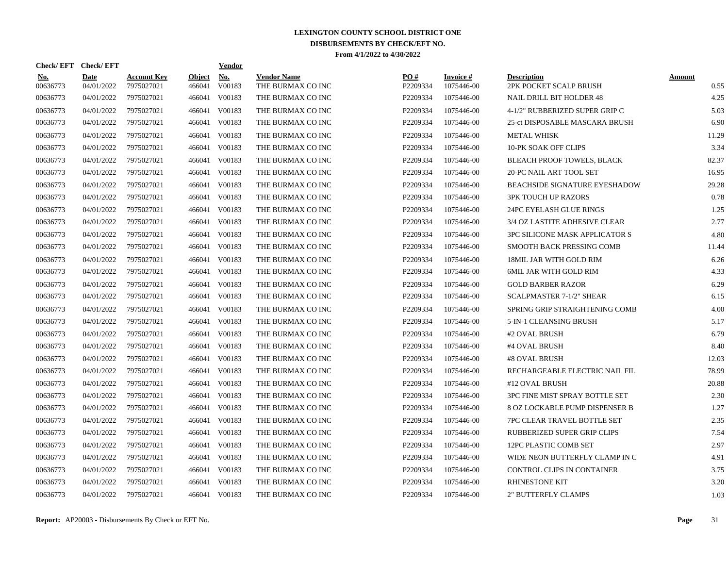| Check/EFT Check/EFT    |                    |                           |                         | <u>Vendor</u> |                                         |                 |                                |                                              |                       |
|------------------------|--------------------|---------------------------|-------------------------|---------------|-----------------------------------------|-----------------|--------------------------------|----------------------------------------------|-----------------------|
| <u>No.</u><br>00636773 | Date<br>04/01/2022 | Account Kev<br>7975027021 | <b>Object</b><br>466041 | No.<br>V00183 | <b>Vendor Name</b><br>THE BURMAX CO INC | PO#<br>P2209334 | <b>Invoice</b> #<br>1075446-00 | <b>Description</b><br>2PK POCKET SCALP BRUSH | <b>Amount</b><br>0.55 |
| 00636773               | 04/01/2022         | 7975027021                | 466041                  | V00183        | THE BURMAX CO INC                       | P2209334        | 1075446-00                     | <b>NAIL DRILL BIT HOLDER 48</b>              | 4.25                  |
| 00636773               | 04/01/2022         | 7975027021                | 466041                  | V00183        | THE BURMAX CO INC                       | P2209334        | 1075446-00                     | 4-1/2" RUBBERIZED SUPER GRIP C               | 5.03                  |
| 00636773               | 04/01/2022         | 7975027021                | 466041                  | V00183        | THE BURMAX CO INC                       | P2209334        | 1075446-00                     | 25-ct DISPOSABLE MASCARA BRUSH               | 6.90                  |
| 00636773               | 04/01/2022         | 7975027021                | 466041                  | V00183        | THE BURMAX CO INC                       | P2209334        | 1075446-00                     | <b>METAL WHISK</b>                           | 11.29                 |
| 00636773               | 04/01/2022         | 7975027021                | 466041                  | V00183        | THE BURMAX CO INC                       | P2209334        | 1075446-00                     | 10-PK SOAK OFF CLIPS                         | 3.34                  |
| 00636773               | 04/01/2022         | 7975027021                | 466041                  | V00183        | THE BURMAX CO INC                       | P2209334        | 1075446-00                     | <b>BLEACH PROOF TOWELS, BLACK</b>            | 82.37                 |
| 00636773               | 04/01/2022         | 7975027021                | 466041                  | V00183        | THE BURMAX CO INC                       | P2209334        | 1075446-00                     | 20-PC NAIL ART TOOL SET                      | 16.95                 |
| 00636773               | 04/01/2022         | 7975027021                | 466041                  | V00183        | THE BURMAX CO INC                       | P2209334        | 1075446-00                     | <b>BEACHSIDE SIGNATURE EYESHADOW</b>         | 29.28                 |
| 00636773               | 04/01/2022         | 7975027021                | 466041                  | V00183        | THE BURMAX CO INC                       | P2209334        | 1075446-00                     | <b>3PK TOUCH UP RAZORS</b>                   | 0.78                  |
| 00636773               | 04/01/2022         | 7975027021                | 466041                  | V00183        | THE BURMAX CO INC                       | P2209334        | 1075446-00                     | 24PC EYELASH GLUE RINGS                      | 1.25                  |
| 00636773               | 04/01/2022         | 7975027021                | 466041                  | V00183        | THE BURMAX CO INC                       | P2209334        | 1075446-00                     | 3/4 OZ LASTITE ADHESIVE CLEAR                | 2.77                  |
| 00636773               | 04/01/2022         | 7975027021                | 466041                  | V00183        | THE BURMAX CO INC                       | P2209334        | 1075446-00                     | <b>3PC SILICONE MASK APPLICATOR S</b>        | 4.80                  |
| 00636773               | 04/01/2022         | 7975027021                | 466041                  | V00183        | THE BURMAX CO INC                       | P2209334        | 1075446-00                     | SMOOTH BACK PRESSING COMB                    | 11.44                 |
| 00636773               | 04/01/2022         | 7975027021                | 466041                  | V00183        | THE BURMAX CO INC                       | P2209334        | 1075446-00                     | <b>18MIL JAR WITH GOLD RIM</b>               | 6.26                  |
| 00636773               | 04/01/2022         | 7975027021                | 466041                  | V00183        | THE BURMAX CO INC                       | P2209334        | 1075446-00                     | 6MIL JAR WITH GOLD RIM                       | 4.33                  |
| 00636773               | 04/01/2022         | 7975027021                | 466041                  | V00183        | THE BURMAX CO INC                       | P2209334        | 1075446-00                     | <b>GOLD BARBER RAZOR</b>                     | 6.29                  |
| 00636773               | 04/01/2022         | 7975027021                | 466041                  | V00183        | THE BURMAX CO INC                       | P2209334        | 1075446-00                     | <b>SCALPMASTER 7-1/2" SHEAR</b>              | 6.15                  |
| 00636773               | 04/01/2022         | 7975027021                | 466041                  | V00183        | THE BURMAX CO INC                       | P2209334        | 1075446-00                     | SPRING GRIP STRAIGHTENING COMB               | 4.00                  |
| 00636773               | 04/01/2022         | 7975027021                | 466041                  | V00183        | THE BURMAX CO INC                       | P2209334        | 1075446-00                     | 5-IN-1 CLEANSING BRUSH                       | 5.17                  |
| 00636773               | 04/01/2022         | 7975027021                | 466041                  | V00183        | THE BURMAX CO INC                       | P2209334        | 1075446-00                     | #2 OVAL BRUSH                                | 6.79                  |
| 00636773               | 04/01/2022         | 7975027021                | 466041                  | V00183        | THE BURMAX CO INC                       | P2209334        | 1075446-00                     | #4 OVAL BRUSH                                | 8.40                  |
| 00636773               | 04/01/2022         | 7975027021                | 466041                  | V00183        | THE BURMAX CO INC                       | P2209334        | 1075446-00                     | #8 OVAL BRUSH                                | 12.03                 |
| 00636773               | 04/01/2022         | 7975027021                | 466041                  | V00183        | THE BURMAX CO INC                       | P2209334        | 1075446-00                     | RECHARGEABLE ELECTRIC NAIL FIL               | 78.99                 |
| 00636773               | 04/01/2022         | 7975027021                | 466041                  | V00183        | THE BURMAX CO INC                       | P2209334        | 1075446-00                     | #12 OVAL BRUSH                               | 20.88                 |
| 00636773               | 04/01/2022         | 7975027021                | 466041                  | V00183        | THE BURMAX CO INC                       | P2209334        | 1075446-00                     | 3PC FINE MIST SPRAY BOTTLE SET               | 2.30                  |
| 00636773               | 04/01/2022         | 7975027021                | 466041                  | V00183        | THE BURMAX CO INC                       | P2209334        | 1075446-00                     | 8 OZ LOCKABLE PUMP DISPENSER B               | 1.27                  |
| 00636773               | 04/01/2022         | 7975027021                | 466041                  | V00183        | THE BURMAX CO INC                       | P2209334        | 1075446-00                     | 7PC CLEAR TRAVEL BOTTLE SET                  | 2.35                  |
| 00636773               | 04/01/2022         | 7975027021                | 466041                  | V00183        | THE BURMAX CO INC                       | P2209334        | 1075446-00                     | RUBBERIZED SUPER GRIP CLIPS                  | 7.54                  |
| 00636773               | 04/01/2022         | 7975027021                | 466041                  | V00183        | THE BURMAX CO INC                       | P2209334        | 1075446-00                     | 12PC PLASTIC COMB SET                        | 2.97                  |
| 00636773               | 04/01/2022         | 7975027021                | 466041                  | V00183        | THE BURMAX CO INC                       | P2209334        | 1075446-00                     | WIDE NEON BUTTERFLY CLAMP IN C               | 4.91                  |
| 00636773               | 04/01/2022         | 7975027021                | 466041                  | V00183        | THE BURMAX CO INC                       | P2209334        | 1075446-00                     | CONTROL CLIPS IN CONTAINER                   | 3.75                  |
| 00636773               | 04/01/2022         | 7975027021                | 466041                  | V00183        | THE BURMAX CO INC                       | P2209334        | 1075446-00                     | <b>RHINESTONE KIT</b>                        | 3.20                  |
| 00636773               | 04/01/2022         | 7975027021                |                         | 466041 V00183 | THE BURMAX CO INC                       | P2209334        | 1075446-00                     | <b>2" BUTTERFLY CLAMPS</b>                   | 1.03                  |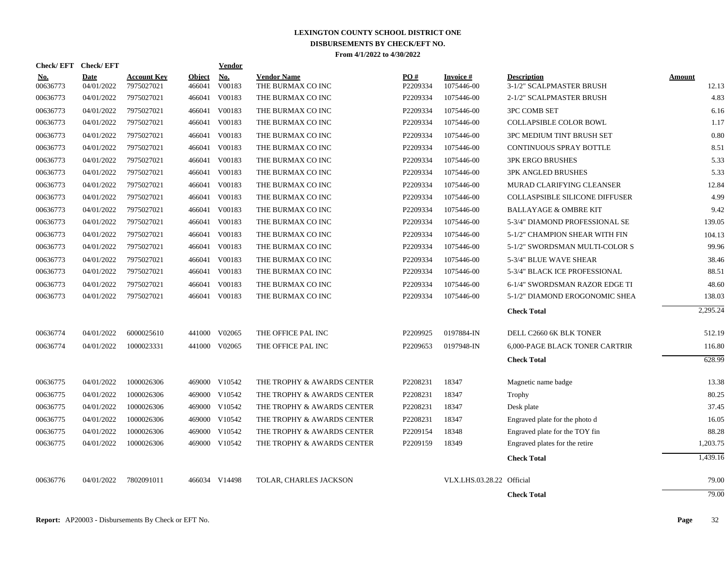| Check/EFT Check/EFT    |                           |                                  |                         | <b>Vendor</b> |                                         |                 |                           |                                                |                 |
|------------------------|---------------------------|----------------------------------|-------------------------|---------------|-----------------------------------------|-----------------|---------------------------|------------------------------------------------|-----------------|
| <u>No.</u><br>00636773 | <b>Date</b><br>04/01/2022 | <b>Account Kev</b><br>7975027021 | <b>Object</b><br>466041 | No.<br>V00183 | <b>Vendor Name</b><br>THE BURMAX CO INC | PO#<br>P2209334 | Invoice #<br>1075446-00   | <b>Description</b><br>3-1/2" SCALPMASTER BRUSH | Amount<br>12.13 |
| 00636773               | 04/01/2022                | 7975027021                       | 466041                  | V00183        | THE BURMAX CO INC                       | P2209334        | 1075446-00                | 2-1/2" SCALPMASTER BRUSH                       | 4.83            |
| 00636773               | 04/01/2022                | 7975027021                       | 466041                  | V00183        | THE BURMAX CO INC                       | P2209334        | 1075446-00                | <b>3PC COMB SET</b>                            | 6.16            |
| 00636773               | 04/01/2022                | 7975027021                       | 466041                  | V00183        | THE BURMAX CO INC                       | P2209334        | 1075446-00                | COLLAPSIBLE COLOR BOWL                         | 1.17            |
| 00636773               | 04/01/2022                | 7975027021                       | 466041                  | V00183        | THE BURMAX CO INC                       | P2209334        | 1075446-00                | 3PC MEDIUM TINT BRUSH SET                      | 0.80            |
| 00636773               | 04/01/2022                | 7975027021                       | 466041                  | V00183        | THE BURMAX CO INC                       | P2209334        | 1075446-00                | <b>CONTINUOUS SPRAY BOTTLE</b>                 | 8.51            |
| 00636773               | 04/01/2022                | 7975027021                       | 466041                  | V00183        | THE BURMAX CO INC                       | P2209334        | 1075446-00                | <b>3PK ERGO BRUSHES</b>                        | 5.33            |
| 00636773               | 04/01/2022                | 7975027021                       | 466041                  | V00183        | THE BURMAX CO INC                       | P2209334        | 1075446-00                | <b>3PK ANGLED BRUSHES</b>                      | 5.33            |
| 00636773               | 04/01/2022                | 7975027021                       | 466041                  | V00183        | THE BURMAX CO INC                       | P2209334        | 1075446-00                | MURAD CLARIFYING CLEANSER                      | 12.84           |
| 00636773               | 04/01/2022                | 7975027021                       | 466041                  | V00183        | THE BURMAX CO INC                       | P2209334        | 1075446-00                | <b>COLLASPSIBLE SILICONE DIFFUSER</b>          | 4.99            |
| 00636773               | 04/01/2022                | 7975027021                       |                         | 466041 V00183 | THE BURMAX CO INC                       | P2209334        | 1075446-00                | <b>BALLAYAGE &amp; OMBRE KIT</b>               | 9.42            |
| 00636773               | 04/01/2022                | 7975027021                       |                         | 466041 V00183 | THE BURMAX CO INC                       | P2209334        | 1075446-00                | 5-3/4" DIAMOND PROFESSIONAL SE                 | 139.05          |
| 00636773               | 04/01/2022                | 7975027021                       |                         | 466041 V00183 | THE BURMAX CO INC                       | P2209334        | 1075446-00                | 5-1/2" CHAMPION SHEAR WITH FIN                 | 104.13          |
| 00636773               | 04/01/2022                | 7975027021                       |                         | 466041 V00183 | THE BURMAX CO INC                       | P2209334        | 1075446-00                | 5-1/2" SWORDSMAN MULTI-COLOR S                 | 99.96           |
| 00636773               | 04/01/2022                | 7975027021                       | 466041                  | V00183        | THE BURMAX CO INC                       | P2209334        | 1075446-00                | 5-3/4" BLUE WAVE SHEAR                         | 38.46           |
| 00636773               | 04/01/2022                | 7975027021                       | 466041                  | V00183        | THE BURMAX CO INC                       | P2209334        | 1075446-00                | 5-3/4" BLACK ICE PROFESSIONAL                  | 88.51           |
| 00636773               | 04/01/2022                | 7975027021                       | 466041                  | V00183        | THE BURMAX CO INC                       | P2209334        | 1075446-00                | 6-1/4" SWORDSMAN RAZOR EDGE TI                 | 48.60           |
| 00636773               | 04/01/2022                | 7975027021                       |                         | 466041 V00183 | THE BURMAX CO INC                       | P2209334        | 1075446-00                | 5-1/2" DIAMOND EROGONOMIC SHEA                 | 138.03          |
|                        |                           |                                  |                         |               |                                         |                 |                           | <b>Check Total</b>                             | 2,295.24        |
| 00636774               | 04/01/2022                | 6000025610                       | 441000                  | V02065        | THE OFFICE PAL INC                      | P2209925        | 0197884-IN                | DELL C2660 6K BLK TONER                        | 512.19          |
| 00636774               | 04/01/2022                | 1000023331                       |                         | 441000 V02065 | THE OFFICE PAL INC                      | P2209653        | 0197948-IN                | <b>6,000-PAGE BLACK TONER CARTRIR</b>          | 116.80          |
|                        |                           |                                  |                         |               |                                         |                 |                           | <b>Check Total</b>                             | 628.99          |
| 00636775               | 04/01/2022                | 1000026306                       |                         | 469000 V10542 | THE TROPHY & AWARDS CENTER              | P2208231        | 18347                     | Magnetic name badge                            | 13.38           |
| 00636775               | 04/01/2022                | 1000026306                       |                         | 469000 V10542 | THE TROPHY & AWARDS CENTER              | P2208231        | 18347                     | Trophy                                         | 80.25           |
| 00636775               | 04/01/2022                | 1000026306                       |                         | 469000 V10542 | THE TROPHY & AWARDS CENTER              | P2208231        | 18347                     | Desk plate                                     | 37.45           |
| 00636775               | 04/01/2022                | 1000026306                       |                         | 469000 V10542 | THE TROPHY & AWARDS CENTER              | P2208231        | 18347                     | Engraved plate for the photo d                 | 16.05           |
| 00636775               | 04/01/2022                | 1000026306                       | 469000                  | V10542        | THE TROPHY & AWARDS CENTER              | P2209154        | 18348                     | Engraved plate for the TOY fin                 | 88.28           |
| 00636775               | 04/01/2022                | 1000026306                       |                         | 469000 V10542 | THE TROPHY & AWARDS CENTER              | P2209159        | 18349                     | Engraved plates for the retire                 | 1,203.75        |
|                        |                           |                                  |                         |               |                                         |                 |                           | <b>Check Total</b>                             | 1,439.16        |
| 00636776               | 04/01/2022                | 7802091011                       |                         | 466034 V14498 | TOLAR, CHARLES JACKSON                  |                 | VLX.LHS.03.28.22 Official |                                                | 79.00           |
|                        |                           |                                  |                         |               |                                         |                 |                           | <b>Check Total</b>                             | 79.00           |
|                        |                           |                                  |                         |               |                                         |                 |                           |                                                |                 |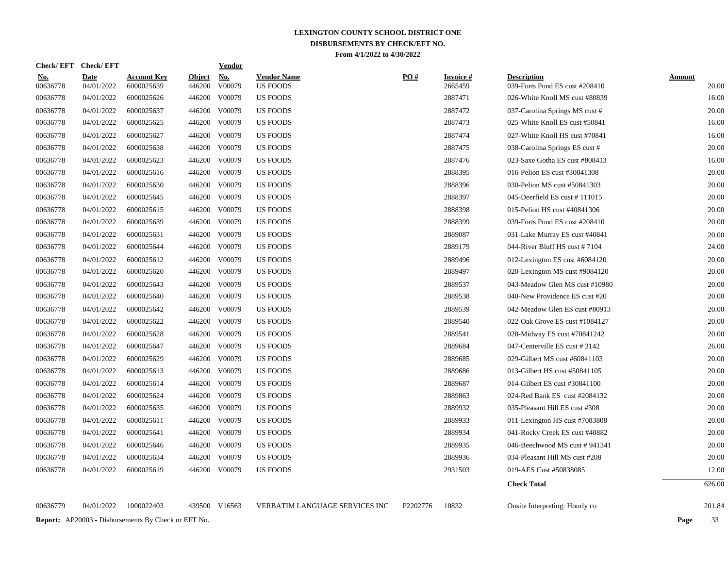| <u>No.</u><br>00636778 | <b>Date</b><br>04/01/2022 | <b>Account Kev</b><br>6000025639 | Object<br>446200 | <b>No.</b><br>V00079 | <b>Vendor Name</b><br><b>US FOODS</b> | PO# | Invoice #<br>2665459 | <b>Description</b><br>039-Forts Pond ES cust #208410 | Amount<br>20.00 |
|------------------------|---------------------------|----------------------------------|------------------|----------------------|---------------------------------------|-----|----------------------|------------------------------------------------------|-----------------|
| 00636778               | 04/01/2022                | 6000025626                       | 446200           | V00079               | <b>US FOODS</b>                       |     | 2887471              | 026-White Knoll MS cust #80839                       | 16.00           |
| 00636778               | 04/01/2022                | 6000025637                       | 446200           | V00079               | <b>US FOODS</b>                       |     | 2887472              | 037-Carolina Springs MS cust #                       | 20.00           |
| 00636778               | 04/01/2022                | 6000025625                       | 446200           | V00079               | <b>US FOODS</b>                       |     | 2887473              | 025-White Knoll ES cust #50841                       | 16.00           |
| 00636778               | 04/01/2022                | 6000025627                       |                  | 446200 V00079        | <b>US FOODS</b>                       |     | 2887474              | 027-White Knoll HS cust #70841                       | 16.00           |
| 00636778               | 04/01/2022                | 6000025638                       |                  | 446200 V00079        | <b>US FOODS</b>                       |     | 2887475              | 038-Carolina Springs ES cust #                       | 20.00           |
| 00636778               | 04/01/2022                | 6000025623                       |                  | 446200 V00079        | <b>US FOODS</b>                       |     | 2887476              | 023-Saxe Gotha ES cust #808413                       | 16.00           |
| 00636778               | 04/01/2022                | 6000025616                       |                  | 446200 V00079        | <b>US FOODS</b>                       |     | 2888395              | 016-Pelion ES cust #30841308                         | 20.00           |
| 00636778               | 04/01/2022                | 6000025630                       | 446200           | V00079               | US FOODS                              |     | 2888396              | 030-Pelion MS cust #50841303                         | 20.00           |
| 00636778               | 04/01/2022                | 6000025645                       |                  | 446200 V00079        | <b>US FOODS</b>                       |     | 2888397              | 045-Deerfield ES cust #111015                        | 20.00           |
| 00636778               | 04/01/2022                | 6000025615                       |                  | 446200 V00079        | <b>US FOODS</b>                       |     | 2888398              | 015-Pelion HS cust #40841306                         | 20.00           |
| 00636778               | 04/01/2022                | 6000025639                       |                  | 446200 V00079        | <b>US FOODS</b>                       |     | 2888399              | 039-Forts Pond ES cust #208410                       | 20.00           |
| 00636778               | 04/01/2022                | 6000025631                       |                  | 446200 V00079        | <b>US FOODS</b>                       |     | 2889087              | 031-Lake Murray ES cust #40841                       | 20.00           |
| 00636778               | 04/01/2022                | 6000025644                       |                  | 446200 V00079        | <b>US FOODS</b>                       |     | 2889179              | 044-River Bluff HS cust #7104                        | 24.00           |
| 00636778               | 04/01/2022                | 6000025612                       |                  | 446200 V00079        | <b>US FOODS</b>                       |     | 2889496              | 012-Lexington ES cust #6084120                       | 20.00           |
| 00636778               | 04/01/2022                | 6000025620                       |                  | 446200 V00079        | <b>US FOODS</b>                       |     | 2889497              | 020-Lexington MS cust #9084120                       | 20.00           |
| 00636778               | 04/01/2022                | 6000025643                       |                  | 446200 V00079        | <b>US FOODS</b>                       |     | 2889537              | 043-Meadow Glen MS cust #10980                       | 20.00           |
| 00636778               | 04/01/2022                | 6000025640                       |                  | 446200 V00079        | <b>US FOODS</b>                       |     | 2889538              | 040-New Providence ES cust #20                       | 20.00           |
| 00636778               | 04/01/2022                | 6000025642                       |                  | 446200 V00079        | <b>US FOODS</b>                       |     | 2889539              | 042-Meadow Glen ES cust #80913                       | 20.00           |
| 00636778               | 04/01/2022                | 6000025622                       |                  | 446200 V00079        | <b>US FOODS</b>                       |     | 2889540              | 022-Oak Grove ES cust #1084127                       | 20.00           |
| 00636778               | 04/01/2022                | 6000025628                       | 446200           | V00079               | US FOODS                              |     | 2889541              | 028-Midway ES cust #70841242                         | 20.00           |
| 00636778               | 04/01/2022                | 6000025647                       |                  | 446200 V00079        | <b>US FOODS</b>                       |     | 2889684              | 047-Centerville ES cust #3142                        | 26.00           |
| 00636778               | 04/01/2022                | 6000025629                       |                  | 446200 V00079        | <b>US FOODS</b>                       |     | 2889685              | 029-Gilbert MS cust #60841103                        | 20.00           |
| 00636778               | 04/01/2022                | 6000025613                       | 446200           | V00079               | <b>US FOODS</b>                       |     | 2889686              | 013-Gilbert HS cust #50841105                        | 20.00           |
| 00636778               | 04/01/2022                | 6000025614                       |                  | 446200 V00079        | <b>US FOODS</b>                       |     | 2889687              | 014-Gilbert ES cust #30841100                        | 20.00           |
| 00636778               | 04/01/2022                | 6000025624                       | 446200           | V00079               | <b>US FOODS</b>                       |     | 2889863              | 024-Red Bank ES cust #2084132                        | 20.00           |
| 00636778               | 04/01/2022                | 6000025635                       |                  | 446200 V00079        | <b>US FOODS</b>                       |     | 2889932              | 035-Pleasant Hill ES cust #308                       | 20.00           |
| 00636778               | 04/01/2022                | 6000025611                       |                  | 446200 V00079        | <b>US FOODS</b>                       |     | 2889933              | 011-Lexington HS cust #7083808                       | 20.00           |
| 00636778               | 04/01/2022                | 6000025641                       |                  | 446200 V00079        | <b>US FOODS</b>                       |     | 2889934              | 041-Rocky Creek ES cust #40882                       | 20.00           |
| 00636778               | 04/01/2022                | 6000025646                       |                  | 446200 V00079        | <b>US FOODS</b>                       |     | 2889935              | 046-Beechwood MS cust #941341                        | 20.00           |
| 00636778               | 04/01/2022                | 6000025634                       | 446200           | V00079               | <b>US FOODS</b>                       |     | 2889936              | 034-Pleasant Hill MS cust #208                       | 20.00           |
| 00636778               | 04/01/2022                | 6000025619                       | 446200           | V00079               | <b>US FOODS</b>                       |     | 2931503              | 019-AES Cust #50838085                               | 12.00           |
|                        |                           |                                  |                  |                      |                                       |     |                      | <b>Check Total</b>                                   | 626.00          |
|                        |                           |                                  |                  |                      |                                       |     |                      |                                                      |                 |

00636779 04/01/2022 1000022403 439500 V16563 VERBATIM LANGUAGE SERVICES INC P2202776 10832 Onsite Interpreting: Hourly co 201.84

**Report:** AP20003 - Disbursements By Check or EFT No. **Page** 33

**Check/ EFT Vendor Check/ EFT**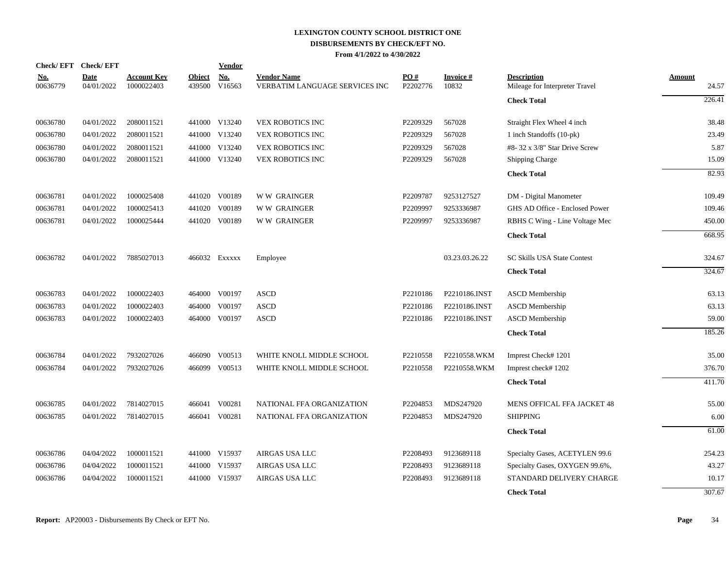| <b>Check/EFT</b>       | <b>Check/EFT</b>          |                                  |                         | Vendor        |                                                      |                 |                          |                                                      |                        |
|------------------------|---------------------------|----------------------------------|-------------------------|---------------|------------------------------------------------------|-----------------|--------------------------|------------------------------------------------------|------------------------|
| <u>No.</u><br>00636779 | <b>Date</b><br>04/01/2022 | <b>Account Key</b><br>1000022403 | <b>Object</b><br>439500 | No.<br>V16563 | <b>Vendor Name</b><br>VERBATIM LANGUAGE SERVICES INC | PO#<br>P2202776 | <b>Invoice#</b><br>10832 | <b>Description</b><br>Mileage for Interpreter Travel | <b>Amount</b><br>24.57 |
|                        |                           |                                  |                         |               |                                                      |                 |                          | <b>Check Total</b>                                   | 226.41                 |
| 00636780               | 04/01/2022                | 2080011521                       |                         | 441000 V13240 | <b>VEX ROBOTICS INC</b>                              | P2209329        | 567028                   | Straight Flex Wheel 4 inch                           | 38.48                  |
| 00636780               | 04/01/2022                | 2080011521                       |                         | 441000 V13240 | VEX ROBOTICS INC                                     | P2209329        | 567028                   | 1 inch Standoffs (10-pk)                             | 23.49                  |
| 00636780               | 04/01/2022                | 2080011521                       |                         | 441000 V13240 | VEX ROBOTICS INC                                     | P2209329        | 567028                   | $#8-32 \times 3/8"$ Star Drive Screw                 | 5.87                   |
| 00636780               | 04/01/2022                | 2080011521                       |                         | 441000 V13240 | <b>VEX ROBOTICS INC</b>                              | P2209329        | 567028                   | <b>Shipping Charge</b>                               | 15.09                  |
|                        |                           |                                  |                         |               |                                                      |                 |                          | <b>Check Total</b>                                   | 82.93                  |
| 00636781               | 04/01/2022                | 1000025408                       |                         | 441020 V00189 | <b>WW GRAINGER</b>                                   | P2209787        | 9253127527               | DM - Digital Manometer                               | 109.49                 |
| 00636781               | 04/01/2022                | 1000025413                       | 441020                  | V00189        | <b>WW GRAINGER</b>                                   | P2209997        | 9253336987               | GHS AD Office - Enclosed Power                       | 109.46                 |
| 00636781               | 04/01/2022                | 1000025444                       |                         | 441020 V00189 | <b>WW GRAINGER</b>                                   | P2209997        | 9253336987               | RBHS C Wing - Line Voltage Mec                       | 450.00                 |
|                        |                           |                                  |                         |               |                                                      |                 |                          | <b>Check Total</b>                                   | 668.95                 |
| 00636782               | 04/01/2022                | 7885027013                       |                         | 466032 EXXXXX | Employee                                             |                 | 03.23.03.26.22           | <b>SC Skills USA State Contest</b>                   | 324.67                 |
|                        |                           |                                  |                         |               |                                                      |                 |                          | <b>Check Total</b>                                   | 324.67                 |
| 00636783               | 04/01/2022                | 1000022403                       |                         | 464000 V00197 | <b>ASCD</b>                                          | P2210186        | P2210186.INST            | ASCD Membership                                      | 63.13                  |
| 00636783               | 04/01/2022                | 1000022403                       |                         | 464000 V00197 | <b>ASCD</b>                                          | P2210186        | P2210186.INST            | <b>ASCD</b> Membership                               | 63.13                  |
| 00636783               | 04/01/2022                | 1000022403                       |                         | 464000 V00197 | <b>ASCD</b>                                          | P2210186        | P2210186.INST            | <b>ASCD</b> Membership                               | 59.00                  |
|                        |                           |                                  |                         |               |                                                      |                 |                          | <b>Check Total</b>                                   | 185.26                 |
| 00636784               | 04/01/2022                | 7932027026                       |                         | 466090 V00513 | WHITE KNOLL MIDDLE SCHOOL                            | P2210558        | P2210558.WKM             | Imprest Check#1201                                   | 35.00                  |
| 00636784               | 04/01/2022                | 7932027026                       |                         | 466099 V00513 | WHITE KNOLL MIDDLE SCHOOL                            | P2210558        | P2210558.WKM             | Imprest check#1202                                   | 376.70                 |
|                        |                           |                                  |                         |               |                                                      |                 |                          | <b>Check Total</b>                                   | 411.70                 |
| 00636785               | 04/01/2022                | 7814027015                       |                         | 466041 V00281 | NATIONAL FFA ORGANIZATION                            | P2204853        | MDS247920                | MENS OFFICAL FFA JACKET 48                           | 55.00                  |
| 00636785               | 04/01/2022                | 7814027015                       |                         | 466041 V00281 | NATIONAL FFA ORGANIZATION                            | P2204853        | MDS247920                | <b>SHIPPING</b>                                      | 6.00                   |
|                        |                           |                                  |                         |               |                                                      |                 |                          | <b>Check Total</b>                                   | 61.00                  |
| 00636786               | 04/04/2022                | 1000011521                       |                         | 441000 V15937 | AIRGAS USA LLC                                       | P2208493        | 9123689118               | Specialty Gases, ACETYLEN 99.6                       | 254.23                 |
| 00636786               | 04/04/2022                | 1000011521                       |                         | 441000 V15937 | AIRGAS USA LLC                                       | P2208493        | 9123689118               | Specialty Gases, OXYGEN 99.6%,                       | 43.27                  |
| 00636786               | 04/04/2022                | 1000011521                       |                         | 441000 V15937 | AIRGAS USA LLC                                       | P2208493        | 9123689118               | STANDARD DELIVERY CHARGE                             | 10.17                  |
|                        |                           |                                  |                         |               |                                                      |                 |                          | <b>Check Total</b>                                   | 307.67                 |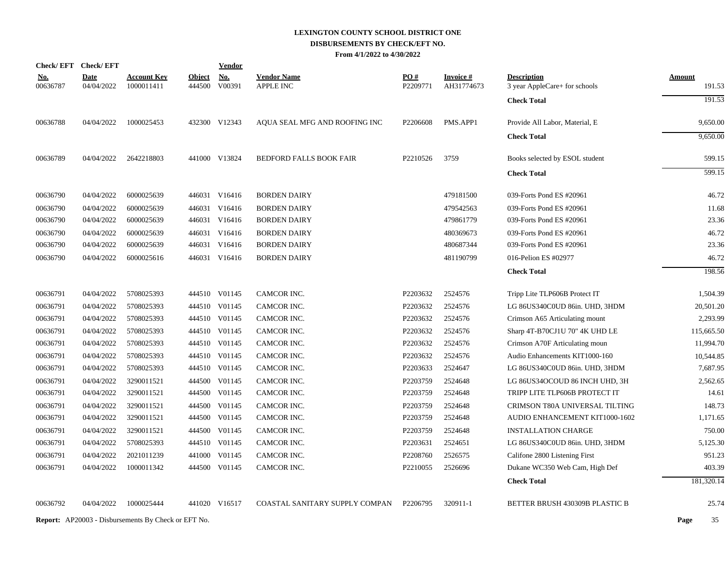| Check/EFT Check/EFT    |                           |                                  |                         | <b>Vendor</b>        |                                        |                 |                               |                                                     |                         |
|------------------------|---------------------------|----------------------------------|-------------------------|----------------------|----------------------------------------|-----------------|-------------------------------|-----------------------------------------------------|-------------------------|
| <u>No.</u><br>00636787 | <b>Date</b><br>04/04/2022 | <u>Account Key</u><br>1000011411 | <b>Object</b><br>444500 | <b>No.</b><br>V00391 | <b>Vendor Name</b><br><b>APPLE INC</b> | PO#<br>P2209771 | <b>Invoice#</b><br>AH31774673 | <b>Description</b><br>3 year AppleCare+ for schools | <b>Amount</b><br>191.53 |
|                        |                           |                                  |                         |                      |                                        |                 |                               | <b>Check Total</b>                                  | 191.53                  |
| 00636788               | 04/04/2022                | 1000025453                       |                         | 432300 V12343        | AQUA SEAL MFG AND ROOFING INC          | P2206608        | PMS.APP1                      | Provide All Labor, Material, E                      | 9,650.00                |
|                        |                           |                                  |                         |                      |                                        |                 |                               | <b>Check Total</b>                                  | 9,650.00                |
| 00636789               | 04/04/2022                | 2642218803                       |                         | 441000 V13824        | <b>BEDFORD FALLS BOOK FAIR</b>         | P2210526        | 3759                          | Books selected by ESOL student                      | 599.15                  |
|                        |                           |                                  |                         |                      |                                        |                 |                               | <b>Check Total</b>                                  | 599.15                  |
| 00636790               | 04/04/2022                | 6000025639                       |                         | 446031 V16416        | <b>BORDEN DAIRY</b>                    |                 | 479181500                     | 039-Forts Pond ES #20961                            | 46.72                   |
| 00636790               | 04/04/2022                | 6000025639                       |                         | 446031 V16416        | <b>BORDEN DAIRY</b>                    |                 | 479542563                     | 039-Forts Pond ES #20961                            | 11.68                   |
| 00636790               | 04/04/2022                | 6000025639                       |                         | 446031 V16416        | <b>BORDEN DAIRY</b>                    |                 | 479861779                     | 039-Forts Pond ES #20961                            | 23.36                   |
| 00636790               | 04/04/2022                | 6000025639                       |                         | 446031 V16416        | <b>BORDEN DAIRY</b>                    |                 | 480369673                     | 039-Forts Pond ES #20961                            | 46.72                   |
| 00636790               | 04/04/2022                | 6000025639                       |                         | 446031 V16416        | <b>BORDEN DAIRY</b>                    |                 | 480687344                     | 039-Forts Pond ES #20961                            | 23.36                   |
| 00636790               | 04/04/2022                | 6000025616                       |                         | 446031 V16416        | <b>BORDEN DAIRY</b>                    |                 | 481190799                     | 016-Pelion ES #02977                                | 46.72                   |
|                        |                           |                                  |                         |                      |                                        |                 |                               | <b>Check Total</b>                                  | 198.56                  |
| 00636791               | 04/04/2022                | 5708025393                       |                         | 444510 V01145        | CAMCOR INC.                            | P2203632        | 2524576                       | Tripp Lite TLP606B Protect IT                       | 1,504.39                |
| 00636791               | 04/04/2022                | 5708025393                       |                         | 444510 V01145        | CAMCOR INC.                            | P2203632        | 2524576                       | LG 86US340C0UD 86in. UHD, 3HDM                      | 20,501.20               |
| 00636791               | 04/04/2022                | 5708025393                       |                         | 444510 V01145        | CAMCOR INC.                            | P2203632        | 2524576                       | Crimson A65 Articulating mount                      | 2,293.99                |
| 00636791               | 04/04/2022                | 5708025393                       |                         | 444510 V01145        | CAMCOR INC.                            | P2203632        | 2524576                       | Sharp 4T-B70CJ1U 70" 4K UHD LE                      | 115,665.50              |
| 00636791               | 04/04/2022                | 5708025393                       |                         | 444510 V01145        | CAMCOR INC.                            | P2203632        | 2524576                       | Crimson A70F Articulating moun                      | 11,994.70               |
| 00636791               | 04/04/2022                | 5708025393                       |                         | 444510 V01145        | CAMCOR INC.                            | P2203632        | 2524576                       | Audio Enhancements KIT1000-160                      | 10,544.85               |
| 00636791               | 04/04/2022                | 5708025393                       |                         | 444510 V01145        | CAMCOR INC.                            | P2203633        | 2524647                       | LG 86US340C0UD 86in. UHD, 3HDM                      | 7,687.95                |
| 00636791               | 04/04/2022                | 3290011521                       |                         | 444500 V01145        | CAMCOR INC.                            | P2203759        | 2524648                       | LG 86US34OCOUD 86 INCH UHD, 3H                      | 2.562.65                |
| 00636791               | 04/04/2022                | 3290011521                       |                         | 444500 V01145        | CAMCOR INC.                            | P2203759        | 2524648                       | TRIPP LITE TLP606B PROTECT IT                       | 14.61                   |
| 00636791               | 04/04/2022                | 3290011521                       |                         | 444500 V01145        | CAMCOR INC.                            | P2203759        | 2524648                       | CRIMSON T80A UNIVERSAL TILTING                      | 148.73                  |
| 00636791               | 04/04/2022                | 3290011521                       |                         | 444500 V01145        | CAMCOR INC.                            | P2203759        | 2524648                       | AUDIO ENHANCEMENT KIT1000-1602                      | 1.171.65                |
| 00636791               | 04/04/2022                | 3290011521                       |                         | 444500 V01145        | CAMCOR INC.                            | P2203759        | 2524648                       | <b>INSTALLATION CHARGE</b>                          | 750.00                  |
| 00636791               | 04/04/2022                | 5708025393                       |                         | 444510 V01145        | CAMCOR INC.                            | P2203631        | 2524651                       | LG 86US340C0UD 86in. UHD, 3HDM                      | 5,125.30                |
| 00636791               | 04/04/2022                | 2021011239                       |                         | 441000 V01145        | CAMCOR INC.                            | P2208760        | 2526575                       | Califone 2800 Listening First                       | 951.23                  |
| 00636791               | 04/04/2022                | 1000011342                       |                         | 444500 V01145        | CAMCOR INC.                            | P2210055        | 2526696                       | Dukane WC350 Web Cam, High Def                      | 403.39                  |
|                        |                           |                                  |                         |                      |                                        |                 |                               | <b>Check Total</b>                                  | 181,320.14              |
| 00636792               | 04/04/2022                | 1000025444                       |                         | 441020 V16517        | COASTAL SANITARY SUPPLY COMPAN         | P2206795        | 320911-1                      | BETTER BRUSH 430309B PLASTIC B                      | 25.74                   |

**Report:** AP20003 - Disbursements By Check or EFT No. **Page** 35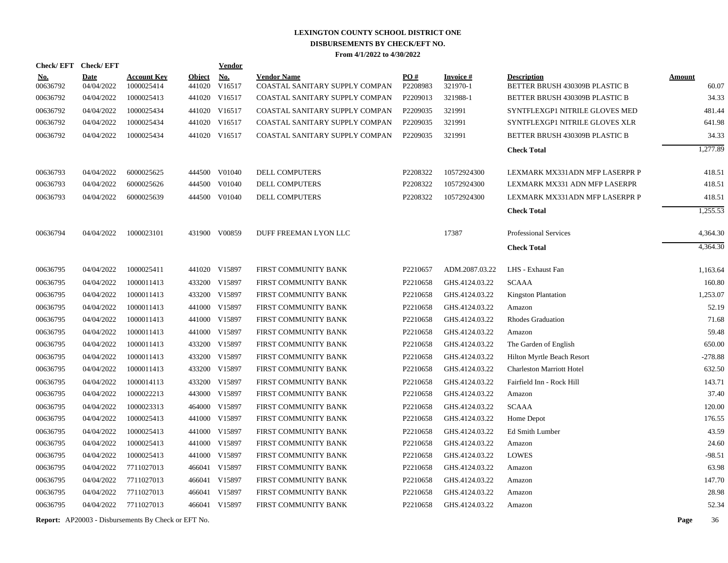| <b>Check/EFT</b>       | <b>Check/EFT</b>          |                                  |               | <b>Vendor</b>               |                                                      |                 |                             |                                                      |                        |
|------------------------|---------------------------|----------------------------------|---------------|-----------------------------|------------------------------------------------------|-----------------|-----------------------------|------------------------------------------------------|------------------------|
| <u>No.</u><br>00636792 | <b>Date</b><br>04/04/2022 | <b>Account Key</b><br>1000025414 | <b>Object</b> | <b>No.</b><br>441020 V16517 | <b>Vendor Name</b><br>COASTAL SANITARY SUPPLY COMPAN | PO#<br>P2208983 | <b>Invoice#</b><br>321970-1 | <b>Description</b><br>BETTER BRUSH 430309B PLASTIC B | <b>Amount</b><br>60.07 |
| 00636792               | 04/04/2022                | 1000025413                       |               | 441020 V16517               | COASTAL SANITARY SUPPLY COMPAN                       | P2209013        | 321988-1                    | BETTER BRUSH 430309B PLASTIC B                       | 34.33                  |
| 00636792               | 04/04/2022                | 1000025434                       |               | 441020 V16517               | COASTAL SANITARY SUPPLY COMPAN                       | P2209035        | 321991                      | SYNTFLEXGP1 NITRILE GLOVES MED                       | 481.44                 |
| 00636792               | 04/04/2022                | 1000025434                       |               | 441020 V16517               | COASTAL SANITARY SUPPLY COMPAN                       | P2209035        | 321991                      | SYNTFLEXGP1 NITRILE GLOVES XLR                       | 641.98                 |
| 00636792               | 04/04/2022                | 1000025434                       |               | 441020 V16517               | COASTAL SANITARY SUPPLY COMPAN                       | P2209035        | 321991                      | BETTER BRUSH 430309B PLASTIC B                       | 34.33                  |
|                        |                           |                                  |               |                             |                                                      |                 |                             | <b>Check Total</b>                                   | 1,277.89               |
| 00636793               | 04/04/2022                | 6000025625                       |               | 444500 V01040               | DELL COMPUTERS                                       | P2208322        | 10572924300                 | LEXMARK MX331ADN MFP LASERPR P                       | 418.51                 |
| 00636793               | 04/04/2022                | 6000025626                       |               | 444500 V01040               | DELL COMPUTERS                                       | P2208322        | 10572924300                 | LEXMARK MX331 ADN MFP LASERPR                        | 418.51                 |
| 00636793               | 04/04/2022                | 6000025639                       |               | 444500 V01040               | DELL COMPUTERS                                       | P2208322        | 10572924300                 | LEXMARK MX331ADN MFP LASERPR P                       | 418.51                 |
|                        |                           |                                  |               |                             |                                                      |                 |                             | <b>Check Total</b>                                   | 1,255.53               |
| 00636794               | 04/04/2022                | 1000023101                       |               | 431900 V00859               | DUFF FREEMAN LYON LLC                                |                 | 17387                       | Professional Services                                | 4,364.30               |
|                        |                           |                                  |               |                             |                                                      |                 |                             | <b>Check Total</b>                                   | 4,364.30               |
| 00636795               | 04/04/2022                | 1000025411                       |               | 441020 V15897               | FIRST COMMUNITY BANK                                 | P2210657        | ADM.2087.03.22              | LHS - Exhaust Fan                                    | 1,163.64               |
| 00636795               | 04/04/2022                | 1000011413                       |               | 433200 V15897               | FIRST COMMUNITY BANK                                 | P2210658        | GHS.4124.03.22              | <b>SCAAA</b>                                         | 160.80                 |
| 00636795               | 04/04/2022                | 1000011413                       |               | 433200 V15897               | FIRST COMMUNITY BANK                                 | P2210658        | GHS.4124.03.22              | <b>Kingston Plantation</b>                           | 1,253.07               |
| 00636795               | 04/04/2022                | 1000011413                       |               | 441000 V15897               | FIRST COMMUNITY BANK                                 | P2210658        | GHS.4124.03.22              | Amazon                                               | 52.19                  |
| 00636795               | 04/04/2022                | 1000011413                       |               | 441000 V15897               | FIRST COMMUNITY BANK                                 | P2210658        | GHS.4124.03.22              | <b>Rhodes Graduation</b>                             | 71.68                  |
| 00636795               | 04/04/2022                | 1000011413                       |               | 441000 V15897               | FIRST COMMUNITY BANK                                 | P2210658        | GHS.4124.03.22              | Amazon                                               | 59.48                  |
| 00636795               | 04/04/2022                | 1000011413                       |               | 433200 V15897               | FIRST COMMUNITY BANK                                 | P2210658        | GHS.4124.03.22              | The Garden of English                                | 650.00                 |
| 00636795               | 04/04/2022                | 1000011413                       |               | 433200 V15897               | FIRST COMMUNITY BANK                                 | P2210658        | GHS.4124.03.22              | Hilton Myrtle Beach Resort                           | $-278.88$              |
| 00636795               | 04/04/2022                | 1000011413                       |               | 433200 V15897               | FIRST COMMUNITY BANK                                 | P2210658        | GHS.4124.03.22              | <b>Charleston Marriott Hotel</b>                     | 632.50                 |
| 00636795               | 04/04/2022                | 1000014113                       |               | 433200 V15897               | FIRST COMMUNITY BANK                                 | P2210658        | GHS.4124.03.22              | Fairfield Inn - Rock Hill                            | 143.71                 |
| 00636795               | 04/04/2022                | 1000022213                       |               | 443000 V15897               | FIRST COMMUNITY BANK                                 | P2210658        | GHS.4124.03.22              | Amazon                                               | 37.40                  |
| 00636795               | 04/04/2022                | 1000023313                       |               | 464000 V15897               | FIRST COMMUNITY BANK                                 | P2210658        | GHS.4124.03.22              | <b>SCAAA</b>                                         | 120.00                 |
| 00636795               | 04/04/2022                | 1000025413                       |               | 441000 V15897               | FIRST COMMUNITY BANK                                 | P2210658        | GHS.4124.03.22              | Home Depot                                           | 176.55                 |
| 00636795               | 04/04/2022                | 1000025413                       |               | 441000 V15897               | FIRST COMMUNITY BANK                                 | P2210658        | GHS.4124.03.22              | <b>Ed Smith Lumber</b>                               | 43.59                  |
| 00636795               | 04/04/2022                | 1000025413                       |               | 441000 V15897               | FIRST COMMUNITY BANK                                 | P2210658        | GHS.4124.03.22              | Amazon                                               | 24.60                  |
| 00636795               | 04/04/2022                | 1000025413                       |               | 441000 V15897               | FIRST COMMUNITY BANK                                 | P2210658        | GHS.4124.03.22              | <b>LOWES</b>                                         | $-98.51$               |
| 00636795               | 04/04/2022                | 7711027013                       |               | 466041 V15897               | FIRST COMMUNITY BANK                                 | P2210658        | GHS.4124.03.22              | Amazon                                               | 63.98                  |
| 00636795               | 04/04/2022                | 7711027013                       |               | 466041 V15897               | FIRST COMMUNITY BANK                                 | P2210658        | GHS.4124.03.22              | Amazon                                               | 147.70                 |
| 00636795               | 04/04/2022                | 7711027013                       |               | 466041 V15897               | FIRST COMMUNITY BANK                                 | P2210658        | GHS.4124.03.22              | Amazon                                               | 28.98                  |
| 00636795               | 04/04/2022                | 7711027013                       |               | 466041 V15897               | FIRST COMMUNITY BANK                                 | P2210658        | GHS.4124.03.22              | Amazon                                               | 52.34                  |
|                        |                           |                                  |               |                             |                                                      |                 |                             |                                                      |                        |

**Report:** AP20003 - Disbursements By Check or EFT No. **Page** 36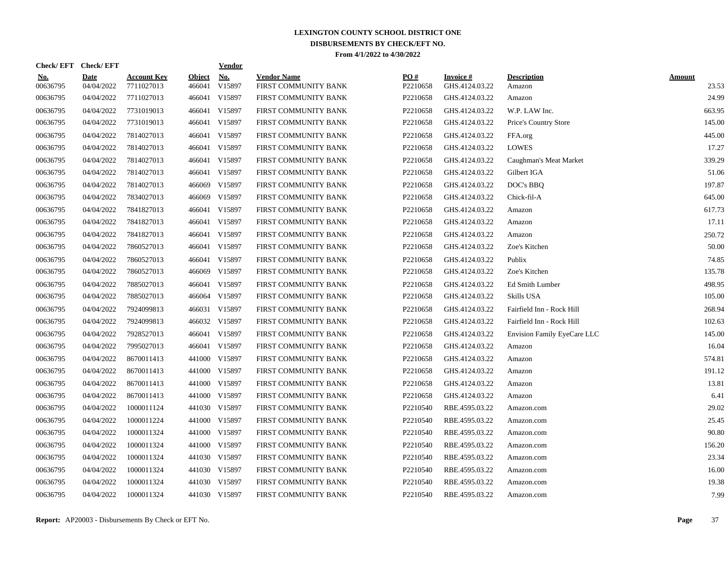| Check/EFT Check/EFT    |                           |                                  |                  | <u>Vendor</u> |                                            |                 |                             |                              |                        |
|------------------------|---------------------------|----------------------------------|------------------|---------------|--------------------------------------------|-----------------|-----------------------------|------------------------------|------------------------|
| <u>No.</u><br>00636795 | <b>Date</b><br>04/04/2022 | <b>Account Key</b><br>7711027013 | Object<br>466041 | No.<br>V15897 | <b>Vendor Name</b><br>FIRST COMMUNITY BANK | PO#<br>P2210658 | Invoice #<br>GHS.4124.03.22 | <b>Description</b><br>Amazon | <b>Amount</b><br>23.53 |
| 00636795               | 04/04/2022                | 7711027013                       |                  | 466041 V15897 | FIRST COMMUNITY BANK                       | P2210658        | GHS.4124.03.22              | Amazon                       | 24.99                  |
| 00636795               | 04/04/2022                | 7731019013                       |                  | 466041 V15897 | FIRST COMMUNITY BANK                       | P2210658        | GHS.4124.03.22              | W.P. LAW Inc.                | 663.95                 |
| 00636795               | 04/04/2022                | 7731019013                       |                  | 466041 V15897 | FIRST COMMUNITY BANK                       | P2210658        | GHS.4124.03.22              | Price's Country Store        | 145.00                 |
| 00636795               | 04/04/2022                | 7814027013                       |                  | 466041 V15897 | FIRST COMMUNITY BANK                       | P2210658        | GHS.4124.03.22              | FFA.org                      | 445.00                 |
| 00636795               | 04/04/2022                | 7814027013                       |                  | 466041 V15897 | FIRST COMMUNITY BANK                       | P2210658        | GHS.4124.03.22              | <b>LOWES</b>                 | 17.27                  |
| 00636795               | 04/04/2022                | 7814027013                       |                  | 466041 V15897 | FIRST COMMUNITY BANK                       | P2210658        | GHS.4124.03.22              | Caughman's Meat Market       | 339.29                 |
| 00636795               | 04/04/2022                | 7814027013                       |                  | 466041 V15897 | FIRST COMMUNITY BANK                       | P2210658        | GHS.4124.03.22              | Gilbert IGA                  | 51.06                  |
| 00636795               | 04/04/2022                | 7814027013                       |                  | 466069 V15897 | FIRST COMMUNITY BANK                       | P2210658        | GHS.4124.03.22              | DOC's BBQ                    | 197.87                 |
| 00636795               | 04/04/2022                | 7834027013                       | 466069           | V15897        | FIRST COMMUNITY BANK                       | P2210658        | GHS.4124.03.22              | Chick-fil-A                  | 645.00                 |
| 00636795               | 04/04/2022                | 7841827013                       |                  | 466041 V15897 | FIRST COMMUNITY BANK                       | P2210658        | GHS.4124.03.22              | Amazon                       | 617.73                 |
| 00636795               | 04/04/2022                | 7841827013                       |                  | 466041 V15897 | FIRST COMMUNITY BANK                       | P2210658        | GHS.4124.03.22              | Amazon                       | 17.11                  |
| 00636795               | 04/04/2022                | 7841827013                       |                  | 466041 V15897 | FIRST COMMUNITY BANK                       | P2210658        | GHS.4124.03.22              | Amazon                       | 250.72                 |
| 00636795               | 04/04/2022                | 7860527013                       |                  | 466041 V15897 | FIRST COMMUNITY BANK                       | P2210658        | GHS.4124.03.22              | Zoe's Kitchen                | 50.00                  |
| 00636795               | 04/04/2022                | 7860527013                       |                  | 466041 V15897 | FIRST COMMUNITY BANK                       | P2210658        | GHS.4124.03.22              | Publix                       | 74.85                  |
| 00636795               | 04/04/2022                | 7860527013                       | 466069           | V15897        | FIRST COMMUNITY BANK                       | P2210658        | GHS.4124.03.22              | Zoe's Kitchen                | 135.78                 |
| 00636795               | 04/04/2022                | 7885027013                       |                  | 466041 V15897 | FIRST COMMUNITY BANK                       | P2210658        | GHS.4124.03.22              | Ed Smith Lumber              | 498.95                 |
| 00636795               | 04/04/2022                | 7885027013                       |                  | 466064 V15897 | FIRST COMMUNITY BANK                       | P2210658        | GHS.4124.03.22              | Skills USA                   | 105.00                 |
| 00636795               | 04/04/2022                | 7924099813                       |                  | 466031 V15897 | FIRST COMMUNITY BANK                       | P2210658        | GHS.4124.03.22              | Fairfield Inn - Rock Hill    | 268.94                 |
| 00636795               | 04/04/2022                | 7924099813                       |                  | 466032 V15897 | FIRST COMMUNITY BANK                       | P2210658        | GHS.4124.03.22              | Fairfield Inn - Rock Hill    | 102.63                 |
| 00636795               | 04/04/2022                | 7928527013                       |                  | 466041 V15897 | FIRST COMMUNITY BANK                       | P2210658        | GHS.4124.03.22              | Envision Family EyeCare LLC  | 145.00                 |
| 00636795               | 04/04/2022                | 7995027013                       |                  | 466041 V15897 | FIRST COMMUNITY BANK                       | P2210658        | GHS.4124.03.22              | Amazon                       | 16.04                  |
| 00636795               | 04/04/2022                | 8670011413                       |                  | 441000 V15897 | FIRST COMMUNITY BANK                       | P2210658        | GHS.4124.03.22              | Amazon                       | 574.81                 |
| 00636795               | 04/04/2022                | 8670011413                       |                  | 441000 V15897 | FIRST COMMUNITY BANK                       | P2210658        | GHS.4124.03.22              | Amazon                       | 191.12                 |
| 00636795               | 04/04/2022                | 8670011413                       |                  | 441000 V15897 | FIRST COMMUNITY BANK                       | P2210658        | GHS.4124.03.22              | Amazon                       | 13.81                  |
| 00636795               | 04/04/2022                | 8670011413                       |                  | 441000 V15897 | FIRST COMMUNITY BANK                       | P2210658        | GHS.4124.03.22              | Amazon                       | 6.41                   |
| 00636795               | 04/04/2022                | 1000011124                       |                  | 441030 V15897 | FIRST COMMUNITY BANK                       | P2210540        | RBE.4595.03.22              | Amazon.com                   | 29.02                  |
| 00636795               | 04/04/2022                | 1000011224                       |                  | 441000 V15897 | FIRST COMMUNITY BANK                       | P2210540        | RBE.4595.03.22              | Amazon.com                   | 25.45                  |
| 00636795               | 04/04/2022                | 1000011324                       |                  | 441000 V15897 | FIRST COMMUNITY BANK                       | P2210540        | RBE.4595.03.22              | Amazon.com                   | 90.80                  |
| 00636795               | 04/04/2022                | 1000011324                       |                  | 441000 V15897 | FIRST COMMUNITY BANK                       | P2210540        | RBE.4595.03.22              | Amazon.com                   | 156.20                 |
| 00636795               | 04/04/2022                | 1000011324                       |                  | 441030 V15897 | FIRST COMMUNITY BANK                       | P2210540        | RBE.4595.03.22              | Amazon.com                   | 23.34                  |
| 00636795               | 04/04/2022                | 1000011324                       |                  | 441030 V15897 | FIRST COMMUNITY BANK                       | P2210540        | RBE.4595.03.22              | Amazon.com                   | 16.00                  |
| 00636795               | 04/04/2022                | 1000011324                       |                  | 441030 V15897 | FIRST COMMUNITY BANK                       | P2210540        | RBE.4595.03.22              | Amazon.com                   | 19.38                  |
| 00636795               | 04/04/2022                | 1000011324                       |                  | 441030 V15897 | FIRST COMMUNITY BANK                       | P2210540        | RBE.4595.03.22              | Amazon.com                   | 7.99                   |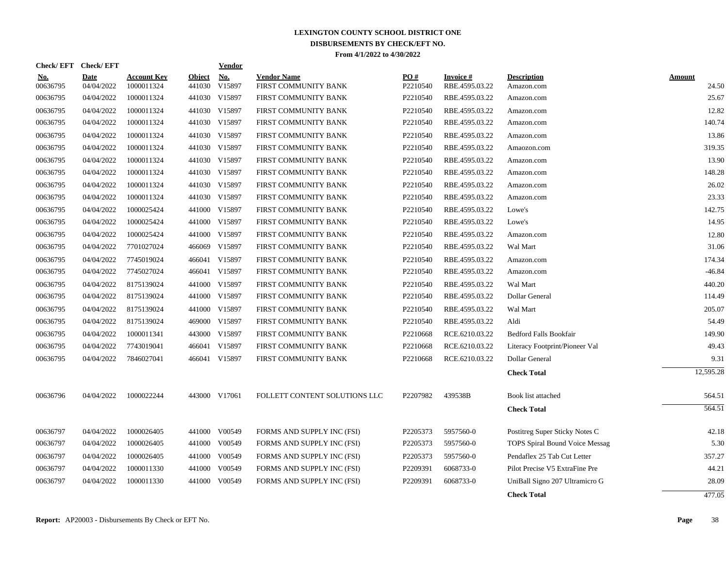| <b>Check/EFT</b> | <b>Check/EFT</b> |                    |               | <b>Vendor</b> |                               |          |                 |                                       |               |
|------------------|------------------|--------------------|---------------|---------------|-------------------------------|----------|-----------------|---------------------------------------|---------------|
| <u>No.</u>       | <b>Date</b>      | <b>Account Key</b> | <b>Object</b> | <b>No.</b>    | <b>Vendor Name</b>            | PO#      | <b>Invoice#</b> | <b>Description</b>                    | <u>Amount</u> |
| 00636795         | 04/04/2022       | 1000011324         | 441030        | V15897        | FIRST COMMUNITY BANK          | P2210540 | RBE.4595.03.22  | Amazon.com                            | 24.50         |
| 00636795         | 04/04/2022       | 1000011324         |               | 441030 V15897 | FIRST COMMUNITY BANK          | P2210540 | RBE.4595.03.22  | Amazon.com                            | 25.67         |
| 00636795         | 04/04/2022       | 1000011324         | 441030        | V15897        | FIRST COMMUNITY BANK          | P2210540 | RBE.4595.03.22  | Amazon.com                            | 12.82         |
| 00636795         | 04/04/2022       | 1000011324         |               | 441030 V15897 | FIRST COMMUNITY BANK          | P2210540 | RBE.4595.03.22  | Amazon.com                            | 140.74        |
| 00636795         | 04/04/2022       | 1000011324         |               | 441030 V15897 | FIRST COMMUNITY BANK          | P2210540 | RBE.4595.03.22  | Amazon.com                            | 13.86         |
| 00636795         | 04/04/2022       | 1000011324         |               | 441030 V15897 | FIRST COMMUNITY BANK          | P2210540 | RBE.4595.03.22  | Amaozon.com                           | 319.35        |
| 00636795         | 04/04/2022       | 1000011324         |               | 441030 V15897 | FIRST COMMUNITY BANK          | P2210540 | RBE.4595.03.22  | Amazon.com                            | 13.90         |
| 00636795         | 04/04/2022       | 1000011324         |               | 441030 V15897 | FIRST COMMUNITY BANK          | P2210540 | RBE.4595.03.22  | Amazon.com                            | 148.28        |
| 00636795         | 04/04/2022       | 1000011324         |               | 441030 V15897 | FIRST COMMUNITY BANK          | P2210540 | RBE.4595.03.22  | Amazon.com                            | 26.02         |
| 00636795         | 04/04/2022       | 1000011324         |               | 441030 V15897 | FIRST COMMUNITY BANK          | P2210540 | RBE.4595.03.22  | Amazon.com                            | 23.33         |
| 00636795         | 04/04/2022       | 1000025424         |               | 441000 V15897 | FIRST COMMUNITY BANK          | P2210540 | RBE.4595.03.22  | Lowe's                                | 142.75        |
| 00636795         | 04/04/2022       | 1000025424         |               | 441000 V15897 | FIRST COMMUNITY BANK          | P2210540 | RBE.4595.03.22  | Lowe's                                | 14.95         |
| 00636795         | 04/04/2022       | 1000025424         |               | 441000 V15897 | FIRST COMMUNITY BANK          | P2210540 | RBE.4595.03.22  | Amazon.com                            | 12.80         |
| 00636795         | 04/04/2022       | 7701027024         |               | 466069 V15897 | FIRST COMMUNITY BANK          | P2210540 | RBE.4595.03.22  | Wal Mart                              | 31.06         |
| 00636795         | 04/04/2022       | 7745019024         |               | 466041 V15897 | FIRST COMMUNITY BANK          | P2210540 | RBE.4595.03.22  | Amazon.com                            | 174.34        |
| 00636795         | 04/04/2022       | 7745027024         |               | 466041 V15897 | FIRST COMMUNITY BANK          | P2210540 | RBE.4595.03.22  | Amazon.com                            | $-46.84$      |
| 00636795         | 04/04/2022       | 8175139024         |               | 441000 V15897 | FIRST COMMUNITY BANK          | P2210540 | RBE.4595.03.22  | Wal Mart                              | 440.20        |
| 00636795         | 04/04/2022       | 8175139024         |               | 441000 V15897 | FIRST COMMUNITY BANK          | P2210540 | RBE.4595.03.22  | Dollar General                        | 114.49        |
| 00636795         | 04/04/2022       | 8175139024         |               | 441000 V15897 | FIRST COMMUNITY BANK          | P2210540 | RBE.4595.03.22  | Wal Mart                              | 205.07        |
| 00636795         | 04/04/2022       | 8175139024         |               | 469000 V15897 | FIRST COMMUNITY BANK          | P2210540 | RBE.4595.03.22  | Aldi                                  | 54.49         |
| 00636795         | 04/04/2022       | 1000011341         |               | 443000 V15897 | FIRST COMMUNITY BANK          | P2210668 | RCE.6210.03.22  | <b>Bedford Falls Bookfair</b>         | 149.90        |
| 00636795         | 04/04/2022       | 7743019041         |               | 466041 V15897 | FIRST COMMUNITY BANK          | P2210668 | RCE.6210.03.22  | Literacy Footprint/Pioneer Val        | 49.43         |
| 00636795         | 04/04/2022       | 7846027041         |               | 466041 V15897 | FIRST COMMUNITY BANK          | P2210668 | RCE.6210.03.22  | Dollar General                        | 9.31          |
|                  |                  |                    |               |               |                               |          |                 | <b>Check Total</b>                    | 12,595.28     |
| 00636796         | 04/04/2022       | 1000022244         |               | 443000 V17061 | FOLLETT CONTENT SOLUTIONS LLC | P2207982 | 439538B         | Book list attached                    | 564.51        |
|                  |                  |                    |               |               |                               |          |                 | <b>Check Total</b>                    | 564.51        |
|                  |                  |                    |               |               |                               |          |                 |                                       |               |
| 00636797         | 04/04/2022       | 1000026405         |               | 441000 V00549 | FORMS AND SUPPLY INC (FSI)    | P2205373 | 5957560-0       | Postitreg Super Sticky Notes C        | 42.18         |
| 00636797         | 04/04/2022       | 1000026405         |               | 441000 V00549 | FORMS AND SUPPLY INC (FSI)    | P2205373 | 5957560-0       | <b>TOPS Spiral Bound Voice Messag</b> | 5.30          |
| 00636797         | 04/04/2022       | 1000026405         | 441000        | V00549        | FORMS AND SUPPLY INC (FSI)    | P2205373 | 5957560-0       | Pendaflex 25 Tab Cut Letter           | 357.27        |
| 00636797         | 04/04/2022       | 1000011330         | 441000        | V00549        | FORMS AND SUPPLY INC (FSI)    | P2209391 | 6068733-0       | Pilot Precise V5 ExtraFine Pre        | 44.21         |
| 00636797         | 04/04/2022       | 1000011330         |               | 441000 V00549 | FORMS AND SUPPLY INC (FSI)    | P2209391 | 6068733-0       | UniBall Signo 207 Ultramicro G        | 28.09         |
|                  |                  |                    |               |               |                               |          |                 | <b>Check Total</b>                    | 477.05        |
|                  |                  |                    |               |               |                               |          |                 |                                       |               |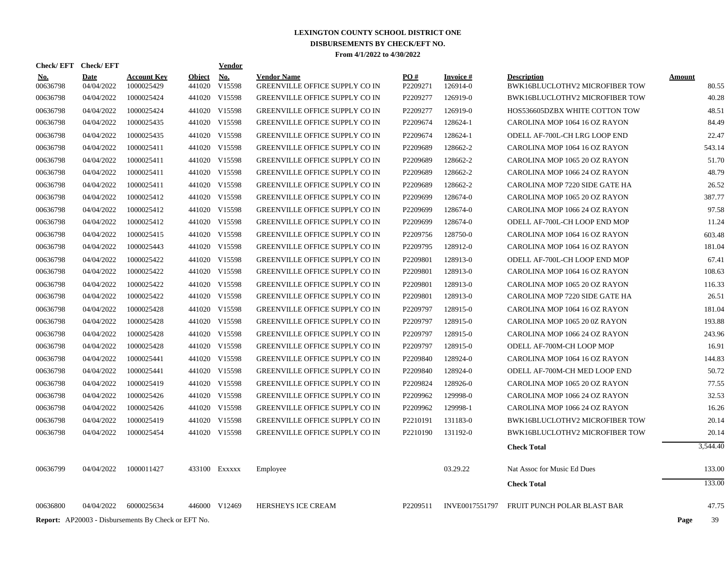|                      | Check/EFT Check/EFT      |                                                            |                         | Vendor                  |                                                                         |                      |                      |                                                                  |                |
|----------------------|--------------------------|------------------------------------------------------------|-------------------------|-------------------------|-------------------------------------------------------------------------|----------------------|----------------------|------------------------------------------------------------------|----------------|
| <b>No.</b>           | <b>Date</b>              | <b>Account Key</b><br>1000025429                           | <b>Object</b><br>441020 | No.                     | <b>Vendor Name</b>                                                      | PO#<br>P2209271      | <b>Invoice#</b>      | <b>Description</b>                                               | <b>Amount</b>  |
| 00636798<br>00636798 | 04/04/2022<br>04/04/2022 | 1000025424                                                 |                         | V15598<br>441020 V15598 | GREENVILLE OFFICE SUPPLY CO IN<br><b>GREENVILLE OFFICE SUPPLY CO IN</b> | P2209277             | 126914-0<br>126919-0 | BWK16BLUCLOTHV2 MICROFIBER TOW<br>BWK16BLUCLOTHV2 MICROFIBER TOW | 80.55<br>40.28 |
|                      |                          |                                                            |                         | 441020 V15598           |                                                                         |                      |                      |                                                                  |                |
| 00636798<br>00636798 | 04/04/2022<br>04/04/2022 | 1000025424<br>1000025435                                   |                         | 441020 V15598           | <b>GREENVILLE OFFICE SUPPLY CO IN</b><br>GREENVILLE OFFICE SUPPLY CO IN | P2209277<br>P2209674 | 126919-0<br>128624-1 | HOS536605DZBX WHITE COTTON TOW<br>CAROLINA MOP 1064 16 OZ RAYON  | 48.51<br>84.49 |
|                      |                          |                                                            |                         |                         |                                                                         |                      |                      |                                                                  |                |
| 00636798             | 04/04/2022               | 1000025435                                                 |                         | 441020 V15598           | <b>GREENVILLE OFFICE SUPPLY CO IN</b>                                   | P2209674             | 128624-1             | ODELL AF-700L-CH LRG LOOP END                                    | 22.47          |
| 00636798             | 04/04/2022               | 1000025411                                                 |                         | 441020 V15598           | GREENVILLE OFFICE SUPPLY CO IN                                          | P2209689             | 128662-2             | CAROLINA MOP 1064 16 OZ RAYON                                    | 543.14         |
| 00636798             | 04/04/2022               | 1000025411                                                 |                         | 441020 V15598           | <b>GREENVILLE OFFICE SUPPLY CO IN</b>                                   | P2209689             | 128662-2             | CAROLINA MOP 1065 20 OZ RAYON                                    | 51.70          |
| 00636798             | 04/04/2022               | 1000025411                                                 |                         | 441020 V15598           | GREENVILLE OFFICE SUPPLY CO IN                                          | P2209689             | 128662-2             | CAROLINA MOP 1066 24 OZ RAYON                                    | 48.79          |
| 00636798             | 04/04/2022               | 1000025411                                                 |                         | 441020 V15598           | <b>GREENVILLE OFFICE SUPPLY CO IN</b>                                   | P2209689             | 128662-2             | CAROLINA MOP 7220 SIDE GATE HA                                   | 26.52          |
| 00636798             | 04/04/2022               | 1000025412                                                 |                         | 441020 V15598           | <b>GREENVILLE OFFICE SUPPLY CO IN</b>                                   | P2209699             | 128674-0             | CAROLINA MOP 1065 20 OZ RAYON                                    | 387.77         |
| 00636798             | 04/04/2022               | 1000025412                                                 |                         | 441020 V15598           | <b>GREENVILLE OFFICE SUPPLY CO IN</b>                                   | P2209699             | 128674-0             | CAROLINA MOP 1066 24 OZ RAYON                                    | 97.58          |
| 00636798             | 04/04/2022               | 1000025412                                                 |                         | 441020 V15598           | <b>GREENVILLE OFFICE SUPPLY CO IN</b>                                   | P <sub>2209699</sub> | 128674-0             | ODELL AF-700L-CH LOOP END MOP                                    | 11.24          |
| 00636798             | 04/04/2022               | 1000025415                                                 |                         | 441020 V15598           | <b>GREENVILLE OFFICE SUPPLY CO IN</b>                                   | P2209756             | 128750-0             | CAROLINA MOP 1064 16 OZ RAYON                                    | 603.48         |
| 00636798             | 04/04/2022               | 1000025443                                                 |                         | 441020 V15598           | <b>GREENVILLE OFFICE SUPPLY CO IN</b>                                   | P2209795             | 128912-0             | CAROLINA MOP 1064 16 OZ RAYON                                    | 181.04         |
| 00636798             | 04/04/2022               | 1000025422                                                 |                         | 441020 V15598           | <b>GREENVILLE OFFICE SUPPLY CO IN</b>                                   | P2209801             | 128913-0             | ODELL AF-700L-CH LOOP END MOP                                    | 67.41          |
| 00636798             | 04/04/2022               | 1000025422                                                 |                         | 441020 V15598           | <b>GREENVILLE OFFICE SUPPLY CO IN</b>                                   | P2209801             | 128913-0             | CAROLINA MOP 1064 16 OZ RAYON                                    | 108.63         |
| 00636798             | 04/04/2022               | 1000025422                                                 |                         | 441020 V15598           | <b>GREENVILLE OFFICE SUPPLY CO IN</b>                                   | P <sub>2209801</sub> | 128913-0             | CAROLINA MOP 1065 20 OZ RAYON                                    | 116.33         |
| 00636798             | 04/04/2022               | 1000025422                                                 |                         | 441020 V15598           | GREENVILLE OFFICE SUPPLY CO IN                                          | P2209801             | 128913-0             | CAROLINA MOP 7220 SIDE GATE HA                                   | 26.51          |
| 00636798             | 04/04/2022               | 1000025428                                                 |                         | 441020 V15598           | <b>GREENVILLE OFFICE SUPPLY CO IN</b>                                   | P2209797             | 128915-0             | CAROLINA MOP 1064 16 OZ RAYON                                    | 181.04         |
| 00636798             | 04/04/2022               | 1000025428                                                 |                         | 441020 V15598           | <b>GREENVILLE OFFICE SUPPLY CO IN</b>                                   | P2209797             | 128915-0             | CAROLINA MOP 1065 20 0Z RAYON                                    | 193.88         |
| 00636798             | 04/04/2022               | 1000025428                                                 |                         | 441020 V15598           | <b>GREENVILLE OFFICE SUPPLY CO IN</b>                                   | P2209797             | 128915-0             | CAROLINA MOP 1066 24 OZ RAYON                                    | 243.96         |
| 00636798             | 04/04/2022               | 1000025428                                                 |                         | 441020 V15598           | GREENVILLE OFFICE SUPPLY CO IN                                          | P2209797             | 128915-0             | ODELL AF-700M-CH LOOP MOP                                        | 16.91          |
| 00636798             | 04/04/2022               | 1000025441                                                 |                         | 441020 V15598           | <b>GREENVILLE OFFICE SUPPLY CO IN</b>                                   | P2209840             | 128924-0             | CAROLINA MOP 1064 16 OZ RAYON                                    | 144.83         |
| 00636798             | 04/04/2022               | 1000025441                                                 |                         | 441020 V15598           | <b>GREENVILLE OFFICE SUPPLY CO IN</b>                                   | P2209840             | 128924-0             | ODELL AF-700M-CH MED LOOP END                                    | 50.72          |
| 00636798             | 04/04/2022               | 1000025419                                                 |                         | 441020 V15598           | GREENVILLE OFFICE SUPPLY CO IN                                          | P2209824             | 128926-0             | CAROLINA MOP 1065 20 OZ RAYON                                    | 77.55          |
| 00636798             | 04/04/2022               | 1000025426                                                 |                         | 441020 V15598           | <b>GREENVILLE OFFICE SUPPLY CO IN</b>                                   | P2209962             | 129998-0             | CAROLINA MOP 1066 24 OZ RAYON                                    | 32.53          |
| 00636798             | 04/04/2022               | 1000025426                                                 |                         | 441020 V15598           | <b>GREENVILLE OFFICE SUPPLY CO IN</b>                                   | P2209962             | 129998-1             | CAROLINA MOP 1066 24 OZ RAYON                                    | 16.26          |
| 00636798             | 04/04/2022               | 1000025419                                                 |                         | 441020 V15598           | <b>GREENVILLE OFFICE SUPPLY CO IN</b>                                   | P2210191             | 131183-0             | BWK16BLUCLOTHV2 MICROFIBER TOW                                   | 20.14          |
| 00636798             | 04/04/2022               | 1000025454                                                 |                         | 441020 V15598           | <b>GREENVILLE OFFICE SUPPLY CO IN</b>                                   | P2210190             | 131192-0             | BWK16BLUCLOTHV2 MICROFIBER TOW                                   | 20.14          |
|                      |                          |                                                            |                         |                         |                                                                         |                      |                      | <b>Check Total</b>                                               | 3,544.40       |
| 00636799             | 04/04/2022               | 1000011427                                                 |                         | 433100 EXXXXX           | Employee                                                                |                      | 03.29.22             | Nat Assoc for Music Ed Dues                                      | 133.00         |
|                      |                          |                                                            |                         |                         |                                                                         |                      |                      | <b>Check Total</b>                                               | 133.00         |
| 00636800             | 04/04/2022               | 6000025634                                                 |                         | 446000 V12469           | <b>HERSHEYS ICE CREAM</b>                                               | P2209511             | INVE0017551797       | FRUIT PUNCH POLAR BLAST BAR                                      | 47.75          |
|                      |                          | <b>Report:</b> AP20003 - Disbursements By Check or EFT No. |                         |                         |                                                                         |                      |                      |                                                                  | 39<br>Page     |
|                      |                          |                                                            |                         |                         |                                                                         |                      |                      |                                                                  |                |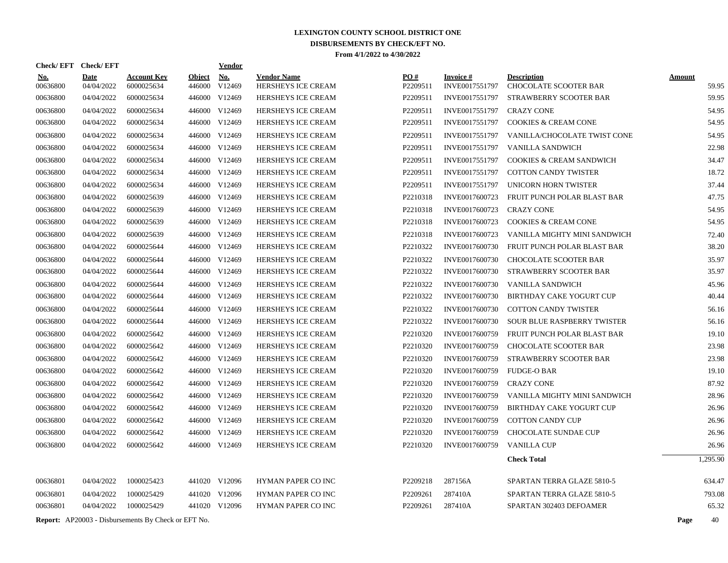| Check/EFT Check/EFT    |                           |                                                            |                         | <b>Vendor</b> |                                          |                 |                                   |                                             |                        |
|------------------------|---------------------------|------------------------------------------------------------|-------------------------|---------------|------------------------------------------|-----------------|-----------------------------------|---------------------------------------------|------------------------|
| <b>No.</b><br>00636800 | <b>Date</b><br>04/04/2022 | <b>Account Key</b><br>6000025634                           | <b>Object</b><br>446000 | No.<br>V12469 | <b>Vendor Name</b><br>HERSHEYS ICE CREAM | PO#<br>P2209511 | <b>Invoice#</b><br>INVE0017551797 | <b>Description</b><br>CHOCOLATE SCOOTER BAR | <b>Amount</b><br>59.95 |
| 00636800               | 04/04/2022                | 6000025634                                                 | 446000                  | V12469        | <b>HERSHEYS ICE CREAM</b>                | P2209511        | INVE0017551797                    | STRAWBERRY SCOOTER BAR                      | 59.95                  |
| 00636800               | 04/04/2022                | 6000025634                                                 |                         | 446000 V12469 | <b>HERSHEYS ICE CREAM</b>                | P2209511        | INVE0017551797                    | <b>CRAZY CONE</b>                           | 54.95                  |
| 00636800               | 04/04/2022                | 6000025634                                                 |                         | 446000 V12469 | <b>HERSHEYS ICE CREAM</b>                | P2209511        | INVE0017551797                    | <b>COOKIES &amp; CREAM CONE</b>             | 54.95                  |
| 00636800               | 04/04/2022                | 6000025634                                                 |                         | 446000 V12469 | HERSHEYS ICE CREAM                       | P2209511        | INVE0017551797                    | VANILLA/CHOCOLATE TWIST CONE                | 54.95                  |
| 00636800               | 04/04/2022                | 6000025634                                                 |                         | 446000 V12469 | HERSHEYS ICE CREAM                       | P2209511        | INVE0017551797                    | VANILLA SANDWICH                            | 22.98                  |
| 00636800               | 04/04/2022                | 6000025634                                                 |                         | 446000 V12469 | <b>HERSHEYS ICE CREAM</b>                | P2209511        | INVE0017551797                    | <b>COOKIES &amp; CREAM SANDWICH</b>         | 34.47                  |
| 00636800               | 04/04/2022                | 6000025634                                                 |                         | 446000 V12469 | <b>HERSHEYS ICE CREAM</b>                | P2209511        | INVE0017551797                    | <b>COTTON CANDY TWISTER</b>                 | 18.72                  |
| 00636800               | 04/04/2022                | 6000025634                                                 |                         | 446000 V12469 | <b>HERSHEYS ICE CREAM</b>                | P2209511        | INVE0017551797                    | UNICORN HORN TWISTER                        | 37.44                  |
| 00636800               | 04/04/2022                | 6000025639                                                 |                         | 446000 V12469 | <b>HERSHEYS ICE CREAM</b>                | P2210318        | INVE0017600723                    | FRUIT PUNCH POLAR BLAST BAR                 | 47.75                  |
| 00636800               | 04/04/2022                | 6000025639                                                 |                         | 446000 V12469 | <b>HERSHEYS ICE CREAM</b>                | P2210318        | INVE0017600723                    | <b>CRAZY CONE</b>                           | 54.95                  |
| 00636800               | 04/04/2022                | 6000025639                                                 |                         | 446000 V12469 | HERSHEYS ICE CREAM                       | P2210318        | INVE0017600723                    | <b>COOKIES &amp; CREAM CONE</b>             | 54.95                  |
| 00636800               | 04/04/2022                | 6000025639                                                 | 446000                  | V12469        | <b>HERSHEYS ICE CREAM</b>                | P2210318        | INVE0017600723                    | VANILLA MIGHTY MINI SANDWICH                | 72.40                  |
| 00636800               | 04/04/2022                | 6000025644                                                 |                         | 446000 V12469 | <b>HERSHEYS ICE CREAM</b>                | P2210322        | INVE0017600730                    | FRUIT PUNCH POLAR BLAST BAR                 | 38.20                  |
| 00636800               | 04/04/2022                | 6000025644                                                 | 446000                  | V12469        | HERSHEYS ICE CREAM                       | P2210322        | INVE0017600730                    | <b>CHOCOLATE SCOOTER BAR</b>                | 35.97                  |
| 00636800               | 04/04/2022                | 6000025644                                                 |                         | 446000 V12469 | <b>HERSHEYS ICE CREAM</b>                | P2210322        | INVE0017600730                    | STRAWBERRY SCOOTER BAR                      | 35.97                  |
| 00636800               | 04/04/2022                | 6000025644                                                 | 446000                  | V12469        | <b>HERSHEYS ICE CREAM</b>                | P2210322        | INVE0017600730                    | VANILLA SANDWICH                            | 45.96                  |
| 00636800               | 04/04/2022                | 6000025644                                                 |                         | 446000 V12469 | <b>HERSHEYS ICE CREAM</b>                | P2210322        | INVE0017600730                    | BIRTHDAY CAKE YOGURT CUP                    | 40.44                  |
| 00636800               | 04/04/2022                | 6000025644                                                 | 446000                  | V12469        | <b>HERSHEYS ICE CREAM</b>                | P2210322        | INVE0017600730                    | <b>COTTON CANDY TWISTER</b>                 | 56.16                  |
| 00636800               | 04/04/2022                | 6000025644                                                 |                         | 446000 V12469 | HERSHEYS ICE CREAM                       | P2210322        | INVE0017600730                    | SOUR BLUE RASPBERRY TWISTER                 | 56.16                  |
| 00636800               | 04/04/2022                | 6000025642                                                 | 446000                  | V12469        | <b>HERSHEYS ICE CREAM</b>                | P2210320        | INVE0017600759                    | FRUIT PUNCH POLAR BLAST BAR                 | 19.10                  |
| 00636800               | 04/04/2022                | 6000025642                                                 | 446000                  | V12469        | HERSHEYS ICE CREAM                       | P2210320        | INVE0017600759                    | <b>CHOCOLATE SCOOTER BAR</b>                | 23.98                  |
| 00636800               | 04/04/2022                | 6000025642                                                 |                         | 446000 V12469 | <b>HERSHEYS ICE CREAM</b>                | P2210320        | INVE0017600759                    | STRAWBERRY SCOOTER BAR                      | 23.98                  |
| 00636800               | 04/04/2022                | 6000025642                                                 |                         | 446000 V12469 | <b>HERSHEYS ICE CREAM</b>                | P2210320        | INVE0017600759                    | <b>FUDGE-O BAR</b>                          | 19.10                  |
| 00636800               | 04/04/2022                | 6000025642                                                 |                         | 446000 V12469 | HERSHEYS ICE CREAM                       | P2210320        | INVE0017600759                    | <b>CRAZY CONE</b>                           | 87.92                  |
| 00636800               | 04/04/2022                | 6000025642                                                 |                         | 446000 V12469 | <b>HERSHEYS ICE CREAM</b>                | P2210320        | INVE0017600759                    | VANILLA MIGHTY MINI SANDWICH                | 28.96                  |
| 00636800               | 04/04/2022                | 6000025642                                                 |                         | 446000 V12469 | <b>HERSHEYS ICE CREAM</b>                | P2210320        | INVE0017600759                    | <b>BIRTHDAY CAKE YOGURT CUP</b>             | 26.96                  |
| 00636800               | 04/04/2022                | 6000025642                                                 |                         | 446000 V12469 | <b>HERSHEYS ICE CREAM</b>                | P2210320        | INVE0017600759                    | <b>COTTON CANDY CUP</b>                     | 26.96                  |
| 00636800               | 04/04/2022                | 6000025642                                                 | 446000                  | V12469        | <b>HERSHEYS ICE CREAM</b>                | P2210320        | INVE0017600759                    | <b>CHOCOLATE SUNDAE CUP</b>                 | 26.96                  |
| 00636800               | 04/04/2022                | 6000025642                                                 |                         | 446000 V12469 | HERSHEYS ICE CREAM                       | P2210320        | INVE0017600759                    | <b>VANILLA CUP</b>                          | 26.96                  |
|                        |                           |                                                            |                         |               |                                          |                 |                                   | <b>Check Total</b>                          | 1,295.90               |
| 00636801               | 04/04/2022                | 1000025423                                                 |                         | 441020 V12096 | <b>HYMAN PAPER CO INC</b>                | P2209218        | 287156A                           | SPARTAN TERRA GLAZE 5810-5                  | 634.47                 |
| 00636801               | 04/04/2022                | 1000025429                                                 |                         | 441020 V12096 | <b>HYMAN PAPER CO INC</b>                | P2209261        | 287410A                           | SPARTAN TERRA GLAZE 5810-5                  | 793.08                 |
| 00636801               | 04/04/2022                | 1000025429                                                 |                         | 441020 V12096 | <b>HYMAN PAPER CO INC</b>                | P2209261        | 287410A                           | SPARTAN 302403 DEFOAMER                     | 65.32                  |
|                        |                           | <b>Report:</b> AP20003 - Disbursements By Check or EFT No. |                         |               |                                          |                 |                                   |                                             | 40<br>Page             |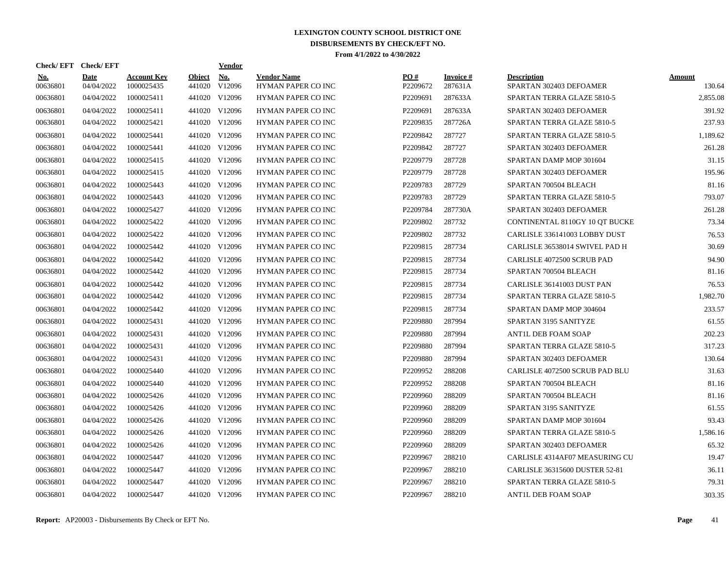| <b>Check/EFT</b>       | <b>Check/EFT</b>   |                           |                         | <u>Vendor</u>        |                                          |                 |                             |                                               |                  |
|------------------------|--------------------|---------------------------|-------------------------|----------------------|------------------------------------------|-----------------|-----------------------------|-----------------------------------------------|------------------|
| <u>No.</u><br>00636801 | Date<br>04/04/2022 | Account Kev<br>1000025435 | <b>Object</b><br>441020 | <b>No.</b><br>V12096 | <b>Vendor Name</b><br>HYMAN PAPER CO INC | PO#<br>P2209672 | <b>Invoice</b> #<br>287631A | <b>Description</b><br>SPARTAN 302403 DEFOAMER | Amount<br>130.64 |
| 00636801               | 04/04/2022         | 1000025411                | 441020                  | V12096               | <b>HYMAN PAPER CO INC</b>                | P2209691        | 287633A                     | SPARTAN TERRA GLAZE 5810-5                    | 2,855.08         |
| 00636801               | 04/04/2022         | 1000025411                | 441020                  | V12096               | <b>HYMAN PAPER CO INC</b>                | P2209691        | 287633A                     | SPARTAN 302403 DEFOAMER                       | 391.92           |
| 00636801               | 04/04/2022         | 1000025421                |                         | 441020 V12096        | HYMAN PAPER CO INC                       | P2209835        | 287726A                     | SPARTAN TERRA GLAZE 5810-5                    | 237.93           |
| 00636801               | 04/04/2022         | 1000025441                |                         | 441020 V12096        | HYMAN PAPER CO INC                       | P2209842        | 287727                      | SPARTAN TERRA GLAZE 5810-5                    | 1,189.62         |
| 00636801               | 04/04/2022         | 1000025441                |                         | 441020 V12096        | HYMAN PAPER CO INC                       | P2209842        | 287727                      | SPARTAN 302403 DEFOAMER                       | 261.28           |
| 00636801               | 04/04/2022         | 1000025415                | 441020                  | V12096               | HYMAN PAPER CO INC                       | P2209779        | 287728                      | SPARTAN DAMP MOP 301604                       | 31.15            |
| 00636801               | 04/04/2022         | 1000025415                | 441020                  | V12096               | HYMAN PAPER CO INC                       | P2209779        | 287728                      | SPARTAN 302403 DEFOAMER                       | 195.96           |
| 00636801               | 04/04/2022         | 1000025443                |                         | 441020 V12096        | <b>HYMAN PAPER CO INC</b>                | P2209783        | 287729                      | SPARTAN 700504 BLEACH                         | 81.16            |
| 00636801               | 04/04/2022         | 1000025443                |                         | 441020 V12096        | <b>HYMAN PAPER CO INC</b>                | P2209783        | 287729                      | SPARTAN TERRA GLAZE 5810-5                    | 793.07           |
| 00636801               | 04/04/2022         | 1000025427                |                         | 441020 V12096        | HYMAN PAPER CO INC                       | P2209784        | 287730A                     | SPARTAN 302403 DEFOAMER                       | 261.28           |
| 00636801               | 04/04/2022         | 1000025422                |                         | 441020 V12096        | HYMAN PAPER CO INC                       | P2209802        | 287732                      | CONTINENTAL 8110GY 10 QT BUCKE                | 73.34            |
| 00636801               | 04/04/2022         | 1000025422                |                         | 441020 V12096        | HYMAN PAPER CO INC                       | P2209802        | 287732                      | CARLISLE 336141003 LOBBY DUST                 | 76.53            |
| 00636801               | 04/04/2022         | 1000025442                |                         | 441020 V12096        | HYMAN PAPER CO INC                       | P2209815        | 287734                      | CARLISLE 36538014 SWIVEL PAD H                | 30.69            |
| 00636801               | 04/04/2022         | 1000025442                |                         | 441020 V12096        | HYMAN PAPER CO INC                       | P2209815        | 287734                      | <b>CARLISLE 4072500 SCRUB PAD</b>             | 94.90            |
| 00636801               | 04/04/2022         | 1000025442                |                         | 441020 V12096        | HYMAN PAPER CO INC                       | P2209815        | 287734                      | SPARTAN 700504 BLEACH                         | 81.16            |
| 00636801               | 04/04/2022         | 1000025442                |                         | 441020 V12096        | <b>HYMAN PAPER CO INC</b>                | P2209815        | 287734                      | CARLISLE 36141003 DUST PAN                    | 76.53            |
| 00636801               | 04/04/2022         | 1000025442                |                         | 441020 V12096        | HYMAN PAPER CO INC                       | P2209815        | 287734                      | SPARTAN TERRA GLAZE 5810-5                    | 1.982.70         |
| 00636801               | 04/04/2022         | 1000025442                |                         | 441020 V12096        | <b>HYMAN PAPER CO INC</b>                | P2209815        | 287734                      | SPARTAN DAMP MOP 304604                       | 233.57           |
| 00636801               | 04/04/2022         | 1000025431                |                         | 441020 V12096        | HYMAN PAPER CO INC                       | P2209880        | 287994                      | SPARTAN 3195 SANITYZE                         | 61.55            |
| 00636801               | 04/04/2022         | 1000025431                |                         | 441020 V12096        | HYMAN PAPER CO INC                       | P2209880        | 287994                      | ANT1L DEB FOAM SOAP                           | 202.23           |
| 00636801               | 04/04/2022         | 1000025431                |                         | 441020 V12096        | <b>HYMAN PAPER CO INC</b>                | P2209880        | 287994                      | SPARTAN TERRA GLAZE 5810-5                    | 317.23           |
| 00636801               | 04/04/2022         | 1000025431                |                         | 441020 V12096        | HYMAN PAPER CO INC                       | P2209880        | 287994                      | SPARTAN 302403 DEFOAMER                       | 130.64           |
| 00636801               | 04/04/2022         | 1000025440                |                         | 441020 V12096        | <b>HYMAN PAPER CO INC</b>                | P2209952        | 288208                      | CARLISLE 4072500 SCRUB PAD BLU                | 31.63            |
| 00636801               | 04/04/2022         | 1000025440                |                         | 441020 V12096        | HYMAN PAPER CO INC                       | P2209952        | 288208                      | SPARTAN 700504 BLEACH                         | 81.16            |
| 00636801               | 04/04/2022         | 1000025426                |                         | 441020 V12096        | <b>HYMAN PAPER CO INC</b>                | P2209960        | 288209                      | SPARTAN 700504 BLEACH                         | 81.16            |
| 00636801               | 04/04/2022         | 1000025426                |                         | 441020 V12096        | <b>HYMAN PAPER CO INC</b>                | P2209960        | 288209                      | SPARTAN 3195 SANITYZE                         | 61.55            |
| 00636801               | 04/04/2022         | 1000025426                |                         | 441020 V12096        | HYMAN PAPER CO INC                       | P2209960        | 288209                      | SPARTAN DAMP MOP 301604                       | 93.43            |
| 00636801               | 04/04/2022         | 1000025426                |                         | 441020 V12096        | HYMAN PAPER CO INC                       | P2209960        | 288209                      | SPARTAN TERRA GLAZE 5810-5                    | 1,586.16         |
| 00636801               | 04/04/2022         | 1000025426                |                         | 441020 V12096        | HYMAN PAPER CO INC                       | P2209960        | 288209                      | SPARTAN 302403 DEFOAMER                       | 65.32            |
| 00636801               | 04/04/2022         | 1000025447                |                         | 441020 V12096        | HYMAN PAPER CO INC                       | P2209967        | 288210                      | CARLISLE 4314AF07 MEASURING CU                | 19.47            |
| 00636801               | 04/04/2022         | 1000025447                |                         | 441020 V12096        | <b>HYMAN PAPER CO INC</b>                | P2209967        | 288210                      | CARLISLE 36315600 DUSTER 52-81                | 36.11            |
| 00636801               | 04/04/2022         | 1000025447                |                         | 441020 V12096        | HYMAN PAPER CO INC                       | P2209967        | 288210                      | SPARTAN TERRA GLAZE 5810-5                    | 79.31            |
| 00636801               | 04/04/2022         | 1000025447                |                         | 441020 V12096        | <b>HYMAN PAPER CO INC</b>                | P2209967        | 288210                      | <b>ANTIL DEB FOAM SOAP</b>                    | 303.35           |
|                        |                    |                           |                         |                      |                                          |                 |                             |                                               |                  |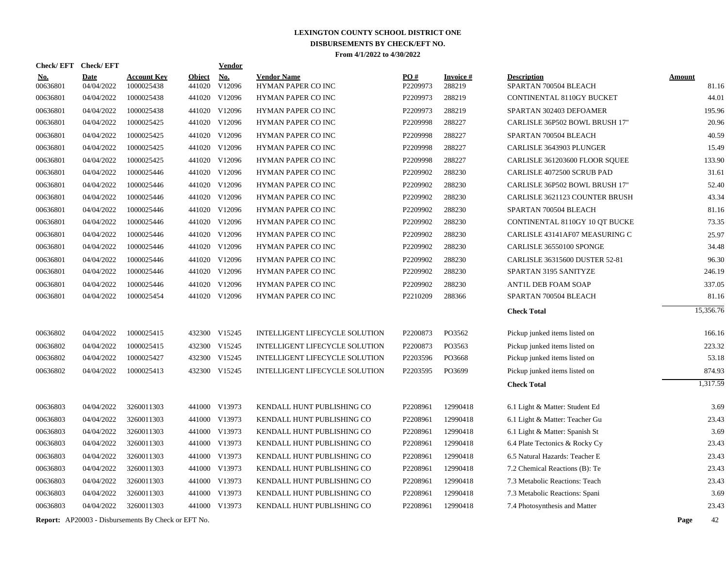| <b>Check/EFT</b>       | <b>Check/EFT</b>          |                                                            |                         | Vendor        |                                          |                 |                           |                                             |               |           |
|------------------------|---------------------------|------------------------------------------------------------|-------------------------|---------------|------------------------------------------|-----------------|---------------------------|---------------------------------------------|---------------|-----------|
| <u>No.</u><br>00636801 | <b>Date</b><br>04/04/2022 | <b>Account Key</b><br>1000025438                           | <b>Object</b><br>441020 | No.<br>V12096 | <b>Vendor Name</b><br>HYMAN PAPER CO INC | PO#<br>P2209973 | <b>Invoice#</b><br>288219 | <b>Description</b><br>SPARTAN 700504 BLEACH | <b>Amount</b> | 81.16     |
| 00636801               | 04/04/2022                | 1000025438                                                 | 441020                  | V12096        | <b>HYMAN PAPER CO INC</b>                | P2209973        | 288219                    | CONTINENTAL 8110GY BUCKET                   |               | 44.01     |
| 00636801               | 04/04/2022                | 1000025438                                                 | 441020                  | V12096        | HYMAN PAPER CO INC                       | P2209973        | 288219                    | SPARTAN 302403 DEFOAMER                     |               | 195.96    |
| 00636801               | 04/04/2022                | 1000025425                                                 |                         | 441020 V12096 | HYMAN PAPER CO INC                       | P2209998        | 288227                    | CARLISLE 36P502 BOWL BRUSH 17"              |               | 20.96     |
| 00636801               | 04/04/2022                | 1000025425                                                 |                         | 441020 V12096 | HYMAN PAPER CO INC                       | P2209998        | 288227                    | SPARTAN 700504 BLEACH                       |               | 40.59     |
| 00636801               | 04/04/2022                | 1000025425                                                 |                         | 441020 V12096 | HYMAN PAPER CO INC                       | P2209998        | 288227                    | CARLISLE 3643903 PLUNGER                    |               | 15.49     |
| 00636801               | 04/04/2022                | 1000025425                                                 |                         | 441020 V12096 | HYMAN PAPER CO INC                       | P2209998        | 288227                    | CARLISLE 361203600 FLOOR SOUEE              |               | 133.90    |
| 00636801               | 04/04/2022                | 1000025446                                                 |                         | 441020 V12096 | HYMAN PAPER CO INC                       | P2209902        | 288230                    | CARLISLE 4072500 SCRUB PAD                  |               | 31.61     |
| 00636801               | 04/04/2022                | 1000025446                                                 | 441020                  | V12096        | <b>HYMAN PAPER CO INC</b>                | P2209902        | 288230                    | CARLISLE 36P502 BOWL BRUSH 17"              |               | 52.40     |
| 00636801               | 04/04/2022                | 1000025446                                                 |                         | 441020 V12096 | HYMAN PAPER CO INC                       | P2209902        | 288230                    | CARLISLE 3621123 COUNTER BRUSH              |               | 43.34     |
| 00636801               | 04/04/2022                | 1000025446                                                 | 441020                  | V12096        | HYMAN PAPER CO INC                       | P2209902        | 288230                    | SPARTAN 700504 BLEACH                       |               | 81.16     |
| 00636801               | 04/04/2022                | 1000025446                                                 |                         | 441020 V12096 | <b>HYMAN PAPER CO INC</b>                | P2209902        | 288230                    | CONTINENTAL 8110GY 10 OT BUCKE              |               | 73.35     |
| 00636801               | 04/04/2022                | 1000025446                                                 | 441020                  | V12096        | <b>HYMAN PAPER CO INC</b>                | P2209902        | 288230                    | CARLISLE 43141AF07 MEASURING C              |               | 25.97     |
| 00636801               | 04/04/2022                | 1000025446                                                 |                         | 441020 V12096 | HYMAN PAPER CO INC                       | P2209902        | 288230                    | CARLISLE 36550100 SPONGE                    |               | 34.48     |
| 00636801               | 04/04/2022                | 1000025446                                                 |                         | 441020 V12096 | HYMAN PAPER CO INC                       | P2209902        | 288230                    | CARLISLE 36315600 DUSTER 52-81              |               | 96.30     |
| 00636801               | 04/04/2022                | 1000025446                                                 |                         | 441020 V12096 | <b>HYMAN PAPER CO INC</b>                | P2209902        | 288230                    | SPARTAN 3195 SANITYZE                       |               | 246.19    |
| 00636801               | 04/04/2022                | 1000025446                                                 | 441020                  | V12096        | <b>HYMAN PAPER CO INC</b>                | P2209902        | 288230                    | ANTIL DEB FOAM SOAP                         |               | 337.05    |
| 00636801               | 04/04/2022                | 1000025454                                                 |                         | 441020 V12096 | HYMAN PAPER CO INC                       | P2210209        | 288366                    | SPARTAN 700504 BLEACH                       |               | 81.16     |
|                        |                           |                                                            |                         |               |                                          |                 |                           | <b>Check Total</b>                          |               | 15,356.76 |
| 00636802               | 04/04/2022                | 1000025415                                                 | 432300                  | V15245        | INTELLIGENT LIFECYCLE SOLUTION           | P2200873        | PO3562                    | Pickup junked items listed on               |               | 166.16    |
| 00636802               | 04/04/2022                | 1000025415                                                 | 432300                  | V15245        | INTELLIGENT LIFECYCLE SOLUTION           | P2200873        | PO3563                    | Pickup junked items listed on               |               | 223.32    |
| 00636802               | 04/04/2022                | 1000025427                                                 | 432300                  | V15245        | INTELLIGENT LIFECYCLE SOLUTION           | P2203596        | PO3668                    | Pickup junked items listed on               |               | 53.18     |
| 00636802               | 04/04/2022                | 1000025413                                                 | 432300                  | V15245        | INTELLIGENT LIFECYCLE SOLUTION           | P2203595        | PO3699                    | Pickup junked items listed on               |               | 874.93    |
|                        |                           |                                                            |                         |               |                                          |                 |                           | <b>Check Total</b>                          |               | 1,317.59  |
| 00636803               | 04/04/2022                | 3260011303                                                 |                         | 441000 V13973 | KENDALL HUNT PUBLISHING CO               | P2208961        | 12990418                  | 6.1 Light & Matter: Student Ed              |               | 3.69      |
| 00636803               | 04/04/2022                | 3260011303                                                 | 441000                  | V13973        | KENDALL HUNT PUBLISHING CO               | P2208961        | 12990418                  | 6.1 Light & Matter: Teacher Gu              |               | 23.43     |
| 00636803               | 04/04/2022                | 3260011303                                                 | 441000                  | V13973        | KENDALL HUNT PUBLISHING CO               | P2208961        | 12990418                  | 6.1 Light & Matter: Spanish St              |               | 3.69      |
| 00636803               | 04/04/2022                | 3260011303                                                 | 441000                  | V13973        | KENDALL HUNT PUBLISHING CO               | P2208961        | 12990418                  | 6.4 Plate Tectonics & Rocky Cy              |               | 23.43     |
| 00636803               | 04/04/2022                | 3260011303                                                 | 441000                  | V13973        | KENDALL HUNT PUBLISHING CO               | P2208961        | 12990418                  | 6.5 Natural Hazards: Teacher E              |               | 23.43     |
| 00636803               | 04/04/2022                | 3260011303                                                 | 441000                  | V13973        | KENDALL HUNT PUBLISHING CO               | P2208961        | 12990418                  | 7.2 Chemical Reactions (B): Te              |               | 23.43     |
| 00636803               | 04/04/2022                | 3260011303                                                 | 441000                  | V13973        | KENDALL HUNT PUBLISHING CO               | P2208961        | 12990418                  | 7.3 Metabolic Reactions: Teach              |               | 23.43     |
| 00636803               | 04/04/2022                | 3260011303                                                 | 441000                  | V13973        | KENDALL HUNT PUBLISHING CO               | P2208961        | 12990418                  | 7.3 Metabolic Reactions: Spani              |               | 3.69      |
| 00636803               | 04/04/2022                | 3260011303                                                 | 441000                  | V13973        | KENDALL HUNT PUBLISHING CO               | P2208961        | 12990418                  | 7.4 Photosynthesis and Matter               |               | 23.43     |
|                        |                           | <b>Report:</b> AP20003 - Disbursements By Check or EFT No. |                         |               |                                          |                 |                           |                                             | Page          | 42        |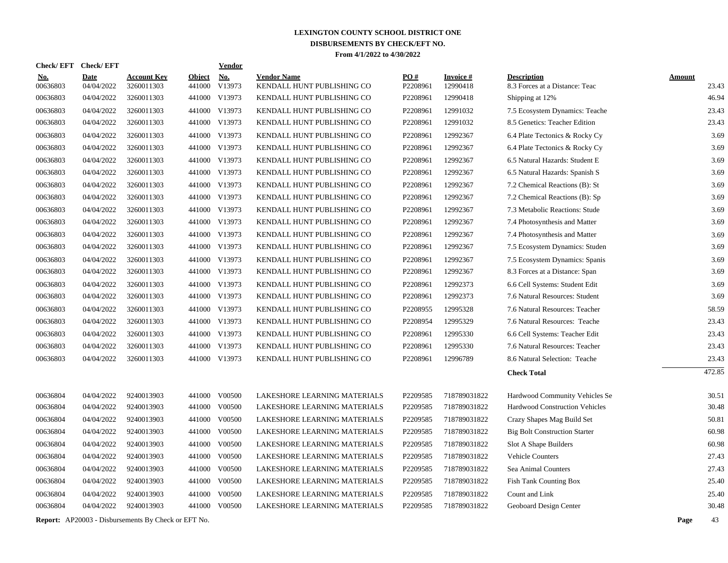| Check/ EFT             | <b>Check/EFT</b>          |                                  |                         | Vendor               |                                                  |                               |                             |                                                      |                        |
|------------------------|---------------------------|----------------------------------|-------------------------|----------------------|--------------------------------------------------|-------------------------------|-----------------------------|------------------------------------------------------|------------------------|
| <u>No.</u><br>00636803 | <b>Date</b><br>04/04/2022 | <b>Account Key</b><br>3260011303 | <b>Object</b><br>441000 | <b>No.</b><br>V13973 | <b>Vendor Name</b><br>KENDALL HUNT PUBLISHING CO | $\underline{PO#}$<br>P2208961 | <b>Invoice#</b><br>12990418 | <b>Description</b><br>8.3 Forces at a Distance: Teac | <b>Amount</b><br>23.43 |
| 00636803               | 04/04/2022                | 3260011303                       | 441000                  | V13973               | KENDALL HUNT PUBLISHING CO                       | P2208961                      | 12990418                    | Shipping at 12%                                      | 46.94                  |
| 00636803               | 04/04/2022                | 3260011303                       | 441000                  | V13973               | KENDALL HUNT PUBLISHING CO                       | P2208961                      | 12991032                    | 7.5 Ecosystem Dynamics: Teache                       | 23.43                  |
| 00636803               | 04/04/2022                | 3260011303                       | 441000                  | V13973               | KENDALL HUNT PUBLISHING CO                       | P2208961                      | 12991032                    | 8.5 Genetics: Teacher Edition                        | 23.43                  |
| 00636803               | 04/04/2022                | 3260011303                       | 441000                  | V13973               | KENDALL HUNT PUBLISHING CO                       | P2208961                      | 12992367                    | 6.4 Plate Tectonics & Rocky Cy                       | 3.69                   |
| 00636803               | 04/04/2022                | 3260011303                       | 441000                  | V13973               | KENDALL HUNT PUBLISHING CO                       | P2208961                      | 12992367                    | 6.4 Plate Tectonics & Rocky Cy                       | 3.69                   |
| 00636803               | 04/04/2022                | 3260011303                       | 441000                  | V13973               | KENDALL HUNT PUBLISHING CO                       | P2208961                      | 12992367                    | 6.5 Natural Hazards: Student E                       | 3.69                   |
| 00636803               | 04/04/2022                | 3260011303                       | 441000                  | V13973               | KENDALL HUNT PUBLISHING CO                       | P2208961                      | 12992367                    | 6.5 Natural Hazards: Spanish S                       | 3.69                   |
| 00636803               | 04/04/2022                | 3260011303                       | 441000                  | V13973               | KENDALL HUNT PUBLISHING CO                       | P2208961                      | 12992367                    | 7.2 Chemical Reactions (B): St                       | 3.69                   |
| 00636803               | 04/04/2022                | 3260011303                       |                         | 441000 V13973        | KENDALL HUNT PUBLISHING CO                       | P2208961                      | 12992367                    | 7.2 Chemical Reactions (B): Sp                       | 3.69                   |
| 00636803               | 04/04/2022                | 3260011303                       | 441000                  | V13973               | KENDALL HUNT PUBLISHING CO                       | P2208961                      | 12992367                    | 7.3 Metabolic Reactions: Stude                       | 3.69                   |
| 00636803               | 04/04/2022                | 3260011303                       |                         | 441000 V13973        | KENDALL HUNT PUBLISHING CO                       | P2208961                      | 12992367                    | 7.4 Photosynthesis and Matter                        | 3.69                   |
| 00636803               | 04/04/2022                | 3260011303                       | 441000                  | V13973               | KENDALL HUNT PUBLISHING CO                       | P2208961                      | 12992367                    | 7.4 Photosynthesis and Matter                        | 3.69                   |
| 00636803               | 04/04/2022                | 3260011303                       |                         | 441000 V13973        | KENDALL HUNT PUBLISHING CO                       | P2208961                      | 12992367                    | 7.5 Ecosystem Dynamics: Studen                       | 3.69                   |
| 00636803               | 04/04/2022                | 3260011303                       | 441000                  | V13973               | KENDALL HUNT PUBLISHING CO                       | P2208961                      | 12992367                    | 7.5 Ecosystem Dynamics: Spanis                       | 3.69                   |
| 00636803               | 04/04/2022                | 3260011303                       | 441000                  | V13973               | KENDALL HUNT PUBLISHING CO                       | P2208961                      | 12992367                    | 8.3 Forces at a Distance: Span                       | 3.69                   |
| 00636803               | 04/04/2022                | 3260011303                       | 441000                  | V13973               | KENDALL HUNT PUBLISHING CO                       | P2208961                      | 12992373                    | 6.6 Cell Systems: Student Edit                       | 3.69                   |
| 00636803               | 04/04/2022                | 3260011303                       | 441000                  | V13973               | KENDALL HUNT PUBLISHING CO                       | P2208961                      | 12992373                    | 7.6 Natural Resources: Student                       | 3.69                   |
| 00636803               | 04/04/2022                | 3260011303                       | 441000                  | V13973               | KENDALL HUNT PUBLISHING CO                       | P2208955                      | 12995328                    | 7.6 Natural Resources: Teacher                       | 58.59                  |
| 00636803               | 04/04/2022                | 3260011303                       | 441000                  | V13973               | KENDALL HUNT PUBLISHING CO                       | P2208954                      | 12995329                    | 7.6 Natural Resources: Teache                        | 23.43                  |
| 00636803               | 04/04/2022                | 3260011303                       | 441000                  | V13973               | KENDALL HUNT PUBLISHING CO                       | P2208961                      | 12995330                    | 6.6 Cell Systems: Teacher Edit                       | 23.43                  |
| 00636803               | 04/04/2022                | 3260011303                       | 441000                  | V13973               | KENDALL HUNT PUBLISHING CO                       | P2208961                      | 12995330                    | 7.6 Natural Resources: Teacher                       | 23.43                  |
| 00636803               | 04/04/2022                | 3260011303                       |                         | 441000 V13973        | KENDALL HUNT PUBLISHING CO                       | P2208961                      | 12996789                    | 8.6 Natural Selection: Teache                        | 23.43                  |
|                        |                           |                                  |                         |                      |                                                  |                               |                             | <b>Check Total</b>                                   | 472.85                 |
| 00636804               | 04/04/2022                | 9240013903                       | 441000                  | V00500               | LAKESHORE LEARNING MATERIALS                     | P2209585                      | 718789031822                | Hardwood Community Vehicles Se                       | 30.51                  |
| 00636804               | 04/04/2022                | 9240013903                       | 441000                  | V00500               | LAKESHORE LEARNING MATERIALS                     | P2209585                      | 718789031822                | Hardwood Construction Vehicles                       | 30.48                  |
| 00636804               | 04/04/2022                | 9240013903                       | 441000                  | V00500               | LAKESHORE LEARNING MATERIALS                     | P2209585                      | 718789031822                | Crazy Shapes Mag Build Set                           | 50.81                  |
| 00636804               | 04/04/2022                | 9240013903                       | 441000                  | V00500               | LAKESHORE LEARNING MATERIALS                     | P2209585                      | 718789031822                | <b>Big Bolt Construction Starter</b>                 | 60.98                  |
| 00636804               | 04/04/2022                | 9240013903                       | 441000                  | V00500               | LAKESHORE LEARNING MATERIALS                     | P2209585                      | 718789031822                | Slot A Shape Builders                                | 60.98                  |
| 00636804               | 04/04/2022                | 9240013903                       | 441000                  | V00500               | LAKESHORE LEARNING MATERIALS                     | P2209585                      | 718789031822                | <b>Vehicle Counters</b>                              | 27.43                  |
| 00636804               | 04/04/2022                | 9240013903                       | 441000                  | V00500               | LAKESHORE LEARNING MATERIALS                     | P2209585                      | 718789031822                | Sea Animal Counters                                  | 27.43                  |
| 00636804               | 04/04/2022                | 9240013903                       | 441000                  | V00500               | LAKESHORE LEARNING MATERIALS                     | P2209585                      | 718789031822                | <b>Fish Tank Counting Box</b>                        | 25.40                  |
| 00636804               | 04/04/2022                | 9240013903                       | 441000                  | V00500               | LAKESHORE LEARNING MATERIALS                     | P2209585                      | 718789031822                | Count and Link                                       | 25.40                  |
| 00636804               | 04/04/2022                | 9240013903                       |                         | 441000 V00500        | LAKESHORE LEARNING MATERIALS                     | P2209585                      | 718789031822                | Geoboard Design Center                               | 30.48                  |
|                        |                           |                                  |                         |                      |                                                  |                               |                             |                                                      |                        |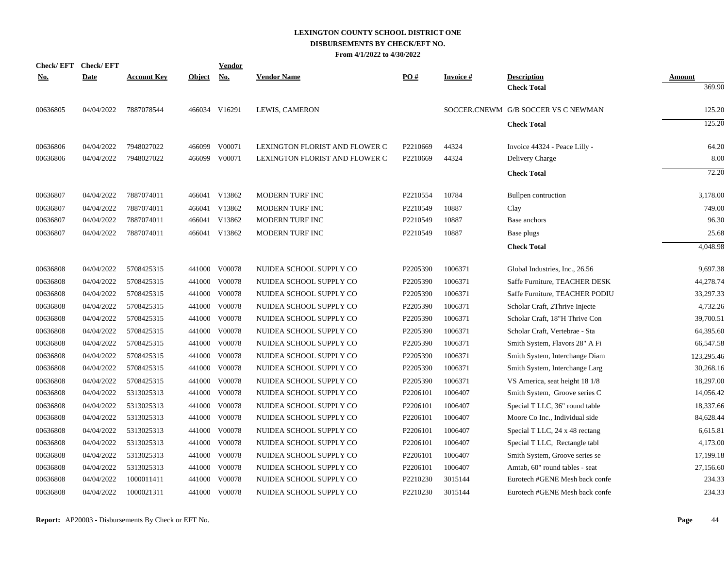| Check/EFT Check/EFT |             |                    |               | <b>Vendor</b> |                                |          |                  |                                     |               |
|---------------------|-------------|--------------------|---------------|---------------|--------------------------------|----------|------------------|-------------------------------------|---------------|
| <u>No.</u>          | <b>Date</b> | <u>Account Key</u> | <b>Object</b> | <u>No.</u>    | <b>Vendor Name</b>             | PO#      | <u>Invoice #</u> | <b>Description</b>                  | <b>Amount</b> |
|                     |             |                    |               |               |                                |          |                  | <b>Check Total</b>                  | 369.90        |
| 00636805            | 04/04/2022  | 7887078544         |               | 466034 V16291 | LEWIS, CAMERON                 |          |                  | SOCCER.CNEWM G/B SOCCER VS C NEWMAN | 125.20        |
|                     |             |                    |               |               |                                |          |                  | <b>Check Total</b>                  | 125.20        |
| 00636806            | 04/04/2022  | 7948027022         |               | 466099 V00071 | LEXINGTON FLORIST AND FLOWER C | P2210669 | 44324            | Invoice 44324 - Peace Lilly -       | 64.20         |
| 00636806            | 04/04/2022  | 7948027022         |               | 466099 V00071 | LEXINGTON FLORIST AND FLOWER C | P2210669 | 44324            | Delivery Charge                     | 8.00          |
|                     |             |                    |               |               |                                |          |                  | <b>Check Total</b>                  | 72.20         |
| 00636807            | 04/04/2022  | 7887074011         |               | 466041 V13862 | MODERN TURF INC                | P2210554 | 10784            | Bullpen contruction                 | 3,178.00      |
| 00636807            | 04/04/2022  | 7887074011         |               | 466041 V13862 | MODERN TURF INC                | P2210549 | 10887            | Clay                                | 749.00        |
| 00636807            | 04/04/2022  | 7887074011         |               | 466041 V13862 | MODERN TURF INC                | P2210549 | 10887            | Base anchors                        | 96.30         |
| 00636807            | 04/04/2022  | 7887074011         |               | 466041 V13862 | MODERN TURF INC                | P2210549 | 10887            | Base plugs                          | 25.68         |
|                     |             |                    |               |               |                                |          |                  | <b>Check Total</b>                  | 4,048.98      |
| 00636808            | 04/04/2022  | 5708425315         |               | 441000 V00078 | NUIDEA SCHOOL SUPPLY CO        | P2205390 | 1006371          | Global Industries, Inc., 26.56      | 9,697.38      |
| 00636808            | 04/04/2022  | 5708425315         |               | 441000 V00078 | NUIDEA SCHOOL SUPPLY CO        | P2205390 | 1006371          | Saffe Furniture, TEACHER DESK       | 44,278.74     |
| 00636808            | 04/04/2022  | 5708425315         |               | 441000 V00078 | NUIDEA SCHOOL SUPPLY CO        | P2205390 | 1006371          | Saffe Furniture, TEACHER PODIU      | 33,297.33     |
| 00636808            | 04/04/2022  | 5708425315         | 441000        | V00078        | NUIDEA SCHOOL SUPPLY CO        | P2205390 | 1006371          | Scholar Craft, 2Thrive Injecte      | 4,732.26      |
| 00636808            | 04/04/2022  | 5708425315         |               | 441000 V00078 | NUIDEA SCHOOL SUPPLY CO        | P2205390 | 1006371          | Scholar Craft, 18"H Thrive Con      | 39,700.51     |
| 00636808            | 04/04/2022  | 5708425315         |               | 441000 V00078 | NUIDEA SCHOOL SUPPLY CO        | P2205390 | 1006371          | Scholar Craft, Vertebrae - Sta      | 64,395.60     |
| 00636808            | 04/04/2022  | 5708425315         |               | 441000 V00078 | NUIDEA SCHOOL SUPPLY CO        | P2205390 | 1006371          | Smith System, Flavors 28" A Fi      | 66,547.58     |
| 00636808            | 04/04/2022  | 5708425315         | 441000        | V00078        | NUIDEA SCHOOL SUPPLY CO        | P2205390 | 1006371          | Smith System, Interchange Diam      | 123,295.46    |
| 00636808            | 04/04/2022  | 5708425315         |               | 441000 V00078 | NUIDEA SCHOOL SUPPLY CO        | P2205390 | 1006371          | Smith System, Interchange Larg      | 30,268.16     |
| 00636808            | 04/04/2022  | 5708425315         |               | 441000 V00078 | NUIDEA SCHOOL SUPPLY CO        | P2205390 | 1006371          | VS America, seat height 18 1/8      | 18,297.00     |
| 00636808            | 04/04/2022  | 5313025313         |               | 441000 V00078 | NUIDEA SCHOOL SUPPLY CO        | P2206101 | 1006407          | Smith System, Groove series C       | 14,056.42     |
| 00636808            | 04/04/2022  | 5313025313         |               | 441000 V00078 | NUIDEA SCHOOL SUPPLY CO        | P2206101 | 1006407          | Special T LLC, 36" round table      | 18,337.66     |
| 00636808            | 04/04/2022  | 5313025313         |               | 441000 V00078 | NUIDEA SCHOOL SUPPLY CO        | P2206101 | 1006407          | Moore Co Inc., Individual side      | 84,628.44     |
| 00636808            | 04/04/2022  | 5313025313         |               | 441000 V00078 | NUIDEA SCHOOL SUPPLY CO        | P2206101 | 1006407          | Special T LLC, 24 x 48 rectang      | 6,615.81      |
| 00636808            | 04/04/2022  | 5313025313         |               | 441000 V00078 | NUIDEA SCHOOL SUPPLY CO        | P2206101 | 1006407          | Special T LLC, Rectangle tabl       | 4,173.00      |
| 00636808            | 04/04/2022  | 5313025313         |               | 441000 V00078 | NUIDEA SCHOOL SUPPLY CO        | P2206101 | 1006407          | Smith System, Groove series se      | 17,199.18     |
| 00636808            | 04/04/2022  | 5313025313         | 441000        | V00078        | NUIDEA SCHOOL SUPPLY CO        | P2206101 | 1006407          | Amtab, 60" round tables - seat      | 27,156.60     |
| 00636808            | 04/04/2022  | 1000011411         |               | 441000 V00078 | NUIDEA SCHOOL SUPPLY CO        | P2210230 | 3015144          | Eurotech #GENE Mesh back confe      | 234.33        |
| 00636808            | 04/04/2022  | 1000021311         |               | 441000 V00078 | NUIDEA SCHOOL SUPPLY CO        | P2210230 | 3015144          | Eurotech #GENE Mesh back confe      | 234.33        |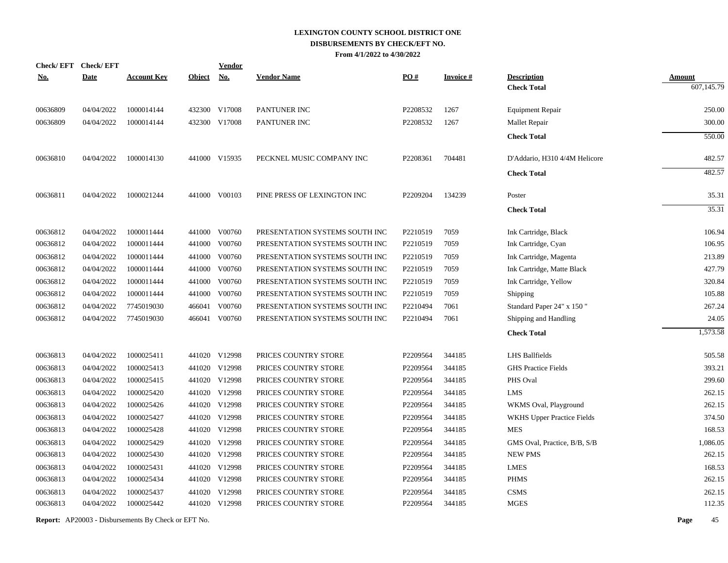| <b>Check/EFT</b> | <b>Check/EFT</b> |                    |               | <b>Vendor</b> |                                |                   |                 |                               |               |
|------------------|------------------|--------------------|---------------|---------------|--------------------------------|-------------------|-----------------|-------------------------------|---------------|
| <u>No.</u>       | <b>Date</b>      | <b>Account Key</b> | <b>Object</b> | <u>No.</u>    | <b>Vendor Name</b>             | $\underline{PO#}$ | <b>Invoice#</b> | <b>Description</b>            | <b>Amount</b> |
|                  |                  |                    |               |               |                                |                   |                 | <b>Check Total</b>            | 607,145.79    |
| 00636809         | 04/04/2022       | 1000014144         |               | 432300 V17008 | PANTUNER INC                   | P2208532          | 1267            | Equipment Repair              | 250.00        |
| 00636809         | 04/04/2022       | 1000014144         |               | 432300 V17008 | PANTUNER INC                   | P2208532          | 1267            | Mallet Repair                 | 300.00        |
|                  |                  |                    |               |               |                                |                   |                 | <b>Check Total</b>            | 550.00        |
| 00636810         | 04/04/2022       | 1000014130         |               | 441000 V15935 | PECKNEL MUSIC COMPANY INC      | P2208361          | 704481          | D'Addario, H310 4/4M Helicore | 482.57        |
|                  |                  |                    |               |               |                                |                   |                 | <b>Check Total</b>            | 482.57        |
| 00636811         | 04/04/2022       | 1000021244         |               | 441000 V00103 | PINE PRESS OF LEXINGTON INC    | P2209204          | 134239          | Poster                        | 35.31         |
|                  |                  |                    |               |               |                                |                   |                 | <b>Check Total</b>            | 35.31         |
| 00636812         | 04/04/2022       | 1000011444         |               | 441000 V00760 | PRESENTATION SYSTEMS SOUTH INC | P2210519          | 7059            | Ink Cartridge, Black          | 106.94        |
| 00636812         | 04/04/2022       | 1000011444         | 441000        | V00760        | PRESENTATION SYSTEMS SOUTH INC | P2210519          | 7059            | Ink Cartridge, Cyan           | 106.95        |
| 00636812         | 04/04/2022       | 1000011444         | 441000        | V00760        | PRESENTATION SYSTEMS SOUTH INC | P2210519          | 7059            | Ink Cartridge, Magenta        | 213.89        |
| 00636812         | 04/04/2022       | 1000011444         | 441000        | V00760        | PRESENTATION SYSTEMS SOUTH INC | P2210519          | 7059            | Ink Cartridge, Matte Black    | 427.79        |
| 00636812         | 04/04/2022       | 1000011444         | 441000        | V00760        | PRESENTATION SYSTEMS SOUTH INC | P2210519          | 7059            | Ink Cartridge, Yellow         | 320.84        |
| 00636812         | 04/04/2022       | 1000011444         | 441000        | V00760        | PRESENTATION SYSTEMS SOUTH INC | P2210519          | 7059            | Shipping                      | 105.88        |
| 00636812         | 04/04/2022       | 7745019030         | 466041        | V00760        | PRESENTATION SYSTEMS SOUTH INC | P2210494          | 7061            | Standard Paper 24" x 150"     | 267.24        |
| 00636812         | 04/04/2022       | 7745019030         | 466041        | V00760        | PRESENTATION SYSTEMS SOUTH INC | P2210494          | 7061            | Shipping and Handling         | 24.05         |
|                  |                  |                    |               |               |                                |                   |                 | <b>Check Total</b>            | 1,573.58      |
| 00636813         | 04/04/2022       | 1000025411         |               | 441020 V12998 | PRICES COUNTRY STORE           | P2209564          | 344185          | <b>LHS Ballfields</b>         | 505.58        |
| 00636813         | 04/04/2022       | 1000025413         |               | 441020 V12998 | PRICES COUNTRY STORE           | P2209564          | 344185          | <b>GHS Practice Fields</b>    | 393.21        |
| 00636813         | 04/04/2022       | 1000025415         |               | 441020 V12998 | PRICES COUNTRY STORE           | P2209564          | 344185          | PHS Oval                      | 299.60        |
| 00636813         | 04/04/2022       | 1000025420         |               | 441020 V12998 | PRICES COUNTRY STORE           | P2209564          | 344185          | <b>LMS</b>                    | 262.15        |
| 00636813         | 04/04/2022       | 1000025426         |               | 441020 V12998 | PRICES COUNTRY STORE           | P2209564          | 344185          | WKMS Oval, Playground         | 262.15        |
| 00636813         | 04/04/2022       | 1000025427         |               | 441020 V12998 | PRICES COUNTRY STORE           | P2209564          | 344185          | WKHS Upper Practice Fields    | 374.50        |
| 00636813         | 04/04/2022       | 1000025428         |               | 441020 V12998 | PRICES COUNTRY STORE           | P2209564          | 344185          | <b>MES</b>                    | 168.53        |
| 00636813         | 04/04/2022       | 1000025429         |               | 441020 V12998 | PRICES COUNTRY STORE           | P2209564          | 344185          | GMS Oval, Practice, B/B, S/B  | 1,086.05      |
| 00636813         | 04/04/2022       | 1000025430         |               | 441020 V12998 | PRICES COUNTRY STORE           | P2209564          | 344185          | <b>NEW PMS</b>                | 262.15        |
| 00636813         | 04/04/2022       | 1000025431         | 441020        | V12998        | PRICES COUNTRY STORE           | P2209564          | 344185          | <b>LMES</b>                   | 168.53        |
| 00636813         | 04/04/2022       | 1000025434         |               | 441020 V12998 | PRICES COUNTRY STORE           | P2209564          | 344185          | <b>PHMS</b>                   | 262.15        |
| 00636813         | 04/04/2022       | 1000025437         | 441020        | V12998        | PRICES COUNTRY STORE           | P2209564          | 344185          | <b>CSMS</b>                   | 262.15        |
| 00636813         | 04/04/2022       | 1000025442         |               | 441020 V12998 | PRICES COUNTRY STORE           | P2209564          | 344185          | <b>MGES</b>                   | 112.35        |
|                  |                  |                    |               |               |                                |                   |                 |                               |               |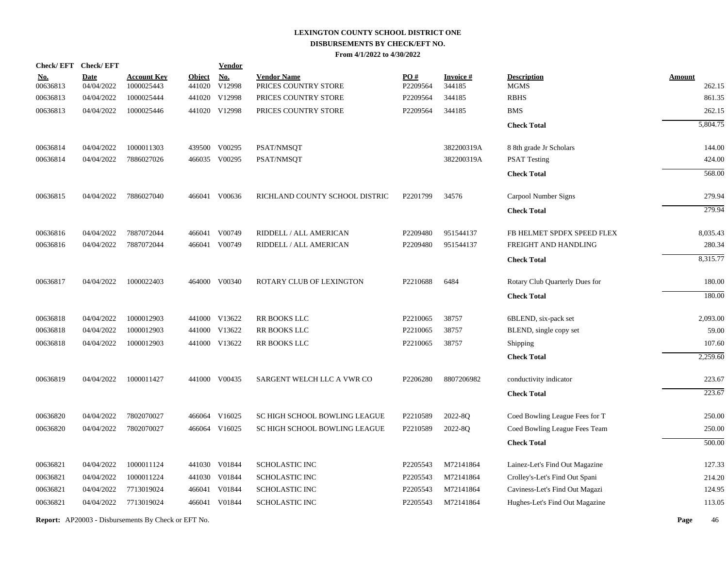| <b>Check/EFT</b>       | <b>Check/EFT</b>          |                                                            |               | <b>Vendor</b>               |                                            |                 |                           |                                   |                         |
|------------------------|---------------------------|------------------------------------------------------------|---------------|-----------------------------|--------------------------------------------|-----------------|---------------------------|-----------------------------------|-------------------------|
| <u>No.</u><br>00636813 | <b>Date</b><br>04/04/2022 | <b>Account Key</b><br>1000025443                           | <b>Object</b> | <b>No.</b><br>441020 V12998 | <b>Vendor Name</b><br>PRICES COUNTRY STORE | PO#<br>P2209564 | <b>Invoice#</b><br>344185 | <b>Description</b><br><b>MGMS</b> | <b>Amount</b><br>262.15 |
| 00636813               | 04/04/2022                | 1000025444                                                 |               | 441020 V12998               | PRICES COUNTRY STORE                       | P2209564        | 344185                    | <b>RBHS</b>                       | 861.35                  |
| 00636813               | 04/04/2022                | 1000025446                                                 |               | 441020 V12998               | PRICES COUNTRY STORE                       | P2209564        | 344185                    | <b>BMS</b>                        | 262.15                  |
|                        |                           |                                                            |               |                             |                                            |                 |                           | <b>Check Total</b>                | 5,804.75                |
|                        |                           |                                                            |               |                             |                                            |                 |                           |                                   |                         |
| 00636814               | 04/04/2022                | 1000011303                                                 |               | 439500 V00295               | PSAT/NMSQT                                 |                 | 382200319A                | 8 8th grade Jr Scholars           | 144.00                  |
| 00636814               | 04/04/2022                | 7886027026                                                 |               | 466035 V00295               | PSAT/NMSQT                                 |                 | 382200319A                | <b>PSAT Testing</b>               | 424.00                  |
|                        |                           |                                                            |               |                             |                                            |                 |                           | <b>Check Total</b>                | 568.00                  |
| 00636815               | 04/04/2022                | 7886027040                                                 |               | 466041 V00636               | RICHLAND COUNTY SCHOOL DISTRIC             | P2201799        | 34576                     | Carpool Number Signs              | 279.94                  |
|                        |                           |                                                            |               |                             |                                            |                 |                           | <b>Check Total</b>                | 279.94                  |
| 00636816               | 04/04/2022                | 7887072044                                                 |               | 466041 V00749               | RIDDELL / ALL AMERICAN                     | P2209480        | 951544137                 | FB HELMET SPDFX SPEED FLEX        | 8,035.43                |
| 00636816               | 04/04/2022                | 7887072044                                                 |               | 466041 V00749               | RIDDELL / ALL AMERICAN                     | P2209480        | 951544137                 | FREIGHT AND HANDLING              | 280.34                  |
|                        |                           |                                                            |               |                             |                                            |                 |                           | <b>Check Total</b>                | 8,315.77                |
| 00636817               | 04/04/2022                | 1000022403                                                 |               | 464000 V00340               | <b>ROTARY CLUB OF LEXINGTON</b>            | P2210688        | 6484                      | Rotary Club Quarterly Dues for    | 180.00                  |
|                        |                           |                                                            |               |                             |                                            |                 |                           | <b>Check Total</b>                | 180.00                  |
| 00636818               | 04/04/2022                | 1000012903                                                 |               | 441000 V13622               | RR BOOKS LLC                               | P2210065        | 38757                     | 6BLEND, six-pack set              | 2,093.00                |
| 00636818               | 04/04/2022                | 1000012903                                                 |               | 441000 V13622               | RR BOOKS LLC                               | P2210065        | 38757                     | BLEND, single copy set            | 59.00                   |
| 00636818               | 04/04/2022                | 1000012903                                                 |               | 441000 V13622               | RR BOOKS LLC                               | P2210065        | 38757                     | Shipping                          | 107.60                  |
|                        |                           |                                                            |               |                             |                                            |                 |                           | <b>Check Total</b>                | 2,259.60                |
| 00636819               | 04/04/2022                | 1000011427                                                 |               | 441000 V00435               | SARGENT WELCH LLC A VWR CO                 | P2206280        | 8807206982                | conductivity indicator            | 223.67                  |
|                        |                           |                                                            |               |                             |                                            |                 |                           | <b>Check Total</b>                | 223.67                  |
| 00636820               | 04/04/2022                | 7802070027                                                 |               | 466064 V16025               | SC HIGH SCHOOL BOWLING LEAGUE              | P2210589        | 2022-8Q                   | Coed Bowling League Fees for T    | 250.00                  |
| 00636820               | 04/04/2022                | 7802070027                                                 |               | 466064 V16025               | SC HIGH SCHOOL BOWLING LEAGUE              | P2210589        | 2022-8Q                   | Coed Bowling League Fees Team     | 250.00                  |
|                        |                           |                                                            |               |                             |                                            |                 |                           | <b>Check Total</b>                | 500.00                  |
| 00636821               | 04/04/2022                | 1000011124                                                 |               | 441030 V01844               | <b>SCHOLASTIC INC</b>                      | P2205543        | M72141864                 | Lainez-Let's Find Out Magazine    | 127.33                  |
| 00636821               | 04/04/2022                | 1000011224                                                 |               | 441030 V01844               | SCHOLASTIC INC                             | P2205543        | M72141864                 | Crolley's-Let's Find Out Spani    | 214.20                  |
| 00636821               | 04/04/2022                | 7713019024                                                 |               | 466041 V01844               | SCHOLASTIC INC                             | P2205543        | M72141864                 | Caviness-Let's Find Out Magazi    | 124.95                  |
| 00636821               | 04/04/2022                | 7713019024                                                 |               | 466041 V01844               | SCHOLASTIC INC                             | P2205543        | M72141864                 | Hughes-Let's Find Out Magazine    | 113.05                  |
|                        |                           | <b>Report:</b> AP20003 - Disbursements By Check or EFT No. |               |                             |                                            |                 |                           |                                   | Page<br>46              |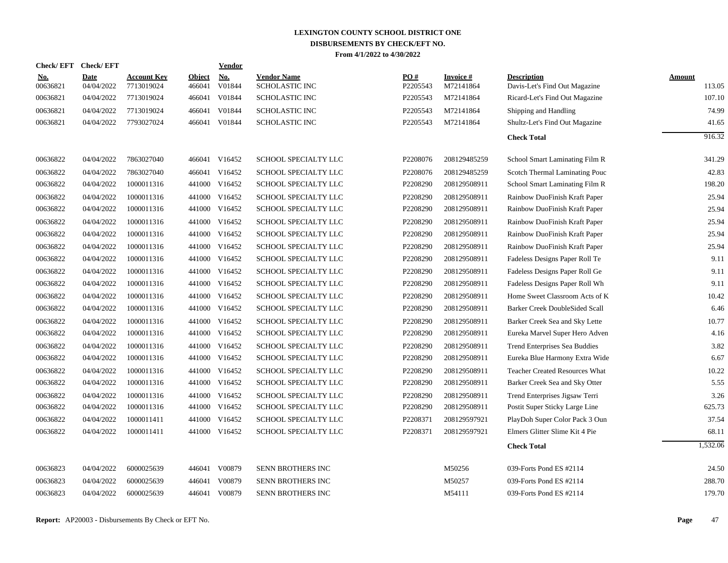| <b>Check/EFT</b> | <b>Check/EFT</b> |                    |               | <b>Vendor</b> |                       |          |                 |                                       |               |
|------------------|------------------|--------------------|---------------|---------------|-----------------------|----------|-----------------|---------------------------------------|---------------|
| <u>No.</u>       | <b>Date</b>      | <b>Account Key</b> | <b>Object</b> | <b>No.</b>    | <b>Vendor Name</b>    | PO#      | <b>Invoice#</b> | <b>Description</b>                    | <b>Amount</b> |
| 00636821         | 04/04/2022       | 7713019024         | 466041        | V01844        | <b>SCHOLASTIC INC</b> | P2205543 | M72141864       | Davis-Let's Find Out Magazine         | 113.05        |
| 00636821         | 04/04/2022       | 7713019024         | 466041        | V01844        | <b>SCHOLASTIC INC</b> | P2205543 | M72141864       | Ricard-Let's Find Out Magazine        | 107.10        |
| 00636821         | 04/04/2022       | 7713019024         | 466041        | V01844        | SCHOLASTIC INC        | P2205543 | M72141864       | Shipping and Handling                 | 74.99         |
| 00636821         | 04/04/2022       | 7793027024         | 466041        | V01844        | <b>SCHOLASTIC INC</b> | P2205543 | M72141864       | Shultz-Let's Find Out Magazine        | 41.65         |
|                  |                  |                    |               |               |                       |          |                 | <b>Check Total</b>                    | 916.32        |
|                  |                  |                    |               |               |                       |          |                 |                                       |               |
| 00636822         | 04/04/2022       | 7863027040         |               | 466041 V16452 | SCHOOL SPECIALTY LLC  | P2208076 | 208129485259    | School Smart Laminating Film R        | 341.29        |
| 00636822         | 04/04/2022       | 7863027040         | 466041        | V16452        | SCHOOL SPECIALTY LLC  | P2208076 | 208129485259    | Scotch Thermal Laminating Pouc        | 42.83         |
| 00636822         | 04/04/2022       | 1000011316         | 441000        | V16452        | SCHOOL SPECIALTY LLC  | P2208290 | 208129508911    | School Smart Laminating Film R        | 198.20        |
| 00636822         | 04/04/2022       | 1000011316         | 441000        | V16452        | SCHOOL SPECIALTY LLC  | P2208290 | 208129508911    | Rainbow DuoFinish Kraft Paper         | 25.94         |
| 00636822         | 04/04/2022       | 1000011316         | 441000        | V16452        | SCHOOL SPECIALTY LLC  | P2208290 | 208129508911    | Rainbow DuoFinish Kraft Paper         | 25.94         |
| 00636822         | 04/04/2022       | 1000011316         |               | 441000 V16452 | SCHOOL SPECIALTY LLC  | P2208290 | 208129508911    | Rainbow DuoFinish Kraft Paper         | 25.94         |
| 00636822         | 04/04/2022       | 1000011316         |               | 441000 V16452 | SCHOOL SPECIALTY LLC  | P2208290 | 208129508911    | Rainbow DuoFinish Kraft Paper         | 25.94         |
| 00636822         | 04/04/2022       | 1000011316         |               | 441000 V16452 | SCHOOL SPECIALTY LLC  | P2208290 | 208129508911    | Rainbow DuoFinish Kraft Paper         | 25.94         |
| 00636822         | 04/04/2022       | 1000011316         |               | 441000 V16452 | SCHOOL SPECIALTY LLC  | P2208290 | 208129508911    | Fadeless Designs Paper Roll Te        | 9.11          |
| 00636822         | 04/04/2022       | 1000011316         |               | 441000 V16452 | SCHOOL SPECIALTY LLC  | P2208290 | 208129508911    | Fadeless Designs Paper Roll Ge        | 9.11          |
| 00636822         | 04/04/2022       | 1000011316         |               | 441000 V16452 | SCHOOL SPECIALTY LLC  | P2208290 | 208129508911    | Fadeless Designs Paper Roll Wh        | 9.11          |
| 00636822         | 04/04/2022       | 1000011316         |               | 441000 V16452 | SCHOOL SPECIALTY LLC  | P2208290 | 208129508911    | Home Sweet Classroom Acts of K        | 10.42         |
| 00636822         | 04/04/2022       | 1000011316         |               | 441000 V16452 | SCHOOL SPECIALTY LLC  | P2208290 | 208129508911    | Barker Creek DoubleSided Scall        | 6.46          |
| 00636822         | 04/04/2022       | 1000011316         | 441000        | V16452        | SCHOOL SPECIALTY LLC  | P2208290 | 208129508911    | Barker Creek Sea and Sky Lette        | 10.77         |
| 00636822         | 04/04/2022       | 1000011316         | 441000        | V16452        | SCHOOL SPECIALTY LLC  | P2208290 | 208129508911    | Eureka Marvel Super Hero Adven        | 4.16          |
| 00636822         | 04/04/2022       | 1000011316         | 441000        | V16452        | SCHOOL SPECIALTY LLC  | P2208290 | 208129508911    | <b>Trend Enterprises Sea Buddies</b>  | 3.82          |
| 00636822         | 04/04/2022       | 1000011316         | 441000        | V16452        | SCHOOL SPECIALTY LLC  | P2208290 | 208129508911    | Eureka Blue Harmony Extra Wide        | 6.67          |
| 00636822         | 04/04/2022       | 1000011316         |               | 441000 V16452 | SCHOOL SPECIALTY LLC  | P2208290 | 208129508911    | <b>Teacher Created Resources What</b> | 10.22         |
| 00636822         | 04/04/2022       | 1000011316         |               | 441000 V16452 | SCHOOL SPECIALTY LLC  | P2208290 | 208129508911    | Barker Creek Sea and Sky Otter        | 5.55          |
| 00636822         | 04/04/2022       | 1000011316         |               | 441000 V16452 | SCHOOL SPECIALTY LLC  | P2208290 | 208129508911    | Trend Enterprises Jigsaw Terri        | 3.26          |
| 00636822         | 04/04/2022       | 1000011316         |               | 441000 V16452 | SCHOOL SPECIALTY LLC  | P2208290 | 208129508911    | Postit Super Sticky Large Line        | 625.73        |
| 00636822         | 04/04/2022       | 1000011411         | 441000        | V16452        | SCHOOL SPECIALTY LLC  | P2208371 | 208129597921    | PlayDoh Super Color Pack 3 Oun        | 37.54         |
| 00636822         | 04/04/2022       | 1000011411         |               | 441000 V16452 | SCHOOL SPECIALTY LLC  | P2208371 | 208129597921    | Elmers Glitter Slime Kit 4 Pie        | 68.11         |
|                  |                  |                    |               |               |                       |          |                 | <b>Check Total</b>                    | 1,532.06      |
|                  |                  |                    |               |               |                       |          |                 |                                       |               |
| 00636823         | 04/04/2022       | 6000025639         |               | 446041 V00879 | SENN BROTHERS INC     |          | M50256          | 039-Forts Pond ES #2114               | 24.50         |
| 00636823         | 04/04/2022       | 6000025639         | 446041        | V00879        | SENN BROTHERS INC     |          | M50257          | 039-Forts Pond ES #2114               | 288.70        |
| 00636823         | 04/04/2022       | 6000025639         |               | 446041 V00879 | SENN BROTHERS INC     |          | M54111          | 039-Forts Pond ES #2114               | 179.70        |
|                  |                  |                    |               |               |                       |          |                 |                                       |               |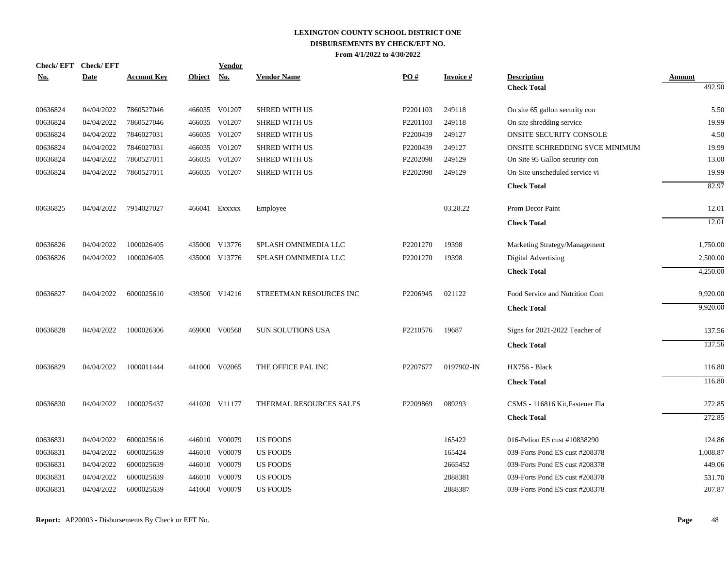| <b>Check/EFT</b> | <b>Check/EFT</b> |                    |               | Vendor        |                          |          |                 |                                 |               |
|------------------|------------------|--------------------|---------------|---------------|--------------------------|----------|-----------------|---------------------------------|---------------|
| <u>No.</u>       | <b>Date</b>      | <b>Account Key</b> | <b>Object</b> | No.           | <b>Vendor Name</b>       | PO#      | <b>Invoice#</b> | <b>Description</b>              | <b>Amount</b> |
|                  |                  |                    |               |               |                          |          |                 | <b>Check Total</b>              | 492.90        |
| 00636824         | 04/04/2022       | 7860527046         |               | 466035 V01207 | <b>SHRED WITH US</b>     | P2201103 | 249118          | On site 65 gallon security con  | 5.50          |
| 00636824         | 04/04/2022       | 7860527046         |               | 466035 V01207 | <b>SHRED WITH US</b>     | P2201103 | 249118          | On site shredding service       | 19.99         |
| 00636824         | 04/04/2022       | 7846027031         |               | 466035 V01207 | <b>SHRED WITH US</b>     | P2200439 | 249127          | ONSITE SECURITY CONSOLE         | 4.50          |
| 00636824         | 04/04/2022       | 7846027031         |               | 466035 V01207 | <b>SHRED WITH US</b>     | P2200439 | 249127          | ONSITE SCHREDDING SVCE MINIMUM  | 19.99         |
| 00636824         | 04/04/2022       | 7860527011         | 466035        | V01207        | <b>SHRED WITH US</b>     | P2202098 | 249129          | On Site 95 Gallon security con  | 13.00         |
| 00636824         | 04/04/2022       | 7860527011         |               | 466035 V01207 | <b>SHRED WITH US</b>     | P2202098 | 249129          | On-Site unscheduled service vi  | 19.99         |
|                  |                  |                    |               |               |                          |          |                 | <b>Check Total</b>              | 82.97         |
| 00636825         | 04/04/2022       | 7914027027         |               | 466041 Exxxxx | Employee                 |          | 03.28.22        | Prom Decor Paint                | 12.01         |
|                  |                  |                    |               |               |                          |          |                 | <b>Check Total</b>              | 12.01         |
| 00636826         | 04/04/2022       | 1000026405         |               | 435000 V13776 | SPLASH OMNIMEDIA LLC     | P2201270 | 19398           | Marketing Strategy/Management   | 1,750.00      |
| 00636826         | 04/04/2022       | 1000026405         |               | 435000 V13776 | SPLASH OMNIMEDIA LLC     | P2201270 | 19398           | Digital Advertising             | 2,500.00      |
|                  |                  |                    |               |               |                          |          |                 | <b>Check Total</b>              | 4,250.00      |
| 00636827         | 04/04/2022       | 6000025610         |               | 439500 V14216 | STREETMAN RESOURCES INC  | P2206945 | 021122          | Food Service and Nutrition Com  | 9,920.00      |
|                  |                  |                    |               |               |                          |          |                 | <b>Check Total</b>              | 9,920.00      |
| 00636828         | 04/04/2022       | 1000026306         |               | 469000 V00568 | <b>SUN SOLUTIONS USA</b> | P2210576 | 19687           | Signs for 2021-2022 Teacher of  | 137.56        |
|                  |                  |                    |               |               |                          |          |                 | <b>Check Total</b>              | 137.56        |
| 00636829         | 04/04/2022       | 1000011444         |               | 441000 V02065 | THE OFFICE PAL INC       | P2207677 | 0197902-IN      | HX756 - Black                   | 116.80        |
|                  |                  |                    |               |               |                          |          |                 | <b>Check Total</b>              | 116.80        |
| 00636830         | 04/04/2022       | 1000025437         |               | 441020 V11177 | THERMAL RESOURCES SALES  | P2209869 | 089293          | CSMS - 116816 Kit, Fastener Fla | 272.85        |
|                  |                  |                    |               |               |                          |          |                 | <b>Check Total</b>              | 272.85        |
| 00636831         | 04/04/2022       | 6000025616         |               | 446010 V00079 | <b>US FOODS</b>          |          | 165422          | 016-Pelion ES cust #10838290    | 124.86        |
| 00636831         | 04/04/2022       | 6000025639         |               | 446010 V00079 | <b>US FOODS</b>          |          | 165424          | 039-Forts Pond ES cust #208378  | 1,008.87      |
| 00636831         | 04/04/2022       | 6000025639         |               | 446010 V00079 | <b>US FOODS</b>          |          | 2665452         | 039-Forts Pond ES cust #208378  | 449.06        |
| 00636831         | 04/04/2022       | 6000025639         | 446010        | V00079        | <b>US FOODS</b>          |          | 2888381         | 039-Forts Pond ES cust #208378  | 531.70        |
| 00636831         | 04/04/2022       | 6000025639         |               | 441060 V00079 | <b>US FOODS</b>          |          | 2888387         | 039-Forts Pond ES cust #208378  | 207.87        |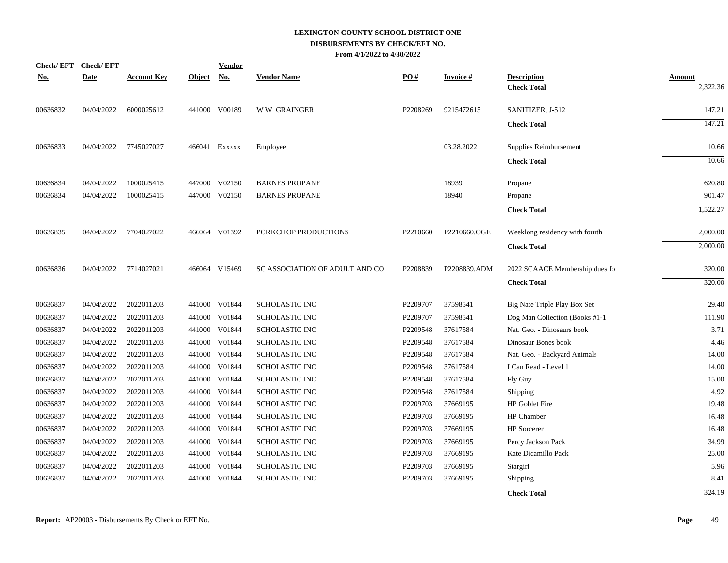| <b>Check/EFT</b> | <b>Check/EFT</b> |                    |               | Vendor        |                                |          |                 |                                          |                           |
|------------------|------------------|--------------------|---------------|---------------|--------------------------------|----------|-----------------|------------------------------------------|---------------------------|
| <u>No.</u>       | <b>Date</b>      | <b>Account Key</b> | <b>Object</b> | No.           | <b>Vendor Name</b>             | PO#      | <b>Invoice#</b> | <b>Description</b><br><b>Check Total</b> | <b>Amount</b><br>2,322.36 |
| 00636832         | 04/04/2022       | 6000025612         |               | 441000 V00189 | <b>WW GRAINGER</b>             | P2208269 | 9215472615      | SANITIZER, J-512                         | 147.21                    |
|                  |                  |                    |               |               |                                |          |                 | <b>Check Total</b>                       | 147.21                    |
| 00636833         | 04/04/2022       | 7745027027         |               | 466041 Exxxxx | Employee                       |          | 03.28.2022      | Supplies Reimbursement                   | 10.66                     |
|                  |                  |                    |               |               |                                |          |                 | <b>Check Total</b>                       | 10.66                     |
| 00636834         | 04/04/2022       | 1000025415         | 447000        | V02150        | <b>BARNES PROPANE</b>          |          | 18939           | Propane                                  | 620.80                    |
| 00636834         | 04/04/2022       | 1000025415         |               | 447000 V02150 | <b>BARNES PROPANE</b>          |          | 18940           | Propane                                  | 901.47                    |
|                  |                  |                    |               |               |                                |          |                 | <b>Check Total</b>                       | 1,522.27                  |
| 00636835         | 04/04/2022       | 7704027022         |               | 466064 V01392 | PORKCHOP PRODUCTIONS           | P2210660 | P2210660.OGE    | Weeklong residency with fourth           | 2,000.00                  |
|                  |                  |                    |               |               |                                |          |                 | <b>Check Total</b>                       | 2,000.00                  |
| 00636836         | 04/04/2022       | 7714027021         |               | 466064 V15469 | SC ASSOCIATION OF ADULT AND CO | P2208839 | P2208839.ADM    | 2022 SCAACE Membership dues fo           | 320.00                    |
|                  |                  |                    |               |               |                                |          |                 | <b>Check Total</b>                       | 320.00                    |
| 00636837         | 04/04/2022       | 2022011203         |               | 441000 V01844 | <b>SCHOLASTIC INC</b>          | P2209707 | 37598541        | Big Nate Triple Play Box Set             | 29.40                     |
| 00636837         | 04/04/2022       | 2022011203         | 441000        | V01844        | SCHOLASTIC INC                 | P2209707 | 37598541        | Dog Man Collection (Books #1-1           | 111.90                    |
| 00636837         | 04/04/2022       | 2022011203         | 441000        | V01844        | <b>SCHOLASTIC INC</b>          | P2209548 | 37617584        | Nat. Geo. - Dinosaurs book               | 3.71                      |
| 00636837         | 04/04/2022       | 2022011203         | 441000        | V01844        | SCHOLASTIC INC                 | P2209548 | 37617584        | Dinosaur Bones book                      | 4.46                      |
| 00636837         | 04/04/2022       | 2022011203         | 441000        | V01844        | SCHOLASTIC INC                 | P2209548 | 37617584        | Nat. Geo. - Backyard Animals             | 14.00                     |
| 00636837         | 04/04/2022       | 2022011203         | 441000        | V01844        | <b>SCHOLASTIC INC</b>          | P2209548 | 37617584        | I Can Read - Level 1                     | 14.00                     |
| 00636837         | 04/04/2022       | 2022011203         | 441000        | V01844        | <b>SCHOLASTIC INC</b>          | P2209548 | 37617584        | Fly Guy                                  | 15.00                     |
| 00636837         | 04/04/2022       | 2022011203         | 441000        | V01844        | <b>SCHOLASTIC INC</b>          | P2209548 | 37617584        | Shipping                                 | 4.92                      |
| 00636837         | 04/04/2022       | 2022011203         | 441000        | V01844        | <b>SCHOLASTIC INC</b>          | P2209703 | 37669195        | <b>HP</b> Goblet Fire                    | 19.48                     |
| 00636837         | 04/04/2022       | 2022011203         | 441000        | V01844        | <b>SCHOLASTIC INC</b>          | P2209703 | 37669195        | HP Chamber                               | 16.48                     |
| 00636837         | 04/04/2022       | 2022011203         | 441000        | V01844        | SCHOLASTIC INC                 | P2209703 | 37669195        | <b>HP</b> Sorcerer                       | 16.48                     |
| 00636837         | 04/04/2022       | 2022011203         | 441000        | V01844        | SCHOLASTIC INC                 | P2209703 | 37669195        | Percy Jackson Pack                       | 34.99                     |
| 00636837         | 04/04/2022       | 2022011203         | 441000        | V01844        | SCHOLASTIC INC                 | P2209703 | 37669195        | Kate Dicamillo Pack                      | 25.00                     |
| 00636837         | 04/04/2022       | 2022011203         | 441000        | V01844        | <b>SCHOLASTIC INC</b>          | P2209703 | 37669195        | Stargirl                                 | 5.96                      |
| 00636837         | 04/04/2022       | 2022011203         | 441000        | V01844        | <b>SCHOLASTIC INC</b>          | P2209703 | 37669195        | Shipping                                 | 8.41                      |
|                  |                  |                    |               |               |                                |          |                 | <b>Check Total</b>                       | 324.19                    |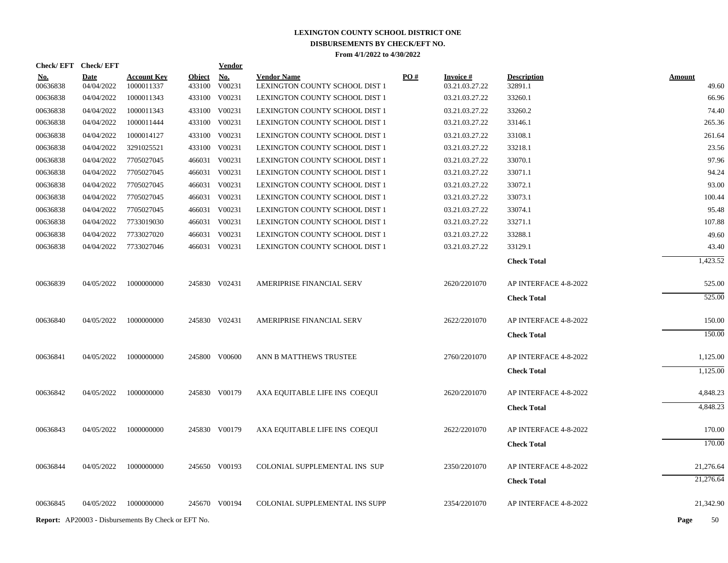| Check/EFT Check/EFT  |                          |                                                            |               | <u>Vendor</u>                  |                                      |     |                                  |                       |                |
|----------------------|--------------------------|------------------------------------------------------------|---------------|--------------------------------|--------------------------------------|-----|----------------------------------|-----------------------|----------------|
| <u>No.</u>           | <b>Date</b>              | <b>Account Key</b>                                         | <b>Object</b> | No.                            | <b>Vendor Name</b>                   | PO# | <b>Invoice#</b>                  | <b>Description</b>    | <b>Amount</b>  |
| 00636838<br>00636838 | 04/04/2022<br>04/04/2022 | 1000011337<br>1000011343                                   |               | 433100 V00231<br>433100 V00231 | LEXINGTON COUNTY SCHOOL DIST 1       |     | 03.21.03.27.22<br>03.21.03.27.22 | 32891.1<br>33260.1    | 49.60<br>66.96 |
|                      |                          |                                                            |               |                                | LEXINGTON COUNTY SCHOOL DIST 1       |     |                                  |                       |                |
| 00636838             | 04/04/2022               | 1000011343                                                 |               | 433100 V00231                  | LEXINGTON COUNTY SCHOOL DIST 1       |     | 03.21.03.27.22                   | 33260.2               | 74.40          |
| 00636838             | 04/04/2022               | 1000011444                                                 |               | 433100 V00231                  | LEXINGTON COUNTY SCHOOL DIST 1       |     | 03.21.03.27.22                   | 33146.1               | 265.36         |
| 00636838             | 04/04/2022               | 1000014127                                                 |               | 433100 V00231                  | LEXINGTON COUNTY SCHOOL DIST 1       |     | 03.21.03.27.22                   | 33108.1               | 261.64         |
| 00636838             | 04/04/2022               | 3291025521                                                 |               | 433100 V00231                  | LEXINGTON COUNTY SCHOOL DIST 1       |     | 03.21.03.27.22                   | 33218.1               | 23.56          |
| 00636838             | 04/04/2022               | 7705027045                                                 |               | 466031 V00231                  | LEXINGTON COUNTY SCHOOL DIST 1       |     | 03.21.03.27.22                   | 33070.1               | 97.96          |
| 00636838             | 04/04/2022               | 7705027045                                                 |               | 466031 V00231                  | LEXINGTON COUNTY SCHOOL DIST 1       |     | 03.21.03.27.22                   | 33071.1               | 94.24          |
| 00636838             | 04/04/2022               | 7705027045                                                 |               | 466031 V00231                  | LEXINGTON COUNTY SCHOOL DIST 1       |     | 03.21.03.27.22                   | 33072.1               | 93.00          |
| 00636838             | 04/04/2022               | 7705027045                                                 |               | 466031 V00231                  | LEXINGTON COUNTY SCHOOL DIST 1       |     | 03.21.03.27.22                   | 33073.1               | 100.44         |
| 00636838             | 04/04/2022               | 7705027045                                                 |               | 466031 V00231                  | LEXINGTON COUNTY SCHOOL DIST 1       |     | 03.21.03.27.22                   | 33074.1               | 95.48          |
| 00636838             | 04/04/2022               | 7733019030                                                 |               | 466031 V00231                  | LEXINGTON COUNTY SCHOOL DIST 1       |     | 03.21.03.27.22                   | 33271.1               | 107.88         |
| 00636838             | 04/04/2022               | 7733027020                                                 |               | 466031 V00231                  | LEXINGTON COUNTY SCHOOL DIST 1       |     | 03.21.03.27.22                   | 33288.1               | 49.60          |
| 00636838             | 04/04/2022               | 7733027046                                                 |               | 466031 V00231                  | LEXINGTON COUNTY SCHOOL DIST 1       |     | 03.21.03.27.22                   | 33129.1               | 43.40          |
|                      |                          |                                                            |               |                                |                                      |     |                                  | <b>Check Total</b>    | 1,423.52       |
| 00636839             | 04/05/2022               | 1000000000                                                 |               | 245830 V02431                  | AMERIPRISE FINANCIAL SERV            |     | 2620/2201070                     | AP INTERFACE 4-8-2022 | 525.00         |
|                      |                          |                                                            |               |                                |                                      |     |                                  | <b>Check Total</b>    | 525.00         |
| 00636840             | 04/05/2022               | 1000000000                                                 |               | 245830 V02431                  | AMERIPRISE FINANCIAL SERV            |     | 2622/2201070                     | AP INTERFACE 4-8-2022 | 150.00         |
|                      |                          |                                                            |               |                                |                                      |     |                                  | <b>Check Total</b>    | 150.00         |
| 00636841             | 04/05/2022               | 1000000000                                                 |               | 245800 V00600                  | ANN B MATTHEWS TRUSTEE               |     | 2760/2201070                     | AP INTERFACE 4-8-2022 | 1,125.00       |
|                      |                          |                                                            |               |                                |                                      |     |                                  | <b>Check Total</b>    | 1,125.00       |
| 00636842             | 04/05/2022               | 1000000000                                                 |               | 245830 V00179                  | AXA EQUITABLE LIFE INS COEQUI        |     | 2620/2201070                     | AP INTERFACE 4-8-2022 | 4,848.23       |
|                      |                          |                                                            |               |                                |                                      |     |                                  | <b>Check Total</b>    | 4,848.23       |
| 00636843             | 04/05/2022               | 1000000000                                                 |               | 245830 V00179                  | AXA EQUITABLE LIFE INS COEQUI        |     | 2622/2201070                     | AP INTERFACE 4-8-2022 | 170.00         |
|                      |                          |                                                            |               |                                |                                      |     |                                  | <b>Check Total</b>    | 170.00         |
| 00636844             | 04/05/2022               | 1000000000                                                 |               | 245650 V00193                  | <b>COLONIAL SUPPLEMENTAL INS SUP</b> |     | 2350/2201070                     | AP INTERFACE 4-8-2022 | 21,276.64      |
|                      |                          |                                                            |               |                                |                                      |     |                                  | <b>Check Total</b>    | 21,276.64      |
|                      |                          |                                                            |               |                                |                                      |     |                                  |                       |                |
| 00636845             | 04/05/2022               | 1000000000                                                 |               | 245670 V00194                  | COLONIAL SUPPLEMENTAL INS SUPP       |     | 2354/2201070                     | AP INTERFACE 4-8-2022 | 21,342.90      |
|                      |                          | <b>Report:</b> AP20003 - Disbursements By Check or EFT No. |               |                                |                                      |     |                                  |                       | Page<br>50     |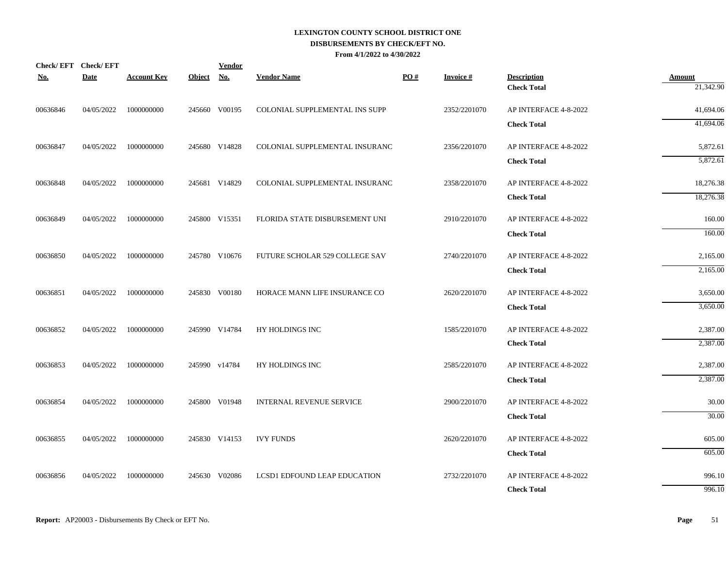| Check/EFT Check/EFT |             |                    |               | <b>Vendor</b> |                                     |     |                 |                                          |                            |
|---------------------|-------------|--------------------|---------------|---------------|-------------------------------------|-----|-----------------|------------------------------------------|----------------------------|
| <u>No.</u>          | <b>Date</b> | <b>Account Key</b> | <b>Object</b> | <b>No.</b>    | <b>Vendor Name</b>                  | PO# | <b>Invoice#</b> | <b>Description</b><br><b>Check Total</b> | <b>Amount</b><br>21,342.90 |
| 00636846            | 04/05/2022  | 1000000000         |               | 245660 V00195 | COLONIAL SUPPLEMENTAL INS SUPP      |     | 2352/2201070    | AP INTERFACE 4-8-2022                    | 41,694.06                  |
|                     |             |                    |               |               |                                     |     |                 | <b>Check Total</b>                       | 41,694.06                  |
| 00636847            | 04/05/2022  | 1000000000         |               | 245680 V14828 | COLONIAL SUPPLEMENTAL INSURANC      |     | 2356/2201070    | AP INTERFACE 4-8-2022                    | 5,872.61                   |
|                     |             |                    |               |               |                                     |     |                 | <b>Check Total</b>                       | 5,872.61                   |
| 00636848            | 04/05/2022  | 1000000000         |               | 245681 V14829 | COLONIAL SUPPLEMENTAL INSURANC      |     | 2358/2201070    | AP INTERFACE 4-8-2022                    | 18,276.38                  |
|                     |             |                    |               |               |                                     |     |                 | <b>Check Total</b>                       | 18,276.38                  |
| 00636849            | 04/05/2022  | 1000000000         |               | 245800 V15351 | FLORIDA STATE DISBURSEMENT UNI      |     | 2910/2201070    | AP INTERFACE 4-8-2022                    | 160.00                     |
|                     |             |                    |               |               |                                     |     |                 | <b>Check Total</b>                       | 160.00                     |
| 00636850            | 04/05/2022  | 1000000000         |               | 245780 V10676 | FUTURE SCHOLAR 529 COLLEGE SAV      |     | 2740/2201070    | AP INTERFACE 4-8-2022                    | 2,165.00                   |
|                     |             |                    |               |               |                                     |     |                 | <b>Check Total</b>                       | 2,165.00                   |
| 00636851            | 04/05/2022  | 1000000000         |               | 245830 V00180 | HORACE MANN LIFE INSURANCE CO       |     | 2620/2201070    | AP INTERFACE 4-8-2022                    | 3,650.00                   |
|                     |             |                    |               |               |                                     |     |                 | <b>Check Total</b>                       | 3,650.00                   |
| 00636852            | 04/05/2022  | 1000000000         |               | 245990 V14784 | HY HOLDINGS INC                     |     | 1585/2201070    | AP INTERFACE 4-8-2022                    | 2,387.00                   |
|                     |             |                    |               |               |                                     |     |                 | <b>Check Total</b>                       | 2,387.00                   |
| 00636853            | 04/05/2022  | 1000000000         |               | 245990 v14784 | HY HOLDINGS INC                     |     | 2585/2201070    | AP INTERFACE 4-8-2022                    | 2,387.00                   |
|                     |             |                    |               |               |                                     |     |                 | <b>Check Total</b>                       | 2,387.00                   |
| 00636854            | 04/05/2022  | 1000000000         |               | 245800 V01948 | INTERNAL REVENUE SERVICE            |     | 2900/2201070    | AP INTERFACE 4-8-2022                    | 30.00                      |
|                     |             |                    |               |               |                                     |     |                 | <b>Check Total</b>                       | 30.00                      |
| 00636855            | 04/05/2022  | 1000000000         |               | 245830 V14153 | <b>IVY FUNDS</b>                    |     | 2620/2201070    | AP INTERFACE 4-8-2022                    | 605.00                     |
|                     |             |                    |               |               |                                     |     |                 | <b>Check Total</b>                       | 605.00                     |
| 00636856            | 04/05/2022  | 1000000000         |               | 245630 V02086 | <b>LCSD1 EDFOUND LEAP EDUCATION</b> |     | 2732/2201070    | AP INTERFACE 4-8-2022                    | 996.10                     |
|                     |             |                    |               |               |                                     |     |                 | <b>Check Total</b>                       | 996.10                     |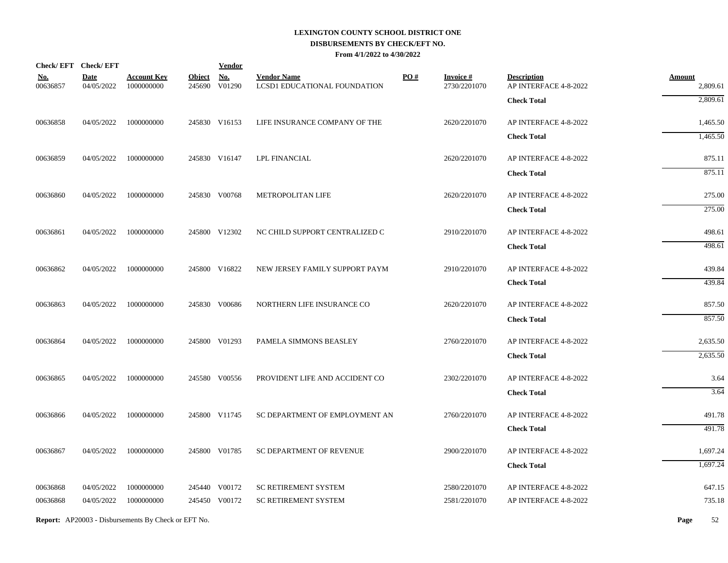| Check/EFT Check/EFT    |                           |                                  |                         | <b>Vendor</b>        |                                                    |     |                                 |                                             |                    |
|------------------------|---------------------------|----------------------------------|-------------------------|----------------------|----------------------------------------------------|-----|---------------------------------|---------------------------------------------|--------------------|
| <u>No.</u><br>00636857 | <b>Date</b><br>04/05/2022 | <b>Account Key</b><br>1000000000 | <b>Object</b><br>245690 | <b>No.</b><br>V01290 | <b>Vendor Name</b><br>LCSD1 EDUCATIONAL FOUNDATION | PO# | <b>Invoice#</b><br>2730/2201070 | <b>Description</b><br>AP INTERFACE 4-8-2022 | Amount<br>2,809.61 |
|                        |                           |                                  |                         |                      |                                                    |     |                                 | <b>Check Total</b>                          | 2,809.61           |
| 00636858               | 04/05/2022                | 1000000000                       |                         | 245830 V16153        | LIFE INSURANCE COMPANY OF THE                      |     | 2620/2201070                    | AP INTERFACE 4-8-2022                       | 1,465.50           |
|                        |                           |                                  |                         |                      |                                                    |     |                                 | <b>Check Total</b>                          | 1,465.50           |
| 00636859               | 04/05/2022                | 1000000000                       |                         | 245830 V16147        | <b>LPL FINANCIAL</b>                               |     | 2620/2201070                    | AP INTERFACE 4-8-2022                       | 875.11             |
|                        |                           |                                  |                         |                      |                                                    |     |                                 | <b>Check Total</b>                          | 875.11             |
| 00636860               | 04/05/2022                | 1000000000                       |                         | 245830 V00768        | METROPOLITAN LIFE                                  |     | 2620/2201070                    | AP INTERFACE 4-8-2022                       | 275.00             |
|                        |                           |                                  |                         |                      |                                                    |     |                                 | <b>Check Total</b>                          | 275.00             |
| 00636861               | 04/05/2022                | 1000000000                       |                         | 245800 V12302        | NC CHILD SUPPORT CENTRALIZED C                     |     | 2910/2201070                    | AP INTERFACE 4-8-2022                       | 498.61             |
|                        |                           |                                  |                         |                      |                                                    |     |                                 | <b>Check Total</b>                          | 498.61             |
| 00636862               | 04/05/2022                | 1000000000                       |                         | 245800 V16822        | NEW JERSEY FAMILY SUPPORT PAYM                     |     | 2910/2201070                    | AP INTERFACE 4-8-2022                       | 439.84             |
|                        |                           |                                  |                         |                      |                                                    |     |                                 | <b>Check Total</b>                          | 439.84             |
| 00636863               | 04/05/2022                | 1000000000                       |                         | 245830 V00686        | NORTHERN LIFE INSURANCE CO                         |     | 2620/2201070                    | AP INTERFACE 4-8-2022                       | 857.50             |
|                        |                           |                                  |                         |                      |                                                    |     |                                 | <b>Check Total</b>                          | 857.50             |
| 00636864               | 04/05/2022                | 1000000000                       |                         | 245800 V01293        | PAMELA SIMMONS BEASLEY                             |     | 2760/2201070                    | AP INTERFACE 4-8-2022                       | 2,635.50           |
|                        |                           |                                  |                         |                      |                                                    |     |                                 | <b>Check Total</b>                          | 2,635.50           |
| 00636865               | 04/05/2022                | 1000000000                       |                         | 245580 V00556        | PROVIDENT LIFE AND ACCIDENT CO                     |     | 2302/2201070                    | AP INTERFACE 4-8-2022                       | 3.64               |
|                        |                           |                                  |                         |                      |                                                    |     |                                 | <b>Check Total</b>                          | 3.64               |
| 00636866               | 04/05/2022                | 1000000000                       |                         | 245800 V11745        | SC DEPARTMENT OF EMPLOYMENT AN                     |     | 2760/2201070                    | AP INTERFACE 4-8-2022                       | 491.78             |
|                        |                           |                                  |                         |                      |                                                    |     |                                 | <b>Check Total</b>                          | 491.78             |
| 00636867               | 04/05/2022                | 1000000000                       |                         | 245800 V01785        | SC DEPARTMENT OF REVENUE                           |     | 2900/2201070                    | AP INTERFACE 4-8-2022                       | 1,697.24           |
|                        |                           |                                  |                         |                      |                                                    |     |                                 | <b>Check Total</b>                          | 1,697.24           |
| 00636868               | 04/05/2022                | 1000000000                       |                         | 245440 V00172        | SC RETIREMENT SYSTEM                               |     | 2580/2201070                    | AP INTERFACE 4-8-2022                       | 647.15             |
| 00636868               | 04/05/2022                | 1000000000                       |                         | 245450 V00172        | <b>SC RETIREMENT SYSTEM</b>                        |     | 2581/2201070                    | AP INTERFACE 4-8-2022                       | 735.18             |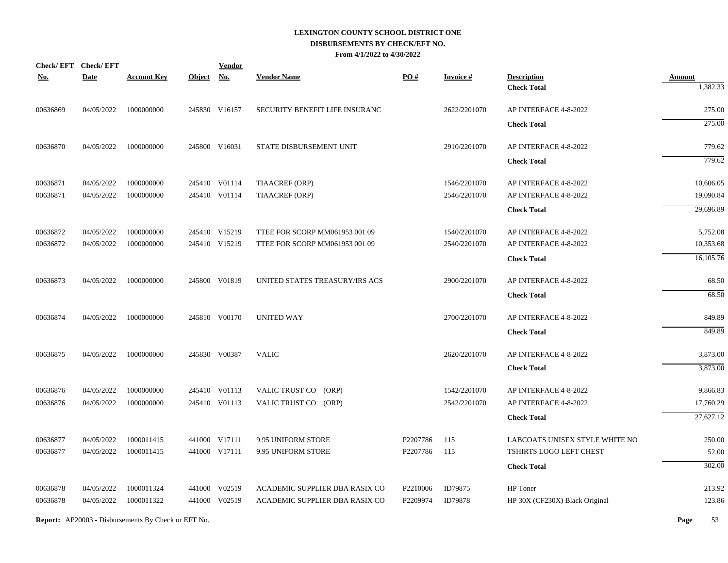|            | Check/EFT Check/EFT |                    |               | <b>Vendor</b> |                                |                   |                 |                                |               |
|------------|---------------------|--------------------|---------------|---------------|--------------------------------|-------------------|-----------------|--------------------------------|---------------|
| <u>No.</u> | <b>Date</b>         | <b>Account Key</b> | <b>Object</b> | <b>No.</b>    | <b>Vendor Name</b>             | $\underline{PO#}$ | <b>Invoice#</b> | <b>Description</b>             | <b>Amount</b> |
|            |                     |                    |               |               |                                |                   |                 | <b>Check Total</b>             | 1,382.33      |
| 00636869   | 04/05/2022          | 1000000000         |               | 245830 V16157 | SECURITY BENEFIT LIFE INSURANC |                   | 2622/2201070    | AP INTERFACE 4-8-2022          | 275.00        |
|            |                     |                    |               |               |                                |                   |                 | <b>Check Total</b>             | 275.00        |
| 00636870   | 04/05/2022          | 1000000000         |               | 245800 V16031 | STATE DISBURSEMENT UNIT        |                   | 2910/2201070    | AP INTERFACE 4-8-2022          | 779.62        |
|            |                     |                    |               |               |                                |                   |                 | <b>Check Total</b>             | 779.62        |
| 00636871   | 04/05/2022          | 1000000000         |               | 245410 V01114 | TIAACREF (ORP)                 |                   | 1546/2201070    | AP INTERFACE 4-8-2022          | 10,606.05     |
| 00636871   | 04/05/2022          | 1000000000         |               | 245410 V01114 | <b>TIAACREF (ORP)</b>          |                   | 2546/2201070    | AP INTERFACE 4-8-2022          | 19,090.84     |
|            |                     |                    |               |               |                                |                   |                 | <b>Check Total</b>             | 29,696.89     |
| 00636872   | 04/05/2022          | 1000000000         |               | 245410 V15219 | TTEE FOR SCORP MM061953 001 09 |                   | 1540/2201070    | AP INTERFACE 4-8-2022          | 5,752.08      |
| 00636872   | 04/05/2022          | 1000000000         |               | 245410 V15219 | TTEE FOR SCORP MM061953 001 09 |                   | 2540/2201070    | AP INTERFACE 4-8-2022          | 10,353.68     |
|            |                     |                    |               |               |                                |                   |                 | <b>Check Total</b>             | 16,105.76     |
| 00636873   | 04/05/2022          | 1000000000         |               | 245800 V01819 | UNITED STATES TREASURY/IRS ACS |                   | 2900/2201070    | AP INTERFACE 4-8-2022          | 68.50         |
|            |                     |                    |               |               |                                |                   |                 | <b>Check Total</b>             | 68.50         |
| 00636874   | 04/05/2022          | 1000000000         |               | 245810 V00170 | <b>UNITED WAY</b>              |                   | 2700/2201070    | AP INTERFACE 4-8-2022          | 849.89        |
|            |                     |                    |               |               |                                |                   |                 | <b>Check Total</b>             | 849.89        |
| 00636875   | 04/05/2022          | 1000000000         |               | 245830 V00387 | <b>VALIC</b>                   |                   | 2620/2201070    | AP INTERFACE 4-8-2022          | 3,873.00      |
|            |                     |                    |               |               |                                |                   |                 | <b>Check Total</b>             | 3,873.00      |
| 00636876   | 04/05/2022          | 1000000000         |               | 245410 V01113 | VALIC TRUST CO (ORP)           |                   | 1542/2201070    | AP INTERFACE 4-8-2022          | 9,866.83      |
| 00636876   | 04/05/2022          | 1000000000         |               | 245410 V01113 | VALIC TRUST CO (ORP)           |                   | 2542/2201070    | AP INTERFACE 4-8-2022          | 17,760.29     |
|            |                     |                    |               |               |                                |                   |                 | <b>Check Total</b>             | 27,627.12     |
| 00636877   | 04/05/2022          | 1000011415         |               | 441000 V17111 | 9.95 UNIFORM STORE             | P2207786          | 115             | LABCOATS UNISEX STYLE WHITE NO | 250.00        |
| 00636877   | 04/05/2022          | 1000011415         |               | 441000 V17111 | 9.95 UNIFORM STORE             | P2207786          | 115             | TSHIRTS LOGO LEFT CHEST        | 52.00         |
|            |                     |                    |               |               |                                |                   |                 | <b>Check Total</b>             | 302.00        |
| 00636878   | 04/05/2022          | 1000011324         |               | 441000 V02519 | ACADEMIC SUPPLIER DBA RASIX CO | P2210006          | ID79875         | HP Toner                       | 213.92        |
| 00636878   | 04/05/2022          | 1000011322         |               | 441000 V02519 | ACADEMIC SUPPLIER DBA RASIX CO | P2209974          | ID79878         | HP 30X (CF230X) Black Original | 123.86        |
|            |                     |                    |               |               |                                |                   |                 |                                |               |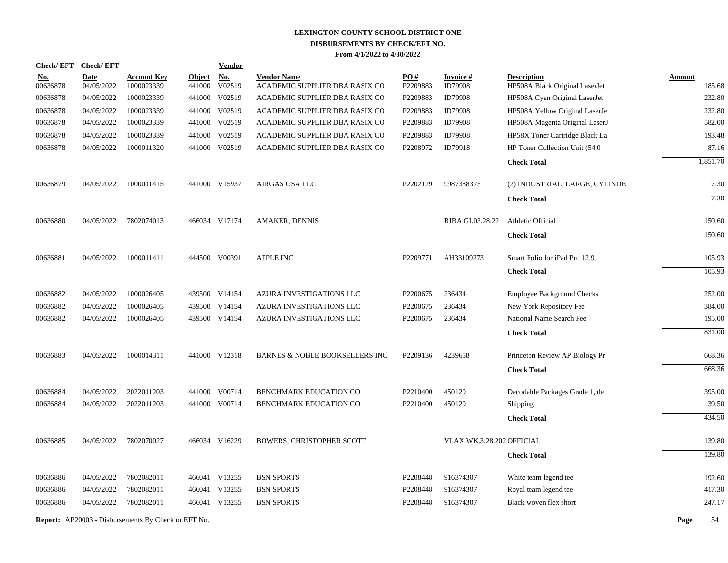| <b>Check/EFT</b> | <b>Check/EFT</b> |                                                            |               | <b>Vendor</b> |                                  |                      |                           |                                   |                  |
|------------------|------------------|------------------------------------------------------------|---------------|---------------|----------------------------------|----------------------|---------------------------|-----------------------------------|------------------|
| <u>No.</u>       | <b>Date</b>      | <b>Account Key</b>                                         | <b>Object</b> | <b>No.</b>    | <b>Vendor Name</b>               | PO#                  | <b>Invoice#</b>           | <b>Description</b>                | <b>Amount</b>    |
| 00636878         | 04/05/2022       | 1000023339<br>1000023339                                   | 441000        | V02519        | ACADEMIC SUPPLIER DBA RASIX CO   | P2209883<br>P2209883 | ID79908<br>ID79908        | HP508A Black Original LaserJet    | 185.68<br>232.80 |
| 00636878         | 04/05/2022       |                                                            | 441000        | V02519        | ACADEMIC SUPPLIER DBA RASIX CO   |                      |                           | HP508A Cyan Original LaserJet     |                  |
| 00636878         | 04/05/2022       | 1000023339                                                 |               | 441000 V02519 | ACADEMIC SUPPLIER DBA RASIX CO   | P2209883             | ID79908                   | HP508A Yellow Original LaserJe    | 232.80           |
| 00636878         | 04/05/2022       | 1000023339                                                 |               | 441000 V02519 | ACADEMIC SUPPLIER DBA RASIX CO   | P2209883             | ID79908                   | HP508A Magenta Original LaserJ    | 582.00           |
| 00636878         | 04/05/2022       | 1000023339<br>1000011320                                   |               | 441000 V02519 | ACADEMIC SUPPLIER DBA RASIX CO   | P2209883             | ID79908<br>ID79918        | HP58X Toner Cartridge Black La    | 193.48           |
| 00636878         | 04/05/2022       |                                                            |               | 441000 V02519 | ACADEMIC SUPPLIER DBA RASIX CO   | P2208972             |                           | HP Toner Collection Unit (54,0)   | 87.16            |
|                  |                  |                                                            |               |               |                                  |                      |                           | <b>Check Total</b>                | 1,851.70         |
| 00636879         | 04/05/2022       | 1000011415                                                 |               | 441000 V15937 | AIRGAS USA LLC                   | P2202129             | 9987388375                | (2) INDUSTRIAL, LARGE, CYLINDE    | 7.30             |
|                  |                  |                                                            |               |               |                                  |                      |                           | <b>Check Total</b>                | 7.30             |
| 00636880         | 04/05/2022       | 7802074013                                                 |               | 466034 V17174 | <b>AMAKER, DENNIS</b>            |                      | BJBA.GI.03.28.22          | <b>Athletic Official</b>          | 150.60           |
|                  |                  |                                                            |               |               |                                  |                      |                           | <b>Check Total</b>                | 150.60           |
| 00636881         | 04/05/2022       | 1000011411                                                 |               | 444500 V00391 | <b>APPLE INC</b>                 | P2209771             | AH33109273                | Smart Folio for iPad Pro 12.9     | 105.93           |
|                  |                  |                                                            |               |               |                                  |                      |                           | <b>Check Total</b>                | 105.93           |
| 00636882         | 04/05/2022       | 1000026405                                                 |               | 439500 V14154 | AZURA INVESTIGATIONS LLC         | P2200675             | 236434                    | <b>Employee Background Checks</b> | 252.00           |
| 00636882         | 04/05/2022       | 1000026405                                                 |               | 439500 V14154 | AZURA INVESTIGATIONS LLC         | P2200675             | 236434                    | New York Repository Fee           | 384.00           |
| 00636882         | 04/05/2022       | 1000026405                                                 |               | 439500 V14154 | AZURA INVESTIGATIONS LLC         | P2200675             | 236434                    | National Name Search Fee          | 195.00           |
|                  |                  |                                                            |               |               |                                  |                      |                           | <b>Check Total</b>                | 831.00           |
| 00636883         | 04/05/2022       | 1000014311                                                 |               | 441000 V12318 | BARNES & NOBLE BOOKSELLERS INC   | P2209136             | 4239658                   | Princeton Review AP Biology Pr    | 668.36           |
|                  |                  |                                                            |               |               |                                  |                      |                           | <b>Check Total</b>                | 668.36           |
| 00636884         | 04/05/2022       | 2022011203                                                 |               | 441000 V00714 | BENCHMARK EDUCATION CO           | P2210400             | 450129                    | Decodable Packages Grade 1, de    | 395.00           |
| 00636884         | 04/05/2022       | 2022011203                                                 |               | 441000 V00714 | BENCHMARK EDUCATION CO           | P2210400             | 450129                    | Shipping                          | 39.50            |
|                  |                  |                                                            |               |               |                                  |                      |                           | <b>Check Total</b>                | 434.50           |
| 00636885         | 04/05/2022       | 7802070027                                                 |               | 466034 V16229 | <b>BOWERS, CHRISTOPHER SCOTT</b> |                      | VLAX.WK.3.28.202 OFFICIAL |                                   | 139.80           |
|                  |                  |                                                            |               |               |                                  |                      |                           | <b>Check Total</b>                | 139.80           |
| 00636886         | 04/05/2022       | 7802082011                                                 |               | 466041 V13255 | <b>BSN SPORTS</b>                | P2208448             | 916374307                 | White team legend tee             | 192.60           |
| 00636886         | 04/05/2022       | 7802082011                                                 |               | 466041 V13255 | <b>BSN SPORTS</b>                | P2208448             | 916374307                 | Royal team legend tee             | 417.30           |
| 00636886         | 04/05/2022       | 7802082011                                                 |               | 466041 V13255 | <b>BSN SPORTS</b>                | P2208448             | 916374307                 | Black woven flex short            | 247.17           |
|                  |                  | <b>Report:</b> AP20003 - Disbursements By Check or EFT No. |               |               |                                  |                      |                           |                                   | Page<br>54       |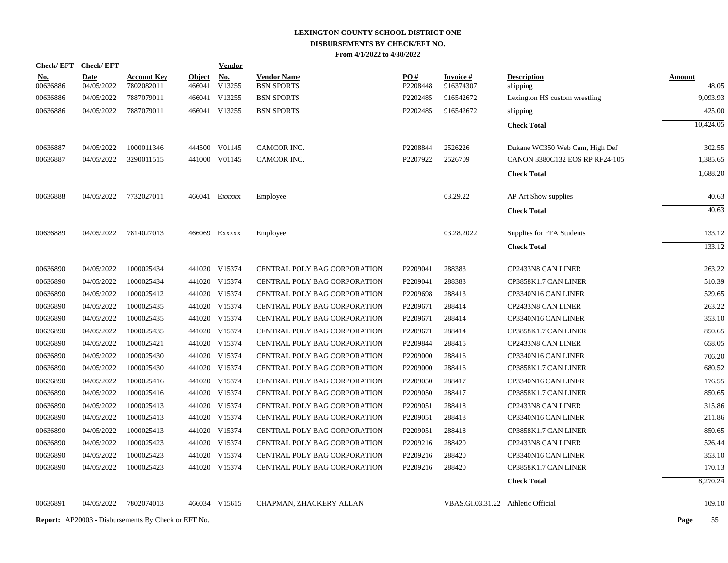| <b>Check/EFT</b> | <b>Check/EFT</b> |                    |               | <u>Vendor</u> |                                     |          |                                    |                                |               |
|------------------|------------------|--------------------|---------------|---------------|-------------------------------------|----------|------------------------------------|--------------------------------|---------------|
| <u>No.</u>       | <b>Date</b>      | <b>Account Key</b> | <b>Object</b> | <b>No.</b>    | <b>Vendor Name</b>                  | PO#      | <b>Invoice#</b>                    | <b>Description</b>             | <u>Amount</u> |
| 00636886         | 04/05/2022       | 7802082011         | 466041        | V13255        | <b>BSN SPORTS</b>                   | P2208448 | 916374307                          | shipping                       | 48.05         |
| 00636886         | 04/05/2022       | 7887079011         | 466041        | V13255        | <b>BSN SPORTS</b>                   | P2202485 | 916542672                          | Lexington HS custom wrestling  | 9.093.93      |
| 00636886         | 04/05/2022       | 7887079011         |               | 466041 V13255 | <b>BSN SPORTS</b>                   | P2202485 | 916542672                          | shipping                       | 425.00        |
|                  |                  |                    |               |               |                                     |          |                                    | <b>Check Total</b>             | 10,424.05     |
| 00636887         | 04/05/2022       | 1000011346         |               | 444500 V01145 | CAMCOR INC.                         | P2208844 | 2526226                            | Dukane WC350 Web Cam, High Def | 302.55        |
| 00636887         | 04/05/2022       | 3290011515         |               | 441000 V01145 | CAMCOR INC.                         | P2207922 | 2526709                            | CANON 3380C132 EOS RP RF24-105 | 1,385.65      |
|                  |                  |                    |               |               |                                     |          |                                    | <b>Check Total</b>             | 1,688.20      |
| 00636888         | 04/05/2022       | 7732027011         |               | 466041 Exxxxx | Employee                            |          | 03.29.22                           | AP Art Show supplies           | 40.63         |
|                  |                  |                    |               |               |                                     |          |                                    | <b>Check Total</b>             | 40.63         |
| 00636889         | 04/05/2022       | 7814027013         |               | 466069 Exxxxx | Employee                            |          | 03.28.2022                         | Supplies for FFA Students      | 133.12        |
|                  |                  |                    |               |               |                                     |          |                                    | <b>Check Total</b>             | 133.12        |
| 00636890         | 04/05/2022       | 1000025434         |               | 441020 V15374 | CENTRAL POLY BAG CORPORATION        | P2209041 | 288383                             | CP2433N8 CAN LINER             | 263.22        |
| 00636890         | 04/05/2022       | 1000025434         |               | 441020 V15374 | CENTRAL POLY BAG CORPORATION        | P2209041 | 288383                             | CP3858K1.7 CAN LINER           | 510.39        |
| 00636890         | 04/05/2022       | 1000025412         |               | 441020 V15374 | CENTRAL POLY BAG CORPORATION        | P2209698 | 288413                             | CP3340N16 CAN LINER            | 529.65        |
| 00636890         | 04/05/2022       | 1000025435         |               | 441020 V15374 | CENTRAL POLY BAG CORPORATION        | P2209671 | 288414                             | CP2433N8 CAN LINER             | 263.22        |
| 00636890         | 04/05/2022       | 1000025435         |               | 441020 V15374 | CENTRAL POLY BAG CORPORATION        | P2209671 | 288414                             | CP3340N16 CAN LINER            | 353.10        |
| 00636890         | 04/05/2022       | 1000025435         |               | 441020 V15374 | CENTRAL POLY BAG CORPORATION        | P2209671 | 288414                             | CP3858K1.7 CAN LINER           | 850.65        |
| 00636890         | 04/05/2022       | 1000025421         |               | 441020 V15374 | CENTRAL POLY BAG CORPORATION        | P2209844 | 288415                             | CP2433N8 CAN LINER             | 658.05        |
| 00636890         | 04/05/2022       | 1000025430         |               | 441020 V15374 | CENTRAL POLY BAG CORPORATION        | P2209000 | 288416                             | CP3340N16 CAN LINER            | 706.20        |
| 00636890         | 04/05/2022       | 1000025430         |               | 441020 V15374 | CENTRAL POLY BAG CORPORATION        | P2209000 | 288416                             | CP3858K1.7 CAN LINER           | 680.52        |
| 00636890         | 04/05/2022       | 1000025416         |               | 441020 V15374 | <b>CENTRAL POLY BAG CORPORATION</b> | P2209050 | 288417                             | CP3340N16 CAN LINER            | 176.55        |
| 00636890         | 04/05/2022       | 1000025416         |               | 441020 V15374 | CENTRAL POLY BAG CORPORATION        | P2209050 | 288417                             | CP3858K1.7 CAN LINER           | 850.65        |
| 00636890         | 04/05/2022       | 1000025413         |               | 441020 V15374 | <b>CENTRAL POLY BAG CORPORATION</b> | P2209051 | 288418                             | CP2433N8 CAN LINER             | 315.86        |
| 00636890         | 04/05/2022       | 1000025413         |               | 441020 V15374 | CENTRAL POLY BAG CORPORATION        | P2209051 | 288418                             | CP3340N16 CAN LINER            | 211.86        |
| 00636890         | 04/05/2022       | 1000025413         |               | 441020 V15374 | <b>CENTRAL POLY BAG CORPORATION</b> | P2209051 | 288418                             | CP3858K1.7 CAN LINER           | 850.65        |
| 00636890         | 04/05/2022       | 1000025423         |               | 441020 V15374 | CENTRAL POLY BAG CORPORATION        | P2209216 | 288420                             | CP2433N8 CAN LINER             | 526.44        |
| 00636890         | 04/05/2022       | 1000025423         |               | 441020 V15374 | CENTRAL POLY BAG CORPORATION        | P2209216 | 288420                             | CP3340N16 CAN LINER            | 353.10        |
| 00636890         | 04/05/2022       | 1000025423         |               | 441020 V15374 | CENTRAL POLY BAG CORPORATION        | P2209216 | 288420                             | CP3858K1.7 CAN LINER           | 170.13        |
|                  |                  |                    |               |               |                                     |          |                                    | <b>Check Total</b>             | 8,270.24      |
| 00636891         | 04/05/2022       | 7802074013         |               | 466034 V15615 | CHAPMAN, ZHACKERY ALLAN             |          | VBAS.GI.03.31.22 Athletic Official |                                | 109.10        |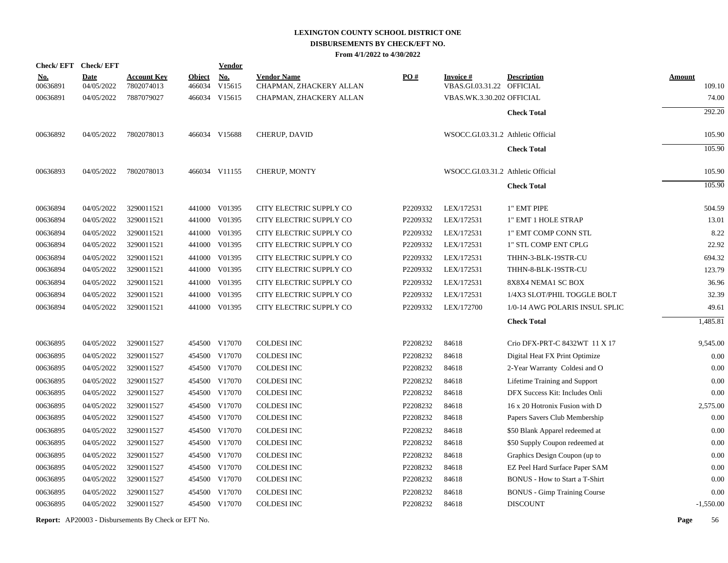| <b>Check/EFT</b>       | <b>Check/EFT</b>          |                                  |                         | <b>Vendor</b>        |                                               |                   |                                        |                                       |                         |
|------------------------|---------------------------|----------------------------------|-------------------------|----------------------|-----------------------------------------------|-------------------|----------------------------------------|---------------------------------------|-------------------------|
| <u>No.</u><br>00636891 | <b>Date</b><br>04/05/2022 | <b>Account Key</b><br>7802074013 | <b>Object</b><br>466034 | <u>No.</u><br>V15615 | <b>Vendor Name</b><br>CHAPMAN, ZHACKERY ALLAN | $\underline{PO#}$ | Invoice #<br>VBAS.GI.03.31.22 OFFICIAL | <b>Description</b>                    | <b>Amount</b><br>109.10 |
| 00636891               | 04/05/2022                | 7887079027                       |                         | 466034 V15615        | CHAPMAN, ZHACKERY ALLAN                       |                   | VBAS.WK.3.30.202 OFFICIAL              |                                       | 74.00                   |
|                        |                           |                                  |                         |                      |                                               |                   |                                        |                                       | 292.20                  |
|                        |                           |                                  |                         |                      |                                               |                   |                                        | <b>Check Total</b>                    |                         |
| 00636892               | 04/05/2022                | 7802078013                       |                         | 466034 V15688        | CHERUP, DAVID                                 |                   | WSOCC.GI.03.31.2 Athletic Official     |                                       | 105.90                  |
|                        |                           |                                  |                         |                      |                                               |                   |                                        | <b>Check Total</b>                    | 105.90                  |
| 00636893               | 04/05/2022                | 7802078013                       |                         | 466034 V11155        | CHERUP, MONTY                                 |                   | WSOCC.GI.03.31.2 Athletic Official     |                                       | 105.90                  |
|                        |                           |                                  |                         |                      |                                               |                   |                                        | <b>Check Total</b>                    | 105.90                  |
| 00636894               | 04/05/2022                | 3290011521                       |                         | 441000 V01395        | CITY ELECTRIC SUPPLY CO                       | P2209332          | LEX/172531                             | 1" EMT PIPE                           | 504.59                  |
| 00636894               | 04/05/2022                | 3290011521                       |                         | 441000 V01395        | CITY ELECTRIC SUPPLY CO                       | P2209332          | LEX/172531                             | 1" EMT 1 HOLE STRAP                   | 13.01                   |
| 00636894               | 04/05/2022                | 3290011521                       |                         | 441000 V01395        | CITY ELECTRIC SUPPLY CO                       | P2209332          | LEX/172531                             | 1" EMT COMP CONN STL                  | 8.22                    |
| 00636894               | 04/05/2022                | 3290011521                       |                         | 441000 V01395        | CITY ELECTRIC SUPPLY CO                       | P2209332          | LEX/172531                             | 1" STL COMP ENT CPLG                  | 22.92                   |
| 00636894               | 04/05/2022                | 3290011521                       |                         | 441000 V01395        | CITY ELECTRIC SUPPLY CO                       | P2209332          | LEX/172531                             | THHN-3-BLK-19STR-CU                   | 694.32                  |
| 00636894               | 04/05/2022                | 3290011521                       |                         | 441000 V01395        | CITY ELECTRIC SUPPLY CO                       | P2209332          | LEX/172531                             | THHN-8-BLK-19STR-CU                   | 123.79                  |
| 00636894               | 04/05/2022                | 3290011521                       |                         | 441000 V01395        | CITY ELECTRIC SUPPLY CO                       | P2209332          | LEX/172531                             | 8X8X4 NEMA1 SC BOX                    | 36.96                   |
| 00636894               | 04/05/2022                | 3290011521                       |                         | 441000 V01395        | CITY ELECTRIC SUPPLY CO                       | P2209332          | LEX/172531                             | 1/4X3 SLOT/PHIL TOGGLE BOLT           | 32.39                   |
| 00636894               | 04/05/2022                | 3290011521                       |                         | 441000 V01395        | CITY ELECTRIC SUPPLY CO                       | P2209332          | LEX/172700                             | 1/0-14 AWG POLARIS INSUL SPLIC        | 49.61                   |
|                        |                           |                                  |                         |                      |                                               |                   |                                        | <b>Check Total</b>                    | 1,485.81                |
| 00636895               | 04/05/2022                | 3290011527                       |                         | 454500 V17070        | <b>COLDESI INC</b>                            | P2208232          | 84618                                  | Crio DFX-PRT-C 8432WT 11 X 17         | 9,545.00                |
| 00636895               | 04/05/2022                | 3290011527                       |                         | 454500 V17070        | <b>COLDESI INC</b>                            | P2208232          | 84618                                  | Digital Heat FX Print Optimize        | 0.00                    |
| 00636895               | 04/05/2022                | 3290011527                       |                         | 454500 V17070        | <b>COLDESI INC</b>                            | P2208232          | 84618                                  | 2-Year Warranty Coldesi and O         | 0.00                    |
| 00636895               | 04/05/2022                | 3290011527                       |                         | 454500 V17070        | <b>COLDESI INC</b>                            | P2208232          | 84618                                  | Lifetime Training and Support         | 0.00                    |
| 00636895               | 04/05/2022                | 3290011527                       |                         | 454500 V17070        | <b>COLDESI INC</b>                            | P2208232          | 84618                                  | DFX Success Kit: Includes Onli        | 0.00                    |
| 00636895               | 04/05/2022                | 3290011527                       |                         | 454500 V17070        | COLDESI INC                                   | P2208232          | 84618                                  | 16 x 20 Hotronix Fusion with D        | 2,575.00                |
| 00636895               | 04/05/2022                | 3290011527                       |                         | 454500 V17070        | COLDESI INC                                   | P2208232          | 84618                                  | Papers Savers Club Membership         | 0.00                    |
| 00636895               | 04/05/2022                | 3290011527                       |                         | 454500 V17070        | <b>COLDESI INC</b>                            | P2208232          | 84618                                  | \$50 Blank Apparel redeemed at        | 0.00                    |
| 00636895               | 04/05/2022                | 3290011527                       |                         | 454500 V17070        | <b>COLDESI INC</b>                            | P2208232          | 84618                                  | \$50 Supply Coupon redeemed at        | 0.00                    |
| 00636895               | 04/05/2022                | 3290011527                       |                         | 454500 V17070        | <b>COLDESI INC</b>                            | P2208232          | 84618                                  | Graphics Design Coupon (up to         | 0.00                    |
| 00636895               | 04/05/2022                | 3290011527                       |                         | 454500 V17070        | <b>COLDESI INC</b>                            | P2208232          | 84618                                  | EZ Peel Hard Surface Paper SAM        | 0.00                    |
| 00636895               | 04/05/2022                | 3290011527                       |                         | 454500 V17070        | COLDESI INC                                   | P2208232          | 84618                                  | <b>BONUS</b> - How to Start a T-Shirt | 0.00                    |
| 00636895               | 04/05/2022                | 3290011527                       |                         | 454500 V17070        | <b>COLDESI INC</b>                            | P2208232          | 84618                                  | <b>BONUS</b> - Gimp Training Course   | 0.00                    |
| 00636895               | 04/05/2022                | 3290011527                       |                         | 454500 V17070        | <b>COLDESI INC</b>                            | P2208232          | 84618                                  | <b>DISCOUNT</b>                       | $-1,550.00$             |
|                        |                           |                                  |                         |                      |                                               |                   |                                        |                                       |                         |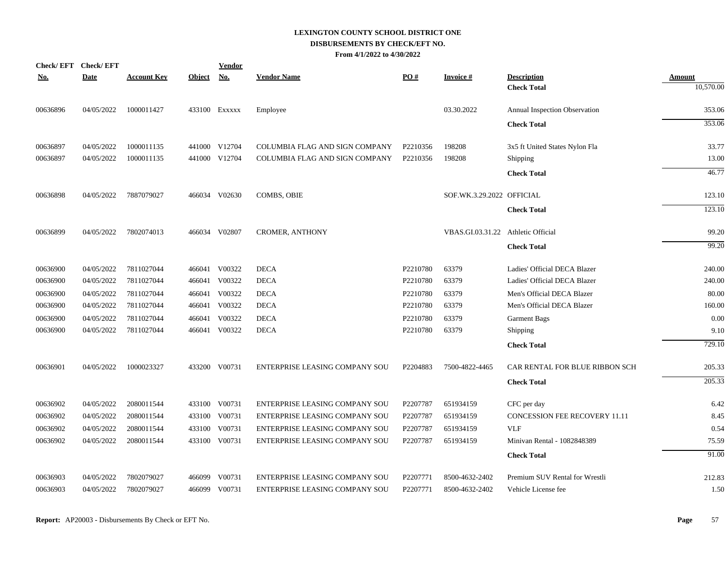| <b>Check/EFT</b> | <b>Check/EFT</b> |                    |               | <b>Vendor</b> |                                       |          |                                    |                                          |                            |
|------------------|------------------|--------------------|---------------|---------------|---------------------------------------|----------|------------------------------------|------------------------------------------|----------------------------|
| <u>No.</u>       | <b>Date</b>      | <u>Account Key</u> | <b>Object</b> | <u>No.</u>    | <b>Vendor Name</b>                    | PO#      | <b>Invoice#</b>                    | <b>Description</b><br><b>Check Total</b> | <b>Amount</b><br>10,570.00 |
|                  |                  |                    |               |               |                                       |          |                                    |                                          |                            |
| 00636896         | 04/05/2022       | 1000011427         |               | 433100 Exxxxx | Employee                              |          | 03.30.2022                         | Annual Inspection Observation            | 353.06                     |
|                  |                  |                    |               |               |                                       |          |                                    | <b>Check Total</b>                       | 353.06                     |
| 00636897         | 04/05/2022       | 1000011135         |               | 441000 V12704 | COLUMBIA FLAG AND SIGN COMPANY        | P2210356 | 198208                             | 3x5 ft United States Nylon Fla           | 33.77                      |
| 00636897         | 04/05/2022       | 1000011135         |               | 441000 V12704 | COLUMBIA FLAG AND SIGN COMPANY        | P2210356 | 198208                             | Shipping                                 | 13.00                      |
|                  |                  |                    |               |               |                                       |          |                                    | <b>Check Total</b>                       | 46.77                      |
| 00636898         | 04/05/2022       | 7887079027         |               | 466034 V02630 | <b>COMBS, OBIE</b>                    |          | SOF.WK.3.29.2022 OFFICIAL          |                                          | 123.10                     |
|                  |                  |                    |               |               |                                       |          |                                    | <b>Check Total</b>                       | 123.10                     |
| 00636899         | 04/05/2022       | 7802074013         |               | 466034 V02807 | <b>CROMER, ANTHONY</b>                |          | VBAS.GI.03.31.22 Athletic Official |                                          | 99.20                      |
|                  |                  |                    |               |               |                                       |          |                                    | <b>Check Total</b>                       | 99.20                      |
|                  |                  |                    |               |               |                                       |          |                                    |                                          |                            |
| 00636900         | 04/05/2022       | 7811027044         |               | 466041 V00322 | <b>DECA</b>                           | P2210780 | 63379                              | Ladies' Official DECA Blazer             | 240.00                     |
| 00636900         | 04/05/2022       | 7811027044         | 466041        | V00322        | <b>DECA</b>                           | P2210780 | 63379                              | Ladies' Official DECA Blazer             | 240.00                     |
| 00636900         | 04/05/2022       | 7811027044         | 466041        | V00322        | <b>DECA</b>                           | P2210780 | 63379                              | Men's Official DECA Blazer               | 80.00                      |
| 00636900         | 04/05/2022       | 7811027044         | 466041        | V00322        | <b>DECA</b>                           | P2210780 | 63379                              | Men's Official DECA Blazer               | 160.00                     |
| 00636900         | 04/05/2022       | 7811027044         | 466041        | V00322        | <b>DECA</b>                           | P2210780 | 63379                              | <b>Garment Bags</b>                      | 0.00                       |
| 00636900         | 04/05/2022       | 7811027044         |               | 466041 V00322 | <b>DECA</b>                           | P2210780 | 63379                              | Shipping                                 | 9.10                       |
|                  |                  |                    |               |               |                                       |          |                                    | <b>Check Total</b>                       | 729.10                     |
| 00636901         | 04/05/2022       | 1000023327         |               | 433200 V00731 | ENTERPRISE LEASING COMPANY SOU        | P2204883 | 7500-4822-4465                     | CAR RENTAL FOR BLUE RIBBON SCH           | 205.33                     |
|                  |                  |                    |               |               |                                       |          |                                    | <b>Check Total</b>                       | 205.33                     |
| 00636902         | 04/05/2022       | 2080011544         |               | 433100 V00731 | ENTERPRISE LEASING COMPANY SOU        | P2207787 | 651934159                          | CFC per day                              | 6.42                       |
| 00636902         | 04/05/2022       | 2080011544         |               | 433100 V00731 | ENTERPRISE LEASING COMPANY SOU        | P2207787 | 651934159                          | <b>CONCESSION FEE RECOVERY 11.11</b>     | 8.45                       |
| 00636902         | 04/05/2022       | 2080011544         | 433100        | V00731        | ENTERPRISE LEASING COMPANY SOU        | P2207787 | 651934159                          | <b>VLF</b>                               | 0.54                       |
| 00636902         | 04/05/2022       | 2080011544         |               | 433100 V00731 | ENTERPRISE LEASING COMPANY SOU        | P2207787 | 651934159                          | Minivan Rental - 1082848389              | 75.59                      |
|                  |                  |                    |               |               |                                       |          |                                    | <b>Check Total</b>                       | 91.00                      |
| 00636903         | 04/05/2022       | 7802079027         |               | 466099 V00731 | <b>ENTERPRISE LEASING COMPANY SOU</b> | P2207771 | 8500-4632-2402                     | Premium SUV Rental for Wrestli           | 212.83                     |
| 00636903         | 04/05/2022       | 7802079027         |               | 466099 V00731 | ENTERPRISE LEASING COMPANY SOU        | P2207771 | 8500-4632-2402                     | Vehicle License fee                      | 1.50                       |
|                  |                  |                    |               |               |                                       |          |                                    |                                          |                            |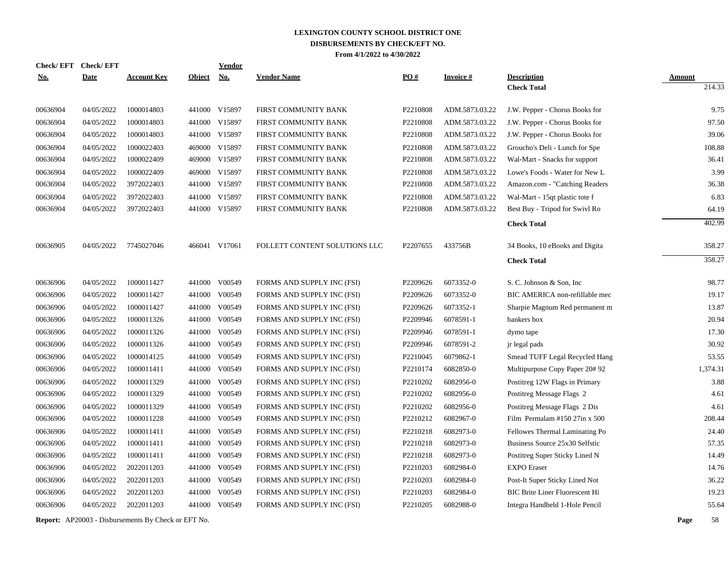|            | Check/EFT Check/EFT |                    |               | <b>Vendor</b> |                               |          |                 |                                       |               |
|------------|---------------------|--------------------|---------------|---------------|-------------------------------|----------|-----------------|---------------------------------------|---------------|
| <u>No.</u> | <b>Date</b>         | <u>Account Key</u> | <b>Object</b> | <b>No.</b>    | <b>Vendor Name</b>            | PO#      | <b>Invoice#</b> | <b>Description</b>                    | <b>Amount</b> |
|            |                     |                    |               |               |                               |          |                 | <b>Check Total</b>                    | 214.33        |
| 00636904   | 04/05/2022          | 1000014803         |               | 441000 V15897 | FIRST COMMUNITY BANK          | P2210808 | ADM.5873.03.22  | J.W. Pepper - Chorus Books for        | 9.75          |
| 00636904   | 04/05/2022          | 1000014803         | 441000        | V15897        | FIRST COMMUNITY BANK          | P2210808 | ADM.5873.03.22  | J.W. Pepper - Chorus Books for        | 97.50         |
| 00636904   | 04/05/2022          | 1000014803         |               | 441000 V15897 | FIRST COMMUNITY BANK          | P2210808 | ADM.5873.03.22  | J.W. Pepper - Chorus Books for        | 39.06         |
| 00636904   | 04/05/2022          | 1000022403         |               | 469000 V15897 | FIRST COMMUNITY BANK          | P2210808 | ADM.5873.03.22  | Groucho's Deli - Lunch for Spe        | 108.88        |
| 00636904   | 04/05/2022          | 1000022409         |               | 469000 V15897 | FIRST COMMUNITY BANK          | P2210808 | ADM.5873.03.22  | Wal-Mart - Snacks for support         | 36.41         |
| 00636904   | 04/05/2022          | 1000022409         |               | 469000 V15897 | FIRST COMMUNITY BANK          | P2210808 | ADM.5873.03.22  | Lowe's Foods - Water for New L        | 3.99          |
| 00636904   | 04/05/2022          | 3972022403         |               | 441000 V15897 | FIRST COMMUNITY BANK          | P2210808 | ADM.5873.03.22  | Amazon.com - "Catching Readers        | 36.38         |
| 00636904   | 04/05/2022          | 3972022403         |               | 441000 V15897 | FIRST COMMUNITY BANK          | P2210808 | ADM.5873.03.22  | Wal-Mart - 15qt plastic tote f        | 6.83          |
| 00636904   | 04/05/2022          | 3972022403         |               | 441000 V15897 | FIRST COMMUNITY BANK          | P2210808 | ADM.5873.03.22  | Best Buy - Tripod for Swivl Ro        | 64.19         |
|            |                     |                    |               |               |                               |          |                 | <b>Check Total</b>                    | 402.99        |
| 00636905   | 04/05/2022          | 7745027046         |               | 466041 V17061 | FOLLETT CONTENT SOLUTIONS LLC | P2207655 | 433756B         | 34 Books, 10 eBooks and Digita        | 358.27        |
|            |                     |                    |               |               |                               |          |                 | <b>Check Total</b>                    | 358.27        |
|            |                     |                    |               |               |                               |          |                 |                                       |               |
| 00636906   | 04/05/2022          | 1000011427         |               | 441000 V00549 | FORMS AND SUPPLY INC (FSI)    | P2209626 | 6073352-0       | S. C. Johnson & Son, Inc.             | 98.77         |
| 00636906   | 04/05/2022          | 1000011427         |               | 441000 V00549 | FORMS AND SUPPLY INC (FSI)    | P2209626 | 6073352-0       | BIC AMERICA non-refillable mec        | 19.17         |
| 00636906   | 04/05/2022          | 1000011427         |               | 441000 V00549 | FORMS AND SUPPLY INC (FSI)    | P2209626 | 6073352-1       | Sharpie Magnum Red permanent m        | 13.87         |
| 00636906   | 04/05/2022          | 1000011326         | 441000        | V00549        | FORMS AND SUPPLY INC (FSI)    | P2209946 | 6078591-1       | bankers box                           | 20.94         |
| 00636906   | 04/05/2022          | 1000011326         | 441000        | V00549        | FORMS AND SUPPLY INC (FSI)    | P2209946 | 6078591-1       | dymo tape                             | 17.30         |
| 00636906   | 04/05/2022          | 1000011326         | 441000        | V00549        | FORMS AND SUPPLY INC (FSI)    | P2209946 | 6078591-2       | jr legal pads                         | 30.92         |
| 00636906   | 04/05/2022          | 1000014125         |               | 441000 V00549 | FORMS AND SUPPLY INC (FSI)    | P2210045 | 6079862-1       | Smead TUFF Legal Recycled Hang        | 53.55         |
| 00636906   | 04/05/2022          | 1000011411         |               | 441000 V00549 | FORMS AND SUPPLY INC (FSI)    | P2210174 | 6082850-0       | Multipurpose Copy Paper 20#92         | 1,374.31      |
| 00636906   | 04/05/2022          | 1000011329         |               | 441000 V00549 | FORMS AND SUPPLY INC (FSI)    | P2210202 | 6082956-0       | Postitreg 12W Flags in Primary        | 3.88          |
| 00636906   | 04/05/2022          | 1000011329         |               | 441000 V00549 | FORMS AND SUPPLY INC (FSI)    | P2210202 | 6082956-0       | Postitreg Message Flags 2             | 4.61          |
| 00636906   | 04/05/2022          | 1000011329         |               | 441000 V00549 | FORMS AND SUPPLY INC (FSI)    | P2210202 | 6082956-0       | Postitreg Message Flags 2 Dis         | 4.61          |
| 00636906   | 04/05/2022          | 1000011228         |               | 441000 V00549 | FORMS AND SUPPLY INC (FSI)    | P2210212 | 6082967-0       | Film Permalam $#15027$ in x 500       | 208.44        |
| 00636906   | 04/05/2022          | 1000011411         |               | 441000 V00549 | FORMS AND SUPPLY INC (FSI)    | P2210218 | 6082973-0       | Fellowes Thermal Laminating Po        | 24.40         |
| 00636906   | 04/05/2022          | 1000011411         |               | 441000 V00549 | FORMS AND SUPPLY INC (FSI)    | P2210218 | 6082973-0       | Business Source 25x30 Selfstic        | 57.35         |
| 00636906   | 04/05/2022          | 1000011411         | 441000        | V00549        | FORMS AND SUPPLY INC (FSI)    | P2210218 | 6082973-0       | Postitreg Super Sticky Lined N        | 14.49         |
| 00636906   | 04/05/2022          | 2022011203         |               | 441000 V00549 | FORMS AND SUPPLY INC (FSI)    | P2210203 | 6082984-0       | <b>EXPO</b> Eraser                    | 14.76         |
| 00636906   | 04/05/2022          | 2022011203         | 441000        | V00549        | FORMS AND SUPPLY INC (FSI)    | P2210203 | 6082984-0       | Post-It Super Sticky Lined Not        | 36.22         |
| 00636906   | 04/05/2022          | 2022011203         |               | 441000 V00549 | FORMS AND SUPPLY INC (FSI)    | P2210203 | 6082984-0       | <b>BIC Brite Liner Fluorescent Hi</b> | 19.23         |
| 00636906   | 04/05/2022          | 2022011203         |               | 441000 V00549 | FORMS AND SUPPLY INC (FSI)    | P2210205 | 6082988-0       | Integra Handheld 1-Hole Pencil        | 55.64         |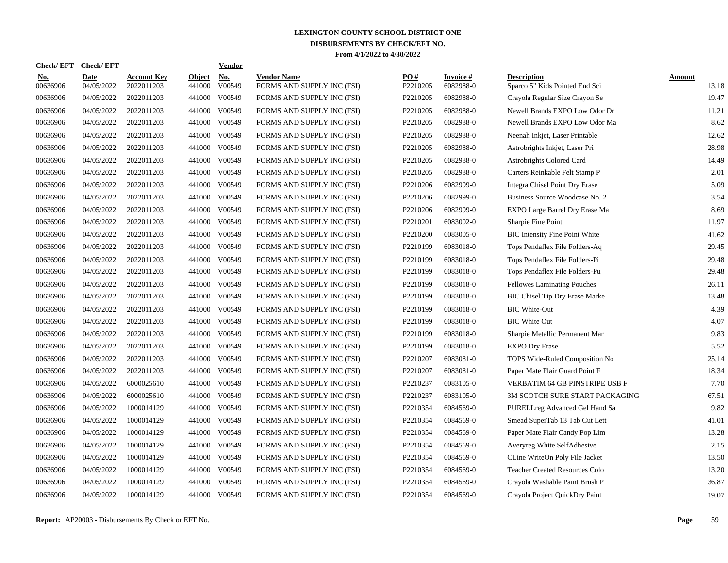| <b>Check/EFT</b>          |                                  |                         | <b>Vendor</b>        |                                                    |                               |                              |                                                      |                        |
|---------------------------|----------------------------------|-------------------------|----------------------|----------------------------------------------------|-------------------------------|------------------------------|------------------------------------------------------|------------------------|
| <b>Date</b><br>04/05/2022 | <b>Account Key</b><br>2022011203 | <b>Object</b><br>441000 | <b>No.</b><br>V00549 | <b>Vendor Name</b><br>FORMS AND SUPPLY INC (FSI)   | $\underline{PO#}$<br>P2210205 | <b>Invoice#</b><br>6082988-0 | <b>Description</b><br>Sparco 5" Kids Pointed End Sci | <b>Amount</b><br>13.18 |
| 04/05/2022                | 2022011203                       | 441000                  | V00549               | FORMS AND SUPPLY INC (FSI)                         | P2210205                      | 6082988-0                    | Crayola Regular Size Crayon Se                       | 19.47                  |
| 04/05/2022                | 2022011203                       | 441000                  | V00549               | FORMS AND SUPPLY INC (FSI)                         | P2210205                      | 6082988-0                    | Newell Brands EXPO Low Odor Dr                       | 11.21                  |
| 04/05/2022                | 2022011203                       | 441000                  | V00549               | FORMS AND SUPPLY INC (FSI)                         | P2210205                      | 6082988-0                    | Newell Brands EXPO Low Odor Ma                       | 8.62                   |
| 04/05/2022                | 2022011203                       | 441000                  | V00549               | FORMS AND SUPPLY INC (FSI)                         | P2210205                      | 6082988-0                    | Neenah Inkjet, Laser Printable                       | 12.62                  |
| 04/05/2022                | 2022011203                       | 441000                  | V00549               | FORMS AND SUPPLY INC (FSI)                         | P2210205                      | 6082988-0                    | Astrobrights Inkjet, Laser Pri                       | 28.98                  |
| 04/05/2022                | 2022011203                       | 441000                  | V00549               | FORMS AND SUPPLY INC (FSI)                         | P2210205                      | 6082988-0                    | Astrobrights Colored Card                            | 14.49                  |
| 04/05/2022                | 2022011203                       | 441000                  | V00549               | FORMS AND SUPPLY INC (FSI)                         | P2210205                      | 6082988-0                    | Carters Reinkable Felt Stamp P                       | 2.01                   |
| 04/05/2022                | 2022011203                       | 441000                  | V00549               | FORMS AND SUPPLY INC (FSI)                         | P2210206                      | 6082999-0                    | <b>Integra Chisel Point Dry Erase</b>                | 5.09                   |
| 04/05/2022                | 2022011203                       | 441000                  | V00549               | FORMS AND SUPPLY INC (FSI)                         | P2210206                      | 6082999-0                    | Business Source Woodcase No. 2                       | 3.54                   |
| 04/05/2022                | 2022011203                       | 441000                  | V00549               | FORMS AND SUPPLY INC (FSI)                         | P2210206                      | 6082999-0                    | EXPO Large Barrel Dry Erase Ma                       | 8.69                   |
| 04/05/2022                | 2022011203                       | 441000                  | V00549               | FORMS AND SUPPLY INC (FSI)                         | P2210201                      | 6083002-0                    | Sharpie Fine Point                                   | 11.97                  |
| 04/05/2022                | 2022011203                       |                         |                      | FORMS AND SUPPLY INC (FSI)                         | P2210200                      | 6083005-0                    | <b>BIC</b> Intensity Fine Point White                | 41.62                  |
| 04/05/2022                | 2022011203                       |                         |                      | FORMS AND SUPPLY INC (FSI)                         | P2210199                      | 6083018-0                    | Tops Pendaflex File Folders-Aq                       | 29.45                  |
| 04/05/2022                | 2022011203                       | 441000                  | V00549               | FORMS AND SUPPLY INC (FSI)                         | P2210199                      | 6083018-0                    | Tops Pendaflex File Folders-Pi                       | 29.48                  |
| 04/05/2022                | 2022011203                       | 441000                  | V00549               | FORMS AND SUPPLY INC (FSI)                         | P2210199                      | 6083018-0                    | Tops Pendaflex File Folders-Pu                       | 29.48                  |
| 04/05/2022                | 2022011203                       | 441000                  | V00549               | FORMS AND SUPPLY INC (FSI)                         | P2210199                      | 6083018-0                    | <b>Fellowes Laminating Pouches</b>                   | 26.11                  |
| 04/05/2022                | 2022011203                       | 441000                  | V00549               | FORMS AND SUPPLY INC (FSI)                         | P2210199                      | 6083018-0                    | BIC Chisel Tip Dry Erase Marke                       | 13.48                  |
| 04/05/2022                | 2022011203                       | 441000                  | V00549               | FORMS AND SUPPLY INC (FSI)                         | P2210199                      | 6083018-0                    | <b>BIC White-Out</b>                                 | 4.39                   |
| 04/05/2022                | 2022011203                       | 441000                  | V00549               | FORMS AND SUPPLY INC (FSI)                         | P2210199                      | 6083018-0                    | <b>BIC White Out</b>                                 | 4.07                   |
| 04/05/2022                | 2022011203                       | 441000                  | V00549               | FORMS AND SUPPLY INC (FSI)                         | P2210199                      | 6083018-0                    | Sharpie Metallic Permanent Mar                       | 9.83                   |
| 04/05/2022                | 2022011203                       | 441000                  | V00549               | FORMS AND SUPPLY INC (FSI)                         | P2210199                      | 6083018-0                    | <b>EXPO Dry Erase</b>                                | 5.52                   |
| 04/05/2022                | 2022011203                       | 441000                  | V00549               | FORMS AND SUPPLY INC (FSI)                         | P2210207                      | 6083081-0                    | TOPS Wide-Ruled Composition No                       | 25.14                  |
| 04/05/2022                | 2022011203                       | 441000                  | V00549               | FORMS AND SUPPLY INC (FSI)                         | P2210207                      | 6083081-0                    | Paper Mate Flair Guard Point F                       | 18.34                  |
| 04/05/2022                | 6000025610                       | 441000                  | V00549               | FORMS AND SUPPLY INC (FSI)                         | P2210237                      | 6083105-0                    | VERBATIM 64 GB PINSTRIPE USB F                       | 7.70                   |
| 04/05/2022                | 6000025610                       | 441000                  | V00549               | FORMS AND SUPPLY INC (FSI)                         | P2210237                      | 6083105-0                    | 3M SCOTCH SURE START PACKAGING                       | 67.51                  |
| 04/05/2022                | 1000014129                       | 441000                  | V00549               | FORMS AND SUPPLY INC (FSI)                         | P2210354                      | 6084569-0                    | PURELLreg Advanced Gel Hand Sa                       | 9.82                   |
| 04/05/2022                | 1000014129                       | 441000                  | V00549               | FORMS AND SUPPLY INC (FSI)                         | P2210354                      | 6084569-0                    | Smead SuperTab 13 Tab Cut Lett                       | 41.01                  |
| 04/05/2022                | 1000014129                       |                         | V00549               | FORMS AND SUPPLY INC (FSI)                         | P2210354                      | 6084569-0                    | Paper Mate Flair Candy Pop Lim                       | 13.28                  |
| 04/05/2022                | 1000014129                       | 441000                  | V00549               | FORMS AND SUPPLY INC (FSI)                         | P2210354                      | 6084569-0                    | Averyreg White SelfAdhesive                          | 2.15                   |
| 04/05/2022                | 1000014129                       | 441000                  | V00549               | FORMS AND SUPPLY INC (FSI)                         | P2210354                      | 6084569-0                    | CLine WriteOn Poly File Jacket                       | 13.50                  |
| 04/05/2022                | 1000014129                       | 441000                  | V00549               | FORMS AND SUPPLY INC (FSI)                         | P2210354                      | 6084569-0                    | <b>Teacher Created Resources Colo</b>                | 13.20                  |
| 04/05/2022                | 1000014129                       | 441000                  | V00549               | FORMS AND SUPPLY INC (FSI)                         | P2210354                      | 6084569-0                    | Crayola Washable Paint Brush P                       | 36.87                  |
| 04/05/2022                | 1000014129                       |                         | V00549               | FORMS AND SUPPLY INC (FSI)                         | P2210354                      | 6084569-0                    | Crayola Project QuickDry Paint                       | 19.07                  |
|                           |                                  |                         |                      | 441000 V00549<br>441000 V00549<br>441000<br>441000 |                               |                              |                                                      |                        |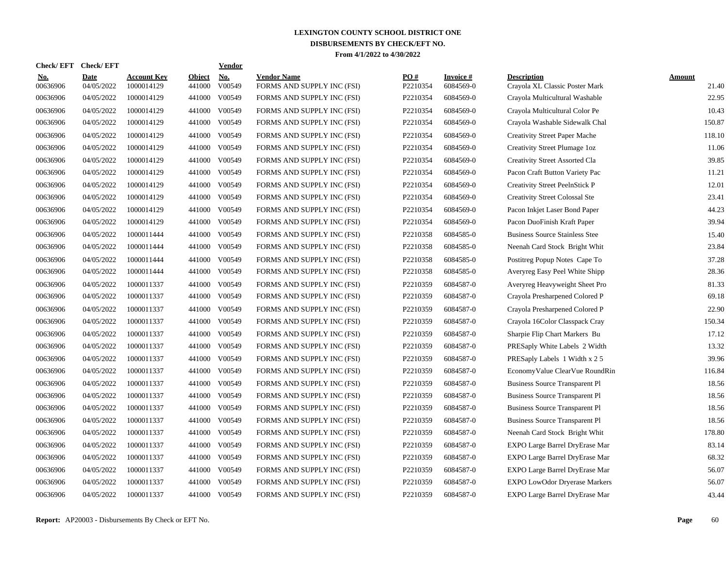| <b>Check/EFT</b>       | <b>Check/EFT</b>          |                           |                         | <b>Vendor</b>        |                                                  |                 |                               |                                                      |                        |
|------------------------|---------------------------|---------------------------|-------------------------|----------------------|--------------------------------------------------|-----------------|-------------------------------|------------------------------------------------------|------------------------|
| <u>No.</u><br>00636906 | <u>Date</u><br>04/05/2022 | Account Kev<br>1000014129 | <b>Object</b><br>441000 | <b>No.</b><br>V00549 | <b>Vendor Name</b><br>FORMS AND SUPPLY INC (FSI) | PO#<br>P2210354 | <b>Invoice</b> #<br>6084569-0 | <b>Description</b><br>Crayola XL Classic Poster Mark | <b>Amount</b><br>21.40 |
| 00636906               | 04/05/2022                | 1000014129                | 441000                  | V00549               | FORMS AND SUPPLY INC (FSI)                       | P2210354        | 6084569-0                     | Crayola Multicultural Washable                       | 22.95                  |
| 00636906               | 04/05/2022                | 1000014129                | 441000                  | V00549               | FORMS AND SUPPLY INC (FSI)                       | P2210354        | 6084569-0                     | Crayola Multicultural Color Pe                       | 10.43                  |
| 00636906               | 04/05/2022                | 1000014129                | 441000                  | V00549               | FORMS AND SUPPLY INC (FSI)                       | P2210354        | 6084569-0                     | Crayola Washable Sidewalk Chal                       | 150.87                 |
| 00636906               | 04/05/2022                | 1000014129                | 441000                  | V00549               | FORMS AND SUPPLY INC (FSI)                       | P2210354        | 6084569-0                     | <b>Creativity Street Paper Mache</b>                 | 118.10                 |
| 00636906               | 04/05/2022                | 1000014129                | 441000                  | V00549               | FORMS AND SUPPLY INC (FSI)                       | P2210354        | 6084569-0                     | Creativity Street Plumage 1oz                        | 11.06                  |
| 00636906               | 04/05/2022                | 1000014129                | 441000                  | V00549               | FORMS AND SUPPLY INC (FSI)                       | P2210354        | 6084569-0                     | Creativity Street Assorted Cla                       | 39.85                  |
| 00636906               | 04/05/2022                | 1000014129                | 441000                  | V00549               | FORMS AND SUPPLY INC (FSI)                       | P2210354        | 6084569-0                     | Pacon Craft Button Variety Pac                       | 11.21                  |
| 00636906               | 04/05/2022                | 1000014129                | 441000                  | V00549               | FORMS AND SUPPLY INC (FSI)                       | P2210354        | 6084569-0                     | Creativity Street PeelnStick P                       | 12.01                  |
| 00636906               | 04/05/2022                | 1000014129                | 441000                  | V00549               | FORMS AND SUPPLY INC (FSI)                       | P2210354        | 6084569-0                     | <b>Creativity Street Colossal Ste</b>                | 23.41                  |
| 00636906               | 04/05/2022                | 1000014129                | 441000                  | V00549               | FORMS AND SUPPLY INC (FSI)                       | P2210354        | 6084569-0                     | Pacon Inkjet Laser Bond Paper                        | 44.23                  |
| 00636906               | 04/05/2022                | 1000014129                | 441000                  | V00549               | FORMS AND SUPPLY INC (FSI)                       | P2210354        | 6084569-0                     | Pacon DuoFinish Kraft Paper                          | 39.94                  |
| 00636906               | 04/05/2022                | 1000011444                | 441000                  | V00549               | FORMS AND SUPPLY INC (FSI)                       | P2210358        | 6084585-0                     | <b>Business Source Stainless Stee</b>                | 15.40                  |
| 00636906               | 04/05/2022                | 1000011444                | 441000                  | V00549               | FORMS AND SUPPLY INC (FSI)                       | P2210358        | 6084585-0                     | Neenah Card Stock Bright Whit                        | 23.84                  |
| 00636906               | 04/05/2022                | 1000011444                | 441000                  | V00549               | FORMS AND SUPPLY INC (FSI)                       | P2210358        | 6084585-0                     | Postitreg Popup Notes Cape To                        | 37.28                  |
| 00636906               | 04/05/2022                | 1000011444                | 441000                  | V00549               | FORMS AND SUPPLY INC (FSI)                       | P2210358        | 6084585-0                     | Averyreg Easy Peel White Shipp                       | 28.36                  |
| 00636906               | 04/05/2022                | 1000011337                | 441000                  | V00549               | FORMS AND SUPPLY INC (FSI)                       | P2210359        | 6084587-0                     | Averyreg Heavyweight Sheet Pro                       | 81.33                  |
| 00636906               | 04/05/2022                | 1000011337                | 441000                  | V00549               | FORMS AND SUPPLY INC (FSI)                       | P2210359        | 6084587-0                     | Crayola Presharpened Colored P                       | 69.18                  |
| 00636906               | 04/05/2022                | 1000011337                | 441000                  | V00549               | FORMS AND SUPPLY INC (FSI)                       | P2210359        | 6084587-0                     | Crayola Presharpened Colored P                       | 22.90                  |
| 00636906               | 04/05/2022                | 1000011337                | 441000                  | V00549               | FORMS AND SUPPLY INC (FSI)                       | P2210359        | 6084587-0                     | Crayola 16Color Classpack Cray                       | 150.34                 |
| 00636906               | 04/05/2022                | 1000011337                | 441000                  | V00549               | FORMS AND SUPPLY INC (FSI)                       | P2210359        | 6084587-0                     | Sharpie Flip Chart Markers Bu                        | 17.12                  |
| 00636906               | 04/05/2022                | 1000011337                | 441000                  | V00549               | FORMS AND SUPPLY INC (FSI)                       | P2210359        | 6084587-0                     | PRESaply White Labels 2 Width                        | 13.32                  |
| 00636906               | 04/05/2022                | 1000011337                | 441000                  | V00549               | FORMS AND SUPPLY INC (FSI)                       | P2210359        | 6084587-0                     | PRESaply Labels 1 Width x 2 5                        | 39.96                  |
| 00636906               | 04/05/2022                | 1000011337                | 441000                  | V00549               | FORMS AND SUPPLY INC (FSI)                       | P2210359        | 6084587-0                     | EconomyValue ClearVue RoundRin                       | 116.84                 |
| 00636906               | 04/05/2022                | 1000011337                | 441000                  | V00549               | FORMS AND SUPPLY INC (FSI)                       | P2210359        | 6084587-0                     | <b>Business Source Transparent Pl</b>                | 18.56                  |
| 00636906               | 04/05/2022                | 1000011337                | 441000                  | V00549               | FORMS AND SUPPLY INC (FSI)                       | P2210359        | 6084587-0                     | <b>Business Source Transparent Pl</b>                | 18.56                  |
| 00636906               | 04/05/2022                | 1000011337                | 441000                  | V00549               | FORMS AND SUPPLY INC (FSI)                       | P2210359        | 6084587-0                     | <b>Business Source Transparent Pl</b>                | 18.56                  |
| 00636906               | 04/05/2022                | 1000011337                | 441000                  | V00549               | FORMS AND SUPPLY INC (FSI)                       | P2210359        | 6084587-0                     | <b>Business Source Transparent Pl</b>                | 18.56                  |
| 00636906               | 04/05/2022                | 1000011337                | 441000                  | V00549               | FORMS AND SUPPLY INC (FSI)                       | P2210359        | 6084587-0                     | Neenah Card Stock Bright Whit                        | 178.80                 |
| 00636906               | 04/05/2022                | 1000011337                | 441000                  | V00549               | FORMS AND SUPPLY INC (FSI)                       | P2210359        | 6084587-0                     | EXPO Large Barrel DryErase Mar                       | 83.14                  |
| 00636906               | 04/05/2022                | 1000011337                |                         | 441000 V00549        | FORMS AND SUPPLY INC (FSI)                       | P2210359        | 6084587-0                     | EXPO Large Barrel DryErase Mar                       | 68.32                  |
| 00636906               | 04/05/2022                | 1000011337                | 441000                  | V00549               | FORMS AND SUPPLY INC (FSI)                       | P2210359        | 6084587-0                     | EXPO Large Barrel DryErase Mar                       | 56.07                  |
| 00636906               | 04/05/2022                | 1000011337                | 441000                  | V00549               | FORMS AND SUPPLY INC (FSI)                       | P2210359        | 6084587-0                     | EXPO LowOdor Dryerase Markers                        | 56.07                  |
| 00636906               | 04/05/2022                | 1000011337                |                         | 441000 V00549        | FORMS AND SUPPLY INC (FSI)                       | P2210359        | 6084587-0                     | EXPO Large Barrel DryErase Mar                       | 43.44                  |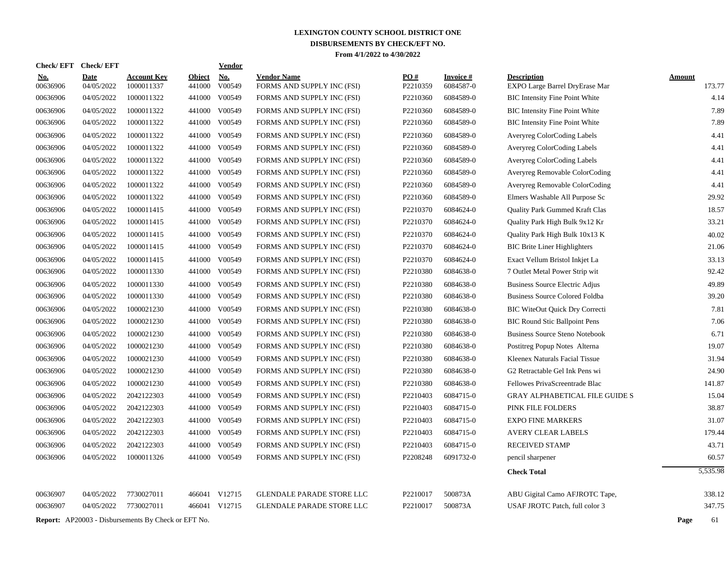|                        | Check/EFT Check/EFT       |                                                            |                         | Vendor               |                                                  |                 |                              |                                                      |                         |
|------------------------|---------------------------|------------------------------------------------------------|-------------------------|----------------------|--------------------------------------------------|-----------------|------------------------------|------------------------------------------------------|-------------------------|
| <u>No.</u><br>00636906 | <b>Date</b><br>04/05/2022 | <b>Account Key</b><br>1000011337                           | <b>Object</b><br>441000 | <b>No.</b><br>V00549 | <b>Vendor Name</b><br>FORMS AND SUPPLY INC (FSI) | PO#<br>P2210359 | <b>Invoice#</b><br>6084587-0 | <b>Description</b><br>EXPO Large Barrel DryErase Mar | <b>Amount</b><br>173.77 |
| 00636906               | 04/05/2022                | 1000011322                                                 | 441000                  | V00549               | FORMS AND SUPPLY INC (FSI)                       | P2210360        | 6084589-0                    | <b>BIC</b> Intensity Fine Point White                | 4.14                    |
| 00636906               | 04/05/2022                | 1000011322                                                 | 441000                  | V00549               | FORMS AND SUPPLY INC (FSI)                       | P2210360        | 6084589-0                    | <b>BIC Intensity Fine Point White</b>                | 7.89                    |
| 00636906               | 04/05/2022                | 1000011322                                                 | 441000                  | V00549               | FORMS AND SUPPLY INC (FSI)                       | P2210360        | 6084589-0                    | <b>BIC</b> Intensity Fine Point White                | 7.89                    |
| 00636906               | 04/05/2022                | 1000011322                                                 | 441000                  | V00549               | FORMS AND SUPPLY INC (FSI)                       | P2210360        | 6084589-0                    | Averyreg ColorCoding Labels                          | 4.41                    |
| 00636906               | 04/05/2022                | 1000011322                                                 | 441000                  | V00549               | FORMS AND SUPPLY INC (FSI)                       | P2210360        | 6084589-0                    | Averyreg ColorCoding Labels                          | 4.41                    |
| 00636906               | 04/05/2022                | 1000011322                                                 | 441000                  | V00549               | FORMS AND SUPPLY INC (FSI)                       | P2210360        | 6084589-0                    | <b>Averyreg ColorCoding Labels</b>                   | 4.41                    |
| 00636906               | 04/05/2022                | 1000011322                                                 | 441000                  | V00549               | FORMS AND SUPPLY INC (FSI)                       | P2210360        | 6084589-0                    | Averyreg Removable ColorCoding                       | 4.41                    |
| 00636906               | 04/05/2022                | 1000011322                                                 | 441000                  | V00549               | FORMS AND SUPPLY INC (FSI)                       | P2210360        | 6084589-0                    | Averyreg Removable ColorCoding                       | 4.41                    |
| 00636906               | 04/05/2022                | 1000011322                                                 | 441000                  | V00549               | FORMS AND SUPPLY INC (FSI)                       | P2210360        | 6084589-0                    | Elmers Washable All Purpose Sc                       | 29.92                   |
| 00636906               | 04/05/2022                | 1000011415                                                 | 441000                  | V00549               | FORMS AND SUPPLY INC (FSI)                       | P2210370        | 6084624-0                    | Quality Park Gummed Kraft Clas                       | 18.57                   |
| 00636906               | 04/05/2022                | 1000011415                                                 | 441000                  | V00549               | FORMS AND SUPPLY INC (FSI)                       | P2210370        | 6084624-0                    | Quality Park High Bulk 9x12 Kr                       | 33.21                   |
| 00636906               | 04/05/2022                | 1000011415                                                 | 441000                  | V00549               | FORMS AND SUPPLY INC (FSI)                       | P2210370        | 6084624-0                    | Quality Park High Bulk 10x13 K                       | 40.02                   |
| 00636906               | 04/05/2022                | 1000011415                                                 | 441000                  | V00549               | FORMS AND SUPPLY INC (FSI)                       | P2210370        | 6084624-0                    | <b>BIC Brite Liner Highlighters</b>                  | 21.06                   |
| 00636906               | 04/05/2022                | 1000011415                                                 | 441000                  | V00549               | FORMS AND SUPPLY INC (FSI)                       | P2210370        | 6084624-0                    | Exact Vellum Bristol Inkjet La                       | 33.13                   |
| 00636906               | 04/05/2022                | 1000011330                                                 | 441000                  | V00549               | FORMS AND SUPPLY INC (FSI)                       | P2210380        | 6084638-0                    | 7 Outlet Metal Power Strip wit                       | 92.42                   |
| 00636906               | 04/05/2022                | 1000011330                                                 | 441000                  | V00549               | FORMS AND SUPPLY INC (FSI)                       | P2210380        | 6084638-0                    | Business Source Electric Adjus                       | 49.89                   |
| 00636906               | 04/05/2022                | 1000011330                                                 | 441000                  | V00549               | FORMS AND SUPPLY INC (FSI)                       | P2210380        | 6084638-0                    | <b>Business Source Colored Foldba</b>                | 39.20                   |
| 00636906               | 04/05/2022                | 1000021230                                                 | 441000                  | V00549               | FORMS AND SUPPLY INC (FSI)                       | P2210380        | 6084638-0                    | <b>BIC WiteOut Quick Dry Correcti</b>                | 7.81                    |
| 00636906               | 04/05/2022                | 1000021230                                                 | 441000                  | V00549               | FORMS AND SUPPLY INC (FSI)                       | P2210380        | 6084638-0                    | <b>BIC Round Stic Ballpoint Pens</b>                 | 7.06                    |
| 00636906               | 04/05/2022                | 1000021230                                                 | 441000                  | V00549               | FORMS AND SUPPLY INC (FSI)                       | P2210380        | 6084638-0                    | <b>Business Source Steno Notebook</b>                | 6.71                    |
| 00636906               | 04/05/2022                | 1000021230                                                 | 441000                  | V00549               | FORMS AND SUPPLY INC (FSI)                       | P2210380        | 6084638-0                    | Postitreg Popup Notes Alterna                        | 19.07                   |
| 00636906               | 04/05/2022                | 1000021230                                                 | 441000                  | V00549               | FORMS AND SUPPLY INC (FSI)                       | P2210380        | 6084638-0                    | Kleenex Naturals Facial Tissue                       | 31.94                   |
| 00636906               | 04/05/2022                | 1000021230                                                 | 441000                  | V00549               | FORMS AND SUPPLY INC (FSI)                       | P2210380        | 6084638-0                    | G2 Retractable Gel Ink Pens wi                       | 24.90                   |
| 00636906               | 04/05/2022                | 1000021230                                                 | 441000                  | V00549               | FORMS AND SUPPLY INC (FSI)                       | P2210380        | 6084638-0                    | Fellowes PrivaScreentrade Blac                       | 141.87                  |
| 00636906               | 04/05/2022                | 2042122303                                                 | 441000                  | V00549               | FORMS AND SUPPLY INC (FSI)                       | P2210403        | 6084715-0                    | <b>GRAY ALPHABETICAL FILE GUIDE S</b>                | 15.04                   |
| 00636906               | 04/05/2022                | 2042122303                                                 | 441000                  | V00549               | FORMS AND SUPPLY INC (FSI)                       | P2210403        | 6084715-0                    | PINK FILE FOLDERS                                    | 38.87                   |
| 00636906               | 04/05/2022                | 2042122303                                                 | 441000                  | V00549               | FORMS AND SUPPLY INC (FSI)                       | P2210403        | 6084715-0                    | <b>EXPO FINE MARKERS</b>                             | 31.07                   |
| 00636906               | 04/05/2022                | 2042122303                                                 | 441000                  | V00549               | FORMS AND SUPPLY INC (FSI)                       | P2210403        | 6084715-0                    | <b>AVERY CLEAR LABELS</b>                            | 179.44                  |
| 00636906               | 04/05/2022                | 2042122303                                                 | 441000                  | V00549               | FORMS AND SUPPLY INC (FSI)                       | P2210403        | 6084715-0                    | <b>RECEIVED STAMP</b>                                | 43.71                   |
| 00636906               | 04/05/2022                | 1000011326                                                 |                         | 441000 V00549        | FORMS AND SUPPLY INC (FSI)                       | P2208248        | 6091732-0                    | pencil sharpener                                     | 60.57                   |
|                        |                           |                                                            |                         |                      |                                                  |                 |                              | <b>Check Total</b>                                   | 5.535.98                |
| 00636907               | 04/05/2022                | 7730027011                                                 | 466041                  | V12715               | <b>GLENDALE PARADE STORE LLC</b>                 | P2210017        | 500873A                      | ABU Gigital Camo AFJROTC Tape,                       | 338.12                  |
| 00636907               | 04/05/2022                | 7730027011                                                 |                         | 466041 V12715        | <b>GLENDALE PARADE STORE LLC</b>                 | P2210017        | 500873A                      | USAF JROTC Patch, full color 3                       | 347.75                  |
|                        |                           | <b>Report:</b> AP20003 - Disbursements By Check or EFT No. |                         |                      |                                                  |                 |                              |                                                      | Page<br>61              |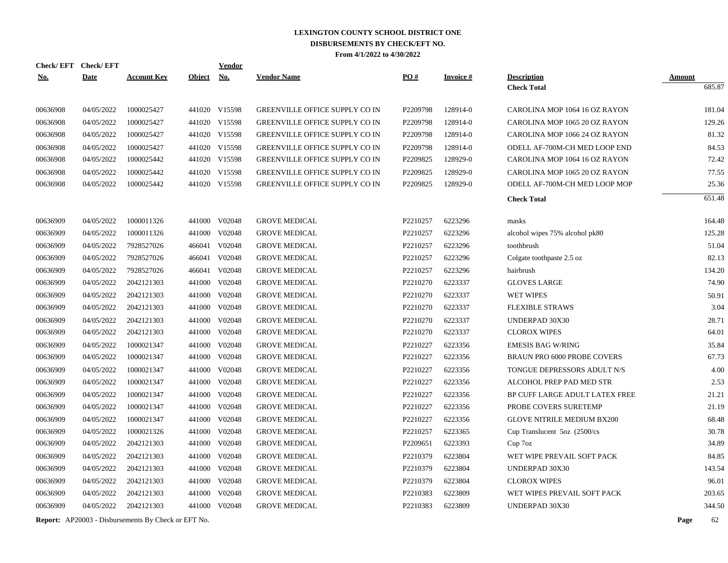| <b>Check/EFT</b> | <b>Check/EFT</b> |                    |               | <b>Vendor</b> |                                       |          |                  |                                    |                         |
|------------------|------------------|--------------------|---------------|---------------|---------------------------------------|----------|------------------|------------------------------------|-------------------------|
| <u>No.</u>       | <b>Date</b>      | <u>Account Key</u> | <b>Object</b> | <b>No.</b>    | <b>Vendor Name</b>                    | PO#      | <u>Invoice #</u> | <b>Description</b>                 | <b>Amount</b><br>685.87 |
|                  |                  |                    |               |               |                                       |          |                  | <b>Check Total</b>                 |                         |
| 00636908         | 04/05/2022       | 1000025427         |               | 441020 V15598 | <b>GREENVILLE OFFICE SUPPLY CO IN</b> | P2209798 | 128914-0         | CAROLINA MOP 1064 16 OZ RAYON      | 181.04                  |
| 00636908         | 04/05/2022       | 1000025427         |               | 441020 V15598 | <b>GREENVILLE OFFICE SUPPLY CO IN</b> | P2209798 | 128914-0         | CAROLINA MOP 1065 20 OZ RAYON      | 129.26                  |
| 00636908         | 04/05/2022       | 1000025427         |               | 441020 V15598 | GREENVILLE OFFICE SUPPLY CO IN        | P2209798 | 128914-0         | CAROLINA MOP 1066 24 OZ RAYON      | 81.32                   |
| 00636908         | 04/05/2022       | 1000025427         |               | 441020 V15598 | GREENVILLE OFFICE SUPPLY CO IN        | P2209798 | 128914-0         | ODELL AF-700M-CH MED LOOP END      | 84.53                   |
| 00636908         | 04/05/2022       | 1000025442         |               | 441020 V15598 | GREENVILLE OFFICE SUPPLY CO IN        | P2209825 | 128929-0         | CAROLINA MOP 1064 16 OZ RAYON      | 72.42                   |
| 00636908         | 04/05/2022       | 1000025442         |               | 441020 V15598 | <b>GREENVILLE OFFICE SUPPLY CO IN</b> | P2209825 | 128929-0         | CAROLINA MOP 1065 20 OZ RAYON      | 77.55                   |
| 00636908         | 04/05/2022       | 1000025442         |               | 441020 V15598 | <b>GREENVILLE OFFICE SUPPLY CO IN</b> | P2209825 | 128929-0         | ODELL AF-700M-CH MED LOOP MOP      | 25.36                   |
|                  |                  |                    |               |               |                                       |          |                  | <b>Check Total</b>                 | 651.48                  |
| 00636909         | 04/05/2022       | 1000011326         |               | 441000 V02048 | <b>GROVE MEDICAL</b>                  | P2210257 | 6223296          | masks                              | 164.48                  |
| 00636909         | 04/05/2022       | 1000011326         |               | 441000 V02048 | <b>GROVE MEDICAL</b>                  | P2210257 | 6223296          | alcohol wipes 75% alcohol pk80     | 125.28                  |
| 00636909         | 04/05/2022       | 7928527026         | 466041        | V02048        | <b>GROVE MEDICAL</b>                  | P2210257 | 6223296          | toothbrush                         | 51.04                   |
| 00636909         | 04/05/2022       | 7928527026         | 466041        | V02048        | <b>GROVE MEDICAL</b>                  | P2210257 | 6223296          | Colgate toothpaste 2.5 oz          | 82.13                   |
| 00636909         | 04/05/2022       | 7928527026         | 466041        | V02048        | <b>GROVE MEDICAL</b>                  | P2210257 | 6223296          | hairbrush                          | 134.20                  |
| 00636909         | 04/05/2022       | 2042121303         |               | 441000 V02048 | <b>GROVE MEDICAL</b>                  | P2210270 | 6223337          | <b>GLOVES LARGE</b>                | 74.90                   |
| 00636909         | 04/05/2022       | 2042121303         | 441000        | V02048        | <b>GROVE MEDICAL</b>                  | P2210270 | 6223337          | <b>WET WIPES</b>                   | 50.91                   |
| 00636909         | 04/05/2022       | 2042121303         | 441000        | V02048        | <b>GROVE MEDICAL</b>                  | P2210270 | 6223337          | <b>FLEXIBLE STRAWS</b>             | 3.04                    |
| 00636909         | 04/05/2022       | 2042121303         |               | 441000 V02048 | <b>GROVE MEDICAL</b>                  | P2210270 | 6223337          | UNDERPAD 30X30                     | 28.71                   |
| 00636909         | 04/05/2022       | 2042121303         | 441000        | V02048        | <b>GROVE MEDICAL</b>                  | P2210270 | 6223337          | <b>CLOROX WIPES</b>                | 64.01                   |
| 00636909         | 04/05/2022       | 1000021347         | 441000        | V02048        | <b>GROVE MEDICAL</b>                  | P2210227 | 6223356          | <b>EMESIS BAG W/RING</b>           | 35.84                   |
| 00636909         | 04/05/2022       | 1000021347         | 441000        | V02048        | <b>GROVE MEDICAL</b>                  | P2210227 | 6223356          | <b>BRAUN PRO 6000 PROBE COVERS</b> | 67.73                   |
| 00636909         | 04/05/2022       | 1000021347         |               | 441000 V02048 | <b>GROVE MEDICAL</b>                  | P2210227 | 6223356          | TONGUE DEPRESSORS ADULT N/S        | 4.00                    |
| 00636909         | 04/05/2022       | 1000021347         |               | 441000 V02048 | <b>GROVE MEDICAL</b>                  | P2210227 | 6223356          | ALCOHOL PREP PAD MED STR           | 2.53                    |
| 00636909         | 04/05/2022       | 1000021347         | 441000        | V02048        | <b>GROVE MEDICAL</b>                  | P2210227 | 6223356          | BP CUFF LARGE ADULT LATEX FREE     | 21.21                   |
| 00636909         | 04/05/2022       | 1000021347         |               | 441000 V02048 | <b>GROVE MEDICAL</b>                  | P2210227 | 6223356          | PROBE COVERS SURETEMP              | 21.19                   |
| 00636909         | 04/05/2022       | 1000021347         |               | 441000 V02048 | <b>GROVE MEDICAL</b>                  | P2210227 | 6223356          | <b>GLOVE NITRILE MEDIUM BX200</b>  | 68.48                   |
| 00636909         | 04/05/2022       | 1000021326         |               | 441000 V02048 | <b>GROVE MEDICAL</b>                  | P2210257 | 6223365          | Cup Translucent $5oz$ (2500/cs)    | 30.78                   |
| 00636909         | 04/05/2022       | 2042121303         |               | 441000 V02048 | <b>GROVE MEDICAL</b>                  | P2209651 | 6223393          | Cup 7oz                            | 34.89                   |
| 00636909         | 04/05/2022       | 2042121303         |               | 441000 V02048 | <b>GROVE MEDICAL</b>                  | P2210379 | 6223804          | WET WIPE PREVAIL SOFT PACK         | 84.85                   |
| 00636909         | 04/05/2022       | 2042121303         |               | 441000 V02048 | <b>GROVE MEDICAL</b>                  | P2210379 | 6223804          | UNDERPAD 30X30                     | 143.54                  |
| 00636909         | 04/05/2022       | 2042121303         |               | 441000 V02048 | <b>GROVE MEDICAL</b>                  | P2210379 | 6223804          | <b>CLOROX WIPES</b>                | 96.01                   |
| 00636909         | 04/05/2022       | 2042121303         | 441000        | V02048        | <b>GROVE MEDICAL</b>                  | P2210383 | 6223809          | WET WIPES PREVAIL SOFT PACK        | 203.65                  |
| 00636909         | 04/05/2022       | 2042121303         |               | 441000 V02048 | <b>GROVE MEDICAL</b>                  | P2210383 | 6223809          | UNDERPAD 30X30                     | 344.50                  |
|                  |                  |                    |               |               |                                       |          |                  |                                    |                         |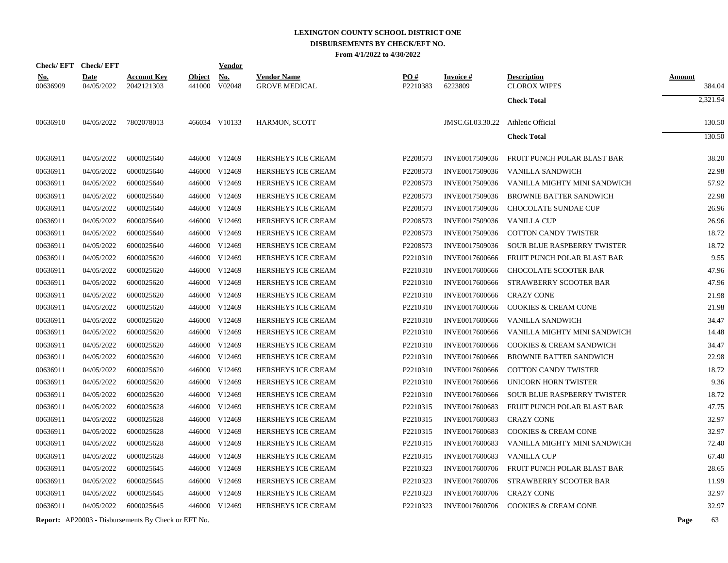|            |          | Check/EFT Check/EFT       |                                  |                         | <b>Vendor</b>        |                                            |                 |                            |                                           |                         |
|------------|----------|---------------------------|----------------------------------|-------------------------|----------------------|--------------------------------------------|-----------------|----------------------------|-------------------------------------------|-------------------------|
| <u>No.</u> | 00636909 | <b>Date</b><br>04/05/2022 | <b>Account Key</b><br>2042121303 | <b>Object</b><br>441000 | <u>No.</u><br>V02048 | <b>Vendor Name</b><br><b>GROVE MEDICAL</b> | PO#<br>P2210383 | <b>Invoice#</b><br>6223809 | <b>Description</b><br><b>CLOROX WIPES</b> | <b>Amount</b><br>384.04 |
|            |          |                           |                                  |                         |                      |                                            |                 |                            | <b>Check Total</b>                        | 2,321.94                |
|            | 00636910 | 04/05/2022                | 7802078013                       |                         | 466034 V10133        | HARMON, SCOTT                              |                 | JMSC.GI.03.30.22           | Athletic Official                         | 130.50                  |
|            |          |                           |                                  |                         |                      |                                            |                 |                            | <b>Check Total</b>                        | 130.50                  |
|            | 00636911 | 04/05/2022                | 6000025640                       |                         | 446000 V12469        | HERSHEYS ICE CREAM                         | P2208573        | INVE0017509036             | FRUIT PUNCH POLAR BLAST BAR               | 38.20                   |
|            | 00636911 | 04/05/2022                | 6000025640                       | 446000                  | V12469               | <b>HERSHEYS ICE CREAM</b>                  | P2208573        | INVE0017509036             | VANILLA SANDWICH                          | 22.98                   |
|            | 00636911 | 04/05/2022                | 6000025640                       |                         | 446000 V12469        | <b>HERSHEYS ICE CREAM</b>                  | P2208573        | INVE0017509036             | VANILLA MIGHTY MINI SANDWICH              | 57.92                   |
|            | 00636911 | 04/05/2022                | 6000025640                       | 446000                  | V12469               | HERSHEYS ICE CREAM                         | P2208573        | INVE0017509036             | <b>BROWNIE BATTER SANDWICH</b>            | 22.98                   |
|            | 00636911 | 04/05/2022                | 6000025640                       | 446000                  | V12469               | HERSHEYS ICE CREAM                         | P2208573        | INVE0017509036             | CHOCOLATE SUNDAE CUP                      | 26.96                   |
|            | 00636911 | 04/05/2022                | 6000025640                       | 446000                  | V12469               | HERSHEYS ICE CREAM                         | P2208573        | INVE0017509036             | <b>VANILLA CUP</b>                        | 26.96                   |
|            | 00636911 | 04/05/2022                | 6000025640                       | 446000                  | V12469               | HERSHEYS ICE CREAM                         | P2208573        | INVE0017509036             | <b>COTTON CANDY TWISTER</b>               | 18.72                   |
|            | 00636911 | 04/05/2022                | 6000025640                       |                         | 446000 V12469        | <b>HERSHEYS ICE CREAM</b>                  | P2208573        | INVE0017509036             | <b>SOUR BLUE RASPBERRY TWISTER</b>        | 18.72                   |
|            | 00636911 | 04/05/2022                | 6000025620                       |                         | 446000 V12469        | HERSHEYS ICE CREAM                         | P2210310        | INVE0017600666             | FRUIT PUNCH POLAR BLAST BAR               | 9.55                    |
|            | 00636911 | 04/05/2022                | 6000025620                       |                         | 446000 V12469        | HERSHEYS ICE CREAM                         | P2210310        | INVE0017600666             | <b>CHOCOLATE SCOOTER BAR</b>              | 47.96                   |
|            | 00636911 | 04/05/2022                | 6000025620                       |                         | 446000 V12469        | HERSHEYS ICE CREAM                         | P2210310        | INVE0017600666             | STRAWBERRY SCOOTER BAR                    | 47.96                   |
|            | 00636911 | 04/05/2022                | 6000025620                       |                         | 446000 V12469        | HERSHEYS ICE CREAM                         | P2210310        | INVE0017600666             | <b>CRAZY CONE</b>                         | 21.98                   |
|            | 00636911 | 04/05/2022                | 6000025620                       |                         | 446000 V12469        | HERSHEYS ICE CREAM                         | P2210310        | INVE0017600666             | <b>COOKIES &amp; CREAM CONE</b>           | 21.98                   |
|            | 00636911 | 04/05/2022                | 6000025620                       | 446000                  | V12469               | HERSHEYS ICE CREAM                         | P2210310        | INVE0017600666             | VANILLA SANDWICH                          | 34.47                   |
|            | 00636911 | 04/05/2022                | 6000025620                       | 446000                  | V12469               | <b>HERSHEYS ICE CREAM</b>                  | P2210310        | INVE0017600666             | VANILLA MIGHTY MINI SANDWICH              | 14.48                   |
|            | 00636911 | 04/05/2022                | 6000025620                       | 446000                  | V12469               | HERSHEYS ICE CREAM                         | P2210310        | INVE0017600666             | COOKIES & CREAM SANDWICH                  | 34.47                   |
|            | 00636911 | 04/05/2022                | 6000025620                       | 446000                  | V12469               | <b>HERSHEYS ICE CREAM</b>                  | P2210310        | INVE0017600666             | <b>BROWNIE BATTER SANDWICH</b>            | 22.98                   |
|            | 00636911 | 04/05/2022                | 6000025620                       | 446000                  | V12469               | <b>HERSHEYS ICE CREAM</b>                  | P2210310        | INVE0017600666             | <b>COTTON CANDY TWISTER</b>               | 18.72                   |
|            | 00636911 | 04/05/2022                | 6000025620                       |                         | 446000 V12469        | HERSHEYS ICE CREAM                         | P2210310        | INVE0017600666             | UNICORN HORN TWISTER                      | 9.36                    |
|            | 00636911 | 04/05/2022                | 6000025620                       | 446000                  | V12469               | <b>HERSHEYS ICE CREAM</b>                  | P2210310        | INVE0017600666             | <b>SOUR BLUE RASPBERRY TWISTER</b>        | 18.72                   |
|            | 00636911 | 04/05/2022                | 6000025628                       | 446000                  | V12469               | <b>HERSHEYS ICE CREAM</b>                  | P2210315        | INVE0017600683             | FRUIT PUNCH POLAR BLAST BAR               | 47.75                   |
|            | 00636911 | 04/05/2022                | 6000025628                       |                         | 446000 V12469        | HERSHEYS ICE CREAM                         | P2210315        | INVE0017600683             | <b>CRAZY CONE</b>                         | 32.97                   |
|            | 00636911 | 04/05/2022                | 6000025628                       | 446000                  | V12469               | HERSHEYS ICE CREAM                         | P2210315        | INVE0017600683             | COOKIES & CREAM CONE                      | 32.97                   |
|            | 00636911 | 04/05/2022                | 6000025628                       |                         | 446000 V12469        | <b>HERSHEYS ICE CREAM</b>                  | P2210315        | INVE0017600683             | VANILLA MIGHTY MINI SANDWICH              | 72.40                   |
|            | 00636911 | 04/05/2022                | 6000025628                       | 446000                  | V12469               | <b>HERSHEYS ICE CREAM</b>                  | P2210315        | INVE0017600683             | <b>VANILLA CUP</b>                        | 67.40                   |
|            | 00636911 | 04/05/2022                | 6000025645                       |                         | 446000 V12469        | <b>HERSHEYS ICE CREAM</b>                  | P2210323        | INVE0017600706             | FRUIT PUNCH POLAR BLAST BAR               | 28.65                   |
|            | 00636911 | 04/05/2022                | 6000025645                       |                         | 446000 V12469        | <b>HERSHEYS ICE CREAM</b>                  | P2210323        | INVE0017600706             | STRAWBERRY SCOOTER BAR                    | 11.99                   |
|            | 00636911 | 04/05/2022                | 6000025645                       | 446000                  | V12469               | HERSHEYS ICE CREAM                         | P2210323        | INVE0017600706             | <b>CRAZY CONE</b>                         | 32.97                   |
|            | 00636911 | 04/05/2022                | 6000025645                       |                         | 446000 V12469        | HERSHEYS ICE CREAM                         | P2210323        | INVE0017600706             | <b>COOKIES &amp; CREAM CONE</b>           | 32.97                   |
|            |          |                           |                                  |                         |                      |                                            |                 |                            |                                           |                         |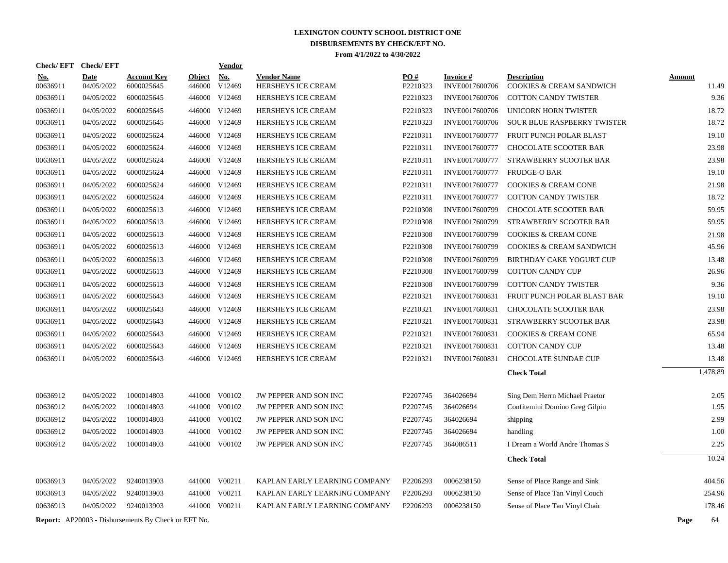| Check/EFT Check/EFT  |                          |                                                            |                  | Vendor                         |                                                 |                      |                                  |                                                                |                |
|----------------------|--------------------------|------------------------------------------------------------|------------------|--------------------------------|-------------------------------------------------|----------------------|----------------------------------|----------------------------------------------------------------|----------------|
| <u>No.</u>           | <b>Date</b>              | <b>Account Key</b>                                         | <b>Object</b>    | <u>No.</u>                     | <b>Vendor Name</b>                              | PO#                  | <b>Invoice#</b>                  | <b>Description</b>                                             | <b>Amount</b>  |
| 00636911<br>00636911 | 04/05/2022<br>04/05/2022 | 6000025645<br>6000025645                                   | 446000<br>446000 | V12469<br>V12469               | HERSHEYS ICE CREAM<br>HERSHEYS ICE CREAM        | P2210323<br>P2210323 | INVE0017600706<br>INVE0017600706 | COOKIES & CREAM SANDWICH<br><b>COTTON CANDY TWISTER</b>        | 11.49<br>9.36  |
|                      | 04/05/2022               | 6000025645                                                 |                  | 446000 V12469                  | HERSHEYS ICE CREAM                              | P2210323             | INVE0017600706                   | <b>UNICORN HORN TWISTER</b>                                    | 18.72          |
| 00636911<br>00636911 | 04/05/2022               | 6000025645                                                 |                  | 446000 V12469                  | HERSHEYS ICE CREAM                              | P2210323             | INVE0017600706                   | SOUR BLUE RASPBERRY TWISTER                                    | 18.72          |
|                      |                          | 6000025624                                                 |                  | 446000 V12469                  |                                                 |                      | INVE0017600777                   |                                                                |                |
| 00636911<br>00636911 | 04/05/2022<br>04/05/2022 | 6000025624                                                 |                  | 446000 V12469                  | <b>HERSHEYS ICE CREAM</b><br>HERSHEYS ICE CREAM | P2210311<br>P2210311 | INVE0017600777                   | <b>FRUIT PUNCH POLAR BLAST</b><br>CHOCOLATE SCOOTER BAR        | 19.10<br>23.98 |
|                      |                          |                                                            |                  |                                |                                                 |                      |                                  |                                                                |                |
| 00636911<br>00636911 | 04/05/2022<br>04/05/2022 | 6000025624<br>6000025624                                   |                  | 446000 V12469<br>446000 V12469 | HERSHEYS ICE CREAM<br>HERSHEYS ICE CREAM        | P2210311<br>P2210311 | INVE0017600777<br>INVE0017600777 | STRAWBERRY SCOOTER BAR<br><b>FRUDGE-O BAR</b>                  | 23.98<br>19.10 |
|                      |                          |                                                            |                  |                                |                                                 |                      |                                  |                                                                | 21.98          |
| 00636911<br>00636911 | 04/05/2022<br>04/05/2022 | 6000025624<br>6000025624                                   | 446000           | V12469<br>446000 V12469        | <b>HERSHEYS ICE CREAM</b><br>HERSHEYS ICE CREAM | P2210311<br>P2210311 | INVE0017600777<br>INVE0017600777 | <b>COOKIES &amp; CREAM CONE</b><br><b>COTTON CANDY TWISTER</b> | 18.72          |
|                      |                          |                                                            |                  |                                |                                                 |                      |                                  |                                                                |                |
| 00636911             | 04/05/2022               | 6000025613                                                 | 446000           | V12469                         | HERSHEYS ICE CREAM                              | P2210308             | INVE0017600799                   | <b>CHOCOLATE SCOOTER BAR</b>                                   | 59.95<br>59.95 |
| 00636911             | 04/05/2022               | 6000025613                                                 |                  | 446000 V12469                  | <b>HERSHEYS ICE CREAM</b>                       | P2210308             | INVE0017600799                   | STRAWBERRY SCOOTER BAR                                         |                |
| 00636911             | 04/05/2022               | 6000025613                                                 |                  | 446000 V12469                  | <b>HERSHEYS ICE CREAM</b>                       | P2210308             | INVE0017600799                   | <b>COOKIES &amp; CREAM CONE</b>                                | 21.98          |
| 00636911             | 04/05/2022               | 6000025613                                                 | 446000           | V12469                         | HERSHEYS ICE CREAM                              | P2210308             | INVE0017600799                   | <b>COOKIES &amp; CREAM SANDWICH</b>                            | 45.96          |
| 00636911             | 04/05/2022               | 6000025613                                                 |                  | 446000 V12469                  | HERSHEYS ICE CREAM                              | P2210308             | INVE0017600799                   | <b>BIRTHDAY CAKE YOGURT CUP</b>                                | 13.48          |
| 00636911             | 04/05/2022               | 6000025613                                                 |                  | 446000 V12469                  | <b>HERSHEYS ICE CREAM</b>                       | P2210308             | INVE0017600799                   | <b>COTTON CANDY CUP</b>                                        | 26.96          |
| 00636911             | 04/05/2022               | 6000025613                                                 |                  | 446000 V12469                  | <b>HERSHEYS ICE CREAM</b>                       | P2210308             | INVE0017600799                   | <b>COTTON CANDY TWISTER</b>                                    | 9.36           |
| 00636911             | 04/05/2022               | 6000025643                                                 |                  | 446000 V12469                  | HERSHEYS ICE CREAM                              | P2210321             | INVE0017600831                   | FRUIT PUNCH POLAR BLAST BAR                                    | 19.10          |
| 00636911             | 04/05/2022               | 6000025643                                                 | 446000           | V12469                         | HERSHEYS ICE CREAM                              | P2210321             | INVE0017600831                   | <b>CHOCOLATE SCOOTER BAR</b>                                   | 23.98          |
| 00636911             | 04/05/2022               | 6000025643                                                 |                  | 446000 V12469                  | <b>HERSHEYS ICE CREAM</b>                       | P2210321             | INVE0017600831                   | STRAWBERRY SCOOTER BAR                                         | 23.98          |
| 00636911             | 04/05/2022               | 6000025643                                                 | 446000           | V12469                         | <b>HERSHEYS ICE CREAM</b>                       | P2210321             | INVE0017600831                   | <b>COOKIES &amp; CREAM CONE</b>                                | 65.94          |
| 00636911             | 04/05/2022               | 6000025643                                                 |                  | 446000 V12469                  | HERSHEYS ICE CREAM                              | P2210321             | INVE0017600831                   | <b>COTTON CANDY CUP</b>                                        | 13.48          |
| 00636911             | 04/05/2022               | 6000025643                                                 |                  | 446000 V12469                  | HERSHEYS ICE CREAM                              | P2210321             | INVE0017600831                   | <b>CHOCOLATE SUNDAE CUP</b>                                    | 13.48          |
|                      |                          |                                                            |                  |                                |                                                 |                      |                                  | <b>Check Total</b>                                             | 1,478.89       |
| 00636912             | 04/05/2022               | 1000014803                                                 | 441000           | V00102                         | JW PEPPER AND SON INC                           | P2207745             | 364026694                        | Sing Dem Herrn Michael Praetor                                 | 2.05           |
| 00636912             | 04/05/2022               | 1000014803                                                 | 441000           | V00102                         | JW PEPPER AND SON INC                           | P2207745             | 364026694                        | Confitemini Domino Greg Gilpin                                 | 1.95           |
| 00636912             | 04/05/2022               | 1000014803                                                 | 441000           | V00102                         | JW PEPPER AND SON INC                           | P2207745             | 364026694                        | shipping                                                       | 2.99           |
| 00636912             | 04/05/2022               | 1000014803                                                 | 441000           | V00102                         | JW PEPPER AND SON INC                           | P2207745             | 364026694                        | handling                                                       | 1.00           |
| 00636912             | 04/05/2022               | 1000014803                                                 | 441000           | V00102                         | JW PEPPER AND SON INC                           | P2207745             | 364086511                        | I Dream a World Andre Thomas S                                 | 2.25           |
|                      |                          |                                                            |                  |                                |                                                 |                      |                                  | <b>Check Total</b>                                             | 10.24          |
| 00636913             | 04/05/2022               | 9240013903                                                 | 441000           | V00211                         | KAPLAN EARLY LEARNING COMPANY                   | P2206293             | 0006238150                       | Sense of Place Range and Sink                                  | 404.56         |
| 00636913             | 04/05/2022               | 9240013903                                                 | 441000           | V00211                         | KAPLAN EARLY LEARNING COMPANY                   | P2206293             | 0006238150                       | Sense of Place Tan Vinyl Couch                                 | 254.96         |
| 00636913             | 04/05/2022               | 9240013903                                                 | 441000           | V00211                         | KAPLAN EARLY LEARNING COMPANY                   | P2206293             | 0006238150                       | Sense of Place Tan Vinyl Chair                                 | 178.46         |
|                      |                          | <b>Report:</b> AP20003 - Disbursements By Check or EFT No. |                  |                                |                                                 |                      |                                  |                                                                | Page<br>64     |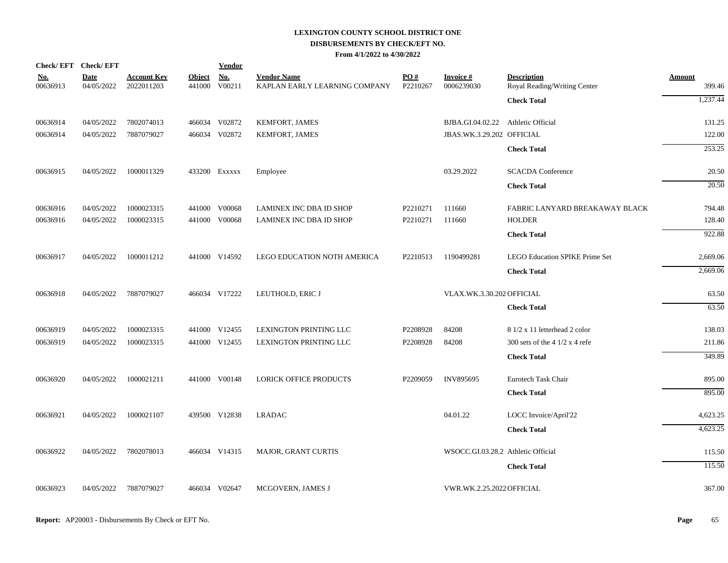|                        | Check/EFT Check/EFT       |                                  |                         | <b>Vendor</b>        |                                                     |                 |                                    |                                                    |                         |
|------------------------|---------------------------|----------------------------------|-------------------------|----------------------|-----------------------------------------------------|-----------------|------------------------------------|----------------------------------------------------|-------------------------|
| <u>No.</u><br>00636913 | <b>Date</b><br>04/05/2022 | <b>Account Key</b><br>2022011203 | <b>Object</b><br>441000 | <u>No.</u><br>V00211 | <b>Vendor Name</b><br>KAPLAN EARLY LEARNING COMPANY | PO#<br>P2210267 | <b>Invoice#</b><br>0006239030      | <b>Description</b><br>Royal Reading/Writing Center | <b>Amount</b><br>399.46 |
|                        |                           |                                  |                         |                      |                                                     |                 |                                    | <b>Check Total</b>                                 | 1,237.44                |
| 00636914               | 04/05/2022                | 7802074013                       |                         | 466034 V02872        | KEMFORT, JAMES                                      |                 | BJBA.GI.04.02.22                   | Athletic Official                                  | 131.25                  |
| 00636914               | 04/05/2022                | 7887079027                       |                         | 466034 V02872        | <b>KEMFORT, JAMES</b>                               |                 | JBAS.WK.3.29.202 OFFICIAL          |                                                    | 122.00                  |
|                        |                           |                                  |                         |                      |                                                     |                 |                                    | <b>Check Total</b>                                 | 253.25                  |
| 00636915               | 04/05/2022                | 1000011329                       |                         | 433200 EXXXXX        | Employee                                            |                 | 03.29.2022                         | <b>SCACDA</b> Conference                           | 20.50                   |
|                        |                           |                                  |                         |                      |                                                     |                 |                                    | <b>Check Total</b>                                 | 20.50                   |
| 00636916               | 04/05/2022                | 1000023315                       |                         | 441000 V00068        | LAMINEX INC DBA ID SHOP                             | P2210271        | 111660                             | FABRIC LANYARD BREAKAWAY BLACK                     | 794.48                  |
| 00636916               | 04/05/2022                | 1000023315                       |                         | 441000 V00068        | LAMINEX INC DBA ID SHOP                             | P2210271        | 111660                             | <b>HOLDER</b>                                      | 128.40                  |
|                        |                           |                                  |                         |                      |                                                     |                 |                                    | <b>Check Total</b>                                 | 922.88                  |
| 00636917               | 04/05/2022                | 1000011212                       |                         | 441000 V14592        | LEGO EDUCATION NOTH AMERICA                         | P2210513        | 1190499281                         | <b>LEGO Education SPIKE Prime Set</b>              | 2,669.06                |
|                        |                           |                                  |                         |                      |                                                     |                 |                                    | <b>Check Total</b>                                 | 2,669.06                |
| 00636918               | 04/05/2022                | 7887079027                       |                         | 466034 V17222        | LEUTHOLD, ERIC J                                    |                 | VLAX.WK.3.30.202 OFFICIAL          |                                                    | 63.50                   |
|                        |                           |                                  |                         |                      |                                                     |                 |                                    | <b>Check Total</b>                                 | 63.50                   |
| 00636919               | 04/05/2022                | 1000023315                       |                         | 441000 V12455        | LEXINGTON PRINTING LLC                              | P2208928        | 84208                              | 8 1/2 x 11 letterhead 2 color                      | 138.03                  |
| 00636919               | 04/05/2022                | 1000023315                       |                         | 441000 V12455        | LEXINGTON PRINTING LLC                              | P2208928        | 84208                              | 300 sets of the $41/2 x 4$ refe                    | 211.86                  |
|                        |                           |                                  |                         |                      |                                                     |                 |                                    | <b>Check Total</b>                                 | 349.89                  |
| 00636920               | 04/05/2022                | 1000021211                       |                         | 441000 V00148        | <b>LORICK OFFICE PRODUCTS</b>                       | P2209059        | <b>INV895695</b>                   | Eurotech Task Chair                                | 895.00                  |
|                        |                           |                                  |                         |                      |                                                     |                 |                                    | <b>Check Total</b>                                 | 895.00                  |
| 00636921               | 04/05/2022                | 1000021107                       |                         | 439500 V12838        | <b>LRADAC</b>                                       |                 | 04.01.22                           | LOCC Invoice/April'22                              | 4,623.25                |
|                        |                           |                                  |                         |                      |                                                     |                 |                                    | <b>Check Total</b>                                 | 4,623.25                |
| 00636922               | 04/05/2022                | 7802078013                       |                         | 466034 V14315        | <b>MAJOR, GRANT CURTIS</b>                          |                 | WSOCC.GI.03.28.2 Athletic Official |                                                    | 115.50                  |
|                        |                           |                                  |                         |                      |                                                     |                 |                                    | <b>Check Total</b>                                 | 115.50                  |
| 00636923               | 04/05/2022                | 7887079027                       |                         | 466034 V02647        | MCGOVERN, JAMES J                                   |                 | VWR.WK.2.25.2022 OFFICIAL          |                                                    | 367.00                  |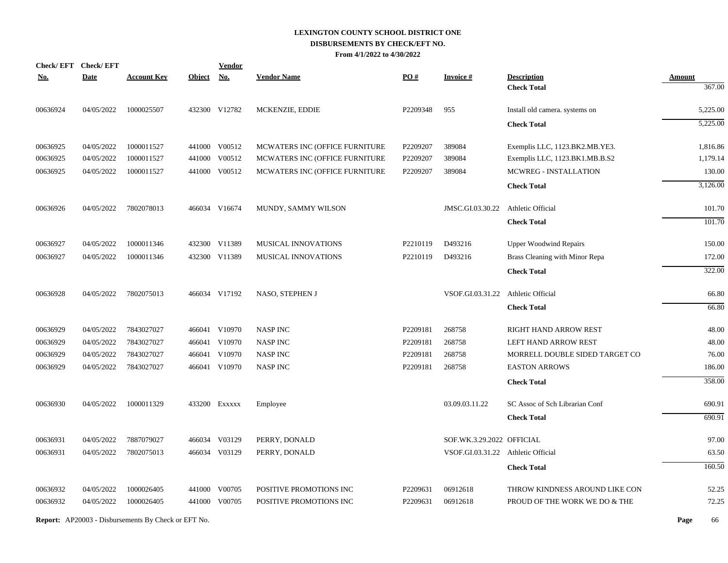| Check/EFT Check/EFT |             |                                                            |               | <u>Vendor</u> |                                |          |                                    |                                |               |
|---------------------|-------------|------------------------------------------------------------|---------------|---------------|--------------------------------|----------|------------------------------------|--------------------------------|---------------|
| <u>No.</u>          | <b>Date</b> | <b>Account Key</b>                                         | <b>Object</b> | <b>No.</b>    | <b>Vendor Name</b>             | PO#      | <b>Invoice#</b>                    | <b>Description</b>             | <b>Amount</b> |
|                     |             |                                                            |               |               |                                |          |                                    | <b>Check Total</b>             | 367.00        |
| 00636924            | 04/05/2022  | 1000025507                                                 |               | 432300 V12782 | MCKENZIE, EDDIE                | P2209348 | 955                                | Install old camera. systems on | 5,225.00      |
|                     |             |                                                            |               |               |                                |          |                                    | <b>Check Total</b>             | 5,225.00      |
| 00636925            | 04/05/2022  | 1000011527                                                 |               | 441000 V00512 | MCWATERS INC (OFFICE FURNITURE | P2209207 | 389084                             | Exemplis LLC, 1123.BK2.MB.YE3. | 1,816.86      |
| 00636925            | 04/05/2022  | 1000011527                                                 |               | 441000 V00512 | MCWATERS INC (OFFICE FURNITURE | P2209207 | 389084                             | Exemplis LLC, 1123.BK1.MB.B.S2 | 1,179.14      |
| 00636925            | 04/05/2022  | 1000011527                                                 |               | 441000 V00512 | MCWATERS INC (OFFICE FURNITURE | P2209207 | 389084                             | MCWREG - INSTALLATION          | 130.00        |
|                     |             |                                                            |               |               |                                |          |                                    | <b>Check Total</b>             | 3,126.00      |
| 00636926            | 04/05/2022  | 7802078013                                                 |               | 466034 V16674 | MUNDY, SAMMY WILSON            |          | JMSC.GI.03.30.22                   | Athletic Official              | 101.70        |
|                     |             |                                                            |               |               |                                |          |                                    | <b>Check Total</b>             | 101.70        |
| 00636927            | 04/05/2022  | 1000011346                                                 |               | 432300 V11389 | MUSICAL INNOVATIONS            | P2210119 | D493216                            | <b>Upper Woodwind Repairs</b>  | 150.00        |
| 00636927            | 04/05/2022  | 1000011346                                                 |               | 432300 V11389 | MUSICAL INNOVATIONS            | P2210119 | D493216                            | Brass Cleaning with Minor Repa | 172.00        |
|                     |             |                                                            |               |               |                                |          |                                    | <b>Check Total</b>             | 322.00        |
| 00636928            | 04/05/2022  | 7802075013                                                 |               | 466034 V17192 | NASO, STEPHEN J                |          | VSOF.GI.03.31.22                   | Athletic Official              | 66.80         |
|                     |             |                                                            |               |               |                                |          |                                    | <b>Check Total</b>             | 66.80         |
| 00636929            | 04/05/2022  | 7843027027                                                 |               | 466041 V10970 | <b>NASP INC</b>                | P2209181 | 268758                             | RIGHT HAND ARROW REST          | 48.00         |
| 00636929            | 04/05/2022  | 7843027027                                                 |               | 466041 V10970 | <b>NASP INC</b>                | P2209181 | 268758                             | LEFT HAND ARROW REST           | 48.00         |
| 00636929            | 04/05/2022  | 7843027027                                                 |               | 466041 V10970 | <b>NASP INC</b>                | P2209181 | 268758                             | MORRELL DOUBLE SIDED TARGET CO | 76.00         |
| 00636929            | 04/05/2022  | 7843027027                                                 |               | 466041 V10970 | <b>NASP INC</b>                | P2209181 | 268758                             | <b>EASTON ARROWS</b>           | 186.00        |
|                     |             |                                                            |               |               |                                |          |                                    | <b>Check Total</b>             | 358.00        |
| 00636930            | 04/05/2022  | 1000011329                                                 |               | 433200 Exxxxx | Employee                       |          | 03.09.03.11.22                     | SC Assoc of Sch Librarian Conf | 690.91        |
|                     |             |                                                            |               |               |                                |          |                                    | <b>Check Total</b>             | 690.91        |
| 00636931            | 04/05/2022  | 7887079027                                                 |               | 466034 V03129 | PERRY, DONALD                  |          | SOF.WK.3.29.2022 OFFICIAL          |                                | 97.00         |
| 00636931            | 04/05/2022  | 7802075013                                                 |               | 466034 V03129 | PERRY, DONALD                  |          | VSOF.GI.03.31.22 Athletic Official |                                | 63.50         |
|                     |             |                                                            |               |               |                                |          |                                    | <b>Check Total</b>             | 160.50        |
| 00636932            | 04/05/2022  | 1000026405                                                 |               | 441000 V00705 | POSITIVE PROMOTIONS INC        | P2209631 | 06912618                           | THROW KINDNESS AROUND LIKE CON | 52.25         |
| 00636932            | 04/05/2022  | 1000026405                                                 |               | 441000 V00705 | POSITIVE PROMOTIONS INC        | P2209631 | 06912618                           | PROUD OF THE WORK WE DO & THE  | 72.25         |
|                     |             | <b>Report:</b> AP20003 - Disbursements By Check or EFT No. |               |               |                                |          |                                    |                                | Page<br>66    |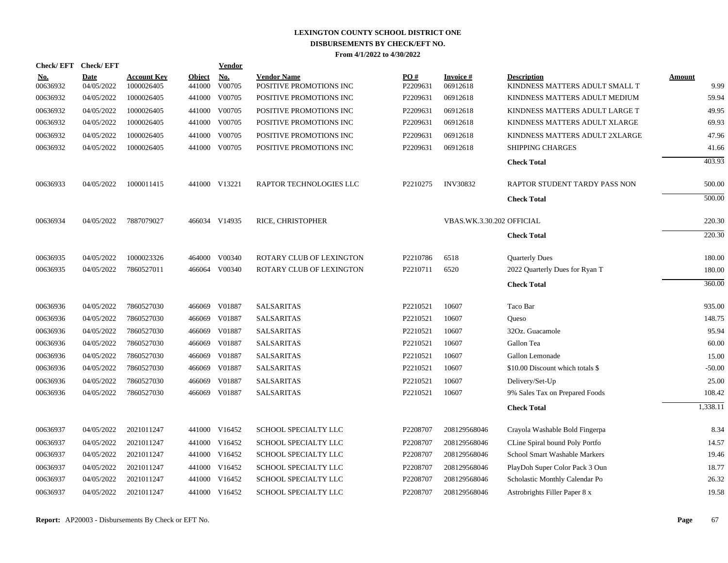| Check/EFT Check/EFT    |                           |                                  |                         | Vendor        |                                               |                 |                             |                                                      |                       |
|------------------------|---------------------------|----------------------------------|-------------------------|---------------|-----------------------------------------------|-----------------|-----------------------------|------------------------------------------------------|-----------------------|
| <u>No.</u><br>00636932 | <b>Date</b><br>04/05/2022 | <b>Account Key</b><br>1000026405 | <b>Object</b><br>441000 | No.<br>V00705 | <b>Vendor Name</b><br>POSITIVE PROMOTIONS INC | PO#<br>P2209631 | <b>Invoice#</b><br>06912618 | <b>Description</b><br>KINDNESS MATTERS ADULT SMALL T | <b>Amount</b><br>9.99 |
| 00636932               | 04/05/2022                | 1000026405                       | 441000                  | V00705        | POSITIVE PROMOTIONS INC                       | P2209631        | 06912618                    | KINDNESS MATTERS ADULT MEDIUM                        | 59.94                 |
|                        |                           |                                  |                         |               |                                               |                 |                             |                                                      |                       |
| 00636932               | 04/05/2022                | 1000026405                       | 441000                  | V00705        | POSITIVE PROMOTIONS INC                       | P2209631        | 06912618                    | KINDNESS MATTERS ADULT LARGE T                       | 49.95<br>69.93        |
| 00636932               | 04/05/2022                | 1000026405                       |                         | 441000 V00705 | POSITIVE PROMOTIONS INC                       | P2209631        | 06912618                    | KINDNESS MATTERS ADULT XLARGE                        |                       |
| 00636932               | 04/05/2022                | 1000026405                       | 441000                  | V00705        | POSITIVE PROMOTIONS INC                       | P2209631        | 06912618                    | KINDNESS MATTERS ADULT 2XLARGE                       | 47.96                 |
| 00636932               | 04/05/2022                | 1000026405                       | 441000                  | V00705        | POSITIVE PROMOTIONS INC                       | P2209631        | 06912618                    | <b>SHIPPING CHARGES</b>                              | 41.66                 |
|                        |                           |                                  |                         |               |                                               |                 |                             | <b>Check Total</b>                                   | 403.93                |
| 00636933               | 04/05/2022                | 1000011415                       |                         | 441000 V13221 | RAPTOR TECHNOLOGIES LLC                       | P2210275        | <b>INV30832</b>             | RAPTOR STUDENT TARDY PASS NON                        | 500.00                |
|                        |                           |                                  |                         |               |                                               |                 |                             | <b>Check Total</b>                                   | 500.00                |
| 00636934               | 04/05/2022                | 7887079027                       |                         | 466034 V14935 | RICE, CHRISTOPHER                             |                 | VBAS.WK.3.30.202 OFFICIAL   |                                                      | 220.30                |
|                        |                           |                                  |                         |               |                                               |                 |                             | <b>Check Total</b>                                   | 220.30                |
| 00636935               | 04/05/2022                | 1000023326                       |                         | 464000 V00340 | ROTARY CLUB OF LEXINGTON                      | P2210786        | 6518                        | <b>Quarterly Dues</b>                                | 180.00                |
| 00636935               | 04/05/2022                | 7860527011                       | 466064                  | V00340        | ROTARY CLUB OF LEXINGTON                      | P2210711        | 6520                        | 2022 Quarterly Dues for Ryan T                       | 180.00                |
|                        |                           |                                  |                         |               |                                               |                 |                             | <b>Check Total</b>                                   | 360.00                |
| 00636936               | 04/05/2022                | 7860527030                       | 466069                  | V01887        | <b>SALSARITAS</b>                             | P2210521        | 10607                       | Taco Bar                                             | 935.00                |
| 00636936               | 04/05/2022                | 7860527030                       | 466069                  | V01887        | <b>SALSARITAS</b>                             | P2210521        | 10607                       | Queso                                                | 148.75                |
| 00636936               | 04/05/2022                | 7860527030                       | 466069                  | V01887        | <b>SALSARITAS</b>                             | P2210521        | 10607                       | 32Oz. Guacamole                                      | 95.94                 |
| 00636936               | 04/05/2022                | 7860527030                       | 466069                  | V01887        | <b>SALSARITAS</b>                             | P2210521        | 10607                       | Gallon Tea                                           | 60.00                 |
| 00636936               | 04/05/2022                | 7860527030                       | 466069                  | V01887        | <b>SALSARITAS</b>                             | P2210521        | 10607                       | Gallon Lemonade                                      | 15.00                 |
| 00636936               | 04/05/2022                | 7860527030                       | 466069                  | V01887        | <b>SALSARITAS</b>                             | P2210521        | 10607                       | \$10.00 Discount which totals \$                     | $-50.00$              |
| 00636936               | 04/05/2022                | 7860527030                       | 466069                  | V01887        | <b>SALSARITAS</b>                             | P2210521        | 10607                       | Delivery/Set-Up                                      | 25.00                 |
| 00636936               | 04/05/2022                | 7860527030                       | 466069                  | V01887        | <b>SALSARITAS</b>                             | P2210521        | 10607                       | 9% Sales Tax on Prepared Foods                       | 108.42                |
|                        |                           |                                  |                         |               |                                               |                 |                             | <b>Check Total</b>                                   | 1,338.11              |
| 00636937               | 04/05/2022                | 2021011247                       |                         | 441000 V16452 | SCHOOL SPECIALTY LLC                          | P2208707        | 208129568046                | Crayola Washable Bold Fingerpa                       | 8.34                  |
| 00636937               | 04/05/2022                | 2021011247                       |                         | 441000 V16452 | SCHOOL SPECIALTY LLC                          | P2208707        | 208129568046                | CLine Spiral bound Poly Portfo                       | 14.57                 |
| 00636937               | 04/05/2022                | 2021011247                       |                         | 441000 V16452 | SCHOOL SPECIALTY LLC                          | P2208707        | 208129568046                | School Smart Washable Markers                        | 19.46                 |
| 00636937               | 04/05/2022                | 2021011247                       | 441000                  | V16452        | SCHOOL SPECIALTY LLC                          | P2208707        | 208129568046                | PlayDoh Super Color Pack 3 Oun                       | 18.77                 |
| 00636937               | 04/05/2022                | 2021011247                       |                         | 441000 V16452 | SCHOOL SPECIALTY LLC                          | P2208707        | 208129568046                | Scholastic Monthly Calendar Po                       | 26.32                 |
| 00636937               | 04/05/2022                | 2021011247                       |                         | 441000 V16452 | SCHOOL SPECIALTY LLC                          | P2208707        | 208129568046                | Astrobrights Filler Paper 8 x                        | 19.58                 |
|                        |                           |                                  |                         |               |                                               |                 |                             |                                                      |                       |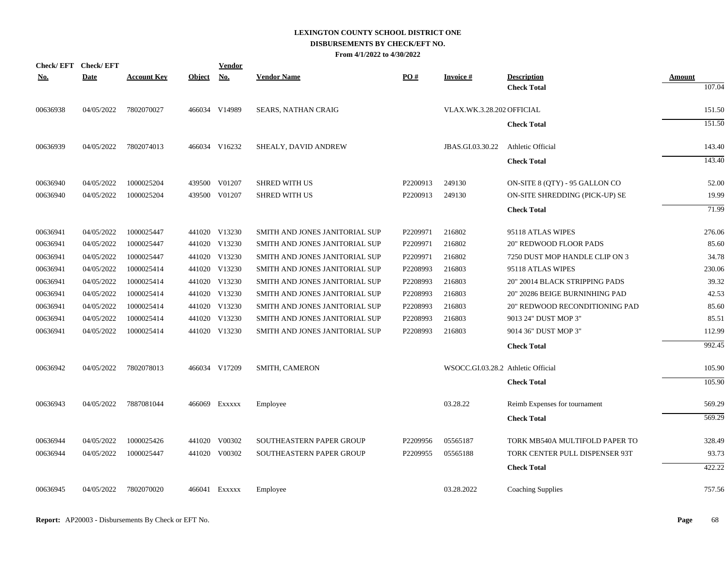| <b>Check/EFT</b> | <b>Check/EFT</b> |                    |               | Vendor        |                                |                      |                                    |                                          |                         |
|------------------|------------------|--------------------|---------------|---------------|--------------------------------|----------------------|------------------------------------|------------------------------------------|-------------------------|
| <u>No.</u>       | <b>Date</b>      | <b>Account Key</b> | <b>Object</b> | <u>No.</u>    | <b>Vendor Name</b>             | PO#                  | <u>Invoice #</u>                   | <b>Description</b><br><b>Check Total</b> | <b>Amount</b><br>107.04 |
| 00636938         | 04/05/2022       | 7802070027         |               | 466034 V14989 | <b>SEARS, NATHAN CRAIG</b>     |                      | VLAX.WK.3.28.202 OFFICIAL          |                                          | 151.50                  |
|                  |                  |                    |               |               |                                |                      |                                    | <b>Check Total</b>                       | 151.50                  |
| 00636939         | 04/05/2022       | 7802074013         |               | 466034 V16232 | SHEALY, DAVID ANDREW           |                      | JBAS.GI.03.30.22                   | Athletic Official                        | 143.40                  |
|                  |                  |                    |               |               |                                |                      |                                    | <b>Check Total</b>                       | 143.40                  |
| 00636940         | 04/05/2022       | 1000025204         |               | 439500 V01207 | <b>SHRED WITH US</b>           | P <sub>2200913</sub> | 249130                             | ON-SITE 8 (QTY) - 95 GALLON CO           | 52.00                   |
| 00636940         | 04/05/2022       | 1000025204         |               | 439500 V01207 | <b>SHRED WITH US</b>           | P2200913             | 249130                             | ON-SITE SHREDDING (PICK-UP) SE           | 19.99                   |
|                  |                  |                    |               |               |                                |                      |                                    | <b>Check Total</b>                       | 71.99                   |
| 00636941         | 04/05/2022       | 1000025447         |               | 441020 V13230 | SMITH AND JONES JANITORIAL SUP | P2209971             | 216802                             | 95118 ATLAS WIPES                        | 276.06                  |
| 00636941         | 04/05/2022       | 1000025447         |               | 441020 V13230 | SMITH AND JONES JANITORIAL SUP | P2209971             | 216802                             | <b>20" REDWOOD FLOOR PADS</b>            | 85.60                   |
| 00636941         | 04/05/2022       | 1000025447         |               | 441020 V13230 | SMITH AND JONES JANITORIAL SUP | P2209971             | 216802                             | 7250 DUST MOP HANDLE CLIP ON 3           | 34.78                   |
| 00636941         | 04/05/2022       | 1000025414         |               | 441020 V13230 | SMITH AND JONES JANITORIAL SUP | P2208993             | 216803                             | 95118 ATLAS WIPES                        | 230.06                  |
| 00636941         | 04/05/2022       | 1000025414         |               | 441020 V13230 | SMITH AND JONES JANITORIAL SUP | P2208993             | 216803                             | 20" 20014 BLACK STRIPPING PADS           | 39.32                   |
| 00636941         | 04/05/2022       | 1000025414         |               | 441020 V13230 | SMITH AND JONES JANITORIAL SUP | P2208993             | 216803                             | 20" 20286 BEIGE BURNINHING PAD           | 42.53                   |
| 00636941         | 04/05/2022       | 1000025414         |               | 441020 V13230 | SMITH AND JONES JANITORIAL SUP | P2208993             | 216803                             | 20" REDWOOD RECONDITIONING PAD           | 85.60                   |
| 00636941         | 04/05/2022       | 1000025414         |               | 441020 V13230 | SMITH AND JONES JANITORIAL SUP | P2208993             | 216803                             | 9013 24" DUST MOP 3"                     | 85.51                   |
| 00636941         | 04/05/2022       | 1000025414         |               | 441020 V13230 | SMITH AND JONES JANITORIAL SUP | P2208993             | 216803                             | 9014 36" DUST MOP 3"                     | 112.99                  |
|                  |                  |                    |               |               |                                |                      |                                    | <b>Check Total</b>                       | 992.45                  |
| 00636942         | 04/05/2022       | 7802078013         |               | 466034 V17209 | SMITH, CAMERON                 |                      | WSOCC.GI.03.28.2 Athletic Official |                                          | 105.90                  |
|                  |                  |                    |               |               |                                |                      |                                    | <b>Check Total</b>                       | 105.90                  |
| 00636943         | 04/05/2022       | 7887081044         |               | 466069 Exxxxx | Employee                       |                      | 03.28.22                           | Reimb Expenses for tournament            | 569.29                  |
|                  |                  |                    |               |               |                                |                      |                                    | <b>Check Total</b>                       | 569.29                  |
| 00636944         | 04/05/2022       | 1000025426         |               | 441020 V00302 | SOUTHEASTERN PAPER GROUP       | P2209956             | 05565187                           | TORK MB540A MULTIFOLD PAPER TO           | 328.49                  |
| 00636944         | 04/05/2022       | 1000025447         |               | 441020 V00302 | SOUTHEASTERN PAPER GROUP       | P2209955             | 05565188                           | TORK CENTER PULL DISPENSER 93T           | 93.73                   |
|                  |                  |                    |               |               |                                |                      |                                    | <b>Check Total</b>                       | 422.22                  |
| 00636945         | 04/05/2022       | 7802070020         |               | 466041 Exxxxx | Employee                       |                      | 03.28.2022                         | <b>Coaching Supplies</b>                 | 757.56                  |
|                  |                  |                    |               |               |                                |                      |                                    |                                          |                         |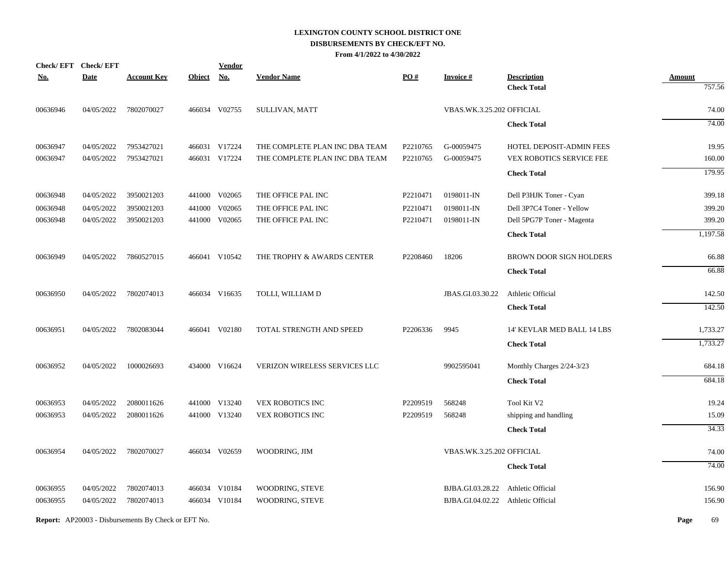|            | Check/EFT Check/EFT |                    |               | <b>Vendor</b> |                                |          |                           |                                          |                         |
|------------|---------------------|--------------------|---------------|---------------|--------------------------------|----------|---------------------------|------------------------------------------|-------------------------|
| <u>No.</u> | <b>Date</b>         | <b>Account Key</b> | <b>Object</b> | <b>No.</b>    | <b>Vendor Name</b>             | PO#      | <b>Invoice#</b>           | <b>Description</b><br><b>Check Total</b> | <b>Amount</b><br>757.56 |
| 00636946   | 04/05/2022          | 7802070027         |               | 466034 V02755 | SULLIVAN, MATT                 |          | VBAS.WK.3.25.202 OFFICIAL |                                          | 74.00                   |
|            |                     |                    |               |               |                                |          |                           |                                          |                         |
|            |                     |                    |               |               |                                |          |                           | <b>Check Total</b>                       | 74.00                   |
| 00636947   | 04/05/2022          | 7953427021         |               | 466031 V17224 | THE COMPLETE PLAN INC DBA TEAM | P2210765 | G-00059475                | HOTEL DEPOSIT-ADMIN FEES                 | 19.95                   |
| 00636947   | 04/05/2022          | 7953427021         |               | 466031 V17224 | THE COMPLETE PLAN INC DBA TEAM | P2210765 | G-00059475                | <b>VEX ROBOTICS SERVICE FEE</b>          | 160.00                  |
|            |                     |                    |               |               |                                |          |                           | <b>Check Total</b>                       | 179.95                  |
| 00636948   | 04/05/2022          | 3950021203         |               | 441000 V02065 | THE OFFICE PAL INC             | P2210471 | 0198011-IN                | Dell P3HJK Toner - Cyan                  | 399.18                  |
| 00636948   | 04/05/2022          | 3950021203         | 441000        | V02065        | THE OFFICE PAL INC             | P2210471 | 0198011-IN                | Dell 3P7C4 Toner - Yellow                | 399.20                  |
| 00636948   | 04/05/2022          | 3950021203         |               | 441000 V02065 | THE OFFICE PAL INC             | P2210471 | 0198011-IN                | Dell 5PG7P Toner - Magenta               | 399.20                  |
|            |                     |                    |               |               |                                |          |                           | <b>Check Total</b>                       | 1,197.58                |
| 00636949   | 04/05/2022          | 7860527015         |               | 466041 V10542 | THE TROPHY & AWARDS CENTER     | P2208460 | 18206                     | BROWN DOOR SIGN HOLDERS                  | 66.88                   |
|            |                     |                    |               |               |                                |          |                           | <b>Check Total</b>                       | 66.88                   |
| 00636950   | 04/05/2022          | 7802074013         |               | 466034 V16635 | TOLLI, WILLIAM D               |          | JBAS.GI.03.30.22          | Athletic Official                        | 142.50                  |
|            |                     |                    |               |               |                                |          |                           | <b>Check Total</b>                       | 142.50                  |
|            |                     |                    |               |               |                                |          |                           |                                          |                         |
| 00636951   | 04/05/2022          | 7802083044         |               | 466041 V02180 | TOTAL STRENGTH AND SPEED       | P2206336 | 9945                      | 14' KEVLAR MED BALL 14 LBS               | 1,733.27                |
|            |                     |                    |               |               |                                |          |                           | <b>Check Total</b>                       | 1,733.27                |
| 00636952   | 04/05/2022          | 1000026693         |               | 434000 V16624 | VERIZON WIRELESS SERVICES LLC  |          | 9902595041                | Monthly Charges 2/24-3/23                | 684.18                  |
|            |                     |                    |               |               |                                |          |                           | <b>Check Total</b>                       | 684.18                  |
| 00636953   | 04/05/2022          | 2080011626         |               | 441000 V13240 | VEX ROBOTICS INC               | P2209519 | 568248                    | Tool Kit V2                              | 19.24                   |
| 00636953   | 04/05/2022          | 2080011626         |               | 441000 V13240 | <b>VEX ROBOTICS INC</b>        | P2209519 | 568248                    | shipping and handling                    | 15.09                   |
|            |                     |                    |               |               |                                |          |                           | <b>Check Total</b>                       | 34.33                   |
| 00636954   | 04/05/2022          | 7802070027         |               | 466034 V02659 | WOODRING, JIM                  |          | VBAS.WK.3.25.202 OFFICIAL |                                          | 74.00                   |
|            |                     |                    |               |               |                                |          |                           | <b>Check Total</b>                       | 74.00                   |
|            |                     |                    |               |               |                                |          |                           |                                          |                         |
| 00636955   | 04/05/2022          | 7802074013         |               | 466034 V10184 | WOODRING, STEVE                |          | BJBA.GI.03.28.22          | Athletic Official                        | 156.90                  |
| 00636955   | 04/05/2022          | 7802074013         |               | 466034 V10184 | WOODRING, STEVE                |          | BJBA.GI.04.02.22          | Athletic Official                        | 156.90                  |
|            |                     |                    |               |               |                                |          |                           |                                          |                         |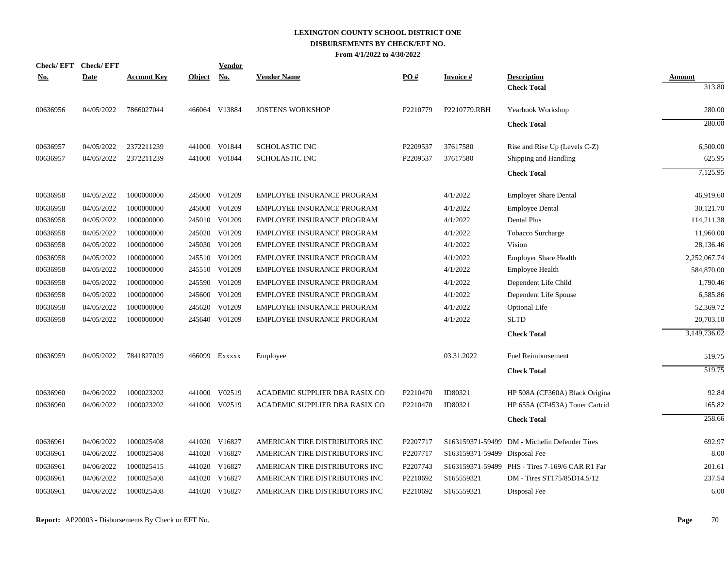| <b>Check/EFT</b> | <b>Check/EFT</b> |                    |               | Vendor        |                                |          |                               |                                                 |                         |
|------------------|------------------|--------------------|---------------|---------------|--------------------------------|----------|-------------------------------|-------------------------------------------------|-------------------------|
| <u>No.</u>       | <b>Date</b>      | <b>Account Key</b> | <b>Object</b> | No.           | <b>Vendor Name</b>             | PO#      | <b>Invoice#</b>               | <b>Description</b><br><b>Check Total</b>        | <b>Amount</b><br>313.80 |
| 00636956         | 04/05/2022       | 7866027044         |               | 466064 V13884 | <b>JOSTENS WORKSHOP</b>        | P2210779 | P2210779.RBH                  | Yearbook Workshop                               | 280.00                  |
|                  |                  |                    |               |               |                                |          |                               | <b>Check Total</b>                              | 280.00                  |
| 00636957         | 04/05/2022       | 2372211239         | 441000        | V01844        | <b>SCHOLASTIC INC</b>          | P2209537 | 37617580                      | Rise and Rise Up (Levels C-Z)                   | 6,500.00                |
| 00636957         | 04/05/2022       | 2372211239         | 441000        | V01844        | <b>SCHOLASTIC INC</b>          | P2209537 | 37617580                      | Shipping and Handling                           | 625.95                  |
|                  |                  |                    |               |               |                                |          |                               | <b>Check Total</b>                              | 7,125.95                |
| 00636958         | 04/05/2022       | 1000000000         |               | 245000 V01209 | EMPLOYEE INSURANCE PROGRAM     |          | 4/1/2022                      | <b>Employer Share Dental</b>                    | 46,919.60               |
| 00636958         | 04/05/2022       | 1000000000         | 245000        | V01209        | EMPLOYEE INSURANCE PROGRAM     |          | 4/1/2022                      | <b>Employee Dental</b>                          | 30,121.70               |
| 00636958         | 04/05/2022       | 1000000000         |               | 245010 V01209 | EMPLOYEE INSURANCE PROGRAM     |          | 4/1/2022                      | Dental Plus                                     | 114,211.38              |
| 00636958         | 04/05/2022       | 1000000000         |               | 245020 V01209 | EMPLOYEE INSURANCE PROGRAM     |          | 4/1/2022                      | Tobacco Surcharge                               | 11,960.00               |
| 00636958         | 04/05/2022       | 1000000000         |               | 245030 V01209 | EMPLOYEE INSURANCE PROGRAM     |          | 4/1/2022                      | Vision                                          | 28,136.46               |
| 00636958         | 04/05/2022       | 1000000000         |               | 245510 V01209 | EMPLOYEE INSURANCE PROGRAM     |          | 4/1/2022                      | <b>Employer Share Health</b>                    | 2,252,067.74            |
| 00636958         | 04/05/2022       | 1000000000         | 245510        | V01209        | EMPLOYEE INSURANCE PROGRAM     |          | 4/1/2022                      | <b>Employee Health</b>                          | 584,870.00              |
| 00636958         | 04/05/2022       | 1000000000         |               | 245590 V01209 | EMPLOYEE INSURANCE PROGRAM     |          | 4/1/2022                      | Dependent Life Child                            | 1,790.46                |
| 00636958         | 04/05/2022       | 1000000000         | 245600        | V01209        | EMPLOYEE INSURANCE PROGRAM     |          | 4/1/2022                      | Dependent Life Spouse                           | 6,585.86                |
| 00636958         | 04/05/2022       | 1000000000         | 245620        | V01209        | EMPLOYEE INSURANCE PROGRAM     |          | 4/1/2022                      | <b>Optional Life</b>                            | 52,369.72               |
| 00636958         | 04/05/2022       | 1000000000         |               | 245640 V01209 | EMPLOYEE INSURANCE PROGRAM     |          | 4/1/2022                      | <b>SLTD</b>                                     | 20,703.10               |
|                  |                  |                    |               |               |                                |          |                               | <b>Check Total</b>                              | 3,149,736.02            |
| 00636959         | 04/05/2022       | 7841827029         |               | 466099 Exxxxx | Employee                       |          | 03.31.2022                    | <b>Fuel Reimbursement</b>                       | 519.75                  |
|                  |                  |                    |               |               |                                |          |                               | <b>Check Total</b>                              | 519.75                  |
| 00636960         | 04/06/2022       | 1000023202         |               | 441000 V02519 | ACADEMIC SUPPLIER DBA RASIX CO | P2210470 | ID80321                       | HP 508A (CF360A) Black Origina                  | 92.84                   |
| 00636960         | 04/06/2022       | 1000023202         |               | 441000 V02519 | ACADEMIC SUPPLIER DBA RASIX CO | P2210470 | ID80321                       | HP 655A (CF453A) Toner Cartrid                  | 165.82                  |
|                  |                  |                    |               |               |                                |          |                               | <b>Check Total</b>                              | 258.66                  |
| 00636961         | 04/06/2022       | 1000025408         |               | 441020 V16827 | AMERICAN TIRE DISTRIBUTORS INC | P2207717 |                               | S163159371-59499 DM - Michelin Defender Tires   | 692.97                  |
| 00636961         | 04/06/2022       | 1000025408         |               | 441020 V16827 | AMERICAN TIRE DISTRIBUTORS INC | P2207717 | S163159371-59499 Disposal Fee |                                                 | 8.00                    |
| 00636961         | 04/06/2022       | 1000025415         |               | 441020 V16827 | AMERICAN TIRE DISTRIBUTORS INC | P2207743 |                               | S163159371-59499 PHS - Tires 7-169/6 CAR R1 Far | 201.61                  |
| 00636961         | 04/06/2022       | 1000025408         |               | 441020 V16827 | AMERICAN TIRE DISTRIBUTORS INC | P2210692 | S165559321                    | DM - Tires ST175/85D14.5/12                     | 237.54                  |
| 00636961         | 04/06/2022       | 1000025408         |               | 441020 V16827 | AMERICAN TIRE DISTRIBUTORS INC | P2210692 | S165559321                    | Disposal Fee                                    | 6.00                    |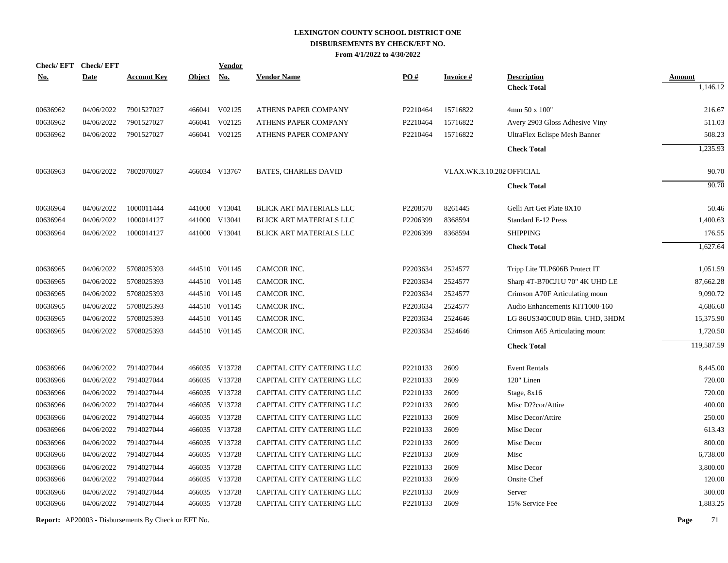| <b>Check/EFT</b> | <b>Check/EFT</b> |                    |               | <b>Vendor</b> |                                |                   |                 |                                |               |
|------------------|------------------|--------------------|---------------|---------------|--------------------------------|-------------------|-----------------|--------------------------------|---------------|
| <u>No.</u>       | <b>Date</b>      | <b>Account Key</b> | <b>Object</b> | <u>No.</u>    | <b>Vendor Name</b>             | $\underline{PO#}$ | <b>Invoice#</b> | <b>Description</b>             | <b>Amount</b> |
|                  |                  |                    |               |               |                                |                   |                 | <b>Check Total</b>             | 1,146.12      |
| 00636962         | 04/06/2022       | 7901527027         |               | 466041 V02125 | ATHENS PAPER COMPANY           | P2210464          | 15716822        | 4mm 50 x 100"                  | 216.67        |
| 00636962         | 04/06/2022       | 7901527027         | 466041        | V02125        | ATHENS PAPER COMPANY           | P2210464          | 15716822        | Avery 2903 Gloss Adhesive Viny | 511.03        |
| 00636962         | 04/06/2022       | 7901527027         |               | 466041 V02125 | ATHENS PAPER COMPANY           | P2210464          | 15716822        | UltraFlex Eclispe Mesh Banner  | 508.23        |
|                  |                  |                    |               |               |                                |                   |                 | <b>Check Total</b>             | 1,235.93      |
| 00636963         | 04/06/2022       | 7802070027         |               | 466034 V13767 | <b>BATES, CHARLES DAVID</b>    |                   |                 | VLAX.WK.3.10.202 OFFICIAL      | 90.70         |
|                  |                  |                    |               |               |                                |                   |                 | <b>Check Total</b>             | 90.70         |
| 00636964         | 04/06/2022       | 1000011444         |               | 441000 V13041 | <b>BLICK ART MATERIALS LLC</b> | P2208570          | 8261445         | Gelli Art Get Plate 8X10       | 50.46         |
| 00636964         | 04/06/2022       | 1000014127         |               | 441000 V13041 | <b>BLICK ART MATERIALS LLC</b> | P2206399          | 8368594         | Standard E-12 Press            | 1,400.63      |
| 00636964         | 04/06/2022       | 1000014127         |               | 441000 V13041 | <b>BLICK ART MATERIALS LLC</b> | P2206399          | 8368594         | <b>SHIPPING</b>                | 176.55        |
|                  |                  |                    |               |               |                                |                   |                 | <b>Check Total</b>             | 1,627.64      |
| 00636965         | 04/06/2022       | 5708025393         |               | 444510 V01145 | CAMCOR INC.                    | P2203634          | 2524577         | Tripp Lite TLP606B Protect IT  | 1,051.59      |
| 00636965         | 04/06/2022       | 5708025393         |               | 444510 V01145 | CAMCOR INC.                    | P2203634          | 2524577         | Sharp 4T-B70CJ1U 70" 4K UHD LE | 87,662.28     |
| 00636965         | 04/06/2022       | 5708025393         |               | 444510 V01145 | CAMCOR INC.                    | P2203634          | 2524577         | Crimson A70F Articulating moun | 9,090.72      |
| 00636965         | 04/06/2022       | 5708025393         |               | 444510 V01145 | CAMCOR INC.                    | P2203634          | 2524577         | Audio Enhancements KIT1000-160 | 4,686.60      |
| 00636965         | 04/06/2022       | 5708025393         |               | 444510 V01145 | CAMCOR INC.                    | P2203634          | 2524646         | LG 86US340C0UD 86in. UHD, 3HDM | 15,375.90     |
| 00636965         | 04/06/2022       | 5708025393         |               | 444510 V01145 | CAMCOR INC.                    | P2203634          | 2524646         | Crimson A65 Articulating mount | 1,720.50      |
|                  |                  |                    |               |               |                                |                   |                 | <b>Check Total</b>             | 119,587.59    |
| 00636966         | 04/06/2022       | 7914027044         |               | 466035 V13728 | CAPITAL CITY CATERING LLC      | P2210133          | 2609            | <b>Event Rentals</b>           | 8,445.00      |
| 00636966         | 04/06/2022       | 7914027044         |               | 466035 V13728 | CAPITAL CITY CATERING LLC      | P2210133          | 2609            | 120" Linen                     | 720.00        |
| 00636966         | 04/06/2022       | 7914027044         |               | 466035 V13728 | CAPITAL CITY CATERING LLC      | P2210133          | 2609            | Stage, 8x16                    | 720.00        |
| 00636966         | 04/06/2022       | 7914027044         |               | 466035 V13728 | CAPITAL CITY CATERING LLC      | P2210133          | 2609            | Misc D??cor/Attire             | 400.00        |
| 00636966         | 04/06/2022       | 7914027044         |               | 466035 V13728 | CAPITAL CITY CATERING LLC      | P2210133          | 2609            | Misc Decor/Attire              | 250.00        |
| 00636966         | 04/06/2022       | 7914027044         |               | 466035 V13728 | CAPITAL CITY CATERING LLC      | P2210133          | 2609            | Misc Decor                     | 613.43        |
| 00636966         | 04/06/2022       | 7914027044         |               | 466035 V13728 | CAPITAL CITY CATERING LLC      | P2210133          | 2609            | Misc Decor                     | 800.00        |
| 00636966         | 04/06/2022       | 7914027044         |               | 466035 V13728 | CAPITAL CITY CATERING LLC      | P2210133          | 2609            | Misc                           | 6,738.00      |
| 00636966         | 04/06/2022       | 7914027044         |               | 466035 V13728 | CAPITAL CITY CATERING LLC      | P2210133          | 2609            | Misc Decor                     | 3,800.00      |
| 00636966         | 04/06/2022       | 7914027044         |               | 466035 V13728 | CAPITAL CITY CATERING LLC      | P2210133          | 2609            | Onsite Chef                    | 120.00        |
| 00636966         | 04/06/2022       | 7914027044         |               | 466035 V13728 | CAPITAL CITY CATERING LLC      | P2210133          | 2609            | Server                         | 300.00        |
| 00636966         | 04/06/2022       | 7914027044         |               | 466035 V13728 | CAPITAL CITY CATERING LLC      | P2210133          | 2609            | 15% Service Fee                | 1,883.25      |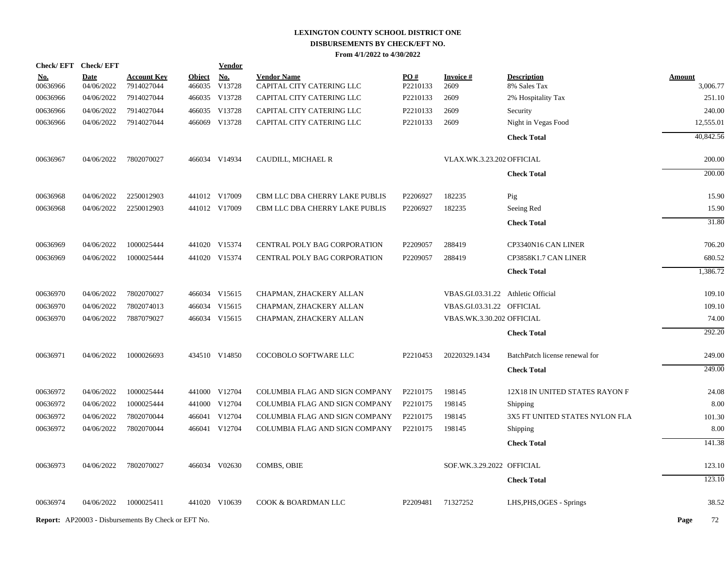| Check/EFT Check/EFT |                                                      |                                                      | Vendor                                                     |                                                                                                                                                                                                                                                                                                                                                     |                                                                                                                  |                                              |                                |                                                                                                                                                                                                                                                       |
|---------------------|------------------------------------------------------|------------------------------------------------------|------------------------------------------------------------|-----------------------------------------------------------------------------------------------------------------------------------------------------------------------------------------------------------------------------------------------------------------------------------------------------------------------------------------------------|------------------------------------------------------------------------------------------------------------------|----------------------------------------------|--------------------------------|-------------------------------------------------------------------------------------------------------------------------------------------------------------------------------------------------------------------------------------------------------|
| <b>Date</b>         | <b>Account Key</b>                                   |                                                      | <b>No.</b>                                                 | <b>Vendor Name</b>                                                                                                                                                                                                                                                                                                                                  | PO#                                                                                                              | <b>Invoice#</b>                              | <b>Description</b>             | Amount                                                                                                                                                                                                                                                |
|                     |                                                      |                                                      |                                                            |                                                                                                                                                                                                                                                                                                                                                     |                                                                                                                  |                                              |                                | 3,006.77                                                                                                                                                                                                                                              |
|                     |                                                      |                                                      |                                                            |                                                                                                                                                                                                                                                                                                                                                     |                                                                                                                  |                                              |                                | 251.10                                                                                                                                                                                                                                                |
|                     |                                                      |                                                      |                                                            |                                                                                                                                                                                                                                                                                                                                                     |                                                                                                                  |                                              |                                | 240.00                                                                                                                                                                                                                                                |
|                     |                                                      |                                                      |                                                            |                                                                                                                                                                                                                                                                                                                                                     |                                                                                                                  |                                              |                                | 12,555.01                                                                                                                                                                                                                                             |
|                     |                                                      |                                                      |                                                            |                                                                                                                                                                                                                                                                                                                                                     |                                                                                                                  |                                              |                                | 40,842.56                                                                                                                                                                                                                                             |
| 04/06/2022          | 7802070027                                           |                                                      |                                                            | CAUDILL, MICHAEL R                                                                                                                                                                                                                                                                                                                                  |                                                                                                                  |                                              |                                | 200.00                                                                                                                                                                                                                                                |
|                     |                                                      |                                                      |                                                            |                                                                                                                                                                                                                                                                                                                                                     |                                                                                                                  |                                              | <b>Check Total</b>             | $\overline{200.00}$                                                                                                                                                                                                                                   |
| 04/06/2022          | 2250012903                                           |                                                      |                                                            | CBM LLC DBA CHERRY LAKE PUBLIS                                                                                                                                                                                                                                                                                                                      | P2206927                                                                                                         | 182235                                       | Pig                            | 15.90                                                                                                                                                                                                                                                 |
| 04/06/2022          | 2250012903                                           |                                                      |                                                            | CBM LLC DBA CHERRY LAKE PUBLIS                                                                                                                                                                                                                                                                                                                      | P2206927                                                                                                         | 182235                                       | Seeing Red                     | 15.90                                                                                                                                                                                                                                                 |
|                     |                                                      |                                                      |                                                            |                                                                                                                                                                                                                                                                                                                                                     |                                                                                                                  |                                              | <b>Check Total</b>             | 31.80                                                                                                                                                                                                                                                 |
| 04/06/2022          | 1000025444                                           |                                                      |                                                            | CENTRAL POLY BAG CORPORATION                                                                                                                                                                                                                                                                                                                        | P2209057                                                                                                         | 288419                                       | CP3340N16 CAN LINER            | 706.20                                                                                                                                                                                                                                                |
| 04/06/2022          | 1000025444                                           |                                                      |                                                            | CENTRAL POLY BAG CORPORATION                                                                                                                                                                                                                                                                                                                        | P2209057                                                                                                         | 288419                                       | CP3858K1.7 CAN LINER           | 680.52                                                                                                                                                                                                                                                |
|                     |                                                      |                                                      |                                                            |                                                                                                                                                                                                                                                                                                                                                     |                                                                                                                  |                                              | <b>Check Total</b>             | 1,386.72                                                                                                                                                                                                                                              |
| 04/06/2022          | 7802070027                                           |                                                      |                                                            | CHAPMAN, ZHACKERY ALLAN                                                                                                                                                                                                                                                                                                                             |                                                                                                                  |                                              |                                | 109.10                                                                                                                                                                                                                                                |
| 04/06/2022          | 7802074013                                           |                                                      |                                                            | CHAPMAN, ZHACKERY ALLAN                                                                                                                                                                                                                                                                                                                             |                                                                                                                  |                                              |                                | 109.10                                                                                                                                                                                                                                                |
| 04/06/2022          | 7887079027                                           |                                                      |                                                            | CHAPMAN, ZHACKERY ALLAN                                                                                                                                                                                                                                                                                                                             |                                                                                                                  |                                              |                                | 74.00                                                                                                                                                                                                                                                 |
|                     |                                                      |                                                      |                                                            |                                                                                                                                                                                                                                                                                                                                                     |                                                                                                                  |                                              | <b>Check Total</b>             | 292.20                                                                                                                                                                                                                                                |
| 04/06/2022          | 1000026693                                           |                                                      |                                                            | COCOBOLO SOFTWARE LLC                                                                                                                                                                                                                                                                                                                               | P2210453                                                                                                         | 20220329.1434                                | BatchPatch license renewal for | 249.00                                                                                                                                                                                                                                                |
|                     |                                                      |                                                      |                                                            |                                                                                                                                                                                                                                                                                                                                                     |                                                                                                                  |                                              | <b>Check Total</b>             | 249.00                                                                                                                                                                                                                                                |
| 04/06/2022          | 1000025444                                           |                                                      |                                                            | COLUMBIA FLAG AND SIGN COMPANY                                                                                                                                                                                                                                                                                                                      | P2210175                                                                                                         | 198145                                       | 12X18 IN UNITED STATES RAYON F | 24.08                                                                                                                                                                                                                                                 |
| 04/06/2022          | 1000025444                                           |                                                      |                                                            | COLUMBIA FLAG AND SIGN COMPANY                                                                                                                                                                                                                                                                                                                      | P2210175                                                                                                         | 198145                                       | Shipping                       | 8.00                                                                                                                                                                                                                                                  |
| 04/06/2022          | 7802070044                                           |                                                      |                                                            | COLUMBIA FLAG AND SIGN COMPANY                                                                                                                                                                                                                                                                                                                      | P2210175                                                                                                         | 198145                                       | 3X5 FT UNITED STATES NYLON FLA | 101.30                                                                                                                                                                                                                                                |
| 04/06/2022          | 7802070044                                           |                                                      |                                                            | COLUMBIA FLAG AND SIGN COMPANY                                                                                                                                                                                                                                                                                                                      | P2210175                                                                                                         | 198145                                       | Shipping                       | 8.00                                                                                                                                                                                                                                                  |
|                     |                                                      |                                                      |                                                            |                                                                                                                                                                                                                                                                                                                                                     |                                                                                                                  |                                              | <b>Check Total</b>             | 141.38                                                                                                                                                                                                                                                |
| 04/06/2022          | 7802070027                                           |                                                      |                                                            | <b>COMBS, OBIE</b>                                                                                                                                                                                                                                                                                                                                  |                                                                                                                  |                                              |                                | 123.10                                                                                                                                                                                                                                                |
|                     |                                                      |                                                      |                                                            |                                                                                                                                                                                                                                                                                                                                                     |                                                                                                                  |                                              | <b>Check Total</b>             | 123.10                                                                                                                                                                                                                                                |
| 04/06/2022          | 1000025411                                           |                                                      |                                                            | COOK & BOARDMAN LLC                                                                                                                                                                                                                                                                                                                                 | P2209481                                                                                                         | 71327252                                     | LHS, PHS, OGES - Springs       | 38.52                                                                                                                                                                                                                                                 |
|                     |                                                      |                                                      |                                                            |                                                                                                                                                                                                                                                                                                                                                     |                                                                                                                  |                                              |                                | Page<br>72                                                                                                                                                                                                                                            |
|                     | 04/06/2022<br>04/06/2022<br>04/06/2022<br>04/06/2022 | 7914027044<br>7914027044<br>7914027044<br>7914027044 | <b>Report:</b> AP20003 - Disbursements By Check or EFT No. | <b>Object</b><br>466035<br>V13728<br>466035 V13728<br>466035 V13728<br>466069 V13728<br>466034 V14934<br>441012 V17009<br>441012 V17009<br>441020 V15374<br>441020 V15374<br>466034 V15615<br>466034 V15615<br>466034 V15615<br>434510 V14850<br>441000 V12704<br>441000 V12704<br>466041 V12704<br>466041 V12704<br>466034 V02630<br>441020 V10639 | CAPITAL CITY CATERING LLC<br>CAPITAL CITY CATERING LLC<br>CAPITAL CITY CATERING LLC<br>CAPITAL CITY CATERING LLC | P2210133<br>P2210133<br>P2210133<br>P2210133 | 2609<br>2609<br>2609<br>2609   | 8% Sales Tax<br>2% Hospitality Tax<br>Security<br>Night in Vegas Food<br><b>Check Total</b><br>VLAX.WK.3.23.202 OFFICIAL<br>VBAS.GI.03.31.22 Athletic Official<br>VBAS.GI.03.31.22 OFFICIAL<br>VBAS.WK.3.30.202 OFFICIAL<br>SOF.WK.3.29.2022 OFFICIAL |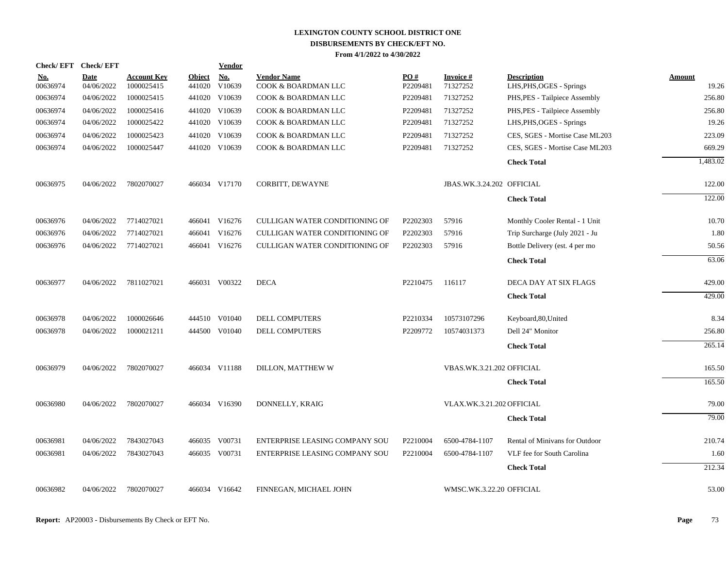| <b>Check/EFT</b>       | <b>Check/EFT</b>          |                                  |                         | <b>Vendor</b> |                                           |                 |                             |                                                |                 |
|------------------------|---------------------------|----------------------------------|-------------------------|---------------|-------------------------------------------|-----------------|-----------------------------|------------------------------------------------|-----------------|
| <u>No.</u><br>00636974 | <b>Date</b><br>04/06/2022 | <b>Account Key</b><br>1000025415 | <b>Object</b><br>441020 | No.<br>V10639 | <b>Vendor Name</b><br>COOK & BOARDMAN LLC | PO#<br>P2209481 | <b>Invoice#</b><br>71327252 | <b>Description</b><br>LHS, PHS, OGES - Springs | Amount<br>19.26 |
| 00636974               | 04/06/2022                | 1000025415                       | 441020                  | V10639        | COOK & BOARDMAN LLC                       | P2209481        | 71327252                    | PHS, PES - Tailpiece Assembly                  | 256.80          |
| 00636974               | 04/06/2022                | 1000025416                       |                         | 441020 V10639 | COOK & BOARDMAN LLC                       | P2209481        | 71327252                    | PHS, PES - Tailpiece Assembly                  | 256.80          |
| 00636974               | 04/06/2022                | 1000025422                       |                         | 441020 V10639 | COOK & BOARDMAN LLC                       | P2209481        | 71327252                    | LHS, PHS, OGES - Springs                       | 19.26           |
| 00636974               | 04/06/2022                | 1000025423                       |                         | 441020 V10639 | COOK & BOARDMAN LLC                       | P2209481        | 71327252                    | CES, SGES - Mortise Case ML203                 | 223.09          |
| 00636974               | 04/06/2022                | 1000025447                       |                         | 441020 V10639 | COOK & BOARDMAN LLC                       | P2209481        | 71327252                    | CES, SGES - Mortise Case ML203                 | 669.29          |
|                        |                           |                                  |                         |               |                                           |                 |                             | <b>Check Total</b>                             | 1,483.02        |
| 00636975               | 04/06/2022                | 7802070027                       |                         | 466034 V17170 | CORBITT, DEWAYNE                          |                 | JBAS.WK.3.24.202 OFFICIAL   |                                                | 122.00          |
|                        |                           |                                  |                         |               |                                           |                 |                             | <b>Check Total</b>                             | 122.00          |
| 00636976               | 04/06/2022                | 7714027021                       |                         | 466041 V16276 | CULLIGAN WATER CONDITIONING OF            | P2202303        | 57916                       | Monthly Cooler Rental - 1 Unit                 | 10.70           |
| 00636976               | 04/06/2022                | 7714027021                       |                         | 466041 V16276 | CULLIGAN WATER CONDITIONING OF            | P2202303        | 57916                       | Trip Surcharge (July 2021 - Ju                 | 1.80            |
| 00636976               | 04/06/2022                | 7714027021                       |                         | 466041 V16276 | CULLIGAN WATER CONDITIONING OF            | P2202303        | 57916                       | Bottle Delivery (est. 4 per mo                 | 50.56           |
|                        |                           |                                  |                         |               |                                           |                 |                             | <b>Check Total</b>                             | 63.06           |
| 00636977               | 04/06/2022                | 7811027021                       |                         | 466031 V00322 | <b>DECA</b>                               | P2210475        | 116117                      | DECA DAY AT SIX FLAGS                          | 429.00          |
|                        |                           |                                  |                         |               |                                           |                 |                             | <b>Check Total</b>                             | 429.00          |
| 00636978               | 04/06/2022                | 1000026646                       |                         | 444510 V01040 | <b>DELL COMPUTERS</b>                     | P2210334        | 10573107296                 | Keyboard, 80, United                           | 8.34            |
| 00636978               | 04/06/2022                | 1000021211                       |                         | 444500 V01040 | <b>DELL COMPUTERS</b>                     | P2209772        | 10574031373                 | Dell 24" Monitor                               | 256.80          |
|                        |                           |                                  |                         |               |                                           |                 |                             | <b>Check Total</b>                             | 265.14          |
| 00636979               | 04/06/2022                | 7802070027                       |                         | 466034 V11188 | DILLON, MATTHEW W                         |                 | VBAS.WK.3.21.202 OFFICIAL   |                                                | 165.50          |
|                        |                           |                                  |                         |               |                                           |                 |                             | <b>Check Total</b>                             | 165.50          |
| 00636980               | 04/06/2022                | 7802070027                       |                         | 466034 V16390 | DONNELLY, KRAIG                           |                 | VLAX.WK.3.21.202 OFFICIAL   |                                                | 79.00           |
|                        |                           |                                  |                         |               |                                           |                 |                             | <b>Check Total</b>                             | 79.00           |
| 00636981               | 04/06/2022                | 7843027043                       | 466035 V00731           |               | ENTERPRISE LEASING COMPANY SOU            | P2210004        | 6500-4784-1107              | Rental of Minivans for Outdoor                 | 210.74          |
| 00636981               | 04/06/2022                | 7843027043                       | 466035 V00731           |               | ENTERPRISE LEASING COMPANY SOU            | P2210004        | 6500-4784-1107              | VLF fee for South Carolina                     | 1.60            |
|                        |                           |                                  |                         |               |                                           |                 |                             | <b>Check Total</b>                             | 212.34          |
| 00636982               | 04/06/2022                | 7802070027                       |                         | 466034 V16642 | FINNEGAN, MICHAEL JOHN                    |                 | WMSC.WK.3.22.20 OFFICIAL    |                                                | 53.00           |
|                        |                           |                                  |                         |               |                                           |                 |                             |                                                |                 |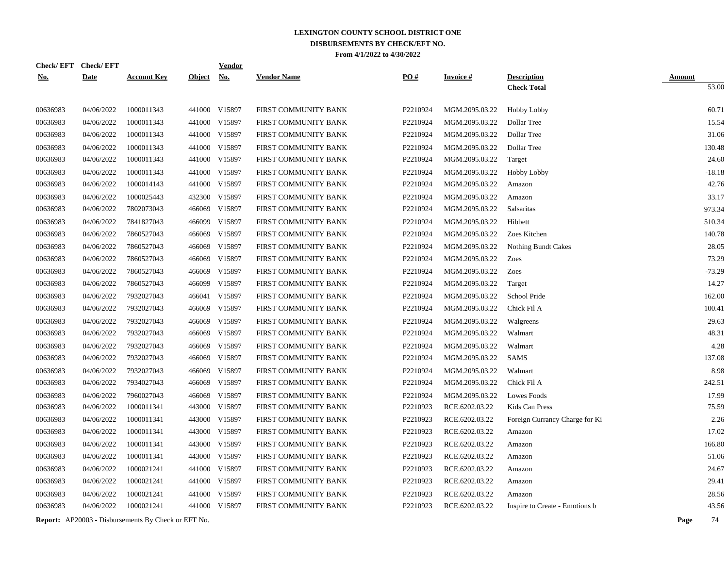| <b>Check/EFT</b> | <b>Check/EFT</b> |                    |               | <b>Vendor</b> |                      |          |                 |                                          |                        |
|------------------|------------------|--------------------|---------------|---------------|----------------------|----------|-----------------|------------------------------------------|------------------------|
| <u>No.</u>       | <b>Date</b>      | <b>Account Key</b> | <b>Object</b> | <u>No.</u>    | <b>Vendor Name</b>   | PO#      | <b>Invoice#</b> | <b>Description</b><br><b>Check Total</b> | <b>Amount</b><br>53.00 |
|                  |                  |                    |               |               |                      |          |                 |                                          |                        |
| 00636983         | 04/06/2022       | 1000011343         |               | 441000 V15897 | FIRST COMMUNITY BANK | P2210924 | MGM.2095.03.22  | Hobby Lobby                              | 60.71                  |
| 00636983         | 04/06/2022       | 1000011343         | 441000        | V15897        | FIRST COMMUNITY BANK | P2210924 | MGM.2095.03.22  | Dollar Tree                              | 15.54                  |
| 00636983         | 04/06/2022       | 1000011343         | 441000        | V15897        | FIRST COMMUNITY BANK | P2210924 | MGM.2095.03.22  | Dollar Tree                              | 31.06                  |
| 00636983         | 04/06/2022       | 1000011343         | 441000        | V15897        | FIRST COMMUNITY BANK | P2210924 | MGM.2095.03.22  | Dollar Tree                              | 130.48                 |
| 00636983         | 04/06/2022       | 1000011343         | 441000        | V15897        | FIRST COMMUNITY BANK | P2210924 | MGM.2095.03.22  | Target                                   | 24.60                  |
| 00636983         | 04/06/2022       | 1000011343         | 441000        | V15897        | FIRST COMMUNITY BANK | P2210924 | MGM.2095.03.22  | <b>Hobby Lobby</b>                       | $-18.18$               |
| 00636983         | 04/06/2022       | 1000014143         | 441000        | V15897        | FIRST COMMUNITY BANK | P2210924 | MGM.2095.03.22  | Amazon                                   | 42.76                  |
| 00636983         | 04/06/2022       | 1000025443         |               | 432300 V15897 | FIRST COMMUNITY BANK | P2210924 | MGM.2095.03.22  | Amazon                                   | 33.17                  |
| 00636983         | 04/06/2022       | 7802073043         |               | 466069 V15897 | FIRST COMMUNITY BANK | P2210924 | MGM.2095.03.22  | Salsaritas                               | 973.34                 |
| 00636983         | 04/06/2022       | 7841827043         |               | 466099 V15897 | FIRST COMMUNITY BANK | P2210924 | MGM.2095.03.22  | Hibbett                                  | 510.34                 |
| 00636983         | 04/06/2022       | 7860527043         | 466069        | V15897        | FIRST COMMUNITY BANK | P2210924 | MGM.2095.03.22  | Zoes Kitchen                             | 140.78                 |
| 00636983         | 04/06/2022       | 7860527043         | 466069        | V15897        | FIRST COMMUNITY BANK | P2210924 | MGM.2095.03.22  | <b>Nothing Bundt Cakes</b>               | 28.05                  |
| 00636983         | 04/06/2022       | 7860527043         | 466069        | V15897        | FIRST COMMUNITY BANK | P2210924 | MGM.2095.03.22  | Zoes                                     | 73.29                  |
| 00636983         | 04/06/2022       | 7860527043         | 466069        | V15897        | FIRST COMMUNITY BANK | P2210924 | MGM.2095.03.22  | Zoes                                     | $-73.29$               |
| 00636983         | 04/06/2022       | 7860527043         | 466099        | V15897        | FIRST COMMUNITY BANK | P2210924 | MGM.2095.03.22  | Target                                   | 14.27                  |
| 00636983         | 04/06/2022       | 7932027043         | 466041        | V15897        | FIRST COMMUNITY BANK | P2210924 | MGM.2095.03.22  | School Pride                             | 162.00                 |
| 00636983         | 04/06/2022       | 7932027043         | 466069        | V15897        | FIRST COMMUNITY BANK | P2210924 | MGM.2095.03.22  | Chick Fil A                              | 100.41                 |
| 00636983         | 04/06/2022       | 7932027043         | 466069        | V15897        | FIRST COMMUNITY BANK | P2210924 | MGM.2095.03.22  | Walgreens                                | 29.63                  |
| 00636983         | 04/06/2022       | 7932027043         | 466069        | V15897        | FIRST COMMUNITY BANK | P2210924 | MGM.2095.03.22  | Walmart                                  | 48.31                  |
| 00636983         | 04/06/2022       | 7932027043         | 466069        | V15897        | FIRST COMMUNITY BANK | P2210924 | MGM.2095.03.22  | Walmart                                  | 4.28                   |
| 00636983         | 04/06/2022       | 7932027043         | 466069        | V15897        | FIRST COMMUNITY BANK | P2210924 | MGM.2095.03.22  | SAMS                                     | 137.08                 |
| 00636983         | 04/06/2022       | 7932027043         | 466069        | V15897        | FIRST COMMUNITY BANK | P2210924 | MGM.2095.03.22  | Walmart                                  | 8.98                   |
| 00636983         | 04/06/2022       | 7934027043         | 466069        | V15897        | FIRST COMMUNITY BANK | P2210924 | MGM.2095.03.22  | Chick Fil A                              | 242.51                 |
| 00636983         | 04/06/2022       | 7960027043         | 466069        | V15897        | FIRST COMMUNITY BANK | P2210924 | MGM.2095.03.22  | Lowes Foods                              | 17.99                  |
| 00636983         | 04/06/2022       | 1000011341         | 443000        | V15897        | FIRST COMMUNITY BANK | P2210923 | RCE.6202.03.22  | Kids Can Press                           | 75.59                  |
| 00636983         | 04/06/2022       | 1000011341         |               | 443000 V15897 | FIRST COMMUNITY BANK | P2210923 | RCE.6202.03.22  | Foreign Currancy Charge for Ki           | 2.26                   |
| 00636983         | 04/06/2022       | 1000011341         |               | 443000 V15897 | FIRST COMMUNITY BANK | P2210923 | RCE.6202.03.22  | Amazon                                   | 17.02                  |
| 00636983         | 04/06/2022       | 1000011341         |               | 443000 V15897 | FIRST COMMUNITY BANK | P2210923 | RCE.6202.03.22  | Amazon                                   | 166.80                 |
| 00636983         | 04/06/2022       | 1000011341         |               | 443000 V15897 | FIRST COMMUNITY BANK | P2210923 | RCE.6202.03.22  | Amazon                                   | 51.06                  |
| 00636983         | 04/06/2022       | 1000021241         |               | 441000 V15897 | FIRST COMMUNITY BANK | P2210923 | RCE.6202.03.22  | Amazon                                   | 24.67                  |
| 00636983         | 04/06/2022       | 1000021241         |               | 441000 V15897 | FIRST COMMUNITY BANK | P2210923 | RCE.6202.03.22  | Amazon                                   | 29.41                  |
| 00636983         | 04/06/2022       | 1000021241         | 441000        | V15897        | FIRST COMMUNITY BANK | P2210923 | RCE.6202.03.22  | Amazon                                   | 28.56                  |
| 00636983         | 04/06/2022       | 1000021241         |               | 441000 V15897 | FIRST COMMUNITY BANK | P2210923 | RCE.6202.03.22  | Inspire to Create - Emotions b           | 43.56                  |
|                  |                  |                    |               |               |                      |          |                 |                                          |                        |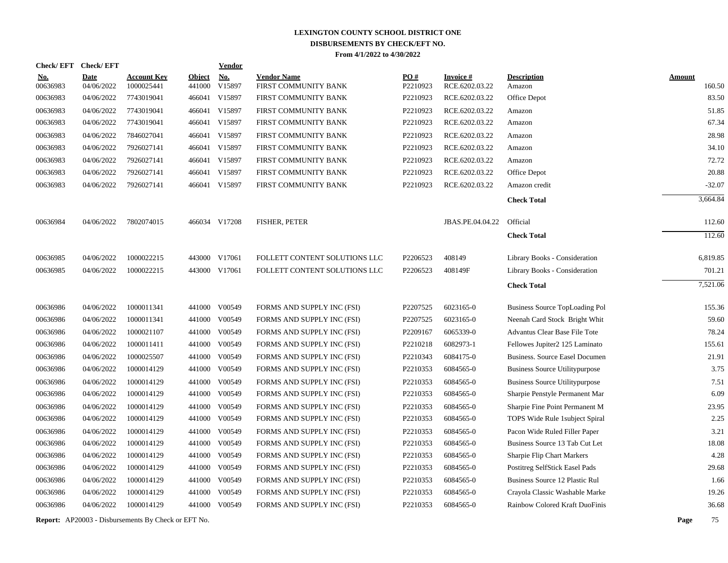| <b>Check/EFT</b>       | <b>Check/EFT</b>          |                                  |                         | <b>Vendor</b>                       |                                            |                 |                                    |                                       |                         |
|------------------------|---------------------------|----------------------------------|-------------------------|-------------------------------------|--------------------------------------------|-----------------|------------------------------------|---------------------------------------|-------------------------|
| <u>No.</u><br>00636983 | <b>Date</b><br>04/06/2022 | <b>Account Key</b><br>1000025441 | <b>Object</b><br>441000 | $\underline{\textbf{No}}$<br>V15897 | <b>Vendor Name</b><br>FIRST COMMUNITY BANK | PO#<br>P2210923 | <u>Invoice #</u><br>RCE.6202.03.22 | <b>Description</b><br>Amazon          | <b>Amount</b><br>160.50 |
| 00636983               | 04/06/2022                | 7743019041                       |                         | 466041 V15897                       | FIRST COMMUNITY BANK                       | P2210923        | RCE.6202.03.22                     | Office Depot                          | 83.50                   |
| 00636983               | 04/06/2022                | 7743019041                       |                         | 466041 V15897                       | FIRST COMMUNITY BANK                       | P2210923        | RCE.6202.03.22                     | Amazon                                | 51.85                   |
| 00636983               | 04/06/2022                | 7743019041                       |                         | 466041 V15897                       | FIRST COMMUNITY BANK                       | P2210923        | RCE.6202.03.22                     | Amazon                                | 67.34                   |
| 00636983               | 04/06/2022                | 7846027041                       |                         | 466041 V15897                       | FIRST COMMUNITY BANK                       | P2210923        | RCE.6202.03.22                     | Amazon                                | 28.98                   |
| 00636983               | 04/06/2022                | 7926027141                       |                         | 466041 V15897                       | FIRST COMMUNITY BANK                       | P2210923        | RCE.6202.03.22                     | Amazon                                | 34.10                   |
| 00636983               | 04/06/2022                | 7926027141                       |                         | 466041 V15897                       | FIRST COMMUNITY BANK                       | P2210923        | RCE.6202.03.22                     | Amazon                                | 72.72                   |
| 00636983               | 04/06/2022                | 7926027141                       |                         | 466041 V15897                       | FIRST COMMUNITY BANK                       | P2210923        | RCE.6202.03.22                     | Office Depot                          | 20.88                   |
| 00636983               | 04/06/2022                | 7926027141                       |                         | 466041 V15897                       | FIRST COMMUNITY BANK                       | P2210923        | RCE.6202.03.22                     | Amazon credit                         | $-32.07$                |
|                        |                           |                                  |                         |                                     |                                            |                 |                                    | <b>Check Total</b>                    | 3,664.84                |
| 00636984               | 04/06/2022                | 7802074015                       |                         | 466034 V17208                       | <b>FISHER, PETER</b>                       |                 | JBAS.PE.04.04.22                   | Official                              | 112.60                  |
|                        |                           |                                  |                         |                                     |                                            |                 |                                    | <b>Check Total</b>                    | 112.60                  |
| 00636985               | 04/06/2022                | 1000022215                       |                         | 443000 V17061                       | FOLLETT CONTENT SOLUTIONS LLC              | P2206523        | 408149                             | Library Books - Consideration         | 6,819.85                |
| 00636985               | 04/06/2022                | 1000022215                       | 443000 V17061           |                                     | FOLLETT CONTENT SOLUTIONS LLC              | P2206523        | 408149F                            | Library Books - Consideration         | 701.21                  |
|                        |                           |                                  |                         |                                     |                                            |                 |                                    | <b>Check Total</b>                    | 7.521.06                |
| 00636986               | 04/06/2022                | 1000011341                       |                         | 441000 V00549                       | FORMS AND SUPPLY INC (FSI)                 | P2207525        | 6023165-0                          | Business Source TopLoading Pol        | 155.36                  |
| 00636986               | 04/06/2022                | 1000011341                       | 441000                  | V00549                              | FORMS AND SUPPLY INC (FSI)                 | P2207525        | 6023165-0                          | Neenah Card Stock Bright Whit         | 59.60                   |
| 00636986               | 04/06/2022                | 1000021107                       | 441000                  | V00549                              | FORMS AND SUPPLY INC (FSI)                 | P2209167        | 6065339-0                          | Advantus Clear Base File Tote         | 78.24                   |
| 00636986               | 04/06/2022                | 1000011411                       | 441000                  | V00549                              | FORMS AND SUPPLY INC (FSI)                 | P2210218        | 6082973-1                          | Fellowes Jupiter2 125 Laminato        | 155.61                  |
| 00636986               | 04/06/2022                | 1000025507                       |                         | 441000 V00549                       | FORMS AND SUPPLY INC (FSI)                 | P2210343        | 6084175-0                          | <b>Business. Source Easel Documen</b> | 21.91                   |
| 00636986               | 04/06/2022                | 1000014129                       | 441000                  | V00549                              | FORMS AND SUPPLY INC (FSI)                 | P2210353        | 6084565-0                          | Business Source Utilitypurpose        | 3.75                    |
| 00636986               | 04/06/2022                | 1000014129                       | 441000                  | V00549                              | FORMS AND SUPPLY INC (FSI)                 | P2210353        | 6084565-0                          | <b>Business Source Utilitypurpose</b> | 7.51                    |
| 00636986               | 04/06/2022                | 1000014129                       |                         | 441000 V00549                       | FORMS AND SUPPLY INC (FSI)                 | P2210353        | 6084565-0                          | Sharpie Penstyle Permanent Mar        | 6.09                    |
| 00636986               | 04/06/2022                | 1000014129                       |                         | 441000 V00549                       | FORMS AND SUPPLY INC (FSI)                 | P2210353        | 6084565-0                          | Sharpie Fine Point Permanent M        | 23.95                   |
| 00636986               | 04/06/2022                | 1000014129                       |                         | 441000 V00549                       | FORMS AND SUPPLY INC (FSI)                 | P2210353        | 6084565-0                          | TOPS Wide Rule 1 subject Spiral       | 2.25                    |
| 00636986               | 04/06/2022                | 1000014129                       |                         | 441000 V00549                       | FORMS AND SUPPLY INC (FSI)                 | P2210353        | 6084565-0                          | Pacon Wide Ruled Filler Paper         | 3.21                    |
| 00636986               | 04/06/2022                | 1000014129                       |                         | 441000 V00549                       | FORMS AND SUPPLY INC (FSI)                 | P2210353        | 6084565-0                          | Business Source 13 Tab Cut Let        | 18.08                   |
| 00636986               | 04/06/2022                | 1000014129                       |                         | 441000 V00549                       | FORMS AND SUPPLY INC (FSI)                 | P2210353        | 6084565-0                          | Sharpie Flip Chart Markers            | 4.28                    |
| 00636986               | 04/06/2022                | 1000014129                       |                         | 441000 V00549                       | FORMS AND SUPPLY INC (FSI)                 | P2210353        | 6084565-0                          | Postitreg SelfStick Easel Pads        | 29.68                   |
| 00636986               | 04/06/2022                | 1000014129                       |                         | 441000 V00549                       | FORMS AND SUPPLY INC (FSI)                 | P2210353        | 6084565-0                          | Business Source 12 Plastic Rul        | 1.66                    |
| 00636986               | 04/06/2022                | 1000014129                       |                         | 441000 V00549                       | FORMS AND SUPPLY INC (FSI)                 | P2210353        | 6084565-0                          | Crayola Classic Washable Marke        | 19.26                   |
| 00636986               | 04/06/2022                | 1000014129                       |                         | 441000 V00549                       | FORMS AND SUPPLY INC (FSI)                 | P2210353        | 6084565-0                          | Rainbow Colored Kraft DuoFinis        | 36.68                   |
|                        |                           |                                  |                         |                                     |                                            |                 |                                    |                                       |                         |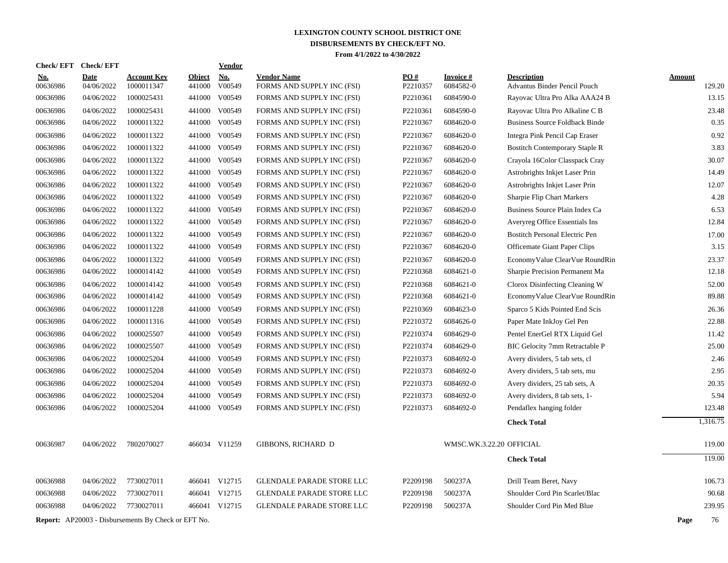| <b>Check/EFT</b>     | <b>Check/EFT</b>         |                                                            |                  | Vendor           |                                  |                      |                          |                                                                |                 |
|----------------------|--------------------------|------------------------------------------------------------|------------------|------------------|----------------------------------|----------------------|--------------------------|----------------------------------------------------------------|-----------------|
| <u>No.</u>           | <b>Date</b>              | <b>Account Key</b>                                         | <b>Object</b>    | <b>No.</b>       | <b>Vendor Name</b>               | PO#                  | <b>Invoice#</b>          | <b>Description</b>                                             | <b>Amount</b>   |
| 00636986<br>00636986 | 04/06/2022<br>04/06/2022 | 1000011347<br>1000025431                                   | 441000<br>441000 | V00549<br>V00549 | FORMS AND SUPPLY INC (FSI)       | P2210357<br>P2210361 | 6084582-0<br>6084590-0   | Advantus Binder Pencil Pouch<br>Rayovac Ultra Pro Alka AAA24 B | 129.20<br>13.15 |
|                      |                          |                                                            |                  |                  | FORMS AND SUPPLY INC (FSI)       |                      |                          |                                                                |                 |
| 00636986             | 04/06/2022               | 1000025431<br>1000011322                                   | 441000           | V00549<br>V00549 | FORMS AND SUPPLY INC (FSI)       | P2210361             | 6084590-0                | Rayovac Ultra Pro Alkaline C B                                 | 23.48<br>0.35   |
| 00636986             | 04/06/2022               |                                                            | 441000           |                  | FORMS AND SUPPLY INC (FSI)       | P2210367             | 6084620-0                | <b>Business Source Foldback Binde</b>                          |                 |
| 00636986             | 04/06/2022               | 1000011322                                                 | 441000           | V00549           | FORMS AND SUPPLY INC (FSI)       | P2210367             | 6084620-0                | Integra Pink Pencil Cap Eraser                                 | 0.92            |
| 00636986             | 04/06/2022               | 1000011322                                                 |                  | 441000 V00549    | FORMS AND SUPPLY INC (FSI)       | P2210367             | 6084620-0                | <b>Bostitch Contemporary Staple R</b>                          | 3.83            |
| 00636986             | 04/06/2022               | 1000011322                                                 | 441000           | V00549           | FORMS AND SUPPLY INC (FSI)       | P2210367             | 6084620-0                | Crayola 16Color Classpack Cray                                 | 30.07           |
| 00636986             | 04/06/2022               | 1000011322                                                 |                  | 441000 V00549    | FORMS AND SUPPLY INC (FSI)       | P2210367             | 6084620-0                | Astrobrights Inkjet Laser Prin                                 | 14.49           |
| 00636986             | 04/06/2022               | 1000011322                                                 | 441000           | V00549           | FORMS AND SUPPLY INC (FSI)       | P2210367             | 6084620-0                | Astrobrights Inkjet Laser Prin                                 | 12.07           |
| 00636986             | 04/06/2022               | 1000011322                                                 |                  | 441000 V00549    | FORMS AND SUPPLY INC (FSI)       | P2210367             | 6084620-0                | Sharpie Flip Chart Markers                                     | 4.28            |
| 00636986             | 04/06/2022               | 1000011322                                                 | 441000           | V00549           | FORMS AND SUPPLY INC (FSI)       | P2210367             | 6084620-0                | Business Source Plain Index Ca                                 | 6.53            |
| 00636986             | 04/06/2022               | 1000011322                                                 |                  | 441000 V00549    | FORMS AND SUPPLY INC (FSI)       | P2210367             | 6084620-0                | Averyreg Office Essentials Ins                                 | 12.84           |
| 00636986             | 04/06/2022               | 1000011322                                                 | 441000           | V00549           | FORMS AND SUPPLY INC (FSI)       | P2210367             | 6084620-0                | <b>Bostitch Personal Electric Pen</b>                          | 17.00           |
| 00636986             | 04/06/2022               | 1000011322                                                 | 441000           | V00549           | FORMS AND SUPPLY INC (FSI)       | P2210367             | 6084620-0                | Officemate Giant Paper Clips                                   | 3.15            |
| 00636986             | 04/06/2022               | 1000011322                                                 | 441000           | V00549           | FORMS AND SUPPLY INC (FSI)       | P2210367             | 6084620-0                | EconomyValue ClearVue RoundRin                                 | 23.37           |
| 00636986             | 04/06/2022               | 1000014142                                                 | 441000           | V00549           | FORMS AND SUPPLY INC (FSI)       | P2210368             | 6084621-0                | Sharpie Precision Permanent Ma                                 | 12.18           |
| 00636986             | 04/06/2022               | 1000014142                                                 | 441000           | V00549           | FORMS AND SUPPLY INC (FSI)       | P2210368             | 6084621-0                | Clorox Disinfecting Cleaning W                                 | 52.00           |
| 00636986             | 04/06/2022               | 1000014142                                                 | 441000           | V00549           | FORMS AND SUPPLY INC (FSI)       | P2210368             | 6084621-0                | EconomyValue ClearVue RoundRin                                 | 89.88           |
| 00636986             | 04/06/2022               | 1000011228                                                 | 441000           | V00549           | FORMS AND SUPPLY INC (FSI)       | P2210369             | 6084623-0                | Sparco 5 Kids Pointed End Scis                                 | 26.36           |
| 00636986             | 04/06/2022               | 1000011316                                                 | 441000           | V00549           | FORMS AND SUPPLY INC (FSI)       | P2210372             | 6084626-0                | Paper Mate InkJoy Gel Pen                                      | 22.88           |
| 00636986             | 04/06/2022               | 1000025507                                                 | 441000           | V00549           | FORMS AND SUPPLY INC (FSI)       | P2210374             | 6084629-0                | Pentel EnerGel RTX Liquid Gel                                  | 11.42           |
| 00636986             | 04/06/2022               | 1000025507                                                 | 441000           | V00549           | FORMS AND SUPPLY INC (FSI)       | P2210374             | 6084629-0                | BIC Gelocity 7mm Retractable P                                 | 25.00           |
| 00636986             | 04/06/2022               | 1000025204                                                 | 441000           | V00549           | FORMS AND SUPPLY INC (FSI)       | P2210373             | 6084692-0                | Avery dividers, 5 tab sets, cl                                 | 2.46            |
| 00636986             | 04/06/2022               | 1000025204                                                 | 441000           | V00549           | FORMS AND SUPPLY INC (FSI)       | P2210373             | 6084692-0                | Avery dividers, 5 tab sets, mu                                 | 2.95            |
| 00636986             | 04/06/2022               | 1000025204                                                 | 441000           | V00549           | FORMS AND SUPPLY INC (FSI)       | P2210373             | 6084692-0                | Avery dividers, 25 tab sets, A                                 | 20.35           |
| 00636986             | 04/06/2022               | 1000025204                                                 | 441000           | V00549           | FORMS AND SUPPLY INC (FSI)       | P2210373             | 6084692-0                | Avery dividers, 8 tab sets, 1-                                 | 5.94            |
| 00636986             | 04/06/2022               | 1000025204                                                 |                  | 441000 V00549    | FORMS AND SUPPLY INC (FSI)       | P2210373             | 6084692-0                | Pendaflex hanging folder                                       | 123.48          |
|                      |                          |                                                            |                  |                  |                                  |                      |                          | <b>Check Total</b>                                             | 1,316.75        |
| 00636987             | 04/06/2022               | 7802070027                                                 |                  | 466034 V11259    | <b>GIBBONS, RICHARD D</b>        |                      | WMSC.WK.3.22.20 OFFICIAL |                                                                | 119.00          |
|                      |                          |                                                            |                  |                  |                                  |                      |                          | <b>Check Total</b>                                             | 119.00          |
| 00636988             | 04/06/2022               | 7730027011                                                 |                  | 466041 V12715    | <b>GLENDALE PARADE STORE LLC</b> | P2209198             | 500237A                  | Drill Team Beret, Navy                                         | 106.73          |
| 00636988             | 04/06/2022               | 7730027011                                                 |                  | 466041 V12715    | <b>GLENDALE PARADE STORE LLC</b> | P2209198             | 500237A                  | Shoulder Cord Pin Scarlet/Blac                                 | 90.68           |
| 00636988             | 04/06/2022               | 7730027011                                                 |                  | 466041 V12715    | <b>GLENDALE PARADE STORE LLC</b> | P2209198             | 500237A                  | Shoulder Cord Pin Med Blue                                     | 239.95          |
|                      |                          | <b>Report:</b> AP20003 - Disbursements By Check or EFT No. |                  |                  |                                  |                      |                          |                                                                | Page<br>76      |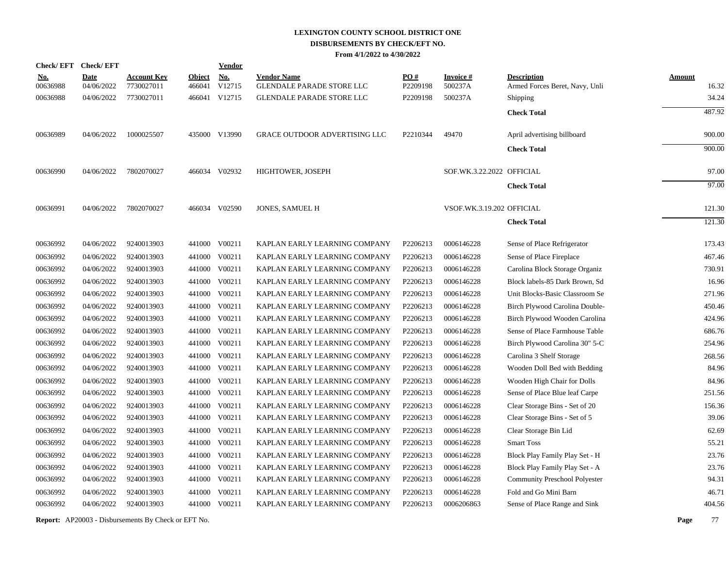| Check/EFT Check/EFT |             |                    |               | <b>Vendor</b> |                                      |          |                           |                                      |               |
|---------------------|-------------|--------------------|---------------|---------------|--------------------------------------|----------|---------------------------|--------------------------------------|---------------|
| <u>No.</u>          | <b>Date</b> | <b>Account Key</b> | <b>Object</b> | <u>No.</u>    | <b>Vendor Name</b>                   | PO#      | <b>Invoice#</b>           | <b>Description</b>                   | <b>Amount</b> |
| 00636988            | 04/06/2022  | 7730027011         | 466041        | V12715        | <b>GLENDALE PARADE STORE LLC</b>     | P2209198 | 500237A                   | Armed Forces Beret, Navy, Unli       | 16.32         |
| 00636988            | 04/06/2022  | 7730027011         |               | 466041 V12715 | <b>GLENDALE PARADE STORE LLC</b>     | P2209198 | 500237A                   | Shipping                             | 34.24         |
|                     |             |                    |               |               |                                      |          |                           | <b>Check Total</b>                   | 487.92        |
| 00636989            | 04/06/2022  | 1000025507         |               | 435000 V13990 | <b>GRACE OUTDOOR ADVERTISING LLC</b> | P2210344 | 49470                     | April advertising billboard          | 900.00        |
|                     |             |                    |               |               |                                      |          |                           | <b>Check Total</b>                   | 900.00        |
| 00636990            | 04/06/2022  | 7802070027         |               | 466034 V02932 | HIGHTOWER, JOSEPH                    |          | SOF.WK.3.22.2022 OFFICIAL |                                      | 97.00         |
|                     |             |                    |               |               |                                      |          |                           | <b>Check Total</b>                   | 97.00         |
| 00636991            | 04/06/2022  | 7802070027         |               | 466034 V02590 | <b>JONES, SAMUEL H</b>               |          | VSOF.WK.3.19.202 OFFICIAL |                                      | 121.30        |
|                     |             |                    |               |               |                                      |          |                           | <b>Check Total</b>                   | 121.30        |
| 00636992            | 04/06/2022  | 9240013903         |               | 441000 V00211 | KAPLAN EARLY LEARNING COMPANY        | P2206213 | 0006146228                | Sense of Place Refrigerator          | 173.43        |
| 00636992            | 04/06/2022  | 9240013903         |               | 441000 V00211 | KAPLAN EARLY LEARNING COMPANY        | P2206213 | 0006146228                | Sense of Place Fireplace             | 467.46        |
| 00636992            | 04/06/2022  | 9240013903         |               | 441000 V00211 | KAPLAN EARLY LEARNING COMPANY        | P2206213 | 0006146228                | Carolina Block Storage Organiz       | 730.91        |
| 00636992            | 04/06/2022  | 9240013903         | 441000        | V00211        | KAPLAN EARLY LEARNING COMPANY        | P2206213 | 0006146228                | Block labels-85 Dark Brown, Sd       | 16.96         |
| 00636992            | 04/06/2022  | 9240013903         | 441000        | V00211        | KAPLAN EARLY LEARNING COMPANY        | P2206213 | 0006146228                | Unit Blocks-Basic Classroom Se       | 271.96        |
| 00636992            | 04/06/2022  | 9240013903         |               | 441000 V00211 | KAPLAN EARLY LEARNING COMPANY        | P2206213 | 0006146228                | Birch Plywood Carolina Double-       | 450.46        |
| 00636992            | 04/06/2022  | 9240013903         | 441000        | V00211        | KAPLAN EARLY LEARNING COMPANY        | P2206213 | 0006146228                | Birch Plywood Wooden Carolina        | 424.96        |
| 00636992            | 04/06/2022  | 9240013903         |               | 441000 V00211 | KAPLAN EARLY LEARNING COMPANY        | P2206213 | 0006146228                | Sense of Place Farmhouse Table       | 686.76        |
| 00636992            | 04/06/2022  | 9240013903         | 441000        | V00211        | KAPLAN EARLY LEARNING COMPANY        | P2206213 | 0006146228                | Birch Plywood Carolina 30" 5-C       | 254.96        |
| 00636992            | 04/06/2022  | 9240013903         | 441000        | V00211        | KAPLAN EARLY LEARNING COMPANY        | P2206213 | 0006146228                | Carolina 3 Shelf Storage             | 268.56        |
| 00636992            | 04/06/2022  | 9240013903         |               | 441000 V00211 | KAPLAN EARLY LEARNING COMPANY        | P2206213 | 0006146228                | Wooden Doll Bed with Bedding         | 84.96         |
| 00636992            | 04/06/2022  | 9240013903         |               | 441000 V00211 | KAPLAN EARLY LEARNING COMPANY        | P2206213 | 0006146228                | Wooden High Chair for Dolls          | 84.96         |
| 00636992            | 04/06/2022  | 9240013903         |               | 441000 V00211 | KAPLAN EARLY LEARNING COMPANY        | P2206213 | 0006146228                | Sense of Place Blue leaf Carpe       | 251.56        |
| 00636992            | 04/06/2022  | 9240013903         | 441000        | V00211        | KAPLAN EARLY LEARNING COMPANY        | P2206213 | 0006146228                | Clear Storage Bins - Set of 20       | 156.36        |
| 00636992            | 04/06/2022  | 9240013903         |               | 441000 V00211 | KAPLAN EARLY LEARNING COMPANY        | P2206213 | 0006146228                | Clear Storage Bins - Set of 5        | 39.06         |
| 00636992            | 04/06/2022  | 9240013903         | 441000        | V00211        | KAPLAN EARLY LEARNING COMPANY        | P2206213 | 0006146228                | Clear Storage Bin Lid                | 62.69         |
| 00636992            | 04/06/2022  | 9240013903         |               | 441000 V00211 | KAPLAN EARLY LEARNING COMPANY        | P2206213 | 0006146228                | <b>Smart Toss</b>                    | 55.21         |
| 00636992            | 04/06/2022  | 9240013903         | 441000        | V00211        | KAPLAN EARLY LEARNING COMPANY        | P2206213 | 0006146228                | Block Play Family Play Set - H       | 23.76         |
| 00636992            | 04/06/2022  | 9240013903         |               | 441000 V00211 | KAPLAN EARLY LEARNING COMPANY        | P2206213 | 0006146228                | Block Play Family Play Set - A       | 23.76         |
| 00636992            | 04/06/2022  | 9240013903         |               | 441000 V00211 | KAPLAN EARLY LEARNING COMPANY        | P2206213 | 0006146228                | <b>Community Preschool Polyester</b> | 94.31         |
| 00636992            | 04/06/2022  | 9240013903         | 441000        | V00211        | KAPLAN EARLY LEARNING COMPANY        | P2206213 | 0006146228                | Fold and Go Mini Barn                | 46.71         |
| 00636992            | 04/06/2022  | 9240013903         |               | 441000 V00211 | KAPLAN EARLY LEARNING COMPANY        | P2206213 | 0006206863                | Sense of Place Range and Sink        | 404.56        |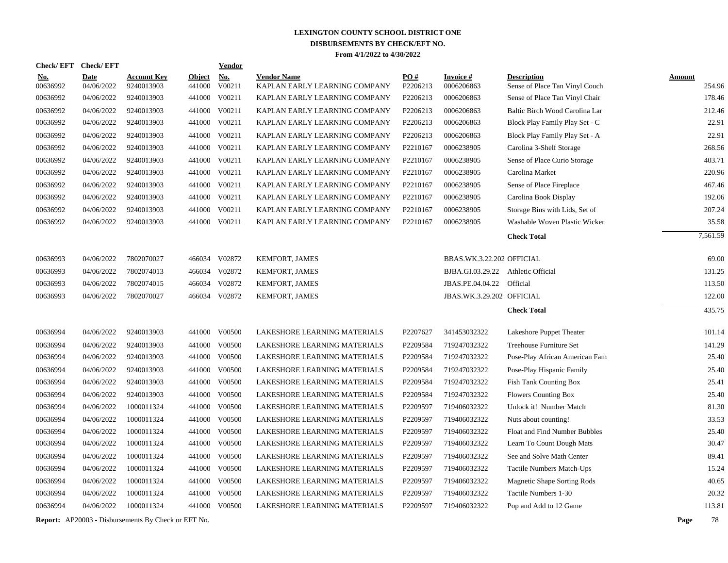| <b>Check/EFT</b>       | <b>Check/EFT</b>          |                                                            |                         | Vendor        |                                                     |                 |                                    |                                                      |               |          |
|------------------------|---------------------------|------------------------------------------------------------|-------------------------|---------------|-----------------------------------------------------|-----------------|------------------------------------|------------------------------------------------------|---------------|----------|
| <u>No.</u><br>00636992 | <b>Date</b><br>04/06/2022 | <b>Account Key</b><br>9240013903                           | <b>Object</b><br>441000 | No.<br>V00211 | <b>Vendor Name</b><br>KAPLAN EARLY LEARNING COMPANY | PO#<br>P2206213 | <b>Invoice#</b><br>0006206863      | <b>Description</b><br>Sense of Place Tan Vinyl Couch | <b>Amount</b> | 254.96   |
| 00636992               | 04/06/2022                | 9240013903                                                 | 441000                  | V00211        | KAPLAN EARLY LEARNING COMPANY                       | P2206213        | 0006206863                         | Sense of Place Tan Vinyl Chair                       |               | 178.46   |
| 00636992               | 04/06/2022                | 9240013903                                                 | 441000                  | V00211        | KAPLAN EARLY LEARNING COMPANY                       | P2206213        | 0006206863                         | Baltic Birch Wood Carolina Lar                       |               | 212.46   |
| 00636992               | 04/06/2022                | 9240013903                                                 | 441000                  | V00211        | KAPLAN EARLY LEARNING COMPANY                       | P2206213        | 0006206863                         | Block Play Family Play Set - C                       |               | 22.91    |
| 00636992               | 04/06/2022                | 9240013903                                                 | 441000                  | V00211        | KAPLAN EARLY LEARNING COMPANY                       | P2206213        | 0006206863                         | Block Play Family Play Set - A                       |               | 22.91    |
| 00636992               | 04/06/2022                | 9240013903                                                 | 441000                  | V00211        | KAPLAN EARLY LEARNING COMPANY                       | P2210167        | 0006238905                         | Carolina 3-Shelf Storage                             |               | 268.56   |
| 00636992               | 04/06/2022                | 9240013903                                                 | 441000                  | V00211        | KAPLAN EARLY LEARNING COMPANY                       | P2210167        | 0006238905                         | Sense of Place Curio Storage                         |               | 403.71   |
| 00636992               | 04/06/2022                | 9240013903                                                 | 441000                  | V00211        | KAPLAN EARLY LEARNING COMPANY                       | P2210167        | 0006238905                         | Carolina Market                                      |               | 220.96   |
| 00636992               | 04/06/2022                | 9240013903                                                 | 441000                  | V00211        | KAPLAN EARLY LEARNING COMPANY                       | P2210167        | 0006238905                         | Sense of Place Fireplace                             |               | 467.46   |
| 00636992               | 04/06/2022                | 9240013903                                                 |                         | 441000 V00211 | KAPLAN EARLY LEARNING COMPANY                       | P2210167        | 0006238905                         | Carolina Book Display                                |               | 192.06   |
| 00636992               | 04/06/2022                | 9240013903                                                 | 441000                  | V00211        | KAPLAN EARLY LEARNING COMPANY                       | P2210167        | 0006238905                         | Storage Bins with Lids, Set of                       |               | 207.24   |
| 00636992               | 04/06/2022                | 9240013903                                                 |                         | 441000 V00211 | KAPLAN EARLY LEARNING COMPANY                       | P2210167        | 0006238905                         | Washable Woven Plastic Wicker                        |               | 35.58    |
|                        |                           |                                                            |                         |               |                                                     |                 |                                    | <b>Check Total</b>                                   |               | 7,561.59 |
| 00636993               | 04/06/2022                | 7802070027                                                 |                         | 466034 V02872 | KEMFORT, JAMES                                      |                 | BBAS.WK.3.22.202 OFFICIAL          |                                                      |               | 69.00    |
| 00636993               | 04/06/2022                | 7802074013                                                 | 466034                  | V02872        | <b>KEMFORT, JAMES</b>                               |                 | BJBA.GI.03.29.22 Athletic Official |                                                      |               | 131.25   |
| 00636993               | 04/06/2022                | 7802074015                                                 | 466034                  | V02872        | KEMFORT, JAMES                                      |                 | JBAS.PE.04.04.22 Official          |                                                      |               | 113.50   |
| 00636993               | 04/06/2022                | 7802070027                                                 |                         | 466034 V02872 | KEMFORT, JAMES                                      |                 | JBAS.WK.3.29.202 OFFICIAL          |                                                      |               | 122.00   |
|                        |                           |                                                            |                         |               |                                                     |                 |                                    | <b>Check Total</b>                                   |               | 435.75   |
| 00636994               | 04/06/2022                | 9240013903                                                 |                         | 441000 V00500 | LAKESHORE LEARNING MATERIALS                        | P2207627        | 341453032322                       | Lakeshore Puppet Theater                             |               | 101.14   |
| 00636994               | 04/06/2022                | 9240013903                                                 | 441000                  | V00500        | LAKESHORE LEARNING MATERIALS                        | P2209584        | 719247032322                       | Treehouse Furniture Set                              |               | 141.29   |
| 00636994               | 04/06/2022                | 9240013903                                                 | 441000                  | V00500        | LAKESHORE LEARNING MATERIALS                        | P2209584        | 719247032322                       | Pose-Play African American Fam                       |               | 25.40    |
| 00636994               | 04/06/2022                | 9240013903                                                 | 441000                  | V00500        | LAKESHORE LEARNING MATERIALS                        | P2209584        | 719247032322                       | Pose-Play Hispanic Family                            |               | 25.40    |
| 00636994               | 04/06/2022                | 9240013903                                                 | 441000                  | V00500        | LAKESHORE LEARNING MATERIALS                        | P2209584        | 719247032322                       | <b>Fish Tank Counting Box</b>                        |               | 25.41    |
| 00636994               | 04/06/2022                | 9240013903                                                 | 441000                  | V00500        | LAKESHORE LEARNING MATERIALS                        | P2209584        | 719247032322                       | <b>Flowers Counting Box</b>                          |               | 25.40    |
| 00636994               | 04/06/2022                | 1000011324                                                 | 441000                  | V00500        | LAKESHORE LEARNING MATERIALS                        | P2209597        | 719406032322                       | Unlock it! Number Match                              |               | 81.30    |
| 00636994               | 04/06/2022                | 1000011324                                                 | 441000                  | V00500        | LAKESHORE LEARNING MATERIALS                        | P2209597        | 719406032322                       | Nuts about counting!                                 |               | 33.53    |
| 00636994               | 04/06/2022                | 1000011324                                                 | 441000                  | V00500        | LAKESHORE LEARNING MATERIALS                        | P2209597        | 719406032322                       | Float and Find Number Bubbles                        |               | 25.40    |
| 00636994               | 04/06/2022                | 1000011324                                                 | 441000                  | V00500        | LAKESHORE LEARNING MATERIALS                        | P2209597        | 719406032322                       | Learn To Count Dough Mats                            |               | 30.47    |
| 00636994               | 04/06/2022                | 1000011324                                                 | 441000                  | V00500        | LAKESHORE LEARNING MATERIALS                        | P2209597        | 719406032322                       | See and Solve Math Center                            |               | 89.41    |
| 00636994               | 04/06/2022                | 1000011324                                                 | 441000                  | V00500        | LAKESHORE LEARNING MATERIALS                        | P2209597        | 719406032322                       | Tactile Numbers Match-Ups                            |               | 15.24    |
| 00636994               | 04/06/2022                | 1000011324                                                 | 441000                  | V00500        | LAKESHORE LEARNING MATERIALS                        | P2209597        | 719406032322                       | <b>Magnetic Shape Sorting Rods</b>                   |               | 40.65    |
| 00636994               | 04/06/2022                | 1000011324                                                 | 441000                  | V00500        | LAKESHORE LEARNING MATERIALS                        | P2209597        | 719406032322                       | Tactile Numbers 1-30                                 |               | 20.32    |
| 00636994               | 04/06/2022                | 1000011324                                                 | 441000                  | V00500        | LAKESHORE LEARNING MATERIALS                        | P2209597        | 719406032322                       | Pop and Add to 12 Game                               |               | 113.81   |
|                        |                           | <b>Report:</b> AP20003 - Disbursements By Check or EFT No. |                         |               |                                                     |                 |                                    |                                                      | Page          | 78       |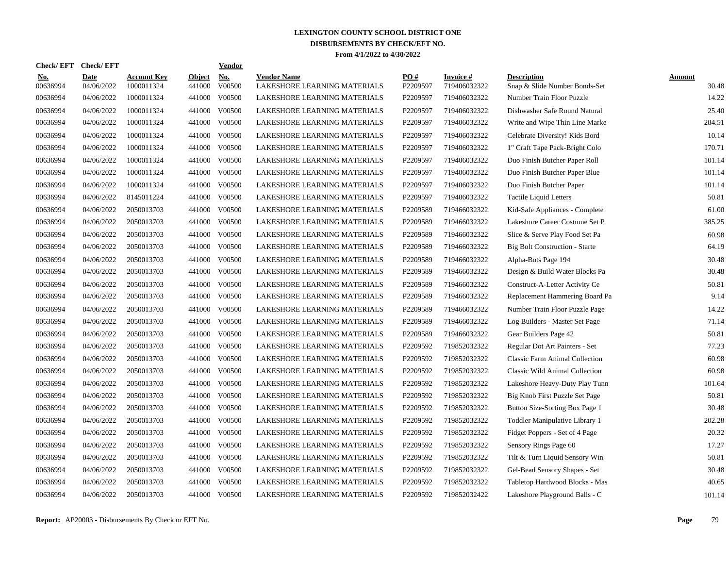| <b>Check/EFT</b>       | <b>Check/EFT</b>          |                           |                         | <b>Vendor</b> |                                                    |                 |                                  |                                                     |                        |
|------------------------|---------------------------|---------------------------|-------------------------|---------------|----------------------------------------------------|-----------------|----------------------------------|-----------------------------------------------------|------------------------|
| <u>No.</u><br>00636994 | <b>Date</b><br>04/06/2022 | Account Kev<br>1000011324 | <b>Object</b><br>441000 | No.<br>V00500 | <b>Vendor Name</b><br>LAKESHORE LEARNING MATERIALS | PO#<br>P2209597 | <b>Invoice</b> #<br>719406032322 | <b>Description</b><br>Snap & Slide Number Bonds-Set | <b>Amount</b><br>30.48 |
| 00636994               | 04/06/2022                | 1000011324                | 441000                  | V00500        | LAKESHORE LEARNING MATERIALS                       | P2209597        | 719406032322                     | Number Train Floor Puzzle                           | 14.22                  |
| 00636994               | 04/06/2022                | 1000011324                | 441000                  | V00500        | LAKESHORE LEARNING MATERIALS                       | P2209597        | 719406032322                     | Dishwasher Safe Round Natural                       | 25.40                  |
| 00636994               | 04/06/2022                | 1000011324                | 441000                  | V00500        | LAKESHORE LEARNING MATERIALS                       | P2209597        | 719406032322                     | Write and Wipe Thin Line Marke                      | 284.51                 |
| 00636994               | 04/06/2022                | 1000011324                | 441000                  | V00500        | LAKESHORE LEARNING MATERIALS                       | P2209597        | 719406032322                     | Celebrate Diversity! Kids Bord                      | 10.14                  |
| 00636994               | 04/06/2022                | 1000011324                |                         | 441000 V00500 | LAKESHORE LEARNING MATERIALS                       | P2209597        | 719406032322                     | 1" Craft Tape Pack-Bright Colo                      | 170.71                 |
| 00636994               | 04/06/2022                | 1000011324                | 441000                  | V00500        | LAKESHORE LEARNING MATERIALS                       | P2209597        | 719406032322                     | Duo Finish Butcher Paper Roll                       | 101.14                 |
| 00636994               | 04/06/2022                | 1000011324                | 441000                  | V00500        | LAKESHORE LEARNING MATERIALS                       | P2209597        | 719406032322                     | Duo Finish Butcher Paper Blue                       | 101.14                 |
| 00636994               | 04/06/2022                | 1000011324                | 441000                  | V00500        | LAKESHORE LEARNING MATERIALS                       | P2209597        | 719406032322                     | Duo Finish Butcher Paper                            | 101.14                 |
| 00636994               | 04/06/2022                | 8145011224                | 441000                  | V00500        | LAKESHORE LEARNING MATERIALS                       | P2209597        | 719406032322                     | <b>Tactile Liquid Letters</b>                       | 50.81                  |
| 00636994               | 04/06/2022                | 2050013703                | 441000                  | V00500        | LAKESHORE LEARNING MATERIALS                       | P2209589        | 719466032322                     | Kid-Safe Appliances - Complete                      | 61.00                  |
| 00636994               | 04/06/2022                | 2050013703                |                         | 441000 V00500 | LAKESHORE LEARNING MATERIALS                       | P2209589        | 719466032322                     | Lakeshore Career Costume Set P                      | 385.25                 |
| 00636994               | 04/06/2022                | 2050013703                |                         | 441000 V00500 | LAKESHORE LEARNING MATERIALS                       | P2209589        | 719466032322                     | Slice & Serve Play Food Set Pa                      | 60.98                  |
| 00636994               | 04/06/2022                | 2050013703                |                         | 441000 V00500 | LAKESHORE LEARNING MATERIALS                       | P2209589        | 719466032322                     | <b>Big Bolt Construction - Starte</b>               | 64.19                  |
| 00636994               | 04/06/2022                | 2050013703                | 441000                  | V00500        | LAKESHORE LEARNING MATERIALS                       | P2209589        | 719466032322                     | Alpha-Bots Page 194                                 | 30.48                  |
| 00636994               | 04/06/2022                | 2050013703                | 441000                  | V00500        | LAKESHORE LEARNING MATERIALS                       | P2209589        | 719466032322                     | Design & Build Water Blocks Pa                      | 30.48                  |
| 00636994               | 04/06/2022                | 2050013703                | 441000                  | V00500        | LAKESHORE LEARNING MATERIALS                       | P2209589        | 719466032322                     | Construct-A-Letter Activity Ce                      | 50.81                  |
| 00636994               | 04/06/2022                | 2050013703                | 441000                  | V00500        | LAKESHORE LEARNING MATERIALS                       | P2209589        | 719466032322                     | Replacement Hammering Board Pa                      | 9.14                   |
| 00636994               | 04/06/2022                | 2050013703                | 441000                  | V00500        | LAKESHORE LEARNING MATERIALS                       | P2209589        | 719466032322                     | Number Train Floor Puzzle Page                      | 14.22                  |
| 00636994               | 04/06/2022                | 2050013703                |                         | 441000 V00500 | LAKESHORE LEARNING MATERIALS                       | P2209589        | 719466032322                     | Log Builders - Master Set Page                      | 71.14                  |
| 00636994               | 04/06/2022                | 2050013703                | 441000                  | V00500        | LAKESHORE LEARNING MATERIALS                       | P2209589        | 719466032322                     | Gear Builders Page 42                               | 50.81                  |
| 00636994               | 04/06/2022                | 2050013703                |                         | 441000 V00500 | LAKESHORE LEARNING MATERIALS                       | P2209592        | 719852032322                     | Regular Dot Art Painters - Set                      | 77.23                  |
| 00636994               | 04/06/2022                | 2050013703                | 441000                  | V00500        | LAKESHORE LEARNING MATERIALS                       | P2209592        | 719852032322                     | <b>Classic Farm Animal Collection</b>               | 60.98                  |
| 00636994               | 04/06/2022                | 2050013703                | 441000                  | V00500        | LAKESHORE LEARNING MATERIALS                       | P2209592        | 719852032322                     | Classic Wild Animal Collection                      | 60.98                  |
| 00636994               | 04/06/2022                | 2050013703                | 441000                  | V00500        | LAKESHORE LEARNING MATERIALS                       | P2209592        | 719852032322                     | Lakeshore Heavy-Duty Play Tunn                      | 101.64                 |
| 00636994               | 04/06/2022                | 2050013703                | 441000                  | V00500        | LAKESHORE LEARNING MATERIALS                       | P2209592        | 719852032322                     | Big Knob First Puzzle Set Page                      | 50.81                  |
| 00636994               | 04/06/2022                | 2050013703                | 441000                  | V00500        | LAKESHORE LEARNING MATERIALS                       | P2209592        | 719852032322                     | Button Size-Sorting Box Page 1                      | 30.48                  |
| 00636994               | 04/06/2022                | 2050013703                | 441000                  | V00500        | LAKESHORE LEARNING MATERIALS                       | P2209592        | 719852032322                     | Toddler Manipulative Library 1                      | 202.28                 |
| 00636994               | 04/06/2022                | 2050013703                |                         | 441000 V00500 | LAKESHORE LEARNING MATERIALS                       | P2209592        | 719852032322                     | Fidget Poppers - Set of 4 Page                      | 20.32                  |
| 00636994               | 04/06/2022                | 2050013703                |                         | 441000 V00500 | LAKESHORE LEARNING MATERIALS                       | P2209592        | 719852032322                     | Sensory Rings Page 60                               | 17.27                  |
| 00636994               | 04/06/2022                | 2050013703                |                         | 441000 V00500 | LAKESHORE LEARNING MATERIALS                       | P2209592        | 719852032322                     | Tilt & Turn Liquid Sensory Win                      | 50.81                  |
| 00636994               | 04/06/2022                | 2050013703                | 441000                  | V00500        | LAKESHORE LEARNING MATERIALS                       | P2209592        | 719852032322                     | Gel-Bead Sensory Shapes - Set                       | 30.48                  |
| 00636994               | 04/06/2022                | 2050013703                | 441000                  | V00500        | LAKESHORE LEARNING MATERIALS                       | P2209592        | 719852032322                     | Tabletop Hardwood Blocks - Mas                      | 40.65                  |
| 00636994               | 04/06/2022                | 2050013703                |                         | 441000 V00500 | LAKESHORE LEARNING MATERIALS                       | P2209592        | 719852032422                     | Lakeshore Playground Balls - C                      | 101.14                 |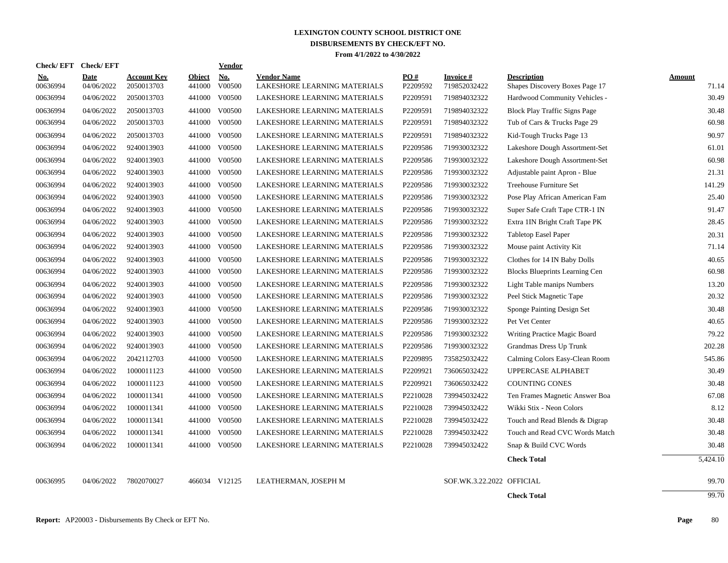| <b>Check/EFT</b> | <b>Check/EFT</b> |                    |               | <b>Vendor</b> |                              |          |                           |                                       |               |
|------------------|------------------|--------------------|---------------|---------------|------------------------------|----------|---------------------------|---------------------------------------|---------------|
| <u>No.</u>       | <b>Date</b>      | <b>Account Key</b> | <b>Object</b> | <b>No.</b>    | <b>Vendor Name</b>           | PO#      | <b>Invoice#</b>           | <b>Description</b>                    | <b>Amount</b> |
| 00636994         | 04/06/2022       | 2050013703         | 441000        | V00500        | LAKESHORE LEARNING MATERIALS | P2209592 | 719852032422              | Shapes Discovery Boxes Page 17        | 71.14         |
| 00636994         | 04/06/2022       | 2050013703         | 441000        | V00500        | LAKESHORE LEARNING MATERIALS | P2209591 | 719894032322              | Hardwood Community Vehicles -         | 30.49         |
| 00636994         | 04/06/2022       | 2050013703         | 441000        | V00500        | LAKESHORE LEARNING MATERIALS | P2209591 | 719894032322              | <b>Block Play Traffic Signs Page</b>  | 30.48         |
| 00636994         | 04/06/2022       | 2050013703         | 441000        | V00500        | LAKESHORE LEARNING MATERIALS | P2209591 | 719894032322              | Tub of Cars & Trucks Page 29          | 60.98         |
| 00636994         | 04/06/2022       | 2050013703         | 441000        | V00500        | LAKESHORE LEARNING MATERIALS | P2209591 | 719894032322              | Kid-Tough Trucks Page 13              | 90.97         |
| 00636994         | 04/06/2022       | 9240013903         | 441000        | V00500        | LAKESHORE LEARNING MATERIALS | P2209586 | 719930032322              | Lakeshore Dough Assortment-Set        | 61.01         |
| 00636994         | 04/06/2022       | 9240013903         | 441000        | V00500        | LAKESHORE LEARNING MATERIALS | P2209586 | 719930032322              | Lakeshore Dough Assortment-Set        | 60.98         |
| 00636994         | 04/06/2022       | 9240013903         | 441000        | V00500        | LAKESHORE LEARNING MATERIALS | P2209586 | 719930032322              | Adjustable paint Apron - Blue         | 21.31         |
| 00636994         | 04/06/2022       | 9240013903         | 441000        | V00500        | LAKESHORE LEARNING MATERIALS | P2209586 | 719930032322              | Treehouse Furniture Set               | 141.29        |
| 00636994         | 04/06/2022       | 9240013903         | 441000        | V00500        | LAKESHORE LEARNING MATERIALS | P2209586 | 719930032322              | Pose Play African American Fam        | 25.40         |
| 00636994         | 04/06/2022       | 9240013903         | 441000        | V00500        | LAKESHORE LEARNING MATERIALS | P2209586 | 719930032322              | Super Safe Craft Tape CTR-1 IN        | 91.47         |
| 00636994         | 04/06/2022       | 9240013903         | 441000        | V00500        | LAKESHORE LEARNING MATERIALS | P2209586 | 719930032322              | Extra 1IN Bright Craft Tape PK        | 28.45         |
| 00636994         | 04/06/2022       | 9240013903         | 441000        | V00500        | LAKESHORE LEARNING MATERIALS | P2209586 | 719930032322              | <b>Tabletop Easel Paper</b>           | 20.31         |
| 00636994         | 04/06/2022       | 9240013903         | 441000        | V00500        | LAKESHORE LEARNING MATERIALS | P2209586 | 719930032322              | Mouse paint Activity Kit              | 71.14         |
| 00636994         | 04/06/2022       | 9240013903         | 441000        | V00500        | LAKESHORE LEARNING MATERIALS | P2209586 | 719930032322              | Clothes for 14 IN Baby Dolls          | 40.65         |
| 00636994         | 04/06/2022       | 9240013903         | 441000        | V00500        | LAKESHORE LEARNING MATERIALS | P2209586 | 719930032322              | <b>Blocks Blueprints Learning Cen</b> | 60.98         |
| 00636994         | 04/06/2022       | 9240013903         | 441000        | V00500        | LAKESHORE LEARNING MATERIALS | P2209586 | 719930032322              | Light Table manips Numbers            | 13.20         |
| 00636994         | 04/06/2022       | 9240013903         | 441000        | V00500        | LAKESHORE LEARNING MATERIALS | P2209586 | 719930032322              | Peel Stick Magnetic Tape              | 20.32         |
| 00636994         | 04/06/2022       | 9240013903         | 441000        | V00500        | LAKESHORE LEARNING MATERIALS | P2209586 | 719930032322              | Sponge Painting Design Set            | 30.48         |
| 00636994         | 04/06/2022       | 9240013903         | 441000        | V00500        | LAKESHORE LEARNING MATERIALS | P2209586 | 719930032322              | Pet Vet Center                        | 40.65         |
| 00636994         | 04/06/2022       | 9240013903         | 441000        | V00500        | LAKESHORE LEARNING MATERIALS | P2209586 | 719930032322              | Writing Practice Magic Board          | 79.22         |
| 00636994         | 04/06/2022       | 9240013903         | 441000        | V00500        | LAKESHORE LEARNING MATERIALS | P2209586 | 719930032322              | Grandmas Dress Up Trunk               | 202.28        |
| 00636994         | 04/06/2022       | 2042112703         | 441000        | V00500        | LAKESHORE LEARNING MATERIALS | P2209895 | 735825032422              | Calming Colors Easy-Clean Room        | 545.86        |
| 00636994         | 04/06/2022       | 1000011123         | 441000        | V00500        | LAKESHORE LEARNING MATERIALS | P2209921 | 736065032422              | UPPERCASE ALPHABET                    | 30.49         |
| 00636994         | 04/06/2022       | 1000011123         | 441000        | V00500        | LAKESHORE LEARNING MATERIALS | P2209921 | 736065032422              | <b>COUNTING CONES</b>                 | 30.48         |
| 00636994         | 04/06/2022       | 1000011341         | 441000        | V00500        | LAKESHORE LEARNING MATERIALS | P2210028 | 739945032422              | Ten Frames Magnetic Answer Boa        | 67.08         |
| 00636994         | 04/06/2022       | 1000011341         | 441000        | V00500        | LAKESHORE LEARNING MATERIALS | P2210028 | 739945032422              | Wikki Stix - Neon Colors              | 8.12          |
| 00636994         | 04/06/2022       | 1000011341         | 441000        | V00500        | LAKESHORE LEARNING MATERIALS | P2210028 | 739945032422              | Touch and Read Blends & Digrap        | 30.48         |
| 00636994         | 04/06/2022       | 1000011341         | 441000        | V00500        | LAKESHORE LEARNING MATERIALS | P2210028 | 739945032422              | Touch and Read CVC Words Match        | 30.48         |
| 00636994         | 04/06/2022       | 1000011341         | 441000        | V00500        | LAKESHORE LEARNING MATERIALS | P2210028 | 739945032422              | Snap & Build CVC Words                | 30.48         |
|                  |                  |                    |               |               |                              |          |                           | <b>Check Total</b>                    | 5,424.10      |
| 00636995         | 04/06/2022       | 7802070027         |               | 466034 V12125 | LEATHERMAN, JOSEPH M         |          | SOF.WK.3.22.2022 OFFICIAL |                                       | 99.70         |
|                  |                  |                    |               |               |                              |          |                           | <b>Check Total</b>                    | 99.70         |
|                  |                  |                    |               |               |                              |          |                           |                                       |               |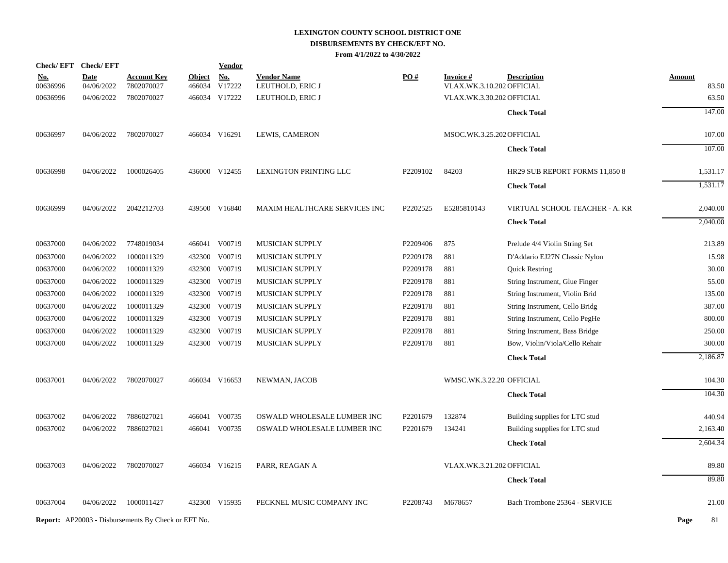|                        | Check/EFT Check/EFT       |                                                            |                         | <b>Vendor</b>        |                                        |          |                                               |                                |                        |
|------------------------|---------------------------|------------------------------------------------------------|-------------------------|----------------------|----------------------------------------|----------|-----------------------------------------------|--------------------------------|------------------------|
| <u>No.</u><br>00636996 | <b>Date</b><br>04/06/2022 | <u>Account Kev</u><br>7802070027                           | <b>Object</b><br>466034 | <u>No.</u><br>V17222 | <b>Vendor Name</b><br>LEUTHOLD, ERIC J | PO#      | <u>Invoice #</u><br>VLAX.WK.3.10.202 OFFICIAL | <b>Description</b>             | <b>Amount</b><br>83.50 |
| 00636996               | 04/06/2022                | 7802070027                                                 |                         | 466034 V17222        | LEUTHOLD, ERIC J                       |          | VLAX.WK.3.30.202 OFFICIAL                     |                                | 63.50                  |
|                        |                           |                                                            |                         |                      |                                        |          |                                               | <b>Check Total</b>             | 147.00                 |
|                        |                           |                                                            |                         |                      |                                        |          |                                               |                                |                        |
| 00636997               | 04/06/2022                | 7802070027                                                 |                         | 466034 V16291        | LEWIS, CAMERON                         |          | MSOC.WK.3.25.202 OFFICIAL                     |                                | 107.00                 |
|                        |                           |                                                            |                         |                      |                                        |          |                                               | <b>Check Total</b>             | 107.00                 |
| 00636998               | 04/06/2022                | 1000026405                                                 |                         | 436000 V12455        | LEXINGTON PRINTING LLC                 | P2209102 | 84203                                         | HR29 SUB REPORT FORMS 11,850 8 | 1,531.17               |
|                        |                           |                                                            |                         |                      |                                        |          |                                               | <b>Check Total</b>             | 1,531.17               |
| 00636999               | 04/06/2022                | 2042212703                                                 |                         | 439500 V16840        | MAXIM HEALTHCARE SERVICES INC          | P2202525 | E5285810143                                   | VIRTUAL SCHOOL TEACHER - A. KR | 2,040.00               |
|                        |                           |                                                            |                         |                      |                                        |          |                                               | <b>Check Total</b>             | 2,040.00               |
| 00637000               | 04/06/2022                | 7748019034                                                 |                         | 466041 V00719        | <b>MUSICIAN SUPPLY</b>                 | P2209406 | 875                                           | Prelude 4/4 Violin String Set  | 213.89                 |
| 00637000               | 04/06/2022                | 1000011329                                                 |                         | 432300 V00719        | <b>MUSICIAN SUPPLY</b>                 | P2209178 | 881                                           | D'Addario EJ27N Classic Nylon  | 15.98                  |
| 00637000               | 04/06/2022                | 1000011329                                                 |                         | 432300 V00719        | <b>MUSICIAN SUPPLY</b>                 | P2209178 | 881                                           | <b>Quick Restring</b>          | 30.00                  |
| 00637000               | 04/06/2022                | 1000011329                                                 |                         | 432300 V00719        | <b>MUSICIAN SUPPLY</b>                 | P2209178 | 881                                           | String Instrument, Glue Finger | 55.00                  |
| 00637000               | 04/06/2022                | 1000011329                                                 |                         | 432300 V00719        | <b>MUSICIAN SUPPLY</b>                 | P2209178 | 881                                           | String Instrument, Violin Brid | 135.00                 |
| 00637000               | 04/06/2022                | 1000011329                                                 |                         | 432300 V00719        | <b>MUSICIAN SUPPLY</b>                 | P2209178 | 881                                           | String Instrument, Cello Bridg | 387.00                 |
| 00637000               | 04/06/2022                | 1000011329                                                 |                         | 432300 V00719        | MUSICIAN SUPPLY                        | P2209178 | 881                                           | String Instrument, Cello PegHe | 800.00                 |
| 00637000               | 04/06/2022                | 1000011329                                                 |                         | 432300 V00719        | <b>MUSICIAN SUPPLY</b>                 | P2209178 | 881                                           | String Instrument, Bass Bridge | 250.00                 |
| 00637000               | 04/06/2022                | 1000011329                                                 |                         | 432300 V00719        | <b>MUSICIAN SUPPLY</b>                 | P2209178 | 881                                           | Bow, Violin/Viola/Cello Rehair | 300.00                 |
|                        |                           |                                                            |                         |                      |                                        |          |                                               | <b>Check Total</b>             | 2,186.87               |
| 00637001               | 04/06/2022                | 7802070027                                                 |                         | 466034 V16653        | NEWMAN, JACOB                          |          | WMSC.WK.3.22.20 OFFICIAL                      |                                | 104.30                 |
|                        |                           |                                                            |                         |                      |                                        |          |                                               | <b>Check Total</b>             | 104.30                 |
| 00637002               | 04/06/2022                | 7886027021                                                 |                         | 466041 V00735        | OSWALD WHOLESALE LUMBER INC            | P2201679 | 132874                                        | Building supplies for LTC stud | 440.94                 |
| 00637002               | 04/06/2022                | 7886027021                                                 |                         | 466041 V00735        | OSWALD WHOLESALE LUMBER INC            | P2201679 | 134241                                        | Building supplies for LTC stud | 2,163.40               |
|                        |                           |                                                            |                         |                      |                                        |          |                                               | <b>Check Total</b>             | 2,604.34               |
| 00637003               | 04/06/2022                | 7802070027                                                 |                         | 466034 V16215        | PARR, REAGAN A                         |          | VLAX.WK.3.21.202 OFFICIAL                     |                                | 89.80                  |
|                        |                           |                                                            |                         |                      |                                        |          |                                               | <b>Check Total</b>             | 89.80                  |
| 00637004               | 04/06/2022                | 1000011427                                                 |                         | 432300 V15935        | PECKNEL MUSIC COMPANY INC              | P2208743 | M678657                                       | Bach Trombone 25364 - SERVICE  | 21.00                  |
|                        |                           | <b>Report:</b> AP20003 - Disbursements By Check or EFT No. |                         |                      |                                        |          |                                               |                                | 81<br>Page             |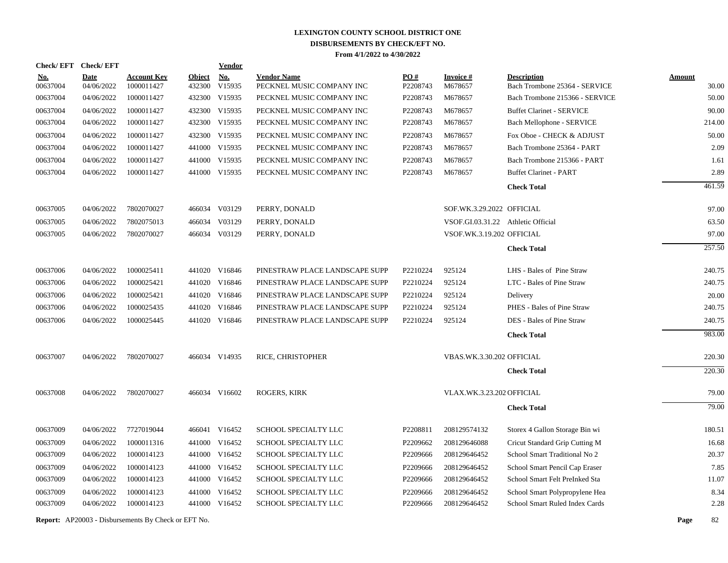| <b>Check/EFT</b>       | <b>Check/EFT</b>          |                                  |                         | <b>Vendor</b>        |                                                 |                 |                                    |                                                     |                        |
|------------------------|---------------------------|----------------------------------|-------------------------|----------------------|-------------------------------------------------|-----------------|------------------------------------|-----------------------------------------------------|------------------------|
| <u>No.</u><br>00637004 | <b>Date</b><br>04/06/2022 | <b>Account Key</b><br>1000011427 | <b>Object</b><br>432300 | <b>No.</b><br>V15935 | <b>Vendor Name</b><br>PECKNEL MUSIC COMPANY INC | PO#<br>P2208743 | <b>Invoice#</b><br>M678657         | <b>Description</b><br>Bach Trombone 25364 - SERVICE | <b>Amount</b><br>30.00 |
| 00637004               | 04/06/2022                | 1000011427                       | 432300                  | V15935               | PECKNEL MUSIC COMPANY INC                       | P2208743        | M678657                            | Bach Trombone 215366 - SERVICE                      | 50.00                  |
| 00637004               | 04/06/2022                | 1000011427                       | 432300                  | V15935               | PECKNEL MUSIC COMPANY INC                       | P2208743        | M678657                            | <b>Buffet Clarinet - SERVICE</b>                    | 90.00                  |
| 00637004               | 04/06/2022                | 1000011427                       | 432300                  | V15935               | PECKNEL MUSIC COMPANY INC                       | P2208743        | M678657                            | Bach Mellophone - SERVICE                           | 214.00                 |
| 00637004               | 04/06/2022                | 1000011427                       |                         | 432300 V15935        | PECKNEL MUSIC COMPANY INC                       | P2208743        | M678657                            | Fox Oboe - CHECK & ADJUST                           | 50.00                  |
| 00637004               | 04/06/2022                | 1000011427                       |                         | 441000 V15935        | PECKNEL MUSIC COMPANY INC                       | P2208743        | M678657                            | Bach Trombone 25364 - PART                          | 2.09                   |
| 00637004               | 04/06/2022                | 1000011427                       |                         | 441000 V15935        | PECKNEL MUSIC COMPANY INC                       | P2208743        | M678657                            | Bach Trombone 215366 - PART                         | 1.61                   |
| 00637004               | 04/06/2022                | 1000011427                       |                         | 441000 V15935        | PECKNEL MUSIC COMPANY INC                       | P2208743        | M678657                            | <b>Buffet Clarinet - PART</b>                       | 2.89                   |
|                        |                           |                                  |                         |                      |                                                 |                 |                                    | <b>Check Total</b>                                  | 461.59                 |
| 00637005               | 04/06/2022                | 7802070027                       |                         | 466034 V03129        | PERRY, DONALD                                   |                 | SOF.WK.3.29.2022 OFFICIAL          |                                                     | 97.00                  |
| 00637005               | 04/06/2022                | 7802075013                       | 466034                  | V03129               | PERRY, DONALD                                   |                 | VSOF.GI.03.31.22 Athletic Official |                                                     | 63.50                  |
| 00637005               | 04/06/2022                | 7802070027                       |                         | 466034 V03129        | PERRY, DONALD                                   |                 | VSOF.WK.3.19.202 OFFICIAL          |                                                     | 97.00                  |
|                        |                           |                                  |                         |                      |                                                 |                 |                                    | <b>Check Total</b>                                  | 257.50                 |
| 00637006               | 04/06/2022                | 1000025411                       |                         | 441020 V16846        | PINESTRAW PLACE LANDSCAPE SUPP                  | P2210224        | 925124                             | LHS - Bales of Pine Straw                           | 240.75                 |
| 00637006               | 04/06/2022                | 1000025421                       |                         | 441020 V16846        | PINESTRAW PLACE LANDSCAPE SUPP                  | P2210224        | 925124                             | LTC - Bales of Pine Straw                           | 240.75                 |
| 00637006               | 04/06/2022                | 1000025421                       | 441020                  | V16846               | PINESTRAW PLACE LANDSCAPE SUPP                  | P2210224        | 925124                             | Delivery                                            | 20.00                  |
| 00637006               | 04/06/2022                | 1000025435                       | 441020                  | V16846               | PINESTRAW PLACE LANDSCAPE SUPP                  | P2210224        | 925124                             | PHES - Bales of Pine Straw                          | 240.75                 |
| 00637006               | 04/06/2022                | 1000025445                       |                         | 441020 V16846        | PINESTRAW PLACE LANDSCAPE SUPP                  | P2210224        | 925124                             | DES - Bales of Pine Straw                           | 240.75                 |
|                        |                           |                                  |                         |                      |                                                 |                 |                                    | <b>Check Total</b>                                  | 983.00                 |
| 00637007               | 04/06/2022                | 7802070027                       |                         | 466034 V14935        | RICE, CHRISTOPHER                               |                 | VBAS.WK.3.30.202 OFFICIAL          |                                                     | 220.30                 |
|                        |                           |                                  |                         |                      |                                                 |                 |                                    | <b>Check Total</b>                                  | 220.30                 |
| 00637008               | 04/06/2022                | 7802070027                       |                         | 466034 V16602        | <b>ROGERS, KIRK</b>                             |                 | VLAX.WK.3.23.202 OFFICIAL          |                                                     | 79.00                  |
|                        |                           |                                  |                         |                      |                                                 |                 |                                    | <b>Check Total</b>                                  | 79.00                  |
| 00637009               | 04/06/2022                | 7727019044                       |                         | 466041 V16452        | SCHOOL SPECIALTY LLC                            | P2208811        | 208129574132                       | Storex 4 Gallon Storage Bin wi                      | 180.51                 |
| 00637009               | 04/06/2022                | 1000011316                       |                         | 441000 V16452        | SCHOOL SPECIALTY LLC                            | P2209662        | 208129646088                       | Cricut Standard Grip Cutting M                      | 16.68                  |
| 00637009               | 04/06/2022                | 1000014123                       |                         | 441000 V16452        | SCHOOL SPECIALTY LLC                            | P2209666        | 208129646452                       | School Smart Traditional No 2                       | 20.37                  |
| 00637009               | 04/06/2022                | 1000014123                       |                         | 441000 V16452        | SCHOOL SPECIALTY LLC                            | P2209666        | 208129646452                       | School Smart Pencil Cap Eraser                      | 7.85                   |
| 00637009               | 04/06/2022                | 1000014123                       |                         | 441000 V16452        | SCHOOL SPECIALTY LLC                            | P2209666        | 208129646452                       | School Smart Felt PreInked Sta                      | 11.07                  |
| 00637009               | 04/06/2022                | 1000014123                       |                         | 441000 V16452        | SCHOOL SPECIALTY LLC                            | P2209666        | 208129646452                       | School Smart Polypropylene Hea                      | 8.34                   |
| 00637009               | 04/06/2022                | 1000014123                       |                         | 441000 V16452        | SCHOOL SPECIALTY LLC                            | P2209666        | 208129646452                       | School Smart Ruled Index Cards                      | 2.28                   |
|                        |                           |                                  |                         |                      |                                                 |                 |                                    |                                                     |                        |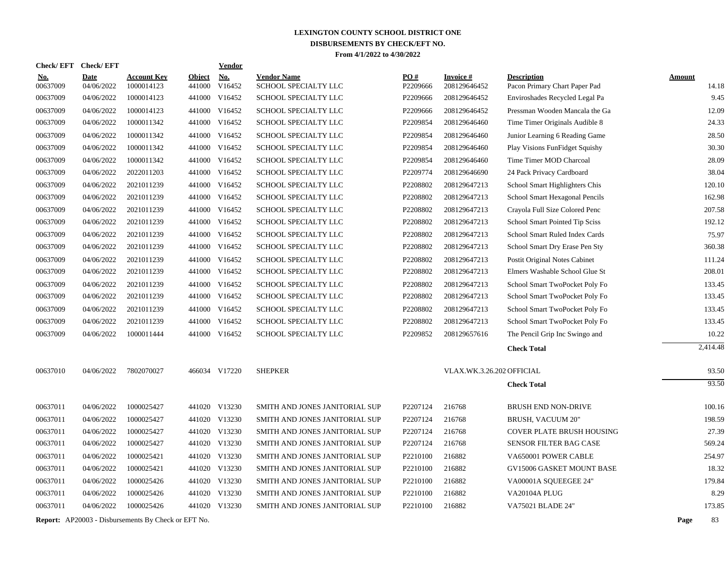|                      | Check/EFT Check/EFT      |                                                            |               | <b>Vendor</b>                  |                                              |                      |                              |                                                                 |               |                |
|----------------------|--------------------------|------------------------------------------------------------|---------------|--------------------------------|----------------------------------------------|----------------------|------------------------------|-----------------------------------------------------------------|---------------|----------------|
| <u>No.</u>           | <b>Date</b>              | <b>Account Key</b>                                         | <b>Object</b> | No.                            | <b>Vendor Name</b>                           | PO#                  | <b>Invoice#</b>              | <b>Description</b>                                              | <b>Amount</b> |                |
| 00637009<br>00637009 | 04/06/2022<br>04/06/2022 | 1000014123<br>1000014123                                   | 441000        | V16452<br>441000 V16452        | SCHOOL SPECIALTY LLC<br>SCHOOL SPECIALTY LLC | P2209666<br>P2209666 | 208129646452<br>208129646452 | Pacon Primary Chart Paper Pad<br>Enviroshades Recycled Legal Pa |               | 14.18<br>9.45  |
|                      |                          |                                                            |               |                                |                                              |                      |                              |                                                                 |               | 12.09          |
| 00637009<br>00637009 | 04/06/2022               | 1000014123<br>1000011342                                   |               | 441000 V16452<br>441000 V16452 | SCHOOL SPECIALTY LLC                         | P2209666<br>P2209854 | 208129646452                 | Pressman Wooden Mancala the Ga                                  |               |                |
|                      | 04/06/2022               |                                                            |               |                                | SCHOOL SPECIALTY LLC                         |                      | 208129646460                 | Time Timer Originals Audible 8                                  |               | 24.33          |
| 00637009             | 04/06/2022               | 1000011342                                                 |               | 441000 V16452                  | SCHOOL SPECIALTY LLC                         | P2209854             | 208129646460                 | Junior Learning 6 Reading Game                                  |               | 28.50<br>30.30 |
| 00637009             | 04/06/2022               | 1000011342                                                 |               | 441000 V16452                  | SCHOOL SPECIALTY LLC                         | P2209854             | 208129646460                 | Play Visions FunFidget Squishy                                  |               |                |
| 00637009             | 04/06/2022               | 1000011342                                                 |               | 441000 V16452                  | SCHOOL SPECIALTY LLC                         | P2209854             | 208129646460                 | Time Timer MOD Charcoal                                         |               | 28.09          |
| 00637009             | 04/06/2022               | 2022011203                                                 |               | 441000 V16452                  | SCHOOL SPECIALTY LLC                         | P2209774             | 208129646690                 | 24 Pack Privacy Cardboard                                       |               | 38.04          |
| 00637009             | 04/06/2022               | 2021011239                                                 | 441000        | V16452                         | SCHOOL SPECIALTY LLC                         | P2208802             | 208129647213                 | School Smart Highlighters Chis                                  |               | 120.10         |
| 00637009             | 04/06/2022               | 2021011239                                                 |               | 441000 V16452                  | SCHOOL SPECIALTY LLC                         | P2208802             | 208129647213                 | School Smart Hexagonal Pencils                                  |               | 162.98         |
| 00637009             | 04/06/2022               | 2021011239                                                 | 441000        | V16452                         | SCHOOL SPECIALTY LLC                         | P2208802             | 208129647213                 | Crayola Full Size Colored Penc                                  |               | 207.58         |
| 00637009             | 04/06/2022               | 2021011239                                                 |               | 441000 V16452                  | SCHOOL SPECIALTY LLC                         | P2208802             | 208129647213                 | School Smart Pointed Tip Sciss                                  |               | 192.12         |
| 00637009             | 04/06/2022               | 2021011239                                                 |               | 441000 V16452                  | <b>SCHOOL SPECIALTY LLC</b>                  | P2208802             | 208129647213                 | School Smart Ruled Index Cards                                  |               | 75.97          |
| 00637009             | 04/06/2022               | 2021011239                                                 |               | 441000 V16452                  | SCHOOL SPECIALTY LLC                         | P2208802             | 208129647213                 | School Smart Dry Erase Pen Sty                                  |               | 360.38         |
| 00637009             | 04/06/2022               | 2021011239                                                 |               | 441000 V16452                  | SCHOOL SPECIALTY LLC                         | P2208802             | 208129647213                 | Postit Original Notes Cabinet                                   |               | 111.24         |
| 00637009             | 04/06/2022               | 2021011239                                                 |               | 441000 V16452                  | SCHOOL SPECIALTY LLC                         | P2208802             | 208129647213                 | Elmers Washable School Glue St                                  |               | 208.01         |
| 00637009             | 04/06/2022               | 2021011239                                                 |               | 441000 V16452                  | SCHOOL SPECIALTY LLC                         | P2208802             | 208129647213                 | School Smart TwoPocket Poly Fo                                  |               | 133.45         |
| 00637009             | 04/06/2022               | 2021011239                                                 |               | 441000 V16452                  | SCHOOL SPECIALTY LLC                         | P2208802             | 208129647213                 | School Smart TwoPocket Poly Fo                                  |               | 133.45         |
| 00637009             | 04/06/2022               | 2021011239                                                 | 441000        | V16452                         | SCHOOL SPECIALTY LLC                         | P2208802             | 208129647213                 | School Smart TwoPocket Poly Fo                                  |               | 133.45         |
| 00637009             | 04/06/2022               | 2021011239                                                 |               | 441000 V16452                  | SCHOOL SPECIALTY LLC                         | P2208802             | 208129647213                 | School Smart TwoPocket Poly Fo                                  |               | 133.45         |
| 00637009             | 04/06/2022               | 1000011444                                                 |               | 441000 V16452                  | SCHOOL SPECIALTY LLC                         | P2209852             | 208129657616                 | The Pencil Grip Inc Swingo and                                  |               | 10.22          |
|                      |                          |                                                            |               |                                |                                              |                      |                              | <b>Check Total</b>                                              |               | 2,414.48       |
|                      |                          |                                                            |               |                                |                                              |                      |                              |                                                                 |               |                |
| 00637010             | 04/06/2022               | 7802070027                                                 |               | 466034 V17220                  | <b>SHEPKER</b>                               |                      | VLAX.WK.3.26.202 OFFICIAL    |                                                                 |               | 93.50          |
|                      |                          |                                                            |               |                                |                                              |                      |                              | <b>Check Total</b>                                              |               | 93.50          |
| 00637011             | 04/06/2022               | 1000025427                                                 |               | 441020 V13230                  | SMITH AND JONES JANITORIAL SUP               | P2207124             | 216768                       | <b>BRUSH END NON-DRIVE</b>                                      |               | 100.16         |
| 00637011             | 04/06/2022               | 1000025427                                                 |               | 441020 V13230                  | SMITH AND JONES JANITORIAL SUP               | P2207124             | 216768                       | <b>BRUSH, VACUUM 20"</b>                                        |               | 198.59         |
| 00637011             | 04/06/2022               | 1000025427                                                 |               | 441020 V13230                  | SMITH AND JONES JANITORIAL SUP               | P2207124             | 216768                       | <b>COVER PLATE BRUSH HOUSING</b>                                |               | 27.39          |
| 00637011             | 04/06/2022               | 1000025427                                                 |               | 441020 V13230                  | SMITH AND JONES JANITORIAL SUP               | P2207124             | 216768                       | <b>SENSOR FILTER BAG CASE</b>                                   |               | 569.24         |
| 00637011             | 04/06/2022               | 1000025421                                                 |               | 441020 V13230                  | SMITH AND JONES JANITORIAL SUP               | P2210100             | 216882                       | VA650001 POWER CABLE                                            |               | 254.97         |
| 00637011             | 04/06/2022               | 1000025421                                                 |               | 441020 V13230                  | SMITH AND JONES JANITORIAL SUP               | P2210100             | 216882                       | <b>GV15006 GASKET MOUNT BASE</b>                                |               | 18.32          |
| 00637011             | 04/06/2022               | 1000025426                                                 |               | 441020 V13230                  | SMITH AND JONES JANITORIAL SUP               | P2210100             | 216882                       | VA00001A SQUEEGEE 24"                                           |               | 179.84         |
| 00637011             | 04/06/2022               | 1000025426                                                 |               | 441020 V13230                  | SMITH AND JONES JANITORIAL SUP               | P2210100             | 216882                       | VA20104A PLUG                                                   |               | 8.29           |
| 00637011             | 04/06/2022               | 1000025426                                                 |               | 441020 V13230                  | SMITH AND JONES JANITORIAL SUP               | P2210100             | 216882                       | VA75021 BLADE 24"                                               |               | 173.85         |
|                      |                          | <b>Report:</b> AP20003 - Disbursements By Check or EFT No. |               |                                |                                              |                      |                              |                                                                 | Page          | 83             |
|                      |                          |                                                            |               |                                |                                              |                      |                              |                                                                 |               |                |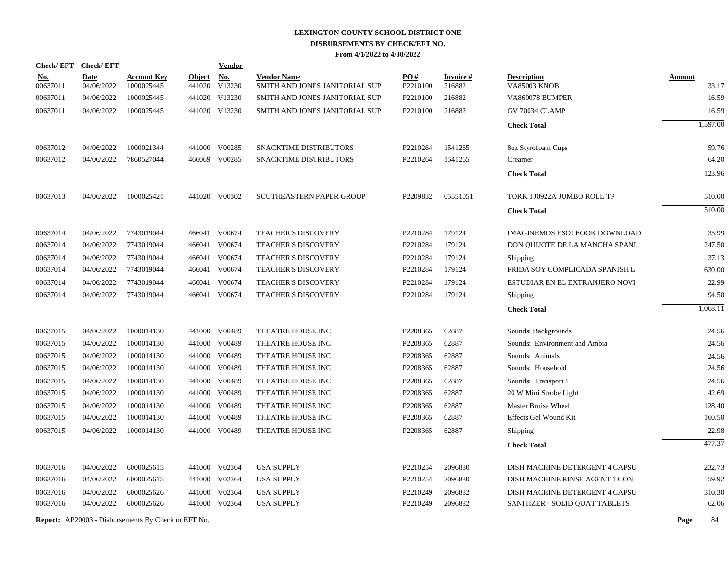| <b>Check/EFT</b> | <b>Check/EFT</b> |                                                            |               | Vendor        |                                |          |                 |                                      |               |          |
|------------------|------------------|------------------------------------------------------------|---------------|---------------|--------------------------------|----------|-----------------|--------------------------------------|---------------|----------|
| <u>No.</u>       | <b>Date</b>      | <b>Account Key</b>                                         | <b>Object</b> | <b>No.</b>    | <b>Vendor Name</b>             | PO#      | <b>Invoice#</b> | <b>Description</b>                   | <b>Amount</b> |          |
| 00637011         | 04/06/2022       | 1000025445                                                 | 441020        | V13230        | SMITH AND JONES JANITORIAL SUP | P2210100 | 216882          | VA85003 KNOB                         |               | 33.17    |
| 00637011         | 04/06/2022       | 1000025445                                                 |               | 441020 V13230 | SMITH AND JONES JANITORIAL SUP | P2210100 | 216882          | VA860078 BUMPER                      |               | 16.59    |
| 00637011         | 04/06/2022       | 1000025445                                                 |               | 441020 V13230 | SMITH AND JONES JANITORIAL SUP | P2210100 | 216882          | <b>GV 70034 CLAMP</b>                |               | 16.59    |
|                  |                  |                                                            |               |               |                                |          |                 | <b>Check Total</b>                   |               | 1,597.00 |
| 00637012         | 04/06/2022       | 1000021344                                                 |               | 441000 V00285 | SNACKTIME DISTRIBUTORS         | P2210264 | 1541265         | 8oz Styrofoam Cups                   |               | 59.76    |
| 00637012         | 04/06/2022       | 7860527044                                                 |               | 466069 V00285 | SNACKTIME DISTRIBUTORS         | P2210264 | 1541265         | Creamer                              |               | 64.20    |
|                  |                  |                                                            |               |               |                                |          |                 | <b>Check Total</b>                   |               | 123.96   |
| 00637013         | 04/06/2022       | 1000025421                                                 |               | 441020 V00302 | SOUTHEASTERN PAPER GROUP       | P2209832 | 05551051        | TORK TJ0922A JUMBO ROLL TP           |               | 510.00   |
|                  |                  |                                                            |               |               |                                |          |                 | <b>Check Total</b>                   |               | 510.00   |
| 00637014         | 04/06/2022       | 7743019044                                                 |               | 466041 V00674 | <b>TEACHER'S DISCOVERY</b>     | P2210284 | 179124          | <b>IMAGINEMOS ESO! BOOK DOWNLOAD</b> |               | 35.99    |
| 00637014         | 04/06/2022       | 7743019044                                                 | 466041        | V00674        | <b>TEACHER'S DISCOVERY</b>     | P2210284 | 179124          | DON OUIJOTE DE LA MANCHA SPANI       |               | 247.50   |
| 00637014         | 04/06/2022       | 7743019044                                                 | 466041        | V00674        | <b>TEACHER'S DISCOVERY</b>     | P2210284 | 179124          | Shipping                             |               | 37.13    |
| 00637014         | 04/06/2022       | 7743019044                                                 | 466041        | V00674        | <b>TEACHER'S DISCOVERY</b>     | P2210284 | 179124          | FRIDA SOY COMPLICADA SPANISH L       |               | 630.00   |
| 00637014         | 04/06/2022       | 7743019044                                                 | 466041        | V00674        | TEACHER'S DISCOVERY            | P2210284 | 179124          | ESTUDIAR EN EL EXTRANJERO NOVI       |               | 22.99    |
| 00637014         | 04/06/2022       | 7743019044                                                 | 466041        | V00674        | <b>TEACHER'S DISCOVERY</b>     | P2210284 | 179124          | Shipping                             |               | 94.50    |
|                  |                  |                                                            |               |               |                                |          |                 | <b>Check Total</b>                   |               | 1,068.11 |
| 00637015         | 04/06/2022       | 1000014130                                                 |               | 441000 V00489 | THEATRE HOUSE INC              | P2208365 | 62887           | Sounds: Backgrounds                  |               | 24.56    |
| 00637015         | 04/06/2022       | 1000014130                                                 |               | 441000 V00489 | THEATRE HOUSE INC              | P2208365 | 62887           | Sounds: Environment and Ambia        |               | 24.56    |
| 00637015         | 04/06/2022       | 1000014130                                                 | 441000        | V00489        | THEATRE HOUSE INC              | P2208365 | 62887           | Sounds: Animals                      |               | 24.56    |
| 00637015         | 04/06/2022       | 1000014130                                                 |               | 441000 V00489 | THEATRE HOUSE INC              | P2208365 | 62887           | Sounds: Household                    |               | 24.56    |
| 00637015         | 04/06/2022       | 1000014130                                                 | 441000        | V00489        | THEATRE HOUSE INC              | P2208365 | 62887           | Sounds: Transport 1                  |               | 24.56    |
| 00637015         | 04/06/2022       | 1000014130                                                 | 441000        | V00489        | THEATRE HOUSE INC              | P2208365 | 62887           | 20 W Mini Strobe Light               |               | 42.69    |
| 00637015         | 04/06/2022       | 1000014130                                                 | 441000        | V00489        | THEATRE HOUSE INC              | P2208365 | 62887           | Master Bruise Wheel                  |               | 128.40   |
| 00637015         | 04/06/2022       | 1000014130                                                 | 441000        | V00489        | THEATRE HOUSE INC              | P2208365 | 62887           | <b>Effects Gel Wound Kit</b>         |               | 160.50   |
| 00637015         | 04/06/2022       | 1000014130                                                 |               | 441000 V00489 | THEATRE HOUSE INC              | P2208365 | 62887           | Shipping                             |               | 22.98    |
|                  |                  |                                                            |               |               |                                |          |                 | <b>Check Total</b>                   |               | 477.37   |
| 00637016         | 04/06/2022       | 6000025615                                                 |               | 441000 V02364 | <b>USA SUPPLY</b>              | P2210254 | 2096880         | DISH MACHINE DETERGENT 4 CAPSU       |               | 232.73   |
| 00637016         | 04/06/2022       | 6000025615                                                 |               | 441000 V02364 | <b>USA SUPPLY</b>              | P2210254 | 2096880         | DISH MACHINE RINSE AGENT 1 CON       |               | 59.92    |
| 00637016         | 04/06/2022       | 6000025626                                                 | 441000        | V02364        | <b>USA SUPPLY</b>              | P2210249 | 2096882         | DISH MACHINE DETERGENT 4 CAPSU       |               | 310.30   |
| 00637016         | 04/06/2022       | 6000025626                                                 |               | 441000 V02364 | <b>USA SUPPLY</b>              | P2210249 | 2096882         | SANITIZER - SOLID QUAT TABLETS       |               | 62.06    |
|                  |                  | <b>Report:</b> AP20003 - Disbursements By Check or EFT No. |               |               |                                |          |                 |                                      | Page          | 84       |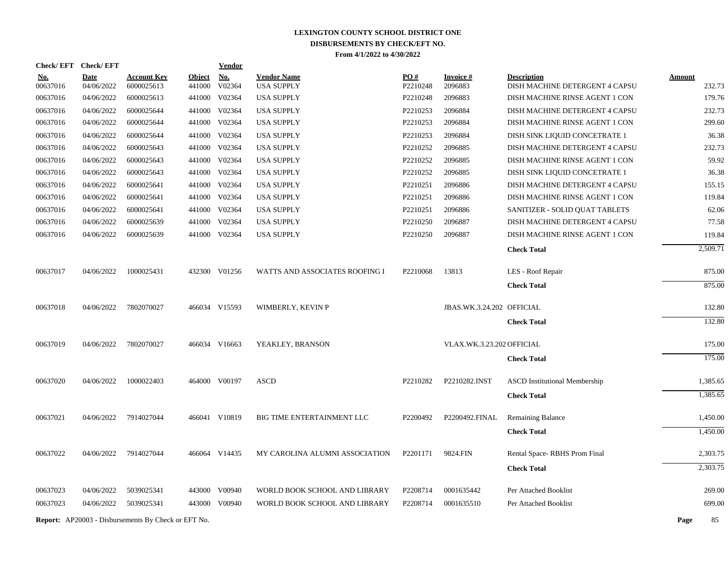| Check/EFT Check/EFT  |             |                                                            |               | <u>Vendor</u>           |                                |                      |                           |                                      |                  |
|----------------------|-------------|------------------------------------------------------------|---------------|-------------------------|--------------------------------|----------------------|---------------------------|--------------------------------------|------------------|
| <u>No.</u>           | <b>Date</b> | <b>Account Key</b>                                         | <b>Object</b> | <b>No.</b>              | <b>Vendor Name</b>             | PO#                  | <b>Invoice#</b>           | <b>Description</b>                   | <b>Amount</b>    |
| 00637016<br>00637016 | 04/06/2022  | 6000025613<br>6000025613                                   | 441000        | V02364<br>441000 V02364 | <b>USA SUPPLY</b>              | P2210248<br>P2210248 | 2096883<br>2096883        | DISH MACHINE DETERGENT 4 CAPSU       | 232.73<br>179.76 |
|                      | 04/06/2022  |                                                            |               |                         | <b>USA SUPPLY</b>              |                      |                           | DISH MACHINE RINSE AGENT 1 CON       |                  |
| 00637016             | 04/06/2022  | 6000025644                                                 |               | 441000 V02364           | <b>USA SUPPLY</b>              | P2210253             | 2096884                   | DISH MACHINE DETERGENT 4 CAPSU       | 232.73           |
| 00637016             | 04/06/2022  | 6000025644                                                 |               | 441000 V02364           | <b>USA SUPPLY</b>              | P2210253             | 2096884                   | DISH MACHINE RINSE AGENT 1 CON       | 299.60           |
| 00637016             | 04/06/2022  | 6000025644                                                 |               | 441000 V02364           | <b>USA SUPPLY</b>              | P2210253             | 2096884                   | DISH SINK LIQUID CONCETRATE 1        | 36.38            |
| 00637016             | 04/06/2022  | 6000025643                                                 |               | 441000 V02364           | <b>USA SUPPLY</b>              | P2210252             | 2096885                   | DISH MACHINE DETERGENT 4 CAPSU       | 232.73           |
| 00637016             | 04/06/2022  | 6000025643                                                 |               | 441000 V02364           | <b>USA SUPPLY</b>              | P2210252             | 2096885                   | DISH MACHINE RINSE AGENT 1 CON       | 59.92            |
| 00637016             | 04/06/2022  | 6000025643                                                 |               | 441000 V02364           | <b>USA SUPPLY</b>              | P2210252             | 2096885                   | DISH SINK LIQUID CONCETRATE 1        | 36.38            |
| 00637016             | 04/06/2022  | 6000025641                                                 |               | 441000 V02364           | <b>USA SUPPLY</b>              | P2210251             | 2096886                   | DISH MACHINE DETERGENT 4 CAPSU       | 155.15           |
| 00637016             | 04/06/2022  | 6000025641                                                 |               | 441000 V02364           | <b>USA SUPPLY</b>              | P2210251             | 2096886                   | DISH MACHINE RINSE AGENT 1 CON       | 119.84           |
| 00637016             | 04/06/2022  | 6000025641                                                 |               | 441000 V02364           | <b>USA SUPPLY</b>              | P2210251             | 2096886                   | SANITIZER - SOLID QUAT TABLETS       | 62.06            |
| 00637016             | 04/06/2022  | 6000025639                                                 |               | 441000 V02364           | <b>USA SUPPLY</b>              | P2210250             | 2096887                   | DISH MACHINE DETERGENT 4 CAPSU       | 77.58            |
| 00637016             | 04/06/2022  | 6000025639                                                 |               | 441000 V02364           | <b>USA SUPPLY</b>              | P <sub>2210250</sub> | 2096887                   | DISH MACHINE RINSE AGENT 1 CON       | 119.84           |
|                      |             |                                                            |               |                         |                                |                      |                           | <b>Check Total</b>                   | 2,509.71         |
| 00637017             | 04/06/2022  | 1000025431                                                 |               | 432300 V01256           | WATTS AND ASSOCIATES ROOFING I | P2210068             | 13813                     | LES - Roof Repair                    | 875.00           |
|                      |             |                                                            |               |                         |                                |                      |                           | <b>Check Total</b>                   | 875.00           |
| 00637018             | 04/06/2022  | 7802070027                                                 |               | 466034 V15593           | WIMBERLY, KEVIN P              |                      | JBAS.WK.3.24.202 OFFICIAL |                                      | 132.80           |
|                      |             |                                                            |               |                         |                                |                      |                           | <b>Check Total</b>                   | 132.80           |
|                      |             |                                                            |               |                         |                                |                      |                           |                                      |                  |
| 00637019             | 04/06/2022  | 7802070027                                                 |               | 466034 V16663           | YEAKLEY, BRANSON               |                      | VLAX.WK.3.23.202 OFFICIAL |                                      | 175.00           |
|                      |             |                                                            |               |                         |                                |                      |                           | <b>Check Total</b>                   | 175.00           |
| 00637020             | 04/06/2022  | 1000022403                                                 |               | 464000 V00197           | <b>ASCD</b>                    | P2210282             | P2210282.INST             | <b>ASCD</b> Institutional Membership | 1,385.65         |
|                      |             |                                                            |               |                         |                                |                      |                           | <b>Check Total</b>                   | 1,385.65         |
| 00637021             | 04/06/2022  | 7914027044                                                 |               | 466041 V10819           | BIG TIME ENTERTAINMENT LLC     | P2200492             | P2200492.FINAL            | Remaining Balance                    | 1,450.00         |
|                      |             |                                                            |               |                         |                                |                      |                           | <b>Check Total</b>                   | 1,450.00         |
|                      |             |                                                            |               |                         |                                |                      |                           |                                      |                  |
| 00637022             | 04/06/2022  | 7914027044                                                 |               | 466064 V14435           | MY CAROLINA ALUMNI ASSOCIATION | P2201171             | 9824.FIN                  | Rental Space-RBHS Prom Final         | 2,303.75         |
|                      |             |                                                            |               |                         |                                |                      |                           | <b>Check Total</b>                   | 2,303.75         |
| 00637023             | 04/06/2022  | 5039025341                                                 |               | 443000 V00940           | WORLD BOOK SCHOOL AND LIBRARY  | P2208714             | 0001635442                | Per Attached Booklist                | 269.00           |
| 00637023             | 04/06/2022  | 5039025341                                                 |               | 443000 V00940           | WORLD BOOK SCHOOL AND LIBRARY  | P2208714             | 0001635510                | Per Attached Booklist                | 699.00           |
|                      |             | <b>Report:</b> AP20003 - Disbursements By Check or EFT No. |               |                         |                                |                      |                           |                                      | Page<br>85       |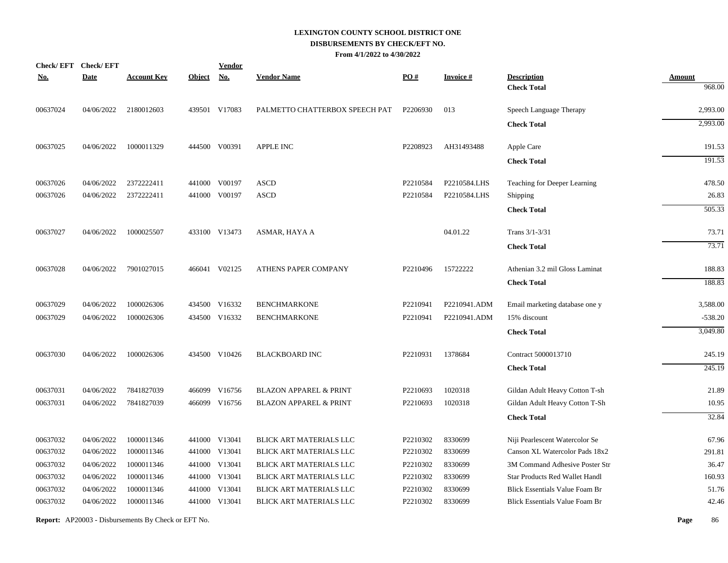|            | Check/EFT Check/EFT |                    |               | <b>Vendor</b> |                                   |          |                 |                                       |               |
|------------|---------------------|--------------------|---------------|---------------|-----------------------------------|----------|-----------------|---------------------------------------|---------------|
| <u>No.</u> | <b>Date</b>         | <b>Account Key</b> | <b>Object</b> | <u>No.</u>    | <b>Vendor Name</b>                | PO#      | <b>Invoice#</b> | <b>Description</b>                    | <b>Amount</b> |
|            |                     |                    |               |               |                                   |          |                 | <b>Check Total</b>                    | 968.00        |
| 00637024   | 04/06/2022          | 2180012603         |               | 439501 V17083 | PALMETTO CHATTERBOX SPEECH PAT    | P2206930 | 013             | Speech Language Therapy               | 2,993.00      |
|            |                     |                    |               |               |                                   |          |                 | <b>Check Total</b>                    | 2,993.00      |
| 00637025   | 04/06/2022          | 1000011329         |               | 444500 V00391 | <b>APPLE INC</b>                  | P2208923 | AH31493488      | Apple Care                            | 191.53        |
|            |                     |                    |               |               |                                   |          |                 | <b>Check Total</b>                    | 191.53        |
| 00637026   | 04/06/2022          | 2372222411         | 441000        | V00197        | <b>ASCD</b>                       | P2210584 | P2210584.LHS    | Teaching for Deeper Learning          | 478.50        |
| 00637026   | 04/06/2022          | 2372222411         | 441000        | V00197        | <b>ASCD</b>                       | P2210584 | P2210584.LHS    | Shipping                              | 26.83         |
|            |                     |                    |               |               |                                   |          |                 | <b>Check Total</b>                    | 505.33        |
| 00637027   | 04/06/2022          | 1000025507         |               | 433100 V13473 | ASMAR, HAYA A                     |          | 04.01.22        | Trans 3/1-3/31                        | 73.71         |
|            |                     |                    |               |               |                                   |          |                 | <b>Check Total</b>                    | 73.71         |
| 00637028   | 04/06/2022          | 7901027015         |               | 466041 V02125 | ATHENS PAPER COMPANY              | P2210496 | 15722222        | Athenian 3.2 mil Gloss Laminat        | 188.83        |
|            |                     |                    |               |               |                                   |          |                 | <b>Check Total</b>                    | 188.83        |
| 00637029   | 04/06/2022          | 1000026306         | 434500        | V16332        | <b>BENCHMARKONE</b>               | P2210941 | P2210941.ADM    | Email marketing database one y        | 3,588.00      |
| 00637029   | 04/06/2022          | 1000026306         |               | 434500 V16332 | <b>BENCHMARKONE</b>               | P2210941 | P2210941.ADM    | 15% discount                          | $-538.20$     |
|            |                     |                    |               |               |                                   |          |                 | <b>Check Total</b>                    | 3,049.80      |
| 00637030   | 04/06/2022          | 1000026306         |               | 434500 V10426 | <b>BLACKBOARD INC</b>             | P2210931 | 1378684         | Contract 5000013710                   | 245.19        |
|            |                     |                    |               |               |                                   |          |                 | <b>Check Total</b>                    | 245.19        |
| 00637031   | 04/06/2022          | 7841827039         | 466099        | V16756        | <b>BLAZON APPAREL &amp; PRINT</b> | P2210693 | 1020318         | Gildan Adult Heavy Cotton T-sh        | 21.89         |
| 00637031   | 04/06/2022          | 7841827039         |               | 466099 V16756 | <b>BLAZON APPAREL &amp; PRINT</b> | P2210693 | 1020318         | Gildan Adult Heavy Cotton T-Sh        | 10.95         |
|            |                     |                    |               |               |                                   |          |                 | <b>Check Total</b>                    | 32.84         |
| 00637032   | 04/06/2022          | 1000011346         |               | 441000 V13041 | <b>BLICK ART MATERIALS LLC</b>    | P2210302 | 8330699         | Niji Pearlescent Watercolor Se        | 67.96         |
| 00637032   | 04/06/2022          | 1000011346         |               | 441000 V13041 | BLICK ART MATERIALS LLC           | P2210302 | 8330699         | Canson XL Watercolor Pads 18x2        | 291.81        |
| 00637032   | 04/06/2022          | 1000011346         | 441000        | V13041        | BLICK ART MATERIALS LLC           | P2210302 | 8330699         | 3M Command Adhesive Poster Str        | 36.47         |
| 00637032   | 04/06/2022          | 1000011346         |               | 441000 V13041 | BLICK ART MATERIALS LLC           | P2210302 | 8330699         | Star Products Red Wallet Handl        | 160.93        |
| 00637032   | 04/06/2022          | 1000011346         | 441000        | V13041        | BLICK ART MATERIALS LLC           | P2210302 | 8330699         | <b>Blick Essentials Value Foam Br</b> | 51.76         |
| 00637032   | 04/06/2022          | 1000011346         |               | 441000 V13041 | <b>BLICK ART MATERIALS LLC</b>    | P2210302 | 8330699         | <b>Blick Essentials Value Foam Br</b> | 42.46         |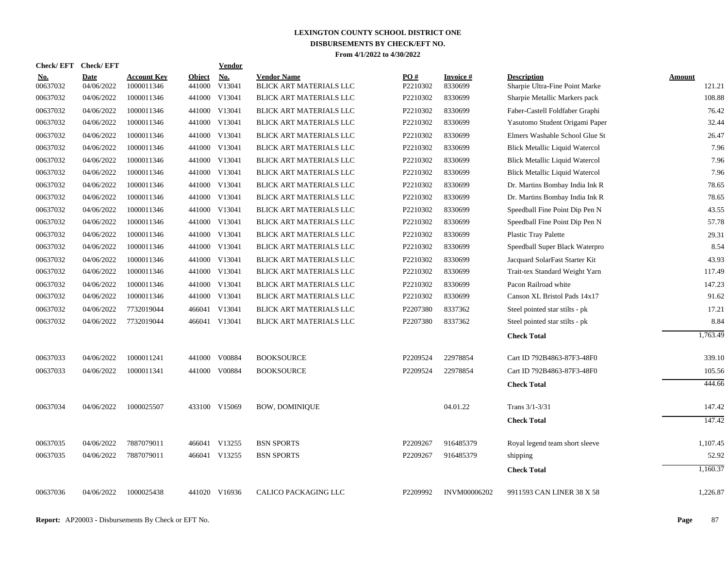| <b>Check/EFT</b>       | <b>Check/EFT</b>          |                                  |                  | <b>Vendor</b>                         |                                               |                        |                             |                                                      |                  |
|------------------------|---------------------------|----------------------------------|------------------|---------------------------------------|-----------------------------------------------|------------------------|-----------------------------|------------------------------------------------------|------------------|
| <u>No.</u><br>00637032 | <b>Date</b><br>04/06/2022 | <b>Account Key</b><br>1000011346 | Object<br>441000 | $\underline{\textbf{No}}$ .<br>V13041 | <b>Vendor Name</b><br>BLICK ART MATERIALS LLC | <b>PO#</b><br>P2210302 | <b>Invoice</b> #<br>8330699 | <b>Description</b><br>Sharpie Ultra-Fine Point Marke | Amount<br>121.21 |
| 00637032               | 04/06/2022                | 1000011346                       | 441000           | V13041                                | BLICK ART MATERIALS LLC                       | P2210302               | 8330699                     | Sharpie Metallic Markers pack                        | 108.88           |
| 00637032               | 04/06/2022                | 1000011346                       | 441000           | V13041                                | BLICK ART MATERIALS LLC                       | P2210302               | 8330699                     | Faber-Castell Foldfaber Graphi                       | 76.42            |
| 00637032               | 04/06/2022                | 1000011346                       |                  | 441000 V13041                         | BLICK ART MATERIALS LLC                       | P2210302               | 8330699                     | Yasutomo Student Origami Paper                       | 32.44            |
| 00637032               | 04/06/2022                | 1000011346                       |                  | 441000 V13041                         | BLICK ART MATERIALS LLC                       | P2210302               | 8330699                     | Elmers Washable School Glue St                       | 26.47            |
| 00637032               | 04/06/2022                | 1000011346                       |                  | 441000 V13041                         | <b>BLICK ART MATERIALS LLC</b>                | P2210302               | 8330699                     | <b>Blick Metallic Liquid Watercol</b>                | 7.96             |
| 00637032               | 04/06/2022                | 1000011346                       | 441000           | V13041                                | BLICK ART MATERIALS LLC                       | P2210302               | 8330699                     | <b>Blick Metallic Liquid Watercol</b>                | 7.96             |
| 00637032               | 04/06/2022                | 1000011346                       |                  | 441000 V13041                         | BLICK ART MATERIALS LLC                       | P2210302               | 8330699                     | <b>Blick Metallic Liquid Watercol</b>                | 7.96             |
| 00637032               | 04/06/2022                | 1000011346                       | 441000           | V13041                                | BLICK ART MATERIALS LLC                       | P2210302               | 8330699                     | Dr. Martins Bombay India Ink R                       | 78.65            |
| 00637032               | 04/06/2022                | 1000011346                       | 441000           | V13041                                | BLICK ART MATERIALS LLC                       | P2210302               | 8330699                     | Dr. Martins Bombay India Ink R                       | 78.65            |
| 00637032               | 04/06/2022                | 1000011346                       |                  | 441000 V13041                         | BLICK ART MATERIALS LLC                       | P2210302               | 8330699                     | Speedball Fine Point Dip Pen N                       | 43.55            |
| 00637032               | 04/06/2022                | 1000011346                       |                  | 441000 V13041                         | BLICK ART MATERIALS LLC                       | P2210302               | 8330699                     | Speedball Fine Point Dip Pen N                       | 57.78            |
| 00637032               | 04/06/2022                | 1000011346                       |                  | 441000 V13041                         | BLICK ART MATERIALS LLC                       | P2210302               | 8330699                     | <b>Plastic Tray Palette</b>                          | 29.31            |
| 00637032               | 04/06/2022                | 1000011346                       |                  | 441000 V13041                         | BLICK ART MATERIALS LLC                       | P2210302               | 8330699                     | Speedball Super Black Waterpro                       | 8.54             |
| 00637032               | 04/06/2022                | 1000011346                       | 441000           | V13041                                | BLICK ART MATERIALS LLC                       | P2210302               | 8330699                     | Jacquard SolarFast Starter Kit                       | 43.93            |
| 00637032               | 04/06/2022                | 1000011346                       |                  | 441000 V13041                         | BLICK ART MATERIALS LLC                       | P2210302               | 8330699                     | Trait-tex Standard Weight Yarn                       | 117.49           |
| 00637032               | 04/06/2022                | 1000011346                       | 441000           | V13041                                | <b>BLICK ART MATERIALS LLC</b>                | P2210302               | 8330699                     | Pacon Railroad white                                 | 147.23           |
| 00637032               | 04/06/2022                | 1000011346                       | 441000           | V13041                                | BLICK ART MATERIALS LLC                       | P2210302               | 8330699                     | Canson XL Bristol Pads 14x17                         | 91.62            |
| 00637032               | 04/06/2022                | 7732019044                       |                  | 466041 V13041                         | BLICK ART MATERIALS LLC                       | P2207380               | 8337362                     | Steel pointed star stilts - pk                       | 17.21            |
| 00637032               | 04/06/2022                | 7732019044                       |                  | 466041 V13041                         | BLICK ART MATERIALS LLC                       | P2207380               | 8337362                     | Steel pointed star stilts - pk                       | 8.84             |
|                        |                           |                                  |                  |                                       |                                               |                        |                             | <b>Check Total</b>                                   | 1,763.49         |
| 00637033               | 04/06/2022                | 1000011241                       | 441000           | V00884                                | <b>BOOKSOURCE</b>                             | P2209524               | 22978854                    | Cart ID 792B4863-87F3-48F0                           | 339.10           |
| 00637033               | 04/06/2022                | 1000011341                       | 441000           | V00884                                | <b>BOOKSOURCE</b>                             | P2209524               | 22978854                    | Cart ID 792B4863-87F3-48F0                           | 105.56           |
|                        |                           |                                  |                  |                                       |                                               |                        |                             | <b>Check Total</b>                                   | 444.66           |
| 00637034               | 04/06/2022                | 1000025507                       |                  | 433100 V15069                         | <b>BOW, DOMINIQUE</b>                         |                        | 04.01.22                    | Trans 3/1-3/31                                       | 147.42           |
|                        |                           |                                  |                  |                                       |                                               |                        |                             | <b>Check Total</b>                                   | 147.42           |
| 00637035               | 04/06/2022                | 7887079011                       |                  | 466041 V13255                         | <b>BSN SPORTS</b>                             | P2209267               | 916485379                   | Royal legend team short sleeve                       | 1,107.45         |
| 00637035               | 04/06/2022                | 7887079011                       |                  | 466041 V13255                         | <b>BSN SPORTS</b>                             | P2209267               | 916485379                   | shipping                                             | 52.92            |
|                        |                           |                                  |                  |                                       |                                               |                        |                             | <b>Check Total</b>                                   | 1,160.37         |
| 00637036               | 04/06/2022                | 1000025438                       |                  | 441020 V16936                         | <b>CALICO PACKAGING LLC</b>                   | P2209992               | INVM00006202                | 9911593 CAN LINER 38 X 58                            | 1,226.87         |
|                        |                           |                                  |                  |                                       |                                               |                        |                             |                                                      |                  |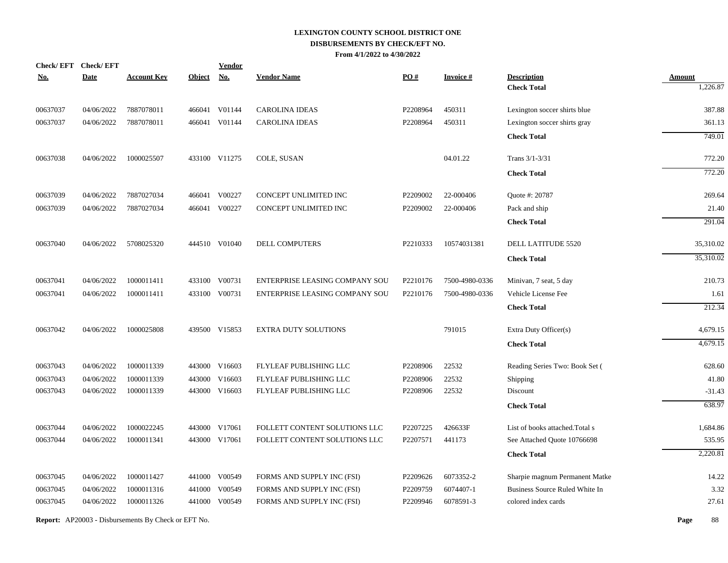|            | Check/EFT Check/EFT |                                                            |               | <b>Vendor</b> |                                |          |                 |                                 |               |
|------------|---------------------|------------------------------------------------------------|---------------|---------------|--------------------------------|----------|-----------------|---------------------------------|---------------|
| <u>No.</u> | <b>Date</b>         | <b>Account Key</b>                                         | <b>Object</b> | <b>No.</b>    | <b>Vendor Name</b>             | PO#      | <b>Invoice#</b> | <b>Description</b>              | <b>Amount</b> |
|            |                     |                                                            |               |               |                                |          |                 | <b>Check Total</b>              | 1,226.87      |
| 00637037   | 04/06/2022          | 7887078011                                                 |               | 466041 V01144 | <b>CAROLINA IDEAS</b>          | P2208964 | 450311          | Lexington soccer shirts blue    | 387.88        |
| 00637037   | 04/06/2022          | 7887078011                                                 | 466041        | V01144        | <b>CAROLINA IDEAS</b>          | P2208964 | 450311          | Lexington soccer shirts gray    | 361.13        |
|            |                     |                                                            |               |               |                                |          |                 | <b>Check Total</b>              | 749.01        |
| 00637038   | 04/06/2022          | 1000025507                                                 |               | 433100 V11275 | COLE, SUSAN                    |          | 04.01.22        | Trans 3/1-3/31                  | 772.20        |
|            |                     |                                                            |               |               |                                |          |                 | <b>Check Total</b>              | 772.20        |
| 00637039   | 04/06/2022          | 7887027034                                                 |               | 466041 V00227 | CONCEPT UNLIMITED INC          | P2209002 | 22-000406       | Quote #: 20787                  | 269.64        |
| 00637039   | 04/06/2022          | 7887027034                                                 | 466041        | V00227        | CONCEPT UNLIMITED INC          | P2209002 | 22-000406       | Pack and ship                   | 21.40         |
|            |                     |                                                            |               |               |                                |          |                 | <b>Check Total</b>              | 291.04        |
| 00637040   | 04/06/2022          | 5708025320                                                 |               | 444510 V01040 | <b>DELL COMPUTERS</b>          | P2210333 | 10574031381     | DELL LATITUDE 5520              | 35,310.02     |
|            |                     |                                                            |               |               |                                |          |                 | <b>Check Total</b>              | 35,310.02     |
| 00637041   | 04/06/2022          | 1000011411                                                 |               | 433100 V00731 | ENTERPRISE LEASING COMPANY SOU | P2210176 | 7500-4980-0336  | Minivan, 7 seat, 5 day          | 210.73        |
| 00637041   | 04/06/2022          | 1000011411                                                 |               | 433100 V00731 | ENTERPRISE LEASING COMPANY SOU | P2210176 | 7500-4980-0336  | Vehicle License Fee             | 1.61          |
|            |                     |                                                            |               |               |                                |          |                 | <b>Check Total</b>              | 212.34        |
| 00637042   | 04/06/2022          | 1000025808                                                 |               | 439500 V15853 | <b>EXTRA DUTY SOLUTIONS</b>    |          | 791015          | Extra Duty Officer(s)           | 4,679.15      |
|            |                     |                                                            |               |               |                                |          |                 | <b>Check Total</b>              | 4,679.15      |
| 00637043   | 04/06/2022          | 1000011339                                                 |               | 443000 V16603 | FLYLEAF PUBLISHING LLC         | P2208906 | 22532           | Reading Series Two: Book Set (  | 628.60        |
| 00637043   | 04/06/2022          | 1000011339                                                 | 443000        | V16603        | FLYLEAF PUBLISHING LLC         | P2208906 | 22532           | Shipping                        | 41.80         |
| 00637043   | 04/06/2022          | 1000011339                                                 |               | 443000 V16603 | FLYLEAF PUBLISHING LLC         | P2208906 | 22532           | Discount                        | $-31.43$      |
|            |                     |                                                            |               |               |                                |          |                 | <b>Check Total</b>              | 638.97        |
| 00637044   | 04/06/2022          | 1000022245                                                 |               | 443000 V17061 | FOLLETT CONTENT SOLUTIONS LLC  | P2207225 | 426633F         | List of books attached. Total s | 1,684.86      |
| 00637044   | 04/06/2022          | 1000011341                                                 |               | 443000 V17061 | FOLLETT CONTENT SOLUTIONS LLC  | P2207571 | 441173          | See Attached Quote 10766698     | 535.95        |
|            |                     |                                                            |               |               |                                |          |                 | <b>Check Total</b>              | 2,220.81      |
| 00637045   | 04/06/2022          | 1000011427                                                 |               | 441000 V00549 | FORMS AND SUPPLY INC (FSI)     | P2209626 | 6073352-2       | Sharpie magnum Permanent Matke  | 14.22         |
| 00637045   | 04/06/2022          | 1000011316                                                 | 441000        | V00549        | FORMS AND SUPPLY INC (FSI)     | P2209759 | 6074407-1       | Business Source Ruled White In  | 3.32          |
| 00637045   | 04/06/2022          | 1000011326                                                 |               | 441000 V00549 | FORMS AND SUPPLY INC (FSI)     | P2209946 | 6078591-3       | colored index cards             | 27.61         |
|            |                     | <b>Report:</b> AP20003 - Disbursements By Check or EFT No. |               |               |                                |          |                 |                                 | Page<br>88    |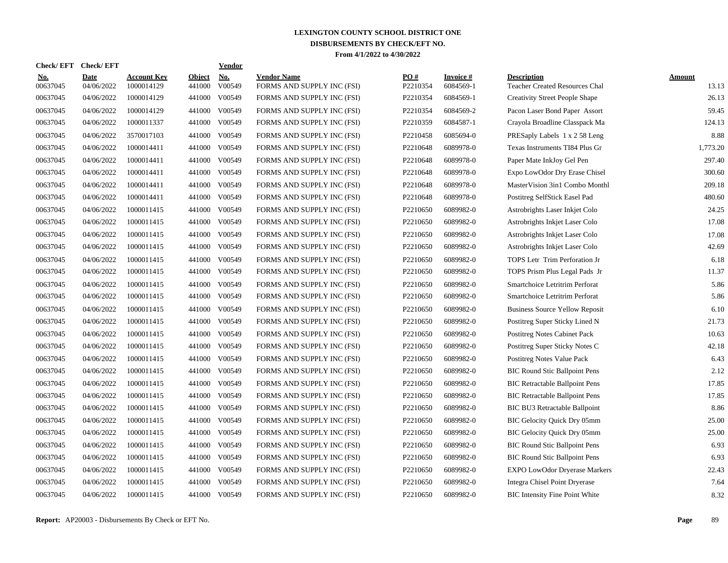| <b>Check/EFT</b>       | <b>Check/EFT</b>          |                           |                         | <b>Vendor</b> |                                                  |                      |                               |                                                      |                        |
|------------------------|---------------------------|---------------------------|-------------------------|---------------|--------------------------------------------------|----------------------|-------------------------------|------------------------------------------------------|------------------------|
| <u>No.</u><br>00637045 | <b>Date</b><br>04/06/2022 | Account Kev<br>1000014129 | <b>Object</b><br>441000 | No.<br>V00549 | <b>Vendor Name</b><br>FORMS AND SUPPLY INC (FSI) | PO#<br>P2210354      | <b>Invoice</b> #<br>6084569-1 | <b>Description</b><br>Teacher Created Resources Chal | <b>Amount</b><br>13.13 |
| 00637045               | 04/06/2022                | 1000014129                | 441000                  | V00549        | FORMS AND SUPPLY INC (FSI)                       | P2210354             | 6084569-1                     | <b>Creativity Street People Shape</b>                | 26.13                  |
| 00637045               | 04/06/2022                | 1000014129                | 441000                  | V00549        | FORMS AND SUPPLY INC (FSI)                       | P2210354             | 6084569-2                     | Pacon Laser Bond Paper Assort                        | 59.45                  |
| 00637045               | 04/06/2022                | 1000011337                | 441000                  | V00549        | FORMS AND SUPPLY INC (FSI)                       | P2210359             | 6084587-1                     | Crayola Broadline Classpack Ma                       | 124.13                 |
| 00637045               | 04/06/2022                | 3570017103                | 441000                  | V00549        | FORMS AND SUPPLY INC (FSI)                       | P2210458             | 6085694-0                     | PRESaply Labels 1 x 2 58 Leng                        | 8.88                   |
| 00637045               | 04/06/2022                | 1000014411                | 441000                  | V00549        | FORMS AND SUPPLY INC (FSI)                       | P2210648             | 6089978-0                     | Texas Instruments TI84 Plus Gr                       | 1,773.20               |
| 00637045               | 04/06/2022                | 1000014411                | 441000                  | V00549        | FORMS AND SUPPLY INC (FSI)                       | P2210648             | 6089978-0                     | Paper Mate InkJoy Gel Pen                            | 297.40                 |
| 00637045               | 04/06/2022                | 1000014411                | 441000                  | V00549        | FORMS AND SUPPLY INC (FSI)                       | P2210648             | 6089978-0                     | Expo LowOdor Dry Erase Chisel                        | 300.60                 |
| 00637045               | 04/06/2022                | 1000014411                | 441000                  | V00549        | FORMS AND SUPPLY INC (FSI)                       | P2210648             | 6089978-0                     | MasterVision 3in1 Combo Monthl                       | 209.18                 |
| 00637045               | 04/06/2022                | 1000014411                | 441000                  | V00549        | FORMS AND SUPPLY INC (FSI)                       | P2210648             | 6089978-0                     | Postitreg SelfStick Easel Pad                        | 480.60                 |
| 00637045               | 04/06/2022                | 1000011415                | 441000                  | V00549        | FORMS AND SUPPLY INC (FSI)                       | P2210650             | 6089982-0                     | Astrobrights Laser Inkjet Colo                       | 24.25                  |
| 00637045               | 04/06/2022                | 1000011415                | 441000                  | V00549        | FORMS AND SUPPLY INC (FSI)                       | P2210650             | 6089982-0                     | Astrobrights Inkjet Laser Colo                       | 17.08                  |
| 00637045               | 04/06/2022                | 1000011415                | 441000                  | V00549        | FORMS AND SUPPLY INC (FSI)                       | P2210650             | 6089982-0                     | Astrobrights Inkjet Laser Colo                       | 17.08                  |
| 00637045               | 04/06/2022                | 1000011415                | 441000                  | V00549        | FORMS AND SUPPLY INC (FSI)                       | P2210650             | 6089982-0                     | Astrobrights Inkjet Laser Colo                       | 42.69                  |
| 00637045               | 04/06/2022                | 1000011415                | 441000                  | V00549        | FORMS AND SUPPLY INC (FSI)                       | P2210650             | 6089982-0                     | TOPS Letr Trim Perforation Jr                        | 6.18                   |
| 00637045               | 04/06/2022                | 1000011415                | 441000                  | V00549        | FORMS AND SUPPLY INC (FSI)                       | P2210650             | 6089982-0                     | TOPS Prism Plus Legal Pads Jr                        | 11.37                  |
| 00637045               | 04/06/2022                | 1000011415                | 441000                  | V00549        | FORMS AND SUPPLY INC (FSI)                       | P2210650             | 6089982-0                     | Smartchoice Letritrim Perforat                       | 5.86                   |
| 00637045               | 04/06/2022                | 1000011415                | 441000                  | V00549        | FORMS AND SUPPLY INC (FSI)                       | P2210650             | 6089982-0                     | Smartchoice Letritrim Perforat                       | 5.86                   |
| 00637045               | 04/06/2022                | 1000011415                | 441000                  | V00549        | FORMS AND SUPPLY INC (FSI)                       | P2210650             | 6089982-0                     | <b>Business Source Yellow Reposit</b>                | 6.10                   |
| 00637045               | 04/06/2022                | 1000011415                | 441000                  | V00549        | FORMS AND SUPPLY INC (FSI)                       | P2210650             | 6089982-0                     | Postitreg Super Sticky Lined N                       | 21.73                  |
| 00637045               | 04/06/2022                | 1000011415                | 441000                  | V00549        | FORMS AND SUPPLY INC (FSI)                       | P2210650             | 6089982-0                     | <b>Postitreg Notes Cabinet Pack</b>                  | 10.63                  |
| 00637045               | 04/06/2022                | 1000011415                | 441000                  | V00549        | FORMS AND SUPPLY INC (FSI)                       | P2210650             | 6089982-0                     | Postitreg Super Sticky Notes C                       | 42.18                  |
| 00637045               | 04/06/2022                | 1000011415                | 441000                  | V00549        | FORMS AND SUPPLY INC (FSI)                       | P2210650             | 6089982-0                     | Postitreg Notes Value Pack                           | 6.43                   |
| 00637045               | 04/06/2022                | 1000011415                | 441000                  | V00549        | FORMS AND SUPPLY INC (FSI)                       | P2210650             | 6089982-0                     | <b>BIC Round Stic Ballpoint Pens</b>                 | 2.12                   |
| 00637045               | 04/06/2022                | 1000011415                | 441000                  | V00549        | FORMS AND SUPPLY INC (FSI)                       | P2210650             | 6089982-0                     | <b>BIC Retractable Ballpoint Pens</b>                | 17.85                  |
| 00637045               | 04/06/2022                | 1000011415                | 441000                  | V00549        | FORMS AND SUPPLY INC (FSI)                       | P2210650             | 6089982-0                     | <b>BIC Retractable Ballpoint Pens</b>                | 17.85                  |
| 00637045               | 04/06/2022                | 1000011415                | 441000                  | V00549        | FORMS AND SUPPLY INC (FSI)                       | P <sub>2210650</sub> | 6089982-0                     | BIC BU3 Retractable Ballpoint                        | 8.86                   |
| 00637045               | 04/06/2022                | 1000011415                | 441000                  | V00549        | FORMS AND SUPPLY INC (FSI)                       | P2210650             | 6089982-0                     | BIC Gelocity Quick Dry 05mm                          | 25.00                  |
| 00637045               | 04/06/2022                | 1000011415                | 441000                  | V00549        | FORMS AND SUPPLY INC (FSI)                       | P2210650             | 6089982-0                     | BIC Gelocity Quick Dry 05mm                          | 25.00                  |
| 00637045               | 04/06/2022                | 1000011415                | 441000                  | V00549        | FORMS AND SUPPLY INC (FSI)                       | P2210650             | 6089982-0                     | <b>BIC Round Stic Ballpoint Pens</b>                 | 6.93                   |
| 00637045               | 04/06/2022                | 1000011415                | 441000                  | V00549        | FORMS AND SUPPLY INC (FSI)                       | P2210650             | 6089982-0                     | <b>BIC Round Stic Ballpoint Pens</b>                 | 6.93                   |
| 00637045               | 04/06/2022                | 1000011415                | 441000                  | V00549        | FORMS AND SUPPLY INC (FSI)                       | P2210650             | 6089982-0                     | <b>EXPO LowOdor Dryerase Markers</b>                 | 22.43                  |
| 00637045               | 04/06/2022                | 1000011415                | 441000                  | V00549        | FORMS AND SUPPLY INC (FSI)                       | P2210650             | 6089982-0                     | Integra Chisel Point Dryerase                        | 7.64                   |
| 00637045               | 04/06/2022                | 1000011415                |                         | 441000 V00549 | FORMS AND SUPPLY INC (FSI)                       | P2210650             | 6089982-0                     | <b>BIC</b> Intensity Fine Point White                | 8.32                   |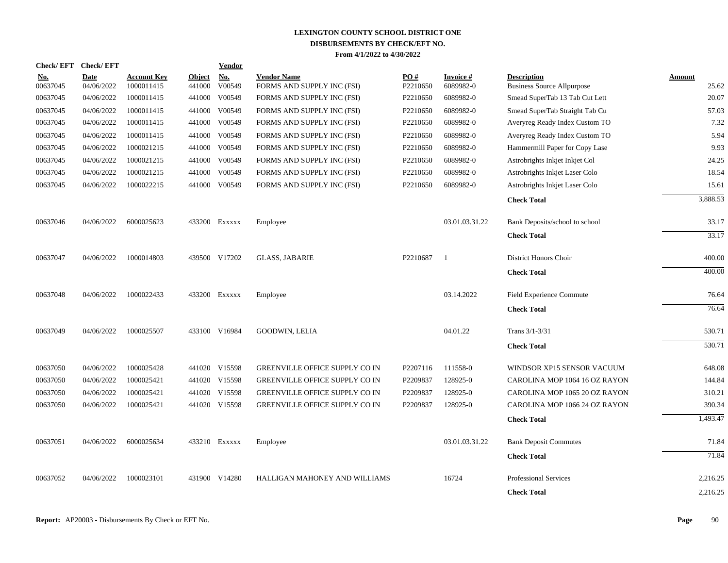| <b>Check/EFT</b>       | <b>Check/EFT</b>          |                                  |                         | Vendor        |                                                          |                 |                        |                                                                  |                 |
|------------------------|---------------------------|----------------------------------|-------------------------|---------------|----------------------------------------------------------|-----------------|------------------------|------------------------------------------------------------------|-----------------|
| <u>No.</u><br>00637045 | <b>Date</b><br>04/06/2022 | <b>Account Kev</b><br>1000011415 | <b>Object</b><br>441000 | No.<br>V00549 | <b>Vendor Name</b><br>FORMS AND SUPPLY INC (FSI)         | PO#<br>P2210650 | Invoice #<br>6089982-0 | <b>Description</b><br><b>Business Source Allpurpose</b>          | Amount<br>25.62 |
| 00637045               | 04/06/2022                | 1000011415                       | 441000                  | V00549        | FORMS AND SUPPLY INC (FSI)                               | P2210650        | 6089982-0              | Smead SuperTab 13 Tab Cut Lett                                   | 20.07           |
|                        | 04/06/2022                | 1000011415                       |                         | 441000 V00549 |                                                          | P2210650        | 6089982-0              |                                                                  | 57.03           |
| 00637045<br>00637045   | 04/06/2022                | 1000011415                       |                         | 441000 V00549 | FORMS AND SUPPLY INC (FSI)<br>FORMS AND SUPPLY INC (FSI) | P2210650        | 6089982-0              | Smead SuperTab Straight Tab Cu<br>Averyreg Ready Index Custom TO | 7.32            |
|                        |                           |                                  |                         |               |                                                          |                 |                        |                                                                  |                 |
| 00637045               | 04/06/2022                | 1000011415                       |                         | 441000 V00549 | FORMS AND SUPPLY INC (FSI)                               | P2210650        | 6089982-0              | Averyreg Ready Index Custom TO                                   | 5.94            |
| 00637045               | 04/06/2022                | 1000021215                       |                         | 441000 V00549 | FORMS AND SUPPLY INC (FSI)                               | P2210650        | 6089982-0              | Hammermill Paper for Copy Lase                                   | 9.93            |
| 00637045               | 04/06/2022                | 1000021215                       |                         | 441000 V00549 | FORMS AND SUPPLY INC (FSI)                               | P2210650        | 6089982-0              | Astrobrights Inkjet Inkjet Col                                   | 24.25           |
| 00637045               | 04/06/2022                | 1000021215                       | 441000                  | V00549        | FORMS AND SUPPLY INC (FSI)                               | P2210650        | 6089982-0              | Astrobrights Inkjet Laser Colo                                   | 18.54           |
| 00637045               | 04/06/2022                | 1000022215                       |                         | 441000 V00549 | FORMS AND SUPPLY INC (FSI)                               | P2210650        | 6089982-0              | Astrobrights Inkjet Laser Colo                                   | 15.61           |
|                        |                           |                                  |                         |               |                                                          |                 |                        | <b>Check Total</b>                                               | 3,888.53        |
| 00637046               | 04/06/2022                | 6000025623                       |                         | 433200 EXXXXX | Employee                                                 |                 | 03.01.03.31.22         | Bank Deposits/school to school                                   | 33.17           |
|                        |                           |                                  |                         |               |                                                          |                 |                        | <b>Check Total</b>                                               | 33.17           |
| 00637047               | 04/06/2022                | 1000014803                       |                         | 439500 V17202 | <b>GLASS, JABARIE</b>                                    | P2210687        | - 1                    | District Honors Choir                                            | 400.00          |
|                        |                           |                                  |                         |               |                                                          |                 |                        | <b>Check Total</b>                                               | 400.00          |
| 00637048               | 04/06/2022                | 1000022433                       |                         | 433200 Exxxxx | Employee                                                 |                 | 03.14.2022             | Field Experience Commute                                         | 76.64           |
|                        |                           |                                  |                         |               |                                                          |                 |                        | <b>Check Total</b>                                               | 76.64           |
| 00637049               | 04/06/2022                | 1000025507                       |                         | 433100 V16984 | <b>GOODWIN, LELIA</b>                                    |                 | 04.01.22               | Trans 3/1-3/31                                                   | 530.71          |
|                        |                           |                                  |                         |               |                                                          |                 |                        | <b>Check Total</b>                                               | 530.71          |
| 00637050               | 04/06/2022                | 1000025428                       |                         | 441020 V15598 | GREENVILLE OFFICE SUPPLY CO IN                           | P2207116        | 111558-0               | WINDSOR XP15 SENSOR VACUUM                                       | 648.08          |
| 00637050               | 04/06/2022                | 1000025421                       |                         | 441020 V15598 | GREENVILLE OFFICE SUPPLY CO IN                           | P2209837        | 128925-0               | CAROLINA MOP 1064 16 OZ RAYON                                    | 144.84          |
| 00637050               | 04/06/2022                | 1000025421                       |                         | 441020 V15598 | GREENVILLE OFFICE SUPPLY CO IN                           | P2209837        | 128925-0               | CAROLINA MOP 1065 20 OZ RAYON                                    | 310.21          |
| 00637050               | 04/06/2022                | 1000025421                       |                         | 441020 V15598 | GREENVILLE OFFICE SUPPLY CO IN                           | P2209837        | 128925-0               | CAROLINA MOP 1066 24 OZ RAYON                                    | 390.34          |
|                        |                           |                                  |                         |               |                                                          |                 |                        | <b>Check Total</b>                                               | 1,493.47        |
| 00637051               | 04/06/2022                | 6000025634                       |                         | 433210 EXXXXX | Employee                                                 |                 | 03.01.03.31.22         | <b>Bank Deposit Commutes</b>                                     | 71.84           |
|                        |                           |                                  |                         |               |                                                          |                 |                        | <b>Check Total</b>                                               | 71.84           |
| 00637052               | 04/06/2022                | 1000023101                       |                         | 431900 V14280 | HALLIGAN MAHONEY AND WILLIAMS                            |                 | 16724                  | <b>Professional Services</b>                                     | 2,216.25        |
|                        |                           |                                  |                         |               |                                                          |                 |                        | <b>Check Total</b>                                               | 2,216.25        |
|                        |                           |                                  |                         |               |                                                          |                 |                        |                                                                  |                 |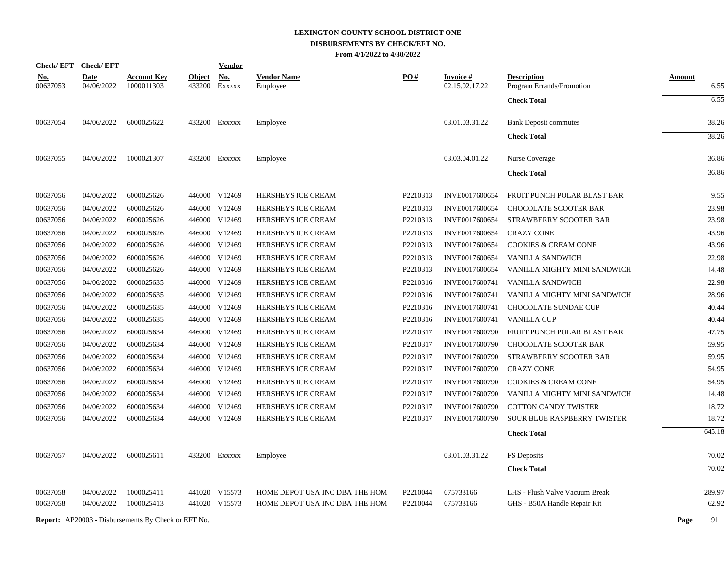| <b>Check/EFT</b>       | <b>Check/EFT</b>          |                                  |                         | <b>Vendor</b> |                                |          |                                   |                                                 |                       |
|------------------------|---------------------------|----------------------------------|-------------------------|---------------|--------------------------------|----------|-----------------------------------|-------------------------------------------------|-----------------------|
| <u>No.</u><br>00637053 | <b>Date</b><br>04/06/2022 | <b>Account Key</b><br>1000011303 | <b>Object</b><br>433200 | No.<br>EXXXXX | <b>Vendor Name</b><br>Employee | PO#      | <b>Invoice#</b><br>02.15.02.17.22 | <b>Description</b><br>Program Errands/Promotion | <b>Amount</b><br>6.55 |
|                        |                           |                                  |                         |               |                                |          |                                   | <b>Check Total</b>                              | 6.55                  |
| 00637054               | 04/06/2022                | 6000025622                       |                         | 433200 EXXXXX | Employee                       |          | 03.01.03.31.22                    | <b>Bank Deposit commutes</b>                    | 38.26                 |
|                        |                           |                                  |                         |               |                                |          |                                   | <b>Check Total</b>                              | 38.26                 |
| 00637055               | 04/06/2022                | 1000021307                       |                         | 433200 EXXXXX | Employee                       |          | 03.03.04.01.22                    | Nurse Coverage                                  | 36.86                 |
|                        |                           |                                  |                         |               |                                |          |                                   | <b>Check Total</b>                              | 36.86                 |
| 00637056               | 04/06/2022                | 6000025626                       |                         | 446000 V12469 | HERSHEYS ICE CREAM             | P2210313 | INVE0017600654                    | FRUIT PUNCH POLAR BLAST BAR                     | 9.55                  |
| 00637056               | 04/06/2022                | 6000025626                       |                         | 446000 V12469 | <b>HERSHEYS ICE CREAM</b>      | P2210313 | INVE0017600654                    | CHOCOLATE SCOOTER BAR                           | 23.98                 |
| 00637056               | 04/06/2022                | 6000025626                       |                         | 446000 V12469 | HERSHEYS ICE CREAM             | P2210313 | INVE0017600654                    | STRAWBERRY SCOOTER BAR                          | 23.98                 |
| 00637056               | 04/06/2022                | 6000025626                       |                         | 446000 V12469 | HERSHEYS ICE CREAM             | P2210313 | INVE0017600654                    | <b>CRAZY CONE</b>                               | 43.96                 |
| 00637056               | 04/06/2022                | 6000025626                       |                         | 446000 V12469 | HERSHEYS ICE CREAM             | P2210313 | INVE0017600654                    | <b>COOKIES &amp; CREAM CONE</b>                 | 43.96                 |
| 00637056               | 04/06/2022                | 6000025626                       |                         | 446000 V12469 | HERSHEYS ICE CREAM             | P2210313 | INVE0017600654                    | VANILLA SANDWICH                                | 22.98                 |
| 00637056               | 04/06/2022                | 6000025626                       |                         | 446000 V12469 | HERSHEYS ICE CREAM             | P2210313 | INVE0017600654                    | VANILLA MIGHTY MINI SANDWICH                    | 14.48                 |
| 00637056               | 04/06/2022                | 6000025635                       |                         | 446000 V12469 | HERSHEYS ICE CREAM             | P2210316 | INVE0017600741                    | VANILLA SANDWICH                                | 22.98                 |
| 00637056               | 04/06/2022                | 6000025635                       |                         | 446000 V12469 | HERSHEYS ICE CREAM             | P2210316 | INVE0017600741                    | VANILLA MIGHTY MINI SANDWICH                    | 28.96                 |
| 00637056               | 04/06/2022                | 6000025635                       |                         | 446000 V12469 | HERSHEYS ICE CREAM             | P2210316 | INVE0017600741                    | CHOCOLATE SUNDAE CUP                            | 40.44                 |
| 00637056               | 04/06/2022                | 6000025635                       |                         | 446000 V12469 | HERSHEYS ICE CREAM             | P2210316 | INVE0017600741                    | <b>VANILLA CUP</b>                              | 40.44                 |
| 00637056               | 04/06/2022                | 6000025634                       |                         | 446000 V12469 | HERSHEYS ICE CREAM             | P2210317 | INVE0017600790                    | FRUIT PUNCH POLAR BLAST BAR                     | 47.75                 |
| 00637056               | 04/06/2022                | 6000025634                       |                         | 446000 V12469 | HERSHEYS ICE CREAM             | P2210317 | INVE0017600790                    | <b>CHOCOLATE SCOOTER BAR</b>                    | 59.95                 |
| 00637056               | 04/06/2022                | 6000025634                       |                         | 446000 V12469 | HERSHEYS ICE CREAM             | P2210317 | INVE0017600790                    | STRAWBERRY SCOOTER BAR                          | 59.95                 |
| 00637056               | 04/06/2022                | 6000025634                       |                         | 446000 V12469 | <b>HERSHEYS ICE CREAM</b>      | P2210317 | INVE0017600790                    | <b>CRAZY CONE</b>                               | 54.95                 |
| 00637056               | 04/06/2022                | 6000025634                       |                         | 446000 V12469 | HERSHEYS ICE CREAM             | P2210317 | INVE0017600790                    | <b>COOKIES &amp; CREAM CONE</b>                 | 54.95                 |
| 00637056               | 04/06/2022                | 6000025634                       |                         | 446000 V12469 | HERSHEYS ICE CREAM             | P2210317 | INVE0017600790                    | VANILLA MIGHTY MINI SANDWICH                    | 14.48                 |
| 00637056               | 04/06/2022                | 6000025634                       | 446000                  | V12469        | HERSHEYS ICE CREAM             | P2210317 | INVE0017600790                    | <b>COTTON CANDY TWISTER</b>                     | 18.72                 |
| 00637056               | 04/06/2022                | 6000025634                       |                         | 446000 V12469 | HERSHEYS ICE CREAM             | P2210317 | INVE0017600790                    | SOUR BLUE RASPBERRY TWISTER                     | 18.72                 |
|                        |                           |                                  |                         |               |                                |          |                                   | <b>Check Total</b>                              | 645.18                |
| 00637057               | 04/06/2022                | 6000025611                       |                         | 433200 Exxxxx | Employee                       |          | 03.01.03.31.22                    | FS Deposits                                     | 70.02                 |
|                        |                           |                                  |                         |               |                                |          |                                   | <b>Check Total</b>                              | 70.02                 |
| 00637058               | 04/06/2022                | 1000025411                       |                         | 441020 V15573 | HOME DEPOT USA INC DBA THE HOM | P2210044 | 675733166                         | LHS - Flush Valve Vacuum Break                  | 289.97                |
| 00637058               | 04/06/2022                | 1000025413                       |                         | 441020 V15573 | HOME DEPOT USA INC DBA THE HOM | P2210044 | 675733166                         | GHS - B50A Handle Repair Kit                    | 62.92                 |
|                        |                           |                                  |                         |               |                                |          |                                   |                                                 |                       |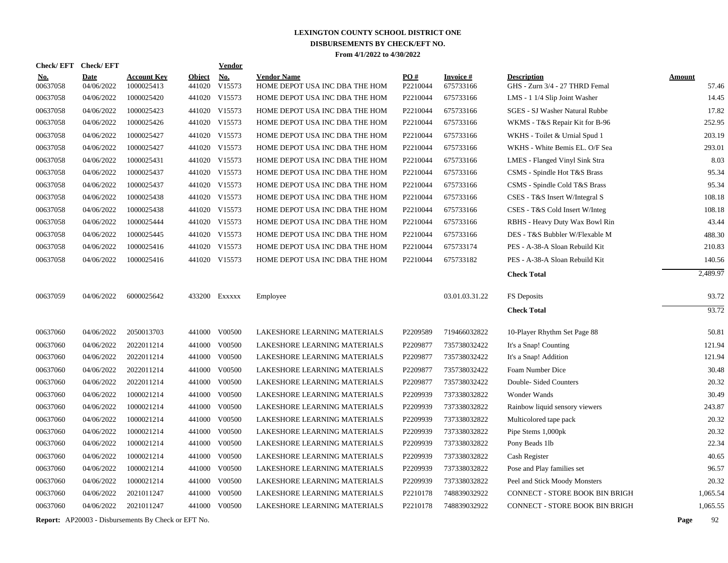| <b>Check/EFT</b>       | <b>Check/EFT</b>          |                                                            |                         | Vendor               |                                                      |                 |                              |                                                      |               |          |
|------------------------|---------------------------|------------------------------------------------------------|-------------------------|----------------------|------------------------------------------------------|-----------------|------------------------------|------------------------------------------------------|---------------|----------|
| <u>No.</u><br>00637058 | <b>Date</b><br>04/06/2022 | <b>Account Key</b><br>1000025413                           | <b>Object</b><br>441020 | <b>No.</b><br>V15573 | <b>Vendor Name</b><br>HOME DEPOT USA INC DBA THE HOM | PO#<br>P2210044 | <b>Invoice#</b><br>675733166 | <b>Description</b><br>GHS - Zurn 3/4 - 27 THRD Femal | <b>Amount</b> | 57.46    |
| 00637058               | 04/06/2022                | 1000025420                                                 | 441020                  | V15573               | HOME DEPOT USA INC DBA THE HOM                       | P2210044        | 675733166                    | LMS - 1 1/4 Slip Joint Washer                        |               | 14.45    |
| 00637058               | 04/06/2022                | 1000025423                                                 |                         | 441020 V15573        | HOME DEPOT USA INC DBA THE HOM                       | P2210044        | 675733166                    | SGES - SJ Washer Natural Rubbe                       |               | 17.82    |
| 00637058               | 04/06/2022                | 1000025426                                                 |                         | 441020 V15573        | HOME DEPOT USA INC DBA THE HOM                       | P2210044        | 675733166                    | WKMS - T&S Repair Kit for B-96                       |               | 252.95   |
| 00637058               | 04/06/2022                | 1000025427                                                 |                         | 441020 V15573        | HOME DEPOT USA INC DBA THE HOM                       | P2210044        | 675733166                    | WKHS - Toilet & Urnial Spud 1                        |               | 203.19   |
| 00637058               | 04/06/2022                | 1000025427                                                 |                         | 441020 V15573        | HOME DEPOT USA INC DBA THE HOM                       | P2210044        | 675733166                    | WKHS - White Bemis EL. O/F Sea                       |               | 293.01   |
| 00637058               | 04/06/2022                | 1000025431                                                 |                         | 441020 V15573        | HOME DEPOT USA INC DBA THE HOM                       | P2210044        | 675733166                    | <b>LMES</b> - Flanged Vinyl Sink Stra                |               | 8.03     |
| 00637058               | 04/06/2022                | 1000025437                                                 |                         | 441020 V15573        | HOME DEPOT USA INC DBA THE HOM                       | P2210044        | 675733166                    | CSMS - Spindle Hot T&S Brass                         |               | 95.34    |
| 00637058               | 04/06/2022                | 1000025437                                                 |                         | 441020 V15573        | HOME DEPOT USA INC DBA THE HOM                       | P2210044        | 675733166                    | CSMS - Spindle Cold T&S Brass                        |               | 95.34    |
| 00637058               | 04/06/2022                | 1000025438                                                 |                         | 441020 V15573        | HOME DEPOT USA INC DBA THE HOM                       | P2210044        | 675733166                    | CSES - T&S Insert W/Integral S                       |               | 108.18   |
| 00637058               | 04/06/2022                | 1000025438                                                 |                         | 441020 V15573        | HOME DEPOT USA INC DBA THE HOM                       | P2210044        | 675733166                    | CSES - T&S Cold Insert W/Integ                       |               | 108.18   |
| 00637058               | 04/06/2022                | 1000025444                                                 |                         | 441020 V15573        | HOME DEPOT USA INC DBA THE HOM                       | P2210044        | 675733166                    | RBHS - Heavy Duty Wax Bowl Rin                       |               | 43.44    |
| 00637058               | 04/06/2022                | 1000025445                                                 |                         | 441020 V15573        | HOME DEPOT USA INC DBA THE HOM                       | P2210044        | 675733166                    | DES - T&S Bubbler W/Flexable M                       |               | 488.30   |
| 00637058               | 04/06/2022                | 1000025416                                                 |                         | 441020 V15573        | HOME DEPOT USA INC DBA THE HOM                       | P2210044        | 675733174                    | PES - A-38-A Sloan Rebuild Kit                       |               | 210.83   |
| 00637058               | 04/06/2022                | 1000025416                                                 |                         | 441020 V15573        | HOME DEPOT USA INC DBA THE HOM                       | P2210044        | 675733182                    | PES - A-38-A Sloan Rebuild Kit                       |               | 140.56   |
|                        |                           |                                                            |                         |                      |                                                      |                 |                              | <b>Check Total</b>                                   |               | 2,489.97 |
|                        |                           |                                                            |                         |                      |                                                      |                 |                              |                                                      |               |          |
| 00637059               | 04/06/2022                | 6000025642                                                 |                         | 433200 EXXXXX        | Employee                                             |                 | 03.01.03.31.22               | FS Deposits                                          |               | 93.72    |
|                        |                           |                                                            |                         |                      |                                                      |                 |                              | <b>Check Total</b>                                   |               | 93.72    |
| 00637060               | 04/06/2022                | 2050013703                                                 |                         | 441000 V00500        | LAKESHORE LEARNING MATERIALS                         | P2209589        | 719466032822                 | 10-Player Rhythm Set Page 88                         |               | 50.81    |
| 00637060               | 04/06/2022                | 2022011214                                                 | 441000                  | V00500               | LAKESHORE LEARNING MATERIALS                         | P2209877        | 735738032422                 | It's a Snap! Counting                                |               | 121.94   |
| 00637060               | 04/06/2022                | 2022011214                                                 | 441000                  | V00500               | LAKESHORE LEARNING MATERIALS                         | P2209877        | 735738032422                 | It's a Snap! Addition                                |               | 121.94   |
| 00637060               | 04/06/2022                | 2022011214                                                 | 441000                  | V00500               | LAKESHORE LEARNING MATERIALS                         | P2209877        | 735738032422                 | Foam Number Dice                                     |               | 30.48    |
| 00637060               | 04/06/2022                | 2022011214                                                 | 441000                  | V00500               | LAKESHORE LEARNING MATERIALS                         | P2209877        | 735738032422                 | Double-Sided Counters                                |               | 20.32    |
| 00637060               | 04/06/2022                | 1000021214                                                 | 441000                  | V00500               | LAKESHORE LEARNING MATERIALS                         | P2209939        | 737338032822                 | Wonder Wands                                         |               | 30.49    |
| 00637060               | 04/06/2022                | 1000021214                                                 | 441000                  | V00500               | LAKESHORE LEARNING MATERIALS                         | P2209939        | 737338032822                 | Rainbow liquid sensory viewers                       |               | 243.87   |
| 00637060               | 04/06/2022                | 1000021214                                                 | 441000                  | V00500               | LAKESHORE LEARNING MATERIALS                         | P2209939        | 737338032822                 | Multicolored tape pack                               |               | 20.32    |
| 00637060               | 04/06/2022                | 1000021214                                                 | 441000                  | V00500               | LAKESHORE LEARNING MATERIALS                         | P2209939        | 737338032822                 | Pipe Stems 1,000pk                                   |               | 20.32    |
| 00637060               | 04/06/2022                | 1000021214                                                 | 441000                  | V00500               | LAKESHORE LEARNING MATERIALS                         | P2209939        | 737338032822                 | Pony Beads 1lb                                       |               | 22.34    |
| 00637060               | 04/06/2022                | 1000021214                                                 | 441000                  | V00500               | LAKESHORE LEARNING MATERIALS                         | P2209939        | 737338032822                 | Cash Register                                        |               | 40.65    |
| 00637060               | 04/06/2022                | 1000021214                                                 | 441000                  | V00500               | LAKESHORE LEARNING MATERIALS                         | P2209939        | 737338032822                 | Pose and Play families set                           |               | 96.57    |
| 00637060               | 04/06/2022                | 1000021214                                                 | 441000                  | V00500               | LAKESHORE LEARNING MATERIALS                         | P2209939        | 737338032822                 | Peel and Stick Moody Monsters                        |               | 20.32    |
| 00637060               | 04/06/2022                | 2021011247                                                 | 441000                  | V00500               | LAKESHORE LEARNING MATERIALS                         | P2210178        | 748839032922                 | <b>CONNECT - STORE BOOK BIN BRIGH</b>                |               | 1,065.54 |
| 00637060               | 04/06/2022                | 2021011247                                                 | 441000                  | V00500               | LAKESHORE LEARNING MATERIALS                         | P2210178        | 748839032922                 | <b>CONNECT - STORE BOOK BIN BRIGH</b>                |               | 1,065.55 |
|                        |                           | <b>Report:</b> AP20003 - Disbursements By Check or EFT No. |                         |                      |                                                      |                 |                              |                                                      | Page          | 92       |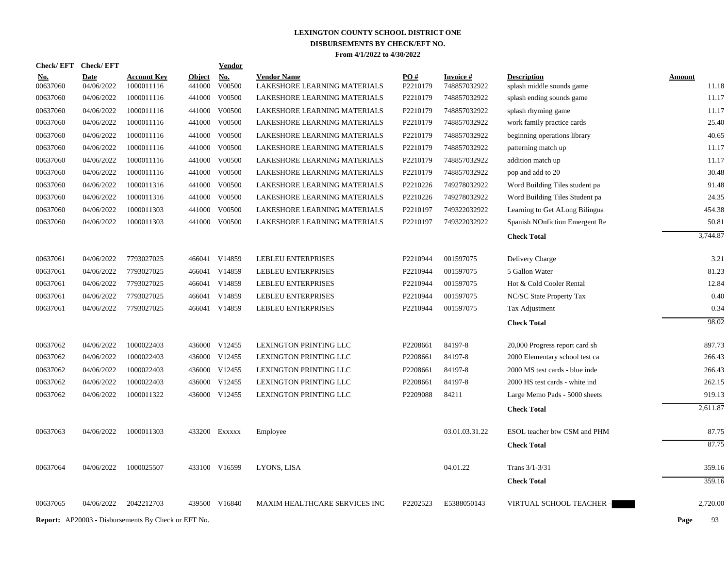| <b>Check/EFT</b> | <b>Check/EFT</b>                                           |                    |               | <b>Vendor</b> |                               |          |                 |                                |               |
|------------------|------------------------------------------------------------|--------------------|---------------|---------------|-------------------------------|----------|-----------------|--------------------------------|---------------|
| <u>No.</u>       | <b>Date</b>                                                | <b>Account Key</b> | <b>Object</b> | <b>No.</b>    | <b>Vendor Name</b>            | PO#      | <b>Invoice#</b> | <b>Description</b>             | <b>Amount</b> |
| 00637060         | 04/06/2022                                                 | 1000011116         | 441000        | V00500        | LAKESHORE LEARNING MATERIALS  | P2210179 | 748857032922    | splash middle sounds game      | 11.18         |
| 00637060         | 04/06/2022                                                 | 1000011116         | 441000        | V00500        | LAKESHORE LEARNING MATERIALS  | P2210179 | 748857032922    | splash ending sounds game      | 11.17         |
| 00637060         | 04/06/2022                                                 | 1000011116         |               | 441000 V00500 | LAKESHORE LEARNING MATERIALS  | P2210179 | 748857032922    | splash rhyming game            | 11.17         |
| 00637060         | 04/06/2022                                                 | 1000011116         |               | 441000 V00500 | LAKESHORE LEARNING MATERIALS  | P2210179 | 748857032922    | work family practice cards     | 25.40         |
| 00637060         | 04/06/2022                                                 | 1000011116         |               | 441000 V00500 | LAKESHORE LEARNING MATERIALS  | P2210179 | 748857032922    | beginning operations library   | 40.65         |
| 00637060         | 04/06/2022                                                 | 1000011116         |               | 441000 V00500 | LAKESHORE LEARNING MATERIALS  | P2210179 | 748857032922    | patterning match up            | 11.17         |
| 00637060         | 04/06/2022                                                 | 1000011116         |               | 441000 V00500 | LAKESHORE LEARNING MATERIALS  | P2210179 | 748857032922    | addition match up              | 11.17         |
| 00637060         | 04/06/2022                                                 | 1000011116         |               | 441000 V00500 | LAKESHORE LEARNING MATERIALS  | P2210179 | 748857032922    | pop and add to 20              | 30.48         |
| 00637060         | 04/06/2022                                                 | 1000011316         | 441000        | V00500        | LAKESHORE LEARNING MATERIALS  | P2210226 | 749278032922    | Word Building Tiles student pa | 91.48         |
| 00637060         | 04/06/2022                                                 | 1000011316         |               | 441000 V00500 | LAKESHORE LEARNING MATERIALS  | P2210226 | 749278032922    | Word Building Tiles Student pa | 24.35         |
| 00637060         | 04/06/2022                                                 | 1000011303         | 441000        | V00500        | LAKESHORE LEARNING MATERIALS  | P2210197 | 749322032922    | Learning to Get ALong Bilingua | 454.38        |
| 00637060         | 04/06/2022                                                 | 1000011303         |               | 441000 V00500 | LAKESHORE LEARNING MATERIALS  | P2210197 | 749322032922    | Spanish NOnfiction Emergent Re | 50.81         |
|                  |                                                            |                    |               |               |                               |          |                 | <b>Check Total</b>             | 3,744.87      |
| 00637061         | 04/06/2022                                                 | 7793027025         |               | 466041 V14859 | LEBLEU ENTERPRISES            | P2210944 | 001597075       | Delivery Charge                | 3.21          |
| 00637061         | 04/06/2022                                                 | 7793027025         |               | 466041 V14859 | <b>LEBLEU ENTERPRISES</b>     | P2210944 | 001597075       | 5 Gallon Water                 | 81.23         |
| 00637061         | 04/06/2022                                                 | 7793027025         |               | 466041 V14859 | LEBLEU ENTERPRISES            | P2210944 | 001597075       | Hot & Cold Cooler Rental       | 12.84         |
| 00637061         | 04/06/2022                                                 | 7793027025         |               | 466041 V14859 | LEBLEU ENTERPRISES            | P2210944 | 001597075       | NC/SC State Property Tax       | 0.40          |
| 00637061         | 04/06/2022                                                 | 7793027025         |               | 466041 V14859 | LEBLEU ENTERPRISES            | P2210944 | 001597075       | Tax Adjustment                 | 0.34          |
|                  |                                                            |                    |               |               |                               |          |                 | <b>Check Total</b>             | 98.02         |
|                  |                                                            |                    |               |               |                               |          |                 |                                |               |
| 00637062         | 04/06/2022                                                 | 1000022403         |               | 436000 V12455 | LEXINGTON PRINTING LLC        | P2208661 | 84197-8         | 20,000 Progress report card sh | 897.73        |
| 00637062         | 04/06/2022                                                 | 1000022403         |               | 436000 V12455 | LEXINGTON PRINTING LLC        | P2208661 | 84197-8         | 2000 Elementary school test ca | 266.43        |
| 00637062         | 04/06/2022                                                 | 1000022403         |               | 436000 V12455 | LEXINGTON PRINTING LLC        | P2208661 | 84197-8         | 2000 MS test cards - blue inde | 266.43        |
| 00637062         | 04/06/2022                                                 | 1000022403         |               | 436000 V12455 | LEXINGTON PRINTING LLC        | P2208661 | 84197-8         | 2000 HS test cards - white ind | 262.15        |
| 00637062         | 04/06/2022                                                 | 1000011322         |               | 436000 V12455 | LEXINGTON PRINTING LLC        | P2209088 | 84211           | Large Memo Pads - 5000 sheets  | 919.13        |
|                  |                                                            |                    |               |               |                               |          |                 | <b>Check Total</b>             | 2,611.87      |
| 00637063         | 04/06/2022                                                 | 1000011303         |               | 433200 Exxxxx | Employee                      |          | 03.01.03.31.22  | ESOL teacher btw CSM and PHM   | 87.75         |
|                  |                                                            |                    |               |               |                               |          |                 | <b>Check Total</b>             | 87.75         |
| 00637064         | 04/06/2022                                                 | 1000025507         |               | 433100 V16599 | LYONS, LISA                   |          | 04.01.22        | Trans 3/1-3/31                 | 359.16        |
|                  |                                                            |                    |               |               |                               |          |                 | <b>Check Total</b>             | 359.16        |
|                  |                                                            |                    |               |               |                               |          |                 |                                |               |
| 00637065         | 04/06/2022                                                 | 2042212703         |               | 439500 V16840 | MAXIM HEALTHCARE SERVICES INC | P2202523 | E5388050143     | VIRTUAL SCHOOL TEACHER         | 2,720.00      |
|                  | <b>Report:</b> AP20003 - Disbursements By Check or EFT No. |                    |               |               |                               |          |                 |                                | Page<br>93    |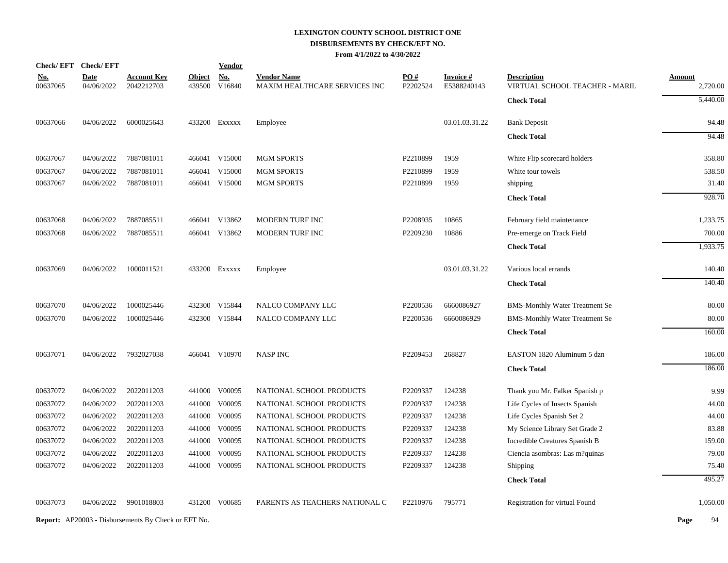|                        | Check/EFT Check/EFT       |                                                            |                         | <u>Vendor</u> |                                                     |                 |                                |                                                      |                           |
|------------------------|---------------------------|------------------------------------------------------------|-------------------------|---------------|-----------------------------------------------------|-----------------|--------------------------------|------------------------------------------------------|---------------------------|
| <u>No.</u><br>00637065 | <b>Date</b><br>04/06/2022 | <b>Account Key</b><br>2042212703                           | <b>Object</b><br>439500 | No.<br>V16840 | <b>Vendor Name</b><br>MAXIM HEALTHCARE SERVICES INC | PO#<br>P2202524 | <b>Invoice#</b><br>E5388240143 | <b>Description</b><br>VIRTUAL SCHOOL TEACHER - MARIL | <b>Amount</b><br>2,720.00 |
|                        |                           |                                                            |                         |               |                                                     |                 |                                | <b>Check Total</b>                                   | 5,440.00                  |
| 00637066               | 04/06/2022                | 6000025643                                                 |                         | 433200 Exxxxx | Employee                                            |                 | 03.01.03.31.22                 | <b>Bank Deposit</b>                                  | 94.48                     |
|                        |                           |                                                            |                         |               |                                                     |                 |                                | <b>Check Total</b>                                   | 94.48                     |
| 00637067               | 04/06/2022                | 7887081011                                                 |                         | 466041 V15000 | <b>MGM SPORTS</b>                                   | P2210899        | 1959                           | White Flip scorecard holders                         | 358.80                    |
| 00637067               | 04/06/2022                | 7887081011                                                 | 466041                  | V15000        | <b>MGM SPORTS</b>                                   | P2210899        | 1959                           | White tour towels                                    | 538.50                    |
| 00637067               | 04/06/2022                | 7887081011                                                 |                         | 466041 V15000 | <b>MGM SPORTS</b>                                   | P2210899        | 1959                           | shipping                                             | 31.40                     |
|                        |                           |                                                            |                         |               |                                                     |                 |                                | <b>Check Total</b>                                   | 928.70                    |
| 00637068               | 04/06/2022                | 7887085511                                                 |                         | 466041 V13862 | MODERN TURF INC                                     | P2208935        | 10865                          | February field maintenance                           | 1,233.75                  |
| 00637068               | 04/06/2022                | 7887085511                                                 |                         | 466041 V13862 | MODERN TURF INC                                     | P2209230        | 10886                          | Pre-emerge on Track Field                            | 700.00                    |
|                        |                           |                                                            |                         |               |                                                     |                 |                                | <b>Check Total</b>                                   | 1,933.75                  |
| 00637069               | 04/06/2022                | 1000011521                                                 |                         | 433200 Exxxxx | Employee                                            |                 | 03.01.03.31.22                 | Various local errands                                | 140.40                    |
|                        |                           |                                                            |                         |               |                                                     |                 |                                | <b>Check Total</b>                                   | 140.40                    |
| 00637070               | 04/06/2022                | 1000025446                                                 |                         | 432300 V15844 | NALCO COMPANY LLC                                   | P2200536        | 6660086927                     | <b>BMS-Monthly Water Treatment Se</b>                | 80.00                     |
| 00637070               | 04/06/2022                | 1000025446                                                 |                         | 432300 V15844 | NALCO COMPANY LLC                                   | P2200536        | 6660086929                     | <b>BMS-Monthly Water Treatment Se</b>                | 80.00                     |
|                        |                           |                                                            |                         |               |                                                     |                 |                                | <b>Check Total</b>                                   | 160.00                    |
| 00637071               | 04/06/2022                | 7932027038                                                 |                         | 466041 V10970 | <b>NASP INC</b>                                     | P2209453        | 268827                         | EASTON 1820 Aluminum 5 dzn                           | 186.00                    |
|                        |                           |                                                            |                         |               |                                                     |                 |                                | <b>Check Total</b>                                   | 186.00                    |
| 00637072               | 04/06/2022                | 2022011203                                                 |                         | 441000 V00095 | NATIONAL SCHOOL PRODUCTS                            | P2209337        | 124238                         | Thank you Mr. Falker Spanish p                       | 9.99                      |
| 00637072               | 04/06/2022                | 2022011203                                                 | 441000                  | V00095        | NATIONAL SCHOOL PRODUCTS                            | P2209337        | 124238                         | Life Cycles of Insects Spanish                       | 44.00                     |
| 00637072               | 04/06/2022                | 2022011203                                                 | 441000                  | V00095        | NATIONAL SCHOOL PRODUCTS                            | P2209337        | 124238                         | Life Cycles Spanish Set 2                            | 44.00                     |
| 00637072               | 04/06/2022                | 2022011203                                                 | 441000                  | V00095        | NATIONAL SCHOOL PRODUCTS                            | P2209337        | 124238                         | My Science Library Set Grade 2                       | 83.88                     |
| 00637072               | 04/06/2022                | 2022011203                                                 | 441000                  | V00095        | NATIONAL SCHOOL PRODUCTS                            | P2209337        | 124238                         | Incredible Creatures Spanish B                       | 159.00                    |
| 00637072               | 04/06/2022                | 2022011203                                                 | 441000                  | V00095        | NATIONAL SCHOOL PRODUCTS                            | P2209337        | 124238                         | Ciencia asombras: Las m?quinas                       | 79.00                     |
| 00637072               | 04/06/2022                | 2022011203                                                 |                         | 441000 V00095 | NATIONAL SCHOOL PRODUCTS                            | P2209337        | 124238                         | Shipping                                             | 75.40                     |
|                        |                           |                                                            |                         |               |                                                     |                 |                                | <b>Check Total</b>                                   | 495.27                    |
| 00637073               | 04/06/2022                | 9901018803                                                 |                         | 431200 V00685 | PARENTS AS TEACHERS NATIONAL C                      | P2210976        | 795771                         | Registration for virtual Found                       | 1,050.00                  |
|                        |                           | <b>Report:</b> AP20003 - Disbursements By Check or EFT No. |                         |               |                                                     |                 |                                |                                                      | Page<br>94                |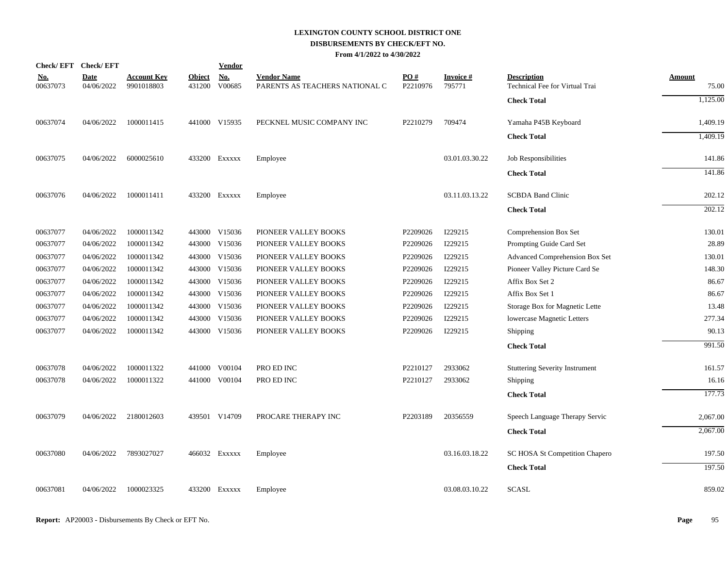# **LEXINGTON COUNTY SCHOOL DISTRICT ONE DISBURSEMENTS BY CHECK/EFT NO.**

|  |  | From 4/1/2022 to 4/30/2022 |
|--|--|----------------------------|
|--|--|----------------------------|

|                        | Check/EFT Check/EFT       |                                  |                         | <b>Vendor</b>        |                                                      |                 |                           |                                                      |                        |
|------------------------|---------------------------|----------------------------------|-------------------------|----------------------|------------------------------------------------------|-----------------|---------------------------|------------------------------------------------------|------------------------|
| <u>No.</u><br>00637073 | <b>Date</b><br>04/06/2022 | <b>Account Key</b><br>9901018803 | <b>Object</b><br>431200 | <b>No.</b><br>V00685 | <b>Vendor Name</b><br>PARENTS AS TEACHERS NATIONAL C | PO#<br>P2210976 | <b>Invoice#</b><br>795771 | <b>Description</b><br>Technical Fee for Virtual Trai | <b>Amount</b><br>75.00 |
|                        |                           |                                  |                         |                      |                                                      |                 |                           | <b>Check Total</b>                                   | 1,125.00               |
| 00637074               | 04/06/2022                | 1000011415                       |                         | 441000 V15935        | PECKNEL MUSIC COMPANY INC                            | P2210279        | 709474                    | Yamaha P45B Keyboard                                 | 1,409.19               |
|                        |                           |                                  |                         |                      |                                                      |                 |                           | <b>Check Total</b>                                   | 1,409.19               |
| 00637075               | 04/06/2022                | 6000025610                       |                         | 433200 EXXXXX        | Employee                                             |                 | 03.01.03.30.22            | Job Responsibilities                                 | 141.86                 |
|                        |                           |                                  |                         |                      |                                                      |                 |                           | <b>Check Total</b>                                   | 141.86                 |
| 00637076               | 04/06/2022                | 1000011411                       |                         | 433200 EXXXXX        | Employee                                             |                 | 03.11.03.13.22            | <b>SCBDA Band Clinic</b>                             | 202.12                 |
|                        |                           |                                  |                         |                      |                                                      |                 |                           | <b>Check Total</b>                                   | 202.12                 |
| 00637077               | 04/06/2022                | 1000011342                       |                         | 443000 V15036        | PIONEER VALLEY BOOKS                                 | P2209026        | I229215                   | Comprehension Box Set                                | 130.01                 |
| 00637077               | 04/06/2022                | 1000011342                       |                         | 443000 V15036        | PIONEER VALLEY BOOKS                                 | P2209026        | I229215                   | Prompting Guide Card Set                             | 28.89                  |
| 00637077               | 04/06/2022                | 1000011342                       |                         | 443000 V15036        | PIONEER VALLEY BOOKS                                 | P2209026        | I229215                   | Advanced Comprehension Box Set                       | 130.01                 |
| 00637077               | 04/06/2022                | 1000011342                       |                         | 443000 V15036        | PIONEER VALLEY BOOKS                                 | P2209026        | I229215                   | Pioneer Valley Picture Card Se                       | 148.30                 |
| 00637077               | 04/06/2022                | 1000011342                       | 443000                  | V15036               | PIONEER VALLEY BOOKS                                 | P2209026        | I229215                   | Affix Box Set 2                                      | 86.67                  |
| 00637077               | 04/06/2022                | 1000011342                       | 443000                  | V15036               | PIONEER VALLEY BOOKS                                 | P2209026        | I229215                   | Affix Box Set 1                                      | 86.67                  |
| 00637077               | 04/06/2022                | 1000011342                       |                         | 443000 V15036        | PIONEER VALLEY BOOKS                                 | P2209026        | I229215                   | Storage Box for Magnetic Lette                       | 13.48                  |
| 00637077               | 04/06/2022                | 1000011342                       |                         | 443000 V15036        | PIONEER VALLEY BOOKS                                 | P2209026        | I229215                   | lowercase Magnetic Letters                           | 277.34                 |
| 00637077               | 04/06/2022                | 1000011342                       |                         | 443000 V15036        | PIONEER VALLEY BOOKS                                 | P2209026        | I229215                   | Shipping                                             | 90.13                  |
|                        |                           |                                  |                         |                      |                                                      |                 |                           | <b>Check Total</b>                                   | 991.50                 |
| 00637078               | 04/06/2022                | 1000011322                       |                         | 441000 V00104        | PRO ED INC                                           | P2210127        | 2933062                   | <b>Stuttering Severity Instrument</b>                | 161.57                 |
| 00637078               | 04/06/2022                | 1000011322                       |                         | 441000 V00104        | PRO ED INC                                           | P2210127        | 2933062                   | Shipping                                             | 16.16                  |
|                        |                           |                                  |                         |                      |                                                      |                 |                           | <b>Check Total</b>                                   | 177.73                 |
| 00637079               | 04/06/2022                | 2180012603                       |                         | 439501 V14709        | PROCARE THERAPY INC                                  | P2203189        | 20356559                  | Speech Language Therapy Servic                       | 2,067.00               |
|                        |                           |                                  |                         |                      |                                                      |                 |                           | <b>Check Total</b>                                   | 2,067.00               |
| 00637080               | 04/06/2022                | 7893027027                       |                         | 466032 Exxxxx        | Employee                                             |                 | 03.16.03.18.22            | SC HOSA St Competition Chapero                       | 197.50                 |
|                        |                           |                                  |                         |                      |                                                      |                 |                           | <b>Check Total</b>                                   | 197.50                 |
| 00637081               | 04/06/2022                | 1000023325                       |                         | 433200 EXXXXX        | Employee                                             |                 | 03.08.03.10.22            | <b>SCASL</b>                                         | 859.02                 |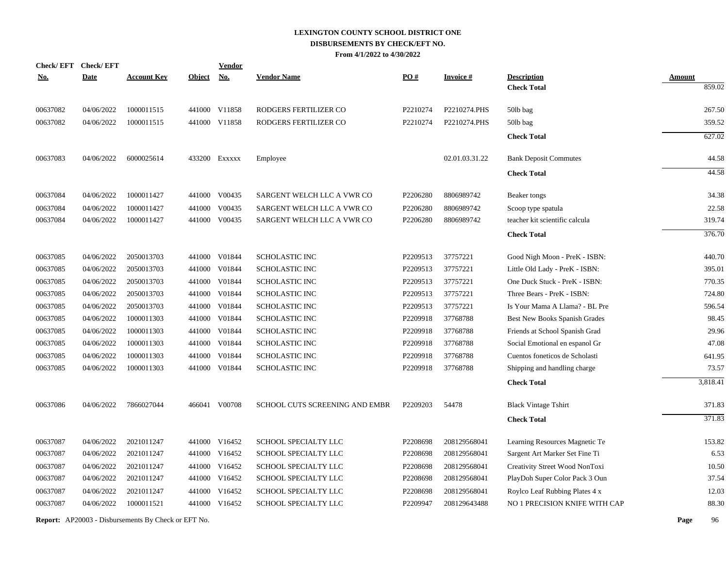| <b>Check/EFT</b> | <b>Check/EFT</b> |                    |               | <b>Vendor</b> |                                |          |                 |                                          |                         |
|------------------|------------------|--------------------|---------------|---------------|--------------------------------|----------|-----------------|------------------------------------------|-------------------------|
| <u>No.</u>       | <b>Date</b>      | <b>Account Key</b> | <b>Object</b> | <b>No.</b>    | <b>Vendor Name</b>             | PO#      | <b>Invoice#</b> | <b>Description</b><br><b>Check Total</b> | <b>Amount</b><br>859.02 |
|                  |                  |                    |               |               |                                |          |                 |                                          |                         |
| 00637082         | 04/06/2022       | 1000011515         |               | 441000 V11858 | RODGERS FERTILIZER CO          | P2210274 | P2210274.PHS    | 50lb bag                                 | 267.50                  |
| 00637082         | 04/06/2022       | 1000011515         |               | 441000 V11858 | RODGERS FERTILIZER CO          | P2210274 | P2210274.PHS    | 50lb bag                                 | 359.52                  |
|                  |                  |                    |               |               |                                |          |                 | <b>Check Total</b>                       | 627.02                  |
| 00637083         | 04/06/2022       | 6000025614         |               | 433200 Exxxxx | Employee                       |          | 02.01.03.31.22  | <b>Bank Deposit Commutes</b>             | 44.58                   |
|                  |                  |                    |               |               |                                |          |                 | <b>Check Total</b>                       | 44.58                   |
| 00637084         | 04/06/2022       | 1000011427         |               | 441000 V00435 | SARGENT WELCH LLC A VWR CO     | P2206280 | 8806989742      | Beaker tongs                             | 34.38                   |
| 00637084         | 04/06/2022       | 1000011427         | 441000        | V00435        | SARGENT WELCH LLC A VWR CO     | P2206280 | 8806989742      | Scoop type spatula                       | 22.58                   |
| 00637084         | 04/06/2022       | 1000011427         |               | 441000 V00435 | SARGENT WELCH LLC A VWR CO     | P2206280 | 8806989742      | teacher kit scientific calcula           | 319.74                  |
|                  |                  |                    |               |               |                                |          |                 | <b>Check Total</b>                       | 376.70                  |
| 00637085         | 04/06/2022       | 2050013703         |               | 441000 V01844 | SCHOLASTIC INC                 | P2209513 | 37757221        | Good Nigh Moon - PreK - ISBN:            | 440.70                  |
| 00637085         | 04/06/2022       | 2050013703         |               | 441000 V01844 | <b>SCHOLASTIC INC</b>          | P2209513 | 37757221        | Little Old Lady - PreK - ISBN:           | 395.01                  |
| 00637085         | 04/06/2022       | 2050013703         |               | 441000 V01844 | <b>SCHOLASTIC INC</b>          | P2209513 | 37757221        | One Duck Stuck - PreK - ISBN:            | 770.35                  |
| 00637085         | 04/06/2022       | 2050013703         |               | 441000 V01844 | <b>SCHOLASTIC INC</b>          | P2209513 | 37757221        | Three Bears - PreK - ISBN:               | 724.80                  |
| 00637085         | 04/06/2022       | 2050013703         | 441000        | V01844        | <b>SCHOLASTIC INC</b>          | P2209513 | 37757221        | Is Your Mama A Llama? - BL Pre           | 596.54                  |
| 00637085         | 04/06/2022       | 1000011303         | 441000        | V01844        | <b>SCHOLASTIC INC</b>          | P2209918 | 37768788        | Best New Books Spanish Grades            | 98.45                   |
| 00637085         | 04/06/2022       | 1000011303         | 441000        | V01844        | <b>SCHOLASTIC INC</b>          | P2209918 | 37768788        | Friends at School Spanish Grad           | 29.96                   |
| 00637085         | 04/06/2022       | 1000011303         | 441000        | V01844        | <b>SCHOLASTIC INC</b>          | P2209918 | 37768788        | Social Emotional en espanol Gr           | 47.08                   |
| 00637085         | 04/06/2022       | 1000011303         | 441000        | V01844        | <b>SCHOLASTIC INC</b>          | P2209918 | 37768788        | Cuentos foneticos de Scholasti           | 641.95                  |
| 00637085         | 04/06/2022       | 1000011303         |               | 441000 V01844 | <b>SCHOLASTIC INC</b>          | P2209918 | 37768788        | Shipping and handling charge             | 73.57                   |
|                  |                  |                    |               |               |                                |          |                 | <b>Check Total</b>                       | 3,818.41                |
| 00637086         | 04/06/2022       | 7866027044         |               | 466041 V00708 | SCHOOL CUTS SCREENING AND EMBR | P2209203 | 54478           | <b>Black Vintage Tshirt</b>              | 371.83                  |
|                  |                  |                    |               |               |                                |          |                 | <b>Check Total</b>                       | 371.83                  |
| 00637087         | 04/06/2022       | 2021011247         |               | 441000 V16452 | <b>SCHOOL SPECIALTY LLC</b>    | P2208698 | 208129568041    | Learning Resources Magnetic Te           | 153.82                  |
| 00637087         | 04/06/2022       | 2021011247         |               | 441000 V16452 | <b>SCHOOL SPECIALTY LLC</b>    | P2208698 | 208129568041    | Sargent Art Marker Set Fine Ti           | 6.53                    |
| 00637087         | 04/06/2022       | 2021011247         |               | 441000 V16452 | SCHOOL SPECIALTY LLC           | P2208698 | 208129568041    | Creativity Street Wood NonToxi           | 10.50                   |
| 00637087         | 04/06/2022       | 2021011247         |               | 441000 V16452 | SCHOOL SPECIALTY LLC           | P2208698 | 208129568041    | PlayDoh Super Color Pack 3 Oun           | 37.54                   |
| 00637087         | 04/06/2022       | 2021011247         | 441000        | V16452        | SCHOOL SPECIALTY LLC           | P2208698 | 208129568041    | Roylco Leaf Rubbing Plates 4 x           | 12.03                   |
| 00637087         | 04/06/2022       | 1000011521         |               | 441000 V16452 | SCHOOL SPECIALTY LLC           | P2209947 | 208129643488    | NO 1 PRECISION KNIFE WITH CAP            | 88.30                   |
|                  |                  |                    |               |               |                                |          |                 |                                          |                         |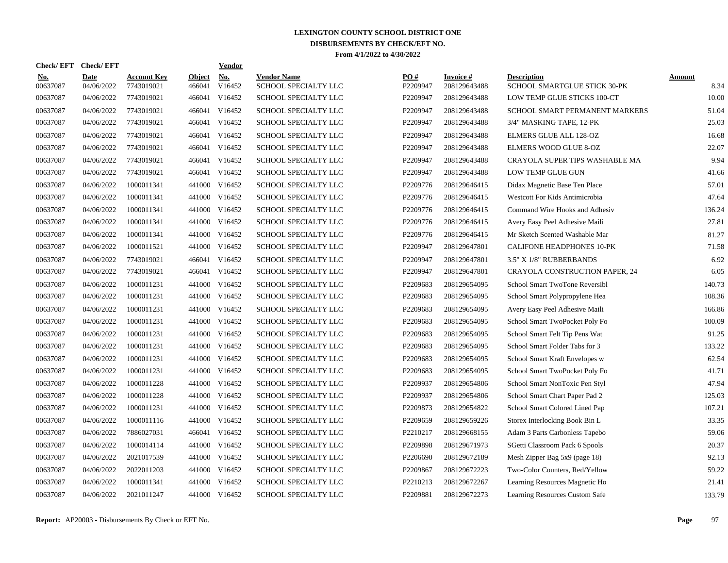| <b>Check/EFT</b>       | <b>Check/EFT</b>   |                                  |                         | <b>Vendor</b> |                                            |                 |                                  |                                                    |                       |
|------------------------|--------------------|----------------------------------|-------------------------|---------------|--------------------------------------------|-----------------|----------------------------------|----------------------------------------------------|-----------------------|
| <u>No.</u><br>00637087 | Date<br>04/06/2022 | <b>Account Kev</b><br>7743019021 | <b>Object</b><br>466041 | No.<br>V16452 | <b>Vendor Name</b><br>SCHOOL SPECIALTY LLC | PO#<br>P2209947 | <b>Invoice</b> #<br>208129643488 | <b>Description</b><br>SCHOOL SMARTGLUE STICK 30-PK | <b>Amount</b><br>8.34 |
| 00637087               | 04/06/2022         | 7743019021                       | 466041                  | V16452        | SCHOOL SPECIALTY LLC                       | P2209947        | 208129643488                     | LOW TEMP GLUE STICKS 100-CT                        | 10.00                 |
| 00637087               | 04/06/2022         | 7743019021                       | 466041                  | V16452        | SCHOOL SPECIALTY LLC                       | P2209947        | 208129643488                     | SCHOOL SMART PERMANENT MARKERS                     | 51.04                 |
| 00637087               | 04/06/2022         | 7743019021                       | 466041                  | V16452        | SCHOOL SPECIALTY LLC                       | P2209947        | 208129643488                     | 3/4" MASKING TAPE, 12-PK                           | 25.03                 |
| 00637087               | 04/06/2022         | 7743019021                       | 466041                  | V16452        | SCHOOL SPECIALTY LLC                       | P2209947        | 208129643488                     | <b>ELMERS GLUE ALL 128-OZ</b>                      | 16.68                 |
| 00637087               | 04/06/2022         | 7743019021                       | 466041                  | V16452        | SCHOOL SPECIALTY LLC                       | P2209947        | 208129643488                     | <b>ELMERS WOOD GLUE 8-OZ</b>                       | 22.07                 |
| 00637087               | 04/06/2022         | 7743019021                       | 466041                  | V16452        | SCHOOL SPECIALTY LLC                       | P2209947        | 208129643488                     | CRAYOLA SUPER TIPS WASHABLE MA                     | 9.94                  |
| 00637087               | 04/06/2022         | 7743019021                       | 466041                  | V16452        | SCHOOL SPECIALTY LLC                       | P2209947        | 208129643488                     | LOW TEMP GLUE GUN                                  | 41.66                 |
| 00637087               | 04/06/2022         | 1000011341                       | 441000                  | V16452        | SCHOOL SPECIALTY LLC                       | P2209776        | 208129646415                     | Didax Magnetic Base Ten Place                      | 57.01                 |
| 00637087               | 04/06/2022         | 1000011341                       | 441000                  | V16452        | SCHOOL SPECIALTY LLC                       | P2209776        | 208129646415                     | Westcott For Kids Antimicrobia                     | 47.64                 |
| 00637087               | 04/06/2022         | 1000011341                       |                         | 441000 V16452 | SCHOOL SPECIALTY LLC                       | P2209776        | 208129646415                     | Command Wire Hooks and Adhesiv                     | 136.24                |
| 00637087               | 04/06/2022         | 1000011341                       |                         | 441000 V16452 | SCHOOL SPECIALTY LLC                       | P2209776        | 208129646415                     | Avery Easy Peel Adhesive Maili                     | 27.81                 |
| 00637087               | 04/06/2022         | 1000011341                       |                         | 441000 V16452 | SCHOOL SPECIALTY LLC                       | P2209776        | 208129646415                     | Mr Sketch Scented Washable Mar                     | 81.27                 |
| 00637087               | 04/06/2022         | 1000011521                       |                         | 441000 V16452 | SCHOOL SPECIALTY LLC                       | P2209947        | 208129647801                     | <b>CALIFONE HEADPHONES 10-PK</b>                   | 71.58                 |
| 00637087               | 04/06/2022         | 7743019021                       | 466041                  | V16452        | SCHOOL SPECIALTY LLC                       | P2209947        | 208129647801                     | 3.5" X 1/8" RUBBERBANDS                            | 6.92                  |
| 00637087               | 04/06/2022         | 7743019021                       | 466041                  | V16452        | SCHOOL SPECIALTY LLC                       | P2209947        | 208129647801                     | CRAYOLA CONSTRUCTION PAPER, 24                     | 6.05                  |
| 00637087               | 04/06/2022         | 1000011231                       | 441000                  | V16452        | SCHOOL SPECIALTY LLC                       | P2209683        | 208129654095                     | School Smart TwoTone Reversibl                     | 140.73                |
| 00637087               | 04/06/2022         | 1000011231                       | 441000                  | V16452        | SCHOOL SPECIALTY LLC                       | P2209683        | 208129654095                     | School Smart Polypropylene Hea                     | 108.36                |
| 00637087               | 04/06/2022         | 1000011231                       | 441000                  | V16452        | SCHOOL SPECIALTY LLC                       | P2209683        | 208129654095                     | Avery Easy Peel Adhesive Maili                     | 166.86                |
| 00637087               | 04/06/2022         | 1000011231                       |                         | 441000 V16452 | SCHOOL SPECIALTY LLC                       | P2209683        | 208129654095                     | School Smart TwoPocket Poly Fo                     | 100.09                |
| 00637087               | 04/06/2022         | 1000011231                       |                         | 441000 V16452 | SCHOOL SPECIALTY LLC                       | P2209683        | 208129654095                     | School Smart Felt Tip Pens Wat                     | 91.25                 |
| 00637087               | 04/06/2022         | 1000011231                       |                         | 441000 V16452 | SCHOOL SPECIALTY LLC                       | P2209683        | 208129654095                     | School Smart Folder Tabs for 3                     | 133.22                |
| 00637087               | 04/06/2022         | 1000011231                       |                         | 441000 V16452 | SCHOOL SPECIALTY LLC                       | P2209683        | 208129654095                     | School Smart Kraft Envelopes w                     | 62.54                 |
| 00637087               | 04/06/2022         | 1000011231                       | 441000                  | V16452        | SCHOOL SPECIALTY LLC                       | P2209683        | 208129654095                     | School Smart TwoPocket Poly Fo                     | 41.71                 |
| 00637087               | 04/06/2022         | 1000011228                       |                         | 441000 V16452 | SCHOOL SPECIALTY LLC                       | P2209937        | 208129654806                     | School Smart NonToxic Pen Styl                     | 47.94                 |
| 00637087               | 04/06/2022         | 1000011228                       | 441000                  | V16452        | SCHOOL SPECIALTY LLC                       | P2209937        | 208129654806                     | School Smart Chart Paper Pad 2                     | 125.03                |
| 00637087               | 04/06/2022         | 1000011231                       | 441000                  | V16452        | <b>SCHOOL SPECIALTY LLC</b>                | P2209873        | 208129654822                     | School Smart Colored Lined Pap                     | 107.21                |
| 00637087               | 04/06/2022         | 1000011116                       |                         | 441000 V16452 | SCHOOL SPECIALTY LLC                       | P2209659        | 208129659226                     | Storex Interlocking Book Bin L                     | 33.35                 |
| 00637087               | 04/06/2022         | 7886027031                       |                         | 466041 V16452 | SCHOOL SPECIALTY LLC                       | P2210217        | 208129668155                     | Adam 3 Parts Carbonless Tapebo                     | 59.06                 |
| 00637087               | 04/06/2022         | 1000014114                       |                         | 441000 V16452 | SCHOOL SPECIALTY LLC                       | P2209898        | 208129671973                     | SGetti Classroom Pack 6 Spools                     | 20.37                 |
| 00637087               | 04/06/2022         | 2021017539                       |                         | 441000 V16452 | SCHOOL SPECIALTY LLC                       | P2206690        | 208129672189                     | Mesh Zipper Bag 5x9 (page 18)                      | 92.13                 |
| 00637087               | 04/06/2022         | 2022011203                       |                         | 441000 V16452 | SCHOOL SPECIALTY LLC                       | P2209867        | 208129672223                     | Two-Color Counters, Red/Yellow                     | 59.22                 |
| 00637087               | 04/06/2022         | 1000011341                       | 441000                  | V16452        | SCHOOL SPECIALTY LLC                       | P2210213        | 208129672267                     | Learning Resources Magnetic Ho                     | 21.41                 |
| 00637087               | 04/06/2022         | 2021011247                       |                         | 441000 V16452 | SCHOOL SPECIALTY LLC                       | P2209881        | 208129672273                     | Learning Resources Custom Safe                     | 133.79                |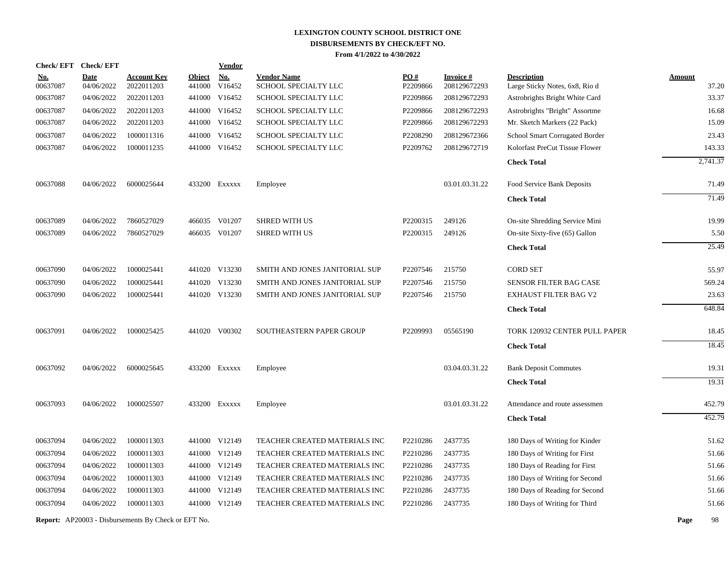| <b>Check/EFT</b> | <b>Check/EFT</b>                                                                                         |                                                                                                                            |                                                                                                                            | <b>Vendor</b>                                                        |                                                                                                                                                                                                                                                                                                                                                            |                                                                                                                                                                                                                                                    |                                                                                                          |                                                                                                                            |                                                                                                                                                                                                                                                                                     |          |
|------------------|----------------------------------------------------------------------------------------------------------|----------------------------------------------------------------------------------------------------------------------------|----------------------------------------------------------------------------------------------------------------------------|----------------------------------------------------------------------|------------------------------------------------------------------------------------------------------------------------------------------------------------------------------------------------------------------------------------------------------------------------------------------------------------------------------------------------------------|----------------------------------------------------------------------------------------------------------------------------------------------------------------------------------------------------------------------------------------------------|----------------------------------------------------------------------------------------------------------|----------------------------------------------------------------------------------------------------------------------------|-------------------------------------------------------------------------------------------------------------------------------------------------------------------------------------------------------------------------------------------------------------------------------------|----------|
| <u>No.</u>       | <b>Date</b>                                                                                              | <b>Account Key</b>                                                                                                         | <b>Object</b>                                                                                                              | <b>No.</b>                                                           | <b>Vendor Name</b>                                                                                                                                                                                                                                                                                                                                         | PO#                                                                                                                                                                                                                                                | Invoice #                                                                                                | <b>Description</b>                                                                                                         | <b>Amount</b>                                                                                                                                                                                                                                                                       |          |
|                  |                                                                                                          |                                                                                                                            |                                                                                                                            |                                                                      |                                                                                                                                                                                                                                                                                                                                                            |                                                                                                                                                                                                                                                    |                                                                                                          |                                                                                                                            |                                                                                                                                                                                                                                                                                     | 37.20    |
|                  |                                                                                                          |                                                                                                                            |                                                                                                                            |                                                                      |                                                                                                                                                                                                                                                                                                                                                            |                                                                                                                                                                                                                                                    |                                                                                                          |                                                                                                                            |                                                                                                                                                                                                                                                                                     | 33.37    |
|                  |                                                                                                          |                                                                                                                            |                                                                                                                            |                                                                      |                                                                                                                                                                                                                                                                                                                                                            |                                                                                                                                                                                                                                                    |                                                                                                          |                                                                                                                            |                                                                                                                                                                                                                                                                                     | 16.68    |
|                  |                                                                                                          |                                                                                                                            |                                                                                                                            |                                                                      |                                                                                                                                                                                                                                                                                                                                                            |                                                                                                                                                                                                                                                    |                                                                                                          |                                                                                                                            |                                                                                                                                                                                                                                                                                     | 15.09    |
|                  |                                                                                                          |                                                                                                                            |                                                                                                                            |                                                                      |                                                                                                                                                                                                                                                                                                                                                            |                                                                                                                                                                                                                                                    |                                                                                                          |                                                                                                                            |                                                                                                                                                                                                                                                                                     | 23.43    |
|                  |                                                                                                          |                                                                                                                            |                                                                                                                            |                                                                      |                                                                                                                                                                                                                                                                                                                                                            |                                                                                                                                                                                                                                                    |                                                                                                          |                                                                                                                            |                                                                                                                                                                                                                                                                                     | 143.33   |
|                  |                                                                                                          |                                                                                                                            |                                                                                                                            |                                                                      |                                                                                                                                                                                                                                                                                                                                                            |                                                                                                                                                                                                                                                    |                                                                                                          | <b>Check Total</b>                                                                                                         |                                                                                                                                                                                                                                                                                     | 2,741.37 |
| 00637088         | 04/06/2022                                                                                               | 6000025644                                                                                                                 |                                                                                                                            |                                                                      | Employee                                                                                                                                                                                                                                                                                                                                                   |                                                                                                                                                                                                                                                    | 03.01.03.31.22                                                                                           | Food Service Bank Deposits                                                                                                 |                                                                                                                                                                                                                                                                                     | 71.49    |
|                  |                                                                                                          |                                                                                                                            |                                                                                                                            |                                                                      |                                                                                                                                                                                                                                                                                                                                                            |                                                                                                                                                                                                                                                    |                                                                                                          | <b>Check Total</b>                                                                                                         |                                                                                                                                                                                                                                                                                     | 71.49    |
| 00637089         | 04/06/2022                                                                                               | 7860527029                                                                                                                 |                                                                                                                            |                                                                      | <b>SHRED WITH US</b>                                                                                                                                                                                                                                                                                                                                       | P2200315                                                                                                                                                                                                                                           | 249126                                                                                                   | On-site Shredding Service Mini                                                                                             |                                                                                                                                                                                                                                                                                     | 19.99    |
| 00637089         | 04/06/2022                                                                                               | 7860527029                                                                                                                 |                                                                                                                            |                                                                      | <b>SHRED WITH US</b>                                                                                                                                                                                                                                                                                                                                       | P2200315                                                                                                                                                                                                                                           | 249126                                                                                                   | On-site Sixty-five (65) Gallon                                                                                             |                                                                                                                                                                                                                                                                                     | 5.50     |
|                  |                                                                                                          |                                                                                                                            |                                                                                                                            |                                                                      |                                                                                                                                                                                                                                                                                                                                                            |                                                                                                                                                                                                                                                    |                                                                                                          | <b>Check Total</b>                                                                                                         |                                                                                                                                                                                                                                                                                     | 25.49    |
|                  |                                                                                                          |                                                                                                                            |                                                                                                                            |                                                                      |                                                                                                                                                                                                                                                                                                                                                            |                                                                                                                                                                                                                                                    |                                                                                                          |                                                                                                                            |                                                                                                                                                                                                                                                                                     | 55.97    |
|                  |                                                                                                          |                                                                                                                            |                                                                                                                            |                                                                      |                                                                                                                                                                                                                                                                                                                                                            |                                                                                                                                                                                                                                                    |                                                                                                          |                                                                                                                            |                                                                                                                                                                                                                                                                                     | 569.24   |
|                  |                                                                                                          |                                                                                                                            |                                                                                                                            |                                                                      |                                                                                                                                                                                                                                                                                                                                                            |                                                                                                                                                                                                                                                    |                                                                                                          |                                                                                                                            |                                                                                                                                                                                                                                                                                     | 23.63    |
|                  |                                                                                                          |                                                                                                                            |                                                                                                                            |                                                                      |                                                                                                                                                                                                                                                                                                                                                            |                                                                                                                                                                                                                                                    |                                                                                                          | <b>Check Total</b>                                                                                                         |                                                                                                                                                                                                                                                                                     | 648.84   |
|                  |                                                                                                          |                                                                                                                            |                                                                                                                            |                                                                      |                                                                                                                                                                                                                                                                                                                                                            |                                                                                                                                                                                                                                                    |                                                                                                          |                                                                                                                            |                                                                                                                                                                                                                                                                                     |          |
| 00637091         | 04/06/2022                                                                                               | 1000025425                                                                                                                 |                                                                                                                            |                                                                      | SOUTHEASTERN PAPER GROUP                                                                                                                                                                                                                                                                                                                                   | P2209993                                                                                                                                                                                                                                           | 05565190                                                                                                 | TORK 120932 CENTER PULL PAPER                                                                                              |                                                                                                                                                                                                                                                                                     | 18.45    |
|                  |                                                                                                          |                                                                                                                            |                                                                                                                            |                                                                      |                                                                                                                                                                                                                                                                                                                                                            |                                                                                                                                                                                                                                                    |                                                                                                          | <b>Check Total</b>                                                                                                         |                                                                                                                                                                                                                                                                                     | 18.45    |
| 00637092         | 04/06/2022                                                                                               | 6000025645                                                                                                                 |                                                                                                                            |                                                                      | Employee                                                                                                                                                                                                                                                                                                                                                   |                                                                                                                                                                                                                                                    | 03.04.03.31.22                                                                                           | <b>Bank Deposit Commutes</b>                                                                                               |                                                                                                                                                                                                                                                                                     | 19.31    |
|                  |                                                                                                          |                                                                                                                            |                                                                                                                            |                                                                      |                                                                                                                                                                                                                                                                                                                                                            |                                                                                                                                                                                                                                                    |                                                                                                          | <b>Check Total</b>                                                                                                         |                                                                                                                                                                                                                                                                                     | 19.31    |
| 00637093         | 04/06/2022                                                                                               | 1000025507                                                                                                                 |                                                                                                                            |                                                                      | Employee                                                                                                                                                                                                                                                                                                                                                   |                                                                                                                                                                                                                                                    | 03.01.03.31.22                                                                                           | Attendance and route assessmen                                                                                             |                                                                                                                                                                                                                                                                                     | 452.79   |
|                  |                                                                                                          |                                                                                                                            |                                                                                                                            |                                                                      |                                                                                                                                                                                                                                                                                                                                                            |                                                                                                                                                                                                                                                    |                                                                                                          | <b>Check Total</b>                                                                                                         |                                                                                                                                                                                                                                                                                     | 452.79   |
|                  |                                                                                                          |                                                                                                                            |                                                                                                                            |                                                                      |                                                                                                                                                                                                                                                                                                                                                            |                                                                                                                                                                                                                                                    |                                                                                                          |                                                                                                                            |                                                                                                                                                                                                                                                                                     |          |
| 00637094         | 04/06/2022                                                                                               | 1000011303                                                                                                                 |                                                                                                                            |                                                                      | TEACHER CREATED MATERIALS INC                                                                                                                                                                                                                                                                                                                              | P2210286                                                                                                                                                                                                                                           | 2437735                                                                                                  | 180 Days of Writing for Kinder                                                                                             |                                                                                                                                                                                                                                                                                     | 51.62    |
| 00637094         | 04/06/2022                                                                                               | 1000011303                                                                                                                 |                                                                                                                            |                                                                      | TEACHER CREATED MATERIALS INC                                                                                                                                                                                                                                                                                                                              | P2210286                                                                                                                                                                                                                                           | 2437735                                                                                                  | 180 Days of Writing for First                                                                                              |                                                                                                                                                                                                                                                                                     | 51.66    |
| 00637094         | 04/06/2022                                                                                               | 1000011303                                                                                                                 |                                                                                                                            |                                                                      | TEACHER CREATED MATERIALS INC                                                                                                                                                                                                                                                                                                                              | P2210286                                                                                                                                                                                                                                           | 2437735                                                                                                  | 180 Days of Reading for First                                                                                              |                                                                                                                                                                                                                                                                                     | 51.66    |
| 00637094         | 04/06/2022                                                                                               | 1000011303                                                                                                                 |                                                                                                                            |                                                                      | TEACHER CREATED MATERIALS INC                                                                                                                                                                                                                                                                                                                              | P2210286                                                                                                                                                                                                                                           | 2437735                                                                                                  | 180 Days of Writing for Second                                                                                             |                                                                                                                                                                                                                                                                                     | 51.66    |
| 00637094         | 04/06/2022                                                                                               | 1000011303                                                                                                                 |                                                                                                                            |                                                                      | TEACHER CREATED MATERIALS INC                                                                                                                                                                                                                                                                                                                              | P2210286                                                                                                                                                                                                                                           | 2437735                                                                                                  | 180 Days of Reading for Second                                                                                             |                                                                                                                                                                                                                                                                                     | 51.66    |
| 00637094         | 04/06/2022                                                                                               | 1000011303                                                                                                                 |                                                                                                                            |                                                                      | TEACHER CREATED MATERIALS INC                                                                                                                                                                                                                                                                                                                              | P2210286                                                                                                                                                                                                                                           | 2437735                                                                                                  | 180 Days of Writing for Third                                                                                              |                                                                                                                                                                                                                                                                                     | 51.66    |
|                  |                                                                                                          |                                                                                                                            |                                                                                                                            |                                                                      |                                                                                                                                                                                                                                                                                                                                                            |                                                                                                                                                                                                                                                    |                                                                                                          |                                                                                                                            | Page                                                                                                                                                                                                                                                                                | 98       |
|                  | 00637087<br>00637087<br>00637087<br>00637087<br>00637087<br>00637087<br>00637090<br>00637090<br>00637090 | 04/06/2022<br>04/06/2022<br>04/06/2022<br>04/06/2022<br>04/06/2022<br>04/06/2022<br>04/06/2022<br>04/06/2022<br>04/06/2022 | 2022011203<br>2022011203<br>2022011203<br>2022011203<br>1000011316<br>1000011235<br>1000025441<br>1000025441<br>1000025441 | 441000<br><b>Report:</b> AP20003 - Disbursements By Check or EFT No. | V16452<br>441000 V16452<br>441000 V16452<br>441000 V16452<br>441000 V16452<br>441000 V16452<br>433200 EXXXXX<br>466035 V01207<br>466035 V01207<br>441020 V13230<br>441020 V13230<br>441020 V13230<br>441020 V00302<br>433200 EXXXXX<br>433200 EXXXXX<br>441000 V12149<br>441000 V12149<br>441000 V12149<br>441000 V12149<br>441000 V12149<br>441000 V12149 | SCHOOL SPECIALTY LLC<br>SCHOOL SPECIALTY LLC<br>SCHOOL SPECIALTY LLC<br>SCHOOL SPECIALTY LLC<br>SCHOOL SPECIALTY LLC<br>SCHOOL SPECIALTY LLC<br>SMITH AND JONES JANITORIAL SUP<br>SMITH AND JONES JANITORIAL SUP<br>SMITH AND JONES JANITORIAL SUP | P2209866<br>P2209866<br>P2209866<br>P2209866<br>P2208290<br>P2209762<br>P2207546<br>P2207546<br>P2207546 | 208129672293<br>208129672293<br>208129672293<br>208129672293<br>208129672366<br>208129672719<br>215750<br>215750<br>215750 | Large Sticky Notes, 6x8, Rio d<br>Astrobrights Bright White Card<br>Astrobrights "Bright" Assortme<br>Mr. Sketch Markers (22 Pack)<br>School Smart Corrugated Border<br>Kolorfast PreCut Tissue Flower<br><b>CORD SET</b><br>SENSOR FILTER BAG CASE<br><b>EXHAUST FILTER BAG V2</b> |          |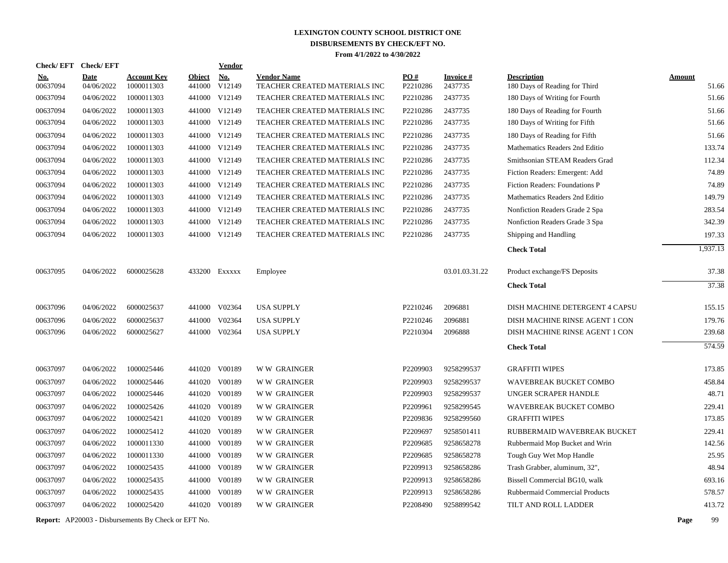| <b>Check/EFT</b>       | <b>Check/EFT</b>          |                                  |                         | <b>Vendor</b>                       |                                                     |                 |                            |                                                     |                        |
|------------------------|---------------------------|----------------------------------|-------------------------|-------------------------------------|-----------------------------------------------------|-----------------|----------------------------|-----------------------------------------------------|------------------------|
| <u>No.</u><br>00637094 | <b>Date</b><br>04/06/2022 | <u>Account Kev</u><br>1000011303 | <b>Object</b><br>441000 | $\underline{\textbf{No}}$<br>V12149 | <b>Vendor Name</b><br>TEACHER CREATED MATERIALS INC | PO#<br>P2210286 | <b>Invoice#</b><br>2437735 | <b>Description</b><br>180 Days of Reading for Third | <b>Amount</b><br>51.66 |
| 00637094               | 04/06/2022                | 1000011303                       |                         | 441000 V12149                       | TEACHER CREATED MATERIALS INC                       | P2210286        | 2437735                    | 180 Days of Writing for Fourth                      | 51.66                  |
| 00637094               | 04/06/2022                | 1000011303                       |                         | 441000 V12149                       | TEACHER CREATED MATERIALS INC                       | P2210286        | 2437735                    | 180 Days of Reading for Fourth                      | 51.66                  |
| 00637094               | 04/06/2022                | 1000011303                       |                         | 441000 V12149                       | TEACHER CREATED MATERIALS INC                       | P2210286        | 2437735                    | 180 Days of Writing for Fifth                       | 51.66                  |
| 00637094               | 04/06/2022                | 1000011303                       |                         | 441000 V12149                       | TEACHER CREATED MATERIALS INC                       | P2210286        | 2437735                    | 180 Days of Reading for Fifth                       | 51.66                  |
| 00637094               | 04/06/2022                | 1000011303                       |                         | 441000 V12149                       | TEACHER CREATED MATERIALS INC                       | P2210286        | 2437735                    | Mathematics Readers 2nd Editio                      | 133.74                 |
| 00637094               | 04/06/2022                | 1000011303                       |                         | 441000 V12149                       | TEACHER CREATED MATERIALS INC                       | P2210286        | 2437735                    | Smithsonian STEAM Readers Grad                      | 112.34                 |
| 00637094               | 04/06/2022                | 1000011303                       |                         | 441000 V12149                       | TEACHER CREATED MATERIALS INC                       | P2210286        | 2437735                    | Fiction Readers: Emergent: Add                      | 74.89                  |
| 00637094               | 04/06/2022                | 1000011303                       |                         | 441000 V12149                       | TEACHER CREATED MATERIALS INC                       | P2210286        | 2437735                    | Fiction Readers: Foundations P                      | 74.89                  |
| 00637094               | 04/06/2022                | 1000011303                       |                         | 441000 V12149                       | TEACHER CREATED MATERIALS INC                       | P2210286        | 2437735                    | Mathematics Readers 2nd Editio                      | 149.79                 |
| 00637094               | 04/06/2022                | 1000011303                       |                         | 441000 V12149                       | <b>TEACHER CREATED MATERIALS INC</b>                | P2210286        | 2437735                    | Nonfiction Readers Grade 2 Spa                      | 283.54                 |
| 00637094               | 04/06/2022                | 1000011303                       |                         | 441000 V12149                       | TEACHER CREATED MATERIALS INC                       | P2210286        | 2437735                    | Nonfiction Readers Grade 3 Spa                      | 342.39                 |
| 00637094               | 04/06/2022                | 1000011303                       |                         | 441000 V12149                       | TEACHER CREATED MATERIALS INC                       | P2210286        | 2437735                    | Shipping and Handling                               | 197.33                 |
|                        |                           |                                  |                         |                                     |                                                     |                 |                            | <b>Check Total</b>                                  | 1,937.13               |
| 00637095               | 04/06/2022                | 6000025628                       |                         | 433200 EXXXXX                       | Employee                                            |                 | 03.01.03.31.22             | Product exchange/FS Deposits                        | 37.38                  |
|                        |                           |                                  |                         |                                     |                                                     |                 |                            | <b>Check Total</b>                                  | 37.38                  |
| 00637096               | 04/06/2022                | 6000025637                       |                         | 441000 V02364                       | <b>USA SUPPLY</b>                                   | P2210246        | 2096881                    | DISH MACHINE DETERGENT 4 CAPSU                      | 155.15                 |
| 00637096               | 04/06/2022                | 6000025637                       |                         | 441000 V02364                       | <b>USA SUPPLY</b>                                   | P2210246        | 2096881                    | DISH MACHINE RINSE AGENT 1 CON                      | 179.76                 |
| 00637096               | 04/06/2022                | 6000025627                       |                         | 441000 V02364                       | <b>USA SUPPLY</b>                                   | P2210304        | 2096888                    | DISH MACHINE RINSE AGENT 1 CON                      | 239.68                 |
|                        |                           |                                  |                         |                                     |                                                     |                 |                            | <b>Check Total</b>                                  | 574.59                 |
| 00637097               | 04/06/2022                | 1000025446                       |                         | 441020 V00189                       | <b>WW GRAINGER</b>                                  | P2209903        | 9258299537                 | <b>GRAFFITI WIPES</b>                               | 173.85                 |
| 00637097               | 04/06/2022                | 1000025446                       |                         | 441020 V00189                       | W W GRAINGER                                        | P2209903        | 9258299537                 | WAVEBREAK BUCKET COMBO                              | 458.84                 |
| 00637097               | 04/06/2022                | 1000025446                       |                         | 441020 V00189                       | W W GRAINGER                                        | P2209903        | 9258299537                 | UNGER SCRAPER HANDLE                                | 48.71                  |
| 00637097               | 04/06/2022                | 1000025426                       |                         | 441020 V00189                       | <b>WW GRAINGER</b>                                  | P2209961        | 9258299545                 | WAVEBREAK BUCKET COMBO                              | 229.41                 |
| 00637097               | 04/06/2022                | 1000025421                       |                         | 441020 V00189                       | <b>WW GRAINGER</b>                                  | P2209836        | 9258299560                 | <b>GRAFFITI WIPES</b>                               | 173.85                 |
| 00637097               | 04/06/2022                | 1000025412                       |                         | 441020 V00189                       | <b>WW GRAINGER</b>                                  | P2209697        | 9258501411                 | RUBBERMAID WAVEBREAK BUCKET                         | 229.41                 |
| 00637097               | 04/06/2022                | 1000011330                       |                         | 441000 V00189                       | <b>WW GRAINGER</b>                                  | P2209685        | 9258658278                 | Rubbermaid Mop Bucket and Wrin                      | 142.56                 |
| 00637097               | 04/06/2022                | 1000011330                       | 441000                  | V00189                              | <b>WW GRAINGER</b>                                  | P2209685        | 9258658278                 | Tough Guy Wet Mop Handle                            | 25.95                  |
| 00637097               | 04/06/2022                | 1000025435                       |                         | 441000 V00189                       | W W GRAINGER                                        | P2209913        | 9258658286                 | Trash Grabber, aluminum, 32",                       | 48.94                  |
| 00637097               | 04/06/2022                | 1000025435                       | 441000                  | V00189                              | <b>WW GRAINGER</b>                                  | P2209913        | 9258658286                 | Bissell Commercial BG10, walk                       | 693.16                 |
| 00637097               | 04/06/2022                | 1000025435                       | 441000                  | V00189                              | <b>WW GRAINGER</b>                                  | P2209913        | 9258658286                 | Rubbermaid Commercial Products                      | 578.57                 |
| 00637097               | 04/06/2022                | 1000025420                       |                         | 441020 V00189                       | <b>WW GRAINGER</b>                                  | P2208490        | 9258899542                 | TILT AND ROLL LADDER                                | 413.72                 |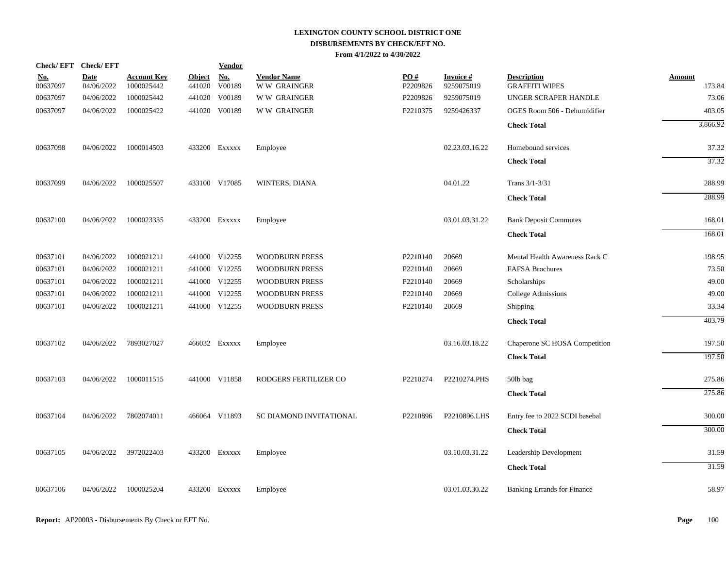| Check/EFT Check/EFT    |                           |                                  |                         | <u>Vendor</u>        |                                          |                 |                               |                                             |                  |
|------------------------|---------------------------|----------------------------------|-------------------------|----------------------|------------------------------------------|-----------------|-------------------------------|---------------------------------------------|------------------|
| <u>No.</u><br>00637097 | <b>Date</b><br>04/06/2022 | <b>Account Key</b><br>1000025442 | <b>Object</b><br>441020 | <b>No.</b><br>V00189 | <b>Vendor Name</b><br><b>WW GRAINGER</b> | PO#<br>P2209826 | <b>Invoice#</b><br>9259075019 | <b>Description</b><br><b>GRAFFITI WIPES</b> | Amount<br>173.84 |
| 00637097               | 04/06/2022                | 1000025442                       | 441020                  | V00189               | W W GRAINGER                             | P2209826        | 9259075019                    | UNGER SCRAPER HANDLE                        | 73.06            |
| 00637097               | 04/06/2022                | 1000025422                       |                         | 441020 V00189        | <b>WW GRAINGER</b>                       | P2210375        | 9259426337                    | OGES Room 506 - Dehumidifier                | 403.05           |
|                        |                           |                                  |                         |                      |                                          |                 |                               | <b>Check Total</b>                          | 3,866.92         |
| 00637098               | 04/06/2022                | 1000014503                       |                         | 433200 Exxxxx        | Employee                                 |                 | 02.23.03.16.22                | Homebound services                          | 37.32            |
|                        |                           |                                  |                         |                      |                                          |                 |                               | <b>Check Total</b>                          | 37.32            |
| 00637099               | 04/06/2022                | 1000025507                       |                         | 433100 V17085        | WINTERS, DIANA                           |                 | 04.01.22                      | Trans 3/1-3/31                              | 288.99           |
|                        |                           |                                  |                         |                      |                                          |                 |                               | <b>Check Total</b>                          | 288.99           |
| 00637100               | 04/06/2022                | 1000023335                       |                         | 433200 Exxxxx        | Employee                                 |                 | 03.01.03.31.22                | <b>Bank Deposit Commutes</b>                | 168.01           |
|                        |                           |                                  |                         |                      |                                          |                 |                               | <b>Check Total</b>                          | 168.01           |
| 00637101               | 04/06/2022                | 1000021211                       |                         | 441000 V12255        | <b>WOODBURN PRESS</b>                    | P2210140        | 20669                         | Mental Health Awareness Rack C              | 198.95           |
| 00637101               | 04/06/2022                | 1000021211                       |                         | 441000 V12255        | <b>WOODBURN PRESS</b>                    | P2210140        | 20669                         | <b>FAFSA Brochures</b>                      | 73.50            |
| 00637101               | 04/06/2022                | 1000021211                       |                         | 441000 V12255        | <b>WOODBURN PRESS</b>                    | P2210140        | 20669                         | Scholarships                                | 49.00            |
| 00637101               | 04/06/2022                | 1000021211                       |                         | 441000 V12255        | <b>WOODBURN PRESS</b>                    | P2210140        | 20669                         | College Admissions                          | 49.00            |
| 00637101               | 04/06/2022                | 1000021211                       |                         | 441000 V12255        | <b>WOODBURN PRESS</b>                    | P2210140        | 20669                         | Shipping                                    | 33.34            |
|                        |                           |                                  |                         |                      |                                          |                 |                               | <b>Check Total</b>                          | 403.79           |
| 00637102               | 04/06/2022                | 7893027027                       |                         | 466032 Exxxxx        | Employee                                 |                 | 03.16.03.18.22                | Chaperone SC HOSA Competition               | 197.50           |
|                        |                           |                                  |                         |                      |                                          |                 |                               | <b>Check Total</b>                          | 197.50           |
| 00637103               | 04/06/2022                | 1000011515                       |                         | 441000 V11858        | RODGERS FERTILIZER CO                    | P2210274        | P2210274.PHS                  | 50lb bag                                    | 275.86           |
|                        |                           |                                  |                         |                      |                                          |                 |                               | <b>Check Total</b>                          | 275.86           |
| 00637104               | 04/06/2022                | 7802074011                       |                         | 466064 V11893        | SC DIAMOND INVITATIONAL                  | P2210896        | P2210896.LHS                  | Entry fee to 2022 SCDI basebal              | 300.00           |
|                        |                           |                                  |                         |                      |                                          |                 |                               | <b>Check Total</b>                          | 300.00           |
| 00637105               | 04/06/2022                | 3972022403                       |                         | 433200 Exxxxx        | Employee                                 |                 | 03.10.03.31.22                | Leadership Development                      | 31.59            |
|                        |                           |                                  |                         |                      |                                          |                 |                               | <b>Check Total</b>                          | 31.59            |
| 00637106               | 04/06/2022                | 1000025204                       |                         | 433200 Exxxxx        | Employee                                 |                 | 03.01.03.30.22                | <b>Banking Errands for Finance</b>          | 58.97            |
|                        |                           |                                  |                         |                      |                                          |                 |                               |                                             |                  |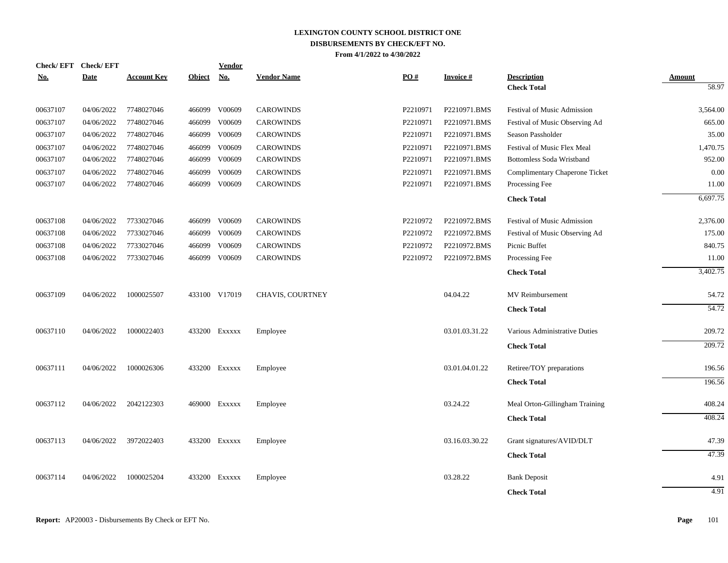| <b>Check/EFT</b> | <b>Check/EFT</b> |                    |               | Vendor        |                    |          |                 |                                          |                        |
|------------------|------------------|--------------------|---------------|---------------|--------------------|----------|-----------------|------------------------------------------|------------------------|
| <u>No.</u>       | <b>Date</b>      | <b>Account Key</b> | <b>Object</b> | <u>No.</u>    | <b>Vendor Name</b> | PO#      | <b>Invoice#</b> | <b>Description</b><br><b>Check Total</b> | <b>Amount</b><br>58.97 |
|                  |                  |                    |               |               |                    |          |                 |                                          |                        |
| 00637107         | 04/06/2022       | 7748027046         | 466099        | V00609        | <b>CAROWINDS</b>   | P2210971 | P2210971.BMS    | Festival of Music Admission              | 3,564.00               |
| 00637107         | 04/06/2022       | 7748027046         | 466099        | V00609        | <b>CAROWINDS</b>   | P2210971 | P2210971.BMS    | Festival of Music Observing Ad           | 665.00                 |
| 00637107         | 04/06/2022       | 7748027046         | 466099        | V00609        | <b>CAROWINDS</b>   | P2210971 | P2210971.BMS    | Season Passholder                        | 35.00                  |
| 00637107         | 04/06/2022       | 7748027046         | 466099        | V00609        | <b>CAROWINDS</b>   | P2210971 | P2210971.BMS    | Festival of Music Flex Meal              | 1,470.75               |
| 00637107         | 04/06/2022       | 7748027046         | 466099        | V00609        | <b>CAROWINDS</b>   | P2210971 | P2210971.BMS    | <b>Bottomless Soda Wristband</b>         | 952.00                 |
| 00637107         | 04/06/2022       | 7748027046         | 466099        | V00609        | <b>CAROWINDS</b>   | P2210971 | P2210971.BMS    | Complimentary Chaperone Ticket           | 0.00                   |
| 00637107         | 04/06/2022       | 7748027046         | 466099        | V00609        | <b>CAROWINDS</b>   | P2210971 | P2210971.BMS    | Processing Fee                           | 11.00                  |
|                  |                  |                    |               |               |                    |          |                 | <b>Check Total</b>                       | 6,697.75               |
| 00637108         | 04/06/2022       | 7733027046         |               | 466099 V00609 | <b>CAROWINDS</b>   | P2210972 | P2210972.BMS    | <b>Festival of Music Admission</b>       | 2,376.00               |
| 00637108         | 04/06/2022       | 7733027046         | 466099        | V00609        | <b>CAROWINDS</b>   | P2210972 | P2210972.BMS    | Festival of Music Observing Ad           | 175.00                 |
| 00637108         | 04/06/2022       | 7733027046         | 466099        | V00609        | <b>CAROWINDS</b>   | P2210972 | P2210972.BMS    | Picnic Buffet                            | 840.75                 |
| 00637108         | 04/06/2022       | 7733027046         | 466099        | V00609        | <b>CAROWINDS</b>   | P2210972 | P2210972.BMS    | Processing Fee                           | 11.00                  |
|                  |                  |                    |               |               |                    |          |                 | <b>Check Total</b>                       | 3,402.75               |
| 00637109         | 04/06/2022       | 1000025507         |               | 433100 V17019 | CHAVIS, COURTNEY   |          | 04.04.22        | MV Reimbursement                         | 54.72                  |
|                  |                  |                    |               |               |                    |          |                 | <b>Check Total</b>                       | 54.72                  |
| 00637110         | 04/06/2022       | 1000022403         |               | 433200 Exxxxx | Employee           |          | 03.01.03.31.22  | Various Administrative Duties            | 209.72                 |
|                  |                  |                    |               |               |                    |          |                 | <b>Check Total</b>                       | 209.72                 |
| 00637111         | 04/06/2022       | 1000026306         |               | 433200 Exxxxx | Employee           |          | 03.01.04.01.22  | Retiree/TOY preparations                 | 196.56                 |
|                  |                  |                    |               |               |                    |          |                 | <b>Check Total</b>                       | 196.56                 |
| 00637112         | 04/06/2022       | 2042122303         |               | 469000 Exxxxx | Employee           |          | 03.24.22        | Meal Orton-Gillingham Training           | 408.24                 |
|                  |                  |                    |               |               |                    |          |                 | <b>Check Total</b>                       | 408.24                 |
|                  |                  |                    |               |               |                    |          |                 |                                          |                        |
| 00637113         | 04/06/2022       | 3972022403         |               | 433200 Exxxxx | Employee           |          | 03.16.03.30.22  | Grant signatures/AVID/DLT                | 47.39                  |
|                  |                  |                    |               |               |                    |          |                 | <b>Check Total</b>                       | 47.39                  |
| 00637114         | 04/06/2022       | 1000025204         |               | 433200 Exxxxx | Employee           |          | 03.28.22        | <b>Bank Deposit</b>                      | 4.91                   |
|                  |                  |                    |               |               |                    |          |                 | <b>Check Total</b>                       | 4.91                   |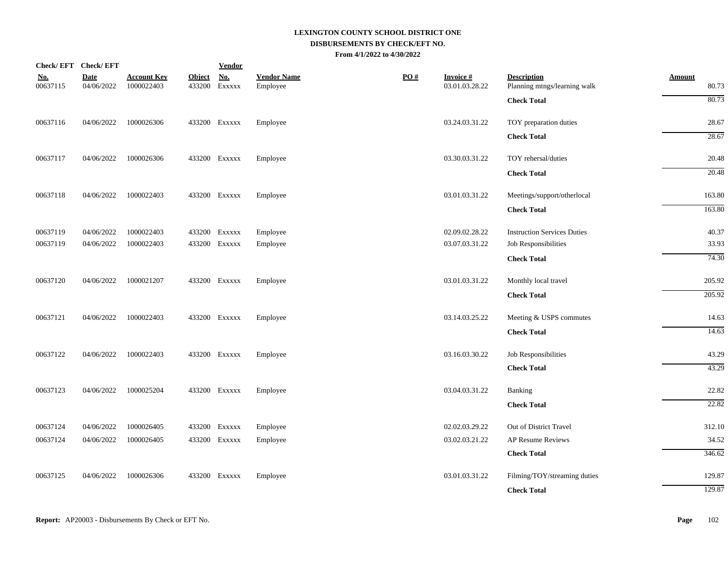| Check/EFT Check/EFT    |                           |                                  |                         | <b>Vendor</b>        |                                |                   |                             |                                                    |                        |
|------------------------|---------------------------|----------------------------------|-------------------------|----------------------|--------------------------------|-------------------|-----------------------------|----------------------------------------------------|------------------------|
| <u>No.</u><br>00637115 | <b>Date</b><br>04/06/2022 | <b>Account Key</b><br>1000022403 | <b>Object</b><br>433200 | <b>No.</b><br>EXXXXX | <b>Vendor Name</b><br>Employee | $\underline{PO#}$ | Invoice #<br>03.01.03.28.22 | <b>Description</b><br>Planning mtngs/learning walk | <b>Amount</b><br>80.73 |
|                        |                           |                                  |                         |                      |                                |                   |                             | <b>Check Total</b>                                 | 80.73                  |
| 00637116               | 04/06/2022                | 1000026306                       |                         | 433200 Exxxxx        | Employee                       |                   | 03.24.03.31.22              | TOY preparation duties                             | 28.67                  |
|                        |                           |                                  |                         |                      |                                |                   |                             | <b>Check Total</b>                                 | 28.67                  |
| 00637117               | 04/06/2022                | 1000026306                       |                         | 433200 EXXXXX        | Employee                       |                   | 03.30.03.31.22              | TOY rehersal/duties                                | 20.48                  |
|                        |                           |                                  |                         |                      |                                |                   |                             | <b>Check Total</b>                                 | 20.48                  |
| 00637118               | 04/06/2022                | 1000022403                       |                         | 433200 EXXXXX        | Employee                       |                   | 03.01.03.31.22              | Meetings/support/otherlocal                        | 163.80                 |
|                        |                           |                                  |                         |                      |                                |                   |                             | <b>Check Total</b>                                 | 163.80                 |
| 00637119               | 04/06/2022                | 1000022403                       |                         | 433200 Exxxxx        | Employee                       |                   | 02.09.02.28.22              | <b>Instruction Services Duties</b>                 | 40.37                  |
| 00637119               | 04/06/2022                | 1000022403                       |                         | 433200 EXXXXX        | Employee                       |                   | 03.07.03.31.22              | Job Responsibilities                               | 33.93                  |
|                        |                           |                                  |                         |                      |                                |                   |                             | <b>Check Total</b>                                 | 74.30                  |
| 00637120               | 04/06/2022                | 1000021207                       |                         | 433200 EXXXXX        | Employee                       |                   | 03.01.03.31.22              | Monthly local travel                               | 205.92                 |
|                        |                           |                                  |                         |                      |                                |                   |                             | <b>Check Total</b>                                 | 205.92                 |
| 00637121               | 04/06/2022                | 1000022403                       |                         | 433200 EXXXXX        | Employee                       |                   | 03.14.03.25.22              | Meeting & USPS commutes                            | 14.63                  |
|                        |                           |                                  |                         |                      |                                |                   |                             | <b>Check Total</b>                                 | 14.63                  |
| 00637122               | 04/06/2022                | 1000022403                       |                         | 433200 Exxxxx        | Employee                       |                   | 03.16.03.30.22              | Job Responsibilities                               | 43.29                  |
|                        |                           |                                  |                         |                      |                                |                   |                             | <b>Check Total</b>                                 | 43.29                  |
| 00637123               | 04/06/2022                | 1000025204                       |                         | 433200 Exxxxx        | Employee                       |                   | 03.04.03.31.22              | <b>Banking</b>                                     | 22.82                  |
|                        |                           |                                  |                         |                      |                                |                   |                             | <b>Check Total</b>                                 | 22.82                  |
| 00637124               | 04/06/2022                | 1000026405                       |                         | 433200 EXXXXX        | Employee                       |                   | 02.02.03.29.22              | Out of District Travel                             | 312.10                 |
| 00637124               | 04/06/2022                | 1000026405                       |                         | 433200 Exxxxx        | Employee                       |                   | 03.02.03.21.22              | AP Resume Reviews                                  | 34.52                  |
|                        |                           |                                  |                         |                      |                                |                   |                             | <b>Check Total</b>                                 | 346.62                 |
| 00637125               | 04/06/2022                | 1000026306                       |                         | 433200 EXXXXX        | Employee                       |                   | 03.01.03.31.22              | Filming/TOY/streaming duties                       | 129.87                 |
|                        |                           |                                  |                         |                      |                                |                   |                             | <b>Check Total</b>                                 | 129.87                 |
|                        |                           |                                  |                         |                      |                                |                   |                             |                                                    |                        |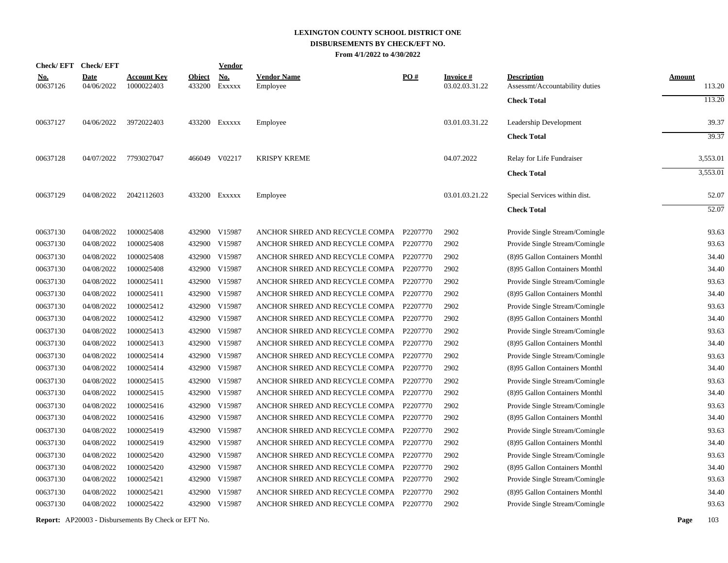| <b>Check/EFT</b>       | <b>Check/EFT</b>          |                                  |                         | <b>Vendor</b>        |                                         |                   |                                   |                                                      |                         |
|------------------------|---------------------------|----------------------------------|-------------------------|----------------------|-----------------------------------------|-------------------|-----------------------------------|------------------------------------------------------|-------------------------|
| <u>No.</u><br>00637126 | <b>Date</b><br>04/06/2022 | <b>Account Key</b><br>1000022403 | <b>Object</b><br>433200 | <b>No.</b><br>EXXXXX | <b>Vendor Name</b><br>Employee          | $\underline{PO#}$ | <b>Invoice#</b><br>03.02.03.31.22 | <b>Description</b><br>Assessmt/Accountability duties | <u>Amount</u><br>113.20 |
|                        |                           |                                  |                         |                      |                                         |                   |                                   | <b>Check Total</b>                                   | 113.20                  |
| 00637127               | 04/06/2022                | 3972022403                       |                         | 433200 Exxxxx        | Employee                                |                   | 03.01.03.31.22                    | Leadership Development                               | 39.37                   |
|                        |                           |                                  |                         |                      |                                         |                   |                                   | <b>Check Total</b>                                   | 39.37                   |
| 00637128               | 04/07/2022                | 7793027047                       |                         | 466049 V02217        | <b>KRISPY KREME</b>                     |                   | 04.07.2022                        | Relay for Life Fundraiser                            | 3,553.01                |
|                        |                           |                                  |                         |                      |                                         |                   |                                   | <b>Check Total</b>                                   | 3,553.01                |
| 00637129               | 04/08/2022                | 2042112603                       |                         | 433200 Exxxxx        | Employee                                |                   | 03.01.03.21.22                    | Special Services within dist.                        | 52.07                   |
|                        |                           |                                  |                         |                      |                                         |                   |                                   | <b>Check Total</b>                                   | 52.07                   |
| 00637130               | 04/08/2022                | 1000025408                       |                         | 432900 V15987        | ANCHOR SHRED AND RECYCLE COMPA P2207770 |                   | 2902                              | Provide Single Stream/Comingle                       | 93.63                   |
| 00637130               | 04/08/2022                | 1000025408                       |                         | 432900 V15987        | ANCHOR SHRED AND RECYCLE COMPA P2207770 |                   | 2902                              | Provide Single Stream/Comingle                       | 93.63                   |
| 00637130               | 04/08/2022                | 1000025408                       | 432900                  | V15987               | ANCHOR SHRED AND RECYCLE COMPA          | P2207770          | 2902                              | (8)95 Gallon Containers Monthl                       | 34.40                   |
| 00637130               | 04/08/2022                | 1000025408                       |                         | 432900 V15987        | ANCHOR SHRED AND RECYCLE COMPA P2207770 |                   | 2902                              | (8)95 Gallon Containers Monthl                       | 34.40                   |
| 00637130               | 04/08/2022                | 1000025411                       | 432900                  | V15987               | ANCHOR SHRED AND RECYCLE COMPA          | P2207770          | 2902                              | Provide Single Stream/Comingle                       | 93.63                   |
| 00637130               | 04/08/2022                | 1000025411                       | 432900                  | V15987               | ANCHOR SHRED AND RECYCLE COMPA          | P2207770          | 2902                              | (8)95 Gallon Containers Monthl                       | 34.40                   |
| 00637130               | 04/08/2022                | 1000025412                       | 432900                  | V15987               | ANCHOR SHRED AND RECYCLE COMPA P2207770 |                   | 2902                              | Provide Single Stream/Comingle                       | 93.63                   |
| 00637130               | 04/08/2022                | 1000025412                       | 432900                  | V15987               | ANCHOR SHRED AND RECYCLE COMPA          | P2207770          | 2902                              | (8)95 Gallon Containers Monthl                       | 34.40                   |
| 00637130               | 04/08/2022                | 1000025413                       | 432900                  | V15987               | ANCHOR SHRED AND RECYCLE COMPA P2207770 |                   | 2902                              | Provide Single Stream/Comingle                       | 93.63                   |
| 00637130               | 04/08/2022                | 1000025413                       | 432900                  | V15987               | ANCHOR SHRED AND RECYCLE COMPA          | P2207770          | 2902                              | (8)95 Gallon Containers Monthl                       | 34.40                   |
| 00637130               | 04/08/2022                | 1000025414                       | 432900                  | V15987               | ANCHOR SHRED AND RECYCLE COMPA P2207770 |                   | 2902                              | Provide Single Stream/Comingle                       | 93.63                   |
| 00637130               | 04/08/2022                | 1000025414                       | 432900                  | V15987               | ANCHOR SHRED AND RECYCLE COMPA P2207770 |                   | 2902                              | (8)95 Gallon Containers Monthl                       | 34.40                   |
| 00637130               | 04/08/2022                | 1000025415                       | 432900                  | V15987               | ANCHOR SHRED AND RECYCLE COMPA P2207770 |                   | 2902                              | Provide Single Stream/Comingle                       | 93.63                   |
| 00637130               | 04/08/2022                | 1000025415                       | 432900                  | V15987               | ANCHOR SHRED AND RECYCLE COMPA P2207770 |                   | 2902                              | (8)95 Gallon Containers Monthl                       | 34.40                   |
| 00637130               | 04/08/2022                | 1000025416                       |                         | 432900 V15987        | ANCHOR SHRED AND RECYCLE COMPA P2207770 |                   | 2902                              | Provide Single Stream/Comingle                       | 93.63                   |
| 00637130               | 04/08/2022                | 1000025416                       |                         | 432900 V15987        | ANCHOR SHRED AND RECYCLE COMPA P2207770 |                   | 2902                              | (8)95 Gallon Containers Monthl                       | 34.40                   |
| 00637130               | 04/08/2022                | 1000025419                       | 432900                  | V15987               | ANCHOR SHRED AND RECYCLE COMPA          | P2207770          | 2902                              | Provide Single Stream/Comingle                       | 93.63                   |
| 00637130               | 04/08/2022                | 1000025419                       |                         | 432900 V15987        | ANCHOR SHRED AND RECYCLE COMPA P2207770 |                   | 2902                              | (8)95 Gallon Containers Monthl                       | 34.40                   |
| 00637130               | 04/08/2022                | 1000025420                       | 432900                  | V15987               | ANCHOR SHRED AND RECYCLE COMPA          | P2207770          | 2902                              | Provide Single Stream/Comingle                       | 93.63                   |
| 00637130               | 04/08/2022                | 1000025420                       | 432900                  | V15987               | ANCHOR SHRED AND RECYCLE COMPA          | P2207770          | 2902                              | (8)95 Gallon Containers Monthl                       | 34.40                   |
| 00637130               | 04/08/2022                | 1000025421                       |                         | 432900 V15987        | ANCHOR SHRED AND RECYCLE COMPA          | P2207770          | 2902                              | Provide Single Stream/Comingle                       | 93.63                   |
| 00637130               | 04/08/2022                | 1000025421                       | 432900                  | V15987               | ANCHOR SHRED AND RECYCLE COMPA          | P2207770          | 2902                              | (8)95 Gallon Containers Monthl                       | 34.40                   |
| 00637130               | 04/08/2022                | 1000025422                       |                         | 432900 V15987        | ANCHOR SHRED AND RECYCLE COMPA P2207770 |                   | 2902                              | Provide Single Stream/Comingle                       | 93.63                   |
|                        |                           |                                  |                         |                      |                                         |                   |                                   |                                                      |                         |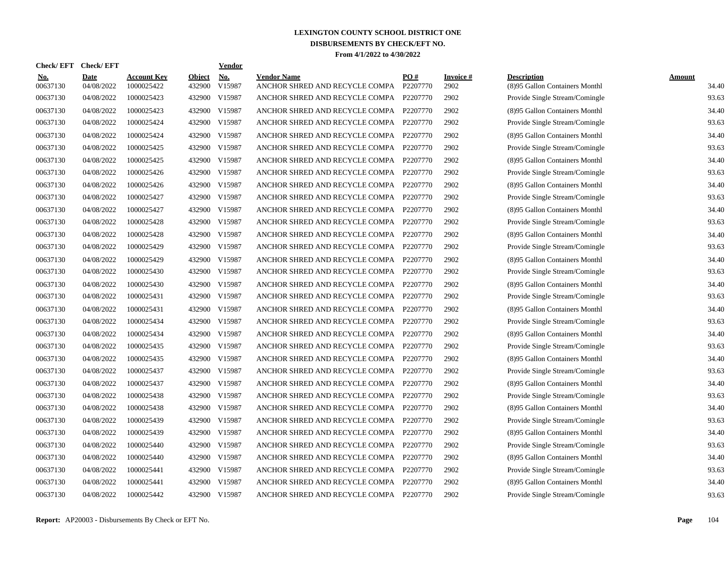| Check/EFT Check/EFT    |                           |                                  |                         | <b>Vendor</b>                         |                                                      |                 |                          |                                                      |                        |
|------------------------|---------------------------|----------------------------------|-------------------------|---------------------------------------|------------------------------------------------------|-----------------|--------------------------|------------------------------------------------------|------------------------|
| <u>No.</u><br>00637130 | <b>Date</b><br>04/08/2022 | <b>Account Key</b><br>1000025422 | <b>Object</b><br>432900 | $\underline{\mathrm{No}}$ .<br>V15987 | <b>Vendor Name</b><br>ANCHOR SHRED AND RECYCLE COMPA | PO#<br>P2207770 | <b>Invoice</b> #<br>2902 | <b>Description</b><br>(8)95 Gallon Containers Monthl | <b>Amount</b><br>34.40 |
| 00637130               | 04/08/2022                | 1000025423                       | 432900                  | V15987                                | ANCHOR SHRED AND RECYCLE COMPA P2207770              |                 | 2902                     | Provide Single Stream/Comingle                       | 93.63                  |
| 00637130               | 04/08/2022                | 1000025423                       | 432900                  | V15987                                | ANCHOR SHRED AND RECYCLE COMPA P2207770              |                 | 2902                     | (8)95 Gallon Containers Monthl                       | 34.40                  |
| 00637130               | 04/08/2022                | 1000025424                       | 432900                  | V15987                                | ANCHOR SHRED AND RECYCLE COMPA                       | P2207770        | 2902                     | Provide Single Stream/Comingle                       | 93.63                  |
| 00637130               | 04/08/2022                | 1000025424                       | 432900                  | V15987                                | ANCHOR SHRED AND RECYCLE COMPA P2207770              |                 | 2902                     | (8)95 Gallon Containers Monthl                       | 34.40                  |
| 00637130               | 04/08/2022                | 1000025425                       | 432900                  | V15987                                | ANCHOR SHRED AND RECYCLE COMPA P2207770              |                 | 2902                     | Provide Single Stream/Comingle                       | 93.63                  |
| 00637130               | 04/08/2022                | 1000025425                       | 432900                  | V15987                                | ANCHOR SHRED AND RECYCLE COMPA                       | P2207770        | 2902                     | (8)95 Gallon Containers Monthl                       | 34.40                  |
| 00637130               | 04/08/2022                | 1000025426                       | 432900                  | V15987                                | ANCHOR SHRED AND RECYCLE COMPA                       | P2207770        | 2902                     | Provide Single Stream/Comingle                       | 93.63                  |
| 00637130               | 04/08/2022                | 1000025426                       | 432900                  | V15987                                | ANCHOR SHRED AND RECYCLE COMPA P2207770              |                 | 2902                     | (8)95 Gallon Containers Monthl                       | 34.40                  |
| 00637130               | 04/08/2022                | 1000025427                       | 432900                  | V15987                                | ANCHOR SHRED AND RECYCLE COMPA P2207770              |                 | 2902                     | Provide Single Stream/Comingle                       | 93.63                  |
| 00637130               | 04/08/2022                | 1000025427                       | 432900 V15987           |                                       | ANCHOR SHRED AND RECYCLE COMPA P2207770              |                 | 2902                     | (8)95 Gallon Containers Monthl                       | 34.40                  |
| 00637130               | 04/08/2022                | 1000025428                       |                         | 432900 V15987                         | ANCHOR SHRED AND RECYCLE COMPA                       | P2207770        | 2902                     | Provide Single Stream/Comingle                       | 93.63                  |
| 00637130               | 04/08/2022                | 1000025428                       | 432900 V15987           |                                       | ANCHOR SHRED AND RECYCLE COMPA P2207770              |                 | 2902                     | (8)95 Gallon Containers Monthl                       | 34.40                  |
| 00637130               | 04/08/2022                | 1000025429                       |                         | 432900 V15987                         | ANCHOR SHRED AND RECYCLE COMPA P2207770              |                 | 2902                     | Provide Single Stream/Comingle                       | 93.63                  |
| 00637130               | 04/08/2022                | 1000025429                       | 432900                  | V15987                                | ANCHOR SHRED AND RECYCLE COMPA                       | P2207770        | 2902                     | (8)95 Gallon Containers Monthl                       | 34.40                  |
| 00637130               | 04/08/2022                | 1000025430                       | 432900                  | V15987                                | ANCHOR SHRED AND RECYCLE COMPA                       | P2207770        | 2902                     | Provide Single Stream/Comingle                       | 93.63                  |
| 00637130               | 04/08/2022                | 1000025430                       | 432900                  | V15987                                | ANCHOR SHRED AND RECYCLE COMPA                       | P2207770        | 2902                     | (8)95 Gallon Containers Monthl                       | 34.40                  |
| 00637130               | 04/08/2022                | 1000025431                       | 432900                  | V15987                                | ANCHOR SHRED AND RECYCLE COMPA                       | P2207770        | 2902                     | Provide Single Stream/Comingle                       | 93.63                  |
| 00637130               | 04/08/2022                | 1000025431                       | 432900                  | V15987                                | ANCHOR SHRED AND RECYCLE COMPA                       | P2207770        | 2902                     | (8)95 Gallon Containers Monthl                       | 34.40                  |
| 00637130               | 04/08/2022                | 1000025434                       | 432900                  | V15987                                | ANCHOR SHRED AND RECYCLE COMPA P2207770              |                 | 2902                     | Provide Single Stream/Comingle                       | 93.63                  |
| 00637130               | 04/08/2022                | 1000025434                       | 432900                  | V15987                                | ANCHOR SHRED AND RECYCLE COMPA                       | P2207770        | 2902                     | (8)95 Gallon Containers Monthl                       | 34.40                  |
| 00637130               | 04/08/2022                | 1000025435                       | 432900 V15987           |                                       | ANCHOR SHRED AND RECYCLE COMPA                       | P2207770        | 2902                     | Provide Single Stream/Comingle                       | 93.63                  |
| 00637130               | 04/08/2022                | 1000025435                       | 432900                  | V15987                                | ANCHOR SHRED AND RECYCLE COMPA                       | P2207770        | 2902                     | (8)95 Gallon Containers Monthl                       | 34.40                  |
| 00637130               | 04/08/2022                | 1000025437                       | 432900                  | V15987                                | ANCHOR SHRED AND RECYCLE COMPA                       | P2207770        | 2902                     | Provide Single Stream/Comingle                       | 93.63                  |
| 00637130               | 04/08/2022                | 1000025437                       | 432900                  | V15987                                | ANCHOR SHRED AND RECYCLE COMPA                       | P2207770        | 2902                     | (8)95 Gallon Containers Monthl                       | 34.40                  |
| 00637130               | 04/08/2022                | 1000025438                       | 432900                  | V15987                                | ANCHOR SHRED AND RECYCLE COMPA                       | P2207770        | 2902                     | Provide Single Stream/Comingle                       | 93.63                  |
| 00637130               | 04/08/2022                | 1000025438                       | 432900                  | V15987                                | ANCHOR SHRED AND RECYCLE COMPA                       | P2207770        | 2902                     | (8)95 Gallon Containers Monthl                       | 34.40                  |
| 00637130               | 04/08/2022                | 1000025439                       | 432900                  | V15987                                | ANCHOR SHRED AND RECYCLE COMPA P2207770              |                 | 2902                     | Provide Single Stream/Comingle                       | 93.63                  |
| 00637130               | 04/08/2022                | 1000025439                       | 432900                  | V15987                                | ANCHOR SHRED AND RECYCLE COMPA P2207770              |                 | 2902                     | (8)95 Gallon Containers Monthl                       | 34.40                  |
| 00637130               | 04/08/2022                | 1000025440                       | 432900                  | V15987                                | ANCHOR SHRED AND RECYCLE COMPA P2207770              |                 | 2902                     | Provide Single Stream/Comingle                       | 93.63                  |
| 00637130               | 04/08/2022                | 1000025440                       | 432900 V15987           |                                       | ANCHOR SHRED AND RECYCLE COMPA P2207770              |                 | 2902                     | (8)95 Gallon Containers Monthl                       | 34.40                  |
| 00637130               | 04/08/2022                | 1000025441                       | 432900                  | V15987                                | ANCHOR SHRED AND RECYCLE COMPA P2207770              |                 | 2902                     | Provide Single Stream/Comingle                       | 93.63                  |
| 00637130               | 04/08/2022                | 1000025441                       | 432900                  | V15987                                | ANCHOR SHRED AND RECYCLE COMPA                       | P2207770        | 2902                     | (8)95 Gallon Containers Monthl                       | 34.40                  |
| 00637130               | 04/08/2022                | 1000025442                       | 432900 V15987           |                                       | ANCHOR SHRED AND RECYCLE COMPA P2207770              |                 | 2902                     | Provide Single Stream/Comingle                       | 93.63                  |
|                        |                           |                                  |                         |                                       |                                                      |                 |                          |                                                      |                        |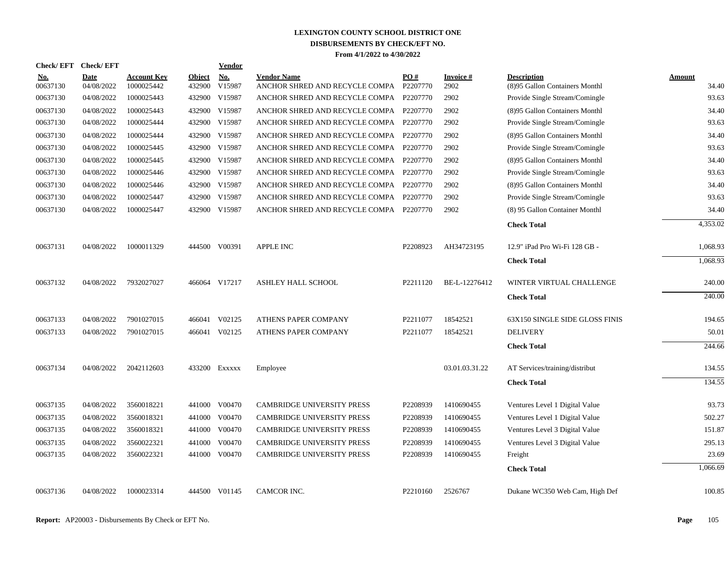| Check/ EFT             | <b>Check/EFT</b>          |                                  |                         | Vendor               |                                                               |                      |                   |                                                      |                 |
|------------------------|---------------------------|----------------------------------|-------------------------|----------------------|---------------------------------------------------------------|----------------------|-------------------|------------------------------------------------------|-----------------|
| <u>No.</u><br>00637130 | <b>Date</b><br>04/08/2022 | <b>Account Key</b><br>1000025442 | <b>Object</b><br>432900 | <b>No.</b><br>V15987 | <b>Vendor Name</b><br>ANCHOR SHRED AND RECYCLE COMPA P2207770 | PO#                  | Invoice #<br>2902 | <b>Description</b><br>(8)95 Gallon Containers Monthl | Amount<br>34.40 |
| 00637130               | 04/08/2022                | 1000025443                       | 432900                  | V15987               | ANCHOR SHRED AND RECYCLE COMPA P2207770                       |                      | 2902              | Provide Single Stream/Comingle                       | 93.63           |
| 00637130               | 04/08/2022                | 1000025443                       | 432900                  | V15987               | ANCHOR SHRED AND RECYCLE COMPA P2207770                       |                      | 2902              | (8)95 Gallon Containers Monthl                       | 34.40           |
| 00637130               | 04/08/2022                | 1000025444                       |                         | 432900 V15987        | ANCHOR SHRED AND RECYCLE COMPA P2207770                       |                      | 2902              | Provide Single Stream/Comingle                       | 93.63           |
| 00637130               | 04/08/2022                | 1000025444                       | 432900                  | V15987               | ANCHOR SHRED AND RECYCLE COMPA P2207770                       |                      | 2902              | (8)95 Gallon Containers Monthl                       | 34.40           |
| 00637130               | 04/08/2022                | 1000025445                       | 432900                  | V15987               | ANCHOR SHRED AND RECYCLE COMPA P2207770                       |                      | 2902              | Provide Single Stream/Comingle                       | 93.63           |
| 00637130               | 04/08/2022                | 1000025445                       |                         | 432900 V15987        | ANCHOR SHRED AND RECYCLE COMPA P2207770                       |                      | 2902              | (8)95 Gallon Containers Monthl                       | 34.40           |
| 00637130               | 04/08/2022                | 1000025446                       | 432900                  | V15987               | ANCHOR SHRED AND RECYCLE COMPA P2207770                       |                      | 2902              | Provide Single Stream/Comingle                       | 93.63           |
| 00637130               | 04/08/2022                | 1000025446                       |                         | 432900 V15987        | ANCHOR SHRED AND RECYCLE COMPA P2207770                       |                      | 2902              | (8)95 Gallon Containers Monthl                       | 34.40           |
| 00637130               | 04/08/2022                | 1000025447                       | 432900                  | V15987               | ANCHOR SHRED AND RECYCLE COMPA                                | P2207770             | 2902              | Provide Single Stream/Comingle                       | 93.63           |
| 00637130               | 04/08/2022                | 1000025447                       |                         | 432900 V15987        | ANCHOR SHRED AND RECYCLE COMPA P2207770                       |                      | 2902              | (8) 95 Gallon Container Monthl                       | 34.40           |
|                        |                           |                                  |                         |                      |                                                               |                      |                   | <b>Check Total</b>                                   | 4,353.02        |
| 00637131               | 04/08/2022                | 1000011329                       |                         | 444500 V00391        | <b>APPLE INC</b>                                              | P2208923             | AH34723195        | 12.9" iPad Pro Wi-Fi 128 GB -                        | 1,068.93        |
|                        |                           |                                  |                         |                      |                                                               |                      |                   | <b>Check Total</b>                                   | 1,068.93        |
| 00637132               | 04/08/2022                | 7932027027                       |                         | 466064 V17217        | ASHLEY HALL SCHOOL                                            | P2211120             | BE-L-12276412     | WINTER VIRTUAL CHALLENGE                             | 240.00          |
|                        |                           |                                  |                         |                      |                                                               |                      |                   | <b>Check Total</b>                                   | 240.00          |
| 00637133               | 04/08/2022                | 7901027015                       | 466041                  | V02125               | ATHENS PAPER COMPANY                                          | P2211077             | 18542521          | 63X150 SINGLE SIDE GLOSS FINIS                       | 194.65          |
| 00637133               | 04/08/2022                | 7901027015                       |                         | 466041 V02125        | ATHENS PAPER COMPANY                                          | P2211077             | 18542521          | <b>DELIVERY</b>                                      | 50.01           |
|                        |                           |                                  |                         |                      |                                                               |                      |                   | <b>Check Total</b>                                   | 244.66          |
| 00637134               | 04/08/2022                | 2042112603                       |                         | 433200 Exxxxx        | Employee                                                      |                      | 03.01.03.31.22    | AT Services/training/distribut                       | 134.55          |
|                        |                           |                                  |                         |                      |                                                               |                      |                   | <b>Check Total</b>                                   | 134.55          |
| 00637135               | 04/08/2022                | 3560018221                       |                         | 441000 V00470        | <b>CAMBRIDGE UNIVERSITY PRESS</b>                             | P2208939             | 1410690455        | Ventures Level 1 Digital Value                       | 93.73           |
| 00637135               | 04/08/2022                | 3560018321                       |                         | 441000 V00470        | CAMBRIDGE UNIVERSITY PRESS                                    | P2208939             | 1410690455        | Ventures Level 1 Digital Value                       | 502.27          |
| 00637135               | 04/08/2022                | 3560018321                       | 441000                  | V00470               | CAMBRIDGE UNIVERSITY PRESS                                    | P2208939             | 1410690455        | Ventures Level 3 Digital Value                       | 151.87          |
| 00637135               | 04/08/2022                | 3560022321                       | 441000                  | V00470               | CAMBRIDGE UNIVERSITY PRESS                                    | P2208939             | 1410690455        | Ventures Level 3 Digital Value                       | 295.13          |
| 00637135               | 04/08/2022                | 3560022321                       |                         | 441000 V00470        | <b>CAMBRIDGE UNIVERSITY PRESS</b>                             | P2208939             | 1410690455        | Freight                                              | 23.69           |
|                        |                           |                                  |                         |                      |                                                               |                      |                   | <b>Check Total</b>                                   | 1,066.69        |
| 00637136               | 04/08/2022                | 1000023314                       |                         | 444500 V01145        | CAMCOR INC.                                                   | P <sub>2210160</sub> | 2526767           | Dukane WC350 Web Cam, High Def                       | 100.85          |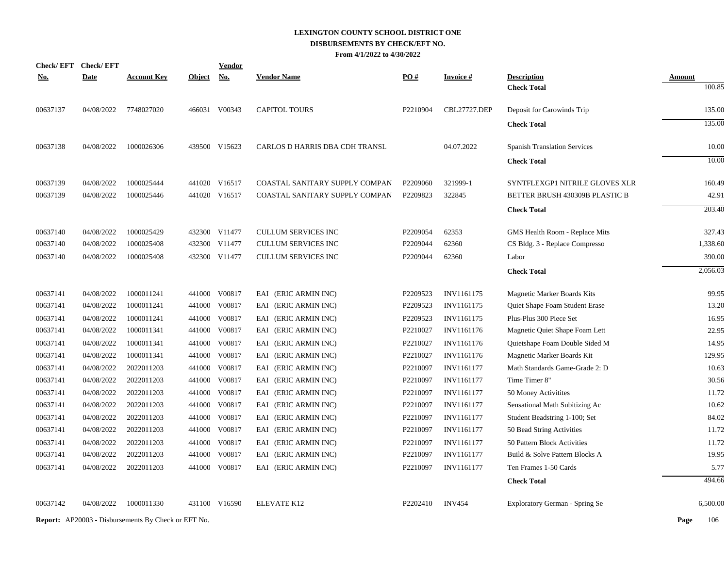| <b>Check/EFT</b> | <b>Check/EFT</b> |                                                            |               | <b>Vendor</b> |                                |          |                     |                                       |               |
|------------------|------------------|------------------------------------------------------------|---------------|---------------|--------------------------------|----------|---------------------|---------------------------------------|---------------|
| <u>No.</u>       | <b>Date</b>      | <b>Account Key</b>                                         | <b>Object</b> | No.           | <b>Vendor Name</b>             | PO#      | <u>Invoice #</u>    | <b>Description</b>                    | <b>Amount</b> |
|                  |                  |                                                            |               |               |                                |          |                     | <b>Check Total</b>                    | 100.85        |
| 00637137         | 04/08/2022       | 7748027020                                                 |               | 466031 V00343 | <b>CAPITOL TOURS</b>           | P2210904 | <b>CBL27727.DEP</b> | Deposit for Carowinds Trip            | 135.00        |
|                  |                  |                                                            |               |               |                                |          |                     | <b>Check Total</b>                    | 135.00        |
| 00637138         | 04/08/2022       | 1000026306                                                 |               | 439500 V15623 | CARLOS D HARRIS DBA CDH TRANSL |          | 04.07.2022          | <b>Spanish Translation Services</b>   | 10.00         |
|                  |                  |                                                            |               |               |                                |          |                     | <b>Check Total</b>                    | 10.00         |
| 00637139         | 04/08/2022       | 1000025444                                                 |               | 441020 V16517 | COASTAL SANITARY SUPPLY COMPAN | P2209060 | 321999-1            | SYNTFLEXGP1 NITRILE GLOVES XLR        | 160.49        |
| 00637139         | 04/08/2022       | 1000025446                                                 |               | 441020 V16517 | COASTAL SANITARY SUPPLY COMPAN | P2209823 | 322845              | BETTER BRUSH 430309B PLASTIC B        | 42.91         |
|                  |                  |                                                            |               |               |                                |          |                     | <b>Check Total</b>                    | 203.40        |
| 00637140         | 04/08/2022       | 1000025429                                                 |               | 432300 V11477 | CULLUM SERVICES INC            | P2209054 | 62353               | GMS Health Room - Replace Mits        | 327.43        |
| 00637140         | 04/08/2022       | 1000025408                                                 |               | 432300 V11477 | CULLUM SERVICES INC            | P2209044 | 62360               | CS Bldg. 3 - Replace Compresso        | 1,338.60      |
| 00637140         | 04/08/2022       | 1000025408                                                 |               | 432300 V11477 | <b>CULLUM SERVICES INC</b>     | P2209044 | 62360               | Labor                                 | 390.00        |
|                  |                  |                                                            |               |               |                                |          |                     | <b>Check Total</b>                    | 2,056.03      |
| 00637141         | 04/08/2022       | 1000011241                                                 |               | 441000 V00817 | EAI (ERIC ARMIN INC)           | P2209523 | INV1161175          | <b>Magnetic Marker Boards Kits</b>    | 99.95         |
| 00637141         | 04/08/2022       | 1000011241                                                 |               | 441000 V00817 | EAI (ERIC ARMIN INC)           | P2209523 | INV1161175          | Quiet Shape Foam Student Erase        | 13.20         |
| 00637141         | 04/08/2022       | 1000011241                                                 |               | 441000 V00817 | EAI (ERIC ARMIN INC)           | P2209523 | INV1161175          | Plus-Plus 300 Piece Set               | 16.95         |
| 00637141         | 04/08/2022       | 1000011341                                                 |               | 441000 V00817 | EAI (ERIC ARMIN INC)           | P2210027 | INV1161176          | Magnetic Quiet Shape Foam Lett        | 22.95         |
| 00637141         | 04/08/2022       | 1000011341                                                 |               | 441000 V00817 | EAI (ERIC ARMIN INC)           | P2210027 | INV1161176          | Quietshape Foam Double Sided M        | 14.95         |
| 00637141         | 04/08/2022       | 1000011341                                                 |               | 441000 V00817 | EAI (ERIC ARMIN INC)           | P2210027 | INV1161176          | Magnetic Marker Boards Kit            | 129.95        |
| 00637141         | 04/08/2022       | 2022011203                                                 | 441000        | V00817        | EAI (ERIC ARMIN INC)           | P2210097 | INV1161177          | Math Standards Game-Grade 2: D        | 10.63         |
| 00637141         | 04/08/2022       | 2022011203                                                 |               | 441000 V00817 | EAI (ERIC ARMIN INC)           | P2210097 | INV1161177          | Time Timer 8"                         | 30.56         |
| 00637141         | 04/08/2022       | 2022011203                                                 | 441000        | V00817        | EAI (ERIC ARMIN INC)           | P2210097 | INV1161177          | 50 Money Activitites                  | 11.72         |
| 00637141         | 04/08/2022       | 2022011203                                                 |               | 441000 V00817 | EAI (ERIC ARMIN INC)           | P2210097 | INV1161177          | Sensational Math Subitizing Ac        | 10.62         |
| 00637141         | 04/08/2022       | 2022011203                                                 | 441000        | V00817        | EAI (ERIC ARMIN INC)           | P2210097 | INV1161177          | Student Beadstring 1-100; Set         | 84.02         |
| 00637141         | 04/08/2022       | 2022011203                                                 |               | 441000 V00817 | EAI (ERIC ARMIN INC)           | P2210097 | INV1161177          | 50 Bead String Activities             | 11.72         |
| 00637141         | 04/08/2022       | 2022011203                                                 | 441000        | V00817        | EAI (ERIC ARMIN INC)           | P2210097 | INV1161177          | 50 Pattern Block Activities           | 11.72         |
| 00637141         | 04/08/2022       | 2022011203                                                 | 441000        | V00817        | EAI (ERIC ARMIN INC)           | P2210097 | INV1161177          | Build & Solve Pattern Blocks A        | 19.95         |
| 00637141         | 04/08/2022       | 2022011203                                                 |               | 441000 V00817 | EAI (ERIC ARMIN INC)           | P2210097 | INV1161177          | Ten Frames 1-50 Cards                 | 5.77          |
|                  |                  |                                                            |               |               |                                |          |                     | <b>Check Total</b>                    | 494.66        |
| 00637142         | 04/08/2022       | 1000011330                                                 |               | 431100 V16590 | ELEVATE K12                    | P2202410 | <b>INV454</b>       | <b>Exploratory German - Spring Se</b> | 6,500.00      |
|                  |                  | <b>Report:</b> AP20003 - Disbursements By Check or EFT No. |               |               |                                |          |                     |                                       | Page<br>106   |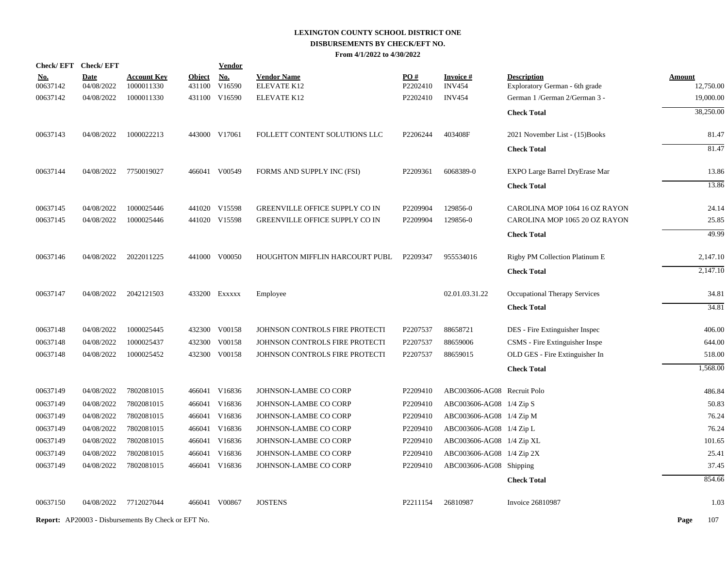| <b>Check/EFT</b> | <b>Check/EFT</b> |                                                            |               | Vendor        |                                |          |                             |                                 |               |
|------------------|------------------|------------------------------------------------------------|---------------|---------------|--------------------------------|----------|-----------------------------|---------------------------------|---------------|
| <u>No.</u>       | <b>Date</b>      | <b>Account Key</b>                                         | <b>Object</b> | <b>No.</b>    | <b>Vendor Name</b>             | PO#      | <b>Invoice#</b>             | <b>Description</b>              | <b>Amount</b> |
| 00637142         | 04/08/2022       | 1000011330                                                 | 431100        | V16590        | ELEVATE K12                    | P2202410 | <b>INV454</b>               | Exploratory German - 6th grade  | 12,750.00     |
| 00637142         | 04/08/2022       | 1000011330                                                 |               | 431100 V16590 | ELEVATE K12                    | P2202410 | <b>INV454</b>               | German 1 / German 2/ German 3 - | 19,000.00     |
|                  |                  |                                                            |               |               |                                |          |                             | <b>Check Total</b>              | 38,250.00     |
| 00637143         | 04/08/2022       | 1000022213                                                 |               | 443000 V17061 | FOLLETT CONTENT SOLUTIONS LLC  | P2206244 | 403408F                     | 2021 November List - (15)Books  | 81.47         |
|                  |                  |                                                            |               |               |                                |          |                             | <b>Check Total</b>              | 81.47         |
| 00637144         | 04/08/2022       | 7750019027                                                 |               | 466041 V00549 | FORMS AND SUPPLY INC (FSI)     | P2209361 | 6068389-0                   | EXPO Large Barrel DryErase Mar  | 13.86         |
|                  |                  |                                                            |               |               |                                |          |                             | <b>Check Total</b>              | 13.86         |
| 00637145         | 04/08/2022       | 1000025446                                                 |               | 441020 V15598 | GREENVILLE OFFICE SUPPLY CO IN | P2209904 | 129856-0                    | CAROLINA MOP 1064 16 OZ RAYON   | 24.14         |
| 00637145         | 04/08/2022       | 1000025446                                                 |               | 441020 V15598 | GREENVILLE OFFICE SUPPLY CO IN | P2209904 | 129856-0                    | CAROLINA MOP 1065 20 OZ RAYON   | 25.85         |
|                  |                  |                                                            |               |               |                                |          |                             | <b>Check Total</b>              | 49.99         |
| 00637146         | 04/08/2022       | 2022011225                                                 |               | 441000 V00050 | HOUGHTON MIFFLIN HARCOURT PUBL | P2209347 | 955534016                   | Rigby PM Collection Platinum E  | 2,147.10      |
|                  |                  |                                                            |               |               |                                |          |                             | <b>Check Total</b>              | 2,147.10      |
| 00637147         | 04/08/2022       | 2042121503                                                 |               | 433200 Exxxxx | Employee                       |          | 02.01.03.31.22              | Occupational Therapy Services   | 34.81         |
|                  |                  |                                                            |               |               |                                |          |                             | <b>Check Total</b>              | 34.81         |
| 00637148         | 04/08/2022       | 1000025445                                                 |               | 432300 V00158 | JOHNSON CONTROLS FIRE PROTECTI | P2207537 | 88658721                    | DES - Fire Extinguisher Inspec  | 406.00        |
| 00637148         | 04/08/2022       | 1000025437                                                 | 432300        | V00158        | JOHNSON CONTROLS FIRE PROTECTI | P2207537 | 88659006                    | CSMS - Fire Extinguisher Inspe  | 644.00        |
| 00637148         | 04/08/2022       | 1000025452                                                 |               | 432300 V00158 | JOHNSON CONTROLS FIRE PROTECTI | P2207537 | 88659015                    | OLD GES - Fire Extinguisher In  | 518.00        |
|                  |                  |                                                            |               |               |                                |          |                             | <b>Check Total</b>              | 1,568.00      |
| 00637149         | 04/08/2022       | 7802081015                                                 |               | 466041 V16836 | JOHNSON-LAMBE CO CORP          | P2209410 | ABC003606-AG08 Recruit Polo |                                 | 486.84        |
| 00637149         | 04/08/2022       | 7802081015                                                 |               | 466041 V16836 | JOHNSON-LAMBE CO CORP          | P2209410 | ABC003606-AG08 1/4 Zip S    |                                 | 50.83         |
| 00637149         | 04/08/2022       | 7802081015                                                 |               | 466041 V16836 | JOHNSON-LAMBE CO CORP          | P2209410 | ABC003606-AG08 1/4 Zip M    |                                 | 76.24         |
| 00637149         | 04/08/2022       | 7802081015                                                 |               | 466041 V16836 | JOHNSON-LAMBE CO CORP          | P2209410 | ABC003606-AG08 1/4 Zip L    |                                 | 76.24         |
| 00637149         | 04/08/2022       | 7802081015                                                 |               | 466041 V16836 | JOHNSON-LAMBE CO CORP          | P2209410 | ABC003606-AG08 1/4 Zip XL   |                                 | 101.65        |
| 00637149         | 04/08/2022       | 7802081015                                                 |               | 466041 V16836 | JOHNSON-LAMBE CO CORP          | P2209410 | ABC003606-AG08 1/4 Zip 2X   |                                 | 25.41         |
| 00637149         | 04/08/2022       | 7802081015                                                 |               | 466041 V16836 | JOHNSON-LAMBE CO CORP          | P2209410 | ABC003606-AG08 Shipping     |                                 | 37.45         |
|                  |                  |                                                            |               |               |                                |          |                             | <b>Check Total</b>              | 854.66        |
| 00637150         | 04/08/2022       | 7712027044                                                 |               | 466041 V00867 | <b>JOSTENS</b>                 | P2211154 | 26810987                    | Invoice 26810987                | 1.03          |
|                  |                  | <b>Report:</b> AP20003 - Disbursements By Check or EFT No. |               |               |                                |          |                             |                                 | Page<br>107   |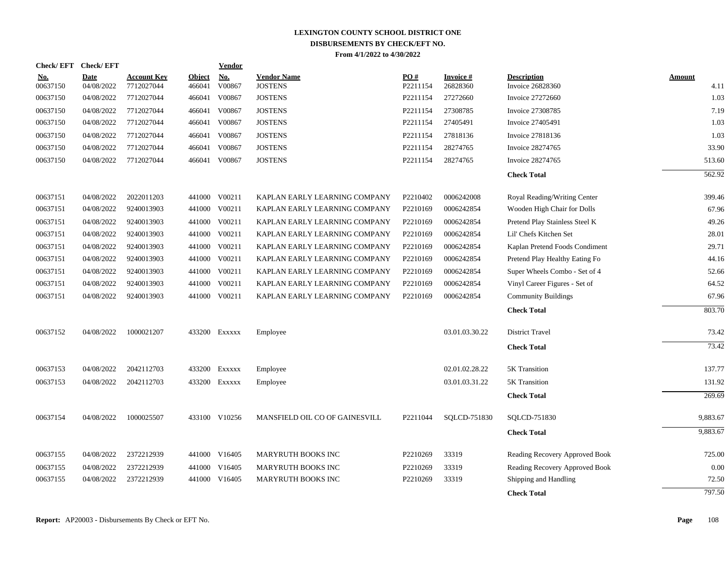| Check/EFT Check/EFT    |                           |                                  |                         | Vendor               |                                      |                 |                             |                                               |                       |
|------------------------|---------------------------|----------------------------------|-------------------------|----------------------|--------------------------------------|-----------------|-----------------------------|-----------------------------------------------|-----------------------|
| <u>No.</u><br>00637150 | <b>Date</b><br>04/08/2022 | <b>Account Key</b><br>7712027044 | <b>Object</b><br>466041 | <b>No.</b><br>V00867 | <b>Vendor Name</b><br><b>JOSTENS</b> | PO#<br>P2211154 | <b>Invoice#</b><br>26828360 | <b>Description</b><br><b>Invoice 26828360</b> | <b>Amount</b><br>4.11 |
| 00637150               | 04/08/2022                | 7712027044                       | 466041                  | V00867               | <b>JOSTENS</b>                       | P2211154        | 27272660                    | <b>Invoice 27272660</b>                       | 1.03                  |
| 00637150               | 04/08/2022                | 7712027044                       | 466041                  | V00867               | <b>JOSTENS</b>                       | P2211154        | 27308785                    | <b>Invoice 27308785</b>                       | 7.19                  |
| 00637150               | 04/08/2022                | 7712027044                       |                         | 466041 V00867        | <b>JOSTENS</b>                       | P2211154        | 27405491                    | Invoice 27405491                              | 1.03                  |
| 00637150               | 04/08/2022                | 7712027044                       | 466041                  | V00867               | <b>JOSTENS</b>                       | P2211154        | 27818136                    | Invoice 27818136                              | 1.03                  |
| 00637150               | 04/08/2022                | 7712027044                       | 466041                  | V00867               | <b>JOSTENS</b>                       | P2211154        | 28274765                    | Invoice 28274765                              | 33.90                 |
| 00637150               | 04/08/2022                | 7712027044                       |                         | 466041 V00867        | <b>JOSTENS</b>                       | P2211154        | 28274765                    | <b>Invoice 28274765</b>                       | 513.60                |
|                        |                           |                                  |                         |                      |                                      |                 |                             | <b>Check Total</b>                            | 562.92                |
| 00637151               | 04/08/2022                | 2022011203                       |                         | 441000 V00211        | KAPLAN EARLY LEARNING COMPANY        | P2210402        | 0006242008                  | Royal Reading/Writing Center                  | 399.46                |
| 00637151               | 04/08/2022                | 9240013903                       |                         | 441000 V00211        | KAPLAN EARLY LEARNING COMPANY        | P2210169        | 0006242854                  | Wooden High Chair for Dolls                   | 67.96                 |
| 00637151               | 04/08/2022                | 9240013903                       |                         | 441000 V00211        | KAPLAN EARLY LEARNING COMPANY        | P2210169        | 0006242854                  | Pretend Play Stainless Steel K                | 49.26                 |
| 00637151               | 04/08/2022                | 9240013903                       |                         | 441000 V00211        | KAPLAN EARLY LEARNING COMPANY        | P2210169        | 0006242854                  | Lil' Chefs Kitchen Set                        | 28.01                 |
| 00637151               | 04/08/2022                | 9240013903                       |                         | 441000 V00211        | KAPLAN EARLY LEARNING COMPANY        | P2210169        | 0006242854                  | Kaplan Pretend Foods Condiment                | 29.71                 |
| 00637151               | 04/08/2022                | 9240013903                       |                         | 441000 V00211        | KAPLAN EARLY LEARNING COMPANY        | P2210169        | 0006242854                  | Pretend Play Healthy Eating Fo                | 44.16                 |
| 00637151               | 04/08/2022                | 9240013903                       | 441000                  | V00211               | KAPLAN EARLY LEARNING COMPANY        | P2210169        | 0006242854                  | Super Wheels Combo - Set of 4                 | 52.66                 |
| 00637151               | 04/08/2022                | 9240013903                       | 441000                  | V00211               | KAPLAN EARLY LEARNING COMPANY        | P2210169        | 0006242854                  | Vinyl Career Figures - Set of                 | 64.52                 |
| 00637151               | 04/08/2022                | 9240013903                       |                         | 441000 V00211        | KAPLAN EARLY LEARNING COMPANY        | P2210169        | 0006242854                  | <b>Community Buildings</b>                    | 67.96                 |
|                        |                           |                                  |                         |                      |                                      |                 |                             | <b>Check Total</b>                            | 803.70                |
| 00637152               | 04/08/2022                | 1000021207                       |                         | 433200 Exxxxx        | Employee                             |                 | 03.01.03.30.22              | District Travel                               | 73.42                 |
|                        |                           |                                  |                         |                      |                                      |                 |                             | <b>Check Total</b>                            | 73.42                 |
| 00637153               | 04/08/2022                | 2042112703                       | 433200                  | Exxxxx               | Employee                             |                 | 02.01.02.28.22              | 5K Transition                                 | 137.77                |
| 00637153               | 04/08/2022                | 2042112703                       |                         | 433200 Exxxxx        | Employee                             |                 | 03.01.03.31.22              | 5K Transition                                 | 131.92                |
|                        |                           |                                  |                         |                      |                                      |                 |                             | <b>Check Total</b>                            | 269.69                |
| 00637154               | 04/08/2022                | 1000025507                       |                         | 433100 V10256        | MANSFIELD OIL CO OF GAINESVILL       | P2211044        | SQLCD-751830                | SQLCD-751830                                  | 9,883.67              |
|                        |                           |                                  |                         |                      |                                      |                 |                             | <b>Check Total</b>                            | 9,883.67              |
| 00637155               | 04/08/2022                | 2372212939                       |                         | 441000 V16405        | MARYRUTH BOOKS INC                   | P2210269        | 33319                       | Reading Recovery Approved Book                | 725.00                |
| 00637155               | 04/08/2022                | 2372212939                       |                         | 441000 V16405        | MARYRUTH BOOKS INC                   | P2210269        | 33319                       | Reading Recovery Approved Book                | 0.00                  |
| 00637155               | 04/08/2022                | 2372212939                       | 441000                  | V16405               | <b>MARYRUTH BOOKS INC</b>            | P2210269        | 33319                       | Shipping and Handling                         | 72.50                 |
|                        |                           |                                  |                         |                      |                                      |                 |                             | <b>Check Total</b>                            | 797.50                |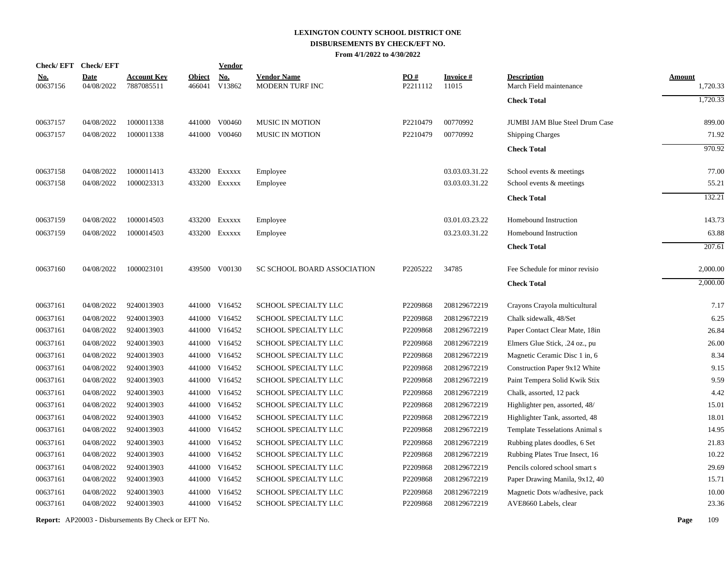|                        | Check/EFT Check/EFT       |                                  |                         | <b>Vendor</b>        |                                       |                 |                          |                                               |                           |
|------------------------|---------------------------|----------------------------------|-------------------------|----------------------|---------------------------------------|-----------------|--------------------------|-----------------------------------------------|---------------------------|
| <u>No.</u><br>00637156 | <b>Date</b><br>04/08/2022 | <b>Account Key</b><br>7887085511 | <b>Object</b><br>466041 | <b>No.</b><br>V13862 | <b>Vendor Name</b><br>MODERN TURF INC | PO#<br>P2211112 | <b>Invoice#</b><br>11015 | <b>Description</b><br>March Field maintenance | <b>Amount</b><br>1,720.33 |
|                        |                           |                                  |                         |                      |                                       |                 |                          | <b>Check Total</b>                            | 1,720.33                  |
| 00637157               | 04/08/2022                | 1000011338                       |                         | 441000 V00460        | <b>MUSIC IN MOTION</b>                | P2210479        | 00770992                 | <b>JUMBI JAM Blue Steel Drum Case</b>         | 899.00                    |
| 00637157               | 04/08/2022                | 1000011338                       |                         | 441000 V00460        | <b>MUSIC IN MOTION</b>                | P2210479        | 00770992                 | Shipping Charges                              | 71.92                     |
|                        |                           |                                  |                         |                      |                                       |                 |                          | <b>Check Total</b>                            | 970.92                    |
| 00637158               | 04/08/2022                | 1000011413                       |                         | 433200 Exxxxx        | Employee                              |                 | 03.03.03.31.22           | School events & meetings                      | 77.00                     |
| 00637158               | 04/08/2022                | 1000023313                       |                         | 433200 Exxxxx        | Employee                              |                 | 03.03.03.31.22           | School events & meetings                      | 55.21                     |
|                        |                           |                                  |                         |                      |                                       |                 |                          | <b>Check Total</b>                            | 132.21                    |
| 00637159               | 04/08/2022                | 1000014503                       |                         | 433200 Exxxxx        | Employee                              |                 | 03.01.03.23.22           | Homebound Instruction                         | 143.73                    |
| 00637159               | 04/08/2022                | 1000014503                       |                         | 433200 Exxxxx        | Employee                              |                 | 03.23.03.31.22           | Homebound Instruction                         | 63.88                     |
|                        |                           |                                  |                         |                      |                                       |                 |                          | <b>Check Total</b>                            | 207.61                    |
| 00637160               | 04/08/2022                | 1000023101                       |                         | 439500 V00130        | <b>SC SCHOOL BOARD ASSOCIATION</b>    | P2205222        | 34785                    | Fee Schedule for minor revisio                | 2,000.00                  |
|                        |                           |                                  |                         |                      |                                       |                 |                          | <b>Check Total</b>                            | 2,000.00                  |
| 00637161               | 04/08/2022                | 9240013903                       |                         | 441000 V16452        | SCHOOL SPECIALTY LLC                  | P2209868        | 208129672219             | Crayons Crayola multicultural                 | 7.17                      |
| 00637161               | 04/08/2022                | 9240013903                       |                         | 441000 V16452        | SCHOOL SPECIALTY LLC                  | P2209868        | 208129672219             | Chalk sidewalk, 48/Set                        | 6.25                      |
| 00637161               | 04/08/2022                | 9240013903                       |                         | 441000 V16452        | SCHOOL SPECIALTY LLC                  | P2209868        | 208129672219             | Paper Contact Clear Mate, 18in                | 26.84                     |
| 00637161               | 04/08/2022                | 9240013903                       |                         | 441000 V16452        | SCHOOL SPECIALTY LLC                  | P2209868        | 208129672219             | Elmers Glue Stick, .24 oz., pu                | 26.00                     |
| 00637161               | 04/08/2022                | 9240013903                       |                         | 441000 V16452        | SCHOOL SPECIALTY LLC                  | P2209868        | 208129672219             | Magnetic Ceramic Disc 1 in, 6                 | 8.34                      |
| 00637161               | 04/08/2022                | 9240013903                       |                         | 441000 V16452        | SCHOOL SPECIALTY LLC                  | P2209868        | 208129672219             | Construction Paper 9x12 White                 | 9.15                      |
| 00637161               | 04/08/2022                | 9240013903                       |                         | 441000 V16452        | SCHOOL SPECIALTY LLC                  | P2209868        | 208129672219             | Paint Tempera Solid Kwik Stix                 | 9.59                      |
| 00637161               | 04/08/2022                | 9240013903                       |                         | 441000 V16452        | SCHOOL SPECIALTY LLC                  | P2209868        | 208129672219             | Chalk, assorted, 12 pack                      | 4.42                      |
| 00637161               | 04/08/2022                | 9240013903                       |                         | 441000 V16452        | SCHOOL SPECIALTY LLC                  | P2209868        | 208129672219             | Highlighter pen, assorted, 48/                | 15.01                     |
| 00637161               | 04/08/2022                | 9240013903                       |                         | 441000 V16452        | SCHOOL SPECIALTY LLC                  | P2209868        | 208129672219             | Highlighter Tank, assorted, 48                | 18.01                     |
| 00637161               | 04/08/2022                | 9240013903                       |                         | 441000 V16452        | SCHOOL SPECIALTY LLC                  | P2209868        | 208129672219             | Template Tesselations Animal s                | 14.95                     |
| 00637161               | 04/08/2022                | 9240013903                       |                         | 441000 V16452        | SCHOOL SPECIALTY LLC                  | P2209868        | 208129672219             | Rubbing plates doodles, 6 Set                 | 21.83                     |
| 00637161               | 04/08/2022                | 9240013903                       |                         | 441000 V16452        | SCHOOL SPECIALTY LLC                  | P2209868        | 208129672219             | Rubbing Plates True Insect, 16                | 10.22                     |
| 00637161               | 04/08/2022                | 9240013903                       | 441000                  | V16452               | SCHOOL SPECIALTY LLC                  | P2209868        | 208129672219             | Pencils colored school smart s                | 29.69                     |
| 00637161               | 04/08/2022                | 9240013903                       |                         | 441000 V16452        | SCHOOL SPECIALTY LLC                  | P2209868        | 208129672219             | Paper Drawing Manila, 9x12, 40                | 15.71                     |
| 00637161               | 04/08/2022                | 9240013903                       | 441000                  | V16452               | SCHOOL SPECIALTY LLC                  | P2209868        | 208129672219             | Magnetic Dots w/adhesive, pack                | 10.00                     |
| 00637161               | 04/08/2022                | 9240013903                       |                         | 441000 V16452        | SCHOOL SPECIALTY LLC                  | P2209868        | 208129672219             | AVE8660 Labels, clear                         | 23.36                     |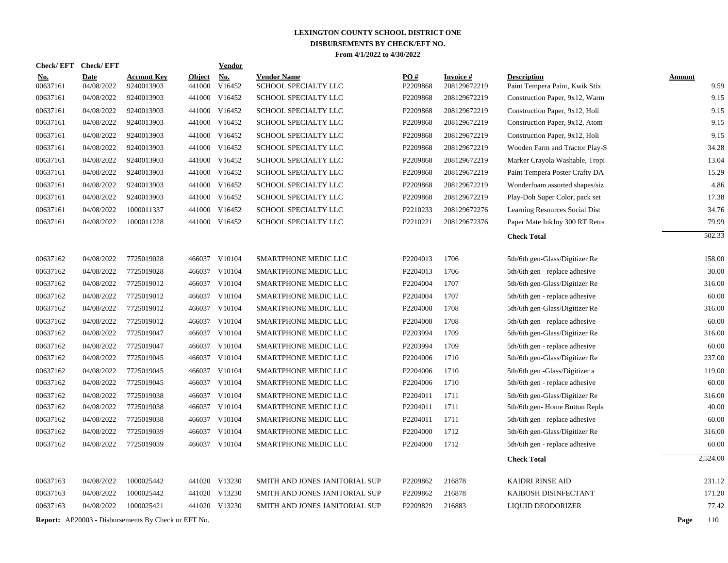| <b>Check/EFT</b> | <b>Check/EFT</b>          |                                  | <b>Vendor</b>                                              |                                                                                                                                                                                                                                                                                                                                                                                                                                                                                                                                         |                 |                           |                                                      |                                                                                                    |
|------------------|---------------------------|----------------------------------|------------------------------------------------------------|-----------------------------------------------------------------------------------------------------------------------------------------------------------------------------------------------------------------------------------------------------------------------------------------------------------------------------------------------------------------------------------------------------------------------------------------------------------------------------------------------------------------------------------------|-----------------|---------------------------|------------------------------------------------------|----------------------------------------------------------------------------------------------------|
| No.<br>00637161  | <b>Date</b><br>04/08/2022 | <b>Account Key</b><br>9240013903 | <b>No.</b><br>V16452                                       | <b>Vendor Name</b><br>SCHOOL SPECIALTY LLC                                                                                                                                                                                                                                                                                                                                                                                                                                                                                              | PO#<br>P2209868 | Invoice #<br>208129672219 | <b>Description</b><br>Paint Tempera Paint, Kwik Stix | <b>Amount</b><br>9.59                                                                              |
| 00637161         | 04/08/2022                | 9240013903                       | V16452                                                     | SCHOOL SPECIALTY LLC                                                                                                                                                                                                                                                                                                                                                                                                                                                                                                                    | P2209868        | 208129672219              | Construction Paper, 9x12, Warm                       | 9.15                                                                                               |
| 00637161         | 04/08/2022                | 9240013903                       |                                                            | SCHOOL SPECIALTY LLC                                                                                                                                                                                                                                                                                                                                                                                                                                                                                                                    | P2209868        | 208129672219              | Construction Paper, 9x12, Holi                       | 9.15                                                                                               |
| 00637161         | 04/08/2022                | 9240013903                       |                                                            | SCHOOL SPECIALTY LLC                                                                                                                                                                                                                                                                                                                                                                                                                                                                                                                    | P2209868        | 208129672219              | Construction Paper, 9x12, Atom                       | 9.15                                                                                               |
| 00637161         | 04/08/2022                | 9240013903                       |                                                            | SCHOOL SPECIALTY LLC                                                                                                                                                                                                                                                                                                                                                                                                                                                                                                                    | P2209868        | 208129672219              | Construction Paper, 9x12, Holi                       | 9.15                                                                                               |
| 00637161         | 04/08/2022                | 9240013903                       |                                                            | SCHOOL SPECIALTY LLC                                                                                                                                                                                                                                                                                                                                                                                                                                                                                                                    | P2209868        | 208129672219              | Wooden Farm and Tractor Play-S                       | 34.28                                                                                              |
| 00637161         | 04/08/2022                | 9240013903                       |                                                            | SCHOOL SPECIALTY LLC                                                                                                                                                                                                                                                                                                                                                                                                                                                                                                                    | P2209868        | 208129672219              | Marker Crayola Washable, Tropi                       | 13.04                                                                                              |
| 00637161         | 04/08/2022                | 9240013903                       |                                                            | SCHOOL SPECIALTY LLC                                                                                                                                                                                                                                                                                                                                                                                                                                                                                                                    | P2209868        | 208129672219              | Paint Tempera Poster Crafty DA                       | 15.29                                                                                              |
| 00637161         | 04/08/2022                | 9240013903                       |                                                            | SCHOOL SPECIALTY LLC                                                                                                                                                                                                                                                                                                                                                                                                                                                                                                                    | P2209868        | 208129672219              | Wonderfoam assorted shapes/siz                       | 4.86                                                                                               |
| 00637161         | 04/08/2022                | 9240013903                       |                                                            | SCHOOL SPECIALTY LLC                                                                                                                                                                                                                                                                                                                                                                                                                                                                                                                    | P2209868        | 208129672219              | Play-Doh Super Color, pack set                       | 17.38                                                                                              |
| 00637161         | 04/08/2022                | 1000011337                       |                                                            | SCHOOL SPECIALTY LLC                                                                                                                                                                                                                                                                                                                                                                                                                                                                                                                    | P2210233        | 208129672276              | Learning Resources Social Dist                       | 34.76                                                                                              |
| 00637161         | 04/08/2022                | 1000011228                       |                                                            | SCHOOL SPECIALTY LLC                                                                                                                                                                                                                                                                                                                                                                                                                                                                                                                    | P2210221        | 208129672376              | Paper Mate InkJoy 300 RT Retra                       | 79.99                                                                                              |
|                  |                           |                                  |                                                            |                                                                                                                                                                                                                                                                                                                                                                                                                                                                                                                                         |                 |                           | <b>Check Total</b>                                   | 502.33                                                                                             |
| 00637162         | 04/08/2022                | 7725019028                       |                                                            | <b>SMARTPHONE MEDIC LLC</b>                                                                                                                                                                                                                                                                                                                                                                                                                                                                                                             | P2204013        | 1706                      |                                                      | 158.00                                                                                             |
| 00637162         | 04/08/2022                | 7725019028                       |                                                            | SMARTPHONE MEDIC LLC                                                                                                                                                                                                                                                                                                                                                                                                                                                                                                                    | P2204013        | 1706                      |                                                      | 30.00                                                                                              |
| 00637162         | 04/08/2022                | 7725019012                       |                                                            | <b>SMARTPHONE MEDIC LLC</b>                                                                                                                                                                                                                                                                                                                                                                                                                                                                                                             | P2204004        | 1707                      |                                                      | 316.00                                                                                             |
| 00637162         | 04/08/2022                | 7725019012                       |                                                            | <b>SMARTPHONE MEDIC LLC</b>                                                                                                                                                                                                                                                                                                                                                                                                                                                                                                             | P2204004        | 1707                      | 5th/6th gen - replace adhesive                       | 60.00                                                                                              |
| 00637162         | 04/08/2022                | 7725019012                       |                                                            | SMARTPHONE MEDIC LLC                                                                                                                                                                                                                                                                                                                                                                                                                                                                                                                    | P2204008        | 1708                      | 5th/6th gen-Glass/Digitizer Re                       | 316.00                                                                                             |
| 00637162         | 04/08/2022                | 7725019012                       |                                                            | <b>SMARTPHONE MEDIC LLC</b>                                                                                                                                                                                                                                                                                                                                                                                                                                                                                                             | P2204008        | 1708                      | 5th/6th gen - replace adhesive                       | 60.00                                                                                              |
| 00637162         | 04/08/2022                | 7725019047                       |                                                            | SMARTPHONE MEDIC LLC                                                                                                                                                                                                                                                                                                                                                                                                                                                                                                                    | P2203994        | 1709                      | 5th/6th gen-Glass/Digitizer Re                       | 316.00                                                                                             |
| 00637162         | 04/08/2022                | 7725019047                       |                                                            | <b>SMARTPHONE MEDIC LLC</b>                                                                                                                                                                                                                                                                                                                                                                                                                                                                                                             | P2203994        | 1709                      | 5th/6th gen - replace adhesive                       | 60.00                                                                                              |
| 00637162         | 04/08/2022                | 7725019045                       |                                                            | SMARTPHONE MEDIC LLC                                                                                                                                                                                                                                                                                                                                                                                                                                                                                                                    | P2204006        | 1710                      | 5th/6th gen-Glass/Digitizer Re                       | 237.00                                                                                             |
| 00637162         | 04/08/2022                | 7725019045                       |                                                            | SMARTPHONE MEDIC LLC                                                                                                                                                                                                                                                                                                                                                                                                                                                                                                                    | P2204006        | 1710                      | 5th/6th gen -Glass/Digitizer a                       | 119.00                                                                                             |
| 00637162         | 04/08/2022                | 7725019045                       |                                                            | SMARTPHONE MEDIC LLC                                                                                                                                                                                                                                                                                                                                                                                                                                                                                                                    | P2204006        | 1710                      | 5th/6th gen - replace adhesive                       | 60.00                                                                                              |
| 00637162         | 04/08/2022                | 7725019038                       | V10104                                                     | SMARTPHONE MEDIC LLC                                                                                                                                                                                                                                                                                                                                                                                                                                                                                                                    | P2204011        | 1711                      | 5th/6th gen-Glass/Digitizer Re                       | 316.00                                                                                             |
| 00637162         | 04/08/2022                | 7725019038                       |                                                            | SMARTPHONE MEDIC LLC                                                                                                                                                                                                                                                                                                                                                                                                                                                                                                                    | P2204011        | 1711                      | 5th/6th gen-Home Button Repla                        | 40.00                                                                                              |
| 00637162         | 04/08/2022                | 7725019038                       |                                                            | SMARTPHONE MEDIC LLC                                                                                                                                                                                                                                                                                                                                                                                                                                                                                                                    | P2204011        | 1711                      | 5th/6th gen - replace adhesive                       | 60.00                                                                                              |
| 00637162         | 04/08/2022                | 7725019039                       |                                                            | SMARTPHONE MEDIC LLC                                                                                                                                                                                                                                                                                                                                                                                                                                                                                                                    | P2204000        | 1712                      | 5th/6th gen-Glass/Digitizer Re                       | 316.00                                                                                             |
| 00637162         | 04/08/2022                | 7725019039                       |                                                            | SMARTPHONE MEDIC LLC                                                                                                                                                                                                                                                                                                                                                                                                                                                                                                                    | P2204000        | 1712                      | 5th/6th gen - replace adhesive                       | 60.00                                                                                              |
|                  |                           |                                  |                                                            |                                                                                                                                                                                                                                                                                                                                                                                                                                                                                                                                         |                 |                           | <b>Check Total</b>                                   | 2,524.00                                                                                           |
| 00637163         | 04/08/2022                | 1000025442                       |                                                            | SMITH AND JONES JANITORIAL SUP                                                                                                                                                                                                                                                                                                                                                                                                                                                                                                          | P2209862        | 216878                    | <b>KAIDRI RINSE AID</b>                              | 231.12                                                                                             |
| 00637163         | 04/08/2022                | 1000025442                       |                                                            | SMITH AND JONES JANITORIAL SUP                                                                                                                                                                                                                                                                                                                                                                                                                                                                                                          | P2209862        | 216878                    | KAIBOSH DISINFECTANT                                 | 171.20                                                                                             |
| 00637163         | 04/08/2022                | 1000025421                       |                                                            | SMITH AND JONES JANITORIAL SUP                                                                                                                                                                                                                                                                                                                                                                                                                                                                                                          | P2209829        | 216883                    | LIQUID DEODORIZER                                    | 77.42                                                                                              |
|                  |                           |                                  |                                                            |                                                                                                                                                                                                                                                                                                                                                                                                                                                                                                                                         |                 |                           |                                                      | Page<br>110                                                                                        |
|                  |                           |                                  | <b>Report:</b> AP20003 - Disbursements By Check or EFT No. | <b>Object</b><br>441000<br>441000<br>441000 V16452<br>441000 V16452<br>441000 V16452<br>441000 V16452<br>441000 V16452<br>441000 V16452<br>441000 V16452<br>441000 V16452<br>441000 V16452<br>441000 V16452<br>466037 V10104<br>466037 V10104<br>466037 V10104<br>466037 V10104<br>466037 V10104<br>466037 V10104<br>466037 V10104<br>466037 V10104<br>466037 V10104<br>466037 V10104<br>466037 V10104<br>466037<br>466037 V10104<br>466037 V10104<br>466037 V10104<br>466037 V10104<br>441020 V13230<br>441020 V13230<br>441020 V13230 |                 |                           |                                                      | 5th/6th gen-Glass/Digitizer Re<br>5th/6th gen - replace adhesive<br>5th/6th gen-Glass/Digitizer Re |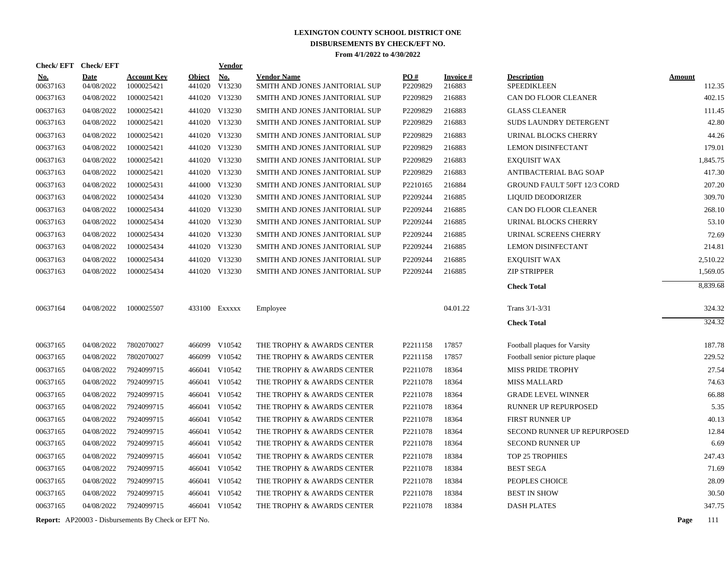|                        | Check/EFT Check/EFT       |                                                            |                         | Vendor               |                                                      |                      |                           |                                          |               |          |
|------------------------|---------------------------|------------------------------------------------------------|-------------------------|----------------------|------------------------------------------------------|----------------------|---------------------------|------------------------------------------|---------------|----------|
| <u>No.</u><br>00637163 | <b>Date</b><br>04/08/2022 | <b>Account Key</b><br>1000025421                           | <b>Object</b><br>441020 | <u>No.</u><br>V13230 | <b>Vendor Name</b><br>SMITH AND JONES JANITORIAL SUP | PO#<br>P2209829      | <b>Invoice#</b><br>216883 | <b>Description</b><br><b>SPEEDIKLEEN</b> | <b>Amount</b> | 112.35   |
| 00637163               | 04/08/2022                | 1000025421                                                 |                         | 441020 V13230        | SMITH AND JONES JANITORIAL SUP                       | P2209829             | 216883                    | CAN DO FLOOR CLEANER                     |               | 402.15   |
| 00637163               | 04/08/2022                | 1000025421                                                 |                         | 441020 V13230        | SMITH AND JONES JANITORIAL SUP                       | P2209829             | 216883                    | <b>GLASS CLEANER</b>                     |               | 111.45   |
| 00637163               | 04/08/2022                | 1000025421                                                 |                         | 441020 V13230        | SMITH AND JONES JANITORIAL SUP                       | P2209829             | 216883                    | SUDS LAUNDRY DETERGENT                   |               | 42.80    |
| 00637163               | 04/08/2022                | 1000025421                                                 |                         | 441020 V13230        | SMITH AND JONES JANITORIAL SUP                       | P2209829             | 216883                    | URINAL BLOCKS CHERRY                     |               | 44.26    |
| 00637163               | 04/08/2022                | 1000025421                                                 |                         | 441020 V13230        | SMITH AND JONES JANITORIAL SUP                       | P2209829             | 216883                    | <b>LEMON DISINFECTANT</b>                |               | 179.01   |
| 00637163               | 04/08/2022                | 1000025421                                                 |                         | 441020 V13230        | SMITH AND JONES JANITORIAL SUP                       | P2209829             | 216883                    | <b>EXOUISIT WAX</b>                      |               | 1,845.75 |
| 00637163               | 04/08/2022                | 1000025421                                                 |                         | 441020 V13230        | SMITH AND JONES JANITORIAL SUP                       | P2209829             | 216883                    | ANTIBACTERIAL BAG SOAP                   |               | 417.30   |
| 00637163               | 04/08/2022                | 1000025431                                                 |                         | 441000 V13230        | SMITH AND JONES JANITORIAL SUP                       | P <sub>2210165</sub> | 216884                    | <b>GROUND FAULT 50FT 12/3 CORD</b>       |               | 207.20   |
| 00637163               | 04/08/2022                | 1000025434                                                 |                         | 441020 V13230        | SMITH AND JONES JANITORIAL SUP                       | P2209244             | 216885                    | LIQUID DEODORIZER                        |               | 309.70   |
| 00637163               | 04/08/2022                | 1000025434                                                 |                         | 441020 V13230        | SMITH AND JONES JANITORIAL SUP                       | P2209244             | 216885                    | CAN DO FLOOR CLEANER                     |               | 268.10   |
| 00637163               | 04/08/2022                | 1000025434                                                 |                         | 441020 V13230        | SMITH AND JONES JANITORIAL SUP                       | P2209244             | 216885                    | URINAL BLOCKS CHERRY                     |               | 53.10    |
| 00637163               | 04/08/2022                | 1000025434                                                 |                         | 441020 V13230        | SMITH AND JONES JANITORIAL SUP                       | P2209244             | 216885                    | URINAL SCREENS CHERRY                    |               | 72.69    |
| 00637163               | 04/08/2022                | 1000025434                                                 |                         | 441020 V13230        | SMITH AND JONES JANITORIAL SUP                       | P2209244             | 216885                    | <b>LEMON DISINFECTANT</b>                |               | 214.81   |
| 00637163               | 04/08/2022                | 1000025434                                                 |                         | 441020 V13230        | SMITH AND JONES JANITORIAL SUP                       | P2209244             | 216885                    | <b>EXQUISIT WAX</b>                      |               | 2,510.22 |
| 00637163               | 04/08/2022                | 1000025434                                                 |                         | 441020 V13230        | SMITH AND JONES JANITORIAL SUP                       | P2209244             | 216885                    | <b>ZIP STRIPPER</b>                      |               | 1,569.05 |
|                        |                           |                                                            |                         |                      |                                                      |                      |                           | <b>Check Total</b>                       |               | 8.839.68 |
| 00637164               | 04/08/2022                | 1000025507                                                 |                         | 433100 Exxxxx        | Employee                                             |                      | 04.01.22                  | Trans 3/1-3/31                           |               | 324.32   |
|                        |                           |                                                            |                         |                      |                                                      |                      |                           | <b>Check Total</b>                       |               | 324.32   |
| 00637165               | 04/08/2022                | 7802070027                                                 |                         | 466099 V10542        | THE TROPHY & AWARDS CENTER                           | P2211158             | 17857                     | Football plaques for Varsity             |               | 187.78   |
| 00637165               | 04/08/2022                | 7802070027                                                 |                         | 466099 V10542        | THE TROPHY & AWARDS CENTER                           | P2211158             | 17857                     | Football senior picture plaque           |               | 229.52   |
| 00637165               | 04/08/2022                | 7924099715                                                 |                         | 466041 V10542        | THE TROPHY & AWARDS CENTER                           | P2211078             | 18364                     | <b>MISS PRIDE TROPHY</b>                 |               | 27.54    |
| 00637165               | 04/08/2022                | 7924099715                                                 |                         | 466041 V10542        | THE TROPHY & AWARDS CENTER                           | P2211078             | 18364                     | <b>MISS MALLARD</b>                      |               | 74.63    |
| 00637165               | 04/08/2022                | 7924099715                                                 |                         | 466041 V10542        | THE TROPHY & AWARDS CENTER                           | P2211078             | 18364                     | <b>GRADE LEVEL WINNER</b>                |               | 66.88    |
| 00637165               | 04/08/2022                | 7924099715                                                 |                         | 466041 V10542        | THE TROPHY & AWARDS CENTER                           | P2211078             | 18364                     | RUNNER UP REPURPOSED                     |               | 5.35     |
| 00637165               | 04/08/2022                | 7924099715                                                 |                         | 466041 V10542        | THE TROPHY & AWARDS CENTER                           | P2211078             | 18364                     | FIRST RUNNER UP                          |               | 40.13    |
| 00637165               | 04/08/2022                | 7924099715                                                 |                         | 466041 V10542        | THE TROPHY & AWARDS CENTER                           | P2211078             | 18364                     | SECOND RUNNER UP REPURPOSED              |               | 12.84    |
| 00637165               | 04/08/2022                | 7924099715                                                 |                         | 466041 V10542        | THE TROPHY & AWARDS CENTER                           | P2211078             | 18364                     | <b>SECOND RUNNER UP</b>                  |               | 6.69     |
| 00637165               | 04/08/2022                | 7924099715                                                 |                         | 466041 V10542        | THE TROPHY & AWARDS CENTER                           | P2211078             | 18384                     | TOP 25 TROPHIES                          |               | 247.43   |
| 00637165               | 04/08/2022                | 7924099715                                                 |                         | 466041 V10542        | THE TROPHY & AWARDS CENTER                           | P2211078             | 18384                     | <b>BEST SEGA</b>                         |               | 71.69    |
| 00637165               | 04/08/2022                | 7924099715                                                 |                         | 466041 V10542        | THE TROPHY & AWARDS CENTER                           | P2211078             | 18384                     | PEOPLES CHOICE                           |               | 28.09    |
| 00637165               | 04/08/2022                | 7924099715                                                 |                         | 466041 V10542        | THE TROPHY & AWARDS CENTER                           | P2211078             | 18384                     | <b>BEST IN SHOW</b>                      |               | 30.50    |
| 00637165               | 04/08/2022                | 7924099715                                                 |                         | 466041 V10542        | THE TROPHY & AWARDS CENTER                           | P2211078             | 18384                     | <b>DASH PLATES</b>                       |               | 347.75   |
|                        |                           | <b>Report:</b> AP20003 - Disbursements By Check or EFT No. |                         |                      |                                                      |                      |                           |                                          | Page          | 111      |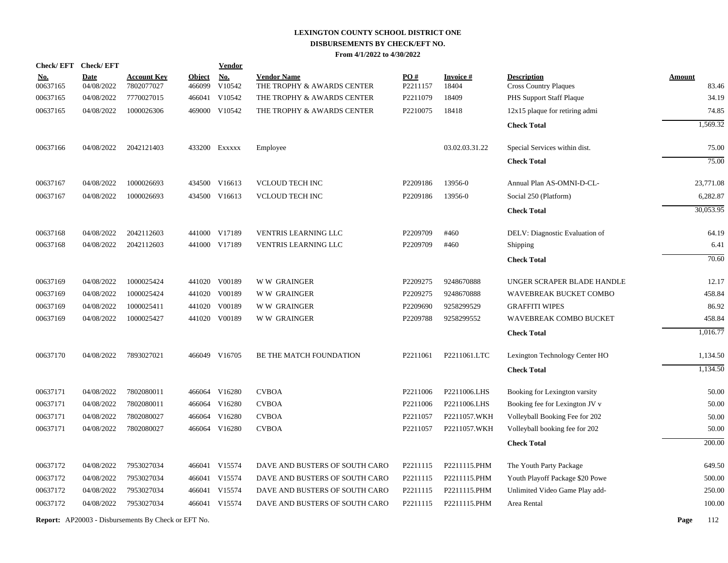| <b>Check/EFT</b> | <b>Check/EFT</b> |                                                            |               | <u>Vendor</u> |                                |          |                 |                                  |               |           |
|------------------|------------------|------------------------------------------------------------|---------------|---------------|--------------------------------|----------|-----------------|----------------------------------|---------------|-----------|
| <u>No.</u>       | <b>Date</b>      | <b>Account Key</b>                                         | <b>Object</b> | <b>No.</b>    | <b>Vendor Name</b>             | PO#      | <b>Invoice#</b> | <b>Description</b>               | <b>Amount</b> |           |
| 00637165         | 04/08/2022       | 7802077027                                                 | 466099        | V10542        | THE TROPHY & AWARDS CENTER     | P2211157 | 18404           | <b>Cross Country Plaques</b>     |               | 83.46     |
| 00637165         | 04/08/2022       | 7770027015                                                 | 466041        | V10542        | THE TROPHY & AWARDS CENTER     | P2211079 | 18409           | PHS Support Staff Plaque         |               | 34.19     |
| 00637165         | 04/08/2022       | 1000026306                                                 |               | 469000 V10542 | THE TROPHY & AWARDS CENTER     | P2210075 | 18418           | $12x15$ plaque for retiring admi |               | 74.85     |
|                  |                  |                                                            |               |               |                                |          |                 | <b>Check Total</b>               |               | 1,569.32  |
| 00637166         | 04/08/2022       | 2042121403                                                 |               | 433200 EXXXXX | Employee                       |          | 03.02.03.31.22  | Special Services within dist.    |               | 75.00     |
|                  |                  |                                                            |               |               |                                |          |                 | <b>Check Total</b>               |               | 75.00     |
| 00637167         | 04/08/2022       | 1000026693                                                 |               | 434500 V16613 | <b>VCLOUD TECH INC</b>         | P2209186 | 13956-0         | Annual Plan AS-OMNI-D-CL-        |               | 23,771.08 |
| 00637167         | 04/08/2022       | 1000026693                                                 |               | 434500 V16613 | <b>VCLOUD TECH INC</b>         | P2209186 | 13956-0         | Social 250 (Platform)            |               | 6,282.87  |
|                  |                  |                                                            |               |               |                                |          |                 | <b>Check Total</b>               |               | 30,053.95 |
| 00637168         | 04/08/2022       | 2042112603                                                 |               | 441000 V17189 | <b>VENTRIS LEARNING LLC</b>    | P2209709 | #460            | DELV: Diagnostic Evaluation of   |               | 64.19     |
| 00637168         | 04/08/2022       | 2042112603                                                 |               | 441000 V17189 | <b>VENTRIS LEARNING LLC</b>    | P2209709 | #460            | <b>Shipping</b>                  |               | 6.41      |
|                  |                  |                                                            |               |               |                                |          |                 | <b>Check Total</b>               |               | 70.60     |
| 00637169         | 04/08/2022       | 1000025424                                                 |               | 441020 V00189 | <b>WW GRAINGER</b>             | P2209275 | 9248670888      | UNGER SCRAPER BLADE HANDLE       |               | 12.17     |
| 00637169         | 04/08/2022       | 1000025424                                                 |               | 441020 V00189 | <b>WW GRAINGER</b>             | P2209275 | 9248670888      | WAVEBREAK BUCKET COMBO           |               | 458.84    |
| 00637169         | 04/08/2022       | 1000025411                                                 |               | 441020 V00189 | <b>WW GRAINGER</b>             | P2209690 | 9258299529      | <b>GRAFFITI WIPES</b>            |               | 86.92     |
| 00637169         | 04/08/2022       | 1000025427                                                 |               | 441020 V00189 | <b>WW GRAINGER</b>             | P2209788 | 9258299552      | WAVEBREAK COMBO BUCKET           |               | 458.84    |
|                  |                  |                                                            |               |               |                                |          |                 | <b>Check Total</b>               |               | 1,016.77  |
| 00637170         | 04/08/2022       | 7893027021                                                 |               | 466049 V16705 | BE THE MATCH FOUNDATION        | P2211061 | P2211061.LTC    | Lexington Technology Center HO   |               | 1,134.50  |
|                  |                  |                                                            |               |               |                                |          |                 | <b>Check Total</b>               |               | 1,134.50  |
| 00637171         | 04/08/2022       | 7802080011                                                 |               | 466064 V16280 | <b>CVBOA</b>                   | P2211006 | P2211006.LHS    | Booking for Lexington varsity    |               | 50.00     |
| 00637171         | 04/08/2022       | 7802080011                                                 |               | 466064 V16280 | <b>CVBOA</b>                   | P2211006 | P2211006.LHS    | Booking fee for Lexington JV v   |               | 50.00     |
| 00637171         | 04/08/2022       | 7802080027                                                 |               | 466064 V16280 | <b>CVBOA</b>                   | P2211057 | P2211057.WKH    | Volleyball Booking Fee for 202   |               | 50.00     |
| 00637171         | 04/08/2022       | 7802080027                                                 |               | 466064 V16280 | <b>CVBOA</b>                   | P2211057 | P2211057.WKH    | Volleyball booking fee for 202   |               | 50.00     |
|                  |                  |                                                            |               |               |                                |          |                 | <b>Check Total</b>               |               | 200.00    |
| 00637172         | 04/08/2022       | 7953027034                                                 |               | 466041 V15574 | DAVE AND BUSTERS OF SOUTH CARO | P2211115 | P2211115.PHM    | The Youth Party Package          |               | 649.50    |
| 00637172         | 04/08/2022       | 7953027034                                                 |               | 466041 V15574 | DAVE AND BUSTERS OF SOUTH CARO | P2211115 | P2211115.PHM    | Youth Playoff Package \$20 Powe  |               | 500.00    |
| 00637172         | 04/08/2022       | 7953027034                                                 |               | 466041 V15574 | DAVE AND BUSTERS OF SOUTH CARO | P2211115 | P2211115.PHM    | Unlimited Video Game Play add-   |               | 250.00    |
| 00637172         | 04/08/2022       | 7953027034                                                 |               | 466041 V15574 | DAVE AND BUSTERS OF SOUTH CARO | P2211115 | P2211115.PHM    | Area Rental                      |               | 100.00    |
|                  |                  | <b>Report:</b> AP20003 - Disbursements By Check or EFT No. |               |               |                                |          |                 |                                  | Page          | 112       |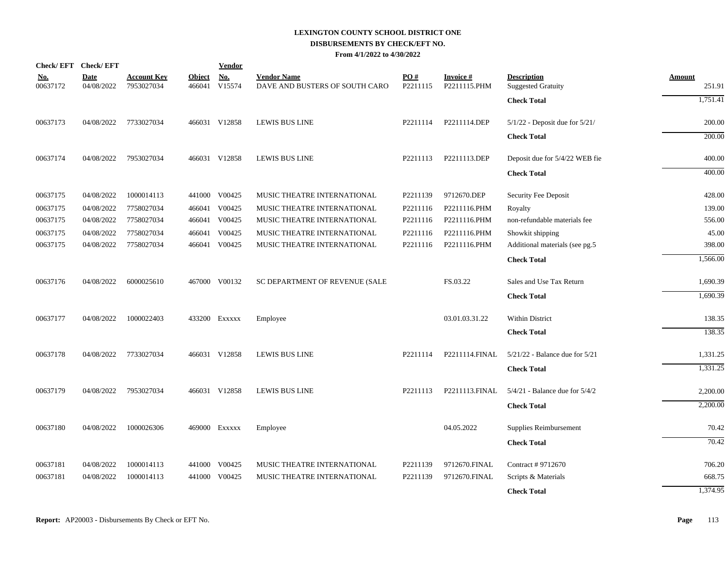# **LEXINGTON COUNTY SCHOOL DISTRICT ONE DISBURSEMENTS BY CHECK/EFT NO.**

|  |  | From 4/1/2022 to 4/30/2022 |
|--|--|----------------------------|
|--|--|----------------------------|

| Check/EFT Check/EFT    |                           |                                  |                         | <b>Vendor</b>        |                                                      |                 |                                 |                                                 |                         |
|------------------------|---------------------------|----------------------------------|-------------------------|----------------------|------------------------------------------------------|-----------------|---------------------------------|-------------------------------------------------|-------------------------|
| <u>No.</u><br>00637172 | <b>Date</b><br>04/08/2022 | <b>Account Key</b><br>7953027034 | <b>Object</b><br>466041 | <b>No.</b><br>V15574 | <b>Vendor Name</b><br>DAVE AND BUSTERS OF SOUTH CARO | PO#<br>P2211115 | <b>Invoice#</b><br>P2211115.PHM | <b>Description</b><br><b>Suggested Gratuity</b> | <b>Amount</b><br>251.91 |
|                        |                           |                                  |                         |                      |                                                      |                 |                                 | <b>Check Total</b>                              | 1,751.41                |
| 00637173               | 04/08/2022                | 7733027034                       |                         | 466031 V12858        | <b>LEWIS BUS LINE</b>                                | P2211114        | P2211114.DEP                    | $5/1/22$ - Deposit due for $5/21/$              | 200.00                  |
|                        |                           |                                  |                         |                      |                                                      |                 |                                 | <b>Check Total</b>                              | 200.00                  |
| 00637174               | 04/08/2022                | 7953027034                       |                         | 466031 V12858        | <b>LEWIS BUS LINE</b>                                | P2211113        | P2211113.DEP                    | Deposit due for 5/4/22 WEB fie                  | 400.00                  |
|                        |                           |                                  |                         |                      |                                                      |                 |                                 | <b>Check Total</b>                              | 400.00                  |
| 00637175               | 04/08/2022                | 1000014113                       | 441000                  | V00425               | MUSIC THEATRE INTERNATIONAL                          | P2211139        | 9712670.DEP                     | Security Fee Deposit                            | 428.00                  |
| 00637175               | 04/08/2022                | 7758027034                       |                         | 466041 V00425        | MUSIC THEATRE INTERNATIONAL                          | P2211116        | P2211116.PHM                    | Royalty                                         | 139.00                  |
| 00637175               | 04/08/2022                | 7758027034                       |                         | 466041 V00425        | MUSIC THEATRE INTERNATIONAL                          | P2211116        | P2211116.PHM                    | non-refundable materials fee                    | 556.00                  |
| 00637175               | 04/08/2022                | 7758027034                       |                         | 466041 V00425        | MUSIC THEATRE INTERNATIONAL                          | P2211116        | P2211116.PHM                    | Showkit shipping                                | 45.00                   |
| 00637175               | 04/08/2022                | 7758027034                       |                         | 466041 V00425        | MUSIC THEATRE INTERNATIONAL                          | P2211116        | P2211116.PHM                    | Additional materials (see pg.5                  | 398.00                  |
|                        |                           |                                  |                         |                      |                                                      |                 |                                 | <b>Check Total</b>                              | 1,566.00                |
| 00637176               | 04/08/2022                | 6000025610                       |                         | 467000 V00132        | SC DEPARTMENT OF REVENUE (SALE                       |                 | FS.03.22                        | Sales and Use Tax Return                        | 1,690.39                |
|                        |                           |                                  |                         |                      |                                                      |                 |                                 | <b>Check Total</b>                              | 1,690.39                |
| 00637177               | 04/08/2022                | 1000022403                       |                         | 433200 EXXXXX        | Employee                                             |                 | 03.01.03.31.22                  | Within District                                 | 138.35                  |
|                        |                           |                                  |                         |                      |                                                      |                 |                                 | <b>Check Total</b>                              | 138.35                  |
| 00637178               | 04/08/2022                | 7733027034                       |                         | 466031 V12858        | <b>LEWIS BUS LINE</b>                                | P2211114        | P2211114.FINAL                  | $5/21/22$ - Balance due for $5/21$              | 1,331.25                |
|                        |                           |                                  |                         |                      |                                                      |                 |                                 | <b>Check Total</b>                              | 1,331.25                |
| 00637179               | 04/08/2022                | 7953027034                       |                         | 466031 V12858        | LEWIS BUS LINE                                       | P2211113        | P2211113.FINAL                  | $5/4/21$ - Balance due for $5/4/2$              | 2,200.00                |
|                        |                           |                                  |                         |                      |                                                      |                 |                                 | <b>Check Total</b>                              | 2,200.00                |
| 00637180               | 04/08/2022                | 1000026306                       |                         | 469000 Exxxxx        | Employee                                             |                 | 04.05.2022                      | Supplies Reimbursement                          | 70.42                   |
|                        |                           |                                  |                         |                      |                                                      |                 |                                 | <b>Check Total</b>                              | 70.42                   |
| 00637181               | 04/08/2022                | 1000014113                       |                         | 441000 V00425        | MUSIC THEATRE INTERNATIONAL                          | P2211139        | 9712670.FINAL                   | Contract #9712670                               | 706.20                  |
| 00637181               | 04/08/2022                | 1000014113                       | 441000                  | V00425               | MUSIC THEATRE INTERNATIONAL                          | P2211139        | 9712670.FINAL                   | Scripts & Materials                             | 668.75                  |
|                        |                           |                                  |                         |                      |                                                      |                 |                                 | <b>Check Total</b>                              | 1,374.95                |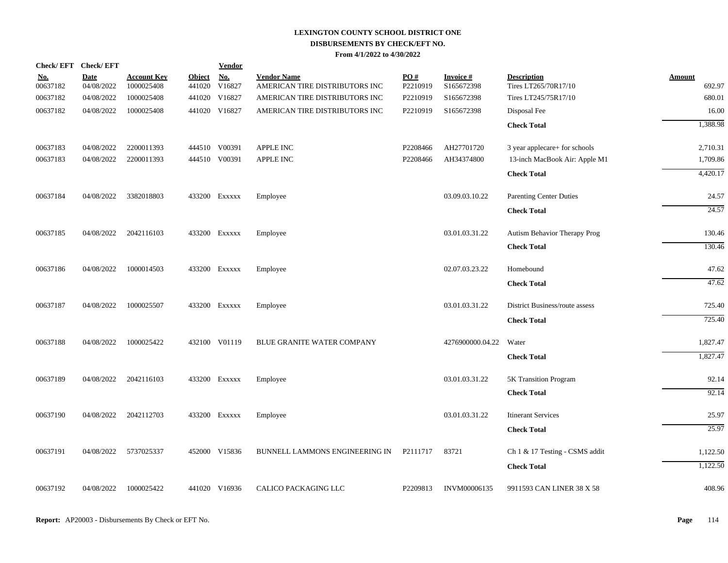| Check/EFT Check/EFT    |                           |                                  |               | <u>Vendor</u>                  |                                                      |                      |                               |                                                     |                      |
|------------------------|---------------------------|----------------------------------|---------------|--------------------------------|------------------------------------------------------|----------------------|-------------------------------|-----------------------------------------------------|----------------------|
| <u>No.</u><br>00637182 | <b>Date</b><br>04/08/2022 | <b>Account Key</b><br>1000025408 | <b>Object</b> | <b>No.</b><br>441020 V16827    | <b>Vendor Name</b><br>AMERICAN TIRE DISTRIBUTORS INC | PO#<br>P2210919      | <b>Invoice#</b><br>S165672398 | <b>Description</b><br>Tires LT265/70R17/10          | Amount<br>692.97     |
| 00637182               | 04/08/2022                | 1000025408                       |               | 441020 V16827                  | AMERICAN TIRE DISTRIBUTORS INC                       | P2210919             | S165672398                    | Tires LT245/75R17/10                                | 680.01               |
| 00637182               | 04/08/2022                | 1000025408                       |               | 441020 V16827                  | AMERICAN TIRE DISTRIBUTORS INC                       | P2210919             | S165672398                    | Disposal Fee                                        | 16.00                |
|                        |                           |                                  |               |                                |                                                      |                      |                               | <b>Check Total</b>                                  | 1,388.98             |
|                        |                           |                                  |               |                                |                                                      |                      |                               |                                                     |                      |
| 00637183               | 04/08/2022<br>04/08/2022  | 2200011393<br>2200011393         |               | 444510 V00391<br>444510 V00391 | <b>APPLE INC</b><br>APPLE INC                        | P2208466<br>P2208466 | AH27701720<br>AH34374800      | 3 year applecare+ for schools                       | 2,710.31<br>1,709.86 |
| 00637183               |                           |                                  |               |                                |                                                      |                      |                               | 13-inch MacBook Air: Apple M1<br><b>Check Total</b> | 4,420.17             |
|                        |                           |                                  |               |                                |                                                      |                      |                               |                                                     |                      |
| 00637184               | 04/08/2022                | 3382018803                       |               | 433200 Exxxxx                  | Employee                                             |                      | 03.09.03.10.22                | <b>Parenting Center Duties</b>                      | 24.57                |
|                        |                           |                                  |               |                                |                                                      |                      |                               | <b>Check Total</b>                                  | 24.57                |
| 00637185               | 04/08/2022                | 2042116103                       |               | 433200 Exxxxx                  | Employee                                             |                      | 03.01.03.31.22                | Autism Behavior Therapy Prog                        | 130.46               |
|                        |                           |                                  |               |                                |                                                      |                      |                               | <b>Check Total</b>                                  | 130.46               |
| 00637186               | 04/08/2022                | 1000014503                       |               | 433200 Exxxxx                  | Employee                                             |                      | 02.07.03.23.22                | Homebound                                           | 47.62                |
|                        |                           |                                  |               |                                |                                                      |                      |                               | <b>Check Total</b>                                  | 47.62                |
| 00637187               | 04/08/2022                | 1000025507                       |               | 433200 Exxxxx                  | Employee                                             |                      | 03.01.03.31.22                | District Business/route assess                      | 725.40               |
|                        |                           |                                  |               |                                |                                                      |                      |                               | <b>Check Total</b>                                  | 725.40               |
|                        |                           |                                  |               |                                |                                                      |                      |                               |                                                     |                      |
| 00637188               | 04/08/2022                | 1000025422                       |               | 432100 V01119                  | BLUE GRANITE WATER COMPANY                           |                      | 4276900000.04.22              | Water                                               | 1,827.47             |
|                        |                           |                                  |               |                                |                                                      |                      |                               | <b>Check Total</b>                                  | 1,827.47             |
| 00637189               | 04/08/2022                | 2042116103                       |               | 433200 Exxxxx                  | Employee                                             |                      | 03.01.03.31.22                | 5K Transition Program                               | 92.14                |
|                        |                           |                                  |               |                                |                                                      |                      |                               | <b>Check Total</b>                                  | 92.14                |
| 00637190               | 04/08/2022                | 2042112703                       |               | 433200 Exxxxx                  | Employee                                             |                      | 03.01.03.31.22                | <b>Itinerant Services</b>                           | 25.97                |
|                        |                           |                                  |               |                                |                                                      |                      |                               | <b>Check Total</b>                                  | 25.97                |
| 00637191               | 04/08/2022                | 5737025337                       |               | 452000 V15836                  | BUNNELL LAMMONS ENGINEERING IN                       | P2111717             | 83721                         | Ch 1 & 17 Testing - CSMS addit                      | 1,122.50             |
|                        |                           |                                  |               |                                |                                                      |                      |                               | <b>Check Total</b>                                  | 1,122.50             |
|                        |                           |                                  |               |                                |                                                      |                      |                               |                                                     |                      |
| 00637192               | 04/08/2022                | 1000025422                       |               | 441020 V16936                  | CALICO PACKAGING LLC                                 | P2209813             | <b>INVM00006135</b>           | 9911593 CAN LINER 38 X 58                           | 408.96               |
|                        |                           |                                  |               |                                |                                                      |                      |                               |                                                     |                      |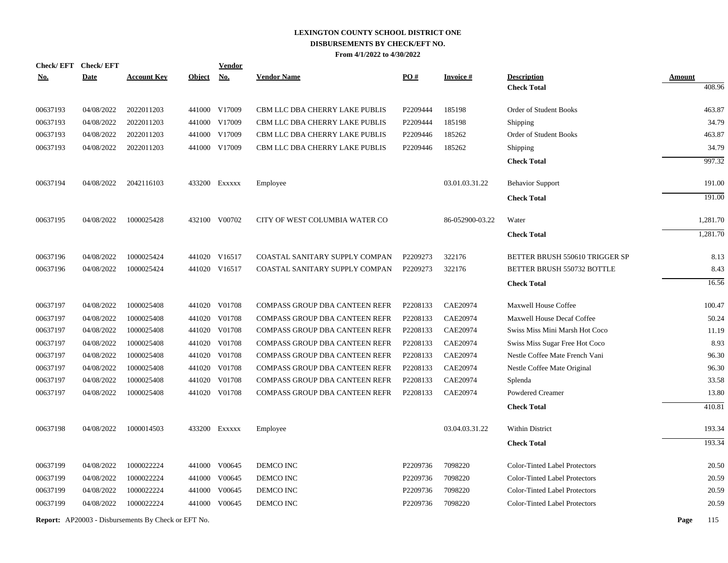|            | <b>Check/EFT</b> | <b>Check/EFT</b> |                                                            |               | <u>Vendor</u> |                                |          |                 |                                      |               |          |
|------------|------------------|------------------|------------------------------------------------------------|---------------|---------------|--------------------------------|----------|-----------------|--------------------------------------|---------------|----------|
| <u>No.</u> |                  | <b>Date</b>      | <b>Account Key</b>                                         | <b>Object</b> | No.           | <b>Vendor Name</b>             | PO#      | <b>Invoice#</b> | <b>Description</b>                   | <b>Amount</b> |          |
|            |                  |                  |                                                            |               |               |                                |          |                 | <b>Check Total</b>                   |               | 408.96   |
|            | 00637193         | 04/08/2022       | 2022011203                                                 |               | 441000 V17009 | CBM LLC DBA CHERRY LAKE PUBLIS | P2209444 | 185198          | Order of Student Books               |               | 463.87   |
|            | 00637193         | 04/08/2022       | 2022011203                                                 |               | 441000 V17009 | CBM LLC DBA CHERRY LAKE PUBLIS | P2209444 | 185198          | Shipping                             |               | 34.79    |
|            | 00637193         | 04/08/2022       | 2022011203                                                 |               | 441000 V17009 | CBM LLC DBA CHERRY LAKE PUBLIS | P2209446 | 185262          | Order of Student Books               |               | 463.87   |
|            | 00637193         | 04/08/2022       | 2022011203                                                 |               | 441000 V17009 | CBM LLC DBA CHERRY LAKE PUBLIS | P2209446 | 185262          | Shipping                             |               | 34.79    |
|            |                  |                  |                                                            |               |               |                                |          |                 | <b>Check Total</b>                   |               | 997.32   |
|            | 00637194         | 04/08/2022       | 2042116103                                                 |               | 433200 Exxxxx | Employee                       |          | 03.01.03.31.22  | <b>Behavior Support</b>              |               | 191.00   |
|            |                  |                  |                                                            |               |               |                                |          |                 | <b>Check Total</b>                   |               | 191.00   |
|            | 00637195         | 04/08/2022       | 1000025428                                                 |               | 432100 V00702 | CITY OF WEST COLUMBIA WATER CO |          | 86-052900-03.22 | Water                                |               | 1,281.70 |
|            |                  |                  |                                                            |               |               |                                |          |                 | <b>Check Total</b>                   |               | 1,281.70 |
|            | 00637196         | 04/08/2022       | 1000025424                                                 |               | 441020 V16517 | COASTAL SANITARY SUPPLY COMPAN | P2209273 | 322176          | BETTER BRUSH 550610 TRIGGER SP       |               | 8.13     |
|            | 00637196         | 04/08/2022       | 1000025424                                                 |               | 441020 V16517 | COASTAL SANITARY SUPPLY COMPAN | P2209273 | 322176          | BETTER BRUSH 550732 BOTTLE           |               | 8.43     |
|            |                  |                  |                                                            |               |               |                                |          |                 | <b>Check Total</b>                   |               | 16.56    |
|            | 00637197         | 04/08/2022       | 1000025408                                                 |               | 441020 V01708 | COMPASS GROUP DBA CANTEEN REFR | P2208133 | CAE20974        | <b>Maxwell House Coffee</b>          |               | 100.47   |
|            | 00637197         | 04/08/2022       | 1000025408                                                 |               | 441020 V01708 | COMPASS GROUP DBA CANTEEN REFR | P2208133 | <b>CAE20974</b> | <b>Maxwell House Decaf Coffee</b>    |               | 50.24    |
|            | 00637197         | 04/08/2022       | 1000025408                                                 |               | 441020 V01708 | COMPASS GROUP DBA CANTEEN REFR | P2208133 | <b>CAE20974</b> | Swiss Miss Mini Marsh Hot Coco       |               | 11.19    |
|            | 00637197         | 04/08/2022       | 1000025408                                                 |               | 441020 V01708 | COMPASS GROUP DBA CANTEEN REFR | P2208133 | <b>CAE20974</b> | Swiss Miss Sugar Free Hot Coco       |               | 8.93     |
|            | 00637197         | 04/08/2022       | 1000025408                                                 |               | 441020 V01708 | COMPASS GROUP DBA CANTEEN REFR | P2208133 | <b>CAE20974</b> | Nestle Coffee Mate French Vani       |               | 96.30    |
|            | 00637197         | 04/08/2022       | 1000025408                                                 |               | 441020 V01708 | COMPASS GROUP DBA CANTEEN REFR | P2208133 | <b>CAE20974</b> | Nestle Coffee Mate Original          |               | 96.30    |
|            | 00637197         | 04/08/2022       | 1000025408                                                 |               | 441020 V01708 | COMPASS GROUP DBA CANTEEN REFR | P2208133 | <b>CAE20974</b> | Splenda                              |               | 33.58    |
|            | 00637197         | 04/08/2022       | 1000025408                                                 |               | 441020 V01708 | COMPASS GROUP DBA CANTEEN REFR | P2208133 | CAE20974        | Powdered Creamer                     |               | 13.80    |
|            |                  |                  |                                                            |               |               |                                |          |                 | <b>Check Total</b>                   |               | 410.81   |
|            | 00637198         | 04/08/2022       | 1000014503                                                 |               | 433200 Exxxxx | Employee                       |          | 03.04.03.31.22  | Within District                      |               | 193.34   |
|            |                  |                  |                                                            |               |               |                                |          |                 | <b>Check Total</b>                   |               | 193.34   |
|            | 00637199         | 04/08/2022       | 1000022224                                                 |               | 441000 V00645 | DEMCO INC                      | P2209736 | 7098220         | <b>Color-Tinted Label Protectors</b> |               | 20.50    |
|            | 00637199         | 04/08/2022       | 1000022224                                                 |               | 441000 V00645 | DEMCO INC                      | P2209736 | 7098220         | <b>Color-Tinted Label Protectors</b> |               | 20.59    |
|            | 00637199         | 04/08/2022       | 1000022224                                                 |               | 441000 V00645 | DEMCO INC                      | P2209736 | 7098220         | Color-Tinted Label Protectors        |               | 20.59    |
|            | 00637199         | 04/08/2022       | 1000022224                                                 |               | 441000 V00645 | DEMCO INC                      | P2209736 | 7098220         | <b>Color-Tinted Label Protectors</b> |               | 20.59    |
|            |                  |                  | <b>Report:</b> AP20003 - Disbursements By Check or EFT No. |               |               |                                |          |                 |                                      | Page          | 115      |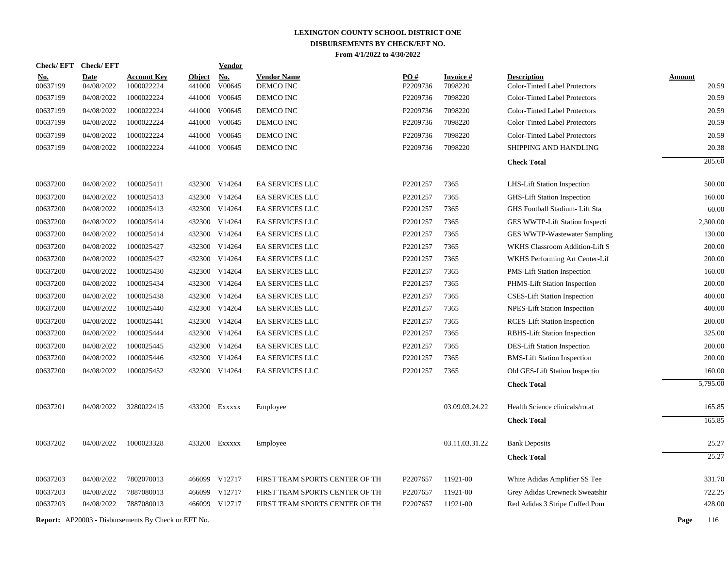| <b>Check/EFT</b>     | <b>Check/EFT</b>         |                                                            |               | Vendor        |                                |                      |                    |                                                                       |                |
|----------------------|--------------------------|------------------------------------------------------------|---------------|---------------|--------------------------------|----------------------|--------------------|-----------------------------------------------------------------------|----------------|
| <u>No.</u>           | <b>Date</b>              | <b>Account Key</b>                                         | <b>Object</b> | No.           | <b>Vendor Name</b>             | PO#                  | <b>Invoice#</b>    | <b>Description</b>                                                    | <b>Amount</b>  |
| 00637199<br>00637199 | 04/08/2022<br>04/08/2022 | 1000022224<br>1000022224                                   | 441000        | V00645        | DEMCO INC                      | P2209736<br>P2209736 | 7098220<br>7098220 | Color-Tinted Label Protectors<br><b>Color-Tinted Label Protectors</b> | 20.59<br>20.59 |
|                      |                          |                                                            | 441000        | V00645        | DEMCO INC                      |                      |                    |                                                                       |                |
| 00637199             | 04/08/2022               | 1000022224                                                 | 441000        | V00645        | DEMCO INC                      | P2209736             | 7098220            | <b>Color-Tinted Label Protectors</b>                                  | 20.59<br>20.59 |
| 00637199             | 04/08/2022               | 1000022224                                                 | 441000        | V00645        | DEMCO INC                      | P2209736             | 7098220            | Color-Tinted Label Protectors                                         |                |
| 00637199             | 04/08/2022               | 1000022224                                                 | 441000        | V00645        | DEMCO INC                      | P2209736             | 7098220            | <b>Color-Tinted Label Protectors</b>                                  | 20.59          |
| 00637199             | 04/08/2022               | 1000022224                                                 |               | 441000 V00645 | DEMCO INC                      | P2209736             | 7098220            | SHIPPING AND HANDLING                                                 | 20.38          |
|                      |                          |                                                            |               |               |                                |                      |                    | <b>Check Total</b>                                                    | 205.60         |
| 00637200             | 04/08/2022               | 1000025411                                                 |               | 432300 V14264 | <b>EA SERVICES LLC</b>         | P2201257             | 7365               | <b>LHS-Lift Station Inspection</b>                                    | 500.00         |
| 00637200             | 04/08/2022               | 1000025413                                                 |               | 432300 V14264 | <b>EA SERVICES LLC</b>         | P2201257             | 7365               | <b>GHS-Lift Station Inspection</b>                                    | 160.00         |
| 00637200             | 04/08/2022               | 1000025413                                                 |               | 432300 V14264 | EA SERVICES LLC                | P2201257             | 7365               | GHS Football Stadium- Lift Sta                                        | 60.00          |
| 00637200             | 04/08/2022               | 1000025414                                                 |               | 432300 V14264 | <b>EA SERVICES LLC</b>         | P2201257             | 7365               | GES WWTP-Lift Station Inspecti                                        | 2,300.00       |
| 00637200             | 04/08/2022               | 1000025414                                                 |               | 432300 V14264 | EA SERVICES LLC                | P2201257             | 7365               | GES WWTP-Wastewater Sampling                                          | 130.00         |
| 00637200             | 04/08/2022               | 1000025427                                                 |               | 432300 V14264 | <b>EA SERVICES LLC</b>         | P2201257             | 7365               | WKHS Classroom Addition-Lift S                                        | 200.00         |
| 00637200             | 04/08/2022               | 1000025427                                                 |               | 432300 V14264 | EA SERVICES LLC                | P2201257             | 7365               | WKHS Performing Art Center-Lif                                        | 200.00         |
| 00637200             | 04/08/2022               | 1000025430                                                 |               | 432300 V14264 | <b>EA SERVICES LLC</b>         | P2201257             | 7365               | <b>PMS-Lift Station Inspection</b>                                    | 160.00         |
| 00637200             | 04/08/2022               | 1000025434                                                 |               | 432300 V14264 | EA SERVICES LLC                | P2201257             | 7365               | PHMS-Lift Station Inspection                                          | 200.00         |
| 00637200             | 04/08/2022               | 1000025438                                                 | 432300        | V14264        | EA SERVICES LLC                | P2201257             | 7365               | <b>CSES-Lift Station Inspection</b>                                   | 400.00         |
| 00637200             | 04/08/2022               | 1000025440                                                 |               | 432300 V14264 | EA SERVICES LLC                | P2201257             | 7365               | NPES-Lift Station Inspection                                          | 400.00         |
| 00637200             | 04/08/2022               | 1000025441                                                 | 432300        | V14264        | <b>EA SERVICES LLC</b>         | P2201257             | 7365               | <b>RCES-Lift Station Inspection</b>                                   | 200.00         |
| 00637200             | 04/08/2022               | 1000025444                                                 |               | 432300 V14264 | EA SERVICES LLC                | P2201257             | 7365               | RBHS-Lift Station Inspection                                          | 325.00         |
| 00637200             | 04/08/2022               | 1000025445                                                 |               | 432300 V14264 | EA SERVICES LLC                | P2201257             | 7365               | DES-Lift Station Inspection                                           | 200.00         |
| 00637200             | 04/08/2022               | 1000025446                                                 | 432300        | V14264        | EA SERVICES LLC                | P2201257             | 7365               | <b>BMS-Lift Station Inspection</b>                                    | 200.00         |
| 00637200             | 04/08/2022               | 1000025452                                                 |               | 432300 V14264 | <b>EA SERVICES LLC</b>         | P2201257             | 7365               | Old GES-Lift Station Inspectio                                        | 160.00         |
|                      |                          |                                                            |               |               |                                |                      |                    | <b>Check Total</b>                                                    | 5,795.00       |
| 00637201             | 04/08/2022               | 3280022415                                                 |               | 433200 EXXXXX | Employee                       |                      | 03.09.03.24.22     | Health Science clinicals/rotat                                        | 165.85         |
|                      |                          |                                                            |               |               |                                |                      |                    | <b>Check Total</b>                                                    | 165.85         |
| 00637202             | 04/08/2022               | 1000023328                                                 |               | 433200 EXXXXX | Employee                       |                      | 03.11.03.31.22     | <b>Bank Deposits</b>                                                  | 25.27          |
|                      |                          |                                                            |               |               |                                |                      |                    |                                                                       | 25.27          |
|                      |                          |                                                            |               |               |                                |                      |                    | <b>Check Total</b>                                                    |                |
| 00637203             | 04/08/2022               | 7802070013                                                 |               | 466099 V12717 | FIRST TEAM SPORTS CENTER OF TH | P2207657             | 11921-00           | White Adidas Amplifier SS Tee                                         | 331.70         |
| 00637203             | 04/08/2022               | 7887080013                                                 |               | 466099 V12717 | FIRST TEAM SPORTS CENTER OF TH | P2207657             | 11921-00           | Grey Adidas Crewneck Sweatshir                                        | 722.25         |
| 00637203             | 04/08/2022               | 7887080013                                                 |               | 466099 V12717 | FIRST TEAM SPORTS CENTER OF TH | P2207657             | 11921-00           | Red Adidas 3 Stripe Cuffed Pom                                        | 428.00         |
|                      |                          | <b>Report:</b> AP20003 - Disbursements By Check or EFT No. |               |               |                                |                      |                    |                                                                       | Page<br>116    |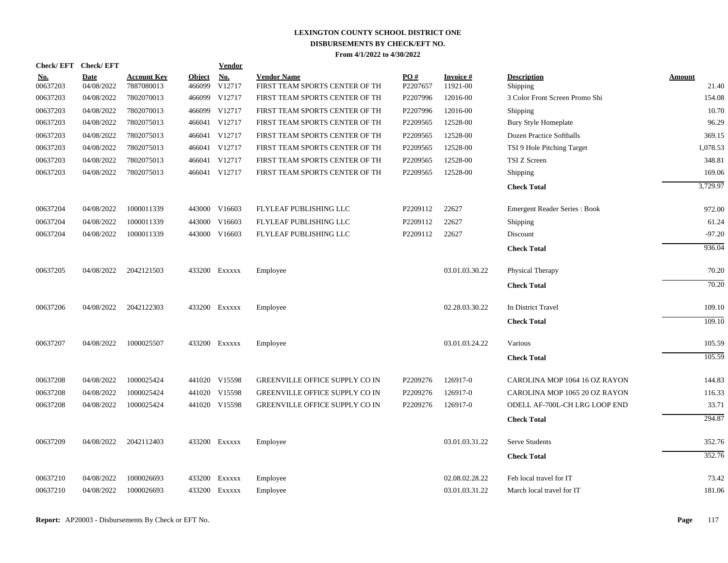| Check/EFT Check/EFT    |                           |                                  |                         | Vendor        |                                                      |                 |                             |                                     |                 |
|------------------------|---------------------------|----------------------------------|-------------------------|---------------|------------------------------------------------------|-----------------|-----------------------------|-------------------------------------|-----------------|
| <u>No.</u><br>00637203 | <b>Date</b><br>04/08/2022 | <b>Account Key</b><br>7887080013 | <b>Object</b><br>466099 | No.<br>V12717 | <b>Vendor Name</b><br>FIRST TEAM SPORTS CENTER OF TH | PO#<br>P2207657 | <b>Invoice#</b><br>11921-00 | <b>Description</b><br>Shipping      | Amount<br>21.40 |
| 00637203               | 04/08/2022                | 7802070013                       |                         | 466099 V12717 | FIRST TEAM SPORTS CENTER OF TH                       | P2207996        | 12016-00                    | 3 Color Front Screen Promo Shi      | 154.08          |
| 00637203               | 04/08/2022                | 7802070013                       |                         | 466099 V12717 | FIRST TEAM SPORTS CENTER OF TH                       | P2207996        | 12016-00                    | Shipping                            | 10.70           |
| 00637203               | 04/08/2022                | 7802075013                       |                         | 466041 V12717 | FIRST TEAM SPORTS CENTER OF TH                       | P2209565        | 12528-00                    | Bury Style Homeplate                | 96.29           |
| 00637203               | 04/08/2022                | 7802075013                       |                         | 466041 V12717 | FIRST TEAM SPORTS CENTER OF TH                       | P2209565        | 12528-00                    | Dozen Practice Softballs            | 369.15          |
| 00637203               | 04/08/2022                | 7802075013                       |                         | 466041 V12717 | FIRST TEAM SPORTS CENTER OF TH                       | P2209565        | 12528-00                    | TSI 9 Hole Pitching Target          | 1,078.53        |
| 00637203               | 04/08/2022                | 7802075013                       |                         | 466041 V12717 | FIRST TEAM SPORTS CENTER OF TH                       | P2209565        | 12528-00                    | TSI Z Screen                        | 348.81          |
| 00637203               | 04/08/2022                | 7802075013                       |                         | 466041 V12717 | FIRST TEAM SPORTS CENTER OF TH                       | P2209565        | 12528-00                    | Shipping                            | 169.06          |
|                        |                           |                                  |                         |               |                                                      |                 |                             | <b>Check Total</b>                  | 3,729.97        |
| 00637204               | 04/08/2022                | 1000011339                       |                         | 443000 V16603 | FLYLEAF PUBLISHING LLC                               | P2209112        | 22627                       | <b>Emergent Reader Series: Book</b> | 972.00          |
| 00637204               | 04/08/2022                | 1000011339                       |                         | 443000 V16603 | FLYLEAF PUBLISHING LLC                               | P2209112        | 22627                       | Shipping                            | 61.24           |
| 00637204               | 04/08/2022                | 1000011339                       |                         | 443000 V16603 | FLYLEAF PUBLISHING LLC                               | P2209112        | 22627                       | Discount                            | $-97.20$        |
|                        |                           |                                  |                         |               |                                                      |                 |                             | <b>Check Total</b>                  | 936.04          |
| 00637205               | 04/08/2022                | 2042121503                       |                         | 433200 EXXXXX | Employee                                             |                 | 03.01.03.30.22              | Physical Therapy                    | 70.20           |
|                        |                           |                                  |                         |               |                                                      |                 |                             | <b>Check Total</b>                  | 70.20           |
| 00637206               | 04/08/2022                | 2042122303                       |                         | 433200 Exxxxx | Employee                                             |                 | 02.28.03.30.22              | In District Travel                  | 109.10          |
|                        |                           |                                  |                         |               |                                                      |                 |                             | <b>Check Total</b>                  | 109.10          |
| 00637207               | 04/08/2022                | 1000025507                       |                         | 433200 Exxxxx | Employee                                             |                 | 03.01.03.24.22              | Various                             | 105.59          |
|                        |                           |                                  |                         |               |                                                      |                 |                             | <b>Check Total</b>                  | 105.59          |
| 00637208               | 04/08/2022                | 1000025424                       |                         | 441020 V15598 | <b>GREENVILLE OFFICE SUPPLY CO IN</b>                | P2209276        | 126917-0                    | CAROLINA MOP 1064 16 OZ RAYON       | 144.83          |
| 00637208               | 04/08/2022                | 1000025424                       |                         | 441020 V15598 | <b>GREENVILLE OFFICE SUPPLY CO IN</b>                | P2209276        | 126917-0                    | CAROLINA MOP 1065 20 OZ RAYON       | 116.33          |
| 00637208               | 04/08/2022                | 1000025424                       |                         | 441020 V15598 | GREENVILLE OFFICE SUPPLY CO IN                       | P2209276        | 126917-0                    | ODELL AF-700L-CH LRG LOOP END       | 33.71           |
|                        |                           |                                  |                         |               |                                                      |                 |                             | <b>Check Total</b>                  | 294.87          |
| 00637209               | 04/08/2022                | 2042112403                       |                         | 433200 Exxxxx | Employee                                             |                 | 03.01.03.31.22              | Serve Students                      | 352.76          |
|                        |                           |                                  |                         |               |                                                      |                 |                             | <b>Check Total</b>                  | 352.76          |
| 00637210               | 04/08/2022                | 1000026693                       |                         | 433200 Exxxxx | Employee                                             |                 | 02.08.02.28.22              | Feb local travel for IT             | 73.42           |
| 00637210               | 04/08/2022                | 1000026693                       |                         | 433200 Exxxxx | Employee                                             |                 | 03.01.03.31.22              | March local travel for IT           | 181.06          |
|                        |                           |                                  |                         |               |                                                      |                 |                             |                                     |                 |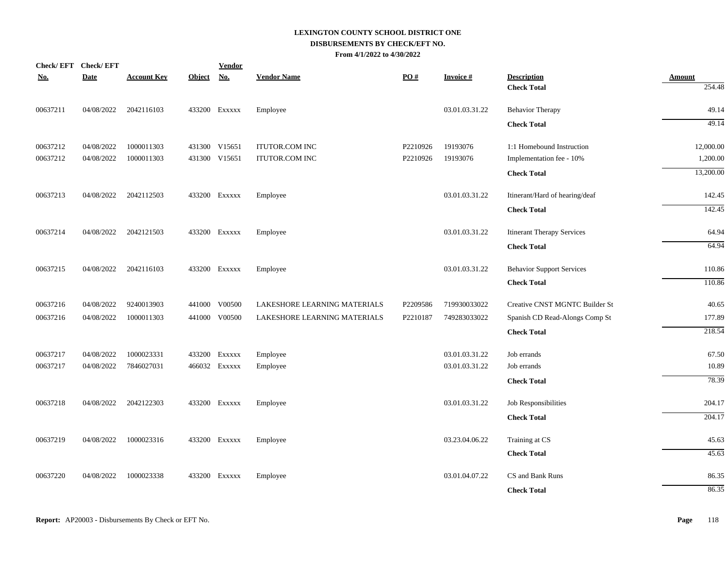|            | Check/EFT Check/EFT |                    |               | <b>Vendor</b> |                              |          |                 |                                   |               |
|------------|---------------------|--------------------|---------------|---------------|------------------------------|----------|-----------------|-----------------------------------|---------------|
| <u>No.</u> | <b>Date</b>         | <b>Account Key</b> | <b>Object</b> | <b>No.</b>    | <b>Vendor Name</b>           | PO#      | <b>Invoice#</b> | <b>Description</b>                | <b>Amount</b> |
|            |                     |                    |               |               |                              |          |                 | <b>Check Total</b>                | 254.48        |
| 00637211   | 04/08/2022          | 2042116103         |               | 433200 Exxxxx | Employee                     |          | 03.01.03.31.22  | <b>Behavior Therapy</b>           | 49.14         |
|            |                     |                    |               |               |                              |          |                 | <b>Check Total</b>                | 49.14         |
| 00637212   | 04/08/2022          | 1000011303         |               | 431300 V15651 | <b>ITUTOR.COM INC</b>        | P2210926 | 19193076        | 1:1 Homebound Instruction         | 12,000.00     |
| 00637212   | 04/08/2022          | 1000011303         |               | 431300 V15651 | <b>ITUTOR.COM INC</b>        | P2210926 | 19193076        | Implementation fee - 10%          | 1,200.00      |
|            |                     |                    |               |               |                              |          |                 | <b>Check Total</b>                | 13,200.00     |
| 00637213   | 04/08/2022          | 2042112503         |               | 433200 Exxxxx | Employee                     |          | 03.01.03.31.22  | Itinerant/Hard of hearing/deaf    | 142.45        |
|            |                     |                    |               |               |                              |          |                 | <b>Check Total</b>                | 142.45        |
| 00637214   | 04/08/2022          | 2042121503         |               | 433200 Exxxxx | Employee                     |          | 03.01.03.31.22  | <b>Itinerant Therapy Services</b> | 64.94         |
|            |                     |                    |               |               |                              |          |                 | <b>Check Total</b>                | 64.94         |
| 00637215   | 04/08/2022          | 2042116103         |               | 433200 Exxxxx | Employee                     |          | 03.01.03.31.22  | <b>Behavior Support Services</b>  | 110.86        |
|            |                     |                    |               |               |                              |          |                 | <b>Check Total</b>                | 110.86        |
| 00637216   | 04/08/2022          | 9240013903         |               | 441000 V00500 | LAKESHORE LEARNING MATERIALS | P2209586 | 719930033022    | Creative CNST MGNTC Builder St    | 40.65         |
| 00637216   | 04/08/2022          | 1000011303         |               | 441000 V00500 | LAKESHORE LEARNING MATERIALS | P2210187 | 749283033022    | Spanish CD Read-Alongs Comp St    | 177.89        |
|            |                     |                    |               |               |                              |          |                 | <b>Check Total</b>                | 218.54        |
| 00637217   | 04/08/2022          | 1000023331         |               | 433200 Exxxxx | Employee                     |          | 03.01.03.31.22  | Job errands                       | 67.50         |
| 00637217   | 04/08/2022          | 7846027031         |               | 466032 Exxxxx | Employee                     |          | 03.01.03.31.22  | Job errands                       | 10.89         |
|            |                     |                    |               |               |                              |          |                 | <b>Check Total</b>                | 78.39         |
| 00637218   | 04/08/2022          | 2042122303         |               | 433200 Exxxxx | Employee                     |          | 03.01.03.31.22  | Job Responsibilities              | 204.17        |
|            |                     |                    |               |               |                              |          |                 | <b>Check Total</b>                | 204.17        |
| 00637219   | 04/08/2022          | 1000023316         |               | 433200 Exxxxx | Employee                     |          | 03.23.04.06.22  | Training at CS                    | 45.63         |
|            |                     |                    |               |               |                              |          |                 | <b>Check Total</b>                | 45.63         |
| 00637220   | 04/08/2022          | 1000023338         |               | 433200 Exxxxx | Employee                     |          | 03.01.04.07.22  | CS and Bank Runs                  | 86.35         |
|            |                     |                    |               |               |                              |          |                 | <b>Check Total</b>                | 86.35         |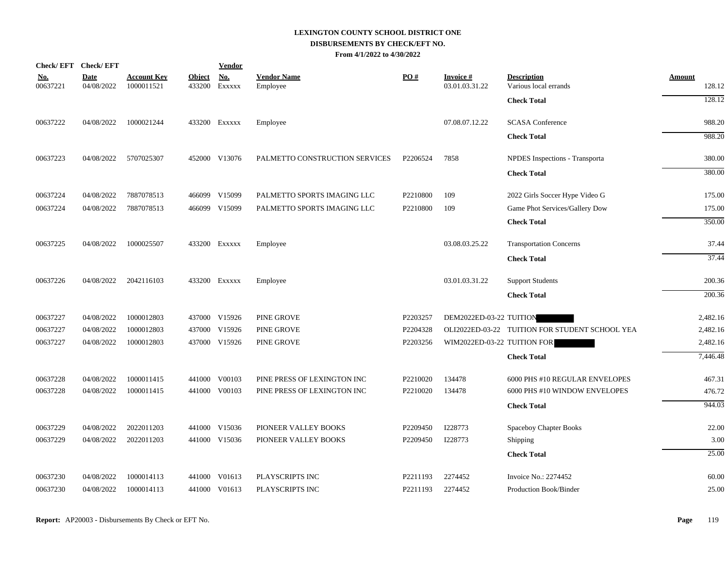| Check/EFT Check/EFT    |                           |                                  |                         | <b>Vendor</b> |                                |          |                                   |                                                |                  |
|------------------------|---------------------------|----------------------------------|-------------------------|---------------|--------------------------------|----------|-----------------------------------|------------------------------------------------|------------------|
| <u>No.</u><br>00637221 | <b>Date</b><br>04/08/2022 | <b>Account Key</b><br>1000011521 | <b>Object</b><br>433200 | No.<br>EXXXXX | <b>Vendor Name</b><br>Employee | PO#      | <b>Invoice#</b><br>03.01.03.31.22 | <b>Description</b><br>Various local errands    | Amount<br>128.12 |
|                        |                           |                                  |                         |               |                                |          |                                   | <b>Check Total</b>                             | 128.12           |
| 00637222               | 04/08/2022                | 1000021244                       |                         | 433200 Exxxxx | Employee                       |          | 07.08.07.12.22                    | <b>SCASA</b> Conference                        | 988.20           |
|                        |                           |                                  |                         |               |                                |          |                                   | <b>Check Total</b>                             | 988.20           |
| 00637223               | 04/08/2022                | 5707025307                       |                         | 452000 V13076 | PALMETTO CONSTRUCTION SERVICES | P2206524 | 7858                              | NPDES Inspections - Transporta                 | 380.00           |
|                        |                           |                                  |                         |               |                                |          |                                   | <b>Check Total</b>                             | 380.00           |
| 00637224               | 04/08/2022                | 7887078513                       |                         | 466099 V15099 | PALMETTO SPORTS IMAGING LLC    | P2210800 | 109                               | 2022 Girls Soccer Hype Video G                 | 175.00           |
| 00637224               | 04/08/2022                | 7887078513                       |                         | 466099 V15099 | PALMETTO SPORTS IMAGING LLC    | P2210800 | 109                               | Game Phot Services/Gallery Dow                 | 175.00           |
|                        |                           |                                  |                         |               |                                |          |                                   | <b>Check Total</b>                             | 350.00           |
| 00637225               | 04/08/2022                | 1000025507                       |                         | 433200 Exxxxx | Employee                       |          | 03.08.03.25.22                    | <b>Transportation Concerns</b>                 | 37.44            |
|                        |                           |                                  |                         |               |                                |          |                                   | <b>Check Total</b>                             | 37.44            |
| 00637226               | 04/08/2022                | 2042116103                       |                         | 433200 Exxxxx | Employee                       |          | 03.01.03.31.22                    | <b>Support Students</b>                        | 200.36           |
|                        |                           |                                  |                         |               |                                |          |                                   | <b>Check Total</b>                             | 200.36           |
| 00637227               | 04/08/2022                | 1000012803                       |                         | 437000 V15926 | PINE GROVE                     | P2203257 | DEM2022ED-03-22 TUITION           |                                                | 2,482.16         |
| 00637227               | 04/08/2022                | 1000012803                       |                         | 437000 V15926 | PINE GROVE                     | P2204328 |                                   | OLI2022ED-03-22 TUITION FOR STUDENT SCHOOL YEA | 2,482.16         |
| 00637227               | 04/08/2022                | 1000012803                       |                         | 437000 V15926 | PINE GROVE                     | P2203256 | WIM2022ED-03-22 TUITION FOR       |                                                | 2,482.16         |
|                        |                           |                                  |                         |               |                                |          |                                   | <b>Check Total</b>                             | 7,446.48         |
| 00637228               | 04/08/2022                | 1000011415                       |                         | 441000 V00103 | PINE PRESS OF LEXINGTON INC    | P2210020 | 134478                            | 6000 PHS #10 REGULAR ENVELOPES                 | 467.31           |
| 00637228               | 04/08/2022                | 1000011415                       |                         | 441000 V00103 | PINE PRESS OF LEXINGTON INC    | P2210020 | 134478                            | 6000 PHS #10 WINDOW ENVELOPES                  | 476.72           |
|                        |                           |                                  |                         |               |                                |          |                                   | <b>Check Total</b>                             | 944.03           |
| 00637229               | 04/08/2022                | 2022011203                       |                         | 441000 V15036 | PIONEER VALLEY BOOKS           | P2209450 | I228773                           | Spaceboy Chapter Books                         | 22.00            |
| 00637229               | 04/08/2022                | 2022011203                       |                         | 441000 V15036 | PIONEER VALLEY BOOKS           | P2209450 | I228773                           | Shipping                                       | 3.00             |
|                        |                           |                                  |                         |               |                                |          |                                   | <b>Check Total</b>                             | 25.00            |
| 00637230               | 04/08/2022                | 1000014113                       |                         | 441000 V01613 | PLAYSCRIPTS INC                | P2211193 | 2274452                           | Invoice No.: 2274452                           | 60.00            |
| 00637230               | 04/08/2022                | 1000014113                       |                         | 441000 V01613 | PLAYSCRIPTS INC                | P2211193 | 2274452                           | Production Book/Binder                         | 25.00            |
|                        |                           |                                  |                         |               |                                |          |                                   |                                                |                  |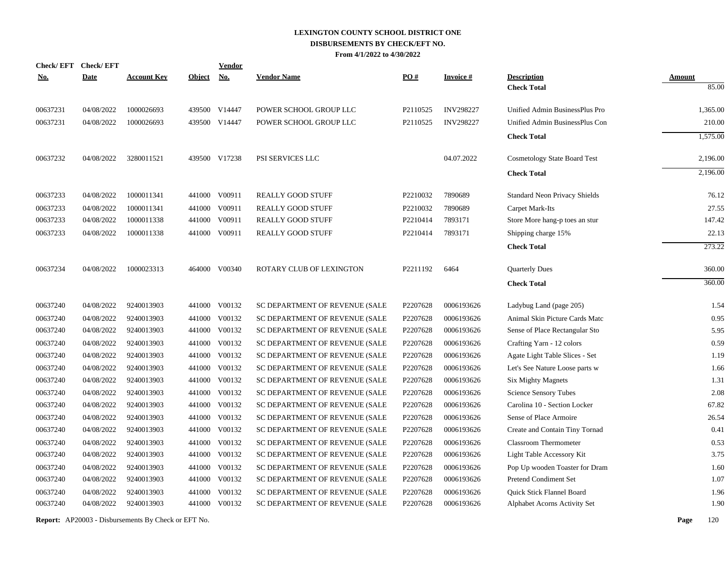| <b>Check/EFT</b> | <b>Check/EFT</b> |                    |               | <b>Vendor</b> |                                |                      |                  |                                      |               |
|------------------|------------------|--------------------|---------------|---------------|--------------------------------|----------------------|------------------|--------------------------------------|---------------|
| <u>No.</u>       | <b>Date</b>      | <b>Account Key</b> | <b>Object</b> | <b>No.</b>    | <b>Vendor Name</b>             | PO#                  | <b>Invoice#</b>  | <b>Description</b>                   | <b>Amount</b> |
|                  |                  |                    |               |               |                                |                      |                  | <b>Check Total</b>                   | 85.00         |
| 00637231         | 04/08/2022       | 1000026693         |               | 439500 V14447 | POWER SCHOOL GROUP LLC         | P2110525             | <b>INV298227</b> | Unified Admin BusinessPlus Pro       | 1,365.00      |
| 00637231         | 04/08/2022       | 1000026693         |               | 439500 V14447 | POWER SCHOOL GROUP LLC         | P <sub>2110525</sub> | <b>INV298227</b> | Unified Admin BusinessPlus Con       | 210.00        |
|                  |                  |                    |               |               |                                |                      |                  | <b>Check Total</b>                   | 1,575.00      |
| 00637232         | 04/08/2022       | 3280011521         |               | 439500 V17238 | PSI SERVICES LLC               |                      | 04.07.2022       | Cosmetology State Board Test         | 2,196.00      |
|                  |                  |                    |               |               |                                |                      |                  | <b>Check Total</b>                   | 2,196.00      |
| 00637233         | 04/08/2022       | 1000011341         |               | 441000 V00911 | <b>REALLY GOOD STUFF</b>       | P2210032             | 7890689          | <b>Standard Neon Privacy Shields</b> | 76.12         |
| 00637233         | 04/08/2022       | 1000011341         |               | 441000 V00911 | <b>REALLY GOOD STUFF</b>       | P2210032             | 7890689          | Carpet Mark-Its                      | 27.55         |
| 00637233         | 04/08/2022       | 1000011338         |               | 441000 V00911 | <b>REALLY GOOD STUFF</b>       | P2210414             | 7893171          | Store More hang-p toes an stur       | 147.42        |
| 00637233         | 04/08/2022       | 1000011338         |               | 441000 V00911 | <b>REALLY GOOD STUFF</b>       | P2210414             | 7893171          | Shipping charge 15%                  | 22.13         |
|                  |                  |                    |               |               |                                |                      |                  | <b>Check Total</b>                   | 273.22        |
| 00637234         | 04/08/2022       | 1000023313         |               | 464000 V00340 | ROTARY CLUB OF LEXINGTON       | P2211192             | 6464             | <b>Quarterly Dues</b>                | 360.00        |
|                  |                  |                    |               |               |                                |                      |                  | <b>Check Total</b>                   | 360.00        |
| 00637240         | 04/08/2022       | 9240013903         |               | 441000 V00132 | SC DEPARTMENT OF REVENUE (SALE | P2207628             | 0006193626       | Ladybug Land (page 205)              | 1.54          |
| 00637240         | 04/08/2022       | 9240013903         | 441000        | V00132        | SC DEPARTMENT OF REVENUE (SALE | P2207628             | 0006193626       | Animal Skin Picture Cards Matc       | 0.95          |
| 00637240         | 04/08/2022       | 9240013903         | 441000        | V00132        | SC DEPARTMENT OF REVENUE (SALE | P2207628             | 0006193626       | Sense of Place Rectangular Sto       | 5.95          |
| 00637240         | 04/08/2022       | 9240013903         |               | 441000 V00132 | SC DEPARTMENT OF REVENUE (SALE | P2207628             | 0006193626       | Crafting Yarn - 12 colors            | 0.59          |
| 00637240         | 04/08/2022       | 9240013903         |               | 441000 V00132 | SC DEPARTMENT OF REVENUE (SALE | P2207628             | 0006193626       | Agate Light Table Slices - Set       | 1.19          |
| 00637240         | 04/08/2022       | 9240013903         |               | 441000 V00132 | SC DEPARTMENT OF REVENUE (SALE | P2207628             | 0006193626       | Let's See Nature Loose parts w       | 1.66          |
| 00637240         | 04/08/2022       | 9240013903         |               | 441000 V00132 | SC DEPARTMENT OF REVENUE (SALE | P2207628             | 0006193626       | <b>Six Mighty Magnets</b>            | 1.31          |
| 00637240         | 04/08/2022       | 9240013903         |               | 441000 V00132 | SC DEPARTMENT OF REVENUE (SALE | P2207628             | 0006193626       | Science Sensory Tubes                | 2.08          |
| 00637240         | 04/08/2022       | 9240013903         |               | 441000 V00132 | SC DEPARTMENT OF REVENUE (SALE | P2207628             | 0006193626       | Carolina 10 - Section Locker         | 67.82         |
| 00637240         | 04/08/2022       | 9240013903         |               | 441000 V00132 | SC DEPARTMENT OF REVENUE (SALE | P2207628             | 0006193626       | Sense of Place Armoire               | 26.54         |
| 00637240         | 04/08/2022       | 9240013903         |               | 441000 V00132 | SC DEPARTMENT OF REVENUE (SALE | P2207628             | 0006193626       | Create and Contain Tiny Tornad       | 0.41          |
| 00637240         | 04/08/2022       | 9240013903         |               | 441000 V00132 | SC DEPARTMENT OF REVENUE (SALE | P2207628             | 0006193626       | <b>Classroom Thermometer</b>         | 0.53          |
| 00637240         | 04/08/2022       | 9240013903         |               | 441000 V00132 | SC DEPARTMENT OF REVENUE (SALE | P2207628             | 0006193626       | Light Table Accessory Kit            | 3.75          |
| 00637240         | 04/08/2022       | 9240013903         | 441000        | V00132        | SC DEPARTMENT OF REVENUE (SALE | P2207628             | 0006193626       | Pop Up wooden Toaster for Dram       | 1.60          |
| 00637240         | 04/08/2022       | 9240013903         |               | 441000 V00132 | SC DEPARTMENT OF REVENUE (SALE | P2207628             | 0006193626       | Pretend Condiment Set                | 1.07          |
| 00637240         | 04/08/2022       | 9240013903         | 441000        | V00132        | SC DEPARTMENT OF REVENUE (SALE | P2207628             | 0006193626       | Quick Stick Flannel Board            | 1.96          |
| 00637240         | 04/08/2022       | 9240013903         |               | 441000 V00132 | SC DEPARTMENT OF REVENUE (SALE | P2207628             | 0006193626       | Alphabet Acorns Activity Set         | 1.90          |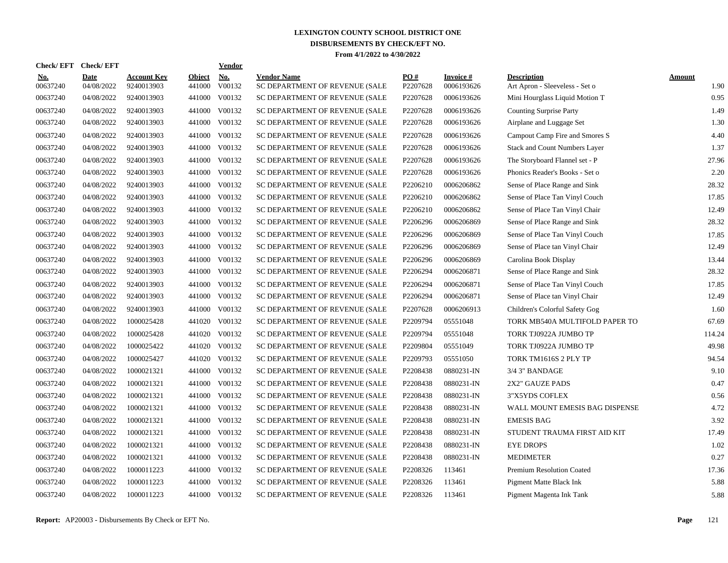| Check/EFT Check/EFT    |                    |                                  |                         | <b>Vendor</b>        |                                                      |                               |                         |                                                      |                       |
|------------------------|--------------------|----------------------------------|-------------------------|----------------------|------------------------------------------------------|-------------------------------|-------------------------|------------------------------------------------------|-----------------------|
| <u>No.</u><br>00637240 | Date<br>04/08/2022 | <b>Account Key</b><br>9240013903 | <b>Object</b><br>441000 | <b>No.</b><br>V00132 | <b>Vendor Name</b><br>SC DEPARTMENT OF REVENUE (SALE | $\underline{PO#}$<br>P2207628 | Invoice #<br>0006193626 | <b>Description</b><br>Art Apron - Sleeveless - Set o | <b>Amount</b><br>1.90 |
| 00637240               | 04/08/2022         | 9240013903                       | 441000                  | V00132               | SC DEPARTMENT OF REVENUE (SALE                       | P2207628                      | 0006193626              | Mini Hourglass Liquid Motion T                       | 0.95                  |
| 00637240               | 04/08/2022         | 9240013903                       | 441000                  | V00132               | SC DEPARTMENT OF REVENUE (SALE                       | P2207628                      | 0006193626              | <b>Counting Surprise Party</b>                       | 1.49                  |
| 00637240               | 04/08/2022         | 9240013903                       | 441000                  | V00132               | SC DEPARTMENT OF REVENUE (SALE                       | P2207628                      | 0006193626              | Airplane and Luggage Set                             | 1.30                  |
| 00637240               | 04/08/2022         | 9240013903                       | 441000                  | V00132               | SC DEPARTMENT OF REVENUE (SALE                       | P2207628                      | 0006193626              | Campout Camp Fire and Smores S                       | 4.40                  |
| 00637240               | 04/08/2022         | 9240013903                       | 441000                  | V00132               | SC DEPARTMENT OF REVENUE (SALE                       | P2207628                      | 0006193626              | <b>Stack and Count Numbers Layer</b>                 | 1.37                  |
| 00637240               | 04/08/2022         | 9240013903                       | 441000                  | V00132               | SC DEPARTMENT OF REVENUE (SALE                       | P2207628                      | 0006193626              | The Storyboard Flannel set - P                       | 27.96                 |
| 00637240               | 04/08/2022         | 9240013903                       | 441000                  | V00132               | SC DEPARTMENT OF REVENUE (SALE                       | P2207628                      | 0006193626              | Phonics Reader's Books - Set o                       | 2.20                  |
| 00637240               | 04/08/2022         | 9240013903                       | 441000                  | V00132               | SC DEPARTMENT OF REVENUE (SALE                       | P2206210                      | 0006206862              | Sense of Place Range and Sink                        | 28.32                 |
| 00637240               | 04/08/2022         | 9240013903                       | 441000                  | V00132               | SC DEPARTMENT OF REVENUE (SALE                       | P2206210                      | 0006206862              | Sense of Place Tan Vinyl Couch                       | 17.85                 |
| 00637240               | 04/08/2022         | 9240013903                       | 441000                  | V00132               | SC DEPARTMENT OF REVENUE (SALE                       | P2206210                      | 0006206862              | Sense of Place Tan Vinyl Chair                       | 12.49                 |
| 00637240               | 04/08/2022         | 9240013903                       | 441000                  | V00132               | SC DEPARTMENT OF REVENUE (SALE                       | P2206296                      | 0006206869              | Sense of Place Range and Sink                        | 28.32                 |
| 00637240               | 04/08/2022         | 9240013903                       | 441000                  | V00132               | SC DEPARTMENT OF REVENUE (SALE                       | P2206296                      | 0006206869              | Sense of Place Tan Vinyl Couch                       | 17.85                 |
| 00637240               | 04/08/2022         | 9240013903                       |                         | 441000 V00132        | SC DEPARTMENT OF REVENUE (SALE                       | P2206296                      | 0006206869              | Sense of Place tan Vinyl Chair                       | 12.49                 |
| 00637240               | 04/08/2022         | 9240013903                       | 441000                  | V00132               | SC DEPARTMENT OF REVENUE (SALE                       | P2206296                      | 0006206869              | Carolina Book Display                                | 13.44                 |
| 00637240               | 04/08/2022         | 9240013903                       | 441000                  | V00132               | SC DEPARTMENT OF REVENUE (SALE                       | P2206294                      | 0006206871              | Sense of Place Range and Sink                        | 28.32                 |
| 00637240               | 04/08/2022         | 9240013903                       | 441000                  | V00132               | SC DEPARTMENT OF REVENUE (SALE                       | P2206294                      | 0006206871              | Sense of Place Tan Vinyl Couch                       | 17.85                 |
| 00637240               | 04/08/2022         | 9240013903                       | 441000                  | V00132               | SC DEPARTMENT OF REVENUE (SALE                       | P2206294                      | 0006206871              | Sense of Place tan Vinyl Chair                       | 12.49                 |
| 00637240               | 04/08/2022         | 9240013903                       | 441000                  | V00132               | SC DEPARTMENT OF REVENUE (SALE                       | P2207628                      | 0006206913              | Children's Colorful Safety Gog                       | 1.60                  |
| 00637240               | 04/08/2022         | 1000025428                       |                         | 441020 V00132        | SC DEPARTMENT OF REVENUE (SALE                       | P2209794                      | 05551048                | TORK MB540A MULTIFOLD PAPER TO                       | 67.69                 |
| 00637240               | 04/08/2022         | 1000025428                       |                         | 441020 V00132        | SC DEPARTMENT OF REVENUE (SALE                       | P2209794                      | 05551048                | TORK TJ0922A JUMBO TP                                | 114.24                |
| 00637240               | 04/08/2022         | 1000025422                       |                         | 441020 V00132        | SC DEPARTMENT OF REVENUE (SALE                       | P2209804                      | 05551049                | TORK TJ0922A JUMBO TP                                | 49.98                 |
| 00637240               | 04/08/2022         | 1000025427                       |                         | 441020 V00132        | SC DEPARTMENT OF REVENUE (SALE                       | P2209793                      | 05551050                | TORK TM1616S 2 PLY TP                                | 94.54                 |
| 00637240               | 04/08/2022         | 1000021321                       | 441000                  | V00132               | SC DEPARTMENT OF REVENUE (SALE                       | P2208438                      | 0880231-IN              | 3/4 3" BANDAGE                                       | 9.10                  |
| 00637240               | 04/08/2022         | 1000021321                       | 441000                  | V00132               | SC DEPARTMENT OF REVENUE (SALE                       | P2208438                      | 0880231-IN              | 2X2" GAUZE PADS                                      | 0.47                  |
| 00637240               | 04/08/2022         | 1000021321                       | 441000                  | V00132               | SC DEPARTMENT OF REVENUE (SALE                       | P2208438                      | 0880231-IN              | 3"X5YDS COFLEX                                       | 0.56                  |
| 00637240               | 04/08/2022         | 1000021321                       | 441000                  | V00132               | SC DEPARTMENT OF REVENUE (SALE                       | P2208438                      | 0880231-IN              | WALL MOUNT EMESIS BAG DISPENSE                       | 4.72                  |
| 00637240               | 04/08/2022         | 1000021321                       | 441000                  | V00132               | SC DEPARTMENT OF REVENUE (SALE                       | P2208438                      | 0880231-IN              | <b>EMESIS BAG</b>                                    | 3.92                  |
| 00637240               | 04/08/2022         | 1000021321                       | 441000                  | V00132               | SC DEPARTMENT OF REVENUE (SALE                       | P2208438                      | 0880231-IN              | STUDENT TRAUMA FIRST AID KIT                         | 17.49                 |
| 00637240               | 04/08/2022         | 1000021321                       |                         | 441000 V00132        | SC DEPARTMENT OF REVENUE (SALE                       | P2208438                      | 0880231-IN              | <b>EYE DROPS</b>                                     | 1.02                  |
| 00637240               | 04/08/2022         | 1000021321                       |                         | 441000 V00132        | SC DEPARTMENT OF REVENUE (SALE                       | P2208438                      | 0880231-IN              | <b>MEDIMETER</b>                                     | 0.27                  |
| 00637240               | 04/08/2022         | 1000011223                       | 441000                  | V00132               | SC DEPARTMENT OF REVENUE (SALE                       | P2208326                      | 113461                  | <b>Premium Resolution Coated</b>                     | 17.36                 |
| 00637240               | 04/08/2022         | 1000011223                       | 441000                  | V00132               | SC DEPARTMENT OF REVENUE (SALE                       | P2208326                      | 113461                  | Pigment Matte Black Ink                              | 5.88                  |
| 00637240               | 04/08/2022         | 1000011223                       |                         | 441000 V00132        | SC DEPARTMENT OF REVENUE (SALE                       | P2208326                      | 113461                  | Pigment Magenta Ink Tank                             | 5.88                  |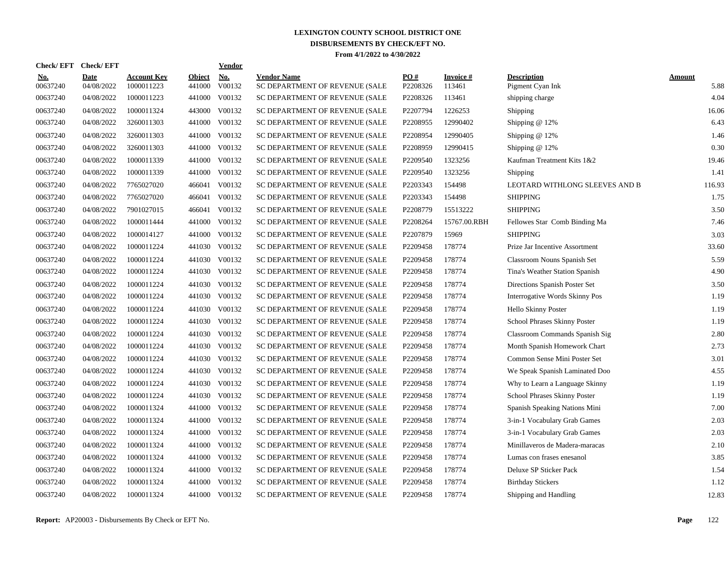| <b>Check/EFT</b>       | <b>Check/EFT</b>          |                                  |                         | <b>Vendor</b> |                                                      |                 |                     |                                        |                       |
|------------------------|---------------------------|----------------------------------|-------------------------|---------------|------------------------------------------------------|-----------------|---------------------|----------------------------------------|-----------------------|
| <u>No.</u><br>00637240 | <b>Date</b><br>04/08/2022 | <b>Account Kev</b><br>1000011223 | <b>Object</b><br>441000 | No.<br>V00132 | <b>Vendor Name</b><br>SC DEPARTMENT OF REVENUE (SALE | PO#<br>P2208326 | Invoice #<br>113461 | <b>Description</b><br>Pigment Cyan Ink | <b>Amount</b><br>5.88 |
| 00637240               | 04/08/2022                | 1000011223                       | 441000                  | V00132        | SC DEPARTMENT OF REVENUE (SALE                       | P2208326        | 113461              | shipping charge                        | 4.04                  |
| 00637240               | 04/08/2022                | 1000011324                       | 443000                  | V00132        | SC DEPARTMENT OF REVENUE (SALE                       | P2207794        | 1226253             | Shipping                               | 16.06                 |
| 00637240               | 04/08/2022                | 3260011303                       | 441000                  | V00132        | SC DEPARTMENT OF REVENUE (SALE                       | P2208955        | 12990402            | Shipping $@12\%$                       | 6.43                  |
| 00637240               | 04/08/2022                | 3260011303                       | 441000                  | V00132        | SC DEPARTMENT OF REVENUE (SALE                       | P2208954        | 12990405            | Shipping $@12\%$                       | 1.46                  |
| 00637240               | 04/08/2022                | 3260011303                       | 441000                  | V00132        | SC DEPARTMENT OF REVENUE (SALE                       | P2208959        | 12990415            | Shipping @ 12%                         | 0.30                  |
| 00637240               | 04/08/2022                | 1000011339                       | 441000                  | V00132        | SC DEPARTMENT OF REVENUE (SALE                       | P2209540        | 1323256             | Kaufman Treatment Kits 1&2             | 19.46                 |
| 00637240               | 04/08/2022                | 1000011339                       | 441000                  | V00132        | SC DEPARTMENT OF REVENUE (SALE                       | P2209540        | 1323256             | Shipping                               | 1.41                  |
| 00637240               | 04/08/2022                | 7765027020                       | 466041                  | V00132        | SC DEPARTMENT OF REVENUE (SALE                       | P2203343        | 154498              | LEOTARD WITHLONG SLEEVES AND B         | 116.93                |
| 00637240               | 04/08/2022                | 7765027020                       | 466041                  | V00132        | SC DEPARTMENT OF REVENUE (SALE                       | P2203343        | 154498              | <b>SHIPPING</b>                        | 1.75                  |
| 00637240               | 04/08/2022                | 7901027015                       | 466041                  | V00132        | SC DEPARTMENT OF REVENUE (SALE                       | P2208779        | 15513222            | <b>SHIPPING</b>                        | 3.50                  |
| 00637240               | 04/08/2022                | 1000011444                       | 441000                  | V00132        | SC DEPARTMENT OF REVENUE (SALE                       | P2208264        | 15767.00.RBH        | Fellowes Star Comb Binding Ma          | 7.46                  |
| 00637240               | 04/08/2022                | 1000014127                       | 441000                  | V00132        | SC DEPARTMENT OF REVENUE (SALE                       | P2207879        | 15969               | <b>SHIPPING</b>                        | 3.03                  |
| 00637240               | 04/08/2022                | 1000011224                       |                         | 441030 V00132 | SC DEPARTMENT OF REVENUE (SALE                       | P2209458        | 178774              | Prize Jar Incentive Assortment         | 33.60                 |
| 00637240               | 04/08/2022                | 1000011224                       | 441030                  | V00132        | SC DEPARTMENT OF REVENUE (SALE                       | P2209458        | 178774              | Classroom Nouns Spanish Set            | 5.59                  |
| 00637240               | 04/08/2022                | 1000011224                       | 441030                  | V00132        | SC DEPARTMENT OF REVENUE (SALE                       | P2209458        | 178774              | Tina's Weather Station Spanish         | 4.90                  |
| 00637240               | 04/08/2022                | 1000011224                       | 441030                  | V00132        | SC DEPARTMENT OF REVENUE (SALE                       | P2209458        | 178774              | Directions Spanish Poster Set          | 3.50                  |
| 00637240               | 04/08/2022                | 1000011224                       | 441030                  | V00132        | SC DEPARTMENT OF REVENUE (SALE                       | P2209458        | 178774              | Interrogative Words Skinny Pos         | 1.19                  |
| 00637240               | 04/08/2022                | 1000011224                       | 441030                  | V00132        | SC DEPARTMENT OF REVENUE (SALE                       | P2209458        | 178774              | Hello Skinny Poster                    | 1.19                  |
| 00637240               | 04/08/2022                | 1000011224                       | 441030                  | V00132        | SC DEPARTMENT OF REVENUE (SALE                       | P2209458        | 178774              | School Phrases Skinny Poster           | 1.19                  |
| 00637240               | 04/08/2022                | 1000011224                       | 441030                  | V00132        | SC DEPARTMENT OF REVENUE (SALE                       | P2209458        | 178774              | Classroom Commands Spanish Sig         | 2.80                  |
| 00637240               | 04/08/2022                | 1000011224                       |                         | 441030 V00132 | SC DEPARTMENT OF REVENUE (SALE                       | P2209458        | 178774              | Month Spanish Homework Chart           | 2.73                  |
| 00637240               | 04/08/2022                | 1000011224                       | 441030                  | V00132        | SC DEPARTMENT OF REVENUE (SALE                       | P2209458        | 178774              | Common Sense Mini Poster Set           | 3.01                  |
| 00637240               | 04/08/2022                | 1000011224                       | 441030                  | V00132        | SC DEPARTMENT OF REVENUE (SALE                       | P2209458        | 178774              | We Speak Spanish Laminated Doo         | 4.55                  |
| 00637240               | 04/08/2022                | 1000011224                       | 441030                  | V00132        | SC DEPARTMENT OF REVENUE (SALE                       | P2209458        | 178774              | Why to Learn a Language Skinny         | 1.19                  |
| 00637240               | 04/08/2022                | 1000011224                       | 441030                  | V00132        | SC DEPARTMENT OF REVENUE (SALE                       | P2209458        | 178774              | School Phrases Skinny Poster           | 1.19                  |
| 00637240               | 04/08/2022                | 1000011324                       | 441000                  | V00132        | SC DEPARTMENT OF REVENUE (SALE                       | P2209458        | 178774              | Spanish Speaking Nations Mini          | 7.00                  |
| 00637240               | 04/08/2022                | 1000011324                       | 441000                  | V00132        | SC DEPARTMENT OF REVENUE (SALE                       | P2209458        | 178774              | 3-in-1 Vocabulary Grab Games           | 2.03                  |
| 00637240               | 04/08/2022                | 1000011324                       | 441000                  | V00132        | SC DEPARTMENT OF REVENUE (SALE                       | P2209458        | 178774              | 3-in-1 Vocabulary Grab Games           | 2.03                  |
| 00637240               | 04/08/2022                | 1000011324                       |                         | 441000 V00132 | SC DEPARTMENT OF REVENUE (SALE                       | P2209458        | 178774              | Minillaveros de Madera-maracas         | 2.10                  |
| 00637240               | 04/08/2022                | 1000011324                       | 441000                  | V00132        | SC DEPARTMENT OF REVENUE (SALE                       | P2209458        | 178774              | Lumas con frases enesanol              | 3.85                  |
| 00637240               | 04/08/2022                | 1000011324                       | 441000                  | V00132        | SC DEPARTMENT OF REVENUE (SALE                       | P2209458        | 178774              | Deluxe SP Sticker Pack                 | 1.54                  |
| 00637240               | 04/08/2022                | 1000011324                       | 441000                  | V00132        | SC DEPARTMENT OF REVENUE (SALE                       | P2209458        | 178774              | <b>Birthday Stickers</b>               | 1.12                  |
| 00637240               | 04/08/2022                | 1000011324                       |                         | 441000 V00132 | SC DEPARTMENT OF REVENUE (SALE                       | P2209458        | 178774              | Shipping and Handling                  | 12.83                 |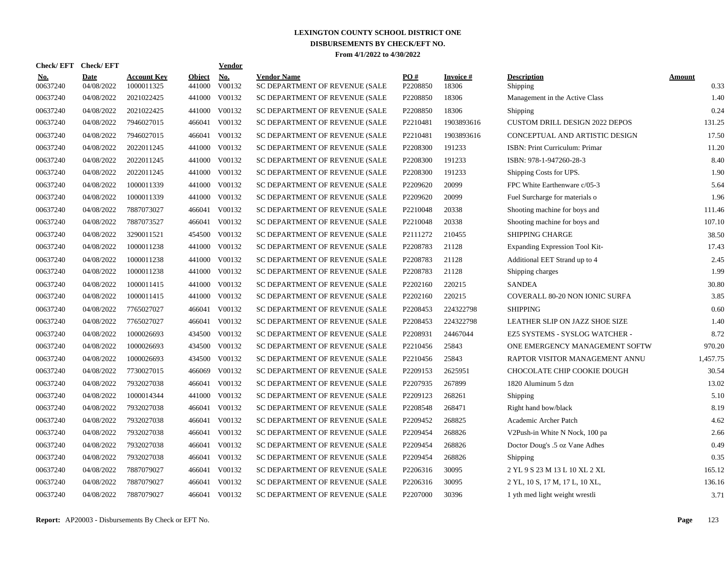| <b>Check/EFT</b>       | <b>Check/EFT</b>   |                                  |                  | <b>Vendor</b> |                                                      |                               |                    |                                       |                       |
|------------------------|--------------------|----------------------------------|------------------|---------------|------------------------------------------------------|-------------------------------|--------------------|---------------------------------------|-----------------------|
| <u>No.</u><br>00637240 | Date<br>04/08/2022 | <b>Account Key</b><br>1000011325 | Object<br>441000 | No.<br>V00132 | <b>Vendor Name</b><br>SC DEPARTMENT OF REVENUE (SALE | $\underline{PO#}$<br>P2208850 | Invoice #<br>18306 | <b>Description</b><br>Shipping        | <b>Amount</b><br>0.33 |
| 00637240               | 04/08/2022         | 2021022425                       | 441000           | V00132        | SC DEPARTMENT OF REVENUE (SALE                       | P2208850                      | 18306              | Management in the Active Class        | 1.40                  |
| 00637240               | 04/08/2022         | 2021022425                       | 441000           | V00132        | SC DEPARTMENT OF REVENUE (SALE                       | P2208850                      | 18306              | Shipping                              | 0.24                  |
| 00637240               | 04/08/2022         | 7946027015                       | 466041           | V00132        | SC DEPARTMENT OF REVENUE (SALE                       | P2210481                      | 1903893616         | <b>CUSTOM DRILL DESIGN 2022 DEPOS</b> | 131.25                |
| 00637240               | 04/08/2022         | 7946027015                       | 466041           | V00132        | SC DEPARTMENT OF REVENUE (SALE                       | P2210481                      | 1903893616         | CONCEPTUAL AND ARTISTIC DESIGN        | 17.50                 |
| 00637240               | 04/08/2022         | 2022011245                       | 441000           | V00132        | SC DEPARTMENT OF REVENUE (SALE                       | P2208300                      | 191233             | ISBN: Print Curriculum: Primar        | 11.20                 |
| 00637240               | 04/08/2022         | 2022011245                       | 441000           | V00132        | SC DEPARTMENT OF REVENUE (SALE                       | P2208300                      | 191233             | ISBN: 978-1-947260-28-3               | 8.40                  |
| 00637240               | 04/08/2022         | 2022011245                       | 441000           | V00132        | SC DEPARTMENT OF REVENUE (SALE                       | P2208300                      | 191233             | Shipping Costs for UPS.               | 1.90                  |
| 00637240               | 04/08/2022         | 1000011339                       | 441000           | V00132        | SC DEPARTMENT OF REVENUE (SALE                       | P2209620                      | 20099              | FPC White Earthenware c/05-3          | 5.64                  |
| 00637240               | 04/08/2022         | 1000011339                       | 441000           | V00132        | SC DEPARTMENT OF REVENUE (SALE                       | P2209620                      | 20099              | Fuel Surcharge for materials o        | 1.96                  |
| 00637240               | 04/08/2022         | 7887073027                       |                  | 466041 V00132 | SC DEPARTMENT OF REVENUE (SALE                       | P2210048                      | 20338              | Shooting machine for boys and         | 111.46                |
| 00637240               | 04/08/2022         | 7887073527                       |                  | 466041 V00132 | SC DEPARTMENT OF REVENUE (SALE                       | P2210048                      | 20338              | Shooting machine for boys and         | 107.10                |
| 00637240               | 04/08/2022         | 3290011521                       | 454500           | V00132        | SC DEPARTMENT OF REVENUE (SALE                       | P2111272                      | 210455             | <b>SHIPPING CHARGE</b>                | 38.50                 |
| 00637240               | 04/08/2022         | 1000011238                       |                  | 441000 V00132 | SC DEPARTMENT OF REVENUE (SALE                       | P2208783                      | 21128              | Expanding Expression Tool Kit-        | 17.43                 |
| 00637240               | 04/08/2022         | 1000011238                       | 441000           | V00132        | SC DEPARTMENT OF REVENUE (SALE                       | P2208783                      | 21128              | Additional EET Strand up to 4         | 2.45                  |
| 00637240               | 04/08/2022         | 1000011238                       | 441000           | V00132        | SC DEPARTMENT OF REVENUE (SALE                       | P2208783                      | 21128              | Shipping charges                      | 1.99                  |
| 00637240               | 04/08/2022         | 1000011415                       | 441000           | V00132        | SC DEPARTMENT OF REVENUE (SALE                       | P2202160                      | 220215             | <b>SANDEA</b>                         | 30.80                 |
| 00637240               | 04/08/2022         | 1000011415                       | 441000           | V00132        | SC DEPARTMENT OF REVENUE (SALE                       | P2202160                      | 220215             | <b>COVERALL 80-20 NON IONIC SURFA</b> | 3.85                  |
| 00637240               | 04/08/2022         | 7765027027                       | 466041           | V00132        | SC DEPARTMENT OF REVENUE (SALE                       | P2208453                      | 224322798          | <b>SHIPPING</b>                       | 0.60                  |
| 00637240               | 04/08/2022         | 7765027027                       | 466041           | V00132        | SC DEPARTMENT OF REVENUE (SALE                       | P2208453                      | 224322798          | LEATHER SLIP ON JAZZ SHOE SIZE        | 1.40                  |
| 00637240               | 04/08/2022         | 1000026693                       | 434500           | V00132        | SC DEPARTMENT OF REVENUE (SALE                       | P2208931                      | 24467044           | EZ5 SYSTEMS - SYSLOG WATCHER -        | 8.72                  |
| 00637240               | 04/08/2022         | 1000026693                       |                  | 434500 V00132 | SC DEPARTMENT OF REVENUE (SALE                       | P2210456                      | 25843              | ONE EMERGENCY MANAGEMENT SOFTW        | 970.20                |
| 00637240               | 04/08/2022         | 1000026693                       | 434500           | V00132        | SC DEPARTMENT OF REVENUE (SALE                       | P2210456                      | 25843              | RAPTOR VISITOR MANAGEMENT ANNU        | 1,457.75              |
| 00637240               | 04/08/2022         | 7730027015                       | 466069           | V00132        | SC DEPARTMENT OF REVENUE (SALE                       | P2209153                      | 2625951            | CHOCOLATE CHIP COOKIE DOUGH           | 30.54                 |
| 00637240               | 04/08/2022         | 7932027038                       | 466041           | V00132        | SC DEPARTMENT OF REVENUE (SALE                       | P2207935                      | 267899             | 1820 Aluminum 5 dzn                   | 13.02                 |
| 00637240               | 04/08/2022         | 1000014344                       | 441000           | V00132        | SC DEPARTMENT OF REVENUE (SALE                       | P2209123                      | 268261             | Shipping                              | 5.10                  |
| 00637240               | 04/08/2022         | 7932027038                       | 466041           | V00132        | SC DEPARTMENT OF REVENUE (SALE                       | P2208548                      | 268471             | Right hand bow/black                  | 8.19                  |
| 00637240               | 04/08/2022         | 7932027038                       |                  | 466041 V00132 | SC DEPARTMENT OF REVENUE (SALE                       | P2209452                      | 268825             | Academic Archer Patch                 | 4.62                  |
| 00637240               | 04/08/2022         | 7932027038                       | 466041           | V00132        | SC DEPARTMENT OF REVENUE (SALE                       | P2209454                      | 268826             | V2Push-in White N Nock, 100 pa        | 2.66                  |
| 00637240               | 04/08/2022         | 7932027038                       |                  | 466041 V00132 | SC DEPARTMENT OF REVENUE (SALE                       | P2209454                      | 268826             | Doctor Doug's .5 oz Vane Adhes        | 0.49                  |
| 00637240               | 04/08/2022         | 7932027038                       |                  | 466041 V00132 | SC DEPARTMENT OF REVENUE (SALE                       | P2209454                      | 268826             | Shipping                              | 0.35                  |
| 00637240               | 04/08/2022         | 7887079027                       |                  | 466041 V00132 | SC DEPARTMENT OF REVENUE (SALE                       | P2206316                      | 30095              | 2 YL 9 S 23 M 13 L 10 XL 2 XL         | 165.12                |
| 00637240               | 04/08/2022         | 7887079027                       | 466041           | V00132        | SC DEPARTMENT OF REVENUE (SALE                       | P2206316                      | 30095              | 2 YL, 10 S, 17 M, 17 L, 10 XL,        | 136.16                |
| 00637240               | 04/08/2022         | 7887079027                       |                  | 466041 V00132 | SC DEPARTMENT OF REVENUE (SALE                       | P2207000                      | 30396              | 1 yth med light weight wrestli        | 3.71                  |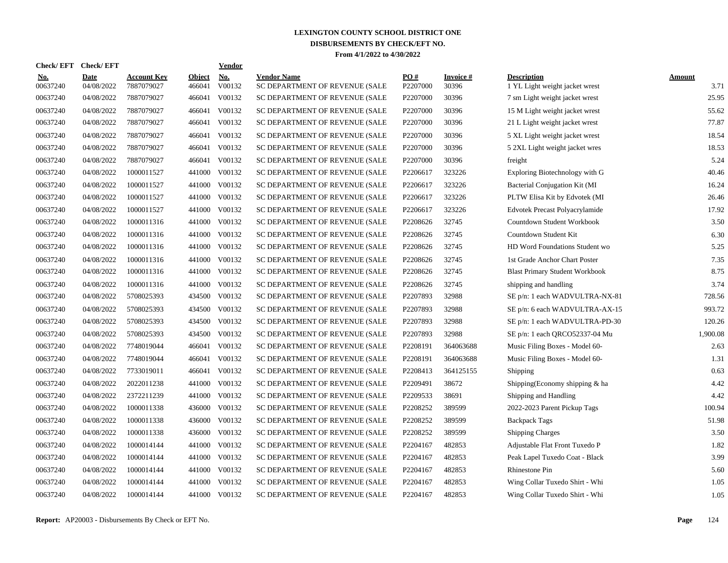| <b>Check/EFT</b>       | <b>Check/EFT</b>          |                                  |                         | <b>Vendor</b>        |                                                      |                      |                           |                                                      |                       |
|------------------------|---------------------------|----------------------------------|-------------------------|----------------------|------------------------------------------------------|----------------------|---------------------------|------------------------------------------------------|-----------------------|
| <u>No.</u><br>00637240 | <b>Date</b><br>04/08/2022 | <b>Account Key</b><br>7887079027 | <b>Object</b><br>466041 | <b>No.</b><br>V00132 | <b>Vendor Name</b><br>SC DEPARTMENT OF REVENUE (SALE | PO#<br>P2207000      | <b>Invoice</b> #<br>30396 | <b>Description</b><br>1 YL Light weight jacket wrest | <b>Amount</b><br>3.71 |
| 00637240               | 04/08/2022                | 7887079027                       | 466041                  | V00132               | SC DEPARTMENT OF REVENUE (SALE                       | P <sub>2207000</sub> | 30396                     | 7 sm Light weight jacket wrest                       | 25.95                 |
| 00637240               | 04/08/2022                | 7887079027                       | 466041                  | V00132               | SC DEPARTMENT OF REVENUE (SALE                       | P2207000             | 30396                     | 15 M Light weight jacket wrest                       | 55.62                 |
| 00637240               | 04/08/2022                | 7887079027                       | 466041                  | V00132               | SC DEPARTMENT OF REVENUE (SALE                       | P2207000             | 30396                     | 21 L Light weight jacket wrest                       | 77.87                 |
| 00637240               | 04/08/2022                | 7887079027                       | 466041                  | V00132               | SC DEPARTMENT OF REVENUE (SALE                       | P2207000             | 30396                     | 5 XL Light weight jacket wrest                       | 18.54                 |
| 00637240               | 04/08/2022                | 7887079027                       | 466041                  | V00132               | SC DEPARTMENT OF REVENUE (SALE                       | P2207000             | 30396                     | 5 2XL Light weight jacket wres                       | 18.53                 |
| 00637240               | 04/08/2022                | 7887079027                       | 466041                  | V00132               | SC DEPARTMENT OF REVENUE (SALE                       | P2207000             | 30396                     | freight                                              | 5.24                  |
| 00637240               | 04/08/2022                | 1000011527                       | 441000                  | V00132               | SC DEPARTMENT OF REVENUE (SALE                       | P2206617             | 323226                    | Exploring Biotechnology with G                       | 40.46                 |
| 00637240               | 04/08/2022                | 1000011527                       | 441000                  | V00132               | SC DEPARTMENT OF REVENUE (SALE                       | P2206617             | 323226                    | Bacterial Conjugation Kit (MI                        | 16.24                 |
| 00637240               | 04/08/2022                | 1000011527                       | 441000                  | V00132               | SC DEPARTMENT OF REVENUE (SALE                       | P2206617             | 323226                    | PLTW Elisa Kit by Edvotek (MI                        | 26.46                 |
| 00637240               | 04/08/2022                | 1000011527                       | 441000                  | V00132               | SC DEPARTMENT OF REVENUE (SALE                       | P2206617             | 323226                    | <b>Edvotek Precast Polyacrylamide</b>                | 17.92                 |
| 00637240               | 04/08/2022                | 1000011316                       |                         | 441000 V00132        | SC DEPARTMENT OF REVENUE (SALE                       | P2208626             | 32745                     | Countdown Student Workbook                           | 3.50                  |
| 00637240               | 04/08/2022                | 1000011316                       |                         | 441000 V00132        | SC DEPARTMENT OF REVENUE (SALE                       | P2208626             | 32745                     | Countdown Student Kit                                | 6.30                  |
| 00637240               | 04/08/2022                | 1000011316                       |                         | 441000 V00132        | SC DEPARTMENT OF REVENUE (SALE                       | P2208626             | 32745                     | HD Word Foundations Student wo                       | 5.25                  |
| 00637240               | 04/08/2022                | 1000011316                       | 441000                  | V00132               | SC DEPARTMENT OF REVENUE (SALE                       | P2208626             | 32745                     | 1st Grade Anchor Chart Poster                        | 7.35                  |
| 00637240               | 04/08/2022                | 1000011316                       |                         | 441000 V00132        | SC DEPARTMENT OF REVENUE (SALE                       | P2208626             | 32745                     | <b>Blast Primary Student Workbook</b>                | 8.75                  |
| 00637240               | 04/08/2022                | 1000011316                       | 441000                  | V00132               | SC DEPARTMENT OF REVENUE (SALE                       | P2208626             | 32745                     | shipping and handling                                | 3.74                  |
| 00637240               | 04/08/2022                | 5708025393                       | 434500                  | V00132               | SC DEPARTMENT OF REVENUE (SALE                       | P2207893             | 32988                     | SE p/n: 1 each WADVULTRA-NX-81                       | 728.56                |
| 00637240               | 04/08/2022                | 5708025393                       | 434500                  | V00132               | SC DEPARTMENT OF REVENUE (SALE                       | P2207893             | 32988                     | SE p/n: 6 each WADVULTRA-AX-15                       | 993.72                |
| 00637240               | 04/08/2022                | 5708025393                       | 434500                  | V00132               | SC DEPARTMENT OF REVENUE (SALE                       | P2207893             | 32988                     | SE p/n: 1 each WADVULTRA-PD-30                       | 120.26                |
| 00637240               | 04/08/2022                | 5708025393                       | 434500                  | V00132               | SC DEPARTMENT OF REVENUE (SALE                       | P2207893             | 32988                     | SE p/n: 1 each QRCO52337-04 Mu                       | 1,900.08              |
| 00637240               | 04/08/2022                | 7748019044                       |                         | 466041 V00132        | SC DEPARTMENT OF REVENUE (SALE                       | P2208191             | 364063688                 | Music Filing Boxes - Model 60-                       | 2.63                  |
| 00637240               | 04/08/2022                | 7748019044                       | 466041                  | V00132               | SC DEPARTMENT OF REVENUE (SALE                       | P2208191             | 364063688                 | Music Filing Boxes - Model 60-                       | 1.31                  |
| 00637240               | 04/08/2022                | 7733019011                       | 466041                  | V00132               | SC DEPARTMENT OF REVENUE (SALE                       | P2208413             | 364125155                 | Shipping                                             | 0.63                  |
| 00637240               | 04/08/2022                | 2022011238                       | 441000                  | V00132               | SC DEPARTMENT OF REVENUE (SALE                       | P2209491             | 38672                     | Shipping(Economy shipping & ha                       | 4.42                  |
| 00637240               | 04/08/2022                | 2372211239                       | 441000                  | V00132               | SC DEPARTMENT OF REVENUE (SALE                       | P2209533             | 38691                     | Shipping and Handling                                | 4.42                  |
| 00637240               | 04/08/2022                | 1000011338                       | 436000                  | V00132               | SC DEPARTMENT OF REVENUE (SALE                       | P2208252             | 389599                    | 2022-2023 Parent Pickup Tags                         | 100.94                |
| 00637240               | 04/08/2022                | 1000011338                       | 436000                  | V00132               | SC DEPARTMENT OF REVENUE (SALE                       | P2208252             | 389599                    | <b>Backpack Tags</b>                                 | 51.98                 |
| 00637240               | 04/08/2022                | 1000011338                       | 436000                  | V00132               | SC DEPARTMENT OF REVENUE (SALE                       | P2208252             | 389599                    | <b>Shipping Charges</b>                              | 3.50                  |
| 00637240               | 04/08/2022                | 1000014144                       |                         | 441000 V00132        | SC DEPARTMENT OF REVENUE (SALE                       | P2204167             | 482853                    | Adjustable Flat Front Tuxedo P                       | 1.82                  |
| 00637240               | 04/08/2022                | 1000014144                       |                         | 441000 V00132        | SC DEPARTMENT OF REVENUE (SALE                       | P2204167             | 482853                    | Peak Lapel Tuxedo Coat - Black                       | 3.99                  |
| 00637240               | 04/08/2022                | 1000014144                       |                         | 441000 V00132        | SC DEPARTMENT OF REVENUE (SALE                       | P2204167             | 482853                    | Rhinestone Pin                                       | 5.60                  |
| 00637240               | 04/08/2022                | 1000014144                       | 441000                  | V00132               | SC DEPARTMENT OF REVENUE (SALE                       | P2204167             | 482853                    | Wing Collar Tuxedo Shirt - Whi                       | 1.05                  |
| 00637240               | 04/08/2022                | 1000014144                       |                         | 441000 V00132        | SC DEPARTMENT OF REVENUE (SALE                       | P2204167             | 482853                    | Wing Collar Tuxedo Shirt - Whi                       | 1.05                  |
|                        |                           |                                  |                         |                      |                                                      |                      |                           |                                                      |                       |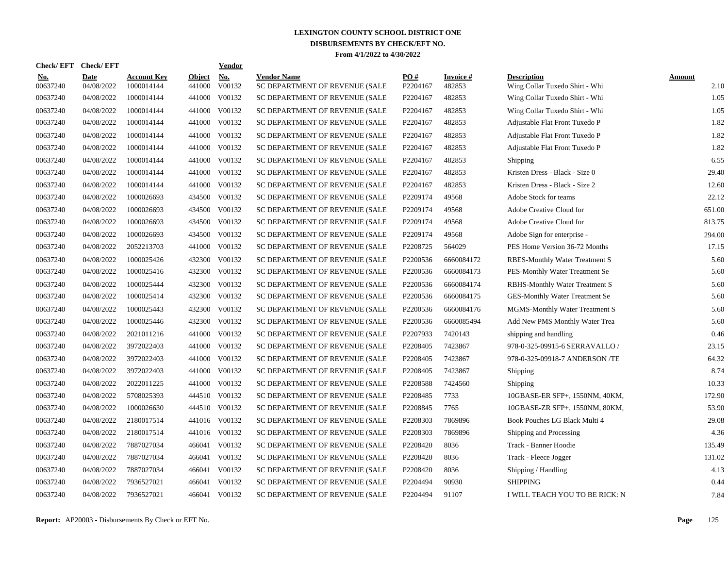| <b>Check/EFT</b>       | <b>Check/EFT</b>          |                                  |                         | <b>Vendor</b> |                                                      |                        |                     |                                                      |                |
|------------------------|---------------------------|----------------------------------|-------------------------|---------------|------------------------------------------------------|------------------------|---------------------|------------------------------------------------------|----------------|
| <u>No.</u><br>00637240 | <b>Date</b><br>04/08/2022 | <b>Account Key</b><br>1000014144 | <b>Object</b><br>441000 | No.<br>V00132 | <b>Vendor Name</b><br>SC DEPARTMENT OF REVENUE (SALE | <b>PO#</b><br>P2204167 | Invoice #<br>482853 | <b>Description</b><br>Wing Collar Tuxedo Shirt - Whi | Amount<br>2.10 |
| 00637240               | 04/08/2022                | 1000014144                       | 441000                  | V00132        | SC DEPARTMENT OF REVENUE (SALE                       | P2204167               | 482853              | Wing Collar Tuxedo Shirt - Whi                       | 1.05           |
| 00637240               | 04/08/2022                | 1000014144                       | 441000                  | V00132        | SC DEPARTMENT OF REVENUE (SALE                       | P2204167               | 482853              | Wing Collar Tuxedo Shirt - Whi                       | 1.05           |
| 00637240               | 04/08/2022                | 1000014144                       | 441000                  | V00132        | SC DEPARTMENT OF REVENUE (SALE                       | P2204167               | 482853              | Adjustable Flat Front Tuxedo P                       | 1.82           |
| 00637240               | 04/08/2022                | 1000014144                       | 441000                  | V00132        | SC DEPARTMENT OF REVENUE (SALE                       | P2204167               | 482853              | Adjustable Flat Front Tuxedo P                       | 1.82           |
| 00637240               | 04/08/2022                | 1000014144                       | 441000                  | V00132        | SC DEPARTMENT OF REVENUE (SALE                       | P2204167               | 482853              | Adjustable Flat Front Tuxedo P                       | 1.82           |
| 00637240               | 04/08/2022                | 1000014144                       | 441000                  | V00132        | SC DEPARTMENT OF REVENUE (SALE                       | P2204167               | 482853              | Shipping                                             | 6.55           |
| 00637240               | 04/08/2022                | 1000014144                       | 441000                  | V00132        | SC DEPARTMENT OF REVENUE (SALE                       | P2204167               | 482853              | Kristen Dress - Black - Size 0                       | 29.40          |
| 00637240               | 04/08/2022                | 1000014144                       | 441000                  | V00132        | SC DEPARTMENT OF REVENUE (SALE                       | P2204167               | 482853              | Kristen Dress - Black - Size 2                       | 12.60          |
| 00637240               | 04/08/2022                | 1000026693                       | 434500                  | V00132        | SC DEPARTMENT OF REVENUE (SALE                       | P2209174               | 49568               | Adobe Stock for teams                                | 22.12          |
| 00637240               | 04/08/2022                | 1000026693                       | 434500                  | V00132        | SC DEPARTMENT OF REVENUE (SALE                       | P2209174               | 49568               | Adobe Creative Cloud for                             | 651.00         |
| 00637240               | 04/08/2022                | 1000026693                       | 434500                  | V00132        | SC DEPARTMENT OF REVENUE (SALE                       | P2209174               | 49568               | Adobe Creative Cloud for                             | 813.75         |
| 00637240               | 04/08/2022                | 1000026693                       | 434500                  | V00132        | SC DEPARTMENT OF REVENUE (SALE                       | P2209174               | 49568               | Adobe Sign for enterprise -                          | 294.00         |
| 00637240               | 04/08/2022                | 2052213703                       | 441000                  | V00132        | SC DEPARTMENT OF REVENUE (SALE                       | P2208725               | 564029              | PES Home Version 36-72 Months                        | 17.15          |
| 00637240               | 04/08/2022                | 1000025426                       | 432300                  | V00132        | SC DEPARTMENT OF REVENUE (SALE                       | P2200536               | 6660084172          | <b>RBES-Monthly Water Treatment S</b>                | 5.60           |
| 00637240               | 04/08/2022                | 1000025416                       | 432300                  | V00132        | SC DEPARTMENT OF REVENUE (SALE                       | P2200536               | 6660084173          | PES-Monthly Water Treatment Se                       | 5.60           |
| 00637240               | 04/08/2022                | 1000025444                       | 432300                  | V00132        | SC DEPARTMENT OF REVENUE (SALE                       | P2200536               | 6660084174          | <b>RBHS-Monthly Water Treatment S</b>                | 5.60           |
| 00637240               | 04/08/2022                | 1000025414                       | 432300                  | V00132        | SC DEPARTMENT OF REVENUE (SALE                       | P2200536               | 6660084175          | GES-Monthly Water Treatment Se                       | 5.60           |
| 00637240               | 04/08/2022                | 1000025443                       | 432300                  | V00132        | SC DEPARTMENT OF REVENUE (SALE                       | P2200536               | 6660084176          | MGMS-Monthly Water Treatment S                       | 5.60           |
| 00637240               | 04/08/2022                | 1000025446                       | 432300                  | V00132        | SC DEPARTMENT OF REVENUE (SALE                       | P2200536               | 6660085494          | Add New PMS Monthly Water Trea                       | 5.60           |
| 00637240               | 04/08/2022                | 2021011216                       | 441000                  | V00132        | SC DEPARTMENT OF REVENUE (SALE                       | P2207933               | 7420143             | shipping and handling                                | 0.46           |
| 00637240               | 04/08/2022                | 3972022403                       | 441000                  | V00132        | SC DEPARTMENT OF REVENUE (SALE                       | P2208405               | 7423867             | 978-0-325-09915-6 SERRAVALLO /                       | 23.15          |
| 00637240               | 04/08/2022                | 3972022403                       | 441000                  | V00132        | SC DEPARTMENT OF REVENUE (SALE                       | P2208405               | 7423867             | 978-0-325-09918-7 ANDERSON /TE                       | 64.32          |
| 00637240               | 04/08/2022                | 3972022403                       | 441000                  | V00132        | SC DEPARTMENT OF REVENUE (SALE                       | P2208405               | 7423867             | Shipping                                             | 8.74           |
| 00637240               | 04/08/2022                | 2022011225                       | 441000                  | V00132        | SC DEPARTMENT OF REVENUE (SALE                       | P2208588               | 7424560             | Shipping                                             | 10.33          |
| 00637240               | 04/08/2022                | 5708025393                       | 444510                  | V00132        | SC DEPARTMENT OF REVENUE (SALE                       | P2208485               | 7733                | 10GBASE-ER SFP+, 1550NM, 40KM,                       | 172.90         |
| 00637240               | 04/08/2022                | 1000026630                       | 444510                  | V00132        | SC DEPARTMENT OF REVENUE (SALE                       | P2208845               | 7765                | 10GBASE-ZR SFP+, 1550NM, 80KM,                       | 53.90          |
| 00637240               | 04/08/2022                | 2180017514                       |                         | 441016 V00132 | SC DEPARTMENT OF REVENUE (SALE                       | P2208303               | 7869896             | Book Pouches LG Black Multi 4                        | 29.08          |
| 00637240               | 04/08/2022                | 2180017514                       |                         | 441016 V00132 | SC DEPARTMENT OF REVENUE (SALE                       | P2208303               | 7869896             | Shipping and Processing                              | 4.36           |
| 00637240               | 04/08/2022                | 7887027034                       |                         | 466041 V00132 | SC DEPARTMENT OF REVENUE (SALE                       | P2208420               | 8036                | Track - Banner Hoodie                                | 135.49         |
| 00637240               | 04/08/2022                | 7887027034                       | 466041                  | V00132        | SC DEPARTMENT OF REVENUE (SALE                       | P2208420               | 8036                | Track - Fleece Jogger                                | 131.02         |
| 00637240               | 04/08/2022                | 7887027034                       | 466041                  | V00132        | SC DEPARTMENT OF REVENUE (SALE                       | P2208420               | 8036                | Shipping / Handling                                  | 4.13           |
| 00637240               | 04/08/2022                | 7936527021                       | 466041                  | V00132        | SC DEPARTMENT OF REVENUE (SALE                       | P2204494               | 90930               | <b>SHIPPING</b>                                      | 0.44           |
| 00637240               | 04/08/2022                | 7936527021                       | 466041                  | V00132        | SC DEPARTMENT OF REVENUE (SALE                       | P2204494               | 91107               | I WILL TEACH YOU TO BE RICK: N                       | 7.84           |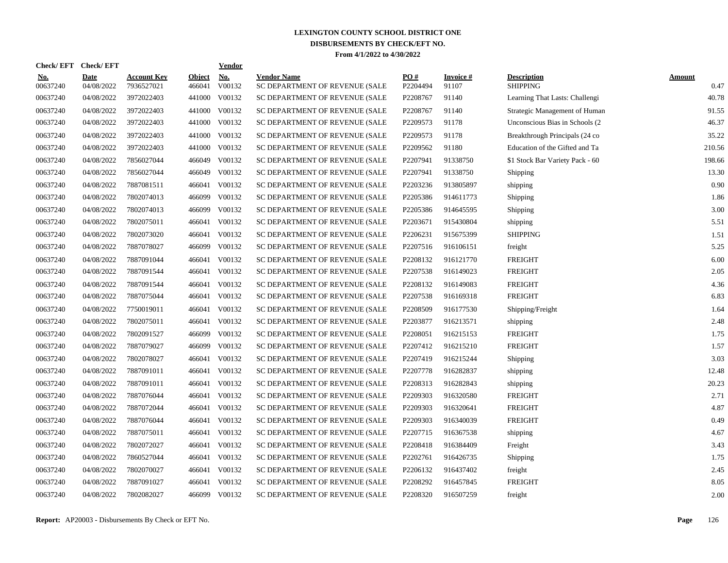| <b>Check/EFT</b>       | <b>Check/EFT</b>          |                                  |                         | <b>Vendor</b> |                                                      |                 |                    |                                       |                       |
|------------------------|---------------------------|----------------------------------|-------------------------|---------------|------------------------------------------------------|-----------------|--------------------|---------------------------------------|-----------------------|
| <u>No.</u><br>00637240 | <b>Date</b><br>04/08/2022 | <b>Account Key</b><br>7936527021 | <b>Object</b><br>466041 | No.<br>V00132 | <b>Vendor Name</b><br>SC DEPARTMENT OF REVENUE (SALE | PO#<br>P2204494 | Invoice #<br>91107 | <b>Description</b><br><b>SHIPPING</b> | <b>Amount</b><br>0.47 |
| 00637240               | 04/08/2022                | 3972022403                       | 441000                  | V00132        | SC DEPARTMENT OF REVENUE (SALE                       | P2208767        | 91140              | Learning That Lasts: Challengi        | 40.78                 |
| 00637240               | 04/08/2022                | 3972022403                       | 441000                  | V00132        | SC DEPARTMENT OF REVENUE (SALE                       | P2208767        | 91140              | Strategic Management of Human         | 91.55                 |
| 00637240               | 04/08/2022                | 3972022403                       | 441000                  | V00132        | SC DEPARTMENT OF REVENUE (SALE                       | P2209573        | 91178              | Unconscious Bias in Schools (2)       | 46.37                 |
| 00637240               | 04/08/2022                | 3972022403                       | 441000                  | V00132        | SC DEPARTMENT OF REVENUE (SALE                       | P2209573        | 91178              | Breakthrough Principals (24 co)       | 35.22                 |
| 00637240               | 04/08/2022                | 3972022403                       | 441000                  | V00132        | SC DEPARTMENT OF REVENUE (SALE                       | P2209562        | 91180              | Education of the Gifted and Ta        | 210.56                |
| 00637240               | 04/08/2022                | 7856027044                       | 466049                  | V00132        | SC DEPARTMENT OF REVENUE (SALE                       | P2207941        | 91338750           | \$1 Stock Bar Variety Pack - 60       | 198.66                |
| 00637240               | 04/08/2022                | 7856027044                       | 466049                  | V00132        | SC DEPARTMENT OF REVENUE (SALE                       | P2207941        | 91338750           | Shipping                              | 13.30                 |
| 00637240               | 04/08/2022                | 7887081511                       | 466041                  | V00132        | SC DEPARTMENT OF REVENUE (SALE                       | P2203236        | 913805897          | shipping                              | 0.90                  |
| 00637240               | 04/08/2022                | 7802074013                       | 466099                  | V00132        | SC DEPARTMENT OF REVENUE (SALE                       | P2205386        | 914611773          | Shipping                              | 1.86                  |
| 00637240               | 04/08/2022                | 7802074013                       | 466099                  | V00132        | SC DEPARTMENT OF REVENUE (SALE                       | P2205386        | 914645595          | Shipping                              | 3.00                  |
| 00637240               | 04/08/2022                | 7802075011                       | 466041                  | V00132        | SC DEPARTMENT OF REVENUE (SALE                       | P2203671        | 915430804          | shipping                              | 5.51                  |
| 00637240               | 04/08/2022                | 7802073020                       | 466041                  | V00132        | SC DEPARTMENT OF REVENUE (SALE                       | P2206231        | 915675399          | <b>SHIPPING</b>                       | 1.51                  |
| 00637240               | 04/08/2022                | 7887078027                       | 466099                  | V00132        | SC DEPARTMENT OF REVENUE (SALE                       | P2207516        | 916106151          | freight                               | 5.25                  |
| 00637240               | 04/08/2022                | 7887091044                       | 466041                  | V00132        | SC DEPARTMENT OF REVENUE (SALE                       | P2208132        | 916121770          | <b>FREIGHT</b>                        | 6.00                  |
| 00637240               | 04/08/2022                | 7887091544                       | 466041                  | V00132        | SC DEPARTMENT OF REVENUE (SALE                       | P2207538        | 916149023          | <b>FREIGHT</b>                        | 2.05                  |
| 00637240               | 04/08/2022                | 7887091544                       | 466041                  | V00132        | SC DEPARTMENT OF REVENUE (SALE                       | P2208132        | 916149083          | <b>FREIGHT</b>                        | 4.36                  |
| 00637240               | 04/08/2022                | 7887075044                       | 466041                  | V00132        | SC DEPARTMENT OF REVENUE (SALE                       | P2207538        | 916169318          | <b>FREIGHT</b>                        | 6.83                  |
| 00637240               | 04/08/2022                | 7750019011                       | 466041                  | V00132        | SC DEPARTMENT OF REVENUE (SALE                       | P2208509        | 916177530          | Shipping/Freight                      | 1.64                  |
| 00637240               | 04/08/2022                | 7802075011                       | 466041                  | V00132        | SC DEPARTMENT OF REVENUE (SALE                       | P2203877        | 916213571          | shipping                              | 2.48                  |
| 00637240               | 04/08/2022                | 7802091527                       | 466099                  | V00132        | SC DEPARTMENT OF REVENUE (SALE                       | P2208051        | 916215153          | <b>FREIGHT</b>                        | 1.75                  |
| 00637240               | 04/08/2022                | 7887079027                       | 466099                  | V00132        | SC DEPARTMENT OF REVENUE (SALE                       | P2207412        | 916215210          | <b>FREIGHT</b>                        | 1.57                  |
| 00637240               | 04/08/2022                | 7802078027                       | 466041                  | V00132        | SC DEPARTMENT OF REVENUE (SALE                       | P2207419        | 916215244          | Shipping                              | 3.03                  |
| 00637240               | 04/08/2022                | 7887091011                       | 466041                  | V00132        | SC DEPARTMENT OF REVENUE (SALE                       | P2207778        | 916282837          | shipping                              | 12.48                 |
| 00637240               | 04/08/2022                | 7887091011                       | 466041                  | V00132        | SC DEPARTMENT OF REVENUE (SALE                       | P2208313        | 916282843          | shipping                              | 20.23                 |
| 00637240               | 04/08/2022                | 7887076044                       | 466041                  | V00132        | SC DEPARTMENT OF REVENUE (SALE                       | P2209303        | 916320580          | <b>FREIGHT</b>                        | 2.71                  |
| 00637240               | 04/08/2022                | 7887072044                       | 466041                  | V00132        | SC DEPARTMENT OF REVENUE (SALE                       | P2209303        | 916320641          | <b>FREIGHT</b>                        | 4.87                  |
| 00637240               | 04/08/2022                | 7887076044                       | 466041                  | V00132        | SC DEPARTMENT OF REVENUE (SALE                       | P2209303        | 916340039          | <b>FREIGHT</b>                        | 0.49                  |
| 00637240               | 04/08/2022                | 7887075011                       | 466041                  | V00132        | SC DEPARTMENT OF REVENUE (SALE                       | P2207715        | 916367538          | shipping                              | 4.67                  |
| 00637240               | 04/08/2022                | 7802072027                       | 466041                  | V00132        | SC DEPARTMENT OF REVENUE (SALE                       | P2208418        | 916384409          | Freight                               | 3.43                  |
| 00637240               | 04/08/2022                | 7860527044                       | 466041                  | V00132        | SC DEPARTMENT OF REVENUE (SALE                       | P2202761        | 916426735          | Shipping                              | 1.75                  |
| 00637240               | 04/08/2022                | 7802070027                       | 466041                  | V00132        | SC DEPARTMENT OF REVENUE (SALE                       | P2206132        | 916437402          | freight                               | 2.45                  |
| 00637240               | 04/08/2022                | 7887091027                       | 466041                  | V00132        | SC DEPARTMENT OF REVENUE (SALE                       | P2208292        | 916457845          | <b>FREIGHT</b>                        | 8.05                  |
| 00637240               | 04/08/2022                | 7802082027                       | 466099                  | V00132        | SC DEPARTMENT OF REVENUE (SALE                       | P2208320        | 916507259          | freight                               | 2.00                  |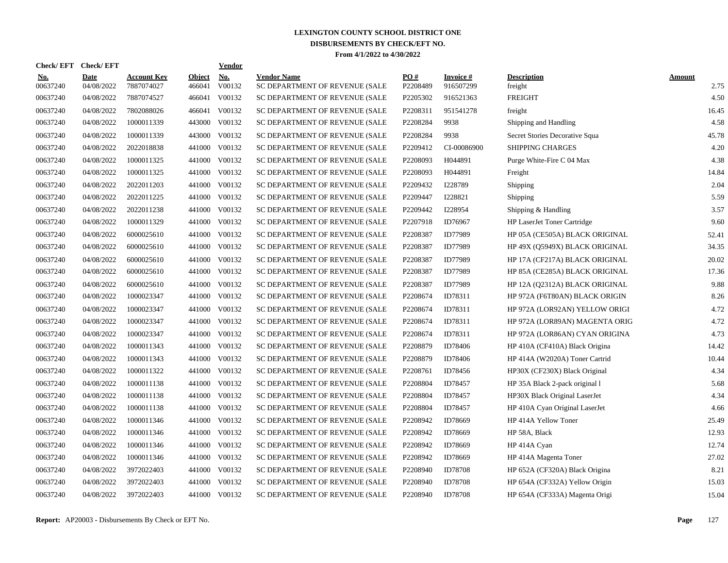| <b>Check/EFT</b>       | <b>Check/EFT</b>          |                                  |                         | <b>Vendor</b> |                                                      |                 |                               |                                |                       |
|------------------------|---------------------------|----------------------------------|-------------------------|---------------|------------------------------------------------------|-----------------|-------------------------------|--------------------------------|-----------------------|
| <u>No.</u><br>00637240 | <b>Date</b><br>04/08/2022 | <b>Account Key</b><br>7887074027 | <b>Object</b><br>466041 | No.<br>V00132 | <b>Vendor Name</b><br>SC DEPARTMENT OF REVENUE (SALE | PO#<br>P2208489 | <b>Invoice</b> #<br>916507299 | <b>Description</b><br>freight  | <b>Amount</b><br>2.75 |
| 00637240               | 04/08/2022                | 7887074527                       | 466041                  | V00132        | SC DEPARTMENT OF REVENUE (SALE                       | P2205302        | 916521363                     | <b>FREIGHT</b>                 | 4.50                  |
| 00637240               | 04/08/2022                | 7802088026                       | 466041                  | V00132        | SC DEPARTMENT OF REVENUE (SALE                       | P2208311        | 951541278                     | freight                        | 16.45                 |
| 00637240               | 04/08/2022                | 1000011339                       | 443000                  | V00132        | SC DEPARTMENT OF REVENUE (SALE                       | P2208284        | 9938                          | Shipping and Handling          | 4.58                  |
| 00637240               | 04/08/2022                | 1000011339                       | 443000                  | V00132        | SC DEPARTMENT OF REVENUE (SALE                       | P2208284        | 9938                          | Secret Stories Decorative Squa | 45.78                 |
| 00637240               | 04/08/2022                | 2022018838                       | 441000                  | V00132        | SC DEPARTMENT OF REVENUE (SALE                       | P2209412        | CI-00086900                   | <b>SHIPPING CHARGES</b>        | 4.20                  |
| 00637240               | 04/08/2022                | 1000011325                       | 441000                  | V00132        | SC DEPARTMENT OF REVENUE (SALE                       | P2208093        | H044891                       | Purge White-Fire C 04 Max      | 4.38                  |
| 00637240               | 04/08/2022                | 1000011325                       | 441000                  | V00132        | SC DEPARTMENT OF REVENUE (SALE                       | P2208093        | H044891                       | Freight                        | 14.84                 |
| 00637240               | 04/08/2022                | 2022011203                       | 441000                  | V00132        | SC DEPARTMENT OF REVENUE (SALE                       | P2209432        | I228789                       | Shipping                       | 2.04                  |
| 00637240               | 04/08/2022                | 2022011225                       | 441000                  | V00132        | SC DEPARTMENT OF REVENUE (SALE                       | P2209447        | I228821                       | Shipping                       | 5.59                  |
| 00637240               | 04/08/2022                | 2022011238                       | 441000                  | V00132        | SC DEPARTMENT OF REVENUE (SALE                       | P2209442        | I228954                       | Shipping $&$ Handling          | 3.57                  |
| 00637240               | 04/08/2022                | 1000011329                       | 441000                  | V00132        | SC DEPARTMENT OF REVENUE (SALE                       | P2207918        | ID76967                       | HP LaserJet Toner Cartridge    | 9.60                  |
| 00637240               | 04/08/2022                | 6000025610                       | 441000                  | V00132        | SC DEPARTMENT OF REVENUE (SALE                       | P2208387        | ID77989                       | HP 05A (CE505A) BLACK ORIGINAL | 52.41                 |
| 00637240               | 04/08/2022                | 6000025610                       | 441000                  | V00132        | SC DEPARTMENT OF REVENUE (SALE                       | P2208387        | ID77989                       | HP 49X (Q5949X) BLACK ORIGINAL | 34.35                 |
| 00637240               | 04/08/2022                | 6000025610                       | 441000                  | V00132        | SC DEPARTMENT OF REVENUE (SALE                       | P2208387        | ID77989                       | HP 17A (CF217A) BLACK ORIGINAL | 20.02                 |
| 00637240               | 04/08/2022                | 6000025610                       | 441000                  | V00132        | SC DEPARTMENT OF REVENUE (SALE                       | P2208387        | ID77989                       | HP 85A (CE285A) BLACK ORIGINAL | 17.36                 |
| 00637240               | 04/08/2022                | 6000025610                       | 441000                  | V00132        | SC DEPARTMENT OF REVENUE (SALE                       | P2208387        | ID77989                       | HP 12A (Q2312A) BLACK ORIGINAL | 9.88                  |
| 00637240               | 04/08/2022                | 1000023347                       | 441000                  | V00132        | SC DEPARTMENT OF REVENUE (SALE                       | P2208674        | ID78311                       | HP 972A (F6T80AN) BLACK ORIGIN | 8.26                  |
| 00637240               | 04/08/2022                | 1000023347                       | 441000                  | V00132        | SC DEPARTMENT OF REVENUE (SALE                       | P2208674        | ID78311                       | HP 972A (LOR92AN) YELLOW ORIGI | 4.72                  |
| 00637240               | 04/08/2022                | 1000023347                       | 441000                  | V00132        | SC DEPARTMENT OF REVENUE (SALE                       | P2208674        | ID78311                       | HP 972A (LOR89AN) MAGENTA ORIG | 4.72                  |
| 00637240               | 04/08/2022                | 1000023347                       | 441000                  | V00132        | SC DEPARTMENT OF REVENUE (SALE                       | P2208674        | ID78311                       | HP 972A (LOR86AN) CYAN ORIGINA | 4.73                  |
| 00637240               | 04/08/2022                | 1000011343                       | 441000                  | V00132        | SC DEPARTMENT OF REVENUE (SALE                       | P2208879        | ID78406                       | HP 410A (CF410A) Black Origina | 14.42                 |
| 00637240               | 04/08/2022                | 1000011343                       | 441000                  | V00132        | SC DEPARTMENT OF REVENUE (SALE                       | P2208879        | ID78406                       | HP 414A (W2020A) Toner Cartrid | 10.44                 |
| 00637240               | 04/08/2022                | 1000011322                       | 441000                  | V00132        | SC DEPARTMENT OF REVENUE (SALE                       | P2208761        | ID78456                       | HP30X (CF230X) Black Original  | 4.34                  |
| 00637240               | 04/08/2022                | 1000011138                       | 441000                  | V00132        | SC DEPARTMENT OF REVENUE (SALE                       | P2208804        | ID78457                       | HP 35A Black 2-pack original 1 | 5.68                  |
| 00637240               | 04/08/2022                | 1000011138                       | 441000                  | V00132        | SC DEPARTMENT OF REVENUE (SALE                       | P2208804        | ID78457                       | HP30X Black Original LaserJet  | 4.34                  |
| 00637240               | 04/08/2022                | 1000011138                       | 441000                  | V00132        | SC DEPARTMENT OF REVENUE (SALE                       | P2208804        | ID78457                       | HP 410A Cyan Original LaserJet | 4.66                  |
| 00637240               | 04/08/2022                | 1000011346                       | 441000                  | V00132        | SC DEPARTMENT OF REVENUE (SALE                       | P2208942        | ID78669                       | HP 414A Yellow Toner           | 25.49                 |
| 00637240               | 04/08/2022                | 1000011346                       | 441000                  | V00132        | SC DEPARTMENT OF REVENUE (SALE                       | P2208942        | ID78669                       | HP 58A, Black                  | 12.93                 |
| 00637240               | 04/08/2022                | 1000011346                       | 441000                  | V00132        | SC DEPARTMENT OF REVENUE (SALE                       | P2208942        | ID78669                       | HP 414A Cyan                   | 12.74                 |
| 00637240               | 04/08/2022                | 1000011346                       | 441000                  | V00132        | SC DEPARTMENT OF REVENUE (SALE                       | P2208942        | ID78669                       | HP 414A Magenta Toner          | 27.02                 |
| 00637240               | 04/08/2022                | 3972022403                       | 441000                  | V00132        | SC DEPARTMENT OF REVENUE (SALE                       | P2208940        | ID78708                       | HP 652A (CF320A) Black Origina | 8.21                  |
| 00637240               | 04/08/2022                | 3972022403                       | 441000                  | V00132        | SC DEPARTMENT OF REVENUE (SALE                       | P2208940        | ID78708                       | HP 654A (CF332A) Yellow Origin | 15.03                 |
| 00637240               | 04/08/2022                | 3972022403                       |                         | 441000 V00132 | SC DEPARTMENT OF REVENUE (SALE                       | P2208940        | ID78708                       | HP 654A (CF333A) Magenta Origi | 15.04                 |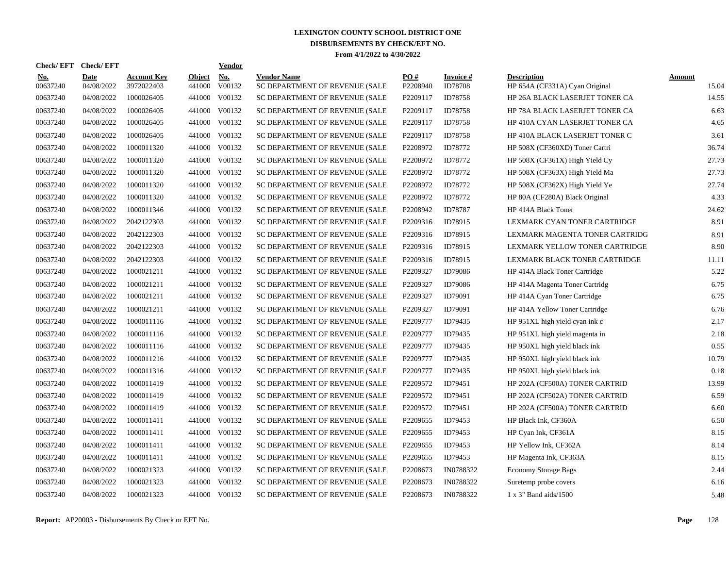| <b>Check/EFT</b>       | <b>Check/EFT</b>   |                                  |                         | <b>Vendor</b> |                                                      |                 |                             |                                                      |                 |
|------------------------|--------------------|----------------------------------|-------------------------|---------------|------------------------------------------------------|-----------------|-----------------------------|------------------------------------------------------|-----------------|
| <u>No.</u><br>00637240 | Date<br>04/08/2022 | <b>Account Key</b><br>3972022403 | <b>Object</b><br>441000 | No.<br>V00132 | <b>Vendor Name</b><br>SC DEPARTMENT OF REVENUE (SALE | PO#<br>P2208940 | Invoice #<br><b>ID78708</b> | <b>Description</b><br>HP 654A (CF331A) Cyan Original | Amount<br>15.04 |
| 00637240               | 04/08/2022         | 1000026405                       | 441000                  | V00132        | SC DEPARTMENT OF REVENUE (SALE                       | P2209117        | ID78758                     | HP 26A BLACK LASERJET TONER CA                       | 14.55           |
| 00637240               | 04/08/2022         | 1000026405                       | 441000                  | V00132        | SC DEPARTMENT OF REVENUE (SALE                       | P2209117        | ID78758                     | HP 78A BLACK LASERJET TONER CA                       | 6.63            |
| 00637240               | 04/08/2022         | 1000026405                       | 441000                  | V00132        | SC DEPARTMENT OF REVENUE (SALE                       | P2209117        | ID78758                     | HP 410A CYAN LASERJET TONER CA                       | 4.65            |
| 00637240               | 04/08/2022         | 1000026405                       | 441000                  | V00132        | SC DEPARTMENT OF REVENUE (SALE                       | P2209117        | ID78758                     | HP 410A BLACK LASERJET TONER C                       | 3.61            |
| 00637240               | 04/08/2022         | 1000011320                       | 441000                  | V00132        | SC DEPARTMENT OF REVENUE (SALE                       | P2208972        | ID78772                     | HP 508X (CF360XD) Toner Cartri                       | 36.74           |
| 00637240               | 04/08/2022         | 1000011320                       | 441000                  | V00132        | SC DEPARTMENT OF REVENUE (SALE                       | P2208972        | ID78772                     | HP 508X (CF361X) High Yield Cy                       | 27.73           |
| 00637240               | 04/08/2022         | 1000011320                       | 441000                  | V00132        | SC DEPARTMENT OF REVENUE (SALE                       | P2208972        | ID78772                     | HP 508X (CF363X) High Yield Ma                       | 27.73           |
| 00637240               | 04/08/2022         | 1000011320                       | 441000                  | V00132        | SC DEPARTMENT OF REVENUE (SALE                       | P2208972        | ID78772                     | HP 508X (CF362X) High Yield Ye                       | 27.74           |
| 00637240               | 04/08/2022         | 1000011320                       | 441000                  | V00132        | SC DEPARTMENT OF REVENUE (SALE                       | P2208972        | ID78772                     | HP 80A (CF280A) Black Original                       | 4.33            |
| 00637240               | 04/08/2022         | 1000011346                       | 441000                  | V00132        | SC DEPARTMENT OF REVENUE (SALE                       | P2208942        | ID78787                     | HP 414A Black Toner                                  | 24.62           |
| 00637240               | 04/08/2022         | 2042122303                       | 441000                  | V00132        | SC DEPARTMENT OF REVENUE (SALE                       | P2209316        | ID78915                     | LEXMARK CYAN TONER CARTRIDGE                         | 8.91            |
| 00637240               | 04/08/2022         | 2042122303                       | 441000                  | V00132        | SC DEPARTMENT OF REVENUE (SALE                       | P2209316        | ID78915                     | LEXMARK MAGENTA TONER CARTRIDG                       | 8.91            |
| 00637240               | 04/08/2022         | 2042122303                       | 441000                  | V00132        | SC DEPARTMENT OF REVENUE (SALE                       | P2209316        | ID78915                     | LEXMARK YELLOW TONER CARTRIDGE                       | 8.90            |
| 00637240               | 04/08/2022         | 2042122303                       | 441000                  | V00132        | SC DEPARTMENT OF REVENUE (SALE                       | P2209316        | ID78915                     | LEXMARK BLACK TONER CARTRIDGE                        | 11.11           |
| 00637240               | 04/08/2022         | 1000021211                       | 441000                  | V00132        | SC DEPARTMENT OF REVENUE (SALE                       | P2209327        | ID79086                     | HP 414A Black Toner Cartridge                        | 5.22            |
| 00637240               | 04/08/2022         | 1000021211                       | 441000                  | V00132        | SC DEPARTMENT OF REVENUE (SALE                       | P2209327        | ID79086                     | HP 414A Magenta Toner Cartridg                       | 6.75            |
| 00637240               | 04/08/2022         | 1000021211                       | 441000                  | V00132        | SC DEPARTMENT OF REVENUE (SALE                       | P2209327        | ID79091                     | HP 414A Cyan Toner Cartridge                         | 6.75            |
| 00637240               | 04/08/2022         | 1000021211                       | 441000                  | V00132        | SC DEPARTMENT OF REVENUE (SALE                       | P2209327        | ID79091                     | HP 414A Yellow Toner Cartridge                       | 6.76            |
| 00637240               | 04/08/2022         | 1000011116                       | 441000                  | V00132        | SC DEPARTMENT OF REVENUE (SALE                       | P2209777        | ID79435                     | HP 951XL high yield cyan ink c                       | 2.17            |
| 00637240               | 04/08/2022         | 1000011116                       | 441000                  | V00132        | SC DEPARTMENT OF REVENUE (SALE                       | P2209777        | ID79435                     | HP 951XL high yield magenta in                       | 2.18            |
| 00637240               | 04/08/2022         | 1000011116                       | 441000                  | V00132        | SC DEPARTMENT OF REVENUE (SALE                       | P2209777        | ID79435                     | HP 950XL high yield black ink                        | 0.55            |
| 00637240               | 04/08/2022         | 1000011216                       | 441000                  | V00132        | SC DEPARTMENT OF REVENUE (SALE                       | P2209777        | ID79435                     | HP 950XL high yield black ink                        | 10.79           |
| 00637240               | 04/08/2022         | 1000011316                       | 441000                  | V00132        | SC DEPARTMENT OF REVENUE (SALE                       | P2209777        | ID79435                     | HP 950XL high yield black ink                        | 0.18            |
| 00637240               | 04/08/2022         | 1000011419                       | 441000                  | V00132        | SC DEPARTMENT OF REVENUE (SALE                       | P2209572        | ID79451                     | HP 202A (CF500A) TONER CARTRID                       | 13.99           |
| 00637240               | 04/08/2022         | 1000011419                       | 441000                  | V00132        | SC DEPARTMENT OF REVENUE (SALE                       | P2209572        | ID79451                     | HP 202A (CF502A) TONER CARTRID                       | 6.59            |
| 00637240               | 04/08/2022         | 1000011419                       | 441000                  | V00132        | SC DEPARTMENT OF REVENUE (SALE                       | P2209572        | ID79451                     | HP 202A (CF500A) TONER CARTRID                       | 6.60            |
| 00637240               | 04/08/2022         | 1000011411                       | 441000                  | V00132        | SC DEPARTMENT OF REVENUE (SALE                       | P2209655        | ID79453                     | HP Black Ink, CF360A                                 | 6.50            |
| 00637240               | 04/08/2022         | 1000011411                       | 441000                  | V00132        | SC DEPARTMENT OF REVENUE (SALE                       | P2209655        | ID79453                     | HP Cyan Ink, CF361A                                  | 8.15            |
| 00637240               | 04/08/2022         | 1000011411                       | 441000                  | V00132        | SC DEPARTMENT OF REVENUE (SALE                       | P2209655        | ID79453                     | HP Yellow Ink, CF362A                                | 8.14            |
| 00637240               | 04/08/2022         | 1000011411                       | 441000                  | V00132        | SC DEPARTMENT OF REVENUE (SALE                       | P2209655        | ID79453                     | HP Magenta Ink, CF363A                               | 8.15            |
| 00637240               | 04/08/2022         | 1000021323                       | 441000                  | V00132        | SC DEPARTMENT OF REVENUE (SALE                       | P2208673        | IN0788322                   | <b>Economy Storage Bags</b>                          | 2.44            |
| 00637240               | 04/08/2022         | 1000021323                       | 441000                  | V00132        | SC DEPARTMENT OF REVENUE (SALE                       | P2208673        | IN0788322                   | Suretemp probe covers                                | 6.16            |
| 00637240               | 04/08/2022         | 1000021323                       |                         | 441000 V00132 | SC DEPARTMENT OF REVENUE (SALE                       | P2208673        | IN0788322                   | 1 x 3" Band aids/1500                                | 5.48            |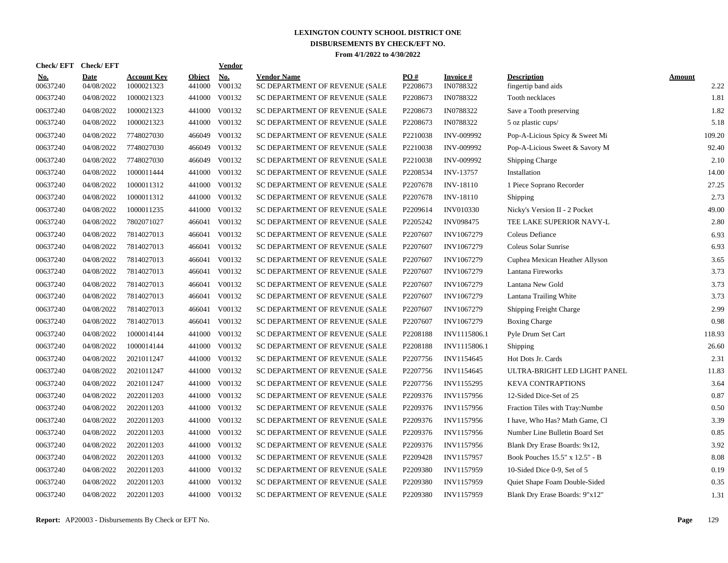| Check/ EFT             | <b>Check/EFT</b>          |                                  |                         | <u>Vendor</u>                       |                                                      |                               |                        |                                           |                       |
|------------------------|---------------------------|----------------------------------|-------------------------|-------------------------------------|------------------------------------------------------|-------------------------------|------------------------|-------------------------------------------|-----------------------|
| <u>No.</u><br>00637240 | <b>Date</b><br>04/08/2022 | <b>Account Key</b><br>1000021323 | <b>Object</b><br>441000 | $\underline{\text{No}}$ .<br>V00132 | <b>Vendor Name</b><br>SC DEPARTMENT OF REVENUE (SALE | $\underline{PO#}$<br>P2208673 | Invoice #<br>IN0788322 | <b>Description</b><br>fingertip band aids | <b>Amount</b><br>2.22 |
| 00637240               | 04/08/2022                | 1000021323                       | 441000                  | V00132                              | SC DEPARTMENT OF REVENUE (SALE                       | P2208673                      | IN0788322              | Tooth necklaces                           | 1.81                  |
| 00637240               | 04/08/2022                | 1000021323                       | 441000                  | V00132                              | SC DEPARTMENT OF REVENUE (SALE                       | P2208673                      | IN0788322              | Save a Tooth preserving                   | 1.82                  |
| 00637240               | 04/08/2022                | 1000021323                       |                         | 441000 V00132                       | SC DEPARTMENT OF REVENUE (SALE                       | P2208673                      | IN0788322              | 5 oz plastic cups/                        | 5.18                  |
| 00637240               | 04/08/2022                | 7748027030                       |                         | 466049 V00132                       | SC DEPARTMENT OF REVENUE (SALE                       | P2210038                      | INV-009992             | Pop-A-Licious Spicy & Sweet Mi            | 109.20                |
| 00637240               | 04/08/2022                | 7748027030                       |                         | 466049 V00132                       | SC DEPARTMENT OF REVENUE (SALE                       | P2210038                      | INV-009992             | Pop-A-Licious Sweet & Savory M            | 92.40                 |
| 00637240               | 04/08/2022                | 7748027030                       | 466049                  | V00132                              | SC DEPARTMENT OF REVENUE (SALE                       | P2210038                      | INV-009992             | Shipping Charge                           | 2.10                  |
| 00637240               | 04/08/2022                | 1000011444                       | 441000                  | V00132                              | SC DEPARTMENT OF REVENUE (SALE                       | P2208534                      | <b>INV-13757</b>       | Installation                              | 14.00                 |
| 00637240               | 04/08/2022                | 1000011312                       | 441000                  | V00132                              | SC DEPARTMENT OF REVENUE (SALE                       | P2207678                      | <b>INV-18110</b>       | 1 Piece Soprano Recorder                  | 27.25                 |
| 00637240               | 04/08/2022                | 1000011312                       | 441000                  | V00132                              | SC DEPARTMENT OF REVENUE (SALE                       | P2207678                      | <b>INV-18110</b>       | <b>Shipping</b>                           | 2.73                  |
| 00637240               | 04/08/2022                | 1000011235                       | 441000                  | V00132                              | SC DEPARTMENT OF REVENUE (SALE                       | P2209614                      | <b>INV010330</b>       | Nicky's Version II - 2 Pocket             | 49.00                 |
| 00637240               | 04/08/2022                | 7802071027                       |                         | 466041 V00132                       | SC DEPARTMENT OF REVENUE (SALE                       | P2205242                      | <b>INV098475</b>       | TEE LAKE SUPERIOR NAVY-L                  | 2.80                  |
| 00637240               | 04/08/2022                | 7814027013                       |                         | 466041 V00132                       | SC DEPARTMENT OF REVENUE (SALE                       | P2207607                      | INV1067279             | Coleus Defiance                           | 6.93                  |
| 00637240               | 04/08/2022                | 7814027013                       |                         | 466041 V00132                       | SC DEPARTMENT OF REVENUE (SALE                       | P2207607                      | INV1067279             | Coleus Solar Sunrise                      | 6.93                  |
| 00637240               | 04/08/2022                | 7814027013                       |                         | 466041 V00132                       | SC DEPARTMENT OF REVENUE (SALE                       | P2207607                      | INV1067279             | Cuphea Mexican Heather Allyson            | 3.65                  |
| 00637240               | 04/08/2022                | 7814027013                       | 466041                  | V00132                              | SC DEPARTMENT OF REVENUE (SALE                       | P2207607                      | INV1067279             | Lantana Fireworks                         | 3.73                  |
| 00637240               | 04/08/2022                | 7814027013                       | 466041                  | V00132                              | SC DEPARTMENT OF REVENUE (SALE                       | P2207607                      | <b>INV1067279</b>      | Lantana New Gold                          | 3.73                  |
| 00637240               | 04/08/2022                | 7814027013                       |                         | 466041 V00132                       | SC DEPARTMENT OF REVENUE (SALE                       | P2207607                      | INV1067279             | Lantana Trailing White                    | 3.73                  |
| 00637240               | 04/08/2022                | 7814027013                       | 466041                  | V00132                              | SC DEPARTMENT OF REVENUE (SALE                       | P2207607                      | INV1067279             | Shipping Freight Charge                   | 2.99                  |
| 00637240               | 04/08/2022                | 7814027013                       |                         | 466041 V00132                       | SC DEPARTMENT OF REVENUE (SALE                       | P2207607                      | INV1067279             | <b>Boxing Charge</b>                      | 0.98                  |
| 00637240               | 04/08/2022                | 1000014144                       |                         | 441000 V00132                       | SC DEPARTMENT OF REVENUE (SALE                       | P2208188                      | INV1115806.1           | Pyle Drum Set Cart                        | 118.93                |
| 00637240               | 04/08/2022                | 1000014144                       |                         | 441000 V00132                       | SC DEPARTMENT OF REVENUE (SALE                       | P2208188                      | INV1115806.1           | <b>Shipping</b>                           | 26.60                 |
| 00637240               | 04/08/2022                | 2021011247                       |                         | 441000 V00132                       | SC DEPARTMENT OF REVENUE (SALE                       | P2207756                      | INV1154645             | Hot Dots Jr. Cards                        | 2.31                  |
| 00637240               | 04/08/2022                | 2021011247                       | 441000                  | V00132                              | SC DEPARTMENT OF REVENUE (SALE                       | P2207756                      | INV1154645             | ULTRA-BRIGHT LED LIGHT PANEL              | 11.83                 |
| 00637240               | 04/08/2022                | 2021011247                       | 441000                  | V00132                              | SC DEPARTMENT OF REVENUE (SALE                       | P2207756                      | INV1155295             | <b>KEVA CONTRAPTIONS</b>                  | 3.64                  |
| 00637240               | 04/08/2022                | 2022011203                       | 441000                  | V00132                              | SC DEPARTMENT OF REVENUE (SALE                       | P2209376                      | INV1157956             | 12-Sided Dice-Set of 25                   | 0.87                  |
| 00637240               | 04/08/2022                | 2022011203                       | 441000                  | V00132                              | SC DEPARTMENT OF REVENUE (SALE                       | P2209376                      | INV1157956             | Fraction Tiles with Tray: Numbe           | 0.50                  |
| 00637240               | 04/08/2022                | 2022011203                       | 441000                  | V00132                              | SC DEPARTMENT OF REVENUE (SALE                       | P2209376                      | INV1157956             | I have, Who Has? Math Game, Cl            | 3.39                  |
| 00637240               | 04/08/2022                | 2022011203                       |                         | 441000 V00132                       | SC DEPARTMENT OF REVENUE (SALE                       | P2209376                      | INV1157956             | Number Line Bulletin Board Set            | 0.85                  |
| 00637240               | 04/08/2022                | 2022011203                       |                         | 441000 V00132                       | SC DEPARTMENT OF REVENUE (SALE                       | P2209376                      | INV1157956             | Blank Dry Erase Boards: 9x12,             | 3.92                  |
| 00637240               | 04/08/2022                | 2022011203                       |                         | 441000 V00132                       | SC DEPARTMENT OF REVENUE (SALE                       | P2209428                      | INV1157957             | Book Pouches 15.5" x 12.5" - B            | 8.08                  |
| 00637240               | 04/08/2022                | 2022011203                       |                         | 441000 V00132                       | SC DEPARTMENT OF REVENUE (SALE                       | P2209380                      | INV1157959             | 10-Sided Dice 0-9, Set of 5               | 0.19                  |
| 00637240               | 04/08/2022                | 2022011203                       | 441000                  | V00132                              | SC DEPARTMENT OF REVENUE (SALE                       | P2209380                      | INV1157959             | Quiet Shape Foam Double-Sided             | 0.35                  |
| 00637240               | 04/08/2022                | 2022011203                       |                         | 441000 V00132                       | SC DEPARTMENT OF REVENUE (SALE                       | P2209380                      | INV1157959             | Blank Dry Erase Boards: 9"x12"            | 1.31                  |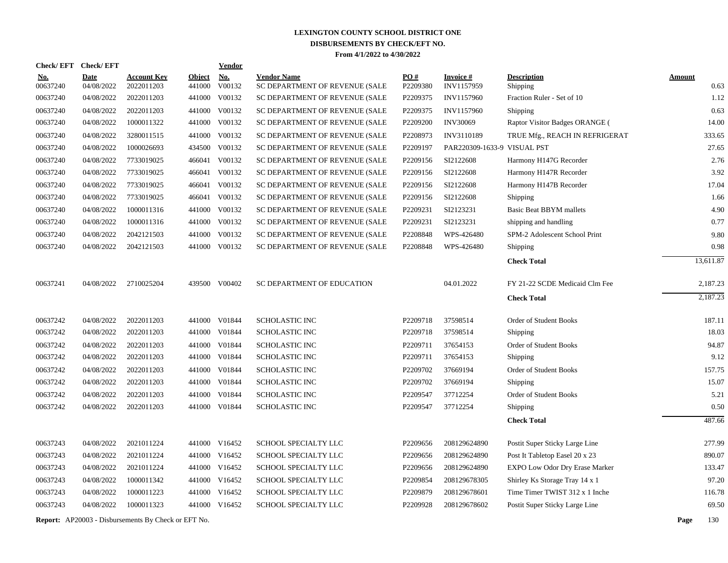| Check/EFT Check/EFT    |                           |                                  |                         | <b>Vendor</b>        |                                                      |                 |                               |                                |                       |
|------------------------|---------------------------|----------------------------------|-------------------------|----------------------|------------------------------------------------------|-----------------|-------------------------------|--------------------------------|-----------------------|
| <u>No.</u><br>00637240 | <b>Date</b><br>04/08/2022 | <b>Account Key</b><br>2022011203 | <b>Object</b><br>441000 | <u>No.</u><br>V00132 | <b>Vendor Name</b><br>SC DEPARTMENT OF REVENUE (SALE | PO#<br>P2209380 | <b>Invoice#</b><br>INV1157959 | <b>Description</b><br>Shipping | <b>Amount</b><br>0.63 |
| 00637240               | 04/08/2022                | 2022011203                       | 441000                  | V00132               | SC DEPARTMENT OF REVENUE (SALE                       | P2209375        | <b>INV1157960</b>             | Fraction Ruler - Set of 10     | 1.12                  |
| 00637240               | 04/08/2022                | 2022011203                       | 441000                  | V00132               | SC DEPARTMENT OF REVENUE (SALE                       | P2209375        | <b>INV1157960</b>             | Shipping                       | 0.63                  |
| 00637240               | 04/08/2022                | 1000011322                       | 441000                  | V00132               | SC DEPARTMENT OF REVENUE (SALE                       | P2209200        | <b>INV30069</b>               | Raptor Visitor Badges ORANGE ( | 14.00                 |
| 00637240               | 04/08/2022                | 3280011515                       | 441000                  | V00132               | SC DEPARTMENT OF REVENUE (SALE                       | P2208973        | INV3110189                    | TRUE Mfg., REACH IN REFRIGERAT | 333.65                |
| 00637240               | 04/08/2022                | 1000026693                       | 434500                  | V00132               | SC DEPARTMENT OF REVENUE (SALE                       | P2209197        | PAR220309-1633-9 VISUAL PST   |                                | 27.65                 |
| 00637240               | 04/08/2022                | 7733019025                       | 466041                  | V00132               | SC DEPARTMENT OF REVENUE (SALE                       | P2209156        | SI2122608                     | Harmony H147G Recorder         | 2.76                  |
| 00637240               | 04/08/2022                | 7733019025                       |                         | 466041 V00132        | SC DEPARTMENT OF REVENUE (SALE                       | P2209156        | SI2122608                     | Harmony H147R Recorder         | 3.92                  |
| 00637240               | 04/08/2022                | 7733019025                       |                         | 466041 V00132        | SC DEPARTMENT OF REVENUE (SALE                       | P2209156        | SI2122608                     | Harmony H147B Recorder         | 17.04                 |
| 00637240               | 04/08/2022                | 7733019025                       |                         | 466041 V00132        | SC DEPARTMENT OF REVENUE (SALE                       | P2209156        | SI2122608                     | Shipping                       | 1.66                  |
| 00637240               | 04/08/2022                | 1000011316                       | 441000                  | V00132               | SC DEPARTMENT OF REVENUE (SALE                       | P2209231        | SI2123231                     | <b>Basic Beat BBYM mallets</b> | 4.90                  |
| 00637240               | 04/08/2022                | 1000011316                       |                         | 441000 V00132        | SC DEPARTMENT OF REVENUE (SALE                       | P2209231        | SI2123231                     | shipping and handling          | 0.77                  |
| 00637240               | 04/08/2022                | 2042121503                       | 441000                  | V00132               | SC DEPARTMENT OF REVENUE (SALE                       | P2208848        | WPS-426480                    | SPM-2 Adolescent School Print  | 9.80                  |
| 00637240               | 04/08/2022                | 2042121503                       | 441000                  | V00132               | SC DEPARTMENT OF REVENUE (SALE                       | P2208848        | WPS-426480                    | Shipping                       | 0.98                  |
|                        |                           |                                  |                         |                      |                                                      |                 |                               | <b>Check Total</b>             | 13,611.87             |
| 00637241               | 04/08/2022                | 2710025204                       |                         | 439500 V00402        | SC DEPARTMENT OF EDUCATION                           |                 | 04.01.2022                    | FY 21-22 SCDE Medicaid Clm Fee | 2,187.23              |
|                        |                           |                                  |                         |                      |                                                      |                 |                               | <b>Check Total</b>             | 2.187.23              |
| 00637242               | 04/08/2022                | 2022011203                       |                         | 441000 V01844        | <b>SCHOLASTIC INC</b>                                | P2209718        | 37598514                      | Order of Student Books         | 187.11                |
| 00637242               | 04/08/2022                | 2022011203                       |                         | 441000 V01844        | <b>SCHOLASTIC INC</b>                                | P2209718        | 37598514                      | Shipping                       | 18.03                 |
| 00637242               | 04/08/2022                | 2022011203                       |                         | 441000 V01844        | <b>SCHOLASTIC INC</b>                                | P2209711        | 37654153                      | Order of Student Books         | 94.87                 |
| 00637242               | 04/08/2022                | 2022011203                       |                         | 441000 V01844        | <b>SCHOLASTIC INC</b>                                | P2209711        | 37654153                      | Shipping                       | 9.12                  |
| 00637242               | 04/08/2022                | 2022011203                       | 441000                  | V01844               | <b>SCHOLASTIC INC</b>                                | P2209702        | 37669194                      | Order of Student Books         | 157.75                |
| 00637242               | 04/08/2022                | 2022011203                       | 441000                  | V01844               | <b>SCHOLASTIC INC</b>                                | P2209702        | 37669194                      | Shipping                       | 15.07                 |
| 00637242               | 04/08/2022                | 2022011203                       | 441000                  | V01844               | <b>SCHOLASTIC INC</b>                                | P2209547        | 37712254                      | Order of Student Books         | 5.21                  |
| 00637242               | 04/08/2022                | 2022011203                       |                         | 441000 V01844        | <b>SCHOLASTIC INC</b>                                | P2209547        | 37712254                      | Shipping                       | 0.50                  |
|                        |                           |                                  |                         |                      |                                                      |                 |                               | <b>Check Total</b>             | 487.66                |
| 00637243               | 04/08/2022                | 2021011224                       |                         | 441000 V16452        | <b>SCHOOL SPECIALTY LLC</b>                          | P2209656        | 208129624890                  | Postit Super Sticky Large Line | 277.99                |
| 00637243               | 04/08/2022                | 2021011224                       |                         | 441000 V16452        | <b>SCHOOL SPECIALTY LLC</b>                          | P2209656        | 208129624890                  | Post It Tabletop Easel 20 x 23 | 890.07                |
| 00637243               | 04/08/2022                | 2021011224                       |                         | 441000 V16452        | SCHOOL SPECIALTY LLC                                 | P2209656        | 208129624890                  | EXPO Low Odor Dry Erase Marker | 133.47                |
| 00637243               | 04/08/2022                | 1000011342                       |                         | 441000 V16452        | SCHOOL SPECIALTY LLC                                 | P2209854        | 208129678305                  | Shirley Ks Storage Tray 14 x 1 | 97.20                 |
| 00637243               | 04/08/2022                | 1000011223                       |                         | 441000 V16452        | <b>SCHOOL SPECIALTY LLC</b>                          | P2209879        | 208129678601                  | Time Timer TWIST 312 x 1 Inche | 116.78                |
| 00637243               | 04/08/2022                | 1000011323                       |                         | 441000 V16452        | SCHOOL SPECIALTY LLC                                 | P2209928        | 208129678602                  | Postit Super Sticky Large Line | 69.50                 |
|                        |                           |                                  |                         |                      |                                                      |                 |                               |                                |                       |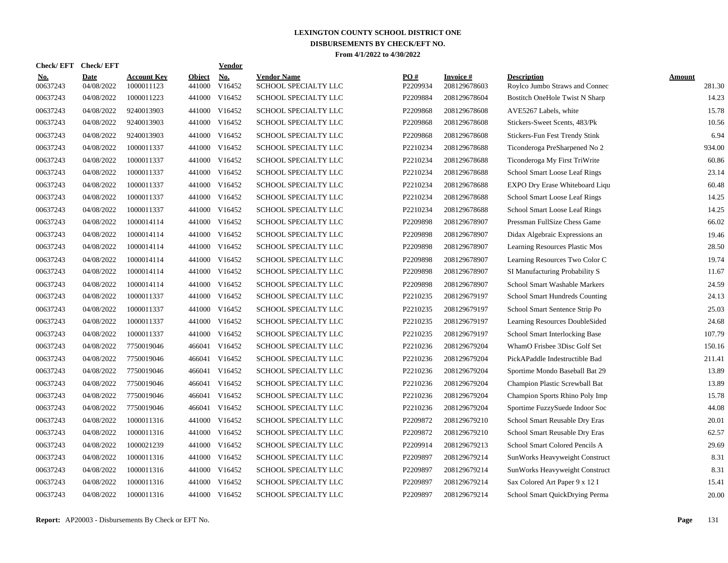| Check/ EFT             | <b>Check/EFT</b>          |                                  |                         | <b>Vendor</b> |                                            |                 |                           |                                                      |                  |
|------------------------|---------------------------|----------------------------------|-------------------------|---------------|--------------------------------------------|-----------------|---------------------------|------------------------------------------------------|------------------|
| <u>No.</u><br>00637243 | <b>Date</b><br>04/08/2022 | <b>Account Key</b><br>1000011123 | <b>Object</b><br>441000 | No.<br>V16452 | <b>Vendor Name</b><br>SCHOOL SPECIALTY LLC | PO#<br>P2209934 | Invoice #<br>208129678603 | <b>Description</b><br>Roylco Jumbo Straws and Connec | Amount<br>281.30 |
| 00637243               | 04/08/2022                | 1000011223                       | 441000                  | V16452        | SCHOOL SPECIALTY LLC                       | P2209884        | 208129678604              | Bostitch OneHole Twist N Sharp                       | 14.23            |
| 00637243               | 04/08/2022                | 9240013903                       | 441000                  | V16452        | SCHOOL SPECIALTY LLC                       | P2209868        | 208129678608              | AVE5267 Labels, white                                | 15.78            |
| 00637243               | 04/08/2022                | 9240013903                       |                         | 441000 V16452 | SCHOOL SPECIALTY LLC                       | P2209868        | 208129678608              | Stickers-Sweet Scents, 483/Pk                        | 10.56            |
| 00637243               | 04/08/2022                | 9240013903                       |                         | 441000 V16452 | SCHOOL SPECIALTY LLC                       | P2209868        | 208129678608              | Stickers-Fun Fest Trendy Stink                       | 6.94             |
| 00637243               | 04/08/2022                | 1000011337                       |                         | 441000 V16452 | SCHOOL SPECIALTY LLC                       | P2210234        | 208129678688              | Ticonderoga PreSharpened No 2                        | 934.00           |
| 00637243               | 04/08/2022                | 1000011337                       | 441000                  | V16452        | SCHOOL SPECIALTY LLC                       | P2210234        | 208129678688              | Ticonderoga My First TriWrite                        | 60.86            |
| 00637243               | 04/08/2022                | 1000011337                       | 441000                  | V16452        | SCHOOL SPECIALTY LLC                       | P2210234        | 208129678688              | School Smart Loose Leaf Rings                        | 23.14            |
| 00637243               | 04/08/2022                | 1000011337                       | 441000                  | V16452        | SCHOOL SPECIALTY LLC                       | P2210234        | 208129678688              | EXPO Dry Erase Whiteboard Liqu                       | 60.48            |
| 00637243               | 04/08/2022                | 1000011337                       | 441000                  | V16452        | SCHOOL SPECIALTY LLC                       | P2210234        | 208129678688              | <b>School Smart Loose Leaf Rings</b>                 | 14.25            |
| 00637243               | 04/08/2022                | 1000011337                       |                         | 441000 V16452 | SCHOOL SPECIALTY LLC                       | P2210234        | 208129678688              | School Smart Loose Leaf Rings                        | 14.25            |
| 00637243               | 04/08/2022                | 1000014114                       |                         | 441000 V16452 | SCHOOL SPECIALTY LLC                       | P2209898        | 208129678907              | Pressman FullSize Chess Game                         | 66.02            |
| 00637243               | 04/08/2022                | 1000014114                       |                         | 441000 V16452 | SCHOOL SPECIALTY LLC                       | P2209898        | 208129678907              | Didax Algebraic Expressions an                       | 19.46            |
| 00637243               | 04/08/2022                | 1000014114                       |                         | 441000 V16452 | SCHOOL SPECIALTY LLC                       | P2209898        | 208129678907              | Learning Resources Plastic Mos                       | 28.50            |
| 00637243               | 04/08/2022                | 1000014114                       | 441000                  | V16452        | SCHOOL SPECIALTY LLC                       | P2209898        | 208129678907              | Learning Resources Two Color C                       | 19.74            |
| 00637243               | 04/08/2022                | 1000014114                       | 441000                  | V16452        | SCHOOL SPECIALTY LLC                       | P2209898        | 208129678907              | SI Manufacturing Probability S                       | 11.67            |
| 00637243               | 04/08/2022                | 1000014114                       | 441000                  | V16452        | SCHOOL SPECIALTY LLC                       | P2209898        | 208129678907              | <b>School Smart Washable Markers</b>                 | 24.59            |
| 00637243               | 04/08/2022                | 1000011337                       | 441000                  | V16452        | SCHOOL SPECIALTY LLC                       | P2210235        | 208129679197              | School Smart Hundreds Counting                       | 24.13            |
| 00637243               | 04/08/2022                | 1000011337                       | 441000                  | V16452        | SCHOOL SPECIALTY LLC                       | P2210235        | 208129679197              | School Smart Sentence Strip Po                       | 25.03            |
| 00637243               | 04/08/2022                | 1000011337                       |                         | 441000 V16452 | SCHOOL SPECIALTY LLC                       | P2210235        | 208129679197              | Learning Resources DoubleSided                       | 24.68            |
| 00637243               | 04/08/2022                | 1000011337                       | 441000                  | V16452        | SCHOOL SPECIALTY LLC                       | P2210235        | 208129679197              | School Smart Interlocking Base                       | 107.79           |
| 00637243               | 04/08/2022                | 7750019046                       |                         | 466041 V16452 | SCHOOL SPECIALTY LLC                       | P2210236        | 208129679204              | WhamO Frisbee 3Disc Golf Set                         | 150.16           |
| 00637243               | 04/08/2022                | 7750019046                       | 466041                  | V16452        | SCHOOL SPECIALTY LLC                       | P2210236        | 208129679204              | PickAPaddle Indestructible Bad                       | 211.41           |
| 00637243               | 04/08/2022                | 7750019046                       | 466041                  | V16452        | SCHOOL SPECIALTY LLC                       | P2210236        | 208129679204              | Sportime Mondo Baseball Bat 29                       | 13.89            |
| 00637243               | 04/08/2022                | 7750019046                       | 466041                  | V16452        | <b>SCHOOL SPECIALTY LLC</b>                | P2210236        | 208129679204              | Champion Plastic Screwball Bat                       | 13.89            |
| 00637243               | 04/08/2022                | 7750019046                       | 466041                  | V16452        | SCHOOL SPECIALTY LLC                       | P2210236        | 208129679204              | Champion Sports Rhino Poly Imp                       | 15.78            |
| 00637243               | 04/08/2022                | 7750019046                       | 466041                  | V16452        | <b>SCHOOL SPECIALTY LLC</b>                | P2210236        | 208129679204              | Sportime FuzzySuede Indoor Soc                       | 44.08            |
| 00637243               | 04/08/2022                | 1000011316                       | 441000                  | V16452        | SCHOOL SPECIALTY LLC                       | P2209872        | 208129679210              | School Smart Reusable Dry Eras                       | 20.01            |
| 00637243               | 04/08/2022                | 1000011316                       |                         | 441000 V16452 | SCHOOL SPECIALTY LLC                       | P2209872        | 208129679210              | School Smart Reusable Dry Eras                       | 62.57            |
| 00637243               | 04/08/2022                | 1000021239                       |                         | 441000 V16452 | SCHOOL SPECIALTY LLC                       | P2209914        | 208129679213              | School Smart Colored Pencils A                       | 29.69            |
| 00637243               | 04/08/2022                | 1000011316                       |                         | 441000 V16452 | SCHOOL SPECIALTY LLC                       | P2209897        | 208129679214              | SunWorks Heavyweight Construct                       | 8.31             |
| 00637243               | 04/08/2022                | 1000011316                       | 441000                  | V16452        | <b>SCHOOL SPECIALTY LLC</b>                | P2209897        | 208129679214              | SunWorks Heavyweight Construct                       | 8.31             |
| 00637243               | 04/08/2022                | 1000011316                       | 441000                  | V16452        | SCHOOL SPECIALTY LLC                       | P2209897        | 208129679214              | Sax Colored Art Paper 9 x 12 I                       | 15.41            |
| 00637243               | 04/08/2022                | 1000011316                       |                         | 441000 V16452 | SCHOOL SPECIALTY LLC                       | P2209897        | 208129679214              | School Smart QuickDrying Perma                       | 20.00            |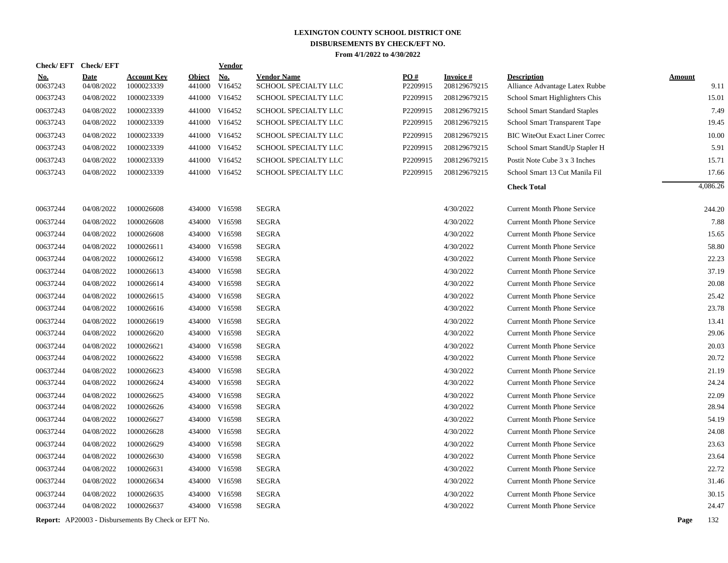| <b>Check/EFT</b> | <b>Check/EFT</b>                                                                             |                                                                                                              |                                                                                                              | <b>Vendor</b>                                                        |                                                                                                                                                                                                                                                                                                                                                                                                                                                                                                                              |                                                                                                                                                                                              |                                                                                              |                                                                                                                              |                                                                                                                                                                                                                                                                                         |          |
|------------------|----------------------------------------------------------------------------------------------|--------------------------------------------------------------------------------------------------------------|--------------------------------------------------------------------------------------------------------------|----------------------------------------------------------------------|------------------------------------------------------------------------------------------------------------------------------------------------------------------------------------------------------------------------------------------------------------------------------------------------------------------------------------------------------------------------------------------------------------------------------------------------------------------------------------------------------------------------------|----------------------------------------------------------------------------------------------------------------------------------------------------------------------------------------------|----------------------------------------------------------------------------------------------|------------------------------------------------------------------------------------------------------------------------------|-----------------------------------------------------------------------------------------------------------------------------------------------------------------------------------------------------------------------------------------------------------------------------------------|----------|
| <u>No.</u>       | <b>Date</b>                                                                                  | <b>Account Key</b>                                                                                           | <b>Object</b>                                                                                                | No.                                                                  | <b>Vendor Name</b>                                                                                                                                                                                                                                                                                                                                                                                                                                                                                                           | PO#                                                                                                                                                                                          | <u>Invoice #</u>                                                                             | <b>Description</b>                                                                                                           | <b>Amount</b>                                                                                                                                                                                                                                                                           |          |
|                  |                                                                                              |                                                                                                              |                                                                                                              |                                                                      |                                                                                                                                                                                                                                                                                                                                                                                                                                                                                                                              |                                                                                                                                                                                              |                                                                                              |                                                                                                                              |                                                                                                                                                                                                                                                                                         | 9.11     |
|                  |                                                                                              |                                                                                                              |                                                                                                              |                                                                      |                                                                                                                                                                                                                                                                                                                                                                                                                                                                                                                              |                                                                                                                                                                                              |                                                                                              |                                                                                                                              |                                                                                                                                                                                                                                                                                         | 15.01    |
|                  |                                                                                              |                                                                                                              |                                                                                                              |                                                                      |                                                                                                                                                                                                                                                                                                                                                                                                                                                                                                                              |                                                                                                                                                                                              |                                                                                              |                                                                                                                              |                                                                                                                                                                                                                                                                                         | 7.49     |
|                  |                                                                                              |                                                                                                              |                                                                                                              |                                                                      |                                                                                                                                                                                                                                                                                                                                                                                                                                                                                                                              |                                                                                                                                                                                              |                                                                                              |                                                                                                                              |                                                                                                                                                                                                                                                                                         | 19.45    |
|                  |                                                                                              |                                                                                                              |                                                                                                              |                                                                      |                                                                                                                                                                                                                                                                                                                                                                                                                                                                                                                              |                                                                                                                                                                                              |                                                                                              |                                                                                                                              |                                                                                                                                                                                                                                                                                         | 10.00    |
|                  |                                                                                              |                                                                                                              |                                                                                                              |                                                                      |                                                                                                                                                                                                                                                                                                                                                                                                                                                                                                                              |                                                                                                                                                                                              |                                                                                              |                                                                                                                              |                                                                                                                                                                                                                                                                                         | 5.91     |
|                  |                                                                                              |                                                                                                              |                                                                                                              |                                                                      |                                                                                                                                                                                                                                                                                                                                                                                                                                                                                                                              |                                                                                                                                                                                              |                                                                                              |                                                                                                                              |                                                                                                                                                                                                                                                                                         | 15.71    |
|                  |                                                                                              |                                                                                                              |                                                                                                              |                                                                      |                                                                                                                                                                                                                                                                                                                                                                                                                                                                                                                              |                                                                                                                                                                                              |                                                                                              |                                                                                                                              |                                                                                                                                                                                                                                                                                         | 17.66    |
|                  |                                                                                              |                                                                                                              |                                                                                                              |                                                                      |                                                                                                                                                                                                                                                                                                                                                                                                                                                                                                                              |                                                                                                                                                                                              |                                                                                              | <b>Check Total</b>                                                                                                           |                                                                                                                                                                                                                                                                                         | 4,086.26 |
| 00637244         | 04/08/2022                                                                                   | 1000026608                                                                                                   |                                                                                                              |                                                                      | <b>SEGRA</b>                                                                                                                                                                                                                                                                                                                                                                                                                                                                                                                 |                                                                                                                                                                                              | 4/30/2022                                                                                    | <b>Current Month Phone Service</b>                                                                                           |                                                                                                                                                                                                                                                                                         | 244.20   |
| 00637244         | 04/08/2022                                                                                   | 1000026608                                                                                                   |                                                                                                              |                                                                      | <b>SEGRA</b>                                                                                                                                                                                                                                                                                                                                                                                                                                                                                                                 |                                                                                                                                                                                              | 4/30/2022                                                                                    | <b>Current Month Phone Service</b>                                                                                           |                                                                                                                                                                                                                                                                                         | 7.88     |
| 00637244         | 04/08/2022                                                                                   | 1000026608                                                                                                   |                                                                                                              |                                                                      | <b>SEGRA</b>                                                                                                                                                                                                                                                                                                                                                                                                                                                                                                                 |                                                                                                                                                                                              | 4/30/2022                                                                                    | <b>Current Month Phone Service</b>                                                                                           |                                                                                                                                                                                                                                                                                         | 15.65    |
| 00637244         | 04/08/2022                                                                                   | 1000026611                                                                                                   |                                                                                                              |                                                                      | <b>SEGRA</b>                                                                                                                                                                                                                                                                                                                                                                                                                                                                                                                 |                                                                                                                                                                                              | 4/30/2022                                                                                    | <b>Current Month Phone Service</b>                                                                                           |                                                                                                                                                                                                                                                                                         | 58.80    |
| 00637244         | 04/08/2022                                                                                   | 1000026612                                                                                                   |                                                                                                              |                                                                      | <b>SEGRA</b>                                                                                                                                                                                                                                                                                                                                                                                                                                                                                                                 |                                                                                                                                                                                              | 4/30/2022                                                                                    | <b>Current Month Phone Service</b>                                                                                           |                                                                                                                                                                                                                                                                                         | 22.23    |
| 00637244         | 04/08/2022                                                                                   | 1000026613                                                                                                   |                                                                                                              | V16598                                                               | <b>SEGRA</b>                                                                                                                                                                                                                                                                                                                                                                                                                                                                                                                 |                                                                                                                                                                                              | 4/30/2022                                                                                    | <b>Current Month Phone Service</b>                                                                                           |                                                                                                                                                                                                                                                                                         | 37.19    |
| 00637244         | 04/08/2022                                                                                   | 1000026614                                                                                                   |                                                                                                              |                                                                      | <b>SEGRA</b>                                                                                                                                                                                                                                                                                                                                                                                                                                                                                                                 |                                                                                                                                                                                              | 4/30/2022                                                                                    | <b>Current Month Phone Service</b>                                                                                           |                                                                                                                                                                                                                                                                                         | 20.08    |
| 00637244         | 04/08/2022                                                                                   | 1000026615                                                                                                   |                                                                                                              |                                                                      | <b>SEGRA</b>                                                                                                                                                                                                                                                                                                                                                                                                                                                                                                                 |                                                                                                                                                                                              | 4/30/2022                                                                                    | <b>Current Month Phone Service</b>                                                                                           |                                                                                                                                                                                                                                                                                         | 25.42    |
| 00637244         | 04/08/2022                                                                                   | 1000026616                                                                                                   |                                                                                                              |                                                                      | <b>SEGRA</b>                                                                                                                                                                                                                                                                                                                                                                                                                                                                                                                 |                                                                                                                                                                                              | 4/30/2022                                                                                    | <b>Current Month Phone Service</b>                                                                                           |                                                                                                                                                                                                                                                                                         | 23.78    |
| 00637244         | 04/08/2022                                                                                   | 1000026619                                                                                                   |                                                                                                              |                                                                      | <b>SEGRA</b>                                                                                                                                                                                                                                                                                                                                                                                                                                                                                                                 |                                                                                                                                                                                              | 4/30/2022                                                                                    | <b>Current Month Phone Service</b>                                                                                           |                                                                                                                                                                                                                                                                                         | 13.41    |
| 00637244         | 04/08/2022                                                                                   | 1000026620                                                                                                   |                                                                                                              |                                                                      | <b>SEGRA</b>                                                                                                                                                                                                                                                                                                                                                                                                                                                                                                                 |                                                                                                                                                                                              | 4/30/2022                                                                                    | <b>Current Month Phone Service</b>                                                                                           |                                                                                                                                                                                                                                                                                         | 29.06    |
| 00637244         | 04/08/2022                                                                                   | 1000026621                                                                                                   |                                                                                                              |                                                                      | <b>SEGRA</b>                                                                                                                                                                                                                                                                                                                                                                                                                                                                                                                 |                                                                                                                                                                                              | 4/30/2022                                                                                    | <b>Current Month Phone Service</b>                                                                                           |                                                                                                                                                                                                                                                                                         | 20.03    |
| 00637244         | 04/08/2022                                                                                   | 1000026622                                                                                                   |                                                                                                              |                                                                      | <b>SEGRA</b>                                                                                                                                                                                                                                                                                                                                                                                                                                                                                                                 |                                                                                                                                                                                              | 4/30/2022                                                                                    | <b>Current Month Phone Service</b>                                                                                           |                                                                                                                                                                                                                                                                                         | 20.72    |
| 00637244         | 04/08/2022                                                                                   | 1000026623                                                                                                   |                                                                                                              |                                                                      | <b>SEGRA</b>                                                                                                                                                                                                                                                                                                                                                                                                                                                                                                                 |                                                                                                                                                                                              | 4/30/2022                                                                                    | <b>Current Month Phone Service</b>                                                                                           |                                                                                                                                                                                                                                                                                         | 21.19    |
| 00637244         | 04/08/2022                                                                                   | 1000026624                                                                                                   |                                                                                                              |                                                                      | <b>SEGRA</b>                                                                                                                                                                                                                                                                                                                                                                                                                                                                                                                 |                                                                                                                                                                                              | 4/30/2022                                                                                    | <b>Current Month Phone Service</b>                                                                                           |                                                                                                                                                                                                                                                                                         | 24.24    |
| 00637244         | 04/08/2022                                                                                   | 1000026625                                                                                                   |                                                                                                              | V16598                                                               | <b>SEGRA</b>                                                                                                                                                                                                                                                                                                                                                                                                                                                                                                                 |                                                                                                                                                                                              | 4/30/2022                                                                                    | <b>Current Month Phone Service</b>                                                                                           |                                                                                                                                                                                                                                                                                         | 22.09    |
| 00637244         | 04/08/2022                                                                                   | 1000026626                                                                                                   |                                                                                                              |                                                                      | <b>SEGRA</b>                                                                                                                                                                                                                                                                                                                                                                                                                                                                                                                 |                                                                                                                                                                                              | 4/30/2022                                                                                    | <b>Current Month Phone Service</b>                                                                                           |                                                                                                                                                                                                                                                                                         | 28.94    |
| 00637244         | 04/08/2022                                                                                   | 1000026627                                                                                                   |                                                                                                              |                                                                      | <b>SEGRA</b>                                                                                                                                                                                                                                                                                                                                                                                                                                                                                                                 |                                                                                                                                                                                              | 4/30/2022                                                                                    | <b>Current Month Phone Service</b>                                                                                           |                                                                                                                                                                                                                                                                                         | 54.19    |
| 00637244         | 04/08/2022                                                                                   | 1000026628                                                                                                   |                                                                                                              |                                                                      | <b>SEGRA</b>                                                                                                                                                                                                                                                                                                                                                                                                                                                                                                                 |                                                                                                                                                                                              | 4/30/2022                                                                                    | <b>Current Month Phone Service</b>                                                                                           |                                                                                                                                                                                                                                                                                         | 24.08    |
| 00637244         | 04/08/2022                                                                                   | 1000026629                                                                                                   |                                                                                                              | V16598                                                               | <b>SEGRA</b>                                                                                                                                                                                                                                                                                                                                                                                                                                                                                                                 |                                                                                                                                                                                              | 4/30/2022                                                                                    | <b>Current Month Phone Service</b>                                                                                           |                                                                                                                                                                                                                                                                                         | 23.63    |
| 00637244         | 04/08/2022                                                                                   | 1000026630                                                                                                   |                                                                                                              |                                                                      | <b>SEGRA</b>                                                                                                                                                                                                                                                                                                                                                                                                                                                                                                                 |                                                                                                                                                                                              | 4/30/2022                                                                                    | <b>Current Month Phone Service</b>                                                                                           |                                                                                                                                                                                                                                                                                         | 23.64    |
| 00637244         | 04/08/2022                                                                                   | 1000026631                                                                                                   |                                                                                                              | V16598                                                               | <b>SEGRA</b>                                                                                                                                                                                                                                                                                                                                                                                                                                                                                                                 |                                                                                                                                                                                              | 4/30/2022                                                                                    | <b>Current Month Phone Service</b>                                                                                           |                                                                                                                                                                                                                                                                                         | 22.72    |
| 00637244         | 04/08/2022                                                                                   | 1000026634                                                                                                   |                                                                                                              |                                                                      | <b>SEGRA</b>                                                                                                                                                                                                                                                                                                                                                                                                                                                                                                                 |                                                                                                                                                                                              | 4/30/2022                                                                                    | <b>Current Month Phone Service</b>                                                                                           |                                                                                                                                                                                                                                                                                         | 31.46    |
| 00637244         | 04/08/2022                                                                                   | 1000026635                                                                                                   | 434000                                                                                                       | V16598                                                               | <b>SEGRA</b>                                                                                                                                                                                                                                                                                                                                                                                                                                                                                                                 |                                                                                                                                                                                              | 4/30/2022                                                                                    | <b>Current Month Phone Service</b>                                                                                           |                                                                                                                                                                                                                                                                                         | 30.15    |
| 00637244         | 04/08/2022                                                                                   | 1000026637                                                                                                   |                                                                                                              |                                                                      | <b>SEGRA</b>                                                                                                                                                                                                                                                                                                                                                                                                                                                                                                                 |                                                                                                                                                                                              | 4/30/2022                                                                                    | <b>Current Month Phone Service</b>                                                                                           |                                                                                                                                                                                                                                                                                         | 24.47    |
|                  |                                                                                              |                                                                                                              |                                                                                                              |                                                                      |                                                                                                                                                                                                                                                                                                                                                                                                                                                                                                                              |                                                                                                                                                                                              |                                                                                              |                                                                                                                              | Page                                                                                                                                                                                                                                                                                    | 132      |
|                  | 00637243<br>00637243<br>00637243<br>00637243<br>00637243<br>00637243<br>00637243<br>00637243 | 04/08/2022<br>04/08/2022<br>04/08/2022<br>04/08/2022<br>04/08/2022<br>04/08/2022<br>04/08/2022<br>04/08/2022 | 1000023339<br>1000023339<br>1000023339<br>1000023339<br>1000023339<br>1000023339<br>1000023339<br>1000023339 | 441000<br><b>Report:</b> AP20003 - Disbursements By Check or EFT No. | V16452<br>V16452<br>441000<br>441000 V16452<br>441000 V16452<br>441000 V16452<br>441000 V16452<br>441000 V16452<br>441000 V16452<br>434000 V16598<br>434000 V16598<br>434000 V16598<br>434000 V16598<br>434000 V16598<br>434000<br>434000 V16598<br>434000 V16598<br>434000 V16598<br>434000 V16598<br>434000 V16598<br>434000 V16598<br>434000 V16598<br>434000 V16598<br>434000 V16598<br>434000<br>434000 V16598<br>434000 V16598<br>434000 V16598<br>434000<br>434000 V16598<br>434000<br>434000 V16598<br>434000 V16598 | SCHOOL SPECIALTY LLC<br>SCHOOL SPECIALTY LLC<br>SCHOOL SPECIALTY LLC<br>SCHOOL SPECIALTY LLC<br>SCHOOL SPECIALTY LLC<br>SCHOOL SPECIALTY LLC<br>SCHOOL SPECIALTY LLC<br>SCHOOL SPECIALTY LLC | P2209915<br>P2209915<br>P2209915<br>P2209915<br>P2209915<br>P2209915<br>P2209915<br>P2209915 | 208129679215<br>208129679215<br>208129679215<br>208129679215<br>208129679215<br>208129679215<br>208129679215<br>208129679215 | Alliance Advantage Latex Rubbe<br>School Smart Highlighters Chis<br><b>School Smart Standard Staples</b><br>School Smart Transparent Tape<br><b>BIC WiteOut Exact Liner Correc</b><br>School Smart StandUp Stapler H<br>Postit Note Cube 3 x 3 Inches<br>School Smart 13 Cut Manila Fil |          |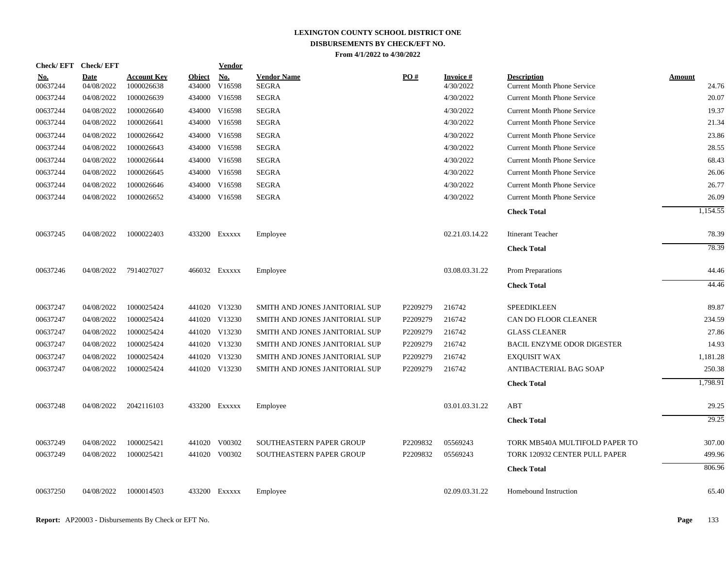| <b>Check/EFT</b>       | <b>Check/EFT</b>          |                           |                         | <b>Vendor</b> |                                    |          |                        |                                                          |                 |
|------------------------|---------------------------|---------------------------|-------------------------|---------------|------------------------------------|----------|------------------------|----------------------------------------------------------|-----------------|
| <u>No.</u><br>00637244 | <b>Date</b><br>04/08/2022 | Account Kev<br>1000026638 | <b>Object</b><br>434000 | No.<br>V16598 | <b>Vendor Name</b><br><b>SEGRA</b> | PO#      | Invoice #<br>4/30/2022 | <b>Description</b><br><b>Current Month Phone Service</b> | Amount<br>24.76 |
| 00637244               | 04/08/2022                | 1000026639                |                         | 434000 V16598 | <b>SEGRA</b>                       |          | 4/30/2022              | <b>Current Month Phone Service</b>                       | 20.07           |
| 00637244               | 04/08/2022                | 1000026640                |                         | 434000 V16598 | <b>SEGRA</b>                       |          | 4/30/2022              | <b>Current Month Phone Service</b>                       | 19.37           |
| 00637244               | 04/08/2022                | 1000026641                |                         | 434000 V16598 | <b>SEGRA</b>                       |          | 4/30/2022              | <b>Current Month Phone Service</b>                       | 21.34           |
| 00637244               | 04/08/2022                | 1000026642                |                         | 434000 V16598 | <b>SEGRA</b>                       |          | 4/30/2022              | <b>Current Month Phone Service</b>                       | 23.86           |
| 00637244               | 04/08/2022                | 1000026643                |                         | 434000 V16598 | <b>SEGRA</b>                       |          | 4/30/2022              | <b>Current Month Phone Service</b>                       | 28.55           |
| 00637244               | 04/08/2022                | 1000026644                |                         | 434000 V16598 | <b>SEGRA</b>                       |          | 4/30/2022              | <b>Current Month Phone Service</b>                       | 68.43           |
| 00637244               | 04/08/2022                | 1000026645                |                         | 434000 V16598 | <b>SEGRA</b>                       |          | 4/30/2022              | <b>Current Month Phone Service</b>                       | 26.06           |
| 00637244               | 04/08/2022                | 1000026646                |                         | 434000 V16598 | <b>SEGRA</b>                       |          | 4/30/2022              | <b>Current Month Phone Service</b>                       | 26.77           |
| 00637244               | 04/08/2022                | 1000026652                |                         | 434000 V16598 | <b>SEGRA</b>                       |          | 4/30/2022              | <b>Current Month Phone Service</b>                       | 26.09           |
|                        |                           |                           |                         |               |                                    |          |                        | <b>Check Total</b>                                       | 1,154.55        |
| 00637245               | 04/08/2022                | 1000022403                |                         | 433200 Exxxxx | Employee                           |          | 02.21.03.14.22         | <b>Itinerant Teacher</b>                                 | 78.39           |
|                        |                           |                           |                         |               |                                    |          |                        | <b>Check Total</b>                                       | 78.39           |
| 00637246               | 04/08/2022                | 7914027027                |                         | 466032 Exxxxx | Employee                           |          | 03.08.03.31.22         | Prom Preparations                                        | 44.46           |
|                        |                           |                           |                         |               |                                    |          |                        | <b>Check Total</b>                                       | 44.46           |
| 00637247               | 04/08/2022                | 1000025424                |                         | 441020 V13230 | SMITH AND JONES JANITORIAL SUP     | P2209279 | 216742                 | <b>SPEEDIKLEEN</b>                                       | 89.87           |
| 00637247               | 04/08/2022                | 1000025424                |                         | 441020 V13230 | SMITH AND JONES JANITORIAL SUP     | P2209279 | 216742                 | CAN DO FLOOR CLEANER                                     | 234.59          |
| 00637247               | 04/08/2022                | 1000025424                |                         | 441020 V13230 | SMITH AND JONES JANITORIAL SUP     | P2209279 | 216742                 | <b>GLASS CLEANER</b>                                     | 27.86           |
| 00637247               | 04/08/2022                | 1000025424                |                         | 441020 V13230 | SMITH AND JONES JANITORIAL SUP     | P2209279 | 216742                 | <b>BACIL ENZYME ODOR DIGESTER</b>                        | 14.93           |
| 00637247               | 04/08/2022                | 1000025424                |                         | 441020 V13230 | SMITH AND JONES JANITORIAL SUP     | P2209279 | 216742                 | <b>EXOUISIT WAX</b>                                      | 1,181.28        |
| 00637247               | 04/08/2022                | 1000025424                |                         | 441020 V13230 | SMITH AND JONES JANITORIAL SUP     | P2209279 | 216742                 | ANTIBACTERIAL BAG SOAP                                   | 250.38          |
|                        |                           |                           |                         |               |                                    |          |                        | <b>Check Total</b>                                       | 1,798.91        |
| 00637248               | 04/08/2022                | 2042116103                |                         | 433200 Exxxxx | Employee                           |          | 03.01.03.31.22         | ABT                                                      | 29.25           |
|                        |                           |                           |                         |               |                                    |          |                        | <b>Check Total</b>                                       | 29.25           |
| 00637249               | 04/08/2022                | 1000025421                |                         | 441020 V00302 | <b>SOUTHEASTERN PAPER GROUP</b>    | P2209832 | 05569243               | TORK MB540A MULTIFOLD PAPER TO                           | 307.00          |
| 00637249               | 04/08/2022                | 1000025421                |                         | 441020 V00302 | <b>SOUTHEASTERN PAPER GROUP</b>    | P2209832 | 05569243               | TORK 120932 CENTER PULL PAPER                            | 499.96          |
|                        |                           |                           |                         |               |                                    |          |                        | <b>Check Total</b>                                       | 806.96          |
| 00637250               | 04/08/2022                | 1000014503                |                         | 433200 Exxxxx | Employee                           |          | 02.09.03.31.22         | Homebound Instruction                                    | 65.40           |
|                        |                           |                           |                         |               |                                    |          |                        |                                                          |                 |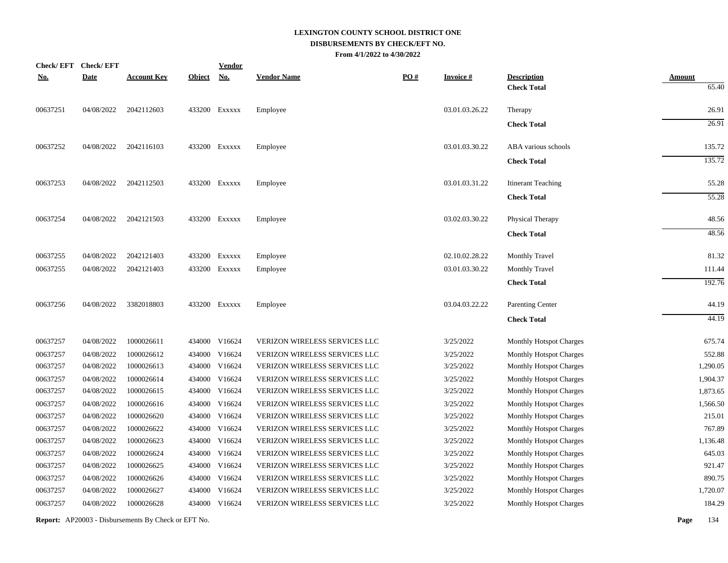| <b>Check/EFT</b> | <b>Check/EFT</b> |                    |               | <b>Vendor</b> |                               |                   |                 |                                          |                        |
|------------------|------------------|--------------------|---------------|---------------|-------------------------------|-------------------|-----------------|------------------------------------------|------------------------|
| <u>No.</u>       | <b>Date</b>      | <b>Account Key</b> | <b>Object</b> | <u>No.</u>    | <b>Vendor Name</b>            | $\underline{PO#}$ | <b>Invoice#</b> | <b>Description</b><br><b>Check Total</b> | <b>Amount</b><br>65.40 |
| 00637251         | 04/08/2022       | 2042112603         |               | 433200 Exxxxx | Employee                      |                   | 03.01.03.26.22  | Therapy                                  | 26.91                  |
|                  |                  |                    |               |               |                               |                   |                 | <b>Check Total</b>                       | 26.91                  |
| 00637252         | 04/08/2022       | 2042116103         |               | 433200 Exxxxx | Employee                      |                   | 03.01.03.30.22  | ABA various schools                      | 135.72                 |
|                  |                  |                    |               |               |                               |                   |                 | <b>Check Total</b>                       | 135.72                 |
| 00637253         | 04/08/2022       | 2042112503         |               | 433200 Exxxxx | Employee                      |                   | 03.01.03.31.22  | <b>Itinerant Teaching</b>                | 55.28                  |
|                  |                  |                    |               |               |                               |                   |                 | <b>Check Total</b>                       | 55.28                  |
| 00637254         | 04/08/2022       | 2042121503         |               | 433200 Exxxxx | Employee                      |                   | 03.02.03.30.22  | Physical Therapy                         | 48.56                  |
|                  |                  |                    |               |               |                               |                   |                 | <b>Check Total</b>                       | 48.56                  |
| 00637255         | 04/08/2022       | 2042121403         | 433200        | EXXXXX        | Employee                      |                   | 02.10.02.28.22  | <b>Monthly Travel</b>                    | 81.32                  |
| 00637255         | 04/08/2022       | 2042121403         |               | 433200 Exxxxx | Employee                      |                   | 03.01.03.30.22  | <b>Monthly Travel</b>                    | 111.44                 |
|                  |                  |                    |               |               |                               |                   |                 | <b>Check Total</b>                       | 192.76                 |
| 00637256         | 04/08/2022       | 3382018803         |               | 433200 Exxxxx | Employee                      |                   | 03.04.03.22.22  | Parenting Center                         | 44.19                  |
|                  |                  |                    |               |               |                               |                   |                 | <b>Check Total</b>                       | 44.19                  |
| 00637257         | 04/08/2022       | 1000026611         |               | 434000 V16624 | VERIZON WIRELESS SERVICES LLC |                   | 3/25/2022       | Monthly Hotspot Charges                  | 675.74                 |
| 00637257         | 04/08/2022       | 1000026612         | 434000        | V16624        | VERIZON WIRELESS SERVICES LLC |                   | 3/25/2022       | Monthly Hotspot Charges                  | 552.88                 |
| 00637257         | 04/08/2022       | 1000026613         | 434000        | V16624        | VERIZON WIRELESS SERVICES LLC |                   | 3/25/2022       | Monthly Hotspot Charges                  | 1,290.05               |
| 00637257         | 04/08/2022       | 1000026614         | 434000        | V16624        | VERIZON WIRELESS SERVICES LLC |                   | 3/25/2022       | Monthly Hotspot Charges                  | 1,904.37               |
| 00637257         | 04/08/2022       | 1000026615         | 434000        | V16624        | VERIZON WIRELESS SERVICES LLC |                   | 3/25/2022       | <b>Monthly Hotspot Charges</b>           | 1,873.65               |
| 00637257         | 04/08/2022       | 1000026616         | 434000        | V16624        | VERIZON WIRELESS SERVICES LLC |                   | 3/25/2022       | <b>Monthly Hotspot Charges</b>           | 1,566.50               |
| 00637257         | 04/08/2022       | 1000026620         | 434000        | V16624        | VERIZON WIRELESS SERVICES LLC |                   | 3/25/2022       | <b>Monthly Hotspot Charges</b>           | 215.01                 |
| 00637257         | 04/08/2022       | 1000026622         | 434000        | V16624        | VERIZON WIRELESS SERVICES LLC |                   | 3/25/2022       | <b>Monthly Hotspot Charges</b>           | 767.89                 |
| 00637257         | 04/08/2022       | 1000026623         | 434000        | V16624        | VERIZON WIRELESS SERVICES LLC |                   | 3/25/2022       | Monthly Hotspot Charges                  | 1,136.48               |
| 00637257         | 04/08/2022       | 1000026624         | 434000        | V16624        | VERIZON WIRELESS SERVICES LLC |                   | 3/25/2022       | Monthly Hotspot Charges                  | 645.03                 |
| 00637257         | 04/08/2022       | 1000026625         |               | 434000 V16624 | VERIZON WIRELESS SERVICES LLC |                   | 3/25/2022       | Monthly Hotspot Charges                  | 921.47                 |
| 00637257         | 04/08/2022       | 1000026626         | 434000        | V16624        | VERIZON WIRELESS SERVICES LLC |                   | 3/25/2022       | Monthly Hotspot Charges                  | 890.75                 |
| 00637257         | 04/08/2022       | 1000026627         | 434000        | V16624        | VERIZON WIRELESS SERVICES LLC |                   | 3/25/2022       | <b>Monthly Hotspot Charges</b>           | 1,720.07               |
| 00637257         | 04/08/2022       | 1000026628         |               | 434000 V16624 | VERIZON WIRELESS SERVICES LLC |                   | 3/25/2022       | <b>Monthly Hotspot Charges</b>           | 184.29                 |
|                  |                  |                    |               |               |                               |                   |                 |                                          |                        |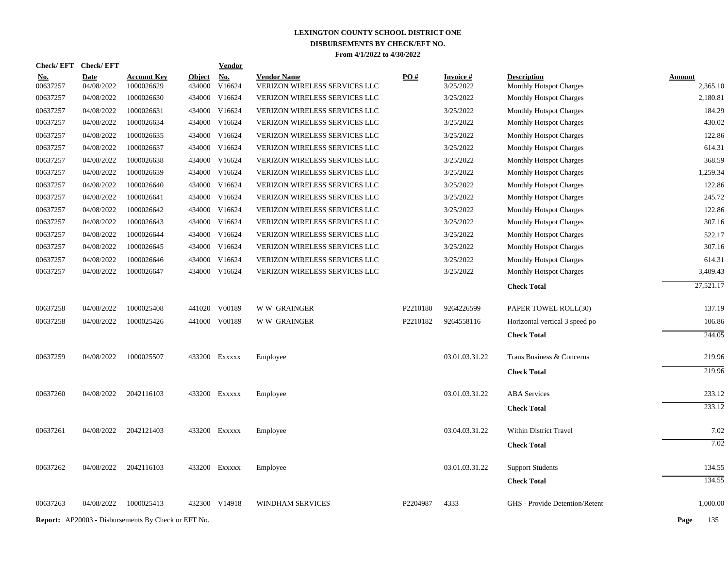| Check/EFT Check/EFT |             |                                                            |               | <b>Vendor</b> |                                      |          |                 |                                |               |
|---------------------|-------------|------------------------------------------------------------|---------------|---------------|--------------------------------------|----------|-----------------|--------------------------------|---------------|
| <u>No.</u>          | <b>Date</b> | <b>Account Key</b>                                         | <b>Object</b> | <b>No.</b>    | <b>Vendor Name</b>                   | PO#      | <b>Invoice#</b> | <b>Description</b>             | <b>Amount</b> |
| 00637257            | 04/08/2022  | 1000026629                                                 | 434000        | V16624        | VERIZON WIRELESS SERVICES LLC        |          | 3/25/2022       | <b>Monthly Hotspot Charges</b> | 2,365.10      |
| 00637257            | 04/08/2022  | 1000026630                                                 | 434000        | V16624        | VERIZON WIRELESS SERVICES LLC        |          | 3/25/2022       | Monthly Hotspot Charges        | 2,180.81      |
| 00637257            | 04/08/2022  | 1000026631                                                 |               | 434000 V16624 | VERIZON WIRELESS SERVICES LLC        |          | 3/25/2022       | <b>Monthly Hotspot Charges</b> | 184.29        |
| 00637257            | 04/08/2022  | 1000026634                                                 | 434000        | V16624        | VERIZON WIRELESS SERVICES LLC        |          | 3/25/2022       | <b>Monthly Hotspot Charges</b> | 430.02        |
| 00637257            | 04/08/2022  | 1000026635                                                 |               | 434000 V16624 | VERIZON WIRELESS SERVICES LLC        |          | 3/25/2022       | <b>Monthly Hotspot Charges</b> | 122.86        |
| 00637257            | 04/08/2022  | 1000026637                                                 |               | 434000 V16624 | VERIZON WIRELESS SERVICES LLC        |          | 3/25/2022       | Monthly Hotspot Charges        | 614.31        |
| 00637257            | 04/08/2022  | 1000026638                                                 | 434000 V16624 |               | VERIZON WIRELESS SERVICES LLC        |          | 3/25/2022       | Monthly Hotspot Charges        | 368.59        |
| 00637257            | 04/08/2022  | 1000026639                                                 |               | 434000 V16624 | VERIZON WIRELESS SERVICES LLC        |          | 3/25/2022       | <b>Monthly Hotspot Charges</b> | 1,259.34      |
| 00637257            | 04/08/2022  | 1000026640                                                 | 434000 V16624 |               | <b>VERIZON WIRELESS SERVICES LLC</b> |          | 3/25/2022       | <b>Monthly Hotspot Charges</b> | 122.86        |
| 00637257            | 04/08/2022  | 1000026641                                                 |               | 434000 V16624 | VERIZON WIRELESS SERVICES LLC        |          | 3/25/2022       | <b>Monthly Hotspot Charges</b> | 245.72        |
| 00637257            | 04/08/2022  | 1000026642                                                 | 434000        | V16624        | VERIZON WIRELESS SERVICES LLC        |          | 3/25/2022       | <b>Monthly Hotspot Charges</b> | 122.86        |
| 00637257            | 04/08/2022  | 1000026643                                                 |               | 434000 V16624 | VERIZON WIRELESS SERVICES LLC        |          | 3/25/2022       | Monthly Hotspot Charges        | 307.16        |
| 00637257            | 04/08/2022  | 1000026644                                                 | 434000 V16624 |               | <b>VERIZON WIRELESS SERVICES LLC</b> |          | 3/25/2022       | <b>Monthly Hotspot Charges</b> | 522.17        |
| 00637257            | 04/08/2022  | 1000026645                                                 | 434000 V16624 |               | VERIZON WIRELESS SERVICES LLC        |          | 3/25/2022       | <b>Monthly Hotspot Charges</b> | 307.16        |
| 00637257            | 04/08/2022  | 1000026646                                                 | 434000 V16624 |               | VERIZON WIRELESS SERVICES LLC        |          | 3/25/2022       | <b>Monthly Hotspot Charges</b> | 614.31        |
| 00637257            | 04/08/2022  | 1000026647                                                 |               | 434000 V16624 | VERIZON WIRELESS SERVICES LLC        |          | 3/25/2022       | Monthly Hotspot Charges        | 3,409.43      |
|                     |             |                                                            |               |               |                                      |          |                 | <b>Check Total</b>             | 27,521.17     |
| 00637258            | 04/08/2022  | 1000025408                                                 |               | 441020 V00189 | <b>WW GRAINGER</b>                   | P2210180 | 9264226599      | PAPER TOWEL ROLL(30)           | 137.19        |
| 00637258            | 04/08/2022  | 1000025426                                                 | 441000 V00189 |               | <b>WW GRAINGER</b>                   | P2210182 | 9264558116      | Horizontal vertical 3 speed po | 106.86        |
|                     |             |                                                            |               |               |                                      |          |                 | <b>Check Total</b>             | 244.05        |
| 00637259            | 04/08/2022  | 1000025507                                                 | 433200 EXXXXX |               | Employee                             |          | 03.01.03.31.22  | Trans Business & Concerns      | 219.96        |
|                     |             |                                                            |               |               |                                      |          |                 | <b>Check Total</b>             | 219.96        |
| 00637260            | 04/08/2022  | 2042116103                                                 | 433200 Exxxxx |               | Employee                             |          | 03.01.03.31.22  | <b>ABA</b> Services            | 233.12        |
|                     |             |                                                            |               |               |                                      |          |                 | <b>Check Total</b>             | 233.12        |
| 00637261            | 04/08/2022  | 2042121403                                                 | 433200 Exxxxx |               | Employee                             |          | 03.04.03.31.22  | Within District Travel         | 7.02          |
|                     |             |                                                            |               |               |                                      |          |                 | <b>Check Total</b>             | 7.02          |
| 00637262            | 04/08/2022  | 2042116103                                                 | 433200 Exxxxx |               | Employee                             |          | 03.01.03.31.22  | <b>Support Students</b>        | 134.55        |
|                     |             |                                                            |               |               |                                      |          |                 | <b>Check Total</b>             | 134.55        |
| 00637263            | 04/08/2022  | 1000025413                                                 |               | 432300 V14918 | WINDHAM SERVICES                     | P2204987 | 4333            | GHS - Provide Detention/Retent | 1,000.00      |
|                     |             |                                                            |               |               |                                      |          |                 |                                |               |
|                     |             | <b>Report:</b> AP20003 - Disbursements By Check or EFT No. |               |               |                                      |          |                 |                                | Page<br>135   |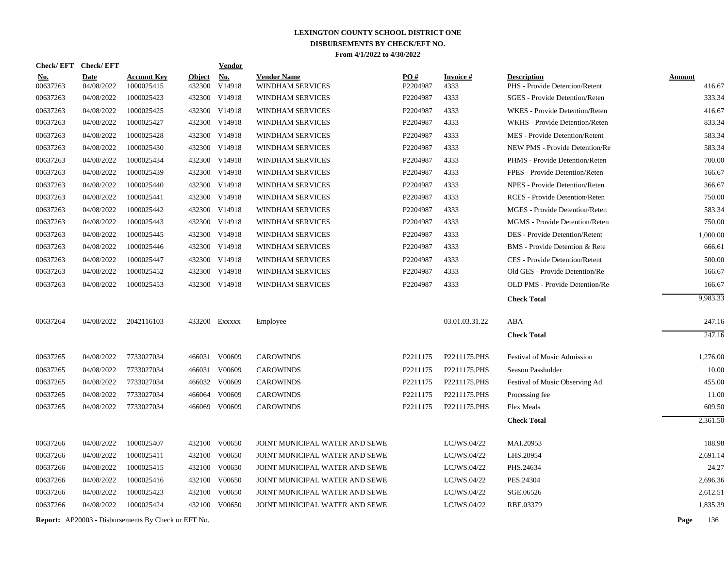|            | Check/EFT Check/EFT |                                                            |               | <b>Vendor</b> |                                |          |                 |                                       |               |
|------------|---------------------|------------------------------------------------------------|---------------|---------------|--------------------------------|----------|-----------------|---------------------------------------|---------------|
| <u>No.</u> | <b>Date</b>         | <b>Account Key</b>                                         | <b>Object</b> | <b>No.</b>    | <b>Vendor Name</b>             | PO#      | <b>Invoice#</b> | <b>Description</b>                    | <b>Amount</b> |
| 00637263   | 04/08/2022          | 1000025415                                                 | 432300        | V14918        | WINDHAM SERVICES               | P2204987 | 4333            | PHS - Provide Detention/Retent        | 416.67        |
| 00637263   | 04/08/2022          | 1000025423                                                 |               | 432300 V14918 | <b>WINDHAM SERVICES</b>        | P2204987 | 4333            | <b>SGES</b> - Provide Detention/Reten | 333.34        |
| 00637263   | 04/08/2022          | 1000025425                                                 |               | 432300 V14918 | <b>WINDHAM SERVICES</b>        | P2204987 | 4333            | WKES - Provide Detention/Reten        | 416.67        |
| 00637263   | 04/08/2022          | 1000025427                                                 |               | 432300 V14918 | WINDHAM SERVICES               | P2204987 | 4333            | WKHS - Provide Detention/Reten        | 833.34        |
| 00637263   | 04/08/2022          | 1000025428                                                 |               | 432300 V14918 | WINDHAM SERVICES               | P2204987 | 4333            | MES - Provide Detention/Retent        | 583.34        |
| 00637263   | 04/08/2022          | 1000025430                                                 |               | 432300 V14918 | WINDHAM SERVICES               | P2204987 | 4333            | NEW PMS - Provide Detention/Re        | 583.34        |
| 00637263   | 04/08/2022          | 1000025434                                                 |               | 432300 V14918 | <b>WINDHAM SERVICES</b>        | P2204987 | 4333            | PHMS - Provide Detention/Reten        | 700.00        |
| 00637263   | 04/08/2022          | 1000025439                                                 |               | 432300 V14918 | WINDHAM SERVICES               | P2204987 | 4333            | FPES - Provide Detention/Reten        | 166.67        |
| 00637263   | 04/08/2022          | 1000025440                                                 |               | 432300 V14918 | WINDHAM SERVICES               | P2204987 | 4333            | NPES - Provide Detention/Reten        | 366.67        |
| 00637263   | 04/08/2022          | 1000025441                                                 |               | 432300 V14918 | WINDHAM SERVICES               | P2204987 | 4333            | RCES - Provide Detention/Reten        | 750.00        |
| 00637263   | 04/08/2022          | 1000025442                                                 |               | 432300 V14918 | <b>WINDHAM SERVICES</b>        | P2204987 | 4333            | MGES - Provide Detention/Reten        | 583.34        |
| 00637263   | 04/08/2022          | 1000025443                                                 |               | 432300 V14918 | WINDHAM SERVICES               | P2204987 | 4333            | MGMS - Provide Detention/Reten        | 750.00        |
| 00637263   | 04/08/2022          | 1000025445                                                 |               | 432300 V14918 | WINDHAM SERVICES               | P2204987 | 4333            | <b>DES</b> - Provide Detention/Retent | 1,000.00      |
| 00637263   | 04/08/2022          | 1000025446                                                 |               | 432300 V14918 | <b>WINDHAM SERVICES</b>        | P2204987 | 4333            | BMS - Provide Detention & Rete        | 666.61        |
| 00637263   | 04/08/2022          | 1000025447                                                 |               | 432300 V14918 | WINDHAM SERVICES               | P2204987 | 4333            | CES - Provide Detention/Retent        | 500.00        |
| 00637263   | 04/08/2022          | 1000025452                                                 |               | 432300 V14918 | <b>WINDHAM SERVICES</b>        | P2204987 | 4333            | Old GES - Provide Detention/Re        | 166.67        |
| 00637263   | 04/08/2022          | 1000025453                                                 |               | 432300 V14918 | <b>WINDHAM SERVICES</b>        | P2204987 | 4333            | OLD PMS - Provide Detention/Re        | 166.67        |
|            |                     |                                                            |               |               |                                |          |                 | <b>Check Total</b>                    | 9,983.33      |
| 00637264   | 04/08/2022          | 2042116103                                                 |               | 433200 Exxxxx | Employee                       |          | 03.01.03.31.22  | ABA                                   | 247.16        |
|            |                     |                                                            |               |               |                                |          |                 | <b>Check Total</b>                    | 247.16        |
| 00637265   | 04/08/2022          | 7733027034                                                 |               | 466031 V00609 | <b>CAROWINDS</b>               | P2211175 | P2211175.PHS    | Festival of Music Admission           | 1,276.00      |
| 00637265   | 04/08/2022          | 7733027034                                                 |               | 466031 V00609 | <b>CAROWINDS</b>               | P2211175 | P2211175.PHS    | Season Passholder                     | 10.00         |
| 00637265   | 04/08/2022          | 7733027034                                                 |               | 466032 V00609 | <b>CAROWINDS</b>               | P2211175 | P2211175.PHS    | Festival of Music Observing Ad        | 455.00        |
| 00637265   | 04/08/2022          | 7733027034                                                 | 466064        | V00609        | <b>CAROWINDS</b>               | P2211175 | P2211175.PHS    | Processing fee                        | 11.00         |
| 00637265   | 04/08/2022          | 7733027034                                                 | 466069        | V00609        | <b>CAROWINDS</b>               | P2211175 | P2211175.PHS    | <b>Flex Meals</b>                     | 609.50        |
|            |                     |                                                            |               |               |                                |          |                 | <b>Check Total</b>                    | 2,361.50      |
| 00637266   | 04/08/2022          | 1000025407                                                 |               | 432100 V00650 | JOINT MUNICIPAL WATER AND SEWE |          | LCJWS.04/22     | MAI.20953                             | 188.98        |
| 00637266   | 04/08/2022          | 1000025411                                                 | 432100        | V00650        | JOINT MUNICIPAL WATER AND SEWE |          | LCJWS.04/22     | LHS.20954                             | 2,691.14      |
| 00637266   | 04/08/2022          | 1000025415                                                 |               | 432100 V00650 | JOINT MUNICIPAL WATER AND SEWE |          | LCJWS.04/22     | PHS.24634                             | 24.27         |
| 00637266   | 04/08/2022          | 1000025416                                                 | 432100        | V00650        | JOINT MUNICIPAL WATER AND SEWE |          | LCJWS.04/22     | PES.24304                             | 2,696.36      |
| 00637266   | 04/08/2022          | 1000025423                                                 | 432100        | V00650        | JOINT MUNICIPAL WATER AND SEWE |          | LCJWS.04/22     | SGE.06526                             | 2,612.51      |
| 00637266   | 04/08/2022          | 1000025424                                                 | 432100        | V00650        | JOINT MUNICIPAL WATER AND SEWE |          | LCJWS.04/22     | RBE.03379                             | 1,835.39      |
|            |                     | <b>Report:</b> AP20003 - Disbursements By Check or EFT No. |               |               |                                |          |                 |                                       | Page<br>136   |
|            |                     |                                                            |               |               |                                |          |                 |                                       |               |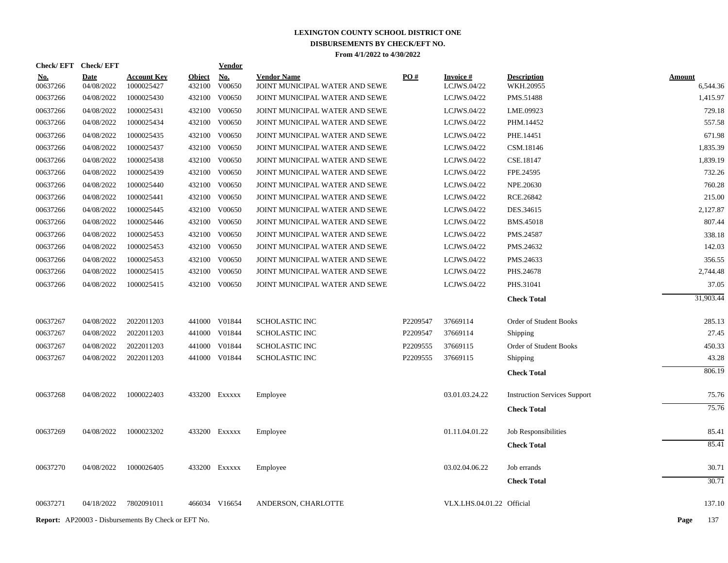| Check/EFT Check/EFT |             |                                                            |               | <b>Vendor</b> |                                |          |                           |                                     |               |
|---------------------|-------------|------------------------------------------------------------|---------------|---------------|--------------------------------|----------|---------------------------|-------------------------------------|---------------|
| <u>No.</u>          | <b>Date</b> | <b>Account Key</b>                                         | <b>Object</b> | <u>No.</u>    | <b>Vendor Name</b>             | PO#      | <b>Invoice#</b>           | <b>Description</b>                  | <b>Amount</b> |
| 00637266            | 04/08/2022  | 1000025427                                                 | 432100        | V00650        | JOINT MUNICIPAL WATER AND SEWE |          | LCJWS.04/22               | WKH.20955                           | 6,544.36      |
| 00637266            | 04/08/2022  | 1000025430                                                 | 432100        | V00650        | JOINT MUNICIPAL WATER AND SEWE |          | LCJWS.04/22               | PMS.51488                           | 1,415.97      |
| 00637266            | 04/08/2022  | 1000025431                                                 | 432100        | V00650        | JOINT MUNICIPAL WATER AND SEWE |          | LCJWS.04/22               | LME.09923                           | 729.18        |
| 00637266            | 04/08/2022  | 1000025434                                                 | 432100        | V00650        | JOINT MUNICIPAL WATER AND SEWE |          | LCJWS.04/22               | PHM.14452                           | 557.58        |
| 00637266            | 04/08/2022  | 1000025435                                                 | 432100        | V00650        | JOINT MUNICIPAL WATER AND SEWE |          | LCJWS.04/22               | PHE.14451                           | 671.98        |
| 00637266            | 04/08/2022  | 1000025437                                                 |               | 432100 V00650 | JOINT MUNICIPAL WATER AND SEWE |          | LCJWS.04/22               | CSM.18146                           | 1,835.39      |
| 00637266            | 04/08/2022  | 1000025438                                                 | 432100        | V00650        | JOINT MUNICIPAL WATER AND SEWE |          | LCJWS.04/22               | CSE.18147                           | 1,839.19      |
| 00637266            | 04/08/2022  | 1000025439                                                 |               | 432100 V00650 | JOINT MUNICIPAL WATER AND SEWE |          | LCJWS.04/22               | FPE.24595                           | 732.26        |
| 00637266            | 04/08/2022  | 1000025440                                                 | 432100        | V00650        | JOINT MUNICIPAL WATER AND SEWE |          | LCJWS.04/22               | NPE.20630                           | 760.28        |
| 00637266            | 04/08/2022  | 1000025441                                                 |               | 432100 V00650 | JOINT MUNICIPAL WATER AND SEWE |          | LCJWS.04/22               | RCE.26842                           | 215.00        |
| 00637266            | 04/08/2022  | 1000025445                                                 | 432100        | V00650        | JOINT MUNICIPAL WATER AND SEWE |          | LCJWS.04/22               | DES.34615                           | 2,127.87      |
| 00637266            | 04/08/2022  | 1000025446                                                 |               | 432100 V00650 | JOINT MUNICIPAL WATER AND SEWE |          | LCJWS.04/22               | <b>BMS.45018</b>                    | 807.44        |
| 00637266            | 04/08/2022  | 1000025453                                                 | 432100        | V00650        | JOINT MUNICIPAL WATER AND SEWE |          | LCJWS.04/22               | PMS.24587                           | 338.18        |
| 00637266            | 04/08/2022  | 1000025453                                                 |               | 432100 V00650 | JOINT MUNICIPAL WATER AND SEWE |          | LCJWS.04/22               | PMS.24632                           | 142.03        |
| 00637266            | 04/08/2022  | 1000025453                                                 |               | 432100 V00650 | JOINT MUNICIPAL WATER AND SEWE |          | LCJWS.04/22               | PMS.24633                           | 356.55        |
| 00637266            | 04/08/2022  | 1000025415                                                 | 432100        | V00650        | JOINT MUNICIPAL WATER AND SEWE |          | LCJWS.04/22               | PHS.24678                           | 2,744.48      |
| 00637266            | 04/08/2022  | 1000025415                                                 |               | 432100 V00650 | JOINT MUNICIPAL WATER AND SEWE |          | LCJWS.04/22               | PHS.31041                           | 37.05         |
|                     |             |                                                            |               |               |                                |          |                           | <b>Check Total</b>                  | 31,903.44     |
| 00637267            | 04/08/2022  | 2022011203                                                 |               | 441000 V01844 | <b>SCHOLASTIC INC</b>          | P2209547 | 37669114                  | Order of Student Books              | 285.13        |
| 00637267            | 04/08/2022  | 2022011203                                                 |               | 441000 V01844 | <b>SCHOLASTIC INC</b>          | P2209547 | 37669114                  | Shipping                            | 27.45         |
| 00637267            | 04/08/2022  | 2022011203                                                 |               | 441000 V01844 | <b>SCHOLASTIC INC</b>          | P2209555 | 37669115                  | Order of Student Books              | 450.33        |
| 00637267            | 04/08/2022  | 2022011203                                                 |               | 441000 V01844 | SCHOLASTIC INC                 | P2209555 | 37669115                  | Shipping                            | 43.28         |
|                     |             |                                                            |               |               |                                |          |                           | <b>Check Total</b>                  | 806.19        |
| 00637268            | 04/08/2022  | 1000022403                                                 |               | 433200 EXXXXX | Employee                       |          | 03.01.03.24.22            | <b>Instruction Services Support</b> | 75.76         |
|                     |             |                                                            |               |               |                                |          |                           | <b>Check Total</b>                  | 75.76         |
| 00637269            | 04/08/2022  | 1000023202                                                 |               | 433200 EXXXXX | Employee                       |          | 01.11.04.01.22            | Job Responsibilities                | 85.41         |
|                     |             |                                                            |               |               |                                |          |                           | <b>Check Total</b>                  | 85.41         |
| 00637270            | 04/08/2022  | 1000026405                                                 |               | 433200 Exxxxx | Employee                       |          | 03.02.04.06.22            | Job errands                         | 30.71         |
|                     |             |                                                            |               |               |                                |          |                           | <b>Check Total</b>                  | 30.71         |
|                     |             |                                                            |               |               |                                |          |                           |                                     |               |
| 00637271            | 04/18/2022  | 7802091011                                                 |               | 466034 V16654 | ANDERSON, CHARLOTTE            |          | VLX.LHS.04.01.22 Official |                                     | 137.10        |
|                     |             | <b>Report:</b> AP20003 - Disbursements By Check or EFT No. |               |               |                                |          |                           |                                     | Page<br>137   |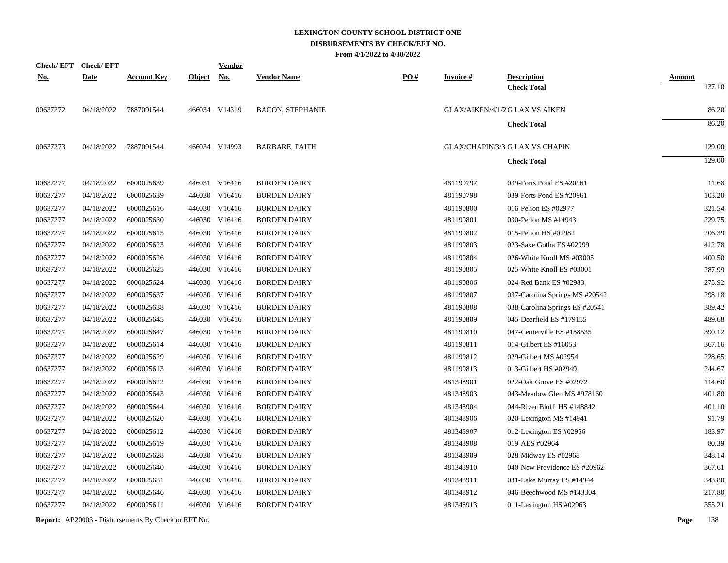|            | Check/EFT Check/EFT |                    |               | <b>Vendor</b> |                         |                   |                 |                                          |                         |
|------------|---------------------|--------------------|---------------|---------------|-------------------------|-------------------|-----------------|------------------------------------------|-------------------------|
| <u>No.</u> | <b>Date</b>         | <b>Account Key</b> | <b>Object</b> | <b>No.</b>    | <b>Vendor Name</b>      | $\underline{PO#}$ | <b>Invoice#</b> | <b>Description</b><br><b>Check Total</b> | <b>Amount</b><br>137.10 |
| 00637272   | 04/18/2022          | 7887091544         |               | 466034 V14319 | <b>BACON, STEPHANIE</b> |                   |                 | GLAX/AIKEN/4/1/2 G LAX VS AIKEN          | 86.20                   |
|            |                     |                    |               |               |                         |                   |                 | <b>Check Total</b>                       | 86.20                   |
| 00637273   | 04/18/2022          | 7887091544         |               | 466034 V14993 | <b>BARBARE, FAITH</b>   |                   |                 | GLAX/CHAPIN/3/3 G LAX VS CHAPIN          | 129.00                  |
|            |                     |                    |               |               |                         |                   |                 | <b>Check Total</b>                       | 129.00                  |
| 00637277   | 04/18/2022          | 6000025639         |               | 446031 V16416 | <b>BORDEN DAIRY</b>     |                   | 481190797       | 039-Forts Pond ES #20961                 | 11.68                   |
| 00637277   | 04/18/2022          | 6000025639         |               | 446030 V16416 | <b>BORDEN DAIRY</b>     |                   | 481190798       | 039-Forts Pond ES #20961                 | 103.20                  |
| 00637277   | 04/18/2022          | 6000025616         |               | 446030 V16416 | <b>BORDEN DAIRY</b>     |                   | 481190800       | 016-Pelion ES #02977                     | 321.54                  |
| 00637277   | 04/18/2022          | 6000025630         |               | 446030 V16416 | <b>BORDEN DAIRY</b>     |                   | 481190801       | 030-Pelion MS #14943                     | 229.75                  |
| 00637277   | 04/18/2022          | 6000025615         |               | 446030 V16416 | <b>BORDEN DAIRY</b>     |                   | 481190802       | 015-Pelion HS #02982                     | 206.39                  |
| 00637277   | 04/18/2022          | 6000025623         |               | 446030 V16416 | <b>BORDEN DAIRY</b>     |                   | 481190803       | 023-Saxe Gotha ES #02999                 | 412.78                  |
| 00637277   | 04/18/2022          | 6000025626         |               | 446030 V16416 | <b>BORDEN DAIRY</b>     |                   | 481190804       | 026-White Knoll MS #03005                | 400.50                  |
| 00637277   | 04/18/2022          | 6000025625         |               | 446030 V16416 | <b>BORDEN DAIRY</b>     |                   | 481190805       | 025-White Knoll ES #03001                | 287.99                  |
| 00637277   | 04/18/2022          | 6000025624         |               | 446030 V16416 | <b>BORDEN DAIRY</b>     |                   | 481190806       | 024-Red Bank ES #02983                   | 275.92                  |
| 00637277   | 04/18/2022          | 6000025637         |               | 446030 V16416 | <b>BORDEN DAIRY</b>     |                   | 481190807       | 037-Carolina Springs MS #20542           | 298.18                  |
| 00637277   | 04/18/2022          | 6000025638         |               | 446030 V16416 | <b>BORDEN DAIRY</b>     |                   | 481190808       | 038-Carolina Springs ES #20541           | 389.42                  |
| 00637277   | 04/18/2022          | 6000025645         |               | 446030 V16416 | <b>BORDEN DAIRY</b>     |                   | 481190809       | 045-Deerfield ES #179155                 | 489.68                  |
| 00637277   | 04/18/2022          | 6000025647         |               | 446030 V16416 | <b>BORDEN DAIRY</b>     |                   | 481190810       | 047-Centerville ES #158535               | 390.12                  |
| 00637277   | 04/18/2022          | 6000025614         |               | 446030 V16416 | <b>BORDEN DAIRY</b>     |                   | 481190811       | 014-Gilbert ES #16053                    | 367.16                  |
| 00637277   | 04/18/2022          | 6000025629         |               | 446030 V16416 | <b>BORDEN DAIRY</b>     |                   | 481190812       | 029-Gilbert MS #02954                    | 228.65                  |
| 00637277   | 04/18/2022          | 6000025613         |               | 446030 V16416 | <b>BORDEN DAIRY</b>     |                   | 481190813       | 013-Gilbert HS #02949                    | 244.67                  |
| 00637277   | 04/18/2022          | 6000025622         |               | 446030 V16416 | <b>BORDEN DAIRY</b>     |                   | 481348901       | 022-Oak Grove ES #02972                  | 114.60                  |
| 00637277   | 04/18/2022          | 6000025643         |               | 446030 V16416 | <b>BORDEN DAIRY</b>     |                   | 481348903       | 043-Meadow Glen MS #978160               | 401.80                  |
| 00637277   | 04/18/2022          | 6000025644         |               | 446030 V16416 | <b>BORDEN DAIRY</b>     |                   | 481348904       | 044-River Bluff HS #148842               | 401.10                  |
| 00637277   | 04/18/2022          | 6000025620         |               | 446030 V16416 | <b>BORDEN DAIRY</b>     |                   | 481348906       | 020-Lexington MS #14941                  | 91.79                   |
| 00637277   | 04/18/2022          | 6000025612         |               | 446030 V16416 | <b>BORDEN DAIRY</b>     |                   | 481348907       | 012-Lexington ES #02956                  | 183.97                  |
| 00637277   | 04/18/2022          | 6000025619         |               | 446030 V16416 | <b>BORDEN DAIRY</b>     |                   | 481348908       | 019-AES #02964                           | 80.39                   |
| 00637277   | 04/18/2022          | 6000025628         |               | 446030 V16416 | <b>BORDEN DAIRY</b>     |                   | 481348909       | 028-Midway ES #02968                     | 348.14                  |
| 00637277   | 04/18/2022          | 6000025640         |               | 446030 V16416 | <b>BORDEN DAIRY</b>     |                   | 481348910       | 040-New Providence ES #20962             | 367.61                  |
| 00637277   | 04/18/2022          | 6000025631         |               | 446030 V16416 | <b>BORDEN DAIRY</b>     |                   | 481348911       | 031-Lake Murray ES #14944                | 343.80                  |
| 00637277   | 04/18/2022          | 6000025646         |               | 446030 V16416 | <b>BORDEN DAIRY</b>     |                   | 481348912       | 046-Beechwood MS #143304                 | 217.80                  |
| 00637277   | 04/18/2022          | 6000025611         |               | 446030 V16416 | <b>BORDEN DAIRY</b>     |                   | 481348913       | 011-Lexington HS #02963                  | 355.21                  |
|            |                     |                    |               |               |                         |                   |                 |                                          |                         |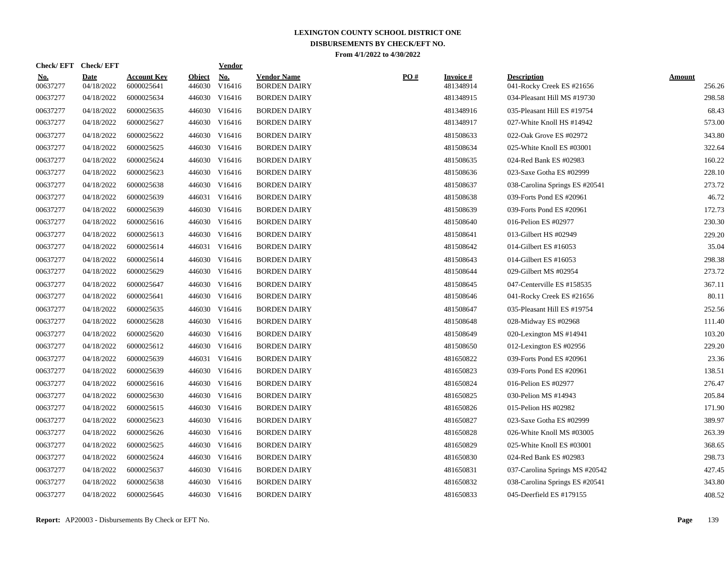| <b>Check/EFT</b>       | Check/ EFT                |                                  |                         | <b>Vendor</b> |                                           |     |                              |                                                 |                         |
|------------------------|---------------------------|----------------------------------|-------------------------|---------------|-------------------------------------------|-----|------------------------------|-------------------------------------------------|-------------------------|
| <b>No.</b><br>00637277 | <b>Date</b><br>04/18/2022 | <b>Account Key</b><br>6000025641 | <b>Object</b><br>446030 | No.<br>V16416 | <b>Vendor Name</b><br><b>BORDEN DAIRY</b> | PO# | <b>Invoice#</b><br>481348914 | <b>Description</b><br>041-Rocky Creek ES #21656 | <b>Amount</b><br>256.26 |
| 00637277               | 04/18/2022                | 6000025634                       |                         | 446030 V16416 | <b>BORDEN DAIRY</b>                       |     | 481348915                    | 034-Pleasant Hill MS #19730                     | 298.58                  |
| 00637277               | 04/18/2022                | 6000025635                       |                         | 446030 V16416 | <b>BORDEN DAIRY</b>                       |     | 481348916                    | 035-Pleasant Hill ES #19754                     | 68.43                   |
| 00637277               | 04/18/2022                | 6000025627                       |                         | 446030 V16416 | <b>BORDEN DAIRY</b>                       |     | 481348917                    | 027-White Knoll HS #14942                       | 573.00                  |
| 00637277               | 04/18/2022                | 6000025622                       |                         | 446030 V16416 | <b>BORDEN DAIRY</b>                       |     | 481508633                    | 022-Oak Grove ES #02972                         | 343.80                  |
| 00637277               | 04/18/2022                | 6000025625                       |                         | 446030 V16416 | <b>BORDEN DAIRY</b>                       |     | 481508634                    | 025-White Knoll ES #03001                       | 322.64                  |
| 00637277               | 04/18/2022                | 6000025624                       | 446030                  | V16416        | <b>BORDEN DAIRY</b>                       |     | 481508635                    | 024-Red Bank ES #02983                          | 160.22                  |
| 00637277               | 04/18/2022                | 6000025623                       | 446030                  | V16416        | <b>BORDEN DAIRY</b>                       |     | 481508636                    | 023-Saxe Gotha ES #02999                        | 228.10                  |
| 00637277               | 04/18/2022                | 6000025638                       |                         | 446030 V16416 | <b>BORDEN DAIRY</b>                       |     | 481508637                    | 038-Carolina Springs ES #20541                  | 273.72                  |
| 00637277               | 04/18/2022                | 6000025639                       |                         | 446031 V16416 | <b>BORDEN DAIRY</b>                       |     | 481508638                    | 039-Forts Pond ES #20961                        | 46.72                   |
| 00637277               | 04/18/2022                | 6000025639                       |                         | 446030 V16416 | <b>BORDEN DAIRY</b>                       |     | 481508639                    | 039-Forts Pond ES #20961                        | 172.73                  |
| 00637277               | 04/18/2022                | 6000025616                       |                         | 446030 V16416 | <b>BORDEN DAIRY</b>                       |     | 481508640                    | 016-Pelion ES #02977                            | 230.30                  |
| 00637277               | 04/18/2022                | 6000025613                       |                         | 446030 V16416 | <b>BORDEN DAIRY</b>                       |     | 481508641                    | 013-Gilbert HS #02949                           | 229.20                  |
| 00637277               | 04/18/2022                | 6000025614                       |                         | 446031 V16416 | <b>BORDEN DAIRY</b>                       |     | 481508642                    | 014-Gilbert ES #16053                           | 35.04                   |
| 00637277               | 04/18/2022                | 6000025614                       | 446030                  | V16416        | <b>BORDEN DAIRY</b>                       |     | 481508643                    | 014-Gilbert ES #16053                           | 298.38                  |
| 00637277               | 04/18/2022                | 6000025629                       |                         | 446030 V16416 | <b>BORDEN DAIRY</b>                       |     | 481508644                    | 029-Gilbert MS #02954                           | 273.72                  |
| 00637277               | 04/18/2022                | 6000025647                       |                         | 446030 V16416 | <b>BORDEN DAIRY</b>                       |     | 481508645                    | 047-Centerville ES #158535                      | 367.11                  |
| 00637277               | 04/18/2022                | 6000025641                       |                         | 446030 V16416 | <b>BORDEN DAIRY</b>                       |     | 481508646                    | 041-Rocky Creek ES #21656                       | 80.11                   |
| 00637277               | 04/18/2022                | 6000025635                       |                         | 446030 V16416 | <b>BORDEN DAIRY</b>                       |     | 481508647                    | 035-Pleasant Hill ES #19754                     | 252.56                  |
| 00637277               | 04/18/2022                | 6000025628                       |                         | 446030 V16416 | <b>BORDEN DAIRY</b>                       |     | 481508648                    | 028-Midway ES #02968                            | 111.40                  |
| 00637277               | 04/18/2022                | 6000025620                       |                         | 446030 V16416 | <b>BORDEN DAIRY</b>                       |     | 481508649                    | 020-Lexington MS #14941                         | 103.20                  |
| 00637277               | 04/18/2022                | 6000025612                       |                         | 446030 V16416 | <b>BORDEN DAIRY</b>                       |     | 481508650                    | 012-Lexington ES #02956                         | 229.20                  |
| 00637277               | 04/18/2022                | 6000025639                       |                         | 446031 V16416 | <b>BORDEN DAIRY</b>                       |     | 481650822                    | 039-Forts Pond ES #20961                        | 23.36                   |
| 00637277               | 04/18/2022                | 6000025639                       | 446030                  | V16416        | <b>BORDEN DAIRY</b>                       |     | 481650823                    | 039-Forts Pond ES #20961                        | 138.51                  |
| 00637277               | 04/18/2022                | 6000025616                       |                         | 446030 V16416 | <b>BORDEN DAIRY</b>                       |     | 481650824                    | 016-Pelion ES #02977                            | 276.47                  |
| 00637277               | 04/18/2022                | 6000025630                       |                         | 446030 V16416 | <b>BORDEN DAIRY</b>                       |     | 481650825                    | 030-Pelion MS #14943                            | 205.84                  |
| 00637277               | 04/18/2022                | 6000025615                       |                         | 446030 V16416 | <b>BORDEN DAIRY</b>                       |     | 481650826                    | 015-Pelion HS #02982                            | 171.90                  |
| 00637277               | 04/18/2022                | 6000025623                       |                         | 446030 V16416 | <b>BORDEN DAIRY</b>                       |     | 481650827                    | 023-Saxe Gotha ES #02999                        | 389.97                  |
| 00637277               | 04/18/2022                | 6000025626                       |                         | 446030 V16416 | <b>BORDEN DAIRY</b>                       |     | 481650828                    | 026-White Knoll MS #03005                       | 263.39                  |
| 00637277               | 04/18/2022                | 6000025625                       |                         | 446030 V16416 | <b>BORDEN DAIRY</b>                       |     | 481650829                    | 025-White Knoll ES #03001                       | 368.65                  |
| 00637277               | 04/18/2022                | 6000025624                       | 446030                  | V16416        | <b>BORDEN DAIRY</b>                       |     | 481650830                    | 024-Red Bank ES #02983                          | 298.73                  |
| 00637277               | 04/18/2022                | 6000025637                       | 446030                  | V16416        | <b>BORDEN DAIRY</b>                       |     | 481650831                    | 037-Carolina Springs MS #20542                  | 427.45                  |
| 00637277               | 04/18/2022                | 6000025638                       | 446030                  | V16416        | <b>BORDEN DAIRY</b>                       |     | 481650832                    | 038-Carolina Springs ES #20541                  | 343.80                  |
| 00637277               | 04/18/2022                | 6000025645                       |                         | 446030 V16416 | <b>BORDEN DAIRY</b>                       |     | 481650833                    | 045-Deerfield ES #179155                        | 408.52                  |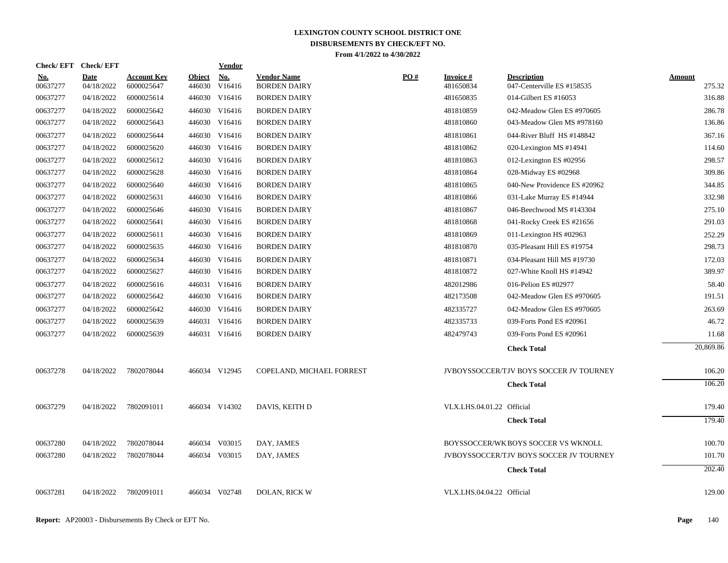| <b>Check/EFT</b>       | <b>Check/EFT</b>          |                                  |               | <b>Vendor</b>               |                                           |            |                               |                                                  |                         |
|------------------------|---------------------------|----------------------------------|---------------|-----------------------------|-------------------------------------------|------------|-------------------------------|--------------------------------------------------|-------------------------|
| <u>No.</u><br>00637277 | <b>Date</b><br>04/18/2022 | <u>Account Key</u><br>6000025647 | <b>Object</b> | <u>No.</u><br>446030 V16416 | <b>Vendor Name</b><br><b>BORDEN DAIRY</b> | <u>PO#</u> | <b>Invoice</b> #<br>481650834 | <b>Description</b><br>047-Centerville ES #158535 | <b>Amount</b><br>275.32 |
| 00637277               | 04/18/2022                | 6000025614                       |               | 446030 V16416               | <b>BORDEN DAIRY</b>                       |            | 481650835                     | 014-Gilbert ES #16053                            | 316.88                  |
| 00637277               | 04/18/2022                | 6000025642                       |               | 446030 V16416               | <b>BORDEN DAIRY</b>                       |            | 481810859                     | 042-Meadow Glen ES #970605                       | 286.78                  |
| 00637277               | 04/18/2022                | 6000025643                       |               | 446030 V16416               | <b>BORDEN DAIRY</b>                       |            | 481810860                     | 043-Meadow Glen MS #978160                       | 136.86                  |
| 00637277               | 04/18/2022                | 6000025644                       |               | 446030 V16416               | <b>BORDEN DAIRY</b>                       |            | 481810861                     | 044-River Bluff HS #148842                       | 367.16                  |
| 00637277               | 04/18/2022                | 6000025620                       |               | 446030 V16416               | <b>BORDEN DAIRY</b>                       |            | 481810862                     | 020-Lexington MS #14941                          | 114.60                  |
| 00637277               | 04/18/2022                | 6000025612                       |               | 446030 V16416               | <b>BORDEN DAIRY</b>                       |            | 481810863                     | 012-Lexington ES #02956                          | 298.57                  |
| 00637277               | 04/18/2022                | 6000025628                       |               | 446030 V16416               | <b>BORDEN DAIRY</b>                       |            | 481810864                     | 028-Midway ES #02968                             | 309.86                  |
| 00637277               | 04/18/2022                | 6000025640                       |               | 446030 V16416               | <b>BORDEN DAIRY</b>                       |            | 481810865                     | 040-New Providence ES #20962                     | 344.85                  |
| 00637277               | 04/18/2022                | 6000025631                       |               | 446030 V16416               | <b>BORDEN DAIRY</b>                       |            | 481810866                     | 031-Lake Murray ES #14944                        | 332.98                  |
| 00637277               | 04/18/2022                | 6000025646                       |               | 446030 V16416               | <b>BORDEN DAIRY</b>                       |            | 481810867                     | 046-Beechwood MS #143304                         | 275.10                  |
| 00637277               | 04/18/2022                | 6000025641                       |               | 446030 V16416               | <b>BORDEN DAIRY</b>                       |            | 481810868                     | 041-Rocky Creek ES #21656                        | 291.03                  |
| 00637277               | 04/18/2022                | 6000025611                       |               | 446030 V16416               | <b>BORDEN DAIRY</b>                       |            | 481810869                     | 011-Lexington HS #02963                          | 252.29                  |
| 00637277               | 04/18/2022                | 6000025635                       |               | 446030 V16416               | <b>BORDEN DAIRY</b>                       |            | 481810870                     | 035-Pleasant Hill ES #19754                      | 298.73                  |
| 00637277               | 04/18/2022                | 6000025634                       |               | 446030 V16416               | <b>BORDEN DAIRY</b>                       |            | 481810871                     | 034-Pleasant Hill MS #19730                      | 172.03                  |
| 00637277               | 04/18/2022                | 6000025627                       |               | 446030 V16416               | <b>BORDEN DAIRY</b>                       |            | 481810872                     | 027-White Knoll HS #14942                        | 389.97                  |
| 00637277               | 04/18/2022                | 6000025616                       |               | 446031 V16416               | <b>BORDEN DAIRY</b>                       |            | 482012986                     | 016-Pelion ES #02977                             | 58.40                   |
| 00637277               | 04/18/2022                | 6000025642                       |               | 446030 V16416               | <b>BORDEN DAIRY</b>                       |            | 482173508                     | 042-Meadow Glen ES #970605                       | 191.51                  |
| 00637277               | 04/18/2022                | 6000025642                       |               | 446030 V16416               | <b>BORDEN DAIRY</b>                       |            | 482335727                     | 042-Meadow Glen ES #970605                       | 263.69                  |
| 00637277               | 04/18/2022                | 6000025639                       |               | 446031 V16416               | <b>BORDEN DAIRY</b>                       |            | 482335733                     | 039-Forts Pond ES #20961                         | 46.72                   |
| 00637277               | 04/18/2022                | 6000025639                       |               | 446031 V16416               | <b>BORDEN DAIRY</b>                       |            | 482479743                     | 039-Forts Pond ES #20961                         | 11.68                   |
|                        |                           |                                  |               |                             |                                           |            |                               | <b>Check Total</b>                               | 20,869.86               |
| 00637278               | 04/18/2022                | 7802078044                       |               | 466034 V12945               | COPELAND, MICHAEL FORREST                 |            |                               | <b>JVBOYSSOCCER/TJV BOYS SOCCER JV TOURNEY</b>   | 106.20                  |
|                        |                           |                                  |               |                             |                                           |            |                               | <b>Check Total</b>                               | 106.20                  |
| 00637279               | 04/18/2022                | 7802091011                       |               | 466034 V14302               | DAVIS. KEITH D                            |            | VLX.LHS.04.01.22 Official     |                                                  | 179.40                  |
|                        |                           |                                  |               |                             |                                           |            |                               | <b>Check Total</b>                               | 179.40                  |
| 00637280               | 04/18/2022                | 7802078044                       |               | 466034 V03015               | DAY, JAMES                                |            |                               | BOYSSOCCER/WK BOYS SOCCER VS WKNOLL              | 100.70                  |
| 00637280               | 04/18/2022                | 7802078044                       |               | 466034 V03015               | DAY, JAMES                                |            |                               | <b>JVBOYSSOCCER/TJV BOYS SOCCER JV TOURNEY</b>   | 101.70                  |
|                        |                           |                                  |               |                             |                                           |            |                               | <b>Check Total</b>                               | 202.40                  |
|                        |                           |                                  |               |                             |                                           |            |                               |                                                  |                         |
| 00637281               | 04/18/2022                | 7802091011                       |               | 466034 V02748               | <b>DOLAN, RICK W</b>                      |            | VLX.LHS.04.04.22 Official     |                                                  | 129.00                  |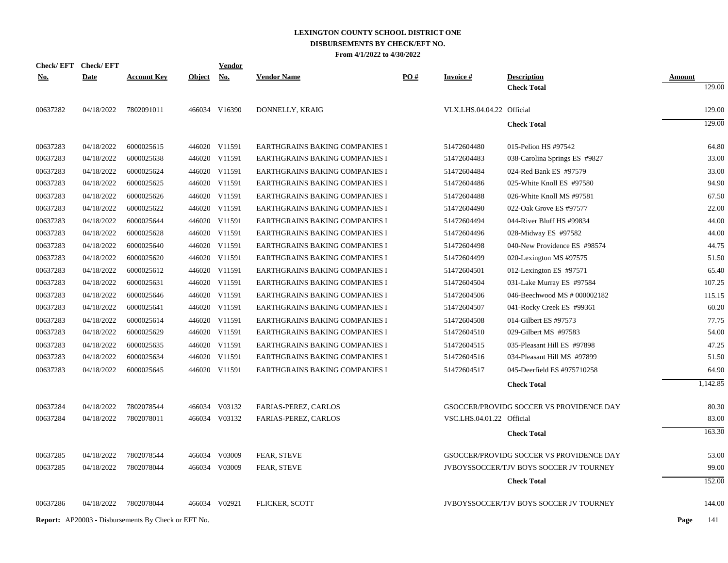|            | Check/EFT Check/EFT |                                                            |               | Vendor        |                                       |     |                           |                                                |               |
|------------|---------------------|------------------------------------------------------------|---------------|---------------|---------------------------------------|-----|---------------------------|------------------------------------------------|---------------|
| <u>No.</u> | <b>Date</b>         | <b>Account Key</b>                                         | <b>Object</b> | <u>No.</u>    | <b>Vendor Name</b>                    | PO# | <b>Invoice#</b>           | <b>Description</b>                             | <b>Amount</b> |
|            |                     |                                                            |               |               |                                       |     |                           | <b>Check Total</b>                             | 129.00        |
| 00637282   | 04/18/2022          | 7802091011                                                 |               | 466034 V16390 | DONNELLY, KRAIG                       |     | VLX.LHS.04.04.22 Official |                                                | 129.00        |
|            |                     |                                                            |               |               |                                       |     |                           | <b>Check Total</b>                             | 129.00        |
| 00637283   | 04/18/2022          | 6000025615                                                 |               | 446020 V11591 | EARTHGRAINS BAKING COMPANIES I        |     | 51472604480               | 015-Pelion HS #97542                           | 64.80         |
| 00637283   | 04/18/2022          | 6000025638                                                 |               | 446020 V11591 | EARTHGRAINS BAKING COMPANIES I        |     | 51472604483               | 038-Carolina Springs ES #9827                  | 33.00         |
| 00637283   | 04/18/2022          | 6000025624                                                 |               | 446020 V11591 | <b>EARTHGRAINS BAKING COMPANIES I</b> |     | 51472604484               | 024-Red Bank ES #97579                         | 33.00         |
| 00637283   | 04/18/2022          | 6000025625                                                 |               | 446020 V11591 | EARTHGRAINS BAKING COMPANIES I        |     | 51472604486               | 025-White Knoll ES #97580                      | 94.90         |
| 00637283   | 04/18/2022          | 6000025626                                                 | 446020        | V11591        | EARTHGRAINS BAKING COMPANIES I        |     | 51472604488               | 026-White Knoll MS #97581                      | 67.50         |
| 00637283   | 04/18/2022          | 6000025622                                                 |               | 446020 V11591 | EARTHGRAINS BAKING COMPANIES I        |     | 51472604490               | 022-Oak Grove ES #97577                        | 22.00         |
| 00637283   | 04/18/2022          | 6000025644                                                 |               | 446020 V11591 | EARTHGRAINS BAKING COMPANIES I        |     | 51472604494               | 044-River Bluff HS #99834                      | 44.00         |
| 00637283   | 04/18/2022          | 6000025628                                                 |               | 446020 V11591 | EARTHGRAINS BAKING COMPANIES I        |     | 51472604496               | 028-Midway ES #97582                           | 44.00         |
| 00637283   | 04/18/2022          | 6000025640                                                 |               | 446020 V11591 | EARTHGRAINS BAKING COMPANIES I        |     | 51472604498               | 040-New Providence ES #98574                   | 44.75         |
| 00637283   | 04/18/2022          | 6000025620                                                 |               | 446020 V11591 | <b>EARTHGRAINS BAKING COMPANIES I</b> |     | 51472604499               | 020-Lexington MS #97575                        | 51.50         |
| 00637283   | 04/18/2022          | 6000025612                                                 |               | 446020 V11591 | EARTHGRAINS BAKING COMPANIES I        |     | 51472604501               | 012-Lexington ES $\#97571$                     | 65.40         |
| 00637283   | 04/18/2022          | 6000025631                                                 |               | 446020 V11591 | EARTHGRAINS BAKING COMPANIES I        |     | 51472604504               | 031-Lake Murray ES #97584                      | 107.25        |
| 00637283   | 04/18/2022          | 6000025646                                                 |               | 446020 V11591 | EARTHGRAINS BAKING COMPANIES I        |     | 51472604506               | 046-Beechwood MS # 000002182                   | 115.15        |
| 00637283   | 04/18/2022          | 6000025641                                                 |               | 446020 V11591 | EARTHGRAINS BAKING COMPANIES I        |     | 51472604507               | 041-Rocky Creek ES #99361                      | 60.20         |
| 00637283   | 04/18/2022          | 6000025614                                                 |               | 446020 V11591 | EARTHGRAINS BAKING COMPANIES I        |     | 51472604508               | 014-Gilbert ES #97573                          | 77.75         |
| 00637283   | 04/18/2022          | 6000025629                                                 |               | 446020 V11591 | EARTHGRAINS BAKING COMPANIES I        |     | 51472604510               | 029-Gilbert MS #97583                          | 54.00         |
| 00637283   | 04/18/2022          | 6000025635                                                 |               | 446020 V11591 | EARTHGRAINS BAKING COMPANIES I        |     | 51472604515               | 035-Pleasant Hill ES #97898                    | 47.25         |
| 00637283   | 04/18/2022          | 6000025634                                                 |               | 446020 V11591 | EARTHGRAINS BAKING COMPANIES I        |     | 51472604516               | 034-Pleasant Hill MS #97899                    | 51.50         |
| 00637283   | 04/18/2022          | 6000025645                                                 |               | 446020 V11591 | EARTHGRAINS BAKING COMPANIES I        |     | 51472604517               | 045-Deerfield ES #975710258                    | 64.90         |
|            |                     |                                                            |               |               |                                       |     |                           | <b>Check Total</b>                             | 1,142.85      |
| 00637284   | 04/18/2022          | 7802078544                                                 |               | 466034 V03132 | <b>FARIAS-PEREZ, CARLOS</b>           |     |                           | GSOCCER/PROVIDG SOCCER VS PROVIDENCE DAY       | 80.30         |
| 00637284   | 04/18/2022          | 7802078011                                                 |               | 466034 V03132 | FARIAS-PEREZ, CARLOS                  |     | VSC.LHS.04.01.22 Official |                                                | 83.00         |
|            |                     |                                                            |               |               |                                       |     |                           | <b>Check Total</b>                             | 163.30        |
| 00637285   | 04/18/2022          | 7802078544                                                 |               | 466034 V03009 | FEAR, STEVE                           |     |                           | GSOCCER/PROVIDG SOCCER VS PROVIDENCE DAY       | 53.00         |
| 00637285   | 04/18/2022          | 7802078044                                                 |               | 466034 V03009 | <b>FEAR, STEVE</b>                    |     |                           | <b>JVBOYSSOCCER/TJV BOYS SOCCER JV TOURNEY</b> | 99.00         |
|            |                     |                                                            |               |               |                                       |     |                           | <b>Check Total</b>                             | 152.00        |
| 00637286   | 04/18/2022          | 7802078044                                                 |               | 466034 V02921 | FLICKER, SCOTT                        |     |                           | JVBOYSSOCCER/TJV BOYS SOCCER JV TOURNEY        | 144.00        |
|            |                     | <b>Report:</b> AP20003 - Disbursements By Check or EFT No. |               |               |                                       |     |                           |                                                | Page<br>141   |
|            |                     |                                                            |               |               |                                       |     |                           |                                                |               |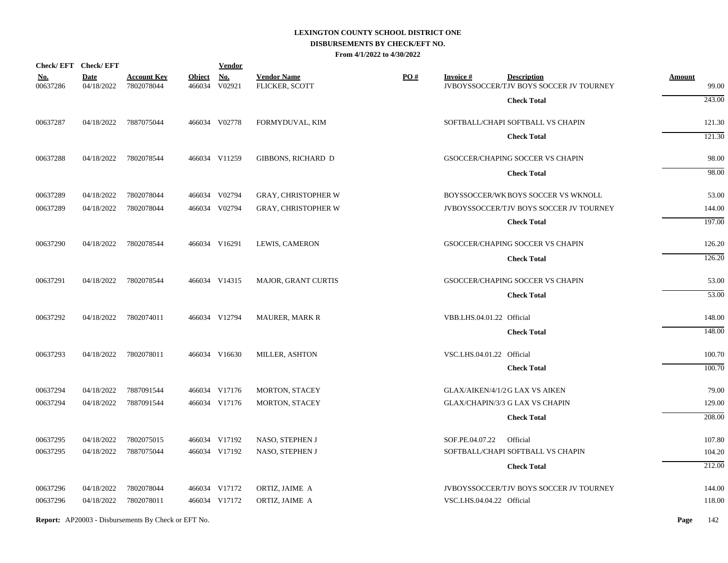|                        | Check/EFT Check/EFT       |                                  |               | <b>Vendor</b>               |                                      |     |                           |                                                               |                        |
|------------------------|---------------------------|----------------------------------|---------------|-----------------------------|--------------------------------------|-----|---------------------------|---------------------------------------------------------------|------------------------|
| <u>No.</u><br>00637286 | <b>Date</b><br>04/18/2022 | <b>Account Key</b><br>7802078044 | <b>Object</b> | <b>No.</b><br>466034 V02921 | <b>Vendor Name</b><br>FLICKER, SCOTT | PO# | <b>Invoice#</b>           | <b>Description</b><br>JVBOYSSOCCER/TJV BOYS SOCCER JV TOURNEY | <b>Amount</b><br>99.00 |
|                        |                           |                                  |               |                             |                                      |     |                           | <b>Check Total</b>                                            | 243.00                 |
| 00637287               | 04/18/2022                | 7887075044                       |               | 466034 V02778               | FORMYDUVAL, KIM                      |     |                           | SOFTBALL/CHAPI SOFTBALL VS CHAPIN                             | 121.30                 |
|                        |                           |                                  |               |                             |                                      |     |                           | <b>Check Total</b>                                            | 121.30                 |
| 00637288               | 04/18/2022                | 7802078544                       |               | 466034 V11259               | GIBBONS, RICHARD D                   |     |                           | GSOCCER/CHAPING SOCCER VS CHAPIN                              | 98.00                  |
|                        |                           |                                  |               |                             |                                      |     |                           | <b>Check Total</b>                                            | 98.00                  |
| 00637289               | 04/18/2022                | 7802078044                       |               | 466034 V02794               | <b>GRAY, CHRISTOPHER W</b>           |     |                           | BOYSSOCCER/WK BOYS SOCCER VS WKNOLL                           | 53.00                  |
| 00637289               | 04/18/2022                | 7802078044                       |               | 466034 V02794               | <b>GRAY, CHRISTOPHER W</b>           |     |                           | JVBOYSSOCCER/TJV BOYS SOCCER JV TOURNEY                       | 144.00                 |
|                        |                           |                                  |               |                             |                                      |     |                           | <b>Check Total</b>                                            | 197.00                 |
| 00637290               | 04/18/2022                | 7802078544                       |               | 466034 V16291               | LEWIS, CAMERON                       |     |                           | GSOCCER/CHAPING SOCCER VS CHAPIN                              | 126.20                 |
|                        |                           |                                  |               |                             |                                      |     |                           | <b>Check Total</b>                                            | 126.20                 |
| 00637291               | 04/18/2022                | 7802078544                       |               | 466034 V14315               | MAJOR, GRANT CURTIS                  |     |                           | GSOCCER/CHAPING SOCCER VS CHAPIN                              | 53.00                  |
|                        |                           |                                  |               |                             |                                      |     |                           | <b>Check Total</b>                                            | 53.00                  |
| 00637292               | 04/18/2022                | 7802074011                       |               | 466034 V12794               | <b>MAURER, MARK R</b>                |     | VBB.LHS.04.01.22 Official |                                                               | 148.00                 |
|                        |                           |                                  |               |                             |                                      |     |                           | <b>Check Total</b>                                            | 148.00                 |
| 00637293               | 04/18/2022                | 7802078011                       |               | 466034 V16630               | MILLER, ASHTON                       |     | VSC.LHS.04.01.22 Official |                                                               | 100.70                 |
|                        |                           |                                  |               |                             |                                      |     |                           | <b>Check Total</b>                                            | 100.70                 |
| 00637294               | 04/18/2022                | 7887091544                       |               | 466034 V17176               | MORTON, STACEY                       |     |                           | GLAX/AIKEN/4/1/2 G LAX VS AIKEN                               | 79.00                  |
| 00637294               | 04/18/2022                | 7887091544                       |               | 466034 V17176               | <b>MORTON, STACEY</b>                |     |                           | GLAX/CHAPIN/3/3 G LAX VS CHAPIN                               | 129.00                 |
|                        |                           |                                  |               |                             |                                      |     |                           | <b>Check Total</b>                                            | 208.00                 |
| 00637295               | 04/18/2022                | 7802075015                       |               | 466034 V17192               | NASO, STEPHEN J                      |     | SOF.PE.04.07.22           | Official                                                      | 107.80                 |
| 00637295               | 04/18/2022                | 7887075044                       |               | 466034 V17192               | NASO, STEPHEN J                      |     |                           | SOFTBALL/CHAPI SOFTBALL VS CHAPIN                             | 104.20                 |
|                        |                           |                                  |               |                             |                                      |     |                           | <b>Check Total</b>                                            | 212.00                 |
| 00637296               | 04/18/2022                | 7802078044                       |               | 466034 V17172               | ORTIZ, JAIME A                       |     |                           | JVBOYSSOCCER/TJV BOYS SOCCER JV TOURNEY                       | 144.00                 |
| 00637296               | 04/18/2022                | 7802078011                       |               | 466034 V17172               | ORTIZ, JAIME A                       |     | VSC.LHS.04.04.22 Official |                                                               | 118.00                 |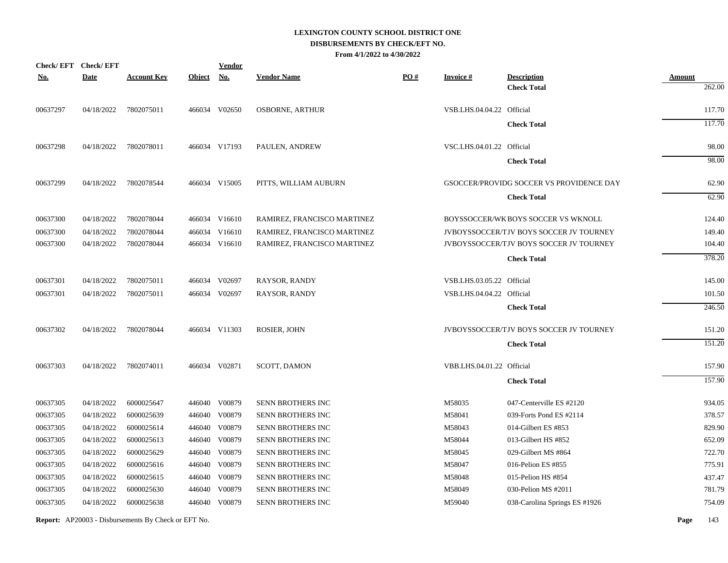|            | Check/EFT Check/EFT |                    |               | <b>Vendor</b> |                             |     |                           |                                                |                         |
|------------|---------------------|--------------------|---------------|---------------|-----------------------------|-----|---------------------------|------------------------------------------------|-------------------------|
| <u>No.</u> | <b>Date</b>         | <b>Account Key</b> | <b>Object</b> | <b>No.</b>    | <b>Vendor Name</b>          | PO# | <b>Invoice#</b>           | <b>Description</b>                             | <b>Amount</b><br>262.00 |
|            |                     |                    |               |               |                             |     |                           | <b>Check Total</b>                             |                         |
| 00637297   | 04/18/2022          | 7802075011         |               | 466034 V02650 | <b>OSBORNE, ARTHUR</b>      |     | VSB.LHS.04.04.22 Official |                                                | 117.70                  |
|            |                     |                    |               |               |                             |     |                           | <b>Check Total</b>                             | 117.70                  |
| 00637298   | 04/18/2022          | 7802078011         |               | 466034 V17193 | PAULEN, ANDREW              |     | VSC.LHS.04.01.22 Official |                                                | 98.00                   |
|            |                     |                    |               |               |                             |     |                           | <b>Check Total</b>                             | 98.00                   |
| 00637299   | 04/18/2022          | 7802078544         |               | 466034 V15005 | PITTS, WILLIAM AUBURN       |     |                           | GSOCCER/PROVIDG SOCCER VS PROVIDENCE DAY       | 62.90                   |
|            |                     |                    |               |               |                             |     |                           | <b>Check Total</b>                             | 62.90                   |
| 00637300   | 04/18/2022          | 7802078044         |               | 466034 V16610 | RAMIREZ, FRANCISCO MARTINEZ |     |                           | BOYSSOCCER/WK BOYS SOCCER VS WKNOLL            | 124.40                  |
| 00637300   | 04/18/2022          | 7802078044         |               | 466034 V16610 | RAMIREZ, FRANCISCO MARTINEZ |     |                           | JVBOYSSOCCER/TJV BOYS SOCCER JV TOURNEY        | 149.40                  |
| 00637300   | 04/18/2022          | 7802078044         |               | 466034 V16610 | RAMIREZ, FRANCISCO MARTINEZ |     |                           | <b>JVBOYSSOCCER/TJV BOYS SOCCER JV TOURNEY</b> | 104.40                  |
|            |                     |                    |               |               |                             |     |                           | <b>Check Total</b>                             | 378.20                  |
| 00637301   | 04/18/2022          | 7802075011         |               | 466034 V02697 | RAYSOR, RANDY               |     | VSB.LHS.03.05.22 Official |                                                | 145.00                  |
| 00637301   | 04/18/2022          | 7802075011         |               | 466034 V02697 | <b>RAYSOR, RANDY</b>        |     | VSB.LHS.04.04.22 Official |                                                | 101.50                  |
|            |                     |                    |               |               |                             |     |                           | <b>Check Total</b>                             | 246.50                  |
| 00637302   | 04/18/2022          | 7802078044         |               | 466034 V11303 | ROSIER, JOHN                |     |                           | JVBOYSSOCCER/TJV BOYS SOCCER JV TOURNEY        | 151.20                  |
|            |                     |                    |               |               |                             |     |                           | <b>Check Total</b>                             | 151.20                  |
| 00637303   | 04/18/2022          | 7802074011         |               | 466034 V02871 | SCOTT, DAMON                |     | VBB.LHS.04.01.22 Official |                                                | 157.90                  |
|            |                     |                    |               |               |                             |     |                           | <b>Check Total</b>                             | 157.90                  |
| 00637305   | 04/18/2022          | 6000025647         |               | 446040 V00879 | <b>SENN BROTHERS INC</b>    |     | M58035                    | 047-Centerville ES #2120                       | 934.05                  |
| 00637305   | 04/18/2022          | 6000025639         |               | 446040 V00879 | SENN BROTHERS INC           |     | M58041                    | 039-Forts Pond ES #2114                        | 378.57                  |
| 00637305   | 04/18/2022          | 6000025614         |               | 446040 V00879 | SENN BROTHERS INC           |     | M58043                    | 014-Gilbert ES $#853$                          | 829.90                  |
| 00637305   | 04/18/2022          | 6000025613         |               | 446040 V00879 | SENN BROTHERS INC           |     | M58044                    | 013-Gilbert HS #852                            | 652.09                  |
| 00637305   | 04/18/2022          | 6000025629         |               | 446040 V00879 | <b>SENN BROTHERS INC</b>    |     | M58045                    | 029-Gilbert MS #864                            | 722.70                  |
| 00637305   | 04/18/2022          | 6000025616         |               | 446040 V00879 | SENN BROTHERS INC           |     | M58047                    | 016-Pelion ES #855                             | 775.91                  |
| 00637305   | 04/18/2022          | 6000025615         |               | 446040 V00879 | SENN BROTHERS INC           |     | M58048                    | 015-Pelion HS #854                             | 437.47                  |
| 00637305   | 04/18/2022          | 6000025630         |               | 446040 V00879 | SENN BROTHERS INC           |     | M58049                    | 030-Pelion MS #2011                            | 781.79                  |
| 00637305   | 04/18/2022          | 6000025638         |               | 446040 V00879 | <b>SENN BROTHERS INC</b>    |     | M59040                    | 038-Carolina Springs ES #1926                  | 754.09                  |
|            |                     |                    |               |               |                             |     |                           |                                                |                         |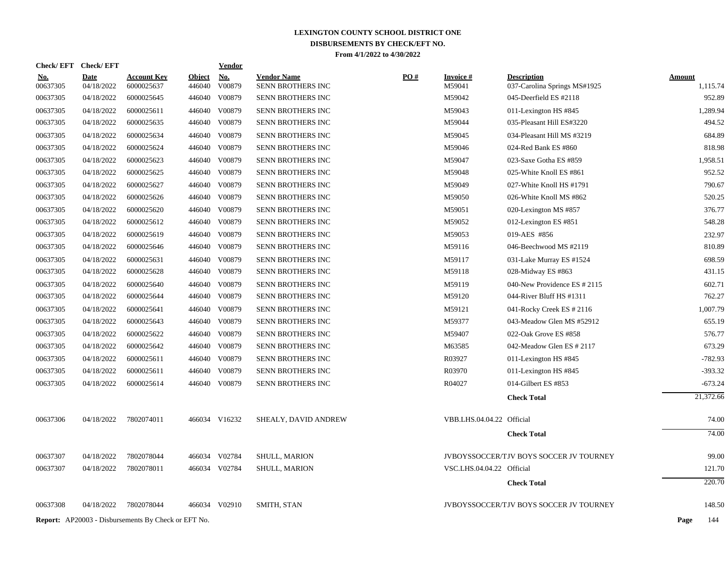| Check/EFT Check/EFT    |                           |                                                            |                         | <u>Vendor</u>        |                                         |     |                              |                                                    |                           |
|------------------------|---------------------------|------------------------------------------------------------|-------------------------|----------------------|-----------------------------------------|-----|------------------------------|----------------------------------------------------|---------------------------|
| <u>No.</u><br>00637305 | <b>Date</b><br>04/18/2022 | <b>Account Key</b><br>6000025637                           | <b>Object</b><br>446040 | <b>No.</b><br>V00879 | <b>Vendor Name</b><br>SENN BROTHERS INC | PO# | <b>Invoice</b> $#$<br>M59041 | <b>Description</b><br>037-Carolina Springs MS#1925 | <b>Amount</b><br>1,115.74 |
| 00637305               | 04/18/2022                | 6000025645                                                 | 446040                  | V00879               | <b>SENN BROTHERS INC</b>                |     | M59042                       | 045-Deerfield ES #2118                             | 952.89                    |
| 00637305               | 04/18/2022                | 6000025611                                                 |                         | 446040 V00879        | <b>SENN BROTHERS INC</b>                |     | M59043                       | 011-Lexington HS #845                              | 1,289.94                  |
| 00637305               | 04/18/2022                | 6000025635                                                 | 446040                  | V00879               | SENN BROTHERS INC                       |     | M59044                       | 035-Pleasant Hill ES#3220                          | 494.52                    |
| 00637305               | 04/18/2022                | 6000025634                                                 |                         | 446040 V00879        | SENN BROTHERS INC                       |     | M59045                       | 034-Pleasant Hill MS #3219                         | 684.89                    |
| 00637305               | 04/18/2022                | 6000025624                                                 | 446040                  | V00879               | SENN BROTHERS INC                       |     | M59046                       | 024-Red Bank ES #860                               | 818.98                    |
| 00637305               | 04/18/2022                | 6000025623                                                 | 446040                  | V00879               | SENN BROTHERS INC                       |     | M59047                       | 023-Saxe Gotha ES #859                             | 1,958.51                  |
| 00637305               | 04/18/2022                | 6000025625                                                 |                         | 446040 V00879        | <b>SENN BROTHERS INC</b>                |     | M59048                       | 025-White Knoll ES #861                            | 952.52                    |
| 00637305               | 04/18/2022                | 6000025627                                                 | 446040                  | V00879               | <b>SENN BROTHERS INC</b>                |     | M59049                       | 027-White Knoll HS #1791                           | 790.67                    |
| 00637305               | 04/18/2022                | 6000025626                                                 |                         | 446040 V00879        | SENN BROTHERS INC                       |     | M59050                       | 026-White Knoll MS #862                            | 520.25                    |
| 00637305               | 04/18/2022                | 6000025620                                                 | 446040                  | V00879               | SENN BROTHERS INC                       |     | M59051                       | 020-Lexington MS #857                              | 376.77                    |
| 00637305               | 04/18/2022                | 6000025612                                                 |                         | 446040 V00879        | SENN BROTHERS INC                       |     | M59052                       | 012-Lexington ES #851                              | 548.28                    |
| 00637305               | 04/18/2022                | 6000025619                                                 | 446040                  | V00879               | SENN BROTHERS INC                       |     | M59053                       | 019-AES #856                                       | 232.97                    |
| 00637305               | 04/18/2022                | 6000025646                                                 |                         | 446040 V00879        | <b>SENN BROTHERS INC</b>                |     | M59116                       | 046-Beechwood MS #2119                             | 810.89                    |
| 00637305               | 04/18/2022                | 6000025631                                                 | 446040                  | V00879               | <b>SENN BROTHERS INC</b>                |     | M59117                       | 031-Lake Murray ES #1524                           | 698.59                    |
| 00637305               | 04/18/2022                | 6000025628                                                 |                         | 446040 V00879        | SENN BROTHERS INC                       |     | M59118                       | 028-Midway ES #863                                 | 431.15                    |
| 00637305               | 04/18/2022                | 6000025640                                                 | 446040                  | V00879               | SENN BROTHERS INC                       |     | M59119                       | 040-New Providence ES # 2115                       | 602.71                    |
| 00637305               | 04/18/2022                | 6000025644                                                 | 446040                  | V00879               | SENN BROTHERS INC                       |     | M59120                       | 044-River Bluff HS #1311                           | 762.27                    |
| 00637305               | 04/18/2022                | 6000025641                                                 | 446040                  | V00879               | SENN BROTHERS INC                       |     | M59121                       | 041-Rocky Creek ES # 2116                          | 1,007.79                  |
| 00637305               | 04/18/2022                | 6000025643                                                 | 446040                  | V00879               | <b>SENN BROTHERS INC</b>                |     | M59377                       | 043-Meadow Glen MS #52912                          | 655.19                    |
| 00637305               | 04/18/2022                | 6000025622                                                 | 446040                  | V00879               | <b>SENN BROTHERS INC</b>                |     | M59407                       | 022-Oak Grove ES #858                              | 576.77                    |
| 00637305               | 04/18/2022                | 6000025642                                                 | 446040                  | V00879               | SENN BROTHERS INC                       |     | M63585                       | 042-Meadow Glen ES # 2117                          | 673.29                    |
| 00637305               | 04/18/2022                | 6000025611                                                 | 446040                  | V00879               | SENN BROTHERS INC                       |     | R03927                       | 011-Lexington HS #845                              | $-782.93$                 |
| 00637305               | 04/18/2022                | 6000025611                                                 | 446040                  | V00879               | SENN BROTHERS INC                       |     | R03970                       | 011-Lexington HS #845                              | $-393.32$                 |
| 00637305               | 04/18/2022                | 6000025614                                                 |                         | 446040 V00879        | SENN BROTHERS INC                       |     | R04027                       | 014-Gilbert ES #853                                | $-673.24$                 |
|                        |                           |                                                            |                         |                      |                                         |     |                              | <b>Check Total</b>                                 | 21,372.66                 |
| 00637306               | 04/18/2022                | 7802074011                                                 |                         | 466034 V16232        | SHEALY, DAVID ANDREW                    |     | VBB.LHS.04.04.22 Official    |                                                    | 74.00                     |
|                        |                           |                                                            |                         |                      |                                         |     |                              | <b>Check Total</b>                                 | 74.00                     |
| 00637307               | 04/18/2022                | 7802078044                                                 |                         | 466034 V02784        | SHULL, MARION                           |     |                              | JVBOYSSOCCER/TJV BOYS SOCCER JV TOURNEY            | 99.00                     |
| 00637307               | 04/18/2022                | 7802078011                                                 |                         | 466034 V02784        | <b>SHULL, MARION</b>                    |     | VSC.LHS.04.04.22 Official    |                                                    | 121.70                    |
|                        |                           |                                                            |                         |                      |                                         |     |                              | <b>Check Total</b>                                 | 220.70                    |
| 00637308               | 04/18/2022                | 7802078044                                                 |                         | 466034 V02910        | <b>SMITH, STAN</b>                      |     |                              | JVBOYSSOCCER/TJV BOYS SOCCER JV TOURNEY            | 148.50                    |
|                        |                           | <b>Report:</b> AP20003 - Disbursements By Check or EFT No. |                         |                      |                                         |     |                              |                                                    | 144<br>Page               |
|                        |                           |                                                            |                         |                      |                                         |     |                              |                                                    |                           |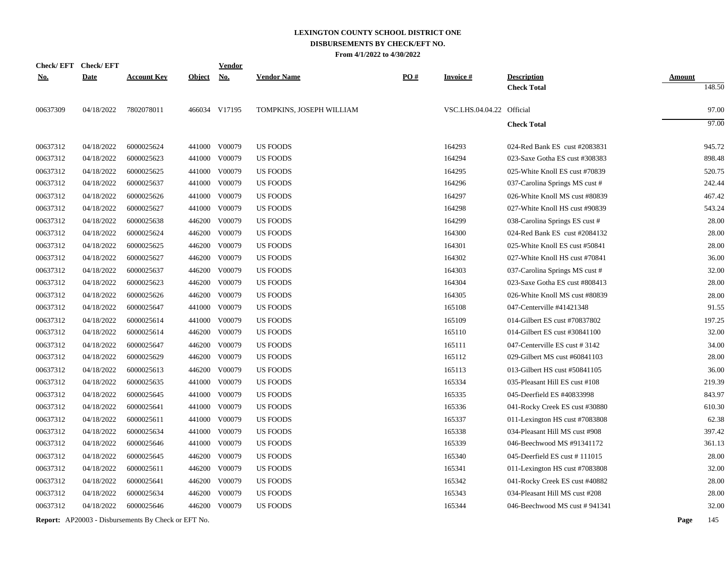|            | Check/EFT Check/EFT |                                                            |               | <u>Vendor</u> |                          |     |                           |                                |               |        |
|------------|---------------------|------------------------------------------------------------|---------------|---------------|--------------------------|-----|---------------------------|--------------------------------|---------------|--------|
| <u>No.</u> | <b>Date</b>         | <b>Account Key</b>                                         | <b>Object</b> | No.           | <b>Vendor Name</b>       | PO# | <b>Invoice#</b>           | <b>Description</b>             | <b>Amount</b> |        |
|            |                     |                                                            |               |               |                          |     |                           | <b>Check Total</b>             |               | 148.50 |
| 00637309   | 04/18/2022          | 7802078011                                                 |               | 466034 V17195 | TOMPKINS, JOSEPH WILLIAM |     | VSC.LHS.04.04.22 Official |                                |               | 97.00  |
|            |                     |                                                            |               |               |                          |     |                           | <b>Check Total</b>             |               | 97.00  |
| 00637312   | 04/18/2022          | 6000025624                                                 |               | 441000 V00079 | <b>US FOODS</b>          |     | 164293                    | 024-Red Bank ES cust #2083831  |               | 945.72 |
| 00637312   | 04/18/2022          | 6000025623                                                 |               | 441000 V00079 | US FOODS                 |     | 164294                    | 023-Saxe Gotha ES cust #308383 |               | 898.48 |
| 00637312   | 04/18/2022          | 6000025625                                                 |               | 441000 V00079 | <b>US FOODS</b>          |     | 164295                    | 025-White Knoll ES cust #70839 |               | 520.75 |
| 00637312   | 04/18/2022          | 6000025637                                                 |               | 441000 V00079 | <b>US FOODS</b>          |     | 164296                    | 037-Carolina Springs MS cust # |               | 242.44 |
| 00637312   | 04/18/2022          | 6000025626                                                 |               | 441000 V00079 | <b>US FOODS</b>          |     | 164297                    | 026-White Knoll MS cust #80839 |               | 467.42 |
| 00637312   | 04/18/2022          | 6000025627                                                 |               | 441000 V00079 | <b>US FOODS</b>          |     | 164298                    | 027-White Knoll HS cust #90839 |               | 543.24 |
| 00637312   | 04/18/2022          | 6000025638                                                 |               | 446200 V00079 | US FOODS                 |     | 164299                    | 038-Carolina Springs ES cust # |               | 28.00  |
| 00637312   | 04/18/2022          | 6000025624                                                 |               | 446200 V00079 | <b>US FOODS</b>          |     | 164300                    | 024-Red Bank ES cust #2084132  |               | 28.00  |
| 00637312   | 04/18/2022          | 6000025625                                                 |               | 446200 V00079 | <b>US FOODS</b>          |     | 164301                    | 025-White Knoll ES cust #50841 |               | 28.00  |
| 00637312   | 04/18/2022          | 6000025627                                                 |               | 446200 V00079 | US FOODS                 |     | 164302                    | 027-White Knoll HS cust #70841 |               | 36.00  |
| 00637312   | 04/18/2022          | 6000025637                                                 |               | 446200 V00079 | <b>US FOODS</b>          |     | 164303                    | 037-Carolina Springs MS cust # |               | 32.00  |
| 00637312   | 04/18/2022          | 6000025623                                                 |               | 446200 V00079 | <b>US FOODS</b>          |     | 164304                    | 023-Saxe Gotha ES cust #808413 |               | 28.00  |
| 00637312   | 04/18/2022          | 6000025626                                                 |               | 446200 V00079 | <b>US FOODS</b>          |     | 164305                    | 026-White Knoll MS cust #80839 |               | 28.00  |
| 00637312   | 04/18/2022          | 6000025647                                                 |               | 441000 V00079 | <b>US FOODS</b>          |     | 165108                    | 047-Centerville #41421348      |               | 91.55  |
| 00637312   | 04/18/2022          | 6000025614                                                 |               | 441000 V00079 | <b>US FOODS</b>          |     | 165109                    | 014-Gilbert ES cust #70837802  |               | 197.25 |
| 00637312   | 04/18/2022          | 6000025614                                                 |               | 446200 V00079 | <b>US FOODS</b>          |     | 165110                    | 014-Gilbert ES cust #30841100  |               | 32.00  |
| 00637312   | 04/18/2022          | 6000025647                                                 | 446200        | V00079        | <b>US FOODS</b>          |     | 165111                    | 047-Centerville ES cust # 3142 |               | 34.00  |
| 00637312   | 04/18/2022          | 6000025629                                                 |               | 446200 V00079 | <b>US FOODS</b>          |     | 165112                    | 029-Gilbert MS cust #60841103  |               | 28.00  |
| 00637312   | 04/18/2022          | 6000025613                                                 | 446200        | V00079        | <b>US FOODS</b>          |     | 165113                    | 013-Gilbert HS cust #50841105  |               | 36.00  |
| 00637312   | 04/18/2022          | 6000025635                                                 |               | 441000 V00079 | <b>US FOODS</b>          |     | 165334                    | 035-Pleasant Hill ES cust #108 |               | 219.39 |
| 00637312   | 04/18/2022          | 6000025645                                                 | 441000        | V00079        | US FOODS                 |     | 165335                    | 045-Deerfield ES #40833998     |               | 843.97 |
| 00637312   | 04/18/2022          | 6000025641                                                 | 441000        | V00079        | <b>US FOODS</b>          |     | 165336                    | 041-Rocky Creek ES cust #30880 |               | 610.30 |
| 00637312   | 04/18/2022          | 6000025611                                                 | 441000        | V00079        | <b>US FOODS</b>          |     | 165337                    | 011-Lexington HS cust #7083808 |               | 62.38  |
| 00637312   | 04/18/2022          | 6000025634                                                 |               | 441000 V00079 | <b>US FOODS</b>          |     | 165338                    | 034-Pleasant Hill MS cust #908 |               | 397.42 |
| 00637312   | 04/18/2022          | 6000025646                                                 |               | 441000 V00079 | <b>US FOODS</b>          |     | 165339                    | 046-Beechwood MS #91341172     |               | 361.13 |
| 00637312   | 04/18/2022          | 6000025645                                                 | 446200        | V00079        | <b>US FOODS</b>          |     | 165340                    | 045-Deerfield ES cust #111015  |               | 28.00  |
| 00637312   | 04/18/2022          | 6000025611                                                 |               | 446200 V00079 | <b>US FOODS</b>          |     | 165341                    | 011-Lexington HS cust #7083808 |               | 32.00  |
| 00637312   | 04/18/2022          | 6000025641                                                 | 446200        | V00079        | US FOODS                 |     | 165342                    | 041-Rocky Creek ES cust #40882 |               | 28.00  |
| 00637312   | 04/18/2022          | 6000025634                                                 | 446200        | V00079        | <b>US FOODS</b>          |     | 165343                    | 034-Pleasant Hill MS cust #208 |               | 28.00  |
| 00637312   | 04/18/2022          | 6000025646                                                 |               | 446200 V00079 | <b>US FOODS</b>          |     | 165344                    | 046-Beechwood MS cust #941341  |               | 32.00  |
|            |                     | <b>Report:</b> AP20003 - Disbursements By Check or EFT No. |               |               |                          |     |                           |                                | Page          | 145    |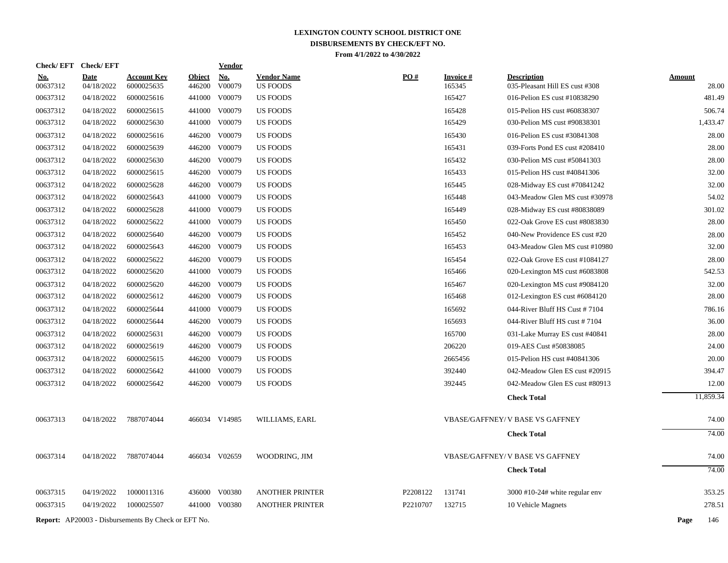**Check/ EFT Vendor Check/ EFT**

| <u>No.</u><br>00637312 | <b>Date</b><br>04/18/2022 | <b>Account Key</b><br>6000025635                           | <b>Object</b><br>446200 | $\underline{\textbf{No}}$<br>V00079 | <b>Vendor Name</b><br><b>US FOODS</b> | PO#      | <b>Invoice#</b><br>165345 | <b>Description</b><br>035-Pleasant Hill ES cust #308 | <b>Amount</b><br>28.00 |
|------------------------|---------------------------|------------------------------------------------------------|-------------------------|-------------------------------------|---------------------------------------|----------|---------------------------|------------------------------------------------------|------------------------|
| 00637312               | 04/18/2022                | 6000025616                                                 |                         | 441000 V00079                       | <b>US FOODS</b>                       |          | 165427                    | 016-Pelion ES cust #10838290                         | 481.49                 |
| 00637312               | 04/18/2022                | 6000025615                                                 | 441000                  | V00079                              | <b>US FOODS</b>                       |          | 165428                    | 015-Pelion HS cust #60838307                         | 506.74                 |
| 00637312               | 04/18/2022                | 6000025630                                                 |                         | 441000 V00079                       | <b>US FOODS</b>                       |          | 165429                    | 030-Pelion MS cust #90838301                         | 1,433.47               |
| 00637312               | 04/18/2022                | 6000025616                                                 |                         | 446200 V00079                       | <b>US FOODS</b>                       |          | 165430                    | 016-Pelion ES cust #30841308                         | 28.00                  |
| 00637312               | 04/18/2022                | 6000025639                                                 | 446200                  | V00079                              | <b>US FOODS</b>                       |          | 165431                    | 039-Forts Pond ES cust #208410                       | 28.00                  |
| 00637312               | 04/18/2022                | 6000025630                                                 |                         | 446200 V00079                       | <b>US FOODS</b>                       |          | 165432                    | 030-Pelion MS cust #50841303                         | 28.00                  |
| 00637312               | 04/18/2022                | 6000025615                                                 |                         | 446200 V00079                       | <b>US FOODS</b>                       |          | 165433                    | 015-Pelion HS cust #40841306                         | 32.00                  |
| 00637312               | 04/18/2022                | 6000025628                                                 |                         | 446200 V00079                       | US FOODS                              |          | 165445                    | 028-Midway ES cust #70841242                         | 32.00                  |
| 00637312               | 04/18/2022                | 6000025643                                                 |                         | 441000 V00079                       | <b>US FOODS</b>                       |          | 165448                    | 043-Meadow Glen MS cust #30978                       | 54.02                  |
| 00637312               | 04/18/2022                | 6000025628                                                 |                         | 441000 V00079                       | <b>US FOODS</b>                       |          | 165449                    | 028-Midway ES cust #80838089                         | 301.02                 |
| 00637312               | 04/18/2022                | 6000025622                                                 |                         | 441000 V00079                       | <b>US FOODS</b>                       |          | 165450                    | 022-Oak Grove ES cust #8083830                       | 28.00                  |
| 00637312               | 04/18/2022                | 6000025640                                                 |                         | 446200 V00079                       | <b>US FOODS</b>                       |          | 165452                    | 040-New Providence ES cust #20                       | 28.00                  |
| 00637312               | 04/18/2022                | 6000025643                                                 |                         | 446200 V00079                       | <b>US FOODS</b>                       |          | 165453                    | 043-Meadow Glen MS cust #10980                       | 32.00                  |
| 00637312               | 04/18/2022                | 6000025622                                                 |                         | 446200 V00079                       | <b>US FOODS</b>                       |          | 165454                    | 022-Oak Grove ES cust #1084127                       | 28.00                  |
| 00637312               | 04/18/2022                | 6000025620                                                 |                         | 441000 V00079                       | US FOODS                              |          | 165466                    | 020-Lexington MS cust #6083808                       | 542.53                 |
| 00637312               | 04/18/2022                | 6000025620                                                 |                         | 446200 V00079                       | <b>US FOODS</b>                       |          | 165467                    | 020-Lexington MS cust #9084120                       | 32.00                  |
| 00637312               | 04/18/2022                | 6000025612                                                 |                         | 446200 V00079                       | <b>US FOODS</b>                       |          | 165468                    | 012-Lexington ES cust #6084120                       | 28.00                  |
| 00637312               | 04/18/2022                | 6000025644                                                 |                         | 441000 V00079                       | <b>US FOODS</b>                       |          | 165692                    | 044-River Bluff HS Cust #7104                        | 786.16                 |
| 00637312               | 04/18/2022                | 6000025644                                                 |                         | 446200 V00079                       | <b>US FOODS</b>                       |          | 165693                    | 044-River Bluff HS cust #7104                        | 36.00                  |
| 00637312               | 04/18/2022                | 6000025631                                                 |                         | 446200 V00079                       | <b>US FOODS</b>                       |          | 165700                    | 031-Lake Murray ES cust #40841                       | 28.00                  |
| 00637312               | 04/18/2022                | 6000025619                                                 |                         | 446200 V00079                       | <b>US FOODS</b>                       |          | 206220                    | 019-AES Cust #50838085                               | 24.00                  |
| 00637312               | 04/18/2022                | 6000025615                                                 | 446200                  | V00079                              | <b>US FOODS</b>                       |          | 2665456                   | 015-Pelion HS cust #40841306                         | 20.00                  |
| 00637312               | 04/18/2022                | 6000025642                                                 |                         | 441000 V00079                       | <b>US FOODS</b>                       |          | 392440                    | 042-Meadow Glen ES cust #20915                       | 394.47                 |
| 00637312               | 04/18/2022                | 6000025642                                                 |                         | 446200 V00079                       | <b>US FOODS</b>                       |          | 392445                    | 042-Meadow Glen ES cust #80913                       | 12.00                  |
|                        |                           |                                                            |                         |                                     |                                       |          |                           | <b>Check Total</b>                                   | 11,859.34              |
| 00637313               | 04/18/2022                | 7887074044                                                 |                         | 466034 V14985                       | WILLIAMS, EARL                        |          |                           | <b>VBASE/GAFFNEY/ V BASE VS GAFFNEY</b>              | 74.00                  |
|                        |                           |                                                            |                         |                                     |                                       |          |                           | <b>Check Total</b>                                   | 74.00                  |
| 00637314               | 04/18/2022                | 7887074044                                                 |                         | 466034 V02659                       | WOODRING, JIM                         |          |                           | <b>VBASE/GAFFNEY/ V BASE VS GAFFNEY</b>              | 74.00                  |
|                        |                           |                                                            |                         |                                     |                                       |          |                           | <b>Check Total</b>                                   | 74.00                  |
| 00637315               | 04/19/2022                | 1000011316                                                 |                         | 436000 V00380                       | <b>ANOTHER PRINTER</b>                | P2208122 | 131741                    | $3000$ #10-24# white regular env                     | 353.25                 |
| 00637315               | 04/19/2022                | 1000025507                                                 |                         | 441000 V00380                       | <b>ANOTHER PRINTER</b>                | P2210707 | 132715                    | 10 Vehicle Magnets                                   | 278.51                 |
|                        |                           | <b>Report:</b> AP20003 - Disbursements By Check or EFT No. |                         |                                     |                                       |          |                           |                                                      | Page<br>146            |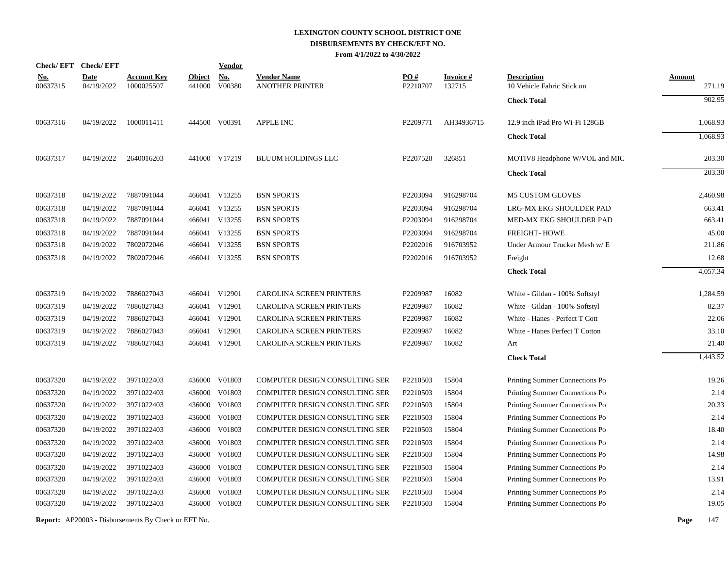| <b>Check/EFT</b>       | <b>Check/EFT</b>          |                                  |                         | <b>Vendor</b>        |                                              |                               |                           |                                                  |                         |
|------------------------|---------------------------|----------------------------------|-------------------------|----------------------|----------------------------------------------|-------------------------------|---------------------------|--------------------------------------------------|-------------------------|
| <u>No.</u><br>00637315 | <b>Date</b><br>04/19/2022 | <b>Account Key</b><br>1000025507 | <b>Object</b><br>441000 | <b>No.</b><br>V00380 | <b>Vendor Name</b><br><b>ANOTHER PRINTER</b> | $\underline{PO#}$<br>P2210707 | <b>Invoice#</b><br>132715 | <b>Description</b><br>10 Vehicle Fabric Stick on | <u>Amount</u><br>271.19 |
|                        |                           |                                  |                         |                      |                                              |                               |                           | <b>Check Total</b>                               | 902.95                  |
| 00637316               | 04/19/2022                | 1000011411                       |                         | 444500 V00391        | <b>APPLE INC</b>                             | P2209771                      | AH34936715                | 12.9 inch iPad Pro Wi-Fi 128GB                   | 1,068.93                |
|                        |                           |                                  |                         |                      |                                              |                               |                           | <b>Check Total</b>                               | 1,068.93                |
| 00637317               | 04/19/2022                | 2640016203                       |                         | 441000 V17219        | <b>BLUUM HOLDINGS LLC</b>                    | P2207528                      | 326851                    | MOTIV8 Headphone W/VOL and MIC                   | 203.30                  |
|                        |                           |                                  |                         |                      |                                              |                               |                           | <b>Check Total</b>                               | 203.30                  |
| 00637318               | 04/19/2022                | 7887091044                       |                         | 466041 V13255        | <b>BSN SPORTS</b>                            | P2203094                      | 916298704                 | <b>M5 CUSTOM GLOVES</b>                          | 2,460.98                |
| 00637318               | 04/19/2022                | 7887091044                       |                         | 466041 V13255        | <b>BSN SPORTS</b>                            | P2203094                      | 916298704                 | LRG-MX EKG SHOULDER PAD                          | 663.41                  |
| 00637318               | 04/19/2022                | 7887091044                       |                         | 466041 V13255        | <b>BSN SPORTS</b>                            | P2203094                      | 916298704                 | MED-MX EKG SHOULDER PAD                          | 663.41                  |
| 00637318               | 04/19/2022                | 7887091044                       |                         | 466041 V13255        | <b>BSN SPORTS</b>                            | P2203094                      | 916298704                 | <b>FREIGHT-HOWE</b>                              | 45.00                   |
| 00637318               | 04/19/2022                | 7802072046                       | 466041                  | V13255               | <b>BSN SPORTS</b>                            | P2202016                      | 916703952                 | Under Armour Trucker Mesh w/ E                   | 211.86                  |
| 00637318               | 04/19/2022                | 7802072046                       | 466041                  | V13255               | <b>BSN SPORTS</b>                            | P2202016                      | 916703952                 | Freight                                          | 12.68                   |
|                        |                           |                                  |                         |                      |                                              |                               |                           | <b>Check Total</b>                               | 4,057.34                |
| 00637319               | 04/19/2022                | 7886027043                       | 466041                  | V12901               | CAROLINA SCREEN PRINTERS                     | P2209987                      | 16082                     | White - Gildan - 100% Softstyl                   | 1,284.59                |
| 00637319               | 04/19/2022                | 7886027043                       | 466041                  | V12901               | CAROLINA SCREEN PRINTERS                     | P2209987                      | 16082                     | White - Gildan - 100% Softstyl                   | 82.37                   |
| 00637319               | 04/19/2022                | 7886027043                       | 466041                  | V12901               | CAROLINA SCREEN PRINTERS                     | P2209987                      | 16082                     | White - Hanes - Perfect T Cott                   | 22.06                   |
| 00637319               | 04/19/2022                | 7886027043                       | 466041                  | V12901               | CAROLINA SCREEN PRINTERS                     | P2209987                      | 16082                     | White - Hanes Perfect T Cotton                   | 33.10                   |
| 00637319               | 04/19/2022                | 7886027043                       |                         | 466041 V12901        | CAROLINA SCREEN PRINTERS                     | P2209987                      | 16082                     | Art                                              | 21.40                   |
|                        |                           |                                  |                         |                      |                                              |                               |                           | <b>Check Total</b>                               | 1.443.52                |
| 00637320               | 04/19/2022                | 3971022403                       | 436000                  | V01803               | COMPUTER DESIGN CONSULTING SER               | P2210503                      | 15804                     | Printing Summer Connections Po                   | 19.26                   |
| 00637320               | 04/19/2022                | 3971022403                       | 436000                  | V01803               | COMPUTER DESIGN CONSULTING SER               | P2210503                      | 15804                     | Printing Summer Connections Po                   | 2.14                    |
| 00637320               | 04/19/2022                | 3971022403                       | 436000                  | V01803               | COMPUTER DESIGN CONSULTING SER               | P2210503                      | 15804                     | Printing Summer Connections Po                   | 20.33                   |
| 00637320               | 04/19/2022                | 3971022403                       | 436000                  | V01803               | COMPUTER DESIGN CONSULTING SER               | P2210503                      | 15804                     | Printing Summer Connections Po                   | 2.14                    |
| 00637320               | 04/19/2022                | 3971022403                       | 436000                  | V01803               | COMPUTER DESIGN CONSULTING SER               | P2210503                      | 15804                     | Printing Summer Connections Po                   | 18.40                   |
| 00637320               | 04/19/2022                | 3971022403                       | 436000                  | V01803               | COMPUTER DESIGN CONSULTING SER               | P2210503                      | 15804                     | Printing Summer Connections Po                   | 2.14                    |
| 00637320               | 04/19/2022                | 3971022403                       | 436000                  | V01803               | COMPUTER DESIGN CONSULTING SER               | P2210503                      | 15804                     | Printing Summer Connections Po                   | 14.98                   |
| 00637320               | 04/19/2022                | 3971022403                       | 436000                  | V01803               | COMPUTER DESIGN CONSULTING SER               | P2210503                      | 15804                     | Printing Summer Connections Po                   | 2.14                    |
| 00637320               | 04/19/2022                | 3971022403                       | 436000                  | V01803               | COMPUTER DESIGN CONSULTING SER               | P2210503                      | 15804                     | Printing Summer Connections Po                   | 13.91                   |
| 00637320               | 04/19/2022                | 3971022403                       | 436000                  | V01803               | <b>COMPUTER DESIGN CONSULTING SER</b>        | P2210503                      | 15804                     | Printing Summer Connections Po                   | 2.14                    |
| 00637320               | 04/19/2022                | 3971022403                       |                         | 436000 V01803        | COMPUTER DESIGN CONSULTING SER               | P2210503                      | 15804                     | Printing Summer Connections Po                   | 19.05                   |
|                        |                           |                                  |                         |                      |                                              |                               |                           |                                                  |                         |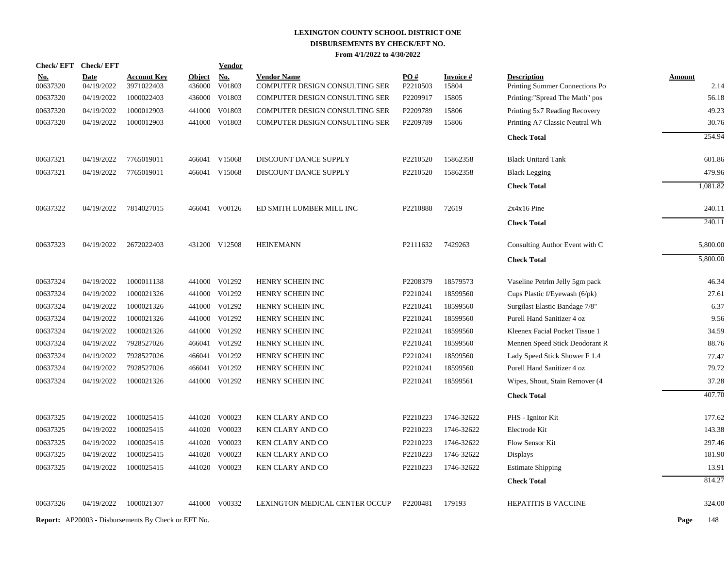| <b>Check/EFT</b>     | <b>Check/EFT</b>         |                                                            |                  | <b>Vendor</b>    |                                                                  |                      |                 |                                |               |
|----------------------|--------------------------|------------------------------------------------------------|------------------|------------------|------------------------------------------------------------------|----------------------|-----------------|--------------------------------|---------------|
| <u>No.</u>           | <b>Date</b>              | <b>Account Key</b>                                         | <b>Object</b>    | <u>No.</u>       | <b>Vendor Name</b>                                               | PO#                  | <b>Invoice#</b> | <b>Description</b>             | <b>Amount</b> |
| 00637320<br>00637320 | 04/19/2022<br>04/19/2022 | 3971022403<br>1000022403                                   | 436000<br>436000 | V01803<br>V01803 | COMPUTER DESIGN CONSULTING SER<br>COMPUTER DESIGN CONSULTING SER | P2210503<br>P2209917 | 15804<br>15805  | Printing Summer Connections Po | 2.14<br>56.18 |
|                      |                          |                                                            |                  |                  |                                                                  |                      |                 | Printing:"Spread The Math" pos |               |
| 00637320             | 04/19/2022               | 1000012903<br>1000012903                                   |                  | 441000 V01803    | COMPUTER DESIGN CONSULTING SER                                   | P2209789             | 15806           | Printing 5x7 Reading Recovery  | 49.23         |
| 00637320             | 04/19/2022               |                                                            |                  | 441000 V01803    | COMPUTER DESIGN CONSULTING SER                                   | P2209789             | 15806           | Printing A7 Classic Neutral Wh | 30.76         |
|                      |                          |                                                            |                  |                  |                                                                  |                      |                 | <b>Check Total</b>             | 254.94        |
| 00637321             | 04/19/2022               | 7765019011                                                 |                  | 466041 V15068    | DISCOUNT DANCE SUPPLY                                            | P2210520             | 15862358        | <b>Black Unitard Tank</b>      | 601.86        |
| 00637321             | 04/19/2022               | 7765019011                                                 |                  | 466041 V15068    | DISCOUNT DANCE SUPPLY                                            | P2210520             | 15862358        | <b>Black Legging</b>           | 479.96        |
|                      |                          |                                                            |                  |                  |                                                                  |                      |                 | <b>Check Total</b>             | 1,081.82      |
| 00637322             | 04/19/2022               | 7814027015                                                 |                  | 466041 V00126    | ED SMITH LUMBER MILL INC                                         | P2210888             | 72619           | $2x4x16$ Pine                  | 240.11        |
|                      |                          |                                                            |                  |                  |                                                                  |                      |                 | <b>Check Total</b>             | 240.11        |
| 00637323             | 04/19/2022               | 2672022403                                                 |                  | 431200 V12508    | <b>HEINEMANN</b>                                                 | P2111632             | 7429263         | Consulting Author Event with C | 5,800.00      |
|                      |                          |                                                            |                  |                  |                                                                  |                      |                 | <b>Check Total</b>             | 5,800.00      |
| 00637324             | 04/19/2022               | 1000011138                                                 |                  | 441000 V01292    | HENRY SCHEIN INC                                                 | P2208379             | 18579573        | Vaseline Petrlm Jelly 5gm pack | 46.34         |
| 00637324             | 04/19/2022               | 1000021326                                                 |                  | 441000 V01292    | HENRY SCHEIN INC                                                 | P2210241             | 18599560        | Cups Plastic f/Eyewash (6/pk)  | 27.61         |
| 00637324             | 04/19/2022               | 1000021326                                                 |                  | 441000 V01292    | HENRY SCHEIN INC                                                 | P2210241             | 18599560        | Surgilast Elastic Bandage 7/8" | 6.37          |
| 00637324             | 04/19/2022               | 1000021326                                                 |                  | 441000 V01292    | HENRY SCHEIN INC                                                 | P2210241             | 18599560        | Purell Hand Sanitizer 4 oz     | 9.56          |
| 00637324             | 04/19/2022               | 1000021326                                                 |                  | 441000 V01292    | HENRY SCHEIN INC                                                 | P2210241             | 18599560        | Kleenex Facial Pocket Tissue 1 | 34.59         |
| 00637324             | 04/19/2022               | 7928527026                                                 |                  | 466041 V01292    | HENRY SCHEIN INC                                                 | P2210241             | 18599560        | Mennen Speed Stick Deodorant R | 88.76         |
| 00637324             | 04/19/2022               | 7928527026                                                 | 466041           | V01292           | HENRY SCHEIN INC                                                 | P2210241             | 18599560        | Lady Speed Stick Shower F 1.4  | 77.47         |
| 00637324             | 04/19/2022               | 7928527026                                                 |                  | 466041 V01292    | HENRY SCHEIN INC                                                 | P2210241             | 18599560        | Purell Hand Sanitizer 4 oz     | 79.72         |
| 00637324             | 04/19/2022               | 1000021326                                                 |                  | 441000 V01292    | HENRY SCHEIN INC                                                 | P2210241             | 18599561        | Wipes, Shout, Stain Remover (4 | 37.28         |
|                      |                          |                                                            |                  |                  |                                                                  |                      |                 | <b>Check Total</b>             | 407.70        |
| 00637325             | 04/19/2022               | 1000025415                                                 |                  | 441020 V00023    | KEN CLARY AND CO                                                 | P2210223             | 1746-32622      | PHS - Ignitor Kit              | 177.62        |
| 00637325             | 04/19/2022               | 1000025415                                                 |                  | 441020 V00023    | KEN CLARY AND CO                                                 | P2210223             | 1746-32622      | Electrode Kit                  | 143.38        |
| 00637325             | 04/19/2022               | 1000025415                                                 |                  | 441020 V00023    | <b>KEN CLARY AND CO</b>                                          | P2210223             | 1746-32622      | <b>Flow Sensor Kit</b>         | 297.46        |
| 00637325             | 04/19/2022               | 1000025415                                                 |                  | 441020 V00023    | KEN CLARY AND CO                                                 | P2210223             | 1746-32622      | <b>Displays</b>                | 181.90        |
| 00637325             | 04/19/2022               | 1000025415                                                 |                  | 441020 V00023    | KEN CLARY AND CO                                                 | P2210223             | 1746-32622      | <b>Estimate Shipping</b>       | 13.91         |
|                      |                          |                                                            |                  |                  |                                                                  |                      |                 | <b>Check Total</b>             | 814.27        |
| 00637326             | 04/19/2022               | 1000021307                                                 |                  | 441000 V00332    | LEXINGTON MEDICAL CENTER OCCUP                                   | P2200481             | 179193          | HEPATITIS B VACCINE            | 324.00        |
|                      |                          | <b>Report:</b> AP20003 - Disbursements By Check or EFT No. |                  |                  |                                                                  |                      |                 |                                | Page<br>148   |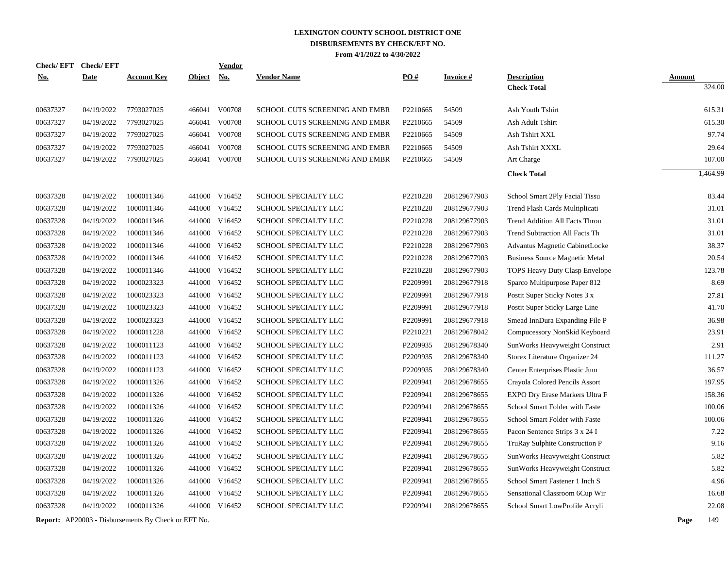| <b>Check/EFT</b> | <b>Check/EFT</b> |                    |               | Vendor        |                                |                   |                 |                                       |               |
|------------------|------------------|--------------------|---------------|---------------|--------------------------------|-------------------|-----------------|---------------------------------------|---------------|
| <u>No.</u>       | <b>Date</b>      | <b>Account Key</b> | <b>Object</b> | <u>No.</u>    | <b>Vendor Name</b>             | $\underline{PO#}$ | <b>Invoice#</b> | <b>Description</b>                    | <b>Amount</b> |
|                  |                  |                    |               |               |                                |                   |                 | <b>Check Total</b>                    | 324.00        |
| 00637327         | 04/19/2022       | 7793027025         |               | 466041 V00708 | SCHOOL CUTS SCREENING AND EMBR | P2210665          | 54509           | Ash Youth Tshirt                      | 615.31        |
| 00637327         | 04/19/2022       | 7793027025         | 466041        | V00708        | SCHOOL CUTS SCREENING AND EMBR | P2210665          | 54509           | Ash Adult Tshirt                      | 615.30        |
| 00637327         | 04/19/2022       | 7793027025         | 466041        | V00708        | SCHOOL CUTS SCREENING AND EMBR | P2210665          | 54509           | Ash Tshirt XXL                        | 97.74         |
| 00637327         | 04/19/2022       | 7793027025         | 466041        | V00708        | SCHOOL CUTS SCREENING AND EMBR | P2210665          | 54509           | Ash Tshirt XXXL                       | 29.64         |
| 00637327         | 04/19/2022       | 7793027025         | 466041        | V00708        | SCHOOL CUTS SCREENING AND EMBR | P2210665          | 54509           | Art Charge                            | 107.00        |
|                  |                  |                    |               |               |                                |                   |                 | <b>Check Total</b>                    | 1,464.99      |
| 00637328         | 04/19/2022       | 1000011346         | 441000        | V16452        | SCHOOL SPECIALTY LLC           | P2210228          | 208129677903    | School Smart 2Ply Facial Tissu        | 83.44         |
| 00637328         | 04/19/2022       | 1000011346         | 441000        | V16452        | SCHOOL SPECIALTY LLC           | P2210228          | 208129677903    | Trend Flash Cards Multiplicati        | 31.01         |
| 00637328         | 04/19/2022       | 1000011346         | 441000        | V16452        | <b>SCHOOL SPECIALTY LLC</b>    | P2210228          | 208129677903    | Trend Addition All Facts Throu        | 31.01         |
| 00637328         | 04/19/2022       | 1000011346         | 441000        | V16452        | SCHOOL SPECIALTY LLC           | P2210228          | 208129677903    | Trend Subtraction All Facts Th        | 31.01         |
| 00637328         | 04/19/2022       | 1000011346         | 441000        | V16452        | SCHOOL SPECIALTY LLC           | P2210228          | 208129677903    | Advantus Magnetic CabinetLocke        | 38.37         |
| 00637328         | 04/19/2022       | 1000011346         | 441000        | V16452        | SCHOOL SPECIALTY LLC           | P2210228          | 208129677903    | <b>Business Source Magnetic Metal</b> | 20.54         |
| 00637328         | 04/19/2022       | 1000011346         | 441000        | V16452        | SCHOOL SPECIALTY LLC           | P2210228          | 208129677903    | <b>TOPS Heavy Duty Clasp Envelope</b> | 123.78        |
| 00637328         | 04/19/2022       | 1000023323         |               | 441000 V16452 | SCHOOL SPECIALTY LLC           | P2209991          | 208129677918    | Sparco Multipurpose Paper 812         | 8.69          |
| 00637328         | 04/19/2022       | 1000023323         | 441000        | V16452        | SCHOOL SPECIALTY LLC           | P2209991          | 208129677918    | Postit Super Sticky Notes 3 x         | 27.81         |
| 00637328         | 04/19/2022       | 1000023323         | 441000        | V16452        | SCHOOL SPECIALTY LLC           | P2209991          | 208129677918    | Postit Super Sticky Large Line        | 41.70         |
| 00637328         | 04/19/2022       | 1000023323         | 441000        | V16452        | SCHOOL SPECIALTY LLC           | P2209991          | 208129677918    | Smead InnDura Expanding File P        | 36.98         |
| 00637328         | 04/19/2022       | 1000011228         | 441000        | V16452        | SCHOOL SPECIALTY LLC           | P2210221          | 208129678042    | Compucessory NonSkid Keyboard         | 23.91         |
| 00637328         | 04/19/2022       | 1000011123         | 441000        | V16452        | SCHOOL SPECIALTY LLC           | P2209935          | 208129678340    | SunWorks Heavyweight Construct        | 2.91          |
| 00637328         | 04/19/2022       | 1000011123         | 441000        | V16452        | <b>SCHOOL SPECIALTY LLC</b>    | P2209935          | 208129678340    | Storex Literature Organizer 24        | 111.27        |
| 00637328         | 04/19/2022       | 1000011123         | 441000        | V16452        | SCHOOL SPECIALTY LLC           | P2209935          | 208129678340    | Center Enterprises Plastic Jum        | 36.57         |
| 00637328         | 04/19/2022       | 1000011326         | 441000        | V16452        | SCHOOL SPECIALTY LLC           | P2209941          | 208129678655    | Crayola Colored Pencils Assort        | 197.95        |
| 00637328         | 04/19/2022       | 1000011326         | 441000        | V16452        | SCHOOL SPECIALTY LLC           | P2209941          | 208129678655    | <b>EXPO Dry Erase Markers Ultra F</b> | 158.36        |
| 00637328         | 04/19/2022       | 1000011326         | 441000        | V16452        | SCHOOL SPECIALTY LLC           | P2209941          | 208129678655    | School Smart Folder with Faste        | 100.06        |
| 00637328         | 04/19/2022       | 1000011326         | 441000        | V16452        | SCHOOL SPECIALTY LLC           | P2209941          | 208129678655    | School Smart Folder with Faste        | 100.06        |
| 00637328         | 04/19/2022       | 1000011326         | 441000        | V16452        | SCHOOL SPECIALTY LLC           | P2209941          | 208129678655    | Pacon Sentence Strips 3 x 24 I        | 7.22          |
| 00637328         | 04/19/2022       | 1000011326         | 441000        | V16452        | SCHOOL SPECIALTY LLC           | P2209941          | 208129678655    | TruRay Sulphite Construction P        | 9.16          |
| 00637328         | 04/19/2022       | 1000011326         | 441000        | V16452        | SCHOOL SPECIALTY LLC           | P2209941          | 208129678655    | SunWorks Heavyweight Construct        | 5.82          |
| 00637328         | 04/19/2022       | 1000011326         | 441000        | V16452        | SCHOOL SPECIALTY LLC           | P2209941          | 208129678655    | SunWorks Heavyweight Construct        | 5.82          |
| 00637328         | 04/19/2022       | 1000011326         | 441000        | V16452        | SCHOOL SPECIALTY LLC           | P2209941          | 208129678655    | School Smart Fastener 1 Inch S        | 4.96          |
| 00637328         | 04/19/2022       | 1000011326         | 441000        | V16452        | SCHOOL SPECIALTY LLC           | P2209941          | 208129678655    | Sensational Classroom 6Cup Wir        | 16.68         |
| 00637328         | 04/19/2022       | 1000011326         |               | 441000 V16452 | SCHOOL SPECIALTY LLC           | P2209941          | 208129678655    | School Smart LowProfile Acryli        | 22.08         |
|                  |                  |                    |               |               |                                |                   |                 |                                       |               |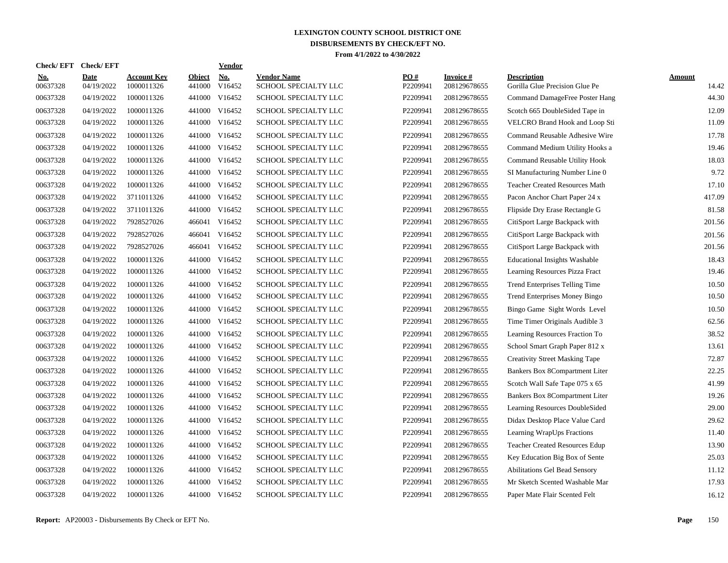| Check/ EFT             | <b>Check/EFT</b>          |                                  |                         | <b>Vendor</b>                       |                                            |                 |                           |                                                      |                        |
|------------------------|---------------------------|----------------------------------|-------------------------|-------------------------------------|--------------------------------------------|-----------------|---------------------------|------------------------------------------------------|------------------------|
| <u>No.</u><br>00637328 | <b>Date</b><br>04/19/2022 | <b>Account Key</b><br>1000011326 | <b>Object</b><br>441000 | $\underline{\text{No}}$ .<br>V16452 | <b>Vendor Name</b><br>SCHOOL SPECIALTY LLC | PO#<br>P2209941 | Invoice #<br>208129678655 | <b>Description</b><br>Gorilla Glue Precision Glue Pe | <b>Amount</b><br>14.42 |
| 00637328               | 04/19/2022                | 1000011326                       | 441000                  | V16452                              | SCHOOL SPECIALTY LLC                       | P2209941        | 208129678655              | Command DamageFree Poster Hang                       | 44.30                  |
| 00637328               | 04/19/2022                | 1000011326                       | 441000                  | V16452                              | SCHOOL SPECIALTY LLC                       | P2209941        | 208129678655              | Scotch 665 DoubleSided Tape in                       | 12.09                  |
| 00637328               | 04/19/2022                | 1000011326                       |                         | 441000 V16452                       | SCHOOL SPECIALTY LLC                       | P2209941        | 208129678655              | VELCRO Brand Hook and Loop Sti                       | 11.09                  |
| 00637328               | 04/19/2022                | 1000011326                       |                         | 441000 V16452                       | SCHOOL SPECIALTY LLC                       | P2209941        | 208129678655              | Command Reusable Adhesive Wire                       | 17.78                  |
| 00637328               | 04/19/2022                | 1000011326                       |                         | 441000 V16452                       | SCHOOL SPECIALTY LLC                       | P2209941        | 208129678655              | Command Medium Utility Hooks a                       | 19.46                  |
| 00637328               | 04/19/2022                | 1000011326                       | 441000                  | V16452                              | SCHOOL SPECIALTY LLC                       | P2209941        | 208129678655              | Command Reusable Utility Hook                        | 18.03                  |
| 00637328               | 04/19/2022                | 1000011326                       | 441000                  | V16452                              | SCHOOL SPECIALTY LLC                       | P2209941        | 208129678655              | SI Manufacturing Number Line 0                       | 9.72                   |
| 00637328               | 04/19/2022                | 1000011326                       | 441000                  | V16452                              | SCHOOL SPECIALTY LLC                       | P2209941        | 208129678655              | <b>Teacher Created Resources Math</b>                | 17.10                  |
| 00637328               | 04/19/2022                | 3711011326                       | 441000                  | V16452                              | SCHOOL SPECIALTY LLC                       | P2209941        | 208129678655              | Pacon Anchor Chart Paper 24 x                        | 417.09                 |
| 00637328               | 04/19/2022                | 3711011326                       |                         | 441000 V16452                       | SCHOOL SPECIALTY LLC                       | P2209941        | 208129678655              | Flipside Dry Erase Rectangle G                       | 81.58                  |
| 00637328               | 04/19/2022                | 7928527026                       |                         | 466041 V16452                       | SCHOOL SPECIALTY LLC                       | P2209941        | 208129678655              | CitiSport Large Backpack with                        | 201.56                 |
| 00637328               | 04/19/2022                | 7928527026                       |                         | 466041 V16452                       | SCHOOL SPECIALTY LLC                       | P2209941        | 208129678655              | CitiSport Large Backpack with                        | 201.56                 |
| 00637328               | 04/19/2022                | 7928527026                       |                         | 466041 V16452                       | SCHOOL SPECIALTY LLC                       | P2209941        | 208129678655              | CitiSport Large Backpack with                        | 201.56                 |
| 00637328               | 04/19/2022                | 1000011326                       |                         | 441000 V16452                       | SCHOOL SPECIALTY LLC                       | P2209941        | 208129678655              | <b>Educational Insights Washable</b>                 | 18.43                  |
| 00637328               | 04/19/2022                | 1000011326                       | 441000                  | V16452                              | SCHOOL SPECIALTY LLC                       | P2209941        | 208129678655              | Learning Resources Pizza Fract                       | 19.46                  |
| 00637328               | 04/19/2022                | 1000011326                       | 441000                  | V16452                              | <b>SCHOOL SPECIALTY LLC</b>                | P2209941        | 208129678655              | Trend Enterprises Telling Time                       | 10.50                  |
| 00637328               | 04/19/2022                | 1000011326                       | 441000                  | V16452                              | SCHOOL SPECIALTY LLC                       | P2209941        | 208129678655              | Trend Enterprises Money Bingo                        | 10.50                  |
| 00637328               | 04/19/2022                | 1000011326                       | 441000                  | V16452                              | SCHOOL SPECIALTY LLC                       | P2209941        | 208129678655              | Bingo Game Sight Words Level                         | 10.50                  |
| 00637328               | 04/19/2022                | 1000011326                       |                         | 441000 V16452                       | SCHOOL SPECIALTY LLC                       | P2209941        | 208129678655              | Time Timer Originals Audible 3                       | 62.56                  |
| 00637328               | 04/19/2022                | 1000011326                       |                         | 441000 V16452                       | SCHOOL SPECIALTY LLC                       | P2209941        | 208129678655              | Learning Resources Fraction To                       | 38.52                  |
| 00637328               | 04/19/2022                | 1000011326                       |                         | 441000 V16452                       | SCHOOL SPECIALTY LLC                       | P2209941        | 208129678655              | School Smart Graph Paper 812 x                       | 13.61                  |
| 00637328               | 04/19/2022                | 1000011326                       |                         | 441000 V16452                       | SCHOOL SPECIALTY LLC                       | P2209941        | 208129678655              | <b>Creativity Street Masking Tape</b>                | 72.87                  |
| 00637328               | 04/19/2022                | 1000011326                       |                         | 441000 V16452                       | <b>SCHOOL SPECIALTY LLC</b>                | P2209941        | 208129678655              | Bankers Box 8Compartment Liter                       | 22.25                  |
| 00637328               | 04/19/2022                | 1000011326                       | 441000                  | V16452                              | SCHOOL SPECIALTY LLC                       | P2209941        | 208129678655              | Scotch Wall Safe Tape 075 x 65                       | 41.99                  |
| 00637328               | 04/19/2022                | 1000011326                       | 441000                  | V16452                              | SCHOOL SPECIALTY LLC                       | P2209941        | 208129678655              | Bankers Box 8Compartment Liter                       | 19.26                  |
| 00637328               | 04/19/2022                | 1000011326                       | 441000                  | V16452                              | SCHOOL SPECIALTY LLC                       | P2209941        | 208129678655              | Learning Resources DoubleSided                       | 29.00                  |
| 00637328               | 04/19/2022                | 1000011326                       |                         | 441000 V16452                       | SCHOOL SPECIALTY LLC                       | P2209941        | 208129678655              | Didax Desktop Place Value Card                       | 29.62                  |
| 00637328               | 04/19/2022                | 1000011326                       |                         | 441000 V16452                       | SCHOOL SPECIALTY LLC                       | P2209941        | 208129678655              | Learning WrapUps Fractions                           | 11.40                  |
| 00637328               | 04/19/2022                | 1000011326                       |                         | 441000 V16452                       | SCHOOL SPECIALTY LLC                       | P2209941        | 208129678655              | <b>Teacher Created Resources Edup</b>                | 13.90                  |
| 00637328               | 04/19/2022                | 1000011326                       |                         | 441000 V16452                       | SCHOOL SPECIALTY LLC                       | P2209941        | 208129678655              | Key Education Big Box of Sente                       | 25.03                  |
| 00637328               | 04/19/2022                | 1000011326                       |                         | 441000 V16452                       | SCHOOL SPECIALTY LLC                       | P2209941        | 208129678655              | <b>Abilitations Gel Bead Sensory</b>                 | 11.12                  |
| 00637328               | 04/19/2022                | 1000011326                       |                         | 441000 V16452                       | SCHOOL SPECIALTY LLC                       | P2209941        | 208129678655              | Mr Sketch Scented Washable Mar                       | 17.93                  |
| 00637328               | 04/19/2022                | 1000011326                       |                         | 441000 V16452                       | SCHOOL SPECIALTY LLC                       | P2209941        | 208129678655              | Paper Mate Flair Scented Felt                        | 16.12                  |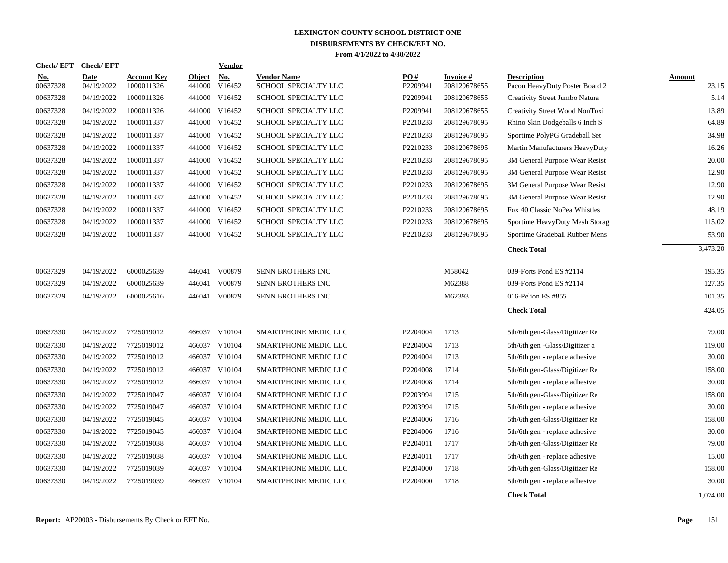| <b>Check/EFT</b>       | <b>Check/EFT</b>          |                                  |                         | <b>Vendor</b> |                                            |                 |                           |                                                      |                        |
|------------------------|---------------------------|----------------------------------|-------------------------|---------------|--------------------------------------------|-----------------|---------------------------|------------------------------------------------------|------------------------|
| <b>No.</b><br>00637328 | <b>Date</b><br>04/19/2022 | <b>Account Key</b><br>1000011326 | <b>Object</b><br>441000 | No.<br>V16452 | <b>Vendor Name</b><br>SCHOOL SPECIALTY LLC | PO#<br>P2209941 | Invoice #<br>208129678655 | <b>Description</b><br>Pacon HeavyDuty Poster Board 2 | <b>Amount</b><br>23.15 |
| 00637328               | 04/19/2022                | 1000011326                       | 441000                  | V16452        | SCHOOL SPECIALTY LLC                       | P2209941        | 208129678655              | Creativity Street Jumbo Natura                       | 5.14                   |
| 00637328               | 04/19/2022                | 1000011326                       | 441000                  | V16452        | SCHOOL SPECIALTY LLC                       | P2209941        | 208129678655              | Creativity Street Wood NonToxi                       | 13.89                  |
| 00637328               | 04/19/2022                | 1000011337                       |                         | 441000 V16452 | SCHOOL SPECIALTY LLC                       | P2210233        | 208129678695              | Rhino Skin Dodgeballs 6 Inch S                       | 64.89                  |
| 00637328               | 04/19/2022                | 1000011337                       | 441000                  | V16452        | SCHOOL SPECIALTY LLC                       | P2210233        | 208129678695              | Sportime PolyPG Gradeball Set                        | 34.98                  |
| 00637328               | 04/19/2022                | 1000011337                       | 441000                  | V16452        | SCHOOL SPECIALTY LLC                       | P2210233        | 208129678695              | Martin Manufacturers HeavyDuty                       | 16.26                  |
| 00637328               | 04/19/2022                | 1000011337                       | 441000                  | V16452        | SCHOOL SPECIALTY LLC                       | P2210233        | 208129678695              | 3M General Purpose Wear Resist                       | 20.00                  |
| 00637328               | 04/19/2022                | 1000011337                       | 441000                  | V16452        | SCHOOL SPECIALTY LLC                       | P2210233        | 208129678695              | 3M General Purpose Wear Resist                       | 12.90                  |
| 00637328               | 04/19/2022                | 1000011337                       | 441000                  | V16452        | SCHOOL SPECIALTY LLC                       | P2210233        | 208129678695              | 3M General Purpose Wear Resist                       | 12.90                  |
| 00637328               | 04/19/2022                | 1000011337                       | 441000                  | V16452        | SCHOOL SPECIALTY LLC                       | P2210233        | 208129678695              | 3M General Purpose Wear Resist                       | 12.90                  |
| 00637328               | 04/19/2022                | 1000011337                       |                         | 441000 V16452 | SCHOOL SPECIALTY LLC                       | P2210233        | 208129678695              | Fox 40 Classic NoPea Whistles                        | 48.19                  |
| 00637328               | 04/19/2022                | 1000011337                       |                         | 441000 V16452 | SCHOOL SPECIALTY LLC                       | P2210233        | 208129678695              | Sportime HeavyDuty Mesh Storag                       | 115.02                 |
| 00637328               | 04/19/2022                | 1000011337                       |                         | 441000 V16452 | SCHOOL SPECIALTY LLC                       | P2210233        | 208129678695              | Sportime Gradeball Rubber Mens                       | 53.90                  |
|                        |                           |                                  |                         |               |                                            |                 |                           | <b>Check Total</b>                                   | 3,473.20               |
|                        |                           |                                  |                         |               |                                            |                 |                           |                                                      |                        |
| 00637329               | 04/19/2022                | 6000025639                       | 446041                  | V00879        | SENN BROTHERS INC                          |                 | M58042                    | 039-Forts Pond ES #2114                              | 195.35                 |
| 00637329               | 04/19/2022                | 6000025639                       | 446041                  | V00879        | SENN BROTHERS INC                          |                 | M62388                    | 039-Forts Pond ES #2114                              | 127.35                 |
| 00637329               | 04/19/2022                | 6000025616                       | 446041                  | V00879        | SENN BROTHERS INC                          |                 | M62393                    | 016-Pelion ES #855                                   | 101.35                 |
|                        |                           |                                  |                         |               |                                            |                 |                           | <b>Check Total</b>                                   | 424.05                 |
|                        |                           |                                  |                         |               |                                            |                 |                           |                                                      |                        |
| 00637330               | 04/19/2022                | 7725019012                       |                         | 466037 V10104 | SMARTPHONE MEDIC LLC                       | P2204004        | 1713                      | 5th/6th gen-Glass/Digitizer Re                       | 79.00                  |
| 00637330               | 04/19/2022                | 7725019012                       |                         | 466037 V10104 | SMARTPHONE MEDIC LLC                       | P2204004        | 1713                      | 5th/6th gen -Glass/Digitizer a                       | 119.00                 |
| 00637330               | 04/19/2022                | 7725019012                       | 466037                  | V10104        | SMARTPHONE MEDIC LLC                       | P2204004        | 1713                      | 5th/6th gen - replace adhesive                       | 30.00                  |
| 00637330               | 04/19/2022                | 7725019012                       | 466037                  | V10104        | SMARTPHONE MEDIC LLC                       | P2204008        | 1714                      | 5th/6th gen-Glass/Digitizer Re                       | 158.00                 |
| 00637330               | 04/19/2022                | 7725019012                       | 466037                  | V10104        | SMARTPHONE MEDIC LLC                       | P2204008        | 1714                      | 5th/6th gen - replace adhesive                       | 30.00                  |
| 00637330               | 04/19/2022                | 7725019047                       | 466037                  | V10104        | SMARTPHONE MEDIC LLC                       | P2203994        | 1715                      | 5th/6th gen-Glass/Digitizer Re                       | 158.00                 |
| 00637330               | 04/19/2022                | 7725019047                       | 466037                  | V10104        | SMARTPHONE MEDIC LLC                       | P2203994        | 1715                      | 5th/6th gen - replace adhesive                       | 30.00                  |
| 00637330               | 04/19/2022                | 7725019045                       | 466037                  | V10104        | SMARTPHONE MEDIC LLC                       | P2204006        | 1716                      | 5th/6th gen-Glass/Digitizer Re                       | 158.00                 |
| 00637330               | 04/19/2022                | 7725019045                       |                         | 466037 V10104 | SMARTPHONE MEDIC LLC                       | P2204006        | 1716                      | 5th/6th gen - replace adhesive                       | 30.00<br>79.00         |
| 00637330               | 04/19/2022                | 7725019038                       |                         | 466037 V10104 | SMARTPHONE MEDIC LLC                       | P2204011        | 1717                      | 5th/6th gen-Glass/Digitizer Re                       |                        |
| 00637330               | 04/19/2022                | 7725019038                       | 466037                  | V10104        | SMARTPHONE MEDIC LLC                       | P2204011        | 1717                      | 5th/6th gen - replace adhesive                       | 15.00                  |
| 00637330               | 04/19/2022                | 7725019039                       | 466037                  | V10104        | SMARTPHONE MEDIC LLC                       | P2204000        | 1718                      | 5th/6th gen-Glass/Digitizer Re                       | 158.00                 |
| 00637330               | 04/19/2022                | 7725019039                       | 466037                  | V10104        | SMARTPHONE MEDIC LLC                       | P2204000        | 1718                      | 5th/6th gen - replace adhesive                       | 30.00                  |
|                        |                           |                                  |                         |               |                                            |                 |                           | <b>Check Total</b>                                   | 1.074.00               |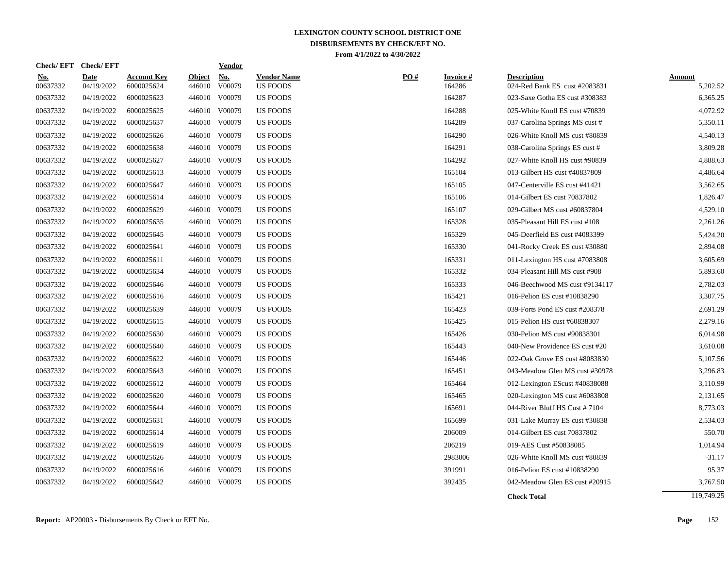| <b>No.</b><br>00637332 | <b>Date</b><br>04/19/2022 | <b>Account Key</b><br>6000025624 | <b>Object</b><br>446010 | No.<br>V00079 | <b>Vendor Name</b><br><b>US FOODS</b> | PO# | Invoice #<br>164286 | <b>Description</b><br>024-Red Bank ES cust #2083831 | <b>Amount</b><br>5,202.52 |
|------------------------|---------------------------|----------------------------------|-------------------------|---------------|---------------------------------------|-----|---------------------|-----------------------------------------------------|---------------------------|
| 00637332               | 04/19/2022                | 6000025623                       | 446010                  | V00079        | <b>US FOODS</b>                       |     | 164287              | 023-Saxe Gotha ES cust #308383                      | 6,365.25                  |
| 00637332               | 04/19/2022                | 6000025625                       | 446010                  | V00079        | <b>US FOODS</b>                       |     | 164288              | 025-White Knoll ES cust #70839                      | 4,072.92                  |
| 00637332               | 04/19/2022                | 6000025637                       |                         | 446010 V00079 | US FOODS                              |     | 164289              | 037-Carolina Springs MS cust #                      | 5,350.11                  |
| 00637332               | 04/19/2022                | 6000025626                       |                         | 446010 V00079 | <b>US FOODS</b>                       |     | 164290              | 026-White Knoll MS cust #80839                      | 4,540.13                  |
| 00637332               | 04/19/2022                | 6000025638                       |                         | 446010 V00079 | <b>US FOODS</b>                       |     | 164291              | 038-Carolina Springs ES cust #                      | 3,809.28                  |
| 00637332               | 04/19/2022                | 6000025627                       |                         | 446010 V00079 | <b>US FOODS</b>                       |     | 164292              | 027-White Knoll HS cust #90839                      | 4,888.63                  |
| 00637332               | 04/19/2022                | 6000025613                       |                         | 446010 V00079 | <b>US FOODS</b>                       |     | 165104              | 013-Gilbert HS cust #40837809                       | 4,486.64                  |
| 00637332               | 04/19/2022                | 6000025647                       |                         | 446010 V00079 | <b>US FOODS</b>                       |     | 165105              | 047-Centerville ES cust #41421                      | 3,562.65                  |
| 00637332               | 04/19/2022                | 6000025614                       |                         | 446010 V00079 | <b>US FOODS</b>                       |     | 165106              | 014-Gilbert ES cust 70837802                        | 1,826.47                  |
| 00637332               | 04/19/2022                | 6000025629                       |                         | 446010 V00079 | US FOODS                              |     | 165107              | 029-Gilbert MS cust #60837804                       | 4,529.10                  |
| 00637332               | 04/19/2022                | 6000025635                       |                         | 446010 V00079 | <b>US FOODS</b>                       |     | 165328              | 035-Pleasant Hill ES cust #108                      | 2,261.26                  |
| 00637332               | 04/19/2022                | 6000025645                       |                         | 446010 V00079 | <b>US FOODS</b>                       |     | 165329              | 045-Deerfield ES cust #4083399                      | 5,424.20                  |
| 00637332               | 04/19/2022                | 6000025641                       |                         | 446010 V00079 | <b>US FOODS</b>                       |     | 165330              | 041-Rocky Creek ES cust #30880                      | 2,894.08                  |
| 00637332               | 04/19/2022                | 6000025611                       |                         | 446010 V00079 | <b>US FOODS</b>                       |     | 165331              | 011-Lexington HS cust #7083808                      | 3,605.69                  |
| 00637332               | 04/19/2022                | 6000025634                       |                         | 446010 V00079 | US FOODS                              |     | 165332              | 034-Pleasant Hill MS cust #908                      | 5,893.60                  |
| 00637332               | 04/19/2022                | 6000025646                       |                         | 446010 V00079 | <b>US FOODS</b>                       |     | 165333              | 046-Beechwood MS cust #9134117                      | 2,782.03                  |
| 00637332               | 04/19/2022                | 6000025616                       |                         | 446010 V00079 | <b>US FOODS</b>                       |     | 165421              | 016-Pelion ES cust #10838290                        | 3,307.75                  |
| 00637332               | 04/19/2022                | 6000025639                       |                         | 446010 V00079 | <b>US FOODS</b>                       |     | 165423              | 039-Forts Pond ES cust #208378                      | 2,691.29                  |
| 00637332               | 04/19/2022                | 6000025615                       |                         | 446010 V00079 | <b>US FOODS</b>                       |     | 165425              | 015-Pelion HS cust #60838307                        | 2,279.16                  |
| 00637332               | 04/19/2022                | 6000025630                       |                         | 446010 V00079 | <b>US FOODS</b>                       |     | 165426              | 030-Pelion MS cust #90838301                        | 6,014.98                  |
| 00637332               | 04/19/2022                | 6000025640                       |                         | 446010 V00079 | <b>US FOODS</b>                       |     | 165443              | 040-New Providence ES cust #20                      | 3,610.08                  |
| 00637332               | 04/19/2022                | 6000025622                       |                         | 446010 V00079 | <b>US FOODS</b>                       |     | 165446              | 022-Oak Grove ES cust #8083830                      | 5,107.56                  |
| 00637332               | 04/19/2022                | 6000025643                       |                         | 446010 V00079 | <b>US FOODS</b>                       |     | 165451              | 043-Meadow Glen MS cust #30978                      | 3,296.83                  |
| 00637332               | 04/19/2022                | 6000025612                       | 446010                  | V00079        | <b>US FOODS</b>                       |     | 165464              | 012-Lexington EScust #40838088                      | 3,110.99                  |
| 00637332               | 04/19/2022                | 6000025620                       |                         | 446010 V00079 | US FOODS                              |     | 165465              | 020-Lexington MS cust #6083808                      | 2,131.65                  |
| 00637332               | 04/19/2022                | 6000025644                       |                         | 446010 V00079 | US FOODS                              |     | 165691              | 044-River Bluff HS Cust $#7104$                     | 8,773.03                  |
| 00637332               | 04/19/2022                | 6000025631                       |                         | 446010 V00079 | <b>US FOODS</b>                       |     | 165699              | 031-Lake Murray ES cust #30838                      | 2,534.03                  |
| 00637332               | 04/19/2022                | 6000025614                       |                         | 446010 V00079 | <b>US FOODS</b>                       |     | 206009              | 014-Gilbert ES cust 70837802                        | 550.70                    |
| 00637332               | 04/19/2022                | 6000025619                       |                         | 446010 V00079 | <b>US FOODS</b>                       |     | 206219              | 019-AES Cust #50838085                              | 1,014.94                  |
| 00637332               | 04/19/2022                | 6000025626                       |                         | 446010 V00079 | <b>US FOODS</b>                       |     | 2983006             | 026-White Knoll MS cust #80839                      | $-31.17$                  |
| 00637332               | 04/19/2022                | 6000025616                       |                         | 446016 V00079 | <b>US FOODS</b>                       |     | 391991              | 016-Pelion ES cust #10838290                        | 95.37                     |
| 00637332               | 04/19/2022                | 6000025642                       |                         | 446010 V00079 | <b>US FOODS</b>                       |     | 392435              | 042-Meadow Glen ES cust #20915                      | 3,767.50                  |
|                        |                           |                                  |                         |               |                                       |     |                     | <b>Check Total</b>                                  | 119,749.25                |

**Check/ EFT Vendor Check/ EFT**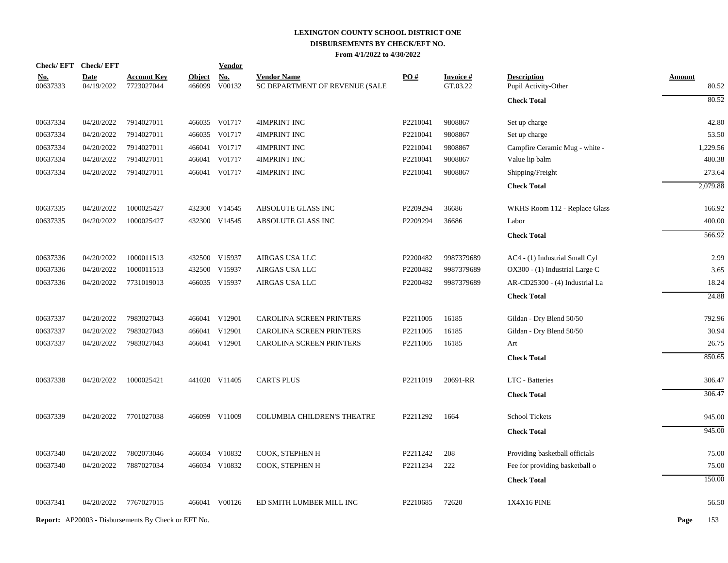| <b>Check/EFT</b>       | <b>Check/EFT</b>          |                                                            |                         | <b>Vendor</b>        |                                                      |          |                             |                                            |                        |
|------------------------|---------------------------|------------------------------------------------------------|-------------------------|----------------------|------------------------------------------------------|----------|-----------------------------|--------------------------------------------|------------------------|
| <u>No.</u><br>00637333 | <b>Date</b><br>04/19/2022 | <b>Account Key</b><br>7723027044                           | <b>Object</b><br>466099 | <b>No.</b><br>V00132 | <b>Vendor Name</b><br>SC DEPARTMENT OF REVENUE (SALE | PO#      | <b>Invoice#</b><br>GT.03.22 | <b>Description</b><br>Pupil Activity-Other | <b>Amount</b><br>80.52 |
|                        |                           |                                                            |                         |                      |                                                      |          |                             | <b>Check Total</b>                         | 80.52                  |
| 00637334               | 04/20/2022                | 7914027011                                                 |                         | 466035 V01717        | 4IMPRINT INC                                         | P2210041 | 9808867                     | Set up charge                              | 42.80                  |
| 00637334               | 04/20/2022                | 7914027011                                                 | 466035                  | V01717               | 4IMPRINT INC                                         | P2210041 | 9808867                     | Set up charge                              | 53.50                  |
| 00637334               | 04/20/2022                | 7914027011                                                 | 466041                  | V01717               | 4IMPRINT INC                                         | P2210041 | 9808867                     | Campfire Ceramic Mug - white -             | 1,229.56               |
| 00637334               | 04/20/2022                | 7914027011                                                 | 466041                  | V01717               | 4IMPRINT INC                                         | P2210041 | 9808867                     | Value lip balm                             | 480.38                 |
| 00637334               | 04/20/2022                | 7914027011                                                 |                         | 466041 V01717        | 4IMPRINT INC                                         | P2210041 | 9808867                     | Shipping/Freight                           | 273.64                 |
|                        |                           |                                                            |                         |                      |                                                      |          |                             | <b>Check Total</b>                         | 2,079.88               |
| 00637335               | 04/20/2022                | 1000025427                                                 |                         | 432300 V14545        | ABSOLUTE GLASS INC                                   | P2209294 | 36686                       | WKHS Room 112 - Replace Glass              | 166.92                 |
| 00637335               | 04/20/2022                | 1000025427                                                 |                         | 432300 V14545        | ABSOLUTE GLASS INC                                   | P2209294 | 36686                       | Labor                                      | 400.00                 |
|                        |                           |                                                            |                         |                      |                                                      |          |                             | <b>Check Total</b>                         | 566.92                 |
| 00637336               | 04/20/2022                | 1000011513                                                 |                         | 432500 V15937        | AIRGAS USA LLC                                       | P2200482 | 9987379689                  | AC4 - (1) Industrial Small Cyl             | 2.99                   |
| 00637336               | 04/20/2022                | 1000011513                                                 |                         | 432500 V15937        | AIRGAS USA LLC                                       | P2200482 | 9987379689                  | OX300 - (1) Industrial Large C             | 3.65                   |
| 00637336               | 04/20/2022                | 7731019013                                                 |                         | 466035 V15937        | AIRGAS USA LLC                                       | P2200482 | 9987379689                  | AR-CD25300 - (4) Industrial La             | 18.24                  |
|                        |                           |                                                            |                         |                      |                                                      |          |                             | <b>Check Total</b>                         | 24.88                  |
| 00637337               | 04/20/2022                | 7983027043                                                 |                         | 466041 V12901        | CAROLINA SCREEN PRINTERS                             | P2211005 | 16185                       | Gildan - Dry Blend 50/50                   | 792.96                 |
| 00637337               | 04/20/2022                | 7983027043                                                 | 466041                  | V12901               | CAROLINA SCREEN PRINTERS                             | P2211005 | 16185                       | Gildan - Dry Blend 50/50                   | 30.94                  |
| 00637337               | 04/20/2022                | 7983027043                                                 |                         | 466041 V12901        | CAROLINA SCREEN PRINTERS                             | P2211005 | 16185                       | Art                                        | 26.75                  |
|                        |                           |                                                            |                         |                      |                                                      |          |                             | <b>Check Total</b>                         | 850.65                 |
| 00637338               | 04/20/2022                | 1000025421                                                 |                         | 441020 V11405        | <b>CARTS PLUS</b>                                    | P2211019 | 20691-RR                    | LTC - Batteries                            | 306.47                 |
|                        |                           |                                                            |                         |                      |                                                      |          |                             | <b>Check Total</b>                         | 306.47                 |
| 00637339               | 04/20/2022                | 7701027038                                                 |                         | 466099 V11009        | COLUMBIA CHILDREN'S THEATRE                          | P2211292 | 1664                        | <b>School Tickets</b>                      | 945.00                 |
|                        |                           |                                                            |                         |                      |                                                      |          |                             | <b>Check Total</b>                         | 945.00                 |
| 00637340               | 04/20/2022                | 7802073046                                                 |                         | 466034 V10832        | COOK, STEPHEN H                                      | P2211242 | 208                         | Providing basketball officials             | 75.00                  |
| 00637340               | 04/20/2022                | 7887027034                                                 |                         | 466034 V10832        | COOK, STEPHEN H                                      | P2211234 | 222                         | Fee for providing basketball o             | 75.00                  |
|                        |                           |                                                            |                         |                      |                                                      |          |                             | <b>Check Total</b>                         | 150.00                 |
| 00637341               | 04/20/2022                | 7767027015                                                 |                         | 466041 V00126        | ED SMITH LUMBER MILL INC                             | P2210685 | 72620                       | 1X4X16 PINE                                | 56.50                  |
|                        |                           | <b>Report:</b> AP20003 - Disbursements By Check or EFT No. |                         |                      |                                                      |          |                             |                                            | Page<br>153            |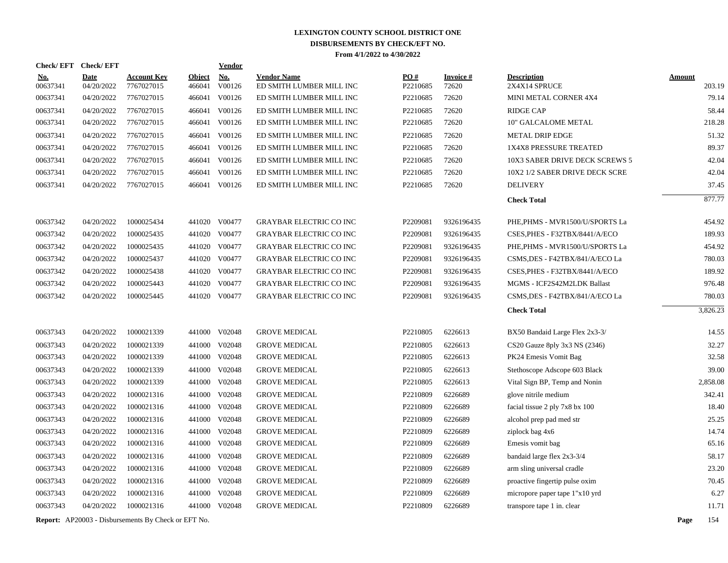| <b>Check/EFT</b>     | <b>Check/EFT</b>         |                                                            |                  | Vendor                         |                                                      |                      |                |                                                                  |               |                 |
|----------------------|--------------------------|------------------------------------------------------------|------------------|--------------------------------|------------------------------------------------------|----------------------|----------------|------------------------------------------------------------------|---------------|-----------------|
| <u>No.</u>           | <b>Date</b>              | <b>Account Key</b>                                         | <b>Object</b>    | <b>No.</b>                     | <b>Vendor Name</b>                                   | PO#                  | Invoice #      | <b>Description</b>                                               | <b>Amount</b> |                 |
| 00637341<br>00637341 | 04/20/2022<br>04/20/2022 | 7767027015<br>7767027015                                   | 466041<br>466041 | V00126<br>V00126               | ED SMITH LUMBER MILL INC<br>ED SMITH LUMBER MILL INC | P2210685<br>P2210685 | 72620<br>72620 | 2X4X14 SPRUCE<br>MINI METAL CORNER 4X4                           |               | 203.19<br>79.14 |
| 00637341             | 04/20/2022               | 7767027015                                                 |                  | 466041 V00126                  | ED SMITH LUMBER MILL INC                             | P2210685             | 72620          | <b>RIDGE CAP</b>                                                 |               | 58.44           |
| 00637341             | 04/20/2022               | 7767027015                                                 |                  | 466041 V00126                  | ED SMITH LUMBER MILL INC                             | P2210685             | 72620          | 10" GALCALOME METAL                                              |               | 218.28          |
|                      |                          |                                                            |                  |                                |                                                      |                      |                |                                                                  |               |                 |
| 00637341<br>00637341 | 04/20/2022<br>04/20/2022 | 7767027015<br>7767027015                                   |                  | 466041 V00126<br>466041 V00126 | ED SMITH LUMBER MILL INC<br>ED SMITH LUMBER MILL INC | P2210685<br>P2210685 | 72620<br>72620 | <b>METAL DRIP EDGE</b><br>1X4X8 PRESSURE TREATED                 |               | 51.32<br>89.37  |
|                      |                          |                                                            |                  |                                |                                                      |                      |                |                                                                  |               |                 |
| 00637341<br>00637341 | 04/20/2022<br>04/20/2022 | 7767027015<br>7767027015                                   |                  | 466041 V00126<br>466041 V00126 | ED SMITH LUMBER MILL INC<br>ED SMITH LUMBER MILL INC | P2210685<br>P2210685 | 72620<br>72620 | 10X3 SABER DRIVE DECK SCREWS 5<br>10X2 1/2 SABER DRIVE DECK SCRE |               | 42.04<br>42.04  |
|                      |                          |                                                            |                  |                                |                                                      |                      |                |                                                                  |               |                 |
| 00637341             | 04/20/2022               | 7767027015                                                 |                  | 466041 V00126                  | ED SMITH LUMBER MILL INC                             | P2210685             | 72620          | <b>DELIVERY</b>                                                  |               | 37.45           |
|                      |                          |                                                            |                  |                                |                                                      |                      |                | <b>Check Total</b>                                               |               | 877.77          |
| 00637342             | 04/20/2022               | 1000025434                                                 |                  | 441020 V00477                  | <b>GRAYBAR ELECTRIC CO INC</b>                       | P2209081             | 9326196435     | PHE.PHMS - MVR1500/U/SPORTS La                                   |               | 454.92          |
| 00637342             | 04/20/2022               | 1000025435                                                 |                  | 441020 V00477                  | <b>GRAYBAR ELECTRIC CO INC</b>                       | P2209081             | 9326196435     | CSES, PHES - F32TBX/8441/A/ECO                                   |               | 189.93          |
| 00637342             | 04/20/2022               | 1000025435                                                 |                  | 441020 V00477                  | <b>GRAYBAR ELECTRIC CO INC</b>                       | P2209081             | 9326196435     | PHE, PHMS - MVR1500/U/SPORTS La                                  |               | 454.92          |
| 00637342             | 04/20/2022               | 1000025437                                                 |                  | 441020 V00477                  | <b>GRAYBAR ELECTRIC CO INC</b>                       | P2209081             | 9326196435     | CSMS, DES - F42TBX/841/A/ECO La                                  |               | 780.03          |
| 00637342             | 04/20/2022               | 1000025438                                                 |                  | 441020 V00477                  | <b>GRAYBAR ELECTRIC CO INC</b>                       | P2209081             | 9326196435     | CSES, PHES - F32TBX/8441/A/ECO                                   |               | 189.92          |
| 00637342             | 04/20/2022               | 1000025443                                                 |                  | 441020 V00477                  | <b>GRAYBAR ELECTRIC CO INC</b>                       | P2209081             | 9326196435     | MGMS - ICF2S42M2LDK Ballast                                      |               | 976.48          |
| 00637342             | 04/20/2022               | 1000025445                                                 |                  | 441020 V00477                  | <b>GRAYBAR ELECTRIC CO INC</b>                       | P2209081             | 9326196435     | CSMS, DES - F42TBX/841/A/ECO La                                  |               | 780.03          |
|                      |                          |                                                            |                  |                                |                                                      |                      |                | <b>Check Total</b>                                               |               | 3,826.23        |
| 00637343             | 04/20/2022               | 1000021339                                                 |                  | 441000 V02048                  | <b>GROVE MEDICAL</b>                                 | P2210805             | 6226613        | BX50 Bandaid Large Flex 2x3-3/                                   |               | 14.55           |
| 00637343             | 04/20/2022               | 1000021339                                                 |                  | 441000 V02048                  | <b>GROVE MEDICAL</b>                                 | P2210805             | 6226613        | CS20 Gauze 8ply 3x3 NS (2346)                                    |               | 32.27           |
| 00637343             | 04/20/2022               | 1000021339                                                 |                  | 441000 V02048                  | <b>GROVE MEDICAL</b>                                 | P2210805             | 6226613        | PK24 Emesis Vomit Bag                                            |               | 32.58           |
| 00637343             | 04/20/2022               | 1000021339                                                 | 441000           | V02048                         | <b>GROVE MEDICAL</b>                                 | P2210805             | 6226613        | Stethoscope Adscope 603 Black                                    |               | 39.00           |
| 00637343             | 04/20/2022               | 1000021339                                                 |                  | 441000 V02048                  | <b>GROVE MEDICAL</b>                                 | P2210805             | 6226613        | Vital Sign BP, Temp and Nonin                                    |               | 2,858.08        |
| 00637343             | 04/20/2022               | 1000021316                                                 | 441000           | V02048                         | <b>GROVE MEDICAL</b>                                 | P2210809             | 6226689        | glove nitrile medium                                             |               | 342.41          |
| 00637343             | 04/20/2022               | 1000021316                                                 |                  | 441000 V02048                  | <b>GROVE MEDICAL</b>                                 | P2210809             | 6226689        | facial tissue 2 ply 7x8 bx 100                                   |               | 18.40           |
| 00637343             | 04/20/2022               | 1000021316                                                 | 441000           | V02048                         | <b>GROVE MEDICAL</b>                                 | P2210809             | 6226689        | alcohol prep pad med str                                         |               | 25.25           |
| 00637343             | 04/20/2022               | 1000021316                                                 |                  | 441000 V02048                  | <b>GROVE MEDICAL</b>                                 | P2210809             | 6226689        | ziplock bag 4x6                                                  |               | 14.74           |
| 00637343             | 04/20/2022               | 1000021316                                                 |                  | 441000 V02048                  | <b>GROVE MEDICAL</b>                                 | P2210809             | 6226689        | Emesis vomit bag                                                 |               | 65.16           |
| 00637343             | 04/20/2022               | 1000021316                                                 | 441000           | V02048                         | <b>GROVE MEDICAL</b>                                 | P2210809             | 6226689        | bandaid large flex $2x3-3/4$                                     |               | 58.17           |
| 00637343             | 04/20/2022               | 1000021316                                                 |                  | 441000 V02048                  | <b>GROVE MEDICAL</b>                                 | P2210809             | 6226689        | arm sling universal cradle                                       |               | 23.20           |
| 00637343             | 04/20/2022               | 1000021316                                                 | 441000           | V02048                         | <b>GROVE MEDICAL</b>                                 | P2210809             | 6226689        | proactive fingertip pulse oxim                                   |               | 70.45           |
| 00637343             | 04/20/2022               | 1000021316                                                 | 441000           | V02048                         | <b>GROVE MEDICAL</b>                                 | P2210809             | 6226689        | micropore paper tape 1"x10 yrd                                   |               | 6.27            |
| 00637343             | 04/20/2022               | 1000021316                                                 |                  | 441000 V02048                  | <b>GROVE MEDICAL</b>                                 | P2210809             | 6226689        | transpore tape 1 in. clear                                       |               | 11.71           |
|                      |                          | <b>Report:</b> AP20003 - Disbursements By Check or EFT No. |                  |                                |                                                      |                      |                |                                                                  | Page          | 154             |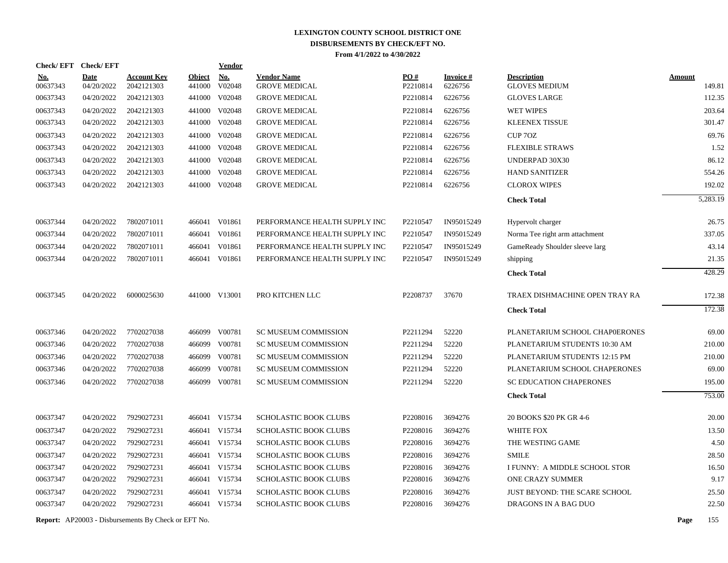|                        | Check/EFT Check/EFT       |                                  |                         | <b>Vendor</b>        |                                            |                 |                            |                                            |                         |
|------------------------|---------------------------|----------------------------------|-------------------------|----------------------|--------------------------------------------|-----------------|----------------------------|--------------------------------------------|-------------------------|
| <u>No.</u><br>00637343 | <b>Date</b><br>04/20/2022 | <b>Account Key</b><br>2042121303 | <b>Object</b><br>441000 | <b>No.</b><br>V02048 | <b>Vendor Name</b><br><b>GROVE MEDICAL</b> | PO#<br>P2210814 | <b>Invoice#</b><br>6226756 | <b>Description</b><br><b>GLOVES MEDIUM</b> | <b>Amount</b><br>149.81 |
| 00637343               | 04/20/2022                | 2042121303                       | 441000                  | V02048               | <b>GROVE MEDICAL</b>                       | P2210814        | 6226756                    | <b>GLOVES LARGE</b>                        | 112.35                  |
| 00637343               | 04/20/2022                | 2042121303                       | 441000                  | V02048               | <b>GROVE MEDICAL</b>                       | P2210814        | 6226756                    | WET WIPES                                  | 203.64                  |
| 00637343               | 04/20/2022                | 2042121303                       | 441000                  | V02048               | <b>GROVE MEDICAL</b>                       | P2210814        | 6226756                    | <b>KLEENEX TISSUE</b>                      | 301.47                  |
| 00637343               | 04/20/2022                | 2042121303                       | 441000                  | V02048               | <b>GROVE MEDICAL</b>                       | P2210814        | 6226756                    | CUP 70Z                                    | 69.76                   |
| 00637343               | 04/20/2022                | 2042121303                       |                         | 441000 V02048        | <b>GROVE MEDICAL</b>                       | P2210814        | 6226756                    | <b>FLEXIBLE STRAWS</b>                     | 1.52                    |
| 00637343               | 04/20/2022                | 2042121303                       | 441000                  | V02048               | <b>GROVE MEDICAL</b>                       | P2210814        | 6226756                    | UNDERPAD 30X30                             | 86.12                   |
| 00637343               | 04/20/2022                | 2042121303                       | 441000                  | V02048               | <b>GROVE MEDICAL</b>                       | P2210814        | 6226756                    | <b>HAND SANITIZER</b>                      | 554.26                  |
| 00637343               | 04/20/2022                | 2042121303                       |                         | 441000 V02048        | <b>GROVE MEDICAL</b>                       | P2210814        | 6226756                    | <b>CLOROX WIPES</b>                        | 192.02                  |
|                        |                           |                                  |                         |                      |                                            |                 |                            | <b>Check Total</b>                         | 5,283.19                |
| 00637344               | 04/20/2022                | 7802071011                       |                         | 466041 V01861        | PERFORMANCE HEALTH SUPPLY INC              | P2210547        | IN95015249                 | Hypervolt charger                          | 26.75                   |
| 00637344               | 04/20/2022                | 7802071011                       | 466041                  | V01861               | PERFORMANCE HEALTH SUPPLY INC              | P2210547        | IN95015249                 | Norma Tee right arm attachment             | 337.05                  |
| 00637344               | 04/20/2022                | 7802071011                       | 466041                  | V01861               | PERFORMANCE HEALTH SUPPLY INC              | P2210547        | IN95015249                 | GameReady Shoulder sleeve larg             | 43.14                   |
| 00637344               | 04/20/2022                | 7802071011                       | 466041                  | V01861               | PERFORMANCE HEALTH SUPPLY INC              | P2210547        | IN95015249                 | shipping                                   | 21.35                   |
|                        |                           |                                  |                         |                      |                                            |                 |                            | <b>Check Total</b>                         | 428.29                  |
| 00637345               | 04/20/2022                | 6000025630                       |                         | 441000 V13001        | PRO KITCHEN LLC                            | P2208737        | 37670                      | TRAEX DISHMACHINE OPEN TRAY RA             | 172.38                  |
|                        |                           |                                  |                         |                      |                                            |                 |                            | <b>Check Total</b>                         | 172.38                  |
| 00637346               | 04/20/2022                | 7702027038                       |                         | 466099 V00781        | <b>SC MUSEUM COMMISSION</b>                | P2211294        | 52220                      | PLANETARIUM SCHOOL CHAP0ERONES             | 69.00                   |
| 00637346               | 04/20/2022                | 7702027038                       |                         | 466099 V00781        | <b>SC MUSEUM COMMISSION</b>                | P2211294        | 52220                      | PLANETARIUM STUDENTS 10:30 AM              | 210.00                  |
| 00637346               | 04/20/2022                | 7702027038                       |                         | 466099 V00781        | <b>SC MUSEUM COMMISSION</b>                | P2211294        | 52220                      | PLANETARIUM STUDENTS 12:15 PM              | 210.00                  |
| 00637346               | 04/20/2022                | 7702027038                       | 466099                  | V00781               | <b>SC MUSEUM COMMISSION</b>                | P2211294        | 52220                      | PLANETARIUM SCHOOL CHAPERONES              | 69.00                   |
| 00637346               | 04/20/2022                | 7702027038                       |                         | 466099 V00781        | <b>SC MUSEUM COMMISSION</b>                | P2211294        | 52220                      | <b>SC EDUCATION CHAPERONES</b>             | 195.00                  |
|                        |                           |                                  |                         |                      |                                            |                 |                            | <b>Check Total</b>                         | 753.00                  |
| 00637347               | 04/20/2022                | 7929027231                       |                         | 466041 V15734        | <b>SCHOLASTIC BOOK CLUBS</b>               | P2208016        | 3694276                    | 20 BOOKS \$20 PK GR 4-6                    | 20.00                   |
| 00637347               | 04/20/2022                | 7929027231                       |                         | 466041 V15734        | <b>SCHOLASTIC BOOK CLUBS</b>               | P2208016        | 3694276                    | WHITE FOX                                  | 13.50                   |
| 00637347               | 04/20/2022                | 7929027231                       |                         | 466041 V15734        | <b>SCHOLASTIC BOOK CLUBS</b>               | P2208016        | 3694276                    | THE WESTING GAME                           | 4.50                    |
| 00637347               | 04/20/2022                | 7929027231                       |                         | 466041 V15734        | <b>SCHOLASTIC BOOK CLUBS</b>               | P2208016        | 3694276                    | <b>SMILE</b>                               | 28.50                   |
| 00637347               | 04/20/2022                | 7929027231                       |                         | 466041 V15734        | <b>SCHOLASTIC BOOK CLUBS</b>               | P2208016        | 3694276                    | I FUNNY: A MIDDLE SCHOOL STOR              | 16.50                   |
| 00637347               | 04/20/2022                | 7929027231                       |                         | 466041 V15734        | SCHOLASTIC BOOK CLUBS                      | P2208016        | 3694276                    | <b>ONE CRAZY SUMMER</b>                    | 9.17                    |
| 00637347               | 04/20/2022                | 7929027231                       |                         | 466041 V15734        | <b>SCHOLASTIC BOOK CLUBS</b>               | P2208016        | 3694276                    | JUST BEYOND: THE SCARE SCHOOL              | 25.50                   |
| 00637347               | 04/20/2022                | 7929027231                       |                         | 466041 V15734        | <b>SCHOLASTIC BOOK CLUBS</b>               | P2208016        | 3694276                    | DRAGONS IN A BAG DUO                       | 22.50                   |
|                        |                           |                                  |                         |                      |                                            |                 |                            |                                            |                         |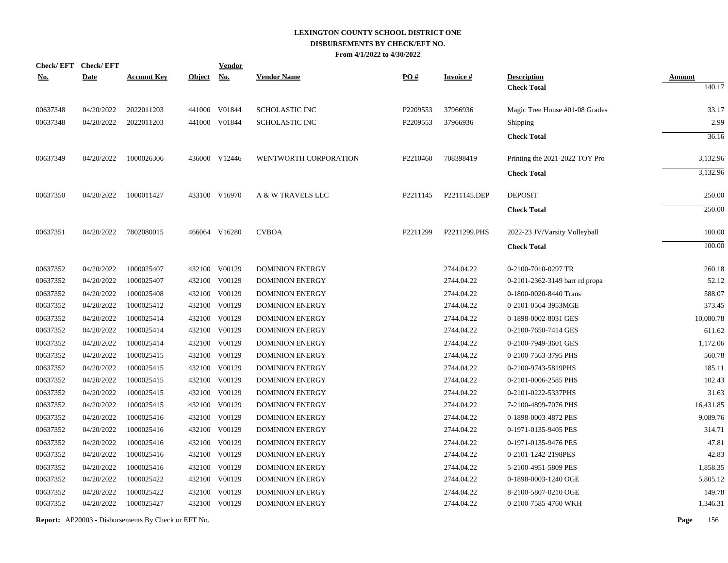| <b>Check/EFT</b> | <b>Check/EFT</b> |                    |               | <b>Vendor</b> |                        |          |                 |                                |               |
|------------------|------------------|--------------------|---------------|---------------|------------------------|----------|-----------------|--------------------------------|---------------|
| <u>No.</u>       | <b>Date</b>      | <b>Account Key</b> | <b>Object</b> | <b>No.</b>    | <b>Vendor Name</b>     | PO#      | <b>Invoice#</b> | <b>Description</b>             | <b>Amount</b> |
|                  |                  |                    |               |               |                        |          |                 | <b>Check Total</b>             | 140.17        |
| 00637348         | 04/20/2022       | 2022011203         |               | 441000 V01844 | <b>SCHOLASTIC INC</b>  | P2209553 | 37966936        | Magic Tree House #01-08 Grades | 33.17         |
| 00637348         | 04/20/2022       | 2022011203         |               | 441000 V01844 | <b>SCHOLASTIC INC</b>  | P2209553 | 37966936        | Shipping                       | 2.99          |
|                  |                  |                    |               |               |                        |          |                 | <b>Check Total</b>             | 36.16         |
| 00637349         | 04/20/2022       | 1000026306         |               | 436000 V12446 | WENTWORTH CORPORATION  | P2210460 | 708398419       | Printing the 2021-2022 TOY Pro | 3,132.96      |
|                  |                  |                    |               |               |                        |          |                 | <b>Check Total</b>             | 3,132.96      |
| 00637350         | 04/20/2022       | 1000011427         |               | 433100 V16970 | A & W TRAVELS LLC      | P2211145 | P2211145.DEP    | <b>DEPOSIT</b>                 | 250.00        |
|                  |                  |                    |               |               |                        |          |                 | <b>Check Total</b>             | 250.00        |
| 00637351         | 04/20/2022       | 7802080015         |               | 466064 V16280 | <b>CVBOA</b>           | P2211299 | P2211299.PHS    | 2022-23 JV/Varsity Volleyball  | 100.00        |
|                  |                  |                    |               |               |                        |          |                 | <b>Check Total</b>             | 100.00        |
| 00637352         | 04/20/2022       | 1000025407         |               | 432100 V00129 | <b>DOMINION ENERGY</b> |          | 2744.04.22      | 0-2100-7010-0297 TR            | 260.18        |
| 00637352         | 04/20/2022       | 1000025407         |               | 432100 V00129 | <b>DOMINION ENERGY</b> |          | 2744.04.22      | 0-2101-2362-3149 barr rd propa | 52.12         |
| 00637352         | 04/20/2022       | 1000025408         |               | 432100 V00129 | <b>DOMINION ENERGY</b> |          | 2744.04.22      | 0-1800-0020-8440 Trans         | 588.07        |
| 00637352         | 04/20/2022       | 1000025412         |               | 432100 V00129 | <b>DOMINION ENERGY</b> |          | 2744.04.22      | 0-2101-0564-3953MGE            | 373.45        |
| 00637352         | 04/20/2022       | 1000025414         | 432100        | V00129        | <b>DOMINION ENERGY</b> |          | 2744.04.22      | 0-1898-0002-8031 GES           | 10,080.78     |
| 00637352         | 04/20/2022       | 1000025414         | 432100        | V00129        | DOMINION ENERGY        |          | 2744.04.22      | 0-2100-7650-7414 GES           | 611.62        |
| 00637352         | 04/20/2022       | 1000025414         |               | 432100 V00129 | <b>DOMINION ENERGY</b> |          | 2744.04.22      | 0-2100-7949-3601 GES           | 1,172.06      |
| 00637352         | 04/20/2022       | 1000025415         |               | 432100 V00129 | <b>DOMINION ENERGY</b> |          | 2744.04.22      | 0-2100-7563-3795 PHS           | 560.78        |
| 00637352         | 04/20/2022       | 1000025415         |               | 432100 V00129 | <b>DOMINION ENERGY</b> |          | 2744.04.22      | 0-2100-9743-5819PHS            | 185.11        |
| 00637352         | 04/20/2022       | 1000025415         |               | 432100 V00129 | <b>DOMINION ENERGY</b> |          | 2744.04.22      | 0-2101-0006-2585 PHS           | 102.43        |
| 00637352         | 04/20/2022       | 1000025415         |               | 432100 V00129 | <b>DOMINION ENERGY</b> |          | 2744.04.22      | 0-2101-0222-5337PHS            | 31.63         |
| 00637352         | 04/20/2022       | 1000025415         |               | 432100 V00129 | <b>DOMINION ENERGY</b> |          | 2744.04.22      | 7-2100-4899-7076 PHS           | 16,431.85     |
| 00637352         | 04/20/2022       | 1000025416         | 432100        | V00129        | <b>DOMINION ENERGY</b> |          | 2744.04.22      | 0-1898-0003-4872 PES           | 9,089.76      |
| 00637352         | 04/20/2022       | 1000025416         |               | 432100 V00129 | <b>DOMINION ENERGY</b> |          | 2744.04.22      | 0-1971-0135-9405 PES           | 314.71        |
| 00637352         | 04/20/2022       | 1000025416         |               | 432100 V00129 | <b>DOMINION ENERGY</b> |          | 2744.04.22      | 0-1971-0135-9476 PES           | 47.81         |
| 00637352         | 04/20/2022       | 1000025416         |               | 432100 V00129 | <b>DOMINION ENERGY</b> |          | 2744.04.22      | 0-2101-1242-2198PES            | 42.83         |
| 00637352         | 04/20/2022       | 1000025416         | 432100        | V00129        | <b>DOMINION ENERGY</b> |          | 2744.04.22      | 5-2100-4951-5809 PES           | 1,858.35      |
| 00637352         | 04/20/2022       | 1000025422         |               | 432100 V00129 | <b>DOMINION ENERGY</b> |          | 2744.04.22      | 0-1898-0003-1240 OGE           | 5,805.12      |
| 00637352         | 04/20/2022       | 1000025422         | 432100        | V00129        | <b>DOMINION ENERGY</b> |          | 2744.04.22      | 8-2100-5807-0210 OGE           | 149.78        |
| 00637352         | 04/20/2022       | 1000025427         |               | 432100 V00129 | <b>DOMINION ENERGY</b> |          | 2744.04.22      | 0-2100-7585-4760 WKH           | 1,346.31      |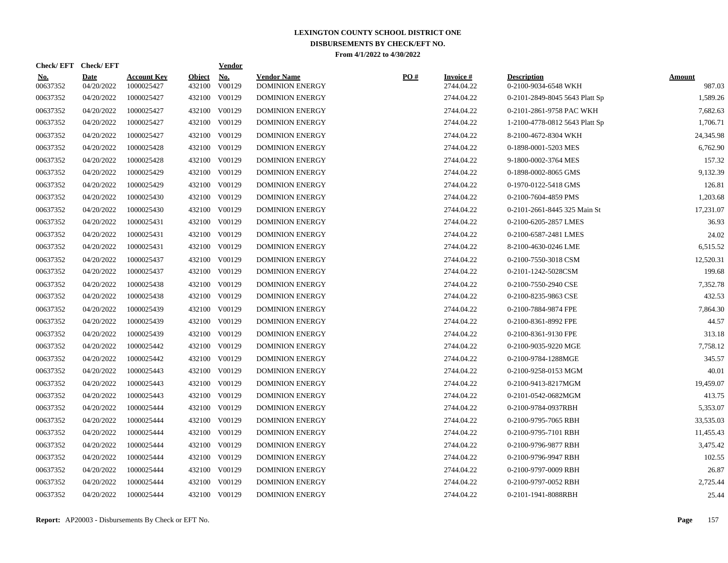| <b>Check/EFT</b>       | <b>Check/EFT</b>          |                                  |                         | <b>Vendor</b> |                                              |     |                               |                                            |                  |
|------------------------|---------------------------|----------------------------------|-------------------------|---------------|----------------------------------------------|-----|-------------------------------|--------------------------------------------|------------------|
| <b>No.</b><br>00637352 | <b>Date</b><br>04/20/2022 | <b>Account Key</b><br>1000025427 | <b>Object</b><br>432100 | No.<br>V00129 | <b>Vendor Name</b><br><b>DOMINION ENERGY</b> | PO# | <b>Invoice#</b><br>2744.04.22 | <b>Description</b><br>0-2100-9034-6548 WKH | Amount<br>987.03 |
| 00637352               | 04/20/2022                | 1000025427                       | 432100                  | V00129        | <b>DOMINION ENERGY</b>                       |     | 2744.04.22                    | 0-2101-2849-8045 5643 Platt Sp             | 1,589.26         |
| 00637352               | 04/20/2022                | 1000025427                       | 432100                  | V00129        | <b>DOMINION ENERGY</b>                       |     | 2744.04.22                    | 0-2101-2861-9758 PAC WKH                   | 7,682.63         |
| 00637352               | 04/20/2022                | 1000025427                       |                         | 432100 V00129 | <b>DOMINION ENERGY</b>                       |     | 2744.04.22                    | 1-2100-4778-0812 5643 Platt Sp             | 1,706.71         |
| 00637352               | 04/20/2022                | 1000025427                       | 432100                  | V00129        | <b>DOMINION ENERGY</b>                       |     | 2744.04.22                    | 8-2100-4672-8304 WKH                       | 24,345.98        |
| 00637352               | 04/20/2022                | 1000025428                       | 432100                  | V00129        | <b>DOMINION ENERGY</b>                       |     | 2744.04.22                    | 0-1898-0001-5203 MES                       | 6,762.90         |
| 00637352               | 04/20/2022                | 1000025428                       | 432100                  | V00129        | <b>DOMINION ENERGY</b>                       |     | 2744.04.22                    | 9-1800-0002-3764 MES                       | 157.32           |
| 00637352               | 04/20/2022                | 1000025429                       | 432100                  | V00129        | <b>DOMINION ENERGY</b>                       |     | 2744.04.22                    | 0-1898-0002-8065 GMS                       | 9,132.39         |
| 00637352               | 04/20/2022                | 1000025429                       |                         | 432100 V00129 | <b>DOMINION ENERGY</b>                       |     | 2744.04.22                    | 0-1970-0122-5418 GMS                       | 126.81           |
| 00637352               | 04/20/2022                | 1000025430                       | 432100                  | V00129        | <b>DOMINION ENERGY</b>                       |     | 2744.04.22                    | 0-2100-7604-4859 PMS                       | 1,203.68         |
| 00637352               | 04/20/2022                | 1000025430                       |                         | 432100 V00129 | <b>DOMINION ENERGY</b>                       |     | 2744.04.22                    | 0-2101-2661-8445 325 Main St               | 17,231.07        |
| 00637352               | 04/20/2022                | 1000025431                       |                         | 432100 V00129 | <b>DOMINION ENERGY</b>                       |     | 2744.04.22                    | 0-2100-6205-2857 LMES                      | 36.93            |
| 00637352               | 04/20/2022                | 1000025431                       |                         | 432100 V00129 | <b>DOMINION ENERGY</b>                       |     | 2744.04.22                    | 0-2100-6587-2481 LMES                      | 24.02            |
| 00637352               | 04/20/2022                | 1000025431                       |                         | 432100 V00129 | <b>DOMINION ENERGY</b>                       |     | 2744.04.22                    | 8-2100-4630-0246 LME                       | 6,515.52         |
| 00637352               | 04/20/2022                | 1000025437                       | 432100                  | V00129        | <b>DOMINION ENERGY</b>                       |     | 2744.04.22                    | 0-2100-7550-3018 CSM                       | 12,520.31        |
| 00637352               | 04/20/2022                | 1000025437                       | 432100                  | V00129        | <b>DOMINION ENERGY</b>                       |     | 2744.04.22                    | 0-2101-1242-5028CSM                        | 199.68           |
| 00637352               | 04/20/2022                | 1000025438                       | 432100                  | V00129        | <b>DOMINION ENERGY</b>                       |     | 2744.04.22                    | 0-2100-7550-2940 CSE                       | 7,352.78         |
| 00637352               | 04/20/2022                | 1000025438                       | 432100                  | V00129        | <b>DOMINION ENERGY</b>                       |     | 2744.04.22                    | 0-2100-8235-9863 CSE                       | 432.53           |
| 00637352               | 04/20/2022                | 1000025439                       | 432100                  | V00129        | <b>DOMINION ENERGY</b>                       |     | 2744.04.22                    | 0-2100-7884-9874 FPE                       | 7,864.30         |
| 00637352               | 04/20/2022                | 1000025439                       |                         | 432100 V00129 | <b>DOMINION ENERGY</b>                       |     | 2744.04.22                    | 0-2100-8361-8992 FPE                       | 44.57            |
| 00637352               | 04/20/2022                | 1000025439                       | 432100                  | V00129        | <b>DOMINION ENERGY</b>                       |     | 2744.04.22                    | 0-2100-8361-9130 FPE                       | 313.18           |
| 00637352               | 04/20/2022                | 1000025442                       | 432100                  | V00129        | <b>DOMINION ENERGY</b>                       |     | 2744.04.22                    | 0-2100-9035-9220 MGE                       | 7,758.12         |
| 00637352               | 04/20/2022                | 1000025442                       | 432100                  | V00129        | <b>DOMINION ENERGY</b>                       |     | 2744.04.22                    | 0-2100-9784-1288MGE                        | 345.57           |
| 00637352               | 04/20/2022                | 1000025443                       | 432100                  | V00129        | <b>DOMINION ENERGY</b>                       |     | 2744.04.22                    | 0-2100-9258-0153 MGM                       | 40.01            |
| 00637352               | 04/20/2022                | 1000025443                       | 432100                  | V00129        | <b>DOMINION ENERGY</b>                       |     | 2744.04.22                    | 0-2100-9413-8217MGM                        | 19,459.07        |
| 00637352               | 04/20/2022                | 1000025443                       | 432100                  | V00129        | <b>DOMINION ENERGY</b>                       |     | 2744.04.22                    | 0-2101-0542-0682MGM                        | 413.75           |
| 00637352               | 04/20/2022                | 1000025444                       |                         | 432100 V00129 | <b>DOMINION ENERGY</b>                       |     | 2744.04.22                    | 0-2100-9784-0937RBH                        | 5,353.07         |
| 00637352               | 04/20/2022                | 1000025444                       |                         | 432100 V00129 | <b>DOMINION ENERGY</b>                       |     | 2744.04.22                    | 0-2100-9795-7065 RBH                       | 33,535.03        |
| 00637352               | 04/20/2022                | 1000025444                       |                         | 432100 V00129 | <b>DOMINION ENERGY</b>                       |     | 2744.04.22                    | 0-2100-9795-7101 RBH                       | 11,455.43        |
| 00637352               | 04/20/2022                | 1000025444                       | 432100                  | V00129        | <b>DOMINION ENERGY</b>                       |     | 2744.04.22                    | 0-2100-9796-9877 RBH                       | 3,475.42         |
| 00637352               | 04/20/2022                | 1000025444                       |                         | 432100 V00129 | <b>DOMINION ENERGY</b>                       |     | 2744.04.22                    | 0-2100-9796-9947 RBH                       | 102.55           |
| 00637352               | 04/20/2022                | 1000025444                       | 432100                  | V00129        | <b>DOMINION ENERGY</b>                       |     | 2744.04.22                    | 0-2100-9797-0009 RBH                       | 26.87            |
| 00637352               | 04/20/2022                | 1000025444                       | 432100                  | V00129        | <b>DOMINION ENERGY</b>                       |     | 2744.04.22                    | 0-2100-9797-0052 RBH                       | 2,725.44         |
| 00637352               | 04/20/2022                | 1000025444                       |                         | 432100 V00129 | <b>DOMINION ENERGY</b>                       |     | 2744.04.22                    | 0-2101-1941-8088RBH                        | 25.44            |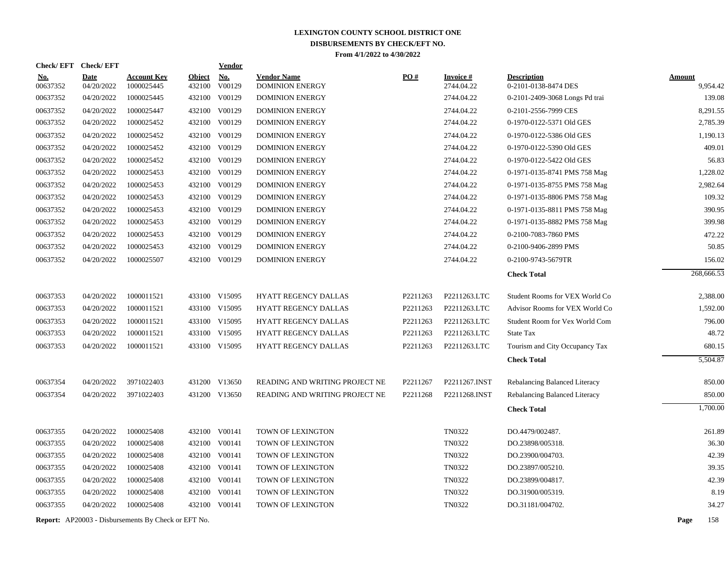|                      | Check/EFT Check/EFT      |                                                            |               | Vendor                         |                                                  |          |                          |                                                        |               |                    |
|----------------------|--------------------------|------------------------------------------------------------|---------------|--------------------------------|--------------------------------------------------|----------|--------------------------|--------------------------------------------------------|---------------|--------------------|
| <u>No.</u>           | <b>Date</b>              | <b>Account Key</b>                                         | <b>Object</b> | <u>No.</u>                     | <b>Vendor Name</b>                               | PO#      | <b>Invoice#</b>          | <b>Description</b>                                     | <b>Amount</b> |                    |
| 00637352<br>00637352 | 04/20/2022<br>04/20/2022 | 1000025445<br>1000025445                                   | 432100        | V00129<br>432100 V00129        | <b>DOMINION ENERGY</b><br><b>DOMINION ENERGY</b> |          | 2744.04.22<br>2744.04.22 | 0-2101-0138-8474 DES<br>0-2101-2409-3068 Longs Pd trai |               | 9,954.42<br>139.08 |
| 00637352             | 04/20/2022               | 1000025447                                                 |               | 432100 V00129                  | <b>DOMINION ENERGY</b>                           |          | 2744.04.22               | 0-2101-2556-7999 CES                                   |               | 8,291.55           |
| 00637352             | 04/20/2022               | 1000025452                                                 |               | 432100 V00129                  | <b>DOMINION ENERGY</b>                           |          | 2744.04.22               | 0-1970-0122-5371 Old GES                               |               | 2,785.39           |
|                      |                          | 1000025452                                                 |               |                                |                                                  |          | 2744.04.22               |                                                        |               | 1.190.13           |
| 00637352<br>00637352 | 04/20/2022<br>04/20/2022 | 1000025452                                                 |               | 432100 V00129<br>432100 V00129 | <b>DOMINION ENERGY</b><br><b>DOMINION ENERGY</b> |          | 2744.04.22               | 0-1970-0122-5386 Old GES<br>0-1970-0122-5390 Old GES   |               | 409.01             |
|                      |                          |                                                            |               |                                |                                                  |          |                          |                                                        |               |                    |
| 00637352             | 04/20/2022               | 1000025452                                                 |               | 432100 V00129                  | <b>DOMINION ENERGY</b>                           |          | 2744.04.22               | 0-1970-0122-5422 Old GES                               |               | 56.83              |
| 00637352             | 04/20/2022               | 1000025453                                                 |               | 432100 V00129                  | <b>DOMINION ENERGY</b>                           |          | 2744.04.22               | 0-1971-0135-8741 PMS 758 Mag                           |               | 1,228.02           |
| 00637352             | 04/20/2022               | 1000025453                                                 |               | 432100 V00129                  | <b>DOMINION ENERGY</b>                           |          | 2744.04.22               | 0-1971-0135-8755 PMS 758 Mag                           |               | 2,982.64           |
| 00637352             | 04/20/2022               | 1000025453                                                 |               | 432100 V00129                  | <b>DOMINION ENERGY</b>                           |          | 2744.04.22               | 0-1971-0135-8806 PMS 758 Mag                           |               | 109.32             |
| 00637352             | 04/20/2022               | 1000025453                                                 |               | 432100 V00129                  | <b>DOMINION ENERGY</b>                           |          | 2744.04.22               | 0-1971-0135-8811 PMS 758 Mag                           |               | 390.95             |
| 00637352             | 04/20/2022               | 1000025453                                                 |               | 432100 V00129                  | <b>DOMINION ENERGY</b>                           |          | 2744.04.22               | 0-1971-0135-8882 PMS 758 Mag                           |               | 399.98             |
| 00637352             | 04/20/2022               | 1000025453                                                 |               | 432100 V00129                  | <b>DOMINION ENERGY</b>                           |          | 2744.04.22               | 0-2100-7083-7860 PMS                                   |               | 472.22             |
| 00637352             | 04/20/2022               | 1000025453                                                 |               | 432100 V00129                  | <b>DOMINION ENERGY</b>                           |          | 2744.04.22               | 0-2100-9406-2899 PMS                                   |               | 50.85              |
| 00637352             | 04/20/2022               | 1000025507                                                 |               | 432100 V00129                  | <b>DOMINION ENERGY</b>                           |          | 2744.04.22               | 0-2100-9743-5679TR                                     |               | 156.02             |
|                      |                          |                                                            |               |                                |                                                  |          |                          | <b>Check Total</b>                                     |               | 268,666.53         |
| 00637353             | 04/20/2022               | 1000011521                                                 |               | 433100 V15095                  | HYATT REGENCY DALLAS                             | P2211263 | P2211263.LTC             | Student Rooms for VEX World Co                         |               | 2,388.00           |
| 00637353             | 04/20/2022               | 1000011521                                                 |               | 433100 V15095                  | <b>HYATT REGENCY DALLAS</b>                      | P2211263 | P2211263.LTC             | Advisor Rooms for VEX World Co                         |               | 1,592.00           |
| 00637353             | 04/20/2022               | 1000011521                                                 |               | 433100 V15095                  | <b>HYATT REGENCY DALLAS</b>                      | P2211263 | P2211263.LTC             | Student Room for Vex World Com                         |               | 796.00             |
| 00637353             | 04/20/2022               | 1000011521                                                 |               | 433100 V15095                  | HYATT REGENCY DALLAS                             | P2211263 | P2211263.LTC             | <b>State Tax</b>                                       |               | 48.72              |
| 00637353             | 04/20/2022               | 1000011521                                                 |               | 433100 V15095                  | HYATT REGENCY DALLAS                             | P2211263 | P2211263.LTC             | Tourism and City Occupancy Tax                         |               | 680.15             |
|                      |                          |                                                            |               |                                |                                                  |          |                          | <b>Check Total</b>                                     |               | 5,504.87           |
| 00637354             | 04/20/2022               | 3971022403                                                 |               | 431200 V13650                  | READING AND WRITING PROJECT NE                   | P2211267 | P2211267.INST            | Rebalancing Balanced Literacy                          |               | 850.00             |
| 00637354             | 04/20/2022               | 3971022403                                                 |               | 431200 V13650                  | READING AND WRITING PROJECT NE                   | P2211268 | P2211268.INST            | Rebalancing Balanced Literacy                          |               | 850.00             |
|                      |                          |                                                            |               |                                |                                                  |          |                          | <b>Check Total</b>                                     |               | 1,700.00           |
|                      |                          |                                                            |               |                                |                                                  |          |                          |                                                        |               |                    |
| 00637355             | 04/20/2022               | 1000025408                                                 |               | 432100 V00141                  | TOWN OF LEXINGTON                                |          | TN0322                   | DO.4479/002487.                                        |               | 261.89             |
| 00637355             | 04/20/2022               | 1000025408                                                 |               | 432100 V00141                  | TOWN OF LEXINGTON                                |          | <b>TN0322</b>            | DO.23898/005318.                                       |               | 36.30              |
| 00637355             | 04/20/2022               | 1000025408                                                 |               | 432100 V00141                  | TOWN OF LEXINGTON                                |          | TN0322                   | DO.23900/004703.                                       |               | 42.39              |
| 00637355             | 04/20/2022               | 1000025408                                                 |               | 432100 V00141                  | TOWN OF LEXINGTON                                |          | TN0322                   | DO.23897/005210.                                       |               | 39.35              |
| 00637355             | 04/20/2022               | 1000025408                                                 |               | 432100 V00141                  | TOWN OF LEXINGTON                                |          | <b>TN0322</b>            | DO.23899/004817.                                       |               | 42.39              |
| 00637355             | 04/20/2022               | 1000025408                                                 |               | 432100 V00141                  | TOWN OF LEXINGTON                                |          | TN0322                   | DO.31900/005319.                                       |               | 8.19               |
| 00637355             | 04/20/2022               | 1000025408                                                 |               | 432100 V00141                  | TOWN OF LEXINGTON                                |          | <b>TN0322</b>            | DO.31181/004702.                                       |               | 34.27              |
|                      |                          | <b>Report:</b> AP20003 - Disbursements By Check or EFT No. |               |                                |                                                  |          |                          |                                                        | Page          | 158                |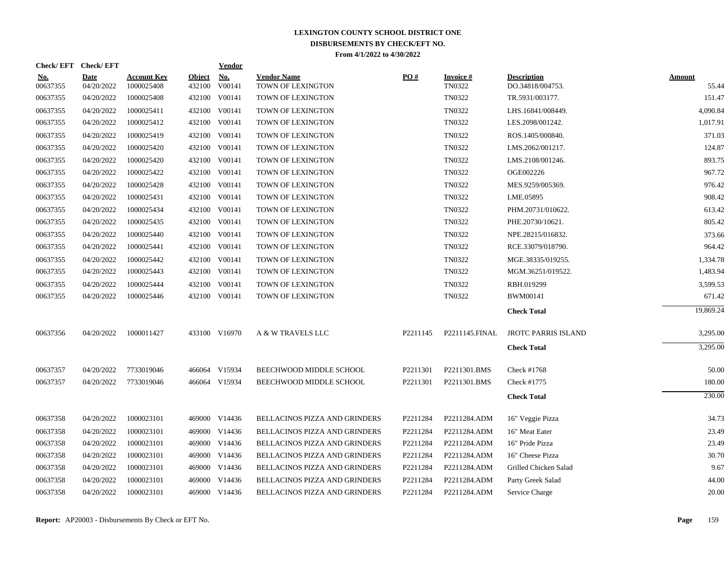|                        |                           |                                  |                         | Vendor               |                                                                                                                                                                                                                                                                                                                                                                                                                                                                         |          |                                  |                                        |                 |
|------------------------|---------------------------|----------------------------------|-------------------------|----------------------|-------------------------------------------------------------------------------------------------------------------------------------------------------------------------------------------------------------------------------------------------------------------------------------------------------------------------------------------------------------------------------------------------------------------------------------------------------------------------|----------|----------------------------------|----------------------------------------|-----------------|
| <u>No.</u><br>00637355 | <b>Date</b><br>04/20/2022 | <b>Account Key</b><br>1000025408 | <b>Object</b><br>432100 | <b>No.</b><br>V00141 | <b>Vendor Name</b><br>TOWN OF LEXINGTON                                                                                                                                                                                                                                                                                                                                                                                                                                 | PO#      | <b>Invoice#</b><br><b>TN0322</b> | <b>Description</b><br>DO.34818/004753. | Amount<br>55.44 |
| 00637355               | 04/20/2022                | 1000025408                       |                         |                      | TOWN OF LEXINGTON                                                                                                                                                                                                                                                                                                                                                                                                                                                       |          | <b>TN0322</b>                    | TR.5931/003177.                        | 151.47          |
| 00637355               | 04/20/2022                | 1000025411                       |                         |                      | TOWN OF LEXINGTON                                                                                                                                                                                                                                                                                                                                                                                                                                                       |          | <b>TN0322</b>                    | LHS.16841/008449.                      | 4,090.84        |
| 00637355               | 04/20/2022                | 1000025412                       |                         |                      | TOWN OF LEXINGTON                                                                                                                                                                                                                                                                                                                                                                                                                                                       |          | TN0322                           | LES.2098/001242.                       | 1,017.91        |
| 00637355               | 04/20/2022                | 1000025419                       |                         |                      | TOWN OF LEXINGTON                                                                                                                                                                                                                                                                                                                                                                                                                                                       |          | <b>TN0322</b>                    | ROS.1405/000840.                       | 371.03          |
| 00637355               | 04/20/2022                | 1000025420                       |                         |                      | TOWN OF LEXINGTON                                                                                                                                                                                                                                                                                                                                                                                                                                                       |          | TN0322                           | LMS.2062/001217.                       | 124.87          |
| 00637355               | 04/20/2022                | 1000025420                       |                         |                      | TOWN OF LEXINGTON                                                                                                                                                                                                                                                                                                                                                                                                                                                       |          | TN0322                           | LMS.2108/001246.                       | 893.75          |
| 00637355               | 04/20/2022                | 1000025422                       |                         |                      | TOWN OF LEXINGTON                                                                                                                                                                                                                                                                                                                                                                                                                                                       |          | <b>TN0322</b>                    | OGE002226                              | 967.72          |
| 00637355               | 04/20/2022                | 1000025428                       |                         |                      | TOWN OF LEXINGTON                                                                                                                                                                                                                                                                                                                                                                                                                                                       |          | <b>TN0322</b>                    | MES.9259/005369.                       | 976.42          |
| 00637355               | 04/20/2022                | 1000025431                       |                         |                      | TOWN OF LEXINGTON                                                                                                                                                                                                                                                                                                                                                                                                                                                       |          | <b>TN0322</b>                    | LME.05895                              | 908.42          |
| 00637355               | 04/20/2022                | 1000025434                       |                         |                      | TOWN OF LEXINGTON                                                                                                                                                                                                                                                                                                                                                                                                                                                       |          | <b>TN0322</b>                    | PHM.20731/010622.                      | 613.42          |
| 00637355               | 04/20/2022                | 1000025435                       |                         |                      | TOWN OF LEXINGTON                                                                                                                                                                                                                                                                                                                                                                                                                                                       |          | <b>TN0322</b>                    | PHE.20730/10621.                       | 805.42          |
| 00637355               | 04/20/2022                | 1000025440                       |                         |                      | TOWN OF LEXINGTON                                                                                                                                                                                                                                                                                                                                                                                                                                                       |          | <b>TN0322</b>                    | NPE.28215/016832.                      | 373.66          |
| 00637355               | 04/20/2022                | 1000025441                       |                         |                      | TOWN OF LEXINGTON                                                                                                                                                                                                                                                                                                                                                                                                                                                       |          | TN0322                           | RCE.33079/018790.                      | 964.42          |
| 00637355               | 04/20/2022                | 1000025442                       |                         |                      | TOWN OF LEXINGTON                                                                                                                                                                                                                                                                                                                                                                                                                                                       |          | <b>TN0322</b>                    | MGE.38335/019255.                      | 1,334.78        |
| 00637355               | 04/20/2022                | 1000025443                       |                         |                      | TOWN OF LEXINGTON                                                                                                                                                                                                                                                                                                                                                                                                                                                       |          | <b>TN0322</b>                    | MGM.36251/019522.                      | 1,483.94        |
| 00637355               | 04/20/2022                | 1000025444                       |                         |                      | TOWN OF LEXINGTON                                                                                                                                                                                                                                                                                                                                                                                                                                                       |          | TN0322                           | RBH.019299                             | 3,599.53        |
| 00637355               | 04/20/2022                | 1000025446                       |                         |                      | TOWN OF LEXINGTON                                                                                                                                                                                                                                                                                                                                                                                                                                                       |          | <b>TN0322</b>                    | BWM00141                               | 671.42          |
|                        |                           |                                  |                         |                      |                                                                                                                                                                                                                                                                                                                                                                                                                                                                         |          |                                  | <b>Check Total</b>                     | 19,869.24       |
| 00637356               | 04/20/2022                | 1000011427                       |                         |                      | A & W TRAVELS LLC                                                                                                                                                                                                                                                                                                                                                                                                                                                       | P2211145 | P2211145.FINAL                   | <b>JROTC PARRIS ISLAND</b>             | 3,295.00        |
|                        |                           |                                  |                         |                      |                                                                                                                                                                                                                                                                                                                                                                                                                                                                         |          |                                  | <b>Check Total</b>                     | 3,295.00        |
| 00637357               | 04/20/2022                | 7733019046                       |                         |                      | BEECHWOOD MIDDLE SCHOOL                                                                                                                                                                                                                                                                                                                                                                                                                                                 | P2211301 | P2211301.BMS                     | Check #1768                            | 50.00           |
| 00637357               | 04/20/2022                | 7733019046                       |                         |                      | BEECHWOOD MIDDLE SCHOOL                                                                                                                                                                                                                                                                                                                                                                                                                                                 | P2211301 | P2211301.BMS                     | Check #1775                            | 180.00          |
|                        |                           |                                  |                         |                      |                                                                                                                                                                                                                                                                                                                                                                                                                                                                         |          |                                  | <b>Check Total</b>                     | 230.00          |
| 00637358               | 04/20/2022                | 1000023101                       |                         |                      | BELLACINOS PIZZA AND GRINDERS                                                                                                                                                                                                                                                                                                                                                                                                                                           | P2211284 | P2211284.ADM                     | 16" Veggie Pizza                       | 34.73           |
| 00637358               | 04/20/2022                | 1000023101                       |                         |                      | BELLACINOS PIZZA AND GRINDERS                                                                                                                                                                                                                                                                                                                                                                                                                                           | P2211284 | P2211284.ADM                     | 16" Meat Eater                         | 23.49           |
| 00637358               | 04/20/2022                | 1000023101                       |                         |                      | BELLACINOS PIZZA AND GRINDERS                                                                                                                                                                                                                                                                                                                                                                                                                                           | P2211284 | P2211284.ADM                     | 16" Pride Pizza                        | 23.49           |
| 00637358               | 04/20/2022                | 1000023101                       |                         |                      | BELLACINOS PIZZA AND GRINDERS                                                                                                                                                                                                                                                                                                                                                                                                                                           | P2211284 | P2211284.ADM                     | 16" Cheese Pizza                       | 30.70           |
| 00637358               | 04/20/2022                | 1000023101                       |                         |                      | BELLACINOS PIZZA AND GRINDERS                                                                                                                                                                                                                                                                                                                                                                                                                                           | P2211284 | P2211284.ADM                     | Grilled Chicken Salad                  | 9.67            |
| 00637358               | 04/20/2022                | 1000023101                       |                         |                      | BELLACINOS PIZZA AND GRINDERS                                                                                                                                                                                                                                                                                                                                                                                                                                           | P2211284 | P2211284.ADM                     | Party Greek Salad                      | 44.00           |
| 00637358               | 04/20/2022                | 1000023101                       |                         |                      | BELLACINOS PIZZA AND GRINDERS                                                                                                                                                                                                                                                                                                                                                                                                                                           | P2211284 | P2211284.ADM                     | Service Charge                         | 20.00           |
|                        |                           | Check/EFT Check/EFT              |                         |                      | 432100 V00141<br>432100 V00141<br>432100 V00141<br>432100 V00141<br>432100 V00141<br>432100 V00141<br>432100 V00141<br>432100 V00141<br>432100 V00141<br>432100 V00141<br>432100 V00141<br>432100 V00141<br>432100 V00141<br>432100 V00141<br>432100 V00141<br>432100 V00141<br>432100 V00141<br>433100 V16970<br>466064 V15934<br>466064 V15934<br>469000 V14436<br>469000 V14436<br>469000 V14436<br>469000 V14436<br>469000 V14436<br>469000 V14436<br>469000 V14436 |          |                                  |                                        |                 |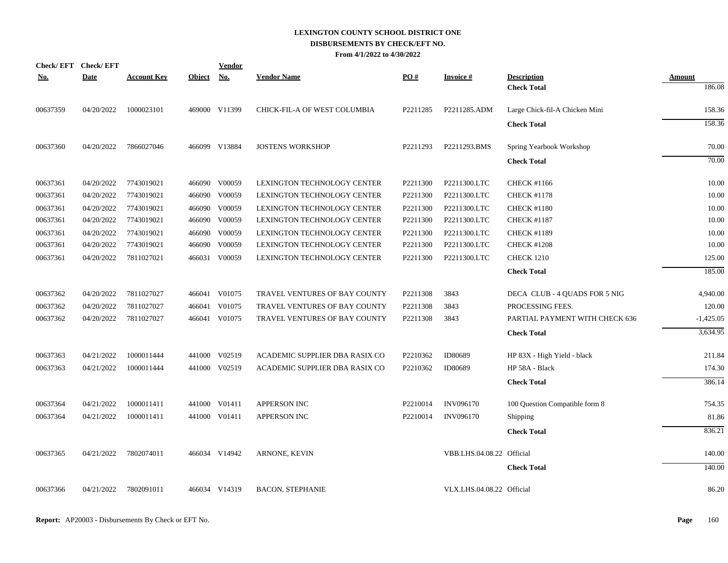| Check/EFT Check/EFT |             |                    |               | <b>Vendor</b> |                                    |          |                           |                                |               |
|---------------------|-------------|--------------------|---------------|---------------|------------------------------------|----------|---------------------------|--------------------------------|---------------|
| <u>No.</u>          | <b>Date</b> | <u>Account Key</u> | <b>Object</b> | <u>No.</u>    | <b>Vendor Name</b>                 | PO#      | <b>Invoice#</b>           | <b>Description</b>             | <b>Amount</b> |
|                     |             |                    |               |               |                                    |          |                           | <b>Check Total</b>             | 186.08        |
| 00637359            | 04/20/2022  | 1000023101         |               | 469000 V11399 | CHICK-FIL-A OF WEST COLUMBIA       | P2211285 | P2211285.ADM              | Large Chick-fil-A Chicken Mini | 158.36        |
|                     |             |                    |               |               |                                    |          |                           | <b>Check Total</b>             | 158.36        |
| 00637360            | 04/20/2022  | 7866027046         |               | 466099 V13884 | <b>JOSTENS WORKSHOP</b>            | P2211293 | P2211293.BMS              | Spring Yearbook Workshop       | 70.00         |
|                     |             |                    |               |               |                                    |          |                           | <b>Check Total</b>             | 70.00         |
| 00637361            | 04/20/2022  | 7743019021         |               | 466090 V00059 | LEXINGTON TECHNOLOGY CENTER        | P2211300 | P2211300.LTC              | <b>CHECK #1166</b>             | 10.00         |
| 00637361            | 04/20/2022  | 7743019021         |               | 466090 V00059 | <b>LEXINGTON TECHNOLOGY CENTER</b> | P2211300 | P2211300.LTC              | <b>CHECK #1178</b>             | 10.00         |
| 00637361            | 04/20/2022  | 7743019021         |               | 466090 V00059 | LEXINGTON TECHNOLOGY CENTER        | P2211300 | P2211300.LTC              | <b>CHECK #1180</b>             | 10.00         |
| 00637361            | 04/20/2022  | 7743019021         |               | 466090 V00059 | LEXINGTON TECHNOLOGY CENTER        | P2211300 | P2211300.LTC              | <b>CHECK #1187</b>             | 10.00         |
| 00637361            | 04/20/2022  | 7743019021         |               | 466090 V00059 | LEXINGTON TECHNOLOGY CENTER        | P2211300 | P2211300.LTC              | <b>CHECK #1189</b>             | 10.00         |
| 00637361            | 04/20/2022  | 7743019021         |               | 466090 V00059 | LEXINGTON TECHNOLOGY CENTER        | P2211300 | P2211300.LTC              | <b>CHECK #1208</b>             | 10.00         |
| 00637361            | 04/20/2022  | 7811027021         |               | 466031 V00059 | LEXINGTON TECHNOLOGY CENTER        | P2211300 | P2211300.LTC              | <b>CHECK 1210</b>              | 125.00        |
|                     |             |                    |               |               |                                    |          |                           | <b>Check Total</b>             | 185.00        |
| 00637362            | 04/20/2022  | 7811027027         |               | 466041 V01075 | TRAVEL VENTURES OF BAY COUNTY      | P2211308 | 3843                      | DECA CLUB - 4 QUADS FOR 5 NIG  | 4,940.00      |
| 00637362            | 04/20/2022  | 7811027027         |               | 466041 V01075 | TRAVEL VENTURES OF BAY COUNTY      | P2211308 | 3843                      | PROCESSING FEES.               | 120.00        |
| 00637362            | 04/20/2022  | 7811027027         |               | 466041 V01075 | TRAVEL VENTURES OF BAY COUNTY      | P2211308 | 3843                      | PARTIAL PAYMENT WITH CHECK 636 | $-1,425.05$   |
|                     |             |                    |               |               |                                    |          |                           | <b>Check Total</b>             | 3,634.95      |
| 00637363            | 04/21/2022  | 1000011444         |               | 441000 V02519 | ACADEMIC SUPPLIER DBA RASIX CO     | P2210362 | ID80689                   | HP 83X - High Yield - black    | 211.84        |
| 00637363            | 04/21/2022  | 1000011444         |               | 441000 V02519 | ACADEMIC SUPPLIER DBA RASIX CO     | P2210362 | ID80689                   | HP 58A - Black                 | 174.30        |
|                     |             |                    |               |               |                                    |          |                           | <b>Check Total</b>             | 386.14        |
| 00637364            | 04/21/2022  | 1000011411         |               | 441000 V01411 | <b>APPERSON INC</b>                | P2210014 | <b>INV096170</b>          | 100 Question Compatible form 8 | 754.35        |
| 00637364            | 04/21/2022  | 1000011411         |               | 441000 V01411 | <b>APPERSON INC</b>                | P2210014 | <b>INV096170</b>          | Shipping                       | 81.86         |
|                     |             |                    |               |               |                                    |          |                           | <b>Check Total</b>             | 836.21        |
| 00637365            | 04/21/2022  | 7802074011         |               | 466034 V14942 | <b>ARNONE, KEVIN</b>               |          | VBB.LHS.04.08.22 Official |                                | 140.00        |
|                     |             |                    |               |               |                                    |          |                           | <b>Check Total</b>             | 140.00        |
| 00637366            | 04/21/2022  | 7802091011         |               | 466034 V14319 | <b>BACON, STEPHANIE</b>            |          | VLX.LHS.04.08.22 Official |                                | 86.20         |
|                     |             |                    |               |               |                                    |          |                           |                                |               |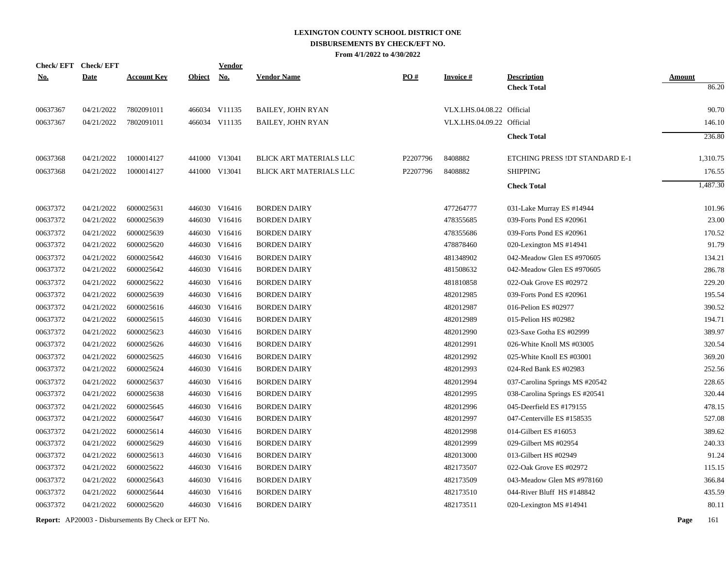|            | Check/EFT Check/EFT |                    |               | <b>Vendor</b> |                                |                   |                           |                                |               |
|------------|---------------------|--------------------|---------------|---------------|--------------------------------|-------------------|---------------------------|--------------------------------|---------------|
| <u>No.</u> | <b>Date</b>         | <b>Account Key</b> | <b>Object</b> | <b>No.</b>    | <b>Vendor Name</b>             | $\underline{PO#}$ | <b>Invoice#</b>           | <b>Description</b>             | <b>Amount</b> |
|            |                     |                    |               |               |                                |                   |                           | <b>Check Total</b>             | 86.20         |
| 00637367   | 04/21/2022          | 7802091011         |               | 466034 V11135 | <b>BAILEY, JOHN RYAN</b>       |                   | VLX.LHS.04.08.22 Official |                                | 90.70         |
| 00637367   | 04/21/2022          | 7802091011         |               | 466034 V11135 | <b>BAILEY, JOHN RYAN</b>       |                   | VLX.LHS.04.09.22 Official |                                | 146.10        |
|            |                     |                    |               |               |                                |                   |                           | <b>Check Total</b>             | 236.80        |
| 00637368   | 04/21/2022          | 1000014127         |               | 441000 V13041 | BLICK ART MATERIALS LLC        | P2207796          | 8408882                   | ETCHING PRESS !DT STANDARD E-1 | 1,310.75      |
| 00637368   | 04/21/2022          | 1000014127         |               | 441000 V13041 | <b>BLICK ART MATERIALS LLC</b> | P2207796          | 8408882                   | <b>SHIPPING</b>                | 176.55        |
|            |                     |                    |               |               |                                |                   |                           | <b>Check Total</b>             | 1,487.30      |
| 00637372   | 04/21/2022          | 6000025631         |               | 446030 V16416 | <b>BORDEN DAIRY</b>            |                   | 477264777                 | 031-Lake Murray ES #14944      | 101.96        |
| 00637372   | 04/21/2022          | 6000025639         |               | 446030 V16416 | <b>BORDEN DAIRY</b>            |                   | 478355685                 | 039-Forts Pond ES #20961       | 23.00         |
| 00637372   | 04/21/2022          | 6000025639         |               | 446030 V16416 | <b>BORDEN DAIRY</b>            |                   | 478355686                 | 039-Forts Pond ES #20961       | 170.52        |
| 00637372   | 04/21/2022          | 6000025620         |               | 446030 V16416 | <b>BORDEN DAIRY</b>            |                   | 478878460                 | 020-Lexington MS #14941        | 91.79         |
| 00637372   | 04/21/2022          | 6000025642         |               | 446030 V16416 | <b>BORDEN DAIRY</b>            |                   | 481348902                 | 042-Meadow Glen ES #970605     | 134.21        |
| 00637372   | 04/21/2022          | 6000025642         |               | 446030 V16416 | <b>BORDEN DAIRY</b>            |                   | 481508632                 | 042-Meadow Glen ES #970605     | 286.78        |
| 00637372   | 04/21/2022          | 6000025622         |               | 446030 V16416 | <b>BORDEN DAIRY</b>            |                   | 481810858                 | 022-Oak Grove ES #02972        | 229.20        |
| 00637372   | 04/21/2022          | 6000025639         |               | 446030 V16416 | <b>BORDEN DAIRY</b>            |                   | 482012985                 | 039-Forts Pond ES #20961       | 195.54        |
| 00637372   | 04/21/2022          | 6000025616         |               | 446030 V16416 | <b>BORDEN DAIRY</b>            |                   | 482012987                 | 016-Pelion ES #02977           | 390.52        |
| 00637372   | 04/21/2022          | 6000025615         |               | 446030 V16416 | <b>BORDEN DAIRY</b>            |                   | 482012989                 | 015-Pelion HS #02982           | 194.71        |
| 00637372   | 04/21/2022          | 6000025623         |               | 446030 V16416 | <b>BORDEN DAIRY</b>            |                   | 482012990                 | 023-Saxe Gotha ES #02999       | 389.97        |
| 00637372   | 04/21/2022          | 6000025626         |               | 446030 V16416 | <b>BORDEN DAIRY</b>            |                   | 482012991                 | 026-White Knoll MS #03005      | 320.54        |
| 00637372   | 04/21/2022          | 6000025625         |               | 446030 V16416 | <b>BORDEN DAIRY</b>            |                   | 482012992                 | 025-White Knoll ES #03001      | 369.20        |
| 00637372   | 04/21/2022          | 6000025624         |               | 446030 V16416 | <b>BORDEN DAIRY</b>            |                   | 482012993                 | 024-Red Bank ES #02983         | 252.56        |
| 00637372   | 04/21/2022          | 6000025637         |               | 446030 V16416 | <b>BORDEN DAIRY</b>            |                   | 482012994                 | 037-Carolina Springs MS #20542 | 228.65        |
| 00637372   | 04/21/2022          | 6000025638         |               | 446030 V16416 | <b>BORDEN DAIRY</b>            |                   | 482012995                 | 038-Carolina Springs ES #20541 | 320.44        |
| 00637372   | 04/21/2022          | 6000025645         |               | 446030 V16416 | <b>BORDEN DAIRY</b>            |                   | 482012996                 | 045-Deerfield ES #179155       | 478.15        |
| 00637372   | 04/21/2022          | 6000025647         |               | 446030 V16416 | <b>BORDEN DAIRY</b>            |                   | 482012997                 | 047-Centerville ES #158535     | 527.08        |
| 00637372   | 04/21/2022          | 6000025614         |               | 446030 V16416 | <b>BORDEN DAIRY</b>            |                   | 482012998                 | 014-Gilbert ES #16053          | 389.62        |
| 00637372   | 04/21/2022          | 6000025629         |               | 446030 V16416 | <b>BORDEN DAIRY</b>            |                   | 482012999                 | 029-Gilbert MS #02954          | 240.33        |
| 00637372   | 04/21/2022          | 6000025613         |               | 446030 V16416 | <b>BORDEN DAIRY</b>            |                   | 482013000                 | 013-Gilbert HS #02949          | 91.24         |
| 00637372   | 04/21/2022          | 6000025622         |               | 446030 V16416 | <b>BORDEN DAIRY</b>            |                   | 482173507                 | 022-Oak Grove ES #02972        | 115.15        |
| 00637372   | 04/21/2022          | 6000025643         |               | 446030 V16416 | <b>BORDEN DAIRY</b>            |                   | 482173509                 | 043-Meadow Glen MS #978160     | 366.84        |
| 00637372   | 04/21/2022          | 6000025644         |               | 446030 V16416 | <b>BORDEN DAIRY</b>            |                   | 482173510                 | 044-River Bluff HS #148842     | 435.59        |
| 00637372   | 04/21/2022          | 6000025620         |               | 446030 V16416 | <b>BORDEN DAIRY</b>            |                   | 482173511                 | 020-Lexington MS #14941        | 80.11         |
|            |                     |                    |               |               |                                |                   |                           |                                |               |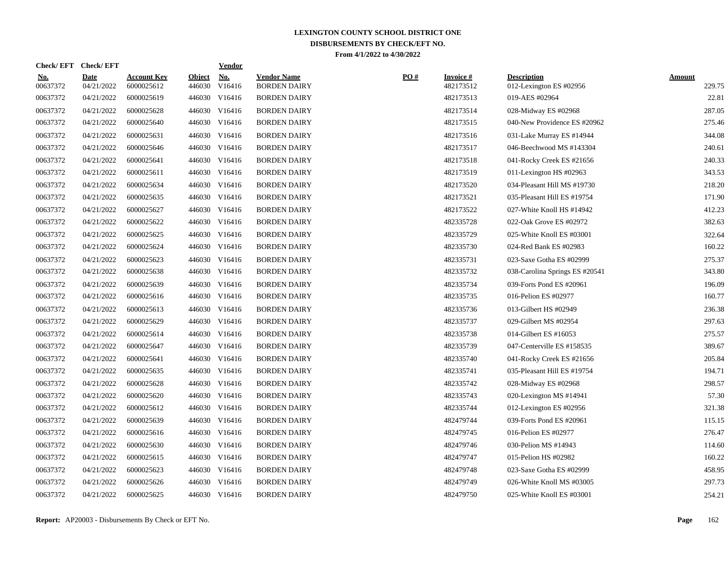| <u>No.</u><br>00637372 | <b>Date</b><br>04/21/2022 | <b>Account Key</b><br>6000025612 | <b>Object</b><br>446030 | <b>No.</b><br>V16416 | <b>Vendor Name</b><br><b>BORDEN DAIRY</b> | PO# | <b>Invoice#</b><br>482173512 | <b>Description</b><br>012-Lexington ES #02956 | <b>Amount</b><br>229.75 |
|------------------------|---------------------------|----------------------------------|-------------------------|----------------------|-------------------------------------------|-----|------------------------------|-----------------------------------------------|-------------------------|
| 00637372               | 04/21/2022                | 6000025619                       | 446030                  | V16416               | <b>BORDEN DAIRY</b>                       |     | 482173513                    | 019-AES #02964                                | 22.81                   |
| 00637372               | 04/21/2022                | 6000025628                       |                         | 446030 V16416        | <b>BORDEN DAIRY</b>                       |     | 482173514                    | 028-Midway ES #02968                          | 287.05                  |
| 00637372               | 04/21/2022                | 6000025640                       |                         | 446030 V16416        | <b>BORDEN DAIRY</b>                       |     | 482173515                    | 040-New Providence ES #20962                  | 275.46                  |
| 00637372               | 04/21/2022                | 6000025631                       |                         | 446030 V16416        | <b>BORDEN DAIRY</b>                       |     | 482173516                    | 031-Lake Murray ES #14944                     | 344.08                  |
| 00637372               | 04/21/2022                | 6000025646                       |                         | 446030 V16416        | <b>BORDEN DAIRY</b>                       |     | 482173517                    | 046-Beechwood MS #143304                      | 240.61                  |
| 00637372               | 04/21/2022                | 6000025641                       | 446030                  | V16416               | <b>BORDEN DAIRY</b>                       |     | 482173518                    | 041-Rocky Creek ES #21656                     | 240.33                  |
| 00637372               | 04/21/2022                | 6000025611                       |                         | 446030 V16416        | <b>BORDEN DAIRY</b>                       |     | 482173519                    | 011-Lexington HS $#02963$                     | 343.53                  |
| 00637372               | 04/21/2022                | 6000025634                       | 446030                  | V16416               | <b>BORDEN DAIRY</b>                       |     | 482173520                    | 034-Pleasant Hill MS #19730                   | 218.20                  |
| 00637372               | 04/21/2022                | 6000025635                       |                         | 446030 V16416        | <b>BORDEN DAIRY</b>                       |     | 482173521                    | 035-Pleasant Hill ES #19754                   | 171.90                  |
| 00637372               | 04/21/2022                | 6000025627                       |                         | 446030 V16416        | <b>BORDEN DAIRY</b>                       |     | 482173522                    | 027-White Knoll HS #14942                     | 412.23                  |
| 00637372               | 04/21/2022                | 6000025622                       |                         | 446030 V16416        | <b>BORDEN DAIRY</b>                       |     | 482335728                    | 022-Oak Grove ES #02972                       | 382.63                  |
| 00637372               | 04/21/2022                | 6000025625                       | 446030                  | V16416               | <b>BORDEN DAIRY</b>                       |     | 482335729                    | 025-White Knoll ES #03001                     | 322.64                  |
| 00637372               | 04/21/2022                | 6000025624                       |                         | 446030 V16416        | <b>BORDEN DAIRY</b>                       |     | 482335730                    | 024-Red Bank ES #02983                        | 160.22                  |
| 00637372               | 04/21/2022                | 6000025623                       |                         | 446030 V16416        | <b>BORDEN DAIRY</b>                       |     | 482335731                    | 023-Saxe Gotha ES #02999                      | 275.37                  |
| 00637372               | 04/21/2022                | 6000025638                       |                         | 446030 V16416        | <b>BORDEN DAIRY</b>                       |     | 482335732                    | 038-Carolina Springs ES #20541                | 343.80                  |
| 00637372               | 04/21/2022                | 6000025639                       |                         | 446030 V16416        | <b>BORDEN DAIRY</b>                       |     | 482335734                    | 039-Forts Pond ES #20961                      | 196.09                  |
| 00637372               | 04/21/2022                | 6000025616                       |                         | 446030 V16416        | <b>BORDEN DAIRY</b>                       |     | 482335735                    | 016-Pelion ES #02977                          | 160.77                  |
| 00637372               | 04/21/2022                | 6000025613                       |                         | 446030 V16416        | <b>BORDEN DAIRY</b>                       |     | 482335736                    | 013-Gilbert HS #02949                         | 236.38                  |
| 00637372               | 04/21/2022                | 6000025629                       | 446030                  | V16416               | <b>BORDEN DAIRY</b>                       |     | 482335737                    | 029-Gilbert MS #02954                         | 297.63                  |
| 00637372               | 04/21/2022                | 6000025614                       | 446030                  | V16416               | <b>BORDEN DAIRY</b>                       |     | 482335738                    | 014-Gilbert ES #16053                         | 275.57                  |
| 00637372               | 04/21/2022                | 6000025647                       |                         | 446030 V16416        | <b>BORDEN DAIRY</b>                       |     | 482335739                    | 047-Centerville ES #158535                    | 389.67                  |
| 00637372               | 04/21/2022                | 6000025641                       |                         | 446030 V16416        | <b>BORDEN DAIRY</b>                       |     | 482335740                    | 041-Rocky Creek ES #21656                     | 205.84                  |
| 00637372               | 04/21/2022                | 6000025635                       |                         | 446030 V16416        | <b>BORDEN DAIRY</b>                       |     | 482335741                    | 035-Pleasant Hill ES #19754                   | 194.71                  |
| 00637372               | 04/21/2022                | 6000025628                       |                         | 446030 V16416        | <b>BORDEN DAIRY</b>                       |     | 482335742                    | 028-Midway ES #02968                          | 298.57                  |
| 00637372               | 04/21/2022                | 6000025620                       |                         | 446030 V16416        | <b>BORDEN DAIRY</b>                       |     | 482335743                    | 020-Lexington MS #14941                       | 57.30                   |
| 00637372               | 04/21/2022                | 6000025612                       |                         | 446030 V16416        | <b>BORDEN DAIRY</b>                       |     | 482335744                    | 012-Lexington ES #02956                       | 321.38                  |
| 00637372               | 04/21/2022                | 6000025639                       | 446030                  | V16416               | <b>BORDEN DAIRY</b>                       |     | 482479744                    | 039-Forts Pond ES #20961                      | 115.15                  |
| 00637372               | 04/21/2022                | 6000025616                       |                         | 446030 V16416        | <b>BORDEN DAIRY</b>                       |     | 482479745                    | 016-Pelion ES #02977                          | 276.47                  |
| 00637372               | 04/21/2022                | 6000025630                       |                         | 446030 V16416        | <b>BORDEN DAIRY</b>                       |     | 482479746                    | 030-Pelion MS #14943                          | 114.60                  |
| 00637372               | 04/21/2022                | 6000025615                       |                         | 446030 V16416        | <b>BORDEN DAIRY</b>                       |     | 482479747                    | 015-Pelion HS #02982                          | 160.22                  |
| 00637372               | 04/21/2022                | 6000025623                       |                         | 446030 V16416        | <b>BORDEN DAIRY</b>                       |     | 482479748                    | 023-Saxe Gotha ES #02999                      | 458.95                  |
| 00637372               | 04/21/2022                | 6000025626                       | 446030                  | V16416               | <b>BORDEN DAIRY</b>                       |     | 482479749                    | 026-White Knoll MS #03005                     | 297.73                  |
| 00637372               | 04/21/2022                | 6000025625                       |                         | 446030 V16416        | <b>BORDEN DAIRY</b>                       |     | 482479750                    | 025-White Knoll ES #03001                     | 254.21                  |

**Check/ EFT Vendor Check/ EFT**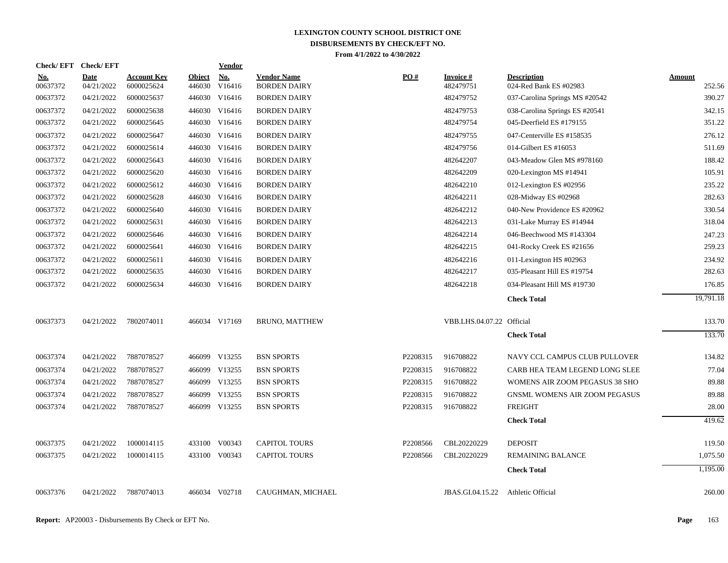| Check/EFT Check/EFT    |                           |                           |               | <b>Vendor</b>        |                                           |                   |                                    |                                              |                  |
|------------------------|---------------------------|---------------------------|---------------|----------------------|-------------------------------------------|-------------------|------------------------------------|----------------------------------------------|------------------|
| <u>No.</u><br>00637372 | <b>Date</b><br>04/21/2022 | Account Kev<br>6000025624 | <b>Object</b> | No.<br>446030 V16416 | <b>Vendor Name</b><br><b>BORDEN DAIRY</b> | $\underline{PO#}$ | Invoice #<br>482479751             | <b>Description</b><br>024-Red Bank ES #02983 | Amount<br>252.56 |
| 00637372               | 04/21/2022                | 6000025637                |               | 446030 V16416        | <b>BORDEN DAIRY</b>                       |                   | 482479752                          | 037-Carolina Springs MS #20542               | 390.27           |
| 00637372               | 04/21/2022                | 6000025638                |               | 446030 V16416        | <b>BORDEN DAIRY</b>                       |                   | 482479753                          | 038-Carolina Springs ES #20541               | 342.15           |
| 00637372               | 04/21/2022                | 6000025645                |               | 446030 V16416        | <b>BORDEN DAIRY</b>                       |                   | 482479754                          | 045-Deerfield ES #179155                     | 351.22           |
| 00637372               | 04/21/2022                | 6000025647                |               | 446030 V16416        | <b>BORDEN DAIRY</b>                       |                   | 482479755                          | 047-Centerville ES #158535                   | 276.12           |
| 00637372               | 04/21/2022                | 6000025614                |               | 446030 V16416        | <b>BORDEN DAIRY</b>                       |                   | 482479756                          | 014-Gilbert ES #16053                        | 511.69           |
| 00637372               | 04/21/2022                | 6000025643                |               | 446030 V16416        | <b>BORDEN DAIRY</b>                       |                   | 482642207                          | 043-Meadow Glen MS #978160                   | 188.42           |
| 00637372               | 04/21/2022                | 6000025620                |               | 446030 V16416        | <b>BORDEN DAIRY</b>                       |                   | 482642209                          | 020-Lexington MS #14941                      | 105.91           |
| 00637372               | 04/21/2022                | 6000025612                |               | 446030 V16416        | <b>BORDEN DAIRY</b>                       |                   | 482642210                          | 012-Lexington ES #02956                      | 235.22           |
| 00637372               | 04/21/2022                | 6000025628                |               | 446030 V16416        | <b>BORDEN DAIRY</b>                       |                   | 482642211                          | 028-Midway ES #02968                         | 282.63           |
| 00637372               | 04/21/2022                | 6000025640                |               | 446030 V16416        | <b>BORDEN DAIRY</b>                       |                   | 482642212                          | 040-New Providence ES #20962                 | 330.54           |
| 00637372               | 04/21/2022                | 6000025631                |               | 446030 V16416        | <b>BORDEN DAIRY</b>                       |                   | 482642213                          | 031-Lake Murray ES #14944                    | 318.04           |
| 00637372               | 04/21/2022                | 6000025646                |               | 446030 V16416        | <b>BORDEN DAIRY</b>                       |                   | 482642214                          | 046-Beechwood MS #143304                     | 247.23           |
| 00637372               | 04/21/2022                | 6000025641                |               | 446030 V16416        | <b>BORDEN DAIRY</b>                       |                   | 482642215                          | 041-Rocky Creek ES #21656                    | 259.23           |
| 00637372               | 04/21/2022                | 6000025611                |               | 446030 V16416        | <b>BORDEN DAIRY</b>                       |                   | 482642216                          | 011-Lexington HS #02963                      | 234.92           |
| 00637372               | 04/21/2022                | 6000025635                |               | 446030 V16416        | <b>BORDEN DAIRY</b>                       |                   | 482642217                          | 035-Pleasant Hill ES #19754                  | 282.63           |
| 00637372               | 04/21/2022                | 6000025634                |               | 446030 V16416        | <b>BORDEN DAIRY</b>                       |                   | 482642218                          | 034-Pleasant Hill MS #19730                  | 176.85           |
|                        |                           |                           |               |                      |                                           |                   |                                    | <b>Check Total</b>                           | 19,791.18        |
| 00637373               | 04/21/2022                | 7802074011                |               | 466034 V17169        | <b>BRUNO, MATTHEW</b>                     |                   | VBB.LHS.04.07.22 Official          |                                              | 133.70           |
|                        |                           |                           |               |                      |                                           |                   |                                    | <b>Check Total</b>                           | 133.70           |
| 00637374               | 04/21/2022                | 7887078527                |               | 466099 V13255        | <b>BSN SPORTS</b>                         | P2208315          | 916708822                          | NAVY CCL CAMPUS CLUB PULLOVER                | 134.82           |
| 00637374               | 04/21/2022                | 7887078527                |               | 466099 V13255        | <b>BSN SPORTS</b>                         | P2208315          | 916708822                          | CARB HEA TEAM LEGEND LONG SLEE               | 77.04            |
| 00637374               | 04/21/2022                | 7887078527                |               | 466099 V13255        | <b>BSN SPORTS</b>                         | P2208315          | 916708822                          | WOMENS AIR ZOOM PEGASUS 38 SHO               | 89.88            |
| 00637374               | 04/21/2022                | 7887078527                |               | 466099 V13255        | <b>BSN SPORTS</b>                         | P2208315          | 916708822                          | GNSML WOMENS AIR ZOOM PEGASUS                | 89.88            |
| 00637374               | 04/21/2022                | 7887078527                |               | 466099 V13255        | <b>BSN SPORTS</b>                         | P2208315          | 916708822                          | <b>FREIGHT</b>                               | 28.00            |
|                        |                           |                           |               |                      |                                           |                   |                                    | <b>Check Total</b>                           | 419.62           |
| 00637375               | 04/21/2022                | 1000014115                |               | 433100 V00343        | <b>CAPITOL TOURS</b>                      | P2208566          | CBL20220229                        | <b>DEPOSIT</b>                               | 119.50           |
| 00637375               | 04/21/2022                | 1000014115                |               | 433100 V00343        | <b>CAPITOL TOURS</b>                      | P2208566          | CBL20220229                        | <b>REMAINING BALANCE</b>                     | 1,075.50         |
|                        |                           |                           |               |                      |                                           |                   |                                    | <b>Check Total</b>                           | 1,195.00         |
| 00637376               | 04/21/2022                | 7887074013                |               | 466034 V02718        | CAUGHMAN, MICHAEL                         |                   | JBAS.GI.04.15.22 Athletic Official |                                              | 260.00           |
|                        |                           |                           |               |                      |                                           |                   |                                    |                                              |                  |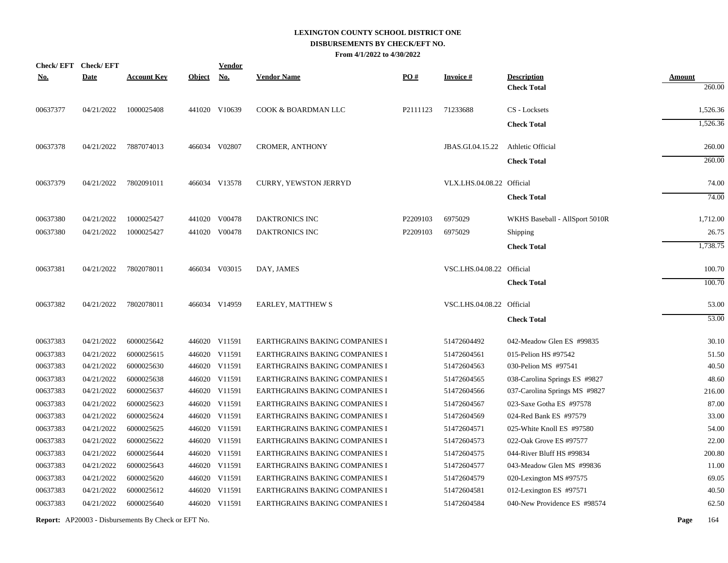| Check/EFT Check/EFT |             |                    |               | <b>Vendor</b> |                                       |          |                           |                                |               |
|---------------------|-------------|--------------------|---------------|---------------|---------------------------------------|----------|---------------------------|--------------------------------|---------------|
| <u>No.</u>          | <b>Date</b> | <b>Account Key</b> | <b>Object</b> | <b>No.</b>    | <b>Vendor Name</b>                    | PO#      | <b>Invoice#</b>           | <b>Description</b>             | <b>Amount</b> |
|                     |             |                    |               |               |                                       |          |                           | <b>Check Total</b>             | 260.00        |
| 00637377            | 04/21/2022  | 1000025408         |               | 441020 V10639 | COOK & BOARDMAN LLC                   | P2111123 | 71233688                  | CS - Locksets                  | 1,526.36      |
|                     |             |                    |               |               |                                       |          |                           | <b>Check Total</b>             | 1,526.36      |
| 00637378            | 04/21/2022  | 7887074013         |               | 466034 V02807 | <b>CROMER, ANTHONY</b>                |          | JBAS.GI.04.15.22          | Athletic Official              | 260.00        |
|                     |             |                    |               |               |                                       |          |                           | <b>Check Total</b>             | 260.00        |
| 00637379            | 04/21/2022  | 7802091011         |               | 466034 V13578 | <b>CURRY, YEWSTON JERRYD</b>          |          | VLX.LHS.04.08.22 Official |                                | 74.00         |
|                     |             |                    |               |               |                                       |          |                           | <b>Check Total</b>             | 74.00         |
| 00637380            | 04/21/2022  | 1000025427         |               | 441020 V00478 | <b>DAKTRONICS INC</b>                 | P2209103 | 6975029                   | WKHS Baseball - AllSport 5010R | 1,712.00      |
| 00637380            | 04/21/2022  | 1000025427         |               | 441020 V00478 | <b>DAKTRONICS INC</b>                 | P2209103 | 6975029                   | Shipping                       | 26.75         |
|                     |             |                    |               |               |                                       |          |                           | <b>Check Total</b>             | 1,738.75      |
| 00637381            | 04/21/2022  | 7802078011         |               | 466034 V03015 | DAY, JAMES                            |          | VSC.LHS.04.08.22 Official |                                | 100.70        |
|                     |             |                    |               |               |                                       |          |                           | <b>Check Total</b>             | 100.70        |
| 00637382            | 04/21/2022  | 7802078011         |               | 466034 V14959 | EARLEY, MATTHEW S                     |          | VSC.LHS.04.08.22 Official |                                | 53.00         |
|                     |             |                    |               |               |                                       |          |                           | <b>Check Total</b>             | 53.00         |
| 00637383            | 04/21/2022  | 6000025642         |               | 446020 V11591 | EARTHGRAINS BAKING COMPANIES I        |          | 51472604492               | 042-Meadow Glen ES #99835      | 30.10         |
| 00637383            | 04/21/2022  | 6000025615         |               | 446020 V11591 | <b>EARTHGRAINS BAKING COMPANIES I</b> |          | 51472604561               | 015-Pelion HS #97542           | 51.50         |
| 00637383            | 04/21/2022  | 6000025630         |               | 446020 V11591 | EARTHGRAINS BAKING COMPANIES I        |          | 51472604563               | 030-Pelion MS #97541           | 40.50         |
| 00637383            | 04/21/2022  | 6000025638         |               | 446020 V11591 | EARTHGRAINS BAKING COMPANIES I        |          | 51472604565               | 038-Carolina Springs ES #9827  | 48.60         |
| 00637383            | 04/21/2022  | 6000025637         |               | 446020 V11591 | EARTHGRAINS BAKING COMPANIES I        |          | 51472604566               | 037-Carolina Springs MS #9827  | 216.00        |
| 00637383            | 04/21/2022  | 6000025623         |               | 446020 V11591 | EARTHGRAINS BAKING COMPANIES I        |          | 51472604567               | 023-Saxe Gotha ES #97578       | 87.00         |
| 00637383            | 04/21/2022  | 6000025624         |               | 446020 V11591 | EARTHGRAINS BAKING COMPANIES I        |          | 51472604569               | 024-Red Bank ES #97579         | 33.00         |
| 00637383            | 04/21/2022  | 6000025625         |               | 446020 V11591 | EARTHGRAINS BAKING COMPANIES I        |          | 51472604571               | 025-White Knoll ES #97580      | 54.00         |
| 00637383            | 04/21/2022  | 6000025622         |               | 446020 V11591 | EARTHGRAINS BAKING COMPANIES I        |          | 51472604573               | 022-Oak Grove ES #97577        | 22.00         |
| 00637383            | 04/21/2022  | 6000025644         |               | 446020 V11591 | EARTHGRAINS BAKING COMPANIES I        |          | 51472604575               | 044-River Bluff HS #99834      | 200.80        |
| 00637383            | 04/21/2022  | 6000025643         |               | 446020 V11591 | EARTHGRAINS BAKING COMPANIES I        |          | 51472604577               | 043-Meadow Glen MS #99836      | 11.00         |
| 00637383            | 04/21/2022  | 6000025620         |               | 446020 V11591 | EARTHGRAINS BAKING COMPANIES I        |          | 51472604579               | 020-Lexington MS #97575        | 69.05         |
| 00637383            | 04/21/2022  | 6000025612         |               | 446020 V11591 | EARTHGRAINS BAKING COMPANIES I        |          | 51472604581               | 012-Lexington ES #97571        | 40.50         |
| 00637383            | 04/21/2022  | 6000025640         |               | 446020 V11591 | <b>EARTHGRAINS BAKING COMPANIES I</b> |          | 51472604584               | 040-New Providence ES #98574   | 62.50         |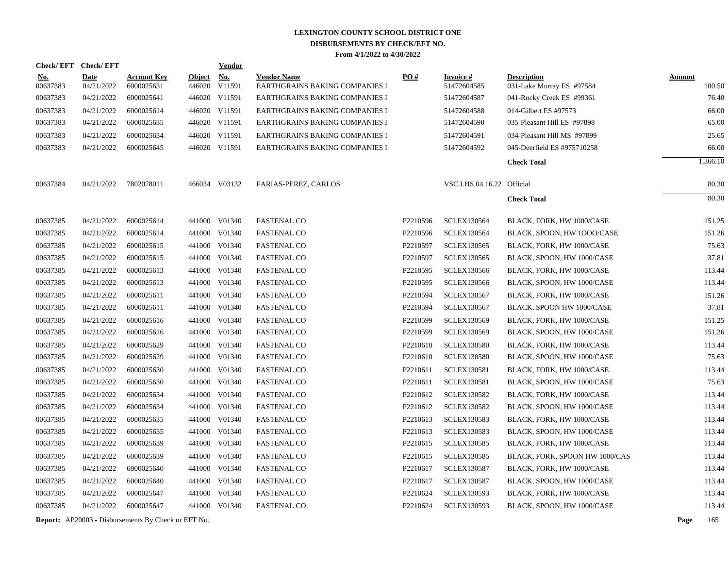| <b>Check/EFT</b>     | <b>Check/EFT</b>         |                                                            |                                | <u>Vendor</u> |                                                                  |          |                            |                                                        |               |                 |
|----------------------|--------------------------|------------------------------------------------------------|--------------------------------|---------------|------------------------------------------------------------------|----------|----------------------------|--------------------------------------------------------|---------------|-----------------|
| <u>No.</u>           | <b>Date</b>              | <b>Account Key</b>                                         | <b>Object</b>                  | <b>No.</b>    | <b>Vendor Name</b>                                               | PO#      | <b>Invoice#</b>            | <b>Description</b>                                     | <b>Amount</b> |                 |
| 00637383<br>00637383 | 04/21/2022<br>04/21/2022 | 6000025631<br>6000025641                                   | 446020 V11591<br>446020 V11591 |               | EARTHGRAINS BAKING COMPANIES I<br>EARTHGRAINS BAKING COMPANIES I |          | 51472604585<br>51472604587 | 031-Lake Murray ES #97584<br>041-Rocky Creek ES #99361 |               | 100.50<br>76.40 |
|                      |                          |                                                            | 446020 V11591                  |               |                                                                  |          |                            |                                                        |               | 66.00           |
| 00637383<br>00637383 | 04/21/2022<br>04/21/2022 | 6000025614<br>6000025635                                   | 446020 V11591                  |               | EARTHGRAINS BAKING COMPANIES I<br>EARTHGRAINS BAKING COMPANIES I |          | 51472604588<br>51472604590 | 014-Gilbert ES #97573<br>035-Pleasant Hill ES #97898   |               | 65.00           |
|                      |                          |                                                            |                                |               |                                                                  |          |                            |                                                        |               |                 |
| 00637383             | 04/21/2022<br>04/21/2022 | 6000025634<br>6000025645                                   | 446020 V11591<br>446020 V11591 |               | <b>EARTHGRAINS BAKING COMPANIES I</b>                            |          | 51472604591<br>51472604592 | 034-Pleasant Hill MS #97899                            |               | 25.65           |
| 00637383             |                          |                                                            |                                |               | EARTHGRAINS BAKING COMPANIES I                                   |          |                            | 045-Deerfield ES #975710258                            |               | 66.00           |
|                      |                          |                                                            |                                |               |                                                                  |          |                            | <b>Check Total</b>                                     |               | 1,366.10        |
| 00637384             | 04/21/2022               | 7802078011                                                 |                                | 466034 V03132 | <b>FARIAS-PEREZ, CARLOS</b>                                      |          | VSC.LHS.04.16.22 Official  |                                                        |               | 80.30           |
|                      |                          |                                                            |                                |               |                                                                  |          |                            | <b>Check Total</b>                                     |               | 80.30           |
|                      |                          |                                                            |                                |               |                                                                  |          |                            |                                                        |               |                 |
| 00637385             | 04/21/2022               | 6000025614                                                 |                                | 441000 V01340 | <b>FASTENAL CO</b>                                               | P2210596 | <b>SCLEX130564</b>         | BLACK, FORK, HW 1000/CASE                              |               | 151.25          |
| 00637385             | 04/21/2022               | 6000025614                                                 |                                | 441000 V01340 | <b>FASTENAL CO</b>                                               | P2210596 | <b>SCLEX130564</b>         | BLACK, SPOON, HW 1000/CASE                             |               | 151.26          |
| 00637385             | 04/21/2022               | 6000025615                                                 |                                | 441000 V01340 | <b>FASTENAL CO</b>                                               | P2210597 | <b>SCLEX130565</b>         | BLACK, FORK, HW 1000/CASE                              |               | 75.63           |
| 00637385             | 04/21/2022               | 6000025615                                                 |                                | 441000 V01340 | <b>FASTENAL CO</b>                                               | P2210597 | <b>SCLEX130565</b>         | BLACK, SPOON, HW 1000/CASE                             |               | 37.81           |
| 00637385             | 04/21/2022               | 6000025613                                                 |                                | 441000 V01340 | <b>FASTENAL CO</b>                                               | P2210595 | <b>SCLEX130566</b>         | BLACK, FORK, HW 1000/CASE                              |               | 113.44          |
| 00637385             | 04/21/2022               | 6000025613                                                 |                                | 441000 V01340 | <b>FASTENAL CO</b>                                               | P2210595 | <b>SCLEX130566</b>         | BLACK, SPOON, HW 1000/CASE                             |               | 113.44          |
| 00637385             | 04/21/2022               | 6000025611                                                 |                                | 441000 V01340 | <b>FASTENAL CO</b>                                               | P2210594 | <b>SCLEX130567</b>         | BLACK, FORK, HW 1000/CASE                              |               | 151.26          |
| 00637385             | 04/21/2022               | 6000025611                                                 |                                | 441000 V01340 | <b>FASTENAL CO</b>                                               | P2210594 | <b>SCLEX130567</b>         | BLACK, SPOON HW 1000/CASE                              |               | 37.81           |
| 00637385             | 04/21/2022               | 6000025616                                                 |                                | 441000 V01340 | <b>FASTENAL CO</b>                                               | P2210599 | <b>SCLEX130569</b>         | BLACK, FORK, HW 1000/CASE                              |               | 151.25          |
| 00637385             | 04/21/2022               | 6000025616                                                 |                                | 441000 V01340 | <b>FASTENAL CO</b>                                               | P2210599 | <b>SCLEX130569</b>         | BLACK, SPOON, HW 1000/CASE                             |               | 151.26          |
| 00637385             | 04/21/2022               | 6000025629                                                 |                                | 441000 V01340 | <b>FASTENAL CO</b>                                               | P2210610 | <b>SCLEX130580</b>         | BLACK, FORK, HW 1000/CASE                              |               | 113.44          |
| 00637385             | 04/21/2022               | 6000025629                                                 |                                | 441000 V01340 | <b>FASTENAL CO</b>                                               | P2210610 | <b>SCLEX130580</b>         | BLACK, SPOON, HW 1000/CASE                             |               | 75.63           |
| 00637385             | 04/21/2022               | 6000025630                                                 |                                | 441000 V01340 | <b>FASTENAL CO</b>                                               | P2210611 | <b>SCLEX130581</b>         | BLACK, FORK, HW 1000/CASE                              |               | 113.44          |
| 00637385             | 04/21/2022               | 6000025630                                                 |                                | 441000 V01340 | <b>FASTENAL CO</b>                                               | P2210611 | <b>SCLEX130581</b>         | BLACK, SPOON, HW 1000/CASE                             |               | 75.63           |
| 00637385             | 04/21/2022               | 6000025634                                                 |                                | 441000 V01340 | <b>FASTENAL CO</b>                                               | P2210612 | <b>SCLEX130582</b>         | BLACK, FORK, HW 1000/CASE                              |               | 113.44          |
| 00637385             | 04/21/2022               | 6000025634                                                 |                                | 441000 V01340 | <b>FASTENAL CO</b>                                               | P2210612 | <b>SCLEX130582</b>         | BLACK, SPOON, HW 1000/CASE                             |               | 113.44          |
| 00637385             | 04/21/2022               | 6000025635                                                 |                                | 441000 V01340 | <b>FASTENAL CO</b>                                               | P2210613 | <b>SCLEX130583</b>         | BLACK, FORK, HW 1000/CASE                              |               | 113.44          |
| 00637385             | 04/21/2022               | 6000025635                                                 |                                | 441000 V01340 | <b>FASTENAL CO</b>                                               | P2210613 | <b>SCLEX130583</b>         | BLACK, SPOON, HW 1000/CASE                             |               | 113.44          |
| 00637385             | 04/21/2022               | 6000025639                                                 |                                | 441000 V01340 | <b>FASTENAL CO</b>                                               | P2210615 | <b>SCLEX130585</b>         | BLACK, FORK, HW 1000/CASE                              |               | 113.44          |
| 00637385             | 04/21/2022               | 6000025639                                                 |                                | 441000 V01340 | <b>FASTENAL CO</b>                                               | P2210615 | <b>SCLEX130585</b>         | BLACK, FORK, SPOON HW 1000/CAS                         |               | 113.44          |
| 00637385             | 04/21/2022               | 6000025640                                                 |                                | 441000 V01340 | <b>FASTENAL CO</b>                                               | P2210617 | <b>SCLEX130587</b>         | BLACK, FORK, HW 1000/CASE                              |               | 113.44          |
| 00637385             | 04/21/2022               | 6000025640                                                 |                                | 441000 V01340 | <b>FASTENAL CO</b>                                               | P2210617 | <b>SCLEX130587</b>         | BLACK, SPOON, HW 1000/CASE                             |               | 113.44          |
| 00637385             | 04/21/2022               | 6000025647                                                 |                                | 441000 V01340 | <b>FASTENAL CO</b>                                               | P2210624 | <b>SCLEX130593</b>         | BLACK, FORK, HW 1000/CASE                              |               | 113.44          |
| 00637385             | 04/21/2022               | 6000025647                                                 |                                | 441000 V01340 | <b>FASTENAL CO</b>                                               | P2210624 | <b>SCLEX130593</b>         | BLACK, SPOON, HW 1000/CASE                             |               | 113.44          |
|                      |                          | <b>Report:</b> AP20003 - Disbursements By Check or EFT No. |                                |               |                                                                  |          |                            |                                                        | Page          | 165             |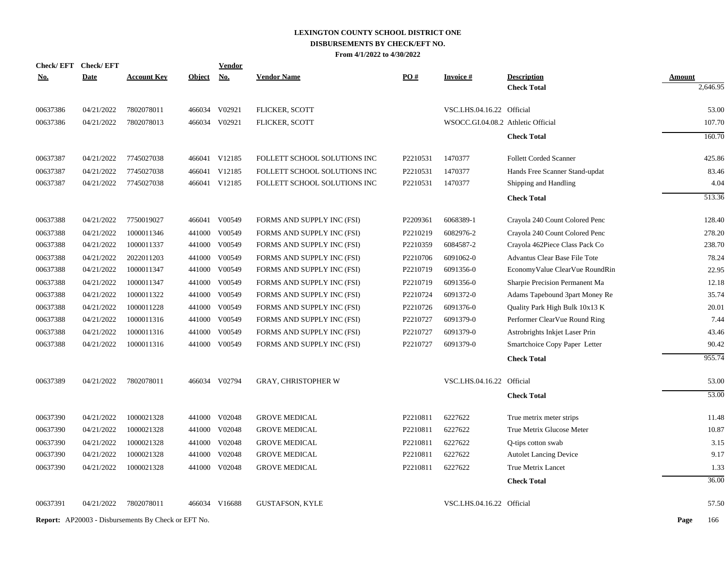| <b>Check/EFT</b> | <b>Check/EFT</b> |                                                            |               | <u>Vendor</u> |                              |          |                                    |                                |               |          |
|------------------|------------------|------------------------------------------------------------|---------------|---------------|------------------------------|----------|------------------------------------|--------------------------------|---------------|----------|
| <u>No.</u>       | <b>Date</b>      | <b>Account Key</b>                                         | <b>Object</b> | <b>No.</b>    | <b>Vendor Name</b>           | PO#      | <b>Invoice#</b>                    | <b>Description</b>             | <b>Amount</b> |          |
|                  |                  |                                                            |               |               |                              |          |                                    | <b>Check Total</b>             |               | 2,646.95 |
| 00637386         | 04/21/2022       | 7802078011                                                 |               | 466034 V02921 | FLICKER, SCOTT               |          | VSC.LHS.04.16.22 Official          |                                |               | 53.00    |
| 00637386         | 04/21/2022       | 7802078013                                                 |               | 466034 V02921 | <b>FLICKER, SCOTT</b>        |          | WSOCC.GI.04.08.2 Athletic Official |                                |               | 107.70   |
|                  |                  |                                                            |               |               |                              |          |                                    | <b>Check Total</b>             |               | 160.70   |
| 00637387         | 04/21/2022       | 7745027038                                                 |               | 466041 V12185 | FOLLETT SCHOOL SOLUTIONS INC | P2210531 | 1470377                            | <b>Follett Corded Scanner</b>  |               | 425.86   |
| 00637387         | 04/21/2022       | 7745027038                                                 | 466041        | V12185        | FOLLETT SCHOOL SOLUTIONS INC | P2210531 | 1470377                            | Hands Free Scanner Stand-updat |               | 83.46    |
| 00637387         | 04/21/2022       | 7745027038                                                 |               | 466041 V12185 | FOLLETT SCHOOL SOLUTIONS INC | P2210531 | 1470377                            | Shipping and Handling          |               | 4.04     |
|                  |                  |                                                            |               |               |                              |          |                                    | <b>Check Total</b>             |               | 513.36   |
| 00637388         | 04/21/2022       | 7750019027                                                 |               | 466041 V00549 | FORMS AND SUPPLY INC (FSI)   | P2209361 | 6068389-1                          | Crayola 240 Count Colored Penc |               | 128.40   |
| 00637388         | 04/21/2022       | 1000011346                                                 |               | 441000 V00549 | FORMS AND SUPPLY INC (FSI)   | P2210219 | 6082976-2                          | Crayola 240 Count Colored Penc |               | 278.20   |
| 00637388         | 04/21/2022       | 1000011337                                                 |               | 441000 V00549 | FORMS AND SUPPLY INC (FSI)   | P2210359 | 6084587-2                          | Crayola 462Piece Class Pack Co |               | 238.70   |
| 00637388         | 04/21/2022       | 2022011203                                                 | 441000        | V00549        | FORMS AND SUPPLY INC (FSI)   | P2210706 | 6091062-0                          | Advantus Clear Base File Tote  |               | 78.24    |
| 00637388         | 04/21/2022       | 1000011347                                                 |               | 441000 V00549 | FORMS AND SUPPLY INC (FSI)   | P2210719 | 6091356-0                          | EconomyValue ClearVue RoundRin |               | 22.95    |
| 00637388         | 04/21/2022       | 1000011347                                                 | 441000        | V00549        | FORMS AND SUPPLY INC (FSI)   | P2210719 | 6091356-0                          | Sharpie Precision Permanent Ma |               | 12.18    |
| 00637388         | 04/21/2022       | 1000011322                                                 |               | 441000 V00549 | FORMS AND SUPPLY INC (FSI)   | P2210724 | 6091372-0                          | Adams Tapebound 3part Money Re |               | 35.74    |
| 00637388         | 04/21/2022       | 1000011228                                                 |               | 441000 V00549 | FORMS AND SUPPLY INC (FSI)   | P2210726 | 6091376-0                          | Quality Park High Bulk 10x13 K |               | 20.01    |
| 00637388         | 04/21/2022       | 1000011316                                                 |               | 441000 V00549 | FORMS AND SUPPLY INC (FSI)   | P2210727 | 6091379-0                          | Performer ClearVue Round Ring  |               | 7.44     |
| 00637388         | 04/21/2022       | 1000011316                                                 |               | 441000 V00549 | FORMS AND SUPPLY INC (FSI)   | P2210727 | 6091379-0                          | Astrobrights Inkjet Laser Prin |               | 43.46    |
| 00637388         | 04/21/2022       | 1000011316                                                 |               | 441000 V00549 | FORMS AND SUPPLY INC (FSI)   | P2210727 | 6091379-0                          | Smartchoice Copy Paper Letter  |               | 90.42    |
|                  |                  |                                                            |               |               |                              |          |                                    | <b>Check Total</b>             |               | 955.74   |
| 00637389         | 04/21/2022       | 7802078011                                                 |               | 466034 V02794 | <b>GRAY, CHRISTOPHER W</b>   |          | VSC.LHS.04.16.22 Official          |                                |               | 53.00    |
|                  |                  |                                                            |               |               |                              |          |                                    | <b>Check Total</b>             |               | 53.00    |
| 00637390         | 04/21/2022       | 1000021328                                                 |               | 441000 V02048 | <b>GROVE MEDICAL</b>         | P2210811 | 6227622                            | True metrix meter strips       |               | 11.48    |
| 00637390         | 04/21/2022       | 1000021328                                                 |               | 441000 V02048 | <b>GROVE MEDICAL</b>         | P2210811 | 6227622                            | True Metrix Glucose Meter      |               | 10.87    |
| 00637390         | 04/21/2022       | 1000021328                                                 |               | 441000 V02048 | <b>GROVE MEDICAL</b>         | P2210811 | 6227622                            | Q-tips cotton swab             |               | 3.15     |
| 00637390         | 04/21/2022       | 1000021328                                                 |               | 441000 V02048 | <b>GROVE MEDICAL</b>         | P2210811 | 6227622                            | <b>Autolet Lancing Device</b>  |               | 9.17     |
| 00637390         | 04/21/2022       | 1000021328                                                 |               | 441000 V02048 | <b>GROVE MEDICAL</b>         | P2210811 | 6227622                            | True Metrix Lancet             |               | 1.33     |
|                  |                  |                                                            |               |               |                              |          |                                    | <b>Check Total</b>             |               | 36.00    |
| 00637391         | 04/21/2022       | 7802078011                                                 |               | 466034 V16688 | <b>GUSTAFSON, KYLE</b>       |          | VSC.LHS.04.16.22 Official          |                                |               | 57.50    |
|                  |                  | <b>Report:</b> AP20003 - Disbursements By Check or EFT No. |               |               |                              |          |                                    |                                | Page          | 166      |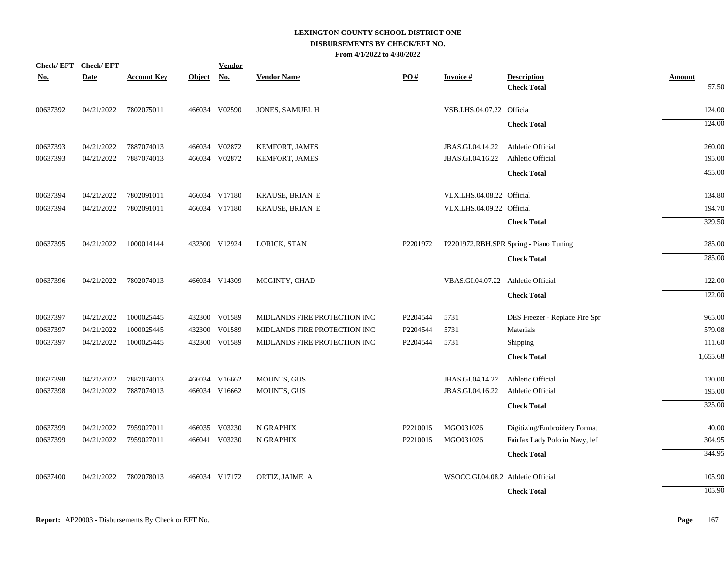| <b>Check/EFT</b> | <b>Check/EFT</b> |                    |               | <b>Vendor</b> |                              |          |                                    |                                          |                        |
|------------------|------------------|--------------------|---------------|---------------|------------------------------|----------|------------------------------------|------------------------------------------|------------------------|
| <u>No.</u>       | <b>Date</b>      | <b>Account Key</b> | <b>Object</b> | <u>No.</u>    | <b>Vendor Name</b>           | PO#      | Invoice #                          | <b>Description</b><br><b>Check Total</b> | <b>Amount</b><br>57.50 |
|                  |                  |                    |               |               |                              |          |                                    |                                          |                        |
| 00637392         | 04/21/2022       | 7802075011         |               | 466034 V02590 | JONES, SAMUEL H              |          | VSB.LHS.04.07.22 Official          |                                          | 124.00                 |
|                  |                  |                    |               |               |                              |          |                                    | <b>Check Total</b>                       | 124.00                 |
| 00637393         | 04/21/2022       | 7887074013         |               | 466034 V02872 | KEMFORT, JAMES               |          | JBAS.GI.04.14.22                   | Athletic Official                        | 260.00                 |
| 00637393         | 04/21/2022       | 7887074013         |               | 466034 V02872 | KEMFORT, JAMES               |          | JBAS.GI.04.16.22                   | Athletic Official                        | 195.00                 |
|                  |                  |                    |               |               |                              |          |                                    | <b>Check Total</b>                       | 455.00                 |
| 00637394         | 04/21/2022       | 7802091011         |               | 466034 V17180 | KRAUSE, BRIAN E              |          | VLX.LHS.04.08.22 Official          |                                          | 134.80                 |
| 00637394         | 04/21/2022       | 7802091011         |               | 466034 V17180 | KRAUSE, BRIAN E              |          | VLX.LHS.04.09.22 Official          |                                          | 194.70                 |
|                  |                  |                    |               |               |                              |          |                                    | <b>Check Total</b>                       | 329.50                 |
| 00637395         | 04/21/2022       | 1000014144         |               | 432300 V12924 | LORICK, STAN                 | P2201972 |                                    | P2201972.RBH.SPR Spring - Piano Tuning   | 285.00                 |
|                  |                  |                    |               |               |                              |          |                                    |                                          | 285.00                 |
|                  |                  |                    |               |               |                              |          |                                    | <b>Check Total</b>                       |                        |
| 00637396         | 04/21/2022       | 7802074013         |               | 466034 V14309 | MCGINTY, CHAD                |          | VBAS.GI.04.07.22 Athletic Official |                                          | 122.00                 |
|                  |                  |                    |               |               |                              |          |                                    | <b>Check Total</b>                       | 122.00                 |
| 00637397         | 04/21/2022       | 1000025445         |               | 432300 V01589 | MIDLANDS FIRE PROTECTION INC | P2204544 | 5731                               | DES Freezer - Replace Fire Spr           | 965.00                 |
| 00637397         | 04/21/2022       | 1000025445         |               | 432300 V01589 | MIDLANDS FIRE PROTECTION INC | P2204544 | 5731                               | Materials                                | 579.08                 |
| 00637397         | 04/21/2022       | 1000025445         |               | 432300 V01589 | MIDLANDS FIRE PROTECTION INC | P2204544 | 5731                               | Shipping                                 | 111.60                 |
|                  |                  |                    |               |               |                              |          |                                    | <b>Check Total</b>                       | 1,655.68               |
| 00637398         | 04/21/2022       | 7887074013         |               | 466034 V16662 | <b>MOUNTS, GUS</b>           |          | JBAS.GI.04.14.22                   | Athletic Official                        | 130.00                 |
| 00637398         | 04/21/2022       | 7887074013         |               | 466034 V16662 | <b>MOUNTS, GUS</b>           |          | JBAS.GI.04.16.22                   | Athletic Official                        | 195.00                 |
|                  |                  |                    |               |               |                              |          |                                    | <b>Check Total</b>                       | 325.00                 |
| 00637399         | 04/21/2022       | 7959027011         |               | 466035 V03230 | N GRAPHIX                    | P2210015 | MGO031026                          | Digitizing/Embroidery Format             | 40.00                  |
| 00637399         | 04/21/2022       | 7959027011         |               | 466041 V03230 | N GRAPHIX                    | P2210015 | MGO031026                          | Fairfax Lady Polo in Navy, lef           | 304.95                 |
|                  |                  |                    |               |               |                              |          |                                    | <b>Check Total</b>                       | 344.95                 |
| 00637400         | 04/21/2022       | 7802078013         |               | 466034 V17172 | ORTIZ, JAIME A               |          | WSOCC.GI.04.08.2 Athletic Official |                                          | 105.90                 |
|                  |                  |                    |               |               |                              |          |                                    | <b>Check Total</b>                       | 105.90                 |
|                  |                  |                    |               |               |                              |          |                                    |                                          |                        |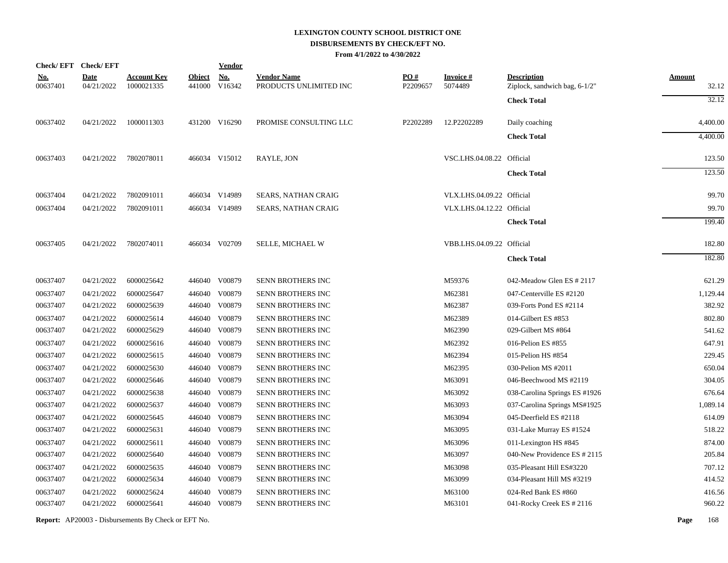|            | Check/EFT Check/EFT |                    |               | <b>Vendor</b> |                            |          |                           |                               |          |
|------------|---------------------|--------------------|---------------|---------------|----------------------------|----------|---------------------------|-------------------------------|----------|
| <u>No.</u> | <u>Date</u>         | <b>Account Key</b> | <b>Object</b> | <b>No.</b>    | <b>Vendor Name</b>         | PO#      | Invoice #                 | <b>Description</b>            | Amount   |
| 00637401   | 04/21/2022          | 1000021335         |               | 441000 V16342 | PRODUCTS UNLIMITED INC     | P2209657 | 5074489                   | Ziplock, sandwich bag, 6-1/2" | 32.12    |
|            |                     |                    |               |               |                            |          |                           | <b>Check Total</b>            | 32.12    |
| 00637402   | 04/21/2022          | 1000011303         |               | 431200 V16290 | PROMISE CONSULTING LLC     | P2202289 | 12.P2202289               | Daily coaching                | 4,400.00 |
|            |                     |                    |               |               |                            |          |                           | <b>Check Total</b>            | 4,400.00 |
| 00637403   | 04/21/2022          | 7802078011         |               | 466034 V15012 | RAYLE, JON                 |          | VSC.LHS.04.08.22 Official |                               | 123.50   |
|            |                     |                    |               |               |                            |          |                           | <b>Check Total</b>            | 123.50   |
| 00637404   | 04/21/2022          | 7802091011         |               | 466034 V14989 | <b>SEARS, NATHAN CRAIG</b> |          | VLX.LHS.04.09.22 Official |                               | 99.70    |
| 00637404   | 04/21/2022          | 7802091011         |               | 466034 V14989 | <b>SEARS, NATHAN CRAIG</b> |          | VLX.LHS.04.12.22 Official |                               | 99.70    |
|            |                     |                    |               |               |                            |          |                           | <b>Check Total</b>            | 199.40   |
| 00637405   | 04/21/2022          | 7802074011         |               | 466034 V02709 | <b>SELLE, MICHAEL W</b>    |          | VBB.LHS.04.09.22 Official |                               | 182.80   |
|            |                     |                    |               |               |                            |          |                           | <b>Check Total</b>            | 182.80   |
| 00637407   | 04/21/2022          | 6000025642         |               | 446040 V00879 | SENN BROTHERS INC          |          | M59376                    | 042-Meadow Glen ES # 2117     | 621.29   |
| 00637407   | 04/21/2022          | 6000025647         |               | 446040 V00879 | <b>SENN BROTHERS INC</b>   |          | M62381                    | 047-Centerville ES #2120      | 1,129.44 |
| 00637407   | 04/21/2022          | 6000025639         | 446040        | V00879        | SENN BROTHERS INC          |          | M62387                    | 039-Forts Pond ES #2114       | 382.92   |
| 00637407   | 04/21/2022          | 6000025614         |               | 446040 V00879 | SENN BROTHERS INC          |          | M62389                    | 014-Gilbert ES #853           | 802.80   |
| 00637407   | 04/21/2022          | 6000025629         |               | 446040 V00879 | SENN BROTHERS INC          |          | M62390                    | 029-Gilbert MS #864           | 541.62   |
| 00637407   | 04/21/2022          | 6000025616         |               | 446040 V00879 | SENN BROTHERS INC          |          | M62392                    | 016-Pelion ES #855            | 647.91   |
| 00637407   | 04/21/2022          | 6000025615         |               | 446040 V00879 | SENN BROTHERS INC          |          | M62394                    | 015-Pelion HS #854            | 229.45   |
| 00637407   | 04/21/2022          | 6000025630         |               | 446040 V00879 | SENN BROTHERS INC          |          | M62395                    | 030-Pelion MS #2011           | 650.04   |
| 00637407   | 04/21/2022          | 6000025646         |               | 446040 V00879 | SENN BROTHERS INC          |          | M63091                    | 046-Beechwood MS #2119        | 304.05   |
| 00637407   | 04/21/2022          | 6000025638         | 446040        | V00879        | SENN BROTHERS INC          |          | M63092                    | 038-Carolina Springs ES #1926 | 676.64   |
| 00637407   | 04/21/2022          | 6000025637         |               | 446040 V00879 | <b>SENN BROTHERS INC</b>   |          | M63093                    | 037-Carolina Springs MS#1925  | 1,089.14 |
| 00637407   | 04/21/2022          | 6000025645         | 446040        | V00879        | SENN BROTHERS INC          |          | M63094                    | 045-Deerfield ES #2118        | 614.09   |
| 00637407   | 04/21/2022          | 6000025631         | 446040        | V00879        | SENN BROTHERS INC          |          | M63095                    | 031-Lake Murray ES #1524      | 518.22   |
| 00637407   | 04/21/2022          | 6000025611         | 446040        | V00879        | <b>SENN BROTHERS INC</b>   |          | M63096                    | 011-Lexington HS #845         | 874.00   |
| 00637407   | 04/21/2022          | 6000025640         | 446040        | V00879        | SENN BROTHERS INC          |          | M63097                    | 040-New Providence ES # 2115  | 205.84   |
| 00637407   | 04/21/2022          | 6000025635         |               | 446040 V00879 | <b>SENN BROTHERS INC</b>   |          | M63098                    | 035-Pleasant Hill ES#3220     | 707.12   |
| 00637407   | 04/21/2022          | 6000025634         |               | 446040 V00879 | <b>SENN BROTHERS INC</b>   |          | M63099                    | 034-Pleasant Hill MS #3219    | 414.52   |
| 00637407   | 04/21/2022          | 6000025624         | 446040        | V00879        | <b>SENN BROTHERS INC</b>   |          | M63100                    | 024-Red Bank ES #860          | 416.56   |
| 00637407   | 04/21/2022          | 6000025641         |               | 446040 V00879 | SENN BROTHERS INC          |          | M63101                    | 041-Rocky Creek ES # 2116     | 960.22   |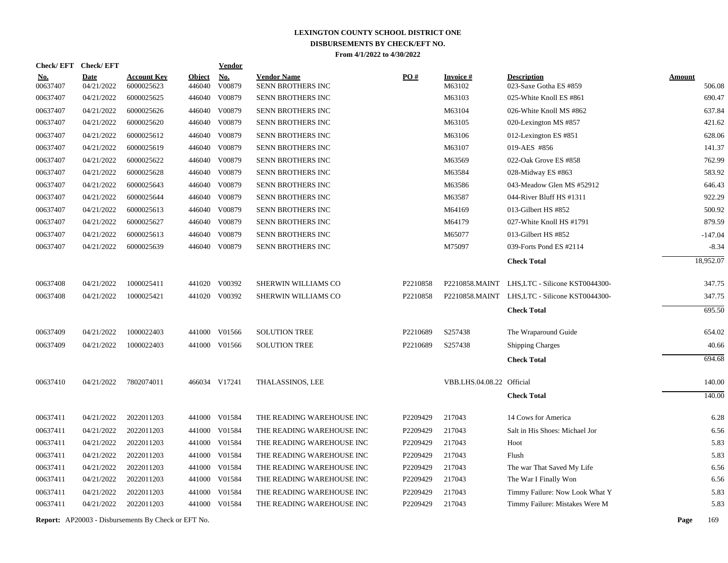| Check/EFT Check/EFT    |                           |                                  |                         | <b>Vendor</b>        |                                         |          |                           |                                              |                         |
|------------------------|---------------------------|----------------------------------|-------------------------|----------------------|-----------------------------------------|----------|---------------------------|----------------------------------------------|-------------------------|
| <u>No.</u><br>00637407 | <b>Date</b><br>04/21/2022 | <u>Account Key</u><br>6000025623 | <b>Object</b><br>446040 | <u>No.</u><br>V00879 | <b>Vendor Name</b><br>SENN BROTHERS INC | PO#      | <b>Invoice#</b><br>M63102 | <b>Description</b><br>023-Saxe Gotha ES #859 | <b>Amount</b><br>506.08 |
| 00637407               | 04/21/2022                | 6000025625                       |                         | 446040 V00879        | <b>SENN BROTHERS INC</b>                |          | M63103                    | 025-White Knoll ES #861                      | 690.47                  |
| 00637407               | 04/21/2022                | 6000025626                       | 446040                  | V00879               | SENN BROTHERS INC                       |          | M63104                    | 026-White Knoll MS #862                      | 637.84                  |
| 00637407               | 04/21/2022                | 6000025620                       | 446040                  | V00879               | SENN BROTHERS INC                       |          | M63105                    | 020-Lexington MS #857                        | 421.62                  |
| 00637407               | 04/21/2022                | 6000025612                       | 446040                  | V00879               | SENN BROTHERS INC                       |          | M63106                    | 012-Lexington ES #851                        | 628.06                  |
| 00637407               | 04/21/2022                | 6000025619                       | 446040                  | V00879               | SENN BROTHERS INC                       |          | M63107                    | 019-AES #856                                 | 141.37                  |
| 00637407               | 04/21/2022                | 6000025622                       | 446040                  | V00879               | <b>SENN BROTHERS INC</b>                |          | M63569                    | 022-Oak Grove ES #858                        | 762.99                  |
| 00637407               | 04/21/2022                | 6000025628                       | 446040                  | V00879               | SENN BROTHERS INC                       |          | M63584                    | 028-Midway ES #863                           | 583.92                  |
| 00637407               | 04/21/2022                | 6000025643                       | 446040                  | V00879               | SENN BROTHERS INC                       |          | M63586                    | 043-Meadow Glen MS #52912                    | 646.43                  |
| 00637407               | 04/21/2022                | 6000025644                       |                         | 446040 V00879        | SENN BROTHERS INC                       |          | M63587                    | 044-River Bluff HS #1311                     | 922.29                  |
| 00637407               | 04/21/2022                | 6000025613                       |                         | 446040 V00879        | SENN BROTHERS INC                       |          | M64169                    | 013-Gilbert HS #852                          | 500.92                  |
| 00637407               | 04/21/2022                | 6000025627                       |                         | 446040 V00879        | SENN BROTHERS INC                       |          | M64179                    | 027-White Knoll HS #1791                     | 879.59                  |
| 00637407               | 04/21/2022                | 6000025613                       | 446040                  | V00879               | SENN BROTHERS INC                       |          | M65077                    | 013-Gilbert HS #852                          | $-147.04$               |
| 00637407               | 04/21/2022                | 6000025639                       |                         | 446040 V00879        | SENN BROTHERS INC                       |          | M75097                    | 039-Forts Pond ES #2114                      | $-8.34$                 |
|                        |                           |                                  |                         |                      |                                         |          |                           | <b>Check Total</b>                           | 18.952.07               |
| 00637408               | 04/21/2022                | 1000025411                       |                         | 441020 V00392        | SHERWIN WILLIAMS CO                     | P2210858 | P2210858.MAINT            | LHS,LTC - Silicone KST0044300-               | 347.75                  |
| 00637408               | 04/21/2022                | 1000025421                       |                         | 441020 V00392        | SHERWIN WILLIAMS CO                     | P2210858 | P2210858.MAINT            | LHS,LTC - Silicone KST0044300-               | 347.75                  |
|                        |                           |                                  |                         |                      |                                         |          |                           | <b>Check Total</b>                           | 695.50                  |
| 00637409               | 04/21/2022                | 1000022403                       |                         | 441000 V01566        | <b>SOLUTION TREE</b>                    | P2210689 | S257438                   | The Wraparound Guide                         | 654.02                  |
| 00637409               | 04/21/2022                | 1000022403                       |                         | 441000 V01566        | <b>SOLUTION TREE</b>                    | P2210689 | S257438                   | <b>Shipping Charges</b>                      | 40.66                   |
|                        |                           |                                  |                         |                      |                                         |          |                           | <b>Check Total</b>                           | 694.68                  |
| 00637410               | 04/21/2022                | 7802074011                       |                         | 466034 V17241        | THALASSINOS, LEE                        |          | VBB.LHS.04.08.22 Official |                                              | 140.00                  |
|                        |                           |                                  |                         |                      |                                         |          |                           | <b>Check Total</b>                           | 140.00                  |
| 00637411               | 04/21/2022                | 2022011203                       |                         | 441000 V01584        | THE READING WAREHOUSE INC               | P2209429 | 217043                    | 14 Cows for America                          | 6.28                    |
| 00637411               | 04/21/2022                | 2022011203                       |                         | 441000 V01584        | THE READING WAREHOUSE INC               | P2209429 | 217043                    | Salt in His Shoes: Michael Jor               | 6.56                    |
| 00637411               | 04/21/2022                | 2022011203                       |                         | 441000 V01584        | THE READING WAREHOUSE INC               | P2209429 | 217043                    | Hoot                                         | 5.83                    |
| 00637411               | 04/21/2022                | 2022011203                       |                         | 441000 V01584        | THE READING WAREHOUSE INC               | P2209429 | 217043                    | Flush                                        | 5.83                    |
| 00637411               | 04/21/2022                | 2022011203                       | 441000                  | V01584               | THE READING WAREHOUSE INC               | P2209429 | 217043                    | The war That Saved My Life                   | 6.56                    |
| 00637411               | 04/21/2022                | 2022011203                       | 441000                  | V01584               | THE READING WAREHOUSE INC               | P2209429 | 217043                    | The War I Finally Won                        | 6.56                    |
| 00637411               | 04/21/2022                | 2022011203                       | 441000                  | V01584               | THE READING WAREHOUSE INC               | P2209429 | 217043                    | Timmy Failure: Now Look What Y               | 5.83                    |
| 00637411               | 04/21/2022                | 2022011203                       |                         | 441000 V01584        | THE READING WAREHOUSE INC               | P2209429 | 217043                    | Timmy Failure: Mistakes Were M               | 5.83                    |
|                        |                           |                                  |                         |                      |                                         |          |                           |                                              |                         |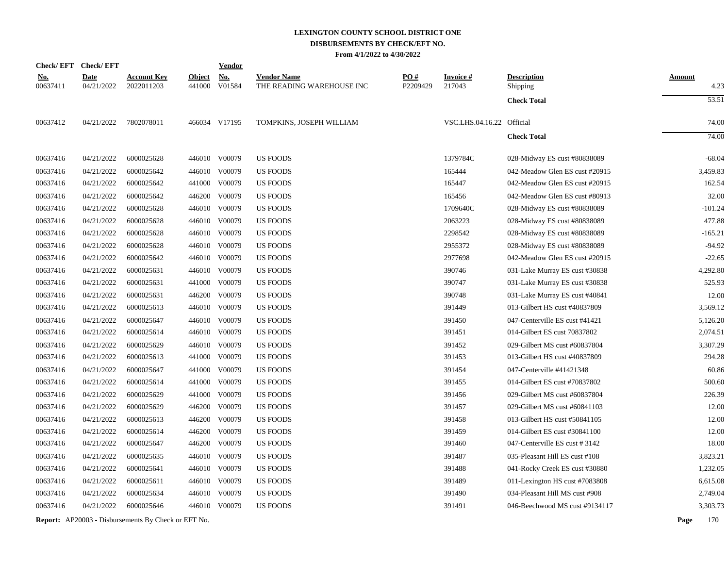|                        | Check/EFT Check/EFT       |                                                            |                         | <b>Vendor</b>        |                                                 |                 |                           |                                       |                       |
|------------------------|---------------------------|------------------------------------------------------------|-------------------------|----------------------|-------------------------------------------------|-----------------|---------------------------|---------------------------------------|-----------------------|
| <u>No.</u><br>00637411 | <b>Date</b><br>04/21/2022 | <b>Account Key</b><br>2022011203                           | <b>Object</b><br>441000 | <b>No.</b><br>V01584 | <b>Vendor Name</b><br>THE READING WAREHOUSE INC | PO#<br>P2209429 | <b>Invoice#</b><br>217043 | <b>Description</b><br><b>Shipping</b> | <b>Amount</b><br>4.23 |
|                        |                           |                                                            |                         |                      |                                                 |                 |                           | <b>Check Total</b>                    | 53.51                 |
| 00637412               | 04/21/2022                | 7802078011                                                 |                         | 466034 V17195        | TOMPKINS, JOSEPH WILLIAM                        |                 | VSC.LHS.04.16.22 Official |                                       | 74.00                 |
|                        |                           |                                                            |                         |                      |                                                 |                 |                           | <b>Check Total</b>                    | 74.00                 |
| 00637416               | 04/21/2022                | 6000025628                                                 |                         | 446010 V00079        | <b>US FOODS</b>                                 |                 | 1379784C                  | 028-Midway ES cust #80838089          | $-68.04$              |
| 00637416               | 04/21/2022                | 6000025642                                                 | 446010                  | V00079               | <b>US FOODS</b>                                 |                 | 165444                    | 042-Meadow Glen ES cust #20915        | 3,459.83              |
| 00637416               | 04/21/2022                | 6000025642                                                 |                         | 441000 V00079        | <b>US FOODS</b>                                 |                 | 165447                    | 042-Meadow Glen ES cust #20915        | 162.54                |
| 00637416               | 04/21/2022                | 6000025642                                                 | 446200                  | V00079               | <b>US FOODS</b>                                 |                 | 165456                    | 042-Meadow Glen ES cust #80913        | 32.00                 |
| 00637416               | 04/21/2022                | 6000025628                                                 |                         | 446010 V00079        | <b>US FOODS</b>                                 |                 | 1709640C                  | 028-Midway ES cust #80838089          | $-101.24$             |
| 00637416               | 04/21/2022                | 6000025628                                                 |                         | 446010 V00079        | US FOODS                                        |                 | 2063223                   | 028-Midway ES cust #80838089          | 477.88                |
| 00637416               | 04/21/2022                | 6000025628                                                 |                         | 446010 V00079        | <b>US FOODS</b>                                 |                 | 2298542                   | 028-Midway ES cust #80838089          | $-165.21$             |
| 00637416               | 04/21/2022                | 6000025628                                                 |                         | 446010 V00079        | <b>US FOODS</b>                                 |                 | 2955372                   | 028-Midway ES cust #80838089          | $-94.92$              |
| 00637416               | 04/21/2022                | 6000025642                                                 |                         | 446010 V00079        | <b>US FOODS</b>                                 |                 | 2977698                   | 042-Meadow Glen ES cust #20915        | $-22.65$              |
| 00637416               | 04/21/2022                | 6000025631                                                 |                         | 446010 V00079        | <b>US FOODS</b>                                 |                 | 390746                    | 031-Lake Murray ES cust #30838        | 4,292.80              |
| 00637416               | 04/21/2022                | 6000025631                                                 |                         | 441000 V00079        | <b>US FOODS</b>                                 |                 | 390747                    | 031-Lake Murray ES cust #30838        | 525.93                |
| 00637416               | 04/21/2022                | 6000025631                                                 | 446200                  | V00079               | <b>US FOODS</b>                                 |                 | 390748                    | 031-Lake Murray ES cust #40841        | 12.00                 |
| 00637416               | 04/21/2022                | 6000025613                                                 |                         | 446010 V00079        | <b>US FOODS</b>                                 |                 | 391449                    | 013-Gilbert HS cust #40837809         | 3,569.12              |
| 00637416               | 04/21/2022                | 6000025647                                                 |                         | 446010 V00079        | <b>US FOODS</b>                                 |                 | 391450                    | 047-Centerville ES cust #41421        | 5,126.20              |
| 00637416               | 04/21/2022                | 6000025614                                                 |                         | 446010 V00079        | <b>US FOODS</b>                                 |                 | 391451                    | 014-Gilbert ES cust 70837802          | 2,074.51              |
| 00637416               | 04/21/2022                | 6000025629                                                 | 446010                  | V00079               | US FOODS                                        |                 | 391452                    | 029-Gilbert MS cust #60837804         | 3,307.29              |
| 00637416               | 04/21/2022                | 6000025613                                                 |                         | 441000 V00079        | <b>US FOODS</b>                                 |                 | 391453                    | 013-Gilbert HS cust #40837809         | 294.28                |
| 00637416               | 04/21/2022                | 6000025647                                                 | 441000                  | V00079               | <b>US FOODS</b>                                 |                 | 391454                    | 047-Centerville #41421348             | 60.86                 |
| 00637416               | 04/21/2022                | 6000025614                                                 |                         | 441000 V00079        | <b>US FOODS</b>                                 |                 | 391455                    | 014-Gilbert ES cust #70837802         | 500.60                |
| 00637416               | 04/21/2022                | 6000025629                                                 | 441000                  | V00079               | US FOODS                                        |                 | 391456                    | 029-Gilbert MS cust #60837804         | 226.39                |
| 00637416               | 04/21/2022                | 6000025629                                                 | 446200                  | V00079               | <b>US FOODS</b>                                 |                 | 391457                    | 029-Gilbert MS cust #60841103         | 12.00                 |
| 00637416               | 04/21/2022                | 6000025613                                                 | 446200                  | V00079               | <b>US FOODS</b>                                 |                 | 391458                    | 013-Gilbert HS cust #50841105         | 12.00                 |
| 00637416               | 04/21/2022                | 6000025614                                                 | 446200                  | V00079               | <b>US FOODS</b>                                 |                 | 391459                    | 014-Gilbert ES cust #30841100         | 12.00                 |
| 00637416               | 04/21/2022                | 6000025647                                                 | 446200                  | V00079               | <b>US FOODS</b>                                 |                 | 391460                    | 047-Centerville ES cust #3142         | 18.00                 |
| 00637416               | 04/21/2022                | 6000025635                                                 | 446010                  | V00079               | <b>US FOODS</b>                                 |                 | 391487                    | 035-Pleasant Hill ES cust #108        | 3,823.21              |
| 00637416               | 04/21/2022                | 6000025641                                                 |                         | 446010 V00079        | <b>US FOODS</b>                                 |                 | 391488                    | 041-Rocky Creek ES cust #30880        | 1,232.05              |
| 00637416               | 04/21/2022                | 6000025611                                                 | 446010                  | V00079               | US FOODS                                        |                 | 391489                    | 011-Lexington HS cust #7083808        | 6,615.08              |
| 00637416               | 04/21/2022                | 6000025634                                                 | 446010                  | V00079               | <b>US FOODS</b>                                 |                 | 391490                    | 034-Pleasant Hill MS cust #908        | 2,749.04              |
| 00637416               | 04/21/2022                | 6000025646                                                 |                         | 446010 V00079        | <b>US FOODS</b>                                 |                 | 391491                    | 046-Beechwood MS cust #9134117        | 3,303.73              |
|                        |                           | <b>Report:</b> AP20003 - Disbursements By Check or EFT No. |                         |                      |                                                 |                 |                           |                                       | Page<br>170           |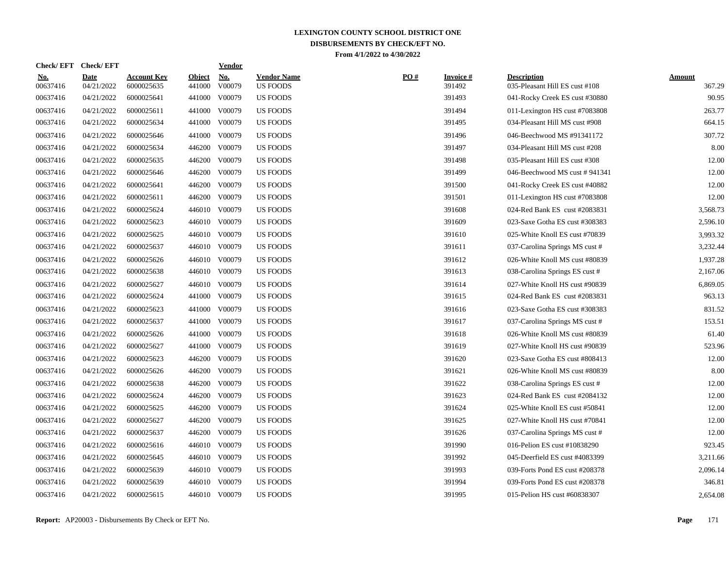| <u>No.</u><br>00637416 | <b>Date</b><br>04/21/2022 | <b>Account Key</b><br>6000025635 | <b>Object</b><br>441000 | <b>No.</b><br>V00079 | <b>Vendor Name</b><br><b>US FOODS</b> | $\underline{PO#}$ | <b>Invoice#</b><br>391492 | <b>Description</b><br>035-Pleasant Hill ES cust #108 | <b>Amount</b><br>367.29 |
|------------------------|---------------------------|----------------------------------|-------------------------|----------------------|---------------------------------------|-------------------|---------------------------|------------------------------------------------------|-------------------------|
| 00637416               | 04/21/2022                | 6000025641                       | 441000                  | V00079               | <b>US FOODS</b>                       |                   | 391493                    | 041-Rocky Creek ES cust #30880                       | 90.95                   |
| 00637416               | 04/21/2022                | 6000025611                       | 441000                  | V00079               | <b>US FOODS</b>                       |                   | 391494                    | 011-Lexington HS cust #7083808                       | 263.77                  |
| 00637416               | 04/21/2022                | 6000025634                       | 441000                  | V00079               | <b>US FOODS</b>                       |                   | 391495                    | 034-Pleasant Hill MS cust #908                       | 664.15                  |
| 00637416               | 04/21/2022                | 6000025646                       |                         | 441000 V00079        | <b>US FOODS</b>                       |                   | 391496                    | 046-Beechwood MS #91341172                           | 307.72                  |
| 00637416               | 04/21/2022                | 6000025634                       |                         | 446200 V00079        | <b>US FOODS</b>                       |                   | 391497                    | 034-Pleasant Hill MS cust #208                       | 8.00                    |
| 00637416               | 04/21/2022                | 6000025635                       |                         | 446200 V00079        | <b>US FOODS</b>                       |                   | 391498                    | 035-Pleasant Hill ES cust #308                       | 12.00                   |
| 00637416               | 04/21/2022                | 6000025646                       | 446200                  | V00079               | <b>US FOODS</b>                       |                   | 391499                    | 046-Beechwood MS cust #941341                        | 12.00                   |
| 00637416               | 04/21/2022                | 6000025641                       | 446200                  | V00079               | <b>US FOODS</b>                       |                   | 391500                    | 041-Rocky Creek ES cust #40882                       | 12.00                   |
| 00637416               | 04/21/2022                | 6000025611                       | 446200                  | V00079               | <b>US FOODS</b>                       |                   | 391501                    | 011-Lexington HS cust #7083808                       | 12.00                   |
| 00637416               | 04/21/2022                | 6000025624                       |                         | 446010 V00079        | <b>US FOODS</b>                       |                   | 391608                    | 024-Red Bank ES cust #2083831                        | 3,568.73                |
| 00637416               | 04/21/2022                | 6000025623                       |                         | 446010 V00079        | <b>US FOODS</b>                       |                   | 391609                    | 023-Saxe Gotha ES cust #308383                       | 2,596.10                |
| 00637416               | 04/21/2022                | 6000025625                       |                         | 446010 V00079        | <b>US FOODS</b>                       |                   | 391610                    | 025-White Knoll ES cust #70839                       | 3,993.32                |
| 00637416               | 04/21/2022                | 6000025637                       |                         | 446010 V00079        | <b>US FOODS</b>                       |                   | 391611                    | 037-Carolina Springs MS cust #                       | 3,232.44                |
| 00637416               | 04/21/2022                | 6000025626                       |                         | 446010 V00079        | <b>US FOODS</b>                       |                   | 391612                    | 026-White Knoll MS cust #80839                       | 1,937.28                |
| 00637416               | 04/21/2022                | 6000025638                       |                         | 446010 V00079        | <b>US FOODS</b>                       |                   | 391613                    | 038-Carolina Springs ES cust #                       | 2,167.06                |
| 00637416               | 04/21/2022                | 6000025627                       |                         | 446010 V00079        | <b>US FOODS</b>                       |                   | 391614                    | 027-White Knoll HS cust #90839                       | 6,869.05                |
| 00637416               | 04/21/2022                | 6000025624                       |                         | 441000 V00079        | <b>US FOODS</b>                       |                   | 391615                    | 024-Red Bank ES cust #2083831                        | 963.13                  |
| 00637416               | 04/21/2022                | 6000025623                       |                         | 441000 V00079        | <b>US FOODS</b>                       |                   | 391616                    | 023-Saxe Gotha ES cust #308383                       | 831.52                  |
| 00637416               | 04/21/2022                | 6000025637                       |                         | 441000 V00079        | <b>US FOODS</b>                       |                   | 391617                    | 037-Carolina Springs MS cust #                       | 153.51                  |
| 00637416               | 04/21/2022                | 6000025626                       | 441000                  | V00079               | US FOODS                              |                   | 391618                    | 026-White Knoll MS cust #80839                       | 61.40                   |
| 00637416               | 04/21/2022                | 6000025627                       | 441000                  | V00079               | <b>US FOODS</b>                       |                   | 391619                    | 027-White Knoll HS cust #90839                       | 523.96                  |
| 00637416               | 04/21/2022                | 6000025623                       | 446200                  | V00079               | US FOODS                              |                   | 391620                    | 023-Saxe Gotha ES cust #808413                       | 12.00                   |
| 00637416               | 04/21/2022                | 6000025626                       | 446200                  | V00079               | <b>US FOODS</b>                       |                   | 391621                    | 026-White Knoll MS cust #80839                       | 8.00                    |
| 00637416               | 04/21/2022                | 6000025638                       | 446200                  | V00079               | <b>US FOODS</b>                       |                   | 391622                    | 038-Carolina Springs ES cust #                       | 12.00                   |
| 00637416               | 04/21/2022                | 6000025624                       | 446200                  | V00079               | <b>US FOODS</b>                       |                   | 391623                    | 024-Red Bank ES cust #2084132                        | 12.00                   |
| 00637416               | 04/21/2022                | 6000025625                       | 446200                  | V00079               | <b>US FOODS</b>                       |                   | 391624                    | 025-White Knoll ES cust #50841                       | 12.00                   |
| 00637416               | 04/21/2022                | 6000025627                       | 446200                  | V00079               | <b>US FOODS</b>                       |                   | 391625                    | 027-White Knoll HS cust #70841                       | 12.00                   |
| 00637416               | 04/21/2022                | 6000025637                       | 446200                  | V00079               | <b>US FOODS</b>                       |                   | 391626                    | 037-Carolina Springs MS cust #                       | 12.00                   |
| 00637416               | 04/21/2022                | 6000025616                       |                         | 446010 V00079        | US FOODS                              |                   | 391990                    | 016-Pelion ES cust #10838290                         | 923.45                  |
| 00637416               | 04/21/2022                | 6000025645                       |                         | 446010 V00079        | <b>US FOODS</b>                       |                   | 391992                    | 045-Deerfield ES cust #4083399                       | 3,211.66                |
| 00637416               | 04/21/2022                | 6000025639                       |                         | 446010 V00079        | <b>US FOODS</b>                       |                   | 391993                    | 039-Forts Pond ES cust #208378                       | 2,096.14                |
| 00637416               | 04/21/2022                | 6000025639                       |                         | 446010 V00079        | <b>US FOODS</b>                       |                   | 391994                    | 039-Forts Pond ES cust #208378                       | 346.81                  |
| 00637416               | 04/21/2022                | 6000025615                       |                         | 446010 V00079        | <b>US FOODS</b>                       |                   | 391995                    | 015-Pelion HS cust #60838307                         | 2,654.08                |

**Check/ EFT Vendor Check/ EFT**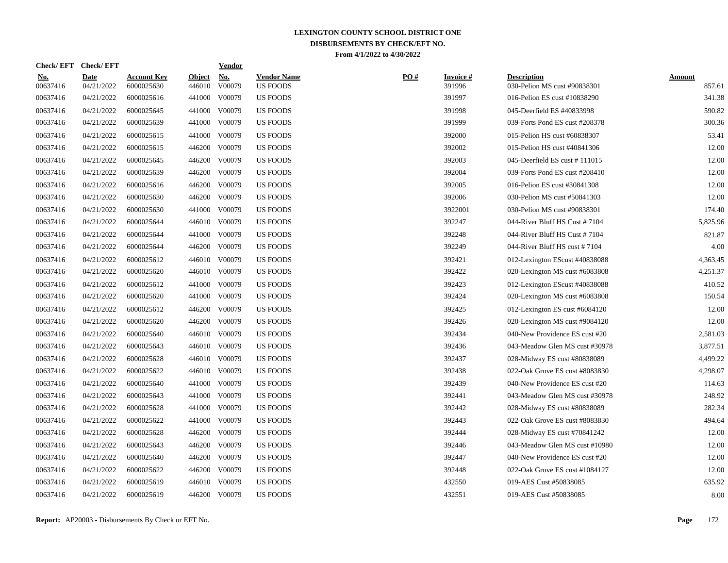| <b>No.</b><br>00637416 | <b>Date</b><br>04/21/2022 | <b>Account Key</b><br>6000025630 | <b>Object</b><br>446010 | <b>No.</b><br>V00079 | <b>Vendor Name</b><br><b>US FOODS</b> | PO# | <b>Invoice#</b><br>391996 | <b>Description</b><br>030-Pelion MS cust #90838301 | <b>Amount</b><br>857.61 |
|------------------------|---------------------------|----------------------------------|-------------------------|----------------------|---------------------------------------|-----|---------------------------|----------------------------------------------------|-------------------------|
| 00637416               | 04/21/2022                | 6000025616                       | 441000                  | V00079               | <b>US FOODS</b>                       |     | 391997                    | 016-Pelion ES cust #10838290                       | 341.38                  |
| 00637416               | 04/21/2022                | 6000025645                       | 441000                  | V00079               | <b>US FOODS</b>                       |     | 391998                    | 045-Deerfield ES #40833998                         | 590.82                  |
| 00637416               | 04/21/2022                | 6000025639                       | 441000                  | V00079               | <b>US FOODS</b>                       |     | 391999                    | 039-Forts Pond ES cust #208378                     | 300.36                  |
| 00637416               | 04/21/2022                | 6000025615                       |                         | 441000 V00079        | <b>US FOODS</b>                       |     | 392000                    | 015-Pelion HS cust #60838307                       | 53.41                   |
| 00637416               | 04/21/2022                | 6000025615                       |                         | 446200 V00079        | <b>US FOODS</b>                       |     | 392002                    | 015-Pelion HS cust #40841306                       | 12.00                   |
| 00637416               | 04/21/2022                | 6000025645                       | 446200                  | V00079               | <b>US FOODS</b>                       |     | 392003                    | 045-Deerfield ES cust #111015                      | 12.00                   |
| 00637416               | 04/21/2022                | 6000025639                       | 446200                  | V00079               | <b>US FOODS</b>                       |     | 392004                    | 039-Forts Pond ES cust #208410                     | 12.00                   |
| 00637416               | 04/21/2022                | 6000025616                       | 446200                  | V00079               | US FOODS                              |     | 392005                    | 016-Pelion ES cust #30841308                       | 12.00                   |
| 00637416               | 04/21/2022                | 6000025630                       | 446200                  | V00079               | <b>US FOODS</b>                       |     | 392006                    | 030-Pelion MS cust #50841303                       | 12.00                   |
| 00637416               | 04/21/2022                | 6000025630                       |                         | 441000 V00079        | <b>US FOODS</b>                       |     | 3922001                   | 030-Pelion MS cust #90838301                       | 174.40                  |
| 00637416               | 04/21/2022                | 6000025644                       |                         | 446010 V00079        | <b>US FOODS</b>                       |     | 392247                    | 044-River Bluff HS Cust #7104                      | 5,825.96                |
| 00637416               | 04/21/2022                | 6000025644                       | 441000                  | V00079               | <b>US FOODS</b>                       |     | 392248                    | 044-River Bluff HS Cust #7104                      | 821.87                  |
| 00637416               | 04/21/2022                | 6000025644                       | 446200                  | V00079               | <b>US FOODS</b>                       |     | 392249                    | 044-River Bluff HS cust #7104                      | 4.00                    |
| 00637416               | 04/21/2022                | 6000025612                       |                         | 446010 V00079        | <b>US FOODS</b>                       |     | 392421                    | 012-Lexington EScust #40838088                     | 4,363.45                |
| 00637416               | 04/21/2022                | 6000025620                       |                         | 446010 V00079        | <b>US FOODS</b>                       |     | 392422                    | 020-Lexington MS cust #6083808                     | 4,251.37                |
| 00637416               | 04/21/2022                | 6000025612                       |                         | 441000 V00079        | <b>US FOODS</b>                       |     | 392423                    | 012-Lexington EScust #40838088                     | 410.52                  |
| 00637416               | 04/21/2022                | 6000025620                       |                         | 441000 V00079        | <b>US FOODS</b>                       |     | 392424                    | 020-Lexington MS cust #6083808                     | 150.54                  |
| 00637416               | 04/21/2022                | 6000025612                       | 446200                  | V00079               | <b>US FOODS</b>                       |     | 392425                    | 012-Lexington ES cust $\#6084120$                  | 12.00                   |
| 00637416               | 04/21/2022                | 6000025620                       | 446200                  | V00079               | <b>US FOODS</b>                       |     | 392426                    | 020-Lexington MS cust #9084120                     | 12.00                   |
| 00637416               | 04/21/2022                | 6000025640                       | 446010                  | V00079               | <b>US FOODS</b>                       |     | 392434                    | 040-New Providence ES cust #20                     | 2,581.03                |
| 00637416               | 04/21/2022                | 6000025643                       |                         | 446010 V00079        | <b>US FOODS</b>                       |     | 392436                    | 043-Meadow Glen MS cust #30978                     | 3,877.51                |
| 00637416               | 04/21/2022                | 6000025628                       |                         | 446010 V00079        | <b>US FOODS</b>                       |     | 392437                    | 028-Midway ES cust #80838089                       | 4,499.22                |
| 00637416               | 04/21/2022                | 6000025622                       |                         | 446010 V00079        | US FOODS                              |     | 392438                    | 022-Oak Grove ES cust #8083830                     | 4,298.07                |
| 00637416               | 04/21/2022                | 6000025640                       | 441000                  | V00079               | <b>US FOODS</b>                       |     | 392439                    | 040-New Providence ES cust #20                     | 114.63                  |
| 00637416               | 04/21/2022                | 6000025643                       | 441000                  | V00079               | <b>US FOODS</b>                       |     | 392441                    | 043-Meadow Glen MS cust #30978                     | 248.92                  |
| 00637416               | 04/21/2022                | 6000025628                       | 441000                  | V00079               | <b>US FOODS</b>                       |     | 392442                    | 028-Midway ES cust #80838089                       | 282.34                  |
| 00637416               | 04/21/2022                | 6000025622                       | 441000                  | V00079               | <b>US FOODS</b>                       |     | 392443                    | 022-Oak Grove ES cust #8083830                     | 494.64                  |
| 00637416               | 04/21/2022                | 6000025628                       | 446200                  | V00079               | <b>US FOODS</b>                       |     | 392444                    | 028-Midway ES cust #70841242                       | 12.00                   |
| 00637416               | 04/21/2022                | 6000025643                       | 446200                  | V00079               | <b>US FOODS</b>                       |     | 392446                    | 043-Meadow Glen MS cust #10980                     | 12.00                   |
| 00637416               | 04/21/2022                | 6000025640                       |                         | 446200 V00079        | <b>US FOODS</b>                       |     | 392447                    | 040-New Providence ES cust #20                     | 12.00                   |
| 00637416               | 04/21/2022                | 6000025622                       | 446200                  | V00079               | US FOODS                              |     | 392448                    | 022-Oak Grove ES cust #1084127                     | 12.00                   |
| 00637416               | 04/21/2022                | 6000025619                       | 446010                  | V00079               | <b>US FOODS</b>                       |     | 432550                    | 019-AES Cust #50838085                             | 635.92                  |
| 00637416               | 04/21/2022                | 6000025619                       |                         | 446200 V00079        | <b>US FOODS</b>                       |     | 432551                    | 019-AES Cust #50838085                             | 8.00                    |

**Check/ EFT Vendor Check/ EFT**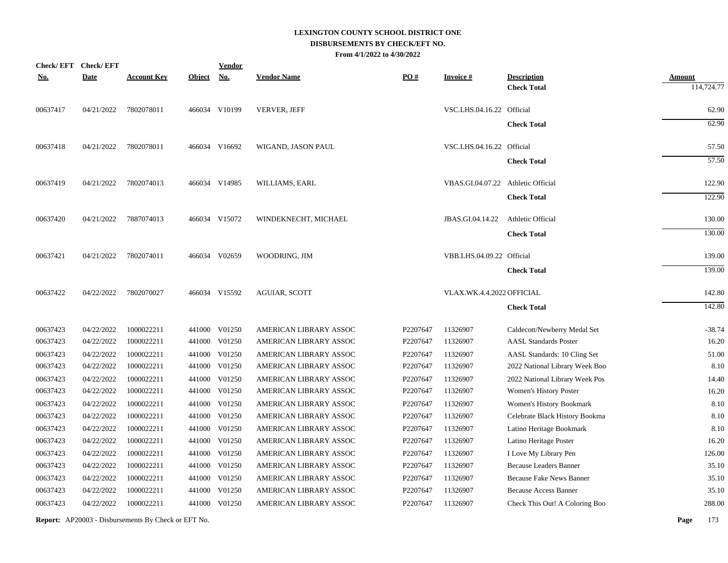| <b>Check/EFT</b> | <b>Check/EFT</b> |                    |               | <b>Vendor</b> |                        |          |                                    |                                          |                             |
|------------------|------------------|--------------------|---------------|---------------|------------------------|----------|------------------------------------|------------------------------------------|-----------------------------|
| <u>No.</u>       | <b>Date</b>      | <b>Account Key</b> | <b>Object</b> | <u>No.</u>    | <b>Vendor Name</b>     | PO#      | <b>Invoice#</b>                    | <b>Description</b><br><b>Check Total</b> | <b>Amount</b><br>114,724.77 |
| 00637417         | 04/21/2022       | 7802078011         |               | 466034 V10199 | <b>VERVER, JEFF</b>    |          | VSC.LHS.04.16.22 Official          |                                          | 62.90                       |
|                  |                  |                    |               |               |                        |          |                                    | <b>Check Total</b>                       | 62.90                       |
| 00637418         | 04/21/2022       | 7802078011         |               | 466034 V16692 | WIGAND, JASON PAUL     |          | VSC.LHS.04.16.22 Official          |                                          | 57.50                       |
|                  |                  |                    |               |               |                        |          |                                    | <b>Check Total</b>                       | 57.50                       |
| 00637419         | 04/21/2022       | 7802074013         |               | 466034 V14985 | WILLIAMS, EARL         |          | VBAS.GI.04.07.22 Athletic Official |                                          | 122.90                      |
|                  |                  |                    |               |               |                        |          |                                    | <b>Check Total</b>                       | 122.90                      |
| 00637420         | 04/21/2022       | 7887074013         |               | 466034 V15072 | WINDEKNECHT, MICHAEL   |          | JBAS.GI.04.14.22                   | Athletic Official                        | 130.00                      |
|                  |                  |                    |               |               |                        |          |                                    | <b>Check Total</b>                       | 130.00                      |
| 00637421         | 04/21/2022       | 7802074011         |               | 466034 V02659 | WOODRING, JIM          |          | VBB.LHS.04.09.22 Official          |                                          | 139.00                      |
|                  |                  |                    |               |               |                        |          |                                    | <b>Check Total</b>                       | 139.00                      |
| 00637422         | 04/22/2022       | 7802070027         |               | 466034 V15592 | <b>AGUIAR, SCOTT</b>   |          | VLAX.WK.4.4.2022 OFFICIAL          |                                          | 142.80                      |
|                  |                  |                    |               |               |                        |          |                                    | <b>Check Total</b>                       | 142.80                      |
| 00637423         | 04/22/2022       | 1000022211         |               | 441000 V01250 | AMERICAN LIBRARY ASSOC | P2207647 | 11326907                           | Caldecott/Newberry Medal Set             | $-38.74$                    |
| 00637423         | 04/22/2022       | 1000022211         |               | 441000 V01250 | AMERICAN LIBRARY ASSOC | P2207647 | 11326907                           | <b>AASL Standards Poster</b>             | 16.20                       |
| 00637423         | 04/22/2022       | 1000022211         | 441000        | V01250        | AMERICAN LIBRARY ASSOC | P2207647 | 11326907                           | AASL Standards: 10 Cling Set             | 51.00                       |
| 00637423         | 04/22/2022       | 1000022211         | 441000        | V01250        | AMERICAN LIBRARY ASSOC | P2207647 | 11326907                           | 2022 National Library Week Boo           | 8.10                        |
| 00637423         | 04/22/2022       | 1000022211         | 441000        | V01250        | AMERICAN LIBRARY ASSOC | P2207647 | 11326907                           | 2022 National Library Week Pos           | 14.40                       |
| 00637423         | 04/22/2022       | 1000022211         | 441000        | V01250        | AMERICAN LIBRARY ASSOC | P2207647 | 11326907                           | Women's History Poster                   | 16.20                       |
| 00637423         | 04/22/2022       | 1000022211         | 441000        | V01250        | AMERICAN LIBRARY ASSOC | P2207647 | 11326907                           | Women's History Bookmark                 | 8.10                        |
| 00637423         | 04/22/2022       | 1000022211         |               | 441000 V01250 | AMERICAN LIBRARY ASSOC | P2207647 | 11326907                           | Celebrate Black History Bookma           | 8.10                        |
| 00637423         | 04/22/2022       | 1000022211         |               | 441000 V01250 | AMERICAN LIBRARY ASSOC | P2207647 | 11326907                           | Latino Heritage Bookmark                 | 8.10                        |
| 00637423         | 04/22/2022       | 1000022211         |               | 441000 V01250 | AMERICAN LIBRARY ASSOC | P2207647 | 11326907                           | Latino Heritage Poster                   | 16.20                       |
| 00637423         | 04/22/2022       | 1000022211         |               | 441000 V01250 | AMERICAN LIBRARY ASSOC | P2207647 | 11326907                           | I Love My Library Pen                    | 126.00                      |
| 00637423         | 04/22/2022       | 1000022211         |               | 441000 V01250 | AMERICAN LIBRARY ASSOC | P2207647 | 11326907                           | <b>Because Leaders Banner</b>            | 35.10                       |
| 00637423         | 04/22/2022       | 1000022211         |               | 441000 V01250 | AMERICAN LIBRARY ASSOC | P2207647 | 11326907                           | <b>Because Fake News Banner</b>          | 35.10                       |
| 00637423         | 04/22/2022       | 1000022211         | 441000        | V01250        | AMERICAN LIBRARY ASSOC | P2207647 | 11326907                           | <b>Because Access Banner</b>             | 35.10                       |
| 00637423         | 04/22/2022       | 1000022211         |               | 441000 V01250 | AMERICAN LIBRARY ASSOC | P2207647 | 11326907                           | Check This Out! A Coloring Boo           | 288.00                      |
|                  |                  |                    |               |               |                        |          |                                    |                                          |                             |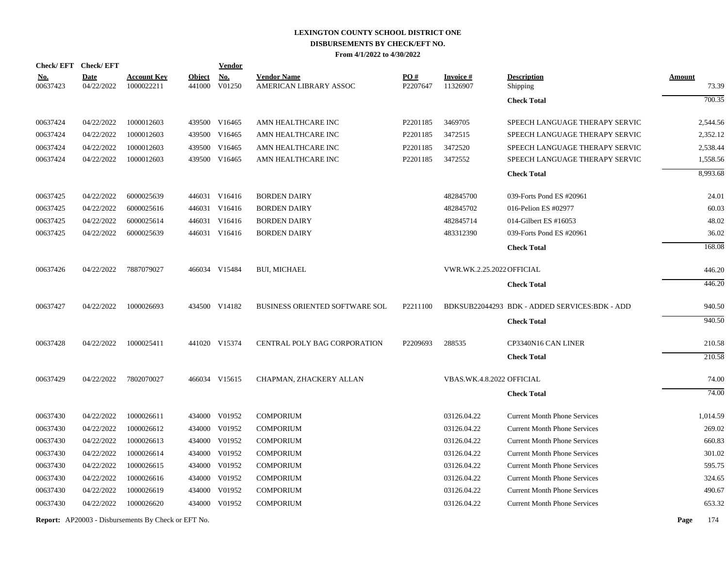| Check/EFT Check/EFT    |                           |                                  |                         | <b>Vendor</b>        |                                              |                      |                             |                                               |                        |
|------------------------|---------------------------|----------------------------------|-------------------------|----------------------|----------------------------------------------|----------------------|-----------------------------|-----------------------------------------------|------------------------|
| <u>No.</u><br>00637423 | <b>Date</b><br>04/22/2022 | <b>Account Key</b><br>1000022211 | <b>Object</b><br>441000 | <u>No.</u><br>V01250 | <b>Vendor Name</b><br>AMERICAN LIBRARY ASSOC | PO#<br>P2207647      | <b>Invoice#</b><br>11326907 | <b>Description</b><br>Shipping                | <b>Amount</b><br>73.39 |
|                        |                           |                                  |                         |                      |                                              |                      |                             | <b>Check Total</b>                            | 700.35                 |
| 00637424               | 04/22/2022                | 1000012603                       |                         | 439500 V16465        | AMN HEALTHCARE INC                           | P2201185             | 3469705                     | SPEECH LANGUAGE THERAPY SERVIC                | 2,544.56               |
| 00637424               | 04/22/2022                | 1000012603                       |                         | 439500 V16465        | AMN HEALTHCARE INC                           | P <sub>2201185</sub> | 3472515                     | SPEECH LANGUAGE THERAPY SERVIC                | 2,352.12               |
| 00637424               | 04/22/2022                | 1000012603                       |                         | 439500 V16465        | AMN HEALTHCARE INC                           | P2201185             | 3472520                     | SPEECH LANGUAGE THERAPY SERVIC                | 2,538.44               |
| 00637424               | 04/22/2022                | 1000012603                       |                         | 439500 V16465        | AMN HEALTHCARE INC                           | P2201185             | 3472552                     | SPEECH LANGUAGE THERAPY SERVIC                | 1,558.56               |
|                        |                           |                                  |                         |                      |                                              |                      |                             | <b>Check Total</b>                            | 8,993.68               |
| 00637425               | 04/22/2022                | 6000025639                       |                         | 446031 V16416        | <b>BORDEN DAIRY</b>                          |                      | 482845700                   | 039-Forts Pond ES #20961                      | 24.01                  |
| 00637425               | 04/22/2022                | 6000025616                       |                         | 446031 V16416        | <b>BORDEN DAIRY</b>                          |                      | 482845702                   | 016-Pelion ES #02977                          | 60.03                  |
| 00637425               | 04/22/2022                | 6000025614                       |                         | 446031 V16416        | <b>BORDEN DAIRY</b>                          |                      | 482845714                   | 014-Gilbert ES #16053                         | 48.02                  |
| 00637425               | 04/22/2022                | 6000025639                       |                         | 446031 V16416        | <b>BORDEN DAIRY</b>                          |                      | 483312390                   | 039-Forts Pond ES #20961                      | 36.02                  |
|                        |                           |                                  |                         |                      |                                              |                      |                             | <b>Check Total</b>                            | 168.08                 |
| 00637426               | 04/22/2022                | 7887079027                       |                         | 466034 V15484        | <b>BUI, MICHAEL</b>                          |                      | VWR.WK.2.25.2022 OFFICIAL   |                                               | 446.20                 |
|                        |                           |                                  |                         |                      |                                              |                      |                             | <b>Check Total</b>                            | 446.20                 |
| 00637427               | 04/22/2022                | 1000026693                       |                         | 434500 V14182        | <b>BUSINESS ORIENTED SOFTWARE SOL</b>        | P2211100             |                             | BDKSUB22044293 BDK - ADDED SERVICES:BDK - ADD | 940.50                 |
|                        |                           |                                  |                         |                      |                                              |                      |                             | <b>Check Total</b>                            | 940.50                 |
| 00637428               | 04/22/2022                | 1000025411                       |                         | 441020 V15374        | <b>CENTRAL POLY BAG CORPORATION</b>          | P2209693             | 288535                      | CP3340N16 CAN LINER                           | 210.58                 |
|                        |                           |                                  |                         |                      |                                              |                      |                             | <b>Check Total</b>                            | 210.58                 |
| 00637429               | 04/22/2022                | 7802070027                       |                         | 466034 V15615        | CHAPMAN, ZHACKERY ALLAN                      |                      | VBAS.WK.4.8.2022 OFFICIAL   |                                               | 74.00                  |
|                        |                           |                                  |                         |                      |                                              |                      |                             | <b>Check Total</b>                            | 74.00                  |
| 00637430               | 04/22/2022                | 1000026611                       |                         | 434000 V01952        | <b>COMPORIUM</b>                             |                      | 03126.04.22                 | <b>Current Month Phone Services</b>           | 1,014.59               |
| 00637430               | 04/22/2022                | 1000026612                       |                         | 434000 V01952        | <b>COMPORIUM</b>                             |                      | 03126.04.22                 | <b>Current Month Phone Services</b>           | 269.02                 |
| 00637430               | 04/22/2022                | 1000026613                       |                         | 434000 V01952        | <b>COMPORIUM</b>                             |                      | 03126.04.22                 | <b>Current Month Phone Services</b>           | 660.83                 |
| 00637430               | 04/22/2022                | 1000026614                       | 434000                  | V01952               | <b>COMPORIUM</b>                             |                      | 03126.04.22                 | <b>Current Month Phone Services</b>           | 301.02                 |
| 00637430               | 04/22/2022                | 1000026615                       | 434000                  | V01952               | <b>COMPORIUM</b>                             |                      | 03126.04.22                 | <b>Current Month Phone Services</b>           | 595.75                 |
| 00637430               | 04/22/2022                | 1000026616                       |                         | 434000 V01952        | <b>COMPORIUM</b>                             |                      | 03126.04.22                 | <b>Current Month Phone Services</b>           | 324.65                 |
| 00637430               | 04/22/2022                | 1000026619                       | 434000                  | V01952               | <b>COMPORIUM</b>                             |                      | 03126.04.22                 | <b>Current Month Phone Services</b>           | 490.67                 |
| 00637430               | 04/22/2022                | 1000026620                       |                         | 434000 V01952        | <b>COMPORIUM</b>                             |                      | 03126.04.22                 | <b>Current Month Phone Services</b>           | 653.32                 |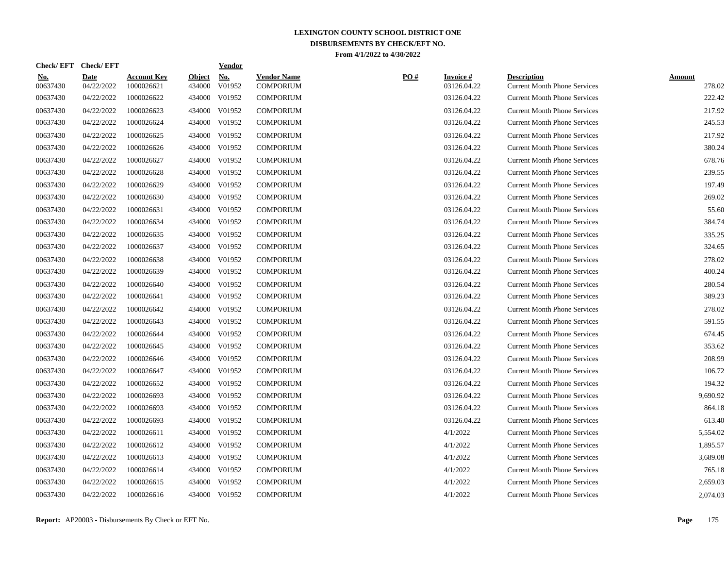| <u>No.</u><br>00637430 | <b>Date</b><br>04/22/2022 | <b>Account Key</b><br>1000026621 | <b>Object</b><br>434000 | <b>No.</b><br>V01952 | <b>Vendor Name</b><br><b>COMPORIUM</b> | PO# | <b>Invoice#</b><br>03126.04.22 | <b>Description</b><br><b>Current Month Phone Services</b> | <b>Amount</b><br>278.02 |
|------------------------|---------------------------|----------------------------------|-------------------------|----------------------|----------------------------------------|-----|--------------------------------|-----------------------------------------------------------|-------------------------|
| 00637430               | 04/22/2022                | 1000026622                       | 434000                  | V01952               | <b>COMPORIUM</b>                       |     | 03126.04.22                    | <b>Current Month Phone Services</b>                       | 222.42                  |
| 00637430               | 04/22/2022                | 1000026623                       | 434000                  | V01952               | <b>COMPORIUM</b>                       |     | 03126.04.22                    | <b>Current Month Phone Services</b>                       | 217.92                  |
| 00637430               | 04/22/2022                | 1000026624                       | 434000                  | V01952               | <b>COMPORIUM</b>                       |     | 03126.04.22                    | <b>Current Month Phone Services</b>                       | 245.53                  |
| 00637430               | 04/22/2022                | 1000026625                       |                         | 434000 V01952        | <b>COMPORIUM</b>                       |     | 03126.04.22                    | <b>Current Month Phone Services</b>                       | 217.92                  |
| 00637430               | 04/22/2022                | 1000026626                       | 434000                  | V01952               | <b>COMPORIUM</b>                       |     | 03126.04.22                    | <b>Current Month Phone Services</b>                       | 380.24                  |
| 00637430               | 04/22/2022                | 1000026627                       | 434000                  | V01952               | <b>COMPORIUM</b>                       |     | 03126.04.22                    | <b>Current Month Phone Services</b>                       | 678.76                  |
| 00637430               | 04/22/2022                | 1000026628                       | 434000                  | V01952               | <b>COMPORIUM</b>                       |     | 03126.04.22                    | <b>Current Month Phone Services</b>                       | 239.55                  |
| 00637430               | 04/22/2022                | 1000026629                       | 434000                  | V01952               | <b>COMPORIUM</b>                       |     | 03126.04.22                    | <b>Current Month Phone Services</b>                       | 197.49                  |
| 00637430               | 04/22/2022                | 1000026630                       | 434000                  | V01952               | <b>COMPORIUM</b>                       |     | 03126.04.22                    | <b>Current Month Phone Services</b>                       | 269.02                  |
| 00637430               | 04/22/2022                | 1000026631                       | 434000                  | V01952               | <b>COMPORIUM</b>                       |     | 03126.04.22                    | <b>Current Month Phone Services</b>                       | 55.60                   |
| 00637430               | 04/22/2022                | 1000026634                       |                         | 434000 V01952        | <b>COMPORIUM</b>                       |     | 03126.04.22                    | <b>Current Month Phone Services</b>                       | 384.74                  |
| 00637430               | 04/22/2022                | 1000026635                       | 434000                  | V01952               | <b>COMPORIUM</b>                       |     | 03126.04.22                    | <b>Current Month Phone Services</b>                       | 335.25                  |
| 00637430               | 04/22/2022                | 1000026637                       | 434000                  | V01952               | <b>COMPORIUM</b>                       |     | 03126.04.22                    | <b>Current Month Phone Services</b>                       | 324.65                  |
| 00637430               | 04/22/2022                | 1000026638                       | 434000                  | V01952               | <b>COMPORIUM</b>                       |     | 03126.04.22                    | <b>Current Month Phone Services</b>                       | 278.02                  |
| 00637430               | 04/22/2022                | 1000026639                       | 434000                  | V01952               | <b>COMPORIUM</b>                       |     | 03126.04.22                    | <b>Current Month Phone Services</b>                       | 400.24                  |
| 00637430               | 04/22/2022                | 1000026640                       |                         | 434000 V01952        | <b>COMPORIUM</b>                       |     | 03126.04.22                    | <b>Current Month Phone Services</b>                       | 280.54                  |
| 00637430               | 04/22/2022                | 1000026641                       |                         | 434000 V01952        | <b>COMPORIUM</b>                       |     | 03126.04.22                    | <b>Current Month Phone Services</b>                       | 389.23                  |
| 00637430               | 04/22/2022                | 1000026642                       | 434000                  | V01952               | <b>COMPORIUM</b>                       |     | 03126.04.22                    | <b>Current Month Phone Services</b>                       | 278.02                  |
| 00637430               | 04/22/2022                | 1000026643                       | 434000                  | V01952               | <b>COMPORIUM</b>                       |     | 03126.04.22                    | <b>Current Month Phone Services</b>                       | 591.55                  |
| 00637430               | 04/22/2022                | 1000026644                       | 434000                  | V01952               | <b>COMPORIUM</b>                       |     | 03126.04.22                    | <b>Current Month Phone Services</b>                       | 674.45                  |
| 00637430               | 04/22/2022                | 1000026645                       | 434000                  | V01952               | <b>COMPORIUM</b>                       |     | 03126.04.22                    | <b>Current Month Phone Services</b>                       | 353.62                  |
| 00637430               | 04/22/2022                | 1000026646                       | 434000                  | V01952               | <b>COMPORIUM</b>                       |     | 03126.04.22                    | <b>Current Month Phone Services</b>                       | 208.99                  |
| 00637430               | 04/22/2022                | 1000026647                       |                         | 434000 V01952        | <b>COMPORIUM</b>                       |     | 03126.04.22                    | <b>Current Month Phone Services</b>                       | 106.72                  |
| 00637430               | 04/22/2022                | 1000026652                       | 434000                  | V01952               | <b>COMPORIUM</b>                       |     | 03126.04.22                    | <b>Current Month Phone Services</b>                       | 194.32                  |
| 00637430               | 04/22/2022                | 1000026693                       | 434000                  | V01952               | <b>COMPORIUM</b>                       |     | 03126.04.22                    | <b>Current Month Phone Services</b>                       | 9,690.92                |
| 00637430               | 04/22/2022                | 1000026693                       | 434000                  | V01952               | <b>COMPORIUM</b>                       |     | 03126.04.22                    | <b>Current Month Phone Services</b>                       | 864.18                  |
| 00637430               | 04/22/2022                | 1000026693                       | 434000                  | V01952               | <b>COMPORIUM</b>                       |     | 03126.04.22                    | <b>Current Month Phone Services</b>                       | 613.40                  |
| 00637430               | 04/22/2022                | 1000026611                       | 434000                  | V01952               | <b>COMPORIUM</b>                       |     | 4/1/2022                       | <b>Current Month Phone Services</b>                       | 5,554.02                |
| 00637430               | 04/22/2022                | 1000026612                       |                         | 434000 V01952        | <b>COMPORIUM</b>                       |     | 4/1/2022                       | <b>Current Month Phone Services</b>                       | 1,895.57                |
| 00637430               | 04/22/2022                | 1000026613                       |                         | 434000 V01952        | <b>COMPORIUM</b>                       |     | 4/1/2022                       | <b>Current Month Phone Services</b>                       | 3,689.08                |
| 00637430               | 04/22/2022                | 1000026614                       | 434000                  | V01952               | <b>COMPORIUM</b>                       |     | 4/1/2022                       | <b>Current Month Phone Services</b>                       | 765.18                  |
| 00637430               | 04/22/2022                | 1000026615                       | 434000                  | V01952               | <b>COMPORIUM</b>                       |     | 4/1/2022                       | <b>Current Month Phone Services</b>                       | 2,659.03                |
| 00637430               | 04/22/2022                | 1000026616                       |                         | 434000 V01952        | <b>COMPORIUM</b>                       |     | 4/1/2022                       | <b>Current Month Phone Services</b>                       | 2,074.03                |

**Check/ EFT Vendor Check/ EFT**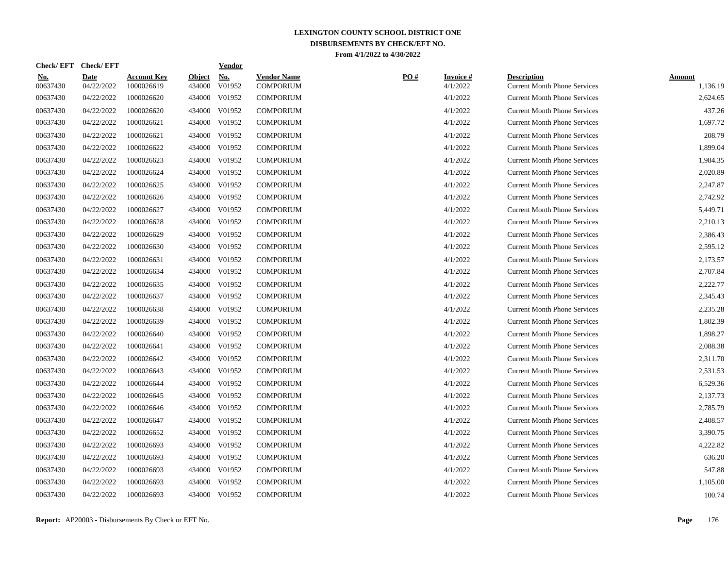| <u>No.</u><br>00637430 | <b>Date</b><br>04/22/2022 | <b>Account Key</b><br>1000026619 | <b>Object</b><br>434000 | <b>No.</b><br>V01952 | <b>Vendor Name</b><br><b>COMPORIUM</b> | PO# | <b>Invoice#</b><br>4/1/2022 | <b>Description</b><br><b>Current Month Phone Services</b> | Amount<br>1,136.19 |
|------------------------|---------------------------|----------------------------------|-------------------------|----------------------|----------------------------------------|-----|-----------------------------|-----------------------------------------------------------|--------------------|
| 00637430               | 04/22/2022                | 1000026620                       | 434000                  | V01952               | <b>COMPORIUM</b>                       |     | 4/1/2022                    | <b>Current Month Phone Services</b>                       | 2,624.65           |
| 00637430               | 04/22/2022                | 1000026620                       | 434000                  | V01952               | <b>COMPORIUM</b>                       |     | 4/1/2022                    | <b>Current Month Phone Services</b>                       | 437.26             |
| 00637430               | 04/22/2022                | 1000026621                       | 434000                  | V01952               | <b>COMPORIUM</b>                       |     | 4/1/2022                    | <b>Current Month Phone Services</b>                       | 1,697.72           |
| 00637430               | 04/22/2022                | 1000026621                       |                         | 434000 V01952        | <b>COMPORIUM</b>                       |     | 4/1/2022                    | <b>Current Month Phone Services</b>                       | 208.79             |
| 00637430               | 04/22/2022                | 1000026622                       |                         | 434000 V01952        | <b>COMPORIUM</b>                       |     | 4/1/2022                    | <b>Current Month Phone Services</b>                       | 1,899.04           |
| 00637430               | 04/22/2022                | 1000026623                       | 434000                  | V01952               | <b>COMPORIUM</b>                       |     | 4/1/2022                    | <b>Current Month Phone Services</b>                       | 1,984.35           |
| 00637430               | 04/22/2022                | 1000026624                       | 434000                  | V01952               | <b>COMPORIUM</b>                       |     | 4/1/2022                    | <b>Current Month Phone Services</b>                       | 2,020.89           |
| 00637430               | 04/22/2022                | 1000026625                       | 434000                  | V01952               | <b>COMPORIUM</b>                       |     | 4/1/2022                    | <b>Current Month Phone Services</b>                       | 2,247.87           |
| 00637430               | 04/22/2022                | 1000026626                       | 434000                  | V01952               | <b>COMPORIUM</b>                       |     | 4/1/2022                    | <b>Current Month Phone Services</b>                       | 2,742.92           |
| 00637430               | 04/22/2022                | 1000026627                       |                         | 434000 V01952        | <b>COMPORIUM</b>                       |     | 4/1/2022                    | <b>Current Month Phone Services</b>                       | 5,449.71           |
| 00637430               | 04/22/2022                | 1000026628                       |                         | 434000 V01952        | <b>COMPORIUM</b>                       |     | 4/1/2022                    | <b>Current Month Phone Services</b>                       | 2,210.13           |
| 00637430               | 04/22/2022                | 1000026629                       | 434000                  | V01952               | <b>COMPORIUM</b>                       |     | 4/1/2022                    | <b>Current Month Phone Services</b>                       | 2,386.43           |
| 00637430               | 04/22/2022                | 1000026630                       | 434000                  | V01952               | <b>COMPORIUM</b>                       |     | 4/1/2022                    | <b>Current Month Phone Services</b>                       | 2,595.12           |
| 00637430               | 04/22/2022                | 1000026631                       | 434000                  | V01952               | <b>COMPORIUM</b>                       |     | 4/1/2022                    | <b>Current Month Phone Services</b>                       | 2,173.57           |
| 00637430               | 04/22/2022                | 1000026634                       | 434000                  | V01952               | <b>COMPORIUM</b>                       |     | 4/1/2022                    | <b>Current Month Phone Services</b>                       | 2,707.84           |
| 00637430               | 04/22/2022                | 1000026635                       |                         | 434000 V01952        | <b>COMPORIUM</b>                       |     | 4/1/2022                    | <b>Current Month Phone Services</b>                       | 2,222.77           |
| 00637430               | 04/22/2022                | 1000026637                       |                         | 434000 V01952        | <b>COMPORIUM</b>                       |     | 4/1/2022                    | <b>Current Month Phone Services</b>                       | 2,345.43           |
| 00637430               | 04/22/2022                | 1000026638                       | 434000                  | V01952               | <b>COMPORIUM</b>                       |     | 4/1/2022                    | <b>Current Month Phone Services</b>                       | 2,235.28           |
| 00637430               | 04/22/2022                | 1000026639                       | 434000                  | V01952               | <b>COMPORIUM</b>                       |     | 4/1/2022                    | <b>Current Month Phone Services</b>                       | 1,802.39           |
| 00637430               | 04/22/2022                | 1000026640                       | 434000                  | V01952               | <b>COMPORIUM</b>                       |     | 4/1/2022                    | <b>Current Month Phone Services</b>                       | 1.898.27           |
| 00637430               | 04/22/2022                | 1000026641                       | 434000                  | V01952               | <b>COMPORIUM</b>                       |     | 4/1/2022                    | <b>Current Month Phone Services</b>                       | 2,088.38           |
| 00637430               | 04/22/2022                | 1000026642                       | 434000                  | V01952               | <b>COMPORIUM</b>                       |     | 4/1/2022                    | <b>Current Month Phone Services</b>                       | 2,311.70           |
| 00637430               | 04/22/2022                | 1000026643                       |                         | 434000 V01952        | <b>COMPORIUM</b>                       |     | 4/1/2022                    | <b>Current Month Phone Services</b>                       | 2,531.53           |
| 00637430               | 04/22/2022                | 1000026644                       | 434000                  | V01952               | <b>COMPORIUM</b>                       |     | 4/1/2022                    | <b>Current Month Phone Services</b>                       | 6,529.36           |
| 00637430               | 04/22/2022                | 1000026645                       | 434000                  | V01952               | <b>COMPORIUM</b>                       |     | 4/1/2022                    | <b>Current Month Phone Services</b>                       | 2,137.73           |
| 00637430               | 04/22/2022                | 1000026646                       | 434000                  | V01952               | <b>COMPORIUM</b>                       |     | 4/1/2022                    | <b>Current Month Phone Services</b>                       | 2,785.79           |
| 00637430               | 04/22/2022                | 1000026647                       | 434000                  | V01952               | <b>COMPORIUM</b>                       |     | 4/1/2022                    | <b>Current Month Phone Services</b>                       | 2,408.57           |
| 00637430               | 04/22/2022                | 1000026652                       | 434000                  | V01952               | <b>COMPORIUM</b>                       |     | 4/1/2022                    | <b>Current Month Phone Services</b>                       | 3,390.75           |
| 00637430               | 04/22/2022                | 1000026693                       | 434000                  | V01952               | <b>COMPORIUM</b>                       |     | 4/1/2022                    | <b>Current Month Phone Services</b>                       | 4,222.82           |
| 00637430               | 04/22/2022                | 1000026693                       |                         | 434000 V01952        | <b>COMPORIUM</b>                       |     | 4/1/2022                    | <b>Current Month Phone Services</b>                       | 636.20             |
| 00637430               | 04/22/2022                | 1000026693                       |                         | 434000 V01952        | <b>COMPORIUM</b>                       |     | 4/1/2022                    | <b>Current Month Phone Services</b>                       | 547.88             |
| 00637430               | 04/22/2022                | 1000026693                       | 434000                  | V01952               | <b>COMPORIUM</b>                       |     | 4/1/2022                    | <b>Current Month Phone Services</b>                       | 1,105.00           |
| 00637430               | 04/22/2022                | 1000026693                       |                         | 434000 V01952        | <b>COMPORIUM</b>                       |     | 4/1/2022                    | <b>Current Month Phone Services</b>                       | 100.74             |

**Check/ EFT Vendor Check/ EFT**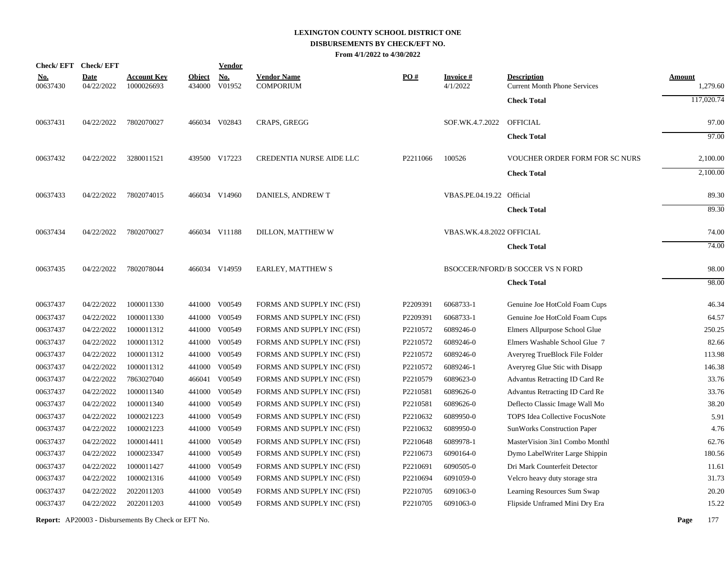|            |          | Check/EFT Check/EFT       |                                  |                         | <b>Vendor</b>        |                                        |          |                             |                                                           |                           |
|------------|----------|---------------------------|----------------------------------|-------------------------|----------------------|----------------------------------------|----------|-----------------------------|-----------------------------------------------------------|---------------------------|
| <u>No.</u> | 00637430 | <b>Date</b><br>04/22/2022 | <b>Account Key</b><br>1000026693 | <b>Object</b><br>434000 | <b>No.</b><br>V01952 | <b>Vendor Name</b><br><b>COMPORIUM</b> | PO#      | <b>Invoice#</b><br>4/1/2022 | <b>Description</b><br><b>Current Month Phone Services</b> | <b>Amount</b><br>1,279.60 |
|            |          |                           |                                  |                         |                      |                                        |          |                             | <b>Check Total</b>                                        | 117,020.74                |
|            | 00637431 | 04/22/2022                | 7802070027                       |                         | 466034 V02843        | CRAPS, GREGG                           |          | SOF.WK.4.7.2022             | <b>OFFICIAL</b>                                           | 97.00                     |
|            |          |                           |                                  |                         |                      |                                        |          |                             | <b>Check Total</b>                                        | 97.00                     |
|            | 00637432 | 04/22/2022                | 3280011521                       |                         | 439500 V17223        | CREDENTIA NURSE AIDE LLC               | P2211066 | 100526                      | <b>VOUCHER ORDER FORM FOR SC NURS</b>                     | 2,100.00                  |
|            |          |                           |                                  |                         |                      |                                        |          |                             | <b>Check Total</b>                                        | 2,100.00                  |
|            | 00637433 | 04/22/2022                | 7802074015                       |                         | 466034 V14960        | DANIELS, ANDREW T                      |          | VBAS.PE.04.19.22 Official   |                                                           | 89.30                     |
|            |          |                           |                                  |                         |                      |                                        |          |                             | <b>Check Total</b>                                        | 89.30                     |
|            | 00637434 | 04/22/2022                | 7802070027                       |                         | 466034 V11188        | DILLON, MATTHEW W                      |          | VBAS.WK.4.8.2022 OFFICIAL   |                                                           | 74.00                     |
|            |          |                           |                                  |                         |                      |                                        |          |                             | <b>Check Total</b>                                        | 74.00                     |
|            | 00637435 | 04/22/2022                | 7802078044                       |                         | 466034 V14959        | EARLEY, MATTHEW S                      |          |                             | <b>BSOCCER/NFORD/B SOCCER VS N FORD</b>                   | 98.00                     |
|            |          |                           |                                  |                         |                      |                                        |          |                             | <b>Check Total</b>                                        | 98.00                     |
|            | 00637437 | 04/22/2022                | 1000011330                       |                         | 441000 V00549        | FORMS AND SUPPLY INC (FSI)             | P2209391 | 6068733-1                   | Genuine Joe HotCold Foam Cups                             | 46.34                     |
|            | 00637437 | 04/22/2022                | 1000011330                       | 441000                  | V00549               | FORMS AND SUPPLY INC (FSI)             | P2209391 | 6068733-1                   | Genuine Joe HotCold Foam Cups                             | 64.57                     |
|            | 00637437 | 04/22/2022                | 1000011312                       |                         | 441000 V00549        | FORMS AND SUPPLY INC (FSI)             | P2210572 | 6089246-0                   | Elmers Allpurpose School Glue                             | 250.25                    |
|            | 00637437 | 04/22/2022                | 1000011312                       | 441000                  | V00549               | FORMS AND SUPPLY INC (FSI)             | P2210572 | 6089246-0                   | Elmers Washable School Glue 7                             | 82.66                     |
|            | 00637437 | 04/22/2022                | 1000011312                       | 441000                  | V00549               | FORMS AND SUPPLY INC (FSI)             | P2210572 | 6089246-0                   | Averyreg TrueBlock File Folder                            | 113.98                    |
|            | 00637437 | 04/22/2022                | 1000011312                       | 441000                  | V00549               | FORMS AND SUPPLY INC (FSI)             | P2210572 | 6089246-1                   | Averyreg Glue Stic with Disapp                            | 146.38                    |
|            | 00637437 | 04/22/2022                | 7863027040                       | 466041                  | V00549               | FORMS AND SUPPLY INC (FSI)             | P2210579 | 6089623-0                   | Advantus Retracting ID Card Re                            | 33.76                     |
|            | 00637437 | 04/22/2022                | 1000011340                       | 441000                  | V00549               | FORMS AND SUPPLY INC (FSI)             | P2210581 | 6089626-0                   | Advantus Retracting ID Card Re                            | 33.76                     |
|            | 00637437 | 04/22/2022                | 1000011340                       | 441000                  | V00549               | FORMS AND SUPPLY INC (FSI)             | P2210581 | 6089626-0                   | Deflecto Classic Image Wall Mo                            | 38.20                     |
|            | 00637437 | 04/22/2022                | 1000021223                       | 441000                  | V00549               | FORMS AND SUPPLY INC (FSI)             | P2210632 | 6089950-0                   | TOPS Idea Collective FocusNote                            | 5.91                      |
|            | 00637437 | 04/22/2022                | 1000021223                       | 441000                  | V00549               | FORMS AND SUPPLY INC (FSI)             | P2210632 | 6089950-0                   | SunWorks Construction Paper                               | 4.76                      |
|            | 00637437 | 04/22/2022                | 1000014411                       |                         | 441000 V00549        | FORMS AND SUPPLY INC (FSI)             | P2210648 | 6089978-1                   | MasterVision 3in1 Combo Monthl                            | 62.76                     |
|            | 00637437 | 04/22/2022                | 1000023347                       |                         | 441000 V00549        | FORMS AND SUPPLY INC (FSI)             | P2210673 | 6090164-0                   | Dymo LabelWriter Large Shippin                            | 180.56                    |
|            | 00637437 | 04/22/2022                | 1000011427                       | 441000                  | V00549               | FORMS AND SUPPLY INC (FSI)             | P2210691 | 6090505-0                   | Dri Mark Counterfeit Detector                             | 11.61                     |
|            | 00637437 | 04/22/2022                | 1000021316                       |                         | 441000 V00549        | FORMS AND SUPPLY INC (FSI)             | P2210694 | 6091059-0                   | Velcro heavy duty storage stra                            | 31.73                     |
|            | 00637437 | 04/22/2022                | 2022011203                       | 441000                  | V00549               | FORMS AND SUPPLY INC (FSI)             | P2210705 | 6091063-0                   | Learning Resources Sum Swap                               | 20.20                     |
|            | 00637437 | 04/22/2022                | 2022011203                       |                         | 441000 V00549        | FORMS AND SUPPLY INC (FSI)             | P2210705 | 6091063-0                   | Flipside Unframed Mini Dry Era                            | 15.22                     |
|            |          |                           |                                  |                         |                      |                                        |          |                             |                                                           |                           |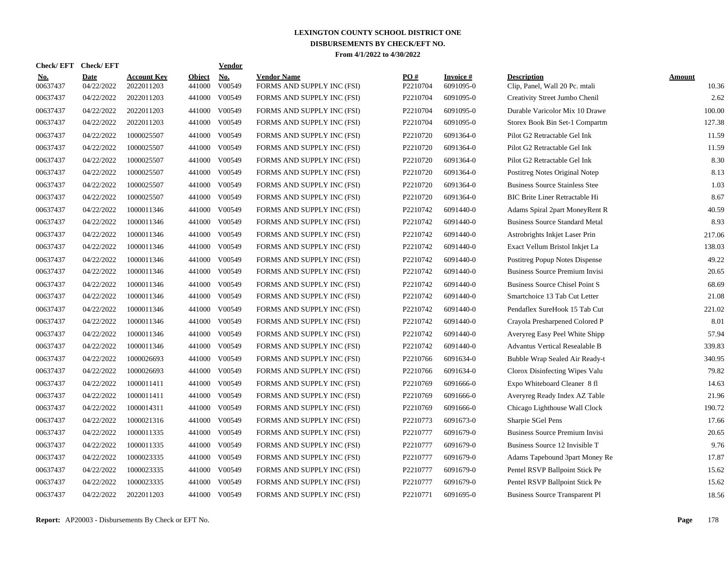| <b>Check/EFT</b>       | <b>Check/EFT</b>   |                                  |                         | <b>Vendor</b>        |                                                  |                 |                               |                                                      |                        |
|------------------------|--------------------|----------------------------------|-------------------------|----------------------|--------------------------------------------------|-----------------|-------------------------------|------------------------------------------------------|------------------------|
| <u>No.</u><br>00637437 | Date<br>04/22/2022 | <b>Account Kev</b><br>2022011203 | <b>Object</b><br>441000 | <b>No.</b><br>V00549 | <b>Vendor Name</b><br>FORMS AND SUPPLY INC (FSI) | PO#<br>P2210704 | <b>Invoice</b> #<br>6091095-0 | <b>Description</b><br>Clip, Panel, Wall 20 Pc. mtali | <b>Amount</b><br>10.36 |
| 00637437               | 04/22/2022         | 2022011203                       | 441000                  | V00549               | FORMS AND SUPPLY INC (FSI)                       | P2210704        | 6091095-0                     | Creativity Street Jumbo Chenil                       | 2.62                   |
| 00637437               | 04/22/2022         | 2022011203                       | 441000                  | V00549               | FORMS AND SUPPLY INC (FSI)                       | P2210704        | 6091095-0                     | Durable Varicolor Mix 10 Drawe                       | 100.00                 |
| 00637437               | 04/22/2022         | 2022011203                       | 441000                  | V00549               | FORMS AND SUPPLY INC (FSI)                       | P2210704        | 6091095-0                     | Storex Book Bin Set-1 Compartm                       | 127.38                 |
| 00637437               | 04/22/2022         | 1000025507                       | 441000                  | V00549               | FORMS AND SUPPLY INC (FSI)                       | P2210720        | 6091364-0                     | Pilot G2 Retractable Gel Ink                         | 11.59                  |
| 00637437               | 04/22/2022         | 1000025507                       | 441000                  | V00549               | FORMS AND SUPPLY INC (FSI)                       | P2210720        | 6091364-0                     | Pilot G2 Retractable Gel Ink                         | 11.59                  |
| 00637437               | 04/22/2022         | 1000025507                       | 441000                  | V00549               | FORMS AND SUPPLY INC (FSI)                       | P2210720        | 6091364-0                     | Pilot G2 Retractable Gel Ink                         | 8.30                   |
| 00637437               | 04/22/2022         | 1000025507                       | 441000                  | V00549               | FORMS AND SUPPLY INC (FSI)                       | P2210720        | 6091364-0                     | Postitreg Notes Original Notep                       | 8.13                   |
| 00637437               | 04/22/2022         | 1000025507                       | 441000                  | V00549               | FORMS AND SUPPLY INC (FSI)                       | P2210720        | 6091364-0                     | <b>Business Source Stainless Stee</b>                | 1.03                   |
| 00637437               | 04/22/2022         | 1000025507                       | 441000                  | V00549               | FORMS AND SUPPLY INC (FSI)                       | P2210720        | 6091364-0                     | <b>BIC Brite Liner Retractable Hi</b>                | 8.67                   |
| 00637437               | 04/22/2022         | 1000011346                       | 441000                  | V00549               | FORMS AND SUPPLY INC (FSI)                       | P2210742        | 6091440-0                     | Adams Spiral 2part MoneyRent R                       | 40.59                  |
| 00637437               | 04/22/2022         | 1000011346                       | 441000                  | V00549               | FORMS AND SUPPLY INC (FSI)                       | P2210742        | 6091440-0                     | <b>Business Source Standard Metal</b>                | 8.93                   |
| 00637437               | 04/22/2022         | 1000011346                       | 441000                  | V00549               | FORMS AND SUPPLY INC (FSI)                       | P2210742        | 6091440-0                     | Astrobrights Inkjet Laser Prin                       | 217.06                 |
| 00637437               | 04/22/2022         | 1000011346                       | 441000                  | V00549               | FORMS AND SUPPLY INC (FSI)                       | P2210742        | 6091440-0                     | Exact Vellum Bristol Inkjet La                       | 138.03                 |
| 00637437               | 04/22/2022         | 1000011346                       | 441000                  | V00549               | FORMS AND SUPPLY INC (FSI)                       | P2210742        | 6091440-0                     | Postitreg Popup Notes Dispense                       | 49.22                  |
| 00637437               | 04/22/2022         | 1000011346                       | 441000                  | V00549               | FORMS AND SUPPLY INC (FSI)                       | P2210742        | 6091440-0                     | <b>Business Source Premium Invisi</b>                | 20.65                  |
| 00637437               | 04/22/2022         | 1000011346                       | 441000                  | V00549               | FORMS AND SUPPLY INC (FSI)                       | P2210742        | 6091440-0                     | <b>Business Source Chisel Point S</b>                | 68.69                  |
| 00637437               | 04/22/2022         | 1000011346                       | 441000                  | V00549               | FORMS AND SUPPLY INC (FSI)                       | P2210742        | 6091440-0                     | Smartchoice 13 Tab Cut Letter                        | 21.08                  |
| 00637437               | 04/22/2022         | 1000011346                       | 441000                  | V00549               | FORMS AND SUPPLY INC (FSI)                       | P2210742        | 6091440-0                     | Pendaflex SureHook 15 Tab Cut                        | 221.02                 |
| 00637437               | 04/22/2022         | 1000011346                       | 441000                  | V00549               | FORMS AND SUPPLY INC (FSI)                       | P2210742        | 6091440-0                     | Crayola Presharpened Colored P                       | 8.01                   |
| 00637437               | 04/22/2022         | 1000011346                       | 441000                  | V00549               | FORMS AND SUPPLY INC (FSI)                       | P2210742        | 6091440-0                     | Averyreg Easy Peel White Shipp                       | 57.94                  |
| 00637437               | 04/22/2022         | 1000011346                       | 441000                  | V00549               | FORMS AND SUPPLY INC (FSI)                       | P2210742        | 6091440-0                     | <b>Advantus Vertical Resealable B</b>                | 339.83                 |
| 00637437               | 04/22/2022         | 1000026693                       | 441000                  | V00549               | FORMS AND SUPPLY INC (FSI)                       | P2210766        | 6091634-0                     | Bubble Wrap Sealed Air Ready-t                       | 340.95                 |
| 00637437               | 04/22/2022         | 1000026693                       | 441000                  | V00549               | FORMS AND SUPPLY INC (FSI)                       | P2210766        | 6091634-0                     | Clorox Disinfecting Wipes Valu                       | 79.82                  |
| 00637437               | 04/22/2022         | 1000011411                       | 441000                  | V00549               | FORMS AND SUPPLY INC (FSI)                       | P2210769        | 6091666-0                     | Expo Whiteboard Cleaner 8 fl                         | 14.63                  |
| 00637437               | 04/22/2022         | 1000011411                       | 441000                  | V00549               | FORMS AND SUPPLY INC (FSI)                       | P2210769        | 6091666-0                     | Averyreg Ready Index AZ Table                        | 21.96                  |
| 00637437               | 04/22/2022         | 1000014311                       | 441000                  | V00549               | FORMS AND SUPPLY INC (FSI)                       | P2210769        | 6091666-0                     | Chicago Lighthouse Wall Clock                        | 190.72                 |
| 00637437               | 04/22/2022         | 1000021316                       | 441000                  | V00549               | FORMS AND SUPPLY INC (FSI)                       | P2210773        | 6091673-0                     | Sharpie SGel Pens                                    | 17.66                  |
| 00637437               | 04/22/2022         | 1000011335                       | 441000                  | V00549               | FORMS AND SUPPLY INC (FSI)                       | P2210777        | 6091679-0                     | <b>Business Source Premium Invisi</b>                | 20.65                  |
| 00637437               | 04/22/2022         | 1000011335                       | 441000                  | V00549               | FORMS AND SUPPLY INC (FSI)                       | P2210777        | 6091679-0                     | Business Source 12 Invisible T                       | 9.76                   |
| 00637437               | 04/22/2022         | 1000023335                       |                         | 441000 V00549        | FORMS AND SUPPLY INC (FSI)                       | P2210777        | 6091679-0                     | Adams Tapebound 3part Money Re                       | 17.87                  |
| 00637437               | 04/22/2022         | 1000023335                       | 441000                  | V00549               | FORMS AND SUPPLY INC (FSI)                       | P2210777        | 6091679-0                     | Pentel RSVP Ballpoint Stick Pe                       | 15.62                  |
| 00637437               | 04/22/2022         | 1000023335                       | 441000                  | V00549               | FORMS AND SUPPLY INC (FSI)                       | P2210777        | 6091679-0                     | Pentel RSVP Ballpoint Stick Pe                       | 15.62                  |
| 00637437               | 04/22/2022         | 2022011203                       |                         | 441000 V00549        | FORMS AND SUPPLY INC (FSI)                       | P2210771        | 6091695-0                     | <b>Business Source Transparent Pl</b>                | 18.56                  |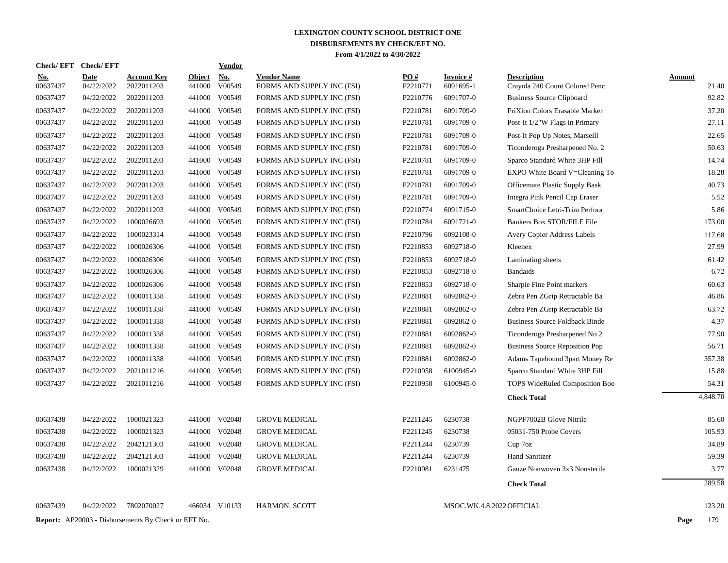|            | <b>Check/EFT</b> | <b>Check/EFT</b>          |                                                            |                         | <b>Vendor</b>        |                                                  |                 |                              |                                                      |                        |
|------------|------------------|---------------------------|------------------------------------------------------------|-------------------------|----------------------|--------------------------------------------------|-----------------|------------------------------|------------------------------------------------------|------------------------|
| <u>No.</u> | 00637437         | <b>Date</b><br>04/22/2022 | <b>Account Key</b><br>2022011203                           | <b>Object</b><br>441000 | <b>No.</b><br>V00549 | <b>Vendor Name</b><br>FORMS AND SUPPLY INC (FSI) | PO#<br>P2210771 | <b>Invoice#</b><br>6091695-1 | <b>Description</b><br>Crayola 240 Count Colored Penc | <b>Amount</b><br>21.40 |
|            | 00637437         | 04/22/2022                | 2022011203                                                 | 441000                  | V00549               | FORMS AND SUPPLY INC (FSI)                       | P2210776        | 6091707-0                    | <b>Business Source Clipboard</b>                     | 92.82                  |
|            | 00637437         | 04/22/2022                | 2022011203                                                 |                         | 441000 V00549        | FORMS AND SUPPLY INC (FSI)                       | P2210781        | 6091709-0                    | FriXion Colors Erasable Marker                       | 37.20                  |
|            | 00637437         | 04/22/2022                | 2022011203                                                 |                         | 441000 V00549        | FORMS AND SUPPLY INC (FSI)                       | P2210781        | 6091709-0                    | Post-It 1/2"W Flags in Primary                       | 27.11                  |
|            | 00637437         | 04/22/2022                | 2022011203                                                 |                         | 441000 V00549        | FORMS AND SUPPLY INC (FSI)                       | P2210781        | 6091709-0                    | Post-It Pop Up Notes, Marseill                       | 22.65                  |
|            | 00637437         | 04/22/2022                | 2022011203                                                 |                         | 441000 V00549        | FORMS AND SUPPLY INC (FSI)                       | P2210781        | 6091709-0                    | Ticonderoga Presharpened No. 2                       | 50.63                  |
|            | 00637437         | 04/22/2022                | 2022011203                                                 |                         | 441000 V00549        | FORMS AND SUPPLY INC (FSI)                       | P2210781        | 6091709-0                    | Sparco Standard White 3HP Fill                       | 14.74                  |
|            | 00637437         | 04/22/2022                | 2022011203                                                 |                         | 441000 V00549        | FORMS AND SUPPLY INC (FSI)                       | P2210781        | 6091709-0                    | EXPO White Board V=Cleaning To                       | 18.28                  |
|            | 00637437         | 04/22/2022                | 2022011203                                                 |                         | 441000 V00549        | FORMS AND SUPPLY INC (FSI)                       | P2210781        | 6091709-0                    | <b>Officemate Plastic Supply Bask</b>                | 40.73                  |
|            | 00637437         | 04/22/2022                | 2022011203                                                 |                         | 441000 V00549        | FORMS AND SUPPLY INC (FSI)                       | P2210781        | 6091709-0                    | Integra Pink Pencil Cap Eraser                       | 5.52                   |
|            | 00637437         | 04/22/2022                | 2022011203                                                 | 441000                  | V00549               | FORMS AND SUPPLY INC (FSI)                       | P2210774        | 6091715-0                    | SmartChoice Letri-Trim Perfora                       | 5.86                   |
|            | 00637437         | 04/22/2022                | 1000026693                                                 |                         | 441000 V00549        | FORMS AND SUPPLY INC (FSI)                       | P2210784        | 6091721-0                    | <b>Bankers Box STOR/FILE File</b>                    | 173.00                 |
|            | 00637437         | 04/22/2022                | 1000023314                                                 |                         | 441000 V00549        | FORMS AND SUPPLY INC (FSI)                       | P2210796        | 6092108-0                    | Avery Copier Address Labels                          | 117.68                 |
|            | 00637437         | 04/22/2022                | 1000026306                                                 |                         | 441000 V00549        | FORMS AND SUPPLY INC (FSI)                       | P2210853        | 6092718-0                    | Kleenex                                              | 27.99                  |
|            | 00637437         | 04/22/2022                | 1000026306                                                 |                         | 441000 V00549        | FORMS AND SUPPLY INC (FSI)                       | P2210853        | 6092718-0                    | Laminating sheets                                    | 61.42                  |
|            | 00637437         | 04/22/2022                | 1000026306                                                 |                         | 441000 V00549        | FORMS AND SUPPLY INC (FSI)                       | P2210853        | 6092718-0                    | <b>Bandaids</b>                                      | 6.72                   |
|            | 00637437         | 04/22/2022                | 1000026306                                                 |                         | 441000 V00549        | FORMS AND SUPPLY INC (FSI)                       | P2210853        | 6092718-0                    | Sharpie Fine Point markers                           | 60.63                  |
|            | 00637437         | 04/22/2022                | 1000011338                                                 |                         | 441000 V00549        | FORMS AND SUPPLY INC (FSI)                       | P2210881        | 6092862-0                    | Zebra Pen ZGrip Retractable Ba                       | 46.86                  |
|            | 00637437         | 04/22/2022                | 1000011338                                                 |                         | 441000 V00549        | FORMS AND SUPPLY INC (FSI)                       | P2210881        | 6092862-0                    | Zebra Pen ZGrip Retractable Ba                       | 63.72                  |
|            | 00637437         | 04/22/2022                | 1000011338                                                 |                         | 441000 V00549        | FORMS AND SUPPLY INC (FSI)                       | P2210881        | 6092862-0                    | <b>Business Source Foldback Binde</b>                | 4.37                   |
|            | 00637437         | 04/22/2022                | 1000011338                                                 |                         | 441000 V00549        | FORMS AND SUPPLY INC (FSI)                       | P2210881        | 6092862-0                    | Ticonderoga Presharpened No 2                        | 77.90                  |
|            | 00637437         | 04/22/2022                | 1000011338                                                 |                         | 441000 V00549        | FORMS AND SUPPLY INC (FSI)                       | P2210881        | 6092862-0                    | <b>Business Source Reposition Pop</b>                | 56.71                  |
|            | 00637437         | 04/22/2022                | 1000011338                                                 |                         | 441000 V00549        | FORMS AND SUPPLY INC (FSI)                       | P2210881        | 6092862-0                    | Adams Tapebound 3part Money Re                       | 357.38                 |
|            | 00637437         | 04/22/2022                | 2021011216                                                 |                         | 441000 V00549        | FORMS AND SUPPLY INC (FSI)                       | P2210958        | 6100945-0                    | Sparco Standard White 3HP Fill                       | 15.88                  |
|            | 00637437         | 04/22/2022                | 2021011216                                                 |                         | 441000 V00549        | FORMS AND SUPPLY INC (FSI)                       | P2210958        | 6100945-0                    | <b>TOPS WideRuled Composition Boo</b>                | 54.31                  |
|            |                  |                           |                                                            |                         |                      |                                                  |                 |                              | <b>Check Total</b>                                   | 4,848.70               |
|            | 00637438         | 04/22/2022                | 1000021323                                                 |                         | 441000 V02048        | <b>GROVE MEDICAL</b>                             | P2211245        | 6230738                      | NGPF7002B Glove Nitrile                              | 85.60                  |
|            | 00637438         | 04/22/2022                | 1000021323                                                 |                         | 441000 V02048        | <b>GROVE MEDICAL</b>                             | P2211245        | 6230738                      | 05031-750 Probe Covers                               | 105.93                 |
|            | 00637438         | 04/22/2022                | 2042121303                                                 |                         | 441000 V02048        | <b>GROVE MEDICAL</b>                             | P2211244        | 6230739                      | Cup 7oz                                              | 34.89                  |
|            | 00637438         | 04/22/2022                | 2042121303                                                 |                         | 441000 V02048        | <b>GROVE MEDICAL</b>                             | P2211244        | 6230739                      | <b>Hand Sanitizer</b>                                | 59.39                  |
|            | 00637438         | 04/22/2022                | 1000021329                                                 |                         | 441000 V02048        | <b>GROVE MEDICAL</b>                             | P2210981        | 6231475                      | Gauze Nonwoven 3x3 Nonsterile                        | 3.77                   |
|            |                  |                           |                                                            |                         |                      |                                                  |                 |                              | <b>Check Total</b>                                   | 289.58                 |
|            | 00637439         | 04/22/2022                | 7802070027                                                 |                         | 466034 V10133        | HARMON, SCOTT                                    |                 |                              | MSOC.WK.4.8.2022 OFFICIAL                            | 123.20                 |
|            |                  |                           | <b>Report:</b> AP20003 - Disbursements By Check or EFT No. |                         |                      |                                                  |                 |                              |                                                      | 179<br>Page            |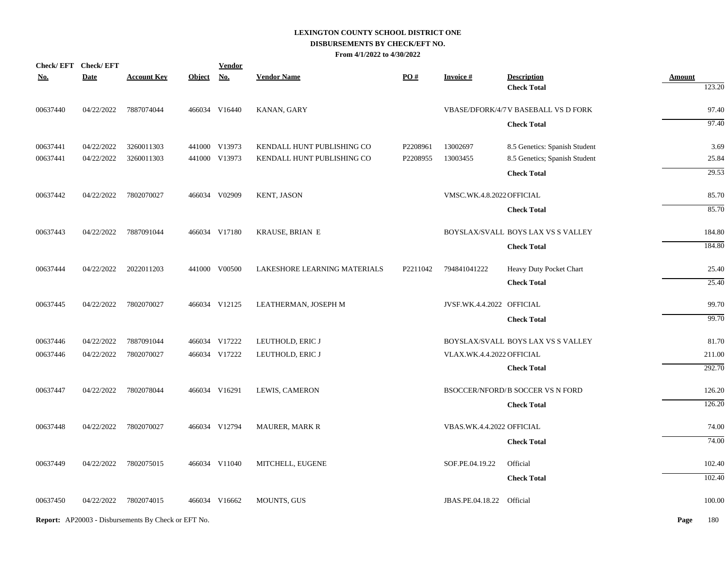|            | Check/EFT Check/EFT |                                                            |               | <b>Vendor</b> |                              |          |                           |                                         |               |        |
|------------|---------------------|------------------------------------------------------------|---------------|---------------|------------------------------|----------|---------------------------|-----------------------------------------|---------------|--------|
| <b>No.</b> | <b>Date</b>         | <b>Account Key</b>                                         | <b>Object</b> | <b>No.</b>    | <b>Vendor Name</b>           | PO#      | <b>Invoice#</b>           | <b>Description</b>                      | <b>Amount</b> |        |
|            |                     |                                                            |               |               |                              |          |                           | <b>Check Total</b>                      |               | 123.20 |
| 00637440   | 04/22/2022          | 7887074044                                                 |               | 466034 V16440 | KANAN, GARY                  |          |                           | VBASE/DFORK/4/7 V BASEBALL VS D FORK    |               | 97.40  |
|            |                     |                                                            |               |               |                              |          |                           | <b>Check Total</b>                      |               | 97.40  |
| 00637441   | 04/22/2022          | 3260011303                                                 |               | 441000 V13973 | KENDALL HUNT PUBLISHING CO   | P2208961 | 13002697                  | 8.5 Genetics: Spanish Student           |               | 3.69   |
| 00637441   | 04/22/2022          | 3260011303                                                 |               | 441000 V13973 | KENDALL HUNT PUBLISHING CO   | P2208955 | 13003455                  | 8.5 Genetics; Spanish Student           |               | 25.84  |
|            |                     |                                                            |               |               |                              |          |                           | <b>Check Total</b>                      |               | 29.53  |
| 00637442   | 04/22/2022          | 7802070027                                                 |               | 466034 V02909 | KENT, JASON                  |          | VMSC.WK.4.8.2022 OFFICIAL |                                         |               | 85.70  |
|            |                     |                                                            |               |               |                              |          |                           | <b>Check Total</b>                      |               | 85.70  |
| 00637443   | 04/22/2022          | 7887091044                                                 |               | 466034 V17180 | <b>KRAUSE, BRIAN E</b>       |          |                           | BOYSLAX/SVALL BOYS LAX VS S VALLEY      |               | 184.80 |
|            |                     |                                                            |               |               |                              |          |                           | <b>Check Total</b>                      |               | 184.80 |
| 00637444   | 04/22/2022          | 2022011203                                                 |               | 441000 V00500 | LAKESHORE LEARNING MATERIALS | P2211042 | 794841041222              | Heavy Duty Pocket Chart                 |               | 25.40  |
|            |                     |                                                            |               |               |                              |          |                           | <b>Check Total</b>                      |               | 25.40  |
| 00637445   | 04/22/2022          | 7802070027                                                 |               | 466034 V12125 | LEATHERMAN, JOSEPH M         |          | JVSF.WK.4.4.2022 OFFICIAL |                                         |               | 99.70  |
|            |                     |                                                            |               |               |                              |          |                           | <b>Check Total</b>                      |               | 99.70  |
| 00637446   | 04/22/2022          | 7887091044                                                 |               | 466034 V17222 | LEUTHOLD, ERIC J             |          |                           | BOYSLAX/SVALL BOYS LAX VS S VALLEY      |               | 81.70  |
| 00637446   | 04/22/2022          | 7802070027                                                 |               | 466034 V17222 | LEUTHOLD, ERIC J             |          | VLAX.WK.4.4.2022 OFFICIAL |                                         |               | 211.00 |
|            |                     |                                                            |               |               |                              |          |                           | <b>Check Total</b>                      |               | 292.70 |
| 00637447   | 04/22/2022          | 7802078044                                                 |               | 466034 V16291 | LEWIS, CAMERON               |          |                           | <b>BSOCCER/NFORD/B SOCCER VS N FORD</b> |               | 126.20 |
|            |                     |                                                            |               |               |                              |          |                           | <b>Check Total</b>                      |               | 126.20 |
| 00637448   | 04/22/2022          | 7802070027                                                 |               | 466034 V12794 | <b>MAURER, MARK R</b>        |          | VBAS.WK.4.4.2022 OFFICIAL |                                         |               | 74.00  |
|            |                     |                                                            |               |               |                              |          |                           | <b>Check Total</b>                      |               | 74.00  |
| 00637449   | 04/22/2022          | 7802075015                                                 |               | 466034 V11040 | MITCHELL, EUGENE             |          | SOF.PE.04.19.22           | Official                                |               | 102.40 |
|            |                     |                                                            |               |               |                              |          |                           | <b>Check Total</b>                      |               | 102.40 |
| 00637450   | 04/22/2022          | 7802074015                                                 |               | 466034 V16662 | <b>MOUNTS, GUS</b>           |          | JBAS.PE.04.18.22 Official |                                         |               | 100.00 |
|            |                     | <b>Report:</b> AP20003 - Disbursements By Check or EFT No. |               |               |                              |          |                           |                                         | Page          | 180    |
|            |                     |                                                            |               |               |                              |          |                           |                                         |               |        |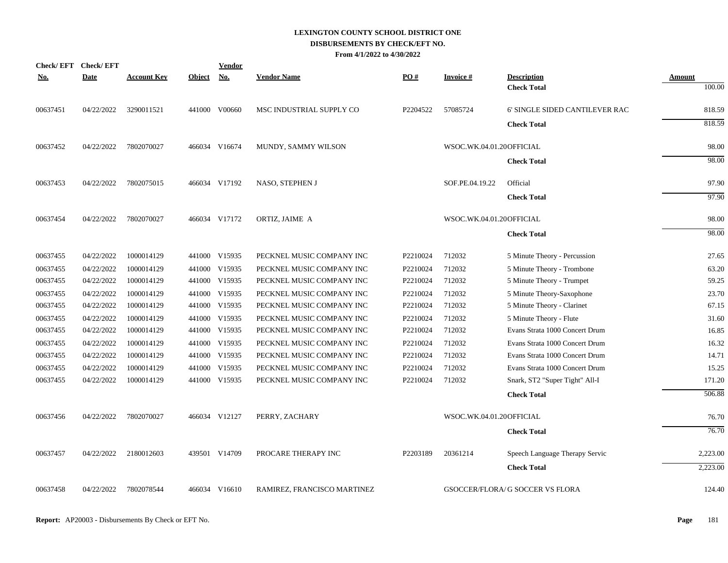|            | <b>Check/EFT</b> | <b>Check/EFT</b> |                    |               | <b>Vendor</b> |                             |          |                          |                                          |                  |
|------------|------------------|------------------|--------------------|---------------|---------------|-----------------------------|----------|--------------------------|------------------------------------------|------------------|
| <u>No.</u> |                  | <b>Date</b>      | <u>Account Key</u> | <b>Object</b> | No.           | Vendor Name                 | PO#      | <u>Invoice #</u>         | <b>Description</b><br><b>Check Total</b> | Amount<br>100.00 |
|            | 00637451         | 04/22/2022       | 3290011521         |               | 441000 V00660 | MSC INDUSTRIAL SUPPLY CO    | P2204522 | 57085724                 | 6' SINGLE SIDED CANTILEVER RAC           | 818.59           |
|            |                  |                  |                    |               |               |                             |          |                          | <b>Check Total</b>                       | 818.59           |
|            | 00637452         | 04/22/2022       | 7802070027         |               | 466034 V16674 | MUNDY, SAMMY WILSON         |          | WSOC.WK.04.01.20OFFICIAL |                                          | 98.00            |
|            |                  |                  |                    |               |               |                             |          |                          | <b>Check Total</b>                       | 98.00            |
|            | 00637453         | 04/22/2022       | 7802075015         |               | 466034 V17192 | NASO, STEPHEN J             |          | SOF.PE.04.19.22          | Official                                 | 97.90            |
|            |                  |                  |                    |               |               |                             |          |                          | <b>Check Total</b>                       | 97.90            |
|            | 00637454         | 04/22/2022       | 7802070027         |               | 466034 V17172 | ORTIZ, JAIME A              |          | WSOC.WK.04.01.20OFFICIAL |                                          | 98.00            |
|            |                  |                  |                    |               |               |                             |          |                          | <b>Check Total</b>                       | 98.00            |
|            | 00637455         | 04/22/2022       | 1000014129         |               | 441000 V15935 | PECKNEL MUSIC COMPANY INC   | P2210024 | 712032                   | 5 Minute Theory - Percussion             | 27.65            |
|            | 00637455         | 04/22/2022       | 1000014129         |               | 441000 V15935 | PECKNEL MUSIC COMPANY INC   | P2210024 | 712032                   | 5 Minute Theory - Trombone               | 63.20            |
|            | 00637455         | 04/22/2022       | 1000014129         |               | 441000 V15935 | PECKNEL MUSIC COMPANY INC   | P2210024 | 712032                   | 5 Minute Theory - Trumpet                | 59.25            |
|            | 00637455         | 04/22/2022       | 1000014129         |               | 441000 V15935 | PECKNEL MUSIC COMPANY INC   | P2210024 | 712032                   | 5 Minute Theory-Saxophone                | 23.70            |
|            | 00637455         | 04/22/2022       | 1000014129         |               | 441000 V15935 | PECKNEL MUSIC COMPANY INC   | P2210024 | 712032                   | 5 Minute Theory - Clarinet               | 67.15            |
|            | 00637455         | 04/22/2022       | 1000014129         |               | 441000 V15935 | PECKNEL MUSIC COMPANY INC   | P2210024 | 712032                   | 5 Minute Theory - Flute                  | 31.60            |
|            | 00637455         | 04/22/2022       | 1000014129         |               | 441000 V15935 | PECKNEL MUSIC COMPANY INC   | P2210024 | 712032                   | Evans Strata 1000 Concert Drum           | 16.85            |
|            | 00637455         | 04/22/2022       | 1000014129         |               | 441000 V15935 | PECKNEL MUSIC COMPANY INC   | P2210024 | 712032                   | Evans Strata 1000 Concert Drum           | 16.32            |
|            | 00637455         | 04/22/2022       | 1000014129         |               | 441000 V15935 | PECKNEL MUSIC COMPANY INC   | P2210024 | 712032                   | Evans Strata 1000 Concert Drum           | 14.71            |
|            | 00637455         | 04/22/2022       | 1000014129         |               | 441000 V15935 | PECKNEL MUSIC COMPANY INC   | P2210024 | 712032                   | Evans Strata 1000 Concert Drum           | 15.25            |
|            | 00637455         | 04/22/2022       | 1000014129         |               | 441000 V15935 | PECKNEL MUSIC COMPANY INC   | P2210024 | 712032                   | Snark, ST2 "Super Tight" All-I           | 171.20           |
|            |                  |                  |                    |               |               |                             |          |                          | <b>Check Total</b>                       | 506.88           |
|            | 00637456         | 04/22/2022       | 7802070027         |               | 466034 V12127 | PERRY, ZACHARY              |          | WSOC.WK.04.01.20OFFICIAL |                                          | 76.70            |
|            |                  |                  |                    |               |               |                             |          |                          | <b>Check Total</b>                       | 76.70            |
|            | 00637457         | 04/22/2022       | 2180012603         |               | 439501 V14709 | PROCARE THERAPY INC         | P2203189 | 20361214                 | Speech Language Therapy Servic           | 2,223.00         |
|            |                  |                  |                    |               |               |                             |          |                          | <b>Check Total</b>                       | 2.223.00         |
|            | 00637458         | 04/22/2022       | 7802078544         |               | 466034 V16610 | RAMIREZ, FRANCISCO MARTINEZ |          |                          | GSOCCER/FLORA/ G SOCCER VS FLORA         | 124.40           |
|            |                  |                  |                    |               |               |                             |          |                          |                                          |                  |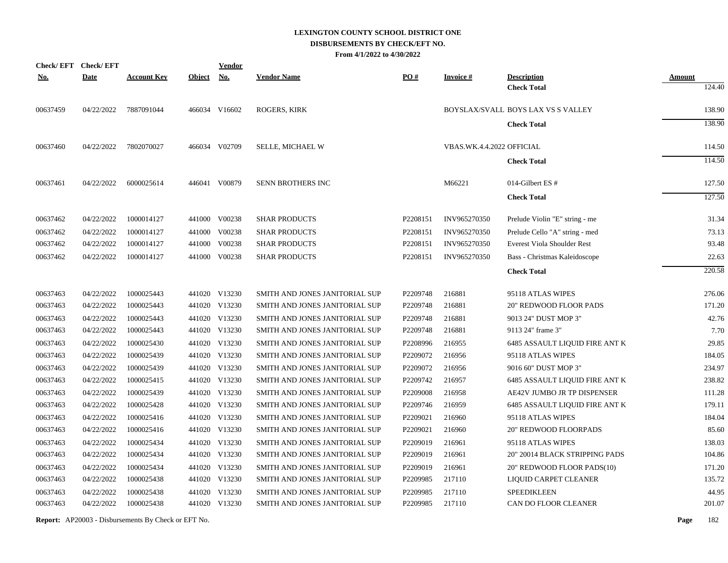|            | Check/EFT Check/EFT |                    |               | <b>Vendor</b> |                                |                   |                           |                                    |               |
|------------|---------------------|--------------------|---------------|---------------|--------------------------------|-------------------|---------------------------|------------------------------------|---------------|
| <u>No.</u> | <b>Date</b>         | <u>Account Key</u> | <b>Object</b> | <b>No.</b>    | <b>Vendor Name</b>             | $\underline{PO#}$ | <b>Invoice#</b>           | <b>Description</b>                 | <b>Amount</b> |
|            |                     |                    |               |               |                                |                   |                           | <b>Check Total</b>                 | 124.40        |
| 00637459   | 04/22/2022          | 7887091044         |               | 466034 V16602 | <b>ROGERS, KIRK</b>            |                   |                           | BOYSLAX/SVALL BOYS LAX VS S VALLEY | 138.90        |
|            |                     |                    |               |               |                                |                   |                           | <b>Check Total</b>                 | 138.90        |
| 00637460   | 04/22/2022          | 7802070027         |               | 466034 V02709 | SELLE, MICHAEL W               |                   | VBAS.WK.4.4.2022 OFFICIAL |                                    | 114.50        |
|            |                     |                    |               |               |                                |                   |                           | <b>Check Total</b>                 | 114.50        |
| 00637461   | 04/22/2022          | 6000025614         |               | 446041 V00879 | <b>SENN BROTHERS INC</b>       |                   | M66221                    | 014-Gilbert ES #                   | 127.50        |
|            |                     |                    |               |               |                                |                   |                           | <b>Check Total</b>                 | 127.50        |
| 00637462   | 04/22/2022          | 1000014127         |               | 441000 V00238 | <b>SHAR PRODUCTS</b>           | P2208151          | INV965270350              | Prelude Violin "E" string - me     | 31.34         |
| 00637462   | 04/22/2022          | 1000014127         |               | 441000 V00238 | <b>SHAR PRODUCTS</b>           | P2208151          | INV965270350              | Prelude Cello "A" string - med     | 73.13         |
| 00637462   | 04/22/2022          | 1000014127         |               | 441000 V00238 | <b>SHAR PRODUCTS</b>           | P2208151          | INV965270350              | <b>Everest Viola Shoulder Rest</b> | 93.48         |
| 00637462   | 04/22/2022          | 1000014127         |               | 441000 V00238 | <b>SHAR PRODUCTS</b>           | P2208151          | INV965270350              | Bass - Christmas Kaleidoscope      | 22.63         |
|            |                     |                    |               |               |                                |                   |                           | <b>Check Total</b>                 | 220.58        |
| 00637463   | 04/22/2022          | 1000025443         |               | 441020 V13230 | SMITH AND JONES JANITORIAL SUP | P2209748          | 216881                    | 95118 ATLAS WIPES                  | 276.06        |
| 00637463   | 04/22/2022          | 1000025443         |               | 441020 V13230 | SMITH AND JONES JANITORIAL SUP | P2209748          | 216881                    | <b>20" REDWOOD FLOOR PADS</b>      | 171.20        |
| 00637463   | 04/22/2022          | 1000025443         |               | 441020 V13230 | SMITH AND JONES JANITORIAL SUP | P2209748          | 216881                    | 9013 24" DUST MOP 3"               | 42.76         |
| 00637463   | 04/22/2022          | 1000025443         |               | 441020 V13230 | SMITH AND JONES JANITORIAL SUP | P2209748          | 216881                    | 9113 24" frame 3"                  | 7.70          |
| 00637463   | 04/22/2022          | 1000025430         |               | 441020 V13230 | SMITH AND JONES JANITORIAL SUP | P2208996          | 216955                    | 6485 ASSAULT LIQUID FIRE ANT K     | 29.85         |
| 00637463   | 04/22/2022          | 1000025439         |               | 441020 V13230 | SMITH AND JONES JANITORIAL SUP | P2209072          | 216956                    | 95118 ATLAS WIPES                  | 184.05        |
| 00637463   | 04/22/2022          | 1000025439         |               | 441020 V13230 | SMITH AND JONES JANITORIAL SUP | P2209072          | 216956                    | 9016 60" DUST MOP 3"               | 234.97        |
| 00637463   | 04/22/2022          | 1000025415         |               | 441020 V13230 | SMITH AND JONES JANITORIAL SUP | P2209742          | 216957                    | 6485 ASSAULT LIQUID FIRE ANT K     | 238.82        |
| 00637463   | 04/22/2022          | 1000025439         |               | 441020 V13230 | SMITH AND JONES JANITORIAL SUP | P2209008          | 216958                    | AE42V JUMBO JR TP DISPENSER        | 111.28        |
| 00637463   | 04/22/2022          | 1000025428         |               | 441020 V13230 | SMITH AND JONES JANITORIAL SUP | P2209746          | 216959                    | 6485 ASSAULT LIQUID FIRE ANT K     | 179.11        |
| 00637463   | 04/22/2022          | 1000025416         |               | 441020 V13230 | SMITH AND JONES JANITORIAL SUP | P2209021          | 216960                    | 95118 ATLAS WIPES                  | 184.04        |
| 00637463   | 04/22/2022          | 1000025416         |               | 441020 V13230 | SMITH AND JONES JANITORIAL SUP | P2209021          | 216960                    | <b>20" REDWOOD FLOORPADS</b>       | 85.60         |
| 00637463   | 04/22/2022          | 1000025434         |               | 441020 V13230 | SMITH AND JONES JANITORIAL SUP | P2209019          | 216961                    | 95118 ATLAS WIPES                  | 138.03        |
| 00637463   | 04/22/2022          | 1000025434         |               | 441020 V13230 | SMITH AND JONES JANITORIAL SUP | P2209019          | 216961                    | 20" 20014 BLACK STRIPPING PADS     | 104.86        |
| 00637463   | 04/22/2022          | 1000025434         |               | 441020 V13230 | SMITH AND JONES JANITORIAL SUP | P2209019          | 216961                    | 20" REDWOOD FLOOR PADS(10)         | 171.20        |
| 00637463   | 04/22/2022          | 1000025438         |               | 441020 V13230 | SMITH AND JONES JANITORIAL SUP | P2209985          | 217110                    | LIQUID CARPET CLEANER              | 135.72        |
| 00637463   | 04/22/2022          | 1000025438         |               | 441020 V13230 | SMITH AND JONES JANITORIAL SUP | P2209985          | 217110                    | <b>SPEEDIKLEEN</b>                 | 44.95         |
| 00637463   | 04/22/2022          | 1000025438         |               | 441020 V13230 | SMITH AND JONES JANITORIAL SUP | P2209985          | 217110                    | CAN DO FLOOR CLEANER               | 201.07        |
|            |                     |                    |               |               |                                |                   |                           |                                    |               |

**Report:** AP20003 - Disbursements By Check or EFT No. **Page** 182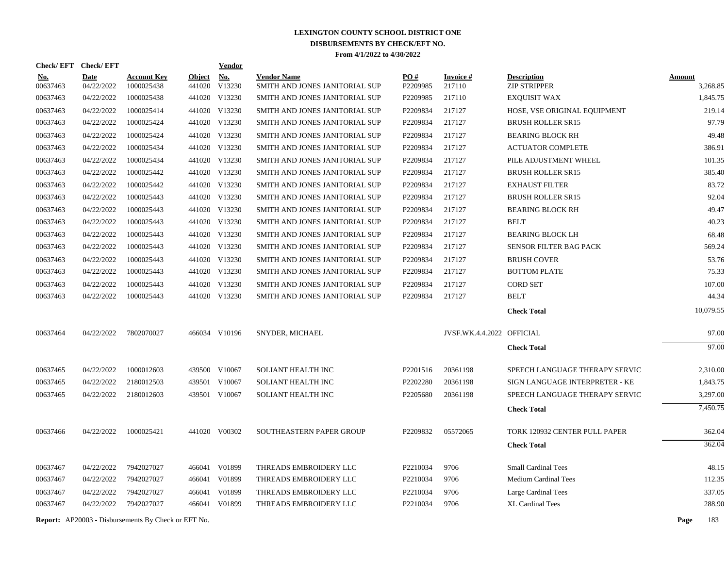| Check/EFT Check/EFT  |                          |                                                            |               | Vendor                  |                                |                      |                           |                                |        |                      |
|----------------------|--------------------------|------------------------------------------------------------|---------------|-------------------------|--------------------------------|----------------------|---------------------------|--------------------------------|--------|----------------------|
| <u>No.</u>           | <b>Date</b>              | <b>Account Key</b>                                         | <b>Object</b> | <b>No.</b>              | <b>Vendor Name</b>             | PO#                  | <b>Invoice#</b>           | <b>Description</b>             | Amount |                      |
| 00637463<br>00637463 | 04/22/2022<br>04/22/2022 | 1000025438<br>1000025438                                   | 441020        | V13230<br>441020 V13230 | SMITH AND JONES JANITORIAL SUP | P2209985<br>P2209985 | 217110<br>217110          | <b>ZIP STRIPPER</b>            |        | 3,268.85<br>1,845.75 |
|                      |                          |                                                            |               |                         | SMITH AND JONES JANITORIAL SUP |                      |                           | <b>EXQUISIT WAX</b>            |        |                      |
| 00637463             | 04/22/2022               | 1000025414                                                 |               | 441020 V13230           | SMITH AND JONES JANITORIAL SUP | P2209834             | 217127                    | HOSE, VSE ORIGINAL EQUIPMENT   |        | 219.14<br>97.79      |
| 00637463             | 04/22/2022               | 1000025424                                                 |               | 441020 V13230           | SMITH AND JONES JANITORIAL SUP | P2209834             | 217127                    | <b>BRUSH ROLLER SR15</b>       |        |                      |
| 00637463             | 04/22/2022               | 1000025424                                                 |               | 441020 V13230           | SMITH AND JONES JANITORIAL SUP | P2209834             | 217127                    | <b>BEARING BLOCK RH</b>        |        | 49.48                |
| 00637463             | 04/22/2022               | 1000025434                                                 |               | 441020 V13230           | SMITH AND JONES JANITORIAL SUP | P2209834             | 217127                    | ACTUATOR COMPLETE              |        | 386.91               |
| 00637463             | 04/22/2022               | 1000025434                                                 |               | 441020 V13230           | SMITH AND JONES JANITORIAL SUP | P2209834             | 217127                    | PILE ADJUSTMENT WHEEL          |        | 101.35               |
| 00637463             | 04/22/2022               | 1000025442                                                 |               | 441020 V13230           | SMITH AND JONES JANITORIAL SUP | P2209834             | 217127                    | <b>BRUSH ROLLER SR15</b>       |        | 385.40               |
| 00637463             | 04/22/2022               | 1000025442                                                 |               | 441020 V13230           | SMITH AND JONES JANITORIAL SUP | P2209834             | 217127                    | <b>EXHAUST FILTER</b>          |        | 83.72                |
| 00637463             | 04/22/2022               | 1000025443                                                 |               | 441020 V13230           | SMITH AND JONES JANITORIAL SUP | P2209834             | 217127                    | <b>BRUSH ROLLER SR15</b>       |        | 92.04                |
| 00637463             | 04/22/2022               | 1000025443                                                 |               | 441020 V13230           | SMITH AND JONES JANITORIAL SUP | P2209834             | 217127                    | <b>BEARING BLOCK RH</b>        |        | 49.47                |
| 00637463             | 04/22/2022               | 1000025443                                                 |               | 441020 V13230           | SMITH AND JONES JANITORIAL SUP | P2209834             | 217127                    | <b>BELT</b>                    |        | 40.23                |
| 00637463             | 04/22/2022               | 1000025443                                                 |               | 441020 V13230           | SMITH AND JONES JANITORIAL SUP | P2209834             | 217127                    | <b>BEARING BLOCK LH</b>        |        | 68.48                |
| 00637463             | 04/22/2022               | 1000025443                                                 |               | 441020 V13230           | SMITH AND JONES JANITORIAL SUP | P2209834             | 217127                    | <b>SENSOR FILTER BAG PACK</b>  |        | 569.24               |
| 00637463             | 04/22/2022               | 1000025443                                                 |               | 441020 V13230           | SMITH AND JONES JANITORIAL SUP | P2209834             | 217127                    | <b>BRUSH COVER</b>             |        | 53.76                |
| 00637463             | 04/22/2022               | 1000025443                                                 |               | 441020 V13230           | SMITH AND JONES JANITORIAL SUP | P2209834             | 217127                    | <b>BOTTOM PLATE</b>            |        | 75.33                |
| 00637463             | 04/22/2022               | 1000025443                                                 |               | 441020 V13230           | SMITH AND JONES JANITORIAL SUP | P2209834             | 217127                    | <b>CORD SET</b>                |        | 107.00               |
| 00637463             | 04/22/2022               | 1000025443                                                 |               | 441020 V13230           | SMITH AND JONES JANITORIAL SUP | P2209834             | 217127                    | <b>BELT</b>                    |        | 44.34                |
|                      |                          |                                                            |               |                         |                                |                      |                           | <b>Check Total</b>             |        | 10,079.55            |
| 00637464             | 04/22/2022               | 7802070027                                                 |               | 466034 V10196           | SNYDER, MICHAEL                |                      | JVSF.WK.4.4.2022 OFFICIAL |                                |        | 97.00                |
|                      |                          |                                                            |               |                         |                                |                      |                           | <b>Check Total</b>             |        | 97.00                |
| 00637465             | 04/22/2022               | 1000012603                                                 |               | 439500 V10067           | SOLIANT HEALTH INC             | P2201516             | 20361198                  | SPEECH LANGUAGE THERAPY SERVIC |        | 2,310.00             |
| 00637465             | 04/22/2022               | 2180012503                                                 |               | 439501 V10067           | <b>SOLIANT HEALTH INC</b>      | P2202280             | 20361198                  | SIGN LANGUAGE INTERPRETER - KE |        | 1,843.75             |
| 00637465             | 04/22/2022               | 2180012603                                                 |               | 439501 V10067           | SOLIANT HEALTH INC             | P2205680             | 20361198                  | SPEECH LANGUAGE THERAPY SERVIC |        | 3,297.00             |
|                      |                          |                                                            |               |                         |                                |                      |                           | <b>Check Total</b>             |        | 7,450.75             |
| 00637466             | 04/22/2022               | 1000025421                                                 |               | 441020 V00302           | SOUTHEASTERN PAPER GROUP       | P2209832             | 05572065                  | TORK 120932 CENTER PULL PAPER  |        | 362.04               |
|                      |                          |                                                            |               |                         |                                |                      |                           | <b>Check Total</b>             |        | 362.04               |
| 00637467             | 04/22/2022               | 7942027027                                                 |               | 466041 V01899           | THREADS EMBROIDERY LLC         | P2210034             | 9706                      | <b>Small Cardinal Tees</b>     |        | 48.15                |
| 00637467             | 04/22/2022               | 7942027027                                                 |               | 466041 V01899           | THREADS EMBROIDERY LLC         | P2210034             | 9706                      | <b>Medium Cardinal Tees</b>    |        | 112.35               |
| 00637467             | 04/22/2022               | 7942027027                                                 |               | 466041 V01899           | THREADS EMBROIDERY LLC         | P2210034             | 9706                      | Large Cardinal Tees            |        | 337.05               |
| 00637467             | 04/22/2022               | 7942027027                                                 |               | 466041 V01899           | THREADS EMBROIDERY LLC         | P2210034             | 9706                      | XL Cardinal Tees               |        | 288.90               |
|                      |                          | <b>Report:</b> AP20003 - Disbursements By Check or EFT No. |               |                         |                                |                      |                           |                                | Page   | 183                  |
|                      |                          |                                                            |               |                         |                                |                      |                           |                                |        |                      |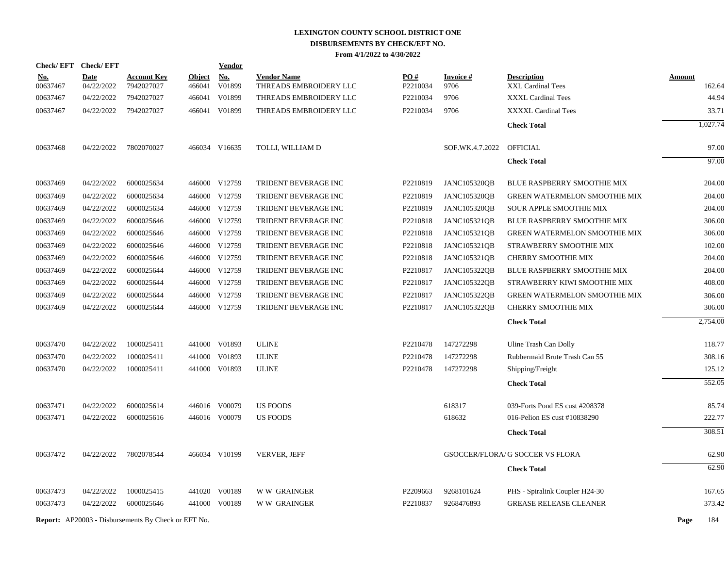|            | Check/EFT Check/EFT |                                                            |               | <b>Vendor</b> |                        |          |                     |                                  |                       |
|------------|---------------------|------------------------------------------------------------|---------------|---------------|------------------------|----------|---------------------|----------------------------------|-----------------------|
| <u>No.</u> | <b>Date</b>         | <b>Account Key</b>                                         | <b>Object</b> | <b>No.</b>    | <b>Vendor Name</b>     | PO#      | <b>Invoice#</b>     | <b>Description</b>               | <b>Amount</b>         |
| 00637467   | 04/22/2022          | 7942027027                                                 | 466041        | V01899        | THREADS EMBROIDERY LLC | P2210034 | 9706                | XXL Cardinal Tees                | 162.64                |
| 00637467   | 04/22/2022          | 7942027027                                                 | 466041        | V01899        | THREADS EMBROIDERY LLC | P2210034 | 9706                | <b>XXXL Cardinal Tees</b>        | 44.94                 |
| 00637467   | 04/22/2022          | 7942027027                                                 |               | 466041 V01899 | THREADS EMBROIDERY LLC | P2210034 | 9706                | XXXXL Cardinal Tees              | 33.71                 |
|            |                     |                                                            |               |               |                        |          |                     | <b>Check Total</b>               | $1,\overline{027.74}$ |
| 00637468   | 04/22/2022          | 7802070027                                                 |               | 466034 V16635 | TOLLI, WILLIAM D       |          | SOF.WK.4.7.2022     | OFFICIAL                         | 97.00                 |
|            |                     |                                                            |               |               |                        |          |                     | <b>Check Total</b>               | 97.00                 |
| 00637469   | 04/22/2022          | 6000025634                                                 |               | 446000 V12759 | TRIDENT BEVERAGE INC   | P2210819 | <b>JANC105320QB</b> | BLUE RASPBERRY SMOOTHIE MIX      | 204.00                |
| 00637469   | 04/22/2022          | 6000025634                                                 |               | 446000 V12759 | TRIDENT BEVERAGE INC   | P2210819 | <b>JANC105320QB</b> | GREEN WATERMELON SMOOTHIE MIX    | 204.00                |
| 00637469   | 04/22/2022          | 6000025634                                                 |               | 446000 V12759 | TRIDENT BEVERAGE INC   | P2210819 | <b>JANC105320QB</b> | <b>SOUR APPLE SMOOTHIE MIX</b>   | 204.00                |
| 00637469   | 04/22/2022          | 6000025646                                                 |               | 446000 V12759 | TRIDENT BEVERAGE INC   | P2210818 | JANC105321QB        | BLUE RASPBERRY SMOOTHIE MIX      | 306.00                |
| 00637469   | 04/22/2022          | 6000025646                                                 |               | 446000 V12759 | TRIDENT BEVERAGE INC   | P2210818 | <b>JANC105321QB</b> | GREEN WATERMELON SMOOTHIE MIX    | 306.00                |
| 00637469   | 04/22/2022          | 6000025646                                                 |               | 446000 V12759 | TRIDENT BEVERAGE INC   | P2210818 | JANC105321QB        | STRAWBERRY SMOOTHIE MIX          | 102.00                |
| 00637469   | 04/22/2022          | 6000025646                                                 |               | 446000 V12759 | TRIDENT BEVERAGE INC   | P2210818 | <b>JANC105321QB</b> | CHERRY SMOOTHIE MIX              | 204.00                |
| 00637469   | 04/22/2022          | 6000025644                                                 |               | 446000 V12759 | TRIDENT BEVERAGE INC   | P2210817 | JANC105322QB        | BLUE RASPBERRY SMOOTHIE MIX      | 204.00                |
| 00637469   | 04/22/2022          | 6000025644                                                 |               | 446000 V12759 | TRIDENT BEVERAGE INC   | P2210817 | JANC105322QB        | STRAWBERRY KIWI SMOOTHIE MIX     | 408.00                |
| 00637469   | 04/22/2022          | 6000025644                                                 |               | 446000 V12759 | TRIDENT BEVERAGE INC   | P2210817 | JANC105322QB        | GREEN WATERMELON SMOOTHIE MIX    | 306.00                |
| 00637469   | 04/22/2022          | 6000025644                                                 |               | 446000 V12759 | TRIDENT BEVERAGE INC   | P2210817 | JANC105322QB        | CHERRY SMOOTHIE MIX              | 306.00                |
|            |                     |                                                            |               |               |                        |          |                     | <b>Check Total</b>               | 2,754.00              |
| 00637470   | 04/22/2022          | 1000025411                                                 |               | 441000 V01893 | <b>ULINE</b>           | P2210478 | 147272298           | Uline Trash Can Dolly            | 118.77                |
| 00637470   | 04/22/2022          | 1000025411                                                 |               | 441000 V01893 | <b>ULINE</b>           | P2210478 | 147272298           | Rubbermaid Brute Trash Can 55    | 308.16                |
| 00637470   | 04/22/2022          | 1000025411                                                 |               | 441000 V01893 | <b>ULINE</b>           | P2210478 | 147272298           | Shipping/Freight                 | 125.12                |
|            |                     |                                                            |               |               |                        |          |                     | <b>Check Total</b>               | $\overline{552.05}$   |
| 00637471   | 04/22/2022          | 6000025614                                                 |               | 446016 V00079 | <b>US FOODS</b>        |          | 618317              | 039-Forts Pond ES cust #208378   | 85.74                 |
| 00637471   | 04/22/2022          | 6000025616                                                 |               | 446016 V00079 | <b>US FOODS</b>        |          | 618632              | 016-Pelion ES cust #10838290     | 222.77                |
|            |                     |                                                            |               |               |                        |          |                     | <b>Check Total</b>               | 308.51                |
| 00637472   | 04/22/2022          | 7802078544                                                 |               | 466034 V10199 | VERVER, JEFF           |          |                     | GSOCCER/FLORA/ G SOCCER VS FLORA | 62.90                 |
|            |                     |                                                            |               |               |                        |          |                     | <b>Check Total</b>               | 62.90                 |
|            |                     |                                                            |               |               |                        |          |                     |                                  |                       |
| 00637473   | 04/22/2022          | 1000025415                                                 |               | 441020 V00189 | <b>WW GRAINGER</b>     | P2209663 | 9268101624          | PHS - Spiralink Coupler H24-30   | 167.65                |
| 00637473   | 04/22/2022          | 6000025646                                                 |               | 441000 V00189 | <b>WW GRAINGER</b>     | P2210837 | 9268476893          | <b>GREASE RELEASE CLEANER</b>    | 373.42                |
|            |                     | <b>Report:</b> AP20003 - Disbursements By Check or EFT No. |               |               |                        |          |                     |                                  | 184<br>Page           |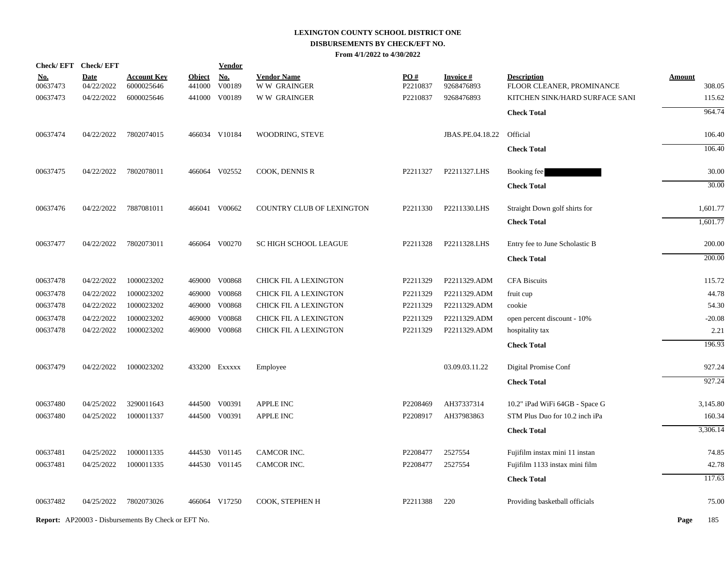|                        | Check/EFT Check/EFT       |                                                            |                         | <b>Vendor</b>        |                                          |                 |                         |                                                 |                  |
|------------------------|---------------------------|------------------------------------------------------------|-------------------------|----------------------|------------------------------------------|-----------------|-------------------------|-------------------------------------------------|------------------|
| <u>No.</u><br>00637473 | <b>Date</b><br>04/22/2022 | <u>Account Key</u><br>6000025646                           | <b>Object</b><br>441000 | <b>No.</b><br>V00189 | <b>Vendor Name</b><br><b>WW GRAINGER</b> | PO#<br>P2210837 | Invoice #<br>9268476893 | <b>Description</b><br>FLOOR CLEANER, PROMINANCE | Amount<br>308.05 |
| 00637473               | 04/22/2022                | 6000025646                                                 |                         | 441000 V00189        | <b>WW GRAINGER</b>                       | P2210837        | 9268476893              | KITCHEN SINK/HARD SURFACE SANI                  | 115.62           |
|                        |                           |                                                            |                         |                      |                                          |                 |                         | <b>Check Total</b>                              | 964.74           |
| 00637474               | 04/22/2022                | 7802074015                                                 |                         | 466034 V10184        | WOODRING, STEVE                          |                 | JBAS.PE.04.18.22        | Official                                        | 106.40           |
|                        |                           |                                                            |                         |                      |                                          |                 |                         | <b>Check Total</b>                              | 106.40           |
| 00637475               | 04/22/2022                | 7802078011                                                 |                         | 466064 V02552        | COOK, DENNIS R                           | P2211327        | P2211327.LHS            | Booking fee                                     | 30.00            |
|                        |                           |                                                            |                         |                      |                                          |                 |                         | <b>Check Total</b>                              | 30.00            |
| 00637476               | 04/22/2022                | 7887081011                                                 |                         | 466041 V00662        | COUNTRY CLUB OF LEXINGTON                | P2211330        | P2211330.LHS            | Straight Down golf shirts for                   | 1,601.77         |
|                        |                           |                                                            |                         |                      |                                          |                 |                         | <b>Check Total</b>                              | 1,601.77         |
| 00637477               | 04/22/2022                | 7802073011                                                 |                         | 466064 V00270        | <b>SC HIGH SCHOOL LEAGUE</b>             | P2211328        | P2211328.LHS            | Entry fee to June Scholastic B                  | 200.00           |
|                        |                           |                                                            |                         |                      |                                          |                 |                         | <b>Check Total</b>                              | 200.00           |
| 00637478               | 04/22/2022                | 1000023202                                                 |                         | 469000 V00868        | CHICK FIL A LEXINGTON                    | P2211329        | P2211329.ADM            | <b>CFA Biscuits</b>                             | 115.72           |
| 00637478               | 04/22/2022                | 1000023202                                                 |                         | 469000 V00868        | CHICK FIL A LEXINGTON                    | P2211329        | P2211329.ADM            | fruit cup                                       | 44.78            |
| 00637478               | 04/22/2022                | 1000023202                                                 |                         | 469000 V00868        | CHICK FIL A LEXINGTON                    | P2211329        | P2211329.ADM            | cookie                                          | 54.30            |
| 00637478               | 04/22/2022                | 1000023202                                                 |                         | 469000 V00868        | CHICK FIL A LEXINGTON                    | P2211329        | P2211329.ADM            | open percent discount - 10%                     | $-20.08$         |
| 00637478               | 04/22/2022                | 1000023202                                                 |                         | 469000 V00868        | CHICK FIL A LEXINGTON                    | P2211329        | P2211329.ADM            | hospitality tax                                 | 2.21             |
|                        |                           |                                                            |                         |                      |                                          |                 |                         | <b>Check Total</b>                              | 196.93           |
| 00637479               | 04/22/2022                | 1000023202                                                 |                         | 433200 Exxxxx        | Employee                                 |                 | 03.09.03.11.22          | Digital Promise Conf                            | 927.24           |
|                        |                           |                                                            |                         |                      |                                          |                 |                         | <b>Check Total</b>                              | 927.24           |
| 00637480               | 04/25/2022                | 3290011643                                                 |                         | 444500 V00391        | APPLE INC                                | P2208469        | AH37337314              | 10.2" iPad WiFi 64GB - Space G                  | 3,145.80         |
| 00637480               | 04/25/2022                | 1000011337                                                 |                         | 444500 V00391        | APPLE INC                                | P2208917        | AH37983863              | STM Plus Duo for 10.2 inch iPa                  | 160.34           |
|                        |                           |                                                            |                         |                      |                                          |                 |                         | <b>Check Total</b>                              | 3,306.14         |
| 00637481               | 04/25/2022                | 1000011335                                                 |                         | 444530 V01145        | CAMCOR INC.                              | P2208477        | 2527554                 | Fujifilm instax mini 11 instan                  | 74.85            |
| 00637481               | 04/25/2022                | 1000011335                                                 |                         | 444530 V01145        | CAMCOR INC.                              | P2208477        | 2527554                 | Fujifilm 1133 instax mini film                  | 42.78            |
|                        |                           |                                                            |                         |                      |                                          |                 |                         | <b>Check Total</b>                              | 117.63           |
| 00637482               | 04/25/2022                | 7802073026                                                 |                         | 466064 V17250        | COOK, STEPHEN H                          | P2211388        | 220                     | Providing basketball officials                  | 75.00            |
|                        |                           | <b>Report:</b> AP20003 - Disbursements By Check or EFT No. |                         |                      |                                          |                 |                         |                                                 | Page<br>185      |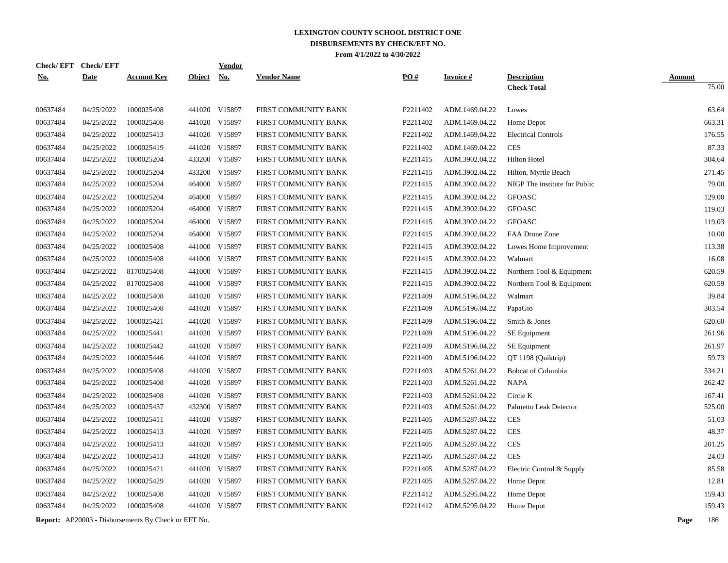| <b>Check/EFT</b> | <b>Check/EFT</b> |                    |               | Vendor        |                      |          |                 |                               |               |
|------------------|------------------|--------------------|---------------|---------------|----------------------|----------|-----------------|-------------------------------|---------------|
| <u>No.</u>       | <b>Date</b>      | <b>Account Key</b> | <b>Object</b> | <u>No.</u>    | <b>Vendor Name</b>   | PO#      | <b>Invoice#</b> | <b>Description</b>            | <b>Amount</b> |
|                  |                  |                    |               |               |                      |          |                 | <b>Check Total</b>            | 75.00         |
| 00637484         | 04/25/2022       | 1000025408         |               | 441020 V15897 | FIRST COMMUNITY BANK | P2211402 | ADM.1469.04.22  | Lowes                         | 63.64         |
| 00637484         | 04/25/2022       | 1000025408         | 441020        | V15897        | FIRST COMMUNITY BANK | P2211402 | ADM.1469.04.22  | Home Depot                    | 663.31        |
| 00637484         | 04/25/2022       | 1000025413         | 441020        | V15897        | FIRST COMMUNITY BANK | P2211402 | ADM.1469.04.22  | <b>Electrical Controls</b>    | 176.55        |
| 00637484         | 04/25/2022       | 1000025419         | 441020        | V15897        | FIRST COMMUNITY BANK | P2211402 | ADM.1469.04.22  | <b>CES</b>                    | 87.33         |
| 00637484         | 04/25/2022       | 1000025204         | 433200        | V15897        | FIRST COMMUNITY BANK | P2211415 | ADM.3902.04.22  | <b>Hilton Hotel</b>           | 304.64        |
| 00637484         | 04/25/2022       | 1000025204         | 433200        | V15897        | FIRST COMMUNITY BANK | P2211415 | ADM.3902.04.22  | Hilton, Myrtle Beach          | 271.45        |
| 00637484         | 04/25/2022       | 1000025204         | 464000        | V15897        | FIRST COMMUNITY BANK | P2211415 | ADM.3902.04.22  | NIGP The institute for Public | 79.00         |
| 00637484         | 04/25/2022       | 1000025204         | 464000        | V15897        | FIRST COMMUNITY BANK | P2211415 | ADM.3902.04.22  | <b>GFOASC</b>                 | 129.00        |
| 00637484         | 04/25/2022       | 1000025204         | 464000        | V15897        | FIRST COMMUNITY BANK | P2211415 | ADM.3902.04.22  | <b>GFOASC</b>                 | 119.03        |
| 00637484         | 04/25/2022       | 1000025204         | 464000        | V15897        | FIRST COMMUNITY BANK | P2211415 | ADM.3902.04.22  | <b>GFOASC</b>                 | 119.03        |
| 00637484         | 04/25/2022       | 1000025204         |               | 464000 V15897 | FIRST COMMUNITY BANK | P2211415 | ADM.3902.04.22  | FAA Drone Zone                | 10.00         |
| 00637484         | 04/25/2022       | 1000025408         | 441000        | V15897        | FIRST COMMUNITY BANK | P2211415 | ADM.3902.04.22  | Lowes Home Improvement        | 113.38        |
| 00637484         | 04/25/2022       | 1000025408         | 441000        | V15897        | FIRST COMMUNITY BANK | P2211415 | ADM.3902.04.22  | Walmart                       | 16.08         |
| 00637484         | 04/25/2022       | 8170025408         | 441000        | V15897        | FIRST COMMUNITY BANK | P2211415 | ADM.3902.04.22  | Northern Tool & Equipment     | 620.59        |
| 00637484         | 04/25/2022       | 8170025408         | 441000        | V15897        | FIRST COMMUNITY BANK | P2211415 | ADM.3902.04.22  | Northern Tool & Equipment     | 620.59        |
| 00637484         | 04/25/2022       | 1000025408         | 441020        | V15897        | FIRST COMMUNITY BANK | P2211409 | ADM.5196.04.22  | Walmart                       | 39.84         |
| 00637484         | 04/25/2022       | 1000025408         | 441020        | V15897        | FIRST COMMUNITY BANK | P2211409 | ADM.5196.04.22  | PapaGio                       | 303.54        |
| 00637484         | 04/25/2022       | 1000025421         | 441020        | V15897        | FIRST COMMUNITY BANK | P2211409 | ADM.5196.04.22  | Smith & Jones                 | 620.60        |
| 00637484         | 04/25/2022       | 1000025441         | 441020        | V15897        | FIRST COMMUNITY BANK | P2211409 | ADM.5196.04.22  | SE Equipment                  | 261.96        |
| 00637484         | 04/25/2022       | 1000025442         | 441020        | V15897        | FIRST COMMUNITY BANK | P2211409 | ADM.5196.04.22  | SE Equipment                  | 261.97        |
| 00637484         | 04/25/2022       | 1000025446         | 441020        | V15897        | FIRST COMMUNITY BANK | P2211409 | ADM.5196.04.22  | QT 1198 (Quiktrip)            | 59.73         |
| 00637484         | 04/25/2022       | 1000025408         | 441020        | V15897        | FIRST COMMUNITY BANK | P2211403 | ADM.5261.04.22  | <b>Bobcat of Columbia</b>     | 534.21        |
| 00637484         | 04/25/2022       | 1000025408         | 441020        | V15897        | FIRST COMMUNITY BANK | P2211403 | ADM.5261.04.22  | <b>NAPA</b>                   | 262.42        |
| 00637484         | 04/25/2022       | 1000025408         | 441020        | V15897        | FIRST COMMUNITY BANK | P2211403 | ADM.5261.04.22  | Circle K                      | 167.41        |
| 00637484         | 04/25/2022       | 1000025437         | 432300        | V15897        | FIRST COMMUNITY BANK | P2211403 | ADM.5261.04.22  | Palmetto Leak Detector        | 525.00        |
| 00637484         | 04/25/2022       | 1000025411         | 441020        | V15897        | FIRST COMMUNITY BANK | P2211405 | ADM.5287.04.22  | <b>CES</b>                    | 51.03         |
| 00637484         | 04/25/2022       | 1000025413         |               | 441020 V15897 | FIRST COMMUNITY BANK | P2211405 | ADM.5287.04.22  | <b>CES</b>                    | 48.37         |
| 00637484         | 04/25/2022       | 1000025413         | 441020        | V15897        | FIRST COMMUNITY BANK | P2211405 | ADM.5287.04.22  | <b>CES</b>                    | 201.25        |
| 00637484         | 04/25/2022       | 1000025413         | 441020        | V15897        | FIRST COMMUNITY BANK | P2211405 | ADM.5287.04.22  | <b>CES</b>                    | 24.03         |
| 00637484         | 04/25/2022       | 1000025421         |               | 441020 V15897 | FIRST COMMUNITY BANK | P2211405 | ADM.5287.04.22  | Electric Control & Supply     | 85.58         |
| 00637484         | 04/25/2022       | 1000025429         |               | 441020 V15897 | FIRST COMMUNITY BANK | P2211405 | ADM.5287.04.22  | Home Depot                    | 12.81         |
| 00637484         | 04/25/2022       | 1000025408         | 441020        | V15897        | FIRST COMMUNITY BANK | P2211412 | ADM.5295.04.22  | Home Depot                    | 159.43        |
| 00637484         | 04/25/2022       | 1000025408         |               | 441020 V15897 | FIRST COMMUNITY BANK | P2211412 | ADM.5295.04.22  | Home Depot                    | 159.43        |
|                  |                  |                    |               |               |                      |          |                 |                               |               |

**Report:** AP20003 - Disbursements By Check or EFT No. **Page** 186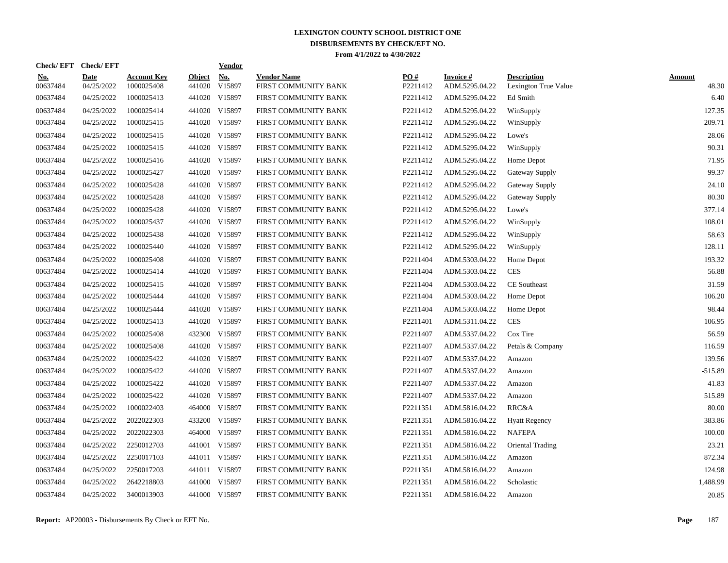| Check/ EFT             | <b>Check/EFT</b>          |                                  |                  | <b>Vendor</b> |                                            |                 |                             |                                            |                 |
|------------------------|---------------------------|----------------------------------|------------------|---------------|--------------------------------------------|-----------------|-----------------------------|--------------------------------------------|-----------------|
| <u>No.</u><br>00637484 | <b>Date</b><br>04/25/2022 | <b>Account Key</b><br>1000025408 | Object<br>441020 | No.<br>V15897 | <b>Vendor Name</b><br>FIRST COMMUNITY BANK | PO#<br>P2211412 | Invoice #<br>ADM.5295.04.22 | <b>Description</b><br>Lexington True Value | Amount<br>48.30 |
| 00637484               | 04/25/2022                | 1000025413                       |                  | 441020 V15897 | FIRST COMMUNITY BANK                       | P2211412        | ADM.5295.04.22              | Ed Smith                                   | 6.40            |
| 00637484               | 04/25/2022                | 1000025414                       |                  | 441020 V15897 | FIRST COMMUNITY BANK                       | P2211412        | ADM.5295.04.22              | WinSupply                                  | 127.35          |
| 00637484               | 04/25/2022                | 1000025415                       |                  | 441020 V15897 | FIRST COMMUNITY BANK                       | P2211412        | ADM.5295.04.22              | WinSupply                                  | 209.71          |
| 00637484               | 04/25/2022                | 1000025415                       |                  | 441020 V15897 | FIRST COMMUNITY BANK                       | P2211412        | ADM.5295.04.22              | Lowe's                                     | 28.06           |
| 00637484               | 04/25/2022                | 1000025415                       |                  | 441020 V15897 | FIRST COMMUNITY BANK                       | P2211412        | ADM.5295.04.22              | WinSupply                                  | 90.31           |
| 00637484               | 04/25/2022                | 1000025416                       | 441020           | V15897        | FIRST COMMUNITY BANK                       | P2211412        | ADM.5295.04.22              | Home Depot                                 | 71.95           |
| 00637484               | 04/25/2022                | 1000025427                       | 441020           | V15897        | FIRST COMMUNITY BANK                       | P2211412        | ADM.5295.04.22              | Gateway Supply                             | 99.37           |
| 00637484               | 04/25/2022                | 1000025428                       |                  | 441020 V15897 | FIRST COMMUNITY BANK                       | P2211412        | ADM.5295.04.22              | <b>Gateway Supply</b>                      | 24.10           |
| 00637484               | 04/25/2022                | 1000025428                       |                  | 441020 V15897 | FIRST COMMUNITY BANK                       | P2211412        | ADM.5295.04.22              | Gateway Supply                             | 80.30           |
| 00637484               | 04/25/2022                | 1000025428                       |                  | 441020 V15897 | FIRST COMMUNITY BANK                       | P2211412        | ADM.5295.04.22              | Lowe's                                     | 377.14          |
| 00637484               | 04/25/2022                | 1000025437                       |                  | 441020 V15897 | FIRST COMMUNITY BANK                       | P2211412        | ADM.5295.04.22              | WinSupply                                  | 108.01          |
| 00637484               | 04/25/2022                | 1000025438                       |                  | 441020 V15897 | FIRST COMMUNITY BANK                       | P2211412        | ADM.5295.04.22              | WinSupply                                  | 58.63           |
| 00637484               | 04/25/2022                | 1000025440                       |                  | 441020 V15897 | FIRST COMMUNITY BANK                       | P2211412        | ADM.5295.04.22              | WinSupply                                  | 128.11          |
| 00637484               | 04/25/2022                | 1000025408                       | 441020           | V15897        | FIRST COMMUNITY BANK                       | P2211404        | ADM.5303.04.22              | Home Depot                                 | 193.32          |
| 00637484               | 04/25/2022                | 1000025414                       |                  | 441020 V15897 | FIRST COMMUNITY BANK                       | P2211404        | ADM.5303.04.22              | <b>CES</b>                                 | 56.88           |
| 00637484               | 04/25/2022                | 1000025415                       | 441020           | V15897        | FIRST COMMUNITY BANK                       | P2211404        | ADM.5303.04.22              | <b>CE</b> Southeast                        | 31.59           |
| 00637484               | 04/25/2022                | 1000025444                       |                  | 441020 V15897 | FIRST COMMUNITY BANK                       | P2211404        | ADM.5303.04.22              | Home Depot                                 | 106.20          |
| 00637484               | 04/25/2022                | 1000025444                       | 441020           | V15897        | FIRST COMMUNITY BANK                       | P2211404        | ADM.5303.04.22              | Home Depot                                 | 98.44           |
| 00637484               | 04/25/2022                | 1000025413                       |                  | 441020 V15897 | FIRST COMMUNITY BANK                       | P2211401        | ADM.5311.04.22              | <b>CES</b>                                 | 106.95          |
| 00637484               | 04/25/2022                | 1000025408                       |                  | 432300 V15897 | FIRST COMMUNITY BANK                       | P2211407        | ADM.5337.04.22              | Cox Tire                                   | 56.59           |
| 00637484               | 04/25/2022                | 1000025408                       |                  | 441020 V15897 | FIRST COMMUNITY BANK                       | P2211407        | ADM.5337.04.22              | Petals & Company                           | 116.59          |
| 00637484               | 04/25/2022                | 1000025422                       | 441020           | V15897        | FIRST COMMUNITY BANK                       | P2211407        | ADM.5337.04.22              | Amazon                                     | 139.56          |
| 00637484               | 04/25/2022                | 1000025422                       | 441020           | V15897        | FIRST COMMUNITY BANK                       | P2211407        | ADM.5337.04.22              | Amazon                                     | $-515.89$       |
| 00637484               | 04/25/2022                | 1000025422                       | 441020           | V15897        | FIRST COMMUNITY BANK                       | P2211407        | ADM.5337.04.22              | Amazon                                     | 41.83           |
| 00637484               | 04/25/2022                | 1000025422                       | 441020           | V15897        | FIRST COMMUNITY BANK                       | P2211407        | ADM.5337.04.22              | Amazon                                     | 515.89          |
| 00637484               | 04/25/2022                | 1000022403                       | 464000           | V15897        | FIRST COMMUNITY BANK                       | P2211351        | ADM.5816.04.22              | RRC&A                                      | 80.00           |
| 00637484               | 04/25/2022                | 2022022303                       | 433200           | V15897        | FIRST COMMUNITY BANK                       | P2211351        | ADM.5816.04.22              | <b>Hyatt Regency</b>                       | 383.86          |
| 00637484               | 04/25/2022                | 2022022303                       |                  | 464000 V15897 | FIRST COMMUNITY BANK                       | P2211351        | ADM.5816.04.22              | <b>NAFEPA</b>                              | 100.00          |
| 00637484               | 04/25/2022                | 2250012703                       |                  | 441001 V15897 | FIRST COMMUNITY BANK                       | P2211351        | ADM.5816.04.22              | Oriental Trading                           | 23.21           |
| 00637484               | 04/25/2022                | 2250017103                       |                  | 441011 V15897 | FIRST COMMUNITY BANK                       | P2211351        | ADM.5816.04.22              | Amazon                                     | 872.34          |
| 00637484               | 04/25/2022                | 2250017203                       |                  | 441011 V15897 | FIRST COMMUNITY BANK                       | P2211351        | ADM.5816.04.22              | Amazon                                     | 124.98          |
| 00637484               | 04/25/2022                | 2642218803                       |                  | 441000 V15897 | FIRST COMMUNITY BANK                       | P2211351        | ADM.5816.04.22              | Scholastic                                 | 1,488.99        |
| 00637484               | 04/25/2022                | 3400013903                       |                  | 441000 V15897 | FIRST COMMUNITY BANK                       | P2211351        | ADM.5816.04.22              | Amazon                                     | 20.85           |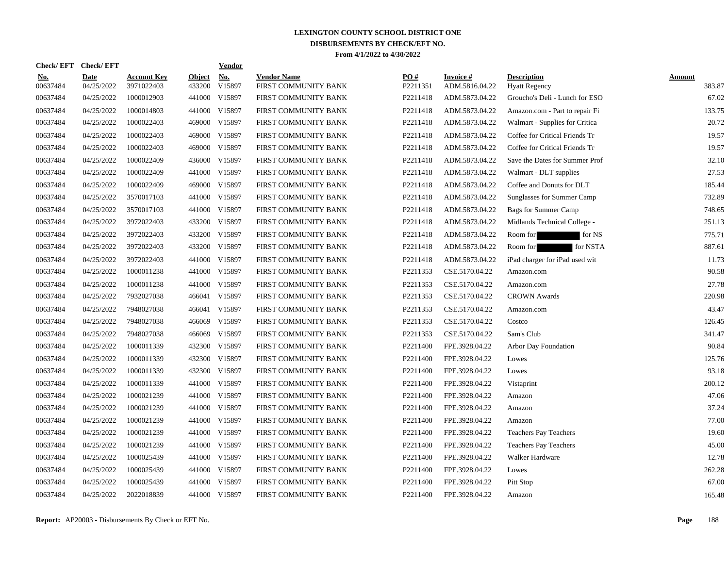| Check/EFT Check/EFT    |                           |                                  |                         | <b>Vendor</b> |                                            |                 |                             |                                            |                  |
|------------------------|---------------------------|----------------------------------|-------------------------|---------------|--------------------------------------------|-----------------|-----------------------------|--------------------------------------------|------------------|
| <u>No.</u><br>00637484 | <b>Date</b><br>04/25/2022 | <b>Account Key</b><br>3971022403 | <b>Object</b><br>433200 | No.<br>V15897 | <b>Vendor Name</b><br>FIRST COMMUNITY BANK | PO#<br>P2211351 | Invoice #<br>ADM.5816.04.22 | <b>Description</b><br><b>Hyatt Regency</b> | Amount<br>383.87 |
| 00637484               | 04/25/2022                | 1000012903                       | 441000                  | V15897        | FIRST COMMUNITY BANK                       | P2211418        | ADM.5873.04.22              | Groucho's Deli - Lunch for ESO             | 67.02            |
| 00637484               | 04/25/2022                | 1000014803                       | 441000                  | V15897        | FIRST COMMUNITY BANK                       | P2211418        | ADM.5873.04.22              | Amazon.com - Part to repair Fi             | 133.75           |
| 00637484               | 04/25/2022                | 1000022403                       |                         | 469000 V15897 | FIRST COMMUNITY BANK                       | P2211418        | ADM.5873.04.22              | Walmart - Supplies for Critica             | 20.72            |
| 00637484               | 04/25/2022                | 1000022403                       | 469000                  | V15897        | FIRST COMMUNITY BANK                       | P2211418        | ADM.5873.04.22              | Coffee for Critical Friends Tr             | 19.57            |
| 00637484               | 04/25/2022                | 1000022403                       |                         | 469000 V15897 | FIRST COMMUNITY BANK                       | P2211418        | ADM.5873.04.22              | Coffee for Critical Friends Tr             | 19.57            |
| 00637484               | 04/25/2022                | 1000022409                       | 436000                  | V15897        | FIRST COMMUNITY BANK                       | P2211418        | ADM.5873.04.22              | Save the Dates for Summer Prof             | 32.10            |
| 00637484               | 04/25/2022                | 1000022409                       | 441000                  | V15897        | FIRST COMMUNITY BANK                       | P2211418        | ADM.5873.04.22              | Walmart - DLT supplies                     | 27.53            |
| 00637484               | 04/25/2022                | 1000022409                       | 469000                  | V15897        | FIRST COMMUNITY BANK                       | P2211418        | ADM.5873.04.22              | Coffee and Donuts for DLT                  | 185.44           |
| 00637484               | 04/25/2022                | 3570017103                       | 441000                  | V15897        | FIRST COMMUNITY BANK                       | P2211418        | ADM.5873.04.22              | Sunglasses for Summer Camp                 | 732.89           |
| 00637484               | 04/25/2022                | 3570017103                       |                         | 441000 V15897 | FIRST COMMUNITY BANK                       | P2211418        | ADM.5873.04.22              | Bags for Summer Camp                       | 748.65           |
| 00637484               | 04/25/2022                | 3972022403                       |                         | 433200 V15897 | FIRST COMMUNITY BANK                       | P2211418        | ADM.5873.04.22              | Midlands Technical College -               | 251.13           |
| 00637484               | 04/25/2022                | 3972022403                       |                         | 433200 V15897 | FIRST COMMUNITY BANK                       | P2211418        | ADM.5873.04.22              | for NS<br>Room for                         | 775.71           |
| 00637484               | 04/25/2022                | 3972022403                       |                         | 433200 V15897 | FIRST COMMUNITY BANK                       | P2211418        | ADM.5873.04.22              | for NSTA<br>Room for                       | 887.61           |
| 00637484               | 04/25/2022                | 3972022403                       | 441000                  | V15897        | FIRST COMMUNITY BANK                       | P2211418        | ADM.5873.04.22              | iPad charger for iPad used wit             | 11.73            |
| 00637484               | 04/25/2022                | 1000011238                       |                         | 441000 V15897 | FIRST COMMUNITY BANK                       | P2211353        | CSE.5170.04.22              | Amazon.com                                 | 90.58            |
| 00637484               | 04/25/2022                | 1000011238                       | 441000                  | V15897        | FIRST COMMUNITY BANK                       | P2211353        | CSE.5170.04.22              | Amazon.com                                 | 27.78            |
| 00637484               | 04/25/2022                | 7932027038                       |                         | 466041 V15897 | FIRST COMMUNITY BANK                       | P2211353        | CSE.5170.04.22              | <b>CROWN</b> Awards                        | 220.98           |
| 00637484               | 04/25/2022                | 7948027038                       |                         | 466041 V15897 | FIRST COMMUNITY BANK                       | P2211353        | CSE.5170.04.22              | Amazon.com                                 | 43.47            |
| 00637484               | 04/25/2022                | 7948027038                       |                         | 466069 V15897 | FIRST COMMUNITY BANK                       | P2211353        | CSE.5170.04.22              | Costco                                     | 126.45           |
| 00637484               | 04/25/2022                | 7948027038                       | 466069                  | V15897        | FIRST COMMUNITY BANK                       | P2211353        | CSE.5170.04.22              | Sam's Club                                 | 341.47           |
| 00637484               | 04/25/2022                | 1000011339                       |                         | 432300 V15897 | FIRST COMMUNITY BANK                       | P2211400        | FPE.3928.04.22              | <b>Arbor Day Foundation</b>                | 90.84            |
| 00637484               | 04/25/2022                | 1000011339                       | 432300                  | V15897        | FIRST COMMUNITY BANK                       | P2211400        | FPE.3928.04.22              | Lowes                                      | 125.76           |
| 00637484               | 04/25/2022                | 1000011339                       | 432300                  | V15897        | FIRST COMMUNITY BANK                       | P2211400        | FPE.3928.04.22              | Lowes                                      | 93.18            |
| 00637484               | 04/25/2022                | 1000011339                       | 441000                  | V15897        | FIRST COMMUNITY BANK                       | P2211400        | FPE.3928.04.22              | Vistaprint                                 | 200.12           |
| 00637484               | 04/25/2022                | 1000021239                       | 441000                  | V15897        | FIRST COMMUNITY BANK                       | P2211400        | FPE.3928.04.22              | Amazon                                     | 47.06            |
| 00637484               | 04/25/2022                | 1000021239                       | 441000                  | V15897        | FIRST COMMUNITY BANK                       | P2211400        | FPE.3928.04.22              | Amazon                                     | 37.24            |
| 00637484               | 04/25/2022                | 1000021239                       |                         | 441000 V15897 | FIRST COMMUNITY BANK                       | P2211400        | FPE.3928.04.22              | Amazon                                     | 77.00            |
| 00637484               | 04/25/2022                | 1000021239                       |                         | 441000 V15897 | FIRST COMMUNITY BANK                       | P2211400        | FPE.3928.04.22              | Teachers Pay Teachers                      | 19.60            |
| 00637484               | 04/25/2022                | 1000021239                       |                         | 441000 V15897 | FIRST COMMUNITY BANK                       | P2211400        | FPE.3928.04.22              | Teachers Pay Teachers                      | 45.00            |
| 00637484               | 04/25/2022                | 1000025439                       |                         | 441000 V15897 | FIRST COMMUNITY BANK                       | P2211400        | FPE.3928.04.22              | Walker Hardware                            | 12.78            |
| 00637484               | 04/25/2022                | 1000025439                       |                         | 441000 V15897 | FIRST COMMUNITY BANK                       | P2211400        | FPE.3928.04.22              | Lowes                                      | 262.28           |
| 00637484               | 04/25/2022                | 1000025439                       | 441000                  | V15897        | FIRST COMMUNITY BANK                       | P2211400        | FPE.3928.04.22              | Pitt Stop                                  | 67.00            |
| 00637484               | 04/25/2022                | 2022018839                       |                         | 441000 V15897 | FIRST COMMUNITY BANK                       | P2211400        | FPE.3928.04.22              | Amazon                                     | 165.48           |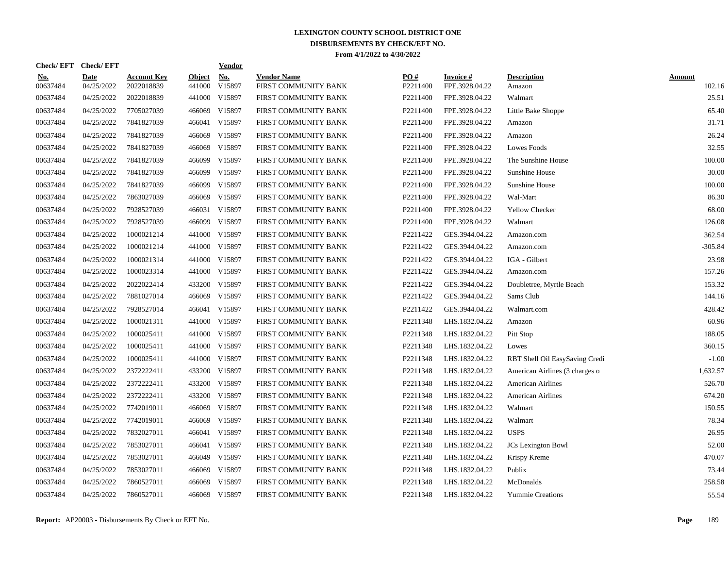| Check/EFT Check/EFT    |                           |                                  |                         | <b>Vendor</b> |                                            |                 |                             |                                |                         |
|------------------------|---------------------------|----------------------------------|-------------------------|---------------|--------------------------------------------|-----------------|-----------------------------|--------------------------------|-------------------------|
| <u>No.</u><br>00637484 | <b>Date</b><br>04/25/2022 | <b>Account Key</b><br>2022018839 | <b>Object</b><br>441000 | No.<br>V15897 | <b>Vendor Name</b><br>FIRST COMMUNITY BANK | PO#<br>P2211400 | Invoice #<br>FPE.3928.04.22 | <b>Description</b><br>Amazon   | <b>Amount</b><br>102.16 |
| 00637484               | 04/25/2022                | 2022018839                       | 441000                  | V15897        | FIRST COMMUNITY BANK                       | P2211400        | FPE.3928.04.22              | Walmart                        | 25.51                   |
| 00637484               | 04/25/2022                | 7705027039                       | 466069                  | V15897        | FIRST COMMUNITY BANK                       | P2211400        | FPE.3928.04.22              | Little Bake Shoppe             | 65.40                   |
| 00637484               | 04/25/2022                | 7841827039                       |                         | 466041 V15897 | FIRST COMMUNITY BANK                       | P2211400        | FPE.3928.04.22              | Amazon                         | 31.71                   |
| 00637484               | 04/25/2022                | 7841827039                       | 466069                  | V15897        | FIRST COMMUNITY BANK                       | P2211400        | FPE.3928.04.22              | Amazon                         | 26.24                   |
| 00637484               | 04/25/2022                | 7841827039                       | 466069                  | V15897        | FIRST COMMUNITY BANK                       | P2211400        | FPE.3928.04.22              | <b>Lowes Foods</b>             | 32.55                   |
| 00637484               | 04/25/2022                | 7841827039                       | 466099                  | V15897        | FIRST COMMUNITY BANK                       | P2211400        | FPE.3928.04.22              | The Sunshine House             | 100.00                  |
| 00637484               | 04/25/2022                | 7841827039                       | 466099                  | V15897        | FIRST COMMUNITY BANK                       | P2211400        | FPE.3928.04.22              | Sunshine House                 | 30.00                   |
| 00637484               | 04/25/2022                | 7841827039                       | 466099                  | V15897        | FIRST COMMUNITY BANK                       | P2211400        | FPE.3928.04.22              | Sunshine House                 | 100.00                  |
| 00637484               | 04/25/2022                | 7863027039                       | 466069                  | V15897        | FIRST COMMUNITY BANK                       | P2211400        | FPE.3928.04.22              | Wal-Mart                       | 86.30                   |
| 00637484               | 04/25/2022                | 7928527039                       |                         | 466031 V15897 | FIRST COMMUNITY BANK                       | P2211400        | FPE.3928.04.22              | Yellow Checker                 | 68.00                   |
| 00637484               | 04/25/2022                | 7928527039                       |                         | 466099 V15897 | FIRST COMMUNITY BANK                       | P2211400        | FPE.3928.04.22              | Walmart                        | 126.08                  |
| 00637484               | 04/25/2022                | 1000021214                       |                         | 441000 V15897 | FIRST COMMUNITY BANK                       | P2211422        | GES.3944.04.22              | Amazon.com                     | 362.54                  |
| 00637484               | 04/25/2022                | 1000021214                       |                         | 441000 V15897 | FIRST COMMUNITY BANK                       | P2211422        | GES.3944.04.22              | Amazon.com                     | $-305.84$               |
| 00637484               | 04/25/2022                | 1000021314                       | 441000                  | V15897        | FIRST COMMUNITY BANK                       | P2211422        | GES.3944.04.22              | IGA - Gilbert                  | 23.98                   |
| 00637484               | 04/25/2022                | 1000023314                       |                         | 441000 V15897 | FIRST COMMUNITY BANK                       | P2211422        | GES.3944.04.22              | Amazon.com                     | 157.26                  |
| 00637484               | 04/25/2022                | 2022022414                       | 433200                  | V15897        | FIRST COMMUNITY BANK                       | P2211422        | GES.3944.04.22              | Doubletree, Myrtle Beach       | 153.32                  |
| 00637484               | 04/25/2022                | 7881027014                       | 466069                  | V15897        | FIRST COMMUNITY BANK                       | P2211422        | GES.3944.04.22              | Sams Club                      | 144.16                  |
| 00637484               | 04/25/2022                | 7928527014                       | 466041                  | V15897        | FIRST COMMUNITY BANK                       | P2211422        | GES.3944.04.22              | Walmart.com                    | 428.42                  |
| 00637484               | 04/25/2022                | 1000021311                       |                         | 441000 V15897 | FIRST COMMUNITY BANK                       | P2211348        | LHS.1832.04.22              | Amazon                         | 60.96                   |
| 00637484               | 04/25/2022                | 1000025411                       |                         | 441000 V15897 | FIRST COMMUNITY BANK                       | P2211348        | LHS.1832.04.22              | Pitt Stop                      | 188.05                  |
| 00637484               | 04/25/2022                | 1000025411                       |                         | 441000 V15897 | FIRST COMMUNITY BANK                       | P2211348        | LHS.1832.04.22              | Lowes                          | 360.15                  |
| 00637484               | 04/25/2022                | 1000025411                       |                         | 441000 V15897 | FIRST COMMUNITY BANK                       | P2211348        | LHS.1832.04.22              | RBT Shell Oil EasySaving Credi | $-1.00$                 |
| 00637484               | 04/25/2022                | 2372222411                       | 433200                  | V15897        | FIRST COMMUNITY BANK                       | P2211348        | LHS.1832.04.22              | American Airlines (3 charges o | 1,632.57                |
| 00637484               | 04/25/2022                | 2372222411                       | 433200                  | V15897        | FIRST COMMUNITY BANK                       | P2211348        | LHS.1832.04.22              | <b>American Airlines</b>       | 526.70                  |
| 00637484               | 04/25/2022                | 2372222411                       | 433200                  | V15897        | FIRST COMMUNITY BANK                       | P2211348        | LHS.1832.04.22              | <b>American Airlines</b>       | 674.20                  |
| 00637484               | 04/25/2022                | 7742019011                       | 466069                  | V15897        | FIRST COMMUNITY BANK                       | P2211348        | LHS.1832.04.22              | Walmart                        | 150.55                  |
| 00637484               | 04/25/2022                | 7742019011                       | 466069                  | V15897        | FIRST COMMUNITY BANK                       | P2211348        | LHS.1832.04.22              | Walmart                        | 78.34                   |
| 00637484               | 04/25/2022                | 7832027011                       |                         | 466041 V15897 | FIRST COMMUNITY BANK                       | P2211348        | LHS.1832.04.22              | <b>USPS</b>                    | 26.95                   |
| 00637484               | 04/25/2022                | 7853027011                       |                         | 466041 V15897 | FIRST COMMUNITY BANK                       | P2211348        | LHS.1832.04.22              | <b>JCs</b> Lexington Bowl      | 52.00                   |
| 00637484               | 04/25/2022                | 7853027011                       |                         | 466049 V15897 | FIRST COMMUNITY BANK                       | P2211348        | LHS.1832.04.22              | Krispy Kreme                   | 470.07                  |
| 00637484               | 04/25/2022                | 7853027011                       | 466069                  | V15897        | FIRST COMMUNITY BANK                       | P2211348        | LHS.1832.04.22              | Publix                         | 73.44                   |
| 00637484               | 04/25/2022                | 7860527011                       | 466069                  | V15897        | FIRST COMMUNITY BANK                       | P2211348        | LHS.1832.04.22              | McDonalds                      | 258.58                  |
| 00637484               | 04/25/2022                | 7860527011                       |                         | 466069 V15897 | FIRST COMMUNITY BANK                       | P2211348        | LHS.1832.04.22              | <b>Yummie Creations</b>        | 55.54                   |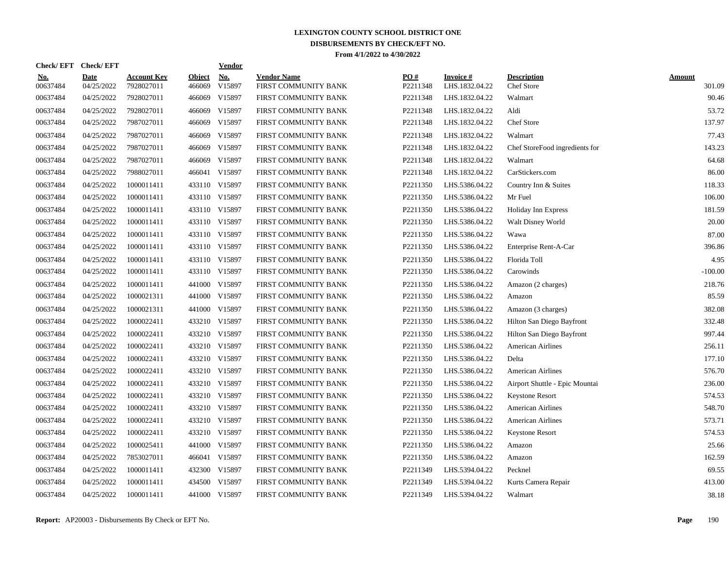| Check/EFT Check/EFT    |                           |                                  |                         | <b>Vendor</b> |                                            |                 |                             |                                  |                  |
|------------------------|---------------------------|----------------------------------|-------------------------|---------------|--------------------------------------------|-----------------|-----------------------------|----------------------------------|------------------|
| <u>No.</u><br>00637484 | <b>Date</b><br>04/25/2022 | <b>Account Key</b><br>7928027011 | <b>Object</b><br>466069 | No.<br>V15897 | <b>Vendor Name</b><br>FIRST COMMUNITY BANK | PO#<br>P2211348 | Invoice #<br>LHS.1832.04.22 | <b>Description</b><br>Chef Store | Amount<br>301.09 |
| 00637484               | 04/25/2022                | 7928027011                       | 466069                  | V15897        | FIRST COMMUNITY BANK                       | P2211348        | LHS.1832.04.22              | Walmart                          | 90.46            |
| 00637484               | 04/25/2022                | 7928027011                       | 466069                  | V15897        | FIRST COMMUNITY BANK                       | P2211348        | LHS.1832.04.22              | Aldi                             | 53.72            |
| 00637484               | 04/25/2022                | 7987027011                       |                         | 466069 V15897 | FIRST COMMUNITY BANK                       | P2211348        | LHS.1832.04.22              | Chef Store                       | 137.97           |
| 00637484               | 04/25/2022                | 7987027011                       | 466069                  | V15897        | FIRST COMMUNITY BANK                       | P2211348        | LHS.1832.04.22              | Walmart                          | 77.43            |
| 00637484               | 04/25/2022                | 7987027011                       | 466069                  | V15897        | FIRST COMMUNITY BANK                       | P2211348        | LHS.1832.04.22              | Chef StoreFood ingredients for   | 143.23           |
| 00637484               | 04/25/2022                | 7987027011                       | 466069                  | V15897        | FIRST COMMUNITY BANK                       | P2211348        | LHS.1832.04.22              | Walmart                          | 64.68            |
| 00637484               | 04/25/2022                | 7988027011                       |                         | 466041 V15897 | FIRST COMMUNITY BANK                       | P2211348        | LHS.1832.04.22              | CarStickers.com                  | 86.00            |
| 00637484               | 04/25/2022                | 1000011411                       |                         | 433110 V15897 | FIRST COMMUNITY BANK                       | P2211350        | LHS.5386.04.22              | Country Inn & Suites             | 118.33           |
| 00637484               | 04/25/2022                | 1000011411                       |                         | 433110 V15897 | FIRST COMMUNITY BANK                       | P2211350        | LHS.5386.04.22              | Mr Fuel                          | 106.00           |
| 00637484               | 04/25/2022                | 1000011411                       |                         | 433110 V15897 | FIRST COMMUNITY BANK                       | P2211350        | LHS.5386.04.22              | Holiday Inn Express              | 181.59           |
| 00637484               | 04/25/2022                | 1000011411                       |                         | 433110 V15897 | FIRST COMMUNITY BANK                       | P2211350        | LHS.5386.04.22              | Walt Disney World                | 20.00            |
| 00637484               | 04/25/2022                | 1000011411                       |                         | 433110 V15897 | FIRST COMMUNITY BANK                       | P2211350        | LHS.5386.04.22              | Wawa                             | 87.00            |
| 00637484               | 04/25/2022                | 1000011411                       |                         | 433110 V15897 | FIRST COMMUNITY BANK                       | P2211350        | LHS.5386.04.22              | Enterprise Rent-A-Car            | 396.86           |
| 00637484               | 04/25/2022                | 1000011411                       |                         | 433110 V15897 | FIRST COMMUNITY BANK                       | P2211350        | LHS.5386.04.22              | Florida Toll                     | 4.95             |
| 00637484               | 04/25/2022                | 1000011411                       |                         | 433110 V15897 | FIRST COMMUNITY BANK                       | P2211350        | LHS.5386.04.22              | Carowinds                        | $-100.00$        |
| 00637484               | 04/25/2022                | 1000011411                       | 441000                  | V15897        | FIRST COMMUNITY BANK                       | P2211350        | LHS.5386.04.22              | Amazon (2 charges)               | 218.76           |
| 00637484               | 04/25/2022                | 1000021311                       | 441000                  | V15897        | FIRST COMMUNITY BANK                       | P2211350        | LHS.5386.04.22              | Amazon                           | 85.59            |
| 00637484               | 04/25/2022                | 1000021311                       | 441000                  | V15897        | FIRST COMMUNITY BANK                       | P2211350        | LHS.5386.04.22              | Amazon (3 charges)               | 382.08           |
| 00637484               | 04/25/2022                | 1000022411                       |                         | 433210 V15897 | FIRST COMMUNITY BANK                       | P2211350        | LHS.5386.04.22              | Hilton San Diego Bayfront        | 332.48           |
| 00637484               | 04/25/2022                | 1000022411                       |                         | 433210 V15897 | FIRST COMMUNITY BANK                       | P2211350        | LHS.5386.04.22              | Hilton San Diego Bayfront        | 997.44           |
| 00637484               | 04/25/2022                | 1000022411                       |                         | 433210 V15897 | FIRST COMMUNITY BANK                       | P2211350        | LHS.5386.04.22              | <b>American Airlines</b>         | 256.11           |
| 00637484               | 04/25/2022                | 1000022411                       |                         | 433210 V15897 | FIRST COMMUNITY BANK                       | P2211350        | LHS.5386.04.22              | Delta                            | 177.10           |
| 00637484               | 04/25/2022                | 1000022411                       |                         | 433210 V15897 | FIRST COMMUNITY BANK                       | P2211350        | LHS.5386.04.22              | <b>American Airlines</b>         | 576.70           |
| 00637484               | 04/25/2022                | 1000022411                       |                         | 433210 V15897 | FIRST COMMUNITY BANK                       | P2211350        | LHS.5386.04.22              | Airport Shuttle - Epic Mountai   | 236.00           |
| 00637484               | 04/25/2022                | 1000022411                       | 433210                  | V15897        | FIRST COMMUNITY BANK                       | P2211350        | LHS.5386.04.22              | <b>Keystone Resort</b>           | 574.53           |
| 00637484               | 04/25/2022                | 1000022411                       |                         | 433210 V15897 | FIRST COMMUNITY BANK                       | P2211350        | LHS.5386.04.22              | <b>American Airlines</b>         | 548.70           |
| 00637484               | 04/25/2022                | 1000022411                       |                         | 433210 V15897 | FIRST COMMUNITY BANK                       | P2211350        | LHS.5386.04.22              | <b>American Airlines</b>         | 573.71           |
| 00637484               | 04/25/2022                | 1000022411                       |                         | 433210 V15897 | FIRST COMMUNITY BANK                       | P2211350        | LHS.5386.04.22              | <b>Keystone Resort</b>           | 574.53           |
| 00637484               | 04/25/2022                | 1000025411                       |                         | 441000 V15897 | FIRST COMMUNITY BANK                       | P2211350        | LHS.5386.04.22              | Amazon                           | 25.66            |
| 00637484               | 04/25/2022                | 7853027011                       |                         | 466041 V15897 | FIRST COMMUNITY BANK                       | P2211350        | LHS.5386.04.22              | Amazon                           | 162.59           |
| 00637484               | 04/25/2022                | 1000011411                       | 432300                  | V15897        | FIRST COMMUNITY BANK                       | P2211349        | LHS.5394.04.22              | Pecknel                          | 69.55            |
| 00637484               | 04/25/2022                | 1000011411                       | 434500                  | V15897        | FIRST COMMUNITY BANK                       | P2211349        | LHS.5394.04.22              | Kurts Camera Repair              | 413.00           |
| 00637484               | 04/25/2022                | 1000011411                       |                         | 441000 V15897 | FIRST COMMUNITY BANK                       | P2211349        | LHS.5394.04.22              | Walmart                          | 38.18            |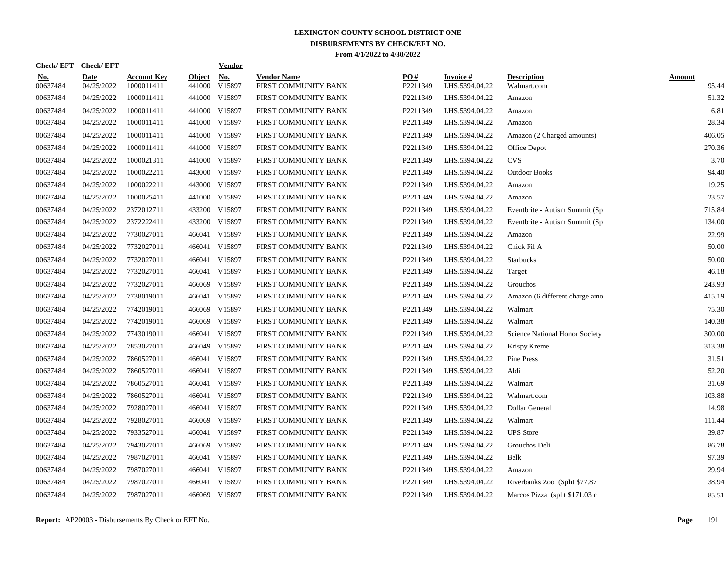| Check/EFT Check/EFT    |                           |                                  |                         | <b>Vendor</b> |                                            |                 |                             |                                   |                        |
|------------------------|---------------------------|----------------------------------|-------------------------|---------------|--------------------------------------------|-----------------|-----------------------------|-----------------------------------|------------------------|
| <u>No.</u><br>00637484 | <b>Date</b><br>04/25/2022 | <b>Account Key</b><br>1000011411 | <b>Object</b><br>441000 | No.<br>V15897 | <b>Vendor Name</b><br>FIRST COMMUNITY BANK | PO#<br>P2211349 | Invoice #<br>LHS.5394.04.22 | <b>Description</b><br>Walmart.com | <b>Amount</b><br>95.44 |
| 00637484               | 04/25/2022                | 1000011411                       | 441000                  | V15897        | FIRST COMMUNITY BANK                       | P2211349        | LHS.5394.04.22              | Amazon                            | 51.32                  |
| 00637484               | 04/25/2022                | 1000011411                       | 441000                  | V15897        | FIRST COMMUNITY BANK                       | P2211349        | LHS.5394.04.22              | Amazon                            | 6.81                   |
| 00637484               | 04/25/2022                | 1000011411                       |                         | 441000 V15897 | FIRST COMMUNITY BANK                       | P2211349        | LHS.5394.04.22              | Amazon                            | 28.34                  |
| 00637484               | 04/25/2022                | 1000011411                       |                         | 441000 V15897 | FIRST COMMUNITY BANK                       | P2211349        | LHS.5394.04.22              | Amazon (2 Charged amounts)        | 406.05                 |
| 00637484               | 04/25/2022                | 1000011411                       |                         | 441000 V15897 | FIRST COMMUNITY BANK                       | P2211349        | LHS.5394.04.22              | Office Depot                      | 270.36                 |
| 00637484               | 04/25/2022                | 1000021311                       | 441000                  | V15897        | FIRST COMMUNITY BANK                       | P2211349        | LHS.5394.04.22              | <b>CVS</b>                        | 3.70                   |
| 00637484               | 04/25/2022                | 1000022211                       | 443000                  | V15897        | FIRST COMMUNITY BANK                       | P2211349        | LHS.5394.04.22              | <b>Outdoor Books</b>              | 94.40                  |
| 00637484               | 04/25/2022                | 1000022211                       | 443000                  | V15897        | FIRST COMMUNITY BANK                       | P2211349        | LHS.5394.04.22              | Amazon                            | 19.25                  |
| 00637484               | 04/25/2022                | 1000025411                       | 441000                  | V15897        | FIRST COMMUNITY BANK                       | P2211349        | LHS.5394.04.22              | Amazon                            | 23.57                  |
| 00637484               | 04/25/2022                | 2372012711                       |                         | 433200 V15897 | FIRST COMMUNITY BANK                       | P2211349        | LHS.5394.04.22              | Eventbrite - Autism Summit (Sp)   | 715.84                 |
| 00637484               | 04/25/2022                | 2372222411                       |                         | 433200 V15897 | FIRST COMMUNITY BANK                       | P2211349        | LHS.5394.04.22              | Eventbrite - Autism Summit (Sp    | 134.00                 |
| 00637484               | 04/25/2022                | 7730027011                       |                         | 466041 V15897 | FIRST COMMUNITY BANK                       | P2211349        | LHS.5394.04.22              | Amazon                            | 22.99                  |
| 00637484               | 04/25/2022                | 7732027011                       |                         | 466041 V15897 | FIRST COMMUNITY BANK                       | P2211349        | LHS.5394.04.22              | Chick Fil A                       | 50.00                  |
| 00637484               | 04/25/2022                | 7732027011                       | 466041                  | V15897        | FIRST COMMUNITY BANK                       | P2211349        | LHS.5394.04.22              | <b>Starbucks</b>                  | 50.00                  |
| 00637484               | 04/25/2022                | 7732027011                       | 466041                  | V15897        | FIRST COMMUNITY BANK                       | P2211349        | LHS.5394.04.22              | Target                            | 46.18                  |
| 00637484               | 04/25/2022                | 7732027011                       | 466069                  | V15897        | FIRST COMMUNITY BANK                       | P2211349        | LHS.5394.04.22              | Grouchos                          | 243.93                 |
| 00637484               | 04/25/2022                | 7738019011                       | 466041                  | V15897        | FIRST COMMUNITY BANK                       | P2211349        | LHS.5394.04.22              | Amazon (6 different charge amo    | 415.19                 |
| 00637484               | 04/25/2022                | 7742019011                       | 466069                  | V15897        | FIRST COMMUNITY BANK                       | P2211349        | LHS.5394.04.22              | Walmart                           | 75.30                  |
| 00637484               | 04/25/2022                | 7742019011                       |                         | 466069 V15897 | FIRST COMMUNITY BANK                       | P2211349        | LHS.5394.04.22              | Walmart                           | 140.38                 |
| 00637484               | 04/25/2022                | 7743019011                       | 466041                  | V15897        | FIRST COMMUNITY BANK                       | P2211349        | LHS.5394.04.22              | Science National Honor Society    | 300.00                 |
| 00637484               | 04/25/2022                | 7853027011                       |                         | 466049 V15897 | FIRST COMMUNITY BANK                       | P2211349        | LHS.5394.04.22              | Krispy Kreme                      | 313.38                 |
| 00637484               | 04/25/2022                | 7860527011                       | 466041                  | V15897        | FIRST COMMUNITY BANK                       | P2211349        | LHS.5394.04.22              | Pine Press                        | 31.51                  |
| 00637484               | 04/25/2022                | 7860527011                       | 466041                  | V15897        | FIRST COMMUNITY BANK                       | P2211349        | LHS.5394.04.22              | Aldi                              | 52.20                  |
| 00637484               | 04/25/2022                | 7860527011                       | 466041                  | V15897        | FIRST COMMUNITY BANK                       | P2211349        | LHS.5394.04.22              | Walmart                           | 31.69                  |
| 00637484               | 04/25/2022                | 7860527011                       | 466041                  | V15897        | FIRST COMMUNITY BANK                       | P2211349        | LHS.5394.04.22              | Walmart.com                       | 103.88                 |
| 00637484               | 04/25/2022                | 7928027011                       |                         | 466041 V15897 | FIRST COMMUNITY BANK                       | P2211349        | LHS.5394.04.22              | Dollar General                    | 14.98                  |
| 00637484               | 04/25/2022                | 7928027011                       | 466069                  | V15897        | FIRST COMMUNITY BANK                       | P2211349        | LHS.5394.04.22              | Walmart                           | 111.44                 |
| 00637484               | 04/25/2022                | 7933527011                       |                         | 466041 V15897 | FIRST COMMUNITY BANK                       | P2211349        | LHS.5394.04.22              | <b>UPS</b> Store                  | 39.87                  |
| 00637484               | 04/25/2022                | 7943027011                       |                         | 466069 V15897 | FIRST COMMUNITY BANK                       | P2211349        | LHS.5394.04.22              | Grouchos Deli                     | 86.78                  |
| 00637484               | 04/25/2022                | 7987027011                       |                         | 466041 V15897 | FIRST COMMUNITY BANK                       | P2211349        | LHS.5394.04.22              | Belk                              | 97.39                  |
| 00637484               | 04/25/2022                | 7987027011                       | 466041                  | V15897        | FIRST COMMUNITY BANK                       | P2211349        | LHS.5394.04.22              | Amazon                            | 29.94                  |
| 00637484               | 04/25/2022                | 7987027011                       | 466041                  | V15897        | FIRST COMMUNITY BANK                       | P2211349        | LHS.5394.04.22              | Riverbanks Zoo (Split \$77.87)    | 38.94                  |
| 00637484               | 04/25/2022                | 7987027011                       |                         | 466069 V15897 | FIRST COMMUNITY BANK                       | P2211349        | LHS.5394.04.22              | Marcos Pizza (split \$171.03 c    | 85.51                  |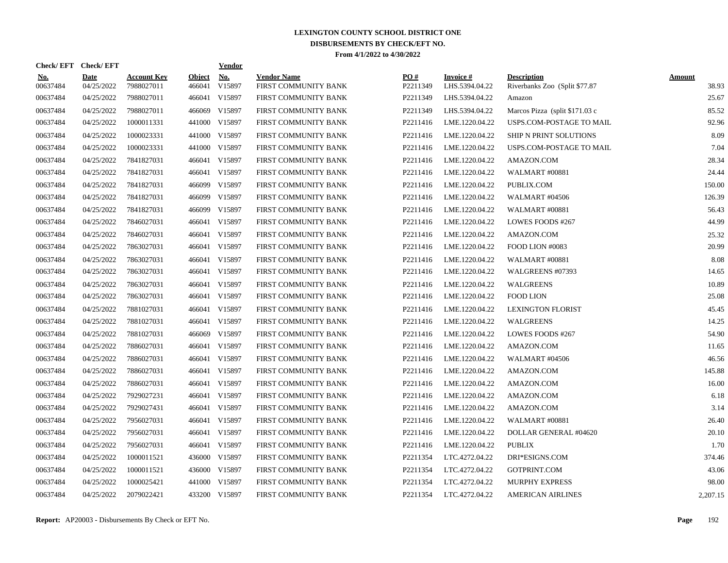| Check/EFT Check/EFT    |                           |                                  |                         | <u>Vendor</u> |                                            |                 |                             |                                                      |                 |
|------------------------|---------------------------|----------------------------------|-------------------------|---------------|--------------------------------------------|-----------------|-----------------------------|------------------------------------------------------|-----------------|
| <u>No.</u><br>00637484 | <b>Date</b><br>04/25/2022 | <b>Account Key</b><br>7988027011 | <b>Object</b><br>466041 | No.<br>V15897 | <b>Vendor Name</b><br>FIRST COMMUNITY BANK | PO#<br>P2211349 | Invoice #<br>LHS.5394.04.22 | <b>Description</b><br>Riverbanks Zoo (Split \$77.87) | Amount<br>38.93 |
| 00637484               | 04/25/2022                | 7988027011                       |                         | 466041 V15897 | FIRST COMMUNITY BANK                       | P2211349        | LHS.5394.04.22              | Amazon                                               | 25.67           |
| 00637484               | 04/25/2022                | 7988027011                       |                         | 466069 V15897 | FIRST COMMUNITY BANK                       | P2211349        | LHS.5394.04.22              | Marcos Pizza (split \$171.03 c                       | 85.52           |
| 00637484               | 04/25/2022                | 1000011331                       |                         | 441000 V15897 | FIRST COMMUNITY BANK                       | P2211416        | LME.1220.04.22              | USPS.COM-POSTAGE TO MAIL                             | 92.96           |
| 00637484               | 04/25/2022                | 1000023331                       |                         | 441000 V15897 | FIRST COMMUNITY BANK                       | P2211416        | LME.1220.04.22              | SHIP N PRINT SOLUTIONS                               | 8.09            |
| 00637484               | 04/25/2022                | 1000023331                       |                         | 441000 V15897 | FIRST COMMUNITY BANK                       | P2211416        | LME.1220.04.22              | USPS.COM-POSTAGE TO MAIL                             | 7.04            |
| 00637484               | 04/25/2022                | 7841827031                       | 466041                  | V15897        | FIRST COMMUNITY BANK                       | P2211416        | LME.1220.04.22              | AMAZON.COM                                           | 28.34           |
| 00637484               | 04/25/2022                | 7841827031                       | 466041                  | V15897        | FIRST COMMUNITY BANK                       | P2211416        | LME.1220.04.22              | <b>WALMART #00881</b>                                | 24.44           |
| 00637484               | 04/25/2022                | 7841827031                       | 466099                  | V15897        | FIRST COMMUNITY BANK                       | P2211416        | LME.1220.04.22              | PUBLIX.COM                                           | 150.00          |
| 00637484               | 04/25/2022                | 7841827031                       | 466099                  | V15897        | FIRST COMMUNITY BANK                       | P2211416        | LME.1220.04.22              | WALMART #04506                                       | 126.39          |
| 00637484               | 04/25/2022                | 7841827031                       |                         | 466099 V15897 | FIRST COMMUNITY BANK                       | P2211416        | LME.1220.04.22              | WALMART #00881                                       | 56.43           |
| 00637484               | 04/25/2022                | 7846027031                       |                         | 466041 V15897 | FIRST COMMUNITY BANK                       | P2211416        | LME.1220.04.22              | LOWES FOODS #267                                     | 44.99           |
| 00637484               | 04/25/2022                | 7846027031                       |                         | 466041 V15897 | FIRST COMMUNITY BANK                       | P2211416        | LME.1220.04.22              | AMAZON.COM                                           | 25.32           |
| 00637484               | 04/25/2022                | 7863027031                       |                         | 466041 V15897 | FIRST COMMUNITY BANK                       | P2211416        | LME.1220.04.22              | FOOD LION #0083                                      | 20.99           |
| 00637484               | 04/25/2022                | 7863027031                       | 466041                  | V15897        | FIRST COMMUNITY BANK                       | P2211416        | LME.1220.04.22              | <b>WALMART #00881</b>                                | 8.08            |
| 00637484               | 04/25/2022                | 7863027031                       |                         | 466041 V15897 | FIRST COMMUNITY BANK                       | P2211416        | LME.1220.04.22              | WALGREENS #07393                                     | 14.65           |
| 00637484               | 04/25/2022                | 7863027031                       | 466041                  | V15897        | FIRST COMMUNITY BANK                       | P2211416        | LME.1220.04.22              | WALGREENS                                            | 10.89           |
| 00637484               | 04/25/2022                | 7863027031                       |                         | 466041 V15897 | FIRST COMMUNITY BANK                       | P2211416        | LME.1220.04.22              | <b>FOOD LION</b>                                     | 25.08           |
| 00637484               | 04/25/2022                | 7881027031                       |                         | 466041 V15897 | FIRST COMMUNITY BANK                       | P2211416        | LME.1220.04.22              | <b>LEXINGTON FLORIST</b>                             | 45.45           |
| 00637484               | 04/25/2022                | 7881027031                       |                         | 466041 V15897 | FIRST COMMUNITY BANK                       | P2211416        | LME.1220.04.22              | <b>WALGREENS</b>                                     | 14.25           |
| 00637484               | 04/25/2022                | 7881027031                       | 466069                  | V15897        | FIRST COMMUNITY BANK                       | P2211416        | LME.1220.04.22              | LOWES FOODS #267                                     | 54.90           |
| 00637484               | 04/25/2022                | 7886027031                       |                         | 466041 V15897 | FIRST COMMUNITY BANK                       | P2211416        | LME.1220.04.22              | AMAZON.COM                                           | 11.65           |
| 00637484               | 04/25/2022                | 7886027031                       | 466041                  | V15897        | FIRST COMMUNITY BANK                       | P2211416        | LME.1220.04.22              | <b>WALMART #04506</b>                                | 46.56           |
| 00637484               | 04/25/2022                | 7886027031                       | 466041                  | V15897        | FIRST COMMUNITY BANK                       | P2211416        | LME.1220.04.22              | AMAZON.COM                                           | 145.88          |
| 00637484               | 04/25/2022                | 7886027031                       | 466041                  | V15897        | FIRST COMMUNITY BANK                       | P2211416        | LME.1220.04.22              | AMAZON.COM                                           | 16.00           |
| 00637484               | 04/25/2022                | 7929027231                       | 466041                  | V15897        | FIRST COMMUNITY BANK                       | P2211416        | LME.1220.04.22              | AMAZON.COM                                           | 6.18            |
| 00637484               | 04/25/2022                | 7929027431                       |                         | 466041 V15897 | FIRST COMMUNITY BANK                       | P2211416        | LME.1220.04.22              | AMAZON.COM                                           | 3.14            |
| 00637484               | 04/25/2022                | 7956027031                       |                         | 466041 V15897 | FIRST COMMUNITY BANK                       | P2211416        | LME.1220.04.22              | <b>WALMART #00881</b>                                | 26.40           |
| 00637484               | 04/25/2022                | 7956027031                       |                         | 466041 V15897 | FIRST COMMUNITY BANK                       | P2211416        | LME.1220.04.22              | DOLLAR GENERAL #04620                                | 20.10           |
| 00637484               | 04/25/2022                | 7956027031                       |                         | 466041 V15897 | FIRST COMMUNITY BANK                       | P2211416        | LME.1220.04.22              | <b>PUBLIX</b>                                        | 1.70            |
| 00637484               | 04/25/2022                | 1000011521                       |                         | 436000 V15897 | FIRST COMMUNITY BANK                       | P2211354        | LTC.4272.04.22              | DRI*ESIGNS.COM                                       | 374.46          |
| 00637484               | 04/25/2022                | 1000011521                       | 436000                  | V15897        | FIRST COMMUNITY BANK                       | P2211354        | LTC.4272.04.22              | GOTPRINT.COM                                         | 43.06           |
| 00637484               | 04/25/2022                | 1000025421                       | 441000                  | V15897        | FIRST COMMUNITY BANK                       | P2211354        | LTC.4272.04.22              | <b>MURPHY EXPRESS</b>                                | 98.00           |
| 00637484               | 04/25/2022                | 2079022421                       |                         | 433200 V15897 | FIRST COMMUNITY BANK                       | P2211354        | LTC.4272.04.22              | <b>AMERICAN AIRLINES</b>                             | 2,207.15        |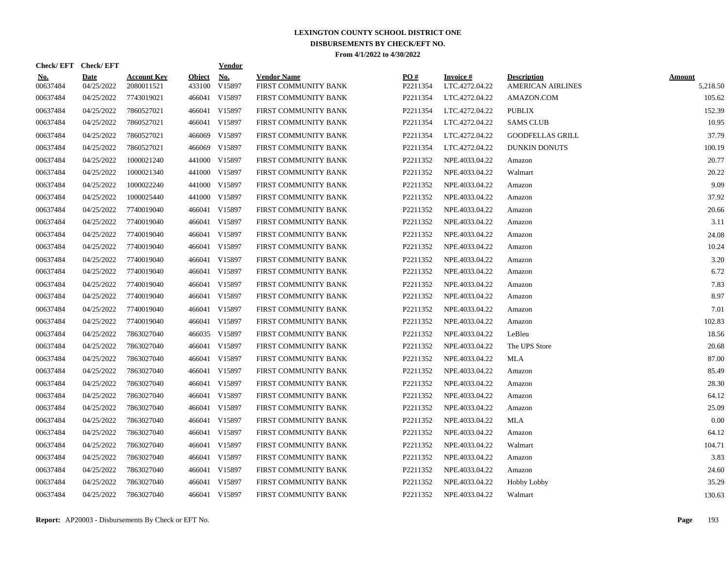| Check/EFT Check/EFT    |                           |                                  |                  | <u>Vendor</u> |                                            |                 |                             |                                                |                           |
|------------------------|---------------------------|----------------------------------|------------------|---------------|--------------------------------------------|-----------------|-----------------------------|------------------------------------------------|---------------------------|
| <u>No.</u><br>00637484 | <b>Date</b><br>04/25/2022 | <b>Account Key</b><br>2080011521 | Object<br>433100 | No.<br>V15897 | <b>Vendor Name</b><br>FIRST COMMUNITY BANK | PO#<br>P2211354 | Invoice #<br>LTC.4272.04.22 | <b>Description</b><br><b>AMERICAN AIRLINES</b> | <b>Amount</b><br>5,218.50 |
| 00637484               | 04/25/2022                | 7743019021                       |                  | 466041 V15897 | FIRST COMMUNITY BANK                       | P2211354        | LTC.4272.04.22              | AMAZON.COM                                     | 105.62                    |
| 00637484               | 04/25/2022                | 7860527021                       |                  | 466041 V15897 | FIRST COMMUNITY BANK                       | P2211354        | LTC.4272.04.22              | <b>PUBLIX</b>                                  | 152.39                    |
| 00637484               | 04/25/2022                | 7860527021                       |                  | 466041 V15897 | FIRST COMMUNITY BANK                       | P2211354        | LTC.4272.04.22              | <b>SAMS CLUB</b>                               | 10.95                     |
| 00637484               | 04/25/2022                | 7860527021                       | 466069           | V15897        | FIRST COMMUNITY BANK                       | P2211354        | LTC.4272.04.22              | <b>GOODFELLAS GRILL</b>                        | 37.79                     |
| 00637484               | 04/25/2022                | 7860527021                       |                  | 466069 V15897 | FIRST COMMUNITY BANK                       | P2211354        | LTC.4272.04.22              | <b>DUNKIN DONUTS</b>                           | 100.19                    |
| 00637484               | 04/25/2022                | 1000021240                       | 441000           | V15897        | FIRST COMMUNITY BANK                       | P2211352        | NPE.4033.04.22              | Amazon                                         | 20.77                     |
| 00637484               | 04/25/2022                | 1000021340                       |                  | 441000 V15897 | FIRST COMMUNITY BANK                       | P2211352        | NPE.4033.04.22              | Walmart                                        | 20.22                     |
| 00637484               | 04/25/2022                | 1000022240                       |                  | 441000 V15897 | FIRST COMMUNITY BANK                       | P2211352        | NPE.4033.04.22              | Amazon                                         | 9.09                      |
| 00637484               | 04/25/2022                | 1000025440                       |                  | 441000 V15897 | FIRST COMMUNITY BANK                       | P2211352        | NPE.4033.04.22              | Amazon                                         | 37.92                     |
| 00637484               | 04/25/2022                | 7740019040                       |                  | 466041 V15897 | FIRST COMMUNITY BANK                       | P2211352        | NPE.4033.04.22              | Amazon                                         | 20.66                     |
| 00637484               | 04/25/2022                | 7740019040                       |                  | 466041 V15897 | FIRST COMMUNITY BANK                       | P2211352        | NPE.4033.04.22              | Amazon                                         | 3.11                      |
| 00637484               | 04/25/2022                | 7740019040                       |                  | 466041 V15897 | FIRST COMMUNITY BANK                       | P2211352        | NPE.4033.04.22              | Amazon                                         | 24.08                     |
| 00637484               | 04/25/2022                | 7740019040                       |                  | 466041 V15897 | FIRST COMMUNITY BANK                       | P2211352        | NPE.4033.04.22              | Amazon                                         | 10.24                     |
| 00637484               | 04/25/2022                | 7740019040                       | 466041           | V15897        | FIRST COMMUNITY BANK                       | P2211352        | NPE.4033.04.22              | Amazon                                         | 3.20                      |
| 00637484               | 04/25/2022                | 7740019040                       |                  | 466041 V15897 | FIRST COMMUNITY BANK                       | P2211352        | NPE.4033.04.22              | Amazon                                         | 6.72                      |
| 00637484               | 04/25/2022                | 7740019040                       |                  | 466041 V15897 | FIRST COMMUNITY BANK                       | P2211352        | NPE.4033.04.22              | Amazon                                         | 7.83                      |
| 00637484               | 04/25/2022                | 7740019040                       |                  | 466041 V15897 | FIRST COMMUNITY BANK                       | P2211352        | NPE.4033.04.22              | Amazon                                         | 8.97                      |
| 00637484               | 04/25/2022                | 7740019040                       |                  | 466041 V15897 | FIRST COMMUNITY BANK                       | P2211352        | NPE.4033.04.22              | Amazon                                         | 7.01                      |
| 00637484               | 04/25/2022                | 7740019040                       |                  | 466041 V15897 | FIRST COMMUNITY BANK                       | P2211352        | NPE.4033.04.22              | Amazon                                         | 102.83                    |
| 00637484               | 04/25/2022                | 7863027040                       |                  | 466035 V15897 | FIRST COMMUNITY BANK                       | P2211352        | NPE.4033.04.22              | LeBleu                                         | 18.56                     |
| 00637484               | 04/25/2022                | 7863027040                       |                  | 466041 V15897 | FIRST COMMUNITY BANK                       | P2211352        | NPE.4033.04.22              | The UPS Store                                  | 20.68                     |
| 00637484               | 04/25/2022                | 7863027040                       | 466041           | V15897        | FIRST COMMUNITY BANK                       | P2211352        | NPE.4033.04.22              | <b>MLA</b>                                     | 87.00                     |
| 00637484               | 04/25/2022                | 7863027040                       |                  | 466041 V15897 | FIRST COMMUNITY BANK                       | P2211352        | NPE.4033.04.22              | Amazon                                         | 85.49                     |
| 00637484               | 04/25/2022                | 7863027040                       |                  | 466041 V15897 | FIRST COMMUNITY BANK                       | P2211352        | NPE.4033.04.22              | Amazon                                         | 28.30                     |
| 00637484               | 04/25/2022                | 7863027040                       |                  | 466041 V15897 | FIRST COMMUNITY BANK                       | P2211352        | NPE.4033.04.22              | Amazon                                         | 64.12                     |
| 00637484               | 04/25/2022                | 7863027040                       |                  | 466041 V15897 | FIRST COMMUNITY BANK                       | P2211352        | NPE.4033.04.22              | Amazon                                         | 25.09                     |
| 00637484               | 04/25/2022                | 7863027040                       |                  | 466041 V15897 | FIRST COMMUNITY BANK                       | P2211352        | NPE.4033.04.22              | <b>MLA</b>                                     | 0.00                      |
| 00637484               | 04/25/2022                | 7863027040                       |                  | 466041 V15897 | FIRST COMMUNITY BANK                       | P2211352        | NPE.4033.04.22              | Amazon                                         | 64.12                     |
| 00637484               | 04/25/2022                | 7863027040                       |                  | 466041 V15897 | FIRST COMMUNITY BANK                       | P2211352        | NPE.4033.04.22              | Walmart                                        | 104.71                    |
| 00637484               | 04/25/2022                | 7863027040                       |                  | 466041 V15897 | FIRST COMMUNITY BANK                       | P2211352        | NPE.4033.04.22              | Amazon                                         | 3.83                      |
| 00637484               | 04/25/2022                | 7863027040                       | 466041           | V15897        | FIRST COMMUNITY BANK                       | P2211352        | NPE.4033.04.22              | Amazon                                         | 24.60                     |
| 00637484               | 04/25/2022                | 7863027040                       | 466041           | V15897        | FIRST COMMUNITY BANK                       | P2211352        | NPE.4033.04.22              | Hobby Lobby                                    | 35.29                     |
| 00637484               | 04/25/2022                | 7863027040                       |                  | 466041 V15897 | FIRST COMMUNITY BANK                       | P2211352        | NPE.4033.04.22              | Walmart                                        | 130.63                    |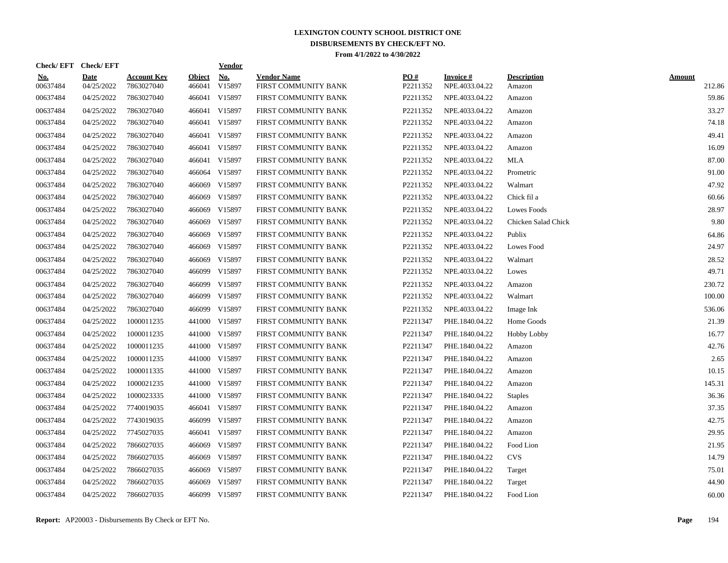| No.<br>PO#<br><b>Account Key</b><br><b>Object</b><br><b>Vendor Name</b><br>Invoice #<br><b>Description</b><br><u>No.</u><br><b>Date</b><br>V15897<br>00637484<br>04/25/2022<br>7863027040<br>466041<br>FIRST COMMUNITY BANK<br>P2211352<br>NPE.4033.04.22<br>Amazon<br>466041 V15897<br>00637484<br>04/25/2022<br>7863027040<br>FIRST COMMUNITY BANK<br>P2211352<br>NPE.4033.04.22<br>Amazon<br>00637484<br>7863027040<br>466041 V15897<br>04/25/2022<br>FIRST COMMUNITY BANK<br>P2211352<br>NPE.4033.04.22<br>Amazon<br>04/25/2022<br>7863027040<br>466041 V15897<br>P2211352<br>00637484<br>FIRST COMMUNITY BANK<br>NPE.4033.04.22<br>Amazon<br>00637484<br>04/25/2022<br>7863027040<br>466041 V15897<br>P2211352<br>FIRST COMMUNITY BANK<br>NPE.4033.04.22<br>Amazon<br>00637484<br>04/25/2022<br>7863027040<br>466041 V15897<br>P2211352<br>FIRST COMMUNITY BANK<br>NPE.4033.04.22<br>Amazon<br>00637484<br>04/25/2022<br>7863027040<br>466041 V15897<br>P2211352<br>FIRST COMMUNITY BANK<br>NPE.4033.04.22<br><b>MLA</b><br>00637484<br>466064 V15897<br>P2211352<br>04/25/2022<br>7863027040<br>FIRST COMMUNITY BANK<br>NPE.4033.04.22<br>Prometric<br>00637484<br>7863027040<br>466069 V15897<br>P2211352<br>Walmart<br>04/25/2022<br>FIRST COMMUNITY BANK<br>NPE.4033.04.22<br>00637484<br>7863027040<br>466069 V15897<br>P2211352<br>Chick fil a<br>04/25/2022<br>FIRST COMMUNITY BANK<br>NPE.4033.04.22<br>466069 V15897<br>00637484<br>04/25/2022<br>7863027040<br>FIRST COMMUNITY BANK<br>P2211352<br>NPE.4033.04.22<br>Lowes Foods<br>00637484<br>04/25/2022<br>7863027040<br>466069 V15897<br>P2211352<br>FIRST COMMUNITY BANK<br>NPE.4033.04.22<br>Chicken Salad Chick<br>00637484<br>04/25/2022<br>7863027040<br>466069 V15897<br>FIRST COMMUNITY BANK<br>P2211352<br>NPE.4033.04.22<br>Publix<br>00637484<br>04/25/2022<br>7863027040<br>466069 V15897<br>P2211352<br>NPE.4033.04.22<br>FIRST COMMUNITY BANK<br>Lowes Food<br>00637484<br>04/25/2022<br>7863027040<br>466069<br>V15897<br>P2211352<br>NPE.4033.04.22<br>FIRST COMMUNITY BANK<br>Walmart<br>00637484<br>04/25/2022<br>7863027040<br>466099<br>V15897<br>P2211352<br>FIRST COMMUNITY BANK<br>NPE.4033.04.22<br>Lowes<br>00637484<br>04/25/2022<br>7863027040<br>466099<br>V15897<br>P2211352<br>NPE.4033.04.22<br>FIRST COMMUNITY BANK<br>Amazon<br>00637484<br>7863027040<br>466099 V15897<br>P2211352<br>04/25/2022<br>FIRST COMMUNITY BANK<br>NPE.4033.04.22<br>Walmart<br>00637484<br>04/25/2022<br>7863027040<br>466099<br>V15897<br>FIRST COMMUNITY BANK<br>P2211352<br>NPE.4033.04.22<br>Image Ink<br>00637484<br>04/25/2022<br>1000011235<br>441000 V15897<br>FIRST COMMUNITY BANK<br>P2211347<br>PHE.1840.04.22<br>Home Goods<br>1000011235<br>441000 V15897<br>00637484<br>04/25/2022<br>FIRST COMMUNITY BANK<br>P2211347<br>PHE.1840.04.22<br>Hobby Lobby<br>00637484<br>04/25/2022<br>1000011235<br>441000 V15897<br>P2211347<br>FIRST COMMUNITY BANK<br>PHE.1840.04.22<br>Amazon<br>1000011235<br>00637484<br>04/25/2022<br>441000 V15897<br>FIRST COMMUNITY BANK<br>P2211347<br>PHE.1840.04.22<br>Amazon<br>00637484<br>1000011335<br>441000 V15897<br>04/25/2022<br>FIRST COMMUNITY BANK<br>P2211347<br>PHE.1840.04.22<br>Amazon<br>00637484<br>04/25/2022<br>1000021235<br>441000 V15897<br>P2211347<br>PHE.1840.04.22<br>FIRST COMMUNITY BANK<br>Amazon<br>00637484<br>1000023335<br>441000 V15897<br>P2211347<br>04/25/2022<br>FIRST COMMUNITY BANK<br>PHE.1840.04.22<br><b>Staples</b><br>00637484<br>7740019035<br>466041 V15897<br>P2211347<br>04/25/2022<br>FIRST COMMUNITY BANK<br>PHE.1840.04.22<br>Amazon<br>00637484<br>04/25/2022<br>7743019035<br>466099 V15897<br>P2211347<br>PHE.1840.04.22<br>FIRST COMMUNITY BANK<br>Amazon<br>00637484<br>04/25/2022<br>7745027035<br>466041 V15897<br>P2211347<br>FIRST COMMUNITY BANK<br>PHE.1840.04.22<br>Amazon<br>00637484<br>04/25/2022<br>7866027035<br>466069 V15897<br>P2211347<br>PHE.1840.04.22<br>FIRST COMMUNITY BANK<br>Food Lion<br>00637484<br>04/25/2022<br>7866027035<br>466069 V15897<br>P2211347<br>PHE.1840.04.22<br><b>CVS</b><br>FIRST COMMUNITY BANK<br>00637484<br>04/25/2022<br>7866027035<br>V15897<br>P2211347<br>466069<br>FIRST COMMUNITY BANK<br>PHE.1840.04.22<br>Target<br>00637484<br>7866027035<br>V15897<br>P2211347<br>04/25/2022<br>466069<br>FIRST COMMUNITY BANK<br>PHE.1840.04.22<br>Target<br>00637484<br>04/25/2022<br>7866027035<br>466099 V15897<br>P2211347<br>PHE.1840.04.22<br>FIRST COMMUNITY BANK<br>Food Lion | Check/EFT Check/EFT |  | <b>Vendor</b> |  |  |                         |
|------------------------------------------------------------------------------------------------------------------------------------------------------------------------------------------------------------------------------------------------------------------------------------------------------------------------------------------------------------------------------------------------------------------------------------------------------------------------------------------------------------------------------------------------------------------------------------------------------------------------------------------------------------------------------------------------------------------------------------------------------------------------------------------------------------------------------------------------------------------------------------------------------------------------------------------------------------------------------------------------------------------------------------------------------------------------------------------------------------------------------------------------------------------------------------------------------------------------------------------------------------------------------------------------------------------------------------------------------------------------------------------------------------------------------------------------------------------------------------------------------------------------------------------------------------------------------------------------------------------------------------------------------------------------------------------------------------------------------------------------------------------------------------------------------------------------------------------------------------------------------------------------------------------------------------------------------------------------------------------------------------------------------------------------------------------------------------------------------------------------------------------------------------------------------------------------------------------------------------------------------------------------------------------------------------------------------------------------------------------------------------------------------------------------------------------------------------------------------------------------------------------------------------------------------------------------------------------------------------------------------------------------------------------------------------------------------------------------------------------------------------------------------------------------------------------------------------------------------------------------------------------------------------------------------------------------------------------------------------------------------------------------------------------------------------------------------------------------------------------------------------------------------------------------------------------------------------------------------------------------------------------------------------------------------------------------------------------------------------------------------------------------------------------------------------------------------------------------------------------------------------------------------------------------------------------------------------------------------------------------------------------------------------------------------------------------------------------------------------------------------------------------------------------------------------------------------------------------------------------------------------------------------------------------------------------------------------------------------------------------------------------------------------------------------------------------------------------------------------------------------------------------------------------------------------------------------------------------------------------------------------------------------------------------------------------------------------------------------------------------------------------------------------------------------------------------------------------------------------------------------------------|---------------------|--|---------------|--|--|-------------------------|
|                                                                                                                                                                                                                                                                                                                                                                                                                                                                                                                                                                                                                                                                                                                                                                                                                                                                                                                                                                                                                                                                                                                                                                                                                                                                                                                                                                                                                                                                                                                                                                                                                                                                                                                                                                                                                                                                                                                                                                                                                                                                                                                                                                                                                                                                                                                                                                                                                                                                                                                                                                                                                                                                                                                                                                                                                                                                                                                                                                                                                                                                                                                                                                                                                                                                                                                                                                                                                                                                                                                                                                                                                                                                                                                                                                                                                                                                                                                                                                                                                                                                                                                                                                                                                                                                                                                                                                                                                                                                                                                  |                     |  |               |  |  | <b>Amount</b><br>212.86 |
|                                                                                                                                                                                                                                                                                                                                                                                                                                                                                                                                                                                                                                                                                                                                                                                                                                                                                                                                                                                                                                                                                                                                                                                                                                                                                                                                                                                                                                                                                                                                                                                                                                                                                                                                                                                                                                                                                                                                                                                                                                                                                                                                                                                                                                                                                                                                                                                                                                                                                                                                                                                                                                                                                                                                                                                                                                                                                                                                                                                                                                                                                                                                                                                                                                                                                                                                                                                                                                                                                                                                                                                                                                                                                                                                                                                                                                                                                                                                                                                                                                                                                                                                                                                                                                                                                                                                                                                                                                                                                                                  |                     |  |               |  |  | 59.86                   |
|                                                                                                                                                                                                                                                                                                                                                                                                                                                                                                                                                                                                                                                                                                                                                                                                                                                                                                                                                                                                                                                                                                                                                                                                                                                                                                                                                                                                                                                                                                                                                                                                                                                                                                                                                                                                                                                                                                                                                                                                                                                                                                                                                                                                                                                                                                                                                                                                                                                                                                                                                                                                                                                                                                                                                                                                                                                                                                                                                                                                                                                                                                                                                                                                                                                                                                                                                                                                                                                                                                                                                                                                                                                                                                                                                                                                                                                                                                                                                                                                                                                                                                                                                                                                                                                                                                                                                                                                                                                                                                                  |                     |  |               |  |  | 33.27                   |
|                                                                                                                                                                                                                                                                                                                                                                                                                                                                                                                                                                                                                                                                                                                                                                                                                                                                                                                                                                                                                                                                                                                                                                                                                                                                                                                                                                                                                                                                                                                                                                                                                                                                                                                                                                                                                                                                                                                                                                                                                                                                                                                                                                                                                                                                                                                                                                                                                                                                                                                                                                                                                                                                                                                                                                                                                                                                                                                                                                                                                                                                                                                                                                                                                                                                                                                                                                                                                                                                                                                                                                                                                                                                                                                                                                                                                                                                                                                                                                                                                                                                                                                                                                                                                                                                                                                                                                                                                                                                                                                  |                     |  |               |  |  | 74.18                   |
|                                                                                                                                                                                                                                                                                                                                                                                                                                                                                                                                                                                                                                                                                                                                                                                                                                                                                                                                                                                                                                                                                                                                                                                                                                                                                                                                                                                                                                                                                                                                                                                                                                                                                                                                                                                                                                                                                                                                                                                                                                                                                                                                                                                                                                                                                                                                                                                                                                                                                                                                                                                                                                                                                                                                                                                                                                                                                                                                                                                                                                                                                                                                                                                                                                                                                                                                                                                                                                                                                                                                                                                                                                                                                                                                                                                                                                                                                                                                                                                                                                                                                                                                                                                                                                                                                                                                                                                                                                                                                                                  |                     |  |               |  |  | 49.41                   |
|                                                                                                                                                                                                                                                                                                                                                                                                                                                                                                                                                                                                                                                                                                                                                                                                                                                                                                                                                                                                                                                                                                                                                                                                                                                                                                                                                                                                                                                                                                                                                                                                                                                                                                                                                                                                                                                                                                                                                                                                                                                                                                                                                                                                                                                                                                                                                                                                                                                                                                                                                                                                                                                                                                                                                                                                                                                                                                                                                                                                                                                                                                                                                                                                                                                                                                                                                                                                                                                                                                                                                                                                                                                                                                                                                                                                                                                                                                                                                                                                                                                                                                                                                                                                                                                                                                                                                                                                                                                                                                                  |                     |  |               |  |  | 16.09                   |
|                                                                                                                                                                                                                                                                                                                                                                                                                                                                                                                                                                                                                                                                                                                                                                                                                                                                                                                                                                                                                                                                                                                                                                                                                                                                                                                                                                                                                                                                                                                                                                                                                                                                                                                                                                                                                                                                                                                                                                                                                                                                                                                                                                                                                                                                                                                                                                                                                                                                                                                                                                                                                                                                                                                                                                                                                                                                                                                                                                                                                                                                                                                                                                                                                                                                                                                                                                                                                                                                                                                                                                                                                                                                                                                                                                                                                                                                                                                                                                                                                                                                                                                                                                                                                                                                                                                                                                                                                                                                                                                  |                     |  |               |  |  | 87.00                   |
|                                                                                                                                                                                                                                                                                                                                                                                                                                                                                                                                                                                                                                                                                                                                                                                                                                                                                                                                                                                                                                                                                                                                                                                                                                                                                                                                                                                                                                                                                                                                                                                                                                                                                                                                                                                                                                                                                                                                                                                                                                                                                                                                                                                                                                                                                                                                                                                                                                                                                                                                                                                                                                                                                                                                                                                                                                                                                                                                                                                                                                                                                                                                                                                                                                                                                                                                                                                                                                                                                                                                                                                                                                                                                                                                                                                                                                                                                                                                                                                                                                                                                                                                                                                                                                                                                                                                                                                                                                                                                                                  |                     |  |               |  |  | 91.00                   |
|                                                                                                                                                                                                                                                                                                                                                                                                                                                                                                                                                                                                                                                                                                                                                                                                                                                                                                                                                                                                                                                                                                                                                                                                                                                                                                                                                                                                                                                                                                                                                                                                                                                                                                                                                                                                                                                                                                                                                                                                                                                                                                                                                                                                                                                                                                                                                                                                                                                                                                                                                                                                                                                                                                                                                                                                                                                                                                                                                                                                                                                                                                                                                                                                                                                                                                                                                                                                                                                                                                                                                                                                                                                                                                                                                                                                                                                                                                                                                                                                                                                                                                                                                                                                                                                                                                                                                                                                                                                                                                                  |                     |  |               |  |  | 47.92                   |
|                                                                                                                                                                                                                                                                                                                                                                                                                                                                                                                                                                                                                                                                                                                                                                                                                                                                                                                                                                                                                                                                                                                                                                                                                                                                                                                                                                                                                                                                                                                                                                                                                                                                                                                                                                                                                                                                                                                                                                                                                                                                                                                                                                                                                                                                                                                                                                                                                                                                                                                                                                                                                                                                                                                                                                                                                                                                                                                                                                                                                                                                                                                                                                                                                                                                                                                                                                                                                                                                                                                                                                                                                                                                                                                                                                                                                                                                                                                                                                                                                                                                                                                                                                                                                                                                                                                                                                                                                                                                                                                  |                     |  |               |  |  | 60.66                   |
|                                                                                                                                                                                                                                                                                                                                                                                                                                                                                                                                                                                                                                                                                                                                                                                                                                                                                                                                                                                                                                                                                                                                                                                                                                                                                                                                                                                                                                                                                                                                                                                                                                                                                                                                                                                                                                                                                                                                                                                                                                                                                                                                                                                                                                                                                                                                                                                                                                                                                                                                                                                                                                                                                                                                                                                                                                                                                                                                                                                                                                                                                                                                                                                                                                                                                                                                                                                                                                                                                                                                                                                                                                                                                                                                                                                                                                                                                                                                                                                                                                                                                                                                                                                                                                                                                                                                                                                                                                                                                                                  |                     |  |               |  |  | 28.97                   |
|                                                                                                                                                                                                                                                                                                                                                                                                                                                                                                                                                                                                                                                                                                                                                                                                                                                                                                                                                                                                                                                                                                                                                                                                                                                                                                                                                                                                                                                                                                                                                                                                                                                                                                                                                                                                                                                                                                                                                                                                                                                                                                                                                                                                                                                                                                                                                                                                                                                                                                                                                                                                                                                                                                                                                                                                                                                                                                                                                                                                                                                                                                                                                                                                                                                                                                                                                                                                                                                                                                                                                                                                                                                                                                                                                                                                                                                                                                                                                                                                                                                                                                                                                                                                                                                                                                                                                                                                                                                                                                                  |                     |  |               |  |  | 9.80                    |
|                                                                                                                                                                                                                                                                                                                                                                                                                                                                                                                                                                                                                                                                                                                                                                                                                                                                                                                                                                                                                                                                                                                                                                                                                                                                                                                                                                                                                                                                                                                                                                                                                                                                                                                                                                                                                                                                                                                                                                                                                                                                                                                                                                                                                                                                                                                                                                                                                                                                                                                                                                                                                                                                                                                                                                                                                                                                                                                                                                                                                                                                                                                                                                                                                                                                                                                                                                                                                                                                                                                                                                                                                                                                                                                                                                                                                                                                                                                                                                                                                                                                                                                                                                                                                                                                                                                                                                                                                                                                                                                  |                     |  |               |  |  | 64.86                   |
|                                                                                                                                                                                                                                                                                                                                                                                                                                                                                                                                                                                                                                                                                                                                                                                                                                                                                                                                                                                                                                                                                                                                                                                                                                                                                                                                                                                                                                                                                                                                                                                                                                                                                                                                                                                                                                                                                                                                                                                                                                                                                                                                                                                                                                                                                                                                                                                                                                                                                                                                                                                                                                                                                                                                                                                                                                                                                                                                                                                                                                                                                                                                                                                                                                                                                                                                                                                                                                                                                                                                                                                                                                                                                                                                                                                                                                                                                                                                                                                                                                                                                                                                                                                                                                                                                                                                                                                                                                                                                                                  |                     |  |               |  |  | 24.97                   |
|                                                                                                                                                                                                                                                                                                                                                                                                                                                                                                                                                                                                                                                                                                                                                                                                                                                                                                                                                                                                                                                                                                                                                                                                                                                                                                                                                                                                                                                                                                                                                                                                                                                                                                                                                                                                                                                                                                                                                                                                                                                                                                                                                                                                                                                                                                                                                                                                                                                                                                                                                                                                                                                                                                                                                                                                                                                                                                                                                                                                                                                                                                                                                                                                                                                                                                                                                                                                                                                                                                                                                                                                                                                                                                                                                                                                                                                                                                                                                                                                                                                                                                                                                                                                                                                                                                                                                                                                                                                                                                                  |                     |  |               |  |  | 28.52                   |
|                                                                                                                                                                                                                                                                                                                                                                                                                                                                                                                                                                                                                                                                                                                                                                                                                                                                                                                                                                                                                                                                                                                                                                                                                                                                                                                                                                                                                                                                                                                                                                                                                                                                                                                                                                                                                                                                                                                                                                                                                                                                                                                                                                                                                                                                                                                                                                                                                                                                                                                                                                                                                                                                                                                                                                                                                                                                                                                                                                                                                                                                                                                                                                                                                                                                                                                                                                                                                                                                                                                                                                                                                                                                                                                                                                                                                                                                                                                                                                                                                                                                                                                                                                                                                                                                                                                                                                                                                                                                                                                  |                     |  |               |  |  | 49.71                   |
|                                                                                                                                                                                                                                                                                                                                                                                                                                                                                                                                                                                                                                                                                                                                                                                                                                                                                                                                                                                                                                                                                                                                                                                                                                                                                                                                                                                                                                                                                                                                                                                                                                                                                                                                                                                                                                                                                                                                                                                                                                                                                                                                                                                                                                                                                                                                                                                                                                                                                                                                                                                                                                                                                                                                                                                                                                                                                                                                                                                                                                                                                                                                                                                                                                                                                                                                                                                                                                                                                                                                                                                                                                                                                                                                                                                                                                                                                                                                                                                                                                                                                                                                                                                                                                                                                                                                                                                                                                                                                                                  |                     |  |               |  |  | 230.72                  |
|                                                                                                                                                                                                                                                                                                                                                                                                                                                                                                                                                                                                                                                                                                                                                                                                                                                                                                                                                                                                                                                                                                                                                                                                                                                                                                                                                                                                                                                                                                                                                                                                                                                                                                                                                                                                                                                                                                                                                                                                                                                                                                                                                                                                                                                                                                                                                                                                                                                                                                                                                                                                                                                                                                                                                                                                                                                                                                                                                                                                                                                                                                                                                                                                                                                                                                                                                                                                                                                                                                                                                                                                                                                                                                                                                                                                                                                                                                                                                                                                                                                                                                                                                                                                                                                                                                                                                                                                                                                                                                                  |                     |  |               |  |  | 100.00                  |
|                                                                                                                                                                                                                                                                                                                                                                                                                                                                                                                                                                                                                                                                                                                                                                                                                                                                                                                                                                                                                                                                                                                                                                                                                                                                                                                                                                                                                                                                                                                                                                                                                                                                                                                                                                                                                                                                                                                                                                                                                                                                                                                                                                                                                                                                                                                                                                                                                                                                                                                                                                                                                                                                                                                                                                                                                                                                                                                                                                                                                                                                                                                                                                                                                                                                                                                                                                                                                                                                                                                                                                                                                                                                                                                                                                                                                                                                                                                                                                                                                                                                                                                                                                                                                                                                                                                                                                                                                                                                                                                  |                     |  |               |  |  | 536.06                  |
|                                                                                                                                                                                                                                                                                                                                                                                                                                                                                                                                                                                                                                                                                                                                                                                                                                                                                                                                                                                                                                                                                                                                                                                                                                                                                                                                                                                                                                                                                                                                                                                                                                                                                                                                                                                                                                                                                                                                                                                                                                                                                                                                                                                                                                                                                                                                                                                                                                                                                                                                                                                                                                                                                                                                                                                                                                                                                                                                                                                                                                                                                                                                                                                                                                                                                                                                                                                                                                                                                                                                                                                                                                                                                                                                                                                                                                                                                                                                                                                                                                                                                                                                                                                                                                                                                                                                                                                                                                                                                                                  |                     |  |               |  |  | 21.39                   |
|                                                                                                                                                                                                                                                                                                                                                                                                                                                                                                                                                                                                                                                                                                                                                                                                                                                                                                                                                                                                                                                                                                                                                                                                                                                                                                                                                                                                                                                                                                                                                                                                                                                                                                                                                                                                                                                                                                                                                                                                                                                                                                                                                                                                                                                                                                                                                                                                                                                                                                                                                                                                                                                                                                                                                                                                                                                                                                                                                                                                                                                                                                                                                                                                                                                                                                                                                                                                                                                                                                                                                                                                                                                                                                                                                                                                                                                                                                                                                                                                                                                                                                                                                                                                                                                                                                                                                                                                                                                                                                                  |                     |  |               |  |  | 16.77                   |
|                                                                                                                                                                                                                                                                                                                                                                                                                                                                                                                                                                                                                                                                                                                                                                                                                                                                                                                                                                                                                                                                                                                                                                                                                                                                                                                                                                                                                                                                                                                                                                                                                                                                                                                                                                                                                                                                                                                                                                                                                                                                                                                                                                                                                                                                                                                                                                                                                                                                                                                                                                                                                                                                                                                                                                                                                                                                                                                                                                                                                                                                                                                                                                                                                                                                                                                                                                                                                                                                                                                                                                                                                                                                                                                                                                                                                                                                                                                                                                                                                                                                                                                                                                                                                                                                                                                                                                                                                                                                                                                  |                     |  |               |  |  | 42.76                   |
|                                                                                                                                                                                                                                                                                                                                                                                                                                                                                                                                                                                                                                                                                                                                                                                                                                                                                                                                                                                                                                                                                                                                                                                                                                                                                                                                                                                                                                                                                                                                                                                                                                                                                                                                                                                                                                                                                                                                                                                                                                                                                                                                                                                                                                                                                                                                                                                                                                                                                                                                                                                                                                                                                                                                                                                                                                                                                                                                                                                                                                                                                                                                                                                                                                                                                                                                                                                                                                                                                                                                                                                                                                                                                                                                                                                                                                                                                                                                                                                                                                                                                                                                                                                                                                                                                                                                                                                                                                                                                                                  |                     |  |               |  |  | 2.65                    |
|                                                                                                                                                                                                                                                                                                                                                                                                                                                                                                                                                                                                                                                                                                                                                                                                                                                                                                                                                                                                                                                                                                                                                                                                                                                                                                                                                                                                                                                                                                                                                                                                                                                                                                                                                                                                                                                                                                                                                                                                                                                                                                                                                                                                                                                                                                                                                                                                                                                                                                                                                                                                                                                                                                                                                                                                                                                                                                                                                                                                                                                                                                                                                                                                                                                                                                                                                                                                                                                                                                                                                                                                                                                                                                                                                                                                                                                                                                                                                                                                                                                                                                                                                                                                                                                                                                                                                                                                                                                                                                                  |                     |  |               |  |  | 10.15                   |
|                                                                                                                                                                                                                                                                                                                                                                                                                                                                                                                                                                                                                                                                                                                                                                                                                                                                                                                                                                                                                                                                                                                                                                                                                                                                                                                                                                                                                                                                                                                                                                                                                                                                                                                                                                                                                                                                                                                                                                                                                                                                                                                                                                                                                                                                                                                                                                                                                                                                                                                                                                                                                                                                                                                                                                                                                                                                                                                                                                                                                                                                                                                                                                                                                                                                                                                                                                                                                                                                                                                                                                                                                                                                                                                                                                                                                                                                                                                                                                                                                                                                                                                                                                                                                                                                                                                                                                                                                                                                                                                  |                     |  |               |  |  | 145.31                  |
|                                                                                                                                                                                                                                                                                                                                                                                                                                                                                                                                                                                                                                                                                                                                                                                                                                                                                                                                                                                                                                                                                                                                                                                                                                                                                                                                                                                                                                                                                                                                                                                                                                                                                                                                                                                                                                                                                                                                                                                                                                                                                                                                                                                                                                                                                                                                                                                                                                                                                                                                                                                                                                                                                                                                                                                                                                                                                                                                                                                                                                                                                                                                                                                                                                                                                                                                                                                                                                                                                                                                                                                                                                                                                                                                                                                                                                                                                                                                                                                                                                                                                                                                                                                                                                                                                                                                                                                                                                                                                                                  |                     |  |               |  |  | 36.36                   |
|                                                                                                                                                                                                                                                                                                                                                                                                                                                                                                                                                                                                                                                                                                                                                                                                                                                                                                                                                                                                                                                                                                                                                                                                                                                                                                                                                                                                                                                                                                                                                                                                                                                                                                                                                                                                                                                                                                                                                                                                                                                                                                                                                                                                                                                                                                                                                                                                                                                                                                                                                                                                                                                                                                                                                                                                                                                                                                                                                                                                                                                                                                                                                                                                                                                                                                                                                                                                                                                                                                                                                                                                                                                                                                                                                                                                                                                                                                                                                                                                                                                                                                                                                                                                                                                                                                                                                                                                                                                                                                                  |                     |  |               |  |  | 37.35                   |
|                                                                                                                                                                                                                                                                                                                                                                                                                                                                                                                                                                                                                                                                                                                                                                                                                                                                                                                                                                                                                                                                                                                                                                                                                                                                                                                                                                                                                                                                                                                                                                                                                                                                                                                                                                                                                                                                                                                                                                                                                                                                                                                                                                                                                                                                                                                                                                                                                                                                                                                                                                                                                                                                                                                                                                                                                                                                                                                                                                                                                                                                                                                                                                                                                                                                                                                                                                                                                                                                                                                                                                                                                                                                                                                                                                                                                                                                                                                                                                                                                                                                                                                                                                                                                                                                                                                                                                                                                                                                                                                  |                     |  |               |  |  | 42.75                   |
|                                                                                                                                                                                                                                                                                                                                                                                                                                                                                                                                                                                                                                                                                                                                                                                                                                                                                                                                                                                                                                                                                                                                                                                                                                                                                                                                                                                                                                                                                                                                                                                                                                                                                                                                                                                                                                                                                                                                                                                                                                                                                                                                                                                                                                                                                                                                                                                                                                                                                                                                                                                                                                                                                                                                                                                                                                                                                                                                                                                                                                                                                                                                                                                                                                                                                                                                                                                                                                                                                                                                                                                                                                                                                                                                                                                                                                                                                                                                                                                                                                                                                                                                                                                                                                                                                                                                                                                                                                                                                                                  |                     |  |               |  |  | 29.95                   |
|                                                                                                                                                                                                                                                                                                                                                                                                                                                                                                                                                                                                                                                                                                                                                                                                                                                                                                                                                                                                                                                                                                                                                                                                                                                                                                                                                                                                                                                                                                                                                                                                                                                                                                                                                                                                                                                                                                                                                                                                                                                                                                                                                                                                                                                                                                                                                                                                                                                                                                                                                                                                                                                                                                                                                                                                                                                                                                                                                                                                                                                                                                                                                                                                                                                                                                                                                                                                                                                                                                                                                                                                                                                                                                                                                                                                                                                                                                                                                                                                                                                                                                                                                                                                                                                                                                                                                                                                                                                                                                                  |                     |  |               |  |  | 21.95                   |
|                                                                                                                                                                                                                                                                                                                                                                                                                                                                                                                                                                                                                                                                                                                                                                                                                                                                                                                                                                                                                                                                                                                                                                                                                                                                                                                                                                                                                                                                                                                                                                                                                                                                                                                                                                                                                                                                                                                                                                                                                                                                                                                                                                                                                                                                                                                                                                                                                                                                                                                                                                                                                                                                                                                                                                                                                                                                                                                                                                                                                                                                                                                                                                                                                                                                                                                                                                                                                                                                                                                                                                                                                                                                                                                                                                                                                                                                                                                                                                                                                                                                                                                                                                                                                                                                                                                                                                                                                                                                                                                  |                     |  |               |  |  | 14.79                   |
|                                                                                                                                                                                                                                                                                                                                                                                                                                                                                                                                                                                                                                                                                                                                                                                                                                                                                                                                                                                                                                                                                                                                                                                                                                                                                                                                                                                                                                                                                                                                                                                                                                                                                                                                                                                                                                                                                                                                                                                                                                                                                                                                                                                                                                                                                                                                                                                                                                                                                                                                                                                                                                                                                                                                                                                                                                                                                                                                                                                                                                                                                                                                                                                                                                                                                                                                                                                                                                                                                                                                                                                                                                                                                                                                                                                                                                                                                                                                                                                                                                                                                                                                                                                                                                                                                                                                                                                                                                                                                                                  |                     |  |               |  |  | 75.01                   |
|                                                                                                                                                                                                                                                                                                                                                                                                                                                                                                                                                                                                                                                                                                                                                                                                                                                                                                                                                                                                                                                                                                                                                                                                                                                                                                                                                                                                                                                                                                                                                                                                                                                                                                                                                                                                                                                                                                                                                                                                                                                                                                                                                                                                                                                                                                                                                                                                                                                                                                                                                                                                                                                                                                                                                                                                                                                                                                                                                                                                                                                                                                                                                                                                                                                                                                                                                                                                                                                                                                                                                                                                                                                                                                                                                                                                                                                                                                                                                                                                                                                                                                                                                                                                                                                                                                                                                                                                                                                                                                                  |                     |  |               |  |  | 44.90                   |
|                                                                                                                                                                                                                                                                                                                                                                                                                                                                                                                                                                                                                                                                                                                                                                                                                                                                                                                                                                                                                                                                                                                                                                                                                                                                                                                                                                                                                                                                                                                                                                                                                                                                                                                                                                                                                                                                                                                                                                                                                                                                                                                                                                                                                                                                                                                                                                                                                                                                                                                                                                                                                                                                                                                                                                                                                                                                                                                                                                                                                                                                                                                                                                                                                                                                                                                                                                                                                                                                                                                                                                                                                                                                                                                                                                                                                                                                                                                                                                                                                                                                                                                                                                                                                                                                                                                                                                                                                                                                                                                  |                     |  |               |  |  | 60.00                   |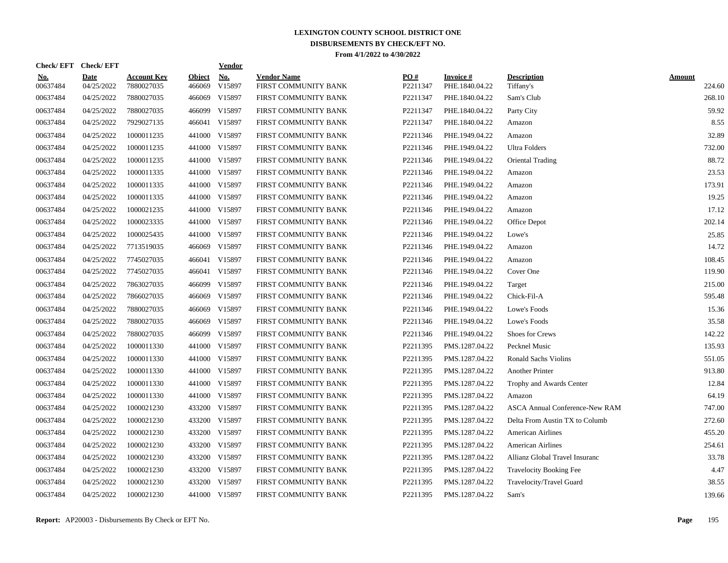| Check/EFT Check/EFT    |                           |                                  |                         | <u>Vendor</u> |                                            |                 |                             |                                       |                         |
|------------------------|---------------------------|----------------------------------|-------------------------|---------------|--------------------------------------------|-----------------|-----------------------------|---------------------------------------|-------------------------|
| <u>No.</u><br>00637484 | <b>Date</b><br>04/25/2022 | <b>Account Key</b><br>7880027035 | <b>Object</b><br>466069 | No.<br>V15897 | <b>Vendor Name</b><br>FIRST COMMUNITY BANK | PO#<br>P2211347 | Invoice #<br>PHE.1840.04.22 | <b>Description</b><br>Tiffany's       | <b>Amount</b><br>224.60 |
| 00637484               | 04/25/2022                | 7880027035                       | 466069                  | V15897        | FIRST COMMUNITY BANK                       | P2211347        | PHE.1840.04.22              | Sam's Club                            | 268.10                  |
| 00637484               | 04/25/2022                | 7880027035                       |                         | 466099 V15897 | FIRST COMMUNITY BANK                       | P2211347        | PHE.1840.04.22              | Party City                            | 59.92                   |
| 00637484               | 04/25/2022                | 7929027135                       |                         | 466041 V15897 | FIRST COMMUNITY BANK                       | P2211347        | PHE.1840.04.22              | Amazon                                | 8.55                    |
| 00637484               | 04/25/2022                | 1000011235                       |                         | 441000 V15897 | FIRST COMMUNITY BANK                       | P2211346        | PHE.1949.04.22              | Amazon                                | 32.89                   |
| 00637484               | 04/25/2022                | 1000011235                       |                         | 441000 V15897 | FIRST COMMUNITY BANK                       | P2211346        | PHE.1949.04.22              | Ultra Folders                         | 732.00                  |
| 00637484               | 04/25/2022                | 1000011235                       |                         | 441000 V15897 | FIRST COMMUNITY BANK                       | P2211346        | PHE.1949.04.22              | Oriental Trading                      | 88.72                   |
| 00637484               | 04/25/2022                | 1000011335                       |                         | 441000 V15897 | FIRST COMMUNITY BANK                       | P2211346        | PHE.1949.04.22              | Amazon                                | 23.53                   |
| 00637484               | 04/25/2022                | 1000011335                       |                         | 441000 V15897 | FIRST COMMUNITY BANK                       | P2211346        | PHE.1949.04.22              | Amazon                                | 173.91                  |
| 00637484               | 04/25/2022                | 1000011335                       |                         | 441000 V15897 | FIRST COMMUNITY BANK                       | P2211346        | PHE.1949.04.22              | Amazon                                | 19.25                   |
| 00637484               | 04/25/2022                | 1000021235                       |                         | 441000 V15897 | FIRST COMMUNITY BANK                       | P2211346        | PHE.1949.04.22              | Amazon                                | 17.12                   |
| 00637484               | 04/25/2022                | 1000023335                       |                         | 441000 V15897 | FIRST COMMUNITY BANK                       | P2211346        | PHE.1949.04.22              | Office Depot                          | 202.14                  |
| 00637484               | 04/25/2022                | 1000025435                       |                         | 441000 V15897 | FIRST COMMUNITY BANK                       | P2211346        | PHE.1949.04.22              | Lowe's                                | 25.85                   |
| 00637484               | 04/25/2022                | 7713519035                       |                         | 466069 V15897 | FIRST COMMUNITY BANK                       | P2211346        | PHE.1949.04.22              | Amazon                                | 14.72                   |
| 00637484               | 04/25/2022                | 7745027035                       | 466041                  | V15897        | FIRST COMMUNITY BANK                       | P2211346        | PHE.1949.04.22              | Amazon                                | 108.45                  |
| 00637484               | 04/25/2022                | 7745027035                       |                         | 466041 V15897 | FIRST COMMUNITY BANK                       | P2211346        | PHE.1949.04.22              | Cover One                             | 119.90                  |
| 00637484               | 04/25/2022                | 7863027035                       | 466099                  | V15897        | FIRST COMMUNITY BANK                       | P2211346        | PHE.1949.04.22              | Target                                | 215.00                  |
| 00637484               | 04/25/2022                | 7866027035                       | 466069                  | V15897        | FIRST COMMUNITY BANK                       | P2211346        | PHE.1949.04.22              | Chick-Fil-A                           | 595.48                  |
| 00637484               | 04/25/2022                | 7880027035                       | 466069                  | V15897        | FIRST COMMUNITY BANK                       | P2211346        | PHE.1949.04.22              | Lowe's Foods                          | 15.36                   |
| 00637484               | 04/25/2022                | 7880027035                       |                         | 466069 V15897 | FIRST COMMUNITY BANK                       | P2211346        | PHE.1949.04.22              | Lowe's Foods                          | 35.58                   |
| 00637484               | 04/25/2022                | 7880027035                       |                         | 466099 V15897 | FIRST COMMUNITY BANK                       | P2211346        | PHE.1949.04.22              | Shoes for Crews                       | 142.22                  |
| 00637484               | 04/25/2022                | 1000011330                       |                         | 441000 V15897 | FIRST COMMUNITY BANK                       | P2211395        | PMS.1287.04.22              | Pecknel Music                         | 135.93                  |
| 00637484               | 04/25/2022                | 1000011330                       | 441000                  | V15897        | FIRST COMMUNITY BANK                       | P2211395        | PMS.1287.04.22              | <b>Ronald Sachs Violins</b>           | 551.05                  |
| 00637484               | 04/25/2022                | 1000011330                       |                         | 441000 V15897 | FIRST COMMUNITY BANK                       | P2211395        | PMS.1287.04.22              | <b>Another Printer</b>                | 913.80                  |
| 00637484               | 04/25/2022                | 1000011330                       |                         | 441000 V15897 | FIRST COMMUNITY BANK                       | P2211395        | PMS.1287.04.22              | Trophy and Awards Center              | 12.84                   |
| 00637484               | 04/25/2022                | 1000011330                       |                         | 441000 V15897 | FIRST COMMUNITY BANK                       | P2211395        | PMS.1287.04.22              | Amazon                                | 64.19                   |
| 00637484               | 04/25/2022                | 1000021230                       |                         | 433200 V15897 | FIRST COMMUNITY BANK                       | P2211395        | PMS.1287.04.22              | <b>ASCA Annual Conference-New RAM</b> | 747.00                  |
| 00637484               | 04/25/2022                | 1000021230                       |                         | 433200 V15897 | FIRST COMMUNITY BANK                       | P2211395        | PMS.1287.04.22              | Delta From Austin TX to Columb        | 272.60                  |
| 00637484               | 04/25/2022                | 1000021230                       |                         | 433200 V15897 | FIRST COMMUNITY BANK                       | P2211395        | PMS.1287.04.22              | <b>American Airlines</b>              | 455.20                  |
| 00637484               | 04/25/2022                | 1000021230                       |                         | 433200 V15897 | FIRST COMMUNITY BANK                       | P2211395        | PMS.1287.04.22              | <b>American Airlines</b>              | 254.61                  |
| 00637484               | 04/25/2022                | 1000021230                       |                         | 433200 V15897 | FIRST COMMUNITY BANK                       | P2211395        | PMS.1287.04.22              | Allianz Global Travel Insuranc        | 33.78                   |
| 00637484               | 04/25/2022                | 1000021230                       |                         | 433200 V15897 | FIRST COMMUNITY BANK                       | P2211395        | PMS.1287.04.22              | <b>Travelocity Booking Fee</b>        | 4.47                    |
| 00637484               | 04/25/2022                | 1000021230                       | 433200                  | V15897        | FIRST COMMUNITY BANK                       | P2211395        | PMS.1287.04.22              | Travelocity/Travel Guard              | 38.55                   |
| 00637484               | 04/25/2022                | 1000021230                       |                         | 441000 V15897 | FIRST COMMUNITY BANK                       | P2211395        | PMS.1287.04.22              | Sam's                                 | 139.66                  |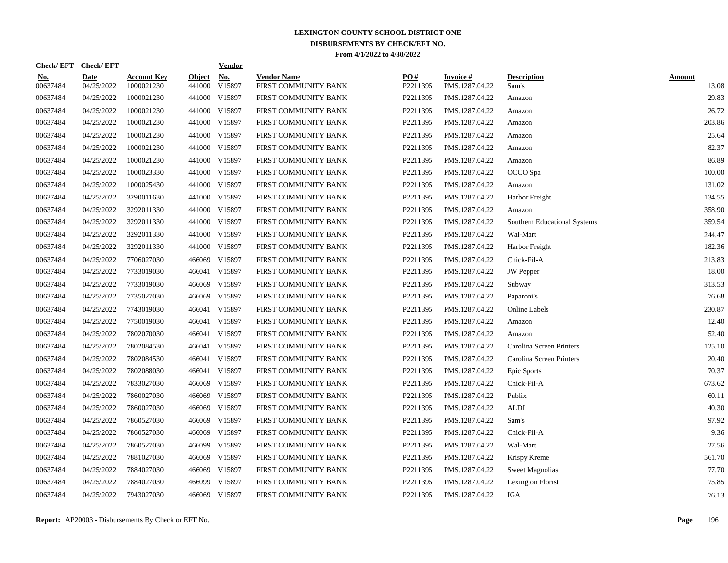| Check/EFT Check/EFT    |                           |                                  |                         | <b>Vendor</b> |                                            |                 |                             |                              |                        |
|------------------------|---------------------------|----------------------------------|-------------------------|---------------|--------------------------------------------|-----------------|-----------------------------|------------------------------|------------------------|
| <u>No.</u><br>00637484 | <b>Date</b><br>04/25/2022 | <b>Account Key</b><br>1000021230 | <b>Object</b><br>441000 | No.<br>V15897 | <b>Vendor Name</b><br>FIRST COMMUNITY BANK | PO#<br>P2211395 | Invoice #<br>PMS.1287.04.22 | <b>Description</b><br>Sam's  | <b>Amount</b><br>13.08 |
| 00637484               | 04/25/2022                | 1000021230                       | 441000                  | V15897        | FIRST COMMUNITY BANK                       | P2211395        | PMS.1287.04.22              | Amazon                       | 29.83                  |
| 00637484               | 04/25/2022                | 1000021230                       |                         | 441000 V15897 | FIRST COMMUNITY BANK                       | P2211395        | PMS.1287.04.22              | Amazon                       | 26.72                  |
| 00637484               | 04/25/2022                | 1000021230                       |                         | 441000 V15897 | FIRST COMMUNITY BANK                       | P2211395        | PMS.1287.04.22              | Amazon                       | 203.86                 |
| 00637484               | 04/25/2022                | 1000021230                       |                         | 441000 V15897 | FIRST COMMUNITY BANK                       | P2211395        | PMS.1287.04.22              | Amazon                       | 25.64                  |
| 00637484               | 04/25/2022                | 1000021230                       |                         | 441000 V15897 | FIRST COMMUNITY BANK                       | P2211395        | PMS.1287.04.22              | Amazon                       | 82.37                  |
| 00637484               | 04/25/2022                | 1000021230                       |                         | 441000 V15897 | FIRST COMMUNITY BANK                       | P2211395        | PMS.1287.04.22              | Amazon                       | 86.89                  |
| 00637484               | 04/25/2022                | 1000023330                       |                         | 441000 V15897 | FIRST COMMUNITY BANK                       | P2211395        | PMS.1287.04.22              | OCCO Spa                     | 100.00                 |
| 00637484               | 04/25/2022                | 1000025430                       |                         | 441000 V15897 | FIRST COMMUNITY BANK                       | P2211395        | PMS.1287.04.22              | Amazon                       | 131.02                 |
| 00637484               | 04/25/2022                | 3290011630                       | 441000                  | V15897        | FIRST COMMUNITY BANK                       | P2211395        | PMS.1287.04.22              | Harbor Freight               | 134.55                 |
| 00637484               | 04/25/2022                | 3292011330                       |                         | 441000 V15897 | FIRST COMMUNITY BANK                       | P2211395        | PMS.1287.04.22              | Amazon                       | 358.90                 |
| 00637484               | 04/25/2022                | 3292011330                       |                         | 441000 V15897 | FIRST COMMUNITY BANK                       | P2211395        | PMS.1287.04.22              | Southern Educational Systems | 359.54                 |
| 00637484               | 04/25/2022                | 3292011330                       |                         | 441000 V15897 | FIRST COMMUNITY BANK                       | P2211395        | PMS.1287.04.22              | Wal-Mart                     | 244.47                 |
| 00637484               | 04/25/2022                | 3292011330                       |                         | 441000 V15897 | FIRST COMMUNITY BANK                       | P2211395        | PMS.1287.04.22              | Harbor Freight               | 182.36                 |
| 00637484               | 04/25/2022                | 7706027030                       | 466069                  | V15897        | FIRST COMMUNITY BANK                       | P2211395        | PMS.1287.04.22              | Chick-Fil-A                  | 213.83                 |
| 00637484               | 04/25/2022                | 7733019030                       | 466041                  | V15897        | FIRST COMMUNITY BANK                       | P2211395        | PMS.1287.04.22              | <b>JW</b> Pepper             | 18.00                  |
| 00637484               | 04/25/2022                | 7733019030                       | 466069                  | V15897        | FIRST COMMUNITY BANK                       | P2211395        | PMS.1287.04.22              | Subway                       | 313.53                 |
| 00637484               | 04/25/2022                | 7735027030                       | 466069                  | V15897        | FIRST COMMUNITY BANK                       | P2211395        | PMS.1287.04.22              | Paparoni's                   | 76.68                  |
| 00637484               | 04/25/2022                | 7743019030                       |                         | 466041 V15897 | FIRST COMMUNITY BANK                       | P2211395        | PMS.1287.04.22              | <b>Online Labels</b>         | 230.87                 |
| 00637484               | 04/25/2022                | 7750019030                       |                         | 466041 V15897 | FIRST COMMUNITY BANK                       | P2211395        | PMS.1287.04.22              | Amazon                       | 12.40                  |
| 00637484               | 04/25/2022                | 7802070030                       |                         | 466041 V15897 | FIRST COMMUNITY BANK                       | P2211395        | PMS.1287.04.22              | Amazon                       | 52.40                  |
| 00637484               | 04/25/2022                | 7802084530                       |                         | 466041 V15897 | FIRST COMMUNITY BANK                       | P2211395        | PMS.1287.04.22              | Carolina Screen Printers     | 125.10                 |
| 00637484               | 04/25/2022                | 7802084530                       | 466041                  | V15897        | FIRST COMMUNITY BANK                       | P2211395        | PMS.1287.04.22              | Carolina Screen Printers     | 20.40                  |
| 00637484               | 04/25/2022                | 7802088030                       |                         | 466041 V15897 | FIRST COMMUNITY BANK                       | P2211395        | PMS.1287.04.22              | Epic Sports                  | 70.37                  |
| 00637484               | 04/25/2022                | 7833027030                       | 466069                  | V15897        | FIRST COMMUNITY BANK                       | P2211395        | PMS.1287.04.22              | Chick-Fil-A                  | 673.62                 |
| 00637484               | 04/25/2022                | 7860027030                       | 466069                  | V15897        | FIRST COMMUNITY BANK                       | P2211395        | PMS.1287.04.22              | Publix                       | 60.11                  |
| 00637484               | 04/25/2022                | 7860027030                       | 466069                  | V15897        | FIRST COMMUNITY BANK                       | P2211395        | PMS.1287.04.22              | <b>ALDI</b>                  | 40.30                  |
| 00637484               | 04/25/2022                | 7860527030                       | 466069                  | V15897        | FIRST COMMUNITY BANK                       | P2211395        | PMS.1287.04.22              | Sam's                        | 97.92                  |
| 00637484               | 04/25/2022                | 7860527030                       |                         | 466069 V15897 | FIRST COMMUNITY BANK                       | P2211395        | PMS.1287.04.22              | Chick-Fil-A                  | 9.36                   |
| 00637484               | 04/25/2022                | 7860527030                       |                         | 466099 V15897 | FIRST COMMUNITY BANK                       | P2211395        | PMS.1287.04.22              | Wal-Mart                     | 27.56                  |
| 00637484               | 04/25/2022                | 7881027030                       | 466069                  | V15897        | FIRST COMMUNITY BANK                       | P2211395        | PMS.1287.04.22              | Krispy Kreme                 | 561.70                 |
| 00637484               | 04/25/2022                | 7884027030                       | 466069                  | V15897        | FIRST COMMUNITY BANK                       | P2211395        | PMS.1287.04.22              | <b>Sweet Magnolias</b>       | 77.70                  |
| 00637484               | 04/25/2022                | 7884027030                       | 466099                  | V15897        | FIRST COMMUNITY BANK                       | P2211395        | PMS.1287.04.22              | Lexington Florist            | 75.85                  |
| 00637484               | 04/25/2022                | 7943027030                       |                         | 466069 V15897 | FIRST COMMUNITY BANK                       | P2211395        | PMS.1287.04.22              | <b>IGA</b>                   | 76.13                  |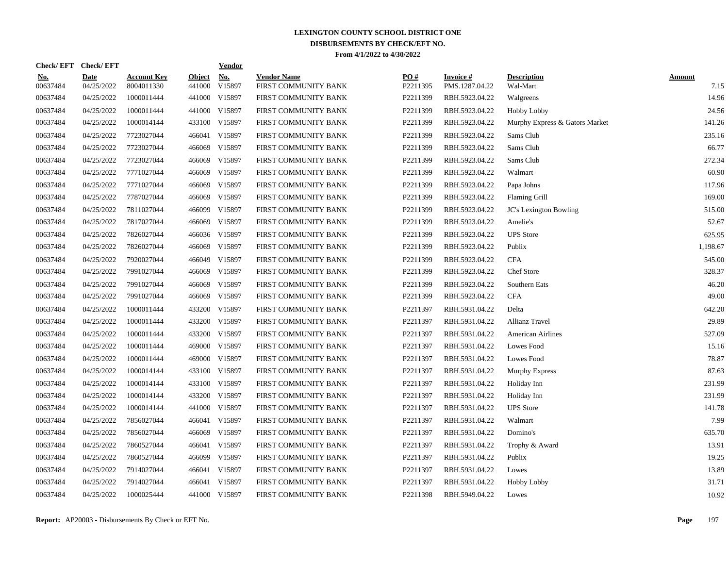| Check/EFT Check/EFT    |                           |                                  |                         | <b>Vendor</b> |                                            |                 |                             |                                |                       |
|------------------------|---------------------------|----------------------------------|-------------------------|---------------|--------------------------------------------|-----------------|-----------------------------|--------------------------------|-----------------------|
| <u>No.</u><br>00637484 | <b>Date</b><br>04/25/2022 | <b>Account Key</b><br>8004011330 | <b>Object</b><br>441000 | No.<br>V15897 | <b>Vendor Name</b><br>FIRST COMMUNITY BANK | PO#<br>P2211395 | Invoice #<br>PMS.1287.04.22 | <b>Description</b><br>Wal-Mart | <b>Amount</b><br>7.15 |
| 00637484               | 04/25/2022                | 1000011444                       |                         | 441000 V15897 | FIRST COMMUNITY BANK                       | P2211399        | RBH.5923.04.22              | Walgreens                      | 14.96                 |
| 00637484               | 04/25/2022                | 1000011444                       |                         | 441000 V15897 | FIRST COMMUNITY BANK                       | P2211399        | RBH.5923.04.22              | <b>Hobby Lobby</b>             | 24.56                 |
| 00637484               | 04/25/2022                | 1000014144                       |                         | 433100 V15897 | FIRST COMMUNITY BANK                       | P2211399        | RBH.5923.04.22              | Murphy Express & Gators Market | 141.26                |
| 00637484               | 04/25/2022                | 7723027044                       |                         | 466041 V15897 | FIRST COMMUNITY BANK                       | P2211399        | RBH.5923.04.22              | Sams Club                      | 235.16                |
| 00637484               | 04/25/2022                | 7723027044                       |                         | 466069 V15897 | FIRST COMMUNITY BANK                       | P2211399        | RBH.5923.04.22              | Sams Club                      | 66.77                 |
| 00637484               | 04/25/2022                | 7723027044                       | 466069                  | V15897        | FIRST COMMUNITY BANK                       | P2211399        | RBH.5923.04.22              | Sams Club                      | 272.34                |
| 00637484               | 04/25/2022                | 7771027044                       | 466069                  | V15897        | FIRST COMMUNITY BANK                       | P2211399        | RBH.5923.04.22              | Walmart                        | 60.90                 |
| 00637484               | 04/25/2022                | 7771027044                       | 466069                  | V15897        | FIRST COMMUNITY BANK                       | P2211399        | RBH.5923.04.22              | Papa Johns                     | 117.96                |
| 00637484               | 04/25/2022                | 7787027044                       | 466069                  | V15897        | FIRST COMMUNITY BANK                       | P2211399        | RBH.5923.04.22              | <b>Flaming Grill</b>           | 169.00                |
| 00637484               | 04/25/2022                | 7811027044                       |                         | 466099 V15897 | FIRST COMMUNITY BANK                       | P2211399        | RBH.5923.04.22              | JC's Lexington Bowling         | 515.00                |
| 00637484               | 04/25/2022                | 7817027044                       |                         | 466069 V15897 | FIRST COMMUNITY BANK                       | P2211399        | RBH.5923.04.22              | Amelie's                       | 52.67                 |
| 00637484               | 04/25/2022                | 7826027044                       |                         | 466036 V15897 | FIRST COMMUNITY BANK                       | P2211399        | RBH.5923.04.22              | <b>UPS</b> Store               | 625.95                |
| 00637484               | 04/25/2022                | 7826027044                       |                         | 466069 V15897 | FIRST COMMUNITY BANK                       | P2211399        | RBH.5923.04.22              | Publix                         | 1,198.67              |
| 00637484               | 04/25/2022                | 7920027044                       | 466049                  | V15897        | FIRST COMMUNITY BANK                       | P2211399        | RBH.5923.04.22              | <b>CFA</b>                     | 545.00                |
| 00637484               | 04/25/2022                | 7991027044                       | 466069                  | V15897        | FIRST COMMUNITY BANK                       | P2211399        | RBH.5923.04.22              | Chef Store                     | 328.37                |
| 00637484               | 04/25/2022                | 7991027044                       | 466069                  | V15897        | FIRST COMMUNITY BANK                       | P2211399        | RBH.5923.04.22              | Southern Eats                  | 46.20                 |
| 00637484               | 04/25/2022                | 7991027044                       | 466069                  | V15897        | FIRST COMMUNITY BANK                       | P2211399        | RBH.5923.04.22              | <b>CFA</b>                     | 49.00                 |
| 00637484               | 04/25/2022                | 1000011444                       | 433200                  | V15897        | FIRST COMMUNITY BANK                       | P2211397        | RBH.5931.04.22              | Delta                          | 642.20                |
| 00637484               | 04/25/2022                | 1000011444                       |                         | 433200 V15897 | FIRST COMMUNITY BANK                       | P2211397        | RBH.5931.04.22              | <b>Allianz Travel</b>          | 29.89                 |
| 00637484               | 04/25/2022                | 1000011444                       |                         | 433200 V15897 | FIRST COMMUNITY BANK                       | P2211397        | RBH.5931.04.22              | <b>American Airlines</b>       | 527.09                |
| 00637484               | 04/25/2022                | 1000011444                       |                         | 469000 V15897 | FIRST COMMUNITY BANK                       | P2211397        | RBH.5931.04.22              | Lowes Food                     | 15.16                 |
| 00637484               | 04/25/2022                | 1000011444                       |                         | 469000 V15897 | FIRST COMMUNITY BANK                       | P2211397        | RBH.5931.04.22              | Lowes Food                     | 78.87                 |
| 00637484               | 04/25/2022                | 1000014144                       |                         | 433100 V15897 | FIRST COMMUNITY BANK                       | P2211397        | RBH.5931.04.22              | Murphy Express                 | 87.63                 |
| 00637484               | 04/25/2022                | 1000014144                       |                         | 433100 V15897 | FIRST COMMUNITY BANK                       | P2211397        | RBH.5931.04.22              | Holiday Inn                    | 231.99                |
| 00637484               | 04/25/2022                | 1000014144                       | 433200                  | V15897        | FIRST COMMUNITY BANK                       | P2211397        | RBH.5931.04.22              | Holiday Inn                    | 231.99                |
| 00637484               | 04/25/2022                | 1000014144                       |                         | 441000 V15897 | FIRST COMMUNITY BANK                       | P2211397        | RBH.5931.04.22              | <b>UPS</b> Store               | 141.78                |
| 00637484               | 04/25/2022                | 7856027044                       |                         | 466041 V15897 | FIRST COMMUNITY BANK                       | P2211397        | RBH.5931.04.22              | Walmart                        | 7.99                  |
| 00637484               | 04/25/2022                | 7856027044                       |                         | 466069 V15897 | FIRST COMMUNITY BANK                       | P2211397        | RBH.5931.04.22              | Domino's                       | 635.70                |
| 00637484               | 04/25/2022                | 7860527044                       |                         | 466041 V15897 | FIRST COMMUNITY BANK                       | P2211397        | RBH.5931.04.22              | Trophy & Award                 | 13.91                 |
| 00637484               | 04/25/2022                | 7860527044                       |                         | 466099 V15897 | FIRST COMMUNITY BANK                       | P2211397        | RBH.5931.04.22              | Publix                         | 19.25                 |
| 00637484               | 04/25/2022                | 7914027044                       |                         | 466041 V15897 | FIRST COMMUNITY BANK                       | P2211397        | RBH.5931.04.22              | Lowes                          | 13.89                 |
| 00637484               | 04/25/2022                | 7914027044                       |                         | 466041 V15897 | FIRST COMMUNITY BANK                       | P2211397        | RBH.5931.04.22              | <b>Hobby Lobby</b>             | 31.71                 |
| 00637484               | 04/25/2022                | 1000025444                       |                         | 441000 V15897 | FIRST COMMUNITY BANK                       | P2211398        | RBH.5949.04.22              | Lowes                          | 10.92                 |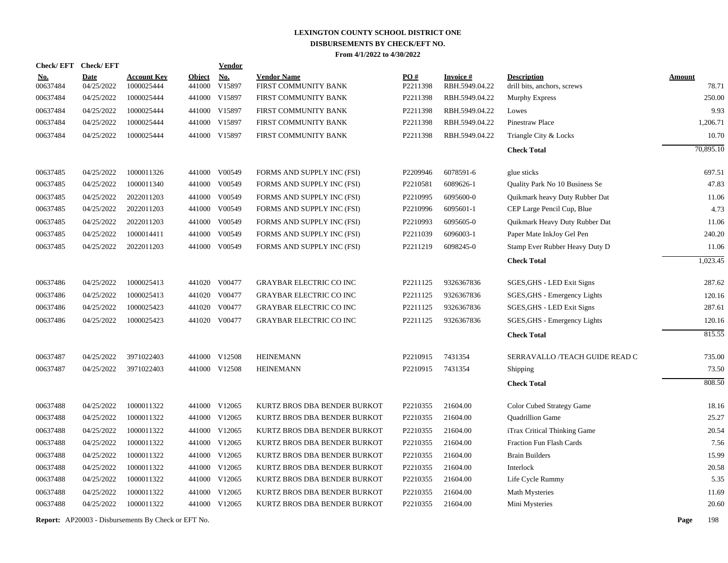| <b>Check/EFT</b>       | <b>Check/EFT</b>          |                                  |                         | <b>Vendor</b>                       |                                            |                 |                             |                                                   |                        |
|------------------------|---------------------------|----------------------------------|-------------------------|-------------------------------------|--------------------------------------------|-----------------|-----------------------------|---------------------------------------------------|------------------------|
| <u>No.</u><br>00637484 | <b>Date</b><br>04/25/2022 | <b>Account Key</b><br>1000025444 | <b>Object</b><br>441000 | $\underline{\textbf{No}}$<br>V15897 | <b>Vendor Name</b><br>FIRST COMMUNITY BANK | PO#<br>P2211398 | Invoice #<br>RBH.5949.04.22 | <b>Description</b><br>drill bits, anchors, screws | <b>Amount</b><br>78.71 |
| 00637484               | 04/25/2022                | 1000025444                       |                         | 441000 V15897                       | FIRST COMMUNITY BANK                       | P2211398        | RBH.5949.04.22              | Murphy Express                                    | 250.00                 |
| 00637484               | 04/25/2022                | 1000025444                       |                         | 441000 V15897                       | FIRST COMMUNITY BANK                       | P2211398        | RBH.5949.04.22              | Lowes                                             | 9.93                   |
| 00637484               | 04/25/2022                | 1000025444                       | 441000                  | V15897                              | FIRST COMMUNITY BANK                       | P2211398        | RBH.5949.04.22              | Pinestraw Place                                   | 1,206.71               |
| 00637484               | 04/25/2022                | 1000025444                       |                         | 441000 V15897                       | FIRST COMMUNITY BANK                       | P2211398        | RBH.5949.04.22              | Triangle City & Locks                             | 10.70                  |
|                        |                           |                                  |                         |                                     |                                            |                 |                             | <b>Check Total</b>                                | 70,895.10              |
| 00637485               | 04/25/2022                | 1000011326                       |                         | 441000 V00549                       | FORMS AND SUPPLY INC (FSI)                 | P2209946        | 6078591-6                   | glue sticks                                       | 697.51                 |
| 00637485               | 04/25/2022                | 1000011340                       |                         | 441000 V00549                       | FORMS AND SUPPLY INC (FSI)                 | P2210581        | 6089626-1                   | Quality Park No 10 Business Se                    | 47.83                  |
| 00637485               | 04/25/2022                | 2022011203                       |                         | 441000 V00549                       | FORMS AND SUPPLY INC (FSI)                 | P2210995        | 6095600-0                   | Quikmark heavy Duty Rubber Dat                    | 11.06                  |
| 00637485               | 04/25/2022                | 2022011203                       |                         | 441000 V00549                       | FORMS AND SUPPLY INC (FSI)                 | P2210996        | 6095601-1                   | CEP Large Pencil Cup, Blue                        | 4.73                   |
| 00637485               | 04/25/2022                | 2022011203                       |                         | 441000 V00549                       | FORMS AND SUPPLY INC (FSI)                 | P2210993        | 6095605-0                   | Quikmark Heavy Duty Rubber Dat                    | 11.06                  |
| 00637485               | 04/25/2022                | 1000014411                       |                         | 441000 V00549                       | FORMS AND SUPPLY INC (FSI)                 | P2211039        | 6096003-1                   | Paper Mate InkJoy Gel Pen                         | 240.20                 |
| 00637485               | 04/25/2022                | 2022011203                       |                         | 441000 V00549                       | FORMS AND SUPPLY INC (FSI)                 | P2211219        | 6098245-0                   | Stamp Ever Rubber Heavy Duty D                    | 11.06                  |
|                        |                           |                                  |                         |                                     |                                            |                 |                             | <b>Check Total</b>                                | 1,023.45               |
| 00637486               | 04/25/2022                | 1000025413                       |                         | 441020 V00477                       | <b>GRAYBAR ELECTRIC CO INC</b>             | P2211125        | 9326367836                  | SGES, GHS - LED Exit Signs                        | 287.62                 |
| 00637486               | 04/25/2022                | 1000025413                       |                         | 441020 V00477                       | <b>GRAYBAR ELECTRIC CO INC</b>             | P2211125        | 9326367836                  | SGES, GHS - Emergency Lights                      | 120.16                 |
| 00637486               | 04/25/2022                | 1000025423                       |                         | 441020 V00477                       | <b>GRAYBAR ELECTRIC CO INC</b>             | P2211125        | 9326367836                  | SGES, GHS - LED Exit Signs                        | 287.61                 |
| 00637486               | 04/25/2022                | 1000025423                       |                         | 441020 V00477                       | <b>GRAYBAR ELECTRIC CO INC</b>             | P2211125        | 9326367836                  | SGES, GHS - Emergency Lights                      | 120.16                 |
|                        |                           |                                  |                         |                                     |                                            |                 |                             | <b>Check Total</b>                                | 815.55                 |
| 00637487               | 04/25/2022                | 3971022403                       |                         | 441000 V12508                       | <b>HEINEMANN</b>                           | P2210915        | 7431354                     | SERRAVALLO /TEACH GUIDE READ C                    | 735.00                 |
| 00637487               | 04/25/2022                | 3971022403                       |                         | 441000 V12508                       | <b>HEINEMANN</b>                           | P2210915        | 7431354                     | Shipping                                          | 73.50                  |
|                        |                           |                                  |                         |                                     |                                            |                 |                             | <b>Check Total</b>                                | 808.50                 |
| 00637488               | 04/25/2022                | 1000011322                       |                         | 441000 V12065                       | KURTZ BROS DBA BENDER BURKOT               | P2210355        | 21604.00                    | Color Cubed Strategy Game                         | 18.16                  |
| 00637488               | 04/25/2022                | 1000011322                       |                         | 441000 V12065                       | KURTZ BROS DBA BENDER BURKOT               | P2210355        | 21604.00                    | Quadrillion Game                                  | 25.27                  |
| 00637488               | 04/25/2022                | 1000011322                       |                         | 441000 V12065                       | KURTZ BROS DBA BENDER BURKOT               | P2210355        | 21604.00                    | iTrax Critical Thinking Game                      | 20.54                  |
| 00637488               | 04/25/2022                | 1000011322                       |                         | 441000 V12065                       | KURTZ BROS DBA BENDER BURKOT               | P2210355        | 21604.00                    | Fraction Fun Flash Cards                          | 7.56                   |
| 00637488               | 04/25/2022                | 1000011322                       |                         | 441000 V12065                       | KURTZ BROS DBA BENDER BURKOT               | P2210355        | 21604.00                    | <b>Brain Builders</b>                             | 15.99                  |
| 00637488               | 04/25/2022                | 1000011322                       |                         | 441000 V12065                       | KURTZ BROS DBA BENDER BURKOT               | P2210355        | 21604.00                    | Interlock                                         | 20.58                  |
| 00637488               | 04/25/2022                | 1000011322                       |                         | 441000 V12065                       | KURTZ BROS DBA BENDER BURKOT               | P2210355        | 21604.00                    | Life Cycle Rummy                                  | 5.35                   |
| 00637488               | 04/25/2022                | 1000011322                       |                         | 441000 V12065                       | KURTZ BROS DBA BENDER BURKOT               | P2210355        | 21604.00                    | <b>Math Mysteries</b>                             | 11.69                  |
| 00637488               | 04/25/2022                | 1000011322                       |                         | 441000 V12065                       | KURTZ BROS DBA BENDER BURKOT               | P2210355        | 21604.00                    | Mini Mysteries                                    | 20.60                  |
|                        |                           |                                  |                         |                                     |                                            |                 |                             |                                                   |                        |

**Report:** AP20003 - Disbursements By Check or EFT No. **Page** 198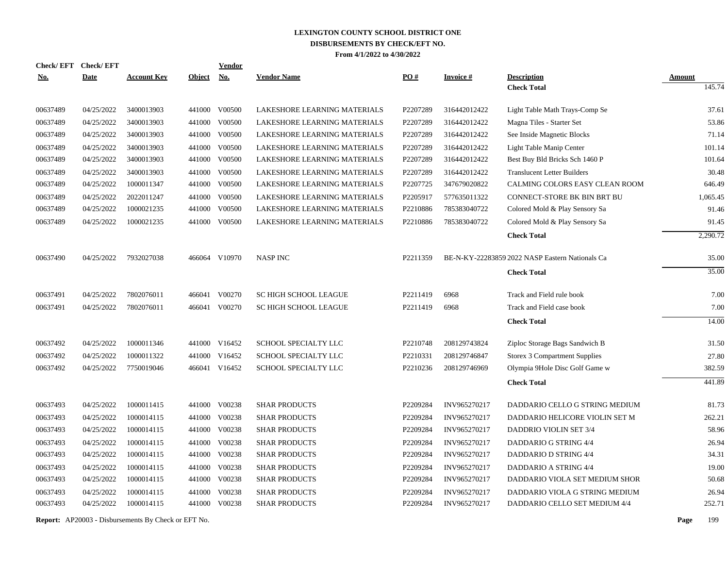| <b>Check/EFT</b> | <b>Check/EFT</b> |                    |               | <b>Vendor</b> |                              |          |                  |                                                 |               |
|------------------|------------------|--------------------|---------------|---------------|------------------------------|----------|------------------|-------------------------------------------------|---------------|
| <u>No.</u>       | <b>Date</b>      | <b>Account Key</b> | <b>Object</b> | <u>No.</u>    | <b>Vendor Name</b>           | PO#      | <u>Invoice #</u> | <b>Description</b>                              | <b>Amount</b> |
|                  |                  |                    |               |               |                              |          |                  | <b>Check Total</b>                              | 145.74        |
| 00637489         | 04/25/2022       | 3400013903         |               | 441000 V00500 | LAKESHORE LEARNING MATERIALS | P2207289 | 316442012422     | Light Table Math Trays-Comp Se                  | 37.61         |
| 00637489         | 04/25/2022       | 3400013903         | 441000        | V00500        | LAKESHORE LEARNING MATERIALS | P2207289 | 316442012422     | Magna Tiles - Starter Set                       | 53.86         |
| 00637489         | 04/25/2022       | 3400013903         |               | 441000 V00500 | LAKESHORE LEARNING MATERIALS | P2207289 | 316442012422     | See Inside Magnetic Blocks                      | 71.14         |
| 00637489         | 04/25/2022       | 3400013903         | 441000        | V00500        | LAKESHORE LEARNING MATERIALS | P2207289 | 316442012422     | Light Table Manip Center                        | 101.14        |
| 00637489         | 04/25/2022       | 3400013903         | 441000        | V00500        | LAKESHORE LEARNING MATERIALS | P2207289 | 316442012422     | Best Buy Bld Bricks Sch 1460 P                  | 101.64        |
| 00637489         | 04/25/2022       | 3400013903         |               | 441000 V00500 | LAKESHORE LEARNING MATERIALS | P2207289 | 316442012422     | <b>Translucent Letter Builders</b>              | 30.48         |
| 00637489         | 04/25/2022       | 1000011347         |               | 441000 V00500 | LAKESHORE LEARNING MATERIALS | P2207725 | 347679020822     | CALMING COLORS EASY CLEAN ROOM                  | 646.49        |
| 00637489         | 04/25/2022       | 2022011247         |               | 441000 V00500 | LAKESHORE LEARNING MATERIALS | P2205917 | 577635011322     | <b>CONNECT-STORE BK BIN BRT BU</b>              | 1,065.45      |
| 00637489         | 04/25/2022       | 1000021235         |               | 441000 V00500 | LAKESHORE LEARNING MATERIALS | P2210886 | 785383040722     | Colored Mold & Play Sensory Sa                  | 91.46         |
| 00637489         | 04/25/2022       | 1000021235         |               | 441000 V00500 | LAKESHORE LEARNING MATERIALS | P2210886 | 785383040722     | Colored Mold & Play Sensory Sa                  | 91.45         |
|                  |                  |                    |               |               |                              |          |                  | <b>Check Total</b>                              | 2,290.72      |
| 00637490         | 04/25/2022       | 7932027038         |               | 466064 V10970 | <b>NASP INC</b>              | P2211359 |                  | BE-N-KY-22283859 2022 NASP Eastern Nationals Ca | 35.00         |
|                  |                  |                    |               |               |                              |          |                  | <b>Check Total</b>                              | 35.00         |
|                  |                  |                    |               |               |                              |          |                  |                                                 |               |
| 00637491         | 04/25/2022       | 7802076011         | 466041        | V00270        | <b>SC HIGH SCHOOL LEAGUE</b> | P2211419 | 6968             | Track and Field rule book                       | 7.00          |
| 00637491         | 04/25/2022       | 7802076011         |               | 466041 V00270 | <b>SC HIGH SCHOOL LEAGUE</b> | P2211419 | 6968             | Track and Field case book                       | 7.00          |
|                  |                  |                    |               |               |                              |          |                  | <b>Check Total</b>                              | 14.00         |
| 00637492         | 04/25/2022       | 1000011346         |               | 441000 V16452 | SCHOOL SPECIALTY LLC         | P2210748 | 208129743824     | Ziploc Storage Bags Sandwich B                  | 31.50         |
| 00637492         | 04/25/2022       | 1000011322         |               | 441000 V16452 | SCHOOL SPECIALTY LLC         | P2210331 | 208129746847     | Storex 3 Compartment Supplies                   | 27.80         |
| 00637492         | 04/25/2022       | 7750019046         |               | 466041 V16452 | SCHOOL SPECIALTY LLC         | P2210236 | 208129746969     | Olympia 9Hole Disc Golf Game w                  | 382.59        |
|                  |                  |                    |               |               |                              |          |                  | <b>Check Total</b>                              | 441.89        |
| 00637493         | 04/25/2022       | 1000011415         |               | 441000 V00238 | <b>SHAR PRODUCTS</b>         | P2209284 | INV965270217     | DADDARIO CELLO G STRING MEDIUM                  | 81.73         |
| 00637493         | 04/25/2022       | 1000014115         |               | 441000 V00238 | <b>SHAR PRODUCTS</b>         | P2209284 | INV965270217     | DADDARIO HELICORE VIOLIN SET M                  | 262.21        |
| 00637493         | 04/25/2022       | 1000014115         |               | 441000 V00238 | <b>SHAR PRODUCTS</b>         | P2209284 | INV965270217     | DADDRIO VIOLIN SET 3/4                          | 58.96         |
| 00637493         | 04/25/2022       | 1000014115         |               | 441000 V00238 | <b>SHAR PRODUCTS</b>         | P2209284 | INV965270217     | DADDARIO G STRING 4/4                           | 26.94         |
| 00637493         | 04/25/2022       | 1000014115         |               | 441000 V00238 | <b>SHAR PRODUCTS</b>         | P2209284 | INV965270217     | DADDARIO D STRING 4/4                           | 34.31         |
| 00637493         | 04/25/2022       | 1000014115         |               | 441000 V00238 | <b>SHAR PRODUCTS</b>         | P2209284 | INV965270217     | DADDARIO A STRING 4/4                           | 19.00         |
| 00637493         | 04/25/2022       | 1000014115         |               | 441000 V00238 | <b>SHAR PRODUCTS</b>         | P2209284 | INV965270217     | DADDARIO VIOLA SET MEDIUM SHOR                  | 50.68         |
| 00637493         | 04/25/2022       | 1000014115         | 441000        | V00238        | <b>SHAR PRODUCTS</b>         | P2209284 | INV965270217     | DADDARIO VIOLA G STRING MEDIUM                  | 26.94         |
| 00637493         | 04/25/2022       | 1000014115         |               | 441000 V00238 | <b>SHAR PRODUCTS</b>         | P2209284 | INV965270217     | DADDARIO CELLO SET MEDIUM 4/4                   | 252.71        |
|                  |                  |                    |               |               |                              |          |                  |                                                 |               |

**Report:** AP20003 - Disbursements By Check or EFT No. **Page** 199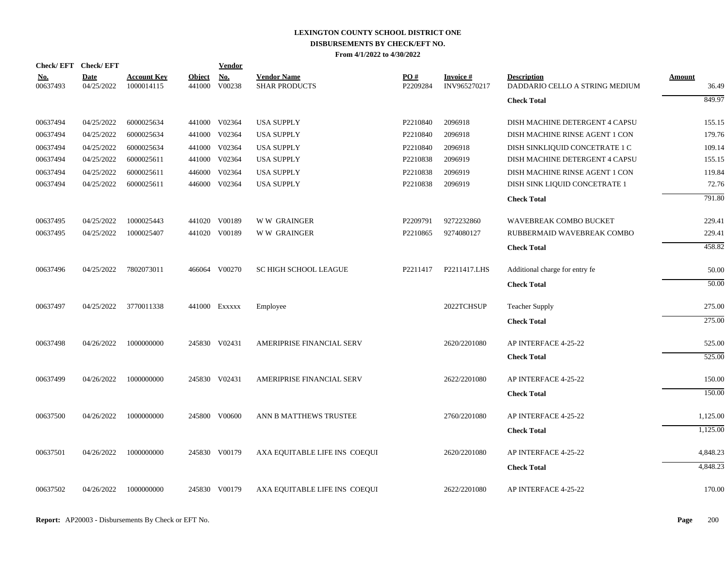|                        | Check/EFT Check/EFT       |                                  |                         | Vendor        |                                            |                 |                           |                                                      |                        |
|------------------------|---------------------------|----------------------------------|-------------------------|---------------|--------------------------------------------|-----------------|---------------------------|------------------------------------------------------|------------------------|
| <u>No.</u><br>00637493 | <b>Date</b><br>04/25/2022 | <b>Account Key</b><br>1000014115 | <b>Object</b><br>441000 | No.<br>V00238 | <b>Vendor Name</b><br><b>SHAR PRODUCTS</b> | PO#<br>P2209284 | Invoice #<br>INV965270217 | <b>Description</b><br>DADDARIO CELLO A STRING MEDIUM | <b>Amount</b><br>36.49 |
|                        |                           |                                  |                         |               |                                            |                 |                           | <b>Check Total</b>                                   | 849.97                 |
| 00637494               | 04/25/2022                | 6000025634                       |                         | 441000 V02364 | <b>USA SUPPLY</b>                          | P2210840        | 2096918                   | DISH MACHINE DETERGENT 4 CAPSU                       | 155.15                 |
| 00637494               | 04/25/2022                | 6000025634                       |                         | 441000 V02364 | <b>USA SUPPLY</b>                          | P2210840        | 2096918                   | DISH MACHINE RINSE AGENT 1 CON                       | 179.76                 |
| 00637494               | 04/25/2022                | 6000025634                       |                         | 441000 V02364 | <b>USA SUPPLY</b>                          | P2210840        | 2096918                   | DISH SINKLIQUID CONCETRATE 1 C                       | 109.14                 |
| 00637494               | 04/25/2022                | 6000025611                       |                         | 441000 V02364 | <b>USA SUPPLY</b>                          | P2210838        | 2096919                   | DISH MACHINE DETERGENT 4 CAPSU                       | 155.15                 |
| 00637494               | 04/25/2022                | 6000025611                       |                         | 446000 V02364 | <b>USA SUPPLY</b>                          | P2210838        | 2096919                   | DISH MACHINE RINSE AGENT 1 CON                       | 119.84                 |
| 00637494               | 04/25/2022                | 6000025611                       |                         | 446000 V02364 | <b>USA SUPPLY</b>                          | P2210838        | 2096919                   | DISH SINK LIQUID CONCETRATE 1                        | 72.76                  |
|                        |                           |                                  |                         |               |                                            |                 |                           | <b>Check Total</b>                                   | 791.80                 |
| 00637495               | 04/25/2022                | 1000025443                       |                         | 441020 V00189 | <b>WW GRAINGER</b>                         | P2209791        | 9272232860                | WAVEBREAK COMBO BUCKET                               | 229.41                 |
| 00637495               | 04/25/2022                | 1000025407                       |                         | 441020 V00189 | <b>WW GRAINGER</b>                         | P2210865        | 9274080127                | RUBBERMAID WAVEBREAK COMBO                           | 229.41                 |
|                        |                           |                                  |                         |               |                                            |                 |                           | <b>Check Total</b>                                   | 458.82                 |
| 00637496               | 04/25/2022                | 7802073011                       |                         | 466064 V00270 | <b>SC HIGH SCHOOL LEAGUE</b>               | P2211417        | P2211417.LHS              | Additional charge for entry fe                       | 50.00                  |
|                        |                           |                                  |                         |               |                                            |                 |                           | <b>Check Total</b>                                   | 50.00                  |
| 00637497               | 04/25/2022                | 3770011338                       |                         | 441000 Exxxxx | Employee                                   |                 | 2022TCHSUP                | <b>Teacher Supply</b>                                | 275.00                 |
|                        |                           |                                  |                         |               |                                            |                 |                           | <b>Check Total</b>                                   | 275.00                 |
| 00637498               | 04/26/2022                | 1000000000                       |                         | 245830 V02431 | AMERIPRISE FINANCIAL SERV                  |                 | 2620/2201080              | AP INTERFACE 4-25-22                                 | 525.00                 |
|                        |                           |                                  |                         |               |                                            |                 |                           | <b>Check Total</b>                                   | 525.00                 |
| 00637499               | 04/26/2022                | 1000000000                       |                         | 245830 V02431 | AMERIPRISE FINANCIAL SERV                  |                 | 2622/2201080              | AP INTERFACE 4-25-22                                 | 150.00                 |
|                        |                           |                                  |                         |               |                                            |                 |                           | <b>Check Total</b>                                   | 150.00                 |
| 00637500               | 04/26/2022                | 1000000000                       |                         | 245800 V00600 | ANN B MATTHEWS TRUSTEE                     |                 | 2760/2201080              | AP INTERFACE 4-25-22                                 | 1,125.00               |
|                        |                           |                                  |                         |               |                                            |                 |                           | <b>Check Total</b>                                   | 1,125.00               |
| 00637501               | 04/26/2022                | 1000000000                       |                         | 245830 V00179 | AXA EQUITABLE LIFE INS COEQUI              |                 | 2620/2201080              | AP INTERFACE 4-25-22                                 | 4,848.23               |
|                        |                           |                                  |                         |               |                                            |                 |                           | <b>Check Total</b>                                   | 4,848.23               |
| 00637502               | 04/26/2022                | 1000000000                       |                         | 245830 V00179 | AXA EQUITABLE LIFE INS COEQUI              |                 | 2622/2201080              | AP INTERFACE 4-25-22                                 | 170.00                 |
|                        |                           |                                  |                         |               |                                            |                 |                           |                                                      |                        |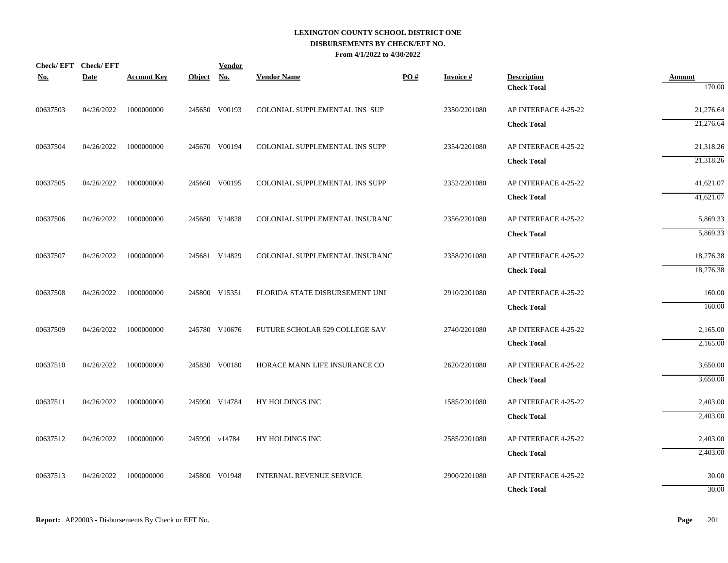|            | Check/EFT Check/EFT |                    |               | <b>Vendor</b> |                                 |     |                 |                                          |                         |
|------------|---------------------|--------------------|---------------|---------------|---------------------------------|-----|-----------------|------------------------------------------|-------------------------|
| <u>No.</u> | <b>Date</b>         | <b>Account Key</b> | <b>Object</b> | <b>No.</b>    | <b>Vendor Name</b>              | PO# | <b>Invoice#</b> | <b>Description</b><br><b>Check Total</b> | <b>Amount</b><br>170.00 |
|            |                     |                    |               |               |                                 |     |                 |                                          |                         |
| 00637503   | 04/26/2022          | 1000000000         |               | 245650 V00193 | COLONIAL SUPPLEMENTAL INS SUP   |     | 2350/2201080    | AP INTERFACE 4-25-22                     | 21,276.64               |
|            |                     |                    |               |               |                                 |     |                 | <b>Check Total</b>                       | 21,276.64               |
| 00637504   | 04/26/2022          | 1000000000         |               | 245670 V00194 | COLONIAL SUPPLEMENTAL INS SUPP  |     | 2354/2201080    | AP INTERFACE 4-25-22                     | 21,318.26               |
|            |                     |                    |               |               |                                 |     |                 | <b>Check Total</b>                       | 21,318.26               |
| 00637505   | 04/26/2022          | 1000000000         |               | 245660 V00195 | COLONIAL SUPPLEMENTAL INS SUPP  |     | 2352/2201080    | AP INTERFACE 4-25-22                     | 41,621.07               |
|            |                     |                    |               |               |                                 |     |                 | <b>Check Total</b>                       | 41,621.07               |
| 00637506   | 04/26/2022          | 1000000000         |               | 245680 V14828 | COLONIAL SUPPLEMENTAL INSURANC  |     | 2356/2201080    | AP INTERFACE 4-25-22                     | 5,869.33                |
|            |                     |                    |               |               |                                 |     |                 | <b>Check Total</b>                       | 5,869.33                |
| 00637507   | 04/26/2022          | 1000000000         |               | 245681 V14829 | COLONIAL SUPPLEMENTAL INSURANC  |     | 2358/2201080    | AP INTERFACE 4-25-22                     | 18,276.38               |
|            |                     |                    |               |               |                                 |     |                 | <b>Check Total</b>                       | 18,276.38               |
| 00637508   | 04/26/2022          | 1000000000         |               | 245800 V15351 | FLORIDA STATE DISBURSEMENT UNI  |     | 2910/2201080    | AP INTERFACE 4-25-22                     | 160.00                  |
|            |                     |                    |               |               |                                 |     |                 | <b>Check Total</b>                       | 160.00                  |
| 00637509   | 04/26/2022          | 1000000000         |               | 245780 V10676 | FUTURE SCHOLAR 529 COLLEGE SAV  |     | 2740/2201080    | AP INTERFACE 4-25-22                     | 2,165.00                |
|            |                     |                    |               |               |                                 |     |                 | <b>Check Total</b>                       | 2,165.00                |
| 00637510   | 04/26/2022          | 1000000000         |               | 245830 V00180 | HORACE MANN LIFE INSURANCE CO   |     | 2620/2201080    | AP INTERFACE 4-25-22                     | 3,650.00                |
|            |                     |                    |               |               |                                 |     |                 | <b>Check Total</b>                       | 3,650.00                |
| 00637511   | 04/26/2022          | 1000000000         |               | 245990 V14784 | HY HOLDINGS INC                 |     | 1585/2201080    | AP INTERFACE 4-25-22                     | 2,403.00                |
|            |                     |                    |               |               |                                 |     |                 | <b>Check Total</b>                       | 2,403.00                |
| 00637512   | 04/26/2022          | 1000000000         |               | 245990 v14784 | HY HOLDINGS INC                 |     | 2585/2201080    | AP INTERFACE 4-25-22                     | 2,403.00                |
|            |                     |                    |               |               |                                 |     |                 | <b>Check Total</b>                       | 2,403.00                |
| 00637513   | 04/26/2022          | 1000000000         |               | 245800 V01948 | <b>INTERNAL REVENUE SERVICE</b> |     | 2900/2201080    | AP INTERFACE 4-25-22                     | 30.00                   |
|            |                     |                    |               |               |                                 |     |                 | <b>Check Total</b>                       | 30.00                   |
|            |                     |                    |               |               |                                 |     |                 |                                          |                         |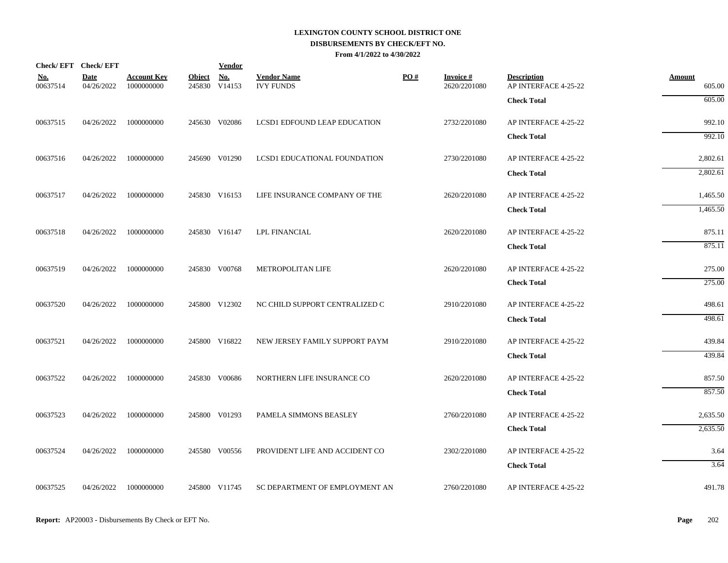|                        | Check/EFT Check/EFT       |                                  |               | <b>Vendor</b>               |                                        |     |                                 |                                            |                         |
|------------------------|---------------------------|----------------------------------|---------------|-----------------------------|----------------------------------------|-----|---------------------------------|--------------------------------------------|-------------------------|
| <u>No.</u><br>00637514 | <b>Date</b><br>04/26/2022 | <b>Account Key</b><br>1000000000 | <b>Object</b> | <b>No.</b><br>245830 V14153 | <b>Vendor Name</b><br><b>IVY FUNDS</b> | PO# | <b>Invoice#</b><br>2620/2201080 | <b>Description</b><br>AP INTERFACE 4-25-22 | <b>Amount</b><br>605.00 |
|                        |                           |                                  |               |                             |                                        |     |                                 | <b>Check Total</b>                         | 605.00                  |
| 00637515               | 04/26/2022                | 1000000000                       |               | 245630 V02086               | LCSD1 EDFOUND LEAP EDUCATION           |     | 2732/2201080                    | AP INTERFACE 4-25-22                       | 992.10                  |
|                        |                           |                                  |               |                             |                                        |     |                                 | <b>Check Total</b>                         | 992.10                  |
| 00637516               | 04/26/2022                | 1000000000                       |               | 245690 V01290               | LCSD1 EDUCATIONAL FOUNDATION           |     | 2730/2201080                    | AP INTERFACE 4-25-22                       | 2,802.61                |
|                        |                           |                                  |               |                             |                                        |     |                                 | <b>Check Total</b>                         | 2,802.61                |
| 00637517               | 04/26/2022                | 1000000000                       |               | 245830 V16153               | LIFE INSURANCE COMPANY OF THE          |     | 2620/2201080                    | AP INTERFACE 4-25-22                       | 1,465.50                |
|                        |                           |                                  |               |                             |                                        |     |                                 | <b>Check Total</b>                         | 1,465.50                |
| 00637518               | 04/26/2022                | 1000000000                       |               | 245830 V16147               | <b>LPL FINANCIAL</b>                   |     | 2620/2201080                    | AP INTERFACE 4-25-22                       | 875.11                  |
|                        |                           |                                  |               |                             |                                        |     |                                 | <b>Check Total</b>                         | 875.11                  |
| 00637519               | 04/26/2022                | 1000000000                       |               | 245830 V00768               | METROPOLITAN LIFE                      |     | 2620/2201080                    | AP INTERFACE 4-25-22                       | 275.00                  |
|                        |                           |                                  |               |                             |                                        |     |                                 | <b>Check Total</b>                         | 275.00                  |
| 00637520               | 04/26/2022                | 1000000000                       |               | 245800 V12302               | NC CHILD SUPPORT CENTRALIZED C         |     | 2910/2201080                    | AP INTERFACE 4-25-22                       | 498.61                  |
|                        |                           |                                  |               |                             |                                        |     |                                 | <b>Check Total</b>                         | 498.61                  |
| 00637521               | 04/26/2022                | 1000000000                       |               | 245800 V16822               | NEW JERSEY FAMILY SUPPORT PAYM         |     | 2910/2201080                    | AP INTERFACE 4-25-22                       | 439.84                  |
|                        |                           |                                  |               |                             |                                        |     |                                 | <b>Check Total</b>                         | 439.84                  |
| 00637522               | 04/26/2022                | 1000000000                       |               | 245830 V00686               | NORTHERN LIFE INSURANCE CO             |     | 2620/2201080                    | AP INTERFACE 4-25-22                       | 857.50                  |
|                        |                           |                                  |               |                             |                                        |     |                                 | <b>Check Total</b>                         | 857.50                  |
| 00637523               | 04/26/2022                | 1000000000                       |               | 245800 V01293               | PAMELA SIMMONS BEASLEY                 |     | 2760/2201080                    | AP INTERFACE 4-25-22                       | 2,635.50                |
|                        |                           |                                  |               |                             |                                        |     |                                 | <b>Check Total</b>                         | 2,635.50                |
| 00637524               | 04/26/2022                | 1000000000                       |               | 245580 V00556               | PROVIDENT LIFE AND ACCIDENT CO         |     | 2302/2201080                    | AP INTERFACE 4-25-22                       | 3.64                    |
|                        |                           |                                  |               |                             |                                        |     |                                 | <b>Check Total</b>                         | 3.64                    |
| 00637525               | 04/26/2022                | 1000000000                       |               | 245800 V11745               | SC DEPARTMENT OF EMPLOYMENT AN         |     | 2760/2201080                    | AP INTERFACE 4-25-22                       | 491.78                  |
|                        |                           |                                  |               |                             |                                        |     |                                 |                                            |                         |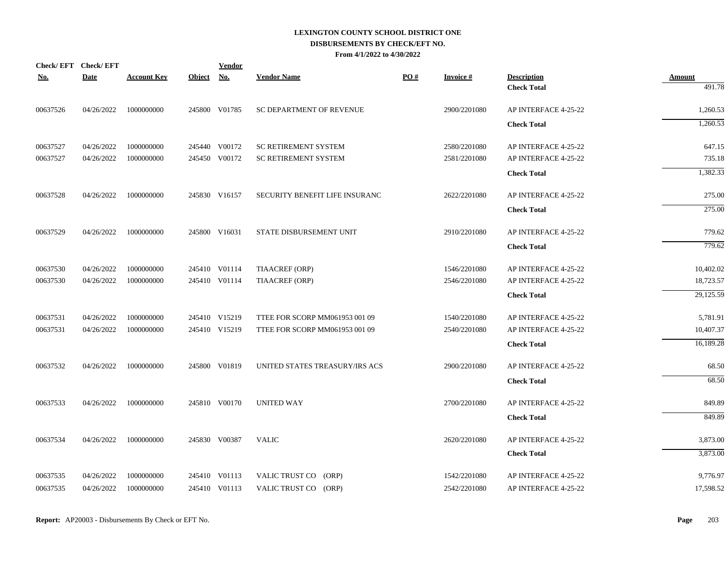|            | Check/EFT Check/EFT |                    |               | Vendor        |                                |     |                 |                      |                         |
|------------|---------------------|--------------------|---------------|---------------|--------------------------------|-----|-----------------|----------------------|-------------------------|
| <u>No.</u> | <b>Date</b>         | <b>Account Key</b> | <b>Object</b> | <b>No.</b>    | <b>Vendor Name</b>             | PO# | <b>Invoice#</b> | <b>Description</b>   | <b>Amount</b><br>491.78 |
|            |                     |                    |               |               |                                |     |                 | <b>Check Total</b>   |                         |
| 00637526   | 04/26/2022          | 1000000000         |               | 245800 V01785 | SC DEPARTMENT OF REVENUE       |     | 2900/2201080    | AP INTERFACE 4-25-22 | 1,260.53                |
|            |                     |                    |               |               |                                |     |                 | <b>Check Total</b>   | 1,260.53                |
| 00637527   | 04/26/2022          | 1000000000         |               | 245440 V00172 | <b>SC RETIREMENT SYSTEM</b>    |     | 2580/2201080    | AP INTERFACE 4-25-22 | 647.15                  |
| 00637527   | 04/26/2022          | 1000000000         |               | 245450 V00172 | <b>SC RETIREMENT SYSTEM</b>    |     | 2581/2201080    | AP INTERFACE 4-25-22 | 735.18                  |
|            |                     |                    |               |               |                                |     |                 | <b>Check Total</b>   | 1,382.33                |
| 00637528   | 04/26/2022          | 1000000000         |               | 245830 V16157 | SECURITY BENEFIT LIFE INSURANC |     | 2622/2201080    | AP INTERFACE 4-25-22 | 275.00                  |
|            |                     |                    |               |               |                                |     |                 | <b>Check Total</b>   | 275.00                  |
| 00637529   | 04/26/2022          | 1000000000         |               | 245800 V16031 | STATE DISBURSEMENT UNIT        |     | 2910/2201080    | AP INTERFACE 4-25-22 | 779.62                  |
|            |                     |                    |               |               |                                |     |                 | <b>Check Total</b>   | 779.62                  |
| 00637530   | 04/26/2022          | 1000000000         |               | 245410 V01114 | TIAACREF (ORP)                 |     | 1546/2201080    | AP INTERFACE 4-25-22 | 10,402.02               |
| 00637530   | 04/26/2022          | 1000000000         |               | 245410 V01114 | TIAACREF (ORP)                 |     | 2546/2201080    | AP INTERFACE 4-25-22 | 18,723.57               |
|            |                     |                    |               |               |                                |     |                 | <b>Check Total</b>   | 29,125.59               |
| 00637531   | 04/26/2022          | 1000000000         |               | 245410 V15219 | TTEE FOR SCORP MM061953 001 09 |     | 1540/2201080    | AP INTERFACE 4-25-22 | 5,781.91                |
| 00637531   | 04/26/2022          | 1000000000         |               | 245410 V15219 | TTEE FOR SCORP MM061953 001 09 |     | 2540/2201080    | AP INTERFACE 4-25-22 | 10,407.37               |
|            |                     |                    |               |               |                                |     |                 | <b>Check Total</b>   | 16,189.28               |
| 00637532   | 04/26/2022          | 1000000000         |               | 245800 V01819 | UNITED STATES TREASURY/IRS ACS |     | 2900/2201080    | AP INTERFACE 4-25-22 | 68.50                   |
|            |                     |                    |               |               |                                |     |                 | <b>Check Total</b>   | 68.50                   |
| 00637533   | 04/26/2022          | 1000000000         |               | 245810 V00170 | <b>UNITED WAY</b>              |     | 2700/2201080    | AP INTERFACE 4-25-22 | 849.89                  |
|            |                     |                    |               |               |                                |     |                 | <b>Check Total</b>   | 849.89                  |
| 00637534   | 04/26/2022          | 1000000000         |               | 245830 V00387 | <b>VALIC</b>                   |     | 2620/2201080    | AP INTERFACE 4-25-22 | 3,873.00                |
|            |                     |                    |               |               |                                |     |                 | <b>Check Total</b>   | 3,873.00                |
| 00637535   | 04/26/2022          | 1000000000         |               | 245410 V01113 | VALIC TRUST CO (ORP)           |     | 1542/2201080    | AP INTERFACE 4-25-22 | 9,776.97                |
| 00637535   | 04/26/2022          | 1000000000         |               | 245410 V01113 | VALIC TRUST CO (ORP)           |     | 2542/2201080    | AP INTERFACE 4-25-22 | 17,598.52               |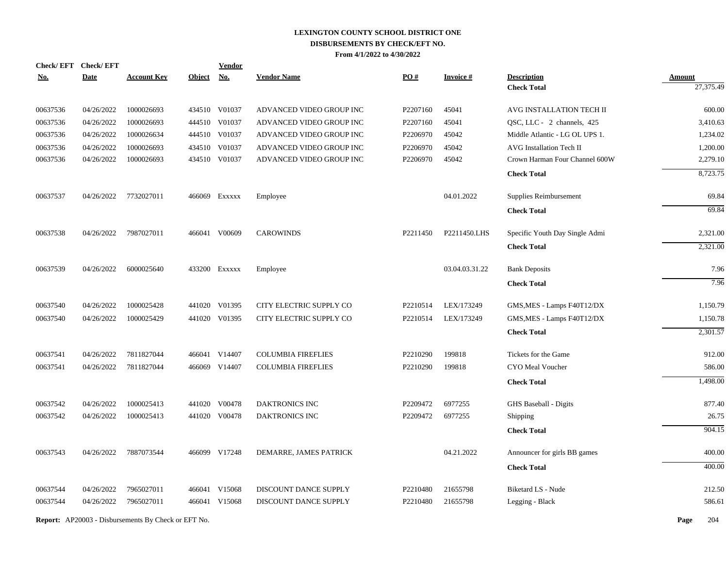| <b>Check/EFT</b> | <b>Check/EFT</b> |                    |               | <b>Vendor</b> |                           |          |                 |                                |               |
|------------------|------------------|--------------------|---------------|---------------|---------------------------|----------|-----------------|--------------------------------|---------------|
| <u>No.</u>       | <b>Date</b>      | <b>Account Key</b> | <b>Object</b> | No.           | <b>Vendor Name</b>        | PO#      | <b>Invoice#</b> | <b>Description</b>             | <b>Amount</b> |
|                  |                  |                    |               |               |                           |          |                 | <b>Check Total</b>             | 27,375.49     |
| 00637536         | 04/26/2022       | 1000026693         |               | 434510 V01037 | ADVANCED VIDEO GROUP INC  | P2207160 | 45041           | AVG INSTALLATION TECH II       | 600.00        |
| 00637536         | 04/26/2022       | 1000026693         |               | 444510 V01037 | ADVANCED VIDEO GROUP INC  | P2207160 | 45041           | QSC, LLC - 2 channels, 425     | 3,410.63      |
| 00637536         | 04/26/2022       | 1000026634         |               | 444510 V01037 | ADVANCED VIDEO GROUP INC  | P2206970 | 45042           | Middle Atlantic - LG OL UPS 1. | 1,234.02      |
| 00637536         | 04/26/2022       | 1000026693         |               | 434510 V01037 | ADVANCED VIDEO GROUP INC  | P2206970 | 45042           | AVG Installation Tech II       | 1,200.00      |
| 00637536         | 04/26/2022       | 1000026693         |               | 434510 V01037 | ADVANCED VIDEO GROUP INC  | P2206970 | 45042           | Crown Harman Four Channel 600W | 2,279.10      |
|                  |                  |                    |               |               |                           |          |                 | <b>Check Total</b>             | 8,723.75      |
| 00637537         | 04/26/2022       | 7732027011         |               | 466069 Exxxxx | Employee                  |          | 04.01.2022      | Supplies Reimbursement         | 69.84         |
|                  |                  |                    |               |               |                           |          |                 | <b>Check Total</b>             | 69.84         |
| 00637538         | 04/26/2022       | 7987027011         |               | 466041 V00609 | <b>CAROWINDS</b>          | P2211450 | P2211450.LHS    | Specific Youth Day Single Admi | 2,321.00      |
|                  |                  |                    |               |               |                           |          |                 | <b>Check Total</b>             | 2,321.00      |
| 00637539         | 04/26/2022       | 6000025640         |               | 433200 EXXXXX | Employee                  |          | 03.04.03.31.22  | <b>Bank Deposits</b>           | 7.96          |
|                  |                  |                    |               |               |                           |          |                 | <b>Check Total</b>             | 7.96          |
| 00637540         | 04/26/2022       | 1000025428         |               | 441020 V01395 | CITY ELECTRIC SUPPLY CO   | P2210514 | LEX/173249      | GMS, MES - Lamps F40T12/DX     | 1,150.79      |
| 00637540         | 04/26/2022       | 1000025429         |               | 441020 V01395 | CITY ELECTRIC SUPPLY CO   | P2210514 | LEX/173249      | GMS, MES - Lamps F40T12/DX     | 1,150.78      |
|                  |                  |                    |               |               |                           |          |                 | <b>Check Total</b>             | 2,301.57      |
| 00637541         | 04/26/2022       | 7811827044         |               | 466041 V14407 | <b>COLUMBIA FIREFLIES</b> | P2210290 | 199818          | Tickets for the Game           | 912.00        |
| 00637541         | 04/26/2022       | 7811827044         |               | 466069 V14407 | <b>COLUMBIA FIREFLIES</b> | P2210290 | 199818          | CYO Meal Voucher               | 586.00        |
|                  |                  |                    |               |               |                           |          |                 | <b>Check Total</b>             | 1,498.00      |
| 00637542         | 04/26/2022       | 1000025413         |               | 441020 V00478 | <b>DAKTRONICS INC</b>     | P2209472 | 6977255         | GHS Baseball - Digits          | 877.40        |
| 00637542         | 04/26/2022       | 1000025413         |               | 441020 V00478 | DAKTRONICS INC            | P2209472 | 6977255         | Shipping                       | 26.75         |
|                  |                  |                    |               |               |                           |          |                 | <b>Check Total</b>             | 904.15        |
| 00637543         | 04/26/2022       | 7887073544         |               | 466099 V17248 | DEMARRE, JAMES PATRICK    |          | 04.21.2022      | Announcer for girls BB games   | 400.00        |
|                  |                  |                    |               |               |                           |          |                 | <b>Check Total</b>             | 400.00        |
| 00637544         | 04/26/2022       | 7965027011         |               | 466041 V15068 | DISCOUNT DANCE SUPPLY     | P2210480 | 21655798        | Biketard LS - Nude             | 212.50        |
| 00637544         | 04/26/2022       | 7965027011         |               | 466041 V15068 | DISCOUNT DANCE SUPPLY     | P2210480 | 21655798        | Legging - Black                | 586.61        |
|                  |                  |                    |               |               |                           |          |                 |                                |               |

**Report:** AP20003 - Disbursements By Check or EFT No. **Page** 204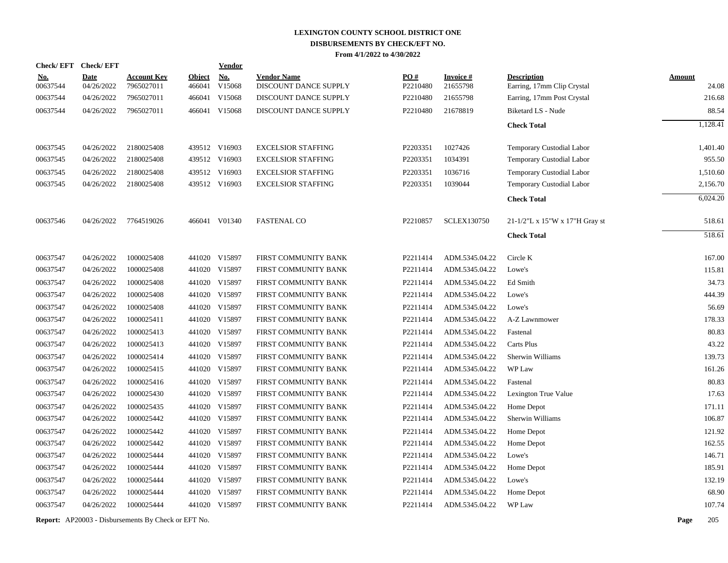| Check/EFT Check/EFT    |                           |                                  |                         | <b>Vendor</b>        |                                             |                 |                             |                                                  |                        |
|------------------------|---------------------------|----------------------------------|-------------------------|----------------------|---------------------------------------------|-----------------|-----------------------------|--------------------------------------------------|------------------------|
| <u>No.</u><br>00637544 | <b>Date</b><br>04/26/2022 | <b>Account Key</b><br>7965027011 | <b>Object</b><br>466041 | <u>No.</u><br>V15068 | <b>Vendor Name</b><br>DISCOUNT DANCE SUPPLY | PO#<br>P2210480 | <b>Invoice#</b><br>21655798 | <b>Description</b><br>Earring, 17mm Clip Crystal | <b>Amount</b><br>24.08 |
| 00637544               | 04/26/2022                | 7965027011                       | 466041                  | V15068               | DISCOUNT DANCE SUPPLY                       | P2210480        | 21655798                    | Earring, 17mm Post Crystal                       | 216.68                 |
| 00637544               | 04/26/2022                | 7965027011                       |                         | 466041 V15068        | DISCOUNT DANCE SUPPLY                       | P2210480        | 21678819                    | Biketard LS - Nude                               | 88.54                  |
|                        |                           |                                  |                         |                      |                                             |                 |                             | <b>Check Total</b>                               | 1,128.41               |
| 00637545               | 04/26/2022                | 2180025408                       |                         | 439512 V16903        | <b>EXCELSIOR STAFFING</b>                   | P2203351        | 1027426                     | Temporary Custodial Labor                        | 1,401.40               |
| 00637545               | 04/26/2022                | 2180025408                       |                         | 439512 V16903        | <b>EXCELSIOR STAFFING</b>                   | P2203351        | 1034391                     | Temporary Custodial Labor                        | 955.50                 |
| 00637545               | 04/26/2022                | 2180025408                       |                         | 439512 V16903        | <b>EXCELSIOR STAFFING</b>                   | P2203351        | 1036716                     | Temporary Custodial Labor                        | 1,510.60               |
| 00637545               | 04/26/2022                | 2180025408                       |                         | 439512 V16903        | <b>EXCELSIOR STAFFING</b>                   | P2203351        | 1039044                     | Temporary Custodial Labor                        | 2,156.70               |
|                        |                           |                                  |                         |                      |                                             |                 |                             | <b>Check Total</b>                               | 6,024.20               |
| 00637546               | 04/26/2022                | 7764519026                       |                         | 466041 V01340        | <b>FASTENAL CO</b>                          | P2210857        | <b>SCLEX130750</b>          | 21-1/2"L x 15"W x 17"H Gray st                   | 518.61                 |
|                        |                           |                                  |                         |                      |                                             |                 |                             | <b>Check Total</b>                               | 518.61                 |
| 00637547               | 04/26/2022                | 1000025408                       |                         | 441020 V15897        | FIRST COMMUNITY BANK                        | P2211414        | ADM.5345.04.22              | Circle K                                         | 167.00                 |
| 00637547               | 04/26/2022                | 1000025408                       |                         | 441020 V15897        | FIRST COMMUNITY BANK                        | P2211414        | ADM.5345.04.22              | Lowe's                                           | 115.81                 |
| 00637547               | 04/26/2022                | 1000025408                       |                         | 441020 V15897        | FIRST COMMUNITY BANK                        | P2211414        | ADM.5345.04.22              | Ed Smith                                         | 34.73                  |
| 00637547               | 04/26/2022                | 1000025408                       |                         | 441020 V15897        | FIRST COMMUNITY BANK                        | P2211414        | ADM.5345.04.22              | Lowe's                                           | 444.39                 |
| 00637547               | 04/26/2022                | 1000025408                       |                         | 441020 V15897        | FIRST COMMUNITY BANK                        | P2211414        | ADM.5345.04.22              | Lowe's                                           | 56.69                  |
| 00637547               | 04/26/2022                | 1000025411                       |                         | 441020 V15897        | FIRST COMMUNITY BANK                        | P2211414        | ADM.5345.04.22              | A-Z Lawnmower                                    | 178.33                 |
| 00637547               | 04/26/2022                | 1000025413                       |                         | 441020 V15897        | FIRST COMMUNITY BANK                        | P2211414        | ADM.5345.04.22              | Fastenal                                         | 80.83                  |
| 00637547               | 04/26/2022                | 1000025413                       |                         | 441020 V15897        | FIRST COMMUNITY BANK                        | P2211414        | ADM.5345.04.22              | Carts Plus                                       | 43.22                  |
| 00637547               | 04/26/2022                | 1000025414                       |                         | 441020 V15897        | FIRST COMMUNITY BANK                        | P2211414        | ADM.5345.04.22              | Sherwin Williams                                 | 139.73                 |
| 00637547               | 04/26/2022                | 1000025415                       |                         | 441020 V15897        | FIRST COMMUNITY BANK                        | P2211414        | ADM.5345.04.22              | WP Law                                           | 161.26                 |
| 00637547               | 04/26/2022                | 1000025416                       |                         | 441020 V15897        | FIRST COMMUNITY BANK                        | P2211414        | ADM.5345.04.22              | Fastenal                                         | 80.83                  |
| 00637547               | 04/26/2022                | 1000025430                       |                         | 441020 V15897        | FIRST COMMUNITY BANK                        | P2211414        | ADM.5345.04.22              | Lexington True Value                             | 17.63                  |
| 00637547               | 04/26/2022                | 1000025435                       |                         | 441020 V15897        | FIRST COMMUNITY BANK                        | P2211414        | ADM.5345.04.22              | Home Depot                                       | 171.11                 |
| 00637547               | 04/26/2022                | 1000025442                       |                         | 441020 V15897        | FIRST COMMUNITY BANK                        | P2211414        | ADM.5345.04.22              | Sherwin Williams                                 | 106.87                 |
| 00637547               | 04/26/2022                | 1000025442                       |                         | 441020 V15897        | FIRST COMMUNITY BANK                        | P2211414        | ADM.5345.04.22              | Home Depot                                       | 121.92                 |
| 00637547               | 04/26/2022                | 1000025442                       |                         | 441020 V15897        | FIRST COMMUNITY BANK                        | P2211414        | ADM.5345.04.22              | Home Depot                                       | 162.55                 |
| 00637547               | 04/26/2022                | 1000025444                       |                         | 441020 V15897        | FIRST COMMUNITY BANK                        | P2211414        | ADM.5345.04.22              | Lowe's                                           | 146.71                 |
| 00637547               | 04/26/2022                | 1000025444                       |                         | 441020 V15897        | FIRST COMMUNITY BANK                        | P2211414        | ADM.5345.04.22              | Home Depot                                       | 185.91                 |
| 00637547               | 04/26/2022                | 1000025444                       |                         | 441020 V15897        | FIRST COMMUNITY BANK                        | P2211414        | ADM.5345.04.22              | Lowe's                                           | 132.19                 |
| 00637547               | 04/26/2022                | 1000025444                       |                         | 441020 V15897        | FIRST COMMUNITY BANK                        | P2211414        | ADM.5345.04.22              | Home Depot                                       | 68.90                  |
| 00637547               | 04/26/2022                | 1000025444                       |                         | 441020 V15897        | FIRST COMMUNITY BANK                        | P2211414        | ADM.5345.04.22              | WP Law                                           | 107.74                 |
|                        |                           |                                  |                         |                      |                                             |                 |                             |                                                  |                        |

**Report:** AP20003 - Disbursements By Check or EFT No. **Page** 205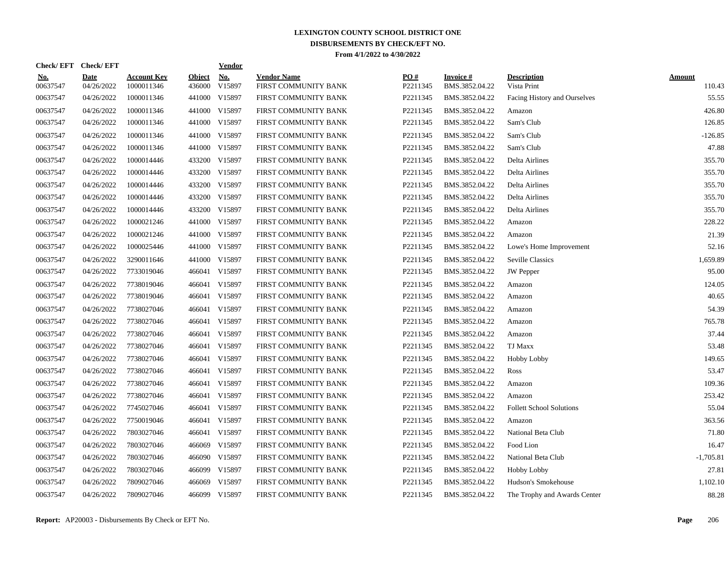| Check/EFT Check/EFT    |                           |                                  |                  | <b>Vendor</b> |                                            |                 |                             |                                   |                  |
|------------------------|---------------------------|----------------------------------|------------------|---------------|--------------------------------------------|-----------------|-----------------------------|-----------------------------------|------------------|
| <u>No.</u><br>00637547 | <b>Date</b><br>04/26/2022 | <b>Account Key</b><br>1000011346 | Object<br>436000 | No.<br>V15897 | <b>Vendor Name</b><br>FIRST COMMUNITY BANK | PO#<br>P2211345 | Invoice #<br>BMS.3852.04.22 | <b>Description</b><br>Vista Print | Amount<br>110.43 |
| 00637547               | 04/26/2022                | 1000011346                       | 441000           | V15897        | FIRST COMMUNITY BANK                       | P2211345        | BMS.3852.04.22              | Facing History and Ourselves      | 55.55            |
| 00637547               | 04/26/2022                | 1000011346                       |                  | 441000 V15897 | FIRST COMMUNITY BANK                       | P2211345        | BMS.3852.04.22              | Amazon                            | 426.80           |
| 00637547               | 04/26/2022                | 1000011346                       |                  | 441000 V15897 | FIRST COMMUNITY BANK                       | P2211345        | BMS.3852.04.22              | Sam's Club                        | 126.85           |
| 00637547               | 04/26/2022                | 1000011346                       |                  | 441000 V15897 | FIRST COMMUNITY BANK                       | P2211345        | BMS.3852.04.22              | Sam's Club                        | $-126.85$        |
| 00637547               | 04/26/2022                | 1000011346                       |                  | 441000 V15897 | FIRST COMMUNITY BANK                       | P2211345        | BMS.3852.04.22              | Sam's Club                        | 47.88            |
| 00637547               | 04/26/2022                | 1000014446                       |                  | 433200 V15897 | FIRST COMMUNITY BANK                       | P2211345        | BMS.3852.04.22              | Delta Airlines                    | 355.70           |
| 00637547               | 04/26/2022                | 1000014446                       |                  | 433200 V15897 | FIRST COMMUNITY BANK                       | P2211345        | BMS.3852.04.22              | Delta Airlines                    | 355.70           |
| 00637547               | 04/26/2022                | 1000014446                       |                  | 433200 V15897 | FIRST COMMUNITY BANK                       | P2211345        | BMS.3852.04.22              | Delta Airlines                    | 355.70           |
| 00637547               | 04/26/2022                | 1000014446                       |                  | 433200 V15897 | FIRST COMMUNITY BANK                       | P2211345        | BMS.3852.04.22              | Delta Airlines                    | 355.70           |
| 00637547               | 04/26/2022                | 1000014446                       |                  | 433200 V15897 | FIRST COMMUNITY BANK                       | P2211345        | BMS.3852.04.22              | Delta Airlines                    | 355.70           |
| 00637547               | 04/26/2022                | 1000021246                       |                  | 441000 V15897 | FIRST COMMUNITY BANK                       | P2211345        | BMS.3852.04.22              | Amazon                            | 228.22           |
| 00637547               | 04/26/2022                | 1000021246                       |                  | 441000 V15897 | FIRST COMMUNITY BANK                       | P2211345        | BMS.3852.04.22              | Amazon                            | 21.39            |
| 00637547               | 04/26/2022                | 1000025446                       |                  | 441000 V15897 | FIRST COMMUNITY BANK                       | P2211345        | BMS.3852.04.22              | Lowe's Home Improvement           | 52.16            |
| 00637547               | 04/26/2022                | 3290011646                       | 441000           | V15897        | FIRST COMMUNITY BANK                       | P2211345        | BMS.3852.04.22              | <b>Seville Classics</b>           | 1.659.89         |
| 00637547               | 04/26/2022                | 7733019046                       |                  | 466041 V15897 | FIRST COMMUNITY BANK                       | P2211345        | BMS.3852.04.22              | <b>JW</b> Pepper                  | 95.00            |
| 00637547               | 04/26/2022                | 7738019046                       | 466041           | V15897        | FIRST COMMUNITY BANK                       | P2211345        | BMS.3852.04.22              | Amazon                            | 124.05           |
| 00637547               | 04/26/2022                | 7738019046                       |                  | 466041 V15897 | FIRST COMMUNITY BANK                       | P2211345        | BMS.3852.04.22              | Amazon                            | 40.65            |
| 00637547               | 04/26/2022                | 7738027046                       |                  | 466041 V15897 | FIRST COMMUNITY BANK                       | P2211345        | BMS.3852.04.22              | Amazon                            | 54.39            |
| 00637547               | 04/26/2022                | 7738027046                       |                  | 466041 V15897 | FIRST COMMUNITY BANK                       | P2211345        | BMS.3852.04.22              | Amazon                            | 765.78           |
| 00637547               | 04/26/2022                | 7738027046                       |                  | 466041 V15897 | FIRST COMMUNITY BANK                       | P2211345        | BMS.3852.04.22              | Amazon                            | 37.44            |
| 00637547               | 04/26/2022                | 7738027046                       |                  | 466041 V15897 | FIRST COMMUNITY BANK                       | P2211345        | BMS.3852.04.22              | <b>TJ Maxx</b>                    | 53.48            |
| 00637547               | 04/26/2022                | 7738027046                       | 466041           | V15897        | FIRST COMMUNITY BANK                       | P2211345        | BMS.3852.04.22              | <b>Hobby Lobby</b>                | 149.65           |
| 00637547               | 04/26/2022                | 7738027046                       |                  | 466041 V15897 | FIRST COMMUNITY BANK                       | P2211345        | BMS.3852.04.22              | Ross                              | 53.47            |
| 00637547               | 04/26/2022                | 7738027046                       | 466041           | V15897        | FIRST COMMUNITY BANK                       | P2211345        | BMS.3852.04.22              | Amazon                            | 109.36           |
| 00637547               | 04/26/2022                | 7738027046                       | 466041           | V15897        | FIRST COMMUNITY BANK                       | P2211345        | BMS.3852.04.22              | Amazon                            | 253.42           |
| 00637547               | 04/26/2022                | 7745027046                       |                  | 466041 V15897 | FIRST COMMUNITY BANK                       | P2211345        | BMS.3852.04.22              | <b>Follett School Solutions</b>   | 55.04            |
| 00637547               | 04/26/2022                | 7750019046                       |                  | 466041 V15897 | FIRST COMMUNITY BANK                       | P2211345        | BMS.3852.04.22              | Amazon                            | 363.56           |
| 00637547               | 04/26/2022                | 7803027046                       |                  | 466041 V15897 | FIRST COMMUNITY BANK                       | P2211345        | BMS.3852.04.22              | National Beta Club                | 71.80            |
| 00637547               | 04/26/2022                | 7803027046                       |                  | 466069 V15897 | FIRST COMMUNITY BANK                       | P2211345        | BMS.3852.04.22              | Food Lion                         | 16.47            |
| 00637547               | 04/26/2022                | 7803027046                       |                  | 466090 V15897 | FIRST COMMUNITY BANK                       | P2211345        | BMS.3852.04.22              | National Beta Club                | $-1,705.81$      |
| 00637547               | 04/26/2022                | 7803027046                       | 466099           | V15897        | FIRST COMMUNITY BANK                       | P2211345        | BMS.3852.04.22              | Hobby Lobby                       | 27.81            |
| 00637547               | 04/26/2022                | 7809027046                       | 466069           | V15897        | FIRST COMMUNITY BANK                       | P2211345        | BMS.3852.04.22              | Hudson's Smokehouse               | 1,102.10         |
| 00637547               | 04/26/2022                | 7809027046                       |                  | 466099 V15897 | FIRST COMMUNITY BANK                       | P2211345        | BMS.3852.04.22              | The Trophy and Awards Center      | 88.28            |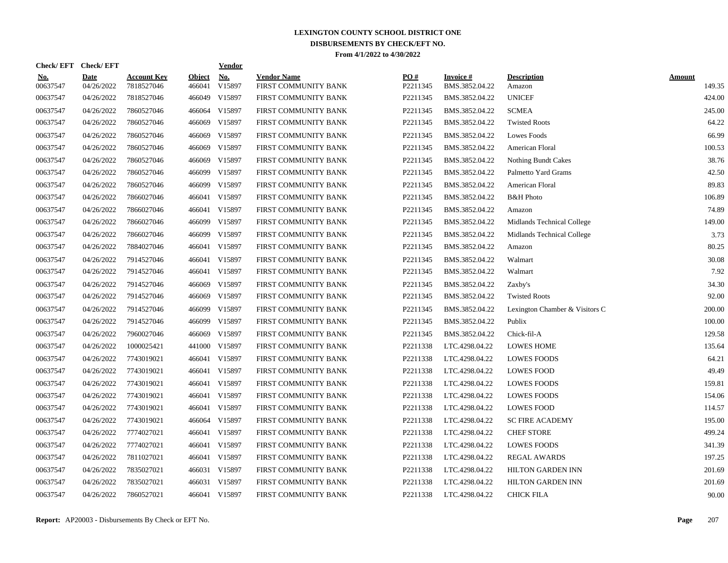|                        |                           |                                  |                         | <b>Vendor</b> |                                                                                                                                                                                                                                        |                 |                             |                                |                  |
|------------------------|---------------------------|----------------------------------|-------------------------|---------------|----------------------------------------------------------------------------------------------------------------------------------------------------------------------------------------------------------------------------------------|-----------------|-----------------------------|--------------------------------|------------------|
| <u>No.</u><br>00637547 | <b>Date</b><br>04/26/2022 | <b>Account Key</b><br>7818527046 | <b>Object</b><br>466041 | No.<br>V15897 | <b>Vendor Name</b><br>FIRST COMMUNITY BANK                                                                                                                                                                                             | PO#<br>P2211345 | Invoice #<br>BMS.3852.04.22 | <b>Description</b><br>Amazon   | Amount<br>149.35 |
| 00637547               | 04/26/2022                | 7818527046                       | 466049                  | V15897        | FIRST COMMUNITY BANK                                                                                                                                                                                                                   | P2211345        | BMS.3852.04.22              | <b>UNICEF</b>                  | 424.00           |
| 00637547               | 04/26/2022                | 7860527046                       |                         | V15897        | FIRST COMMUNITY BANK                                                                                                                                                                                                                   | P2211345        | BMS.3852.04.22              | <b>SCMEA</b>                   | 245.00           |
| 00637547               | 04/26/2022                | 7860527046                       | 466069                  | V15897        | FIRST COMMUNITY BANK                                                                                                                                                                                                                   | P2211345        | BMS.3852.04.22              | <b>Twisted Roots</b>           | 64.22            |
| 00637547               | 04/26/2022                | 7860527046                       | 466069                  | V15897        | FIRST COMMUNITY BANK                                                                                                                                                                                                                   | P2211345        | BMS.3852.04.22              | Lowes Foods                    | 66.99            |
| 00637547               | 04/26/2022                | 7860527046                       | 466069                  | V15897        | FIRST COMMUNITY BANK                                                                                                                                                                                                                   | P2211345        | BMS.3852.04.22              | American Floral                | 100.53           |
| 00637547               | 04/26/2022                | 7860527046                       | 466069                  | V15897        | FIRST COMMUNITY BANK                                                                                                                                                                                                                   | P2211345        | BMS.3852.04.22              | <b>Nothing Bundt Cakes</b>     | 38.76            |
| 00637547               | 04/26/2022                | 7860527046                       | 466099                  | V15897        | FIRST COMMUNITY BANK                                                                                                                                                                                                                   | P2211345        | BMS.3852.04.22              | Palmetto Yard Grams            | 42.50            |
| 00637547               | 04/26/2022                | 7860527046                       | 466099                  | V15897        | FIRST COMMUNITY BANK                                                                                                                                                                                                                   | P2211345        | BMS.3852.04.22              | American Floral                | 89.83            |
| 00637547               | 04/26/2022                | 7866027046                       | 466041                  | V15897        | FIRST COMMUNITY BANK                                                                                                                                                                                                                   | P2211345        | BMS.3852.04.22              | <b>B&amp;H</b> Photo           | 106.89           |
| 00637547               | 04/26/2022                | 7866027046                       |                         |               | FIRST COMMUNITY BANK                                                                                                                                                                                                                   | P2211345        | BMS.3852.04.22              | Amazon                         | 74.89            |
| 00637547               | 04/26/2022                | 7866027046                       |                         |               | FIRST COMMUNITY BANK                                                                                                                                                                                                                   | P2211345        | BMS.3852.04.22              | Midlands Technical College     | 149.00           |
| 00637547               | 04/26/2022                | 7866027046                       |                         |               | FIRST COMMUNITY BANK                                                                                                                                                                                                                   | P2211345        | BMS.3852.04.22              | Midlands Technical College     | 3.73             |
| 00637547               | 04/26/2022                | 7884027046                       |                         |               | FIRST COMMUNITY BANK                                                                                                                                                                                                                   | P2211345        | BMS.3852.04.22              | Amazon                         | 80.25            |
| 00637547               | 04/26/2022                | 7914527046                       | 466041                  | V15897        | FIRST COMMUNITY BANK                                                                                                                                                                                                                   | P2211345        | BMS.3852.04.22              | Walmart                        | 30.08            |
| 00637547               | 04/26/2022                | 7914527046                       | 466041                  | V15897        | FIRST COMMUNITY BANK                                                                                                                                                                                                                   | P2211345        | BMS.3852.04.22              | Walmart                        | 7.92             |
| 00637547               | 04/26/2022                | 7914527046                       | 466069                  | V15897        | FIRST COMMUNITY BANK                                                                                                                                                                                                                   | P2211345        | BMS.3852.04.22              | Zaxby's                        | 34.30            |
| 00637547               | 04/26/2022                | 7914527046                       | 466069                  | V15897        | FIRST COMMUNITY BANK                                                                                                                                                                                                                   | P2211345        | BMS.3852.04.22              | <b>Twisted Roots</b>           | 92.00            |
| 00637547               | 04/26/2022                | 7914527046                       | 466099                  | V15897        | FIRST COMMUNITY BANK                                                                                                                                                                                                                   | P2211345        | BMS.3852.04.22              | Lexington Chamber & Visitors C | 200.00           |
| 00637547               | 04/26/2022                | 7914527046                       |                         | V15897        | FIRST COMMUNITY BANK                                                                                                                                                                                                                   | P2211345        | BMS.3852.04.22              | Publix                         | 100.00           |
| 00637547               | 04/26/2022                | 7960027046                       | 466069                  | V15897        | FIRST COMMUNITY BANK                                                                                                                                                                                                                   | P2211345        | BMS.3852.04.22              | Chick-fil-A                    | 129.58           |
| 00637547               | 04/26/2022                | 1000025421                       |                         |               | FIRST COMMUNITY BANK                                                                                                                                                                                                                   | P2211338        | LTC.4298.04.22              | <b>LOWES HOME</b>              | 135.64           |
| 00637547               | 04/26/2022                | 7743019021                       | 466041                  | V15897        | FIRST COMMUNITY BANK                                                                                                                                                                                                                   | P2211338        | LTC.4298.04.22              | <b>LOWES FOODS</b>             | 64.21            |
| 00637547               | 04/26/2022                | 7743019021                       | 466041                  | V15897        | FIRST COMMUNITY BANK                                                                                                                                                                                                                   | P2211338        | LTC.4298.04.22              | <b>LOWES FOOD</b>              | 49.49            |
| 00637547               | 04/26/2022                | 7743019021                       |                         |               | FIRST COMMUNITY BANK                                                                                                                                                                                                                   | P2211338        | LTC.4298.04.22              | <b>LOWES FOODS</b>             | 159.81           |
| 00637547               | 04/26/2022                | 7743019021                       |                         | V15897        | FIRST COMMUNITY BANK                                                                                                                                                                                                                   | P2211338        | LTC.4298.04.22              | <b>LOWES FOODS</b>             | 154.06           |
| 00637547               | 04/26/2022                | 7743019021                       |                         |               | FIRST COMMUNITY BANK                                                                                                                                                                                                                   | P2211338        | LTC.4298.04.22              | <b>LOWES FOOD</b>              | 114.57           |
| 00637547               | 04/26/2022                | 7743019021                       |                         |               | FIRST COMMUNITY BANK                                                                                                                                                                                                                   | P2211338        | LTC.4298.04.22              | <b>SC FIRE ACADEMY</b>         | 195.00           |
| 00637547               | 04/26/2022                | 7774027021                       |                         |               | FIRST COMMUNITY BANK                                                                                                                                                                                                                   | P2211338        | LTC.4298.04.22              | <b>CHEF STORE</b>              | 499.24           |
| 00637547               | 04/26/2022                | 7774027021                       |                         |               | FIRST COMMUNITY BANK                                                                                                                                                                                                                   | P2211338        | LTC.4298.04.22              | <b>LOWES FOODS</b>             | 341.39           |
| 00637547               | 04/26/2022                | 7811027021                       |                         |               | FIRST COMMUNITY BANK                                                                                                                                                                                                                   | P2211338        | LTC.4298.04.22              | <b>REGAL AWARDS</b>            | 197.25           |
| 00637547               | 04/26/2022                | 7835027021                       | 466031                  | V15897        | FIRST COMMUNITY BANK                                                                                                                                                                                                                   | P2211338        | LTC.4298.04.22              | <b>HILTON GARDEN INN</b>       | 201.69           |
| 00637547               | 04/26/2022                | 7835027021                       | 466031                  | V15897        | FIRST COMMUNITY BANK                                                                                                                                                                                                                   | P2211338        | LTC.4298.04.22              | <b>HILTON GARDEN INN</b>       | 201.69           |
| 00637547               | 04/26/2022                | 7860527021                       |                         |               | FIRST COMMUNITY BANK                                                                                                                                                                                                                   | P2211338        | LTC.4298.04.22              | <b>CHICK FILA</b>              | 90.00            |
|                        |                           | Check/EFT Check/EFT              |                         |               | 466064<br>466041 V15897<br>466099 V15897<br>466099 V15897<br>466041 V15897<br>466099<br>441000 V15897<br>466041 V15897<br>466041<br>466041 V15897<br>466064 V15897<br>466041 V15897<br>466041 V15897<br>466041 V15897<br>466041 V15897 |                 |                             |                                |                  |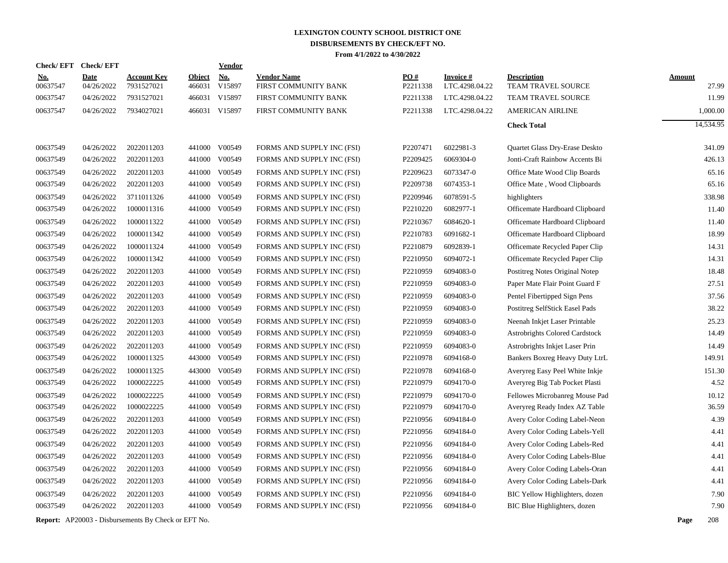| <b>Check/EFT</b>       | <b>Check/EFT</b>          |                                                            |                         | Vendor               |                                            |                      |                                   |                                          |                        |
|------------------------|---------------------------|------------------------------------------------------------|-------------------------|----------------------|--------------------------------------------|----------------------|-----------------------------------|------------------------------------------|------------------------|
| <u>No.</u><br>00637547 | <b>Date</b><br>04/26/2022 | <b>Account Key</b><br>7931527021                           | <b>Object</b><br>466031 | <b>No.</b><br>V15897 | <b>Vendor Name</b><br>FIRST COMMUNITY BANK | PO#<br>P2211338      | <b>Invoice#</b><br>LTC.4298.04.22 | <b>Description</b><br>TEAM TRAVEL SOURCE | <b>Amount</b><br>27.99 |
| 00637547               | 04/26/2022                | 7931527021                                                 | 466031                  | V15897               | FIRST COMMUNITY BANK                       | P2211338             | LTC.4298.04.22                    | TEAM TRAVEL SOURCE                       | 11.99                  |
| 00637547               | 04/26/2022                | 7934027021                                                 |                         | 466031 V15897        | FIRST COMMUNITY BANK                       | P2211338             | LTC.4298.04.22                    | <b>AMERICAN AIRLINE</b>                  | 1,000.00               |
|                        |                           |                                                            |                         |                      |                                            |                      |                                   |                                          | 14,534.95              |
|                        |                           |                                                            |                         |                      |                                            |                      |                                   | <b>Check Total</b>                       |                        |
| 00637549               | 04/26/2022                | 2022011203                                                 | 441000                  | V00549               | FORMS AND SUPPLY INC (FSI)                 | P2207471             | 6022981-3                         | Quartet Glass Dry-Erase Deskto           | 341.09                 |
| 00637549               | 04/26/2022                | 2022011203                                                 | 441000                  | V00549               | FORMS AND SUPPLY INC (FSI)                 | P2209425             | 6069304-0                         | Jonti-Craft Rainbow Accents Bi           | 426.13                 |
| 00637549               | 04/26/2022                | 2022011203                                                 | 441000                  | V00549               | FORMS AND SUPPLY INC (FSI)                 | P2209623             | 6073347-0                         | Office Mate Wood Clip Boards             | 65.16                  |
| 00637549               | 04/26/2022                | 2022011203                                                 | 441000                  | V00549               | FORMS AND SUPPLY INC (FSI)                 | P2209738             | 6074353-1                         | Office Mate, Wood Clipboards             | 65.16                  |
| 00637549               | 04/26/2022                | 3711011326                                                 | 441000                  | V00549               | FORMS AND SUPPLY INC (FSI)                 | P2209946             | 6078591-5                         | highlighters                             | 338.98                 |
| 00637549               | 04/26/2022                | 1000011316                                                 | 441000                  | V00549               | FORMS AND SUPPLY INC (FSI)                 | P2210220             | 6082977-1                         | Officemate Hardboard Clipboard           | 11.40                  |
| 00637549               | 04/26/2022                | 1000011322                                                 | 441000                  | V00549               | FORMS AND SUPPLY INC (FSI)                 | P2210367             | 6084620-1                         | Officemate Hardboard Clipboard           | 11.40                  |
| 00637549               | 04/26/2022                | 1000011342                                                 | 441000                  | V00549               | FORMS AND SUPPLY INC (FSI)                 | P2210783             | 6091682-1                         | Officemate Hardboard Clipboard           | 18.99                  |
| 00637549               | 04/26/2022                | 1000011324                                                 | 441000                  | V00549               | FORMS AND SUPPLY INC (FSI)                 | P2210879             | 6092839-1                         | Officemate Recycled Paper Clip           | 14.31                  |
| 00637549               | 04/26/2022                | 1000011342                                                 | 441000                  | V00549               | FORMS AND SUPPLY INC (FSI)                 | P <sub>2210950</sub> | 6094072-1                         | Officemate Recycled Paper Clip           | 14.31                  |
| 00637549               | 04/26/2022                | 2022011203                                                 | 441000                  | V00549               | FORMS AND SUPPLY INC (FSI)                 | P2210959             | 6094083-0                         | Postitreg Notes Original Notep           | 18.48                  |
| 00637549               | 04/26/2022                | 2022011203                                                 | 441000                  | V00549               | FORMS AND SUPPLY INC (FSI)                 | P2210959             | 6094083-0                         | Paper Mate Flair Point Guard F           | 27.51                  |
| 00637549               | 04/26/2022                | 2022011203                                                 | 441000                  | V00549               | FORMS AND SUPPLY INC (FSI)                 | P2210959             | 6094083-0                         | Pentel Fibertipped Sign Pens             | 37.56                  |
| 00637549               | 04/26/2022                | 2022011203                                                 | 441000                  | V00549               | FORMS AND SUPPLY INC (FSI)                 | P2210959             | 6094083-0                         | Postitreg SelfStick Easel Pads           | 38.22                  |
| 00637549               | 04/26/2022                | 2022011203                                                 | 441000                  | V00549               | FORMS AND SUPPLY INC (FSI)                 | P2210959             | 6094083-0                         | Neenah Inkjet Laser Printable            | 25.23                  |
| 00637549               | 04/26/2022                | 2022011203                                                 | 441000                  | V00549               | FORMS AND SUPPLY INC (FSI)                 | P2210959             | 6094083-0                         | Astrobrights Colored Cardstock           | 14.49                  |
| 00637549               | 04/26/2022                | 2022011203                                                 | 441000                  | V00549               | FORMS AND SUPPLY INC (FSI)                 | P2210959             | 6094083-0                         | Astrobrights Inkjet Laser Prin           | 14.49                  |
| 00637549               | 04/26/2022                | 1000011325                                                 | 443000                  | V00549               | FORMS AND SUPPLY INC (FSI)                 | P2210978             | 6094168-0                         | Bankers Boxreg Heavy Duty LtrL           | 149.91                 |
| 00637549               | 04/26/2022                | 1000011325                                                 | 443000                  | V00549               | FORMS AND SUPPLY INC (FSI)                 | P2210978             | 6094168-0                         | Averyreg Easy Peel White Inkje           | 151.30                 |
| 00637549               | 04/26/2022                | 1000022225                                                 | 441000                  | V00549               | FORMS AND SUPPLY INC (FSI)                 | P2210979             | 6094170-0                         | Averyreg Big Tab Pocket Plasti           | 4.52                   |
| 00637549               | 04/26/2022                | 1000022225                                                 | 441000                  | V00549               | FORMS AND SUPPLY INC (FSI)                 | P2210979             | 6094170-0                         | Fellowes Microbanreg Mouse Pad           | 10.12                  |
| 00637549               | 04/26/2022                | 1000022225                                                 | 441000                  | V00549               | FORMS AND SUPPLY INC (FSI)                 | P2210979             | 6094170-0                         | Averyreg Ready Index AZ Table            | 36.59                  |
| 00637549               | 04/26/2022                | 2022011203                                                 | 441000                  | V00549               | FORMS AND SUPPLY INC (FSI)                 | P2210956             | 6094184-0                         | Avery Color Coding Label-Neon            | 4.39                   |
| 00637549               | 04/26/2022                | 2022011203                                                 | 441000                  | V00549               | FORMS AND SUPPLY INC (FSI)                 | P2210956             | 6094184-0                         | Avery Color Coding Labels-Yell           | 4.41                   |
| 00637549               | 04/26/2022                | 2022011203                                                 | 441000                  | V00549               | FORMS AND SUPPLY INC (FSI)                 | P2210956             | 6094184-0                         | Avery Color Coding Labels-Red            | 4.41                   |
| 00637549               | 04/26/2022                | 2022011203                                                 | 441000                  | V00549               | FORMS AND SUPPLY INC (FSI)                 | P2210956             | 6094184-0                         | Avery Color Coding Labels-Blue           | 4.41                   |
| 00637549               | 04/26/2022                | 2022011203                                                 | 441000                  | V00549               | FORMS AND SUPPLY INC (FSI)                 | P2210956             | 6094184-0                         | Avery Color Coding Labels-Oran           | 4.41                   |
| 00637549               | 04/26/2022                | 2022011203                                                 | 441000                  | V00549               | FORMS AND SUPPLY INC (FSI)                 | P2210956             | 6094184-0                         | Avery Color Coding Labels-Dark           | 4.41                   |
| 00637549               | 04/26/2022                | 2022011203                                                 | 441000                  | V00549               | FORMS AND SUPPLY INC (FSI)                 | P2210956             | 6094184-0                         | BIC Yellow Highlighters, dozen           | 7.90                   |
| 00637549               | 04/26/2022                | 2022011203                                                 | 441000                  | V00549               | FORMS AND SUPPLY INC (FSI)                 | P2210956             | 6094184-0                         | BIC Blue Highlighters, dozen             | 7.90                   |
|                        |                           | <b>Report:</b> AP20003 - Disbursements By Check or EFT No. |                         |                      |                                            |                      |                                   |                                          | 208<br>Page            |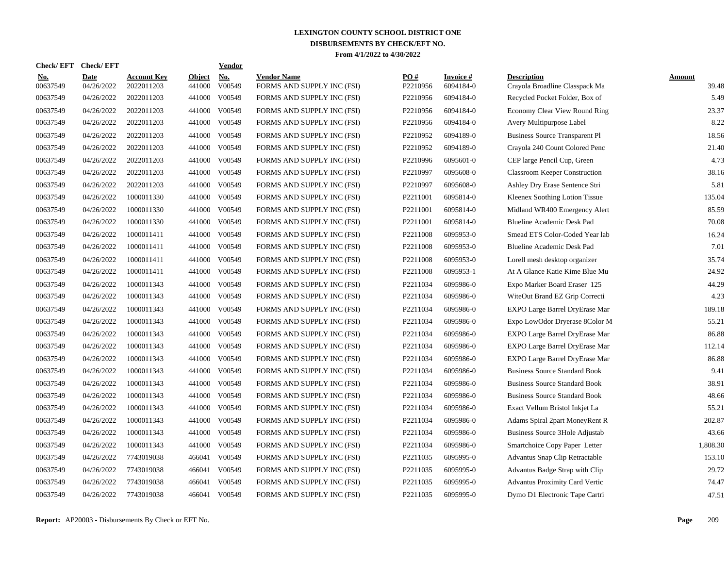| <b>Check/EFT</b>       | <b>Check/EFT</b>   |                                  |                         | <b>Vendor</b>        |                                                  |                 |                               |                                                      |                        |
|------------------------|--------------------|----------------------------------|-------------------------|----------------------|--------------------------------------------------|-----------------|-------------------------------|------------------------------------------------------|------------------------|
| <u>No.</u><br>00637549 | Date<br>04/26/2022 | <b>Account Kev</b><br>2022011203 | <b>Object</b><br>441000 | <b>No.</b><br>V00549 | <b>Vendor Name</b><br>FORMS AND SUPPLY INC (FSI) | PO#<br>P2210956 | <b>Invoice</b> #<br>6094184-0 | <b>Description</b><br>Crayola Broadline Classpack Ma | <b>Amount</b><br>39.48 |
| 00637549               | 04/26/2022         | 2022011203                       | 441000                  | V00549               | FORMS AND SUPPLY INC (FSI)                       | P2210956        | 6094184-0                     | Recycled Pocket Folder, Box of                       | 5.49                   |
| 00637549               | 04/26/2022         | 2022011203                       | 441000                  | V00549               | FORMS AND SUPPLY INC (FSI)                       | P2210956        | 6094184-0                     | <b>Economy Clear View Round Ring</b>                 | 23.37                  |
| 00637549               | 04/26/2022         | 2022011203                       | 441000                  | V00549               | FORMS AND SUPPLY INC (FSI)                       | P2210956        | 6094184-0                     | Avery Multipurpose Label                             | 8.22                   |
| 00637549               | 04/26/2022         | 2022011203                       | 441000                  | V00549               | FORMS AND SUPPLY INC (FSI)                       | P2210952        | 6094189-0                     | <b>Business Source Transparent Pl</b>                | 18.56                  |
| 00637549               | 04/26/2022         | 2022011203                       | 441000                  | V00549               | FORMS AND SUPPLY INC (FSI)                       | P2210952        | 6094189-0                     | Crayola 240 Count Colored Penc                       | 21.40                  |
| 00637549               | 04/26/2022         | 2022011203                       | 441000                  | V00549               | FORMS AND SUPPLY INC (FSI)                       | P2210996        | 6095601-0                     | CEP large Pencil Cup, Green                          | 4.73                   |
| 00637549               | 04/26/2022         | 2022011203                       | 441000                  | V00549               | FORMS AND SUPPLY INC (FSI)                       | P2210997        | 6095608-0                     | <b>Classroom Keeper Construction</b>                 | 38.16                  |
| 00637549               | 04/26/2022         | 2022011203                       | 441000                  | V00549               | FORMS AND SUPPLY INC (FSI)                       | P2210997        | 6095608-0                     | Ashley Dry Erase Sentence Stri                       | 5.81                   |
| 00637549               | 04/26/2022         | 1000011330                       | 441000                  | V00549               | FORMS AND SUPPLY INC (FSI)                       | P2211001        | 6095814-0                     | Kleenex Soothing Lotion Tissue                       | 135.04                 |
| 00637549               | 04/26/2022         | 1000011330                       | 441000                  | V00549               | FORMS AND SUPPLY INC (FSI)                       | P2211001        | 6095814-0                     | Midland WR400 Emergency Alert                        | 85.59                  |
| 00637549               | 04/26/2022         | 1000011330                       | 441000                  | V00549               | FORMS AND SUPPLY INC (FSI)                       | P2211001        | 6095814-0                     | Blueline Academic Desk Pad                           | 70.08                  |
| 00637549               | 04/26/2022         | 1000011411                       | 441000                  | V00549               | FORMS AND SUPPLY INC (FSI)                       | P2211008        | 6095953-0                     | Smead ETS Color-Coded Year lab                       | 16.24                  |
| 00637549               | 04/26/2022         | 1000011411                       | 441000                  | V00549               | FORMS AND SUPPLY INC (FSI)                       | P2211008        | 6095953-0                     | Blueline Academic Desk Pad                           | 7.01                   |
| 00637549               | 04/26/2022         | 1000011411                       | 441000                  | V00549               | FORMS AND SUPPLY INC (FSI)                       | P2211008        | 6095953-0                     | Lorell mesh desktop organizer                        | 35.74                  |
| 00637549               | 04/26/2022         | 1000011411                       | 441000                  | V00549               | FORMS AND SUPPLY INC (FSI)                       | P2211008        | 6095953-1                     | At A Glance Katie Kime Blue Mu                       | 24.92                  |
| 00637549               | 04/26/2022         | 1000011343                       | 441000                  | V00549               | FORMS AND SUPPLY INC (FSI)                       | P2211034        | 6095986-0                     | Expo Marker Board Eraser 125                         | 44.29                  |
| 00637549               | 04/26/2022         | 1000011343                       | 441000                  | V00549               | FORMS AND SUPPLY INC (FSI)                       | P2211034        | 6095986-0                     | WiteOut Brand EZ Grip Correcti                       | 4.23                   |
| 00637549               | 04/26/2022         | 1000011343                       | 441000                  | V00549               | FORMS AND SUPPLY INC (FSI)                       | P2211034        | 6095986-0                     | EXPO Large Barrel DryErase Mar                       | 189.18                 |
| 00637549               | 04/26/2022         | 1000011343                       | 441000                  | V00549               | FORMS AND SUPPLY INC (FSI)                       | P2211034        | 6095986-0                     | Expo LowOdor Dryerase 8Color M                       | 55.21                  |
| 00637549               | 04/26/2022         | 1000011343                       | 441000                  | V00549               | FORMS AND SUPPLY INC (FSI)                       | P2211034        | 6095986-0                     | EXPO Large Barrel DryErase Mar                       | 86.88                  |
| 00637549               | 04/26/2022         | 1000011343                       | 441000                  | V00549               | FORMS AND SUPPLY INC (FSI)                       | P2211034        | 6095986-0                     | EXPO Large Barrel DryErase Mar                       | 112.14                 |
| 00637549               | 04/26/2022         | 1000011343                       | 441000                  | V00549               | FORMS AND SUPPLY INC (FSI)                       | P2211034        | 6095986-0                     | EXPO Large Barrel DryErase Mar                       | 86.88                  |
| 00637549               | 04/26/2022         | 1000011343                       | 441000                  | V00549               | FORMS AND SUPPLY INC (FSI)                       | P2211034        | 6095986-0                     | <b>Business Source Standard Book</b>                 | 9.41                   |
| 00637549               | 04/26/2022         | 1000011343                       | 441000                  | V00549               | FORMS AND SUPPLY INC (FSI)                       | P2211034        | 6095986-0                     | <b>Business Source Standard Book</b>                 | 38.91                  |
| 00637549               | 04/26/2022         | 1000011343                       | 441000                  | V00549               | FORMS AND SUPPLY INC (FSI)                       | P2211034        | 6095986-0                     | <b>Business Source Standard Book</b>                 | 48.66                  |
| 00637549               | 04/26/2022         | 1000011343                       | 441000                  | V00549               | FORMS AND SUPPLY INC (FSI)                       | P2211034        | 6095986-0                     | Exact Vellum Bristol Inkjet La                       | 55.21                  |
| 00637549               | 04/26/2022         | 1000011343                       | 441000                  | V00549               | FORMS AND SUPPLY INC (FSI)                       | P2211034        | 6095986-0                     | Adams Spiral 2part MoneyRent R                       | 202.87                 |
| 00637549               | 04/26/2022         | 1000011343                       | 441000                  | V00549               | FORMS AND SUPPLY INC (FSI)                       | P2211034        | 6095986-0                     | <b>Business Source 3Hole Adjustab</b>                | 43.66                  |
| 00637549               | 04/26/2022         | 1000011343                       | 441000                  | V00549               | FORMS AND SUPPLY INC (FSI)                       | P2211034        | 6095986-0                     | Smartchoice Copy Paper Letter                        | 1,808.30               |
| 00637549               | 04/26/2022         | 7743019038                       | 466041                  | V00549               | FORMS AND SUPPLY INC (FSI)                       | P2211035        | 6095995-0                     | Advantus Snap Clip Retractable                       | 153.10                 |
| 00637549               | 04/26/2022         | 7743019038                       | 466041                  | V00549               | FORMS AND SUPPLY INC (FSI)                       | P2211035        | 6095995-0                     | Advantus Badge Strap with Clip                       | 29.72                  |
| 00637549               | 04/26/2022         | 7743019038                       | 466041                  | V00549               | FORMS AND SUPPLY INC (FSI)                       | P2211035        | 6095995-0                     | Advantus Proximity Card Vertic                       | 74.47                  |
| 00637549               | 04/26/2022         | 7743019038                       | 466041                  | V00549               | FORMS AND SUPPLY INC (FSI)                       | P2211035        | 6095995-0                     | Dymo D1 Electronic Tape Cartri                       | 47.51                  |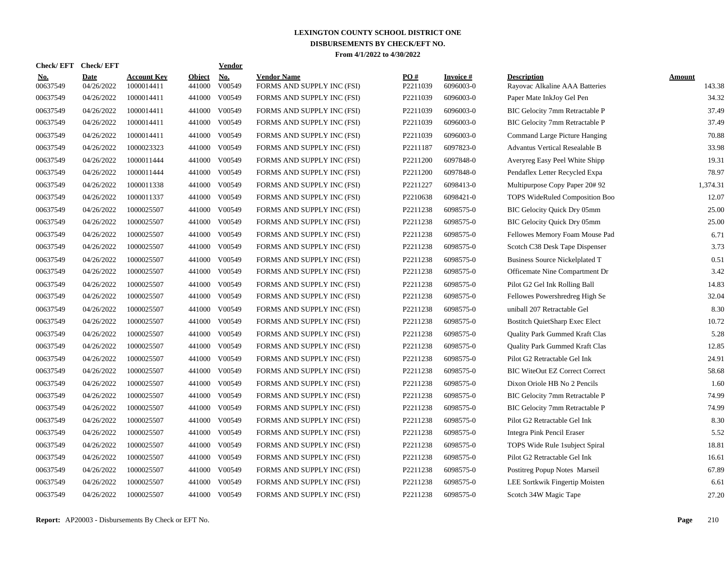| Check/ EFT             | <b>Check/EFT</b>          |                                  |                         | <b>Vendor</b>                       |                                                  |                 |                        |                                                      |                  |
|------------------------|---------------------------|----------------------------------|-------------------------|-------------------------------------|--------------------------------------------------|-----------------|------------------------|------------------------------------------------------|------------------|
| <u>No.</u><br>00637549 | <b>Date</b><br>04/26/2022 | <b>Account Key</b><br>1000014411 | <b>Object</b><br>441000 | $\underline{\text{No}}$ .<br>V00549 | <b>Vendor Name</b><br>FORMS AND SUPPLY INC (FSI) | PO#<br>P2211039 | Invoice #<br>6096003-0 | <b>Description</b><br>Rayovac Alkaline AAA Batteries | Amount<br>143.38 |
| 00637549               | 04/26/2022                | 1000014411                       | 441000                  | V00549                              | FORMS AND SUPPLY INC (FSI)                       | P2211039        | 6096003-0              | Paper Mate InkJoy Gel Pen                            | 34.32            |
| 00637549               | 04/26/2022                | 1000014411                       | 441000                  | V00549                              | FORMS AND SUPPLY INC (FSI)                       | P2211039        | 6096003-0              | <b>BIC Gelocity 7mm Retractable P</b>                | 37.49            |
| 00637549               | 04/26/2022                | 1000014411                       | 441000                  | V00549                              | FORMS AND SUPPLY INC (FSI)                       | P2211039        | 6096003-0              | BIC Gelocity 7mm Retractable P                       | 37.49            |
| 00637549               | 04/26/2022                | 1000014411                       | 441000                  | V00549                              | FORMS AND SUPPLY INC (FSI)                       | P2211039        | 6096003-0              | Command Large Picture Hanging                        | 70.88            |
| 00637549               | 04/26/2022                | 1000023323                       | 441000                  | V00549                              | FORMS AND SUPPLY INC (FSI)                       | P2211187        | 6097823-0              | <b>Advantus Vertical Resealable B</b>                | 33.98            |
| 00637549               | 04/26/2022                | 1000011444                       | 441000                  | V00549                              | FORMS AND SUPPLY INC (FSI)                       | P2211200        | 6097848-0              | Averyreg Easy Peel White Shipp                       | 19.31            |
| 00637549               | 04/26/2022                | 1000011444                       | 441000                  | V00549                              | FORMS AND SUPPLY INC (FSI)                       | P2211200        | 6097848-0              | Pendaflex Letter Recycled Expa                       | 78.97            |
| 00637549               | 04/26/2022                | 1000011338                       | 441000                  | V00549                              | FORMS AND SUPPLY INC (FSI)                       | P2211227        | 6098413-0              | Multipurpose Copy Paper 20# 92                       | 1,374.31         |
| 00637549               | 04/26/2022                | 1000011337                       | 441000                  | V00549                              | FORMS AND SUPPLY INC (FSI)                       | P2210638        | 6098421-0              | TOPS WideRuled Composition Boo                       | 12.07            |
| 00637549               | 04/26/2022                | 1000025507                       | 441000                  | V00549                              | FORMS AND SUPPLY INC (FSI)                       | P2211238        | 6098575-0              | BIC Gelocity Quick Dry 05mm                          | 25.00            |
| 00637549               | 04/26/2022                | 1000025507                       | 441000                  | V00549                              | FORMS AND SUPPLY INC (FSI)                       | P2211238        | 6098575-0              | BIC Gelocity Quick Dry 05mm                          | 25.00            |
| 00637549               | 04/26/2022                | 1000025507                       | 441000                  | V00549                              | FORMS AND SUPPLY INC (FSI)                       | P2211238        | 6098575-0              | Fellowes Memory Foam Mouse Pad                       | 6.71             |
| 00637549               | 04/26/2022                | 1000025507                       | 441000                  | V00549                              | FORMS AND SUPPLY INC (FSI)                       | P2211238        | 6098575-0              | Scotch C38 Desk Tape Dispenser                       | 3.73             |
| 00637549               | 04/26/2022                | 1000025507                       | 441000                  | V00549                              | FORMS AND SUPPLY INC (FSI)                       | P2211238        | 6098575-0              | <b>Business Source Nickelplated T</b>                | 0.51             |
| 00637549               | 04/26/2022                | 1000025507                       | 441000                  | V00549                              | FORMS AND SUPPLY INC (FSI)                       | P2211238        | 6098575-0              | Officemate Nine Compartment Dr                       | 3.42             |
| 00637549               | 04/26/2022                | 1000025507                       | 441000                  | V00549                              | FORMS AND SUPPLY INC (FSI)                       | P2211238        | 6098575-0              | Pilot G2 Gel Ink Rolling Ball                        | 14.83            |
| 00637549               | 04/26/2022                | 1000025507                       | 441000                  | V00549                              | FORMS AND SUPPLY INC (FSI)                       | P2211238        | 6098575-0              | Fellowes Powershredreg High Se                       | 32.04            |
| 00637549               | 04/26/2022                | 1000025507                       | 441000                  | V00549                              | FORMS AND SUPPLY INC (FSI)                       | P2211238        | 6098575-0              | uniball 207 Retractable Gel                          | 8.30             |
| 00637549               | 04/26/2022                | 1000025507                       | 441000                  | V00549                              | FORMS AND SUPPLY INC (FSI)                       | P2211238        | 6098575-0              | <b>Bostitch QuietSharp Exec Elect</b>                | 10.72            |
| 00637549               | 04/26/2022                | 1000025507                       | 441000                  | V00549                              | FORMS AND SUPPLY INC (FSI)                       | P2211238        | 6098575-0              | Quality Park Gummed Kraft Clas                       | 5.28             |
| 00637549               | 04/26/2022                | 1000025507                       | 441000                  | V00549                              | FORMS AND SUPPLY INC (FSI)                       | P2211238        | 6098575-0              | Quality Park Gummed Kraft Clas                       | 12.85            |
| 00637549               | 04/26/2022                | 1000025507                       | 441000                  | V00549                              | FORMS AND SUPPLY INC (FSI)                       | P2211238        | 6098575-0              | Pilot G2 Retractable Gel Ink                         | 24.91            |
| 00637549               | 04/26/2022                | 1000025507                       | 441000                  | V00549                              | FORMS AND SUPPLY INC (FSI)                       | P2211238        | 6098575-0              | <b>BIC WiteOut EZ Correct Correct</b>                | 58.68            |
| 00637549               | 04/26/2022                | 1000025507                       | 441000                  | V00549                              | FORMS AND SUPPLY INC (FSI)                       | P2211238        | 6098575-0              | Dixon Oriole HB No 2 Pencils                         | 1.60             |
| 00637549               | 04/26/2022                | 1000025507                       | 441000                  | V00549                              | FORMS AND SUPPLY INC (FSI)                       | P2211238        | 6098575-0              | BIC Gelocity 7mm Retractable P                       | 74.99            |
| 00637549               | 04/26/2022                | 1000025507                       | 441000                  | V00549                              | FORMS AND SUPPLY INC (FSI)                       | P2211238        | 6098575-0              | BIC Gelocity 7mm Retractable P                       | 74.99            |
| 00637549               | 04/26/2022                | 1000025507                       | 441000                  | V00549                              | FORMS AND SUPPLY INC (FSI)                       | P2211238        | 6098575-0              | Pilot G2 Retractable Gel Ink                         | 8.30             |
| 00637549               | 04/26/2022                | 1000025507                       | 441000                  | V00549                              | FORMS AND SUPPLY INC (FSI)                       | P2211238        | 6098575-0              | Integra Pink Pencil Eraser                           | 5.52             |
| 00637549               | 04/26/2022                | 1000025507                       | 441000                  | V00549                              | FORMS AND SUPPLY INC (FSI)                       | P2211238        | 6098575-0              | TOPS Wide Rule 1 subject Spiral                      | 18.81            |
| 00637549               | 04/26/2022                | 1000025507                       |                         | 441000 V00549                       | FORMS AND SUPPLY INC (FSI)                       | P2211238        | 6098575-0              | Pilot G2 Retractable Gel Ink                         | 16.61            |
| 00637549               | 04/26/2022                | 1000025507                       | 441000                  | V00549                              | FORMS AND SUPPLY INC (FSI)                       | P2211238        | 6098575-0              | Postitreg Popup Notes Marseil                        | 67.89            |
| 00637549               | 04/26/2022                | 1000025507                       | 441000                  | V00549                              | FORMS AND SUPPLY INC (FSI)                       | P2211238        | 6098575-0              | LEE Sortkwik Fingertip Moisten                       | 6.61             |
| 00637549               | 04/26/2022                | 1000025507                       |                         | 441000 V00549                       | FORMS AND SUPPLY INC (FSI)                       | P2211238        | 6098575-0              | Scotch 34W Magic Tape                                | 27.20            |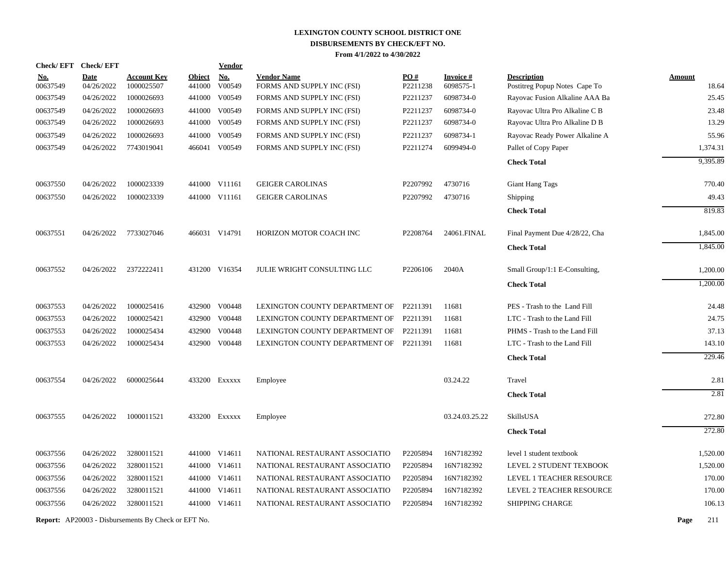|                      | Check/EFT Check/EFT      |                                                            |                         | <b>Vendor</b>                  |                                                          |                      |                        |                                                                  |                   |
|----------------------|--------------------------|------------------------------------------------------------|-------------------------|--------------------------------|----------------------------------------------------------|----------------------|------------------------|------------------------------------------------------------------|-------------------|
| <u>No.</u>           | <b>Date</b>              | <b>Account Key</b>                                         | <b>Object</b><br>441000 | <b>No.</b>                     | <b>Vendor Name</b>                                       | PO#                  | <b>Invoice#</b>        | <b>Description</b>                                               | <b>Amount</b>     |
| 00637549<br>00637549 | 04/26/2022<br>04/26/2022 | 1000025507<br>1000026693                                   | 441000                  | V00549<br>V00549               | FORMS AND SUPPLY INC (FSI)<br>FORMS AND SUPPLY INC (FSI) | P2211238<br>P2211237 | 6098575-1<br>6098734-0 | Postitreg Popup Notes Cape To<br>Rayovac Fusion Alkaline AAA Ba  | 18.64<br>25.45    |
| 00637549             | 04/26/2022               | 1000026693                                                 |                         | 441000 V00549                  |                                                          | P2211237             | 6098734-0              |                                                                  | 23.48             |
| 00637549             | 04/26/2022               | 1000026693                                                 |                         | 441000 V00549                  | FORMS AND SUPPLY INC (FSI)<br>FORMS AND SUPPLY INC (FSI) | P2211237             | 6098734-0              | Rayovac Ultra Pro Alkaline C B<br>Rayovac Ultra Pro Alkaline D B | 13.29             |
|                      |                          |                                                            |                         |                                |                                                          |                      |                        |                                                                  |                   |
| 00637549<br>00637549 | 04/26/2022<br>04/26/2022 | 1000026693<br>7743019041                                   |                         | 441000 V00549<br>466041 V00549 | FORMS AND SUPPLY INC (FSI)<br>FORMS AND SUPPLY INC (FSI) | P2211237<br>P2211274 | 6098734-1<br>6099494-0 | Rayovac Ready Power Alkaline A                                   | 55.96<br>1,374.31 |
|                      |                          |                                                            |                         |                                |                                                          |                      |                        | Pallet of Copy Paper                                             |                   |
|                      |                          |                                                            |                         |                                |                                                          |                      |                        | <b>Check Total</b>                                               | 9,395.89          |
| 00637550             | 04/26/2022               | 1000023339                                                 |                         | 441000 V11161                  | <b>GEIGER CAROLINAS</b>                                  | P2207992             | 4730716                | <b>Giant Hang Tags</b>                                           | 770.40            |
| 00637550             | 04/26/2022               | 1000023339                                                 |                         | 441000 V11161                  | <b>GEIGER CAROLINAS</b>                                  | P2207992             | 4730716                | Shipping                                                         | 49.43             |
|                      |                          |                                                            |                         |                                |                                                          |                      |                        | <b>Check Total</b>                                               | 819.83            |
| 00637551             | 04/26/2022               | 7733027046                                                 |                         | 466031 V14791                  | HORIZON MOTOR COACH INC                                  | P2208764             | 24061.FINAL            | Final Payment Due 4/28/22, Cha                                   | 1,845.00          |
|                      |                          |                                                            |                         |                                |                                                          |                      |                        | <b>Check Total</b>                                               | 1,845.00          |
| 00637552             | 04/26/2022               | 2372222411                                                 |                         | 431200 V16354                  | JULIE WRIGHT CONSULTING LLC                              | P2206106             | 2040A                  | Small Group/1:1 E-Consulting,                                    | 1,200.00          |
|                      |                          |                                                            |                         |                                |                                                          |                      |                        | <b>Check Total</b>                                               | 1,200.00          |
| 00637553             | 04/26/2022               | 1000025416                                                 |                         | 432900 V00448                  | LEXINGTON COUNTY DEPARTMENT OF                           | P2211391             | 11681                  | PES - Trash to the Land Fill                                     | 24.48             |
| 00637553             | 04/26/2022               | 1000025421                                                 |                         | 432900 V00448                  | LEXINGTON COUNTY DEPARTMENT OF                           | P2211391             | 11681                  | LTC - Trash to the Land Fill                                     | 24.75             |
| 00637553             | 04/26/2022               | 1000025434                                                 | 432900                  | V00448                         | LEXINGTON COUNTY DEPARTMENT OF                           | P2211391             | 11681                  | PHMS - Trash to the Land Fill                                    | 37.13             |
| 00637553             | 04/26/2022               | 1000025434                                                 |                         | 432900 V00448                  | LEXINGTON COUNTY DEPARTMENT OF P2211391                  |                      | 11681                  | LTC - Trash to the Land Fill                                     | 143.10            |
|                      |                          |                                                            |                         |                                |                                                          |                      |                        | <b>Check Total</b>                                               | 229.46            |
| 00637554             | 04/26/2022               | 6000025644                                                 |                         | 433200 EXXXXX                  | Employee                                                 |                      | 03.24.22               | Travel                                                           | 2.81              |
|                      |                          |                                                            |                         |                                |                                                          |                      |                        | <b>Check Total</b>                                               | 2.81              |
|                      |                          |                                                            |                         |                                |                                                          |                      |                        |                                                                  |                   |
| 00637555             | 04/26/2022               | 1000011521                                                 |                         | 433200 Exxxxx                  | Employee                                                 |                      | 03.24.03.25.22         | SkillsUSA                                                        | 272.80            |
|                      |                          |                                                            |                         |                                |                                                          |                      |                        | <b>Check Total</b>                                               | 272.80            |
| 00637556             | 04/26/2022               | 3280011521                                                 |                         | 441000 V14611                  | NATIONAL RESTAURANT ASSOCIATIO                           | P2205894             | 16N7182392             | level 1 student textbook                                         | 1,520.00          |
| 00637556             | 04/26/2022               | 3280011521                                                 |                         | 441000 V14611                  | NATIONAL RESTAURANT ASSOCIATIO                           | P2205894             | 16N7182392             | LEVEL 2 STUDENT TEXBOOK                                          | 1,520.00          |
| 00637556             | 04/26/2022               | 3280011521                                                 |                         | 441000 V14611                  | NATIONAL RESTAURANT ASSOCIATIO                           | P2205894             | 16N7182392             | LEVEL 1 TEACHER RESOURCE                                         | 170.00            |
| 00637556             | 04/26/2022               | 3280011521                                                 |                         | 441000 V14611                  | NATIONAL RESTAURANT ASSOCIATIO                           | P2205894             | 16N7182392             | LEVEL 2 TEACHER RESOURCE                                         | 170.00            |
| 00637556             | 04/26/2022               | 3280011521                                                 |                         | 441000 V14611                  | NATIONAL RESTAURANT ASSOCIATIO                           | P2205894             | 16N7182392             | <b>SHIPPING CHARGE</b>                                           | 106.13            |
|                      |                          | <b>Report:</b> AP20003 - Disbursements By Check or EFT No. |                         |                                |                                                          |                      |                        |                                                                  | Page<br>211       |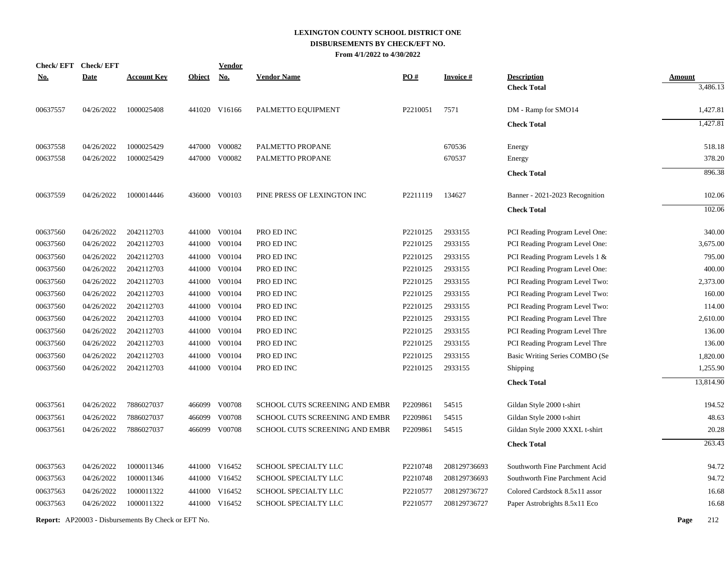| <b>Check/EFT</b> | <b>Check/EFT</b> |                                                            |               | <b>Vendor</b> |                                |          |                  |                                |               |           |
|------------------|------------------|------------------------------------------------------------|---------------|---------------|--------------------------------|----------|------------------|--------------------------------|---------------|-----------|
| <b>No.</b>       | <b>Date</b>      | <b>Account Key</b>                                         | <b>Object</b> | No.           | <b>Vendor Name</b>             | PO#      | <u>Invoice #</u> | <b>Description</b>             | <b>Amount</b> |           |
|                  |                  |                                                            |               |               |                                |          |                  | <b>Check Total</b>             |               | 3,486.13  |
| 00637557         | 04/26/2022       | 1000025408                                                 |               | 441020 V16166 | PALMETTO EQUIPMENT             | P2210051 | 7571             | DM - Ramp for SMO14            |               | 1,427.81  |
|                  |                  |                                                            |               |               |                                |          |                  | <b>Check Total</b>             |               | 1,427.81  |
| 00637558         | 04/26/2022       | 1000025429                                                 |               | 447000 V00082 | PALMETTO PROPANE               |          | 670536           | Energy                         |               | 518.18    |
| 00637558         | 04/26/2022       | 1000025429                                                 |               | 447000 V00082 | PALMETTO PROPANE               |          | 670537           | Energy                         |               | 378.20    |
|                  |                  |                                                            |               |               |                                |          |                  | <b>Check Total</b>             |               | 896.38    |
| 00637559         | 04/26/2022       | 1000014446                                                 |               | 436000 V00103 | PINE PRESS OF LEXINGTON INC    | P2211119 | 134627           | Banner - 2021-2023 Recognition |               | 102.06    |
|                  |                  |                                                            |               |               |                                |          |                  | <b>Check Total</b>             |               | 102.06    |
| 00637560         | 04/26/2022       | 2042112703                                                 |               | 441000 V00104 | PRO ED INC                     | P2210125 | 2933155          | PCI Reading Program Level One: |               | 340.00    |
| 00637560         | 04/26/2022       | 2042112703                                                 |               | 441000 V00104 | PRO ED INC                     | P2210125 | 2933155          | PCI Reading Program Level One: |               | 3,675.00  |
| 00637560         | 04/26/2022       | 2042112703                                                 |               | 441000 V00104 | PRO ED INC                     | P2210125 | 2933155          | PCI Reading Program Levels 1 & |               | 795.00    |
| 00637560         | 04/26/2022       | 2042112703                                                 |               | 441000 V00104 | PRO ED INC                     | P2210125 | 2933155          | PCI Reading Program Level One: |               | 400.00    |
| 00637560         | 04/26/2022       | 2042112703                                                 | 441000        | V00104        | PRO ED INC                     | P2210125 | 2933155          | PCI Reading Program Level Two: |               | 2,373.00  |
| 00637560         | 04/26/2022       | 2042112703                                                 |               | 441000 V00104 | PRO ED INC                     | P2210125 | 2933155          | PCI Reading Program Level Two: |               | 160.00    |
| 00637560         | 04/26/2022       | 2042112703                                                 | 441000        | V00104        | PRO ED INC                     | P2210125 | 2933155          | PCI Reading Program Level Two: |               | 114.00    |
| 00637560         | 04/26/2022       | 2042112703                                                 |               | 441000 V00104 | PRO ED INC                     | P2210125 | 2933155          | PCI Reading Program Level Thre |               | 2,610.00  |
| 00637560         | 04/26/2022       | 2042112703                                                 | 441000        | V00104        | PRO ED INC                     | P2210125 | 2933155          | PCI Reading Program Level Thre |               | 136.00    |
| 00637560         | 04/26/2022       | 2042112703                                                 |               | 441000 V00104 | PRO ED INC                     | P2210125 | 2933155          | PCI Reading Program Level Thre |               | 136.00    |
| 00637560         | 04/26/2022       | 2042112703                                                 | 441000        | V00104        | PRO ED INC                     | P2210125 | 2933155          | Basic Writing Series COMBO (Se |               | 1,820.00  |
| 00637560         | 04/26/2022       | 2042112703                                                 |               | 441000 V00104 | PRO ED INC                     | P2210125 | 2933155          | Shipping                       |               | 1,255.90  |
|                  |                  |                                                            |               |               |                                |          |                  | <b>Check Total</b>             |               | 13,814.90 |
| 00637561         | 04/26/2022       | 7886027037                                                 |               | 466099 V00708 | SCHOOL CUTS SCREENING AND EMBR | P2209861 | 54515            | Gildan Style 2000 t-shirt      |               | 194.52    |
| 00637561         | 04/26/2022       | 7886027037                                                 | 466099        | V00708        | SCHOOL CUTS SCREENING AND EMBR | P2209861 | 54515            | Gildan Style 2000 t-shirt      |               | 48.63     |
| 00637561         | 04/26/2022       | 7886027037                                                 | 466099        | V00708        | SCHOOL CUTS SCREENING AND EMBR | P2209861 | 54515            | Gildan Style 2000 XXXL t-shirt |               | 20.28     |
|                  |                  |                                                            |               |               |                                |          |                  | <b>Check Total</b>             |               | 263.43    |
| 00637563         | 04/26/2022       | 1000011346                                                 |               | 441000 V16452 | SCHOOL SPECIALTY LLC           | P2210748 | 208129736693     | Southworth Fine Parchment Acid |               | 94.72     |
| 00637563         | 04/26/2022       | 1000011346                                                 |               | 441000 V16452 | SCHOOL SPECIALTY LLC           | P2210748 | 208129736693     | Southworth Fine Parchment Acid |               | 94.72     |
| 00637563         | 04/26/2022       | 1000011322                                                 | 441000        | V16452        | SCHOOL SPECIALTY LLC           | P2210577 | 208129736727     | Colored Cardstock 8.5x11 assor |               | 16.68     |
| 00637563         | 04/26/2022       | 1000011322                                                 |               | 441000 V16452 | SCHOOL SPECIALTY LLC           | P2210577 | 208129736727     | Paper Astrobrights 8.5x11 Eco  |               | 16.68     |
|                  |                  | <b>Report:</b> AP20003 - Disbursements By Check or EFT No. |               |               |                                |          |                  |                                | Page          | 212       |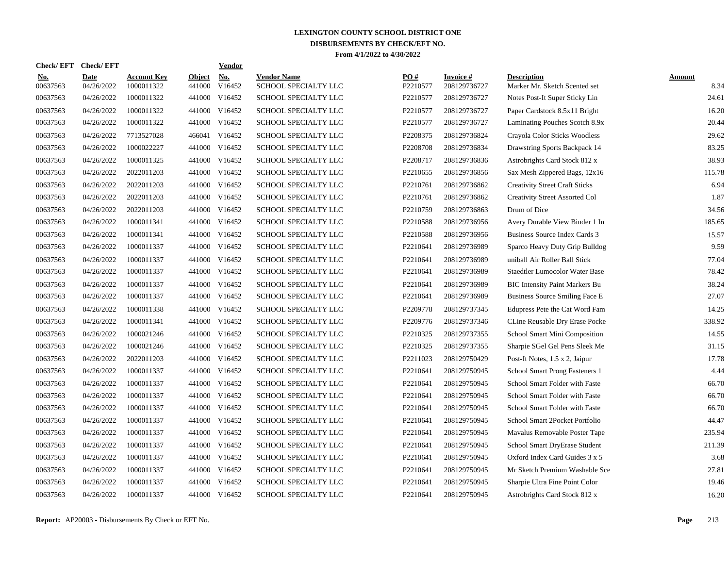| <b>Check/EFT</b>       | <b>Check/EFT</b>          |                           |                         | <b>Vendor</b> |                                            |                 |                                  |                                                     |                       |
|------------------------|---------------------------|---------------------------|-------------------------|---------------|--------------------------------------------|-----------------|----------------------------------|-----------------------------------------------------|-----------------------|
| <u>No.</u><br>00637563 | <b>Date</b><br>04/26/2022 | Account Kev<br>1000011322 | <b>Object</b><br>441000 | No.<br>V16452 | <b>Vendor Name</b><br>SCHOOL SPECIALTY LLC | PO#<br>P2210577 | <b>Invoice</b> #<br>208129736727 | <b>Description</b><br>Marker Mr. Sketch Scented set | <b>Amount</b><br>8.34 |
| 00637563               | 04/26/2022                | 1000011322                | 441000                  | V16452        | SCHOOL SPECIALTY LLC                       | P2210577        | 208129736727                     | Notes Post-It Super Sticky Lin                      | 24.61                 |
| 00637563               | 04/26/2022                | 1000011322                | 441000                  | V16452        | SCHOOL SPECIALTY LLC                       | P2210577        | 208129736727                     | Paper Cardstock 8.5x11 Bright                       | 16.20                 |
| 00637563               | 04/26/2022                | 1000011322                |                         | 441000 V16452 | SCHOOL SPECIALTY LLC                       | P2210577        | 208129736727                     | Laminating Pouches Scotch 8.9x                      | 20.44                 |
| 00637563               | 04/26/2022                | 7713527028                | 466041                  | V16452        | SCHOOL SPECIALTY LLC                       | P2208375        | 208129736824                     | Crayola Color Sticks Woodless                       | 29.62                 |
| 00637563               | 04/26/2022                | 1000022227                |                         | 441000 V16452 | SCHOOL SPECIALTY LLC                       | P2208708        | 208129736834                     | Drawstring Sports Backpack 14                       | 83.25                 |
| 00637563               | 04/26/2022                | 1000011325                | 441000                  | V16452        | SCHOOL SPECIALTY LLC                       | P2208717        | 208129736836                     | Astrobrights Card Stock 812 x                       | 38.93                 |
| 00637563               | 04/26/2022                | 2022011203                | 441000                  | V16452        | SCHOOL SPECIALTY LLC                       | P2210655        | 208129736856                     | Sax Mesh Zippered Bags, 12x16                       | 115.78                |
| 00637563               | 04/26/2022                | 2022011203                | 441000                  | V16452        | SCHOOL SPECIALTY LLC                       | P2210761        | 208129736862                     | <b>Creativity Street Craft Sticks</b>               | 6.94                  |
| 00637563               | 04/26/2022                | 2022011203                | 441000                  | V16452        | SCHOOL SPECIALTY LLC                       | P2210761        | 208129736862                     | <b>Creativity Street Assorted Col</b>               | 1.87                  |
| 00637563               | 04/26/2022                | 2022011203                | 441000                  | V16452        | SCHOOL SPECIALTY LLC                       | P2210759        | 208129736863                     | Drum of Dice                                        | 34.56                 |
| 00637563               | 04/26/2022                | 1000011341                |                         | 441000 V16452 | SCHOOL SPECIALTY LLC                       | P2210588        | 208129736956                     | Avery Durable View Binder 1 In                      | 185.65                |
| 00637563               | 04/26/2022                | 1000011341                |                         | 441000 V16452 | SCHOOL SPECIALTY LLC                       | P2210588        | 208129736956                     | Business Source Index Cards 3                       | 15.57                 |
| 00637563               | 04/26/2022                | 1000011337                |                         | 441000 V16452 | SCHOOL SPECIALTY LLC                       | P2210641        | 208129736989                     | Sparco Heavy Duty Grip Bulldog                      | 9.59                  |
| 00637563               | 04/26/2022                | 1000011337                | 441000                  | V16452        | SCHOOL SPECIALTY LLC                       | P2210641        | 208129736989                     | uniball Air Roller Ball Stick                       | 77.04                 |
| 00637563               | 04/26/2022                | 1000011337                | 441000                  | V16452        | SCHOOL SPECIALTY LLC                       | P2210641        | 208129736989                     | Staedtler Lumocolor Water Base                      | 78.42                 |
| 00637563               | 04/26/2022                | 1000011337                | 441000                  | V16452        | <b>SCHOOL SPECIALTY LLC</b>                | P2210641        | 208129736989                     | <b>BIC Intensity Paint Markers Bu</b>               | 38.24                 |
| 00637563               | 04/26/2022                | 1000011337                | 441000                  | V16452        | SCHOOL SPECIALTY LLC                       | P2210641        | 208129736989                     | Business Source Smiling Face E                      | 27.07                 |
| 00637563               | 04/26/2022                | 1000011338                | 441000                  | V16452        | SCHOOL SPECIALTY LLC                       | P2209778        | 208129737345                     | Edupress Pete the Cat Word Fam                      | 14.25                 |
| 00637563               | 04/26/2022                | 1000011341                |                         | 441000 V16452 | SCHOOL SPECIALTY LLC                       | P2209776        | 208129737346                     | CLine Reusable Dry Erase Pocke                      | 338.92                |
| 00637563               | 04/26/2022                | 1000021246                |                         | 441000 V16452 | SCHOOL SPECIALTY LLC                       | P2210325        | 208129737355                     | School Smart Mini Composition                       | 14.55                 |
| 00637563               | 04/26/2022                | 1000021246                |                         | 441000 V16452 | SCHOOL SPECIALTY LLC                       | P2210325        | 208129737355                     | Sharpie SGel Gel Pens Sleek Me                      | 31.15                 |
| 00637563               | 04/26/2022                | 2022011203                |                         | 441000 V16452 | SCHOOL SPECIALTY LLC                       | P2211023        | 208129750429                     | Post-It Notes, 1.5 x 2, Jaipur                      | 17.78                 |
| 00637563               | 04/26/2022                | 1000011337                | 441000                  | V16452        | SCHOOL SPECIALTY LLC                       | P2210641        | 208129750945                     | School Smart Prong Fasteners 1                      | 4.44                  |
| 00637563               | 04/26/2022                | 1000011337                |                         | 441000 V16452 | SCHOOL SPECIALTY LLC                       | P2210641        | 208129750945                     | School Smart Folder with Faste                      | 66.70                 |
| 00637563               | 04/26/2022                | 1000011337                | 441000                  | V16452        | SCHOOL SPECIALTY LLC                       | P2210641        | 208129750945                     | School Smart Folder with Faste                      | 66.70                 |
| 00637563               | 04/26/2022                | 1000011337                | 441000                  | V16452        | <b>SCHOOL SPECIALTY LLC</b>                | P2210641        | 208129750945                     | School Smart Folder with Faste                      | 66.70                 |
| 00637563               | 04/26/2022                | 1000011337                |                         | 441000 V16452 | SCHOOL SPECIALTY LLC                       | P2210641        | 208129750945                     | School Smart 2Pocket Portfolio                      | 44.47                 |
| 00637563               | 04/26/2022                | 1000011337                |                         | 441000 V16452 | SCHOOL SPECIALTY LLC                       | P2210641        | 208129750945                     | Mavalus Removable Poster Tape                       | 235.94                |
| 00637563               | 04/26/2022                | 1000011337                |                         | 441000 V16452 | SCHOOL SPECIALTY LLC                       | P2210641        | 208129750945                     | School Smart DryErase Student                       | 211.39                |
| 00637563               | 04/26/2022                | 1000011337                |                         | 441000 V16452 | SCHOOL SPECIALTY LLC                       | P2210641        | 208129750945                     | Oxford Index Card Guides 3 x 5                      | 3.68                  |
| 00637563               | 04/26/2022                | 1000011337                |                         | 441000 V16452 | SCHOOL SPECIALTY LLC                       | P2210641        | 208129750945                     | Mr Sketch Premium Washable Sce                      | 27.81                 |
| 00637563               | 04/26/2022                | 1000011337                | 441000                  | V16452        | SCHOOL SPECIALTY LLC                       | P2210641        | 208129750945                     | Sharpie Ultra Fine Point Color                      | 19.46                 |
| 00637563               | 04/26/2022                | 1000011337                |                         | 441000 V16452 | SCHOOL SPECIALTY LLC                       | P2210641        | 208129750945                     | Astrobrights Card Stock 812 x                       | 16.20                 |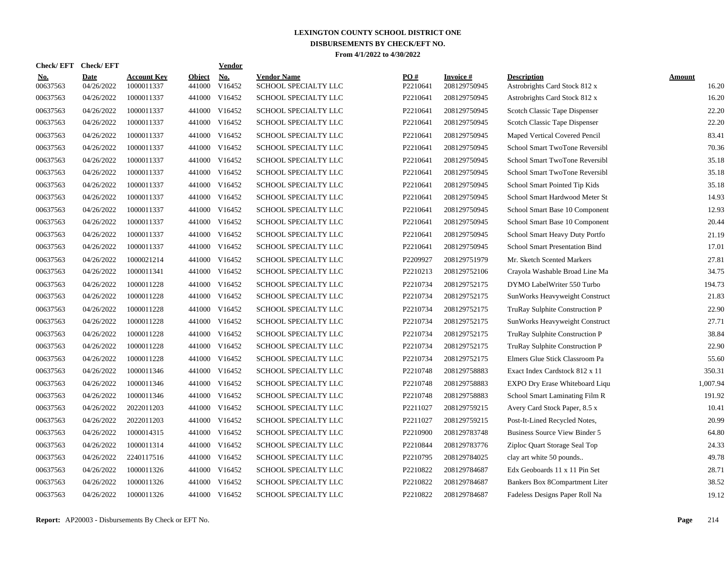| Check/ EFT             | <b>Check/EFT</b>          |                                  |                         | <b>Vendor</b>                       |                                            |                 |                           |                                                     |                 |
|------------------------|---------------------------|----------------------------------|-------------------------|-------------------------------------|--------------------------------------------|-----------------|---------------------------|-----------------------------------------------------|-----------------|
| <u>No.</u><br>00637563 | <b>Date</b><br>04/26/2022 | <b>Account Key</b><br>1000011337 | <b>Object</b><br>441000 | $\underline{\text{No}}$ .<br>V16452 | <b>Vendor Name</b><br>SCHOOL SPECIALTY LLC | PO#<br>P2210641 | Invoice #<br>208129750945 | <b>Description</b><br>Astrobrights Card Stock 812 x | Amount<br>16.20 |
| 00637563               | 04/26/2022                | 1000011337                       | 441000                  | V16452                              | SCHOOL SPECIALTY LLC                       | P2210641        | 208129750945              | Astrobrights Card Stock 812 x                       | 16.20           |
| 00637563               | 04/26/2022                | 1000011337                       | 441000                  | V16452                              | SCHOOL SPECIALTY LLC                       | P2210641        | 208129750945              | Scotch Classic Tape Dispenser                       | 22.20           |
| 00637563               | 04/26/2022                | 1000011337                       |                         | 441000 V16452                       | SCHOOL SPECIALTY LLC                       | P2210641        | 208129750945              | Scotch Classic Tape Dispenser                       | 22.20           |
| 00637563               | 04/26/2022                | 1000011337                       |                         | 441000 V16452                       | SCHOOL SPECIALTY LLC                       | P2210641        | 208129750945              | Maped Vertical Covered Pencil                       | 83.41           |
| 00637563               | 04/26/2022                | 1000011337                       |                         | 441000 V16452                       | SCHOOL SPECIALTY LLC                       | P2210641        | 208129750945              | School Smart TwoTone Reversibl                      | 70.36           |
| 00637563               | 04/26/2022                | 1000011337                       | 441000                  | V16452                              | SCHOOL SPECIALTY LLC                       | P2210641        | 208129750945              | School Smart TwoTone Reversibl                      | 35.18           |
| 00637563               | 04/26/2022                | 1000011337                       | 441000                  | V16452                              | SCHOOL SPECIALTY LLC                       | P2210641        | 208129750945              | School Smart TwoTone Reversibl                      | 35.18           |
| 00637563               | 04/26/2022                | 1000011337                       | 441000                  | V16452                              | SCHOOL SPECIALTY LLC                       | P2210641        | 208129750945              | School Smart Pointed Tip Kids                       | 35.18           |
| 00637563               | 04/26/2022                | 1000011337                       | 441000                  | V16452                              | SCHOOL SPECIALTY LLC                       | P2210641        | 208129750945              | School Smart Hardwood Meter St                      | 14.93           |
| 00637563               | 04/26/2022                | 1000011337                       | 441000                  | V16452                              | SCHOOL SPECIALTY LLC                       | P2210641        | 208129750945              | School Smart Base 10 Component                      | 12.93           |
| 00637563               | 04/26/2022                | 1000011337                       |                         | 441000 V16452                       | SCHOOL SPECIALTY LLC                       | P2210641        | 208129750945              | School Smart Base 10 Component                      | 20.44           |
| 00637563               | 04/26/2022                | 1000011337                       |                         | 441000 V16452                       | SCHOOL SPECIALTY LLC                       | P2210641        | 208129750945              | School Smart Heavy Duty Portfo                      | 21.19           |
| 00637563               | 04/26/2022                | 1000011337                       |                         | 441000 V16452                       | SCHOOL SPECIALTY LLC                       | P2210641        | 208129750945              | <b>School Smart Presentation Bind</b>               | 17.01           |
| 00637563               | 04/26/2022                | 1000021214                       | 441000                  | V16452                              | SCHOOL SPECIALTY LLC                       | P2209927        | 208129751979              | Mr. Sketch Scented Markers                          | 27.81           |
| 00637563               | 04/26/2022                | 1000011341                       | 441000                  | V16452                              | SCHOOL SPECIALTY LLC                       | P2210213        | 208129752106              | Crayola Washable Broad Line Ma                      | 34.75           |
| 00637563               | 04/26/2022                | 1000011228                       | 441000                  | V16452                              | <b>SCHOOL SPECIALTY LLC</b>                | P2210734        | 208129752175              | DYMO LabelWriter 550 Turbo                          | 194.73          |
| 00637563               | 04/26/2022                | 1000011228                       | 441000                  | V16452                              | SCHOOL SPECIALTY LLC                       | P2210734        | 208129752175              | SunWorks Heavyweight Construct                      | 21.83           |
| 00637563               | 04/26/2022                | 1000011228                       | 441000                  | V16452                              | SCHOOL SPECIALTY LLC                       | P2210734        | 208129752175              | TruRay Sulphite Construction P                      | 22.90           |
| 00637563               | 04/26/2022                | 1000011228                       |                         | 441000 V16452                       | SCHOOL SPECIALTY LLC                       | P2210734        | 208129752175              | SunWorks Heavyweight Construct                      | 27.71           |
| 00637563               | 04/26/2022                | 1000011228                       | 441000                  | V16452                              | SCHOOL SPECIALTY LLC                       | P2210734        | 208129752175              | TruRay Sulphite Construction P                      | 38.84           |
| 00637563               | 04/26/2022                | 1000011228                       |                         | 441000 V16452                       | SCHOOL SPECIALTY LLC                       | P2210734        | 208129752175              | TruRay Sulphite Construction P                      | 22.90           |
| 00637563               | 04/26/2022                | 1000011228                       | 441000                  | V16452                              | SCHOOL SPECIALTY LLC                       | P2210734        | 208129752175              | Elmers Glue Stick Classroom Pa                      | 55.60           |
| 00637563               | 04/26/2022                | 1000011346                       | 441000                  | V16452                              | SCHOOL SPECIALTY LLC                       | P2210748        | 208129758883              | Exact Index Cardstock 812 x 11                      | 350.31          |
| 00637563               | 04/26/2022                | 1000011346                       | 441000                  | V16452                              | SCHOOL SPECIALTY LLC                       | P2210748        | 208129758883              | EXPO Dry Erase Whiteboard Liqu                      | 1.007.94        |
| 00637563               | 04/26/2022                | 1000011346                       | 441000                  | V16452                              | SCHOOL SPECIALTY LLC                       | P2210748        | 208129758883              | School Smart Laminating Film R                      | 191.92          |
| 00637563               | 04/26/2022                | 2022011203                       | 441000                  | V16452                              | SCHOOL SPECIALTY LLC                       | P2211027        | 208129759215              | Avery Card Stock Paper, 8.5 x                       | 10.41           |
| 00637563               | 04/26/2022                | 2022011203                       | 441000                  | V16452                              | SCHOOL SPECIALTY LLC                       | P2211027        | 208129759215              | Post-It-Lined Recycled Notes,                       | 20.99           |
| 00637563               | 04/26/2022                | 1000014315                       |                         | 441000 V16452                       | SCHOOL SPECIALTY LLC                       | P2210900        | 208129783748              | <b>Business Source View Binder 5</b>                | 64.80           |
| 00637563               | 04/26/2022                | 1000011314                       |                         | 441000 V16452                       | SCHOOL SPECIALTY LLC                       | P2210844        | 208129783776              | Ziploc Quart Storage Seal Top                       | 24.33           |
| 00637563               | 04/26/2022                | 2240117516                       |                         | 441000 V16452                       | SCHOOL SPECIALTY LLC                       | P2210795        | 208129784025              | clay art white 50 pounds                            | 49.78           |
| 00637563               | 04/26/2022                | 1000011326                       |                         | 441000 V16452                       | SCHOOL SPECIALTY LLC                       | P2210822        | 208129784687              | Edx Geoboards 11 x 11 Pin Set                       | 28.71           |
| 00637563               | 04/26/2022                | 1000011326                       | 441000                  | V16452                              | SCHOOL SPECIALTY LLC                       | P2210822        | 208129784687              | Bankers Box 8Compartment Liter                      | 38.52           |
| 00637563               | 04/26/2022                | 1000011326                       |                         | 441000 V16452                       | SCHOOL SPECIALTY LLC                       | P2210822        | 208129784687              | Fadeless Designs Paper Roll Na                      | 19.12           |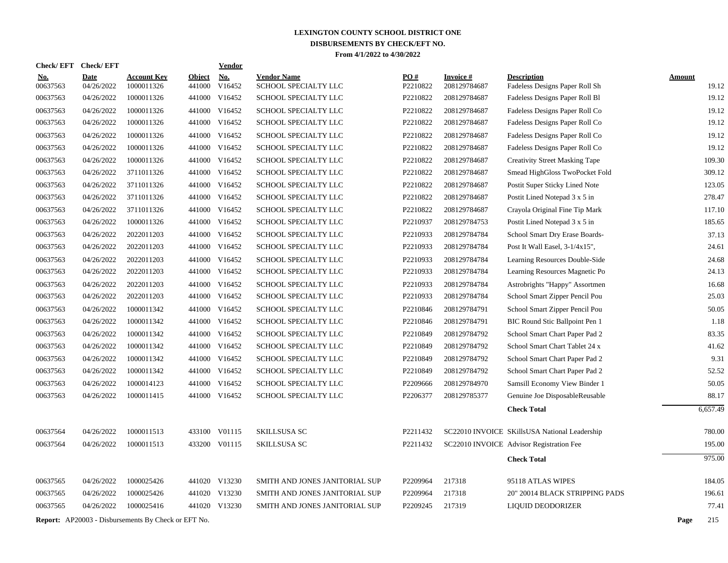| <b>Check/EFT</b> | <b>Check/EFT</b> |                                                            |               | <b>Vendor</b> |                                |          |                 |                                               |               |
|------------------|------------------|------------------------------------------------------------|---------------|---------------|--------------------------------|----------|-----------------|-----------------------------------------------|---------------|
| <u>No.</u>       | <b>Date</b>      | <b>Account Key</b>                                         | <b>Object</b> | <b>No.</b>    | <b>Vendor Name</b>             | PO#      | <b>Invoice#</b> | <b>Description</b>                            | <b>Amount</b> |
| 00637563         | 04/26/2022       | 1000011326                                                 |               | 441000 V16452 | SCHOOL SPECIALTY LLC           | P2210822 | 208129784687    | Fadeless Designs Paper Roll Sh                | 19.12         |
| 00637563         | 04/26/2022       | 1000011326                                                 |               | 441000 V16452 | SCHOOL SPECIALTY LLC           | P2210822 | 208129784687    | Fadeless Designs Paper Roll Bl                | 19.12         |
| 00637563         | 04/26/2022       | 1000011326                                                 |               | 441000 V16452 | SCHOOL SPECIALTY LLC           | P2210822 | 208129784687    | Fadeless Designs Paper Roll Co                | 19.12         |
| 00637563         | 04/26/2022       | 1000011326                                                 |               | 441000 V16452 | SCHOOL SPECIALTY LLC           | P2210822 | 208129784687    | Fadeless Designs Paper Roll Co                | 19.12         |
| 00637563         | 04/26/2022       | 1000011326                                                 |               | 441000 V16452 | SCHOOL SPECIALTY LLC           | P2210822 | 208129784687    | Fadeless Designs Paper Roll Co                | 19.12         |
| 00637563         | 04/26/2022       | 1000011326                                                 |               | 441000 V16452 | SCHOOL SPECIALTY LLC           | P2210822 | 208129784687    | Fadeless Designs Paper Roll Co                | 19.12         |
| 00637563         | 04/26/2022       | 1000011326                                                 |               | 441000 V16452 | SCHOOL SPECIALTY LLC           | P2210822 | 208129784687    | <b>Creativity Street Masking Tape</b>         | 109.30        |
| 00637563         | 04/26/2022       | 3711011326                                                 |               | 441000 V16452 | SCHOOL SPECIALTY LLC           | P2210822 | 208129784687    | Smead HighGloss TwoPocket Fold                | 309.12        |
| 00637563         | 04/26/2022       | 3711011326                                                 |               | 441000 V16452 | SCHOOL SPECIALTY LLC           | P2210822 | 208129784687    | Postit Super Sticky Lined Note                | 123.05        |
| 00637563         | 04/26/2022       | 3711011326                                                 |               | 441000 V16452 | SCHOOL SPECIALTY LLC           | P2210822 | 208129784687    | Postit Lined Notepad 3 x 5 in                 | 278.47        |
| 00637563         | 04/26/2022       | 3711011326                                                 |               | 441000 V16452 | SCHOOL SPECIALTY LLC           | P2210822 | 208129784687    | Crayola Original Fine Tip Mark                | 117.10        |
| 00637563         | 04/26/2022       | 1000011326                                                 |               | 441000 V16452 | SCHOOL SPECIALTY LLC           | P2210937 | 208129784753    | Postit Lined Notepad 3 x 5 in                 | 185.65        |
| 00637563         | 04/26/2022       | 2022011203                                                 |               | 441000 V16452 | <b>SCHOOL SPECIALTY LLC</b>    | P2210933 | 208129784784    | School Smart Dry Erase Boards-                | 37.13         |
| 00637563         | 04/26/2022       | 2022011203                                                 |               | 441000 V16452 | SCHOOL SPECIALTY LLC           | P2210933 | 208129784784    | Post It Wall Easel, 3-1/4x15",                | 24.61         |
| 00637563         | 04/26/2022       | 2022011203                                                 |               | 441000 V16452 | SCHOOL SPECIALTY LLC           | P2210933 | 208129784784    | Learning Resources Double-Side                | 24.68         |
| 00637563         | 04/26/2022       | 2022011203                                                 |               | 441000 V16452 | SCHOOL SPECIALTY LLC           | P2210933 | 208129784784    | Learning Resources Magnetic Po                | 24.13         |
| 00637563         | 04/26/2022       | 2022011203                                                 |               | 441000 V16452 | <b>SCHOOL SPECIALTY LLC</b>    | P2210933 | 208129784784    | Astrobrights "Happy" Assortmen                | 16.68         |
| 00637563         | 04/26/2022       | 2022011203                                                 |               | 441000 V16452 | SCHOOL SPECIALTY LLC           | P2210933 | 208129784784    | School Smart Zipper Pencil Pou                | 25.03         |
| 00637563         | 04/26/2022       | 1000011342                                                 |               | 441000 V16452 | SCHOOL SPECIALTY LLC           | P2210846 | 208129784791    | School Smart Zipper Pencil Pou                | 50.05         |
| 00637563         | 04/26/2022       | 1000011342                                                 |               | 441000 V16452 | SCHOOL SPECIALTY LLC           | P2210846 | 208129784791    | BIC Round Stic Ballpoint Pen 1                | 1.18          |
| 00637563         | 04/26/2022       | 1000011342                                                 |               | 441000 V16452 | SCHOOL SPECIALTY LLC           | P2210849 | 208129784792    | School Smart Chart Paper Pad 2                | 83.35         |
| 00637563         | 04/26/2022       | 1000011342                                                 |               | 441000 V16452 | SCHOOL SPECIALTY LLC           | P2210849 | 208129784792    | School Smart Chart Tablet 24 x                | 41.62         |
| 00637563         | 04/26/2022       | 1000011342                                                 |               | 441000 V16452 | SCHOOL SPECIALTY LLC           | P2210849 | 208129784792    | School Smart Chart Paper Pad 2                | 9.31          |
| 00637563         | 04/26/2022       | 1000011342                                                 |               | 441000 V16452 | SCHOOL SPECIALTY LLC           | P2210849 | 208129784792    | School Smart Chart Paper Pad 2                | 52.52         |
| 00637563         | 04/26/2022       | 1000014123                                                 |               | 441000 V16452 | SCHOOL SPECIALTY LLC           | P2209666 | 208129784970    | Samsill Economy View Binder 1                 | 50.05         |
| 00637563         | 04/26/2022       | 1000011415                                                 |               | 441000 V16452 | SCHOOL SPECIALTY LLC           | P2206377 | 208129785377    | Genuine Joe DisposableReusable                | 88.17         |
|                  |                  |                                                            |               |               |                                |          |                 | <b>Check Total</b>                            | 6,657.49      |
|                  |                  |                                                            |               |               |                                |          |                 |                                               |               |
| 00637564         | 04/26/2022       | 1000011513                                                 |               | 433100 V01115 | <b>SKILLSUSA SC</b>            | P2211432 |                 | SC22010 INVOICE SKillsUSA National Leadership | 780.00        |
| 00637564         | 04/26/2022       | 1000011513                                                 |               | 433200 V01115 | <b>SKILLSUSA SC</b>            | P2211432 |                 | SC22010 INVOICE Advisor Registration Fee      | 195.00        |
|                  |                  |                                                            |               |               |                                |          |                 | <b>Check Total</b>                            | 975.00        |
| 00637565         | 04/26/2022       | 1000025426                                                 |               | 441020 V13230 | SMITH AND JONES JANITORIAL SUP | P2209964 | 217318          | 95118 ATLAS WIPES                             | 184.05        |
| 00637565         | 04/26/2022       | 1000025426                                                 |               | 441020 V13230 | SMITH AND JONES JANITORIAL SUP | P2209964 | 217318          | 20" 20014 BLACK STRIPPING PADS                | 196.61        |
| 00637565         | 04/26/2022       | 1000025416                                                 |               | 441020 V13230 | SMITH AND JONES JANITORIAL SUP | P2209245 | 217319          | LIQUID DEODORIZER                             | 77.41         |
|                  |                  | <b>Report:</b> AP20003 - Disbursements By Check or EFT No. |               |               |                                |          |                 |                                               | Page<br>215   |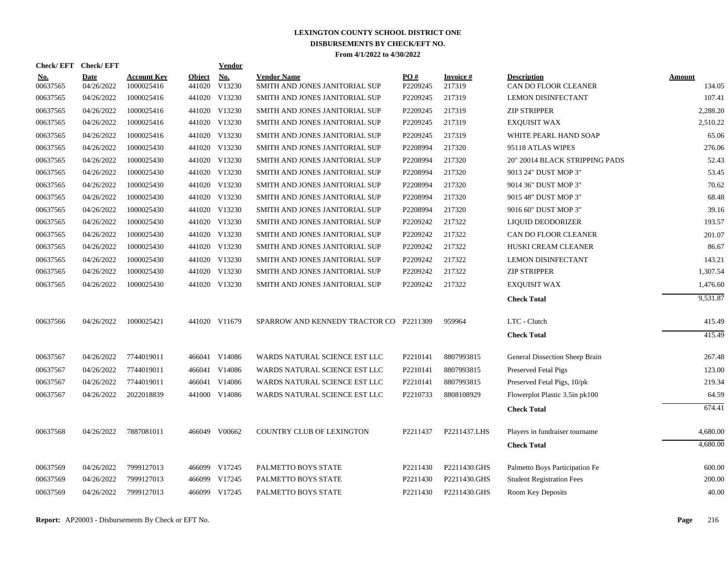| <b>Check/EFT</b>       | <b>Check/EFT</b>          |                                  |               | <b>Vendor</b>        |                                                      |                 |                     |                                            |                  |
|------------------------|---------------------------|----------------------------------|---------------|----------------------|------------------------------------------------------|-----------------|---------------------|--------------------------------------------|------------------|
| <u>No.</u><br>00637565 | <b>Date</b><br>04/26/2022 | <b>Account Kev</b><br>1000025416 | <b>Object</b> | No.<br>441020 V13230 | <b>Vendor Name</b><br>SMITH AND JONES JANITORIAL SUP | PO#<br>P2209245 | Invoice #<br>217319 | <b>Description</b><br>CAN DO FLOOR CLEANER | Amount<br>134.05 |
| 00637565               | 04/26/2022                | 1000025416                       |               | 441020 V13230        | SMITH AND JONES JANITORIAL SUP                       | P2209245        | 217319              | <b>LEMON DISINFECTANT</b>                  | 107.41           |
| 00637565               | 04/26/2022                | 1000025416                       |               | 441020 V13230        | SMITH AND JONES JANITORIAL SUP                       | P2209245        | 217319              | <b>ZIP STRIPPER</b>                        | 2,288.20         |
| 00637565               | 04/26/2022                | 1000025416                       |               | 441020 V13230        | SMITH AND JONES JANITORIAL SUP                       | P2209245        | 217319              | <b>EXQUISIT WAX</b>                        | 2,510.22         |
| 00637565               | 04/26/2022                | 1000025416                       |               | 441020 V13230        | SMITH AND JONES JANITORIAL SUP                       | P2209245        | 217319              | WHITE PEARL HAND SOAP                      | 65.06            |
| 00637565               | 04/26/2022                | 1000025430                       |               | 441020 V13230        | SMITH AND JONES JANITORIAL SUP                       | P2208994        | 217320              | 95118 ATLAS WIPES                          | 276.06           |
| 00637565               | 04/26/2022                | 1000025430                       |               | 441020 V13230        | SMITH AND JONES JANITORIAL SUP                       | P2208994        | 217320              | 20" 20014 BLACK STRIPPING PADS             | 52.43            |
| 00637565               | 04/26/2022                | 1000025430                       |               | 441020 V13230        | SMITH AND JONES JANITORIAL SUP                       | P2208994        | 217320              | 9013 24" DUST MOP 3"                       | 53.45            |
| 00637565               | 04/26/2022                | 1000025430                       |               | 441020 V13230        | SMITH AND JONES JANITORIAL SUP                       | P2208994        | 217320              | 9014 36" DUST MOP 3"                       | 70.62            |
| 00637565               | 04/26/2022                | 1000025430                       |               | 441020 V13230        | SMITH AND JONES JANITORIAL SUP                       | P2208994        | 217320              | 9015 48" DUST MOP 3"                       | 68.48            |
| 00637565               | 04/26/2022                | 1000025430                       |               | 441020 V13230        | SMITH AND JONES JANITORIAL SUP                       | P2208994        | 217320              | 9016 60" DUST MOP 3"                       | 39.16            |
| 00637565               | 04/26/2022                | 1000025430                       |               | 441020 V13230        | SMITH AND JONES JANITORIAL SUP                       | P2209242        | 217322              | LIQUID DEODORIZER                          | 193.57           |
| 00637565               | 04/26/2022                | 1000025430                       | 441020 V13230 |                      | SMITH AND JONES JANITORIAL SUP                       | P2209242        | 217322              | CAN DO FLOOR CLEANER                       | 201.07           |
| 00637565               | 04/26/2022                | 1000025430                       | 441020 V13230 |                      | SMITH AND JONES JANITORIAL SUP                       | P2209242        | 217322              | HUSKI CREAM CLEANER                        | 86.67            |
| 00637565               | 04/26/2022                | 1000025430                       |               | 441020 V13230        | SMITH AND JONES JANITORIAL SUP                       | P2209242        | 217322              | <b>LEMON DISINFECTANT</b>                  | 143.21           |
| 00637565               | 04/26/2022                | 1000025430                       |               | 441020 V13230        | SMITH AND JONES JANITORIAL SUP                       | P2209242        | 217322              | <b>ZIP STRIPPER</b>                        | 1,307.54         |
| 00637565               | 04/26/2022                | 1000025430                       |               | 441020 V13230        | SMITH AND JONES JANITORIAL SUP                       | P2209242        | 217322              | <b>EXQUISIT WAX</b>                        | 1,476.60         |
|                        |                           |                                  |               |                      |                                                      |                 |                     | <b>Check Total</b>                         | 9,531.87         |
| 00637566               | 04/26/2022                | 1000025421                       |               | 441020 V11679        | SPARROW AND KENNEDY TRACTOR CO P2211309              |                 | 959964              | LTC - Clutch                               | 415.49           |
|                        |                           |                                  |               |                      |                                                      |                 |                     | <b>Check Total</b>                         | 415.49           |
| 00637567               | 04/26/2022                | 7744019011                       |               | 466041 V14086        | WARDS NATURAL SCIENCE EST LLC                        | P2210141        | 8807993815          | General Dissection Sheep Brain             | 267.48           |
| 00637567               | 04/26/2022                | 7744019011                       |               | 466041 V14086        | WARDS NATURAL SCIENCE EST LLC                        | P2210141        | 8807993815          | Preserved Fetal Pigs                       | 123.00           |
| 00637567               | 04/26/2022                | 7744019011                       |               | 466041 V14086        | WARDS NATURAL SCIENCE EST LLC                        | P2210141        | 8807993815          | Preserved Fetal Pigs, 10/pk                | 219.34           |
| 00637567               | 04/26/2022                | 2022018839                       |               | 441000 V14086        | WARDS NATURAL SCIENCE EST LLC                        | P2210733        | 8808108929          | Flowerplot Plastic 3.5in pk100             | 64.59            |
|                        |                           |                                  |               |                      |                                                      |                 |                     | <b>Check Total</b>                         | 674.41           |
| 00637568               | 04/26/2022                | 7887081011                       |               | 466049 V00662        | COUNTRY CLUB OF LEXINGTON                            | P2211437        | P2211437.LHS        | Players in fundraiser tourname             | 4,680.00         |
|                        |                           |                                  |               |                      |                                                      |                 |                     | <b>Check Total</b>                         | 4,680.00         |
| 00637569               | 04/26/2022                | 7999127013                       |               | 466099 V17245        | PALMETTO BOYS STATE                                  | P2211430        | P2211430.GHS        | Palmetto Boys Participation Fe             | 600.00           |
| 00637569               | 04/26/2022                | 7999127013                       |               | 466099 V17245        | PALMETTO BOYS STATE                                  | P2211430        | P2211430.GHS        | <b>Student Registration Fees</b>           | 200.00           |
| 00637569               | 04/26/2022                | 7999127013                       |               | 466099 V17245        | PALMETTO BOYS STATE                                  | P2211430        | P2211430.GHS        | Room Key Deposits                          | 40.00            |
|                        |                           |                                  |               |                      |                                                      |                 |                     |                                            |                  |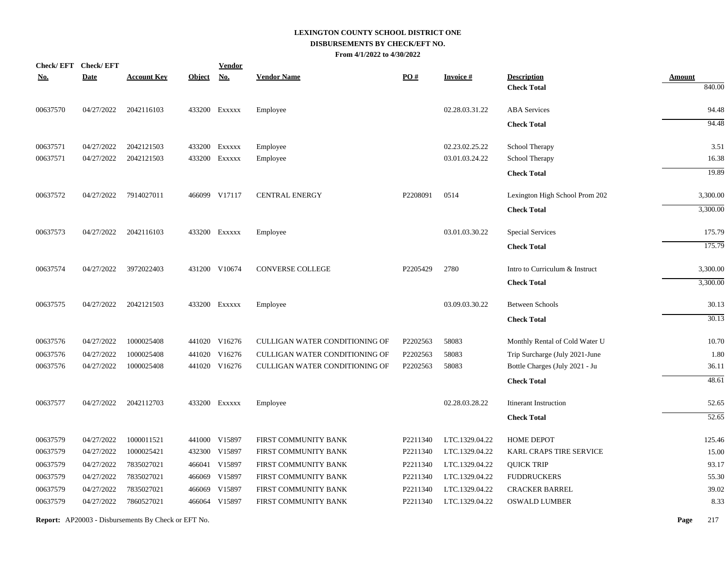| <b>Check/EFT</b> | <b>Check/EFT</b> |                    |               | <b>Vendor</b> |                                |                   |                 |                                |               |
|------------------|------------------|--------------------|---------------|---------------|--------------------------------|-------------------|-----------------|--------------------------------|---------------|
| <u>No.</u>       | <b>Date</b>      | <u>Account Key</u> | <b>Object</b> | <u>No.</u>    | <b>Vendor Name</b>             | $\underline{PO#}$ | <b>Invoice#</b> | <b>Description</b>             | <b>Amount</b> |
|                  |                  |                    |               |               |                                |                   |                 | <b>Check Total</b>             | 840.00        |
| 00637570         | 04/27/2022       | 2042116103         |               | 433200 Exxxxx | Employee                       |                   | 02.28.03.31.22  | <b>ABA</b> Services            | 94.48         |
|                  |                  |                    |               |               |                                |                   |                 | <b>Check Total</b>             | 94.48         |
| 00637571         | 04/27/2022       | 2042121503         |               | 433200 Exxxxx | Employee                       |                   | 02.23.02.25.22  | School Therapy                 | 3.51          |
| 00637571         | 04/27/2022       | 2042121503         |               | 433200 Exxxxx | Employee                       |                   | 03.01.03.24.22  | School Therapy                 | 16.38         |
|                  |                  |                    |               |               |                                |                   |                 | <b>Check Total</b>             | 19.89         |
| 00637572         | 04/27/2022       | 7914027011         |               | 466099 V17117 | <b>CENTRAL ENERGY</b>          | P2208091          | 0514            | Lexington High School Prom 202 | 3,300.00      |
|                  |                  |                    |               |               |                                |                   |                 | <b>Check Total</b>             | 3,300.00      |
| 00637573         | 04/27/2022       | 2042116103         |               | 433200 Exxxxx | Employee                       |                   | 03.01.03.30.22  | Special Services               | 175.79        |
|                  |                  |                    |               |               |                                |                   |                 | <b>Check Total</b>             | 175.79        |
| 00637574         | 04/27/2022       | 3972022403         |               | 431200 V10674 | CONVERSE COLLEGE               | P2205429          | 2780            | Intro to Curriculum & Instruct | 3,300.00      |
|                  |                  |                    |               |               |                                |                   |                 | <b>Check Total</b>             | 3,300.00      |
| 00637575         | 04/27/2022       | 2042121503         |               | 433200 Exxxxx | Employee                       |                   | 03.09.03.30.22  | <b>Between Schools</b>         | 30.13         |
|                  |                  |                    |               |               |                                |                   |                 | <b>Check Total</b>             | 30.13         |
| 00637576         | 04/27/2022       | 1000025408         |               | 441020 V16276 | CULLIGAN WATER CONDITIONING OF | P2202563          | 58083           | Monthly Rental of Cold Water U | 10.70         |
| 00637576         | 04/27/2022       | 1000025408         |               | 441020 V16276 | CULLIGAN WATER CONDITIONING OF | P2202563          | 58083           | Trip Surcharge (July 2021-June | 1.80          |
| 00637576         | 04/27/2022       | 1000025408         |               | 441020 V16276 | CULLIGAN WATER CONDITIONING OF | P2202563          | 58083           | Bottle Charges (July 2021 - Ju | 36.11         |
|                  |                  |                    |               |               |                                |                   |                 | <b>Check Total</b>             | 48.61         |
| 00637577         | 04/27/2022       | 2042112703         |               | 433200 Exxxxx | Employee                       |                   | 02.28.03.28.22  | <b>Itinerant Instruction</b>   | 52.65         |
|                  |                  |                    |               |               |                                |                   |                 | <b>Check Total</b>             | 52.65         |
| 00637579         | 04/27/2022       | 1000011521         |               | 441000 V15897 | FIRST COMMUNITY BANK           | P2211340          | LTC.1329.04.22  | HOME DEPOT                     | 125.46        |
| 00637579         | 04/27/2022       | 1000025421         |               | 432300 V15897 | FIRST COMMUNITY BANK           | P2211340          | LTC.1329.04.22  | KARL CRAPS TIRE SERVICE        | 15.00         |
| 00637579         | 04/27/2022       | 7835027021         |               | 466041 V15897 | FIRST COMMUNITY BANK           | P2211340          | LTC.1329.04.22  | <b>QUICK TRIP</b>              | 93.17         |
| 00637579         | 04/27/2022       | 7835027021         |               | 466069 V15897 | FIRST COMMUNITY BANK           | P2211340          | LTC.1329.04.22  | <b>FUDDRUCKERS</b>             | 55.30         |
| 00637579         | 04/27/2022       | 7835027021         |               | 466069 V15897 | FIRST COMMUNITY BANK           | P2211340          | LTC.1329.04.22  | <b>CRACKER BARREL</b>          | 39.02         |
| 00637579         | 04/27/2022       | 7860527021         |               | 466064 V15897 | FIRST COMMUNITY BANK           | P2211340          | LTC.1329.04.22  | <b>OSWALD LUMBER</b>           | 8.33          |
|                  |                  |                    |               |               |                                |                   |                 |                                |               |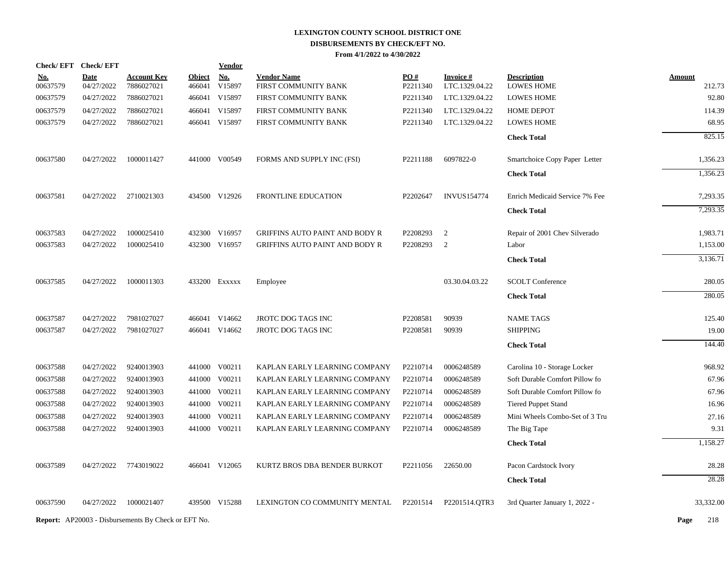|            |          | Check/EFT Check/EFT |                                                            |               | <u>Vendor</u> |                                       |          |                    |                                |               |
|------------|----------|---------------------|------------------------------------------------------------|---------------|---------------|---------------------------------------|----------|--------------------|--------------------------------|---------------|
| <u>No.</u> |          | <b>Date</b>         | <b>Account Key</b>                                         | <b>Object</b> | <b>No.</b>    | <b>Vendor Name</b>                    | PO#      | <b>Invoice#</b>    | <b>Description</b>             | <b>Amount</b> |
|            | 00637579 | 04/27/2022          | 7886027021                                                 | 466041        | V15897        | FIRST COMMUNITY BANK                  | P2211340 | LTC.1329.04.22     | <b>LOWES HOME</b>              | 212.73        |
|            | 00637579 | 04/27/2022          | 7886027021                                                 | 466041        | V15897        | FIRST COMMUNITY BANK                  | P2211340 | LTC.1329.04.22     | <b>LOWES HOME</b>              | 92.80         |
|            | 00637579 | 04/27/2022          | 7886027021                                                 |               | 466041 V15897 | FIRST COMMUNITY BANK                  | P2211340 | LTC.1329.04.22     | <b>HOME DEPOT</b>              | 114.39        |
|            | 00637579 | 04/27/2022          | 7886027021                                                 |               | 466041 V15897 | FIRST COMMUNITY BANK                  | P2211340 | LTC.1329.04.22     | <b>LOWES HOME</b>              | 68.95         |
|            |          |                     |                                                            |               |               |                                       |          |                    | <b>Check Total</b>             | 825.15        |
|            | 00637580 | 04/27/2022          | 1000011427                                                 |               | 441000 V00549 | FORMS AND SUPPLY INC (FSI)            | P2211188 | 6097822-0          | Smartchoice Copy Paper Letter  | 1,356.23      |
|            |          |                     |                                                            |               |               |                                       |          |                    | <b>Check Total</b>             | 1,356.23      |
|            | 00637581 | 04/27/2022          | 2710021303                                                 |               | 434500 V12926 | FRONTLINE EDUCATION                   | P2202647 | <b>INVUS154774</b> | Enrich Medicaid Service 7% Fee | 7,293.35      |
|            |          |                     |                                                            |               |               |                                       |          |                    | <b>Check Total</b>             | 7,293.35      |
|            | 00637583 | 04/27/2022          | 1000025410                                                 |               | 432300 V16957 | <b>GRIFFINS AUTO PAINT AND BODY R</b> | P2208293 | 2                  | Repair of 2001 Chev Silverado  | 1,983.71      |
|            | 00637583 | 04/27/2022          | 1000025410                                                 |               | 432300 V16957 | <b>GRIFFINS AUTO PAINT AND BODY R</b> | P2208293 | 2                  | Labor                          | 1,153.00      |
|            |          |                     |                                                            |               |               |                                       |          |                    | <b>Check Total</b>             | 3,136.71      |
|            | 00637585 | 04/27/2022          | 1000011303                                                 |               | 433200 Exxxxx | Employee                              |          | 03.30.04.03.22     | <b>SCOLT Conference</b>        | 280.05        |
|            |          |                     |                                                            |               |               |                                       |          |                    | <b>Check Total</b>             | 280.05        |
|            | 00637587 | 04/27/2022          | 7981027027                                                 |               | 466041 V14662 | JROTC DOG TAGS INC                    | P2208581 | 90939              | <b>NAME TAGS</b>               | 125.40        |
|            | 00637587 | 04/27/2022          | 7981027027                                                 |               | 466041 V14662 | <b>JROTC DOG TAGS INC</b>             | P2208581 | 90939              | <b>SHIPPING</b>                | 19.00         |
|            |          |                     |                                                            |               |               |                                       |          |                    | <b>Check Total</b>             | 144.40        |
|            | 00637588 | 04/27/2022          | 9240013903                                                 |               | 441000 V00211 | KAPLAN EARLY LEARNING COMPANY         | P2210714 | 0006248589         | Carolina 10 - Storage Locker   | 968.92        |
|            | 00637588 | 04/27/2022          | 9240013903                                                 |               | 441000 V00211 | KAPLAN EARLY LEARNING COMPANY         | P2210714 | 0006248589         | Soft Durable Comfort Pillow fo | 67.96         |
|            | 00637588 | 04/27/2022          | 9240013903                                                 |               | 441000 V00211 | KAPLAN EARLY LEARNING COMPANY         | P2210714 | 0006248589         | Soft Durable Comfort Pillow fo | 67.96         |
|            | 00637588 | 04/27/2022          | 9240013903                                                 |               | 441000 V00211 | KAPLAN EARLY LEARNING COMPANY         | P2210714 | 0006248589         | <b>Tiered Puppet Stand</b>     | 16.96         |
|            | 00637588 | 04/27/2022          | 9240013903                                                 |               | 441000 V00211 | KAPLAN EARLY LEARNING COMPANY         | P2210714 | 0006248589         | Mini Wheels Combo-Set of 3 Tru | 27.16         |
|            | 00637588 | 04/27/2022          | 9240013903                                                 |               | 441000 V00211 | KAPLAN EARLY LEARNING COMPANY         | P2210714 | 0006248589         | The Big Tape                   | 9.31          |
|            |          |                     |                                                            |               |               |                                       |          |                    | <b>Check Total</b>             | 1,158.27      |
|            | 00637589 | 04/27/2022          | 7743019022                                                 |               | 466041 V12065 | KURTZ BROS DBA BENDER BURKOT          | P2211056 | 22650.00           | Pacon Cardstock Ivory          | 28.28         |
|            |          |                     |                                                            |               |               |                                       |          |                    | <b>Check Total</b>             | 28.28         |
|            | 00637590 | 04/27/2022          | 1000021407                                                 |               | 439500 V15288 | LEXINGTON CO COMMUNITY MENTAL         | P2201514 | P2201514.OTR3      | 3rd Quarter January 1, 2022 -  | 33,332.00     |
|            |          |                     | <b>Report:</b> AP20003 - Disbursements By Check or EFT No. |               |               |                                       |          |                    |                                | Page<br>218   |
|            |          |                     |                                                            |               |               |                                       |          |                    |                                |               |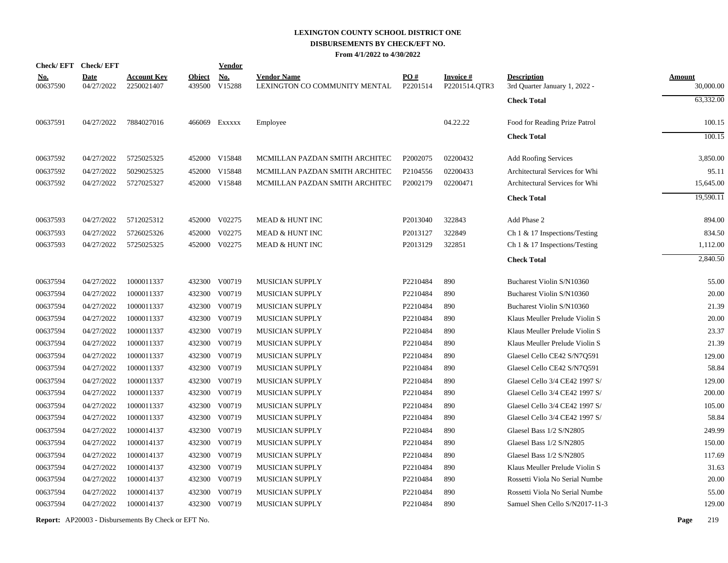# **LEXINGTON COUNTY SCHOOL DISTRICT ONE DISBURSEMENTS BY CHECK/EFT NO.**

**From 4/1/2022 to 4/30/2022**

|                        | Check/EFT Check/EFT       |                                  |                         | <b>Vendor</b>        |                                                     |                 |                                  |                                                     |                            |
|------------------------|---------------------------|----------------------------------|-------------------------|----------------------|-----------------------------------------------------|-----------------|----------------------------------|-----------------------------------------------------|----------------------------|
| <u>No.</u><br>00637590 | <b>Date</b><br>04/27/2022 | <b>Account Key</b><br>2250021407 | <b>Object</b><br>439500 | <b>No.</b><br>V15288 | <b>Vendor Name</b><br>LEXINGTON CO COMMUNITY MENTAL | PO#<br>P2201514 | <b>Invoice#</b><br>P2201514.OTR3 | <b>Description</b><br>3rd Quarter January 1, 2022 - | <b>Amount</b><br>30,000.00 |
|                        |                           |                                  |                         |                      |                                                     |                 |                                  | <b>Check Total</b>                                  | 63,332.00                  |
| 00637591               | 04/27/2022                | 7884027016                       |                         | 466069 Exxxxx        | Employee                                            |                 | 04.22.22                         | Food for Reading Prize Patrol                       | 100.15                     |
|                        |                           |                                  |                         |                      |                                                     |                 |                                  | <b>Check Total</b>                                  | 100.15                     |
| 00637592               | 04/27/2022                | 5725025325                       |                         | 452000 V15848        | MCMILLAN PAZDAN SMITH ARCHITEC                      | P2002075        | 02200432                         | <b>Add Roofing Services</b>                         | 3,850.00                   |
| 00637592               | 04/27/2022                | 5029025325                       |                         | 452000 V15848        | MCMILLAN PAZDAN SMITH ARCHITEC                      | P2104556        | 02200433                         | Architectural Services for Whi                      | 95.11                      |
| 00637592               | 04/27/2022                | 5727025327                       |                         | 452000 V15848        | MCMILLAN PAZDAN SMITH ARCHITEC                      | P2002179        | 02200471                         | Architectural Services for Whi                      | 15,645.00                  |
|                        |                           |                                  |                         |                      |                                                     |                 |                                  | <b>Check Total</b>                                  | 19,590.11                  |
| 00637593               | 04/27/2022                | 5712025312                       |                         | 452000 V02275        | MEAD & HUNT INC                                     | P2013040        | 322843                           | Add Phase 2                                         | 894.00                     |
| 00637593               | 04/27/2022                | 5726025326                       | 452000                  | V02275               | MEAD & HUNT INC                                     | P2013127        | 322849                           | Ch 1 & 17 Inspections/Testing                       | 834.50                     |
| 00637593               | 04/27/2022                | 5725025325                       | 452000                  | V02275               | MEAD & HUNT INC                                     | P2013129        | 322851                           | Ch 1 & 17 Inspections/Testing                       | 1,112.00                   |
|                        |                           |                                  |                         |                      |                                                     |                 |                                  | <b>Check Total</b>                                  | 2,840.50                   |
| 00637594               | 04/27/2022                | 1000011337                       | 432300                  | V00719               | MUSICIAN SUPPLY                                     | P2210484        | 890                              | Bucharest Violin S/N10360                           | 55.00                      |
| 00637594               | 04/27/2022                | 1000011337                       |                         | 432300 V00719        | <b>MUSICIAN SUPPLY</b>                              | P2210484        | 890                              | Bucharest Violin S/N10360                           | 20.00                      |
| 00637594               | 04/27/2022                | 1000011337                       | 432300                  | V00719               | MUSICIAN SUPPLY                                     | P2210484        | 890                              | Bucharest Violin S/N10360                           | 21.39                      |
| 00637594               | 04/27/2022                | 1000011337                       | 432300                  | V00719               | <b>MUSICIAN SUPPLY</b>                              | P2210484        | 890                              | Klaus Meuller Prelude Violin S                      | 20.00                      |
| 00637594               | 04/27/2022                | 1000011337                       | 432300                  | V00719               | MUSICIAN SUPPLY                                     | P2210484        | 890                              | Klaus Meuller Prelude Violin S                      | 23.37                      |
| 00637594               | 04/27/2022                | 1000011337                       | 432300                  | V00719               | MUSICIAN SUPPLY                                     | P2210484        | 890                              | Klaus Meuller Prelude Violin S                      | 21.39                      |
| 00637594               | 04/27/2022                | 1000011337                       |                         | 432300 V00719        | MUSICIAN SUPPLY                                     | P2210484        | 890                              | Glaesel Cello CE42 S/N7Q591                         | 129.00                     |
| 00637594               | 04/27/2022                | 1000011337                       |                         | 432300 V00719        | MUSICIAN SUPPLY                                     | P2210484        | 890                              | Glaesel Cello CE42 S/N7Q591                         | 58.84                      |
| 00637594               | 04/27/2022                | 1000011337                       | 432300                  | V00719               | MUSICIAN SUPPLY                                     | P2210484        | 890                              | Glaesel Cello 3/4 CE42 1997 S/                      | 129.00                     |
| 00637594               | 04/27/2022                | 1000011337                       |                         | 432300 V00719        | MUSICIAN SUPPLY                                     | P2210484        | 890                              | Glaesel Cello 3/4 CE42 1997 S/                      | 200.00                     |
| 00637594               | 04/27/2022                | 1000011337                       | 432300                  | V00719               | MUSICIAN SUPPLY                                     | P2210484        | 890                              | Glaesel Cello 3/4 CE42 1997 S/                      | 105.00                     |
| 00637594               | 04/27/2022                | 1000011337                       | 432300                  | V00719               | MUSICIAN SUPPLY                                     | P2210484        | 890                              | Glaesel Cello 3/4 CE42 1997 S/                      | 58.84                      |
| 00637594               | 04/27/2022                | 1000014137                       | 432300                  | V00719               | <b>MUSICIAN SUPPLY</b>                              | P2210484        | 890                              | Glaesel Bass 1/2 S/N2805                            | 249.99                     |
| 00637594               | 04/27/2022                | 1000014137                       | 432300                  | V00719               | MUSICIAN SUPPLY                                     | P2210484        | 890                              | Glaesel Bass 1/2 S/N2805                            | 150.00                     |
| 00637594               | 04/27/2022                | 1000014137                       | 432300                  | V00719               | MUSICIAN SUPPLY                                     | P2210484        | 890                              | Glaesel Bass 1/2 S/N2805                            | 117.69                     |
| 00637594               | 04/27/2022                | 1000014137                       | 432300                  | V00719               | MUSICIAN SUPPLY                                     | P2210484        | 890                              | Klaus Meuller Prelude Violin S                      | 31.63                      |
| 00637594               | 04/27/2022                | 1000014137                       | 432300                  | V00719               | MUSICIAN SUPPLY                                     | P2210484        | 890                              | Rossetti Viola No Serial Numbe                      | 20.00                      |
| 00637594               | 04/27/2022                | 1000014137                       | 432300                  | V00719               | MUSICIAN SUPPLY                                     | P2210484        | 890                              | Rossetti Viola No Serial Numbe                      | 55.00                      |
| 00637594               | 04/27/2022                | 1000014137                       | 432300                  | V00719               | <b>MUSICIAN SUPPLY</b>                              | P2210484        | 890                              | Samuel Shen Cello S/N2017-11-3                      | 129.00                     |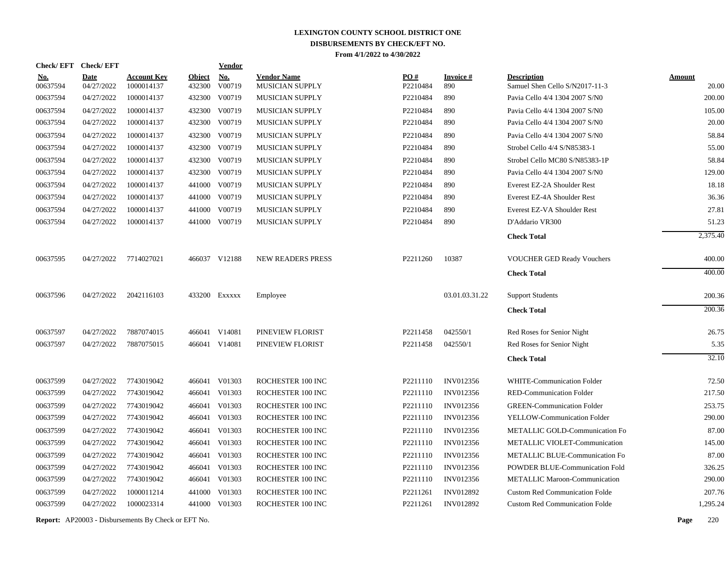| <b>Check/EFT</b>       | <b>Check/EFT</b>          |                                  |                         | <b>Vendor</b>        |                                       |                 |                        |                                                      |                        |
|------------------------|---------------------------|----------------------------------|-------------------------|----------------------|---------------------------------------|-----------------|------------------------|------------------------------------------------------|------------------------|
| <u>No.</u><br>00637594 | <b>Date</b><br>04/27/2022 | <b>Account Key</b><br>1000014137 | <b>Object</b><br>432300 | <b>No.</b><br>V00719 | <b>Vendor Name</b><br>MUSICIAN SUPPLY | PO#<br>P2210484 | <b>Invoice#</b><br>890 | <b>Description</b><br>Samuel Shen Cello S/N2017-11-3 | <b>Amount</b><br>20.00 |
| 00637594               | 04/27/2022                | 1000014137                       | 432300                  | V00719               | MUSICIAN SUPPLY                       | P2210484        | 890                    | Pavia Cello 4/4 1304 2007 S/N0                       | 200.00                 |
| 00637594               | 04/27/2022                | 1000014137                       | 432300                  | V00719               | MUSICIAN SUPPLY                       | P2210484        | 890                    | Pavia Cello 4/4 1304 2007 S/N0                       | 105.00                 |
| 00637594               | 04/27/2022                | 1000014137                       | 432300                  | V00719               | <b>MUSICIAN SUPPLY</b>                | P2210484        | 890                    | Pavia Cello 4/4 1304 2007 S/N0                       | 20.00                  |
| 00637594               | 04/27/2022                | 1000014137                       | 432300                  | V00719               | MUSICIAN SUPPLY                       | P2210484        | 890                    | Pavia Cello 4/4 1304 2007 S/N0                       | 58.84                  |
| 00637594               | 04/27/2022                | 1000014137                       | 432300                  | V00719               | MUSICIAN SUPPLY                       | P2210484        | 890                    | Strobel Cello 4/4 S/N85383-1                         | 55.00                  |
| 00637594               | 04/27/2022                | 1000014137                       | 432300                  | V00719               | MUSICIAN SUPPLY                       | P2210484        | 890                    | Strobel Cello MC80 S/N85383-1P                       | 58.84                  |
| 00637594               | 04/27/2022                | 1000014137                       |                         | 432300 V00719        | <b>MUSICIAN SUPPLY</b>                | P2210484        | 890                    | Pavia Cello 4/4 1304 2007 S/N0                       | 129.00                 |
| 00637594               | 04/27/2022                | 1000014137                       | 441000                  | V00719               | <b>MUSICIAN SUPPLY</b>                | P2210484        | 890                    | Everest EZ-2A Shoulder Rest                          | 18.18                  |
| 00637594               | 04/27/2022                | 1000014137                       | 441000                  | V00719               | <b>MUSICIAN SUPPLY</b>                | P2210484        | 890                    | Everest EZ-4A Shoulder Rest                          | 36.36                  |
| 00637594               | 04/27/2022                | 1000014137                       | 441000                  | V00719               | MUSICIAN SUPPLY                       | P2210484        | 890                    | Everest EZ-VA Shoulder Rest                          | 27.81                  |
| 00637594               | 04/27/2022                | 1000014137                       | 441000                  | V00719               | MUSICIAN SUPPLY                       | P2210484        | 890                    | D'Addario VR300                                      | 51.23                  |
|                        |                           |                                  |                         |                      |                                       |                 |                        | <b>Check Total</b>                                   | 2,375.40               |
| 00637595               | 04/27/2022                | 7714027021                       |                         | 466037 V12188        | <b>NEW READERS PRESS</b>              | P2211260        | 10387                  | VOUCHER GED Ready Vouchers                           | 400.00                 |
|                        |                           |                                  |                         |                      |                                       |                 |                        | <b>Check Total</b>                                   | 400.00                 |
| 00637596               | 04/27/2022                | 2042116103                       | 433200                  | Exxxxx               | Employee                              |                 | 03.01.03.31.22         | <b>Support Students</b>                              | 200.36                 |
|                        |                           |                                  |                         |                      |                                       |                 |                        | <b>Check Total</b>                                   | 200.36                 |
| 00637597               | 04/27/2022                | 7887074015                       |                         | 466041 V14081        | PINEVIEW FLORIST                      | P2211458        | 042550/1               | Red Roses for Senior Night                           | 26.75                  |
| 00637597               | 04/27/2022                | 7887075015                       |                         | 466041 V14081        | PINEVIEW FLORIST                      | P2211458        | 042550/1               | Red Roses for Senior Night                           | 5.35                   |
|                        |                           |                                  |                         |                      |                                       |                 |                        | <b>Check Total</b>                                   | 32.10                  |
| 00637599               | 04/27/2022                | 7743019042                       |                         | 466041 V01303        | ROCHESTER 100 INC                     | P2211110        | <b>INV012356</b>       | WHITE-Communication Folder                           | 72.50                  |
| 00637599               | 04/27/2022                | 7743019042                       |                         | 466041 V01303        | ROCHESTER 100 INC                     | P2211110        | <b>INV012356</b>       | <b>RED-Communication Folder</b>                      | 217.50                 |
| 00637599               | 04/27/2022                | 7743019042                       | 466041                  | V01303               | ROCHESTER 100 INC                     | P2211110        | INV012356              | <b>GREEN-Communication Folder</b>                    | 253.75                 |
| 00637599               | 04/27/2022                | 7743019042                       | 466041                  | V01303               | ROCHESTER 100 INC                     | P2211110        | INV012356              | YELLOW-Communication Folder                          | 290.00                 |
| 00637599               | 04/27/2022                | 7743019042                       | 466041                  | V01303               | ROCHESTER 100 INC                     | P2211110        | <b>INV012356</b>       | METALLIC GOLD-Communication Fo                       | 87.00                  |
| 00637599               | 04/27/2022                | 7743019042                       |                         | 466041 V01303        | ROCHESTER 100 INC                     | P2211110        | INV012356              | METALLIC VIOLET-Communication                        | 145.00                 |
| 00637599               | 04/27/2022                | 7743019042                       | 466041                  | V01303               | ROCHESTER 100 INC                     | P2211110        | INV012356              | METALLIC BLUE-Communication Fo                       | 87.00                  |
| 00637599               | 04/27/2022                | 7743019042                       | 466041                  | V01303               | ROCHESTER 100 INC                     | P2211110        | INV012356              | POWDER BLUE-Communication Fold                       | 326.25                 |
| 00637599               | 04/27/2022                | 7743019042                       |                         | 466041 V01303        | ROCHESTER 100 INC                     | P2211110        | INV012356              | <b>METALLIC Maroon-Communication</b>                 | 290.00                 |
| 00637599               | 04/27/2022                | 1000011214                       | 441000                  | V01303               | ROCHESTER 100 INC                     | P2211261        | INV012892              | <b>Custom Red Communication Folde</b>                | 207.76                 |
| 00637599               | 04/27/2022                | 1000023314                       |                         | 441000 V01303        | ROCHESTER 100 INC                     | P2211261        | <b>INV012892</b>       | <b>Custom Red Communication Folde</b>                | 1,295.24               |
|                        |                           |                                  |                         |                      |                                       |                 |                        |                                                      |                        |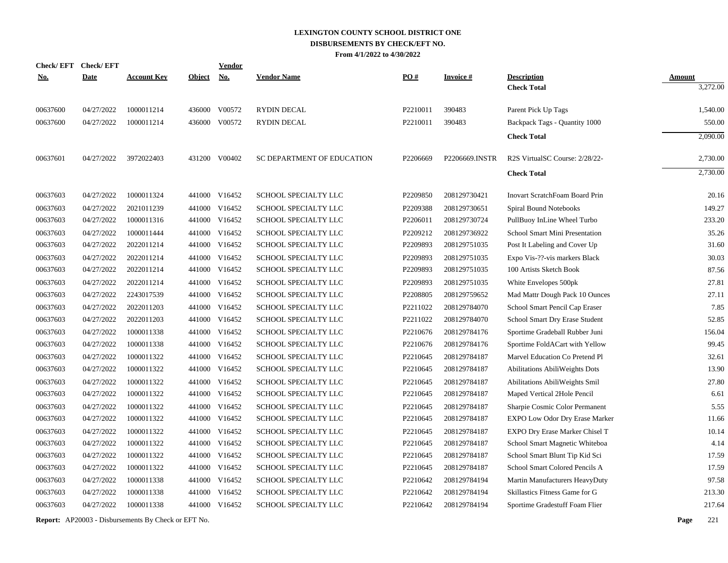| <b>Check/EFT</b> | <b>Check/EFT</b> |                    |               | Vendor        |                             |                   |                 |                                       |               |
|------------------|------------------|--------------------|---------------|---------------|-----------------------------|-------------------|-----------------|---------------------------------------|---------------|
| <u>No.</u>       | <b>Date</b>      | <b>Account Key</b> | <b>Object</b> | <b>No.</b>    | <b>Vendor Name</b>          | $\underline{PO#}$ | <b>Invoice#</b> | <b>Description</b>                    | <b>Amount</b> |
|                  |                  |                    |               |               |                             |                   |                 | <b>Check Total</b>                    | 3,272.00      |
| 00637600         | 04/27/2022       | 1000011214         |               | 436000 V00572 | <b>RYDIN DECAL</b>          | P2210011          | 390483          | Parent Pick Up Tags                   | 1,540.00      |
| 00637600         | 04/27/2022       | 1000011214         | 436000        | V00572        | <b>RYDIN DECAL</b>          | P2210011          | 390483          | Backpack Tags - Quantity 1000         | 550.00        |
|                  |                  |                    |               |               |                             |                   |                 | <b>Check Total</b>                    | 2,090.00      |
| 00637601         | 04/27/2022       | 3972022403         |               | 431200 V00402 | SC DEPARTMENT OF EDUCATION  | P2206669          | P2206669.INSTR  | R2S VirtualSC Course: 2/28/22-        | 2,730.00      |
|                  |                  |                    |               |               |                             |                   |                 | <b>Check Total</b>                    | 2,730.00      |
| 00637603         | 04/27/2022       | 1000011324         |               | 441000 V16452 | SCHOOL SPECIALTY LLC        | P2209850          | 208129730421    | <b>Inovart ScratchFoam Board Prin</b> | 20.16         |
| 00637603         | 04/27/2022       | 2021011239         | 441000        | V16452        | SCHOOL SPECIALTY LLC        | P2209388          | 208129730651    | Spiral Bound Notebooks                | 149.27        |
| 00637603         | 04/27/2022       | 1000011316         |               | 441000 V16452 | SCHOOL SPECIALTY LLC        | P2206011          | 208129730724    | PullBuoy InLine Wheel Turbo           | 233.20        |
| 00637603         | 04/27/2022       | 1000011444         |               | 441000 V16452 | <b>SCHOOL SPECIALTY LLC</b> | P2209212          | 208129736922    | School Smart Mini Presentation        | 35.26         |
| 00637603         | 04/27/2022       | 2022011214         |               | 441000 V16452 | <b>SCHOOL SPECIALTY LLC</b> | P2209893          | 208129751035    | Post It Labeling and Cover Up         | 31.60         |
| 00637603         | 04/27/2022       | 2022011214         | 441000        | V16452        | SCHOOL SPECIALTY LLC        | P2209893          | 208129751035    | Expo Vis-??-vis markers Black         | 30.03         |
| 00637603         | 04/27/2022       | 2022011214         |               | 441000 V16452 | SCHOOL SPECIALTY LLC        | P2209893          | 208129751035    | 100 Artists Sketch Book               | 87.56         |
| 00637603         | 04/27/2022       | 2022011214         | 441000        | V16452        | SCHOOL SPECIALTY LLC        | P2209893          | 208129751035    | White Envelopes 500pk                 | 27.81         |
| 00637603         | 04/27/2022       | 2243017539         | 441000        | V16452        | SCHOOL SPECIALTY LLC        | P2208805          | 208129759652    | Mad Mattr Dough Pack 10 Ounces        | 27.11         |
| 00637603         | 04/27/2022       | 2022011203         | 441000        | V16452        | SCHOOL SPECIALTY LLC        | P2211022          | 208129784070    | School Smart Pencil Cap Eraser        | 7.85          |
| 00637603         | 04/27/2022       | 2022011203         |               | 441000 V16452 | SCHOOL SPECIALTY LLC        | P2211022          | 208129784070    | School Smart Dry Erase Student        | 52.85         |
| 00637603         | 04/27/2022       | 1000011338         | 441000        | V16452        | SCHOOL SPECIALTY LLC        | P2210676          | 208129784176    | Sportime Gradeball Rubber Juni        | 156.04        |
| 00637603         | 04/27/2022       | 1000011338         | 441000        | V16452        | SCHOOL SPECIALTY LLC        | P2210676          | 208129784176    | Sportime FoldACart with Yellow        | 99.45         |
| 00637603         | 04/27/2022       | 1000011322         |               | 441000 V16452 | SCHOOL SPECIALTY LLC        | P2210645          | 208129784187    | Marvel Education Co Pretend Pl        | 32.61         |
| 00637603         | 04/27/2022       | 1000011322         |               | 441000 V16452 | SCHOOL SPECIALTY LLC        | P2210645          | 208129784187    | Abilitations AbiliWeights Dots        | 13.90         |
| 00637603         | 04/27/2022       | 1000011322         |               | 441000 V16452 | SCHOOL SPECIALTY LLC        | P2210645          | 208129784187    | Abilitations AbiliWeights Smil        | 27.80         |
| 00637603         | 04/27/2022       | 1000011322         |               | 441000 V16452 | SCHOOL SPECIALTY LLC        | P2210645          | 208129784187    | Maped Vertical 2Hole Pencil           | 6.61          |
| 00637603         | 04/27/2022       | 1000011322         |               | 441000 V16452 | SCHOOL SPECIALTY LLC        | P2210645          | 208129784187    | Sharpie Cosmic Color Permanent        | 5.55          |
| 00637603         | 04/27/2022       | 1000011322         |               | 441000 V16452 | SCHOOL SPECIALTY LLC        | P2210645          | 208129784187    | EXPO Low Odor Dry Erase Marker        | 11.66         |
| 00637603         | 04/27/2022       | 1000011322         |               | 441000 V16452 | SCHOOL SPECIALTY LLC        | P2210645          | 208129784187    | EXPO Dry Erase Marker Chisel T        | 10.14         |
| 00637603         | 04/27/2022       | 1000011322         |               | 441000 V16452 | SCHOOL SPECIALTY LLC        | P2210645          | 208129784187    | School Smart Magnetic Whiteboa        | 4.14          |
| 00637603         | 04/27/2022       | 1000011322         |               | 441000 V16452 | SCHOOL SPECIALTY LLC        | P2210645          | 208129784187    | School Smart Blunt Tip Kid Sci        | 17.59         |
| 00637603         | 04/27/2022       | 1000011322         |               | 441000 V16452 | SCHOOL SPECIALTY LLC        | P2210645          | 208129784187    | School Smart Colored Pencils A        | 17.59         |
| 00637603         | 04/27/2022       | 1000011338         | 441000        | V16452        | SCHOOL SPECIALTY LLC        | P2210642          | 208129784194    | Martin Manufacturers HeavyDuty        | 97.58         |
| 00637603         | 04/27/2022       | 1000011338         | 441000        | V16452        | SCHOOL SPECIALTY LLC        | P2210642          | 208129784194    | Skillastics Fitness Game for G        | 213.30        |
| 00637603         | 04/27/2022       | 1000011338         |               | 441000 V16452 | SCHOOL SPECIALTY LLC        | P2210642          | 208129784194    | Sportime Gradestuff Foam Flier        | 217.64        |
|                  |                  |                    |               |               |                             |                   |                 |                                       |               |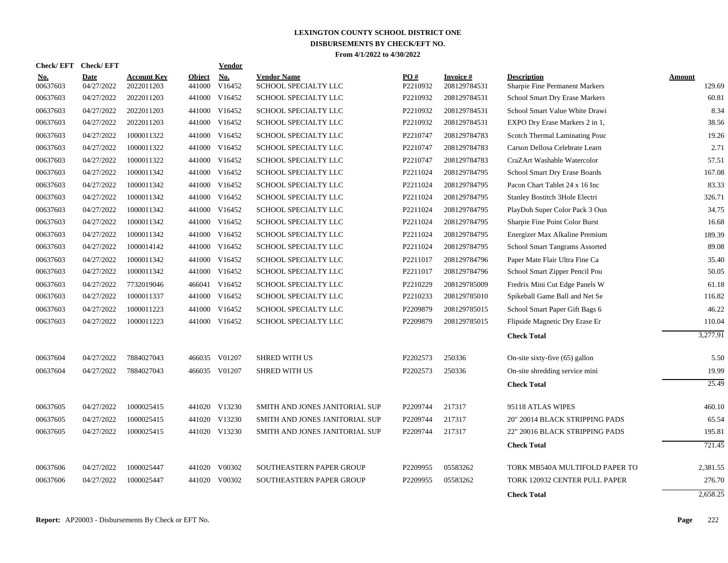| <b>Check/EFT</b>       | <b>Check/EFT</b>          |                                  |                  | <b>Vendor</b> |                                            |                               |                           |                                                      |                  |
|------------------------|---------------------------|----------------------------------|------------------|---------------|--------------------------------------------|-------------------------------|---------------------------|------------------------------------------------------|------------------|
| <b>No.</b><br>00637603 | <b>Date</b><br>04/27/2022 | <b>Account Key</b><br>2022011203 | Object<br>441000 | No.<br>V16452 | <b>Vendor Name</b><br>SCHOOL SPECIALTY LLC | $\underline{PO#}$<br>P2210932 | Invoice #<br>208129784531 | <b>Description</b><br>Sharpie Fine Permanent Markers | Amount<br>129.69 |
| 00637603               | 04/27/2022                | 2022011203                       | 441000           | V16452        | <b>SCHOOL SPECIALTY LLC</b>                | P2210932                      | 208129784531              | <b>School Smart Dry Erase Markers</b>                | 60.81            |
| 00637603               | 04/27/2022                | 2022011203                       |                  | 441000 V16452 | SCHOOL SPECIALTY LLC                       | P2210932                      | 208129784531              | School Smart Value White Drawi                       | 8.34             |
| 00637603               | 04/27/2022                | 2022011203                       |                  | 441000 V16452 | SCHOOL SPECIALTY LLC                       | P2210932                      | 208129784531              | EXPO Dry Erase Markers 2 in 1,                       | 38.56            |
| 00637603               | 04/27/2022                | 1000011322                       |                  | 441000 V16452 | SCHOOL SPECIALTY LLC                       | P2210747                      | 208129784783              | Scotch Thermal Laminating Pouc                       | 19.26            |
| 00637603               | 04/27/2022                | 1000011322                       |                  | 441000 V16452 | SCHOOL SPECIALTY LLC                       | P2210747                      | 208129784783              | Carson Dellosa Celebrate Learn                       | 2.71             |
| 00637603               | 04/27/2022                | 1000011322                       |                  | 441000 V16452 | SCHOOL SPECIALTY LLC                       | P2210747                      | 208129784783              | CraZArt Washable Watercolor                          | 57.51            |
| 00637603               | 04/27/2022                | 1000011342                       | 441000           | V16452        | SCHOOL SPECIALTY LLC                       | P2211024                      | 208129784795              | School Smart Dry Erase Boards                        | 167.08           |
| 00637603               | 04/27/2022                | 1000011342                       |                  | 441000 V16452 | SCHOOL SPECIALTY LLC                       | P2211024                      | 208129784795              | Pacon Chart Tablet 24 x 16 Inc                       | 83.33            |
| 00637603               | 04/27/2022                | 1000011342                       |                  | 441000 V16452 | SCHOOL SPECIALTY LLC                       | P2211024                      | 208129784795              | Stanley Bostitch 3Hole Electri                       | 326.71           |
| 00637603               | 04/27/2022                | 1000011342                       |                  | 441000 V16452 | SCHOOL SPECIALTY LLC                       | P2211024                      | 208129784795              | PlayDoh Super Color Pack 3 Oun                       | 34.75            |
| 00637603               | 04/27/2022                | 1000011342                       |                  | 441000 V16452 | <b>SCHOOL SPECIALTY LLC</b>                | P2211024                      | 208129784795              | Sharpie Fine Point Color Burst                       | 16.68            |
| 00637603               | 04/27/2022                | 1000011342                       |                  | 441000 V16452 | SCHOOL SPECIALTY LLC                       | P2211024                      | 208129784795              | Energizer Max Alkaline Premium                       | 189.39           |
| 00637603               | 04/27/2022                | 1000014142                       |                  | 441000 V16452 | SCHOOL SPECIALTY LLC                       | P2211024                      | 208129784795              | School Smart Tangrams Assorted                       | 89.08            |
| 00637603               | 04/27/2022                | 1000011342                       |                  | 441000 V16452 | SCHOOL SPECIALTY LLC                       | P2211017                      | 208129784796              | Paper Mate Flair Ultra Fine Ca                       | 35.40            |
| 00637603               | 04/27/2022                | 1000011342                       |                  | 441000 V16452 | SCHOOL SPECIALTY LLC                       | P2211017                      | 208129784796              | School Smart Zipper Pencil Pou                       | 50.05            |
| 00637603               | 04/27/2022                | 7732019046                       |                  | 466041 V16452 | SCHOOL SPECIALTY LLC                       | P2210229                      | 208129785009              | Fredrix Mini Cut Edge Panels W                       | 61.18            |
| 00637603               | 04/27/2022                | 1000011337                       |                  | 441000 V16452 | SCHOOL SPECIALTY LLC                       | P2210233                      | 208129785010              | Spikeball Game Ball and Net Se                       | 116.82           |
| 00637603               | 04/27/2022                | 1000011223                       |                  | 441000 V16452 | SCHOOL SPECIALTY LLC                       | P2209879                      | 208129785015              | School Smart Paper Gift Bags 6                       | 46.22            |
| 00637603               | 04/27/2022                | 1000011223                       |                  | 441000 V16452 | SCHOOL SPECIALTY LLC                       | P2209879                      | 208129785015              | Flipside Magnetic Dry Erase Er                       | 110.04           |
|                        |                           |                                  |                  |               |                                            |                               |                           | <b>Check Total</b>                                   | 3,277.91         |
| 00637604               | 04/27/2022                | 7884027043                       |                  | 466035 V01207 | <b>SHRED WITH US</b>                       | P2202573                      | 250336                    | On-site sixty-five $(65)$ gallon                     | 5.50             |
| 00637604               | 04/27/2022                | 7884027043                       |                  | 466035 V01207 | <b>SHRED WITH US</b>                       | P2202573                      | 250336                    | On-site shredding service mini                       | 19.99            |
|                        |                           |                                  |                  |               |                                            |                               |                           | <b>Check Total</b>                                   | 25.49            |
| 00637605               | 04/27/2022                | 1000025415                       |                  | 441020 V13230 | SMITH AND JONES JANITORIAL SUP             | P2209744                      | 217317                    | 95118 ATLAS WIPES                                    | 460.10           |
| 00637605               | 04/27/2022                | 1000025415                       |                  | 441020 V13230 | SMITH AND JONES JANITORIAL SUP             | P2209744                      | 217317                    | 20" 20014 BLACK STRIPPING PADS                       | 65.54            |
| 00637605               | 04/27/2022                | 1000025415                       |                  | 441020 V13230 | SMITH AND JONES JANITORIAL SUP             | P2209744                      | 217317                    | 22" 20016 BLACK STRIPPING PADS                       | 195.81           |
|                        |                           |                                  |                  |               |                                            |                               |                           | <b>Check Total</b>                                   | 721.45           |
| 00637606               | 04/27/2022                | 1000025447                       |                  | 441020 V00302 | SOUTHEASTERN PAPER GROUP                   | P2209955                      | 05583262                  | TORK MB540A MULTIFOLD PAPER TO                       | 2,381.55         |
| 00637606               | 04/27/2022                | 1000025447                       | 441020           | V00302        | SOUTHEASTERN PAPER GROUP                   | P2209955                      | 05583262                  | TORK 120932 CENTER PULL PAPER                        | 276.70           |
|                        |                           |                                  |                  |               |                                            |                               |                           | <b>Check Total</b>                                   | 2,658.25         |
|                        |                           |                                  |                  |               |                                            |                               |                           |                                                      |                  |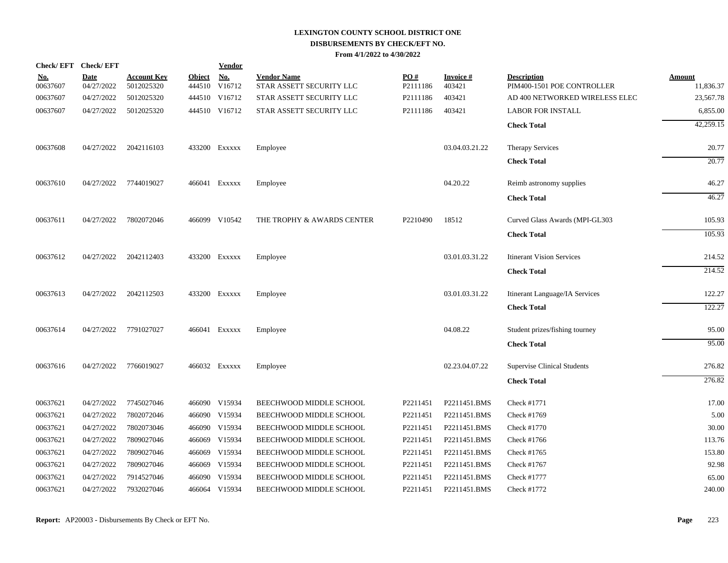| <b>Check/EFT</b>       | <b>Check/EFT</b>          |                                  |                         | Vendor               |                                                |                 |                           |                                                  |                            |
|------------------------|---------------------------|----------------------------------|-------------------------|----------------------|------------------------------------------------|-----------------|---------------------------|--------------------------------------------------|----------------------------|
| <u>No.</u><br>00637607 | <b>Date</b><br>04/27/2022 | <b>Account Key</b><br>5012025320 | <b>Object</b><br>444510 | <b>No.</b><br>V16712 | <b>Vendor Name</b><br>STAR ASSETT SECURITY LLC | PO#<br>P2111186 | <b>Invoice#</b><br>403421 | <b>Description</b><br>PIM400-1501 POE CONTROLLER | <b>Amount</b><br>11,836.37 |
| 00637607               | 04/27/2022                | 5012025320                       |                         | 444510 V16712        | STAR ASSETT SECURITY LLC                       | P2111186        | 403421                    | AD 400 NETWORKED WIRELESS ELEC                   | 23,567.78                  |
| 00637607               | 04/27/2022                | 5012025320                       |                         | 444510 V16712        | STAR ASSETT SECURITY LLC                       | P2111186        | 403421                    | <b>LABOR FOR INSTALL</b>                         | 6,855.00                   |
|                        |                           |                                  |                         |                      |                                                |                 |                           |                                                  |                            |
|                        |                           |                                  |                         |                      |                                                |                 |                           | <b>Check Total</b>                               | 42,259.15                  |
| 00637608               | 04/27/2022                | 2042116103                       |                         | 433200 Exxxxx        | Employee                                       |                 | 03.04.03.21.22            | <b>Therapy Services</b>                          | 20.77                      |
|                        |                           |                                  |                         |                      |                                                |                 |                           | <b>Check Total</b>                               | 20.77                      |
| 00637610               | 04/27/2022                | 7744019027                       |                         | 466041 Exxxxx        | Employee                                       |                 | 04.20.22                  | Reimb astronomy supplies                         | 46.27                      |
|                        |                           |                                  |                         |                      |                                                |                 |                           | <b>Check Total</b>                               | 46.27                      |
| 00637611               | 04/27/2022                | 7802072046                       |                         | 466099 V10542        | THE TROPHY & AWARDS CENTER                     | P2210490        | 18512                     | Curved Glass Awards (MPI-GL303                   | 105.93                     |
|                        |                           |                                  |                         |                      |                                                |                 |                           | <b>Check Total</b>                               | 105.93                     |
| 00637612               | 04/27/2022                | 2042112403                       |                         | 433200 Exxxxx        | Employee                                       |                 | 03.01.03.31.22            | <b>Itinerant Vision Services</b>                 | 214.52                     |
|                        |                           |                                  |                         |                      |                                                |                 |                           | <b>Check Total</b>                               | 214.52                     |
| 00637613               | 04/27/2022                | 2042112503                       |                         | 433200 Exxxxx        | Employee                                       |                 | 03.01.03.31.22            | Itinerant Language/IA Services                   | 122.27                     |
|                        |                           |                                  |                         |                      |                                                |                 |                           | <b>Check Total</b>                               | 122.27                     |
| 00637614               | 04/27/2022                | 7791027027                       |                         | 466041 EXXXXX        | Employee                                       |                 | 04.08.22                  | Student prizes/fishing tourney                   | 95.00                      |
|                        |                           |                                  |                         |                      |                                                |                 |                           | <b>Check Total</b>                               | 95.00                      |
| 00637616               | 04/27/2022                | 7766019027                       |                         | 466032 Exxxxx        | Employee                                       |                 | 02.23.04.07.22            | Supervise Clinical Students                      | 276.82                     |
|                        |                           |                                  |                         |                      |                                                |                 |                           | <b>Check Total</b>                               | 276.82                     |
| 00637621               | 04/27/2022                | 7745027046                       |                         | 466090 V15934        | BEECHWOOD MIDDLE SCHOOL                        | P2211451        | P2211451.BMS              | Check #1771                                      | 17.00                      |
| 00637621               | 04/27/2022                | 7802072046                       |                         | 466090 V15934        | BEECHWOOD MIDDLE SCHOOL                        | P2211451        | P2211451.BMS              | Check #1769                                      | 5.00                       |
| 00637621               | 04/27/2022                | 7802073046                       |                         | 466090 V15934        | BEECHWOOD MIDDLE SCHOOL                        | P2211451        | P2211451.BMS              | Check #1770                                      | 30.00                      |
| 00637621               | 04/27/2022                | 7809027046                       |                         | 466069 V15934        | BEECHWOOD MIDDLE SCHOOL                        | P2211451        | P2211451.BMS              | Check #1766                                      | 113.76                     |
| 00637621               | 04/27/2022                | 7809027046                       |                         | 466069 V15934        | BEECHWOOD MIDDLE SCHOOL                        | P2211451        | P2211451.BMS              | Check #1765                                      | 153.80                     |
| 00637621               | 04/27/2022                | 7809027046                       |                         | 466069 V15934        | BEECHWOOD MIDDLE SCHOOL                        | P2211451        | P2211451.BMS              | Check #1767                                      | 92.98                      |
| 00637621               | 04/27/2022                | 7914527046                       | 466090                  | V15934               | BEECHWOOD MIDDLE SCHOOL                        | P2211451        | P2211451.BMS              | Check #1777                                      | 65.00                      |
| 00637621               | 04/27/2022                | 7932027046                       |                         | 466064 V15934        | BEECHWOOD MIDDLE SCHOOL                        | P2211451        | P2211451.BMS              | Check #1772                                      | 240.00                     |
|                        |                           |                                  |                         |                      |                                                |                 |                           |                                                  |                            |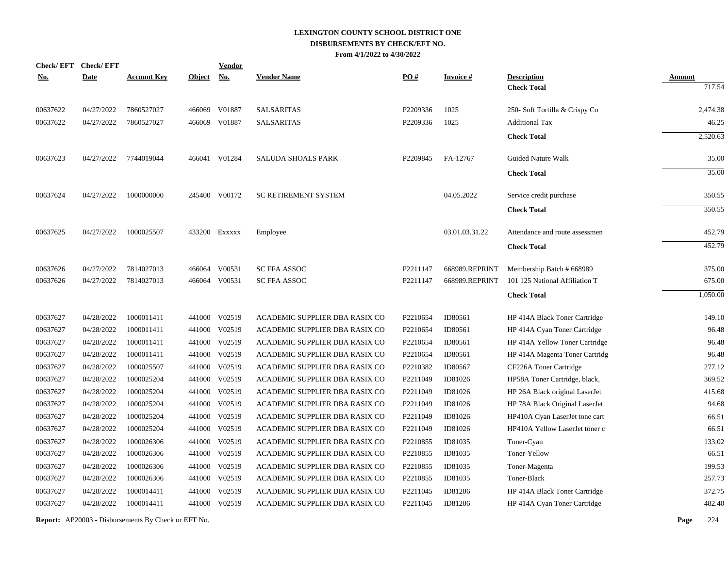| <b>Check/EFT</b> | <b>Check/EFT</b> |                    |               | <b>Vendor</b> |                                |                      |                 |                                |               |
|------------------|------------------|--------------------|---------------|---------------|--------------------------------|----------------------|-----------------|--------------------------------|---------------|
| <u>No.</u>       | <b>Date</b>      | <b>Account Key</b> | <b>Object</b> | <b>No.</b>    | <b>Vendor Name</b>             | PO#                  | <b>Invoice#</b> | <b>Description</b>             | <b>Amount</b> |
|                  |                  |                    |               |               |                                |                      |                 | <b>Check Total</b>             | 717.54        |
| 00637622         | 04/27/2022       | 7860527027         | 466069        | V01887        | <b>SALSARITAS</b>              | P2209336             | 1025            | 250- Soft Tortilla & Crispy Co | 2,474.38      |
| 00637622         | 04/27/2022       | 7860527027         | 466069        | V01887        | <b>SALSARITAS</b>              | P2209336             | 1025            | <b>Additional Tax</b>          | 46.25         |
|                  |                  |                    |               |               |                                |                      |                 | <b>Check Total</b>             | 2,520.63      |
| 00637623         | 04/27/2022       | 7744019044         |               | 466041 V01284 | <b>SALUDA SHOALS PARK</b>      | P2209845             | FA-12767        | <b>Guided Nature Walk</b>      | 35.00         |
|                  |                  |                    |               |               |                                |                      |                 | <b>Check Total</b>             | 35.00         |
| 00637624         | 04/27/2022       | 1000000000         |               | 245400 V00172 | <b>SC RETIREMENT SYSTEM</b>    |                      | 04.05.2022      | Service credit purchase        | 350.55        |
|                  |                  |                    |               |               |                                |                      |                 | <b>Check Total</b>             | 350.55        |
| 00637625         | 04/27/2022       | 1000025507         |               | 433200 Exxxxx | Employee                       |                      | 03.01.03.31.22  | Attendance and route assessmen | 452.79        |
|                  |                  |                    |               |               |                                |                      |                 | <b>Check Total</b>             | 452.79        |
| 00637626         | 04/27/2022       | 7814027013         | 466064        | V00531        | <b>SC FFA ASSOC</b>            | P2211147             | 668989.REPRINT  | Membership Batch # 668989      | 375.00        |
| 00637626         | 04/27/2022       | 7814027013         |               | 466064 V00531 | <b>SC FFA ASSOC</b>            | P2211147             | 668989.REPRINT  | 101 125 National Affiliation T | 675.00        |
|                  |                  |                    |               |               |                                |                      |                 | <b>Check Total</b>             | 1,050.00      |
| 00637627         | 04/28/2022       | 1000011411         | 441000        | V02519        | ACADEMIC SUPPLIER DBA RASIX CO | P2210654             | ID80561         | HP 414A Black Toner Cartridge  | 149.10        |
| 00637627         | 04/28/2022       | 1000011411         | 441000        | V02519        | ACADEMIC SUPPLIER DBA RASIX CO | P2210654             | ID80561         | HP 414A Cyan Toner Cartridge   | 96.48         |
| 00637627         | 04/28/2022       | 1000011411         | 441000        | V02519        | ACADEMIC SUPPLIER DBA RASIX CO | P2210654             | ID80561         | HP 414A Yellow Toner Cartridge | 96.48         |
| 00637627         | 04/28/2022       | 1000011411         | 441000        | V02519        | ACADEMIC SUPPLIER DBA RASIX CO | P2210654             | ID80561         | HP 414A Magenta Toner Cartridg | 96.48         |
| 00637627         | 04/28/2022       | 1000025507         | 441000        | V02519        | ACADEMIC SUPPLIER DBA RASIX CO | P2210382             | ID80567         | CF226A Toner Cartridge         | 277.12        |
| 00637627         | 04/28/2022       | 1000025204         | 441000        | V02519        | ACADEMIC SUPPLIER DBA RASIX CO | P2211049             | ID81026         | HP58A Toner Cartridge, black,  | 369.52        |
| 00637627         | 04/28/2022       | 1000025204         | 441000        | V02519        | ACADEMIC SUPPLIER DBA RASIX CO | P2211049             | ID81026         | HP 26A Black original LaserJet | 415.68        |
| 00637627         | 04/28/2022       | 1000025204         | 441000        | V02519        | ACADEMIC SUPPLIER DBA RASIX CO | P2211049             | ID81026         | HP 78A Black Original LaserJet | 94.68         |
| 00637627         | 04/28/2022       | 1000025204         | 441000        | V02519        | ACADEMIC SUPPLIER DBA RASIX CO | P2211049             | ID81026         | HP410A Cyan LaserJet tone cart | 66.51         |
| 00637627         | 04/28/2022       | 1000025204         | 441000        | V02519        | ACADEMIC SUPPLIER DBA RASIX CO | P2211049             | ID81026         | HP410A Yellow LaserJet toner c | 66.51         |
| 00637627         | 04/28/2022       | 1000026306         | 441000        | V02519        | ACADEMIC SUPPLIER DBA RASIX CO | P2210855             | ID81035         | Toner-Cyan                     | 133.02        |
| 00637627         | 04/28/2022       | 1000026306         | 441000        | V02519        | ACADEMIC SUPPLIER DBA RASIX CO | P2210855             | ID81035         | Toner-Yellow                   | 66.51         |
| 00637627         | 04/28/2022       | 1000026306         | 441000        | V02519        | ACADEMIC SUPPLIER DBA RASIX CO | P2210855             | ID81035         | Toner-Magenta                  | 199.53        |
| 00637627         | 04/28/2022       | 1000026306         | 441000        | V02519        | ACADEMIC SUPPLIER DBA RASIX CO | P2210855             | ID81035         | Toner-Black                    | 257.73        |
| 00637627         | 04/28/2022       | 1000014411         | 441000        | V02519        | ACADEMIC SUPPLIER DBA RASIX CO | P2211045             | ID81206         | HP 414A Black Toner Cartridge  | 372.75        |
| 00637627         | 04/28/2022       | 1000014411         | 441000        | V02519        | ACADEMIC SUPPLIER DBA RASIX CO | P <sub>2211045</sub> | ID81206         | HP 414A Cyan Toner Cartridge   | 482.40        |
|                  |                  |                    |               |               |                                |                      |                 |                                |               |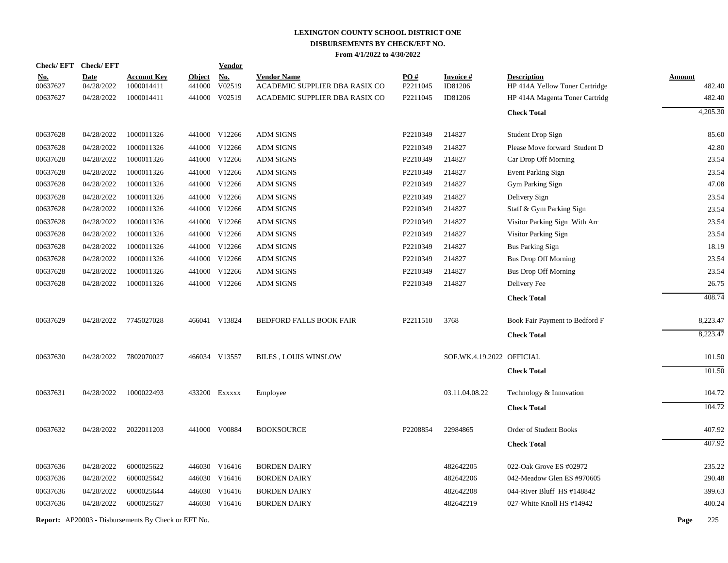|            | Check/EFT Check/EFT                                        |                    |               | <b>Vendor</b> |                                |                   |                           |                                |               |          |
|------------|------------------------------------------------------------|--------------------|---------------|---------------|--------------------------------|-------------------|---------------------------|--------------------------------|---------------|----------|
| <u>No.</u> | <b>Date</b>                                                | <b>Account Key</b> | <b>Object</b> | <b>No.</b>    | <b>Vendor Name</b>             | $\underline{PO#}$ | <b>Invoice#</b>           | <b>Description</b>             | <b>Amount</b> |          |
| 00637627   | 04/28/2022                                                 | 1000014411         | 441000        | V02519        | ACADEMIC SUPPLIER DBA RASIX CO | P2211045          | ID81206                   | HP 414A Yellow Toner Cartridge |               | 482.40   |
| 00637627   | 04/28/2022                                                 | 1000014411         | 441000        | V02519        | ACADEMIC SUPPLIER DBA RASIX CO | P2211045          | ID81206                   | HP 414A Magenta Toner Cartridg |               | 482.40   |
|            |                                                            |                    |               |               |                                |                   |                           | <b>Check Total</b>             |               | 4,205.30 |
| 00637628   | 04/28/2022                                                 | 1000011326         |               | 441000 V12266 | <b>ADM SIGNS</b>               | P2210349          | 214827                    | Student Drop Sign              |               | 85.60    |
| 00637628   | 04/28/2022                                                 | 1000011326         |               | 441000 V12266 | <b>ADM SIGNS</b>               | P2210349          | 214827                    | Please Move forward Student D  |               | 42.80    |
| 00637628   | 04/28/2022                                                 | 1000011326         |               | 441000 V12266 | <b>ADM SIGNS</b>               | P2210349          | 214827                    | Car Drop Off Morning           |               | 23.54    |
| 00637628   | 04/28/2022                                                 | 1000011326         |               | 441000 V12266 | <b>ADM SIGNS</b>               | P2210349          | 214827                    | Event Parking Sign             |               | 23.54    |
| 00637628   | 04/28/2022                                                 | 1000011326         |               | 441000 V12266 | <b>ADM SIGNS</b>               | P2210349          | 214827                    | Gym Parking Sign               |               | 47.08    |
| 00637628   | 04/28/2022                                                 | 1000011326         |               | 441000 V12266 | <b>ADM SIGNS</b>               | P2210349          | 214827                    | Delivery Sign                  |               | 23.54    |
| 00637628   | 04/28/2022                                                 | 1000011326         |               | 441000 V12266 | <b>ADM SIGNS</b>               | P2210349          | 214827                    | Staff & Gym Parking Sign       |               | 23.54    |
| 00637628   | 04/28/2022                                                 | 1000011326         |               | 441000 V12266 | <b>ADM SIGNS</b>               | P2210349          | 214827                    | Visitor Parking Sign With Arr  |               | 23.54    |
| 00637628   | 04/28/2022                                                 | 1000011326         |               | 441000 V12266 | <b>ADM SIGNS</b>               | P2210349          | 214827                    | Visitor Parking Sign           |               | 23.54    |
| 00637628   | 04/28/2022                                                 | 1000011326         |               | 441000 V12266 | <b>ADM SIGNS</b>               | P2210349          | 214827                    | <b>Bus Parking Sign</b>        |               | 18.19    |
| 00637628   | 04/28/2022                                                 | 1000011326         |               | 441000 V12266 | <b>ADM SIGNS</b>               | P2210349          | 214827                    | <b>Bus Drop Off Morning</b>    |               | 23.54    |
| 00637628   | 04/28/2022                                                 | 1000011326         |               | 441000 V12266 | <b>ADM SIGNS</b>               | P2210349          | 214827                    | <b>Bus Drop Off Morning</b>    |               | 23.54    |
| 00637628   | 04/28/2022                                                 | 1000011326         |               | 441000 V12266 | <b>ADM SIGNS</b>               | P2210349          | 214827                    | Delivery Fee                   |               | 26.75    |
|            |                                                            |                    |               |               |                                |                   |                           | <b>Check Total</b>             |               | 408.74   |
| 00637629   | 04/28/2022                                                 | 7745027028         |               | 466041 V13824 | <b>BEDFORD FALLS BOOK FAIR</b> | P2211510          | 3768                      | Book Fair Payment to Bedford F |               | 8,223.47 |
|            |                                                            |                    |               |               |                                |                   |                           | <b>Check Total</b>             |               | 8,223.47 |
| 00637630   | 04/28/2022                                                 | 7802070027         |               | 466034 V13557 | <b>BILES, LOUIS WINSLOW</b>    |                   | SOF.WK.4.19.2022 OFFICIAL |                                |               | 101.50   |
|            |                                                            |                    |               |               |                                |                   |                           | <b>Check Total</b>             |               | 101.50   |
| 00637631   | 04/28/2022                                                 | 1000022493         |               | 433200 Exxxxx | Employee                       |                   | 03.11.04.08.22            | Technology & Innovation        |               | 104.72   |
|            |                                                            |                    |               |               |                                |                   |                           | <b>Check Total</b>             |               | 104.72   |
| 00637632   | 04/28/2022                                                 | 2022011203         |               | 441000 V00884 | <b>BOOKSOURCE</b>              | P2208854          | 22984865                  | Order of Student Books         |               | 407.92   |
|            |                                                            |                    |               |               |                                |                   |                           | <b>Check Total</b>             |               | 407.92   |
| 00637636   | 04/28/2022                                                 | 6000025622         |               | 446030 V16416 | <b>BORDEN DAIRY</b>            |                   | 482642205                 | 022-Oak Grove ES #02972        |               | 235.22   |
| 00637636   | 04/28/2022                                                 | 6000025642         |               | 446030 V16416 | <b>BORDEN DAIRY</b>            |                   | 482642206                 | 042-Meadow Glen ES #970605     |               | 290.48   |
| 00637636   | 04/28/2022                                                 | 6000025644         | 446030        | V16416        | <b>BORDEN DAIRY</b>            |                   | 482642208                 | 044-River Bluff HS #148842     |               | 399.63   |
| 00637636   | 04/28/2022                                                 | 6000025627         |               | 446030 V16416 | <b>BORDEN DAIRY</b>            |                   | 482642219                 | 027-White Knoll HS #14942      |               | 400.24   |
|            | <b>Report:</b> AP20003 - Disbursements By Check or EFT No. |                    |               |               |                                |                   |                           |                                | Page          | 225      |
|            |                                                            |                    |               |               |                                |                   |                           |                                |               |          |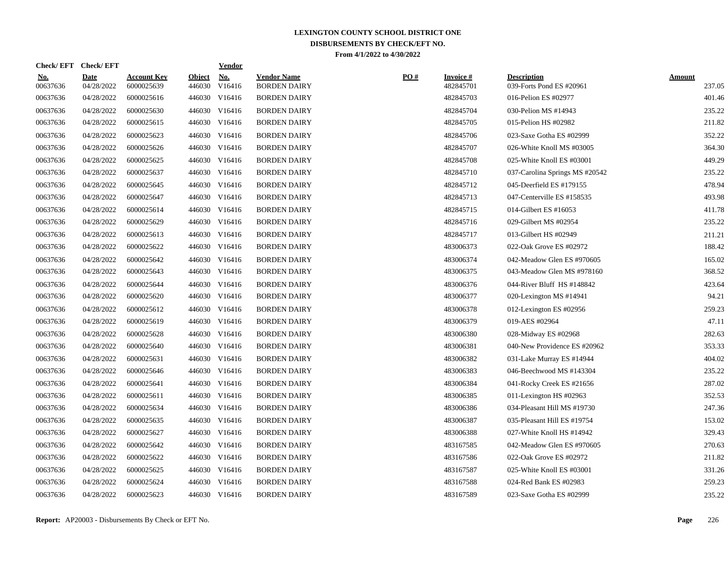| <b>Check/EFT</b>       | <b>Check/EFT</b>          |                                  |                         | <b>Vendor</b> |                                           |     |                              |                                                |                         |
|------------------------|---------------------------|----------------------------------|-------------------------|---------------|-------------------------------------------|-----|------------------------------|------------------------------------------------|-------------------------|
| <b>No.</b><br>00637636 | <b>Date</b><br>04/28/2022 | <b>Account Key</b><br>6000025639 | <b>Object</b><br>446030 | No.<br>V16416 | <b>Vendor Name</b><br><b>BORDEN DAIRY</b> | PO# | <b>Invoice#</b><br>482845701 | <b>Description</b><br>039-Forts Pond ES #20961 | <b>Amount</b><br>237.05 |
| 00637636               | 04/28/2022                | 6000025616                       |                         | 446030 V16416 | <b>BORDEN DAIRY</b>                       |     | 482845703                    | 016-Pelion ES #02977                           | 401.46                  |
| 00637636               | 04/28/2022                | 6000025630                       |                         | 446030 V16416 | <b>BORDEN DAIRY</b>                       |     | 482845704                    | 030-Pelion MS #14943                           | 235.22                  |
| 00637636               | 04/28/2022                | 6000025615                       |                         | 446030 V16416 | <b>BORDEN DAIRY</b>                       |     | 482845705                    | 015-Pelion HS #02982                           | 211.82                  |
| 00637636               | 04/28/2022                | 6000025623                       |                         | 446030 V16416 | <b>BORDEN DAIRY</b>                       |     | 482845706                    | 023-Saxe Gotha ES #02999                       | 352.22                  |
| 00637636               | 04/28/2022                | 6000025626                       |                         | 446030 V16416 | <b>BORDEN DAIRY</b>                       |     | 482845707                    | 026-White Knoll MS #03005                      | 364.30                  |
| 00637636               | 04/28/2022                | 6000025625                       | 446030                  | V16416        | <b>BORDEN DAIRY</b>                       |     | 482845708                    | 025-White Knoll ES #03001                      | 449.29                  |
| 00637636               | 04/28/2022                | 6000025637                       | 446030                  | V16416        | <b>BORDEN DAIRY</b>                       |     | 482845710                    | 037-Carolina Springs MS #20542                 | 235.22                  |
| 00637636               | 04/28/2022                | 6000025645                       |                         | 446030 V16416 | <b>BORDEN DAIRY</b>                       |     | 482845712                    | 045-Deerfield ES #179155                       | 478.94                  |
| 00637636               | 04/28/2022                | 6000025647                       |                         | 446030 V16416 | <b>BORDEN DAIRY</b>                       |     | 482845713                    | 047-Centerville ES #158535                     | 493.98                  |
| 00637636               | 04/28/2022                | 6000025614                       |                         | 446030 V16416 | <b>BORDEN DAIRY</b>                       |     | 482845715                    | 014-Gilbert ES #16053                          | 411.78                  |
| 00637636               | 04/28/2022                | 6000025629                       |                         | 446030 V16416 | <b>BORDEN DAIRY</b>                       |     | 482845716                    | 029-Gilbert MS #02954                          | 235.22                  |
| 00637636               | 04/28/2022                | 6000025613                       |                         | 446030 V16416 | <b>BORDEN DAIRY</b>                       |     | 482845717                    | 013-Gilbert HS #02949                          | 211.21                  |
| 00637636               | 04/28/2022                | 6000025622                       |                         | 446030 V16416 | <b>BORDEN DAIRY</b>                       |     | 483006373                    | 022-Oak Grove ES #02972                        | 188.42                  |
| 00637636               | 04/28/2022                | 6000025642                       | 446030                  | V16416        | <b>BORDEN DAIRY</b>                       |     | 483006374                    | 042-Meadow Glen ES #970605                     | 165.02                  |
| 00637636               | 04/28/2022                | 6000025643                       | 446030                  | V16416        | <b>BORDEN DAIRY</b>                       |     | 483006375                    | 043-Meadow Glen MS #978160                     | 368.52                  |
| 00637636               | 04/28/2022                | 6000025644                       |                         | 446030 V16416 | <b>BORDEN DAIRY</b>                       |     | 483006376                    | 044-River Bluff HS #148842                     | 423.64                  |
| 00637636               | 04/28/2022                | 6000025620                       |                         | 446030 V16416 | <b>BORDEN DAIRY</b>                       |     | 483006377                    | 020-Lexington MS #14941                        | 94.21                   |
| 00637636               | 04/28/2022                | 6000025612                       |                         | 446030 V16416 | <b>BORDEN DAIRY</b>                       |     | 483006378                    | 012-Lexington ES #02956                        | 259.23                  |
| 00637636               | 04/28/2022                | 6000025619                       |                         | 446030 V16416 | <b>BORDEN DAIRY</b>                       |     | 483006379                    | 019-AES #02964                                 | 47.11                   |
| 00637636               | 04/28/2022                | 6000025628                       |                         | 446030 V16416 | <b>BORDEN DAIRY</b>                       |     | 483006380                    | 028-Midway ES #02968                           | 282.63                  |
| 00637636               | 04/28/2022                | 6000025640                       |                         | 446030 V16416 | <b>BORDEN DAIRY</b>                       |     | 483006381                    | 040-New Providence ES #20962                   | 353.33                  |
| 00637636               | 04/28/2022                | 6000025631                       | 446030                  | V16416        | <b>BORDEN DAIRY</b>                       |     | 483006382                    | 031-Lake Murray ES #14944                      | 404.02                  |
| 00637636               | 04/28/2022                | 6000025646                       | 446030                  | V16416        | <b>BORDEN DAIRY</b>                       |     | 483006383                    | 046-Beechwood MS #143304                       | 235.22                  |
| 00637636               | 04/28/2022                | 6000025641                       |                         | 446030 V16416 | <b>BORDEN DAIRY</b>                       |     | 483006384                    | 041-Rocky Creek ES #21656                      | 287.02                  |
| 00637636               | 04/28/2022                | 6000025611                       |                         | 446030 V16416 | <b>BORDEN DAIRY</b>                       |     | 483006385                    | 011-Lexington HS #02963                        | 352.53                  |
| 00637636               | 04/28/2022                | 6000025634                       |                         | 446030 V16416 | <b>BORDEN DAIRY</b>                       |     | 483006386                    | 034-Pleasant Hill MS #19730                    | 247.36                  |
| 00637636               | 04/28/2022                | 6000025635                       |                         | 446030 V16416 | <b>BORDEN DAIRY</b>                       |     | 483006387                    | 035-Pleasant Hill ES #19754                    | 153.02                  |
| 00637636               | 04/28/2022                | 6000025627                       |                         | 446030 V16416 | <b>BORDEN DAIRY</b>                       |     | 483006388                    | 027-White Knoll HS #14942                      | 329.43                  |
| 00637636               | 04/28/2022                | 6000025642                       |                         | 446030 V16416 | <b>BORDEN DAIRY</b>                       |     | 483167585                    | 042-Meadow Glen ES #970605                     | 270.63                  |
| 00637636               | 04/28/2022                | 6000025622                       | 446030                  | V16416        | <b>BORDEN DAIRY</b>                       |     | 483167586                    | 022-Oak Grove ES #02972                        | 211.82                  |
| 00637636               | 04/28/2022                | 6000025625                       | 446030                  | V16416        | <b>BORDEN DAIRY</b>                       |     | 483167587                    | 025-White Knoll ES #03001                      | 331.26                  |
| 00637636               | 04/28/2022                | 6000025624                       | 446030                  | V16416        | <b>BORDEN DAIRY</b>                       |     | 483167588                    | 024-Red Bank ES #02983                         | 259.23                  |
| 00637636               | 04/28/2022                | 6000025623                       |                         | 446030 V16416 | <b>BORDEN DAIRY</b>                       |     | 483167589                    | 023-Saxe Gotha ES #02999                       | 235.22                  |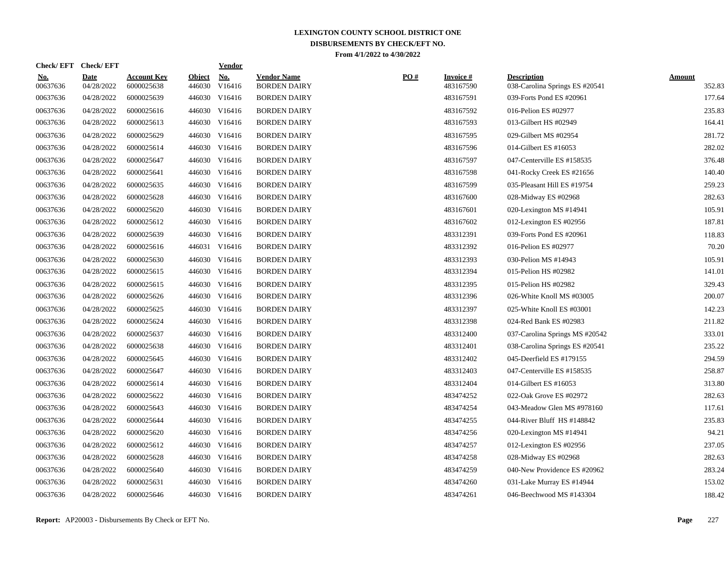| <u>No.</u><br>00637636 | <b>Date</b><br>04/28/2022 | <b>Account Key</b><br>6000025638 | <b>Object</b><br>446030 | <u>No.</u><br>V16416 | <b>Vendor Name</b><br><b>BORDEN DAIRY</b> | $\underline{PO#}$ | <b>Invoice#</b><br>483167590 | <b>Description</b><br>038-Carolina Springs ES #20541 | <b>Amount</b><br>352.83 |
|------------------------|---------------------------|----------------------------------|-------------------------|----------------------|-------------------------------------------|-------------------|------------------------------|------------------------------------------------------|-------------------------|
| 00637636               | 04/28/2022                | 6000025639                       |                         | 446030 V16416        | <b>BORDEN DAIRY</b>                       |                   | 483167591                    | 039-Forts Pond ES #20961                             | 177.64                  |
| 00637636               | 04/28/2022                | 6000025616                       |                         | 446030 V16416        | <b>BORDEN DAIRY</b>                       |                   | 483167592                    | 016-Pelion ES #02977                                 | 235.83                  |
| 00637636               | 04/28/2022                | 6000025613                       |                         | 446030 V16416        | <b>BORDEN DAIRY</b>                       |                   | 483167593                    | 013-Gilbert HS #02949                                | 164.41                  |
| 00637636               | 04/28/2022                | 6000025629                       |                         | 446030 V16416        | <b>BORDEN DAIRY</b>                       |                   | 483167595                    | 029-Gilbert MS #02954                                | 281.72                  |
| 00637636               | 04/28/2022                | 6000025614                       |                         | 446030 V16416        | <b>BORDEN DAIRY</b>                       |                   | 483167596                    | 014-Gilbert ES #16053                                | 282.02                  |
| 00637636               | 04/28/2022                | 6000025647                       |                         | 446030 V16416        | <b>BORDEN DAIRY</b>                       |                   | 483167597                    | 047-Centerville ES #158535                           | 376.48                  |
| 00637636               | 04/28/2022                | 6000025641                       |                         | 446030 V16416        | <b>BORDEN DAIRY</b>                       |                   | 483167598                    | 041-Rocky Creek ES #21656                            | 140.40                  |
| 00637636               | 04/28/2022                | 6000025635                       |                         | 446030 V16416        | <b>BORDEN DAIRY</b>                       |                   | 483167599                    | 035-Pleasant Hill ES #19754                          | 259.23                  |
| 00637636               | 04/28/2022                | 6000025628                       |                         | 446030 V16416        | <b>BORDEN DAIRY</b>                       |                   | 483167600                    | 028-Midway ES #02968                                 | 282.63                  |
| 00637636               | 04/28/2022                | 6000025620                       |                         | 446030 V16416        | <b>BORDEN DAIRY</b>                       |                   | 483167601                    | 020-Lexington MS #14941                              | 105.91                  |
| 00637636               | 04/28/2022                | 6000025612                       |                         | 446030 V16416        | <b>BORDEN DAIRY</b>                       |                   | 483167602                    | 012-Lexington ES #02956                              | 187.81                  |
| 00637636               | 04/28/2022                | 6000025639                       |                         | 446030 V16416        | <b>BORDEN DAIRY</b>                       |                   | 483312391                    | 039-Forts Pond ES #20961                             | 118.83                  |
| 00637636               | 04/28/2022                | 6000025616                       |                         | 446031 V16416        | <b>BORDEN DAIRY</b>                       |                   | 483312392                    | 016-Pelion ES #02977                                 | 70.20                   |
| 00637636               | 04/28/2022                | 6000025630                       |                         | 446030 V16416        | <b>BORDEN DAIRY</b>                       |                   | 483312393                    | 030-Pelion MS #14943                                 | 105.91                  |
| 00637636               | 04/28/2022                | 6000025615                       |                         | 446030 V16416        | <b>BORDEN DAIRY</b>                       |                   | 483312394                    | 015-Pelion HS #02982                                 | 141.01                  |
| 00637636               | 04/28/2022                | 6000025615                       |                         | 446030 V16416        | <b>BORDEN DAIRY</b>                       |                   | 483312395                    | 015-Pelion HS #02982                                 | 329.43                  |
| 00637636               | 04/28/2022                | 6000025626                       |                         | 446030 V16416        | <b>BORDEN DAIRY</b>                       |                   | 483312396                    | 026-White Knoll MS #03005                            | 200.07                  |
| 00637636               | 04/28/2022                | 6000025625                       |                         | 446030 V16416        | <b>BORDEN DAIRY</b>                       |                   | 483312397                    | 025-White Knoll ES #03001                            | 142.23                  |
| 00637636               | 04/28/2022                | 6000025624                       |                         | 446030 V16416        | <b>BORDEN DAIRY</b>                       |                   | 483312398                    | 024-Red Bank ES #02983                               | 211.82                  |
| 00637636               | 04/28/2022                | 6000025637                       |                         | 446030 V16416        | <b>BORDEN DAIRY</b>                       |                   | 483312400                    | 037-Carolina Springs MS #20542                       | 333.01                  |
| 00637636               | 04/28/2022                | 6000025638                       |                         | 446030 V16416        | <b>BORDEN DAIRY</b>                       |                   | 483312401                    | 038-Carolina Springs ES #20541                       | 235.22                  |
| 00637636               | 04/28/2022                | 6000025645                       |                         | 446030 V16416        | <b>BORDEN DAIRY</b>                       |                   | 483312402                    | 045-Deerfield ES #179155                             | 294.59                  |
| 00637636               | 04/28/2022                | 6000025647                       |                         | 446030 V16416        | <b>BORDEN DAIRY</b>                       |                   | 483312403                    | 047-Centerville ES #158535                           | 258.87                  |
| 00637636               | 04/28/2022                | 6000025614                       | 446030                  | V16416               | <b>BORDEN DAIRY</b>                       |                   | 483312404                    | 014-Gilbert ES #16053                                | 313.80                  |
| 00637636               | 04/28/2022                | 6000025622                       |                         | 446030 V16416        | <b>BORDEN DAIRY</b>                       |                   | 483474252                    | 022-Oak Grove ES #02972                              | 282.63                  |
| 00637636               | 04/28/2022                | 6000025643                       |                         | 446030 V16416        | <b>BORDEN DAIRY</b>                       |                   | 483474254                    | 043-Meadow Glen MS #978160                           | 117.61                  |
| 00637636               | 04/28/2022                | 6000025644                       |                         | 446030 V16416        | <b>BORDEN DAIRY</b>                       |                   | 483474255                    | 044-River Bluff HS #148842                           | 235.83                  |
| 00637636               | 04/28/2022                | 6000025620                       |                         | 446030 V16416        | <b>BORDEN DAIRY</b>                       |                   | 483474256                    | 020-Lexington MS #14941                              | 94.21                   |
| 00637636               | 04/28/2022                | 6000025612                       |                         | 446030 V16416        | <b>BORDEN DAIRY</b>                       |                   | 483474257                    | 012-Lexington ES #02956                              | 237.05                  |
| 00637636               | 04/28/2022                | 6000025628                       |                         | 446030 V16416        | <b>BORDEN DAIRY</b>                       |                   | 483474258                    | 028-Midway ES #02968                                 | 282.63                  |
| 00637636               | 04/28/2022                | 6000025640                       | 446030                  | V16416               | <b>BORDEN DAIRY</b>                       |                   | 483474259                    | 040-New Providence ES #20962                         | 283.24                  |
| 00637636               | 04/28/2022                | 6000025631                       | 446030                  | V16416               | <b>BORDEN DAIRY</b>                       |                   | 483474260                    | 031-Lake Murray ES #14944                            | 153.02                  |
| 00637636               | 04/28/2022                | 6000025646                       |                         | 446030 V16416        | <b>BORDEN DAIRY</b>                       |                   | 483474261                    | 046-Beechwood MS #143304                             | 188.42                  |

**Check/ EFT Vendor Check/ EFT**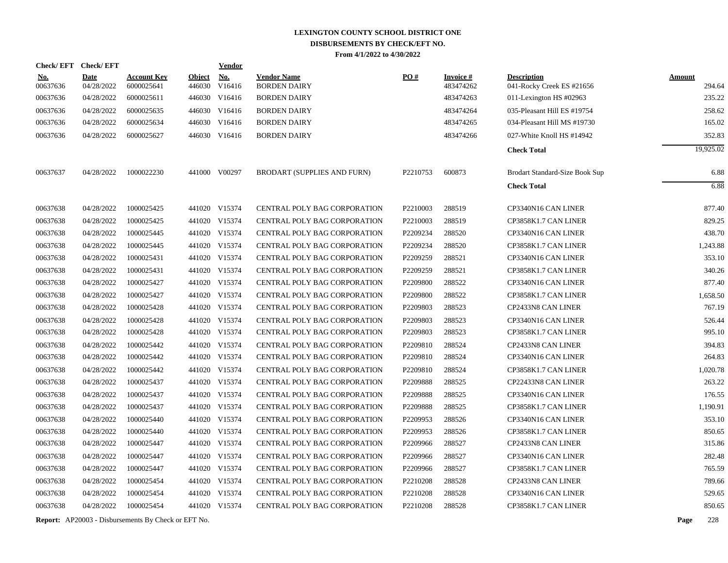| <b>Check/EFT</b>       | <b>Check/EFT</b>          |                                  |               | <b>Vendor</b>               |                                           |          |                               |                                                 |                         |
|------------------------|---------------------------|----------------------------------|---------------|-----------------------------|-------------------------------------------|----------|-------------------------------|-------------------------------------------------|-------------------------|
| <u>No.</u><br>00637636 | <b>Date</b><br>04/28/2022 | <u>Account Key</u><br>6000025641 | <b>Object</b> | <u>No.</u><br>446030 V16416 | <b>Vendor Name</b><br><b>BORDEN DAIRY</b> | PO#      | <u>Invoice #</u><br>483474262 | <b>Description</b><br>041-Rocky Creek ES #21656 | <b>Amount</b><br>294.64 |
| 00637636               | 04/28/2022                | 6000025611                       |               | 446030 V16416               | <b>BORDEN DAIRY</b>                       |          | 483474263                     | 011-Lexington HS $\#02963$                      | 235.22                  |
| 00637636               | 04/28/2022                | 6000025635                       |               | 446030 V16416               | <b>BORDEN DAIRY</b>                       |          | 483474264                     | 035-Pleasant Hill ES #19754                     | 258.62                  |
| 00637636               | 04/28/2022                | 6000025634                       |               | 446030 V16416               | <b>BORDEN DAIRY</b>                       |          | 483474265                     | 034-Pleasant Hill MS #19730                     | 165.02                  |
| 00637636               | 04/28/2022                | 6000025627                       |               | 446030 V16416               | <b>BORDEN DAIRY</b>                       |          | 483474266                     | 027-White Knoll HS #14942                       | 352.83                  |
|                        |                           |                                  |               |                             |                                           |          |                               | <b>Check Total</b>                              | 19,925.02               |
| 00637637               | 04/28/2022                | 1000022230                       |               | 441000 V00297               | <b>BRODART (SUPPLIES AND FURN)</b>        | P2210753 | 600873                        | Brodart Standard-Size Book Sup                  | 6.88                    |
|                        |                           |                                  |               |                             |                                           |          |                               | <b>Check Total</b>                              | 6.88                    |
| 00637638               | 04/28/2022                | 1000025425                       |               | 441020 V15374               | CENTRAL POLY BAG CORPORATION              | P2210003 | 288519                        | CP3340N16 CAN LINER                             | 877.40                  |
| 00637638               | 04/28/2022                | 1000025425                       |               | 441020 V15374               | CENTRAL POLY BAG CORPORATION              | P2210003 | 288519                        | CP3858K1.7 CAN LINER                            | 829.25                  |
| 00637638               | 04/28/2022                | 1000025445                       |               | 441020 V15374               | CENTRAL POLY BAG CORPORATION              | P2209234 | 288520                        | CP3340N16 CAN LINER                             | 438.70                  |
| 00637638               | 04/28/2022                | 1000025445                       |               | 441020 V15374               | CENTRAL POLY BAG CORPORATION              | P2209234 | 288520                        | CP3858K1.7 CAN LINER                            | 1,243.88                |
| 00637638               | 04/28/2022                | 1000025431                       |               | 441020 V15374               | CENTRAL POLY BAG CORPORATION              | P2209259 | 288521                        | CP3340N16 CAN LINER                             | 353.10                  |
| 00637638               | 04/28/2022                | 1000025431                       |               | 441020 V15374               | CENTRAL POLY BAG CORPORATION              | P2209259 | 288521                        | CP3858K1.7 CAN LINER                            | 340.26                  |
| 00637638               | 04/28/2022                | 1000025427                       |               | 441020 V15374               | CENTRAL POLY BAG CORPORATION              | P2209800 | 288522                        | CP3340N16 CAN LINER                             | 877.40                  |
| 00637638               | 04/28/2022                | 1000025427                       |               | 441020 V15374               | CENTRAL POLY BAG CORPORATION              | P2209800 | 288522                        | CP3858K1.7 CAN LINER                            | 1,658.50                |
| 00637638               | 04/28/2022                | 1000025428                       |               | 441020 V15374               | CENTRAL POLY BAG CORPORATION              | P2209803 | 288523                        | CP2433N8 CAN LINER                              | 767.19                  |
| 00637638               | 04/28/2022                | 1000025428                       |               | 441020 V15374               | CENTRAL POLY BAG CORPORATION              | P2209803 | 288523                        | CP3340N16 CAN LINER                             | 526.44                  |
| 00637638               | 04/28/2022                | 1000025428                       |               | 441020 V15374               | <b>CENTRAL POLY BAG CORPORATION</b>       | P2209803 | 288523                        | CP3858K1.7 CAN LINER                            | 995.10                  |
| 00637638               | 04/28/2022                | 1000025442                       |               | 441020 V15374               | CENTRAL POLY BAG CORPORATION              | P2209810 | 288524                        | CP2433N8 CAN LINER                              | 394.83                  |
| 00637638               | 04/28/2022                | 1000025442                       |               | 441020 V15374               | CENTRAL POLY BAG CORPORATION              | P2209810 | 288524                        | CP3340N16 CAN LINER                             | 264.83                  |
| 00637638               | 04/28/2022                | 1000025442                       |               | 441020 V15374               | <b>CENTRAL POLY BAG CORPORATION</b>       | P2209810 | 288524                        | CP3858K1.7 CAN LINER                            | 1,020.78                |
| 00637638               | 04/28/2022                | 1000025437                       |               | 441020 V15374               | CENTRAL POLY BAG CORPORATION              | P2209888 | 288525                        | CP22433N8 CAN LINER                             | 263.22                  |
| 00637638               | 04/28/2022                | 1000025437                       |               | 441020 V15374               | <b>CENTRAL POLY BAG CORPORATION</b>       | P2209888 | 288525                        | CP3340N16 CAN LINER                             | 176.55                  |
| 00637638               | 04/28/2022                | 1000025437                       |               | 441020 V15374               | CENTRAL POLY BAG CORPORATION              | P2209888 | 288525                        | CP3858K1.7 CAN LINER                            | 1,190.91                |
| 00637638               | 04/28/2022                | 1000025440                       |               | 441020 V15374               | CENTRAL POLY BAG CORPORATION              | P2209953 | 288526                        | CP3340N16 CAN LINER                             | 353.10                  |
| 00637638               | 04/28/2022                | 1000025440                       |               | 441020 V15374               | CENTRAL POLY BAG CORPORATION              | P2209953 | 288526                        | CP3858K1.7 CAN LINER                            | 850.65                  |
| 00637638               | 04/28/2022                | 1000025447                       |               | 441020 V15374               | CENTRAL POLY BAG CORPORATION              | P2209966 | 288527                        | CP2433N8 CAN LINER                              | 315.86                  |
| 00637638               | 04/28/2022                | 1000025447                       |               | 441020 V15374               | <b>CENTRAL POLY BAG CORPORATION</b>       | P2209966 | 288527                        | CP3340N16 CAN LINER                             | 282.48                  |
| 00637638               | 04/28/2022                | 1000025447                       |               | 441020 V15374               | CENTRAL POLY BAG CORPORATION              | P2209966 | 288527                        | CP3858K1.7 CAN LINER                            | 765.59                  |
| 00637638               | 04/28/2022                | 1000025454                       |               | 441020 V15374               | CENTRAL POLY BAG CORPORATION              | P2210208 | 288528                        | CP2433N8 CAN LINER                              | 789.66                  |
| 00637638               | 04/28/2022                | 1000025454                       |               | 441020 V15374               | CENTRAL POLY BAG CORPORATION              | P2210208 | 288528                        | CP3340N16 CAN LINER                             | 529.65                  |
| 00637638               | 04/28/2022                | 1000025454                       |               | 441020 V15374               | CENTRAL POLY BAG CORPORATION              | P2210208 | 288528                        | CP3858K1.7 CAN LINER                            | 850.65                  |
|                        |                           |                                  |               |                             |                                           |          |                               |                                                 |                         |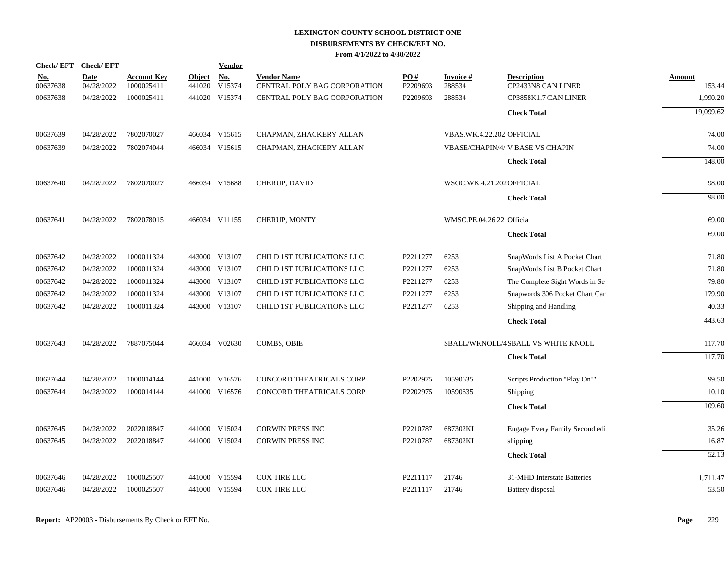| Check/EFT Check/EFT    |                           |                                  |                         | <b>Vendor</b> |                                                    |                 |                           |                                          |                  |
|------------------------|---------------------------|----------------------------------|-------------------------|---------------|----------------------------------------------------|-----------------|---------------------------|------------------------------------------|------------------|
| <u>No.</u><br>00637638 | <b>Date</b><br>04/28/2022 | <b>Account Key</b><br>1000025411 | <b>Object</b><br>441020 | No.<br>V15374 | <b>Vendor Name</b><br>CENTRAL POLY BAG CORPORATION | PO#<br>P2209693 | Invoice #<br>288534       | <b>Description</b><br>CP2433N8 CAN LINER | Amount<br>153.44 |
| 00637638               | 04/28/2022                | 1000025411                       |                         | 441020 V15374 | <b>CENTRAL POLY BAG CORPORATION</b>                | P2209693        | 288534                    | CP3858K1.7 CAN LINER                     | 1,990.20         |
|                        |                           |                                  |                         |               |                                                    |                 |                           | <b>Check Total</b>                       | 19.099.62        |
| 00637639               | 04/28/2022                | 7802070027                       |                         | 466034 V15615 | CHAPMAN, ZHACKERY ALLAN                            |                 | VBAS.WK.4.22.202 OFFICIAL |                                          | 74.00            |
| 00637639               | 04/28/2022                | 7802074044                       |                         | 466034 V15615 | CHAPMAN, ZHACKERY ALLAN                            |                 |                           | <b>VBASE/CHAPIN/4/ V BASE VS CHAPIN</b>  | 74.00            |
|                        |                           |                                  |                         |               |                                                    |                 |                           | <b>Check Total</b>                       | 148.00           |
| 00637640               | 04/28/2022                | 7802070027                       |                         | 466034 V15688 | CHERUP, DAVID                                      |                 | WSOC.WK.4.21.202OFFICIAL  |                                          | 98.00            |
|                        |                           |                                  |                         |               |                                                    |                 |                           | <b>Check Total</b>                       | 98.00            |
| 00637641               | 04/28/2022                | 7802078015                       |                         | 466034 V11155 | <b>CHERUP, MONTY</b>                               |                 | WMSC.PE.04.26.22 Official |                                          | 69.00            |
|                        |                           |                                  |                         |               |                                                    |                 |                           | <b>Check Total</b>                       | 69.00            |
| 00637642               | 04/28/2022                | 1000011324                       |                         | 443000 V13107 | CHILD 1ST PUBLICATIONS LLC                         | P2211277        | 6253                      | SnapWords List A Pocket Chart            | 71.80            |
| 00637642               | 04/28/2022                | 1000011324                       |                         | 443000 V13107 | CHILD 1ST PUBLICATIONS LLC                         | P2211277        | 6253                      | SnapWords List B Pocket Chart            | 71.80            |
| 00637642               | 04/28/2022                | 1000011324                       |                         | 443000 V13107 | CHILD 1ST PUBLICATIONS LLC                         | P2211277        | 6253                      | The Complete Sight Words in Se           | 79.80            |
| 00637642               | 04/28/2022                | 1000011324                       |                         | 443000 V13107 | CHILD 1ST PUBLICATIONS LLC                         | P2211277        | 6253                      | Snapwords 306 Pocket Chart Car           | 179.90           |
| 00637642               | 04/28/2022                | 1000011324                       |                         | 443000 V13107 | <b>CHILD 1ST PUBLICATIONS LLC</b>                  | P2211277        | 6253                      | Shipping and Handling                    | 40.33            |
|                        |                           |                                  |                         |               |                                                    |                 |                           | <b>Check Total</b>                       | 443.63           |
| 00637643               | 04/28/2022                | 7887075044                       |                         | 466034 V02630 | <b>COMBS, OBIE</b>                                 |                 |                           | SBALL/WKNOLL/4SBALL VS WHITE KNOLL       | 117.70           |
|                        |                           |                                  |                         |               |                                                    |                 |                           | <b>Check Total</b>                       | 117.70           |
| 00637644               | 04/28/2022                | 1000014144                       |                         | 441000 V16576 | CONCORD THEATRICALS CORP                           | P2202975        | 10590635                  | Scripts Production "Play On!"            | 99.50            |
| 00637644               | 04/28/2022                | 1000014144                       |                         | 441000 V16576 | CONCORD THEATRICALS CORP                           | P2202975        | 10590635                  | Shipping                                 | 10.10            |
|                        |                           |                                  |                         |               |                                                    |                 |                           | <b>Check Total</b>                       | 109.60           |
| 00637645               | 04/28/2022                | 2022018847                       |                         | 441000 V15024 | <b>CORWIN PRESS INC</b>                            | P2210787        | 687302KI                  | Engage Every Family Second edi           | 35.26            |
| 00637645               | 04/28/2022                | 2022018847                       |                         | 441000 V15024 | <b>CORWIN PRESS INC</b>                            | P2210787        | 687302KI                  | shipping                                 | 16.87            |
|                        |                           |                                  |                         |               |                                                    |                 |                           | <b>Check Total</b>                       | 52.13            |
| 00637646               | 04/28/2022                | 1000025507                       |                         | 441000 V15594 | <b>COX TIRE LLC</b>                                | P2211117        | 21746                     | 31-MHD Interstate Batteries              | 1,711.47         |
| 00637646               | 04/28/2022                | 1000025507                       |                         | 441000 V15594 | COX TIRE LLC                                       | P2211117        | 21746                     | Battery disposal                         | 53.50            |
|                        |                           |                                  |                         |               |                                                    |                 |                           |                                          |                  |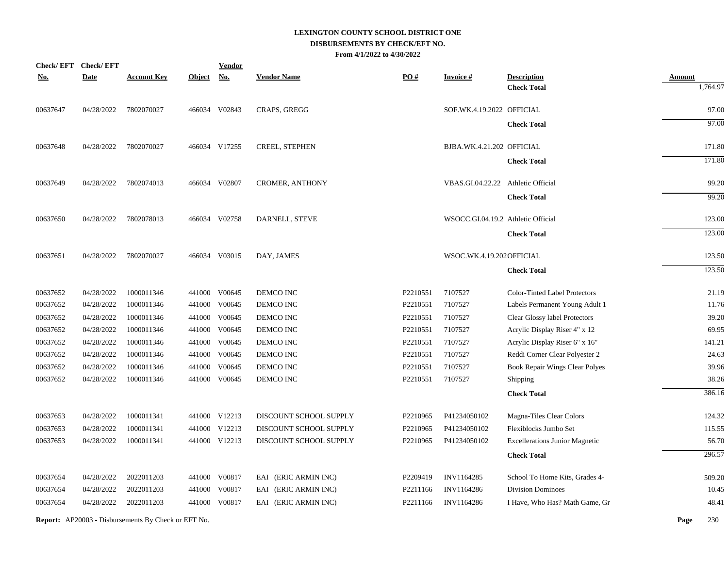|            | Check/EFT Check/EFT |                    |               | <b>Vendor</b> |                        |                      |                                    |                                          |                           |
|------------|---------------------|--------------------|---------------|---------------|------------------------|----------------------|------------------------------------|------------------------------------------|---------------------------|
| <u>No.</u> | <b>Date</b>         | <b>Account Key</b> | <b>Object</b> | <b>No.</b>    | <b>Vendor Name</b>     | PO#                  | <b>Invoice#</b>                    | <b>Description</b><br><b>Check Total</b> | <b>Amount</b><br>1,764.97 |
| 00637647   | 04/28/2022          | 7802070027         |               | 466034 V02843 | CRAPS, GREGG           |                      | SOF.WK.4.19.2022 OFFICIAL          |                                          | 97.00                     |
|            |                     |                    |               |               |                        |                      |                                    | <b>Check Total</b>                       | 97.00                     |
| 00637648   | 04/28/2022          | 7802070027         |               | 466034 V17255 | <b>CREEL, STEPHEN</b>  |                      | BJBA.WK.4.21.202 OFFICIAL          |                                          | 171.80                    |
|            |                     |                    |               |               |                        |                      |                                    | <b>Check Total</b>                       | 171.80                    |
| 00637649   | 04/28/2022          | 7802074013         |               | 466034 V02807 | <b>CROMER, ANTHONY</b> |                      | VBAS.GI.04.22.22 Athletic Official |                                          | 99.20                     |
|            |                     |                    |               |               |                        |                      |                                    | <b>Check Total</b>                       | 99.20                     |
| 00637650   | 04/28/2022          | 7802078013         |               | 466034 V02758 | DARNELL, STEVE         |                      | WSOCC.GI.04.19.2 Athletic Official |                                          | 123.00                    |
|            |                     |                    |               |               |                        |                      |                                    | <b>Check Total</b>                       | 123.00                    |
| 00637651   | 04/28/2022          | 7802070027         |               | 466034 V03015 | DAY, JAMES             |                      | WSOC.WK.4.19.202OFFICIAL           |                                          | 123.50                    |
|            |                     |                    |               |               |                        |                      |                                    | <b>Check Total</b>                       | 123.50                    |
| 00637652   | 04/28/2022          | 1000011346         | 441000        | V00645        | DEMCO INC              | P2210551             | 7107527                            | Color-Tinted Label Protectors            | 21.19                     |
| 00637652   | 04/28/2022          | 1000011346         |               | 441000 V00645 | DEMCO INC              | P2210551             | 7107527                            | Labels Permanent Young Adult 1           | 11.76                     |
| 00637652   | 04/28/2022          | 1000011346         | 441000        | V00645        | DEMCO INC              | P2210551             | 7107527                            | Clear Glossy label Protectors            | 39.20                     |
| 00637652   | 04/28/2022          | 1000011346         | 441000        | V00645        | DEMCO INC              | P2210551             | 7107527                            | Acrylic Display Riser 4" x 12            | 69.95                     |
| 00637652   | 04/28/2022          | 1000011346         | 441000        | V00645        | DEMCO INC              | P2210551             | 7107527                            | Acrylic Display Riser 6" x 16"           | 141.21                    |
| 00637652   | 04/28/2022          | 1000011346         |               | 441000 V00645 | DEMCO INC              | P2210551             | 7107527                            | Reddi Corner Clear Polyester 2           | 24.63                     |
| 00637652   | 04/28/2022          | 1000011346         | 441000        | V00645        | DEMCO INC              | P2210551             | 7107527                            | <b>Book Repair Wings Clear Polyes</b>    | 39.96                     |
| 00637652   | 04/28/2022          | 1000011346         |               | 441000 V00645 | DEMCO INC              | P2210551             | 7107527                            | Shipping                                 | 38.26                     |
|            |                     |                    |               |               |                        |                      |                                    | <b>Check Total</b>                       | 386.16                    |
| 00637653   | 04/28/2022          | 1000011341         |               | 441000 V12213 | DISCOUNT SCHOOL SUPPLY | P2210965             | P41234050102                       | Magna-Tiles Clear Colors                 | 124.32                    |
| 00637653   | 04/28/2022          | 1000011341         |               | 441000 V12213 | DISCOUNT SCHOOL SUPPLY | P2210965             | P41234050102                       | Flexiblocks Jumbo Set                    | 115.55                    |
| 00637653   | 04/28/2022          | 1000011341         |               | 441000 V12213 | DISCOUNT SCHOOL SUPPLY | P2210965             | P41234050102                       | <b>Excellerations Junior Magnetic</b>    | 56.70                     |
|            |                     |                    |               |               |                        |                      |                                    | <b>Check Total</b>                       | 296.57                    |
| 00637654   | 04/28/2022          | 2022011203         |               | 441000 V00817 | EAI (ERIC ARMIN INC)   | P2209419             | INV1164285                         | School To Home Kits, Grades 4-           | 509.20                    |
| 00637654   | 04/28/2022          | 2022011203         | 441000        | V00817        | EAI (ERIC ARMIN INC)   | P2211166             | INV1164286                         | <b>Division Dominoes</b>                 | 10.45                     |
| 00637654   | 04/28/2022          | 2022011203         |               | 441000 V00817 | EAI (ERIC ARMIN INC)   | P <sub>2211166</sub> | INV1164286                         | I Have, Who Has? Math Game, Gr           | 48.41                     |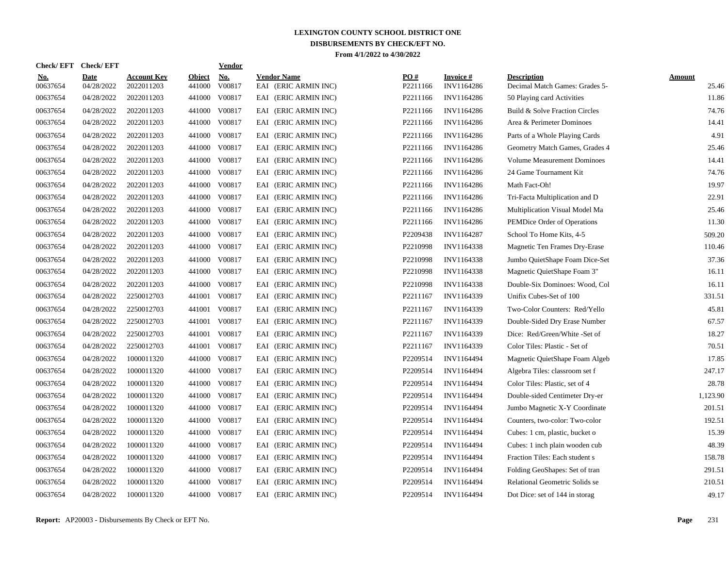| Check/ EFT | <b>Check/EFT</b> |                    |               | <u>Vendor</u> |                      |                   |                   |                                    |               |
|------------|------------------|--------------------|---------------|---------------|----------------------|-------------------|-------------------|------------------------------------|---------------|
| <u>No.</u> | <b>Date</b>      | <b>Account Key</b> | <b>Object</b> | <b>No.</b>    | <b>Vendor Name</b>   | $\underline{PO#}$ | <b>Invoice</b> #  | <b>Description</b>                 | <b>Amount</b> |
| 00637654   | 04/28/2022       | 2022011203         | 441000        | V00817        | EAI (ERIC ARMIN INC) | P2211166          | INV1164286        | Decimal Match Games: Grades 5-     | 25.46         |
| 00637654   | 04/28/2022       | 2022011203         | 441000        | V00817        | EAI (ERIC ARMIN INC) | P2211166          | INV1164286        | 50 Playing card Activities         | 11.86         |
| 00637654   | 04/28/2022       | 2022011203         | 441000        | V00817        | EAI (ERIC ARMIN INC) | P2211166          | INV1164286        | Build & Solve Fraction Circles     | 74.76         |
| 00637654   | 04/28/2022       | 2022011203         | 441000        | V00817        | EAI (ERIC ARMIN INC) | P2211166          | INV1164286        | Area & Perimeter Dominoes          | 14.41         |
| 00637654   | 04/28/2022       | 2022011203         | 441000        | V00817        | EAI (ERIC ARMIN INC) | P2211166          | INV1164286        | Parts of a Whole Playing Cards     | 4.91          |
| 00637654   | 04/28/2022       | 2022011203         | 441000        | V00817        | EAI (ERIC ARMIN INC) | P2211166          | INV1164286        | Geometry Match Games, Grades 4     | 25.46         |
| 00637654   | 04/28/2022       | 2022011203         | 441000        | V00817        | EAI (ERIC ARMIN INC) | P2211166          | INV1164286        | <b>Volume Measurement Dominoes</b> | 14.41         |
| 00637654   | 04/28/2022       | 2022011203         | 441000        | V00817        | EAI (ERIC ARMIN INC) | P2211166          | INV1164286        | 24 Game Tournament Kit             | 74.76         |
| 00637654   | 04/28/2022       | 2022011203         | 441000        | V00817        | EAI (ERIC ARMIN INC) | P2211166          | INV1164286        | Math Fact-Oh!                      | 19.97         |
| 00637654   | 04/28/2022       | 2022011203         | 441000        | V00817        | EAI (ERIC ARMIN INC) | P2211166          | INV1164286        | Tri-Facta Multiplication and D     | 22.91         |
| 00637654   | 04/28/2022       | 2022011203         | 441000        | V00817        | EAI (ERIC ARMIN INC) | P2211166          | INV1164286        | Multiplication Visual Model Ma     | 25.46         |
| 00637654   | 04/28/2022       | 2022011203         | 441000        | V00817        | EAI (ERIC ARMIN INC) | P2211166          | INV1164286        | PEMDice Order of Operations        | 11.30         |
| 00637654   | 04/28/2022       | 2022011203         | 441000        | V00817        | EAI (ERIC ARMIN INC) | P2209438          | INV1164287        | School To Home Kits, 4-5           | 509.20        |
| 00637654   | 04/28/2022       | 2022011203         | 441000        | V00817        | EAI (ERIC ARMIN INC) | P2210998          | INV1164338        | Magnetic Ten Frames Dry-Erase      | 110.46        |
| 00637654   | 04/28/2022       | 2022011203         | 441000        | V00817        | EAI (ERIC ARMIN INC) | P2210998          | INV1164338        | Jumbo QuietShape Foam Dice-Set     | 37.36         |
| 00637654   | 04/28/2022       | 2022011203         | 441000        | V00817        | EAI (ERIC ARMIN INC) | P2210998          | INV1164338        | Magnetic QuietShape Foam 3"        | 16.11         |
| 00637654   | 04/28/2022       | 2022011203         | 441000        | V00817        | EAI (ERIC ARMIN INC) | P2210998          | INV1164338        | Double-Six Dominoes: Wood, Col     | 16.11         |
| 00637654   | 04/28/2022       | 2250012703         | 441001        | V00817        | EAI (ERIC ARMIN INC) | P2211167          | INV1164339        | Unifix Cubes-Set of 100            | 331.51        |
| 00637654   | 04/28/2022       | 2250012703         | 441001        | V00817        | EAI (ERIC ARMIN INC) | P2211167          | INV1164339        | Two-Color Counters: Red/Yello      | 45.81         |
| 00637654   | 04/28/2022       | 2250012703         | 441001        | V00817        | EAI (ERIC ARMIN INC) | P2211167          | INV1164339        | Double-Sided Dry Erase Number      | 67.57         |
| 00637654   | 04/28/2022       | 2250012703         | 441001        | V00817        | EAI (ERIC ARMIN INC) | P2211167          | INV1164339        | Dice: Red/Green/White -Set of      | 18.27         |
| 00637654   | 04/28/2022       | 2250012703         | 441001        | V00817        | EAI (ERIC ARMIN INC) | P2211167          | INV1164339        | Color Tiles: Plastic - Set of      | 70.51         |
| 00637654   | 04/28/2022       | 1000011320         | 441000        | V00817        | EAI (ERIC ARMIN INC) | P2209514          | INV1164494        | Magnetic QuietShape Foam Algeb     | 17.85         |
| 00637654   | 04/28/2022       | 1000011320         | 441000        | V00817        | EAI (ERIC ARMIN INC) | P2209514          | INV1164494        | Algebra Tiles: classroom set f     | 247.17        |
| 00637654   | 04/28/2022       | 1000011320         | 441000        | V00817        | EAI (ERIC ARMIN INC) | P2209514          | <b>INV1164494</b> | Color Tiles: Plastic, set of 4     | 28.78         |
| 00637654   | 04/28/2022       | 1000011320         | 441000        | V00817        | EAI (ERIC ARMIN INC) | P2209514          | <b>INV1164494</b> | Double-sided Centimeter Dry-er     | 1,123.90      |
| 00637654   | 04/28/2022       | 1000011320         | 441000        | V00817        | EAI (ERIC ARMIN INC) | P2209514          | <b>INV1164494</b> | Jumbo Magnetic X-Y Coordinate      | 201.51        |
| 00637654   | 04/28/2022       | 1000011320         | 441000        | V00817        | EAI (ERIC ARMIN INC) | P2209514          | <b>INV1164494</b> | Counters, two-color: Two-color     | 192.51        |
| 00637654   | 04/28/2022       | 1000011320         | 441000        | V00817        | EAI (ERIC ARMIN INC) | P2209514          | <b>INV1164494</b> | Cubes: 1 cm, plastic, bucket o     | 15.39         |
| 00637654   | 04/28/2022       | 1000011320         | 441000        | V00817        | EAI (ERIC ARMIN INC) | P2209514          | <b>INV1164494</b> | Cubes: 1 inch plain wooden cub     | 48.39         |
| 00637654   | 04/28/2022       | 1000011320         |               | 441000 V00817 | EAI (ERIC ARMIN INC) | P2209514          | <b>INV1164494</b> | Fraction Tiles: Each student s     | 158.78        |
| 00637654   | 04/28/2022       | 1000011320         | 441000        | V00817        | EAI (ERIC ARMIN INC) | P2209514          | INV1164494        | Folding GeoShapes: Set of tran     | 291.51        |
| 00637654   | 04/28/2022       | 1000011320         | 441000        | V00817        | EAI (ERIC ARMIN INC) | P2209514          | INV1164494        | Relational Geometric Solids se     | 210.51        |
| 00637654   | 04/28/2022       | 1000011320         | 441000        | V00817        | EAI (ERIC ARMIN INC) | P2209514          | <b>INV1164494</b> | Dot Dice: set of 144 in storag     | 49.17         |
|            |                  |                    |               |               |                      |                   |                   |                                    |               |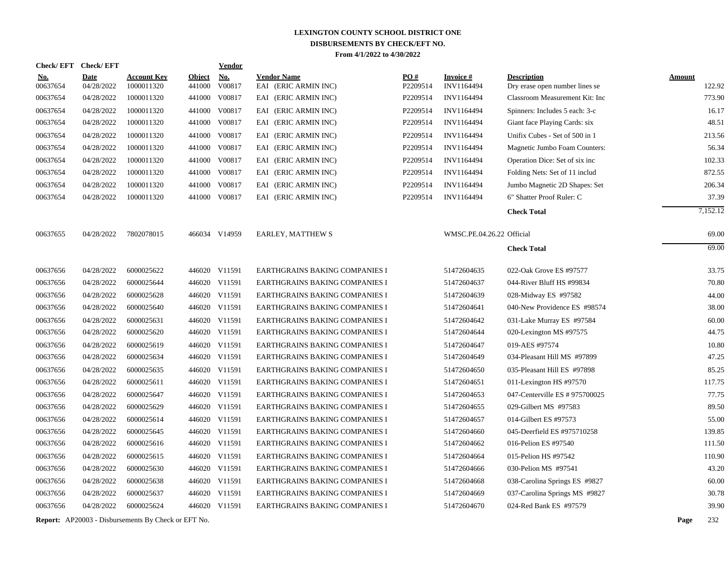| Check/EFT Check/EFT    |                           |                                                            |                         | Vendor        |                                            |                 |                               |                                                      |               |          |
|------------------------|---------------------------|------------------------------------------------------------|-------------------------|---------------|--------------------------------------------|-----------------|-------------------------------|------------------------------------------------------|---------------|----------|
| <u>No.</u><br>00637654 | <b>Date</b><br>04/28/2022 | <b>Account Key</b><br>1000011320                           | <b>Object</b><br>441000 | No.<br>V00817 | <b>Vendor Name</b><br>EAI (ERIC ARMIN INC) | PO#<br>P2209514 | <b>Invoice#</b><br>INV1164494 | <b>Description</b><br>Dry erase open number lines se | <b>Amount</b> | 122.92   |
| 00637654               | 04/28/2022                | 1000011320                                                 | 441000                  | V00817        | EAI (ERIC ARMIN INC)                       | P2209514        | INV1164494                    | Classroom Measurement Kit: Inc                       |               | 773.90   |
| 00637654               | 04/28/2022                | 1000011320                                                 | 441000                  | V00817        | EAI (ERIC ARMIN INC)                       | P2209514        | INV1164494                    | Spinners: Includes 5 each: 3-c                       |               | 16.17    |
| 00637654               | 04/28/2022                | 1000011320                                                 | 441000                  | V00817        | EAI (ERIC ARMIN INC)                       | P2209514        | INV1164494                    | Giant face Playing Cards: six                        |               | 48.51    |
| 00637654               | 04/28/2022                | 1000011320                                                 | 441000                  | V00817        | EAI (ERIC ARMIN INC)                       | P2209514        | INV1164494                    | Unifix Cubes - Set of 500 in 1                       |               | 213.56   |
| 00637654               | 04/28/2022                | 1000011320                                                 | 441000                  | V00817        | EAI (ERIC ARMIN INC)                       | P2209514        | INV1164494                    | Magnetic Jumbo Foam Counters:                        |               | 56.34    |
| 00637654               | 04/28/2022                | 1000011320                                                 | 441000                  | V00817        | EAI (ERIC ARMIN INC)                       | P2209514        | INV1164494                    | Operation Dice: Set of six inc                       |               | 102.33   |
| 00637654               | 04/28/2022                | 1000011320                                                 | 441000                  | V00817        | EAI (ERIC ARMIN INC)                       | P2209514        | INV1164494                    | Folding Nets: Set of 11 includ                       |               | 872.55   |
| 00637654               | 04/28/2022                | 1000011320                                                 | 441000                  | V00817        | EAI (ERIC ARMIN INC)                       | P2209514        | <b>INV1164494</b>             | Jumbo Magnetic 2D Shapes: Set                        |               | 206.34   |
| 00637654               | 04/28/2022                | 1000011320                                                 | 441000                  | V00817        | EAI (ERIC ARMIN INC)                       | P2209514        | INV1164494                    | 6" Shatter Proof Ruler: C                            |               | 37.39    |
|                        |                           |                                                            |                         |               |                                            |                 |                               | <b>Check Total</b>                                   |               | 7,152.12 |
| 00637655               | 04/28/2022                | 7802078015                                                 |                         | 466034 V14959 | <b>EARLEY, MATTHEW S</b>                   |                 | WMSC.PE.04.26.22 Official     |                                                      |               | 69.00    |
|                        |                           |                                                            |                         |               |                                            |                 |                               | <b>Check Total</b>                                   |               | 69.00    |
| 00637656               | 04/28/2022                | 6000025622                                                 |                         | 446020 V11591 | EARTHGRAINS BAKING COMPANIES I             |                 | 51472604635                   | 022-Oak Grove ES #97577                              |               | 33.75    |
| 00637656               | 04/28/2022                | 6000025644                                                 |                         | 446020 V11591 | EARTHGRAINS BAKING COMPANIES I             |                 | 51472604637                   | 044-River Bluff HS #99834                            |               | 70.80    |
| 00637656               | 04/28/2022                | 6000025628                                                 |                         | 446020 V11591 | EARTHGRAINS BAKING COMPANIES I             |                 | 51472604639                   | 028-Midway ES #97582                                 |               | 44.00    |
| 00637656               | 04/28/2022                | 6000025640                                                 |                         | 446020 V11591 | EARTHGRAINS BAKING COMPANIES I             |                 | 51472604641                   | 040-New Providence ES #98574                         |               | 38.00    |
| 00637656               | 04/28/2022                | 6000025631                                                 |                         | 446020 V11591 | EARTHGRAINS BAKING COMPANIES I             |                 | 51472604642                   | 031-Lake Murray ES #97584                            |               | 60.00    |
| 00637656               | 04/28/2022                | 6000025620                                                 |                         | 446020 V11591 | EARTHGRAINS BAKING COMPANIES I             |                 | 51472604644                   | 020-Lexington MS #97575                              |               | 44.75    |
| 00637656               | 04/28/2022                | 6000025619                                                 |                         | 446020 V11591 | EARTHGRAINS BAKING COMPANIES I             |                 | 51472604647                   | 019-AES #97574                                       |               | 10.80    |
| 00637656               | 04/28/2022                | 6000025634                                                 |                         | 446020 V11591 | EARTHGRAINS BAKING COMPANIES I             |                 | 51472604649                   | 034-Pleasant Hill MS #97899                          |               | 47.25    |
| 00637656               | 04/28/2022                | 6000025635                                                 |                         | 446020 V11591 | EARTHGRAINS BAKING COMPANIES I             |                 | 51472604650                   | 035-Pleasant Hill ES #97898                          |               | 85.25    |
| 00637656               | 04/28/2022                | 6000025611                                                 |                         | 446020 V11591 | EARTHGRAINS BAKING COMPANIES I             |                 | 51472604651                   | 011-Lexington HS #97570                              |               | 117.75   |
| 00637656               | 04/28/2022                | 6000025647                                                 |                         | 446020 V11591 | EARTHGRAINS BAKING COMPANIES I             |                 | 51472604653                   | 047-Centerville ES # 975700025                       |               | 77.75    |
| 00637656               | 04/28/2022                | 6000025629                                                 |                         | 446020 V11591 | EARTHGRAINS BAKING COMPANIES I             |                 | 51472604655                   | 029-Gilbert MS #97583                                |               | 89.50    |
| 00637656               | 04/28/2022                | 6000025614                                                 |                         | 446020 V11591 | EARTHGRAINS BAKING COMPANIES I             |                 | 51472604657                   | 014-Gilbert ES #97573                                |               | 55.00    |
| 00637656               | 04/28/2022                | 6000025645                                                 |                         | 446020 V11591 | EARTHGRAINS BAKING COMPANIES I             |                 | 51472604660                   | 045-Deerfield ES #975710258                          |               | 139.85   |
| 00637656               | 04/28/2022                | 6000025616                                                 |                         | 446020 V11591 | EARTHGRAINS BAKING COMPANIES I             |                 | 51472604662                   | 016-Pelion ES #97540                                 |               | 111.50   |
| 00637656               | 04/28/2022                | 6000025615                                                 |                         | 446020 V11591 | EARTHGRAINS BAKING COMPANIES I             |                 | 51472604664                   | 015-Pelion HS #97542                                 |               | 110.90   |
| 00637656               | 04/28/2022                | 6000025630                                                 |                         | 446020 V11591 | EARTHGRAINS BAKING COMPANIES I             |                 | 51472604666                   | 030-Pelion MS #97541                                 |               | 43.20    |
| 00637656               | 04/28/2022                | 6000025638                                                 |                         | 446020 V11591 | EARTHGRAINS BAKING COMPANIES I             |                 | 51472604668                   | 038-Carolina Springs ES #9827                        |               | 60.00    |
| 00637656               | 04/28/2022                | 6000025637                                                 |                         | 446020 V11591 | EARTHGRAINS BAKING COMPANIES I             |                 | 51472604669                   | 037-Carolina Springs MS #9827                        |               | 30.78    |
| 00637656               | 04/28/2022                | 6000025624                                                 |                         | 446020 V11591 | EARTHGRAINS BAKING COMPANIES I             |                 | 51472604670                   | 024-Red Bank ES #97579                               |               | 39.90    |
|                        |                           | <b>Report:</b> AP20003 - Disbursements By Check or EFT No. |                         |               |                                            |                 |                               |                                                      | Page          | 232      |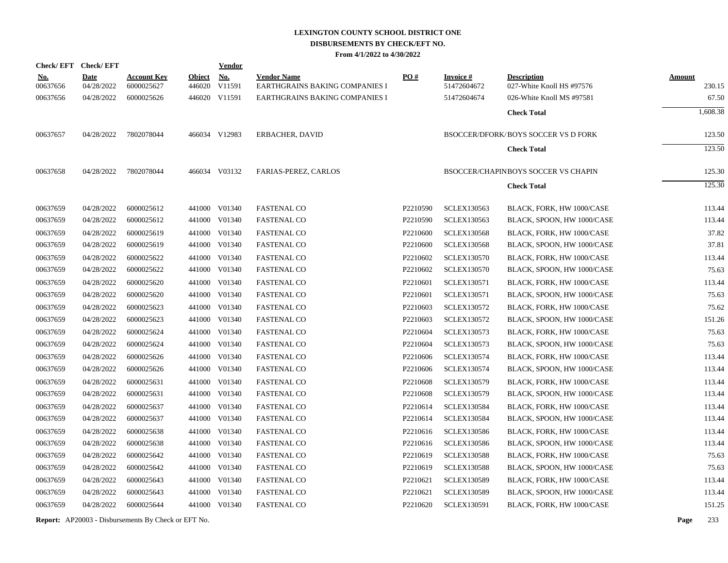|                        | Check/EFT Check/EFT       |                                  |                         | <b>Vendor</b>        |                                                      |                   |                                |                                                         |                         |
|------------------------|---------------------------|----------------------------------|-------------------------|----------------------|------------------------------------------------------|-------------------|--------------------------------|---------------------------------------------------------|-------------------------|
| <u>No.</u><br>00637656 | <b>Date</b><br>04/28/2022 | <b>Account Key</b><br>6000025627 | <b>Object</b><br>446020 | <b>No.</b><br>V11591 | <b>Vendor Name</b><br>EARTHGRAINS BAKING COMPANIES I | $\underline{PO#}$ | <b>Invoice#</b><br>51472604672 | <b>Description</b><br>027-White Knoll HS #97576         | <b>Amount</b><br>230.15 |
| 00637656               | 04/28/2022                | 6000025626                       |                         | 446020 V11591        | EARTHGRAINS BAKING COMPANIES I                       |                   | 51472604674                    | 026-White Knoll MS #97581                               | 67.50                   |
|                        |                           |                                  |                         |                      |                                                      |                   |                                | <b>Check Total</b>                                      | 1,608.38                |
|                        |                           |                                  |                         |                      |                                                      |                   |                                |                                                         |                         |
| 00637657               | 04/28/2022                | 7802078044                       |                         | 466034 V12983        | ERBACHER, DAVID                                      |                   |                                | <b>BSOCCER/DFORK/BOYS SOCCER VS D FORK</b>              | 123.50                  |
|                        |                           |                                  |                         |                      |                                                      |                   |                                | <b>Check Total</b>                                      | 123.50                  |
|                        |                           |                                  |                         |                      |                                                      |                   |                                |                                                         |                         |
| 00637658               | 04/28/2022                | 7802078044                       |                         | 466034 V03132        | FARIAS-PEREZ, CARLOS                                 |                   |                                | <b>BSOCCER/CHAPINBOYS SOCCER VS CHAPIN</b>              | 125.30                  |
|                        |                           |                                  |                         |                      |                                                      |                   |                                | <b>Check Total</b>                                      | 125.30                  |
| 00637659               |                           | 6000025612                       |                         | 441000 V01340        | <b>FASTENAL CO</b>                                   | P2210590          | <b>SCLEX130563</b>             |                                                         | 113.44                  |
| 00637659               | 04/28/2022<br>04/28/2022  | 6000025612                       |                         | 441000 V01340        | <b>FASTENAL CO</b>                                   | P2210590          | <b>SCLEX130563</b>             | BLACK, FORK, HW 1000/CASE<br>BLACK, SPOON, HW 1000/CASE | 113.44                  |
| 00637659               | 04/28/2022                | 6000025619                       |                         | 441000 V01340        | <b>FASTENAL CO</b>                                   | P2210600          | <b>SCLEX130568</b>             | BLACK, FORK, HW 1000/CASE                               | 37.82                   |
| 00637659               | 04/28/2022                | 6000025619                       |                         | 441000 V01340        | <b>FASTENAL CO</b>                                   | P2210600          | <b>SCLEX130568</b>             | BLACK, SPOON, HW 1000/CASE                              | 37.81                   |
| 00637659               | 04/28/2022                | 6000025622                       |                         | 441000 V01340        | <b>FASTENAL CO</b>                                   | P2210602          | <b>SCLEX130570</b>             | BLACK, FORK, HW 1000/CASE                               | 113.44                  |
| 00637659               | 04/28/2022                | 6000025622                       |                         | 441000 V01340        | <b>FASTENAL CO</b>                                   | P2210602          | <b>SCLEX130570</b>             | BLACK, SPOON, HW 1000/CASE                              | 75.63                   |
| 00637659               | 04/28/2022                | 6000025620                       |                         | 441000 V01340        | <b>FASTENAL CO</b>                                   | P2210601          | <b>SCLEX130571</b>             | BLACK, FORK, HW 1000/CASE                               | 113.44                  |
| 00637659               | 04/28/2022                | 6000025620                       |                         | 441000 V01340        | <b>FASTENAL CO</b>                                   | P2210601          | <b>SCLEX130571</b>             | BLACK, SPOON, HW 1000/CASE                              | 75.63                   |
| 00637659               | 04/28/2022                | 6000025623                       |                         | 441000 V01340        | <b>FASTENAL CO</b>                                   | P2210603          | <b>SCLEX130572</b>             | BLACK, FORK, HW 1000/CASE                               | 75.62                   |
| 00637659               | 04/28/2022                | 6000025623                       |                         | 441000 V01340        | <b>FASTENAL CO</b>                                   | P2210603          | <b>SCLEX130572</b>             | BLACK, SPOON, HW 1000/CASE                              | 151.26                  |
| 00637659               | 04/28/2022                | 6000025624                       |                         | 441000 V01340        | <b>FASTENAL CO</b>                                   | P2210604          | <b>SCLEX130573</b>             | BLACK, FORK, HW 1000/CASE                               | 75.63                   |
| 00637659               | 04/28/2022                | 6000025624                       |                         | 441000 V01340        | <b>FASTENAL CO</b>                                   | P2210604          | <b>SCLEX130573</b>             | BLACK, SPOON, HW 1000/CASE                              | 75.63                   |
| 00637659               | 04/28/2022                | 6000025626                       |                         | 441000 V01340        | <b>FASTENAL CO</b>                                   | P2210606          | <b>SCLEX130574</b>             | BLACK, FORK, HW 1000/CASE                               | 113.44                  |
| 00637659               | 04/28/2022                | 6000025626                       |                         | 441000 V01340        | <b>FASTENAL CO</b>                                   | P2210606          | <b>SCLEX130574</b>             | BLACK, SPOON, HW 1000/CASE                              | 113.44                  |
| 00637659               | 04/28/2022                | 6000025631                       |                         | 441000 V01340        | <b>FASTENAL CO</b>                                   | P2210608          | <b>SCLEX130579</b>             | BLACK, FORK, HW 1000/CASE                               | 113.44                  |
| 00637659               | 04/28/2022                | 6000025631                       |                         | 441000 V01340        | <b>FASTENAL CO</b>                                   | P2210608          | <b>SCLEX130579</b>             | BLACK, SPOON, HW 1000/CASE                              | 113.44                  |
| 00637659               | 04/28/2022                | 6000025637                       |                         | 441000 V01340        | <b>FASTENAL CO</b>                                   | P2210614          | <b>SCLEX130584</b>             | BLACK, FORK, HW 1000/CASE                               | 113.44                  |
| 00637659               | 04/28/2022                | 6000025637                       |                         | 441000 V01340        | <b>FASTENAL CO</b>                                   | P2210614          | <b>SCLEX130584</b>             | BLACK, SPOON, HW 1000/CASE                              | 113.44                  |
| 00637659               | 04/28/2022                | 6000025638                       |                         | 441000 V01340        | <b>FASTENAL CO</b>                                   | P2210616          | <b>SCLEX130586</b>             | BLACK, FORK, HW 1000/CASE                               | 113.44                  |
| 00637659               | 04/28/2022                | 6000025638                       |                         | 441000 V01340        | <b>FASTENAL CO</b>                                   | P2210616          | <b>SCLEX130586</b>             | BLACK, SPOON, HW 1000/CASE                              | 113.44                  |
| 00637659               | 04/28/2022                | 6000025642                       |                         | 441000 V01340        | <b>FASTENAL CO</b>                                   | P2210619          | <b>SCLEX130588</b>             | BLACK, FORK, HW 1000/CASE                               | 75.63                   |
| 00637659               | 04/28/2022                | 6000025642                       |                         | 441000 V01340        | <b>FASTENAL CO</b>                                   | P2210619          | <b>SCLEX130588</b>             | BLACK, SPOON, HW 1000/CASE                              | 75.63                   |
| 00637659               | 04/28/2022                | 6000025643                       |                         | 441000 V01340        | <b>FASTENAL CO</b>                                   | P2210621          | <b>SCLEX130589</b>             | BLACK, FORK, HW 1000/CASE                               | 113.44                  |
| 00637659               | 04/28/2022                | 6000025643                       |                         | 441000 V01340        | <b>FASTENAL CO</b>                                   | P2210621          | <b>SCLEX130589</b>             | BLACK, SPOON, HW 1000/CASE                              | 113.44                  |
| 00637659               | 04/28/2022                | 6000025644                       |                         | 441000 V01340        | <b>FASTENAL CO</b>                                   | P2210620          | <b>SCLEX130591</b>             | BLACK, FORK, HW 1000/CASE                               | 151.25                  |
|                        |                           |                                  |                         |                      |                                                      |                   |                                |                                                         |                         |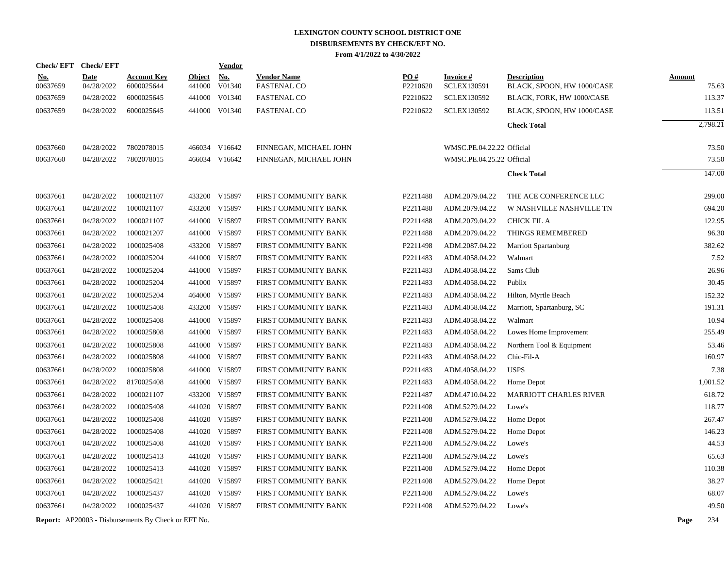|                        | Check/EFT Check/EFT       |                                                            |                         | Vendor               |                                          |                 |                                       |                                                  |               |          |
|------------------------|---------------------------|------------------------------------------------------------|-------------------------|----------------------|------------------------------------------|-----------------|---------------------------------------|--------------------------------------------------|---------------|----------|
| <u>No.</u><br>00637659 | <b>Date</b><br>04/28/2022 | <b>Account Key</b><br>6000025644                           | <b>Object</b><br>441000 | <b>No.</b><br>V01340 | <b>Vendor Name</b><br><b>FASTENAL CO</b> | PO#<br>P2210620 | <b>Invoice#</b><br><b>SCLEX130591</b> | <b>Description</b><br>BLACK, SPOON, HW 1000/CASE | <b>Amount</b> | 75.63    |
| 00637659               | 04/28/2022                | 6000025645                                                 | 441000                  | V01340               | <b>FASTENAL CO</b>                       | P2210622        | <b>SCLEX130592</b>                    | BLACK, FORK, HW 1000/CASE                        |               | 113.37   |
| 00637659               | 04/28/2022                | 6000025645                                                 |                         | 441000 V01340        | <b>FASTENAL CO</b>                       | P2210622        | <b>SCLEX130592</b>                    | BLACK, SPOON, HW 1000/CASE                       |               | 113.51   |
|                        |                           |                                                            |                         |                      |                                          |                 |                                       | <b>Check Total</b>                               |               | 2,798.21 |
|                        |                           |                                                            |                         |                      |                                          |                 |                                       |                                                  |               |          |
| 00637660               | 04/28/2022                | 7802078015                                                 |                         | 466034 V16642        | FINNEGAN, MICHAEL JOHN                   |                 | WMSC.PE.04.22.22 Official             |                                                  |               | 73.50    |
| 00637660               | 04/28/2022                | 7802078015                                                 |                         | 466034 V16642        | FINNEGAN, MICHAEL JOHN                   |                 | WMSC.PE.04.25.22 Official             |                                                  |               | 73.50    |
|                        |                           |                                                            |                         |                      |                                          |                 |                                       | <b>Check Total</b>                               |               | 147.00   |
|                        |                           |                                                            |                         |                      |                                          |                 |                                       |                                                  |               |          |
| 00637661               | 04/28/2022                | 1000021107                                                 |                         | 433200 V15897        | FIRST COMMUNITY BANK                     | P2211488        | ADM.2079.04.22                        | THE ACE CONFERENCE LLC                           |               | 299.00   |
| 00637661               | 04/28/2022                | 1000021107                                                 | 433200                  | V15897               | FIRST COMMUNITY BANK                     | P2211488        | ADM.2079.04.22                        | W NASHVILLE NASHVILLE TN                         |               | 694.20   |
| 00637661               | 04/28/2022                | 1000021107                                                 | 441000                  | V15897               | FIRST COMMUNITY BANK                     | P2211488        | ADM.2079.04.22                        | <b>CHICK FIL A</b>                               |               | 122.95   |
| 00637661               | 04/28/2022                | 1000021207                                                 |                         | 441000 V15897        | FIRST COMMUNITY BANK                     | P2211488        | ADM.2079.04.22                        | THINGS REMEMBERED                                |               | 96.30    |
| 00637661               | 04/28/2022                | 1000025408                                                 | 433200                  | V15897               | FIRST COMMUNITY BANK                     | P2211498        | ADM.2087.04.22                        | <b>Marriott Spartanburg</b>                      |               | 382.62   |
| 00637661               | 04/28/2022                | 1000025204                                                 |                         | 441000 V15897        | FIRST COMMUNITY BANK                     | P2211483        | ADM.4058.04.22                        | Walmart                                          |               | 7.52     |
| 00637661               | 04/28/2022                | 1000025204                                                 |                         | 441000 V15897        | FIRST COMMUNITY BANK                     | P2211483        | ADM.4058.04.22                        | Sams Club                                        |               | 26.96    |
| 00637661               | 04/28/2022                | 1000025204                                                 |                         | 441000 V15897        | FIRST COMMUNITY BANK                     | P2211483        | ADM.4058.04.22                        | Publix                                           |               | 30.45    |
| 00637661               | 04/28/2022                | 1000025204                                                 |                         | 464000 V15897        | FIRST COMMUNITY BANK                     | P2211483        | ADM.4058.04.22                        | Hilton, Myrtle Beach                             |               | 152.32   |
| 00637661               | 04/28/2022                | 1000025408                                                 |                         | 433200 V15897        | FIRST COMMUNITY BANK                     | P2211483        | ADM.4058.04.22                        | Marriott, Spartanburg, SC                        |               | 191.31   |
| 00637661               | 04/28/2022                | 1000025408                                                 |                         | 441000 V15897        | FIRST COMMUNITY BANK                     | P2211483        | ADM.4058.04.22                        | Walmart                                          |               | 10.94    |
| 00637661               | 04/28/2022                | 1000025808                                                 |                         | 441000 V15897        | FIRST COMMUNITY BANK                     | P2211483        | ADM.4058.04.22                        | Lowes Home Improvement                           |               | 255.49   |
| 00637661               | 04/28/2022                | 1000025808                                                 |                         | 441000 V15897        | FIRST COMMUNITY BANK                     | P2211483        | ADM.4058.04.22                        | Northern Tool & Equipment                        |               | 53.46    |
| 00637661               | 04/28/2022                | 1000025808                                                 |                         | 441000 V15897        | FIRST COMMUNITY BANK                     | P2211483        | ADM.4058.04.22                        | Chic-Fil-A                                       |               | 160.97   |
| 00637661               | 04/28/2022                | 1000025808                                                 | 441000                  | V15897               | FIRST COMMUNITY BANK                     | P2211483        | ADM.4058.04.22                        | <b>USPS</b>                                      |               | 7.38     |
| 00637661               | 04/28/2022                | 8170025408                                                 |                         | 441000 V15897        | FIRST COMMUNITY BANK                     | P2211483        | ADM.4058.04.22                        | Home Depot                                       |               | 1,001.52 |
| 00637661               | 04/28/2022                | 1000021107                                                 | 433200                  | V15897               | FIRST COMMUNITY BANK                     | P2211487        | ADM.4710.04.22                        | MARRIOTT CHARLES RIVER                           |               | 618.72   |
| 00637661               | 04/28/2022                | 1000025408                                                 |                         | 441020 V15897        | FIRST COMMUNITY BANK                     | P2211408        | ADM.5279.04.22                        | Lowe's                                           |               | 118.77   |
| 00637661               | 04/28/2022                | 1000025408                                                 |                         | 441020 V15897        | FIRST COMMUNITY BANK                     | P2211408        | ADM.5279.04.22                        | Home Depot                                       |               | 267.47   |
| 00637661               | 04/28/2022                | 1000025408                                                 |                         | 441020 V15897        | FIRST COMMUNITY BANK                     | P2211408        | ADM.5279.04.22                        | Home Depot                                       |               | 146.23   |
| 00637661               | 04/28/2022                | 1000025408                                                 |                         | 441020 V15897        | FIRST COMMUNITY BANK                     | P2211408        | ADM.5279.04.22                        | Lowe's                                           |               | 44.53    |
| 00637661               | 04/28/2022                | 1000025413                                                 |                         | 441020 V15897        | FIRST COMMUNITY BANK                     | P2211408        | ADM.5279.04.22                        | Lowe's                                           |               | 65.63    |
| 00637661               | 04/28/2022                | 1000025413                                                 |                         | 441020 V15897        | FIRST COMMUNITY BANK                     | P2211408        | ADM.5279.04.22                        | Home Depot                                       |               | 110.38   |
| 00637661               | 04/28/2022                | 1000025421                                                 |                         | 441020 V15897        | FIRST COMMUNITY BANK                     | P2211408        | ADM.5279.04.22                        | Home Depot                                       |               | 38.27    |
| 00637661               | 04/28/2022                | 1000025437                                                 |                         | 441020 V15897        | FIRST COMMUNITY BANK                     | P2211408        | ADM.5279.04.22                        | Lowe's                                           |               | 68.07    |
| 00637661               | 04/28/2022                | 1000025437                                                 |                         | 441020 V15897        | FIRST COMMUNITY BANK                     | P2211408        | ADM.5279.04.22                        | Lowe's                                           |               | 49.50    |
|                        |                           | <b>Report:</b> AP20003 - Disbursements By Check or EFT No. |                         |                      |                                          |                 |                                       |                                                  | Page          | 234      |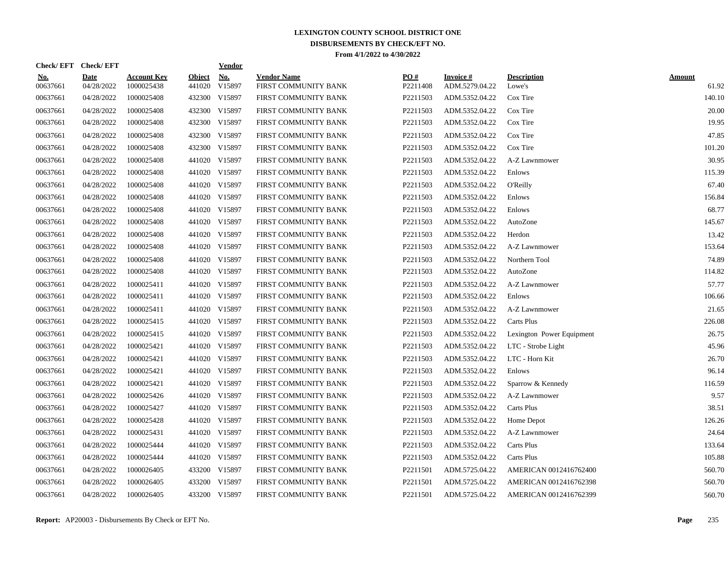| Check/EFT Check/EFT    |                           |                                  |                         | <b>Vendor</b> |                                            |                 |                             |                              |                        |
|------------------------|---------------------------|----------------------------------|-------------------------|---------------|--------------------------------------------|-----------------|-----------------------------|------------------------------|------------------------|
| <u>No.</u><br>00637661 | <b>Date</b><br>04/28/2022 | <b>Account Key</b><br>1000025438 | <b>Object</b><br>441020 | No.<br>V15897 | <b>Vendor Name</b><br>FIRST COMMUNITY BANK | PO#<br>P2211408 | Invoice #<br>ADM.5279.04.22 | <b>Description</b><br>Lowe's | <b>Amount</b><br>61.92 |
| 00637661               | 04/28/2022                | 1000025408                       |                         | 432300 V15897 | FIRST COMMUNITY BANK                       | P2211503        | ADM.5352.04.22              | Cox Tire                     | 140.10                 |
| 00637661               | 04/28/2022                | 1000025408                       |                         | 432300 V15897 | FIRST COMMUNITY BANK                       | P2211503        | ADM.5352.04.22              | Cox Tire                     | 20.00                  |
| 00637661               | 04/28/2022                | 1000025408                       |                         | 432300 V15897 | FIRST COMMUNITY BANK                       | P2211503        | ADM.5352.04.22              | Cox Tire                     | 19.95                  |
| 00637661               | 04/28/2022                | 1000025408                       |                         | 432300 V15897 | FIRST COMMUNITY BANK                       | P2211503        | ADM.5352.04.22              | Cox Tire                     | 47.85                  |
| 00637661               | 04/28/2022                | 1000025408                       |                         | 432300 V15897 | FIRST COMMUNITY BANK                       | P2211503        | ADM.5352.04.22              | Cox Tire                     | 101.20                 |
| 00637661               | 04/28/2022                | 1000025408                       |                         | 441020 V15897 | FIRST COMMUNITY BANK                       | P2211503        | ADM.5352.04.22              | A-Z Lawnmower                | 30.95                  |
| 00637661               | 04/28/2022                | 1000025408                       |                         | 441020 V15897 | FIRST COMMUNITY BANK                       | P2211503        | ADM.5352.04.22              | Enlows                       | 115.39                 |
| 00637661               | 04/28/2022                | 1000025408                       |                         | 441020 V15897 | FIRST COMMUNITY BANK                       | P2211503        | ADM.5352.04.22              | <b>O'Reilly</b>              | 67.40                  |
| 00637661               | 04/28/2022                | 1000025408                       |                         | 441020 V15897 | FIRST COMMUNITY BANK                       | P2211503        | ADM.5352.04.22              | Enlows                       | 156.84                 |
| 00637661               | 04/28/2022                | 1000025408                       |                         | 441020 V15897 | FIRST COMMUNITY BANK                       | P2211503        | ADM.5352.04.22              | Enlows                       | 68.77                  |
| 00637661               | 04/28/2022                | 1000025408                       |                         | 441020 V15897 | FIRST COMMUNITY BANK                       | P2211503        | ADM.5352.04.22              | AutoZone                     | 145.67                 |
| 00637661               | 04/28/2022                | 1000025408                       |                         | 441020 V15897 | FIRST COMMUNITY BANK                       | P2211503        | ADM.5352.04.22              | Herdon                       | 13.42                  |
| 00637661               | 04/28/2022                | 1000025408                       |                         | 441020 V15897 | FIRST COMMUNITY BANK                       | P2211503        | ADM.5352.04.22              | A-Z Lawnmower                | 153.64                 |
| 00637661               | 04/28/2022                | 1000025408                       |                         | 441020 V15897 | FIRST COMMUNITY BANK                       | P2211503        | ADM.5352.04.22              | Northern Tool                | 74.89                  |
| 00637661               | 04/28/2022                | 1000025408                       |                         | 441020 V15897 | FIRST COMMUNITY BANK                       | P2211503        | ADM.5352.04.22              | AutoZone                     | 114.82                 |
| 00637661               | 04/28/2022                | 1000025411                       |                         | 441020 V15897 | FIRST COMMUNITY BANK                       | P2211503        | ADM.5352.04.22              | A-Z Lawnmower                | 57.77                  |
| 00637661               | 04/28/2022                | 1000025411                       |                         | 441020 V15897 | FIRST COMMUNITY BANK                       | P2211503        | ADM.5352.04.22              | Enlows                       | 106.66                 |
| 00637661               | 04/28/2022                | 1000025411                       |                         | 441020 V15897 | FIRST COMMUNITY BANK                       | P2211503        | ADM.5352.04.22              | A-Z Lawnmower                | 21.65                  |
| 00637661               | 04/28/2022                | 1000025415                       |                         | 441020 V15897 | FIRST COMMUNITY BANK                       | P2211503        | ADM.5352.04.22              | Carts Plus                   | 226.08                 |
| 00637661               | 04/28/2022                | 1000025415                       |                         | 441020 V15897 | FIRST COMMUNITY BANK                       | P2211503        | ADM.5352.04.22              | Lexington Power Equipment    | 26.75                  |
| 00637661               | 04/28/2022                | 1000025421                       |                         | 441020 V15897 | FIRST COMMUNITY BANK                       | P2211503        | ADM.5352.04.22              | LTC - Strobe Light           | 45.96                  |
| 00637661               | 04/28/2022                | 1000025421                       |                         | 441020 V15897 | FIRST COMMUNITY BANK                       | P2211503        | ADM.5352.04.22              | LTC - Horn Kit               | 26.70                  |
| 00637661               | 04/28/2022                | 1000025421                       |                         | 441020 V15897 | FIRST COMMUNITY BANK                       | P2211503        | ADM.5352.04.22              | Enlows                       | 96.14                  |
| 00637661               | 04/28/2022                | 1000025421                       |                         | 441020 V15897 | FIRST COMMUNITY BANK                       | P2211503        | ADM.5352.04.22              | Sparrow & Kennedy            | 116.59                 |
| 00637661               | 04/28/2022                | 1000025426                       |                         | 441020 V15897 | FIRST COMMUNITY BANK                       | P2211503        | ADM.5352.04.22              | A-Z Lawnmower                | 9.57                   |
| 00637661               | 04/28/2022                | 1000025427                       |                         | 441020 V15897 | FIRST COMMUNITY BANK                       | P2211503        | ADM.5352.04.22              | Carts Plus                   | 38.51                  |
| 00637661               | 04/28/2022                | 1000025428                       |                         | 441020 V15897 | FIRST COMMUNITY BANK                       | P2211503        | ADM.5352.04.22              | Home Depot                   | 126.26                 |
| 00637661               | 04/28/2022                | 1000025431                       |                         | 441020 V15897 | FIRST COMMUNITY BANK                       | P2211503        | ADM.5352.04.22              | A-Z Lawnmower                | 24.64                  |
| 00637661               | 04/28/2022                | 1000025444                       |                         | 441020 V15897 | FIRST COMMUNITY BANK                       | P2211503        | ADM.5352.04.22              | Carts Plus                   | 133.64                 |
| 00637661               | 04/28/2022                | 1000025444                       |                         | 441020 V15897 | FIRST COMMUNITY BANK                       | P2211503        | ADM.5352.04.22              | Carts Plus                   | 105.88                 |
| 00637661               | 04/28/2022                | 1000026405                       |                         | 433200 V15897 | FIRST COMMUNITY BANK                       | P2211501        | ADM.5725.04.22              | AMERICAN 0012416762400       | 560.70                 |
| 00637661               | 04/28/2022                | 1000026405                       |                         | 433200 V15897 | FIRST COMMUNITY BANK                       | P2211501        | ADM.5725.04.22              | AMERICAN 0012416762398       | 560.70                 |
| 00637661               | 04/28/2022                | 1000026405                       |                         | 433200 V15897 | FIRST COMMUNITY BANK                       | P2211501        | ADM.5725.04.22              | AMERICAN 0012416762399       | 560.70                 |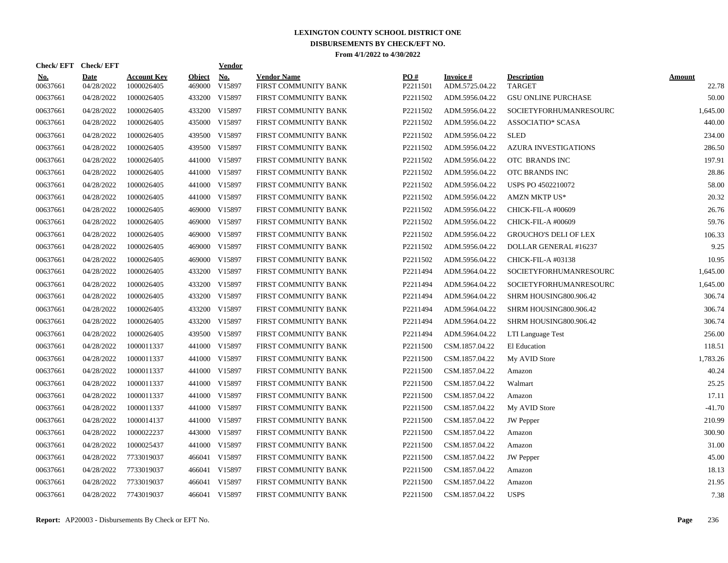| Check/EFT Check/EFT    |                           |                                  |                         | <b>Vendor</b> |                                            |                      |                             |                                     |                        |
|------------------------|---------------------------|----------------------------------|-------------------------|---------------|--------------------------------------------|----------------------|-----------------------------|-------------------------------------|------------------------|
| <u>No.</u><br>00637661 | <b>Date</b><br>04/28/2022 | <b>Account Key</b><br>1000026405 | <b>Object</b><br>469000 | No.<br>V15897 | <b>Vendor Name</b><br>FIRST COMMUNITY BANK | PO#<br>P2211501      | Invoice #<br>ADM.5725.04.22 | <b>Description</b><br><b>TARGET</b> | <b>Amount</b><br>22.78 |
| 00637661               | 04/28/2022                | 1000026405                       |                         | 433200 V15897 | FIRST COMMUNITY BANK                       | P2211502             | ADM.5956.04.22              | <b>GSU ONLINE PURCHASE</b>          | 50.00                  |
| 00637661               | 04/28/2022                | 1000026405                       |                         | 433200 V15897 | FIRST COMMUNITY BANK                       | P2211502             | ADM.5956.04.22              | SOCIETYFORHUMANRESOURC              | 1,645.00               |
| 00637661               | 04/28/2022                | 1000026405                       |                         | 435000 V15897 | FIRST COMMUNITY BANK                       | P2211502             | ADM.5956.04.22              | <b>ASSOCIATIO* SCASA</b>            | 440.00                 |
| 00637661               | 04/28/2022                | 1000026405                       |                         | 439500 V15897 | FIRST COMMUNITY BANK                       | P2211502             | ADM.5956.04.22              | <b>SLED</b>                         | 234.00                 |
| 00637661               | 04/28/2022                | 1000026405                       |                         | 439500 V15897 | FIRST COMMUNITY BANK                       | P2211502             | ADM.5956.04.22              | <b>AZURA INVESTIGATIONS</b>         | 286.50                 |
| 00637661               | 04/28/2022                | 1000026405                       | 441000                  | V15897        | FIRST COMMUNITY BANK                       | P2211502             | ADM.5956.04.22              | OTC BRANDS INC                      | 197.91                 |
| 00637661               | 04/28/2022                | 1000026405                       |                         | 441000 V15897 | FIRST COMMUNITY BANK                       | P2211502             | ADM.5956.04.22              | OTC BRANDS INC                      | 28.86                  |
| 00637661               | 04/28/2022                | 1000026405                       |                         | 441000 V15897 | FIRST COMMUNITY BANK                       | P2211502             | ADM.5956.04.22              | <b>USPS PO 4502210072</b>           | 58.00                  |
| 00637661               | 04/28/2022                | 1000026405                       |                         | 441000 V15897 | FIRST COMMUNITY BANK                       | P2211502             | ADM.5956.04.22              | <b>AMZN MKTP US*</b>                | 20.32                  |
| 00637661               | 04/28/2022                | 1000026405                       |                         | 469000 V15897 | FIRST COMMUNITY BANK                       | P2211502             | ADM.5956.04.22              | CHICK-FIL-A #00609                  | 26.76                  |
| 00637661               | 04/28/2022                | 1000026405                       |                         | 469000 V15897 | FIRST COMMUNITY BANK                       | P2211502             | ADM.5956.04.22              | CHICK-FIL-A #00609                  | 59.76                  |
| 00637661               | 04/28/2022                | 1000026405                       |                         | 469000 V15897 | FIRST COMMUNITY BANK                       | P2211502             | ADM.5956.04.22              | <b>GROUCHO'S DELI OF LEX</b>        | 106.33                 |
| 00637661               | 04/28/2022                | 1000026405                       |                         | 469000 V15897 | FIRST COMMUNITY BANK                       | P2211502             | ADM.5956.04.22              | DOLLAR GENERAL #16237               | 9.25                   |
| 00637661               | 04/28/2022                | 1000026405                       | 469000                  | V15897        | FIRST COMMUNITY BANK                       | P2211502             | ADM.5956.04.22              | CHICK-FIL-A #03138                  | 10.95                  |
| 00637661               | 04/28/2022                | 1000026405                       |                         | 433200 V15897 | FIRST COMMUNITY BANK                       | P2211494             | ADM.5964.04.22              | SOCIETYFORHUMANRESOURC              | 1,645.00               |
| 00637661               | 04/28/2022                | 1000026405                       | 433200                  | V15897        | FIRST COMMUNITY BANK                       | P2211494             | ADM.5964.04.22              | SOCIETYFORHUMANRESOURC              | 1,645.00               |
| 00637661               | 04/28/2022                | 1000026405                       |                         | 433200 V15897 | FIRST COMMUNITY BANK                       | P2211494             | ADM.5964.04.22              | SHRM HOUSING800.906.42              | 306.74                 |
| 00637661               | 04/28/2022                | 1000026405                       |                         | 433200 V15897 | FIRST COMMUNITY BANK                       | P2211494             | ADM.5964.04.22              | SHRM HOUSING800.906.42              | 306.74                 |
| 00637661               | 04/28/2022                | 1000026405                       |                         | 433200 V15897 | FIRST COMMUNITY BANK                       | P2211494             | ADM.5964.04.22              | SHRM HOUSING800.906.42              | 306.74                 |
| 00637661               | 04/28/2022                | 1000026405                       |                         | 439500 V15897 | FIRST COMMUNITY BANK                       | P2211494             | ADM.5964.04.22              | LTI Language Test                   | 256.00                 |
| 00637661               | 04/28/2022                | 1000011337                       |                         | 441000 V15897 | FIRST COMMUNITY BANK                       | P2211500             | CSM.1857.04.22              | El Education                        | 118.51                 |
| 00637661               | 04/28/2022                | 1000011337                       |                         | 441000 V15897 | FIRST COMMUNITY BANK                       | P2211500             | CSM.1857.04.22              | My AVID Store                       | 1.783.26               |
| 00637661               | 04/28/2022                | 1000011337                       |                         | 441000 V15897 | FIRST COMMUNITY BANK                       | P2211500             | CSM.1857.04.22              | Amazon                              | 40.24                  |
| 00637661               | 04/28/2022                | 1000011337                       |                         | 441000 V15897 | FIRST COMMUNITY BANK                       | P2211500             | CSM.1857.04.22              | Walmart                             | 25.25                  |
| 00637661               | 04/28/2022                | 1000011337                       | 441000                  | V15897        | FIRST COMMUNITY BANK                       | P2211500             | CSM.1857.04.22              | Amazon                              | 17.11                  |
| 00637661               | 04/28/2022                | 1000011337                       |                         | 441000 V15897 | FIRST COMMUNITY BANK                       | P <sub>2211500</sub> | CSM.1857.04.22              | My AVID Store                       | $-41.70$               |
| 00637661               | 04/28/2022                | 1000014137                       |                         | 441000 V15897 | FIRST COMMUNITY BANK                       | P2211500             | CSM.1857.04.22              | <b>JW</b> Pepper                    | 210.99                 |
| 00637661               | 04/28/2022                | 1000022237                       |                         | 443000 V15897 | FIRST COMMUNITY BANK                       | P2211500             | CSM.1857.04.22              | Amazon                              | 300.90                 |
| 00637661               | 04/28/2022                | 1000025437                       |                         | 441000 V15897 | FIRST COMMUNITY BANK                       | P2211500             | CSM.1857.04.22              | Amazon                              | 31.00                  |
| 00637661               | 04/28/2022                | 7733019037                       |                         | 466041 V15897 | FIRST COMMUNITY BANK                       | P2211500             | CSM.1857.04.22              | <b>JW</b> Pepper                    | 45.00                  |
| 00637661               | 04/28/2022                | 7733019037                       |                         | 466041 V15897 | FIRST COMMUNITY BANK                       | P2211500             | CSM.1857.04.22              | Amazon                              | 18.13                  |
| 00637661               | 04/28/2022                | 7733019037                       | 466041                  | V15897        | FIRST COMMUNITY BANK                       | P2211500             | CSM.1857.04.22              | Amazon                              | 21.95                  |
| 00637661               | 04/28/2022                | 7743019037                       |                         | 466041 V15897 | FIRST COMMUNITY BANK                       | P2211500             | CSM.1857.04.22              | <b>USPS</b>                         | 7.38                   |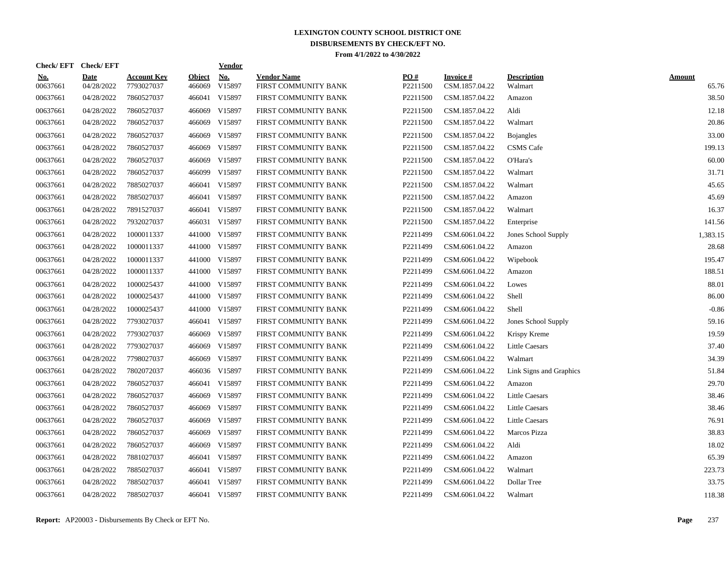| Check/EFT Check/EFT    |                           |                                  |                         | <b>Vendor</b> |                                            |                 |                             |                               |                        |
|------------------------|---------------------------|----------------------------------|-------------------------|---------------|--------------------------------------------|-----------------|-----------------------------|-------------------------------|------------------------|
| <u>No.</u><br>00637661 | <b>Date</b><br>04/28/2022 | <b>Account Key</b><br>7793027037 | <b>Object</b><br>466069 | No.<br>V15897 | <b>Vendor Name</b><br>FIRST COMMUNITY BANK | PO#<br>P2211500 | Invoice #<br>CSM.1857.04.22 | <b>Description</b><br>Walmart | <b>Amount</b><br>65.76 |
| 00637661               | 04/28/2022                | 7860527037                       | 466041                  | V15897        | FIRST COMMUNITY BANK                       | P2211500        | CSM.1857.04.22              | Amazon                        | 38.50                  |
| 00637661               | 04/28/2022                | 7860527037                       | 466069                  | V15897        | FIRST COMMUNITY BANK                       | P2211500        | CSM.1857.04.22              | Aldi                          | 12.18                  |
| 00637661               | 04/28/2022                | 7860527037                       |                         | 466069 V15897 | FIRST COMMUNITY BANK                       | P2211500        | CSM.1857.04.22              | Walmart                       | 20.86                  |
| 00637661               | 04/28/2022                | 7860527037                       | 466069                  | V15897        | FIRST COMMUNITY BANK                       | P2211500        | CSM.1857.04.22              | <b>Bojangles</b>              | 33.00                  |
| 00637661               | 04/28/2022                | 7860527037                       |                         | 466069 V15897 | FIRST COMMUNITY BANK                       | P2211500        | CSM.1857.04.22              | <b>CSMS</b> Cafe              | 199.13                 |
| 00637661               | 04/28/2022                | 7860527037                       | 466069                  | V15897        | FIRST COMMUNITY BANK                       | P2211500        | CSM.1857.04.22              | O'Hara's                      | 60.00                  |
| 00637661               | 04/28/2022                | 7860527037                       | 466099                  | V15897        | FIRST COMMUNITY BANK                       | P2211500        | CSM.1857.04.22              | Walmart                       | 31.71                  |
| 00637661               | 04/28/2022                | 7885027037                       |                         | 466041 V15897 | FIRST COMMUNITY BANK                       | P2211500        | CSM.1857.04.22              | Walmart                       | 45.65                  |
| 00637661               | 04/28/2022                | 7885027037                       |                         | 466041 V15897 | FIRST COMMUNITY BANK                       | P2211500        | CSM.1857.04.22              | Amazon                        | 45.69                  |
| 00637661               | 04/28/2022                | 7891527037                       |                         | 466041 V15897 | FIRST COMMUNITY BANK                       | P2211500        | CSM.1857.04.22              | Walmart                       | 16.37                  |
| 00637661               | 04/28/2022                | 7932027037                       |                         | 466031 V15897 | FIRST COMMUNITY BANK                       | P2211500        | CSM.1857.04.22              | Enterprise                    | 141.56                 |
| 00637661               | 04/28/2022                | 1000011337                       |                         | 441000 V15897 | FIRST COMMUNITY BANK                       | P2211499        | CSM.6061.04.22              | Jones School Supply           | 1,383.15               |
| 00637661               | 04/28/2022                | 1000011337                       |                         | 441000 V15897 | FIRST COMMUNITY BANK                       | P2211499        | CSM.6061.04.22              | Amazon                        | 28.68                  |
| 00637661               | 04/28/2022                | 1000011337                       | 441000                  | V15897        | FIRST COMMUNITY BANK                       | P2211499        | CSM.6061.04.22              | Wipebook                      | 195.47                 |
| 00637661               | 04/28/2022                | 1000011337                       |                         | 441000 V15897 | FIRST COMMUNITY BANK                       | P2211499        | CSM.6061.04.22              | Amazon                        | 188.51                 |
| 00637661               | 04/28/2022                | 1000025437                       | 441000                  | V15897        | FIRST COMMUNITY BANK                       | P2211499        | CSM.6061.04.22              | Lowes                         | 88.01                  |
| 00637661               | 04/28/2022                | 1000025437                       | 441000                  | V15897        | FIRST COMMUNITY BANK                       | P2211499        | CSM.6061.04.22              | Shell                         | 86.00                  |
| 00637661               | 04/28/2022                | 1000025437                       | 441000                  | V15897        | FIRST COMMUNITY BANK                       | P2211499        | CSM.6061.04.22              | Shell                         | $-0.86$                |
| 00637661               | 04/28/2022                | 7793027037                       |                         | 466041 V15897 | FIRST COMMUNITY BANK                       | P2211499        | CSM.6061.04.22              | Jones School Supply           | 59.16                  |
| 00637661               | 04/28/2022                | 7793027037                       | 466069                  | V15897        | FIRST COMMUNITY BANK                       | P2211499        | CSM.6061.04.22              | Krispy Kreme                  | 19.59                  |
| 00637661               | 04/28/2022                | 7793027037                       | 466069                  | V15897        | FIRST COMMUNITY BANK                       | P2211499        | CSM.6061.04.22              | Little Caesars                | 37.40                  |
| 00637661               | 04/28/2022                | 7798027037                       | 466069                  | V15897        | FIRST COMMUNITY BANK                       | P2211499        | CSM.6061.04.22              | Walmart                       | 34.39                  |
| 00637661               | 04/28/2022                | 7802072037                       |                         | 466036 V15897 | FIRST COMMUNITY BANK                       | P2211499        | CSM.6061.04.22              | Link Signs and Graphics       | 51.84                  |
| 00637661               | 04/28/2022                | 7860527037                       | 466041                  | V15897        | FIRST COMMUNITY BANK                       | P2211499        | CSM.6061.04.22              | Amazon                        | 29.70                  |
| 00637661               | 04/28/2022                | 7860527037                       | 466069                  | V15897        | FIRST COMMUNITY BANK                       | P2211499        | CSM.6061.04.22              | <b>Little Caesars</b>         | 38.46                  |
| 00637661               | 04/28/2022                | 7860527037                       | 466069                  | V15897        | FIRST COMMUNITY BANK                       | P2211499        | CSM.6061.04.22              | <b>Little Caesars</b>         | 38.46                  |
| 00637661               | 04/28/2022                | 7860527037                       | 466069                  | V15897        | FIRST COMMUNITY BANK                       | P2211499        | CSM.6061.04.22              | <b>Little Caesars</b>         | 76.91                  |
| 00637661               | 04/28/2022                | 7860527037                       |                         | 466069 V15897 | FIRST COMMUNITY BANK                       | P2211499        | CSM.6061.04.22              | Marcos Pizza                  | 38.83                  |
| 00637661               | 04/28/2022                | 7860527037                       | 466069                  | V15897        | FIRST COMMUNITY BANK                       | P2211499        | CSM.6061.04.22              | Aldi                          | 18.02                  |
| 00637661               | 04/28/2022                | 7881027037                       |                         | 466041 V15897 | FIRST COMMUNITY BANK                       | P2211499        | CSM.6061.04.22              | Amazon                        | 65.39                  |
| 00637661               | 04/28/2022                | 7885027037                       | 466041                  | V15897        | FIRST COMMUNITY BANK                       | P2211499        | CSM.6061.04.22              | Walmart                       | 223.73                 |
| 00637661               | 04/28/2022                | 7885027037                       | 466041                  | V15897        | FIRST COMMUNITY BANK                       | P2211499        | CSM.6061.04.22              | Dollar Tree                   | 33.75                  |
| 00637661               | 04/28/2022                | 7885027037                       |                         | 466041 V15897 | FIRST COMMUNITY BANK                       | P2211499        | CSM.6061.04.22              | Walmart                       | 118.38                 |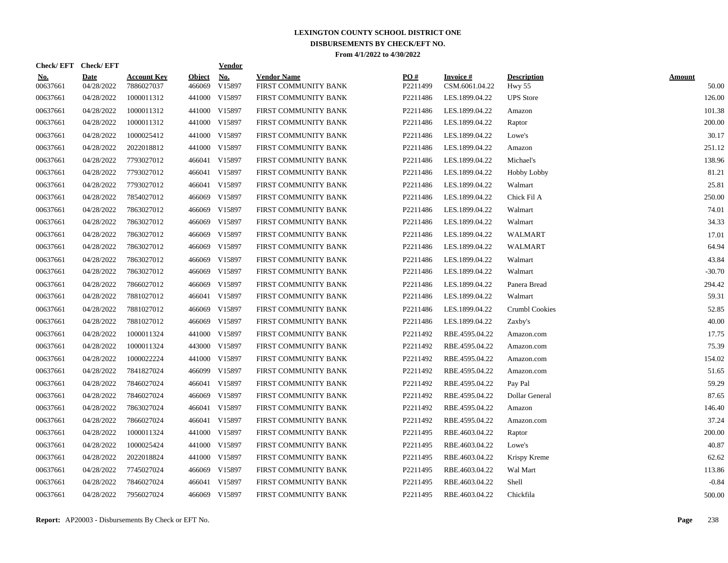| Check/EFT Check/EFT    |                           |                                  |                         | <b>Vendor</b> |                                            |                 |                             |                              |                        |
|------------------------|---------------------------|----------------------------------|-------------------------|---------------|--------------------------------------------|-----------------|-----------------------------|------------------------------|------------------------|
| <u>No.</u><br>00637661 | <b>Date</b><br>04/28/2022 | <b>Account Key</b><br>7886027037 | <b>Object</b><br>466069 | No.<br>V15897 | <b>Vendor Name</b><br>FIRST COMMUNITY BANK | PO#<br>P2211499 | Invoice #<br>CSM.6061.04.22 | <b>Description</b><br>Hwy 55 | <b>Amount</b><br>50.00 |
| 00637661               | 04/28/2022                | 1000011312                       | 441000                  | V15897        | FIRST COMMUNITY BANK                       | P2211486        | LES.1899.04.22              | <b>UPS</b> Store             | 126.00                 |
| 00637661               | 04/28/2022                | 1000011312                       |                         | 441000 V15897 | FIRST COMMUNITY BANK                       | P2211486        | LES.1899.04.22              | Amazon                       | 101.38                 |
| 00637661               | 04/28/2022                | 1000011312                       |                         | 441000 V15897 | FIRST COMMUNITY BANK                       | P2211486        | LES.1899.04.22              | Raptor                       | 200.00                 |
| 00637661               | 04/28/2022                | 1000025412                       |                         | 441000 V15897 | FIRST COMMUNITY BANK                       | P2211486        | LES.1899.04.22              | Lowe's                       | 30.17                  |
| 00637661               | 04/28/2022                | 2022018812                       |                         | 441000 V15897 | FIRST COMMUNITY BANK                       | P2211486        | LES.1899.04.22              | Amazon                       | 251.12                 |
| 00637661               | 04/28/2022                | 7793027012                       |                         | 466041 V15897 | FIRST COMMUNITY BANK                       | P2211486        | LES.1899.04.22              | Michael's                    | 138.96                 |
| 00637661               | 04/28/2022                | 7793027012                       |                         | 466041 V15897 | FIRST COMMUNITY BANK                       | P2211486        | LES.1899.04.22              | <b>Hobby Lobby</b>           | 81.21                  |
| 00637661               | 04/28/2022                | 7793027012                       |                         | 466041 V15897 | FIRST COMMUNITY BANK                       | P2211486        | LES.1899.04.22              | Walmart                      | 25.81                  |
| 00637661               | 04/28/2022                | 7854027012                       | 466069                  | V15897        | FIRST COMMUNITY BANK                       | P2211486        | LES.1899.04.22              | Chick Fil A                  | 250.00                 |
| 00637661               | 04/28/2022                | 7863027012                       |                         | 466069 V15897 | FIRST COMMUNITY BANK                       | P2211486        | LES.1899.04.22              | Walmart                      | 74.01                  |
| 00637661               | 04/28/2022                | 7863027012                       |                         | 466069 V15897 | FIRST COMMUNITY BANK                       | P2211486        | LES.1899.04.22              | Walmart                      | 34.33                  |
| 00637661               | 04/28/2022                | 7863027012                       |                         | 466069 V15897 | FIRST COMMUNITY BANK                       | P2211486        | LES.1899.04.22              | WALMART                      | 17.01                  |
| 00637661               | 04/28/2022                | 7863027012                       |                         | 466069 V15897 | FIRST COMMUNITY BANK                       | P2211486        | LES.1899.04.22              | WALMART                      | 64.94                  |
| 00637661               | 04/28/2022                | 7863027012                       | 466069                  | V15897        | FIRST COMMUNITY BANK                       | P2211486        | LES.1899.04.22              | Walmart                      | 43.84                  |
| 00637661               | 04/28/2022                | 7863027012                       | 466069                  | V15897        | FIRST COMMUNITY BANK                       | P2211486        | LES.1899.04.22              | Walmart                      | $-30.70$               |
| 00637661               | 04/28/2022                | 7866027012                       | 466069                  | V15897        | FIRST COMMUNITY BANK                       | P2211486        | LES.1899.04.22              | Panera Bread                 | 294.42                 |
| 00637661               | 04/28/2022                | 7881027012                       |                         | 466041 V15897 | FIRST COMMUNITY BANK                       | P2211486        | LES.1899.04.22              | Walmart                      | 59.31                  |
| 00637661               | 04/28/2022                | 7881027012                       | 466069                  | V15897        | FIRST COMMUNITY BANK                       | P2211486        | LES.1899.04.22              | <b>Crumbl Cookies</b>        | 52.85                  |
| 00637661               | 04/28/2022                | 7881027012                       |                         | 466069 V15897 | FIRST COMMUNITY BANK                       | P2211486        | LES.1899.04.22              | Zaxby's                      | 40.00                  |
| 00637661               | 04/28/2022                | 1000011324                       |                         | 441000 V15897 | FIRST COMMUNITY BANK                       | P2211492        | RBE.4595.04.22              | Amazon.com                   | 17.75                  |
| 00637661               | 04/28/2022                | 1000011324                       |                         | 443000 V15897 | FIRST COMMUNITY BANK                       | P2211492        | RBE.4595.04.22              | Amazon.com                   | 75.39                  |
| 00637661               | 04/28/2022                | 1000022224                       |                         | 441000 V15897 | FIRST COMMUNITY BANK                       | P2211492        | RBE.4595.04.22              | Amazon.com                   | 154.02                 |
| 00637661               | 04/28/2022                | 7841827024                       |                         | 466099 V15897 | FIRST COMMUNITY BANK                       | P2211492        | RBE.4595.04.22              | Amazon.com                   | 51.65                  |
| 00637661               | 04/28/2022                | 7846027024                       | 466041                  | V15897        | FIRST COMMUNITY BANK                       | P2211492        | RBE.4595.04.22              | Pay Pal                      | 59.29                  |
| 00637661               | 04/28/2022                | 7846027024                       | 466069                  | V15897        | FIRST COMMUNITY BANK                       | P2211492        | RBE.4595.04.22              | Dollar General               | 87.65                  |
| 00637661               | 04/28/2022                | 7863027024                       |                         | 466041 V15897 | FIRST COMMUNITY BANK                       | P2211492        | RBE.4595.04.22              | Amazon                       | 146.40                 |
| 00637661               | 04/28/2022                | 7866027024                       |                         | 466041 V15897 | FIRST COMMUNITY BANK                       | P2211492        | RBE.4595.04.22              | Amazon.com                   | 37.24                  |
| 00637661               | 04/28/2022                | 1000011324                       |                         | 441000 V15897 | FIRST COMMUNITY BANK                       | P2211495        | RBE.4603.04.22              | Raptor                       | 200.00                 |
| 00637661               | 04/28/2022                | 1000025424                       |                         | 441000 V15897 | FIRST COMMUNITY BANK                       | P2211495        | RBE.4603.04.22              | Lowe's                       | 40.87                  |
| 00637661               | 04/28/2022                | 2022018824                       |                         | 441000 V15897 | FIRST COMMUNITY BANK                       | P2211495        | RBE.4603.04.22              | Krispy Kreme                 | 62.62                  |
| 00637661               | 04/28/2022                | 7745027024                       |                         | 466069 V15897 | FIRST COMMUNITY BANK                       | P2211495        | RBE.4603.04.22              | Wal Mart                     | 113.86                 |
| 00637661               | 04/28/2022                | 7846027024                       |                         | 466041 V15897 | FIRST COMMUNITY BANK                       | P2211495        | RBE.4603.04.22              | Shell                        | $-0.84$                |
| 00637661               | 04/28/2022                | 7956027024                       |                         | 466069 V15897 | FIRST COMMUNITY BANK                       | P2211495        | RBE.4603.04.22              | Chickfila                    | 500.00                 |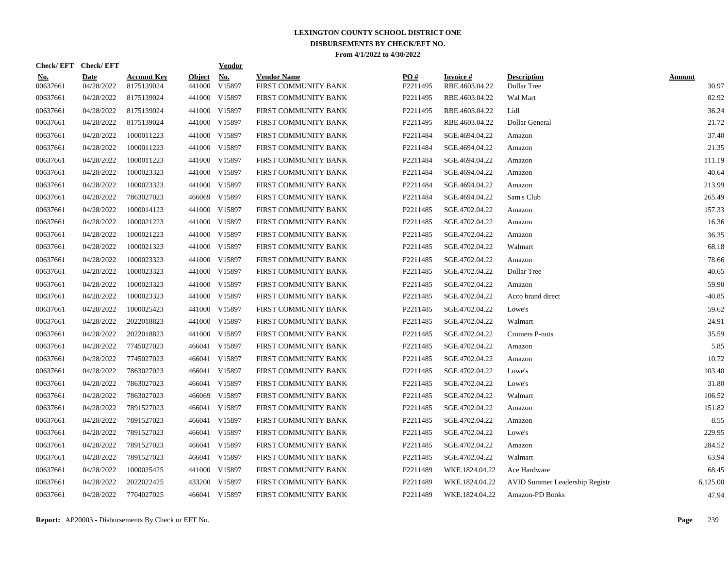| Check/EFT Check/EFT    |                           |                                  |                         | <b>Vendor</b> |                                            |                 |                             |                                       |                        |
|------------------------|---------------------------|----------------------------------|-------------------------|---------------|--------------------------------------------|-----------------|-----------------------------|---------------------------------------|------------------------|
| <b>No.</b><br>00637661 | <b>Date</b><br>04/28/2022 | <b>Account Key</b><br>8175139024 | <b>Object</b><br>441000 | No.<br>V15897 | <b>Vendor Name</b><br>FIRST COMMUNITY BANK | PO#<br>P2211495 | Invoice #<br>RBE.4603.04.22 | <b>Description</b><br>Dollar Tree     | <b>Amount</b><br>30.97 |
| 00637661               | 04/28/2022                | 8175139024                       |                         | 441000 V15897 | FIRST COMMUNITY BANK                       | P2211495        | RBE.4603.04.22              | Wal Mart                              | 82.92                  |
| 00637661               | 04/28/2022                | 8175139024                       |                         | 441000 V15897 | FIRST COMMUNITY BANK                       | P2211495        | RBE.4603.04.22              | Lidl                                  | 36.24                  |
| 00637661               | 04/28/2022                | 8175139024                       |                         | 441000 V15897 | FIRST COMMUNITY BANK                       | P2211495        | RBE.4603.04.22              | Dollar General                        | 21.72                  |
| 00637661               | 04/28/2022                | 1000011223                       |                         | 441000 V15897 | FIRST COMMUNITY BANK                       | P2211484        | SGE.4694.04.22              | Amazon                                | 37.40                  |
| 00637661               | 04/28/2022                | 1000011223                       |                         | 441000 V15897 | FIRST COMMUNITY BANK                       | P2211484        | SGE.4694.04.22              | Amazon                                | 21.35                  |
| 00637661               | 04/28/2022                | 1000011223                       |                         | 441000 V15897 | FIRST COMMUNITY BANK                       | P2211484        | SGE.4694.04.22              | Amazon                                | 111.19                 |
| 00637661               | 04/28/2022                | 1000023323                       |                         | 441000 V15897 | FIRST COMMUNITY BANK                       | P2211484        | SGE.4694.04.22              | Amazon                                | 40.64                  |
| 00637661               | 04/28/2022                | 1000023323                       |                         | 441000 V15897 | FIRST COMMUNITY BANK                       | P2211484        | SGE.4694.04.22              | Amazon                                | 213.99                 |
| 00637661               | 04/28/2022                | 7863027023                       |                         | 466069 V15897 | FIRST COMMUNITY BANK                       | P2211484        | SGE.4694.04.22              | Sam's Club                            | 265.49                 |
| 00637661               | 04/28/2022                | 1000014123                       |                         | 441000 V15897 | FIRST COMMUNITY BANK                       | P2211485        | SGE.4702.04.22              | Amazon                                | 157.33                 |
| 00637661               | 04/28/2022                | 1000021223                       |                         | 441000 V15897 | FIRST COMMUNITY BANK                       | P2211485        | SGE.4702.04.22              | Amazon                                | 16.36                  |
| 00637661               | 04/28/2022                | 1000021223                       |                         | 441000 V15897 | FIRST COMMUNITY BANK                       | P2211485        | SGE.4702.04.22              | Amazon                                | 36.35                  |
| 00637661               | 04/28/2022                | 1000021323                       |                         | 441000 V15897 | FIRST COMMUNITY BANK                       | P2211485        | SGE.4702.04.22              | Walmart                               | 68.18                  |
| 00637661               | 04/28/2022                | 1000023323                       |                         | 441000 V15897 | FIRST COMMUNITY BANK                       | P2211485        | SGE.4702.04.22              | Amazon                                | 78.66                  |
| 00637661               | 04/28/2022                | 1000023323                       |                         | 441000 V15897 | FIRST COMMUNITY BANK                       | P2211485        | SGE.4702.04.22              | Dollar Tree                           | 40.65                  |
| 00637661               | 04/28/2022                | 1000023323                       |                         | 441000 V15897 | FIRST COMMUNITY BANK                       | P2211485        | SGE.4702.04.22              | Amazon                                | 59.90                  |
| 00637661               | 04/28/2022                | 1000023323                       |                         | 441000 V15897 | FIRST COMMUNITY BANK                       | P2211485        | SGE.4702.04.22              | Acco brand direct                     | $-40.85$               |
| 00637661               | 04/28/2022                | 1000025423                       |                         | 441000 V15897 | FIRST COMMUNITY BANK                       | P2211485        | SGE.4702.04.22              | Lowe's                                | 59.62                  |
| 00637661               | 04/28/2022                | 2022018823                       |                         | 441000 V15897 | FIRST COMMUNITY BANK                       | P2211485        | SGE.4702.04.22              | Walmart                               | 24.91                  |
| 00637661               | 04/28/2022                | 2022018823                       |                         | 441000 V15897 | FIRST COMMUNITY BANK                       | P2211485        | SGE.4702.04.22              | Cromers P-nuts                        | 35.59                  |
| 00637661               | 04/28/2022                | 7745027023                       |                         | 466041 V15897 | FIRST COMMUNITY BANK                       | P2211485        | SGE.4702.04.22              | Amazon                                | 5.85                   |
| 00637661               | 04/28/2022                | 7745027023                       | 466041                  | V15897        | FIRST COMMUNITY BANK                       | P2211485        | SGE.4702.04.22              | Amazon                                | 10.72                  |
| 00637661               | 04/28/2022                | 7863027023                       | 466041                  | V15897        | FIRST COMMUNITY BANK                       | P2211485        | SGE.4702.04.22              | Lowe's                                | 103.40                 |
| 00637661               | 04/28/2022                | 7863027023                       |                         | 466041 V15897 | FIRST COMMUNITY BANK                       | P2211485        | SGE.4702.04.22              | Lowe's                                | 31.80                  |
| 00637661               | 04/28/2022                | 7863027023                       |                         | 466069 V15897 | FIRST COMMUNITY BANK                       | P2211485        | SGE.4702.04.22              | Walmart                               | 106.52                 |
| 00637661               | 04/28/2022                | 7891527023                       |                         | 466041 V15897 | FIRST COMMUNITY BANK                       | P2211485        | SGE.4702.04.22              | Amazon                                | 151.82                 |
| 00637661               | 04/28/2022                | 7891527023                       |                         | 466041 V15897 | FIRST COMMUNITY BANK                       | P2211485        | SGE.4702.04.22              | Amazon                                | 8.55                   |
| 00637661               | 04/28/2022                | 7891527023                       |                         | 466041 V15897 | FIRST COMMUNITY BANK                       | P2211485        | SGE.4702.04.22              | Lowe's                                | 229.95                 |
| 00637661               | 04/28/2022                | 7891527023                       |                         | 466041 V15897 | FIRST COMMUNITY BANK                       | P2211485        | SGE.4702.04.22              | Amazon                                | 284.52                 |
| 00637661               | 04/28/2022                | 7891527023                       |                         | 466041 V15897 | FIRST COMMUNITY BANK                       | P2211485        | SGE.4702.04.22              | Walmart                               | 63.94                  |
| 00637661               | 04/28/2022                | 1000025425                       | 441000                  | V15897        | FIRST COMMUNITY BANK                       | P2211489        | WKE.1824.04.22              | Ace Hardware                          | 68.45                  |
| 00637661               | 04/28/2022                | 2022022425                       | 433200                  | V15897        | FIRST COMMUNITY BANK                       | P2211489        | WKE.1824.04.22              | <b>AVID Summer Leadership Registr</b> | 6,125.00               |
| 00637661               | 04/28/2022                | 7704027025                       |                         | 466041 V15897 | FIRST COMMUNITY BANK                       | P2211489        | WKE.1824.04.22              | Amazon-PD Books                       | 47.94                  |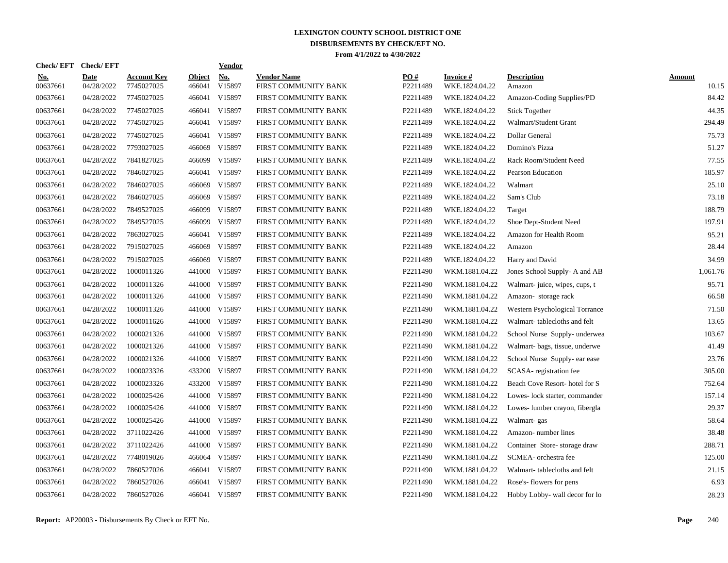| Check/ EFT             | <b>Check/EFT</b>          |                                  |                         | <b>Vendor</b>        |                                            |                 |                             |                                |                 |
|------------------------|---------------------------|----------------------------------|-------------------------|----------------------|--------------------------------------------|-----------------|-----------------------------|--------------------------------|-----------------|
| <u>No.</u><br>00637661 | <b>Date</b><br>04/28/2022 | <b>Account Key</b><br>7745027025 | <b>Object</b><br>466041 | <b>No.</b><br>V15897 | <b>Vendor Name</b><br>FIRST COMMUNITY BANK | PO#<br>P2211489 | Invoice #<br>WKE.1824.04.22 | <b>Description</b><br>Amazon   | Amount<br>10.15 |
| 00637661               | 04/28/2022                | 7745027025                       | 466041                  | V15897               | FIRST COMMUNITY BANK                       | P2211489        | WKE.1824.04.22              | Amazon-Coding Supplies/PD      | 84.42           |
| 00637661               | 04/28/2022                | 7745027025                       | 466041                  | V15897               | FIRST COMMUNITY BANK                       | P2211489        | WKE.1824.04.22              | <b>Stick Together</b>          | 44.35           |
| 00637661               | 04/28/2022                | 7745027025                       |                         | 466041 V15897        | FIRST COMMUNITY BANK                       | P2211489        | WKE.1824.04.22              | Walmart/Student Grant          | 294.49          |
| 00637661               | 04/28/2022                | 7745027025                       | 466041                  | V15897               | FIRST COMMUNITY BANK                       | P2211489        | WKE.1824.04.22              | Dollar General                 | 75.73           |
| 00637661               | 04/28/2022                | 7793027025                       | 466069                  | V15897               | FIRST COMMUNITY BANK                       | P2211489        | WKE.1824.04.22              | Domino's Pizza                 | 51.27           |
| 00637661               | 04/28/2022                | 7841827025                       | 466099                  | V15897               | FIRST COMMUNITY BANK                       | P2211489        | WKE.1824.04.22              | Rack Room/Student Need         | 77.55           |
| 00637661               | 04/28/2022                | 7846027025                       | 466041                  | V15897               | FIRST COMMUNITY BANK                       | P2211489        | WKE.1824.04.22              | <b>Pearson Education</b>       | 185.97          |
| 00637661               | 04/28/2022                | 7846027025                       | 466069                  | V15897               | FIRST COMMUNITY BANK                       | P2211489        | WKE.1824.04.22              | Walmart                        | 25.10           |
| 00637661               | 04/28/2022                | 7846027025                       | 466069                  | V15897               | FIRST COMMUNITY BANK                       | P2211489        | WKE.1824.04.22              | Sam's Club                     | 73.18           |
| 00637661               | 04/28/2022                | 7849527025                       | 466099                  | V15897               | FIRST COMMUNITY BANK                       | P2211489        | WKE.1824.04.22              | Target                         | 188.79          |
| 00637661               | 04/28/2022                | 7849527025                       |                         | 466099 V15897        | FIRST COMMUNITY BANK                       | P2211489        | WKE.1824.04.22              | Shoe Dept-Student Need         | 197.91          |
| 00637661               | 04/28/2022                | 7863027025                       |                         | 466041 V15897        | FIRST COMMUNITY BANK                       | P2211489        | WKE.1824.04.22              | Amazon for Health Room         | 95.21           |
| 00637661               | 04/28/2022                | 7915027025                       | 466069                  | V15897               | FIRST COMMUNITY BANK                       | P2211489        | WKE.1824.04.22              | Amazon                         | 28.44           |
| 00637661               | 04/28/2022                | 7915027025                       | 466069                  | V15897               | FIRST COMMUNITY BANK                       | P2211489        | WKE.1824.04.22              | Harry and David                | 34.99           |
| 00637661               | 04/28/2022                | 1000011326                       | 441000                  | V15897               | FIRST COMMUNITY BANK                       | P2211490        | WKM.1881.04.22              | Jones School Supply- A and AB  | 1,061.76        |
| 00637661               | 04/28/2022                | 1000011326                       | 441000                  | V15897               | FIRST COMMUNITY BANK                       | P2211490        | WKM.1881.04.22              | Walmart- juice, wipes, cups, t | 95.71           |
| 00637661               | 04/28/2022                | 1000011326                       | 441000                  | V15897               | FIRST COMMUNITY BANK                       | P2211490        | WKM.1881.04.22              | Amazon-storage rack            | 66.58           |
| 00637661               | 04/28/2022                | 1000011326                       | 441000                  | V15897               | FIRST COMMUNITY BANK                       | P2211490        | WKM.1881.04.22              | Western Psychological Torrance | 71.50           |
| 00637661               | 04/28/2022                | 1000011626                       | 441000                  | V15897               | FIRST COMMUNITY BANK                       | P2211490        | WKM.1881.04.22              | Walmart-tablecloths and felt   | 13.65           |
| 00637661               | 04/28/2022                | 1000021326                       | 441000                  | V15897               | FIRST COMMUNITY BANK                       | P2211490        | WKM.1881.04.22              | School Nurse Supply- underwea  | 103.67          |
| 00637661               | 04/28/2022                | 1000021326                       |                         | 441000 V15897        | FIRST COMMUNITY BANK                       | P2211490        | WKM.1881.04.22              | Walmart- bags, tissue, underwe | 41.49           |
| 00637661               | 04/28/2022                | 1000021326                       | 441000                  | V15897               | FIRST COMMUNITY BANK                       | P2211490        | WKM.1881.04.22              | School Nurse Supply- ear ease  | 23.76           |
| 00637661               | 04/28/2022                | 1000023326                       | 433200                  | V15897               | FIRST COMMUNITY BANK                       | P2211490        | WKM.1881.04.22              | SCASA-registration fee         | 305.00          |
| 00637661               | 04/28/2022                | 1000023326                       | 433200                  | V15897               | FIRST COMMUNITY BANK                       | P2211490        | WKM.1881.04.22              | Beach Cove Resort-hotel for S  | 752.64          |
| 00637661               | 04/28/2022                | 1000025426                       | 441000                  | V15897               | FIRST COMMUNITY BANK                       | P2211490        | WKM.1881.04.22              | Lowes-lock starter, commander  | 157.14          |
| 00637661               | 04/28/2022                | 1000025426                       | 441000                  | V15897               | FIRST COMMUNITY BANK                       | P2211490        | WKM.1881.04.22              | Lowes-lumber crayon, fibergla  | 29.37           |
| 00637661               | 04/28/2022                | 1000025426                       | 441000                  | V15897               | FIRST COMMUNITY BANK                       | P2211490        | WKM.1881.04.22              | Walmart-gas                    | 58.64           |
| 00637661               | 04/28/2022                | 3711022426                       |                         | 441000 V15897        | FIRST COMMUNITY BANK                       | P2211490        | WKM.1881.04.22              | Amazon-number lines            | 38.48           |
| 00637661               | 04/28/2022                | 3711022426                       |                         | 441000 V15897        | FIRST COMMUNITY BANK                       | P2211490        | WKM.1881.04.22              | Container Store-storage draw   | 288.71          |
| 00637661               | 04/28/2022                | 7748019026                       | 466064                  | V15897               | FIRST COMMUNITY BANK                       | P2211490        | WKM.1881.04.22              | SCMEA- orchestra fee           | 125.00          |
| 00637661               | 04/28/2022                | 7860527026                       | 466041                  | V15897               | FIRST COMMUNITY BANK                       | P2211490        | WKM.1881.04.22              | Walmart-tablecloths and felt   | 21.15           |
| 00637661               | 04/28/2022                | 7860527026                       | 466041                  | V15897               | FIRST COMMUNITY BANK                       | P2211490        | WKM.1881.04.22              | Rose's-flowers for pens        | 6.93            |
| 00637661               | 04/28/2022                | 7860527026                       |                         | 466041 V15897        | FIRST COMMUNITY BANK                       | P2211490        | WKM.1881.04.22              | Hobby Lobby- wall decor for lo | 28.23           |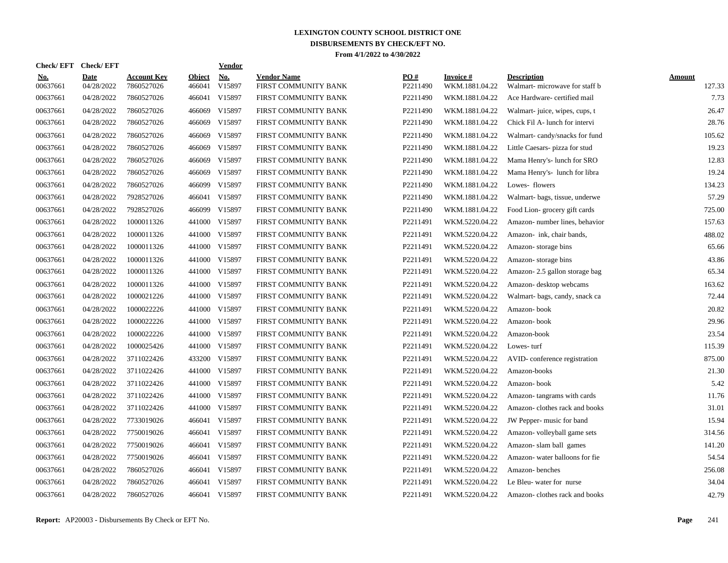| Check/ EFT             | <b>Check/EFT</b>          |                                  |                         | <b>Vendor</b> |                                            |                 |                             |                                                      |                  |
|------------------------|---------------------------|----------------------------------|-------------------------|---------------|--------------------------------------------|-----------------|-----------------------------|------------------------------------------------------|------------------|
| <u>No.</u><br>00637661 | <b>Date</b><br>04/28/2022 | <b>Account Key</b><br>7860527026 | <b>Object</b><br>466041 | No.<br>V15897 | <b>Vendor Name</b><br>FIRST COMMUNITY BANK | PO#<br>P2211490 | Invoice #<br>WKM.1881.04.22 | <b>Description</b><br>Walmart- microwave for staff b | Amount<br>127.33 |
| 00637661               | 04/28/2022                | 7860527026                       | 466041                  | V15897        | FIRST COMMUNITY BANK                       | P2211490        | WKM.1881.04.22              | Ace Hardware-certified mail                          | 7.73             |
| 00637661               | 04/28/2022                | 7860527026                       | 466069                  | V15897        | FIRST COMMUNITY BANK                       | P2211490        | WKM.1881.04.22              | Walmart- juice, wipes, cups, t                       | 26.47            |
| 00637661               | 04/28/2022                | 7860527026                       | 466069                  | V15897        | FIRST COMMUNITY BANK                       | P2211490        | WKM.1881.04.22              | Chick Fil A- lunch for intervi                       | 28.76            |
| 00637661               | 04/28/2022                | 7860527026                       | 466069                  | V15897        | FIRST COMMUNITY BANK                       | P2211490        | WKM.1881.04.22              | Walmart-candy/snacks for fund                        | 105.62           |
| 00637661               | 04/28/2022                | 7860527026                       | 466069                  | V15897        | FIRST COMMUNITY BANK                       | P2211490        | WKM.1881.04.22              | Little Caesars- pizza for stud                       | 19.23            |
| 00637661               | 04/28/2022                | 7860527026                       | 466069                  | V15897        | FIRST COMMUNITY BANK                       | P2211490        | WKM.1881.04.22              | Mama Henry's- lunch for SRO                          | 12.83            |
| 00637661               | 04/28/2022                | 7860527026                       | 466069                  | V15897        | FIRST COMMUNITY BANK                       | P2211490        | WKM.1881.04.22              | Mama Henry's-lunch for libra                         | 19.24            |
| 00637661               | 04/28/2022                | 7860527026                       | 466099                  | V15897        | FIRST COMMUNITY BANK                       | P2211490        | WKM.1881.04.22              | Lowes-flowers                                        | 134.23           |
| 00637661               | 04/28/2022                | 7928527026                       | 466041                  | V15897        | FIRST COMMUNITY BANK                       | P2211490        | WKM.1881.04.22              | Walmart- bags, tissue, underwe                       | 57.29            |
| 00637661               | 04/28/2022                | 7928527026                       |                         | 466099 V15897 | FIRST COMMUNITY BANK                       | P2211490        | WKM.1881.04.22              | Food Lion-grocery gift cards                         | 725.00           |
| 00637661               | 04/28/2022                | 1000011326                       |                         | 441000 V15897 | FIRST COMMUNITY BANK                       | P2211491        | WKM.5220.04.22              | Amazon-number lines, behavior                        | 157.63           |
| 00637661               | 04/28/2022                | 1000011326                       | 441000                  | V15897        | FIRST COMMUNITY BANK                       | P2211491        | WKM.5220.04.22              | Amazon- ink, chair bands,                            | 488.02           |
| 00637661               | 04/28/2022                | 1000011326                       |                         | 441000 V15897 | FIRST COMMUNITY BANK                       | P2211491        | WKM.5220.04.22              | Amazon-storage bins                                  | 65.66            |
| 00637661               | 04/28/2022                | 1000011326                       | 441000                  | V15897        | FIRST COMMUNITY BANK                       | P2211491        | WKM.5220.04.22              | Amazon-storage bins                                  | 43.86            |
| 00637661               | 04/28/2022                | 1000011326                       | 441000                  | V15897        | FIRST COMMUNITY BANK                       | P2211491        | WKM.5220.04.22              | Amazon-2.5 gallon storage bag                        | 65.34            |
| 00637661               | 04/28/2022                | 1000011326                       | 441000                  | V15897        | FIRST COMMUNITY BANK                       | P2211491        | WKM.5220.04.22              | Amazon- desktop webcams                              | 163.62           |
| 00637661               | 04/28/2022                | 1000021226                       | 441000                  | V15897        | FIRST COMMUNITY BANK                       | P2211491        | WKM.5220.04.22              | Walmart- bags, candy, snack ca                       | 72.44            |
| 00637661               | 04/28/2022                | 1000022226                       | 441000                  | V15897        | FIRST COMMUNITY BANK                       | P2211491        | WKM.5220.04.22              | Amazon-book                                          | 20.82            |
| 00637661               | 04/28/2022                | 1000022226                       | 441000                  | V15897        | FIRST COMMUNITY BANK                       | P2211491        | WKM.5220.04.22              | Amazon-book                                          | 29.96            |
| 00637661               | 04/28/2022                | 1000022226                       | 441000                  | V15897        | FIRST COMMUNITY BANK                       | P2211491        | WKM.5220.04.22              | Amazon-book                                          | 23.54            |
| 00637661               | 04/28/2022                | 1000025426                       | 441000                  | V15897        | FIRST COMMUNITY BANK                       | P2211491        | WKM.5220.04.22              | Lowes-turf                                           | 115.39           |
| 00637661               | 04/28/2022                | 3711022426                       | 433200                  | V15897        | FIRST COMMUNITY BANK                       | P2211491        | WKM.5220.04.22              | AVID-conference registration                         | 875.00           |
| 00637661               | 04/28/2022                | 3711022426                       | 441000                  | V15897        | FIRST COMMUNITY BANK                       | P2211491        | WKM.5220.04.22              | Amazon-books                                         | 21.30            |
| 00637661               | 04/28/2022                | 3711022426                       | 441000                  | V15897        | FIRST COMMUNITY BANK                       | P2211491        | WKM.5220.04.22              | Amazon-book                                          | 5.42             |
| 00637661               | 04/28/2022                | 3711022426                       | 441000                  | V15897        | FIRST COMMUNITY BANK                       | P2211491        | WKM.5220.04.22              | Amazon-tangrams with cards                           | 11.76            |
| 00637661               | 04/28/2022                | 3711022426                       | 441000                  | V15897        | FIRST COMMUNITY BANK                       | P2211491        | WKM.5220.04.22              | Amazon-clothes rack and books                        | 31.01            |
| 00637661               | 04/28/2022                | 7733019026                       | 466041                  | V15897        | FIRST COMMUNITY BANK                       | P2211491        | WKM.5220.04.22              | JW Pepper- music for band                            | 15.94            |
| 00637661               | 04/28/2022                | 7750019026                       |                         | 466041 V15897 | FIRST COMMUNITY BANK                       | P2211491        | WKM.5220.04.22              | Amazon-volleyball game sets                          | 314.56           |
| 00637661               | 04/28/2022                | 7750019026                       | 466041                  | V15897        | FIRST COMMUNITY BANK                       | P2211491        | WKM.5220.04.22              | Amazon-slam ball games                               | 141.20           |
| 00637661               | 04/28/2022                | 7750019026                       |                         | 466041 V15897 | FIRST COMMUNITY BANK                       | P2211491        | WKM.5220.04.22              | Amazon-water balloons for fie                        | 54.54            |
| 00637661               | 04/28/2022                | 7860527026                       | 466041                  | V15897        | FIRST COMMUNITY BANK                       | P2211491        | WKM.5220.04.22              | Amazon-benches                                       | 256.08           |
| 00637661               | 04/28/2022                | 7860527026                       | 466041                  | V15897        | FIRST COMMUNITY BANK                       | P2211491        | WKM.5220.04.22              | Le Bleu-water for nurse                              | 34.04            |
| 00637661               | 04/28/2022                | 7860527026                       | 466041                  | V15897        | FIRST COMMUNITY BANK                       | P2211491        | WKM.5220.04.22              | Amazon-clothes rack and books                        | 42.79            |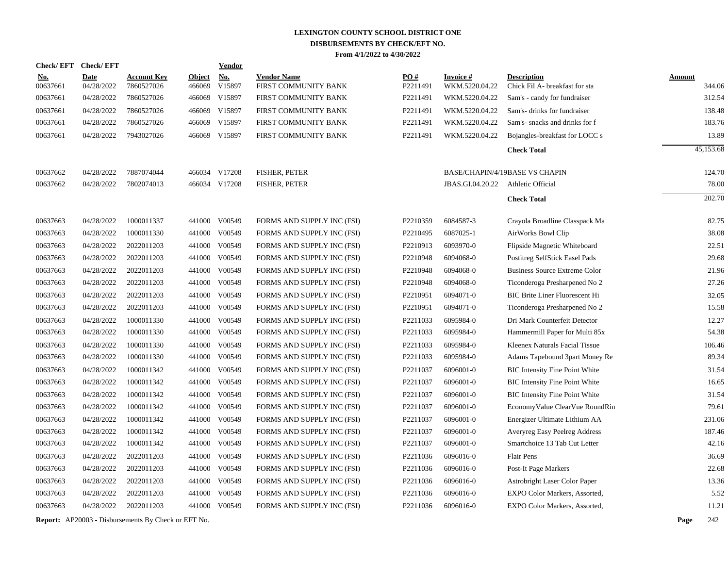|            | <b>Check/EFT</b> | <b>Check/EFT</b> |                                                            |               | Vendor        |                            |          |                  |                                       |               |           |
|------------|------------------|------------------|------------------------------------------------------------|---------------|---------------|----------------------------|----------|------------------|---------------------------------------|---------------|-----------|
| <u>No.</u> |                  | <b>Date</b>      | <b>Account Key</b>                                         | <b>Object</b> | <b>No.</b>    | <b>Vendor Name</b>         | PO#      | <b>Invoice#</b>  | <b>Description</b>                    | <b>Amount</b> |           |
| 00637661   |                  | 04/28/2022       | 7860527026                                                 | 466069        | V15897        | FIRST COMMUNITY BANK       | P2211491 | WKM.5220.04.22   | Chick Fil A- breakfast for sta        |               | 344.06    |
| 00637661   |                  | 04/28/2022       | 7860527026                                                 | 466069        | V15897        | FIRST COMMUNITY BANK       | P2211491 | WKM.5220.04.22   | Sam's - candy for fundraiser          |               | 312.54    |
| 00637661   |                  | 04/28/2022       | 7860527026                                                 | 466069        | V15897        | FIRST COMMUNITY BANK       | P2211491 | WKM.5220.04.22   | Sam's- drinks for fundraiser          |               | 138.48    |
| 00637661   |                  | 04/28/2022       | 7860527026                                                 | 466069        | V15897        | FIRST COMMUNITY BANK       | P2211491 | WKM.5220.04.22   | Sam's-snacks and drinks for f         |               | 183.76    |
| 00637661   |                  | 04/28/2022       | 7943027026                                                 |               | 466069 V15897 | FIRST COMMUNITY BANK       | P2211491 | WKM.5220.04.22   | Bojangles-breakfast for LOCC s        |               | 13.89     |
|            |                  |                  |                                                            |               |               |                            |          |                  | <b>Check Total</b>                    |               | 45,153.68 |
| 00637662   |                  | 04/28/2022       | 7887074044                                                 |               | 466034 V17208 | FISHER, PETER              |          |                  | <b>BASE/CHAPIN/4/19BASE VS CHAPIN</b> |               | 124.70    |
| 00637662   |                  | 04/28/2022       | 7802074013                                                 |               | 466034 V17208 | FISHER, PETER              |          | JBAS.GI.04.20.22 | Athletic Official                     |               | 78.00     |
|            |                  |                  |                                                            |               |               |                            |          |                  | <b>Check Total</b>                    |               | 202.70    |
| 00637663   |                  | 04/28/2022       | 1000011337                                                 |               | 441000 V00549 | FORMS AND SUPPLY INC (FSI) | P2210359 | 6084587-3        | Crayola Broadline Classpack Ma        |               | 82.75     |
| 00637663   |                  | 04/28/2022       | 1000011330                                                 | 441000        | V00549        | FORMS AND SUPPLY INC (FSI) | P2210495 | 6087025-1        | AirWorks Bowl Clip                    |               | 38.08     |
| 00637663   |                  | 04/28/2022       | 2022011203                                                 |               | 441000 V00549 | FORMS AND SUPPLY INC (FSI) | P2210913 | 6093970-0        | Flipside Magnetic Whiteboard          |               | 22.51     |
| 00637663   |                  | 04/28/2022       | 2022011203                                                 |               | 441000 V00549 | FORMS AND SUPPLY INC (FSI) | P2210948 | 6094068-0        | Postitreg SelfStick Easel Pads        |               | 29.68     |
| 00637663   |                  | 04/28/2022       | 2022011203                                                 | 441000        | V00549        | FORMS AND SUPPLY INC (FSI) | P2210948 | 6094068-0        | <b>Business Source Extreme Color</b>  |               | 21.96     |
| 00637663   |                  | 04/28/2022       | 2022011203                                                 |               | 441000 V00549 | FORMS AND SUPPLY INC (FSI) | P2210948 | 6094068-0        | Ticonderoga Presharpened No 2         |               | 27.26     |
| 00637663   |                  | 04/28/2022       | 2022011203                                                 | 441000        | V00549        | FORMS AND SUPPLY INC (FSI) | P2210951 | 6094071-0        | <b>BIC Brite Liner Fluorescent Hi</b> |               | 32.05     |
| 00637663   |                  | 04/28/2022       | 2022011203                                                 |               | 441000 V00549 | FORMS AND SUPPLY INC (FSI) | P2210951 | 6094071-0        | Ticonderoga Presharpened No 2         |               | 15.58     |
| 00637663   |                  | 04/28/2022       | 1000011330                                                 | 441000        | V00549        | FORMS AND SUPPLY INC (FSI) | P2211033 | 6095984-0        | Dri Mark Counterfeit Detector         |               | 12.27     |
| 00637663   |                  | 04/28/2022       | 1000011330                                                 |               | 441000 V00549 | FORMS AND SUPPLY INC (FSI) | P2211033 | 6095984-0        | Hammermill Paper for Multi 85x        |               | 54.38     |
| 00637663   |                  | 04/28/2022       | 1000011330                                                 | 441000        | V00549        | FORMS AND SUPPLY INC (FSI) | P2211033 | 6095984-0        | Kleenex Naturals Facial Tissue        |               | 106.46    |
| 00637663   |                  | 04/28/2022       | 1000011330                                                 |               | 441000 V00549 | FORMS AND SUPPLY INC (FSI) | P2211033 | 6095984-0        | Adams Tapebound 3part Money Re        |               | 89.34     |
| 00637663   |                  | 04/28/2022       | 1000011342                                                 | 441000        | V00549        | FORMS AND SUPPLY INC (FSI) | P2211037 | 6096001-0        | <b>BIC Intensity Fine Point White</b> |               | 31.54     |
| 00637663   |                  | 04/28/2022       | 1000011342                                                 | 441000        | V00549        | FORMS AND SUPPLY INC (FSI) | P2211037 | 6096001-0        | <b>BIC</b> Intensity Fine Point White |               | 16.65     |
| 00637663   |                  | 04/28/2022       | 1000011342                                                 | 441000        | V00549        | FORMS AND SUPPLY INC (FSI) | P2211037 | 6096001-0        | <b>BIC</b> Intensity Fine Point White |               | 31.54     |
| 00637663   |                  | 04/28/2022       | 1000011342                                                 | 441000        | V00549        | FORMS AND SUPPLY INC (FSI) | P2211037 | 6096001-0        | EconomyValue ClearVue RoundRin        |               | 79.61     |
| 00637663   |                  | 04/28/2022       | 1000011342                                                 | 441000        | V00549        | FORMS AND SUPPLY INC (FSI) | P2211037 | 6096001-0        | Energizer Ultimate Lithium AA         |               | 231.06    |
| 00637663   |                  | 04/28/2022       | 1000011342                                                 | 441000        | V00549        | FORMS AND SUPPLY INC (FSI) | P2211037 | 6096001-0        | Averyreg Easy Peelreg Address         |               | 187.46    |
| 00637663   |                  | 04/28/2022       | 1000011342                                                 | 441000        | V00549        | FORMS AND SUPPLY INC (FSI) | P2211037 | 6096001-0        | Smartchoice 13 Tab Cut Letter         |               | 42.16     |
| 00637663   |                  | 04/28/2022       | 2022011203                                                 | 441000        | V00549        | FORMS AND SUPPLY INC (FSI) | P2211036 | 6096016-0        | <b>Flair Pens</b>                     |               | 36.69     |
| 00637663   |                  | 04/28/2022       | 2022011203                                                 | 441000        | V00549        | FORMS AND SUPPLY INC (FSI) | P2211036 | 6096016-0        | Post-It Page Markers                  |               | 22.68     |
| 00637663   |                  | 04/28/2022       | 2022011203                                                 | 441000        | V00549        | FORMS AND SUPPLY INC (FSI) | P2211036 | 6096016-0        | Astrobright Laser Color Paper         |               | 13.36     |
| 00637663   |                  | 04/28/2022       | 2022011203                                                 | 441000        | V00549        | FORMS AND SUPPLY INC (FSI) | P2211036 | 6096016-0        | EXPO Color Markers, Assorted,         |               | 5.52      |
| 00637663   |                  | 04/28/2022       | 2022011203                                                 |               | 441000 V00549 | FORMS AND SUPPLY INC (FSI) | P2211036 | 6096016-0        | EXPO Color Markers, Assorted,         |               | 11.21     |
|            |                  |                  | <b>Report:</b> AP20003 - Disbursements By Check or EFT No. |               |               |                            |          |                  |                                       | Page          | 242       |
|            |                  |                  |                                                            |               |               |                            |          |                  |                                       |               |           |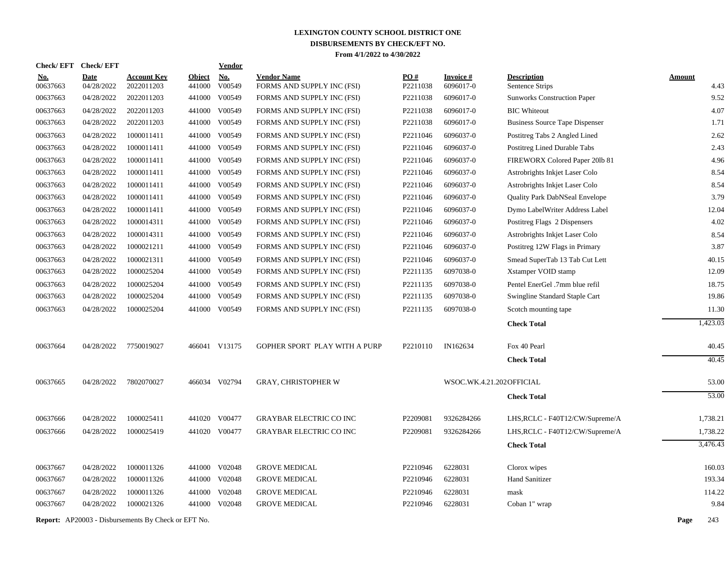|                        | Check/EFT Check/EFT       |                                                            |                         | Vendor               |                                                  |                 |                              |                                       |                       |
|------------------------|---------------------------|------------------------------------------------------------|-------------------------|----------------------|--------------------------------------------------|-----------------|------------------------------|---------------------------------------|-----------------------|
| <u>No.</u><br>00637663 | <b>Date</b><br>04/28/2022 | <b>Account Key</b><br>2022011203                           | <b>Object</b><br>441000 | <b>No.</b><br>V00549 | <b>Vendor Name</b><br>FORMS AND SUPPLY INC (FSI) | PO#<br>P2211038 | <b>Invoice#</b><br>6096017-0 | <b>Description</b><br>Sentence Strips | <b>Amount</b><br>4.43 |
| 00637663               | 04/28/2022                | 2022011203                                                 |                         | 441000 V00549        | FORMS AND SUPPLY INC (FSI)                       | P2211038        | 6096017-0                    | <b>Sunworks Construction Paper</b>    | 9.52                  |
| 00637663               | 04/28/2022                | 2022011203                                                 |                         | 441000 V00549        | FORMS AND SUPPLY INC (FSI)                       | P2211038        | 6096017-0                    | <b>BIC</b> Whiteout                   | 4.07                  |
| 00637663               | 04/28/2022                | 2022011203                                                 |                         | 441000 V00549        | FORMS AND SUPPLY INC (FSI)                       | P2211038        | 6096017-0                    | <b>Business Source Tape Dispenser</b> | 1.71                  |
| 00637663               | 04/28/2022                | 1000011411                                                 |                         | 441000 V00549        | FORMS AND SUPPLY INC (FSI)                       | P2211046        | 6096037-0                    | Postitreg Tabs 2 Angled Lined         | 2.62                  |
| 00637663               | 04/28/2022                | 1000011411                                                 |                         | 441000 V00549        | FORMS AND SUPPLY INC (FSI)                       | P2211046        | 6096037-0                    | Postitreg Lined Durable Tabs          | 2.43                  |
| 00637663               | 04/28/2022                | 1000011411                                                 |                         | 441000 V00549        | FORMS AND SUPPLY INC (FSI)                       | P2211046        | 6096037-0                    | FIREWORX Colored Paper 201b 81        | 4.96                  |
| 00637663               | 04/28/2022                | 1000011411                                                 |                         | 441000 V00549        | FORMS AND SUPPLY INC (FSI)                       | P2211046        | 6096037-0                    | Astrobrights Inkjet Laser Colo        | 8.54                  |
| 00637663               | 04/28/2022                | 1000011411                                                 | 441000                  | V00549               | FORMS AND SUPPLY INC (FSI)                       | P2211046        | 6096037-0                    | Astrobrights Inkjet Laser Colo        | 8.54                  |
| 00637663               | 04/28/2022                | 1000011411                                                 |                         | 441000 V00549        | FORMS AND SUPPLY INC (FSI)                       | P2211046        | 6096037-0                    | Quality Park DabNSeal Envelope        | 3.79                  |
| 00637663               | 04/28/2022                | 1000011411                                                 | 441000                  | V00549               | FORMS AND SUPPLY INC (FSI)                       | P2211046        | 6096037-0                    | Dymo LabelWriter Address Label        | 12.04                 |
| 00637663               | 04/28/2022                | 1000014311                                                 |                         | 441000 V00549        | FORMS AND SUPPLY INC (FSI)                       | P2211046        | 6096037-0                    | Postitreg Flags 2 Dispensers          | 4.02                  |
| 00637663               | 04/28/2022                | 1000014311                                                 | 441000                  | V00549               | FORMS AND SUPPLY INC (FSI)                       | P2211046        | 6096037-0                    | Astrobrights Inkjet Laser Colo        | 8.54                  |
| 00637663               | 04/28/2022                | 1000021211                                                 | 441000                  | V00549               | FORMS AND SUPPLY INC (FSI)                       | P2211046        | 6096037-0                    | Postitreg 12W Flags in Primary        | 3.87                  |
| 00637663               | 04/28/2022                | 1000021311                                                 | 441000                  | V00549               | FORMS AND SUPPLY INC (FSI)                       | P2211046        | 6096037-0                    | Smead SuperTab 13 Tab Cut Lett        | 40.15                 |
| 00637663               | 04/28/2022                | 1000025204                                                 |                         | 441000 V00549        | FORMS AND SUPPLY INC (FSI)                       | P2211135        | 6097038-0                    | Xstamper VOID stamp                   | 12.09                 |
| 00637663               | 04/28/2022                | 1000025204                                                 | 441000                  | V00549               | FORMS AND SUPPLY INC (FSI)                       | P2211135        | 6097038-0                    | Pentel EnerGel .7mm blue refil        | 18.75                 |
| 00637663               | 04/28/2022                | 1000025204                                                 | 441000                  | V00549               | FORMS AND SUPPLY INC (FSI)                       | P2211135        | 6097038-0                    | Swingline Standard Staple Cart        | 19.86                 |
| 00637663               | 04/28/2022                | 1000025204                                                 |                         | 441000 V00549        | FORMS AND SUPPLY INC (FSI)                       | P2211135        | 6097038-0                    | Scotch mounting tape                  | 11.30                 |
|                        |                           |                                                            |                         |                      |                                                  |                 |                              | <b>Check Total</b>                    | 1,423.03              |
|                        |                           |                                                            |                         |                      |                                                  |                 |                              |                                       |                       |
| 00637664               | 04/28/2022                | 7750019027                                                 |                         | 466041 V13175        | GOPHER SPORT PLAY WITH A PURP                    | P2210110        | IN162634                     | Fox 40 Pearl                          | 40.45                 |
|                        |                           |                                                            |                         |                      |                                                  |                 |                              | <b>Check Total</b>                    | 40.45                 |
| 00637665               | 04/28/2022                | 7802070027                                                 |                         | 466034 V02794        | <b>GRAY, CHRISTOPHER W</b>                       |                 | WSOC.WK.4.21.202OFFICIAL     |                                       | 53.00                 |
|                        |                           |                                                            |                         |                      |                                                  |                 |                              | <b>Check Total</b>                    | 53.00                 |
| 00637666               | 04/28/2022                | 1000025411                                                 |                         | 441020 V00477        | <b>GRAYBAR ELECTRIC CO INC</b>                   | P2209081        | 9326284266                   | LHS, RCLC - F40T12/CW/Supreme/A       | 1,738.21              |
| 00637666               | 04/28/2022                | 1000025419                                                 |                         | 441020 V00477        | <b>GRAYBAR ELECTRIC CO INC</b>                   | P2209081        | 9326284266                   | LHS, RCLC - F40T12/CW/Supreme/A       | 1,738.22              |
|                        |                           |                                                            |                         |                      |                                                  |                 |                              | <b>Check Total</b>                    | 3,476.43              |
|                        |                           | 1000011326                                                 |                         | 441000 V02048        |                                                  | P2210946        | 6228031                      |                                       | 160.03                |
| 00637667<br>00637667   | 04/28/2022<br>04/28/2022  | 1000011326                                                 |                         | 441000 V02048        | <b>GROVE MEDICAL</b><br><b>GROVE MEDICAL</b>     | P2210946        | 6228031                      | Clorox wipes<br><b>Hand Sanitizer</b> | 193.34                |
| 00637667               | 04/28/2022                | 1000011326                                                 |                         | 441000 V02048        | <b>GROVE MEDICAL</b>                             | P2210946        | 6228031                      | mask                                  | 114.22                |
| 00637667               | 04/28/2022                | 1000021326                                                 |                         | 441000 V02048        | <b>GROVE MEDICAL</b>                             | P2210946        | 6228031                      | Coban 1" wrap                         | 9.84                  |
|                        |                           |                                                            |                         |                      |                                                  |                 |                              |                                       |                       |
|                        |                           | <b>Report:</b> AP20003 - Disbursements By Check or EFT No. |                         |                      |                                                  |                 |                              |                                       | Page<br>243           |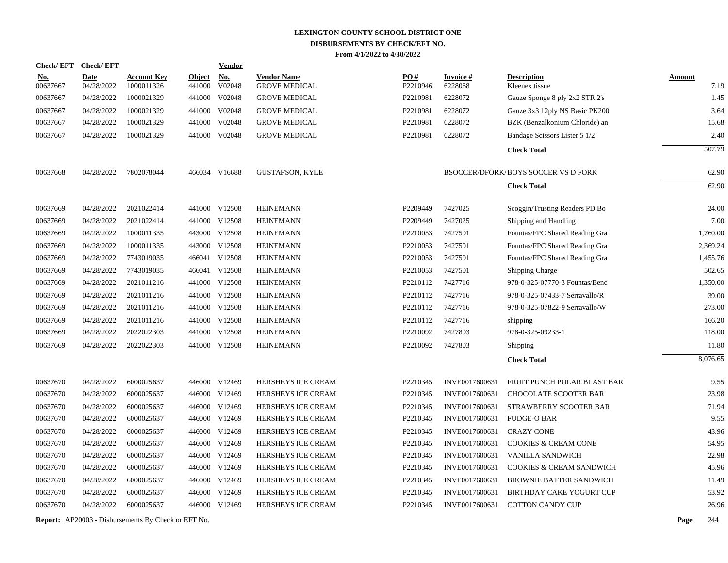| Check/EFT Check/EFT    |                           |                                  |                         | <b>Vendor</b>        |                                            |                 |                            |                                            |                       |
|------------------------|---------------------------|----------------------------------|-------------------------|----------------------|--------------------------------------------|-----------------|----------------------------|--------------------------------------------|-----------------------|
| <u>No.</u><br>00637667 | <b>Date</b><br>04/28/2022 | <b>Account Key</b><br>1000011326 | <b>Object</b><br>441000 | <b>No.</b><br>V02048 | <b>Vendor Name</b><br><b>GROVE MEDICAL</b> | PO#<br>P2210946 | <b>Invoice#</b><br>6228068 | <b>Description</b><br>Kleenex tissue       | <b>Amount</b><br>7.19 |
| 00637667               | 04/28/2022                | 1000021329                       | 441000                  | V02048               | <b>GROVE MEDICAL</b>                       | P2210981        | 6228072                    | Gauze Sponge 8 ply 2x2 STR 2's             | 1.45                  |
| 00637667               | 04/28/2022                | 1000021329                       | 441000                  | V02048               | <b>GROVE MEDICAL</b>                       | P2210981        | 6228072                    | Gauze 3x3 12ply NS Basic PK200             | 3.64                  |
| 00637667               | 04/28/2022                | 1000021329                       | 441000                  | V02048               | <b>GROVE MEDICAL</b>                       | P2210981        | 6228072                    | BZK (Benzalkonium Chloride) an             | 15.68                 |
| 00637667               | 04/28/2022                | 1000021329                       |                         | 441000 V02048        | <b>GROVE MEDICAL</b>                       | P2210981        | 6228072                    | Bandage Scissors Lister 5 1/2              | 2.40                  |
|                        |                           |                                  |                         |                      |                                            |                 |                            | <b>Check Total</b>                         | 507.79                |
| 00637668               | 04/28/2022                | 7802078044                       |                         | 466034 V16688        | <b>GUSTAFSON, KYLE</b>                     |                 |                            | <b>BSOCCER/DFORK/BOYS SOCCER VS D FORK</b> | 62.90                 |
|                        |                           |                                  |                         |                      |                                            |                 |                            | <b>Check Total</b>                         | 62.90                 |
| 00637669               | 04/28/2022                | 2021022414                       |                         | 441000 V12508        | <b>HEINEMANN</b>                           | P2209449        | 7427025                    | Scoggin/Trusting Readers PD Bo             | 24.00                 |
| 00637669               | 04/28/2022                | 2021022414                       |                         | 441000 V12508        | <b>HEINEMANN</b>                           | P2209449        | 7427025                    | Shipping and Handling                      | 7.00                  |
| 00637669               | 04/28/2022                | 1000011335                       |                         | 443000 V12508        | <b>HEINEMANN</b>                           | P2210053        | 7427501                    | Fountas/FPC Shared Reading Gra             | 1,760.00              |
| 00637669               | 04/28/2022                | 1000011335                       |                         | 443000 V12508        | <b>HEINEMANN</b>                           | P2210053        | 7427501                    | Fountas/FPC Shared Reading Gra             | 2,369.24              |
| 00637669               | 04/28/2022                | 7743019035                       |                         | 466041 V12508        | <b>HEINEMANN</b>                           | P2210053        | 7427501                    | Fountas/FPC Shared Reading Gra             | 1,455.76              |
| 00637669               | 04/28/2022                | 7743019035                       |                         | 466041 V12508        | <b>HEINEMANN</b>                           | P2210053        | 7427501                    | Shipping Charge                            | 502.65                |
| 00637669               | 04/28/2022                | 2021011216                       |                         | 441000 V12508        | <b>HEINEMANN</b>                           | P2210112        | 7427716                    | 978-0-325-07770-3 Fountas/Benc             | 1,350.00              |
| 00637669               | 04/28/2022                | 2021011216                       |                         | 441000 V12508        | <b>HEINEMANN</b>                           | P2210112        | 7427716                    | 978-0-325-07433-7 Serravallo/R             | 39.00                 |
| 00637669               | 04/28/2022                | 2021011216                       |                         | 441000 V12508        | <b>HEINEMANN</b>                           | P2210112        | 7427716                    | 978-0-325-07822-9 Serravallo/W             | 273.00                |
| 00637669               | 04/28/2022                | 2021011216                       |                         | 441000 V12508        | <b>HEINEMANN</b>                           | P2210112        | 7427716                    | shipping                                   | 166.20                |
| 00637669               | 04/28/2022                | 2022022303                       |                         | 441000 V12508        | <b>HEINEMANN</b>                           | P2210092        | 7427803                    | 978-0-325-09233-1                          | 118.00                |
| 00637669               | 04/28/2022                | 2022022303                       |                         | 441000 V12508        | <b>HEINEMANN</b>                           | P2210092        | 7427803                    | Shipping                                   | 11.80                 |
|                        |                           |                                  |                         |                      |                                            |                 |                            | <b>Check Total</b>                         | 8,076.65              |
| 00637670               | 04/28/2022                | 6000025637                       |                         | 446000 V12469        | HERSHEYS ICE CREAM                         | P2210345        | INVE0017600631             | FRUIT PUNCH POLAR BLAST BAR                | 9.55                  |
| 00637670               | 04/28/2022                | 6000025637                       |                         | 446000 V12469        | <b>HERSHEYS ICE CREAM</b>                  | P2210345        | INVE0017600631             | <b>CHOCOLATE SCOOTER BAR</b>               | 23.98                 |
| 00637670               | 04/28/2022                | 6000025637                       |                         | 446000 V12469        | HERSHEYS ICE CREAM                         | P2210345        | INVE0017600631             | STRAWBERRY SCOOTER BAR                     | 71.94                 |
| 00637670               | 04/28/2022                | 6000025637                       |                         | 446000 V12469        | HERSHEYS ICE CREAM                         | P2210345        | INVE0017600631             | <b>FUDGE-O BAR</b>                         | 9.55                  |
| 00637670               | 04/28/2022                | 6000025637                       |                         | 446000 V12469        | HERSHEYS ICE CREAM                         | P2210345        | INVE0017600631             | <b>CRAZY CONE</b>                          | 43.96                 |
| 00637670               | 04/28/2022                | 6000025637                       |                         | 446000 V12469        | HERSHEYS ICE CREAM                         | P2210345        | INVE0017600631             | <b>COOKIES &amp; CREAM CONE</b>            | 54.95                 |
| 00637670               | 04/28/2022                | 6000025637                       |                         | 446000 V12469        | HERSHEYS ICE CREAM                         | P2210345        | INVE0017600631             | VANILLA SANDWICH                           | 22.98                 |
| 00637670               | 04/28/2022                | 6000025637                       |                         | 446000 V12469        | HERSHEYS ICE CREAM                         | P2210345        | INVE0017600631             | COOKIES & CREAM SANDWICH                   | 45.96                 |
| 00637670               | 04/28/2022                | 6000025637                       |                         | 446000 V12469        | HERSHEYS ICE CREAM                         | P2210345        | INVE0017600631             | BROWNIE BATTER SANDWICH                    | 11.49                 |
| 00637670               | 04/28/2022                | 6000025637                       |                         | 446000 V12469        | HERSHEYS ICE CREAM                         | P2210345        | INVE0017600631             | <b>BIRTHDAY CAKE YOGURT CUP</b>            | 53.92                 |
| 00637670               | 04/28/2022                | 6000025637                       |                         | 446000 V12469        | HERSHEYS ICE CREAM                         | P2210345        | INVE0017600631             | <b>COTTON CANDY CUP</b>                    | 26.96                 |
|                        |                           |                                  |                         |                      |                                            |                 |                            |                                            |                       |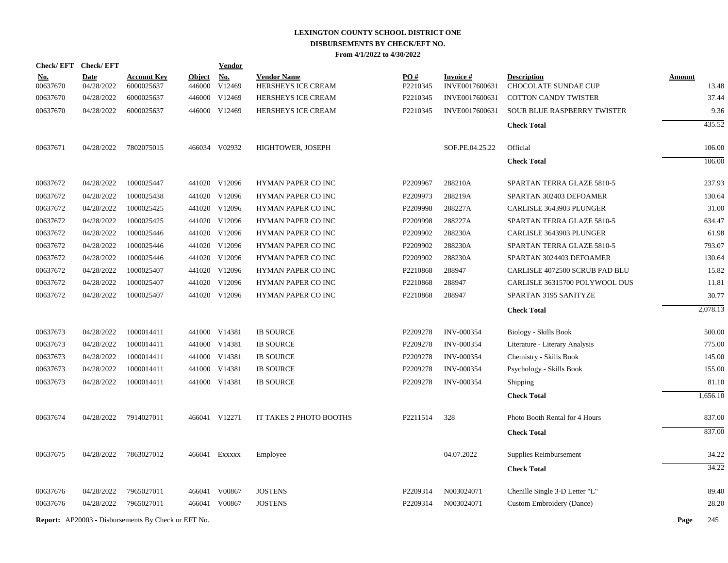| Check/EFT Check/EFT |             |                                                            |               | <b>Vendor</b> |                           |          |                   |                                  |               |
|---------------------|-------------|------------------------------------------------------------|---------------|---------------|---------------------------|----------|-------------------|----------------------------------|---------------|
| <u>No.</u>          | <b>Date</b> | <b>Account Key</b>                                         | <b>Object</b> | <b>No.</b>    | <b>Vendor Name</b>        | PO#      | <b>Invoice#</b>   | <b>Description</b>               | <b>Amount</b> |
| 00637670            | 04/28/2022  | 6000025637                                                 | 446000        | V12469        | HERSHEYS ICE CREAM        | P2210345 | INVE0017600631    | CHOCOLATE SUNDAE CUP             | 13.48         |
| 00637670            | 04/28/2022  | 6000025637                                                 | 446000        | V12469        | HERSHEYS ICE CREAM        | P2210345 | INVE0017600631    | <b>COTTON CANDY TWISTER</b>      | 37.44         |
| 00637670            | 04/28/2022  | 6000025637                                                 |               | 446000 V12469 | <b>HERSHEYS ICE CREAM</b> | P2210345 | INVE0017600631    | SOUR BLUE RASPBERRY TWISTER      | 9.36          |
|                     |             |                                                            |               |               |                           |          |                   | <b>Check Total</b>               | 435.52        |
| 00637671            | 04/28/2022  | 7802075015                                                 |               | 466034 V02932 | HIGHTOWER, JOSEPH         |          | SOF.PE.04.25.22   | Official                         | 106.00        |
|                     |             |                                                            |               |               |                           |          |                   | <b>Check Total</b>               | 106.00        |
| 00637672            | 04/28/2022  | 1000025447                                                 |               | 441020 V12096 | HYMAN PAPER CO INC        | P2209967 | 288210A           | SPARTAN TERRA GLAZE 5810-5       | 237.93        |
| 00637672            | 04/28/2022  | 1000025438                                                 |               | 441020 V12096 | HYMAN PAPER CO INC        | P2209973 | 288219A           | SPARTAN 302403 DEFOAMER          | 130.64        |
| 00637672            | 04/28/2022  | 1000025425                                                 |               | 441020 V12096 | HYMAN PAPER CO INC        | P2209998 | 288227A           | CARLISLE 3643903 PLUNGER         | 31.00         |
| 00637672            | 04/28/2022  | 1000025425                                                 |               | 441020 V12096 | HYMAN PAPER CO INC        | P2209998 | 288227A           | SPARTAN TERRA GLAZE 5810-5       | 634.47        |
| 00637672            | 04/28/2022  | 1000025446                                                 |               | 441020 V12096 | HYMAN PAPER CO INC        | P2209902 | 288230A           | CARLISLE 3643903 PLUNGER         | 61.98         |
| 00637672            | 04/28/2022  | 1000025446                                                 |               | 441020 V12096 | HYMAN PAPER CO INC        | P2209902 | 288230A           | SPARTAN TERRA GLAZE 5810-5       | 793.07        |
| 00637672            | 04/28/2022  | 1000025446                                                 |               | 441020 V12096 | <b>HYMAN PAPER CO INC</b> | P2209902 | 288230A           | SPARTAN 3024403 DEFOAMER         | 130.64        |
| 00637672            | 04/28/2022  | 1000025407                                                 |               | 441020 V12096 | HYMAN PAPER CO INC        | P2210868 | 288947            | CARLISLE 4072500 SCRUB PAD BLU   | 15.82         |
| 00637672            | 04/28/2022  | 1000025407                                                 |               | 441020 V12096 | HYMAN PAPER CO INC        | P2210868 | 288947            | CARLISLE 36315700 POLYWOOL DUS   | 11.81         |
| 00637672            | 04/28/2022  | 1000025407                                                 |               | 441020 V12096 | HYMAN PAPER CO INC        | P2210868 | 288947            | SPARTAN 3195 SANITYZE            | 30.77         |
|                     |             |                                                            |               |               |                           |          |                   | <b>Check Total</b>               | 2,078.13      |
| 00637673            | 04/28/2022  | 1000014411                                                 |               | 441000 V14381 | <b>IB SOURCE</b>          | P2209278 | <b>INV-000354</b> | <b>Biology - Skills Book</b>     | 500.00        |
| 00637673            | 04/28/2022  | 1000014411                                                 |               | 441000 V14381 | <b>IB SOURCE</b>          | P2209278 | <b>INV-000354</b> | Literature - Literary Analysis   | 775.00        |
| 00637673            | 04/28/2022  | 1000014411                                                 |               | 441000 V14381 | <b>IB SOURCE</b>          | P2209278 | INV-000354        | Chemistry - Skills Book          | 145.00        |
| 00637673            | 04/28/2022  | 1000014411                                                 |               | 441000 V14381 | <b>IB SOURCE</b>          | P2209278 | <b>INV-000354</b> | Psychology - Skills Book         | 155.00        |
| 00637673            | 04/28/2022  | 1000014411                                                 |               | 441000 V14381 | <b>IB SOURCE</b>          | P2209278 | <b>INV-000354</b> | Shipping                         | 81.10         |
|                     |             |                                                            |               |               |                           |          |                   | <b>Check Total</b>               | 1,656.10      |
| 00637674            | 04/28/2022  | 7914027011                                                 |               | 466041 V12271 | IT TAKES 2 PHOTO BOOTHS   | P2211514 | 328               | Photo Booth Rental for 4 Hours   | 837.00        |
|                     |             |                                                            |               |               |                           |          |                   | <b>Check Total</b>               | 837.00        |
| 00637675            | 04/28/2022  | 7863027012                                                 |               | 466041 Exxxxx | Employee                  |          | 04.07.2022        | Supplies Reimbursement           | 34.22         |
|                     |             |                                                            |               |               |                           |          |                   | <b>Check Total</b>               | 34.22         |
| 00637676            | 04/28/2022  | 7965027011                                                 | 466041        | V00867        | <b>JOSTENS</b>            | P2209314 | N003024071        | Chenille Single 3-D Letter "L"   | 89.40         |
| 00637676            | 04/28/2022  | 7965027011                                                 |               | 466041 V00867 | <b>JOSTENS</b>            | P2209314 | N003024071        | <b>Custom Embroidery (Dance)</b> | 28.20         |
|                     |             | <b>Report:</b> AP20003 - Disbursements By Check or EFT No. |               |               |                           |          |                   |                                  | Page<br>245   |
|                     |             |                                                            |               |               |                           |          |                   |                                  |               |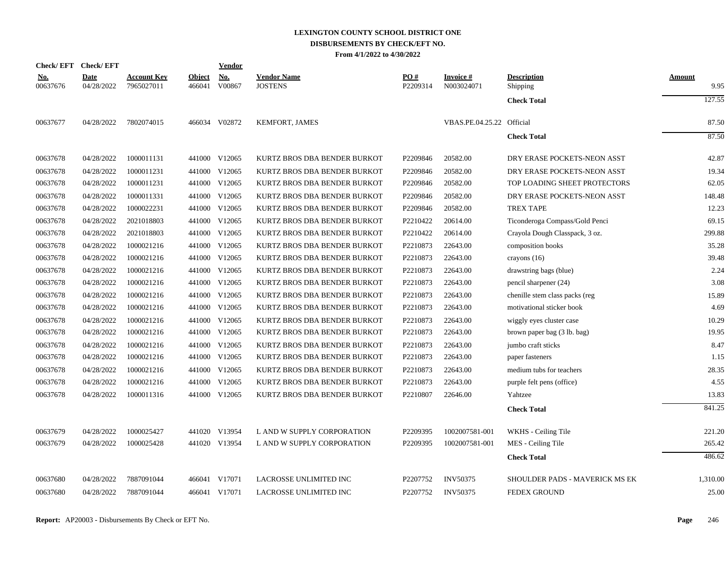# **LEXINGTON COUNTY SCHOOL DISTRICT ONE DISBURSEMENTS BY CHECK/EFT NO.**

**From 4/1/2022 to 4/30/2022**

| Check/EFT Check/EFT    |                           |                                  |                         | <b>Vendor</b> |                                      |                      |                               |                                |                       |
|------------------------|---------------------------|----------------------------------|-------------------------|---------------|--------------------------------------|----------------------|-------------------------------|--------------------------------|-----------------------|
| <b>No.</b><br>00637676 | <b>Date</b><br>04/28/2022 | <b>Account Key</b><br>7965027011 | <b>Object</b><br>466041 | No.<br>V00867 | <b>Vendor Name</b><br><b>JOSTENS</b> | PO#<br>P2209314      | <b>Invoice#</b><br>N003024071 | <b>Description</b><br>Shipping | <b>Amount</b><br>9.95 |
|                        |                           |                                  |                         |               |                                      |                      |                               | <b>Check Total</b>             | 127.55                |
| 00637677               | 04/28/2022                | 7802074015                       |                         | 466034 V02872 | KEMFORT, JAMES                       |                      | VBAS.PE.04.25.22 Official     |                                | 87.50                 |
|                        |                           |                                  |                         |               |                                      |                      |                               | <b>Check Total</b>             | 87.50                 |
| 00637678               | 04/28/2022                | 1000011131                       |                         | 441000 V12065 | KURTZ BROS DBA BENDER BURKOT         | P2209846             | 20582.00                      | DRY ERASE POCKETS-NEON ASST    | 42.87                 |
| 00637678               | 04/28/2022                | 1000011231                       | 441000                  | V12065        | KURTZ BROS DBA BENDER BURKOT         | P2209846             | 20582.00                      | DRY ERASE POCKETS-NEON ASST    | 19.34                 |
| 00637678               | 04/28/2022                | 1000011231                       | 441000                  | V12065        | KURTZ BROS DBA BENDER BURKOT         | P2209846             | 20582.00                      | TOP LOADING SHEET PROTECTORS   | 62.05                 |
| 00637678               | 04/28/2022                | 1000011331                       | 441000                  | V12065        | KURTZ BROS DBA BENDER BURKOT         | P2209846             | 20582.00                      | DRY ERASE POCKETS-NEON ASST    | 148.48                |
| 00637678               | 04/28/2022                | 1000022231                       | 441000                  | V12065        | KURTZ BROS DBA BENDER BURKOT         | P2209846             | 20582.00                      | <b>TREX TAPE</b>               | 12.23                 |
| 00637678               | 04/28/2022                | 2021018803                       | 441000                  | V12065        | KURTZ BROS DBA BENDER BURKOT         | P2210422             | 20614.00                      | Ticonderoga Compass/Gold Penci | 69.15                 |
| 00637678               | 04/28/2022                | 2021018803                       |                         | 441000 V12065 | KURTZ BROS DBA BENDER BURKOT         | P2210422             | 20614.00                      | Crayola Dough Classpack, 3 oz. | 299.88                |
| 00637678               | 04/28/2022                | 1000021216                       |                         | 441000 V12065 | KURTZ BROS DBA BENDER BURKOT         | P2210873             | 22643.00                      | composition books              | 35.28                 |
| 00637678               | 04/28/2022                | 1000021216                       |                         | 441000 V12065 | KURTZ BROS DBA BENDER BURKOT         | P2210873             | 22643.00                      | crayons $(16)$                 | 39.48                 |
| 00637678               | 04/28/2022                | 1000021216                       | 441000                  | V12065        | KURTZ BROS DBA BENDER BURKOT         | P2210873             | 22643.00                      | drawstring bags (blue)         | 2.24                  |
| 00637678               | 04/28/2022                | 1000021216                       | 441000                  | V12065        | KURTZ BROS DBA BENDER BURKOT         | P2210873             | 22643.00                      | pencil sharpener (24)          | 3.08                  |
| 00637678               | 04/28/2022                | 1000021216                       | 441000                  | V12065        | KURTZ BROS DBA BENDER BURKOT         | P2210873             | 22643.00                      | chenille stem class packs (reg | 15.89                 |
| 00637678               | 04/28/2022                | 1000021216                       | 441000                  | V12065        | KURTZ BROS DBA BENDER BURKOT         | P2210873             | 22643.00                      | motivational sticker book      | 4.69                  |
| 00637678               | 04/28/2022                | 1000021216                       | 441000                  | V12065        | KURTZ BROS DBA BENDER BURKOT         | P2210873             | 22643.00                      | wiggly eyes cluster case       | 10.29                 |
| 00637678               | 04/28/2022                | 1000021216                       |                         | 441000 V12065 | KURTZ BROS DBA BENDER BURKOT         | P2210873             | 22643.00                      | brown paper bag (3 lb. bag)    | 19.95                 |
| 00637678               | 04/28/2022                | 1000021216                       | 441000                  | V12065        | KURTZ BROS DBA BENDER BURKOT         | P2210873             | 22643.00                      | jumbo craft sticks             | 8.47                  |
| 00637678               | 04/28/2022                | 1000021216                       |                         | 441000 V12065 | KURTZ BROS DBA BENDER BURKOT         | P2210873             | 22643.00                      | paper fasteners                | 1.15                  |
| 00637678               | 04/28/2022                | 1000021216                       | 441000                  | V12065        | KURTZ BROS DBA BENDER BURKOT         | P2210873             | 22643.00                      | medium tubs for teachers       | 28.35                 |
| 00637678               | 04/28/2022                | 1000021216                       | 441000                  | V12065        | KURTZ BROS DBA BENDER BURKOT         | P2210873             | 22643.00                      | purple felt pens (office)      | 4.55                  |
| 00637678               | 04/28/2022                | 1000011316                       |                         | 441000 V12065 | KURTZ BROS DBA BENDER BURKOT         | P2210807             | 22646.00                      | Yahtzee                        | 13.83                 |
|                        |                           |                                  |                         |               |                                      |                      |                               | <b>Check Total</b>             | 841.25                |
| 00637679               | 04/28/2022                | 1000025427                       |                         | 441020 V13954 | L AND W SUPPLY CORPORATION           | P2209395             | 1002007581-001                | WKHS - Ceiling Tile            | 221.20                |
| 00637679               | 04/28/2022                | 1000025428                       |                         | 441020 V13954 | L AND W SUPPLY CORPORATION           | P2209395             | 1002007581-001                | MES - Ceiling Tile             | 265.42                |
|                        |                           |                                  |                         |               |                                      |                      |                               | <b>Check Total</b>             | 486.62                |
| 00637680               | 04/28/2022                | 7887091044                       |                         | 466041 V17071 | LACROSSE UNLIMITED INC               | P <sub>2207752</sub> | <b>INV50375</b>               | SHOULDER PADS - MAVERICK MS EK | 1,310.00              |
| 00637680               | 04/28/2022                | 7887091044                       | 466041                  | V17071        | LACROSSE UNLIMITED INC               | P2207752             | <b>INV50375</b>               | <b>FEDEX GROUND</b>            | 25.00                 |
|                        |                           |                                  |                         |               |                                      |                      |                               |                                |                       |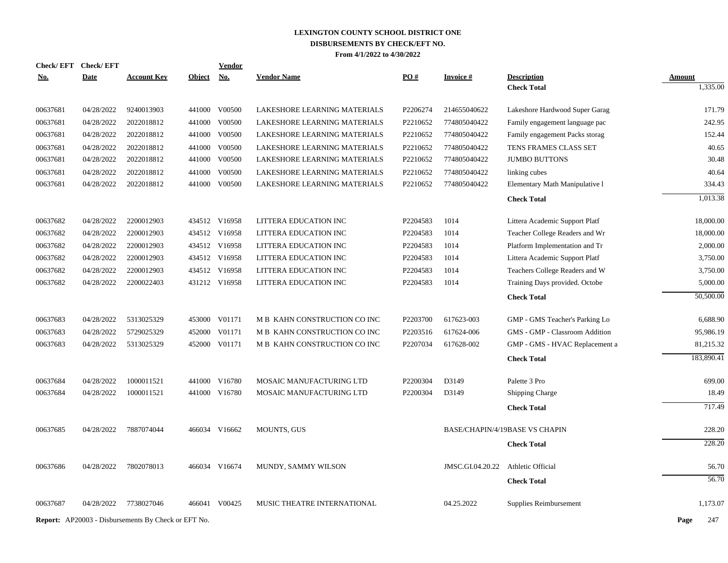| <b>Check/EFT</b> | <b>Check/EFT</b>                                           |                    |               | <u>Vendor</u> |                              |          |                  |                                       |               |
|------------------|------------------------------------------------------------|--------------------|---------------|---------------|------------------------------|----------|------------------|---------------------------------------|---------------|
| <u>No.</u>       | <b>Date</b>                                                | <b>Account Key</b> | <b>Object</b> | No.           | <b>Vendor Name</b>           | PO#      | <b>Invoice#</b>  | <b>Description</b>                    | <b>Amount</b> |
|                  |                                                            |                    |               |               |                              |          |                  | <b>Check Total</b>                    | 1,335.00      |
| 00637681         | 04/28/2022                                                 | 9240013903         |               | 441000 V00500 | LAKESHORE LEARNING MATERIALS | P2206274 | 214655040622     | Lakeshore Hardwood Super Garag        | 171.79        |
| 00637681         | 04/28/2022                                                 | 2022018812         | 441000        | V00500        | LAKESHORE LEARNING MATERIALS | P2210652 | 774805040422     | Family engagement language pac        | 242.95        |
| 00637681         | 04/28/2022                                                 | 2022018812         |               | 441000 V00500 | LAKESHORE LEARNING MATERIALS | P2210652 | 774805040422     | Family engagement Packs storag        | 152.44        |
| 00637681         | 04/28/2022                                                 | 2022018812         |               | 441000 V00500 | LAKESHORE LEARNING MATERIALS | P2210652 | 774805040422     | TENS FRAMES CLASS SET                 | 40.65         |
| 00637681         | 04/28/2022                                                 | 2022018812         |               | 441000 V00500 | LAKESHORE LEARNING MATERIALS | P2210652 | 774805040422     | <b>JUMBO BUTTONS</b>                  | 30.48         |
| 00637681         | 04/28/2022                                                 | 2022018812         |               | 441000 V00500 | LAKESHORE LEARNING MATERIALS | P2210652 | 774805040422     | linking cubes                         | 40.64         |
| 00637681         | 04/28/2022                                                 | 2022018812         |               | 441000 V00500 | LAKESHORE LEARNING MATERIALS | P2210652 | 774805040422     | Elementary Math Manipulative 1        | 334.43        |
|                  |                                                            |                    |               |               |                              |          |                  | <b>Check Total</b>                    | 1,013.38      |
| 00637682         | 04/28/2022                                                 | 2200012903         |               | 434512 V16958 | LITTERA EDUCATION INC        | P2204583 | 1014             | Littera Academic Support Platf        | 18,000.00     |
| 00637682         | 04/28/2022                                                 | 2200012903         |               | 434512 V16958 | LITTERA EDUCATION INC        | P2204583 | 1014             | Teacher College Readers and Wr        | 18,000.00     |
| 00637682         | 04/28/2022                                                 | 2200012903         |               | 434512 V16958 | LITTERA EDUCATION INC        | P2204583 | 1014             | Platform Implementation and Tr        | 2,000.00      |
| 00637682         | 04/28/2022                                                 | 2200012903         |               | 434512 V16958 | LITTERA EDUCATION INC        | P2204583 | 1014             | Littera Academic Support Platf        | 3,750.00      |
| 00637682         | 04/28/2022                                                 | 2200012903         |               | 434512 V16958 | LITTERA EDUCATION INC        | P2204583 | 1014             | Teachers College Readers and W        | 3,750.00      |
| 00637682         | 04/28/2022                                                 | 2200022403         |               | 431212 V16958 | LITTERA EDUCATION INC        | P2204583 | 1014             | Training Days provided. Octobe        | 5,000.00      |
|                  |                                                            |                    |               |               |                              |          |                  | <b>Check Total</b>                    | 50,500.00     |
| 00637683         | 04/28/2022                                                 | 5313025329         |               | 453000 V01171 | M B KAHN CONSTRUCTION CO INC | P2203700 | 617623-003       | GMP - GMS Teacher's Parking Lo        | 6,688.90      |
| 00637683         | 04/28/2022                                                 | 5729025329         |               | 452000 V01171 | M B KAHN CONSTRUCTION CO INC | P2203516 | 617624-006       | GMS - GMP - Classroom Addition        | 95,986.19     |
| 00637683         | 04/28/2022                                                 | 5313025329         |               | 452000 V01171 | M B KAHN CONSTRUCTION CO INC | P2207034 | 617628-002       | GMP - GMS - HVAC Replacement a        | 81,215.32     |
|                  |                                                            |                    |               |               |                              |          |                  | <b>Check Total</b>                    | 183,890.41    |
| 00637684         | 04/28/2022                                                 | 1000011521         |               | 441000 V16780 | MOSAIC MANUFACTURING LTD     | P2200304 | D3149            | Palette 3 Pro                         | 699.00        |
| 00637684         | 04/28/2022                                                 | 1000011521         |               | 441000 V16780 | MOSAIC MANUFACTURING LTD     | P2200304 | D3149            | <b>Shipping Charge</b>                | 18.49         |
|                  |                                                            |                    |               |               |                              |          |                  | <b>Check Total</b>                    | 717.49        |
| 00637685         | 04/28/2022                                                 | 7887074044         |               | 466034 V16662 | <b>MOUNTS, GUS</b>           |          |                  | <b>BASE/CHAPIN/4/19BASE VS CHAPIN</b> | 228.20        |
|                  |                                                            |                    |               |               |                              |          |                  | <b>Check Total</b>                    | 228.20        |
| 00637686         | 04/28/2022                                                 | 7802078013         |               | 466034 V16674 | MUNDY, SAMMY WILSON          |          | JMSC.GI.04.20.22 | Athletic Official                     | 56.70         |
|                  |                                                            |                    |               |               |                              |          |                  | <b>Check Total</b>                    | 56.70         |
| 00637687         | 04/28/2022                                                 | 7738027046         |               | 466041 V00425 | MUSIC THEATRE INTERNATIONAL  |          | 04.25.2022       | Supplies Reimbursement                | 1,173.07      |
|                  | <b>Report:</b> AP20003 - Disbursements By Check or EFT No. |                    |               |               |                              |          |                  |                                       | Page<br>247   |
|                  |                                                            |                    |               |               |                              |          |                  |                                       |               |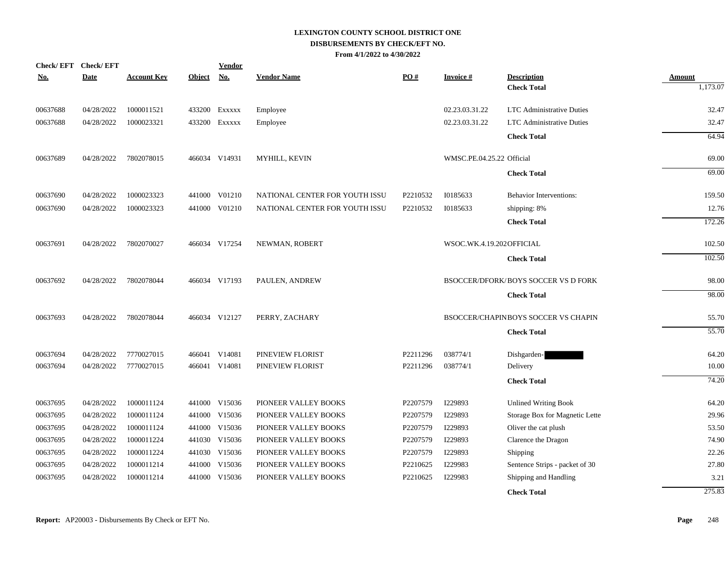| <b>Check/EFT</b> | <b>Check/EFT</b> |                    |               | Vendor        |                                |          |                           |                                            |                    |
|------------------|------------------|--------------------|---------------|---------------|--------------------------------|----------|---------------------------|--------------------------------------------|--------------------|
| <u>No.</u>       | <b>Date</b>      | <b>Account Key</b> | <b>Object</b> | No.           | <b>Vendor Name</b>             | PO#      | <b>Invoice#</b>           | <b>Description</b>                         | Amount<br>1,173.07 |
|                  |                  |                    |               |               |                                |          |                           | <b>Check Total</b>                         |                    |
| 00637688         | 04/28/2022       | 1000011521         |               | 433200 EXXXXX | Employee                       |          | 02.23.03.31.22            | <b>LTC</b> Administrative Duties           | 32.47              |
| 00637688         | 04/28/2022       | 1000023321         |               | 433200 EXXXXX | Employee                       |          | 02.23.03.31.22            | <b>LTC</b> Administrative Duties           | 32.47              |
|                  |                  |                    |               |               |                                |          |                           | <b>Check Total</b>                         | 64.94              |
| 00637689         | 04/28/2022       | 7802078015         |               | 466034 V14931 | MYHILL, KEVIN                  |          | WMSC.PE.04.25.22 Official |                                            | 69.00              |
|                  |                  |                    |               |               |                                |          |                           | <b>Check Total</b>                         | 69.00              |
| 00637690         | 04/28/2022       | 1000023323         | 441000        | V01210        | NATIONAL CENTER FOR YOUTH ISSU | P2210532 | 10185633                  | <b>Behavior Interventions:</b>             | 159.50             |
| 00637690         | 04/28/2022       | 1000023323         |               | 441000 V01210 | NATIONAL CENTER FOR YOUTH ISSU | P2210532 | 10185633                  | shipping: 8%                               | 12.76              |
|                  |                  |                    |               |               |                                |          |                           | <b>Check Total</b>                         | 172.26             |
| 00637691         | 04/28/2022       | 7802070027         |               | 466034 V17254 | NEWMAN, ROBERT                 |          | WSOC.WK.4.19.202OFFICIAL  |                                            | 102.50             |
|                  |                  |                    |               |               |                                |          |                           | <b>Check Total</b>                         | 102.50             |
| 00637692         | 04/28/2022       | 7802078044         |               | 466034 V17193 | PAULEN, ANDREW                 |          |                           | <b>BSOCCER/DFORK/BOYS SOCCER VS D FORK</b> | 98.00              |
|                  |                  |                    |               |               |                                |          |                           | <b>Check Total</b>                         | 98.00              |
| 00637693         | 04/28/2022       | 7802078044         |               | 466034 V12127 | PERRY, ZACHARY                 |          |                           | <b>BSOCCER/CHAPINBOYS SOCCER VS CHAPIN</b> | 55.70              |
|                  |                  |                    |               |               |                                |          |                           | <b>Check Total</b>                         | 55.70              |
| 00637694         | 04/28/2022       | 7770027015         | 466041        | V14081        | PINEVIEW FLORIST               | P2211296 | 038774/1                  | Dishgarden-                                | 64.20              |
| 00637694         | 04/28/2022       | 7770027015         |               | 466041 V14081 | PINEVIEW FLORIST               | P2211296 | 038774/1                  | Delivery                                   | 10.00              |
|                  |                  |                    |               |               |                                |          |                           | <b>Check Total</b>                         | 74.20              |
| 00637695         | 04/28/2022       | 1000011124         |               | 441000 V15036 | PIONEER VALLEY BOOKS           | P2207579 | I229893                   | <b>Unlined Writing Book</b>                | 64.20              |
| 00637695         | 04/28/2022       | 1000011124         |               | 441000 V15036 | PIONEER VALLEY BOOKS           | P2207579 | I229893                   | Storage Box for Magnetic Lette             | 29.96              |
| 00637695         | 04/28/2022       | 1000011124         | 441000        | V15036        | PIONEER VALLEY BOOKS           | P2207579 | I229893                   | Oliver the cat plush                       | 53.50              |
| 00637695         | 04/28/2022       | 1000011224         | 441030        | V15036        | PIONEER VALLEY BOOKS           | P2207579 | I229893                   | Clarence the Dragon                        | 74.90              |
| 00637695         | 04/28/2022       | 1000011224         |               | 441030 V15036 | PIONEER VALLEY BOOKS           | P2207579 | I229893                   | Shipping                                   | 22.26              |
| 00637695         | 04/28/2022       | 1000011214         |               | 441000 V15036 | PIONEER VALLEY BOOKS           | P2210625 | I229983                   | Sentence Strips - packet of 30             | 27.80              |
| 00637695         | 04/28/2022       | 1000011214         |               | 441000 V15036 | PIONEER VALLEY BOOKS           | P2210625 | I229983                   | Shipping and Handling                      | 3.21               |
|                  |                  |                    |               |               |                                |          |                           | <b>Check Total</b>                         | 275.83             |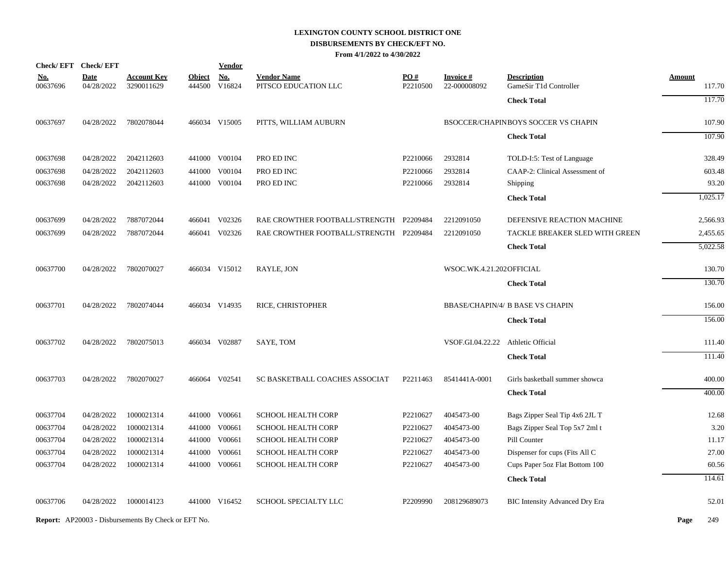| Check/EFT Check/EFT    |                           |                                                            |               | <b>Vendor</b>               |                                            |                             |                                 |                                              |               |          |
|------------------------|---------------------------|------------------------------------------------------------|---------------|-----------------------------|--------------------------------------------|-----------------------------|---------------------------------|----------------------------------------------|---------------|----------|
| <u>No.</u><br>00637696 | <b>Date</b><br>04/28/2022 | <b>Account Key</b><br>3290011629                           | <b>Object</b> | <b>No.</b><br>444500 V16824 | <b>Vendor Name</b><br>PITSCO EDUCATION LLC | PO#<br>P <sub>2210500</sub> | <b>Invoice#</b><br>22-000008092 | <b>Description</b><br>GameSir T1d Controller | <b>Amount</b> | 117.70   |
|                        |                           |                                                            |               |                             |                                            |                             |                                 | <b>Check Total</b>                           |               | 117.70   |
| 00637697               | 04/28/2022                | 7802078044                                                 |               | 466034 V15005               | PITTS, WILLIAM AUBURN                      |                             |                                 | BSOCCER/CHAPINBOYS SOCCER VS CHAPIN          |               | 107.90   |
|                        |                           |                                                            |               |                             |                                            |                             |                                 | <b>Check Total</b>                           |               | 107.90   |
| 00637698               | 04/28/2022                | 2042112603                                                 |               | 441000 V00104               | PRO ED INC                                 | P2210066                    | 2932814                         | TOLD-I:5: Test of Language                   |               | 328.49   |
| 00637698               | 04/28/2022                | 2042112603                                                 |               | 441000 V00104               | PRO ED INC                                 | P2210066                    | 2932814                         | CAAP-2: Clinical Assessment of               |               | 603.48   |
| 00637698               | 04/28/2022                | 2042112603                                                 |               | 441000 V00104               | PRO ED INC                                 | P2210066                    | 2932814                         | Shipping                                     |               | 93.20    |
|                        |                           |                                                            |               |                             |                                            |                             |                                 | <b>Check Total</b>                           |               | 1,025.17 |
| 00637699               | 04/28/2022                | 7887072044                                                 |               | 466041 V02326               | RAE CROWTHER FOOTBALL/STRENGTH P2209484    |                             | 2212091050                      | DEFENSIVE REACTION MACHINE                   |               | 2,566.93 |
| 00637699               | 04/28/2022                | 7887072044                                                 |               | 466041 V02326               | RAE CROWTHER FOOTBALL/STRENGTH P2209484    |                             | 2212091050                      | TACKLE BREAKER SLED WITH GREEN               |               | 2,455.65 |
|                        |                           |                                                            |               |                             |                                            |                             |                                 | <b>Check Total</b>                           |               | 5,022.58 |
| 00637700               | 04/28/2022                | 7802070027                                                 |               | 466034 V15012               | RAYLE, JON                                 |                             | WSOC.WK.4.21.202OFFICIAL        |                                              |               | 130.70   |
|                        |                           |                                                            |               |                             |                                            |                             |                                 | <b>Check Total</b>                           |               | 130.70   |
| 00637701               | 04/28/2022                | 7802074044                                                 |               | 466034 V14935               | RICE, CHRISTOPHER                          |                             |                                 | <b>BBASE/CHAPIN/4/ B BASE VS CHAPIN</b>      |               | 156.00   |
|                        |                           |                                                            |               |                             |                                            |                             |                                 | <b>Check Total</b>                           |               | 156.00   |
| 00637702               | 04/28/2022                | 7802075013                                                 |               | 466034 V02887               | SAYE, TOM                                  |                             | VSOF.GI.04.22.22                | Athletic Official                            |               | 111.40   |
|                        |                           |                                                            |               |                             |                                            |                             |                                 | <b>Check Total</b>                           |               | 111.40   |
| 00637703               | 04/28/2022                | 7802070027                                                 |               | 466064 V02541               | SC BASKETBALL COACHES ASSOCIAT             | P2211463                    | 8541441A-0001                   | Girls basketball summer showca               |               | 400.00   |
|                        |                           |                                                            |               |                             |                                            |                             |                                 | <b>Check Total</b>                           |               | 400.00   |
| 00637704               | 04/28/2022                | 1000021314                                                 |               | 441000 V00661               | <b>SCHOOL HEALTH CORP</b>                  | P2210627                    | 4045473-00                      | Bags Zipper Seal Tip 4x6 2JL T               |               | 12.68    |
| 00637704               | 04/28/2022                | 1000021314                                                 |               | 441000 V00661               | <b>SCHOOL HEALTH CORP</b>                  | P2210627                    | 4045473-00                      | Bags Zipper Seal Top 5x7 2ml t               |               | 3.20     |
| 00637704               | 04/28/2022                | 1000021314                                                 |               | 441000 V00661               | <b>SCHOOL HEALTH CORP</b>                  | P2210627                    | 4045473-00                      | Pill Counter                                 |               | 11.17    |
| 00637704               | 04/28/2022                | 1000021314                                                 | 441000        | V00661                      | <b>SCHOOL HEALTH CORP</b>                  | P2210627                    | 4045473-00                      | Dispenser for cups (Fits All C               |               | 27.00    |
| 00637704               | 04/28/2022                | 1000021314                                                 |               | 441000 V00661               | <b>SCHOOL HEALTH CORP</b>                  | P2210627                    | 4045473-00                      | Cups Paper 5oz Flat Bottom 100               |               | 60.56    |
|                        |                           |                                                            |               |                             |                                            |                             |                                 | <b>Check Total</b>                           |               | 114.61   |
| 00637706               | 04/28/2022                | 1000014123                                                 |               | 441000 V16452               | SCHOOL SPECIALTY LLC                       | P2209990                    | 208129689073                    | <b>BIC Intensity Advanced Dry Era</b>        |               | 52.01    |
|                        |                           | <b>Report:</b> AP20003 - Disbursements By Check or EFT No. |               |                             |                                            |                             |                                 |                                              | Page          | 249      |
|                        |                           |                                                            |               |                             |                                            |                             |                                 |                                              |               |          |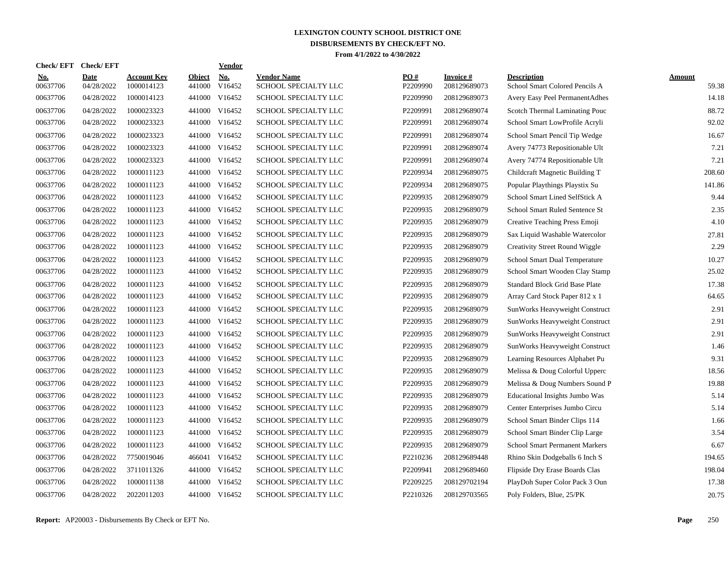| Check/ EFT             | <b>Check/EFT</b>          |                                  |                         | <b>Vendor</b>                       |                                            |                 |                           |                                                      |                        |
|------------------------|---------------------------|----------------------------------|-------------------------|-------------------------------------|--------------------------------------------|-----------------|---------------------------|------------------------------------------------------|------------------------|
| <u>No.</u><br>00637706 | <b>Date</b><br>04/28/2022 | <b>Account Key</b><br>1000014123 | <b>Object</b><br>441000 | $\underline{\text{No}}$ .<br>V16452 | <b>Vendor Name</b><br>SCHOOL SPECIALTY LLC | PO#<br>P2209990 | Invoice #<br>208129689073 | <b>Description</b><br>School Smart Colored Pencils A | <b>Amount</b><br>59.38 |
| 00637706               | 04/28/2022                | 1000014123                       | 441000                  | V16452                              | SCHOOL SPECIALTY LLC                       | P2209990        | 208129689073              | Avery Easy Peel PermanentAdhes                       | 14.18                  |
| 00637706               | 04/28/2022                | 1000023323                       | 441000                  | V16452                              | SCHOOL SPECIALTY LLC                       | P2209991        | 208129689074              | Scotch Thermal Laminating Pouc                       | 88.72                  |
| 00637706               | 04/28/2022                | 1000023323                       |                         | 441000 V16452                       | SCHOOL SPECIALTY LLC                       | P2209991        | 208129689074              | School Smart LowProfile Acryli                       | 92.02                  |
| 00637706               | 04/28/2022                | 1000023323                       |                         | 441000 V16452                       | SCHOOL SPECIALTY LLC                       | P2209991        | 208129689074              | School Smart Pencil Tip Wedge                        | 16.67                  |
| 00637706               | 04/28/2022                | 1000023323                       |                         | 441000 V16452                       | SCHOOL SPECIALTY LLC                       | P2209991        | 208129689074              | Avery 74773 Repositionable Ult                       | 7.21                   |
| 00637706               | 04/28/2022                | 1000023323                       | 441000                  | V16452                              | SCHOOL SPECIALTY LLC                       | P2209991        | 208129689074              | Avery 74774 Repositionable Ult                       | 7.21                   |
| 00637706               | 04/28/2022                | 1000011123                       | 441000                  | V16452                              | SCHOOL SPECIALTY LLC                       | P2209934        | 208129689075              | Childcraft Magnetic Building T                       | 208.60                 |
| 00637706               | 04/28/2022                | 1000011123                       | 441000                  | V16452                              | SCHOOL SPECIALTY LLC                       | P2209934        | 208129689075              | Popular Playthings Playstix Su                       | 141.86                 |
| 00637706               | 04/28/2022                | 1000011123                       | 441000                  | V16452                              | SCHOOL SPECIALTY LLC                       | P2209935        | 208129689079              | School Smart Lined SelfStick A                       | 9.44                   |
| 00637706               | 04/28/2022                | 1000011123                       | 441000                  | V16452                              | SCHOOL SPECIALTY LLC                       | P2209935        | 208129689079              | School Smart Ruled Sentence St                       | 2.35                   |
| 00637706               | 04/28/2022                | 1000011123                       |                         | 441000 V16452                       | SCHOOL SPECIALTY LLC                       | P2209935        | 208129689079              | Creative Teaching Press Emoji                        | 4.10                   |
| 00637706               | 04/28/2022                | 1000011123                       |                         | 441000 V16452                       | SCHOOL SPECIALTY LLC                       | P2209935        | 208129689079              | Sax Liquid Washable Watercolor                       | 27.81                  |
| 00637706               | 04/28/2022                | 1000011123                       |                         | 441000 V16452                       | SCHOOL SPECIALTY LLC                       | P2209935        | 208129689079              | <b>Creativity Street Round Wiggle</b>                | 2.29                   |
| 00637706               | 04/28/2022                | 1000011123                       | 441000                  | V16452                              | SCHOOL SPECIALTY LLC                       | P2209935        | 208129689079              | School Smart Dual Temperature                        | 10.27                  |
| 00637706               | 04/28/2022                | 1000011123                       | 441000                  | V16452                              | SCHOOL SPECIALTY LLC                       | P2209935        | 208129689079              | School Smart Wooden Clay Stamp                       | 25.02                  |
| 00637706               | 04/28/2022                | 1000011123                       | 441000                  | V16452                              | <b>SCHOOL SPECIALTY LLC</b>                | P2209935        | 208129689079              | <b>Standard Block Grid Base Plate</b>                | 17.38                  |
| 00637706               | 04/28/2022                | 1000011123                       | 441000                  | V16452                              | SCHOOL SPECIALTY LLC                       | P2209935        | 208129689079              | Array Card Stock Paper 812 x 1                       | 64.65                  |
| 00637706               | 04/28/2022                | 1000011123                       | 441000                  | V16452                              | SCHOOL SPECIALTY LLC                       | P2209935        | 208129689079              | SunWorks Heavyweight Construct                       | 2.91                   |
| 00637706               | 04/28/2022                | 1000011123                       |                         | 441000 V16452                       | SCHOOL SPECIALTY LLC                       | P2209935        | 208129689079              | SunWorks Heavyweight Construct                       | 2.91                   |
| 00637706               | 04/28/2022                | 1000011123                       |                         | 441000 V16452                       | SCHOOL SPECIALTY LLC                       | P2209935        | 208129689079              | SunWorks Heavyweight Construct                       | 2.91                   |
| 00637706               | 04/28/2022                | 1000011123                       |                         | 441000 V16452                       | SCHOOL SPECIALTY LLC                       | P2209935        | 208129689079              | SunWorks Heavyweight Construct                       | 1.46                   |
| 00637706               | 04/28/2022                | 1000011123                       |                         | 441000 V16452                       | SCHOOL SPECIALTY LLC                       | P2209935        | 208129689079              | Learning Resources Alphabet Pu                       | 9.31                   |
| 00637706               | 04/28/2022                | 1000011123                       | 441000                  | V16452                              | SCHOOL SPECIALTY LLC                       | P2209935        | 208129689079              | Melissa & Doug Colorful Upperc                       | 18.56                  |
| 00637706               | 04/28/2022                | 1000011123                       | 441000                  | V16452                              | SCHOOL SPECIALTY LLC                       | P2209935        | 208129689079              | Melissa & Doug Numbers Sound P                       | 19.88                  |
| 00637706               | 04/28/2022                | 1000011123                       | 441000                  | V16452                              | SCHOOL SPECIALTY LLC                       | P2209935        | 208129689079              | Educational Insights Jumbo Was                       | 5.14                   |
| 00637706               | 04/28/2022                | 1000011123                       | 441000                  | V16452                              | SCHOOL SPECIALTY LLC                       | P2209935        | 208129689079              | Center Enterprises Jumbo Circu                       | 5.14                   |
| 00637706               | 04/28/2022                | 1000011123                       | 441000                  | V16452                              | SCHOOL SPECIALTY LLC                       | P2209935        | 208129689079              | School Smart Binder Clips 114                        | 1.66                   |
| 00637706               | 04/28/2022                | 1000011123                       |                         | 441000 V16452                       | SCHOOL SPECIALTY LLC                       | P2209935        | 208129689079              | School Smart Binder Clip Large                       | 3.54                   |
| 00637706               | 04/28/2022                | 1000011123                       |                         | 441000 V16452                       | SCHOOL SPECIALTY LLC                       | P2209935        | 208129689079              | <b>School Smart Permanent Markers</b>                | 6.67                   |
| 00637706               | 04/28/2022                | 7750019046                       |                         | 466041 V16452                       | SCHOOL SPECIALTY LLC                       | P2210236        | 208129689448              | Rhino Skin Dodgeballs 6 Inch S                       | 194.65                 |
| 00637706               | 04/28/2022                | 3711011326                       |                         | 441000 V16452                       | SCHOOL SPECIALTY LLC                       | P2209941        | 208129689460              | Flipside Dry Erase Boards Clas                       | 198.04                 |
| 00637706               | 04/28/2022                | 1000011138                       |                         | 441000 V16452                       | SCHOOL SPECIALTY LLC                       | P2209225        | 208129702194              | PlayDoh Super Color Pack 3 Oun                       | 17.38                  |
| 00637706               | 04/28/2022                | 2022011203                       |                         | 441000 V16452                       | SCHOOL SPECIALTY LLC                       | P2210326        | 208129703565              | Poly Folders, Blue, 25/PK                            | 20.75                  |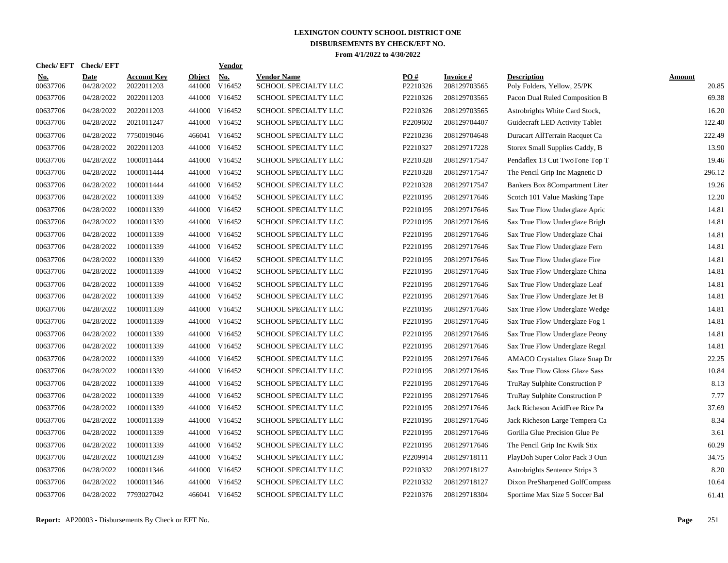| <b>Check/EFT</b>       | <b>Check/EFT</b>          |                                  |                         | <b>Vendor</b> |                                            |                 |                                  |                                                   |                        |
|------------------------|---------------------------|----------------------------------|-------------------------|---------------|--------------------------------------------|-----------------|----------------------------------|---------------------------------------------------|------------------------|
| <u>No.</u><br>00637706 | <b>Date</b><br>04/28/2022 | <b>Account Kev</b><br>2022011203 | <b>Object</b><br>441000 | No.<br>V16452 | <b>Vendor Name</b><br>SCHOOL SPECIALTY LLC | PO#<br>P2210326 | <b>Invoice</b> #<br>208129703565 | <b>Description</b><br>Poly Folders, Yellow, 25/PK | <b>Amount</b><br>20.85 |
| 00637706               | 04/28/2022                | 2022011203                       | 441000                  | V16452        | SCHOOL SPECIALTY LLC                       | P2210326        | 208129703565                     | Pacon Dual Ruled Composition B                    | 69.38                  |
| 00637706               | 04/28/2022                | 2022011203                       | 441000                  | V16452        | SCHOOL SPECIALTY LLC                       | P2210326        | 208129703565                     | Astrobrights White Card Stock,                    | 16.20                  |
| 00637706               | 04/28/2022                | 2021011247                       |                         | 441000 V16452 | SCHOOL SPECIALTY LLC                       | P2209602        | 208129704407                     | Guidecraft LED Activity Tablet                    | 122.40                 |
| 00637706               | 04/28/2022                | 7750019046                       | 466041                  | V16452        | SCHOOL SPECIALTY LLC                       | P2210236        | 208129704648                     | Duracart AllTerrain Racquet Ca                    | 222.49                 |
| 00637706               | 04/28/2022                | 2022011203                       |                         | 441000 V16452 | SCHOOL SPECIALTY LLC                       | P2210327        | 208129717228                     | Storex Small Supplies Caddy, B                    | 13.90                  |
| 00637706               | 04/28/2022                | 1000011444                       | 441000                  | V16452        | SCHOOL SPECIALTY LLC                       | P2210328        | 208129717547                     | Pendaflex 13 Cut TwoTone Top T                    | 19.46                  |
| 00637706               | 04/28/2022                | 1000011444                       | 441000                  | V16452        | SCHOOL SPECIALTY LLC                       | P2210328        | 208129717547                     | The Pencil Grip Inc Magnetic D                    | 296.12                 |
| 00637706               | 04/28/2022                | 1000011444                       | 441000                  | V16452        | SCHOOL SPECIALTY LLC                       | P2210328        | 208129717547                     | Bankers Box 8Compartment Liter                    | 19.26                  |
| 00637706               | 04/28/2022                | 1000011339                       | 441000                  | V16452        | SCHOOL SPECIALTY LLC                       | P2210195        | 208129717646                     | Scotch 101 Value Masking Tape                     | 12.20                  |
| 00637706               | 04/28/2022                | 1000011339                       |                         | 441000 V16452 | SCHOOL SPECIALTY LLC                       | P2210195        | 208129717646                     | Sax True Flow Underglaze Apric                    | 14.81                  |
| 00637706               | 04/28/2022                | 1000011339                       |                         | 441000 V16452 | SCHOOL SPECIALTY LLC                       | P2210195        | 208129717646                     | Sax True Flow Underglaze Brigh                    | 14.81                  |
| 00637706               | 04/28/2022                | 1000011339                       |                         | 441000 V16452 | SCHOOL SPECIALTY LLC                       | P2210195        | 208129717646                     | Sax True Flow Underglaze Chai                     | 14.81                  |
| 00637706               | 04/28/2022                | 1000011339                       |                         | 441000 V16452 | SCHOOL SPECIALTY LLC                       | P2210195        | 208129717646                     | Sax True Flow Underglaze Fern                     | 14.81                  |
| 00637706               | 04/28/2022                | 1000011339                       | 441000                  | V16452        | SCHOOL SPECIALTY LLC                       | P2210195        | 208129717646                     | Sax True Flow Underglaze Fire                     | 14.81                  |
| 00637706               | 04/28/2022                | 1000011339                       | 441000                  | V16452        | SCHOOL SPECIALTY LLC                       | P2210195        | 208129717646                     | Sax True Flow Underglaze China                    | 14.81                  |
| 00637706               | 04/28/2022                | 1000011339                       | 441000                  | V16452        | <b>SCHOOL SPECIALTY LLC</b>                | P2210195        | 208129717646                     | Sax True Flow Underglaze Leaf                     | 14.81                  |
| 00637706               | 04/28/2022                | 1000011339                       | 441000                  | V16452        | SCHOOL SPECIALTY LLC                       | P2210195        | 208129717646                     | Sax True Flow Underglaze Jet B                    | 14.81                  |
| 00637706               | 04/28/2022                | 1000011339                       | 441000                  | V16452        | SCHOOL SPECIALTY LLC                       | P2210195        | 208129717646                     | Sax True Flow Underglaze Wedge                    | 14.81                  |
| 00637706               | 04/28/2022                | 1000011339                       |                         | 441000 V16452 | SCHOOL SPECIALTY LLC                       | P2210195        | 208129717646                     | Sax True Flow Underglaze Fog 1                    | 14.81                  |
| 00637706               | 04/28/2022                | 1000011339                       |                         | 441000 V16452 | SCHOOL SPECIALTY LLC                       | P2210195        | 208129717646                     | Sax True Flow Underglaze Peony                    | 14.81                  |
| 00637706               | 04/28/2022                | 1000011339                       |                         | 441000 V16452 | SCHOOL SPECIALTY LLC                       | P2210195        | 208129717646                     | Sax True Flow Underglaze Regal                    | 14.81                  |
| 00637706               | 04/28/2022                | 1000011339                       |                         | 441000 V16452 | SCHOOL SPECIALTY LLC                       | P2210195        | 208129717646                     | AMACO Crystaltex Glaze Snap Dr                    | 22.25                  |
| 00637706               | 04/28/2022                | 1000011339                       | 441000                  | V16452        | SCHOOL SPECIALTY LLC                       | P2210195        | 208129717646                     | Sax True Flow Gloss Glaze Sass                    | 10.84                  |
| 00637706               | 04/28/2022                | 1000011339                       |                         | 441000 V16452 | SCHOOL SPECIALTY LLC                       | P2210195        | 208129717646                     | TruRay Sulphite Construction P                    | 8.13                   |
| 00637706               | 04/28/2022                | 1000011339                       | 441000                  | V16452        | SCHOOL SPECIALTY LLC                       | P2210195        | 208129717646                     | TruRay Sulphite Construction P                    | 7.77                   |
| 00637706               | 04/28/2022                | 1000011339                       | 441000                  | V16452        | <b>SCHOOL SPECIALTY LLC</b>                | P2210195        | 208129717646                     | Jack Richeson AcidFree Rice Pa                    | 37.69                  |
| 00637706               | 04/28/2022                | 1000011339                       |                         | 441000 V16452 | SCHOOL SPECIALTY LLC                       | P2210195        | 208129717646                     | Jack Richeson Large Tempera Ca                    | 8.34                   |
| 00637706               | 04/28/2022                | 1000011339                       |                         | 441000 V16452 | SCHOOL SPECIALTY LLC                       | P2210195        | 208129717646                     | Gorilla Glue Precision Glue Pe                    | 3.61                   |
| 00637706               | 04/28/2022                | 1000011339                       |                         | 441000 V16452 | SCHOOL SPECIALTY LLC                       | P2210195        | 208129717646                     | The Pencil Grip Inc Kwik Stix                     | 60.29                  |
| 00637706               | 04/28/2022                | 1000021239                       |                         | 441000 V16452 | SCHOOL SPECIALTY LLC                       | P2209914        | 208129718111                     | PlayDoh Super Color Pack 3 Oun                    | 34.75                  |
| 00637706               | 04/28/2022                | 1000011346                       |                         | 441000 V16452 | SCHOOL SPECIALTY LLC                       | P2210332        | 208129718127                     | Astrobrights Sentence Strips 3                    | 8.20                   |
| 00637706               | 04/28/2022                | 1000011346                       | 441000                  | V16452        | SCHOOL SPECIALTY LLC                       | P2210332        | 208129718127                     | Dixon PreSharpened GolfCompass                    | 10.64                  |
| 00637706               | 04/28/2022                | 7793027042                       |                         | 466041 V16452 | SCHOOL SPECIALTY LLC                       | P2210376        | 208129718304                     | Sportime Max Size 5 Soccer Bal                    | 61.41                  |
|                        |                           |                                  |                         |               |                                            |                 |                                  |                                                   |                        |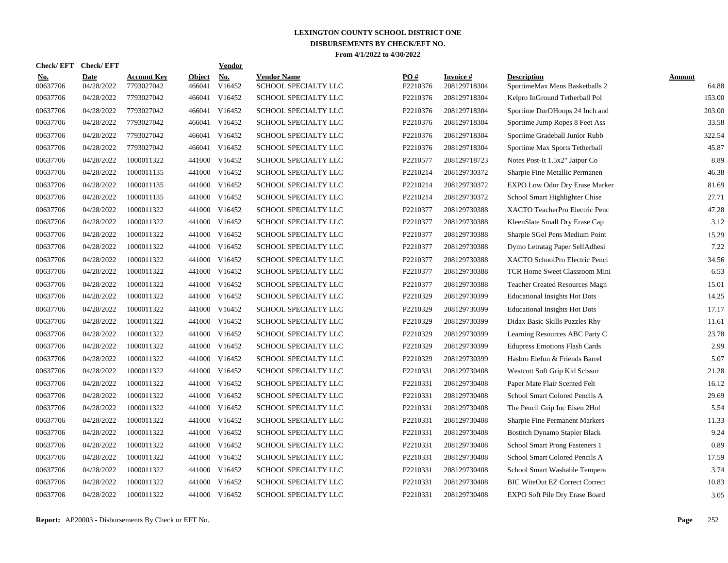| <b>Check/EFT</b>       | <b>Check/EFT</b>          |                                  |                         | <b>Vendor</b>        |                                            |                 |                                  |                                                      |                        |
|------------------------|---------------------------|----------------------------------|-------------------------|----------------------|--------------------------------------------|-----------------|----------------------------------|------------------------------------------------------|------------------------|
| <u>No.</u><br>00637706 | <b>Date</b><br>04/28/2022 | <b>Account Kev</b><br>7793027042 | <b>Object</b><br>466041 | <b>No.</b><br>V16452 | <b>Vendor Name</b><br>SCHOOL SPECIALTY LLC | PO#<br>P2210376 | <b>Invoice</b> #<br>208129718304 | <b>Description</b><br>SportimeMax Mens Basketballs 2 | <b>Amount</b><br>64.88 |
| 00637706               | 04/28/2022                | 7793027042                       | 466041                  | V16452               | SCHOOL SPECIALTY LLC                       | P2210376        | 208129718304                     | Kelpro InGround Tetherball Pol                       | 153.00                 |
| 00637706               | 04/28/2022                | 7793027042                       | 466041                  | V16452               | SCHOOL SPECIALTY LLC                       | P2210376        | 208129718304                     | Sportime DurOHoops 24 Inch and                       | 203.00                 |
| 00637706               | 04/28/2022                | 7793027042                       | 466041                  | V16452               | SCHOOL SPECIALTY LLC                       | P2210376        | 208129718304                     | Sportime Jump Ropes 8 Feet Ass                       | 33.58                  |
| 00637706               | 04/28/2022                | 7793027042                       | 466041                  | V16452               | SCHOOL SPECIALTY LLC                       | P2210376        | 208129718304                     | Sportime Gradeball Junior Rubb                       | 322.54                 |
| 00637706               | 04/28/2022                | 7793027042                       | 466041                  | V16452               | SCHOOL SPECIALTY LLC                       | P2210376        | 208129718304                     | Sportime Max Sports Tetherball                       | 45.87                  |
| 00637706               | 04/28/2022                | 1000011322                       | 441000                  | V16452               | SCHOOL SPECIALTY LLC                       | P2210577        | 208129718723                     | Notes Post-It 1.5x2" Jaipur Co                       | 8.89                   |
| 00637706               | 04/28/2022                | 1000011135                       | 441000                  | V16452               | SCHOOL SPECIALTY LLC                       | P2210214        | 208129730372                     | Sharpie Fine Metallic Permanen                       | 46.38                  |
| 00637706               | 04/28/2022                | 1000011135                       | 441000                  | V16452               | SCHOOL SPECIALTY LLC                       | P2210214        | 208129730372                     | <b>EXPO Low Odor Dry Erase Marker</b>                | 81.69                  |
| 00637706               | 04/28/2022                | 1000011135                       | 441000                  | V16452               | SCHOOL SPECIALTY LLC                       | P2210214        | 208129730372                     | School Smart Highlighter Chise                       | 27.71                  |
| 00637706               | 04/28/2022                | 1000011322                       | 441000                  | V16452               | SCHOOL SPECIALTY LLC                       | P2210377        | 208129730388                     | XACTO TeacherPro Electric Penc                       | 47.28                  |
| 00637706               | 04/28/2022                | 1000011322                       |                         | 441000 V16452        | SCHOOL SPECIALTY LLC                       | P2210377        | 208129730388                     | KleenSlate Small Dry Erase Cap                       | 3.12                   |
| 00637706               | 04/28/2022                | 1000011322                       |                         | 441000 V16452        | SCHOOL SPECIALTY LLC                       | P2210377        | 208129730388                     | Sharpie SGel Pens Medium Point                       | 15.29                  |
| 00637706               | 04/28/2022                | 1000011322                       |                         | 441000 V16452        | SCHOOL SPECIALTY LLC                       | P2210377        | 208129730388                     | Dymo Letratag Paper SelfAdhesi                       | 7.22                   |
| 00637706               | 04/28/2022                | 1000011322                       |                         | 441000 V16452        | SCHOOL SPECIALTY LLC                       | P2210377        | 208129730388                     | XACTO SchoolPro Electric Penci                       | 34.56                  |
| 00637706               | 04/28/2022                | 1000011322                       | 441000                  | V16452               | SCHOOL SPECIALTY LLC                       | P2210377        | 208129730388                     | TCR Home Sweet Classroom Mini                        | 6.53                   |
| 00637706               | 04/28/2022                | 1000011322                       | 441000                  | V16452               | <b>SCHOOL SPECIALTY LLC</b>                | P2210377        | 208129730388                     | <b>Teacher Created Resources Magn</b>                | 15.01                  |
| 00637706               | 04/28/2022                | 1000011322                       | 441000                  | V16452               | SCHOOL SPECIALTY LLC                       | P2210329        | 208129730399                     | <b>Educational Insights Hot Dots</b>                 | 14.25                  |
| 00637706               | 04/28/2022                | 1000011322                       | 441000                  | V16452               | SCHOOL SPECIALTY LLC                       | P2210329        | 208129730399                     | <b>Educational Insights Hot Dots</b>                 | 17.17                  |
| 00637706               | 04/28/2022                | 1000011322                       |                         | 441000 V16452        | SCHOOL SPECIALTY LLC                       | P2210329        | 208129730399                     | Didax Basic Skills Puzzles Rhy                       | 11.61                  |
| 00637706               | 04/28/2022                | 1000011322                       |                         | 441000 V16452        | SCHOOL SPECIALTY LLC                       | P2210329        | 208129730399                     | Learning Resources ABC Party C                       | 23.78                  |
| 00637706               | 04/28/2022                | 1000011322                       |                         | 441000 V16452        | SCHOOL SPECIALTY LLC                       | P2210329        | 208129730399                     | <b>Edupress Emotions Flash Cards</b>                 | 2.99                   |
| 00637706               | 04/28/2022                | 1000011322                       |                         | 441000 V16452        | SCHOOL SPECIALTY LLC                       | P2210329        | 208129730399                     | Hasbro Elefun & Friends Barrel                       | 5.07                   |
| 00637706               | 04/28/2022                | 1000011322                       |                         | 441000 V16452        | SCHOOL SPECIALTY LLC                       | P2210331        | 208129730408                     | Westcott Soft Grip Kid Scissor                       | 21.28                  |
| 00637706               | 04/28/2022                | 1000011322                       | 441000                  | V16452               | SCHOOL SPECIALTY LLC                       | P2210331        | 208129730408                     | Paper Mate Flair Scented Felt                        | 16.12                  |
| 00637706               | 04/28/2022                | 1000011322                       | 441000                  | V16452               | SCHOOL SPECIALTY LLC                       | P2210331        | 208129730408                     | School Smart Colored Pencils A                       | 29.69                  |
| 00637706               | 04/28/2022                | 1000011322                       | 441000                  | V16452               | SCHOOL SPECIALTY LLC                       | P2210331        | 208129730408                     | The Pencil Grip Inc Eisen 2Hol                       | 5.54                   |
| 00637706               | 04/28/2022                | 1000011322                       |                         | 441000 V16452        | SCHOOL SPECIALTY LLC                       | P2210331        | 208129730408                     | <b>Sharpie Fine Permanent Markers</b>                | 11.33                  |
| 00637706               | 04/28/2022                | 1000011322                       |                         | 441000 V16452        | SCHOOL SPECIALTY LLC                       | P2210331        | 208129730408                     | <b>Bostitch Dynamo Stapler Black</b>                 | 9.24                   |
| 00637706               | 04/28/2022                | 1000011322                       |                         | 441000 V16452        | SCHOOL SPECIALTY LLC                       | P2210331        | 208129730408                     | School Smart Prong Fasteners 1                       | 0.89                   |
| 00637706               | 04/28/2022                | 1000011322                       |                         | 441000 V16452        | SCHOOL SPECIALTY LLC                       | P2210331        | 208129730408                     | School Smart Colored Pencils A                       | 17.59                  |
| 00637706               | 04/28/2022                | 1000011322                       |                         | 441000 V16452        | SCHOOL SPECIALTY LLC                       | P2210331        | 208129730408                     | School Smart Washable Tempera                        | 3.74                   |
| 00637706               | 04/28/2022                | 1000011322                       |                         | 441000 V16452        | SCHOOL SPECIALTY LLC                       | P2210331        | 208129730408                     | <b>BIC WiteOut EZ Correct Correct</b>                | 10.83                  |
| 00637706               | 04/28/2022                | 1000011322                       |                         | 441000 V16452        | SCHOOL SPECIALTY LLC                       | P2210331        | 208129730408                     | EXPO Soft Pile Dry Erase Board                       | 3.05                   |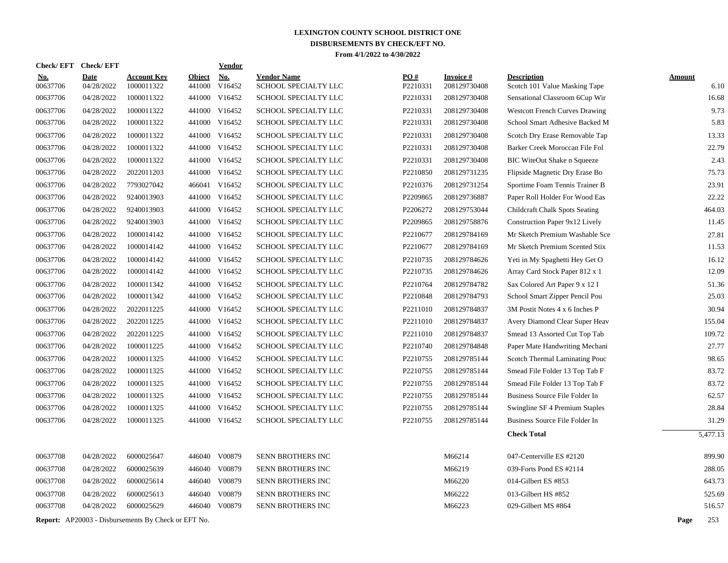| <b>Check/EFT</b>       | <b>Check/EFT</b>          |                                                            |               | <b>Vendor</b>                  |                                              |                      |                                 |                                                                         |               |                |
|------------------------|---------------------------|------------------------------------------------------------|---------------|--------------------------------|----------------------------------------------|----------------------|---------------------------------|-------------------------------------------------------------------------|---------------|----------------|
| <u>No.</u><br>00637706 | <b>Date</b><br>04/28/2022 | <b>Account Key</b><br>1000011322                           | <b>Object</b> | <b>No.</b><br>441000 V16452    | <b>Vendor Name</b><br>SCHOOL SPECIALTY LLC   | PO#<br>P2210331      | <b>Invoice#</b><br>208129730408 | <b>Description</b><br>Scotch 101 Value Masking Tape                     | <b>Amount</b> | 6.10           |
| 00637706               | 04/28/2022                | 1000011322                                                 |               | 441000 V16452                  | SCHOOL SPECIALTY LLC                         | P2210331             | 208129730408                    | Sensational Classroom 6Cup Wir                                          |               | 16.68          |
| 00637706               | 04/28/2022                | 1000011322                                                 |               | 441000 V16452                  | SCHOOL SPECIALTY LLC                         | P2210331             | 208129730408                    | <b>Westcott French Curves Drawing</b>                                   |               | 9.73           |
| 00637706               | 04/28/2022                | 1000011322                                                 |               | 441000 V16452                  | SCHOOL SPECIALTY LLC                         | P2210331             | 208129730408                    | School Smart Adhesive Backed M                                          |               | 5.83           |
| 00637706               | 04/28/2022                | 1000011322                                                 |               | 441000 V16452                  | SCHOOL SPECIALTY LLC                         | P2210331             | 208129730408                    |                                                                         |               | 13.33          |
| 00637706               | 04/28/2022                | 1000011322                                                 |               | 441000 V16452                  | SCHOOL SPECIALTY LLC                         | P2210331             | 208129730408                    | Scotch Dry Erase Removable Tap<br>Barker Creek Moroccan File Fol        |               | 22.79          |
| 00637706               | 04/28/2022                | 1000011322                                                 |               | 441000 V16452                  | SCHOOL SPECIALTY LLC                         | P2210331             | 208129730408                    |                                                                         |               | 2.43           |
| 00637706               | 04/28/2022                | 2022011203                                                 |               | 441000 V16452                  | SCHOOL SPECIALTY LLC                         | P2210850             | 208129731235                    | <b>BIC WiteOut Shake n Squeeze</b><br>Flipside Magnetic Dry Erase Bo    |               | 75.73          |
| 00637706               | 04/28/2022                | 7793027042                                                 |               | 466041 V16452                  | SCHOOL SPECIALTY LLC                         | P2210376             | 208129731254                    |                                                                         |               | 23.91          |
| 00637706               | 04/28/2022                | 9240013903                                                 |               | 441000 V16452                  | SCHOOL SPECIALTY LLC                         | P2209865             | 208129736887                    | Sportime Foam Tennis Trainer B<br>Paper Roll Holder For Wood Eas        |               | 22.22          |
| 00637706               | 04/28/2022                | 9240013903                                                 |               | 441000 V16452                  | SCHOOL SPECIALTY LLC                         | P2206272             | 208129753044                    |                                                                         |               | 464.03         |
| 00637706               | 04/28/2022                | 9240013903                                                 |               | 441000 V16452                  | SCHOOL SPECIALTY LLC                         | P2209865             | 208129758876                    | <b>Childcraft Chalk Spots Seating</b><br>Construction Paper 9x12 Lively |               | 11.45          |
|                        |                           |                                                            |               |                                |                                              |                      |                                 |                                                                         |               |                |
| 00637706<br>00637706   | 04/28/2022<br>04/28/2022  | 1000014142<br>1000014142                                   |               | 441000 V16452<br>441000 V16452 | SCHOOL SPECIALTY LLC<br>SCHOOL SPECIALTY LLC | P2210677<br>P2210677 | 208129784169<br>208129784169    | Mr Sketch Premium Washable Sce                                          |               | 27.81<br>11.53 |
|                        |                           |                                                            |               |                                |                                              |                      |                                 | Mr Sketch Premium Scented Stix                                          |               |                |
| 00637706               | 04/28/2022                | 1000014142                                                 |               | 441000 V16452                  | SCHOOL SPECIALTY LLC                         | P2210735             | 208129784626                    | Yeti in My Spaghetti Hey Get O                                          |               | 16.12          |
| 00637706               | 04/28/2022                | 1000014142                                                 |               | 441000 V16452                  | SCHOOL SPECIALTY LLC                         | P2210735             | 208129784626                    | Array Card Stock Paper 812 x 1                                          |               | 12.09          |
| 00637706               | 04/28/2022                | 1000011342                                                 |               | 441000 V16452                  | SCHOOL SPECIALTY LLC                         | P2210764             | 208129784782                    | Sax Colored Art Paper 9 x 12 I                                          |               | 51.36          |
| 00637706               | 04/28/2022                | 1000011342                                                 |               | 441000 V16452                  | SCHOOL SPECIALTY LLC                         | P2210848             | 208129784793                    | School Smart Zipper Pencil Pou                                          |               | 25.03          |
| 00637706               | 04/28/2022                | 2022011225                                                 |               | 441000 V16452                  | SCHOOL SPECIALTY LLC                         | P2211010             | 208129784837                    | 3M Postit Notes 4 x 6 Inches P                                          |               | 30.94          |
| 00637706               | 04/28/2022                | 2022011225                                                 |               | 441000 V16452                  | SCHOOL SPECIALTY LLC                         | P2211010             | 208129784837                    | Avery Diamond Clear Super Heav                                          |               | 155.04         |
| 00637706               | 04/28/2022                | 2022011225                                                 |               | 441000 V16452                  | SCHOOL SPECIALTY LLC                         | P2211010             | 208129784837                    | Smead 13 Assorted Cut Top Tab                                           |               | 109.72         |
| 00637706               | 04/28/2022                | 1000011225                                                 |               | 441000 V16452                  | SCHOOL SPECIALTY LLC                         | P2210740             | 208129784848                    | Paper Mate Handwriting Mechani                                          |               | 27.77          |
| 00637706               | 04/28/2022                | 1000011325                                                 |               | 441000 V16452                  | SCHOOL SPECIALTY LLC                         | P2210755             | 208129785144                    | Scotch Thermal Laminating Pouc                                          |               | 98.65          |
| 00637706               | 04/28/2022                | 1000011325                                                 |               | 441000 V16452                  | SCHOOL SPECIALTY LLC                         | P2210755             | 208129785144                    | Smead File Folder 13 Top Tab F                                          |               | 83.72          |
| 00637706               | 04/28/2022                | 1000011325                                                 |               | 441000 V16452                  | <b>SCHOOL SPECIALTY LLC</b>                  | P2210755             | 208129785144                    | Smead File Folder 13 Top Tab F                                          |               | 83.72          |
| 00637706               | 04/28/2022                | 1000011325                                                 |               | 441000 V16452                  | SCHOOL SPECIALTY LLC                         | P2210755             | 208129785144                    | Business Source File Folder In                                          |               | 62.57          |
| 00637706               | 04/28/2022                | 1000011325                                                 |               | 441000 V16452                  | SCHOOL SPECIALTY LLC                         | P2210755             | 208129785144                    | Swingline SF 4 Premium Staples                                          |               | 28.84          |
| 00637706               | 04/28/2022                | 1000011325                                                 |               | 441000 V16452                  | SCHOOL SPECIALTY LLC                         | P2210755             | 208129785144                    | Business Source File Folder In                                          |               | 31.29          |
|                        |                           |                                                            |               |                                |                                              |                      |                                 | <b>Check Total</b>                                                      |               | 5,477.13       |
| 00637708               | 04/28/2022                | 6000025647                                                 |               | 446040 V00879                  | SENN BROTHERS INC                            |                      | M66214                          | 047-Centerville ES #2120                                                |               | 899.90         |
| 00637708               | 04/28/2022                | 6000025639                                                 |               | 446040 V00879                  | SENN BROTHERS INC                            |                      | M66219                          | 039-Forts Pond ES #2114                                                 |               | 288.05         |
| 00637708               | 04/28/2022                | 6000025614                                                 |               | 446040 V00879                  | SENN BROTHERS INC                            |                      | M66220                          | 014-Gilbert ES #853                                                     |               | 643.73         |
| 00637708               | 04/28/2022                | 6000025613                                                 |               | 446040 V00879                  | SENN BROTHERS INC                            |                      | M66222                          | 013-Gilbert HS #852                                                     |               | 525.69         |
| 00637708               | 04/28/2022                | 6000025629                                                 |               | 446040 V00879                  | <b>SENN BROTHERS INC</b>                     |                      | M66223                          | 029-Gilbert MS #864                                                     |               | 516.57         |
|                        |                           | <b>Report:</b> AP20003 - Disbursements By Check or EFT No. |               |                                |                                              |                      |                                 |                                                                         | Page          | 253            |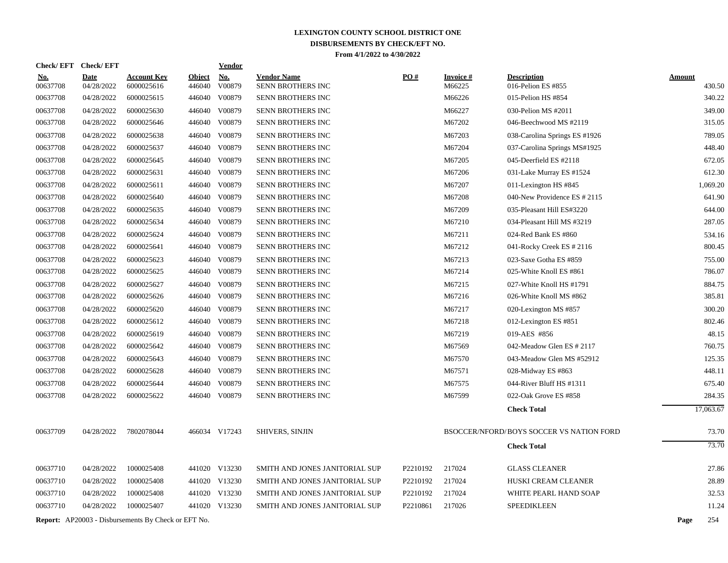|                        | Check/EFT Check/EFT       |                                                            |                         | <u>Vendor</u>        |                                         |          |                           |                                          |               |           |
|------------------------|---------------------------|------------------------------------------------------------|-------------------------|----------------------|-----------------------------------------|----------|---------------------------|------------------------------------------|---------------|-----------|
| <u>No.</u><br>00637708 | <b>Date</b><br>04/28/2022 | <b>Account Key</b><br>6000025616                           | <b>Object</b><br>446040 | <b>No.</b><br>V00879 | <b>Vendor Name</b><br>SENN BROTHERS INC | PO#      | <b>Invoice#</b><br>M66225 | <b>Description</b><br>016-Pelion ES #855 | <b>Amount</b> | 430.50    |
| 00637708               | 04/28/2022                | 6000025615                                                 |                         | 446040 V00879        | SENN BROTHERS INC                       |          | M66226                    | 015-Pelion HS #854                       |               | 340.22    |
| 00637708               | 04/28/2022                | 6000025630                                                 |                         | 446040 V00879        | SENN BROTHERS INC                       |          | M66227                    | 030-Pelion MS #2011                      |               | 349.00    |
| 00637708               | 04/28/2022                | 6000025646                                                 |                         | 446040 V00879        | SENN BROTHERS INC                       |          | M67202                    | 046-Beechwood MS #2119                   |               | 315.05    |
| 00637708               | 04/28/2022                | 6000025638                                                 |                         | 446040 V00879        | <b>SENN BROTHERS INC</b>                |          | M67203                    | 038-Carolina Springs ES #1926            |               | 789.05    |
| 00637708               | 04/28/2022                | 6000025637                                                 |                         | 446040 V00879        | SENN BROTHERS INC                       |          | M67204                    | 037-Carolina Springs MS#1925             |               | 448.40    |
| 00637708               | 04/28/2022                | 6000025645                                                 |                         | 446040 V00879        | <b>SENN BROTHERS INC</b>                |          | M67205                    | 045-Deerfield ES #2118                   |               | 672.05    |
| 00637708               | 04/28/2022                | 6000025631                                                 |                         | 446040 V00879        | <b>SENN BROTHERS INC</b>                |          | M67206                    | 031-Lake Murray ES #1524                 |               | 612.30    |
| 00637708               | 04/28/2022                | 6000025611                                                 | 446040                  | V00879               | <b>SENN BROTHERS INC</b>                |          | M67207                    | 011-Lexington HS #845                    |               | 1.069.20  |
| 00637708               | 04/28/2022                | 6000025640                                                 |                         | 446040 V00879        | SENN BROTHERS INC                       |          | M67208                    | 040-New Providence ES # 2115             |               | 641.90    |
| 00637708               | 04/28/2022                | 6000025635                                                 | 446040                  | V00879               | SENN BROTHERS INC                       |          | M67209                    | 035-Pleasant Hill ES#3220                |               | 644.00    |
| 00637708               | 04/28/2022                | 6000025634                                                 |                         | 446040 V00879        | <b>SENN BROTHERS INC</b>                |          | M67210                    | 034-Pleasant Hill MS #3219               |               | 287.05    |
| 00637708               | 04/28/2022                | 6000025624                                                 | 446040                  | V00879               | <b>SENN BROTHERS INC</b>                |          | M67211                    | 024-Red Bank ES #860                     |               | 534.16    |
| 00637708               | 04/28/2022                | 6000025641                                                 |                         | 446040 V00879        | SENN BROTHERS INC                       |          | M67212                    | 041-Rocky Creek ES # 2116                |               | 800.45    |
| 00637708               | 04/28/2022                | 6000025623                                                 | 446040                  | V00879               | SENN BROTHERS INC                       |          | M67213                    | 023-Saxe Gotha ES #859                   |               | 755.00    |
| 00637708               | 04/28/2022                | 6000025625                                                 |                         | 446040 V00879        | <b>SENN BROTHERS INC</b>                |          | M67214                    | 025-White Knoll ES #861                  |               | 786.07    |
| 00637708               | 04/28/2022                | 6000025627                                                 | 446040                  | V00879               | <b>SENN BROTHERS INC</b>                |          | M67215                    | 027-White Knoll HS #1791                 |               | 884.75    |
| 00637708               | 04/28/2022                | 6000025626                                                 | 446040                  | V00879               | SENN BROTHERS INC                       |          | M67216                    | 026-White Knoll MS #862                  |               | 385.81    |
| 00637708               | 04/28/2022                | 6000025620                                                 | 446040                  | V00879               | SENN BROTHERS INC                       |          | M67217                    | 020-Lexington MS #857                    |               | 300.20    |
| 00637708               | 04/28/2022                | 6000025612                                                 | 446040                  | V00879               | SENN BROTHERS INC                       |          | M67218                    | 012-Lexington ES #851                    |               | 802.46    |
| 00637708               | 04/28/2022                | 6000025619                                                 | 446040                  | V00879               | <b>SENN BROTHERS INC</b>                |          | M67219                    | 019-AES #856                             |               | 48.15     |
| 00637708               | 04/28/2022                | 6000025642                                                 |                         | 446040 V00879        | SENN BROTHERS INC                       |          | M67569                    | 042-Meadow Glen ES # 2117                |               | 760.75    |
| 00637708               | 04/28/2022                | 6000025643                                                 | 446040                  | V00879               | SENN BROTHERS INC                       |          | M67570                    | 043-Meadow Glen MS #52912                |               | 125.35    |
| 00637708               | 04/28/2022                | 6000025628                                                 |                         | 446040 V00879        | SENN BROTHERS INC                       |          | M67571                    | 028-Midway ES #863                       |               | 448.11    |
| 00637708               | 04/28/2022                | 6000025644                                                 | 446040                  | V00879               | SENN BROTHERS INC                       |          | M67575                    | 044-River Bluff HS #1311                 |               | 675.40    |
| 00637708               | 04/28/2022                | 6000025622                                                 |                         | 446040 V00879        | SENN BROTHERS INC                       |          | M67599                    | 022-Oak Grove ES #858                    |               | 284.35    |
|                        |                           |                                                            |                         |                      |                                         |          |                           | <b>Check Total</b>                       |               | 17,063.67 |
| 00637709               | 04/28/2022                | 7802078044                                                 |                         | 466034 V17243        | <b>SHIVERS, SINJIN</b>                  |          |                           | BSOCCER/NFORD/BOYS SOCCER VS NATION FORD |               | 73.70     |
|                        |                           |                                                            |                         |                      |                                         |          |                           | <b>Check Total</b>                       |               | 73.70     |
| 00637710               | 04/28/2022                | 1000025408                                                 |                         | 441020 V13230        | SMITH AND JONES JANITORIAL SUP          | P2210192 | 217024                    | <b>GLASS CLEANER</b>                     |               | 27.86     |
| 00637710               | 04/28/2022                | 1000025408                                                 |                         | 441020 V13230        | SMITH AND JONES JANITORIAL SUP          | P2210192 | 217024                    | HUSKI CREAM CLEANER                      |               | 28.89     |
| 00637710               | 04/28/2022                | 1000025408                                                 |                         | 441020 V13230        | SMITH AND JONES JANITORIAL SUP          | P2210192 | 217024                    | WHITE PEARL HAND SOAP                    |               | 32.53     |
| 00637710               | 04/28/2022                | 1000025407                                                 |                         | 441020 V13230        | SMITH AND JONES JANITORIAL SUP          | P2210861 | 217026                    | <b>SPEEDIKLEEN</b>                       |               | 11.24     |
|                        |                           |                                                            |                         |                      |                                         |          |                           |                                          |               |           |
|                        |                           | <b>Report:</b> AP20003 - Disbursements By Check or EFT No. |                         |                      |                                         |          |                           |                                          | Page          | 254       |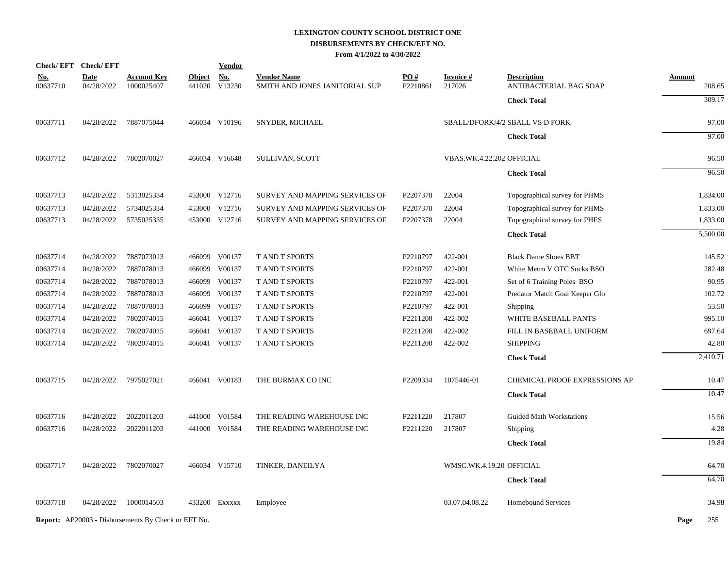# **LEXINGTON COUNTY SCHOOL DISTRICT ONE DISBURSEMENTS BY CHECK/EFT NO.**

**From 4/1/2022 to 4/30/2022**

| <b>Check/EFT</b>       | <b>Check/EFT</b>          |                                                            |               | <u>Vendor</u>               |                                                      |                 |                           |                                              |               |          |
|------------------------|---------------------------|------------------------------------------------------------|---------------|-----------------------------|------------------------------------------------------|-----------------|---------------------------|----------------------------------------------|---------------|----------|
| <u>No.</u><br>00637710 | <b>Date</b><br>04/28/2022 | <u>Account Key</u><br>1000025407                           | <b>Object</b> | <b>No.</b><br>441020 V13230 | <b>Vendor Name</b><br>SMITH AND JONES JANITORIAL SUP | PO#<br>P2210861 | <b>Invoice#</b><br>217026 | <b>Description</b><br>ANTIBACTERIAL BAG SOAP | <b>Amount</b> | 208.65   |
|                        |                           |                                                            |               |                             |                                                      |                 |                           | <b>Check Total</b>                           |               | 309.17   |
| 00637711               | 04/28/2022                | 7887075044                                                 |               | 466034 V10196               | SNYDER, MICHAEL                                      |                 |                           | SBALL/DFORK/4/2 SBALL VS D FORK              |               | 97.00    |
|                        |                           |                                                            |               |                             |                                                      |                 |                           | <b>Check Total</b>                           |               | 97.00    |
| 00637712               | 04/28/2022                | 7802070027                                                 |               | 466034 V16648               | SULLIVAN, SCOTT                                      |                 | VBAS.WK.4.22.202 OFFICIAL |                                              |               | 96.50    |
|                        |                           |                                                            |               |                             |                                                      |                 |                           | <b>Check Total</b>                           |               | 96.50    |
| 00637713               | 04/28/2022                | 5313025334                                                 |               | 453000 V12716               | SURVEY AND MAPPING SERVICES OF                       | P2207378        | 22004                     | Topographical survey for PHMS                |               | 1,834.00 |
| 00637713               | 04/28/2022                | 5734025334                                                 |               | 453000 V12716               | SURVEY AND MAPPING SERVICES OF                       | P2207378        | 22004                     | Topographical survey for PHMS                |               | 1,833.00 |
| 00637713               | 04/28/2022                | 5735025335                                                 |               | 453000 V12716               | SURVEY AND MAPPING SERVICES OF                       | P2207378        | 22004                     | Topographical survey for PHES                |               | 1,833.00 |
|                        |                           |                                                            |               |                             |                                                      |                 |                           | <b>Check Total</b>                           |               | 5,500.00 |
| 00637714               | 04/28/2022                | 7887073013                                                 |               | 466099 V00137               | T AND T SPORTS                                       | P2210797        | 422-001                   | <b>Black Dame Shoes BBT</b>                  |               | 145.52   |
| 00637714               | 04/28/2022                | 7887078013                                                 |               | 466099 V00137               | T AND T SPORTS                                       | P2210797        | 422-001                   | White Metro V OTC Socks BSO                  |               | 282.48   |
| 00637714               | 04/28/2022                | 7887078013                                                 | 466099        | V00137                      | T AND T SPORTS                                       | P2210797        | 422-001                   | Set of 6 Training Poles BSO                  |               | 90.95    |
| 00637714               | 04/28/2022                | 7887078013                                                 |               | 466099 V00137               | <b>T AND T SPORTS</b>                                | P2210797        | 422-001                   | Predator Match Goal Keeper Glo               |               | 102.72   |
| 00637714               | 04/28/2022                | 7887078013                                                 | 466099        | V00137                      | T AND T SPORTS                                       | P2210797        | 422-001                   | Shipping                                     |               | 53.50    |
| 00637714               | 04/28/2022                | 7802074015                                                 | 466041        | V00137                      | T AND T SPORTS                                       | P2211208        | 422-002                   | WHITE BASEBALL PANTS                         |               | 995.10   |
| 00637714               | 04/28/2022                | 7802074015                                                 | 466041        | V00137                      | T AND T SPORTS                                       | P2211208        | 422-002                   | FILL IN BASEBALL UNIFORM                     |               | 697.64   |
| 00637714               | 04/28/2022                | 7802074015                                                 | 466041        | V00137                      | T AND T SPORTS                                       | P2211208        | 422-002                   | <b>SHIPPING</b>                              |               | 42.80    |
|                        |                           |                                                            |               |                             |                                                      |                 |                           | <b>Check Total</b>                           |               | 2,410.71 |
| 00637715               | 04/28/2022                | 7975027021                                                 |               | 466041 V00183               | THE BURMAX CO INC                                    | P2209334        | 1075446-01                | CHEMICAL PROOF EXPRESSIONS AP                |               | 10.47    |
|                        |                           |                                                            |               |                             |                                                      |                 |                           | <b>Check Total</b>                           |               | 10.47    |
| 00637716               | 04/28/2022                | 2022011203                                                 |               | 441000 V01584               | THE READING WAREHOUSE INC                            | P2211220        | 217807                    | <b>Guided Math Workstations</b>              |               | 15.56    |
| 00637716               | 04/28/2022                | 2022011203                                                 |               | 441000 V01584               | THE READING WAREHOUSE INC                            | P2211220        | 217807                    | Shipping                                     |               | 4.28     |
|                        |                           |                                                            |               |                             |                                                      |                 |                           | <b>Check Total</b>                           |               | 19.84    |
| 00637717               | 04/28/2022                | 7802070027                                                 |               | 466034 V15710               | TINKER, DANEILYA                                     |                 | WMSC.WK.4.19.20 OFFICIAL  |                                              |               | 64.70    |
|                        |                           |                                                            |               |                             |                                                      |                 |                           | <b>Check Total</b>                           |               | 64.70    |
| 00637718               | 04/28/2022                | 1000014503                                                 |               | 433200 EXXXXX               | Employee                                             |                 | 03.07.04.08.22            | <b>Homebound Services</b>                    |               | 34.98    |
|                        |                           | <b>Report:</b> AP20003 - Disbursements By Check or EFT No. |               |                             |                                                      |                 |                           |                                              | Page          | 255      |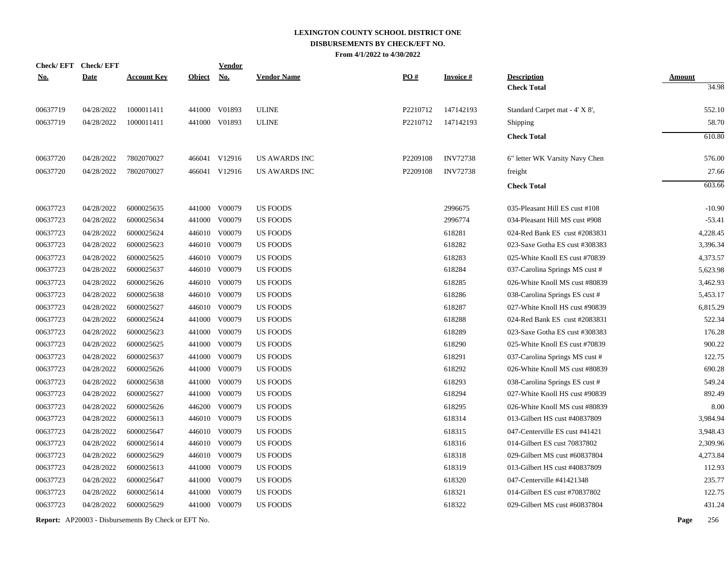| Check/EFT Check/EFT |             |                    |               | <b>Vendor</b> |                      |          |                 |                                |               |
|---------------------|-------------|--------------------|---------------|---------------|----------------------|----------|-----------------|--------------------------------|---------------|
| <u>No.</u>          | <b>Date</b> | <b>Account Key</b> | <b>Object</b> | <b>No.</b>    | <b>Vendor Name</b>   | PO#      | <b>Invoice#</b> | <b>Description</b>             | <b>Amount</b> |
|                     |             |                    |               |               |                      |          |                 | <b>Check Total</b>             | 34.98         |
| 00637719            | 04/28/2022  | 1000011411         |               | 441000 V01893 | <b>ULINE</b>         | P2210712 | 147142193       | Standard Carpet mat - 4' X 8', | 552.10        |
| 00637719            | 04/28/2022  | 1000011411         |               | 441000 V01893 | <b>ULINE</b>         | P2210712 | 147142193       | Shipping                       | 58.70         |
|                     |             |                    |               |               |                      |          |                 | <b>Check Total</b>             | 610.80        |
| 00637720            | 04/28/2022  | 7802070027         |               | 466041 V12916 | <b>US AWARDS INC</b> | P2209108 | <b>INV72738</b> | 6" letter WK Varsity Navy Chen | 576.00        |
| 00637720            | 04/28/2022  | 7802070027         |               | 466041 V12916 | US AWARDS INC        | P2209108 | <b>INV72738</b> | freight                        | 27.66         |
|                     |             |                    |               |               |                      |          |                 | <b>Check Total</b>             | 603.66        |
| 00637723            | 04/28/2022  | 6000025635         |               | 441000 V00079 | <b>US FOODS</b>      |          | 2996675         | 035-Pleasant Hill ES cust #108 | $-10.90$      |
| 00637723            | 04/28/2022  | 6000025634         |               | 441000 V00079 | <b>US FOODS</b>      |          | 2996774         | 034-Pleasant Hill MS cust #908 | $-53.41$      |
| 00637723            | 04/28/2022  | 6000025624         |               | 446010 V00079 | <b>US FOODS</b>      |          | 618281          | 024-Red Bank ES cust #2083831  | 4,228.45      |
| 00637723            | 04/28/2022  | 6000025623         |               | 446010 V00079 | <b>US FOODS</b>      |          | 618282          | 023-Saxe Gotha ES cust #308383 | 3,396.34      |
| 00637723            | 04/28/2022  | 6000025625         |               | 446010 V00079 | <b>US FOODS</b>      |          | 618283          | 025-White Knoll ES cust #70839 | 4,373.57      |
| 00637723            | 04/28/2022  | 6000025637         |               | 446010 V00079 | <b>US FOODS</b>      |          | 618284          | 037-Carolina Springs MS cust # | 5,623.98      |
| 00637723            | 04/28/2022  | 6000025626         |               | 446010 V00079 | <b>US FOODS</b>      |          | 618285          | 026-White Knoll MS cust #80839 | 3,462.93      |
| 00637723            | 04/28/2022  | 6000025638         |               | 446010 V00079 | <b>US FOODS</b>      |          | 618286          | 038-Carolina Springs ES cust # | 5,453.17      |
| 00637723            | 04/28/2022  | 6000025627         |               | 446010 V00079 | US FOODS             |          | 618287          | 027-White Knoll HS cust #90839 | 6,815.29      |
| 00637723            | 04/28/2022  | 6000025624         |               | 441000 V00079 | US FOODS             |          | 618288          | 024-Red Bank ES cust #2083831  | 522.34        |
| 00637723            | 04/28/2022  | 6000025623         |               | 441000 V00079 | <b>US FOODS</b>      |          | 618289          | 023-Saxe Gotha ES cust #308383 | 176.28        |
| 00637723            | 04/28/2022  | 6000025625         |               | 441000 V00079 | US FOODS             |          | 618290          | 025-White Knoll ES cust #70839 | 900.22        |
| 00637723            | 04/28/2022  | 6000025637         |               | 441000 V00079 | US FOODS             |          | 618291          | 037-Carolina Springs MS cust # | 122.75        |
| 00637723            | 04/28/2022  | 6000025626         |               | 441000 V00079 | US FOODS             |          | 618292          | 026-White Knoll MS cust #80839 | 690.28        |
| 00637723            | 04/28/2022  | 6000025638         | 441000        | V00079        | <b>US FOODS</b>      |          | 618293          | 038-Carolina Springs ES cust # | 549.24        |
| 00637723            | 04/28/2022  | 6000025627         | 441000        | V00079        | US FOODS             |          | 618294          | 027-White Knoll HS cust #90839 | 892.49        |
| 00637723            | 04/28/2022  | 6000025626         |               | 446200 V00079 | US FOODS             |          | 618295          | 026-White Knoll MS cust #80839 | 8.00          |
| 00637723            | 04/28/2022  | 6000025613         |               | 446010 V00079 | <b>US FOODS</b>      |          | 618314          | 013-Gilbert HS cust #40837809  | 3,984.94      |
| 00637723            | 04/28/2022  | 6000025647         |               | 446010 V00079 | <b>US FOODS</b>      |          | 618315          | 047-Centerville ES cust #41421 | 3,948.43      |
| 00637723            | 04/28/2022  | 6000025614         |               | 446010 V00079 | <b>US FOODS</b>      |          | 618316          | 014-Gilbert ES cust 70837802   | 2,309.96      |
| 00637723            | 04/28/2022  | 6000025629         |               | 446010 V00079 | <b>US FOODS</b>      |          | 618318          | 029-Gilbert MS cust #60837804  | 4,273.84      |
| 00637723            | 04/28/2022  | 6000025613         |               | 441000 V00079 | <b>US FOODS</b>      |          | 618319          | 013-Gilbert HS cust #40837809  | 112.93        |
| 00637723            | 04/28/2022  | 6000025647         |               | 441000 V00079 | <b>US FOODS</b>      |          | 618320          | 047-Centerville #41421348      | 235.77        |
| 00637723            | 04/28/2022  | 6000025614         |               | 441000 V00079 | <b>US FOODS</b>      |          | 618321          | 014-Gilbert ES cust #70837802  | 122.75        |
| 00637723            | 04/28/2022  | 6000025629         |               | 441000 V00079 | <b>US FOODS</b>      |          | 618322          | 029-Gilbert MS cust #60837804  | 431.24        |
|                     |             |                    |               |               |                      |          |                 |                                |               |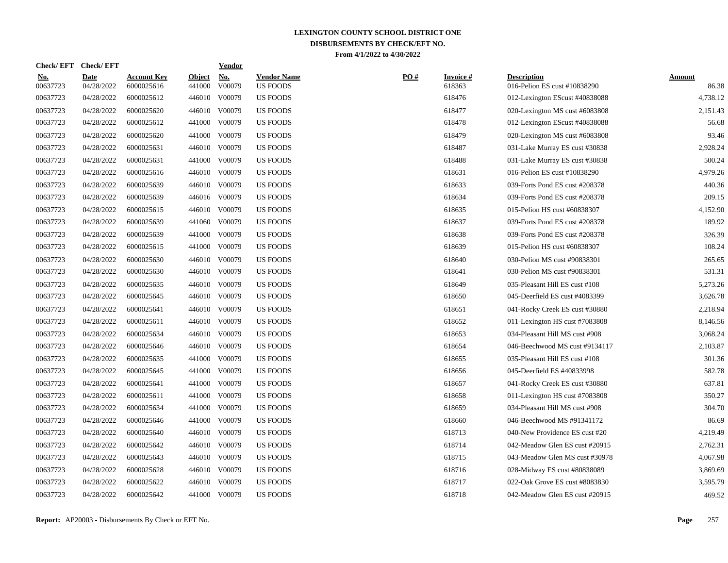| <u>No.</u><br>00637723 | <b>Date</b><br>04/28/2022 | <b>Account Key</b><br>6000025616 | <b>Object</b><br>441000 | <u>No.</u><br>V00079 | <b>Vendor Name</b><br><b>US FOODS</b> | $\underline{PO#}$ | <b>Invoice#</b><br>618363 | <b>Description</b><br>016-Pelion ES cust #10838290 | <b>Amount</b><br>86.38 |
|------------------------|---------------------------|----------------------------------|-------------------------|----------------------|---------------------------------------|-------------------|---------------------------|----------------------------------------------------|------------------------|
| 00637723               | 04/28/2022                | 6000025612                       | 446010                  | V00079               | <b>US FOODS</b>                       |                   | 618476                    | 012-Lexington EScust #40838088                     | 4,738.12               |
| 00637723               | 04/28/2022                | 6000025620                       | 446010                  | V00079               | <b>US FOODS</b>                       |                   | 618477                    | 020-Lexington MS cust #6083808                     | 2,151.43               |
| 00637723               | 04/28/2022                | 6000025612                       | 441000                  | V00079               | <b>US FOODS</b>                       |                   | 618478                    | 012-Lexington EScust #40838088                     | 56.68                  |
| 00637723               | 04/28/2022                | 6000025620                       |                         | 441000 V00079        | <b>US FOODS</b>                       |                   | 618479                    | 020-Lexington MS cust #6083808                     | 93.46                  |
| 00637723               | 04/28/2022                | 6000025631                       |                         | 446010 V00079        | <b>US FOODS</b>                       |                   | 618487                    | 031-Lake Murray ES cust #30838                     | 2,928.24               |
| 00637723               | 04/28/2022                | 6000025631                       |                         | 441000 V00079        | <b>US FOODS</b>                       |                   | 618488                    | 031-Lake Murray ES cust #30838                     | 500.24                 |
| 00637723               | 04/28/2022                | 6000025616                       |                         | 446010 V00079        | <b>US FOODS</b>                       |                   | 618631                    | 016-Pelion ES cust #10838290                       | 4,979.26               |
| 00637723               | 04/28/2022                | 6000025639                       |                         | 446010 V00079        | <b>US FOODS</b>                       |                   | 618633                    | 039-Forts Pond ES cust #208378                     | 440.36                 |
| 00637723               | 04/28/2022                | 6000025639                       |                         | 446016 V00079        | <b>US FOODS</b>                       |                   | 618634                    | 039-Forts Pond ES cust #208378                     | 209.15                 |
| 00637723               | 04/28/2022                | 6000025615                       |                         | 446010 V00079        | <b>US FOODS</b>                       |                   | 618635                    | 015-Pelion HS cust #60838307                       | 4,152.90               |
| 00637723               | 04/28/2022                | 6000025639                       |                         | 441060 V00079        | <b>US FOODS</b>                       |                   | 618637                    | 039-Forts Pond ES cust #208378                     | 189.92                 |
| 00637723               | 04/28/2022                | 6000025639                       | 441000                  | V00079               | <b>US FOODS</b>                       |                   | 618638                    | 039-Forts Pond ES cust #208378                     | 326.39                 |
| 00637723               | 04/28/2022                | 6000025615                       | 441000                  | V00079               | <b>US FOODS</b>                       |                   | 618639                    | 015-Pelion HS cust #60838307                       | 108.24                 |
| 00637723               | 04/28/2022                | 6000025630                       |                         | 446010 V00079        | <b>US FOODS</b>                       |                   | 618640                    | 030-Pelion MS cust #90838301                       | 265.65                 |
| 00637723               | 04/28/2022                | 6000025630                       |                         | 446010 V00079        | <b>US FOODS</b>                       |                   | 618641                    | 030-Pelion MS cust #90838301                       | 531.31                 |
| 00637723               | 04/28/2022                | 6000025635                       |                         | 446010 V00079        | <b>US FOODS</b>                       |                   | 618649                    | 035-Pleasant Hill ES cust #108                     | 5,273.26               |
| 00637723               | 04/28/2022                | 6000025645                       |                         | 446010 V00079        | <b>US FOODS</b>                       |                   | 618650                    | 045-Deerfield ES cust #4083399                     | 3,626.78               |
| 00637723               | 04/28/2022                | 6000025641                       |                         | 446010 V00079        | <b>US FOODS</b>                       |                   | 618651                    | 041-Rocky Creek ES cust #30880                     | 2,218.94               |
| 00637723               | 04/28/2022                | 6000025611                       |                         | 446010 V00079        | <b>US FOODS</b>                       |                   | 618652                    | 011-Lexington HS cust #7083808                     | 8,146.56               |
| 00637723               | 04/28/2022                | 6000025634                       |                         | 446010 V00079        | <b>US FOODS</b>                       |                   | 618653                    | 034-Pleasant Hill MS cust #908                     | 3,068.24               |
| 00637723               | 04/28/2022                | 6000025646                       |                         | 446010 V00079        | <b>US FOODS</b>                       |                   | 618654                    | 046-Beechwood MS cust #9134117                     | 2,103.87               |
| 00637723               | 04/28/2022                | 6000025635                       | 441000                  | V00079               | US FOODS                              |                   | 618655                    | 035-Pleasant Hill ES cust #108                     | 301.36                 |
| 00637723               | 04/28/2022                | 6000025645                       |                         | 441000 V00079        | <b>US FOODS</b>                       |                   | 618656                    | 045-Deerfield ES #40833998                         | 582.78                 |
| 00637723               | 04/28/2022                | 6000025641                       | 441000                  | V00079               | <b>US FOODS</b>                       |                   | 618657                    | 041-Rocky Creek ES cust #30880                     | 637.81                 |
| 00637723               | 04/28/2022                | 6000025611                       | 441000                  | V00079               | <b>US FOODS</b>                       |                   | 618658                    | 011-Lexington HS cust #7083808                     | 350.27                 |
| 00637723               | 04/28/2022                | 6000025634                       | 441000                  | V00079               | <b>US FOODS</b>                       |                   | 618659                    | 034-Pleasant Hill MS cust #908                     | 304.70                 |
| 00637723               | 04/28/2022                | 6000025646                       | 441000                  | V00079               | <b>US FOODS</b>                       |                   | 618660                    | 046-Beechwood MS #91341172                         | 86.69                  |
| 00637723               | 04/28/2022                | 6000025640                       |                         | 446010 V00079        | <b>US FOODS</b>                       |                   | 618713                    | 040-New Providence ES cust #20                     | 4,219.49               |
| 00637723               | 04/28/2022                | 6000025642                       |                         | 446010 V00079        | US FOODS                              |                   | 618714                    | 042-Meadow Glen ES cust #20915                     | 2,762.31               |
| 00637723               | 04/28/2022                | 6000025643                       |                         | 446010 V00079        | <b>US FOODS</b>                       |                   | 618715                    | 043-Meadow Glen MS cust #30978                     | 4,067.98               |
| 00637723               | 04/28/2022                | 6000025628                       |                         | 446010 V00079        | <b>US FOODS</b>                       |                   | 618716                    | 028-Midway ES cust #80838089                       | 3,869.69               |
| 00637723               | 04/28/2022                | 6000025622                       |                         | 446010 V00079        | <b>US FOODS</b>                       |                   | 618717                    | 022-Oak Grove ES cust #8083830                     | 3,595.79               |
| 00637723               | 04/28/2022                | 6000025642                       |                         | 441000 V00079        | <b>US FOODS</b>                       |                   | 618718                    | 042-Meadow Glen ES cust #20915                     | 469.52                 |

**Check/ EFT Vendor Check/ EFT**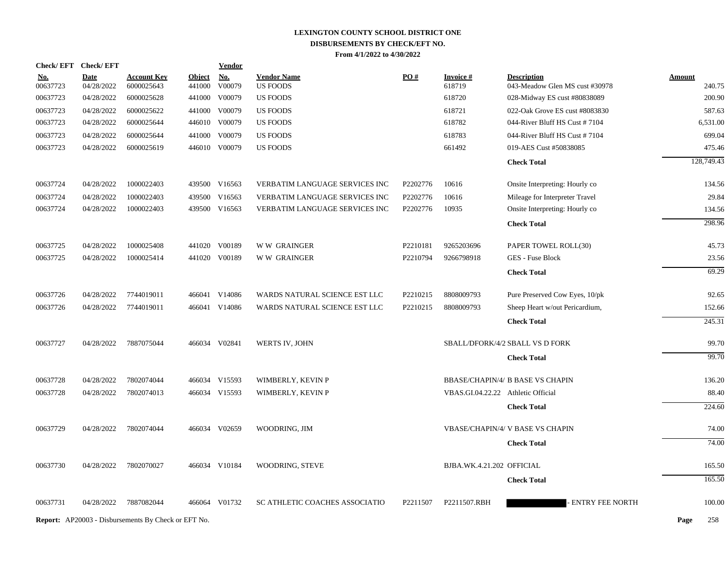|                        | Check/EFT Check/EFT       |                                                            |                         | <b>Vendor</b> |                                       |          |                                    |                                                      |                         |
|------------------------|---------------------------|------------------------------------------------------------|-------------------------|---------------|---------------------------------------|----------|------------------------------------|------------------------------------------------------|-------------------------|
| <u>No.</u><br>00637723 | <b>Date</b><br>04/28/2022 | <b>Account Key</b><br>6000025643                           | <b>Object</b><br>441000 | No.<br>V00079 | <b>Vendor Name</b><br><b>US FOODS</b> | PO#      | <b>Invoice</b> $#$<br>618719       | <b>Description</b><br>043-Meadow Glen MS cust #30978 | <b>Amount</b><br>240.75 |
| 00637723               | 04/28/2022                | 6000025628                                                 |                         | 441000 V00079 | <b>US FOODS</b>                       |          | 618720                             | 028-Midway ES cust #80838089                         | 200.90                  |
| 00637723               | 04/28/2022                | 6000025622                                                 |                         | 441000 V00079 | <b>US FOODS</b>                       |          | 618721                             | 022-Oak Grove ES cust #8083830                       | 587.63                  |
| 00637723               | 04/28/2022                | 6000025644                                                 |                         | 446010 V00079 | <b>US FOODS</b>                       |          | 618782                             | 044-River Bluff HS Cust #7104                        | 6,531.00                |
| 00637723               | 04/28/2022                | 6000025644                                                 |                         | 441000 V00079 | <b>US FOODS</b>                       |          | 618783                             | 044-River Bluff HS Cust #7104                        | 699.04                  |
| 00637723               | 04/28/2022                | 6000025619                                                 |                         | 446010 V00079 | <b>US FOODS</b>                       |          | 661492                             | 019-AES Cust #50838085                               | 475.46                  |
|                        |                           |                                                            |                         |               |                                       |          |                                    | <b>Check Total</b>                                   | 128,749.43              |
|                        |                           |                                                            |                         |               |                                       |          |                                    |                                                      |                         |
| 00637724               | 04/28/2022                | 1000022403                                                 |                         | 439500 V16563 | VERBATIM LANGUAGE SERVICES INC        | P2202776 | 10616                              | Onsite Interpreting: Hourly co                       | 134.56                  |
| 00637724               | 04/28/2022                | 1000022403                                                 |                         | 439500 V16563 | <b>VERBATIM LANGUAGE SERVICES INC</b> | P2202776 | 10616                              | Mileage for Interpreter Travel                       | 29.84                   |
| 00637724               | 04/28/2022                | 1000022403                                                 |                         | 439500 V16563 | VERBATIM LANGUAGE SERVICES INC        | P2202776 | 10935                              | Onsite Interpreting: Hourly co                       | 134.56                  |
|                        |                           |                                                            |                         |               |                                       |          |                                    | <b>Check Total</b>                                   | 298.96                  |
| 00637725               | 04/28/2022                | 1000025408                                                 |                         | 441020 V00189 | <b>WW GRAINGER</b>                    | P2210181 | 9265203696                         | PAPER TOWEL ROLL(30)                                 | 45.73                   |
| 00637725               | 04/28/2022                | 1000025414                                                 |                         | 441020 V00189 | <b>WW GRAINGER</b>                    | P2210794 | 9266798918                         | <b>GES</b> - Fuse Block                              | 23.56                   |
|                        |                           |                                                            |                         |               |                                       |          |                                    | <b>Check Total</b>                                   | 69.29                   |
| 00637726               | 04/28/2022                | 7744019011                                                 |                         | 466041 V14086 | WARDS NATURAL SCIENCE EST LLC         | P2210215 | 8808009793                         | Pure Preserved Cow Eyes, 10/pk                       | 92.65                   |
| 00637726               | 04/28/2022                | 7744019011                                                 |                         | 466041 V14086 | WARDS NATURAL SCIENCE EST LLC         | P2210215 | 8808009793                         | Sheep Heart w/out Pericardium,                       | 152.66                  |
|                        |                           |                                                            |                         |               |                                       |          |                                    | <b>Check Total</b>                                   | 245.31                  |
| 00637727               | 04/28/2022                | 7887075044                                                 |                         | 466034 V02841 | WERTS IV, JOHN                        |          |                                    | SBALL/DFORK/4/2 SBALL VS D FORK                      | 99.70                   |
|                        |                           |                                                            |                         |               |                                       |          |                                    | <b>Check Total</b>                                   | 99.70                   |
| 00637728               | 04/28/2022                | 7802074044                                                 |                         | 466034 V15593 | WIMBERLY, KEVIN P                     |          |                                    | <b>BBASE/CHAPIN/4/ B BASE VS CHAPIN</b>              | 136.20                  |
| 00637728               | 04/28/2022                | 7802074013                                                 |                         | 466034 V15593 | WIMBERLY, KEVIN P                     |          | VBAS.GI.04.22.22 Athletic Official |                                                      | 88.40                   |
|                        |                           |                                                            |                         |               |                                       |          |                                    | <b>Check Total</b>                                   | 224.60                  |
| 00637729               | 04/28/2022                | 7802074044                                                 |                         | 466034 V02659 | WOODRING, JIM                         |          |                                    | <b>VBASE/CHAPIN/4/ V BASE VS CHAPIN</b>              | 74.00                   |
|                        |                           |                                                            |                         |               |                                       |          |                                    | <b>Check Total</b>                                   | 74.00                   |
| 00637730               | 04/28/2022                | 7802070027                                                 |                         | 466034 V10184 | WOODRING, STEVE                       |          | BJBA.WK.4.21.202 OFFICIAL          |                                                      | 165.50                  |
|                        |                           |                                                            |                         |               |                                       |          |                                    | <b>Check Total</b>                                   | 165.50                  |
| 00637731               | 04/28/2022                | 7887082044                                                 |                         | 466064 V01732 | SC ATHLETIC COACHES ASSOCIATIO        | P2211507 | P2211507.RBH                       | ENTRY FEE NORTH                                      | 100.00                  |
|                        |                           | <b>Report:</b> AP20003 - Disbursements By Check or EFT No. |                         |               |                                       |          |                                    |                                                      | Page<br>258             |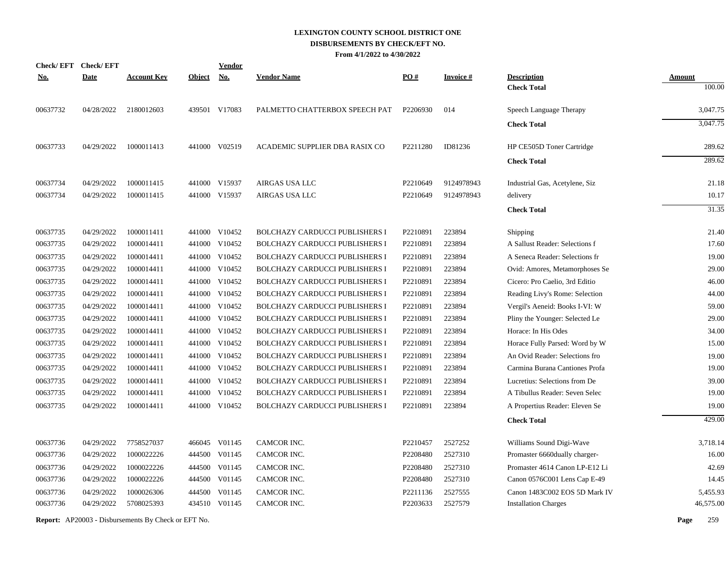| <b>Check/EFT</b> | <b>Check/EFT</b> |                    |               | <b>Vendor</b> |                                       |                   |                 |                                          |                         |
|------------------|------------------|--------------------|---------------|---------------|---------------------------------------|-------------------|-----------------|------------------------------------------|-------------------------|
| <u>No.</u>       | <b>Date</b>      | <b>Account Key</b> | <b>Object</b> | <b>No.</b>    | <b>Vendor Name</b>                    | $\underline{PO#}$ | <b>Invoice#</b> | <b>Description</b><br><b>Check Total</b> | <b>Amount</b><br>100.00 |
|                  |                  |                    |               |               |                                       |                   |                 |                                          |                         |
| 00637732         | 04/28/2022       | 2180012603         |               | 439501 V17083 | PALMETTO CHATTERBOX SPEECH PAT        | P2206930          | 014             | Speech Language Therapy                  | 3,047.75                |
|                  |                  |                    |               |               |                                       |                   |                 | <b>Check Total</b>                       | 3,047.75                |
| 00637733         | 04/29/2022       | 1000011413         |               | 441000 V02519 | ACADEMIC SUPPLIER DBA RASIX CO        | P2211280          | ID81236         | HP CE505D Toner Cartridge                | 289.62                  |
|                  |                  |                    |               |               |                                       |                   |                 | <b>Check Total</b>                       | 289.62                  |
| 00637734         | 04/29/2022       | 1000011415         |               | 441000 V15937 | AIRGAS USA LLC                        | P2210649          | 9124978943      | Industrial Gas, Acetylene, Siz           | 21.18                   |
| 00637734         | 04/29/2022       | 1000011415         | 441000        | V15937        | <b>AIRGAS USA LLC</b>                 | P2210649          | 9124978943      | delivery                                 | 10.17                   |
|                  |                  |                    |               |               |                                       |                   |                 | <b>Check Total</b>                       | 31.35                   |
| 00637735         | 04/29/2022       | 1000011411         |               | 441000 V10452 | <b>BOLCHAZY CARDUCCI PUBLISHERS I</b> | P2210891          | 223894          | Shipping                                 | 21.40                   |
| 00637735         | 04/29/2022       | 1000014411         |               | 441000 V10452 | <b>BOLCHAZY CARDUCCI PUBLISHERS I</b> | P2210891          | 223894          | A Sallust Reader: Selections f           | 17.60                   |
| 00637735         | 04/29/2022       | 1000014411         |               | 441000 V10452 | <b>BOLCHAZY CARDUCCI PUBLISHERS I</b> | P2210891          | 223894          | A Seneca Reader: Selections fr           | 19.00                   |
| 00637735         | 04/29/2022       | 1000014411         |               | 441000 V10452 | <b>BOLCHAZY CARDUCCI PUBLISHERS I</b> | P2210891          | 223894          | Ovid: Amores, Metamorphoses Se           | 29.00                   |
| 00637735         | 04/29/2022       | 1000014411         | 441000        | V10452        | <b>BOLCHAZY CARDUCCI PUBLISHERS I</b> | P2210891          | 223894          | Cicero: Pro Caelio, 3rd Editio           | 46.00                   |
| 00637735         | 04/29/2022       | 1000014411         |               | 441000 V10452 | BOLCHAZY CARDUCCI PUBLISHERS I        | P2210891          | 223894          | Reading Livy's Rome: Selection           | 44.00                   |
| 00637735         | 04/29/2022       | 1000014411         | 441000        | V10452        | <b>BOLCHAZY CARDUCCI PUBLISHERS I</b> | P2210891          | 223894          | Vergil's Aeneid: Books I-VI: W           | 59.00                   |
| 00637735         | 04/29/2022       | 1000014411         | 441000        | V10452        | <b>BOLCHAZY CARDUCCI PUBLISHERS I</b> | P2210891          | 223894          | Pliny the Younger: Selected Le           | 29.00                   |
| 00637735         | 04/29/2022       | 1000014411         | 441000        | V10452        | BOLCHAZY CARDUCCI PUBLISHERS I        | P2210891          | 223894          | Horace: In His Odes                      | 34.00                   |
| 00637735         | 04/29/2022       | 1000014411         | 441000        | V10452        | <b>BOLCHAZY CARDUCCI PUBLISHERS I</b> | P2210891          | 223894          | Horace Fully Parsed: Word by W           | 15.00                   |
| 00637735         | 04/29/2022       | 1000014411         | 441000        | V10452        | <b>BOLCHAZY CARDUCCI PUBLISHERS I</b> | P2210891          | 223894          | An Ovid Reader: Selections fro           | 19.00                   |
| 00637735         | 04/29/2022       | 1000014411         | 441000        | V10452        | <b>BOLCHAZY CARDUCCI PUBLISHERS I</b> | P2210891          | 223894          | Carmina Burana Cantiones Profa           | 19.00                   |
| 00637735         | 04/29/2022       | 1000014411         | 441000        | V10452        | <b>BOLCHAZY CARDUCCI PUBLISHERS I</b> | P2210891          | 223894          | Lucretius: Selections from De            | 39.00                   |
| 00637735         | 04/29/2022       | 1000014411         | 441000        | V10452        | <b>BOLCHAZY CARDUCCI PUBLISHERS I</b> | P2210891          | 223894          | A Tibullus Reader: Seven Selec           | 19.00                   |
| 00637735         | 04/29/2022       | 1000014411         |               | 441000 V10452 | BOLCHAZY CARDUCCI PUBLISHERS I        | P2210891          | 223894          | A Propertius Reader: Eleven Se           | 19.00                   |
|                  |                  |                    |               |               |                                       |                   |                 | <b>Check Total</b>                       | 429.00                  |
| 00637736         | 04/29/2022       | 7758527037         |               | 466045 V01145 | CAMCOR INC.                           | P2210457          | 2527252         | Williams Sound Digi-Wave                 | 3,718.14                |
| 00637736         | 04/29/2022       | 1000022226         |               | 444500 V01145 | CAMCOR INC.                           | P2208480          | 2527310         | Promaster 6660dually charger-            | 16.00                   |
| 00637736         | 04/29/2022       | 1000022226         | 444500        | V01145        | CAMCOR INC.                           | P2208480          | 2527310         | Promaster 4614 Canon LP-E12 Li           | 42.69                   |
| 00637736         | 04/29/2022       | 1000022226         |               | 444500 V01145 | CAMCOR INC.                           | P2208480          | 2527310         | Canon 0576C001 Lens Cap E-49             | 14.45                   |
| 00637736         | 04/29/2022       | 1000026306         | 444500        | V01145        | CAMCOR INC.                           | P2211136          | 2527555         | Canon 1483C002 EOS 5D Mark IV            | 5,455.93                |
| 00637736         | 04/29/2022       | 5708025393         |               | 434510 V01145 | CAMCOR INC.                           | P2203633          | 2527579         | <b>Installation Charges</b>              | 46,575.00               |
|                  |                  |                    |               |               |                                       |                   |                 |                                          |                         |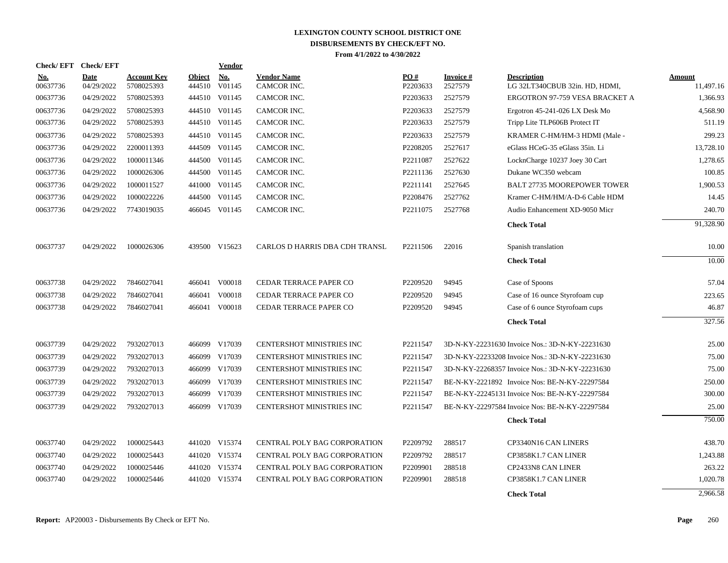|                        | <b>Check/EFT</b> | <b>Check/EFT</b>          |                                  |                         | <b>Vendor</b> |                                   |                 |                      |                                                      |                     |
|------------------------|------------------|---------------------------|----------------------------------|-------------------------|---------------|-----------------------------------|-----------------|----------------------|------------------------------------------------------|---------------------|
| <u>No.</u><br>00637736 |                  | <b>Date</b><br>04/29/2022 | <b>Account Kev</b><br>5708025393 | <b>Object</b><br>444510 | No.<br>V01145 | <b>Vendor Name</b><br>CAMCOR INC. | PO#<br>P2203633 | Invoice #<br>2527579 | <b>Description</b><br>LG 32LT340CBUB 32in. HD, HDMI, | Amount<br>11,497.16 |
| 00637736               |                  | 04/29/2022                | 5708025393                       |                         | 444510 V01145 | CAMCOR INC.                       | P2203633        | 2527579              | ERGOTRON 97-759 VESA BRACKET A                       | 1,366.93            |
| 00637736               |                  | 04/29/2022                | 5708025393                       |                         | 444510 V01145 | CAMCOR INC.                       | P2203633        | 2527579              | Ergotron 45-241-026 LX Desk Mo                       | 4,568.90            |
| 00637736               |                  | 04/29/2022                | 5708025393                       |                         | 444510 V01145 | CAMCOR INC.                       | P2203633        | 2527579              | Tripp Lite TLP606B Protect IT                        | 511.19              |
| 00637736               |                  | 04/29/2022                | 5708025393                       |                         | 444510 V01145 | CAMCOR INC.                       | P2203633        | 2527579              | KRAMER C-HM/HM-3 HDMI (Male -                        | 299.23              |
| 00637736               |                  | 04/29/2022                | 2200011393                       |                         | 444509 V01145 | CAMCOR INC.                       | P2208205        | 2527617              | eGlass HCeG-35 eGlass 35in. Li                       | 13,728.10           |
| 00637736               |                  | 04/29/2022                | 1000011346                       |                         | 444500 V01145 | CAMCOR INC.                       | P2211087        | 2527622              | LocknCharge 10237 Joey 30 Cart                       | 1.278.65            |
| 00637736               |                  | 04/29/2022                | 1000026306                       |                         | 444500 V01145 | CAMCOR INC.                       | P2211136        | 2527630              | Dukane WC350 webcam                                  | 100.85              |
| 00637736               |                  | 04/29/2022                | 1000011527                       |                         | 441000 V01145 | CAMCOR INC.                       | P2211141        | 2527645              | <b>BALT 27735 MOOREPOWER TOWER</b>                   | 1,900.53            |
| 00637736               |                  | 04/29/2022                | 1000022226                       |                         | 444500 V01145 | CAMCOR INC.                       | P2208476        | 2527762              | Kramer C-HM/HM/A-D-6 Cable HDM                       | 14.45               |
| 00637736               |                  | 04/29/2022                | 7743019035                       |                         | 466045 V01145 | CAMCOR INC.                       | P2211075        | 2527768              | Audio Enhancement XD-9050 Micr                       | 240.70              |
|                        |                  |                           |                                  |                         |               |                                   |                 |                      | <b>Check Total</b>                                   | 91,328.90           |
| 00637737               |                  | 04/29/2022                | 1000026306                       |                         | 439500 V15623 | CARLOS D HARRIS DBA CDH TRANSL    | P2211506        | 22016                | Spanish translation                                  | 10.00               |
|                        |                  |                           |                                  |                         |               |                                   |                 |                      | <b>Check Total</b>                                   | 10.00               |
| 00637738               |                  | 04/29/2022                | 7846027041                       |                         | 466041 V00018 | CEDAR TERRACE PAPER CO            | P2209520        | 94945                | Case of Spoons                                       | 57.04               |
| 00637738               |                  | 04/29/2022                | 7846027041                       |                         | 466041 V00018 | CEDAR TERRACE PAPER CO            | P2209520        | 94945                | Case of 16 ounce Styrofoam cup                       | 223.65              |
| 00637738               |                  | 04/29/2022                | 7846027041                       |                         | 466041 V00018 | CEDAR TERRACE PAPER CO            | P2209520        | 94945                | Case of 6 ounce Styrofoam cups                       | 46.87               |
|                        |                  |                           |                                  |                         |               |                                   |                 |                      | <b>Check Total</b>                                   | 327.56              |
| 00637739               |                  | 04/29/2022                | 7932027013                       |                         | 466099 V17039 | CENTERSHOT MINISTRIES INC         | P2211547        |                      | 3D-N-KY-22231630 Invoice Nos.: 3D-N-KY-22231630      | 25.00               |
| 00637739               |                  | 04/29/2022                | 7932027013                       |                         | 466099 V17039 | CENTERSHOT MINISTRIES INC         | P2211547        |                      | 3D-N-KY-22233208 Invoice Nos.: 3D-N-KY-22231630      | 75.00               |
| 00637739               |                  | 04/29/2022                | 7932027013                       |                         | 466099 V17039 | CENTERSHOT MINISTRIES INC         | P2211547        |                      | 3D-N-KY-22268357 Invoice Nos.: 3D-N-KY-22231630      | 75.00               |
| 00637739               |                  | 04/29/2022                | 7932027013                       |                         | 466099 V17039 | CENTERSHOT MINISTRIES INC         | P2211547        |                      | BE-N-KY-2221892 Invoice Nos: BE-N-KY-22297584        | 250.00              |
| 00637739               |                  | 04/29/2022                | 7932027013                       |                         | 466099 V17039 | CENTERSHOT MINISTRIES INC         | P2211547        |                      | BE-N-KY-22245131 Invoice Nos: BE-N-KY-22297584       | 300.00              |
| 00637739               |                  | 04/29/2022                | 7932027013                       |                         | 466099 V17039 | CENTERSHOT MINISTRIES INC         | P2211547        |                      | BE-N-KY-22297584 Invoice Nos: BE-N-KY-22297584       | 25.00               |
|                        |                  |                           |                                  |                         |               |                                   |                 |                      | <b>Check Total</b>                                   | 750.00              |
| 00637740               |                  | 04/29/2022                | 1000025443                       |                         | 441020 V15374 | CENTRAL POLY BAG CORPORATION      | P2209792        | 288517               | CP3340N16 CAN LINERS                                 | 438.70              |
| 00637740               |                  | 04/29/2022                | 1000025443                       |                         | 441020 V15374 | CENTRAL POLY BAG CORPORATION      | P2209792        | 288517               | CP3858K1.7 CAN LINER                                 | 1,243.88            |
| 00637740               |                  | 04/29/2022                | 1000025446                       |                         | 441020 V15374 | CENTRAL POLY BAG CORPORATION      | P2209901        | 288518               | CP2433N8 CAN LINER                                   | 263.22              |
| 00637740               |                  | 04/29/2022                | 1000025446                       |                         | 441020 V15374 | CENTRAL POLY BAG CORPORATION      | P2209901        | 288518               | CP3858K1.7 CAN LINER                                 | 1,020.78            |
|                        |                  |                           |                                  |                         |               |                                   |                 |                      | <b>Check Total</b>                                   | 2.966.58            |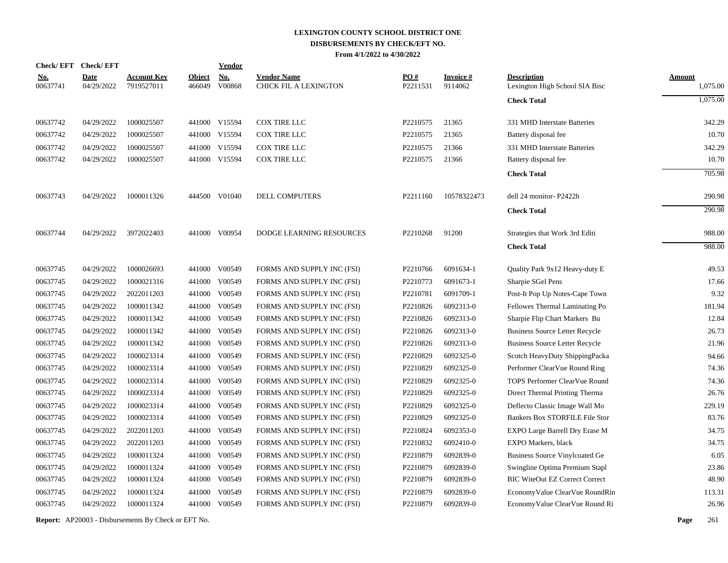|                        | Check/EFT Check/EFT       |                                  |                         | <b>Vendor</b>        |                                             |                 |                            |                                                      |                           |
|------------------------|---------------------------|----------------------------------|-------------------------|----------------------|---------------------------------------------|-----------------|----------------------------|------------------------------------------------------|---------------------------|
| <u>No.</u><br>00637741 | <b>Date</b><br>04/29/2022 | <u>Account Key</u><br>7919527011 | <b>Object</b><br>466049 | <u>No.</u><br>V00868 | <b>Vendor Name</b><br>CHICK FIL A LEXINGTON | PO#<br>P2211531 | <b>Invoice#</b><br>9114062 | <b>Description</b><br>Lexington High School SIA Bisc | <b>Amount</b><br>1,075.00 |
|                        |                           |                                  |                         |                      |                                             |                 |                            | <b>Check Total</b>                                   | 1,075.00                  |
| 00637742               | 04/29/2022                | 1000025507                       |                         | 441000 V15594        | <b>COX TIRE LLC</b>                         | P2210575        | 21365                      | 331 MHD Interstate Batteries                         | 342.29                    |
| 00637742               | 04/29/2022                | 1000025507                       |                         | 441000 V15594        | COX TIRE LLC                                | P2210575        | 21365                      | Battery disposal fee                                 | 10.70                     |
| 00637742               | 04/29/2022                | 1000025507                       |                         | 441000 V15594        | COX TIRE LLC                                | P2210575        | 21366                      | 331 MHD Interstate Batteries                         | 342.29                    |
| 00637742               | 04/29/2022                | 1000025507                       |                         | 441000 V15594        | COX TIRE LLC                                | P2210575        | 21366                      | Battery disposal fee                                 | 10.70                     |
|                        |                           |                                  |                         |                      |                                             |                 |                            | <b>Check Total</b>                                   | 705.98                    |
| 00637743               | 04/29/2022                | 1000011326                       |                         | 444500 V01040        | <b>DELL COMPUTERS</b>                       | P2211160        | 10578322473                | dell 24 monitor- P2422h                              | 290.98                    |
|                        |                           |                                  |                         |                      |                                             |                 |                            | <b>Check Total</b>                                   | 290.98                    |
| 00637744               | 04/29/2022                | 3972022403                       |                         | 441000 V00954        | DODGE LEARNING RESOURCES                    | P2210268        | 91200                      | Strategies that Work 3rd Editi                       | 988.00                    |
|                        |                           |                                  |                         |                      |                                             |                 |                            | <b>Check Total</b>                                   | 988.00                    |
| 00637745               | 04/29/2022                | 1000026693                       |                         | 441000 V00549        | FORMS AND SUPPLY INC (FSI)                  | P2210766        | 6091634-1                  | Quality Park 9x12 Heavy-duty E                       | 49.53                     |
| 00637745               | 04/29/2022                | 1000021316                       |                         | 441000 V00549        | FORMS AND SUPPLY INC (FSI)                  | P2210773        | 6091673-1                  | Sharpie SGel Pens                                    | 17.66                     |
| 00637745               | 04/29/2022                | 2022011203                       |                         | 441000 V00549        | FORMS AND SUPPLY INC (FSI)                  | P2210781        | 6091709-1                  | Post-It Pop Up Notes-Cape Town                       | 9.32                      |
| 00637745               | 04/29/2022                | 1000011342                       | 441000                  | V00549               | FORMS AND SUPPLY INC (FSI)                  | P2210826        | 6092313-0                  | Fellowes Thermal Laminating Po                       | 181.94                    |
| 00637745               | 04/29/2022                | 1000011342                       | 441000                  | V00549               | FORMS AND SUPPLY INC (FSI)                  | P2210826        | 6092313-0                  | Sharpie Flip Chart Markers Bu                        | 12.84                     |
| 00637745               | 04/29/2022                | 1000011342                       |                         | 441000 V00549        | FORMS AND SUPPLY INC (FSI)                  | P2210826        | 6092313-0                  | <b>Business Source Letter Recycle</b>                | 26.73                     |
| 00637745               | 04/29/2022                | 1000011342                       | 441000                  | V00549               | FORMS AND SUPPLY INC (FSI)                  | P2210826        | 6092313-0                  | <b>Business Source Letter Recycle</b>                | 21.96                     |
| 00637745               | 04/29/2022                | 1000023314                       |                         | 441000 V00549        | FORMS AND SUPPLY INC (FSI)                  | P2210829        | 6092325-0                  | Scotch HeavyDuty ShippingPacka                       | 94.66                     |
| 00637745               | 04/29/2022                | 1000023314                       | 441000                  | V00549               | FORMS AND SUPPLY INC (FSI)                  | P2210829        | 6092325-0                  | Performer ClearVue Round Ring                        | 74.36                     |
| 00637745               | 04/29/2022                | 1000023314                       |                         | 441000 V00549        | FORMS AND SUPPLY INC (FSI)                  | P2210829        | 6092325-0                  | TOPS Performer ClearVue Round                        | 74.36                     |
| 00637745               | 04/29/2022                | 1000023314                       |                         | 441000 V00549        | FORMS AND SUPPLY INC (FSI)                  | P2210829        | 6092325-0                  | Direct Thermal Printing Therma                       | 26.76                     |
| 00637745               | 04/29/2022                | 1000023314                       |                         | 441000 V00549        | FORMS AND SUPPLY INC (FSI)                  | P2210829        | 6092325-0                  | Deflecto Classic Image Wall Mo                       | 229.19                    |
| 00637745               | 04/29/2022                | 1000023314                       |                         | 441000 V00549        | FORMS AND SUPPLY INC (FSI)                  | P2210829        | 6092325-0                  | Bankers Box STORFILE File Stor                       | 83.76                     |
| 00637745               | 04/29/2022                | 2022011203                       |                         | 441000 V00549        | FORMS AND SUPPLY INC (FSI)                  | P2210824        | 6092353-0                  | EXPO Large Barrell Dry Erase M                       | 34.75                     |
| 00637745               | 04/29/2022                | 2022011203                       |                         | 441000 V00549        | FORMS AND SUPPLY INC (FSI)                  | P2210832        | 6092410-0                  | EXPO Markers, black                                  | 34.75                     |
| 00637745               | 04/29/2022                | 1000011324                       |                         | 441000 V00549        | FORMS AND SUPPLY INC (FSI)                  | P2210879        | 6092839-0                  | <b>Business Source Vinylcoated Ge</b>                | 6.05                      |
| 00637745               | 04/29/2022                | 1000011324                       |                         | 441000 V00549        | FORMS AND SUPPLY INC (FSI)                  | P2210879        | 6092839-0                  | Swingline Optima Premium Stapl                       | 23.86                     |
| 00637745               | 04/29/2022                | 1000011324                       |                         | 441000 V00549        | FORMS AND SUPPLY INC (FSI)                  | P2210879        | 6092839-0                  | <b>BIC WiteOut EZ Correct Correct</b>                | 48.90                     |
| 00637745               | 04/29/2022                | 1000011324                       | 441000                  | V00549               | FORMS AND SUPPLY INC (FSI)                  | P2210879        | 6092839-0                  | EconomyValue ClearVue RoundRin                       | 113.31                    |
| 00637745               | 04/29/2022                | 1000011324                       |                         | 441000 V00549        | FORMS AND SUPPLY INC (FSI)                  | P2210879        | 6092839-0                  | EconomyValue ClearVue Round Ri                       | 26.96                     |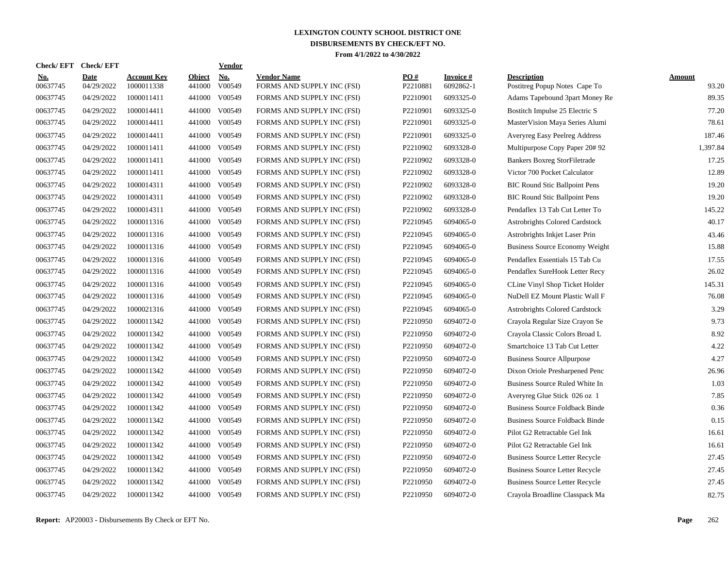| Check/ EFT             | <b>Check/EFT</b>          |                                  |                         | <b>Vendor</b>                       |                                                  |                 |                              |                                                     |                 |
|------------------------|---------------------------|----------------------------------|-------------------------|-------------------------------------|--------------------------------------------------|-----------------|------------------------------|-----------------------------------------------------|-----------------|
| <u>No.</u><br>00637745 | <b>Date</b><br>04/29/2022 | <b>Account Key</b><br>1000011338 | <b>Object</b><br>441000 | $\underline{\text{No}}$ .<br>V00549 | <b>Vendor Name</b><br>FORMS AND SUPPLY INC (FSI) | PO#<br>P2210881 | <b>Invoice#</b><br>6092862-1 | <b>Description</b><br>Postitreg Popup Notes Cape To | Amount<br>93.20 |
| 00637745               | 04/29/2022                | 1000011411                       | 441000                  | V00549                              | FORMS AND SUPPLY INC (FSI)                       | P2210901        | 6093325-0                    | Adams Tapebound 3part Money Re                      | 89.35           |
| 00637745               | 04/29/2022                | 1000014411                       | 441000                  | V00549                              | FORMS AND SUPPLY INC (FSI)                       | P2210901        | 6093325-0                    | Bostitch Impulse 25 Electric S                      | 77.20           |
| 00637745               | 04/29/2022                | 1000014411                       | 441000                  | V00549                              | FORMS AND SUPPLY INC (FSI)                       | P2210901        | 6093325-0                    | MasterVision Maya Series Alumi                      | 78.61           |
| 00637745               | 04/29/2022                | 1000014411                       | 441000                  | V00549                              | FORMS AND SUPPLY INC (FSI)                       | P2210901        | 6093325-0                    | <b>Averyreg Easy Peelreg Address</b>                | 187.46          |
| 00637745               | 04/29/2022                | 1000011411                       | 441000                  | V00549                              | FORMS AND SUPPLY INC (FSI)                       | P2210902        | 6093328-0                    | Multipurpose Copy Paper 20# 92                      | 1,397.84        |
| 00637745               | 04/29/2022                | 1000011411                       | 441000                  | V00549                              | FORMS AND SUPPLY INC (FSI)                       | P2210902        | 6093328-0                    | <b>Bankers Boxreg StorFiletrade</b>                 | 17.25           |
| 00637745               | 04/29/2022                | 1000011411                       | 441000                  | V00549                              | FORMS AND SUPPLY INC (FSI)                       | P2210902        | 6093328-0                    | Victor 700 Pocket Calculator                        | 12.89           |
| 00637745               | 04/29/2022                | 1000014311                       | 441000                  | V00549                              | FORMS AND SUPPLY INC (FSI)                       | P2210902        | 6093328-0                    | <b>BIC Round Stic Ballpoint Pens</b>                | 19.20           |
| 00637745               | 04/29/2022                | 1000014311                       | 441000                  | V00549                              | FORMS AND SUPPLY INC (FSI)                       | P2210902        | 6093328-0                    | <b>BIC Round Stic Ballpoint Pens</b>                | 19.20           |
| 00637745               | 04/29/2022                | 1000014311                       | 441000                  | V00549                              | FORMS AND SUPPLY INC (FSI)                       | P2210902        | 6093328-0                    | Pendaflex 13 Tab Cut Letter To                      | 145.22          |
| 00637745               | 04/29/2022                | 1000011316                       | 441000                  | V00549                              | FORMS AND SUPPLY INC (FSI)                       | P2210945        | 6094065-0                    | Astrobrights Colored Cardstock                      | 40.17           |
| 00637745               | 04/29/2022                | 1000011316                       | 441000                  | V00549                              | FORMS AND SUPPLY INC (FSI)                       | P2210945        | 6094065-0                    | Astrobrights Inkjet Laser Prin                      | 43.46           |
| 00637745               | 04/29/2022                | 1000011316                       | 441000                  | V00549                              | FORMS AND SUPPLY INC (FSI)                       | P2210945        | 6094065-0                    | <b>Business Source Economy Weight</b>               | 15.88           |
| 00637745               | 04/29/2022                | 1000011316                       | 441000                  | V00549                              | FORMS AND SUPPLY INC (FSI)                       | P2210945        | 6094065-0                    | Pendaflex Essentials 15 Tab Cu                      | 17.55           |
| 00637745               | 04/29/2022                | 1000011316                       | 441000                  | V00549                              | FORMS AND SUPPLY INC (FSI)                       | P2210945        | 6094065-0                    | Pendaflex SureHook Letter Recy                      | 26.02           |
| 00637745               | 04/29/2022                | 1000011316                       | 441000                  | V00549                              | FORMS AND SUPPLY INC (FSI)                       | P2210945        | 6094065-0                    | CLine Vinyl Shop Ticket Holder                      | 145.31          |
| 00637745               | 04/29/2022                | 1000011316                       | 441000                  | V00549                              | FORMS AND SUPPLY INC (FSI)                       | P2210945        | 6094065-0                    | NuDell EZ Mount Plastic Wall F                      | 76.08           |
| 00637745               | 04/29/2022                | 1000021316                       | 441000                  | V00549                              | FORMS AND SUPPLY INC (FSI)                       | P2210945        | 6094065-0                    | Astrobrights Colored Cardstock                      | 3.29            |
| 00637745               | 04/29/2022                | 1000011342                       | 441000                  | V00549                              | FORMS AND SUPPLY INC (FSI)                       | P2210950        | 6094072-0                    | Crayola Regular Size Crayon Se                      | 9.73            |
| 00637745               | 04/29/2022                | 1000011342                       | 441000                  | V00549                              | FORMS AND SUPPLY INC (FSI)                       | P2210950        | 6094072-0                    | Crayola Classic Colors Broad L                      | 8.92            |
| 00637745               | 04/29/2022                | 1000011342                       | 441000                  | V00549                              | FORMS AND SUPPLY INC (FSI)                       | P2210950        | 6094072-0                    | Smartchoice 13 Tab Cut Letter                       | 4.22            |
| 00637745               | 04/29/2022                | 1000011342                       | 441000                  | V00549                              | FORMS AND SUPPLY INC (FSI)                       | P2210950        | 6094072-0                    | <b>Business Source Allpurpose</b>                   | 4.27            |
| 00637745               | 04/29/2022                | 1000011342                       | 441000                  | V00549                              | FORMS AND SUPPLY INC (FSI)                       | P2210950        | 6094072-0                    | Dixon Oriole Presharpened Penc                      | 26.96           |
| 00637745               | 04/29/2022                | 1000011342                       | 441000                  | V00549                              | FORMS AND SUPPLY INC (FSI)                       | P2210950        | 6094072-0                    | Business Source Ruled White In                      | 1.03            |
| 00637745               | 04/29/2022                | 1000011342                       | 441000                  | V00549                              | FORMS AND SUPPLY INC (FSI)                       | P2210950        | 6094072-0                    | Averyreg Glue Stick 026 oz 1                        | 7.85            |
| 00637745               | 04/29/2022                | 1000011342                       | 441000                  | V00549                              | FORMS AND SUPPLY INC (FSI)                       | P2210950        | 6094072-0                    | <b>Business Source Foldback Binde</b>               | 0.36            |
| 00637745               | 04/29/2022                | 1000011342                       | 441000                  | V00549                              | FORMS AND SUPPLY INC (FSI)                       | P2210950        | 6094072-0                    | <b>Business Source Foldback Binde</b>               | 0.15            |
| 00637745               | 04/29/2022                | 1000011342                       | 441000                  | V00549                              | FORMS AND SUPPLY INC (FSI)                       | P2210950        | 6094072-0                    | Pilot G2 Retractable Gel Ink                        | 16.61           |
| 00637745               | 04/29/2022                | 1000011342                       | 441000                  | V00549                              | FORMS AND SUPPLY INC (FSI)                       | P2210950        | 6094072-0                    | Pilot G2 Retractable Gel Ink                        | 16.61           |
| 00637745               | 04/29/2022                | 1000011342                       |                         | 441000 V00549                       | FORMS AND SUPPLY INC (FSI)                       | P2210950        | 6094072-0                    | Business Source Letter Recycle                      | 27.45           |
| 00637745               | 04/29/2022                | 1000011342                       | 441000                  | V00549                              | FORMS AND SUPPLY INC (FSI)                       | P2210950        | 6094072-0                    | <b>Business Source Letter Recycle</b>               | 27.45           |
| 00637745               | 04/29/2022                | 1000011342                       | 441000                  | V00549                              | FORMS AND SUPPLY INC (FSI)                       | P2210950        | 6094072-0                    | <b>Business Source Letter Recycle</b>               | 27.45           |
| 00637745               | 04/29/2022                | 1000011342                       |                         | 441000 V00549                       | FORMS AND SUPPLY INC (FSI)                       | P2210950        | 6094072-0                    | Crayola Broadline Classpack Ma                      | 82.75           |
|                        |                           |                                  |                         |                                     |                                                  |                 |                              |                                                     |                 |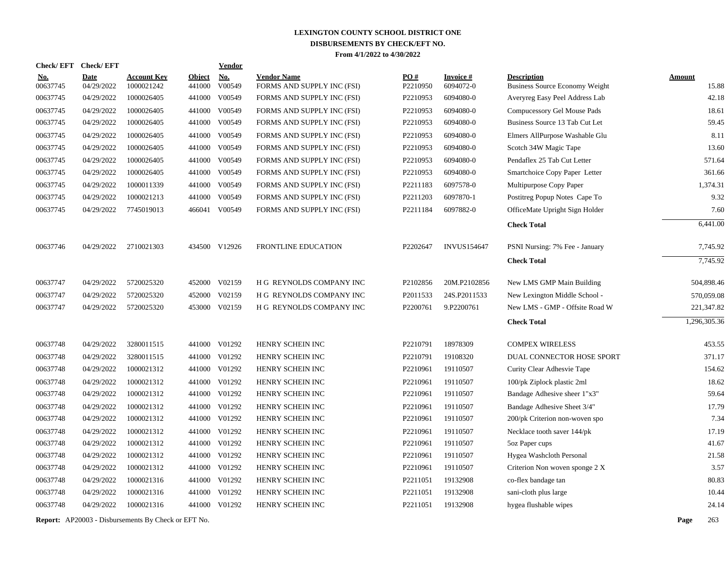| <b>Check/EFT</b>       | <b>Check/EFT</b>          |                                  |                         | <b>Vendor</b>                       |                                                  |                 |                              |                                                             |                        |
|------------------------|---------------------------|----------------------------------|-------------------------|-------------------------------------|--------------------------------------------------|-----------------|------------------------------|-------------------------------------------------------------|------------------------|
| <u>No.</u><br>00637745 | <b>Date</b><br>04/29/2022 | <b>Account Key</b><br>1000021242 | <b>Object</b><br>441000 | $\underline{\textbf{No}}$<br>V00549 | <b>Vendor Name</b><br>FORMS AND SUPPLY INC (FSI) | PO#<br>P2210950 | <b>Invoice#</b><br>6094072-0 | <b>Description</b><br><b>Business Source Economy Weight</b> | <b>Amount</b><br>15.88 |
| 00637745               | 04/29/2022                | 1000026405                       |                         | 441000 V00549                       | FORMS AND SUPPLY INC (FSI)                       | P2210953        | 6094080-0                    | Averyreg Easy Peel Address Lab                              | 42.18                  |
| 00637745               | 04/29/2022                | 1000026405                       |                         | 441000 V00549                       | FORMS AND SUPPLY INC (FSI)                       | P2210953        | 6094080-0                    | Compucessory Gel Mouse Pads                                 | 18.61                  |
| 00637745               | 04/29/2022                | 1000026405                       | 441000                  | V00549                              | FORMS AND SUPPLY INC (FSI)                       | P2210953        | 6094080-0                    | Business Source 13 Tab Cut Let                              | 59.45                  |
| 00637745               | 04/29/2022                | 1000026405                       | 441000                  | V00549                              | FORMS AND SUPPLY INC (FSI)                       | P2210953        | 6094080-0                    | Elmers AllPurpose Washable Glu                              | 8.11                   |
| 00637745               | 04/29/2022                | 1000026405                       |                         | 441000 V00549                       | FORMS AND SUPPLY INC (FSI)                       | P2210953        | 6094080-0                    | Scotch 34W Magic Tape                                       | 13.60                  |
| 00637745               | 04/29/2022                | 1000026405                       |                         | 441000 V00549                       | FORMS AND SUPPLY INC (FSI)                       | P2210953        | 6094080-0                    | Pendaflex 25 Tab Cut Letter                                 | 571.64                 |
| 00637745               | 04/29/2022                | 1000026405                       |                         | 441000 V00549                       | FORMS AND SUPPLY INC (FSI)                       | P2210953        | 6094080-0                    | Smartchoice Copy Paper Letter                               | 361.66                 |
| 00637745               | 04/29/2022                | 1000011339                       |                         | 441000 V00549                       | FORMS AND SUPPLY INC (FSI)                       | P2211183        | 6097578-0                    | Multipurpose Copy Paper                                     | 1,374.31               |
| 00637745               | 04/29/2022                | 1000021213                       |                         | 441000 V00549                       | FORMS AND SUPPLY INC (FSI)                       | P2211203        | 6097870-1                    | Postitreg Popup Notes Cape To                               | 9.32                   |
| 00637745               | 04/29/2022                | 7745019013                       |                         | 466041 V00549                       | FORMS AND SUPPLY INC (FSI)                       | P2211184        | 6097882-0                    | OfficeMate Upright Sign Holder                              | 7.60                   |
|                        |                           |                                  |                         |                                     |                                                  |                 |                              | <b>Check Total</b>                                          | 6,441.00               |
| 00637746               | 04/29/2022                | 2710021303                       |                         | 434500 V12926                       | FRONTLINE EDUCATION                              | P2202647        | <b>INVUS154647</b>           | PSNI Nursing: 7% Fee - January                              | 7,745.92               |
|                        |                           |                                  |                         |                                     |                                                  |                 |                              | <b>Check Total</b>                                          | 7,745.92               |
| 00637747               | 04/29/2022                | 5720025320                       |                         | 452000 V02159                       | H G REYNOLDS COMPANY INC                         | P2102856        | 20M.P2102856                 | New LMS GMP Main Building                                   | 504,898.46             |
| 00637747               | 04/29/2022                | 5720025320                       |                         | 452000 V02159                       | H G REYNOLDS COMPANY INC                         | P2011533        | 24S.P2011533                 | New Lexington Middle School -                               | 570,059.08             |
| 00637747               | 04/29/2022                | 5720025320                       |                         | 453000 V02159                       | H G REYNOLDS COMPANY INC                         | P2200761        | 9.P2200761                   | New LMS - GMP - Offsite Road W                              | 221,347.82             |
|                        |                           |                                  |                         |                                     |                                                  |                 |                              | <b>Check Total</b>                                          | 1,296,305.36           |
| 00637748               | 04/29/2022                | 3280011515                       |                         | 441000 V01292                       | HENRY SCHEIN INC                                 | P2210791        | 18978309                     | <b>COMPEX WIRELESS</b>                                      | 453.55                 |
| 00637748               | 04/29/2022                | 3280011515                       |                         | 441000 V01292                       | HENRY SCHEIN INC                                 | P2210791        | 19108320                     | DUAL CONNECTOR HOSE SPORT                                   | 371.17                 |
| 00637748               | 04/29/2022                | 1000021312                       |                         | 441000 V01292                       | HENRY SCHEIN INC                                 | P2210961        | 19110507                     | Curity Clear Adhesvie Tape                                  | 154.62                 |
| 00637748               | 04/29/2022                | 1000021312                       |                         | 441000 V01292                       | HENRY SCHEIN INC                                 | P2210961        | 19110507                     | 100/pk Ziplock plastic 2ml                                  | 18.62                  |
| 00637748               | 04/29/2022                | 1000021312                       |                         | 441000 V01292                       | HENRY SCHEIN INC                                 | P2210961        | 19110507                     | Bandage Adhesive sheer 1"x3"                                | 59.64                  |
| 00637748               | 04/29/2022                | 1000021312                       |                         | 441000 V01292                       | HENRY SCHEIN INC                                 | P2210961        | 19110507                     | Bandage Adhesive Sheet 3/4"                                 | 17.79                  |
| 00637748               | 04/29/2022                | 1000021312                       |                         | 441000 V01292                       | HENRY SCHEIN INC                                 | P2210961        | 19110507                     | 200/pk Criterion non-woven spo                              | 7.34                   |
| 00637748               | 04/29/2022                | 1000021312                       |                         | 441000 V01292                       | HENRY SCHEIN INC                                 | P2210961        | 19110507                     | Necklace tooth saver 144/pk                                 | 17.19                  |
| 00637748               | 04/29/2022                | 1000021312                       |                         | 441000 V01292                       | HENRY SCHEIN INC                                 | P2210961        | 19110507                     | 5oz Paper cups                                              | 41.67                  |
| 00637748               | 04/29/2022                | 1000021312                       |                         | 441000 V01292                       | HENRY SCHEIN INC                                 | P2210961        | 19110507                     | Hygea Washcloth Personal                                    | 21.58                  |
| 00637748               | 04/29/2022                | 1000021312                       |                         | 441000 V01292                       | HENRY SCHEIN INC                                 | P2210961        | 19110507                     | Criterion Non woven sponge 2 X                              | 3.57                   |
| 00637748               | 04/29/2022                | 1000021316                       |                         | 441000 V01292                       | HENRY SCHEIN INC                                 | P2211051        | 19132908                     | co-flex bandage tan                                         | 80.83                  |
| 00637748               | 04/29/2022                | 1000021316                       |                         | 441000 V01292                       | HENRY SCHEIN INC                                 | P2211051        | 19132908                     | sani-cloth plus large                                       | 10.44                  |
| 00637748               | 04/29/2022                | 1000021316                       |                         | 441000 V01292                       | HENRY SCHEIN INC                                 | P2211051        | 19132908                     | hygea flushable wipes                                       | 24.14                  |
|                        |                           |                                  |                         |                                     |                                                  |                 |                              |                                                             |                        |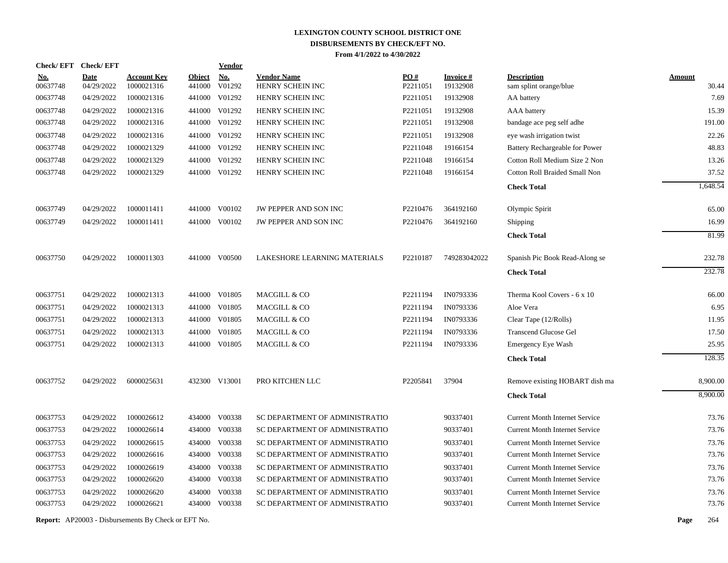| <b>Check/EFT</b>       | <b>Check/EFT</b>          |                                  |                         | <b>Vendor</b>        |                                        |                 |                             |                                              |                        |
|------------------------|---------------------------|----------------------------------|-------------------------|----------------------|----------------------------------------|-----------------|-----------------------------|----------------------------------------------|------------------------|
| <u>No.</u><br>00637748 | <b>Date</b><br>04/29/2022 | <b>Account Key</b><br>1000021316 | <b>Object</b><br>441000 | <b>No.</b><br>V01292 | <b>Vendor Name</b><br>HENRY SCHEIN INC | PO#<br>P2211051 | <b>Invoice#</b><br>19132908 | <b>Description</b><br>sam splint orange/blue | <b>Amount</b><br>30.44 |
| 00637748               | 04/29/2022                | 1000021316                       | 441000                  | V01292               | HENRY SCHEIN INC                       | P2211051        | 19132908                    | AA battery                                   | 7.69                   |
| 00637748               | 04/29/2022                | 1000021316                       | 441000                  | V01292               | HENRY SCHEIN INC                       | P2211051        | 19132908                    | AAA battery                                  | 15.39                  |
| 00637748               | 04/29/2022                | 1000021316                       | 441000                  | V01292               | HENRY SCHEIN INC                       | P2211051        | 19132908                    | bandage ace peg self adhe                    | 191.00                 |
| 00637748               | 04/29/2022                | 1000021316                       | 441000                  | V01292               | HENRY SCHEIN INC                       | P2211051        | 19132908                    | eye wash irrigation twist                    | 22.26                  |
| 00637748               | 04/29/2022                | 1000021329                       | 441000                  | V01292               | HENRY SCHEIN INC                       | P2211048        | 19166154                    | Battery Rechargeable for Power               | 48.83                  |
| 00637748               | 04/29/2022                | 1000021329                       | 441000                  | V01292               | HENRY SCHEIN INC                       | P2211048        | 19166154                    | Cotton Roll Medium Size 2 Non                | 13.26                  |
| 00637748               | 04/29/2022                | 1000021329                       |                         | 441000 V01292        | HENRY SCHEIN INC                       | P2211048        | 19166154                    | Cotton Roll Braided Small Non                | 37.52                  |
|                        |                           |                                  |                         |                      |                                        |                 |                             | <b>Check Total</b>                           | 1,648.54               |
| 00637749               | 04/29/2022                | 1000011411                       |                         | 441000 V00102        | JW PEPPER AND SON INC                  | P2210476        | 364192160                   | Olympic Spirit                               | 65.00                  |
| 00637749               | 04/29/2022                | 1000011411                       |                         | 441000 V00102        | JW PEPPER AND SON INC                  | P2210476        | 364192160                   | Shipping                                     | 16.99                  |
|                        |                           |                                  |                         |                      |                                        |                 |                             | <b>Check Total</b>                           | 81.99                  |
| 00637750               | 04/29/2022                | 1000011303                       | 441000                  | V00500               | LAKESHORE LEARNING MATERIALS           | P2210187        | 749283042022                | Spanish Pic Book Read-Along se               | 232.78                 |
|                        |                           |                                  |                         |                      |                                        |                 |                             | <b>Check Total</b>                           | 232.78                 |
| 00637751               | 04/29/2022                | 1000021313                       | 441000                  | V01805               | MACGILL & CO                           | P2211194        | IN0793336                   | Therma Kool Covers - 6 x 10                  | 66.00                  |
| 00637751               | 04/29/2022                | 1000021313                       | 441000                  | V01805               | MACGILL & CO                           | P2211194        | IN0793336                   | Aloe Vera                                    | 6.95                   |
| 00637751               | 04/29/2022                | 1000021313                       | 441000                  | V01805               | MACGILL & CO                           | P2211194        | IN0793336                   | Clear Tape (12/Rolls)                        | 11.95                  |
| 00637751               | 04/29/2022                | 1000021313                       | 441000                  | V01805               | MACGILL & CO                           | P2211194        | IN0793336                   | <b>Transcend Glucose Gel</b>                 | 17.50                  |
| 00637751               | 04/29/2022                | 1000021313                       | 441000                  | V01805               | MACGILL & CO                           | P2211194        | IN0793336                   | Emergency Eye Wash                           | 25.95                  |
|                        |                           |                                  |                         |                      |                                        |                 |                             | <b>Check Total</b>                           | 128.35                 |
| 00637752               | 04/29/2022                | 6000025631                       |                         | 432300 V13001        | PRO KITCHEN LLC                        | P2205841        | 37904                       | Remove existing HOBART dish ma               | 8,900.00               |
|                        |                           |                                  |                         |                      |                                        |                 |                             | <b>Check Total</b>                           | 8,900.00               |
| 00637753               | 04/29/2022                | 1000026612                       | 434000                  | V00338               | SC DEPARTMENT OF ADMINISTRATIO         |                 | 90337401                    | <b>Current Month Internet Service</b>        | 73.76                  |
| 00637753               | 04/29/2022                | 1000026614                       | 434000                  | V00338               | SC DEPARTMENT OF ADMINISTRATIO         |                 | 90337401                    | <b>Current Month Internet Service</b>        | 73.76                  |
| 00637753               | 04/29/2022                | 1000026615                       | 434000                  | V00338               | SC DEPARTMENT OF ADMINISTRATIO         |                 | 90337401                    | <b>Current Month Internet Service</b>        | 73.76                  |
| 00637753               | 04/29/2022                | 1000026616                       |                         | 434000 V00338        | SC DEPARTMENT OF ADMINISTRATIO         |                 | 90337401                    | <b>Current Month Internet Service</b>        | 73.76                  |
| 00637753               | 04/29/2022                | 1000026619                       | 434000                  | V00338               | SC DEPARTMENT OF ADMINISTRATIO         |                 | 90337401                    | <b>Current Month Internet Service</b>        | 73.76                  |
| 00637753               | 04/29/2022                | 1000026620                       | 434000                  | V00338               | SC DEPARTMENT OF ADMINISTRATIO         |                 | 90337401                    | <b>Current Month Internet Service</b>        | 73.76                  |
| 00637753               | 04/29/2022                | 1000026620                       | 434000                  | V00338               | SC DEPARTMENT OF ADMINISTRATIO         |                 | 90337401                    | <b>Current Month Internet Service</b>        | 73.76                  |
| 00637753               | 04/29/2022                | 1000026621                       |                         | 434000 V00338        | SC DEPARTMENT OF ADMINISTRATIO         |                 | 90337401                    | <b>Current Month Internet Service</b>        | 73.76                  |
|                        |                           |                                  |                         |                      |                                        |                 |                             |                                              |                        |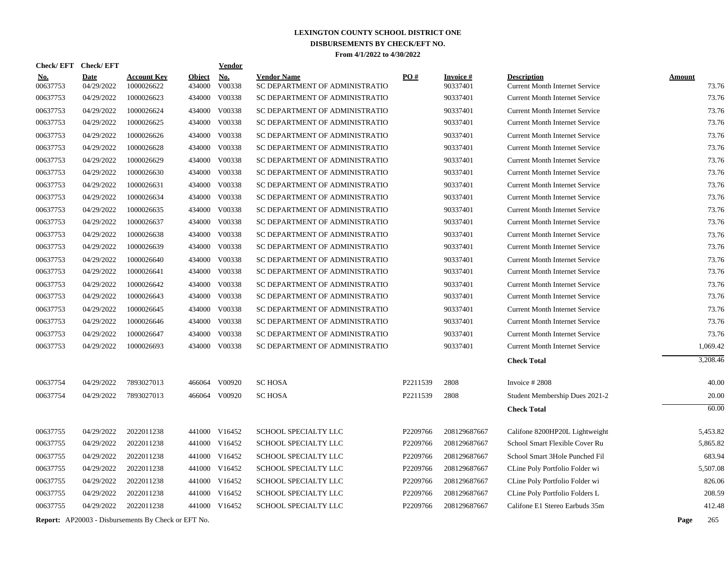|                      | Check/EFT Check/EFT      |                                                            |                  | Vendor               |                                                                  |          |                      |                                                                                |                |
|----------------------|--------------------------|------------------------------------------------------------|------------------|----------------------|------------------------------------------------------------------|----------|----------------------|--------------------------------------------------------------------------------|----------------|
| <u>No.</u>           | <b>Date</b>              | <b>Account Key</b>                                         | <b>Object</b>    | <b>No.</b><br>V00338 | <b>Vendor Name</b>                                               | PO#      | <b>Invoice#</b>      | <b>Description</b>                                                             | <b>Amount</b>  |
| 00637753<br>00637753 | 04/29/2022<br>04/29/2022 | 1000026622<br>1000026623                                   | 434000<br>434000 | V00338               | SC DEPARTMENT OF ADMINISTRATIO<br>SC DEPARTMENT OF ADMINISTRATIO |          | 90337401<br>90337401 | <b>Current Month Internet Service</b><br><b>Current Month Internet Service</b> | 73.76<br>73.76 |
| 00637753             | 04/29/2022               | 1000026624                                                 | 434000           | V00338               | SC DEPARTMENT OF ADMINISTRATIO                                   |          | 90337401             | <b>Current Month Internet Service</b>                                          | 73.76          |
| 00637753             | 04/29/2022               | 1000026625                                                 | 434000           | V00338               | SC DEPARTMENT OF ADMINISTRATIO                                   |          | 90337401             | <b>Current Month Internet Service</b>                                          | 73.76          |
|                      | 04/29/2022               | 1000026626                                                 | 434000           | V00338               | SC DEPARTMENT OF ADMINISTRATIO                                   |          | 90337401             | <b>Current Month Internet Service</b>                                          | 73.76          |
| 00637753<br>00637753 | 04/29/2022               | 1000026628                                                 | 434000           | V00338               | SC DEPARTMENT OF ADMINISTRATIO                                   |          | 90337401             | <b>Current Month Internet Service</b>                                          | 73.76          |
|                      |                          |                                                            | 434000           | V00338               |                                                                  |          |                      | <b>Current Month Internet Service</b>                                          | 73.76          |
| 00637753<br>00637753 | 04/29/2022<br>04/29/2022 | 1000026629<br>1000026630                                   | 434000           | V00338               | SC DEPARTMENT OF ADMINISTRATIO<br>SC DEPARTMENT OF ADMINISTRATIO |          | 90337401<br>90337401 | <b>Current Month Internet Service</b>                                          | 73.76          |
|                      |                          |                                                            |                  |                      |                                                                  |          |                      |                                                                                |                |
| 00637753<br>00637753 | 04/29/2022<br>04/29/2022 | 1000026631<br>1000026634                                   | 434000<br>434000 | V00338<br>V00338     | SC DEPARTMENT OF ADMINISTRATIO<br>SC DEPARTMENT OF ADMINISTRATIO |          | 90337401<br>90337401 | <b>Current Month Internet Service</b><br><b>Current Month Internet Service</b> | 73.76<br>73.76 |
|                      |                          |                                                            |                  |                      |                                                                  |          |                      |                                                                                |                |
| 00637753             | 04/29/2022               | 1000026635                                                 | 434000           | V00338               | SC DEPARTMENT OF ADMINISTRATIO                                   |          | 90337401             | <b>Current Month Internet Service</b>                                          | 73.76<br>73.76 |
| 00637753             | 04/29/2022               | 1000026637                                                 | 434000           | V00338               | SC DEPARTMENT OF ADMINISTRATIO                                   |          | 90337401             | <b>Current Month Internet Service</b>                                          |                |
| 00637753             | 04/29/2022               | 1000026638                                                 | 434000           | V00338               | SC DEPARTMENT OF ADMINISTRATIO                                   |          | 90337401             | <b>Current Month Internet Service</b>                                          | 73.76          |
| 00637753             | 04/29/2022               | 1000026639                                                 | 434000           | V00338               | SC DEPARTMENT OF ADMINISTRATIO                                   |          | 90337401             | <b>Current Month Internet Service</b>                                          | 73.76          |
| 00637753             | 04/29/2022               | 1000026640                                                 | 434000           | V00338               | SC DEPARTMENT OF ADMINISTRATIO                                   |          | 90337401             | <b>Current Month Internet Service</b>                                          | 73.76          |
| 00637753             | 04/29/2022               | 1000026641                                                 | 434000           | V00338               | SC DEPARTMENT OF ADMINISTRATIO                                   |          | 90337401             | <b>Current Month Internet Service</b>                                          | 73.76          |
| 00637753             | 04/29/2022               | 1000026642                                                 | 434000           | V00338               | SC DEPARTMENT OF ADMINISTRATIO                                   |          | 90337401             | <b>Current Month Internet Service</b>                                          | 73.76          |
| 00637753             | 04/29/2022               | 1000026643                                                 | 434000           | V00338               | SC DEPARTMENT OF ADMINISTRATIO                                   |          | 90337401             | <b>Current Month Internet Service</b>                                          | 73.76          |
| 00637753             | 04/29/2022               | 1000026645                                                 | 434000           | V00338               | SC DEPARTMENT OF ADMINISTRATIO                                   |          | 90337401             | <b>Current Month Internet Service</b>                                          | 73.76          |
| 00637753             | 04/29/2022               | 1000026646                                                 | 434000           | V00338               | SC DEPARTMENT OF ADMINISTRATIO                                   |          | 90337401             | <b>Current Month Internet Service</b>                                          | 73.76          |
| 00637753             | 04/29/2022               | 1000026647                                                 | 434000           | V00338               | SC DEPARTMENT OF ADMINISTRATIO                                   |          | 90337401             | <b>Current Month Internet Service</b>                                          | 73.76          |
| 00637753             | 04/29/2022               | 1000026693                                                 | 434000           | V00338               | SC DEPARTMENT OF ADMINISTRATIO                                   |          | 90337401             | <b>Current Month Internet Service</b>                                          | 1,069.42       |
|                      |                          |                                                            |                  |                      |                                                                  |          |                      | <b>Check Total</b>                                                             | 3,208.46       |
| 00637754             | 04/29/2022               | 7893027013                                                 | 466064           | V00920               | <b>SC HOSA</b>                                                   | P2211539 | 2808                 | Invoice #2808                                                                  | 40.00          |
| 00637754             | 04/29/2022               | 7893027013                                                 |                  | 466064 V00920        | <b>SC HOSA</b>                                                   | P2211539 | 2808                 | Student Membership Dues 2021-2                                                 | 20.00          |
|                      |                          |                                                            |                  |                      |                                                                  |          |                      | <b>Check Total</b>                                                             | 60.00          |
|                      |                          |                                                            |                  |                      |                                                                  |          |                      |                                                                                |                |
| 00637755             | 04/29/2022               | 2022011238                                                 | 441000           | V16452               | <b>SCHOOL SPECIALTY LLC</b>                                      | P2209766 | 208129687667         | Califone 8200HP20L Lightweight                                                 | 5,453.82       |
| 00637755             | 04/29/2022               | 2022011238                                                 |                  | 441000 V16452        | <b>SCHOOL SPECIALTY LLC</b>                                      | P2209766 | 208129687667         | School Smart Flexible Cover Ru                                                 | 5,865.82       |
| 00637755             | 04/29/2022               | 2022011238                                                 | 441000           | V16452               | SCHOOL SPECIALTY LLC                                             | P2209766 | 208129687667         | School Smart 3Hole Punched Fil                                                 | 683.94         |
| 00637755             | 04/29/2022               | 2022011238                                                 |                  | 441000 V16452        | SCHOOL SPECIALTY LLC                                             | P2209766 | 208129687667         | CLine Poly Portfolio Folder wi                                                 | 5,507.08       |
| 00637755             | 04/29/2022               | 2022011238                                                 | 441000           | V16452               | SCHOOL SPECIALTY LLC                                             | P2209766 | 208129687667         | CLine Poly Portfolio Folder wi                                                 | 826.06         |
| 00637755             | 04/29/2022               | 2022011238                                                 | 441000           | V16452               | SCHOOL SPECIALTY LLC                                             | P2209766 | 208129687667         | CLine Poly Portfolio Folders L                                                 | 208.59         |
| 00637755             | 04/29/2022               | 2022011238                                                 |                  | 441000 V16452        | SCHOOL SPECIALTY LLC                                             | P2209766 | 208129687667         | Califone E1 Stereo Earbuds 35m                                                 | 412.48         |
|                      |                          | <b>Report:</b> AP20003 - Disbursements By Check or EFT No. |                  |                      |                                                                  |          |                      |                                                                                | Page<br>265    |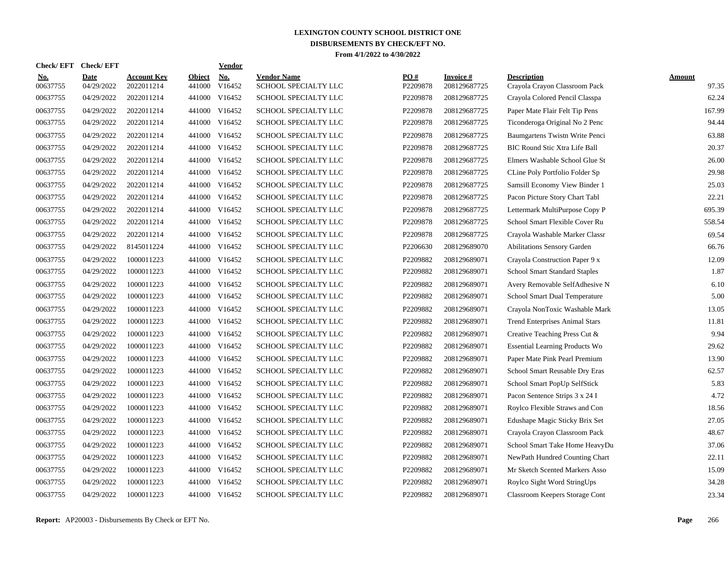| <b>Check/EFT</b>       | <b>Check/EFT</b>          |                           |                         | <b>Vendor</b> |                                            |                 |                                  |                                                     |                 |
|------------------------|---------------------------|---------------------------|-------------------------|---------------|--------------------------------------------|-----------------|----------------------------------|-----------------------------------------------------|-----------------|
| <u>No.</u><br>00637755 | <b>Date</b><br>04/29/2022 | Account Kev<br>2022011214 | <b>Object</b><br>441000 | No.<br>V16452 | <b>Vendor Name</b><br>SCHOOL SPECIALTY LLC | PO#<br>P2209878 | <b>Invoice</b> #<br>208129687725 | <b>Description</b><br>Crayola Crayon Classroom Pack | Amount<br>97.35 |
| 00637755               | 04/29/2022                | 2022011214                | 441000                  | V16452        | SCHOOL SPECIALTY LLC                       | P2209878        | 208129687725                     | Crayola Colored Pencil Classpa                      | 62.24           |
| 00637755               | 04/29/2022                | 2022011214                | 441000                  | V16452        | SCHOOL SPECIALTY LLC                       | P2209878        | 208129687725                     | Paper Mate Flair Felt Tip Pens                      | 167.99          |
| 00637755               | 04/29/2022                | 2022011214                |                         | 441000 V16452 | SCHOOL SPECIALTY LLC                       | P2209878        | 208129687725                     | Ticonderoga Original No 2 Penc                      | 94.44           |
| 00637755               | 04/29/2022                | 2022011214                | 441000                  | V16452        | SCHOOL SPECIALTY LLC                       | P2209878        | 208129687725                     | Baumgartens Twistn Write Penci                      | 63.88           |
| 00637755               | 04/29/2022                | 2022011214                |                         | 441000 V16452 | SCHOOL SPECIALTY LLC                       | P2209878        | 208129687725                     | <b>BIC Round Stic Xtra Life Ball</b>                | 20.37           |
| 00637755               | 04/29/2022                | 2022011214                | 441000                  | V16452        | SCHOOL SPECIALTY LLC                       | P2209878        | 208129687725                     | Elmers Washable School Glue St                      | 26.00           |
| 00637755               | 04/29/2022                | 2022011214                | 441000                  | V16452        | SCHOOL SPECIALTY LLC                       | P2209878        | 208129687725                     | CLine Poly Portfolio Folder Sp                      | 29.98           |
| 00637755               | 04/29/2022                | 2022011214                | 441000                  | V16452        | SCHOOL SPECIALTY LLC                       | P2209878        | 208129687725                     | Samsill Economy View Binder 1                       | 25.03           |
| 00637755               | 04/29/2022                | 2022011214                | 441000                  | V16452        | SCHOOL SPECIALTY LLC                       | P2209878        | 208129687725                     | Pacon Picture Story Chart Tabl                      | 22.21           |
| 00637755               | 04/29/2022                | 2022011214                | 441000                  | V16452        | SCHOOL SPECIALTY LLC                       | P2209878        | 208129687725                     | Lettermark MultiPurpose Copy P                      | 695.39          |
| 00637755               | 04/29/2022                | 2022011214                |                         | 441000 V16452 | SCHOOL SPECIALTY LLC                       | P2209878        | 208129687725                     | School Smart Flexible Cover Ru                      | 558.54          |
| 00637755               | 04/29/2022                | 2022011214                |                         | 441000 V16452 | SCHOOL SPECIALTY LLC                       | P2209878        | 208129687725                     | Crayola Washable Marker Classr                      | 69.54           |
| 00637755               | 04/29/2022                | 8145011224                |                         | 441000 V16452 | SCHOOL SPECIALTY LLC                       | P2206630        | 208129689070                     | <b>Abilitations Sensory Garden</b>                  | 66.76           |
| 00637755               | 04/29/2022                | 1000011223                | 441000                  | V16452        | SCHOOL SPECIALTY LLC                       | P2209882        | 208129689071                     | Crayola Construction Paper 9 x                      | 12.09           |
| 00637755               | 04/29/2022                | 1000011223                | 441000                  | V16452        | SCHOOL SPECIALTY LLC                       | P2209882        | 208129689071                     | School Smart Standard Staples                       | 1.87            |
| 00637755               | 04/29/2022                | 1000011223                | 441000                  | V16452        | <b>SCHOOL SPECIALTY LLC</b>                | P2209882        | 208129689071                     | Avery Removable SelfAdhesive N                      | 6.10            |
| 00637755               | 04/29/2022                | 1000011223                | 441000                  | V16452        | SCHOOL SPECIALTY LLC                       | P2209882        | 208129689071                     | School Smart Dual Temperature                       | 5.00            |
| 00637755               | 04/29/2022                | 1000011223                | 441000                  | V16452        | SCHOOL SPECIALTY LLC                       | P2209882        | 208129689071                     | Crayola NonToxic Washable Mark                      | 13.05           |
| 00637755               | 04/29/2022                | 1000011223                |                         | 441000 V16452 | SCHOOL SPECIALTY LLC                       | P2209882        | 208129689071                     | <b>Trend Enterprises Animal Stars</b>               | 11.81           |
| 00637755               | 04/29/2022                | 1000011223                |                         | 441000 V16452 | SCHOOL SPECIALTY LLC                       | P2209882        | 208129689071                     | Creative Teaching Press Cut &                       | 9.94            |
| 00637755               | 04/29/2022                | 1000011223                |                         | 441000 V16452 | SCHOOL SPECIALTY LLC                       | P2209882        | 208129689071                     | <b>Essential Learning Products Wo</b>               | 29.62           |
| 00637755               | 04/29/2022                | 1000011223                | 441000                  | V16452        | SCHOOL SPECIALTY LLC                       | P2209882        | 208129689071                     | Paper Mate Pink Pearl Premium                       | 13.90           |
| 00637755               | 04/29/2022                | 1000011223                | 441000                  | V16452        | SCHOOL SPECIALTY LLC                       | P2209882        | 208129689071                     | School Smart Reusable Dry Eras                      | 62.57           |
| 00637755               | 04/29/2022                | 1000011223                |                         | 441000 V16452 | SCHOOL SPECIALTY LLC                       | P2209882        | 208129689071                     | School Smart PopUp SelfStick                        | 5.83            |
| 00637755               | 04/29/2022                | 1000011223                | 441000                  | V16452        | SCHOOL SPECIALTY LLC                       | P2209882        | 208129689071                     | Pacon Sentence Strips 3 x 24 I                      | 4.72            |
| 00637755               | 04/29/2022                | 1000011223                | 441000                  | V16452        | <b>SCHOOL SPECIALTY LLC</b>                | P2209882        | 208129689071                     | Roylco Flexible Straws and Con                      | 18.56           |
| 00637755               | 04/29/2022                | 1000011223                |                         | 441000 V16452 | SCHOOL SPECIALTY LLC                       | P2209882        | 208129689071                     | Edushape Magic Sticky Brix Set                      | 27.05           |
| 00637755               | 04/29/2022                | 1000011223                |                         | 441000 V16452 | SCHOOL SPECIALTY LLC                       | P2209882        | 208129689071                     | Crayola Crayon Classroom Pack                       | 48.67           |
| 00637755               | 04/29/2022                | 1000011223                |                         | 441000 V16452 | SCHOOL SPECIALTY LLC                       | P2209882        | 208129689071                     | School Smart Take Home HeavyDu                      | 37.06           |
| 00637755               | 04/29/2022                | 1000011223                |                         | 441000 V16452 | SCHOOL SPECIALTY LLC                       | P2209882        | 208129689071                     | NewPath Hundred Counting Chart                      | 22.11           |
| 00637755               | 04/29/2022                | 1000011223                |                         | 441000 V16452 | SCHOOL SPECIALTY LLC                       | P2209882        | 208129689071                     | Mr Sketch Scented Markers Asso                      | 15.09           |
| 00637755               | 04/29/2022                | 1000011223                | 441000                  | V16452        | SCHOOL SPECIALTY LLC                       | P2209882        | 208129689071                     | Roylco Sight Word StringUps                         | 34.28           |
| 00637755               | 04/29/2022                | 1000011223                |                         | 441000 V16452 | SCHOOL SPECIALTY LLC                       | P2209882        | 208129689071                     | Classroom Keepers Storage Cont                      | 23.34           |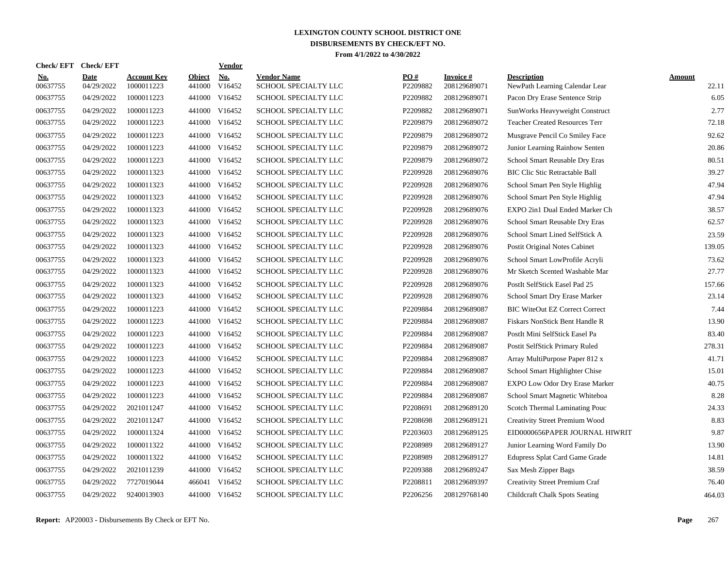| Check/EFT Check/EFT    |                           |                                  |                         | <b>Vendor</b> |                                            |                 |                           |                                                      |                 |
|------------------------|---------------------------|----------------------------------|-------------------------|---------------|--------------------------------------------|-----------------|---------------------------|------------------------------------------------------|-----------------|
| <u>No.</u><br>00637755 | <b>Date</b><br>04/29/2022 | <b>Account Key</b><br>1000011223 | <b>Object</b><br>441000 | No.<br>V16452 | <b>Vendor Name</b><br>SCHOOL SPECIALTY LLC | PO#<br>P2209882 | Invoice #<br>208129689071 | <b>Description</b><br>NewPath Learning Calendar Lear | Amount<br>22.11 |
| 00637755               | 04/29/2022                | 1000011223                       | 441000                  | V16452        | SCHOOL SPECIALTY LLC                       | P2209882        | 208129689071              | Pacon Dry Erase Sentence Strip                       | 6.05            |
| 00637755               | 04/29/2022                | 1000011223                       | 441000                  | V16452        | SCHOOL SPECIALTY LLC                       | P2209882        | 208129689071              | SunWorks Heavyweight Construct                       | 2.77            |
| 00637755               | 04/29/2022                | 1000011223                       |                         | 441000 V16452 | SCHOOL SPECIALTY LLC                       | P2209879        | 208129689072              | <b>Teacher Created Resources Terr</b>                | 72.18           |
| 00637755               | 04/29/2022                | 1000011223                       |                         | 441000 V16452 | SCHOOL SPECIALTY LLC                       | P2209879        | 208129689072              | Musgrave Pencil Co Smiley Face                       | 92.62           |
| 00637755               | 04/29/2022                | 1000011223                       |                         | 441000 V16452 | SCHOOL SPECIALTY LLC                       | P2209879        | 208129689072              | Junior Learning Rainbow Senten                       | 20.86           |
| 00637755               | 04/29/2022                | 1000011223                       | 441000                  | V16452        | SCHOOL SPECIALTY LLC                       | P2209879        | 208129689072              | School Smart Reusable Dry Eras                       | 80.51           |
| 00637755               | 04/29/2022                | 1000011323                       | 441000                  | V16452        | SCHOOL SPECIALTY LLC                       | P2209928        | 208129689076              | <b>BIC Clic Stic Retractable Ball</b>                | 39.27           |
| 00637755               | 04/29/2022                | 1000011323                       | 441000                  | V16452        | SCHOOL SPECIALTY LLC                       | P2209928        | 208129689076              | School Smart Pen Style Highlig                       | 47.94           |
| 00637755               | 04/29/2022                | 1000011323                       | 441000                  | V16452        | SCHOOL SPECIALTY LLC                       | P2209928        | 208129689076              | School Smart Pen Style Highlig                       | 47.94           |
| 00637755               | 04/29/2022                | 1000011323                       |                         | 441000 V16452 | SCHOOL SPECIALTY LLC                       | P2209928        | 208129689076              | EXPO 2in1 Dual Ended Marker Ch                       | 38.57           |
| 00637755               | 04/29/2022                | 1000011323                       |                         | 441000 V16452 | SCHOOL SPECIALTY LLC                       | P2209928        | 208129689076              | School Smart Reusable Dry Eras                       | 62.57           |
| 00637755               | 04/29/2022                | 1000011323                       |                         | 441000 V16452 | SCHOOL SPECIALTY LLC                       | P2209928        | 208129689076              | School Smart Lined SelfStick A                       | 23.59           |
| 00637755               | 04/29/2022                | 1000011323                       |                         | 441000 V16452 | SCHOOL SPECIALTY LLC                       | P2209928        | 208129689076              | Postit Original Notes Cabinet                        | 139.05          |
| 00637755               | 04/29/2022                | 1000011323                       | 441000                  | V16452        | SCHOOL SPECIALTY LLC                       | P2209928        | 208129689076              | School Smart LowProfile Acryli                       | 73.62           |
| 00637755               | 04/29/2022                | 1000011323                       | 441000                  | V16452        | SCHOOL SPECIALTY LLC                       | P2209928        | 208129689076              | Mr Sketch Scented Washable Mar                       | 27.77           |
| 00637755               | 04/29/2022                | 1000011323                       | 441000                  | V16452        | SCHOOL SPECIALTY LLC                       | P2209928        | 208129689076              | PostIt SelfStick Easel Pad 25                        | 157.66          |
| 00637755               | 04/29/2022                | 1000011323                       | 441000                  | V16452        | SCHOOL SPECIALTY LLC                       | P2209928        | 208129689076              | School Smart Dry Erase Marker                        | 23.14           |
| 00637755               | 04/29/2022                | 1000011223                       | 441000                  | V16452        | SCHOOL SPECIALTY LLC                       | P2209884        | 208129689087              | <b>BIC WiteOut EZ Correct Correct</b>                | 7.44            |
| 00637755               | 04/29/2022                | 1000011223                       |                         | 441000 V16452 | SCHOOL SPECIALTY LLC                       | P2209884        | 208129689087              | Fiskars NonStick Bent Handle R                       | 13.90           |
| 00637755               | 04/29/2022                | 1000011223                       | 441000                  | V16452        | SCHOOL SPECIALTY LLC                       | P2209884        | 208129689087              | PostIt Mini SelfStick Easel Pa                       | 83.40           |
| 00637755               | 04/29/2022                | 1000011223                       |                         | 441000 V16452 | SCHOOL SPECIALTY LLC                       | P2209884        | 208129689087              | Postit SelfStick Primary Ruled                       | 278.31          |
| 00637755               | 04/29/2022                | 1000011223                       | 441000                  | V16452        | SCHOOL SPECIALTY LLC                       | P2209884        | 208129689087              | Array MultiPurpose Paper 812 x                       | 41.71           |
| 00637755               | 04/29/2022                | 1000011223                       | 441000                  | V16452        | SCHOOL SPECIALTY LLC                       | P2209884        | 208129689087              | School Smart Highlighter Chise                       | 15.01           |
| 00637755               | 04/29/2022                | 1000011223                       | 441000                  | V16452        | <b>SCHOOL SPECIALTY LLC</b>                | P2209884        | 208129689087              | <b>EXPO Low Odor Dry Erase Marker</b>                | 40.75           |
| 00637755               | 04/29/2022                | 1000011223                       | 441000                  | V16452        | SCHOOL SPECIALTY LLC                       | P2209884        | 208129689087              | School Smart Magnetic Whiteboa                       | 8.28            |
| 00637755               | 04/29/2022                | 2021011247                       | 441000                  | V16452        | <b>SCHOOL SPECIALTY LLC</b>                | P2208691        | 208129689120              | Scotch Thermal Laminating Pouc                       | 24.33           |
| 00637755               | 04/29/2022                | 2021011247                       | 441000                  | V16452        | SCHOOL SPECIALTY LLC                       | P2208698        | 208129689121              | Creativity Street Premium Wood                       | 8.83            |
| 00637755               | 04/29/2022                | 1000011324                       |                         | 441000 V16452 | SCHOOL SPECIALTY LLC                       | P2203603        | 208129689125              | EID0000656PAPER JOURNAL HIWRIT                       | 9.87            |
| 00637755               | 04/29/2022                | 1000011322                       |                         | 441000 V16452 | SCHOOL SPECIALTY LLC                       | P2208989        | 208129689127              | Junior Learning Word Family Do                       | 13.90           |
| 00637755               | 04/29/2022                | 1000011322                       |                         | 441000 V16452 | SCHOOL SPECIALTY LLC                       | P2208989        | 208129689127              | Edupress Splat Card Game Grade                       | 14.81           |
| 00637755               | 04/29/2022                | 2021011239                       | 441000                  | V16452        | <b>SCHOOL SPECIALTY LLC</b>                | P2209388        | 208129689247              | Sax Mesh Zipper Bags                                 | 38.59           |
| 00637755               | 04/29/2022                | 7727019044                       | 466041                  | V16452        | SCHOOL SPECIALTY LLC                       | P2208811        | 208129689397              | Creativity Street Premium Craf                       | 76.40           |
| 00637755               | 04/29/2022                | 9240013903                       |                         | 441000 V16452 | SCHOOL SPECIALTY LLC                       | P2206256        | 208129768140              | <b>Childcraft Chalk Spots Seating</b>                | 464.03          |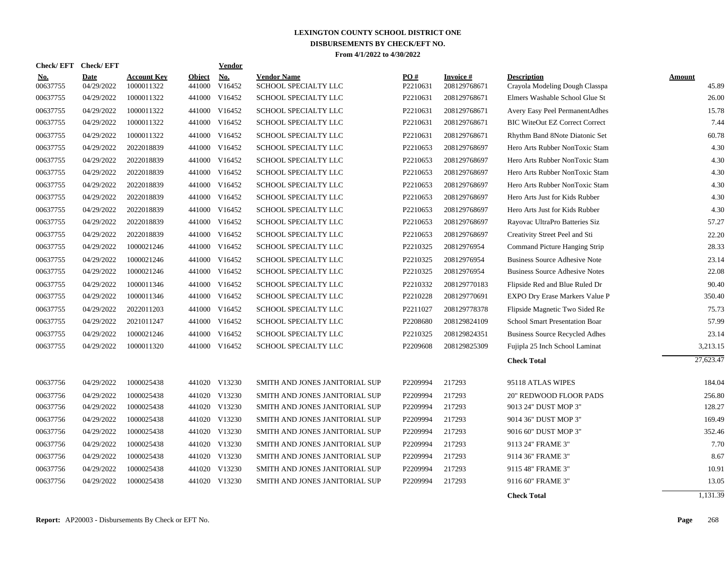| <b>Check/EFT</b>       | <b>Check/EFT</b>          |                                  |                         | <b>Vendor</b> |                                            |                 |                           |                                                      |                        |
|------------------------|---------------------------|----------------------------------|-------------------------|---------------|--------------------------------------------|-----------------|---------------------------|------------------------------------------------------|------------------------|
| <b>No.</b><br>00637755 | <b>Date</b><br>04/29/2022 | <b>Account Key</b><br>1000011322 | <b>Object</b><br>441000 | No.<br>V16452 | <b>Vendor Name</b><br>SCHOOL SPECIALTY LLC | PO#<br>P2210631 | Invoice #<br>208129768671 | <b>Description</b><br>Crayola Modeling Dough Classpa | <b>Amount</b><br>45.89 |
| 00637755               | 04/29/2022                | 1000011322                       |                         | 441000 V16452 | SCHOOL SPECIALTY LLC                       | P2210631        | 208129768671              | Elmers Washable School Glue St                       | 26.00                  |
| 00637755               | 04/29/2022                | 1000011322                       |                         | 441000 V16452 | SCHOOL SPECIALTY LLC                       | P2210631        | 208129768671              | Avery Easy Peel PermanentAdhes                       | 15.78                  |
| 00637755               | 04/29/2022                | 1000011322                       |                         | 441000 V16452 | SCHOOL SPECIALTY LLC                       | P2210631        | 208129768671              | <b>BIC WiteOut EZ Correct Correct</b>                | 7.44                   |
| 00637755               | 04/29/2022                | 1000011322                       |                         | 441000 V16452 | SCHOOL SPECIALTY LLC                       | P2210631        | 208129768671              | Rhythm Band 8Note Diatonic Set                       | 60.78                  |
| 00637755               | 04/29/2022                | 2022018839                       |                         | 441000 V16452 | SCHOOL SPECIALTY LLC                       | P2210653        | 208129768697              | Hero Arts Rubber NonToxic Stam                       | 4.30                   |
| 00637755               | 04/29/2022                | 2022018839                       |                         | 441000 V16452 | SCHOOL SPECIALTY LLC                       | P2210653        | 208129768697              | Hero Arts Rubber NonToxic Stam                       | 4.30                   |
| 00637755               | 04/29/2022                | 2022018839                       |                         | 441000 V16452 | SCHOOL SPECIALTY LLC                       | P2210653        | 208129768697              | Hero Arts Rubber NonToxic Stam                       | 4.30                   |
| 00637755               | 04/29/2022                | 2022018839                       |                         | 441000 V16452 | SCHOOL SPECIALTY LLC                       | P2210653        | 208129768697              | Hero Arts Rubber NonToxic Stam                       | 4.30                   |
| 00637755               | 04/29/2022                | 2022018839                       |                         | 441000 V16452 | SCHOOL SPECIALTY LLC                       | P2210653        | 208129768697              | Hero Arts Just for Kids Rubber                       | 4.30                   |
| 00637755               | 04/29/2022                | 2022018839                       |                         | 441000 V16452 | SCHOOL SPECIALTY LLC                       | P2210653        | 208129768697              | Hero Arts Just for Kids Rubber                       | 4.30                   |
| 00637755               | 04/29/2022                | 2022018839                       |                         | 441000 V16452 | SCHOOL SPECIALTY LLC                       | P2210653        | 208129768697              | Rayovac UltraPro Batteries Siz                       | 57.27                  |
| 00637755               | 04/29/2022                | 2022018839                       |                         | 441000 V16452 | SCHOOL SPECIALTY LLC                       | P2210653        | 208129768697              | Creativity Street Peel and Sti                       | 22.20                  |
| 00637755               | 04/29/2022                | 1000021246                       |                         | 441000 V16452 | SCHOOL SPECIALTY LLC                       | P2210325        | 20812976954               | Command Picture Hanging Strip                        | 28.33                  |
| 00637755               | 04/29/2022                | 1000021246                       |                         | 441000 V16452 | SCHOOL SPECIALTY LLC                       | P2210325        | 20812976954               | <b>Business Source Adhesive Note</b>                 | 23.14                  |
| 00637755               | 04/29/2022                | 1000021246                       |                         | 441000 V16452 | SCHOOL SPECIALTY LLC                       | P2210325        | 20812976954               | <b>Business Source Adhesive Notes</b>                | 22.08                  |
| 00637755               | 04/29/2022                | 1000011346                       |                         | 441000 V16452 | SCHOOL SPECIALTY LLC                       | P2210332        | 208129770183              | Flipside Red and Blue Ruled Dr                       | 90.40                  |
| 00637755               | 04/29/2022                | 1000011346                       |                         | 441000 V16452 | SCHOOL SPECIALTY LLC                       | P2210228        | 208129770691              | EXPO Dry Erase Markers Value P                       | 350.40                 |
| 00637755               | 04/29/2022                | 2022011203                       |                         | 441000 V16452 | SCHOOL SPECIALTY LLC                       | P2211027        | 208129778378              | Flipside Magnetic Two Sided Re                       | 75.73                  |
| 00637755               | 04/29/2022                | 2021011247                       |                         | 441000 V16452 | SCHOOL SPECIALTY LLC                       | P2208680        | 208129824109              | School Smart Presentation Boar                       | 57.99                  |
| 00637755               | 04/29/2022                | 1000021246                       |                         | 441000 V16452 | SCHOOL SPECIALTY LLC                       | P2210325        | 208129824351              | <b>Business Source Recycled Adhes</b>                | 23.14                  |
| 00637755               | 04/29/2022                | 1000011320                       |                         | 441000 V16452 | SCHOOL SPECIALTY LLC                       | P2209608        | 208129825309              | Fujipla 25 Inch School Laminat                       | 3,213.15               |
|                        |                           |                                  |                         |               |                                            |                 |                           | <b>Check Total</b>                                   | 27,623.47              |
| 00637756               | 04/29/2022                | 1000025438                       |                         | 441020 V13230 | SMITH AND JONES JANITORIAL SUP             | P2209994        | 217293                    | 95118 ATLAS WIPES                                    | 184.04                 |
| 00637756               | 04/29/2022                | 1000025438                       |                         | 441020 V13230 | SMITH AND JONES JANITORIAL SUP             | P2209994        | 217293                    | 20" REDWOOD FLOOR PADS                               | 256.80                 |
| 00637756               | 04/29/2022                | 1000025438                       |                         | 441020 V13230 | SMITH AND JONES JANITORIAL SUP             | P2209994        | 217293                    | 9013 24" DUST MOP 3"                                 | 128.27                 |
| 00637756               | 04/29/2022                | 1000025438                       |                         | 441020 V13230 | SMITH AND JONES JANITORIAL SUP             | P2209994        | 217293                    | 9014 36" DUST MOP 3"                                 | 169.49                 |
| 00637756               | 04/29/2022                | 1000025438                       |                         | 441020 V13230 | SMITH AND JONES JANITORIAL SUP             | P2209994        | 217293                    | 9016 60" DUST MOP 3"                                 | 352.46                 |
| 00637756               | 04/29/2022                | 1000025438                       |                         | 441020 V13230 | SMITH AND JONES JANITORIAL SUP             | P2209994        | 217293                    | 9113 24" FRAME 3"                                    | 7.70                   |
| 00637756               | 04/29/2022                | 1000025438                       |                         | 441020 V13230 | SMITH AND JONES JANITORIAL SUP             | P2209994        | 217293                    | 9114 36" FRAME 3"                                    | 8.67                   |
| 00637756               | 04/29/2022                | 1000025438                       |                         | 441020 V13230 | SMITH AND JONES JANITORIAL SUP             | P2209994        | 217293                    | 9115 48" FRAME 3"                                    | 10.91                  |
| 00637756               | 04/29/2022                | 1000025438                       | 441020                  | V13230        | SMITH AND JONES JANITORIAL SUP             | P2209994        | 217293                    | 9116 60" FRAME 3"                                    | 13.05                  |
|                        |                           |                                  |                         |               |                                            |                 |                           | <b>Check Total</b>                                   | 1,131.39               |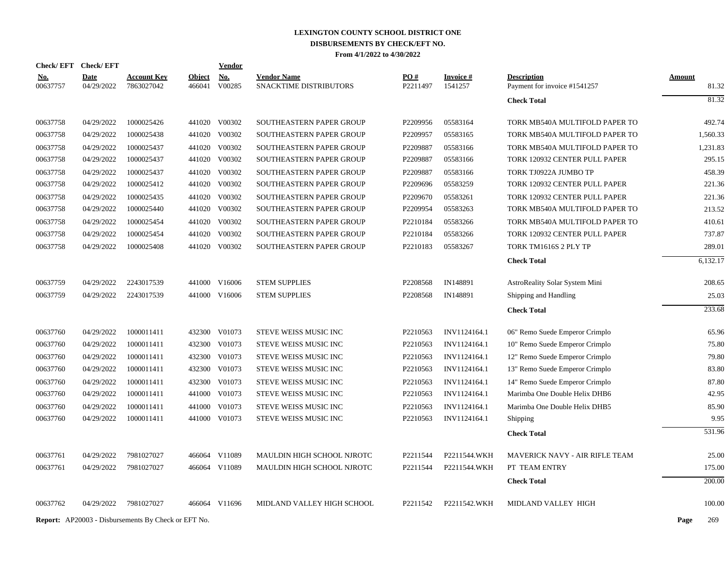|                        | Check/EFT Check/EFT       |                                                            |                         | <u>Vendor</u>        |                                              |                      |                            |                                                    |                        |
|------------------------|---------------------------|------------------------------------------------------------|-------------------------|----------------------|----------------------------------------------|----------------------|----------------------------|----------------------------------------------------|------------------------|
| <u>No.</u><br>00637757 | <b>Date</b><br>04/29/2022 | <b>Account Key</b><br>7863027042                           | <b>Object</b><br>466041 | <b>No.</b><br>V00285 | <b>Vendor Name</b><br>SNACKTIME DISTRIBUTORS | PO#<br>P2211497      | <b>Invoice#</b><br>1541257 | <b>Description</b><br>Payment for invoice #1541257 | <b>Amount</b><br>81.32 |
|                        |                           |                                                            |                         |                      |                                              |                      |                            | <b>Check Total</b>                                 | 81.32                  |
| 00637758               | 04/29/2022                | 1000025426                                                 |                         | 441020 V00302        | SOUTHEASTERN PAPER GROUP                     | P2209956             | 05583164                   | TORK MB540A MULTIFOLD PAPER TO                     | 492.74                 |
| 00637758               | 04/29/2022                | 1000025438                                                 | 441020                  | V00302               | SOUTHEASTERN PAPER GROUP                     | P2209957             | 05583165                   | TORK MB540A MULTIFOLD PAPER TO                     | 1,560.33               |
| 00637758               | 04/29/2022                | 1000025437                                                 |                         | 441020 V00302        | SOUTHEASTERN PAPER GROUP                     | P2209887             | 05583166                   | TORK MB540A MULTIFOLD PAPER TO                     | 1,231.83               |
| 00637758               | 04/29/2022                | 1000025437                                                 |                         | 441020 V00302        | SOUTHEASTERN PAPER GROUP                     | P2209887             | 05583166                   | TORK 120932 CENTER PULL PAPER                      | 295.15                 |
| 00637758               | 04/29/2022                | 1000025437                                                 | 441020                  | V00302               | <b>SOUTHEASTERN PAPER GROUP</b>              | P2209887             | 05583166                   | TORK TJ0922A JUMBO TP                              | 458.39                 |
| 00637758               | 04/29/2022                | 1000025412                                                 |                         | 441020 V00302        | SOUTHEASTERN PAPER GROUP                     | P2209696             | 05583259                   | TORK 120932 CENTER PULL PAPER                      | 221.36                 |
| 00637758               | 04/29/2022                | 1000025435                                                 |                         | 441020 V00302        | SOUTHEASTERN PAPER GROUP                     | P2209670             | 05583261                   | TORK 120932 CENTER PULL PAPER                      | 221.36                 |
| 00637758               | 04/29/2022                | 1000025440                                                 |                         | 441020 V00302        | SOUTHEASTERN PAPER GROUP                     | P2209954             | 05583263                   | TORK MB540A MULTIFOLD PAPER TO                     | 213.52                 |
| 00637758               | 04/29/2022                | 1000025454                                                 |                         | 441020 V00302        | SOUTHEASTERN PAPER GROUP                     | P2210184             | 05583266                   | TORK MB540A MULTIFOLD PAPER TO                     | 410.61                 |
| 00637758               | 04/29/2022                | 1000025454                                                 |                         | 441020 V00302        | SOUTHEASTERN PAPER GROUP                     | P2210184             | 05583266                   | TORK 120932 CENTER PULL PAPER                      | 737.87                 |
| 00637758               | 04/29/2022                | 1000025408                                                 |                         | 441020 V00302        | <b>SOUTHEASTERN PAPER GROUP</b>              | P2210183             | 05583267                   | TORK TM1616S 2 PLY TP                              | 289.01                 |
|                        |                           |                                                            |                         |                      |                                              |                      |                            | <b>Check Total</b>                                 | 6,132.17               |
| 00637759               | 04/29/2022                | 2243017539                                                 |                         | 441000 V16006        | <b>STEM SUPPLIES</b>                         | P2208568             | IN148891                   | AstroReality Solar System Mini                     | 208.65                 |
| 00637759               | 04/29/2022                | 2243017539                                                 |                         | 441000 V16006        | <b>STEM SUPPLIES</b>                         | P <sub>2208568</sub> | IN148891                   | Shipping and Handling                              | 25.03                  |
|                        |                           |                                                            |                         |                      |                                              |                      |                            | <b>Check Total</b>                                 | 233.68                 |
| 00637760               | 04/29/2022                | 1000011411                                                 |                         | 432300 V01073        | STEVE WEISS MUSIC INC                        | P2210563             | INV1124164.1               | 06" Remo Suede Emperor Crimplo                     | 65.96                  |
| 00637760               | 04/29/2022                | 1000011411                                                 | 432300                  | V01073               | STEVE WEISS MUSIC INC                        | P2210563             | INV1124164.1               | 10" Remo Suede Emperor Crimplo                     | 75.80                  |
| 00637760               | 04/29/2022                | 1000011411                                                 | 432300                  | V01073               | STEVE WEISS MUSIC INC                        | P2210563             | INV1124164.1               | 12" Remo Suede Emperor Crimplo                     | 79.80                  |
| 00637760               | 04/29/2022                | 1000011411                                                 | 432300                  | V01073               | STEVE WEISS MUSIC INC                        | P2210563             | INV1124164.1               | 13" Remo Suede Emperor Crimplo                     | 83.80                  |
| 00637760               | 04/29/2022                | 1000011411                                                 | 432300                  | V01073               | STEVE WEISS MUSIC INC                        | P2210563             | INV1124164.1               | 14" Remo Suede Emperor Crimplo                     | 87.80                  |
| 00637760               | 04/29/2022                | 1000011411                                                 |                         | 441000 V01073        | STEVE WEISS MUSIC INC                        | P2210563             | INV1124164.1               | Marimba One Double Helix DHB6                      | 42.95                  |
| 00637760               | 04/29/2022                | 1000011411                                                 | 441000                  | V01073               | STEVE WEISS MUSIC INC                        | P2210563             | INV1124164.1               | Marimba One Double Helix DHB5                      | 85.90                  |
| 00637760               | 04/29/2022                | 1000011411                                                 |                         | 441000 V01073        | STEVE WEISS MUSIC INC                        | P2210563             | INV1124164.1               | Shipping                                           | 9.95                   |
|                        |                           |                                                            |                         |                      |                                              |                      |                            | <b>Check Total</b>                                 | 531.96                 |
| 00637761               | 04/29/2022                | 7981027027                                                 |                         | 466064 V11089        | MAULDIN HIGH SCHOOL NJROTC                   | P2211544             | P2211544.WKH               | MAVERICK NAVY - AIR RIFLE TEAM                     | 25.00                  |
| 00637761               | 04/29/2022                | 7981027027                                                 |                         | 466064 V11089        | MAULDIN HIGH SCHOOL NJROTC                   | P2211544             | P2211544.WKH               | PT TEAM ENTRY                                      | 175.00                 |
|                        |                           |                                                            |                         |                      |                                              |                      |                            | <b>Check Total</b>                                 | 200.00                 |
| 00637762               | 04/29/2022                | 7981027027                                                 |                         | 466064 V11696        | MIDLAND VALLEY HIGH SCHOOL                   | P2211542             | P2211542.WKH               | MIDLAND VALLEY HIGH                                | 100.00                 |
|                        |                           | <b>Report:</b> AP20003 - Disbursements By Check or EFT No. |                         |                      |                                              |                      |                            |                                                    | Page<br>269            |